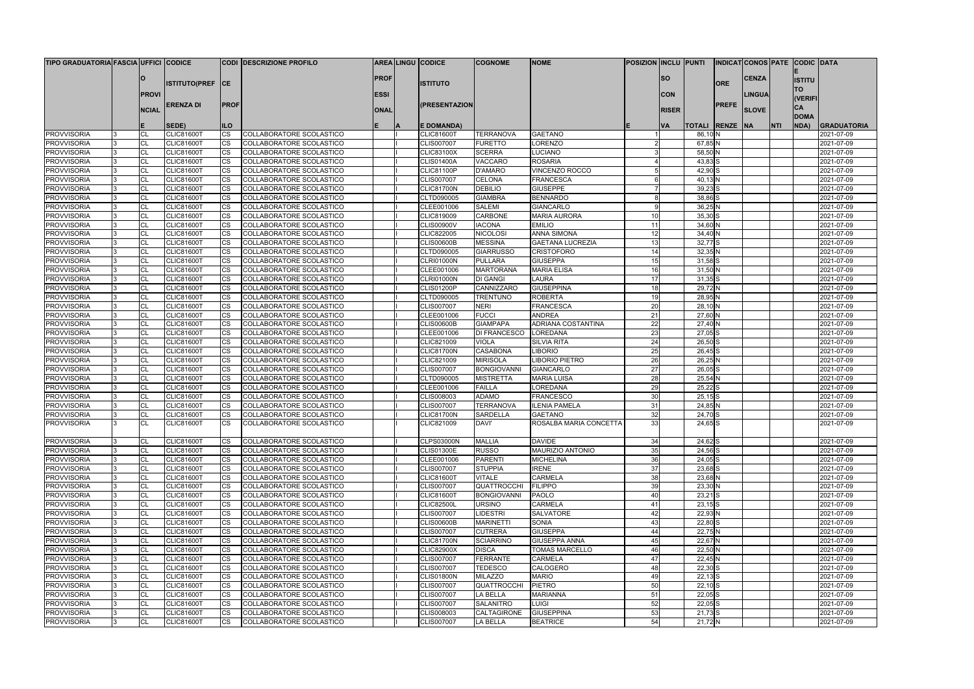| TIPO GRADUATORIA FASCIA UFFICI CODICE    |              |                                        |                        | <b>CODI DESCRIZIONE PROFILO</b>                      |             | <b>AREA LINGU CODICE</b>               | <b>COGNOME</b>                      | <b>NOME</b>                     | <b>POSIZION INCLU PUNTI</b> |              |                      | <b>INDICAT CONOS PATE CODIC DATA</b> |               |            |               |                          |
|------------------------------------------|--------------|----------------------------------------|------------------------|------------------------------------------------------|-------------|----------------------------------------|-------------------------------------|---------------------------------|-----------------------------|--------------|----------------------|--------------------------------------|---------------|------------|---------------|--------------------------|
|                                          |              |                                        |                        |                                                      |             |                                        |                                     |                                 |                             |              |                      |                                      |               |            |               |                          |
|                                          |              | <b>ISTITUTO(PREF CE</b>                |                        |                                                      | PROF        | <b>ISTITUTO</b>                        |                                     |                                 |                             | <b>SO</b>    |                      | <b>ORE</b>                           | <b>CENZA</b>  |            | <b>ISTITU</b> |                          |
|                                          |              |                                        |                        |                                                      |             |                                        |                                     |                                 |                             |              |                      |                                      |               |            | <b>TO</b>     |                          |
|                                          | <b>PROVI</b> |                                        |                        |                                                      | <b>ESSI</b> |                                        |                                     |                                 |                             | <b>CON</b>   |                      |                                      | <b>LINGUA</b> |            | (VERIFI       |                          |
|                                          | <b>NCIAL</b> | <b>ERENZA DI</b>                       | <b>PROF</b>            |                                                      | <b>ONAL</b> | (PRESENTAZION                          |                                     |                                 |                             | <b>RISER</b> |                      | <b>PREFE</b>                         | <b>SLOVE</b>  |            | <b>CA</b>     |                          |
|                                          |              |                                        |                        |                                                      |             |                                        |                                     |                                 |                             |              |                      |                                      |               |            | <b>DOMA</b>   |                          |
|                                          |              | SEDE)                                  | <b>ILO</b>             |                                                      |             | <b>E DOMANDA)</b>                      |                                     |                                 |                             | VA.          | <b>TOTALI</b>        | <b>RENZE NA</b>                      |               | <b>NTI</b> | NDA)          | <b>GRADUATORIA</b>       |
| <b>PROVVISORIA</b>                       | CL           | <b>CLIC81600T</b>                      | $\overline{\text{cs}}$ | COLLABORATORE SCOLASTICO                             |             | <b>CLIC81600T</b>                      | <b>TERRANOVA</b>                    | <b>GAETANO</b>                  |                             |              | 86,10 <sub>N</sub>   |                                      |               |            |               | 2021-07-09               |
| <b>PROVVISORIA</b>                       | СL           | <b>CLIC81600T</b>                      | <b>CS</b>              | COLLABORATORE SCOLASTICO                             |             | <b>CLIS007007</b>                      | <b>FURETTO</b>                      | LORENZO                         |                             |              | 67,85 N              |                                      |               |            |               | 2021-07-09               |
| <b>PROVVISORIA</b>                       | СL           | <b>CLIC81600T</b>                      | <b>CS</b>              | COLLABORATORE SCOLASTICO                             |             | <b>CLIC83100X</b>                      | <b>SCERRA</b>                       | <b>LUCIANO</b>                  |                             |              | 58,50 N              |                                      |               |            |               | 2021-07-09               |
| <b>PROVVISORIA</b>                       | СL           | <b>CLIC81600T</b>                      | <b>CS</b>              | COLLABORATORE SCOLASTICO                             |             | <b>CLIS01400A</b>                      | <b>VACCARO</b>                      | <b>ROSARIA</b>                  |                             |              | 43,83 S              |                                      |               |            |               | 2021-07-09               |
| <b>PROVVISORIA</b>                       | СL           | <b>CLIC81600T</b>                      | <b>CS</b>              | COLLABORATORE SCOLASTICO                             |             | <b>CLIC81100P</b>                      | <b>D'AMARO</b>                      | VINCENZO ROCCO                  |                             |              | 42,90 S              |                                      |               |            |               | 2021-07-09               |
| <b>PROVVISORIA</b>                       | CL           | <b>CLIC81600T</b>                      | <b>CS</b>              | COLLABORATORE SCOLASTICO                             |             | <b>CLIS007007</b>                      | <b>CELONA</b>                       | <b>FRANCESCA</b>                |                             |              | 40,13 N              |                                      |               |            |               | 2021-07-09               |
| <b>PROVVISORIA</b>                       | СL           | <b>CLIC81600T</b>                      | <b>CS</b>              | COLLABORATORE SCOLASTICO                             |             | <b>CLIC81700N</b>                      | <b>DEBILIO</b>                      | <b>GIUSEPPE</b>                 |                             |              | 39,23 S              |                                      |               |            |               | 2021-07-09               |
| <b>PROVVISORIA</b>                       | СL           | <b>CLIC81600T</b>                      | <b>CS</b>              | COLLABORATORE SCOLASTICO                             |             | CLTD090005                             | <b>GIAMBRA</b>                      | <b>BENNARDO</b>                 |                             |              | 38,86 S              |                                      |               |            |               | 2021-07-09               |
| <b>PROVVISORIA</b>                       | СL           | <b>CLIC81600T</b>                      | <b>CS</b>              | COLLABORATORE SCOLASTICO                             |             | CLEE001006                             | <b>SALEMI</b>                       | <b>GIANCARLO</b>                |                             |              | 36,25 N              |                                      |               |            |               | 2021-07-09               |
| <b>PROVVISORIA</b>                       | СL           | <b>CLIC81600T</b>                      | <b>CS</b>              | COLLABORATORE SCOLASTICO                             |             | CLIC819009                             | CARBONE                             | <b>MARIA AURORA</b>             | 10 <sup>1</sup>             |              | 35,30 S              |                                      |               |            |               | 2021-07-09               |
| <b>PROVVISORIA</b>                       | CL           | <b>CLIC81600T</b>                      | $\overline{\text{cs}}$ | COLLABORATORE SCOLASTICO                             |             | <b>CLIS00900V</b>                      | <b>IACONA</b>                       | <b>EMILIO</b>                   | 11                          |              | 34,60 N              |                                      |               |            |               | 2021-07-09               |
| <b>PROVVISORIA</b>                       | СL           | <b>CLIC81600T</b>                      | <b>CS</b>              | COLLABORATORE SCOLASTICO                             |             | <b>CLIC822005</b>                      | <b>NICOLOSI</b>                     | <b>ANNA SIMONA</b>              | 12                          |              | 34,40 N              |                                      |               |            |               | 2021-07-09               |
| <b>PROVVISORIA</b>                       | СL           | <b>CLIC81600T</b>                      | <b>CS</b>              | COLLABORATORE SCOLASTICO                             |             | <b>CLIS00600B</b>                      | <b>MESSINA</b>                      | <b>GAETANA LUCREZIA</b>         | 13                          |              | 32,77 S              |                                      |               |            |               | 2021-07-09               |
| <b>PROVVISORIA</b>                       | CL           | <b>CLIC81600T</b>                      | <b>CS</b>              | COLLABORATORE SCOLASTICO                             |             | CLTD090005                             | <b>GIARRUSSO</b>                    | <b>CRISTOFORO</b>               | 14                          |              | 32,35 N              |                                      |               |            |               | 2021-07-09               |
| <b>PROVVISORIA</b>                       | CL           | <b>CLIC81600T</b>                      | <b>CS</b>              | COLLABORATORE SCOLASTICO                             |             | <b>CLRI01000N</b>                      | <b>PULLARA</b>                      | <b>GIUSEPPA</b>                 | 15                          |              | $31,58$ $S$          |                                      |               |            |               | 2021-07-09               |
| <b>PROVVISORIA</b>                       | СL           | <b>CLIC81600T</b>                      | <b>CS</b>              | COLLABORATORE SCOLASTICO                             |             | CLEE001006                             | <b>MARTORANA</b>                    | <b>MARIA ELISA</b>              | 16                          |              | 31,50 N              |                                      |               |            |               | 2021-07-09               |
| <b>PROVVISORIA</b>                       | CL           | <b>CLIC81600T</b>                      | <b>CS</b>              | COLLABORATORE SCOLASTICO                             |             | <b>CLRI01000N</b>                      | <b>DI GANGI</b>                     | <b>LAURA</b>                    | 17                          |              | $31,35$ S            |                                      |               |            |               | 2021-07-09               |
| <b>PROVVISORIA</b>                       | СL           | <b>CLIC81600T</b>                      | <b>CS</b>              | COLLABORATORE SCOLASTICO                             |             | <b>CLIS01200P</b>                      | CANNIZZARO                          | <b>GIUSEPPINA</b>               | 18                          |              | 29,72 N              |                                      |               |            |               | 2021-07-09               |
| <b>PROVVISORIA</b>                       | СL           | <b>CLIC81600T</b>                      | <b>CS</b>              | COLLABORATORE SCOLASTICO                             |             | CLTD090005                             | <b>TRENTUNO</b>                     | <b>ROBERTA</b>                  | 19                          |              | 28,95 N              |                                      |               |            |               | 2021-07-09               |
| <b>PROVVISORIA</b>                       | CL           | <b>CLIC81600T</b>                      | <b>CS</b>              | COLLABORATORE SCOLASTICO                             |             | <b>CLIS007007</b>                      | <b>NERI</b>                         | <b>FRANCESCA</b>                | 20                          |              | 28,10 N              |                                      |               |            |               | 2021-07-09               |
| <b>PROVVISORIA</b>                       | СL           | <b>CLIC81600T</b>                      | <b>CS</b>              | COLLABORATORE SCOLASTICO                             |             | CLEE001006                             | <b>FUCCI</b>                        | <b>ANDREA</b>                   | 21                          |              | 27,60 N              |                                      |               |            |               | 2021-07-09               |
| <b>PROVVISORIA</b>                       | СL           | <b>CLIC81600T</b>                      | <b>CS</b>              | COLLABORATORE SCOLASTICO                             |             | <b>CLIS00600B</b>                      | <b>GIAMPAPA</b>                     | ADRIANA COSTANTINA              | 22                          |              | 27,40 N              |                                      |               |            |               | 2021-07-09               |
| <b>PROVVISORIA</b>                       | CL           | <b>CLIC81600T</b>                      | <b>CS</b>              | COLLABORATORE SCOLASTICO                             |             | CLEE001006                             | DI FRANCESCO                        | <b>LOREDANA</b>                 | 23                          |              | 27,05 S              |                                      |               |            |               | 2021-07-09               |
| <b>PROVVISORIA</b>                       | СL           | <b>CLIC81600T</b>                      | <b>CS</b>              | COLLABORATORE SCOLASTICO                             |             | CLIC821009                             | <b>VIOLA</b>                        | <b>SILVIA RITA</b>              | 24                          |              | 26,50 S              |                                      |               |            |               | 2021-07-09               |
| <b>PROVVISORIA</b>                       | <b>CL</b>    | <b>CLIC81600T</b>                      | <b>CS</b>              | COLLABORATORE SCOLASTICO                             |             | <b>CLIC81700N</b>                      | <b>CASABONA</b>                     | <b>LIBORIO</b>                  | 25                          |              | $26,45$ S            |                                      |               |            |               | 2021-07-09               |
| <b>PROVVISORIA</b>                       | CL           | <b>CLIC81600T</b>                      | <b>CS</b>              | COLLABORATORE SCOLASTICO                             |             | CLIC821009                             | <b>MIRISOLA</b>                     | <b>LIBORIO PIETRO</b>           | 26                          |              | 26,25 N              |                                      |               |            |               | 2021-07-09               |
| <b>PROVVISORIA</b>                       | СL           | <b>CLIC81600T</b>                      | <b>CS</b>              | COLLABORATORE SCOLASTICO                             |             | <b>CLIS007007</b>                      | <b>BONGIOVANNI</b>                  | <b>GIANCARLO</b>                | 27                          |              | $26,05$ S            |                                      |               |            |               | 2021-07-09               |
| <b>PROVVISORIA</b>                       | СL           | <b>CLIC81600T</b>                      | <b>CS</b>              | COLLABORATORE SCOLASTICO                             |             | CLTD090005                             | <b>MISTRETTA</b>                    | <b>MARIA LUISA</b>              | 28                          |              | 25,54 N              |                                      |               |            |               | 2021-07-09               |
| <b>PROVVISORIA</b>                       | СL           | <b>CLIC81600T</b>                      | <b>CS</b>              | COLLABORATORE SCOLASTICO                             |             | CLEE001006                             | <b>FAILLA</b>                       | <b>LOREDANA</b>                 | 29                          |              | 25,22 S              |                                      |               |            |               | 2021-07-09               |
| <b>PROVVISORIA</b>                       | CL           | <b>CLIC81600T</b>                      | $\overline{\text{cs}}$ | COLLABORATORE SCOLASTICO                             |             | CLIS008003                             | <b>ADAMO</b>                        | <b>FRANCESCO</b>                | 30 <sup>l</sup>             |              | $25,15$ S            |                                      |               |            |               | 2021-07-09               |
| <b>PROVVISORIA</b>                       | СL           | <b>CLIC81600T</b>                      | <b>CS</b>              | COLLABORATORE SCOLASTICO                             |             | <b>CLIS007007</b>                      | <b>TERRANOVA</b>                    | <b>ILENIA PAMELA</b>            | 31                          |              | 24,85 N              |                                      |               |            |               | 2021-07-09               |
| <b>PROVVISORIA</b>                       | СL           | <b>CLIC81600T</b>                      | <b>CS</b>              | COLLABORATORE SCOLASTICO                             |             | <b>CLIC81700N</b>                      | <b>SARDELLA</b>                     | <b>GAETANO</b>                  | 32 <sub>l</sub>             |              | 24,70 S              |                                      |               |            |               | 2021-07-09               |
| <b>PROVVISORIA</b>                       | CI.          | <b>CLIC81600T</b>                      | $\overline{\text{cs}}$ | COLLABORATORE SCOLASTICO                             |             | CLIC821009                             | <b>DAVI'</b>                        | ROSALBA MARIA CONCETTA          | 33 <sup>1</sup>             |              | $24,65$ S            |                                      |               |            |               | 2021-07-09               |
|                                          |              |                                        |                        |                                                      |             |                                        |                                     |                                 |                             |              |                      |                                      |               |            |               |                          |
| <b>PROVVISORIA</b>                       | CL           | <b>CLIC81600T</b>                      | <b>CS</b>              | <b>COLLABORATORE SCOLASTICO</b>                      |             | <b>CLPS03000N</b>                      | <b>MALLIA</b>                       | <b>DAVIDE</b>                   | 34                          |              | 24,62 S              |                                      |               |            |               | 2021-07-09               |
| <b>PROVVISORIA</b>                       | CL           | <b>CLIC81600T</b>                      | <b>CS</b>              | COLLABORATORE SCOLASTICO                             |             | <b>CLIS01300E</b>                      | <b>RUSSO</b>                        | <b>MAURIZIO ANTONIO</b>         | 35                          |              | $24,56$ S            |                                      |               |            |               | 2021-07-09               |
| <b>PROVVISORIA</b>                       | CL           | <b>CLIC81600T</b>                      | <b>CS</b>              | COLLABORATORE SCOLASTICO                             |             | CLEE001006                             | <b>PARENTI</b>                      | <b>MICHELINA</b>                | 36                          |              | 24,05 S              |                                      |               |            |               | 2021-07-09               |
| <b>PROVVISORIA</b>                       | СL           | <b>CLIC81600T</b>                      | <b>ICS</b>             | COLLABORATORE SCOLASTICO                             |             | <b>CLIS007007</b>                      | <b>STUPPIA</b>                      | <b>IRENE</b>                    | 37                          |              | 23,68 S              |                                      |               |            |               | 2021-07-09               |
| <b>PROVVISORIA</b>                       | СL           | <b>CLIC81600T</b>                      | <b>CS</b>              | COLLABORATORE SCOLASTICO                             |             | <b>CLIC81600T</b>                      | <b>VITALE</b>                       | <b>CARMELA</b>                  | 38                          |              | $23,68$ N            |                                      |               |            |               | 2021-07-09               |
| <b>PROVVISORIA</b>                       | CL           | <b>CLIC81600T</b><br><b>CLIC81600T</b> | <b>CS</b>              | COLLABORATORE SCOLASTICO                             |             | <b>CLIS007007</b>                      | QUATTROCCHI                         | <b>FILIPPO</b>                  | 39<br>40                    |              | 23,30 N<br>$23,21$ S |                                      |               |            |               | 2021-07-09<br>2021-07-09 |
| <b>PROVVISORIA</b><br><b>PROVVISORIA</b> | СL<br>CL     | <b>CLIC81600T</b>                      | <b>CS</b><br><b>CS</b> | COLLABORATORE SCOLASTICO<br>COLLABORATORE SCOLASTICO |             | <b>CLIC81600T</b><br><b>CLIC82500L</b> | <b>BONGIOVANNI</b><br><b>URSINO</b> | <b>PAOLO</b><br><b>CARMELA</b>  | 41                          |              | $23,15$ S            |                                      |               |            |               | 2021-07-09               |
|                                          | СL           | <b>CLIC81600T</b>                      | $\overline{\text{cs}}$ | COLLABORATORE SCOLASTICO                             |             |                                        |                                     | <b>SALVATORE</b>                | 42                          |              |                      |                                      |               |            |               |                          |
| <b>PROVVISORIA</b><br><b>PROVVISORIA</b> |              |                                        |                        |                                                      |             | <b>CLIS007007</b>                      | <b>LIDESTRI</b><br><b>MARINETTI</b> |                                 | 43                          |              | 22,93 N              |                                      |               |            |               | 2021-07-09               |
| <b>PROVVISORIA</b>                       | СL<br>CL     | <b>CLIC81600T</b><br><b>CLIC81600T</b> | <b>CS</b><br><b>CS</b> | COLLABORATORE SCOLASTICO<br>COLLABORATORE SCOLASTICO |             | <b>CLIS00600B</b><br><b>CLIS007007</b> | <b>CUTRERA</b>                      | <b>SONIA</b><br><b>GIUSEPPA</b> | 44                          |              | 22,80 S<br>22,75 N   |                                      |               |            |               | 2021-07-09<br>2021-07-09 |
| <b>PROVVISORIA</b>                       | CL           | <b>CLIC81600T</b>                      | <b>CS</b>              | COLLABORATORE SCOLASTICO                             |             | <b>CLIC81700N</b>                      | <b>SCIARRINO</b>                    | <b>GIUSEPPA ANNA</b>            | 45                          |              | 22,67 N              |                                      |               |            |               | 2021-07-09               |
|                                          |              |                                        |                        |                                                      |             |                                        |                                     | <b>TOMAS MARCELLO</b>           | 46                          |              | 22,50 N              |                                      |               |            |               |                          |
| <b>PROVVISORIA</b><br><b>PROVVISORIA</b> | СL<br>CL     | <b>CLIC81600T</b><br><b>CLIC81600T</b> | <b>CS</b><br><b>CS</b> | COLLABORATORE SCOLASTICO<br>COLLABORATORE SCOLASTICO |             | <b>CLIC82900X</b><br><b>CLIS007007</b> | <b>DISCA</b><br><b>FERRANTE</b>     | <b>CARMELA</b>                  | 47                          |              | $22,45$ N            |                                      |               |            |               | 2021-07-09<br>2021-07-09 |
| <b>PROVVISORIA</b>                       | СL           | <b>CLIC81600T</b>                      | <b>CS</b>              | COLLABORATORE SCOLASTICO                             |             | <b>CLIS007007</b>                      | <b>TEDESCO</b>                      | <b>CALOGERO</b>                 | 48                          |              | 22,30 S              |                                      |               |            |               | 2021-07-09               |
| <b>PROVVISORIA</b>                       | CL           | <b>CLIC81600T</b>                      | <b>CS</b>              | COLLABORATORE SCOLASTICO                             |             | <b>CLIS01800N</b>                      | <b>MILAZZO</b>                      | <b>MARIO</b>                    | 49                          |              | $22,13$ S            |                                      |               |            |               | 2021-07-09               |
| <b>PROVVISORIA</b>                       | CL           | <b>CLIC81600T</b>                      | <b>I</b> CS            | COLLABORATORE SCOLASTICO                             |             | <b>CLIS007007</b>                      | <b>QUATTROCCHI</b>                  | PIETRO                          | 50                          |              | 22,10 S              |                                      |               |            |               | 2021-07-09               |
| <b>PROVVISORIA</b>                       | СL           | <b>CLIC81600T</b>                      | <b>I</b> CS            | COLLABORATORE SCOLASTICO                             |             | <b>CLIS007007</b>                      | LA BELLA                            | <b>MARIANNA</b>                 | 51                          |              | 22,05 S              |                                      |               |            |               | 2021-07-09               |
| <b>PROVVISORIA</b>                       | СL           | <b>CLIC81600T</b>                      | <b>CS</b>              | COLLABORATORE SCOLASTICO                             |             | <b>CLIS007007</b>                      | <b>SALANITRO</b>                    | LUIGI                           | 52                          |              | 22,05 S              |                                      |               |            |               | 2021-07-09               |
| <b>PROVVISORIA</b>                       | CL           | <b>CLIC81600T</b>                      | <b>CS</b>              | COLLABORATORE SCOLASTICO                             |             | CLIS008003                             | <b>CALTAGIRONE</b>                  | <b>GIUSEPPINA</b>               | 53                          |              | 21,73 S              |                                      |               |            |               | 2021-07-09               |
| <b>PROVVISORIA</b>                       | CL           |                                        | <b>CS</b>              | COLLABORATORE SCOLASTICO                             |             | <b>CLIS007007</b>                      | <b>LA BELLA</b>                     | <b>BEATRICE</b>                 | 54                          |              | 21,72 N              |                                      |               |            |               | 2021-07-09               |
|                                          |              | <b>CLIC81600T</b>                      |                        |                                                      |             |                                        |                                     |                                 |                             |              |                      |                                      |               |            |               |                          |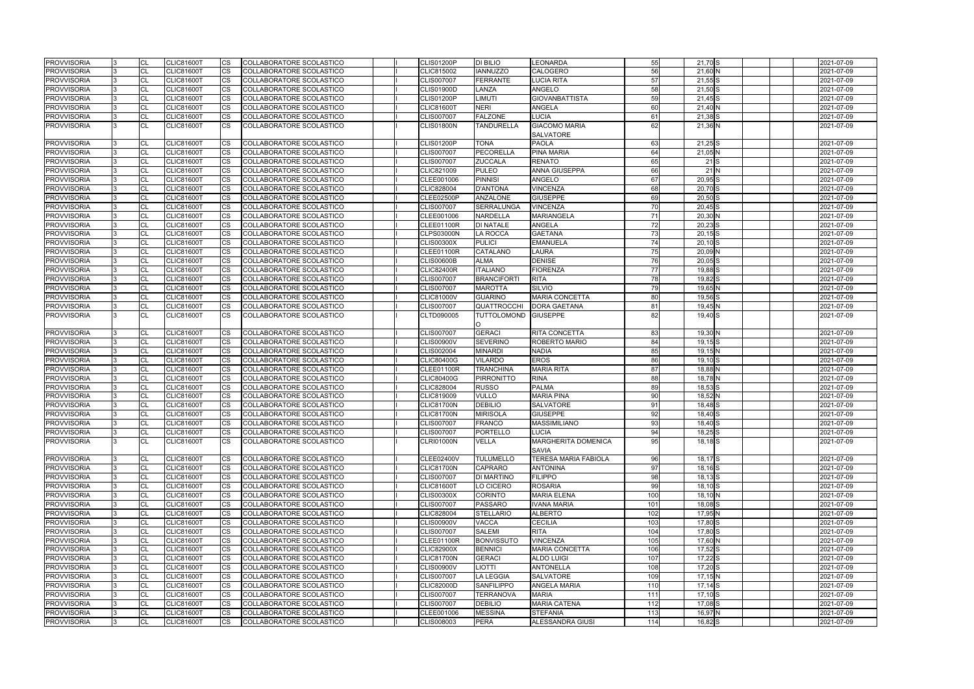| 55              | $21,70$ S          |    |  | 2021-07-09 |
|-----------------|--------------------|----|--|------------|
| 56              | $21,60$ N          |    |  | 2021-07-09 |
| 57              | $21,55$ S          |    |  | 2021-07-09 |
| 58              | 21,50 S            |    |  | 2021-07-09 |
| 59              | 21,45 <sup>S</sup> |    |  | 2021-07-09 |
| 60              | 21,40 N            |    |  | 2021-07-09 |
| 61              | 21,38 S            |    |  | 2021-07-09 |
| $\overline{62}$ | 21,36 N            |    |  |            |
|                 |                    |    |  | 2021-07-09 |
|                 |                    |    |  |            |
| 63              | $21,25$ S          |    |  | 2021-07-09 |
| 64              | 21,05 N            |    |  | 2021-07-09 |
| 65              | 21 S               |    |  | 2021-07-09 |
| 66              | 21 <sub>IN</sub>   |    |  | 2021-07-09 |
| 67              | 20,95              | ls |  | 2021-07-09 |
| 68              | 20,70 S            |    |  | 2021-07-09 |
| 69              | $20,50$ S          |    |  | 2021-07-09 |
| 70              | 20,45 S            |    |  | 2021-07-09 |
| 71              | 20,30 N            |    |  | 2021-07-09 |
| $\overline{72}$ | 20,23 S            |    |  | 2021-07-09 |
| $\overline{73}$ | $20,15$ S          |    |  | 2021-07-09 |
| 74              | $20,10$ S          |    |  | 2021-07-09 |
|                 |                    |    |  |            |
| 75              | 20,09 N            |    |  | 2021-07-09 |
| 76              | $20,05$ S          |    |  | 2021-07-09 |
| 77              | 19,88 <sup>S</sup> |    |  | 2021-07-09 |
| 78              | 19,82 S            |    |  | 2021-07-09 |
| 79              | 19,65 N            |    |  | 2021-07-09 |
| 80              | $19,56$ S          |    |  | 2021-07-09 |
| 81              | 19,45 N            |    |  | 2021-07-09 |
| 82              | 19,40 S            |    |  | 2021-07-09 |
|                 |                    |    |  |            |
| 83              | 19,30 N            |    |  | 2021-07-09 |
| 84              | 19,15 <sup>S</sup> |    |  | 2021-07-09 |
| 85              | $19,15$ N          |    |  | 2021-07-09 |
| 86              | $19,10$ S          |    |  | 2021-07-09 |
| 87              | 18,88 N            |    |  | 2021-07-09 |
|                 |                    |    |  |            |
| 88              | 18,78 N            |    |  | 2021-07-09 |
| 89              | 18,53 S            |    |  | 2021-07-09 |
| 90              | 18,52 N            |    |  | 2021-07-09 |
| 91              | 18,48 <sup>S</sup> |    |  | 2021-07-09 |
| 92              | 18,40 S            |    |  | 2021-07-09 |
| 93              | $18,40$ S          |    |  | 2021-07-09 |
| 94              | 18,25S             |    |  | 2021-07-09 |
| 95              | 18,18 <b>S</b>     |    |  | 2021-07-09 |
|                 |                    |    |  |            |
| 96              | 18,17 <sup>S</sup> |    |  | 2021-07-09 |
| 97              | 18,16 <sup>S</sup> |    |  | 2021-07-09 |
| 98              | $18,13$ S          |    |  | 2021-07-09 |
| 99              | 18,10 <sup>S</sup> |    |  | 2021-07-09 |
|                 |                    |    |  |            |
| 00              | 18,10 N            |    |  | 2021-07-09 |
| 01              | 18,08 <sup>S</sup> |    |  | 2021-07-09 |
| $\overline{02}$ | 17,95 N            |    |  | 2021-07-09 |
| 03              | 17,80 S            |    |  | 2021-07-09 |
| 04              | 17,80 S            |    |  | 2021-07-09 |
| 05              | 17,60 N            |    |  | 2021-07-09 |
| 06              | 17,52 S            |    |  | 2021-07-09 |
| 07              | $17,22$ S          |    |  | 2021-07-09 |
| 80              | 17,20 S            |    |  | 2021-07-09 |
| 09              | 17,15 <sub>N</sub> |    |  | 2021-07-09 |
| 10              | $17,14$ S          |    |  | 2021-07-09 |
| 11              | 17,10 S            |    |  | 2021-07-09 |
| 12              | 17,08 S            |    |  |            |
|                 |                    |    |  | 2021-07-09 |
| 13              | 16,97 N            |    |  | 2021-07-09 |
| $\overline{14}$ | 16,82 S            |    |  | 2021-07-09 |

| <b>PROVVISORIA</b> |    | <b>CL</b>              | CLIC81600T                             | CS.                    | COLLABORATORE SCOLASTICO                             | <b>CLIS01200P</b>               | <b>DI BILIO</b>               | <b>LEONARDA</b>               | 55              | 21,70 S            | 2021-07-09               |
|--------------------|----|------------------------|----------------------------------------|------------------------|------------------------------------------------------|---------------------------------|-------------------------------|-------------------------------|-----------------|--------------------|--------------------------|
| <b>PROVVISORIA</b> |    | <b>CL</b>              | <b>CLIC81600T</b>                      | <b>CS</b>              | COLLABORATORE SCOLASTICO                             | CLIC815002                      | <b>IANNUZZO</b>               | <b>CALOGERO</b>               | 56              | 21,60 N            | 2021-07-09               |
| <b>PROVVISORIA</b> |    | <b>CL</b>              | <b>CLIC81600T</b>                      | <b>CS</b>              | COLLABORATORE SCOLASTICO                             | CLIS007007                      | <b>FERRANTE</b>               | <b>LUCIA RITA</b>             | 57              | $21,55$ S          | 2021-07-09               |
| <b>PROVVISORIA</b> |    | <b>CL</b>              | <b>CLIC81600T</b>                      | <b>CS</b>              | COLLABORATORE SCOLASTICO                             | <b>CLIS01900D</b>               | LANZA                         | <b>ANGELO</b>                 | 58              | 21,50 S            | 2021-07-09               |
| <b>PROVVISORIA</b> |    | <b>CL</b>              | <b>CLIC81600T</b>                      | <b>CS</b>              | COLLABORATORE SCOLASTICO                             | <b>CLIS01200P</b>               | <b>LIMUTI</b>                 | <b>GIOVANBATTISTA</b>         | 59              | 21,45 S            | 2021-07-09               |
| <b>PROVVISORIA</b> |    | <b>CL</b>              | <b>CLIC81600T</b>                      | $\overline{\text{cs}}$ | COLLABORATORE SCOLASTICO                             | <b>CLIC81600T</b>               | <b>NERI</b>                   | <b>ANGELA</b>                 | 60              | 21,40 N            | 2021-07-09               |
| <b>PROVVISORIA</b> |    | <b>CL</b>              | <b>CLIC81600T</b>                      | <b>CS</b>              | COLLABORATORE SCOLASTICO                             | CLIS007007                      | <b>FALZONE</b>                | <b>LUCIA</b>                  | 61              | $21,38$ S          | 2021-07-09               |
| <b>PROVVISORIA</b> | l3 | <b>CL</b>              | <b>CLIC81600T</b>                      | <b>CS</b>              | COLLABORATORE SCOLASTICO                             | CLIS01800N                      | <b>TANDURELLA</b>             | <b>GIACOMO MARIA</b>          | 62              | 21,36 N            | 2021-07-09               |
|                    |    |                        |                                        |                        |                                                      |                                 |                               | <b>SALVATORE</b>              |                 |                    |                          |
| <b>PROVVISORIA</b> |    | <b>CL</b>              | <b>CLIC81600T</b>                      | <b>CS</b>              | COLLABORATORE SCOLASTICO                             | <b>CLIS01200P</b>               | <b>TONA</b>                   | <b>PAOLA</b>                  | 63              | $21,25$ S          | 2021-07-09               |
| <b>PROVVISORIA</b> |    | <b>CL</b>              | <b>CLIC81600T</b>                      | <b>CS</b>              | COLLABORATORE SCOLASTICO                             | CLIS007007                      | <b>PECORELLA</b>              | PINA MARIA                    | 64              | 21,05 N            | 2021-07-09               |
| <b>PROVVISORIA</b> |    | <b>CL</b>              | <b>CLIC81600T</b>                      | <b>CS</b>              | COLLABORATORE SCOLASTICO                             | CLIS007007                      | <b>ZUCCALA</b>                | <b>RENATO</b>                 | 65              | 21S                | 2021-07-09               |
| <b>PROVVISORIA</b> |    | <b>CL</b>              | <b>CLIC81600T</b>                      | <b>CS</b>              | COLLABORATORE SCOLASTICO                             | CLIC821009                      | <b>PULEO</b>                  | <b>ANNA GIUSEPPA</b>          | 66              | 21N                | 2021-07-09               |
| <b>PROVVISORIA</b> |    | <b>CL</b>              | <b>CLIC81600T</b>                      | <b>CS</b>              | COLLABORATORE SCOLASTICO                             | CLEE001006                      | <b>PINNISI</b>                | <b>ANGELO</b>                 | 67              | $20,95$ S          | 2021-07-09               |
| <b>PROVVISORIA</b> |    | <b>CL</b>              | <b>CLIC81600T</b>                      | $\overline{\text{cs}}$ | COLLABORATORE SCOLASTICO                             | CLIC828004                      | <b>D'ANTONA</b>               | <b>VINCENZA</b>               | 68              | 20,70 S            | 2021-07-09               |
| <b>PROVVISORIA</b> |    | <b>CL</b>              | <b>CLIC81600T</b>                      | <b>CS</b>              | COLLABORATORE SCOLASTICO                             | CLEE02500P                      | ANZALONE                      | <b>GIUSEPPE</b>               | 69              | $20,50$ S          | 2021-07-09               |
| <b>PROVVISORIA</b> |    | <b>CL</b>              | <b>CLIC81600T</b>                      | $\overline{\text{cs}}$ | COLLABORATORE SCOLASTICO                             | CLIS007007                      | <b>SERRALUNGA</b>             | <b>VINCENZA</b>               | 70              | $20,45$ S          | 2021-07-09               |
| <b>PROVVISORIA</b> |    | <b>CL</b>              | <b>CLIC81600T</b>                      | $\overline{\text{cs}}$ | COLLABORATORE SCOLASTICO                             | CLEE001006                      | <b>NARDELLA</b>               | <b>MARIANGELA</b>             | 71              | 20,30 N            | 2021-07-09               |
| <b>PROVVISORIA</b> |    | <b>CL</b>              | <b>CLIC81600T</b>                      | $\overline{\text{cs}}$ | COLLABORATORE SCOLASTICO                             | CLEE01100R                      | <b>DI NATALE</b>              | <b>ANGELA</b>                 | $\overline{72}$ | $20,23$ S          | 2021-07-09               |
| <b>PROVVISORIA</b> |    | <b>CL</b>              | <b>CLIC81600T</b>                      | $\overline{\text{cs}}$ | COLLABORATORE SCOLASTICO                             | CLPS03000N                      | <b>LA ROCCA</b>               | <b>GAETANA</b>                | 73              | $20,15$ S          | 2021-07-09               |
| <b>PROVVISORIA</b> |    | <b>CL</b>              | <b>CLIC81600T</b>                      | <b>CS</b>              | COLLABORATORE SCOLASTICO                             | <b>CLIS00300X</b>               | <b>PULICI</b>                 | <b>EMANUELA</b>               | 74              | $20,10$ S          | 2021-07-09               |
| <b>PROVVISORIA</b> |    | <b>CL</b>              | <b>CLIC81600T</b>                      | <b>CS</b>              | COLLABORATORE SCOLASTICO                             | CLEE01100R                      | <b>CATALANO</b>               | <b>LAURA</b>                  | 75              | 20,09 N            | 2021-07-09               |
| <b>PROVVISORIA</b> |    | <b>CL</b>              | <b>CLIC81600T</b>                      | CS                     | COLLABORATORE SCOLASTICO                             | <b>CLIS00600B</b>               | <b>ALMA</b>                   | <b>DENISE</b>                 | 76              | $20,05$ S          | 2021-07-09               |
| <b>PROVVISORIA</b> |    | <b>CL</b>              | <b>CLIC81600T</b>                      | <b>CS</b>              | COLLABORATORE SCOLASTICO                             | <b>CLIC82400R</b>               | <b>ITALIANO</b>               | <b>FIORENZA</b>               | 77              | 19,88 <sup>S</sup> | 2021-07-09               |
| <b>PROVVISORIA</b> |    | <b>CL</b>              | <b>CLIC81600T</b>                      | $\overline{\text{cs}}$ | COLLABORATORE SCOLASTICO                             | CLIS007007                      | <b>BRANCIFORTI</b>            | <b>RITA</b>                   | 78              | 19,82 S            | 2021-07-09               |
| <b>PROVVISORIA</b> |    | <b>CL</b>              | <b>CLIC81600T</b>                      | $\overline{\text{cs}}$ | COLLABORATORE SCOLASTICO                             | CLIS007007                      | <b>MAROTTA</b>                | <b>SILVIO</b>                 | 79              | 19,65 N            | 2021-07-09               |
| <b>PROVVISORIA</b> |    |                        | <b>CLIC81600T</b>                      | <b>CS</b>              |                                                      |                                 | <b>GUARINO</b>                |                               |                 | 19,56 S            | 2021-07-09               |
|                    |    | <b>CL</b><br><b>CL</b> | <b>CLIC81600T</b>                      | <b>CS</b>              | COLLABORATORE SCOLASTICO                             | <b>CLIC81000V</b>               | <b>QUATTROCCHI</b>            | <b>MARIA CONCETTA</b>         | 80              |                    |                          |
| <b>PROVVISORIA</b> |    |                        |                                        |                        | COLLABORATORE SCOLASTICO                             | CLIS007007                      |                               | <b>DORA GAETANA</b>           | 81              | 19,45 N            | 2021-07-09               |
| <b>PROVVISORIA</b> |    | <b>CL</b>              | <b>CLIC81600T</b>                      | <b>CS</b>              | COLLABORATORE SCOLASTICO                             | CLTD090005                      | TUTTOLOMOND GIUSEPPE          |                               | 82              | 19,40 S            | 2021-07-09               |
| <b>PROVVISORIA</b> |    | <b>CL</b>              | <b>CLIC81600T</b>                      | <b>CS</b>              | COLLABORATORE SCOLASTICO                             | CLIS007007                      | <b>GERACI</b>                 | <b>RITA CONCETTA</b>          | 83              | 19,30 N            | 2021-07-09               |
| <b>PROVVISORIA</b> |    | <b>CL</b>              | <b>CLIC81600T</b>                      | <b>CS</b>              | COLLABORATORE SCOLASTICO                             | <b>CLIS00900V</b>               | <b>SEVERINO</b>               | <b>ROBERTO MARIO</b>          | 84              | $19,15$ S          | 2021-07-09               |
| <b>PROVVISORIA</b> |    | <b>CL</b>              | <b>CLIC81600T</b>                      | <b>CS</b>              | COLLABORATORE SCOLASTICO                             | CLIS002004                      | <b>MINARDI</b>                | <b>NADIA</b>                  | 85              | 19,15 <sub>N</sub> | 2021-07-09               |
| <b>PROVVISORIA</b> |    | <b>CL</b>              | <b>CLIC81600T</b>                      | <b>CS</b>              | COLLABORATORE SCOLASTICO                             | CLIC80400G                      | <b>VILARDO</b>                | <b>EROS</b>                   | 86              | 19,10 S            | 2021-07-09               |
| <b>PROVVISORIA</b> |    | <b>CL</b>              | <b>CLIC81600T</b>                      | <b>CS</b>              | COLLABORATORE SCOLASTICO                             | <b>CLEE01100R</b>               | <b>TRANCHINA</b>              | <b>MARIA RITA</b>             | 87              | 18,88 N            | 2021-07-09               |
| <b>PROVVISORIA</b> |    | <b>CL</b>              | <b>CLIC81600T</b>                      | CS                     | COLLABORATORE SCOLASTICO                             | CLIC80400G                      | <b>PIRRONITTO</b>             | <b>RINA</b>                   | 88              | 18,78 N            | 2021-07-09               |
| <b>PROVVISORIA</b> |    | <b>CL</b>              | <b>CLIC81600T</b>                      | <b>CS</b>              | COLLABORATORE SCOLASTICO                             | CLIC828004                      | <b>RUSSO</b>                  | <b>PALMA</b>                  | 89              | 18,53 S            | 2021-07-09               |
| <b>PROVVISORIA</b> |    | <b>CL</b>              | <b>CLIC81600T</b>                      | CS                     | COLLABORATORE SCOLASTICO                             | CLIC819009                      | <b>VULLO</b>                  | <b>MARIA PINA</b>             | 90              | 18,52 N            | 2021-07-09               |
| <b>PROVVISORIA</b> |    | <b>CL</b>              | <b>CLIC81600T</b>                      | <b>CS</b>              | COLLABORATORE SCOLASTICO                             | <b>CLIC81700N</b>               | <b>DEBILIO</b>                | <b>SALVATORE</b>              | 91              | 18,48 S            | 2021-07-09               |
| <b>PROVVISORIA</b> |    | <b>CL</b>              | <b>CLIC81600T</b>                      | <b>CS</b>              | COLLABORATORE SCOLASTICO                             | <b>CLIC81700N</b>               | <b>MIRISOLA</b>               | <b>GIUSEPPE</b>               | 92              | 18,40 S            | 2021-07-09               |
| <b>PROVVISORIA</b> |    | C1                     | <b>CLIC81600T</b>                      | <b>CS</b>              | COLLABORATORE SCOLASTICO                             | <b>CLIS007007</b>               | <b>FRANCO</b>                 | <b>MASSIMILIANO</b>           | 93              | 18.40 S            | 2021-07-09               |
| <b>PROVVISORIA</b> |    | <b>CL</b>              | <b>CLIC81600T</b>                      | CS                     | COLLABORATORE SCOLASTICO                             | CLIS007007                      | <b>PORTELLO</b>               | LUCIA                         | 94              | $18,25$ S          | 2021-07-09               |
| <b>PROVVISORIA</b> |    | <b>ICL</b>             | <b>CLIC81600T</b>                      | <b>CS</b>              | <b>COLLABORATORE SCOLASTICO</b>                      | CLRI01000N                      | <b>VELLA</b>                  | <b>MARGHERITA DOMENICA</b>    | 95              | $18,18$ S          | 2021-07-09               |
|                    |    |                        |                                        |                        |                                                      |                                 |                               | SAVIA                         |                 |                    |                          |
| <b>PROVVISORIA</b> |    | <b>CL</b>              | <b>CLIC81600T</b>                      | CS                     | COLLABORATORE SCOLASTICO                             | <b>CLEE02400V</b>               | <b>TULUMELLO</b>              | <b>TERESA MARIA FABIOLA</b>   | 96              | 18,17 <sup>S</sup> | 2021-07-09               |
| <b>PROVVISORIA</b> |    | <b>CL</b>              | <b>CLIC81600T</b>                      | $\overline{\text{cs}}$ | COLLABORATORE SCOLASTICO                             | <b>CLIC81700N</b>               | <b>CAPRARO</b>                | <b>ANTONINA</b>               | 97              | 18,16 S            | 2021-07-09               |
| <b>PROVVISORIA</b> |    | <b>CL</b>              | <b>CLIC81600T</b>                      | <b>CS</b>              | COLLABORATORE SCOLASTICO                             | CLIS007007                      | <b>DI MARTINO</b>             | <b>FILIPPO</b>                | 98              | 18,13 <sup>S</sup> | 2021-07-09               |
| <b>PROVVISORIA</b> |    | <b>CL</b>              | <b>CLIC81600T</b>                      | CS                     | COLLABORATORE SCOLASTICO                             | <b>CLIC81600T</b>               | LO CICERO                     | <b>ROSARIA</b>                | 99              | 18,10 S            | 2021-07-09               |
| <b>PROVVISORIA</b> |    | <b>CL</b>              | <b>CLIC81600T</b>                      | <b>CS</b>              | COLLABORATORE SCOLASTICO                             | <b>CLIS00300X</b>               | <b>CORINTO</b>                | <b>MARIA ELENA</b>            | 100             | $18,10$ N          | 2021-07-09               |
| <b>PROVVISORIA</b> |    | <b>CL</b>              | <b>CLIC81600T</b>                      | <b>CS</b>              | COLLABORATORE SCOLASTICO                             | <b>CLIS007007</b>               | <b>PASSARO</b>                | <b>IVANA MARIA</b>            | 101             | 18,08 S            | 2021-07-09               |
| <b>PROVVISORIA</b> |    | <b>CL</b>              | <b>CLIC81600T</b>                      | <b>CS</b>              | COLLABORATORE SCOLASTICO                             | CLIC828004                      | <b>STELLARIO</b>              | <b>ALBERTO</b>                | 102             | $17,95$ N          | 2021-07-09               |
| <b>PROVVISORIA</b> |    | <b>CL</b>              |                                        |                        |                                                      |                                 |                               |                               |                 | 17,80 S            |                          |
| <b>PROVVISORIA</b> |    | <b>CL</b>              | <b>CLIC81600T</b><br><b>CLIC81600T</b> | CS<br><b>CS</b>        | COLLABORATORE SCOLASTICO<br>COLLABORATORE SCOLASTICO | <b>CLIS00900V</b><br>CLIS007007 | <b>VACCA</b><br><b>SALEMI</b> | <b>CECILIA</b><br><b>RITA</b> | 103<br>104      | 17,80 S            | 2021-07-09<br>2021-07-09 |
|                    |    |                        |                                        |                        |                                                      |                                 |                               |                               |                 |                    |                          |
| <b>PROVVISORIA</b> |    | <b>CL</b><br><b>CL</b> | <b>CLIC81600T</b>                      | CS                     | COLLABORATORE SCOLASTICO                             | <b>CLEE01100R</b>               | <b>BONVISSUTO</b>             | <b>VINCENZA</b>               | 105             | 17,60 N<br>17,52 S | 2021-07-09               |
| <b>PROVVISORIA</b> |    |                        | <b>CLIC81600T</b>                      | CS                     | COLLABORATORE SCOLASTICO                             | <b>CLIC82900X</b>               | <b>BENNICI</b>                | <b>MARIA CONCETTA</b>         | 106             |                    | 2021-07-09               |
| <b>PROVVISORIA</b> |    | <b>CL</b>              | <b>CLIC81600T</b>                      | <b>CS</b>              | COLLABORATORE SCOLASTICO                             | CLIC81700N                      | <b>GERACI</b>                 | <b>ALDO LUIGI</b>             | 107             | 17,22 S            | 2021-07-09               |
| <b>PROVVISORIA</b> |    | <b>CL</b>              | <b>CLIC81600T</b>                      | CS                     | COLLABORATORE SCOLASTICO                             | <b>CLIS00900V</b>               | <b>LIOTTI</b>                 | <b>ANTONELLA</b>              | 108             | $17,20$ S          | 2021-07-09               |
| <b>PROVVISORIA</b> |    | <b>CL</b>              | <b>CLIC81600T</b>                      | <b>CS</b>              | COLLABORATORE SCOLASTICO                             | CLIS007007                      | <b>LA LEGGIA</b>              | <b>SALVATORE</b>              | 109             | $17,15$ N          | 2021-07-09               |
| <b>PROVVISORIA</b> |    | <b>CL</b>              | <b>CLIC81600T</b>                      | <b>CS</b>              | COLLABORATORE SCOLASTICO                             | <b>CLIC82000D</b>               | <b>SANFILIPPO</b>             | <b>ANGELA MARIA</b>           | 110             | $17,14$ S          | 2021-07-09               |
| <b>PROVVISORIA</b> |    | <b>CL</b>              | <b>CLIC81600T</b>                      | CS                     | COLLABORATORE SCOLASTICO                             | CLIS007007                      | <b>TERRANOVA</b>              | <b>MARIA</b>                  | 111             | $17,10$ S          | 2021-07-09               |
| <b>PROVVISORIA</b> |    | <b>CL</b>              | <b>CLIC81600T</b>                      | <b>CS</b>              | COLLABORATORE SCOLASTICO                             | CLIS007007                      | <b>DEBILIO</b>                | <b>MARIA CATENA</b>           | 112             | 17,08 S            | 2021-07-09               |
| <b>PROVVISORIA</b> |    | <b>CL</b>              | <b>CLIC81600T</b>                      | CS                     | COLLABORATORE SCOLASTICO                             | CLEE001006                      | <b>MESSINA</b>                | <b>STEFANIA</b>               | 113             | 16,97 N            | 2021-07-09               |
| <b>PROVVISORIA</b> |    | <b>CL</b>              | <b>CLIC81600T</b>                      | <b>CS</b>              | COLLABORATORE SCOLASTICO                             | CLIS008003                      | <b>PERA</b>                   | ALESSANDRA GIUSI              | 114             | 16,82 S            | 2021-07-09               |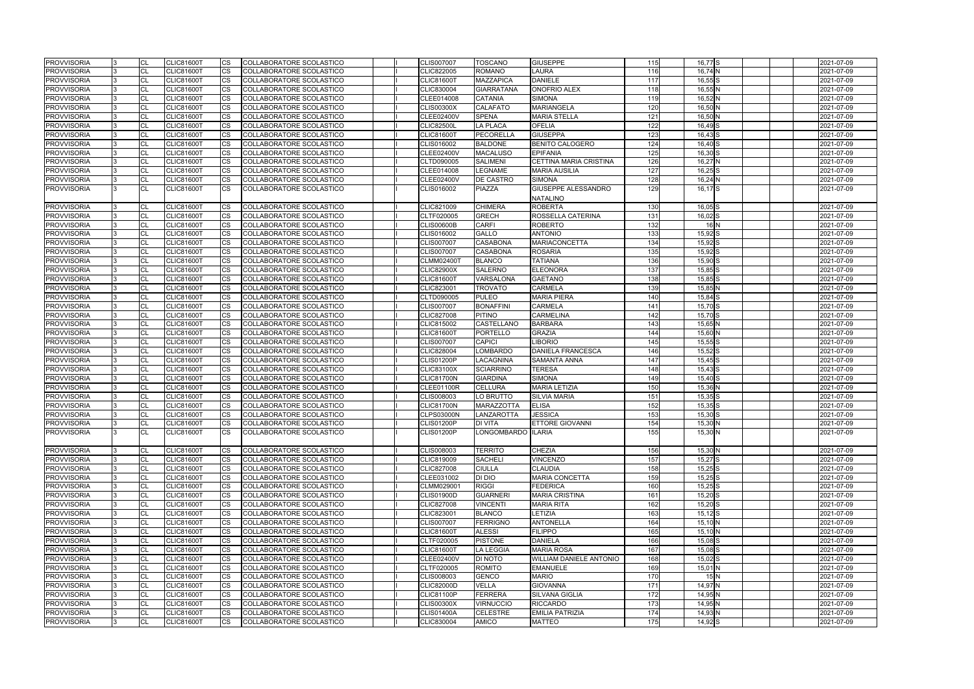| 115              | 16,77 <sup>S</sup> |  |  | 2021-07-09 |
|------------------|--------------------|--|--|------------|
| 116              | 16,74 N            |  |  | 2021-07-09 |
| $\overline{117}$ | $16,55$ $S$        |  |  | 2021-07-09 |
| $\overline{118}$ | 16,55 N            |  |  | 2021-07-09 |
| 119              | 16,52 N            |  |  | 2021-07-09 |
| 120              | 16,50 N            |  |  | 2021-07-09 |
| 121              | 16,50 N            |  |  | 2021-07-09 |
| 122              | $16,49$ S          |  |  | 2021-07-09 |
| $\overline{1}23$ | 16,43 S            |  |  | 2021-07-09 |
| $\overline{124}$ | 16,40 S            |  |  | 2021-07-09 |
| 125              | 16,30 S            |  |  | 2021-07-09 |
| 126              | 16,27 N            |  |  | 2021-07-09 |
| 127              | $16,25$ S          |  |  | 2021-07-09 |
| 128              | 16,24 N            |  |  | 2021-07-09 |
| 129              | $16,17$ S          |  |  | 2021-07-09 |
|                  |                    |  |  |            |
| 130              | $16,05$ $S$        |  |  | 2021-07-09 |
| 131              | $16,02$ S          |  |  | 2021-07-09 |
|                  |                    |  |  |            |
| 132<br>133       | 16 N<br>$15,92$ S  |  |  | 2021-07-09 |
|                  |                    |  |  | 2021-07-09 |
| 134              | 15,92 <sup>S</sup> |  |  | 2021-07-09 |
| 135              | 15,92 S            |  |  | 2021-07-09 |
| 136              | 15,90 S            |  |  | 2021-07-09 |
| 137              | 15,85 <sup>S</sup> |  |  | 2021-07-09 |
| 138              | 15,85 <sup>S</sup> |  |  | 2021-07-09 |
| $\overline{139}$ | 15,85 N            |  |  | 2021-07-09 |
| 140              | 15,84 S            |  |  | 2021-07-09 |
| 141              | 15,70 S            |  |  | 2021-07-09 |
| 142              | 15,70 S            |  |  | 2021-07-09 |
| 143              | 15,65 N            |  |  | 2021-07-09 |
| 144              | 15,60 N            |  |  | 2021-07-09 |
| 145              | 15,55 <sup>S</sup> |  |  | 2021-07-09 |
| 146              | 15,52 S            |  |  | 2021-07-09 |
| 147              | 15,45 <sup>S</sup> |  |  | 2021-07-09 |
| 148              | $15,43$ S          |  |  | 2021-07-09 |
| 149              | 15,40 S            |  |  | 2021-07-09 |
| 150              | 15,36 N            |  |  | 2021-07-09 |
| 151              | 15,35 <sup>S</sup> |  |  | 2021-07-09 |
| 152              | 15,35 <sup>S</sup> |  |  | 2021-07-09 |
| 153              | 15,30 S            |  |  | 2021-07-09 |
| 154              | 15,30 N            |  |  | 2021-07-09 |
| 155              | 15,30 N            |  |  | 2021-07-09 |
|                  |                    |  |  |            |
| 156              | 15,30 N            |  |  | 2021-07-09 |
| 157              | 15,27 <sup>S</sup> |  |  | 2021-07-09 |
| 158              | $15,25$ S          |  |  | 2021-07-09 |
| 159              | $15,25$ S          |  |  | 2021-07-09 |
| 160              | $15,25$ S          |  |  | 2021-07-09 |
| 161              | 15,20 S            |  |  | 2021-07-09 |
| 162              | 15,20 S            |  |  | 2021-07-09 |
| 163              | $15,12$ $S$        |  |  | 2021-07-09 |
| 164              | 15,10 N            |  |  | 2021-07-09 |
| 165              | 15,10 <sub>N</sub> |  |  | 2021-07-09 |
| 166              | 15,08 S            |  |  | 2021-07-09 |
| 167              | 15,08 <sup>S</sup> |  |  | 2021-07-09 |
| 168              | 15,02 S            |  |  | 2021-07-09 |
| -<br>169         | 15,01 N            |  |  | 2021-07-09 |
| 170              | 15N                |  |  | 2021-07-09 |
| 171              | 14,97 N            |  |  | 2021-07-09 |
| 172              | 14,95 N            |  |  | 2021-07-09 |
| 173              | 14,95 N            |  |  | 2021-07-09 |
| 174              | 14,93 N            |  |  | 2021-07-09 |
| $\overline{175}$ | 14,92 S            |  |  | 2021-07-09 |
|                  |                    |  |  |            |

| <b>PROVVISORIA</b> |   | CL             | <b>CLIC81600T</b> | CS.       | COLLABORATORE SCOLASTICO        |  | <b>CLIS007007</b> | <b>TOSCANO</b>     | <b>GIUSEPPE</b>            | 115              | 16,77 S            | 2021-07-09 |
|--------------------|---|----------------|-------------------|-----------|---------------------------------|--|-------------------|--------------------|----------------------------|------------------|--------------------|------------|
| <b>PROVVISORIA</b> |   | <b>CL</b>      | <b>CLIC81600T</b> | CS        | <b>COLLABORATORE SCOLASTICO</b> |  | <b>CLIC822005</b> | <b>ROMANO</b>      | LAURA                      | 116              | 16,74 N            | 2021-07-09 |
| <b>PROVVISORIA</b> |   | <b>CL</b>      | <b>CLIC81600T</b> | <b>CS</b> | COLLABORATORE SCOLASTICO        |  | <b>CLIC81600T</b> | <b>MAZZAPICA</b>   | <b>DANIELE</b>             | $\frac{117}{2}$  | 16,55 S            | 2021-07-09 |
| <b>PROVVISORIA</b> |   | <b>CL</b>      | <b>CLIC81600T</b> | CS        | COLLABORATORE SCOLASTICO        |  | CLIC830004        | <b>GIARRATANA</b>  | <b>ONOFRIO ALEX</b>        | 118              | 16,55 N            | 2021-07-09 |
| <b>PROVVISORIA</b> |   | <b>CL</b>      | <b>CLIC81600T</b> | CS        | COLLABORATORE SCOLASTICO        |  | CLEE014008        | <b>CATANIA</b>     | <b>SIMONA</b>              | 119              | 16,52 N            | 2021-07-09 |
| <b>PROVVISORIA</b> |   | <b>CL</b>      | <b>CLIC81600T</b> | CS        | COLLABORATORE SCOLASTICO        |  | <b>CLIS00300X</b> | <b>CALAFATO</b>    | <b>MARIANGELA</b>          | 120              | 16,50 N            | 2021-07-09 |
| <b>PROVVISORIA</b> |   | <b>CL</b>      | <b>CLIC81600T</b> | CS        | COLLABORATORE SCOLASTICO        |  | <b>CLEE02400V</b> | <b>SPENA</b>       | <b>MARIA STELLA</b>        | 121              | 16,50 N            | 2021-07-09 |
| <b>PROVVISORIA</b> |   | CL             | <b>CLIC81600T</b> | <b>CS</b> | COLLABORATORE SCOLASTICO        |  | <b>CLIC82500L</b> | <b>LA PLACA</b>    | <b>OFELIA</b>              | 122              | $16,49$ S          | 2021-07-09 |
| <b>PROVVISORIA</b> |   | <b>CL</b>      | <b>CLIC81600T</b> | CS        | COLLABORATORE SCOLASTICO        |  | <b>CLIC81600T</b> | PECORELLA          | <b>GIUSEPPA</b>            | 123              | $16,43$ S          | 2021-07-09 |
| <b>PROVVISORIA</b> |   | <b>CL</b>      | <b>CLIC81600T</b> | CS        | <b>COLLABORATORE SCOLASTICO</b> |  | CLIS016002        | <b>BALDONE</b>     | <b>BENITO CALOGERO</b>     | 124              | 16,40 S            | 2021-07-09 |
| <b>PROVVISORIA</b> |   | CL             | <b>CLIC81600T</b> | CS.       | COLLABORATORE SCOLASTICO        |  | <b>CLEE02400V</b> | <b>MACALUSO</b>    | EPIFANIA                   | $\overline{125}$ | 16,30 S            | 2021-07-09 |
| <b>PROVVISORIA</b> |   | CL             | <b>CLIC81600T</b> | CS        | COLLABORATORE SCOLASTICO        |  | CLTD090005        | <b>SALIMENI</b>    | CETTINA MARIA CRISTINA     | 126              | 16,27 N            | 2021-07-09 |
| <b>PROVVISORIA</b> |   | <b>CL</b>      | <b>CLIC81600T</b> | CS        | <b>COLLABORATORE SCOLASTICO</b> |  | CLEE014008        | <b>LEGNAME</b>     | <b>MARIA AUSILIA</b>       | 127              | $16,25$ S          | 2021-07-09 |
| <b>PROVVISORIA</b> |   | <b>CL</b>      | <b>CLIC81600T</b> | <b>CS</b> | COLLABORATORE SCOLASTICO        |  | <b>CLEE02400V</b> | <b>DE CASTRO</b>   | <b>SIMONA</b>              | 128              | 16,24 N            | 2021-07-09 |
| <b>PROVVISORIA</b> |   | <b>CL</b>      | <b>CLIC81600T</b> | <b>CS</b> | COLLABORATORE SCOLASTICO        |  | CLIS016002        | PIAZZA             | <b>GIUSEPPE ALESSANDRO</b> | 129              | $16,17$ S          | 2021-07-09 |
|                    |   |                |                   |           |                                 |  |                   |                    | <b>NATALINO</b>            |                  |                    |            |
| <b>PROVVISORIA</b> |   | СL             | <b>CLIC81600T</b> | CS        | COLLABORATORE SCOLASTICO        |  | CLIC821009        | <b>CHIMERA</b>     | <b>ROBERTA</b>             | 130              | 16,05 S            | 2021-07-09 |
| <b>PROVVISORIA</b> |   | CL             | <b>CLIC81600T</b> | CS        | <b>COLLABORATORE SCOLASTICO</b> |  | CLTF020005        | <b>GRECH</b>       | ROSSELLA CATERINA          | 131              | 16,02 S            | 2021-07-09 |
| <b>PROVVISORIA</b> |   | <b>CL</b>      | <b>CLIC81600T</b> | CS        | COLLABORATORE SCOLASTICO        |  | <b>CLIS00600B</b> | <b>CARFI</b>       | <b>ROBERTO</b>             | 132              | 16N                | 2021-07-09 |
| <b>PROVVISORIA</b> |   | <b>CL</b>      | <b>CLIC81600T</b> | <b>CS</b> | COLLABORATORE SCOLASTICO        |  | CLIS016002        | <b>GALLO</b>       | <b>ANTONIO</b>             | 133              | $15,92$ $S$        | 2021-07-09 |
| <b>PROVVISORIA</b> |   | <b>CL</b>      | <b>CLIC81600T</b> | CS        | COLLABORATORE SCOLASTICO        |  | <b>CLIS007007</b> | <b>CASABONA</b>    | <b>MARIACONCETTA</b>       | 134              | 15,92 <sup>S</sup> | 2021-07-09 |
| <b>PROVVISORIA</b> |   | CL             | <b>CLIC81600T</b> | CS        | COLLABORATORE SCOLASTICO        |  | <b>CLIS007007</b> | <b>CASABONA</b>    | <b>ROSARIA</b>             | 135              | 15,92 S            | 2021-07-09 |
| <b>PROVVISORIA</b> |   | CL             | <b>CLIC81600T</b> | CS        | COLLABORATORE SCOLASTICO        |  | <b>CLMM02400T</b> | <b>BLANCO</b>      | <b>TATIANA</b>             | 136              | 15,90 S            | 2021-07-09 |
| <b>PROVVISORIA</b> |   | <b>CL</b>      | <b>CLIC81600T</b> | CS        | COLLABORATORE SCOLASTICO        |  | <b>CLIC82900X</b> | <b>SALERNO</b>     | <b>ELEONORA</b>            | 137              | $15,85$ S          | 2021-07-09 |
| <b>PROVVISORIA</b> |   | CL             | <b>CLIC81600T</b> | CS        | COLLABORATORE SCOLASTICO        |  | <b>CLIC81600T</b> | <b>VARSALONA</b>   | <b>GAETANO</b>             | 138              | $15,85$ S          | 2021-07-09 |
| <b>PROVVISORIA</b> |   | <b>CL</b>      | <b>CLIC81600T</b> | <b>CS</b> | COLLABORATORE SCOLASTICO        |  | CLIC823001        | <b>TROVATO</b>     | <b>CARMELA</b>             | 139              | $15,85$ N          | 2021-07-09 |
| <b>PROVVISORIA</b> |   | <b>CL</b>      | <b>CLIC81600T</b> | CS        | COLLABORATORE SCOLASTICO        |  | CLTD090005        | <b>PULEO</b>       | <b>MARIA PIERA</b>         | 140              | 15,84 S            | 2021-07-09 |
| <b>PROVVISORIA</b> |   | <b>CL</b>      | <b>CLIC81600T</b> | CS.       | COLLABORATORE SCOLASTICO        |  | <b>CLIS007007</b> | <b>BONAFFINI</b>   | CARMELA                    | 141              | 15,70 S            | 2021-07-09 |
| <b>PROVVISORIA</b> |   | <b>CL</b>      | <b>CLIC81600T</b> | CS        | COLLABORATORE SCOLASTICO        |  | <b>CLIC827008</b> | <b>PITINO</b>      | <b>CARMELINA</b>           | 142              | 15,70 S            | 2021-07-09 |
| <b>PROVVISORIA</b> |   | <b>CL</b>      | <b>CLIC81600T</b> | CS        | COLLABORATORE SCOLASTICO        |  | CLIC815002        | <b>CASTELLANO</b>  | <b>BARBARA</b>             | 143              | 15,65 N            | 2021-07-09 |
| <b>PROVVISORIA</b> |   | <b>CL</b>      | <b>CLIC81600T</b> | CS        | COLLABORATORE SCOLASTICO        |  | <b>CLIC81600T</b> | <b>PORTELLO</b>    | <b>GRAZIA</b>              | 144              | 15,60 N            | 2021-07-09 |
| <b>PROVVISORIA</b> |   | <b>CL</b>      | <b>CLIC81600T</b> | <b>CS</b> | COLLABORATORE SCOLASTICO        |  | <b>CLIS007007</b> | <b>CAPICI</b>      | <b>LIBORIO</b>             | 145              | $15,55$ S          | 2021-07-09 |
| <b>PROVVISORIA</b> |   | <b>CL</b>      | <b>CLIC81600T</b> | <b>CS</b> | COLLABORATORE SCOLASTICO        |  | <b>CLIC828004</b> | <b>LOMBARDO</b>    | <b>DANIELA FRANCESCA</b>   | 146              | 15,52 <sup>S</sup> | 2021-07-09 |
| <b>PROVVISORIA</b> |   | <b>CL</b>      | <b>CLIC81600T</b> | CS        | COLLABORATORE SCOLASTICO        |  | <b>CLIS01200P</b> | LACAGNINA          | <b>SAMANTA ANNA</b>        | 147              | $15,45$ S          | 2021-07-09 |
| <b>PROVVISORIA</b> |   | <b>CL</b>      | <b>CLIC81600T</b> | CS        | COLLABORATORE SCOLASTICO        |  | <b>CLIC83100X</b> | <b>SCIARRINO</b>   | <b>TERESA</b>              | 148              | 15,43 S            | 2021-07-09 |
| <b>PROVVISORIA</b> |   | CL             | <b>CLIC81600T</b> | CS        | COLLABORATORE SCOLASTICO        |  | <b>CLIC81700N</b> | <b>GIARDINA</b>    | SIMONA                     | 149              | 15,40 S            | 2021-07-09 |
| <b>PROVVISORIA</b> |   | <b>CL</b>      | <b>CLIC81600T</b> | CS        | COLLABORATORE SCOLASTICO        |  | CLEE01100R        | <b>CELLURA</b>     | <b>MARIA LETIZIA</b>       | 150              | $15,36$ N          | 2021-07-09 |
| <b>PROVVISORIA</b> |   | CL             | <b>CLIC81600T</b> | CS        | COLLABORATORE SCOLASTICO        |  | CLIS008003        | LO BRUTTO          | <b>SILVIA MARIA</b>        | 151              | $15,35$ S          | 2021-07-09 |
| <b>PROVVISORIA</b> |   | CL             | <b>CLIC81600T</b> | <b>CS</b> | COLLABORATORE SCOLASTICO        |  | <b>CLIC81700N</b> | <b>MARAZZOTTA</b>  | <b>ELISA</b>               | 152              | $15,35$ S          | 2021-07-09 |
| <b>PROVVISORIA</b> |   | <b>CL</b>      | <b>CLIC81600T</b> | <b>CS</b> | COLLABORATORE SCOLASTICO        |  | CLPS03000N        | LANZAROTTA         | <b>JESSICA</b>             | 153              | 15,30 S            | 2021-07-09 |
| <b>PROVVISORIA</b> |   | $\overline{C}$ | <b>CLIC81600T</b> | <b>CS</b> | COLLABORATORE SCOLASTICO        |  | CLIS01200P        | <b>DI VITA</b>     | <b>ETTORE GIOVANNI</b>     | 154              | 15.30 N            | 2021-07-09 |
| <b>PROVVISORIA</b> | 3 | <b>CL</b>      | <b>CLIC81600T</b> | CS        | COLLABORATORE SCOLASTICO        |  | <b>CLIS01200P</b> | LONGOMBARDO ILARIA |                            | 155              | 15,30 N            | 2021-07-09 |
| <b>PROVVISORIA</b> |   | <b>CL</b>      | <b>CLIC81600T</b> | <b>CS</b> | COLLABORATORE SCOLASTICO        |  | CLIS008003        | <b>TERRITO</b>     | <b>CHEZIA</b>              | 156              | 15,30 N            | 2021-07-09 |
| <b>PROVVISORIA</b> |   | <b>CL</b>      | <b>CLIC81600T</b> | <b>CS</b> | COLLABORATORE SCOLASTICO        |  | <b>CLIC819009</b> | <b>SACHELI</b>     | <b>VINCENZO</b>            | 157              | 15,27 S            | 2021-07-09 |
| <b>PROVVISORIA</b> |   | <b>CL</b>      | <b>CLIC81600T</b> | CS.       | COLLABORATORE SCOLASTICO        |  | <b>CLIC827008</b> | <b>CIULLA</b>      | <b>CLAUDIA</b>             | 158              | $15,25$ S          | 2021-07-09 |
| <b>PROVVISORIA</b> |   | <b>CL</b>      | <b>CLIC81600T</b> | <b>CS</b> | <b>COLLABORATORE SCOLASTICO</b> |  | CLEE031002        | DI DIO             | <b>MARIA CONCETTA</b>      | 159              | $15,25$ S          | 2021-07-09 |
| <b>PROVVISORIA</b> |   | CL             | <b>CLIC81600T</b> | CS        | COLLABORATORE SCOLASTICO        |  | CLMM029001        | <b>RIGGI</b>       | <b>FEDERICA</b>            | 160              | $15,25$ S          | 2021-07-09 |
| <b>PROVVISORIA</b> |   | <b>CL</b>      | <b>CLIC81600T</b> | CS        | COLLABORATORE SCOLASTICO        |  | <b>CLIS01900D</b> | <b>GUARNERI</b>    | MARIA CRISTINA             | 161              | $15,20$ S          | 2021-07-09 |
| <b>PROVVISORIA</b> |   | <b>CL</b>      | <b>CLIC81600T</b> | CS        | COLLABORATORE SCOLASTICO        |  | <b>CLIC827008</b> | <b>VINCENTI</b>    | MARIA RITA                 | 162              | 15,20 S            | 2021-07-09 |
| <b>PROVVISORIA</b> |   | <b>CL</b>      | <b>CLIC81600T</b> | <b>CS</b> | COLLABORATORE SCOLASTICO        |  | CLIC823001        | <b>BLANCO</b>      | LETIZIA                    | 163              | $15,12$ S          | 2021-07-09 |
| <b>PROVVISORIA</b> |   | <b>CL</b>      | <b>CLIC81600T</b> | CS.       | COLLABORATORE SCOLASTICO        |  | <b>CLIS007007</b> | <b>FERRIGNO</b>    | <b>ANTONELLA</b>           | 164              | 15,10 N            | 2021-07-09 |
| <b>PROVVISORIA</b> |   | CL             | <b>CLIC81600T</b> | CS        | COLLABORATORE SCOLASTICO        |  | <b>CLIC81600T</b> | <b>ALESSI</b>      | <b>FILIPPO</b>             | 165              | $15,10$ N          | 2021-07-09 |
| <b>PROVVISORIA</b> |   | <b>CL</b>      | <b>CLIC81600T</b> | <b>CS</b> | COLLABORATORE SCOLASTICO        |  | CLTF020005        | <b>PISTONE</b>     | <b>DANIELA</b>             | 166              | 15,08 <sup>S</sup> | 2021-07-09 |
| <b>PROVVISORIA</b> |   | <b>CL</b>      | <b>CLIC81600T</b> | CS        | COLLABORATORE SCOLASTICO        |  | <b>CLIC81600T</b> | <b>LA LEGGIA</b>   | <b>MARIA ROSA</b>          | 167              | 15,08 S            | 2021-07-09 |
| <b>PROVVISORIA</b> |   | <b>CL</b>      | <b>CLIC81600T</b> | <b>CS</b> | COLLABORATORE SCOLASTICO        |  | <b>CLEE02400V</b> | <b>DI NOTO</b>     | WILLIAM DANIELE ANTONIO    | 168              | $15,02$ S          | 2021-07-09 |
| <b>PROVVISORIA</b> |   | <b>CL</b>      | <b>CLIC81600T</b> | <b>CS</b> | COLLABORATORE SCOLASTICO        |  | CLTF020005        | <b>ROMITO</b>      | <b>EMANUELE</b>            | 169              | 15,01 N            | 2021-07-09 |
| <b>PROVVISORIA</b> |   | CL             | <b>CLIC81600T</b> | <b>CS</b> | COLLABORATORE SCOLASTICO        |  | CLIS008003        | <b>GENCO</b>       | <b>MARIO</b>               | 170              | 15N                | 2021-07-09 |
| <b>PROVVISORIA</b> |   | <b>CL</b>      | <b>CLIC81600T</b> | CS.       | COLLABORATORE SCOLASTICO        |  | <b>CLIC82000D</b> | <b>VELLA</b>       | <b>GIOVANNA</b>            | 171              | 14,97 N            | 2021-07-09 |
| <b>PROVVISORIA</b> |   | <b>CL</b>      | <b>CLIC81600T</b> | CS        | COLLABORATORE SCOLASTICO        |  | <b>CLIC81100P</b> | <b>FERRERA</b>     | SILVANA GIGLIA             | 172              | 14,95 N            | 2021-07-09 |
| <b>PROVVISORIA</b> |   | <b>CL</b>      | <b>CLIC81600T</b> | CS        | COLLABORATORE SCOLASTICO        |  | <b>CLIS00300X</b> | <b>VIRNUCCIO</b>   | <b>RICCARDO</b>            | 173              | 14,95 N            | 2021-07-09 |
| <b>PROVVISORIA</b> |   | <b>CL</b>      | <b>CLIC81600T</b> | <b>CS</b> | COLLABORATORE SCOLASTICO        |  | <b>CLIS01400A</b> | <b>CELESTRE</b>    | <b>EMILIA PATRIZIA</b>     | 174              | $14,93$ N          | 2021-07-09 |
|                    |   | <b>CL</b>      |                   | <b>CS</b> |                                 |  |                   |                    |                            |                  |                    |            |
| <b>PROVVISORIA</b> |   |                | <b>CLIC81600T</b> |           | COLLABORATORE SCOLASTICO        |  | CLIC830004        | AMICO              | <b>MATTEO</b>              | 175              | 14,92 S            | 2021-07-09 |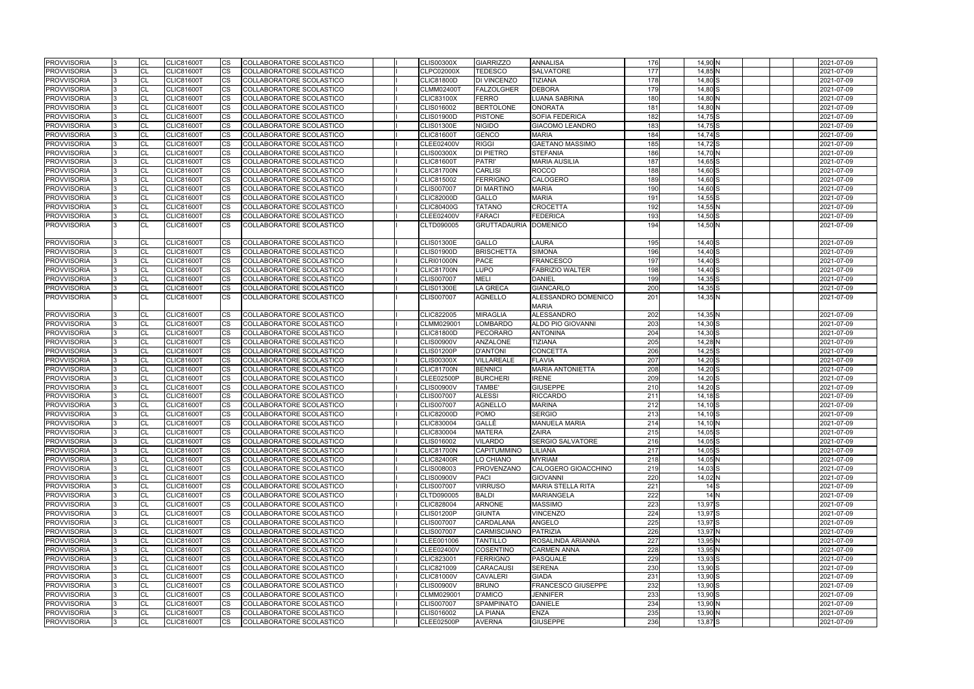| 176               | $14,90$ N            |  |  | 2021-07-09 |
|-------------------|----------------------|--|--|------------|
| 177               | 14,85 N              |  |  | 2021-07-09 |
| 178               | 14,80 S              |  |  | 2021-07-09 |
| 179               | 14,80 S              |  |  | 2021-07-09 |
| 180               | 14,80 N              |  |  | 2021-07-09 |
| 181               | 14,80 N              |  |  | 2021-07-09 |
| 182               | 14,75 S              |  |  | 2021-07-09 |
| 183               | $14,75$ S            |  |  | 2021-07-09 |
| 184               | 14,74 S              |  |  | 2021-07-09 |
| 185               | 14,72 S              |  |  | 2021-07-09 |
| 186               | 14.70 N              |  |  | 2021-07-09 |
|                   | 14,65 <sup>S</sup>   |  |  |            |
| 187               |                      |  |  | 2021-07-09 |
| 188               | 14,60 S              |  |  | 2021-07-09 |
| 189               | 14,60 S              |  |  | 2021-07-09 |
| 190               | 14,60 S              |  |  | 2021-07-09 |
| 191               | $14,55$ S            |  |  | 2021-07-09 |
| 192               | 14,55 N              |  |  | 2021-07-09 |
| 193               | 14,50 S              |  |  | 2021-07-09 |
| 194               | 14,50 N              |  |  | 2021-07-09 |
|                   |                      |  |  |            |
| 195               | 14,40 S              |  |  | 2021-07-09 |
| 196               | 14,40 S              |  |  | 2021-07-09 |
| 197               | 14,40 S              |  |  | 2021-07-09 |
| 198               | 14,40 S              |  |  | 2021-07-09 |
| 199               | 14,35 <sup>S</sup>   |  |  | 2021-07-09 |
| 200               | $14,35$ S            |  |  | 2021-07-09 |
| 201               | 14,35 N              |  |  | 2021-07-09 |
|                   |                      |  |  |            |
| 202               | 14,35 N              |  |  | 2021-07-09 |
| 203               | 14,30 S              |  |  | 2021-07-09 |
| 204               | 14,30 S              |  |  | 2021-07-09 |
| 205               | 14,28 N              |  |  | 2021-07-09 |
| 206               | $14,25$ S            |  |  | 2021-07-09 |
| 207               | 14,20 S              |  |  | 2021-07-09 |
| 208               | 14,20 S              |  |  | 2021-07-09 |
| 209               | 14,20 S              |  |  | 2021-07-09 |
| 210               | 14,20 S              |  |  | 2021-07-09 |
| 211               | $14,18$ $S$          |  |  | 2021-07-09 |
| 212               | 14,10 S              |  |  | 2021-07-09 |
| 213               |                      |  |  |            |
|                   | $14,10$ S            |  |  | 2021-07-09 |
| 214               | 14,10 N              |  |  | 2021-07-09 |
| $\overline{215}$  | 14,05 S              |  |  | 2021-07-09 |
| 216               | $\overline{14,05}$ S |  |  | 2021-07-09 |
| 217               | 14,05 <sup>S</sup>   |  |  | 2021-07-09 |
| $\overline{2}$ 18 | $14,05$ <sub>N</sub> |  |  | 2021-07-09 |
| 219               | $14,03$ S            |  |  | 2021-07-09 |
| 220               | 14,02 N              |  |  | 2021-07-09 |
| 221               | $14$ $S$             |  |  | 2021-07-09 |
| 222               | 14 <sub>N</sub>      |  |  | 2021-07-09 |
| 223               | 13,97 <sup>S</sup>   |  |  | 2021-07-09 |
| 224               | 13,97 <sup>S</sup>   |  |  | 2021-07-09 |
| -<br>225          | 13,97 S              |  |  | 2021-07-09 |
| 226               | $13,97$ N            |  |  | 2021-07-09 |
| 227               | 13,95 N              |  |  | 2021-07-09 |
| 228               | 13,95 N              |  |  | 2021-07-09 |
| 229               | 13,93 <sup>S</sup>   |  |  | 2021-07-09 |
| 230               | 13,90 S              |  |  | 2021-07-09 |
| 231               | $13,90$ S            |  |  | 2021-07-09 |
| 232               | 13,90 S              |  |  | 2021-07-09 |
| 233               | 13,90 S              |  |  | 2021-07-09 |
| 234               | 13,90 N              |  |  | 2021-07-09 |
| 235               | 13,90 N              |  |  | 2021-07-09 |
| 236               | 13,87 <sup>S</sup>   |  |  | 2021-07-09 |
|                   |                      |  |  |            |

| <b>PROVVISORIA</b> | 13  | <b>CL</b> | <b>CLIC81600T</b> | CS        | COLLABORATORE SCOLASTICO |  | <b>CLIS00300X</b> | <b>GIARRIZZO</b>      | <b>ANNALISA</b>         | 176              | 14,90 N            | 2021-07-09       |
|--------------------|-----|-----------|-------------------|-----------|--------------------------|--|-------------------|-----------------------|-------------------------|------------------|--------------------|------------------|
| <b>PROVVISORIA</b> |     | <b>CL</b> | <b>CLIC81600T</b> | <b>CS</b> | COLLABORATORE SCOLASTICO |  | <b>CLPC02000X</b> | <b>TEDESCO</b>        | SALVATORE               | 177              | $14,85$ N          | 2021-07-09       |
| <b>PROVVISORIA</b> |     | <b>CL</b> | <b>CLIC81600T</b> | CS        | COLLABORATORE SCOLASTICO |  | <b>CLIC81800D</b> | <b>DI VINCENZO</b>    | TIZIANA                 | 178              | 14,80 S            | 2021-07-09       |
| <b>PROVVISORIA</b> |     | <b>CL</b> | <b>CLIC81600T</b> | CS        | COLLABORATORE SCOLASTICO |  | <b>CLMM02400T</b> | <b>FALZOLGHER</b>     | <b>DEBORA</b>           | 179              | 14,80 S            | 2021-07-09       |
| <b>PROVVISORIA</b> |     | <b>CL</b> | <b>CLIC81600T</b> | СS        | COLLABORATORE SCOLASTICO |  | <b>CLIC83100X</b> | <b>FERRO</b>          | LUANA SABRINA           | 180              | 14,80 N            | 2021-07-09       |
| <b>PROVVISORIA</b> |     | <b>CL</b> | <b>CLIC81600T</b> | CS        | COLLABORATORE SCOLASTICO |  | CLIS016002        | <b>BERTOLONE</b>      | <b>ONORATA</b>          | 181              | 14,80 N            | 2021-07-09       |
| PROVVISORIA        |     | <b>CL</b> | <b>CLIC81600T</b> | CS        | COLLABORATORE SCOLASTICO |  | <b>CLIS01900D</b> | <b>PISTONE</b>        | SOFIA FEDERICA          | 182              | 14,75 S            | 2021-07-09       |
| <b>PROVVISORIA</b> |     | CL        | <b>CLIC81600T</b> | CS        | COLLABORATORE SCOLASTICO |  | <b>CLIS01300E</b> | <b>NIGIDO</b>         | <b>GIACOMO LEANDRO</b>  | 183              | 14,75 S            | 2021-07-09       |
| <b>PROVVISORIA</b> |     | <b>CL</b> | <b>CLIC81600T</b> | CS        | COLLABORATORE SCOLASTICO |  | <b>CLIC81600T</b> | <b>GENCO</b>          | MARIA                   | 184              | 14,74 S            | 2021-07-09       |
| <b>PROVVISORIA</b> |     | <b>CL</b> | <b>CLIC81600T</b> | CS.       | COLLABORATORE SCOLASTICO |  | <b>CLEE02400V</b> | <b>RIGGI</b>          | <b>GAETANO MASSIMO</b>  | 185              | 14,72 S            | 2021-07-09       |
| <b>PROVVISORIA</b> |     | <b>CL</b> | <b>CLIC81600T</b> | СS        | COLLABORATORE SCOLASTICO |  | <b>CLIS00300X</b> | <b>DI PIETRO</b>      | <b>STEFANIA</b>         | 186              | 14,70 N            | 2021-07-09       |
| <b>PROVVISORIA</b> |     | <b>CL</b> | <b>CLIC81600T</b> | CS        | COLLABORATORE SCOLASTICO |  | <b>CLIC81600T</b> | <b>PATRI</b>          | <b>MARIA AUSILIA</b>    | 187              | $14,65$ S          | 2021-07-09       |
| <b>PROVVISORIA</b> |     | <b>CL</b> | <b>CLIC81600T</b> | CS        | COLLABORATORE SCOLASTICO |  | <b>CLIC81700N</b> | <b>CARLISI</b>        | <b>ROCCO</b>            | 188              | 14,60 S            | 2021-07-09       |
| PROVVISORIA        |     | <b>CL</b> | <b>CLIC81600T</b> | CS        | COLLABORATORE SCOLASTICO |  | CLIC815002        | <b>FERRIGNO</b>       | CALOGERO                | 189              | 14,60 S            | 2021-07-09       |
| <b>PROVVISORIA</b> | l3. | <b>CL</b> | <b>CLIC81600T</b> | <b>CS</b> | COLLABORATORE SCOLASTICO |  | <b>CLIS007007</b> | <b>DI MARTINO</b>     | <b>MARIA</b>            | 190              | 14,60 S            | 2021-07-09       |
| PROVVISORIA        |     | <b>CL</b> | <b>CLIC81600T</b> | CS        | COLLABORATORE SCOLASTICO |  | <b>CLIC82000D</b> | <b>GALLO</b>          | <b>MARIA</b>            | 191              | $14,55$ S          | 2021-07-09       |
| <b>PROVVISORIA</b> |     | <b>CL</b> | <b>CLIC81600T</b> | СS        | COLLABORATORE SCOLASTICO |  | <b>CLIC80400G</b> | <b>TATANO</b>         | CROCETTA                | 192              | $14,55$ N          | 2021-07-09       |
| <b>PROVVISORIA</b> | 13. | <b>CL</b> | <b>CLIC81600T</b> | CS        | COLLABORATORE SCOLASTICO |  | <b>CLEE02400V</b> | <b>FARACI</b>         | <b>FEDERICA</b>         | 193              | 14,50 S            | 2021-07-09       |
| <b>PROVVISORIA</b> |     | <b>CL</b> | <b>CLIC81600T</b> | CS        | COLLABORATORE SCOLASTICO |  | CLTD090005        | GRUTTADAURIA DOMENICO |                         | 194              | 14,50 N            | $2021 - 07 - 09$ |
|                    |     |           |                   |           |                          |  |                   |                       |                         |                  |                    |                  |
| <b>PROVVISORIA</b> |     | <b>CL</b> | <b>CLIC81600T</b> | <b>CS</b> | COLLABORATORE SCOLASTICO |  | <b>CLIS01300E</b> | <b>GALLO</b>          | LAURA                   | 195              | $14,40$ S          | 2021-07-09       |
| <b>PROVVISORIA</b> |     | <b>CL</b> | <b>CLIC81600T</b> | CS        | COLLABORATORE SCOLASTICO |  | <b>CLIS01900D</b> | <b>BRISCHETTA</b>     | <b>SIMONA</b>           | 196              | 14,40 S            | 2021-07-09       |
| <b>PROVVISORIA</b> |     | <b>CL</b> | CLIC81600T        | СS        | COLLABORATORE SCOLASTICO |  | CLRI01000N        | <b>PACE</b>           | <b>FRANCESCO</b>        | 197              | 14,40 S            | 2021-07-09       |
| <b>PROVVISORIA</b> |     | <b>CL</b> | <b>CLIC81600T</b> | CS        | COLLABORATORE SCOLASTICO |  | <b>CLIC81700N</b> | <b>LUPO</b>           | <b>FABRIZIO WALTER</b>  | 198              | 14,40 S            | 2021-07-09       |
| <b>PROVVISORIA</b> |     | <b>CL</b> | <b>CLIC81600T</b> | CS.       | COLLABORATORE SCOLASTICO |  | <b>CLIS007007</b> | <b>MELI</b>           | <b>DANIEL</b>           | 199              | $14,35$ S          | 2021-07-09       |
| <b>PROVVISORIA</b> |     | <b>CL</b> | <b>CLIC81600T</b> | CS        | COLLABORATORE SCOLASTICO |  | <b>CLIS01300E</b> | <b>LA GRECA</b>       | <b>GIANCARLO</b>        | 200              | $14,35$ S          | 2021-07-09       |
| <b>PROVVISORIA</b> | l3. | <b>CL</b> | <b>CLIC81600T</b> | CS        | COLLABORATORE SCOLASTICO |  | <b>CLIS007007</b> | <b>AGNELLO</b>        | ALESSANDRO DOMENICO     | 201              | 14,35 N            | 2021-07-09       |
|                    |     |           |                   |           |                          |  |                   |                       | <b>MARIA</b>            |                  |                    |                  |
| <b>PROVVISORIA</b> |     | <b>CL</b> | <b>CLIC81600T</b> | СS        | COLLABORATORE SCOLASTICO |  | <b>CLIC822005</b> | <b>MIRAGLIA</b>       | <b>ALESSANDRO</b>       | 202              | 14,35 N            | 2021-07-09       |
| <b>PROVVISORIA</b> |     | <b>CL</b> | <b>CLIC81600T</b> | CS        | COLLABORATORE SCOLASTICO |  | CLMM029001        | LOMBARDO              | ALDO PIO GIOVANNI       | $\overline{203}$ | 14,30 S            | 2021-07-09       |
| <b>PROVVISORIA</b> |     | <b>CL</b> | <b>CLIC81600T</b> | CS        | COLLABORATORE SCOLASTICO |  | <b>CLIC81800D</b> | <b>PECORARO</b>       | ANTONINA                | 204              | $14,30$ S          | 2021-07-09       |
| <b>PROVVISORIA</b> |     | <b>CL</b> | <b>CLIC81600T</b> | CS        | COLLABORATORE SCOLASTICO |  | <b>CLIS00900V</b> | <b>ANZALONE</b>       | <b>TIZIANA</b>          | 205              | 14,28 N            | 2021-07-09       |
| <b>PROVVISORIA</b> |     | <b>CL</b> | <b>CLIC81600T</b> | CS        | COLLABORATORE SCOLASTICO |  | <b>CLIS01200P</b> | <b>D'ANTONI</b>       | <b>CONCETTA</b>         | 206              | $14,25$ S          | 2021-07-09       |
| <b>PROVVISORIA</b> |     | <b>CL</b> | <b>CLIC81600T</b> | CS.       | COLLABORATORE SCOLASTICO |  | <b>CLIS00300X</b> | <b>VILLAREALE</b>     | FLAVIA                  | 207              | $14,20$ S          | 2021-07-09       |
| <b>PROVVISORIA</b> |     | <b>CL</b> | <b>CLIC81600T</b> | CS        | COLLABORATORE SCOLASTICO |  | <b>CLIC81700N</b> | <b>BENNICI</b>        | <b>MARIA ANTONIETTA</b> | 208              | $14,20$ S          | 2021-07-09       |
| <b>PROVVISORIA</b> |     | <b>CL</b> | <b>CLIC81600T</b> | СS        | COLLABORATORE SCOLASTICO |  | <b>CLEE02500P</b> | <b>BURCHERI</b>       | <b>IRENE</b>            | 209              | $14,20$ S          | 2021-07-09       |
| <b>PROVVISORIA</b> |     | <b>CL</b> | <b>CLIC81600T</b> | CS        | COLLABORATORE SCOLASTICO |  | <b>CLIS00900V</b> | TAMBE'                | <b>GIUSEPPE</b>         | 210              | $14,20$ S          | 2021-07-09       |
| <b>PROVVISORIA</b> |     | <b>CL</b> | <b>CLIC81600T</b> | CS        | COLLABORATORE SCOLASTICO |  | <b>CLIS007007</b> | <b>ALESSI</b>         | <b>RICCARDO</b>         | 211              | $14,18$ S          | 2021-07-09       |
| PROVVISORIA        |     | <b>CL</b> | <b>CLIC81600T</b> | CS        | COLLABORATORE SCOLASTICO |  | <b>CLIS007007</b> | <b>AGNELLO</b>        | MARINA                  | 212              | $14,10$ S          | 2021-07-09       |
| <b>PROVVISORIA</b> |     | <b>CL</b> | <b>CLIC81600T</b> | CS        | COLLABORATORE SCOLASTICO |  | <b>CLIC82000D</b> | <b>POMO</b>           | SERGIO                  | 213              | $14,10$ S          | 2021-07-09       |
| <b>PROVVISORIA</b> | l3. | CL        | <b>CLIC81600T</b> | <b>CS</b> | COLLABORATORE SCOLASTICO |  | CLIC830004        | GALLÈ                 | <b>MANUELA MARIA</b>    | 214              | 14,10 N            | 2021-07-09       |
| <b>PROVVISORIA</b> |     | <b>CL</b> | <b>CLIC81600T</b> | CS        | COLLABORATORE SCOLASTICO |  | CLIC830004        | <b>MATERA</b>         | <b>ZAIRA</b>            | 215              | 14,05 S            | 2021-07-09       |
| <b>PROVVISORIA</b> |     | <b>CL</b> | <b>CLIC81600T</b> | CS        | COLLABORATORE SCOLASTICO |  | CLIS016002        | <b>VILARDO</b>        | SERGIO SALVATORE        | 216              | 14,05 <sup>S</sup> | 2021-07-09       |
| <b>PROVVISORIA</b> |     | <b>CL</b> | <b>CLIC81600T</b> | <b>CS</b> | COLLABORATORE SCOLASTICO |  | <b>CLIC81700N</b> | <b>CAPITUMMINO</b>    | LILIANA                 | 217              | $14,05$ S          | 2021-07-09       |
| <b>PROVVISORIA</b> |     | <b>CL</b> | <b>CLIC81600T</b> | CS        | COLLABORATORE SCOLASTICO |  | <b>CLIC82400R</b> | LO CHIANO             | <b>MYRIAM</b>           | 218              | 14,05 N            | 2021-07-09       |
| <b>PROVVISORIA</b> |     | <b>CL</b> | <b>CLIC81600T</b> | CS        | COLLABORATORE SCOLASTICO |  | CLIS008003        | PROVENZANO            | CALOGERO GIOACCHINO     | 219              | $14,03$ S          | 2021-07-09       |
| <b>PROVVISORIA</b> |     | <b>CL</b> | <b>CLIC81600T</b> | CS        | COLLABORATORE SCOLASTICO |  | <b>CLIS00900V</b> | PACI                  | GIOVANNI                | 220              | 14,02 N            | 2021-07-09       |
| <b>PROVVISORIA</b> |     | <b>CL</b> | <b>CLIC81600T</b> | СS        | COLLABORATORE SCOLASTICO |  | <b>CLIS007007</b> | <b>VIRRUSO</b>        | MARIA STELLA RITA       | 221              | 14S                | 2021-07-09       |
| <b>PROVVISORIA</b> |     | <b>CL</b> | <b>CLIC81600T</b> | CS        | COLLABORATORE SCOLASTICO |  | CLTD090005        | <b>BALDI</b>          | MARIANGELA              | 222              | 14 N               | 2021-07-09       |
| <b>PROVVISORIA</b> |     | <b>CL</b> | CLIC81600T        | CS        | COLLABORATORE SCOLASTICO |  | <b>CLIC828004</b> | <b>ARNONE</b>         | <b>MASSIMO</b>          | 223              | 13,97 <sup>S</sup> | 2021-07-09       |
| <b>PROVVISORIA</b> |     | CL        | <b>CLIC81600T</b> | CS        | COLLABORATORE SCOLASTICO |  | <b>CLIS01200P</b> | <b>GIUNTA</b>         | <b>VINCENZO</b>         | 224              | 13,97 <sup>S</sup> | 2021-07-09       |
| PROVVISORIA        |     | <b>CL</b> | <b>CLIC81600T</b> | <b>CS</b> | COLLABORATORE SCOLASTICO |  | <b>CLIS007007</b> | <b>CARDALANA</b>      | ANGELO                  | 225              | 13,97 <sup>S</sup> | 2021-07-09       |
| <b>PROVVISORIA</b> |     | <b>CL</b> | <b>CLIC81600T</b> | CS.       | COLLABORATORE SCOLASTICO |  | <b>CLIS007007</b> | <b>CARMISCIANO</b>    | <b>PATRIZIA</b>         | 226              | 13,97 N            | 2021-07-09       |
| <b>PROVVISORIA</b> |     | <b>CL</b> | <b>CLIC81600T</b> | CS        | COLLABORATORE SCOLASTICO |  | CLEE001006        | <b>TANTILLO</b>       | ROSALINDA ARIANNA       | 227              | 13,95 N            | 2021-07-09       |
| <b>PROVVISORIA</b> |     | <b>CL</b> | <b>CLIC81600T</b> | CS        | COLLABORATORE SCOLASTICO |  | <b>CLEE02400V</b> | <b>COSENTINO</b>      | CARMEN ANNA             | 228              | 13,95 N            | 2021-07-09       |
| <b>PROVVISORIA</b> |     | CL        | <b>CLIC81600T</b> | CS        | COLLABORATORE SCOLASTICO |  | CLIC823001        | <b>FERRIGNO</b>       | PASQUALE                | 229              | $13,93$ S          | 2021-07-09       |
| <b>PROVVISORIA</b> |     | <b>CL</b> | <b>CLIC81600T</b> | CS        | COLLABORATORE SCOLASTICO |  | CLIC821009        | <b>CARACAUSI</b>      | <b>SERENA</b>           | 230              | 13,90 S            | 2021-07-09       |
| <b>PROVVISORIA</b> |     | <b>CL</b> | <b>CLIC81600T</b> | CS        | COLLABORATORE SCOLASTICO |  | <b>CLIC81000V</b> | <b>CAVALERI</b>       | GIADA                   | 231              | 13,90 S            | 2021-07-09       |
| <b>PROVVISORIA</b> |     | <b>CL</b> | <b>CLIC81600T</b> | CS        | COLLABORATORE SCOLASTICO |  | <b>CLIS00900V</b> | <b>BRUNO</b>          | FRANCESCO GIUSEPPE      | 232              | 13,90 S            | 2021-07-09       |
| <b>PROVVISORIA</b> |     | <b>CL</b> | <b>CLIC81600T</b> | CS        | COLLABORATORE SCOLASTICO |  | CLMM029001        | <b>D'AMICO</b>        | <b>JENNIFER</b>         | 233              | 13,90 S            | 2021-07-09       |
| <b>PROVVISORIA</b> |     |           | <b>CLIC81600T</b> |           | COLLABORATORE SCOLASTICO |  | <b>CLIS007007</b> | <b>SPAMPINATO</b>     | <b>DANIELE</b>          | 234              | 13,90 N            | 2021-07-09       |
|                    |     | <b>CL</b> |                   | СS        |                          |  |                   |                       |                         | 235              |                    |                  |
| <b>PROVVISORIA</b> |     | CL        | <b>CLIC81600T</b> | СS        | COLLABORATORE SCOLASTICO |  | CLIS016002        | <b>LA PIANA</b>       | ENZA                    |                  | 13,90 N            | 2021-07-09       |
| <b>PROVVISORIA</b> |     | <b>CL</b> | <b>CLIC81600T</b> | CS        | COLLABORATORE SCOLASTICO |  | <b>CLEE02500P</b> | <b>AVERNA</b>         | <b>GIUSEPPE</b>         | 236              | 13,87 <sup>S</sup> | 2021-07-09       |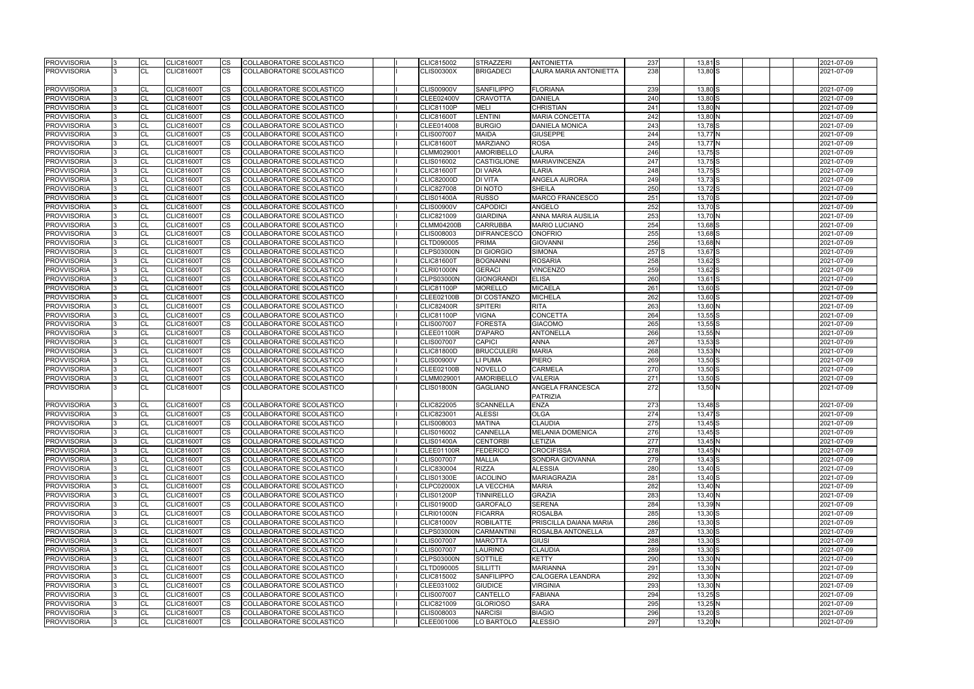| <b>CS</b><br><b>PROVVISORIA</b><br>l3<br><b>CL</b><br><b>CLIC81600T</b><br>COLLABORATORE SCOLASTICO<br><b>CLIS00300X</b><br><b>BRIGADECI</b><br>238<br>13,80 S<br>2021-07-09<br>LAURA MARIA ANTONIETTA<br>CS<br><b>PROVVISORIA</b><br><b>CLIC81600T</b><br>COLLABORATORE SCOLASTICO<br><b>CLIS00900V</b><br><b>SANFILIPPO</b><br><b>FLORIANA</b><br>239<br>13,80 S<br>2021-07-09<br>CL<br>13<br><b>PROVVISORIA</b><br><b>CS</b><br>13,80 S<br>l3<br><b>CLIC81600T</b><br>COLLABORATORE SCOLASTICO<br><b>CLEE02400V</b><br><b>CRAVOTTA</b><br><b>DANIELA</b><br>240<br>2021-07-09<br>CL<br>CS<br>241<br>13,80 N<br><b>PROVVISORIA</b><br>COLLABORATORE SCOLASTICO<br><b>CLIC81100P</b><br><b>MELI</b><br><b>CHRISTIAN</b><br>2021-07-09<br>l3<br><b>CL</b><br>CLIC81600T<br>$\overline{\text{CS}}$<br>242<br><b>LENTINI</b><br>13,80 N<br><b>PROVVISORIA</b><br><b>CLIC81600T</b><br>COLLABORATORE SCOLASTICO<br><b>CLIC81600T</b><br><b>MARIA CONCETTA</b><br>2021-07-09<br>l3<br>СL<br><b>CS</b><br>243<br><b>PROVVISORIA</b><br>l3<br><b>CL</b><br><b>CLIC81600T</b><br>COLLABORATORE SCOLASTICO<br>CLEE014008<br><b>BURGIO</b><br><b>DANIELA MONICA</b><br>$13.78$ S<br>2021-07-09<br>CS<br><b>GIUSEPPE</b><br><b>PROVVISORIA</b><br><b>CLIC81600T</b><br>COLLABORATORE SCOLASTICO<br><b>CLIS007007</b><br><b>MAIDA</b><br>244<br>13,77 N<br>2021-07-09<br>l3<br><b>CL</b><br>$\overline{\text{cs}}$<br>245<br>13,77N<br><b>PROVVISORIA</b><br><b>MARZIANO</b><br>2021-07-09<br>l3<br><b>CLIC81600T</b><br>COLLABORATORE SCOLASTICO<br><b>CLIC81600T</b><br><b>ROSA</b><br>СL<br><b>CS</b><br><b>PROVVISORIA</b><br>l3<br>246<br>13,75 S<br><b>CLIC81600T</b><br>COLLABORATORE SCOLASTICO<br>CLMM029001<br><b>AMORIBELLO</b><br><b>LAURA</b><br>2021-07-09<br><b>CL</b><br>CS<br>$\overline{247}$<br><b>PROVVISORIA</b><br><b>MARIAVINCENZA</b><br>$13,75$ S<br>l3<br><b>CL</b><br><b>CLIC81600T</b><br>COLLABORATORE SCOLASTICO<br>CLIS016002<br><b>CASTIGLIONE</b><br>2021-07-09<br>248<br>CS<br>$13,75$ S<br><b>PROVVISORIA</b><br>l3<br><b>CLIC81600T</b><br>COLLABORATORE SCOLASTICO<br><b>CLIC81600T</b><br><b>DI VARA</b><br><b>ILARIA</b><br>2021-07-09<br>CL<br>CS<br>249<br>$13,73$ $S$<br><b>PROVVISORIA</b><br><b>CLIC82000D</b><br><b>DI VITA</b><br><b>ANGELA AURORA</b><br>l3<br>CL<br>CLIC81600T<br>COLLABORATORE SCOLASTICO<br>2021-07-09<br>CS<br>250<br><b>PROVVISORIA</b><br>l3<br><b>CLIC81600T</b><br>COLLABORATORE SCOLASTICO<br><b>CLIC827008</b><br><b>DI NOTO</b><br><b>SHEILA</b><br>13,72 S<br>2021-07-09<br>CL<br><b>PROVVISORIA</b><br>CS<br><b>MARCO FRANCESCO</b><br>251<br>13,70 S<br><b>CLIC81600T</b><br>COLLABORATORE SCOLASTICO<br><b>CLIS01400A</b><br><b>RUSSO</b><br>2021-07-09<br>l3<br>СL<br>CS<br>252<br>13,70 S<br><b>PROVVISORIA</b><br><b>CLIC81600T</b><br>COLLABORATORE SCOLASTICO<br><b>CAPODICI</b><br><b>ANGELO</b><br>2021-07-09<br>l3<br>СL<br>CLIS00900V<br>$\overline{\text{cs}}$<br><b>PROVVISORIA</b><br>$\overline{253}$<br>13,70 N<br>l3<br><b>CLIC81600T</b><br>COLLABORATORE SCOLASTICO<br>CLIC821009<br><b>GIARDINA</b><br><b>ANNA MARIA AUSILIA</b><br>2021-07-09<br>CL<br>254<br><b>PROVVISORIA</b><br>CS<br>13,68 <sup>S</sup><br><b>CLIC81600T</b><br>COLLABORATORE SCOLASTICO<br><b>CLMM04200B</b><br><b>CARRUBBA</b><br><b>MARIO LUCIANO</b><br>2021-07-09<br>l3<br>CL<br>CS<br>255<br><b>ONOFRIO</b><br>13,68 S<br><b>PROVVISORIA</b><br>CLIC81600T<br>COLLABORATORE SCOLASTICO<br>CLIS008003<br><b>DIFRANCESCO</b><br>2021-07-09<br>СL<br>ıз<br>$\overline{\text{CS}}$<br>256<br><b>PROVVISORIA</b><br><b>GIOVANNI</b><br>13,68 N<br>2021-07-09<br>l3<br><b>CL</b><br><b>CLIC81600T</b><br>COLLABORATORE SCOLASTICO<br>CLTD090005<br><b>PRIMA</b><br><b>PROVVISORIA</b><br>CS<br>257 <sub>S</sub><br>13,67 S<br>2021-07-09<br>l3<br><b>CLIC81600T</b><br>COLLABORATORE SCOLASTICO<br><b>CLPS03000N</b><br><b>DI GIORGIO</b><br><b>SIMONA</b><br>СL<br>CS<br>258<br>13,62 S<br><b>PROVVISORIA</b><br><b>ROSARIA</b><br>2021-07-09<br>l3<br><b>CLIC81600T</b><br>COLLABORATORE SCOLASTICO<br><b>CLIC81600T</b><br><b>BOGNANNI</b><br>СL<br><b>CS</b><br>259<br>13,62 S<br><b>PROVVISORIA</b><br>l3<br><b>GERACI</b><br><b>VINCENZO</b><br>2021-07-09<br><b>CL</b><br><b>CLIC81600T</b><br>COLLABORATORE SCOLASTICO<br><b>CLRI01000N</b><br>CS<br>260<br>13,61 S<br><b>PROVVISORIA</b><br>l3<br><b>CLIC81600T</b><br><b>CLPS03000N</b><br><b>GIONGRANDI</b><br><b>ELISA</b><br>2021-07-09<br>COLLABORATORE SCOLASTICO<br>СL<br>CS<br>$\overline{261}$<br><b>MORELLO</b><br><b>MICAELA</b><br>13,60 S<br><b>PROVVISORIA</b><br><b>CLIC81600T</b><br>COLLABORATORE SCOLASTICO<br>CLIC81100P<br>2021-07-09<br>I3<br>СL<br><b>CS</b><br>262<br><b>PROVVISORIA</b><br>l3<br><b>CLIC81600T</b><br>COLLABORATORE SCOLASTICO<br><b>CLEE02100B</b><br><b>DI COSTANZO</b><br><b>MICHELA</b><br>13,60 S<br>2021-07-09<br>CL<br>CS<br>263<br>13,60 N<br><b>PROVVISORIA</b><br><b>CLIC81600T</b><br>COLLABORATORE SCOLASTICO<br><b>CLIC82400R</b><br><b>SPITERI</b><br><b>RITA</b><br>2021-07-09<br>l3<br>CL<br>$\overline{\text{cs}}$<br>264<br>$13,55$ $S$<br><b>PROVVISORIA</b><br><b>CLIC81600T</b><br>COLLABORATORE SCOLASTICO<br><b>CLIC81100P</b><br><b>VIGNA</b><br><b>CONCETTA</b><br>2021-07-09<br>l3<br>СL<br>CS<br>265<br>$13,55$ $S$<br><b>PROVVISORIA</b><br><b>CLIC81600T</b><br>COLLABORATORE SCOLASTICO<br><b>FORESTA</b><br><b>GIACOMO</b><br>2021-07-09<br>l3<br>CL<br>CLIS007007<br>CS<br>266<br>13,55 N<br><b>PROVVISORIA</b><br>COLLABORATORE SCOLASTICO<br><b>CLEE01100R</b><br><b>D'APARO</b><br>2021-07-09<br>l3<br><b>CL</b><br>CLIC81600T<br><b>ANTONELLA</b><br>$\overline{\text{cs}}$<br>267<br>$13,53$ $S$<br><b>PROVVISORIA</b><br><b>CLIC81600T</b><br>COLLABORATORE SCOLASTICO<br><b>CAPICI</b><br><b>ANNA</b><br>2021-07-09<br>l3<br>CL<br>CLIS007007<br><b>CS</b><br>268<br>13,53 N<br><b>PROVVISORIA</b><br><b>BRUCCULERI</b><br><b>MARIA</b><br>l3<br><b>CL</b><br>CLIC81600T<br>COLLABORATORE SCOLASTICO<br><b>CLIC81800D</b><br>2021-07-09<br>CS<br>269<br><b>PROVVISORIA</b><br><b>CLIS00900V</b><br><b>PIERO</b><br>13,50 S<br>2021-07-09<br>l3<br>CL<br><b>CLIC81600T</b><br>COLLABORATORE SCOLASTICO<br>LI PUMA<br><b>CS</b><br>270<br><b>PROVVISORIA</b><br><b>NOVELLO</b><br><b>CARMELA</b><br>13,50 S<br>2021-07-09<br>l3<br><b>CLIC81600T</b><br>COLLABORATORE SCOLASTICO<br><b>CLEE02100B</b><br>СL<br><b>CS</b><br><b>VALERIA</b><br>271<br>13,50 S<br><b>PROVVISORIA</b><br>l3<br><b>CLIC81600T</b><br>COLLABORATORE SCOLASTICO<br>CLMM029001<br><b>AMORIBELLO</b><br>2021-07-09<br>СL<br><b>CS</b><br>272<br>13,50 N<br><b>PROVVISORIA</b><br>l3<br><b>ANGELA FRANCESCA</b><br>2021-07-09<br>CL<br><b>CLIC81600T</b><br>COLLABORATORE SCOLASTICO<br><b>CLIS01800N</b><br><b>GAGLIANO</b><br><b>PATRIZIA</b><br><b>CS</b><br>273<br><b>PROVVISORIA</b><br><b>CL</b><br>COLLABORATORE SCOLASTICO<br><b>CLIC822005</b><br><b>SCANNELLA</b><br><b>ENZA</b><br>13,48 S<br>2021-07-09<br>l3<br><b>CLIC81600T</b><br><b>PROVVISORIA</b><br><b>CS</b><br><b>OLGA</b><br>274<br>13,47 <sup>S</sup><br>l3<br>CL<br><b>CLIC81600T</b><br>COLLABORATORE SCOLASTICO<br>CLIC823001<br><b>ALESSI</b><br>2021-07-09<br>$\overline{\text{cs}}$<br>275<br><b>PROVVISORIA</b><br>I٩<br><b>CL</b><br><b>MATINA</b><br>13,45 S<br><b>CLIC81600T</b><br>COLLABORATORE SCOLASTICO<br>CLIS008003<br><b>CLAUDIA</b><br>2021-07-09<br><b>PROVVISORIA</b><br>$13,45$ S<br>l3<br><b>CLIC81600T</b><br><b>CS</b><br>CANNELLA<br>276<br>2021-07-09<br>COLLABORATORE SCOLASTICO<br>CLIS016002<br><b>MELANIA DOMENICA</b><br>277<br><b>PROVVISORIA</b><br><b>CS</b><br>13,45 N<br><b>CLIC81600T</b><br>COLLABORATORE SCOLASTICO<br><b>CLIS01400A</b><br><b>CENTORBI</b><br>LETIZIA<br>2021-07-09<br>CL<br>278<br><b>PROVVISORIA</b><br><b>CLIC81600T</b><br><b>CS</b><br>COLLABORATORE SCOLASTICO<br>CLEE01100R<br><b>FEDERICO</b><br><b>CROCIFISSA</b><br>13,45 N<br>2021-07-09<br>CL<br>CS<br>279<br><b>PROVVISORIA</b><br><b>CLIC81600T</b><br><b>CLIS007007</b><br><b>MALLIA</b><br>SONDRA GIOVANNA<br>$13,43$ S<br>2021-07-09<br>COLLABORATORE SCOLASTICO<br><b>PROVVISORIA</b><br><b>ALESSIA</b><br>280<br><b>CLIC81600T</b><br><b>CS</b><br>COLLABORATORE SCOLASTICO<br>CLIC830004<br><b>RIZZA</b><br>13,40 S<br>2021-07-09<br>l3<br><b>CL</b><br><b>PROVVISORIA</b><br><b>MARIAGRAZIA</b><br>281<br><b>CLIC81600T</b><br><b>CS</b><br>COLLABORATORE SCOLASTICO<br><b>CLIS01300E</b><br><b>IACOLINO</b><br>13,40 S<br>2021-07-09<br>l3<br>CL<br><b>PROVVISORIA</b><br>282<br>13,40 N<br>l3<br><b>CLIC81600T</b><br><b>CS</b><br>COLLABORATORE SCOLASTICO<br><b>CLPC02000X</b><br><b>LA VECCHIA</b><br><b>MARIA</b><br>2021-07-09<br><b>PROVVISORIA</b><br>CS<br>283<br>13,40 N<br><b>CLIC81600T</b><br>COLLABORATORE SCOLASTICO<br><b>CLIS01200P</b><br><b>TINNIRELLO</b><br><b>GRAZIA</b><br>2021-07-09<br>l3<br><b>CL</b><br>CS<br>284<br><b>PROVVISORIA</b><br><b>SERENA</b><br>13,39 N<br><b>CLIC81600T</b><br>COLLABORATORE SCOLASTICO<br><b>CLIS01900D</b><br><b>GAROFALO</b><br>2021-07-09<br>CL<br>285<br><b>CS</b><br>$13,30$ S<br><b>PROVVISORIA</b><br><b>CLIC81600T</b><br>COLLABORATORE SCOLASTICO<br>CLRI01000N<br><b>FICARRA</b><br><b>ROSALBA</b><br>2021-07-09<br>CL<br><b>PROVVISORIA</b><br><b>CS</b><br><b>CLIC81000V</b><br>PRISCILLA DAIANA MARIA<br>286<br>$13,30$ S<br>2021-07-09<br>l3<br><b>CLIC81600T</b><br>COLLABORATORE SCOLASTICO<br><b>ROBILATTE</b><br>CL<br>287<br>$13,30$ S<br><b>PROVVISORIA</b><br><b>CLIC81600T</b><br><b>CS</b><br>COLLABORATORE SCOLASTICO<br><b>CLPS03000N</b><br><b>CARMANTINI</b><br>ROSALBA ANTONELLA<br>2021-07-09<br>l3<br>СL<br><b>PROVVISORIA</b><br><b>CS</b><br>288<br>$13,30$ S<br><b>CLIC81600T</b><br>COLLABORATORE SCOLASTICO<br><b>CLIS007007</b><br><b>MAROTTA</b><br><b>GIUSI</b><br>2021-07-09<br>13<br>CL<br>289<br>$13,30$ S<br><b>PROVVISORIA</b><br><b>CLIC81600T</b><br><b>ICS</b><br><b>CLIS007007</b><br><b>LAURINO</b><br><b>CLAUDIA</b><br>2021-07-09<br>l3<br>CL<br>COLLABORATORE SCOLASTICO<br>290<br><b>PROVVISORIA</b><br>CLIC81600T<br><b>CS</b><br><b>KETTY</b><br>13,30 N<br>COLLABORATORE SCOLASTICO<br><b>CLPS03000N</b><br>SOTTILE<br>2021-07-09<br>13<br>CL<br><b>CS</b><br>291<br><b>PROVVISORIA</b><br><b>MARIANNA</b><br>13,30 N<br><b>CLIC81600T</b><br>COLLABORATORE SCOLASTICO<br>CLTD090005<br>SILLITTI<br>2021-07-09<br>CL<br>292<br><b>PROVVISORIA</b><br><b>CLIC81600T</b><br><b>CS</b><br>COLLABORATORE SCOLASTICO<br>CLIC815002<br><b>SANFILIPPO</b><br>CALOGERA LEANDRA<br>13,30 N<br>2021-07-09<br>CL<br><b>PROVVISORIA</b><br><b>CLIC81600T</b><br><b>CS</b><br>COLLABORATORE SCOLASTICO<br>CLEE031002<br><b>GIUDICE</b><br><b>VIRGINIA</b><br>293<br>13,30 N<br>2021-07-09<br>IЗ<br>CL<br><b>PROVVISORIA</b><br>294<br>$13,25$ $S$<br><b>CLIC81600T</b><br><b>CS</b><br>COLLABORATORE SCOLASTICO<br><b>CLIS007007</b><br>CANTELLO<br><b>FABIANA</b><br>2021-07-09<br>l3<br>CL<br><b>PROVVISORIA</b><br><b>CS</b><br>$13,25$ N<br><b>CL</b><br><b>CLIC81600T</b><br>COLLABORATORE SCOLASTICO<br><b>CLIC821009</b><br><b>GLORIOSO</b><br><b>SARA</b><br>295<br>2021-07-09<br><b>PROVVISORIA</b><br><b>CS</b><br>296<br>$13,20$ S<br><b>CL</b><br><b>CLIC81600T</b><br>COLLABORATORE SCOLASTICO<br>CLIS008003<br><b>NARCISI</b><br><b>BIAGIO</b><br>2021-07-09<br>13<br>297<br><b>CS</b><br>13,20 N<br><b>PROVVISORIA</b><br>COLLABORATORE SCOLASTICO<br>CLEE001006<br>LO BARTOLO<br><b>ALESSIO</b><br>l3<br><b>CLIC81600T</b><br>2021-07-09<br>CL | PROVVISORIA | l3 | CL | <b>CLIC81600T</b> | <b>CS</b> | COLLABORATORE SCOLASTICO |  | CLIC815002 | <b>STRAZZERI</b> | <b>ANTONIETTA</b> | 237 | $13,81$ S |  | 2021-07-09 |
|--------------------------------------------------------------------------------------------------------------------------------------------------------------------------------------------------------------------------------------------------------------------------------------------------------------------------------------------------------------------------------------------------------------------------------------------------------------------------------------------------------------------------------------------------------------------------------------------------------------------------------------------------------------------------------------------------------------------------------------------------------------------------------------------------------------------------------------------------------------------------------------------------------------------------------------------------------------------------------------------------------------------------------------------------------------------------------------------------------------------------------------------------------------------------------------------------------------------------------------------------------------------------------------------------------------------------------------------------------------------------------------------------------------------------------------------------------------------------------------------------------------------------------------------------------------------------------------------------------------------------------------------------------------------------------------------------------------------------------------------------------------------------------------------------------------------------------------------------------------------------------------------------------------------------------------------------------------------------------------------------------------------------------------------------------------------------------------------------------------------------------------------------------------------------------------------------------------------------------------------------------------------------------------------------------------------------------------------------------------------------------------------------------------------------------------------------------------------------------------------------------------------------------------------------------------------------------------------------------------------------------------------------------------------------------------------------------------------------------------------------------------------------------------------------------------------------------------------------------------------------------------------------------------------------------------------------------------------------------------------------------------------------------------------------------------------------------------------------------------------------------------------------------------------------------------------------------------------------------------------------------------------------------------------------------------------------------------------------------------------------------------------------------------------------------------------------------------------------------------------------------------------------------------------------------------------------------------------------------------------------------------------------------------------------------------------------------------------------------------------------------------------------------------------------------------------------------------------------------------------------------------------------------------------------------------------------------------------------------------------------------------------------------------------------------------------------------------------------------------------------------------------------------------------------------------------------------------------------------------------------------------------------------------------------------------------------------------------------------------------------------------------------------------------------------------------------------------------------------------------------------------------------------------------------------------------------------------------------------------------------------------------------------------------------------------------------------------------------------------------------------------------------------------------------------------------------------------------------------------------------------------------------------------------------------------------------------------------------------------------------------------------------------------------------------------------------------------------------------------------------------------------------------------------------------------------------------------------------------------------------------------------------------------------------------------------------------------------------------------------------------------------------------------------------------------------------------------------------------------------------------------------------------------------------------------------------------------------------------------------------------------------------------------------------------------------------------------------------------------------------------------------------------------------------------------------------------------------------------------------------------------------------------------------------------------------------------------------------------------------------------------------------------------------------------------------------------------------------------------------------------------------------------------------------------------------------------------------------------------------------------------------------------------------------------------------------------------------------------------------------------------------------------------------------------------------------------------------------------------------------------------------------------------------------------------------------------------------------------------------------------------------------------------------------------------------------------------------------------------------------------------------------------------------------------------------------------------------------------------------------------------------------------------------------------------------------------------------------------------------------------------------------------------------------------------------------------------------------------------------------------------------------------------------------------------------------------------------------------------------------------------------------------------------------------------------------------------------------------------------------------------------------------------------------------------------------------------------------------------------------------------------------------------------------------------------------------------------------------------------------------------------------------------------------------------------------------------------------------------------------------------------------------------------------------------------------------------------------------------------------------------------------------------------------------------------------------------------------------------------------------------------------------------------------------------------------------------------------------------------------------------------------------------------------------------------------------------------------------------------------------------------------------------------------------------------------------------------------------------------------------------------------------------------------------------------------------------------------------------------------------------------------------------------------------------------------------------------------------------------------------------------------------------------------------------------------------------------------------------------------------------------------------------------------------------------------------------------------------------------------------------------------------------------------------------------------------------------------------------------------------------------------------------------------------------------------------------------------------------------------------------------------------------------------------------------------------------------------------------------------------------------------------------------------------------------------------------------------------------------------------------------------------------------------------------------------------------------------------------------------------------------------------------------------------------------------------------------------------------------------------------------------------------------------------------------------------------------------------------------------------------------------------------------------------------------------------------------------------------------------------------------------------------------------------------------------------------------------------------------------------------------------------------------------------------------------------------------------------------------------------------------------------------------------------------------------------------------------------------------------------------------------------------------------------------------------------------------------------------------------------------------------------------------------------------------------------------------------------------------------------------------------------------------------------------------------------------------------------------------------------------------------------------------------------------------------------------------------------------------------------------------------------------------------------------------------------------------------------------------------------------------------------------------------------------------------------------------------------------------------------------------------------------------------------------------------------------------------------------------------------------------------------------------------------------------------------------------------------------------------------------------------------------------------------------------------------------------------------------------------------------------------------------------------------------------------------------------------------------------------------------------------------------------------|-------------|----|----|-------------------|-----------|--------------------------|--|------------|------------------|-------------------|-----|-----------|--|------------|
|                                                                                                                                                                                                                                                                                                                                                                                                                                                                                                                                                                                                                                                                                                                                                                                                                                                                                                                                                                                                                                                                                                                                                                                                                                                                                                                                                                                                                                                                                                                                                                                                                                                                                                                                                                                                                                                                                                                                                                                                                                                                                                                                                                                                                                                                                                                                                                                                                                                                                                                                                                                                                                                                                                                                                                                                                                                                                                                                                                                                                                                                                                                                                                                                                                                                                                                                                                                                                                                                                                                                                                                                                                                                                                                                                                                                                                                                                                                                                                                                                                                                                                                                                                                                                                                                                                                                                                                                                                                                                                                                                                                                                                                                                                                                                                                                                                                                                                                                                                                                                                                                                                                                                                                                                                                                                                                                                                                                                                                                                                                                                                                                                                                                                                                                                                                                                                                                                                                                                                                                                                                                                                                                                                                                                                                                                                                                                                                                                                                                                                                                                                                                                                                                                                                                                                                                                                                                                                                                                                                                                                                                                                                                                                                                                                                                                                                                                                                                                                                                                                                                                                                                                                                                                                                                                                                                                                                                                                                                                                                                                                                                                                                                                                                                                                                                                                                                                                                                                                                                                                                                                                                                                                                                                                                                                                                                                                                                                                                                                                                                                                                                                                                                                                                                                                                                                                                                                                                                                                                                                                                                                                                                                                                                                                                                                                                                                                                                                                                                                                                                                                                                                                                                                                                                                                                                                                                                                                                                                                                                                                                                                                                                                                                                                                                                                                                                                                                                                                                                                                                                                                                                                                                                                                                                                                                                                                                                                                                                                                                                                                                                                  |             |    |    |                   |           |                          |  |            |                  |                   |     |           |  |            |
|                                                                                                                                                                                                                                                                                                                                                                                                                                                                                                                                                                                                                                                                                                                                                                                                                                                                                                                                                                                                                                                                                                                                                                                                                                                                                                                                                                                                                                                                                                                                                                                                                                                                                                                                                                                                                                                                                                                                                                                                                                                                                                                                                                                                                                                                                                                                                                                                                                                                                                                                                                                                                                                                                                                                                                                                                                                                                                                                                                                                                                                                                                                                                                                                                                                                                                                                                                                                                                                                                                                                                                                                                                                                                                                                                                                                                                                                                                                                                                                                                                                                                                                                                                                                                                                                                                                                                                                                                                                                                                                                                                                                                                                                                                                                                                                                                                                                                                                                                                                                                                                                                                                                                                                                                                                                                                                                                                                                                                                                                                                                                                                                                                                                                                                                                                                                                                                                                                                                                                                                                                                                                                                                                                                                                                                                                                                                                                                                                                                                                                                                                                                                                                                                                                                                                                                                                                                                                                                                                                                                                                                                                                                                                                                                                                                                                                                                                                                                                                                                                                                                                                                                                                                                                                                                                                                                                                                                                                                                                                                                                                                                                                                                                                                                                                                                                                                                                                                                                                                                                                                                                                                                                                                                                                                                                                                                                                                                                                                                                                                                                                                                                                                                                                                                                                                                                                                                                                                                                                                                                                                                                                                                                                                                                                                                                                                                                                                                                                                                                                                                                                                                                                                                                                                                                                                                                                                                                                                                                                                                                                                                                                                                                                                                                                                                                                                                                                                                                                                                                                                                                                                                                                                                                                                                                                                                                                                                                                                                                                                                                                                                                  |             |    |    |                   |           |                          |  |            |                  |                   |     |           |  |            |
|                                                                                                                                                                                                                                                                                                                                                                                                                                                                                                                                                                                                                                                                                                                                                                                                                                                                                                                                                                                                                                                                                                                                                                                                                                                                                                                                                                                                                                                                                                                                                                                                                                                                                                                                                                                                                                                                                                                                                                                                                                                                                                                                                                                                                                                                                                                                                                                                                                                                                                                                                                                                                                                                                                                                                                                                                                                                                                                                                                                                                                                                                                                                                                                                                                                                                                                                                                                                                                                                                                                                                                                                                                                                                                                                                                                                                                                                                                                                                                                                                                                                                                                                                                                                                                                                                                                                                                                                                                                                                                                                                                                                                                                                                                                                                                                                                                                                                                                                                                                                                                                                                                                                                                                                                                                                                                                                                                                                                                                                                                                                                                                                                                                                                                                                                                                                                                                                                                                                                                                                                                                                                                                                                                                                                                                                                                                                                                                                                                                                                                                                                                                                                                                                                                                                                                                                                                                                                                                                                                                                                                                                                                                                                                                                                                                                                                                                                                                                                                                                                                                                                                                                                                                                                                                                                                                                                                                                                                                                                                                                                                                                                                                                                                                                                                                                                                                                                                                                                                                                                                                                                                                                                                                                                                                                                                                                                                                                                                                                                                                                                                                                                                                                                                                                                                                                                                                                                                                                                                                                                                                                                                                                                                                                                                                                                                                                                                                                                                                                                                                                                                                                                                                                                                                                                                                                                                                                                                                                                                                                                                                                                                                                                                                                                                                                                                                                                                                                                                                                                                                                                                                                                                                                                                                                                                                                                                                                                                                                                                                                                                                                                  |             |    |    |                   |           |                          |  |            |                  |                   |     |           |  |            |
|                                                                                                                                                                                                                                                                                                                                                                                                                                                                                                                                                                                                                                                                                                                                                                                                                                                                                                                                                                                                                                                                                                                                                                                                                                                                                                                                                                                                                                                                                                                                                                                                                                                                                                                                                                                                                                                                                                                                                                                                                                                                                                                                                                                                                                                                                                                                                                                                                                                                                                                                                                                                                                                                                                                                                                                                                                                                                                                                                                                                                                                                                                                                                                                                                                                                                                                                                                                                                                                                                                                                                                                                                                                                                                                                                                                                                                                                                                                                                                                                                                                                                                                                                                                                                                                                                                                                                                                                                                                                                                                                                                                                                                                                                                                                                                                                                                                                                                                                                                                                                                                                                                                                                                                                                                                                                                                                                                                                                                                                                                                                                                                                                                                                                                                                                                                                                                                                                                                                                                                                                                                                                                                                                                                                                                                                                                                                                                                                                                                                                                                                                                                                                                                                                                                                                                                                                                                                                                                                                                                                                                                                                                                                                                                                                                                                                                                                                                                                                                                                                                                                                                                                                                                                                                                                                                                                                                                                                                                                                                                                                                                                                                                                                                                                                                                                                                                                                                                                                                                                                                                                                                                                                                                                                                                                                                                                                                                                                                                                                                                                                                                                                                                                                                                                                                                                                                                                                                                                                                                                                                                                                                                                                                                                                                                                                                                                                                                                                                                                                                                                                                                                                                                                                                                                                                                                                                                                                                                                                                                                                                                                                                                                                                                                                                                                                                                                                                                                                                                                                                                                                                                                                                                                                                                                                                                                                                                                                                                                                                                                                                                                                  |             |    |    |                   |           |                          |  |            |                  |                   |     |           |  |            |
|                                                                                                                                                                                                                                                                                                                                                                                                                                                                                                                                                                                                                                                                                                                                                                                                                                                                                                                                                                                                                                                                                                                                                                                                                                                                                                                                                                                                                                                                                                                                                                                                                                                                                                                                                                                                                                                                                                                                                                                                                                                                                                                                                                                                                                                                                                                                                                                                                                                                                                                                                                                                                                                                                                                                                                                                                                                                                                                                                                                                                                                                                                                                                                                                                                                                                                                                                                                                                                                                                                                                                                                                                                                                                                                                                                                                                                                                                                                                                                                                                                                                                                                                                                                                                                                                                                                                                                                                                                                                                                                                                                                                                                                                                                                                                                                                                                                                                                                                                                                                                                                                                                                                                                                                                                                                                                                                                                                                                                                                                                                                                                                                                                                                                                                                                                                                                                                                                                                                                                                                                                                                                                                                                                                                                                                                                                                                                                                                                                                                                                                                                                                                                                                                                                                                                                                                                                                                                                                                                                                                                                                                                                                                                                                                                                                                                                                                                                                                                                                                                                                                                                                                                                                                                                                                                                                                                                                                                                                                                                                                                                                                                                                                                                                                                                                                                                                                                                                                                                                                                                                                                                                                                                                                                                                                                                                                                                                                                                                                                                                                                                                                                                                                                                                                                                                                                                                                                                                                                                                                                                                                                                                                                                                                                                                                                                                                                                                                                                                                                                                                                                                                                                                                                                                                                                                                                                                                                                                                                                                                                                                                                                                                                                                                                                                                                                                                                                                                                                                                                                                                                                                                                                                                                                                                                                                                                                                                                                                                                                                                                                                                                  |             |    |    |                   |           |                          |  |            |                  |                   |     |           |  |            |
|                                                                                                                                                                                                                                                                                                                                                                                                                                                                                                                                                                                                                                                                                                                                                                                                                                                                                                                                                                                                                                                                                                                                                                                                                                                                                                                                                                                                                                                                                                                                                                                                                                                                                                                                                                                                                                                                                                                                                                                                                                                                                                                                                                                                                                                                                                                                                                                                                                                                                                                                                                                                                                                                                                                                                                                                                                                                                                                                                                                                                                                                                                                                                                                                                                                                                                                                                                                                                                                                                                                                                                                                                                                                                                                                                                                                                                                                                                                                                                                                                                                                                                                                                                                                                                                                                                                                                                                                                                                                                                                                                                                                                                                                                                                                                                                                                                                                                                                                                                                                                                                                                                                                                                                                                                                                                                                                                                                                                                                                                                                                                                                                                                                                                                                                                                                                                                                                                                                                                                                                                                                                                                                                                                                                                                                                                                                                                                                                                                                                                                                                                                                                                                                                                                                                                                                                                                                                                                                                                                                                                                                                                                                                                                                                                                                                                                                                                                                                                                                                                                                                                                                                                                                                                                                                                                                                                                                                                                                                                                                                                                                                                                                                                                                                                                                                                                                                                                                                                                                                                                                                                                                                                                                                                                                                                                                                                                                                                                                                                                                                                                                                                                                                                                                                                                                                                                                                                                                                                                                                                                                                                                                                                                                                                                                                                                                                                                                                                                                                                                                                                                                                                                                                                                                                                                                                                                                                                                                                                                                                                                                                                                                                                                                                                                                                                                                                                                                                                                                                                                                                                                                                                                                                                                                                                                                                                                                                                                                                                                                                                                                                                  |             |    |    |                   |           |                          |  |            |                  |                   |     |           |  |            |
|                                                                                                                                                                                                                                                                                                                                                                                                                                                                                                                                                                                                                                                                                                                                                                                                                                                                                                                                                                                                                                                                                                                                                                                                                                                                                                                                                                                                                                                                                                                                                                                                                                                                                                                                                                                                                                                                                                                                                                                                                                                                                                                                                                                                                                                                                                                                                                                                                                                                                                                                                                                                                                                                                                                                                                                                                                                                                                                                                                                                                                                                                                                                                                                                                                                                                                                                                                                                                                                                                                                                                                                                                                                                                                                                                                                                                                                                                                                                                                                                                                                                                                                                                                                                                                                                                                                                                                                                                                                                                                                                                                                                                                                                                                                                                                                                                                                                                                                                                                                                                                                                                                                                                                                                                                                                                                                                                                                                                                                                                                                                                                                                                                                                                                                                                                                                                                                                                                                                                                                                                                                                                                                                                                                                                                                                                                                                                                                                                                                                                                                                                                                                                                                                                                                                                                                                                                                                                                                                                                                                                                                                                                                                                                                                                                                                                                                                                                                                                                                                                                                                                                                                                                                                                                                                                                                                                                                                                                                                                                                                                                                                                                                                                                                                                                                                                                                                                                                                                                                                                                                                                                                                                                                                                                                                                                                                                                                                                                                                                                                                                                                                                                                                                                                                                                                                                                                                                                                                                                                                                                                                                                                                                                                                                                                                                                                                                                                                                                                                                                                                                                                                                                                                                                                                                                                                                                                                                                                                                                                                                                                                                                                                                                                                                                                                                                                                                                                                                                                                                                                                                                                                                                                                                                                                                                                                                                                                                                                                                                                                                                                                                  |             |    |    |                   |           |                          |  |            |                  |                   |     |           |  |            |
|                                                                                                                                                                                                                                                                                                                                                                                                                                                                                                                                                                                                                                                                                                                                                                                                                                                                                                                                                                                                                                                                                                                                                                                                                                                                                                                                                                                                                                                                                                                                                                                                                                                                                                                                                                                                                                                                                                                                                                                                                                                                                                                                                                                                                                                                                                                                                                                                                                                                                                                                                                                                                                                                                                                                                                                                                                                                                                                                                                                                                                                                                                                                                                                                                                                                                                                                                                                                                                                                                                                                                                                                                                                                                                                                                                                                                                                                                                                                                                                                                                                                                                                                                                                                                                                                                                                                                                                                                                                                                                                                                                                                                                                                                                                                                                                                                                                                                                                                                                                                                                                                                                                                                                                                                                                                                                                                                                                                                                                                                                                                                                                                                                                                                                                                                                                                                                                                                                                                                                                                                                                                                                                                                                                                                                                                                                                                                                                                                                                                                                                                                                                                                                                                                                                                                                                                                                                                                                                                                                                                                                                                                                                                                                                                                                                                                                                                                                                                                                                                                                                                                                                                                                                                                                                                                                                                                                                                                                                                                                                                                                                                                                                                                                                                                                                                                                                                                                                                                                                                                                                                                                                                                                                                                                                                                                                                                                                                                                                                                                                                                                                                                                                                                                                                                                                                                                                                                                                                                                                                                                                                                                                                                                                                                                                                                                                                                                                                                                                                                                                                                                                                                                                                                                                                                                                                                                                                                                                                                                                                                                                                                                                                                                                                                                                                                                                                                                                                                                                                                                                                                                                                                                                                                                                                                                                                                                                                                                                                                                                                                                                                                  |             |    |    |                   |           |                          |  |            |                  |                   |     |           |  |            |
|                                                                                                                                                                                                                                                                                                                                                                                                                                                                                                                                                                                                                                                                                                                                                                                                                                                                                                                                                                                                                                                                                                                                                                                                                                                                                                                                                                                                                                                                                                                                                                                                                                                                                                                                                                                                                                                                                                                                                                                                                                                                                                                                                                                                                                                                                                                                                                                                                                                                                                                                                                                                                                                                                                                                                                                                                                                                                                                                                                                                                                                                                                                                                                                                                                                                                                                                                                                                                                                                                                                                                                                                                                                                                                                                                                                                                                                                                                                                                                                                                                                                                                                                                                                                                                                                                                                                                                                                                                                                                                                                                                                                                                                                                                                                                                                                                                                                                                                                                                                                                                                                                                                                                                                                                                                                                                                                                                                                                                                                                                                                                                                                                                                                                                                                                                                                                                                                                                                                                                                                                                                                                                                                                                                                                                                                                                                                                                                                                                                                                                                                                                                                                                                                                                                                                                                                                                                                                                                                                                                                                                                                                                                                                                                                                                                                                                                                                                                                                                                                                                                                                                                                                                                                                                                                                                                                                                                                                                                                                                                                                                                                                                                                                                                                                                                                                                                                                                                                                                                                                                                                                                                                                                                                                                                                                                                                                                                                                                                                                                                                                                                                                                                                                                                                                                                                                                                                                                                                                                                                                                                                                                                                                                                                                                                                                                                                                                                                                                                                                                                                                                                                                                                                                                                                                                                                                                                                                                                                                                                                                                                                                                                                                                                                                                                                                                                                                                                                                                                                                                                                                                                                                                                                                                                                                                                                                                                                                                                                                                                                                                                                                  |             |    |    |                   |           |                          |  |            |                  |                   |     |           |  |            |
|                                                                                                                                                                                                                                                                                                                                                                                                                                                                                                                                                                                                                                                                                                                                                                                                                                                                                                                                                                                                                                                                                                                                                                                                                                                                                                                                                                                                                                                                                                                                                                                                                                                                                                                                                                                                                                                                                                                                                                                                                                                                                                                                                                                                                                                                                                                                                                                                                                                                                                                                                                                                                                                                                                                                                                                                                                                                                                                                                                                                                                                                                                                                                                                                                                                                                                                                                                                                                                                                                                                                                                                                                                                                                                                                                                                                                                                                                                                                                                                                                                                                                                                                                                                                                                                                                                                                                                                                                                                                                                                                                                                                                                                                                                                                                                                                                                                                                                                                                                                                                                                                                                                                                                                                                                                                                                                                                                                                                                                                                                                                                                                                                                                                                                                                                                                                                                                                                                                                                                                                                                                                                                                                                                                                                                                                                                                                                                                                                                                                                                                                                                                                                                                                                                                                                                                                                                                                                                                                                                                                                                                                                                                                                                                                                                                                                                                                                                                                                                                                                                                                                                                                                                                                                                                                                                                                                                                                                                                                                                                                                                                                                                                                                                                                                                                                                                                                                                                                                                                                                                                                                                                                                                                                                                                                                                                                                                                                                                                                                                                                                                                                                                                                                                                                                                                                                                                                                                                                                                                                                                                                                                                                                                                                                                                                                                                                                                                                                                                                                                                                                                                                                                                                                                                                                                                                                                                                                                                                                                                                                                                                                                                                                                                                                                                                                                                                                                                                                                                                                                                                                                                                                                                                                                                                                                                                                                                                                                                                                                                                                                                                                  |             |    |    |                   |           |                          |  |            |                  |                   |     |           |  |            |
|                                                                                                                                                                                                                                                                                                                                                                                                                                                                                                                                                                                                                                                                                                                                                                                                                                                                                                                                                                                                                                                                                                                                                                                                                                                                                                                                                                                                                                                                                                                                                                                                                                                                                                                                                                                                                                                                                                                                                                                                                                                                                                                                                                                                                                                                                                                                                                                                                                                                                                                                                                                                                                                                                                                                                                                                                                                                                                                                                                                                                                                                                                                                                                                                                                                                                                                                                                                                                                                                                                                                                                                                                                                                                                                                                                                                                                                                                                                                                                                                                                                                                                                                                                                                                                                                                                                                                                                                                                                                                                                                                                                                                                                                                                                                                                                                                                                                                                                                                                                                                                                                                                                                                                                                                                                                                                                                                                                                                                                                                                                                                                                                                                                                                                                                                                                                                                                                                                                                                                                                                                                                                                                                                                                                                                                                                                                                                                                                                                                                                                                                                                                                                                                                                                                                                                                                                                                                                                                                                                                                                                                                                                                                                                                                                                                                                                                                                                                                                                                                                                                                                                                                                                                                                                                                                                                                                                                                                                                                                                                                                                                                                                                                                                                                                                                                                                                                                                                                                                                                                                                                                                                                                                                                                                                                                                                                                                                                                                                                                                                                                                                                                                                                                                                                                                                                                                                                                                                                                                                                                                                                                                                                                                                                                                                                                                                                                                                                                                                                                                                                                                                                                                                                                                                                                                                                                                                                                                                                                                                                                                                                                                                                                                                                                                                                                                                                                                                                                                                                                                                                                                                                                                                                                                                                                                                                                                                                                                                                                                                                                                                                                  |             |    |    |                   |           |                          |  |            |                  |                   |     |           |  |            |
|                                                                                                                                                                                                                                                                                                                                                                                                                                                                                                                                                                                                                                                                                                                                                                                                                                                                                                                                                                                                                                                                                                                                                                                                                                                                                                                                                                                                                                                                                                                                                                                                                                                                                                                                                                                                                                                                                                                                                                                                                                                                                                                                                                                                                                                                                                                                                                                                                                                                                                                                                                                                                                                                                                                                                                                                                                                                                                                                                                                                                                                                                                                                                                                                                                                                                                                                                                                                                                                                                                                                                                                                                                                                                                                                                                                                                                                                                                                                                                                                                                                                                                                                                                                                                                                                                                                                                                                                                                                                                                                                                                                                                                                                                                                                                                                                                                                                                                                                                                                                                                                                                                                                                                                                                                                                                                                                                                                                                                                                                                                                                                                                                                                                                                                                                                                                                                                                                                                                                                                                                                                                                                                                                                                                                                                                                                                                                                                                                                                                                                                                                                                                                                                                                                                                                                                                                                                                                                                                                                                                                                                                                                                                                                                                                                                                                                                                                                                                                                                                                                                                                                                                                                                                                                                                                                                                                                                                                                                                                                                                                                                                                                                                                                                                                                                                                                                                                                                                                                                                                                                                                                                                                                                                                                                                                                                                                                                                                                                                                                                                                                                                                                                                                                                                                                                                                                                                                                                                                                                                                                                                                                                                                                                                                                                                                                                                                                                                                                                                                                                                                                                                                                                                                                                                                                                                                                                                                                                                                                                                                                                                                                                                                                                                                                                                                                                                                                                                                                                                                                                                                                                                                                                                                                                                                                                                                                                                                                                                                                                                                                                                                  |             |    |    |                   |           |                          |  |            |                  |                   |     |           |  |            |
|                                                                                                                                                                                                                                                                                                                                                                                                                                                                                                                                                                                                                                                                                                                                                                                                                                                                                                                                                                                                                                                                                                                                                                                                                                                                                                                                                                                                                                                                                                                                                                                                                                                                                                                                                                                                                                                                                                                                                                                                                                                                                                                                                                                                                                                                                                                                                                                                                                                                                                                                                                                                                                                                                                                                                                                                                                                                                                                                                                                                                                                                                                                                                                                                                                                                                                                                                                                                                                                                                                                                                                                                                                                                                                                                                                                                                                                                                                                                                                                                                                                                                                                                                                                                                                                                                                                                                                                                                                                                                                                                                                                                                                                                                                                                                                                                                                                                                                                                                                                                                                                                                                                                                                                                                                                                                                                                                                                                                                                                                                                                                                                                                                                                                                                                                                                                                                                                                                                                                                                                                                                                                                                                                                                                                                                                                                                                                                                                                                                                                                                                                                                                                                                                                                                                                                                                                                                                                                                                                                                                                                                                                                                                                                                                                                                                                                                                                                                                                                                                                                                                                                                                                                                                                                                                                                                                                                                                                                                                                                                                                                                                                                                                                                                                                                                                                                                                                                                                                                                                                                                                                                                                                                                                                                                                                                                                                                                                                                                                                                                                                                                                                                                                                                                                                                                                                                                                                                                                                                                                                                                                                                                                                                                                                                                                                                                                                                                                                                                                                                                                                                                                                                                                                                                                                                                                                                                                                                                                                                                                                                                                                                                                                                                                                                                                                                                                                                                                                                                                                                                                                                                                                                                                                                                                                                                                                                                                                                                                                                                                                                                                                  |             |    |    |                   |           |                          |  |            |                  |                   |     |           |  |            |
|                                                                                                                                                                                                                                                                                                                                                                                                                                                                                                                                                                                                                                                                                                                                                                                                                                                                                                                                                                                                                                                                                                                                                                                                                                                                                                                                                                                                                                                                                                                                                                                                                                                                                                                                                                                                                                                                                                                                                                                                                                                                                                                                                                                                                                                                                                                                                                                                                                                                                                                                                                                                                                                                                                                                                                                                                                                                                                                                                                                                                                                                                                                                                                                                                                                                                                                                                                                                                                                                                                                                                                                                                                                                                                                                                                                                                                                                                                                                                                                                                                                                                                                                                                                                                                                                                                                                                                                                                                                                                                                                                                                                                                                                                                                                                                                                                                                                                                                                                                                                                                                                                                                                                                                                                                                                                                                                                                                                                                                                                                                                                                                                                                                                                                                                                                                                                                                                                                                                                                                                                                                                                                                                                                                                                                                                                                                                                                                                                                                                                                                                                                                                                                                                                                                                                                                                                                                                                                                                                                                                                                                                                                                                                                                                                                                                                                                                                                                                                                                                                                                                                                                                                                                                                                                                                                                                                                                                                                                                                                                                                                                                                                                                                                                                                                                                                                                                                                                                                                                                                                                                                                                                                                                                                                                                                                                                                                                                                                                                                                                                                                                                                                                                                                                                                                                                                                                                                                                                                                                                                                                                                                                                                                                                                                                                                                                                                                                                                                                                                                                                                                                                                                                                                                                                                                                                                                                                                                                                                                                                                                                                                                                                                                                                                                                                                                                                                                                                                                                                                                                                                                                                                                                                                                                                                                                                                                                                                                                                                                                                                                                                                  |             |    |    |                   |           |                          |  |            |                  |                   |     |           |  |            |
|                                                                                                                                                                                                                                                                                                                                                                                                                                                                                                                                                                                                                                                                                                                                                                                                                                                                                                                                                                                                                                                                                                                                                                                                                                                                                                                                                                                                                                                                                                                                                                                                                                                                                                                                                                                                                                                                                                                                                                                                                                                                                                                                                                                                                                                                                                                                                                                                                                                                                                                                                                                                                                                                                                                                                                                                                                                                                                                                                                                                                                                                                                                                                                                                                                                                                                                                                                                                                                                                                                                                                                                                                                                                                                                                                                                                                                                                                                                                                                                                                                                                                                                                                                                                                                                                                                                                                                                                                                                                                                                                                                                                                                                                                                                                                                                                                                                                                                                                                                                                                                                                                                                                                                                                                                                                                                                                                                                                                                                                                                                                                                                                                                                                                                                                                                                                                                                                                                                                                                                                                                                                                                                                                                                                                                                                                                                                                                                                                                                                                                                                                                                                                                                                                                                                                                                                                                                                                                                                                                                                                                                                                                                                                                                                                                                                                                                                                                                                                                                                                                                                                                                                                                                                                                                                                                                                                                                                                                                                                                                                                                                                                                                                                                                                                                                                                                                                                                                                                                                                                                                                                                                                                                                                                                                                                                                                                                                                                                                                                                                                                                                                                                                                                                                                                                                                                                                                                                                                                                                                                                                                                                                                                                                                                                                                                                                                                                                                                                                                                                                                                                                                                                                                                                                                                                                                                                                                                                                                                                                                                                                                                                                                                                                                                                                                                                                                                                                                                                                                                                                                                                                                                                                                                                                                                                                                                                                                                                                                                                                                                                                                                  |             |    |    |                   |           |                          |  |            |                  |                   |     |           |  |            |
|                                                                                                                                                                                                                                                                                                                                                                                                                                                                                                                                                                                                                                                                                                                                                                                                                                                                                                                                                                                                                                                                                                                                                                                                                                                                                                                                                                                                                                                                                                                                                                                                                                                                                                                                                                                                                                                                                                                                                                                                                                                                                                                                                                                                                                                                                                                                                                                                                                                                                                                                                                                                                                                                                                                                                                                                                                                                                                                                                                                                                                                                                                                                                                                                                                                                                                                                                                                                                                                                                                                                                                                                                                                                                                                                                                                                                                                                                                                                                                                                                                                                                                                                                                                                                                                                                                                                                                                                                                                                                                                                                                                                                                                                                                                                                                                                                                                                                                                                                                                                                                                                                                                                                                                                                                                                                                                                                                                                                                                                                                                                                                                                                                                                                                                                                                                                                                                                                                                                                                                                                                                                                                                                                                                                                                                                                                                                                                                                                                                                                                                                                                                                                                                                                                                                                                                                                                                                                                                                                                                                                                                                                                                                                                                                                                                                                                                                                                                                                                                                                                                                                                                                                                                                                                                                                                                                                                                                                                                                                                                                                                                                                                                                                                                                                                                                                                                                                                                                                                                                                                                                                                                                                                                                                                                                                                                                                                                                                                                                                                                                                                                                                                                                                                                                                                                                                                                                                                                                                                                                                                                                                                                                                                                                                                                                                                                                                                                                                                                                                                                                                                                                                                                                                                                                                                                                                                                                                                                                                                                                                                                                                                                                                                                                                                                                                                                                                                                                                                                                                                                                                                                                                                                                                                                                                                                                                                                                                                                                                                                                                                                                                  |             |    |    |                   |           |                          |  |            |                  |                   |     |           |  |            |
|                                                                                                                                                                                                                                                                                                                                                                                                                                                                                                                                                                                                                                                                                                                                                                                                                                                                                                                                                                                                                                                                                                                                                                                                                                                                                                                                                                                                                                                                                                                                                                                                                                                                                                                                                                                                                                                                                                                                                                                                                                                                                                                                                                                                                                                                                                                                                                                                                                                                                                                                                                                                                                                                                                                                                                                                                                                                                                                                                                                                                                                                                                                                                                                                                                                                                                                                                                                                                                                                                                                                                                                                                                                                                                                                                                                                                                                                                                                                                                                                                                                                                                                                                                                                                                                                                                                                                                                                                                                                                                                                                                                                                                                                                                                                                                                                                                                                                                                                                                                                                                                                                                                                                                                                                                                                                                                                                                                                                                                                                                                                                                                                                                                                                                                                                                                                                                                                                                                                                                                                                                                                                                                                                                                                                                                                                                                                                                                                                                                                                                                                                                                                                                                                                                                                                                                                                                                                                                                                                                                                                                                                                                                                                                                                                                                                                                                                                                                                                                                                                                                                                                                                                                                                                                                                                                                                                                                                                                                                                                                                                                                                                                                                                                                                                                                                                                                                                                                                                                                                                                                                                                                                                                                                                                                                                                                                                                                                                                                                                                                                                                                                                                                                                                                                                                                                                                                                                                                                                                                                                                                                                                                                                                                                                                                                                                                                                                                                                                                                                                                                                                                                                                                                                                                                                                                                                                                                                                                                                                                                                                                                                                                                                                                                                                                                                                                                                                                                                                                                                                                                                                                                                                                                                                                                                                                                                                                                                                                                                                                                                                                                                  |             |    |    |                   |           |                          |  |            |                  |                   |     |           |  |            |
|                                                                                                                                                                                                                                                                                                                                                                                                                                                                                                                                                                                                                                                                                                                                                                                                                                                                                                                                                                                                                                                                                                                                                                                                                                                                                                                                                                                                                                                                                                                                                                                                                                                                                                                                                                                                                                                                                                                                                                                                                                                                                                                                                                                                                                                                                                                                                                                                                                                                                                                                                                                                                                                                                                                                                                                                                                                                                                                                                                                                                                                                                                                                                                                                                                                                                                                                                                                                                                                                                                                                                                                                                                                                                                                                                                                                                                                                                                                                                                                                                                                                                                                                                                                                                                                                                                                                                                                                                                                                                                                                                                                                                                                                                                                                                                                                                                                                                                                                                                                                                                                                                                                                                                                                                                                                                                                                                                                                                                                                                                                                                                                                                                                                                                                                                                                                                                                                                                                                                                                                                                                                                                                                                                                                                                                                                                                                                                                                                                                                                                                                                                                                                                                                                                                                                                                                                                                                                                                                                                                                                                                                                                                                                                                                                                                                                                                                                                                                                                                                                                                                                                                                                                                                                                                                                                                                                                                                                                                                                                                                                                                                                                                                                                                                                                                                                                                                                                                                                                                                                                                                                                                                                                                                                                                                                                                                                                                                                                                                                                                                                                                                                                                                                                                                                                                                                                                                                                                                                                                                                                                                                                                                                                                                                                                                                                                                                                                                                                                                                                                                                                                                                                                                                                                                                                                                                                                                                                                                                                                                                                                                                                                                                                                                                                                                                                                                                                                                                                                                                                                                                                                                                                                                                                                                                                                                                                                                                                                                                                                                                                                                                  |             |    |    |                   |           |                          |  |            |                  |                   |     |           |  |            |
|                                                                                                                                                                                                                                                                                                                                                                                                                                                                                                                                                                                                                                                                                                                                                                                                                                                                                                                                                                                                                                                                                                                                                                                                                                                                                                                                                                                                                                                                                                                                                                                                                                                                                                                                                                                                                                                                                                                                                                                                                                                                                                                                                                                                                                                                                                                                                                                                                                                                                                                                                                                                                                                                                                                                                                                                                                                                                                                                                                                                                                                                                                                                                                                                                                                                                                                                                                                                                                                                                                                                                                                                                                                                                                                                                                                                                                                                                                                                                                                                                                                                                                                                                                                                                                                                                                                                                                                                                                                                                                                                                                                                                                                                                                                                                                                                                                                                                                                                                                                                                                                                                                                                                                                                                                                                                                                                                                                                                                                                                                                                                                                                                                                                                                                                                                                                                                                                                                                                                                                                                                                                                                                                                                                                                                                                                                                                                                                                                                                                                                                                                                                                                                                                                                                                                                                                                                                                                                                                                                                                                                                                                                                                                                                                                                                                                                                                                                                                                                                                                                                                                                                                                                                                                                                                                                                                                                                                                                                                                                                                                                                                                                                                                                                                                                                                                                                                                                                                                                                                                                                                                                                                                                                                                                                                                                                                                                                                                                                                                                                                                                                                                                                                                                                                                                                                                                                                                                                                                                                                                                                                                                                                                                                                                                                                                                                                                                                                                                                                                                                                                                                                                                                                                                                                                                                                                                                                                                                                                                                                                                                                                                                                                                                                                                                                                                                                                                                                                                                                                                                                                                                                                                                                                                                                                                                                                                                                                                                                                                                                                                                                                  |             |    |    |                   |           |                          |  |            |                  |                   |     |           |  |            |
|                                                                                                                                                                                                                                                                                                                                                                                                                                                                                                                                                                                                                                                                                                                                                                                                                                                                                                                                                                                                                                                                                                                                                                                                                                                                                                                                                                                                                                                                                                                                                                                                                                                                                                                                                                                                                                                                                                                                                                                                                                                                                                                                                                                                                                                                                                                                                                                                                                                                                                                                                                                                                                                                                                                                                                                                                                                                                                                                                                                                                                                                                                                                                                                                                                                                                                                                                                                                                                                                                                                                                                                                                                                                                                                                                                                                                                                                                                                                                                                                                                                                                                                                                                                                                                                                                                                                                                                                                                                                                                                                                                                                                                                                                                                                                                                                                                                                                                                                                                                                                                                                                                                                                                                                                                                                                                                                                                                                                                                                                                                                                                                                                                                                                                                                                                                                                                                                                                                                                                                                                                                                                                                                                                                                                                                                                                                                                                                                                                                                                                                                                                                                                                                                                                                                                                                                                                                                                                                                                                                                                                                                                                                                                                                                                                                                                                                                                                                                                                                                                                                                                                                                                                                                                                                                                                                                                                                                                                                                                                                                                                                                                                                                                                                                                                                                                                                                                                                                                                                                                                                                                                                                                                                                                                                                                                                                                                                                                                                                                                                                                                                                                                                                                                                                                                                                                                                                                                                                                                                                                                                                                                                                                                                                                                                                                                                                                                                                                                                                                                                                                                                                                                                                                                                                                                                                                                                                                                                                                                                                                                                                                                                                                                                                                                                                                                                                                                                                                                                                                                                                                                                                                                                                                                                                                                                                                                                                                                                                                                                                                                                                                  |             |    |    |                   |           |                          |  |            |                  |                   |     |           |  |            |
|                                                                                                                                                                                                                                                                                                                                                                                                                                                                                                                                                                                                                                                                                                                                                                                                                                                                                                                                                                                                                                                                                                                                                                                                                                                                                                                                                                                                                                                                                                                                                                                                                                                                                                                                                                                                                                                                                                                                                                                                                                                                                                                                                                                                                                                                                                                                                                                                                                                                                                                                                                                                                                                                                                                                                                                                                                                                                                                                                                                                                                                                                                                                                                                                                                                                                                                                                                                                                                                                                                                                                                                                                                                                                                                                                                                                                                                                                                                                                                                                                                                                                                                                                                                                                                                                                                                                                                                                                                                                                                                                                                                                                                                                                                                                                                                                                                                                                                                                                                                                                                                                                                                                                                                                                                                                                                                                                                                                                                                                                                                                                                                                                                                                                                                                                                                                                                                                                                                                                                                                                                                                                                                                                                                                                                                                                                                                                                                                                                                                                                                                                                                                                                                                                                                                                                                                                                                                                                                                                                                                                                                                                                                                                                                                                                                                                                                                                                                                                                                                                                                                                                                                                                                                                                                                                                                                                                                                                                                                                                                                                                                                                                                                                                                                                                                                                                                                                                                                                                                                                                                                                                                                                                                                                                                                                                                                                                                                                                                                                                                                                                                                                                                                                                                                                                                                                                                                                                                                                                                                                                                                                                                                                                                                                                                                                                                                                                                                                                                                                                                                                                                                                                                                                                                                                                                                                                                                                                                                                                                                                                                                                                                                                                                                                                                                                                                                                                                                                                                                                                                                                                                                                                                                                                                                                                                                                                                                                                                                                                                                                                                                                  |             |    |    |                   |           |                          |  |            |                  |                   |     |           |  |            |
|                                                                                                                                                                                                                                                                                                                                                                                                                                                                                                                                                                                                                                                                                                                                                                                                                                                                                                                                                                                                                                                                                                                                                                                                                                                                                                                                                                                                                                                                                                                                                                                                                                                                                                                                                                                                                                                                                                                                                                                                                                                                                                                                                                                                                                                                                                                                                                                                                                                                                                                                                                                                                                                                                                                                                                                                                                                                                                                                                                                                                                                                                                                                                                                                                                                                                                                                                                                                                                                                                                                                                                                                                                                                                                                                                                                                                                                                                                                                                                                                                                                                                                                                                                                                                                                                                                                                                                                                                                                                                                                                                                                                                                                                                                                                                                                                                                                                                                                                                                                                                                                                                                                                                                                                                                                                                                                                                                                                                                                                                                                                                                                                                                                                                                                                                                                                                                                                                                                                                                                                                                                                                                                                                                                                                                                                                                                                                                                                                                                                                                                                                                                                                                                                                                                                                                                                                                                                                                                                                                                                                                                                                                                                                                                                                                                                                                                                                                                                                                                                                                                                                                                                                                                                                                                                                                                                                                                                                                                                                                                                                                                                                                                                                                                                                                                                                                                                                                                                                                                                                                                                                                                                                                                                                                                                                                                                                                                                                                                                                                                                                                                                                                                                                                                                                                                                                                                                                                                                                                                                                                                                                                                                                                                                                                                                                                                                                                                                                                                                                                                                                                                                                                                                                                                                                                                                                                                                                                                                                                                                                                                                                                                                                                                                                                                                                                                                                                                                                                                                                                                                                                                                                                                                                                                                                                                                                                                                                                                                                                                                                                                                                  |             |    |    |                   |           |                          |  |            |                  |                   |     |           |  |            |
|                                                                                                                                                                                                                                                                                                                                                                                                                                                                                                                                                                                                                                                                                                                                                                                                                                                                                                                                                                                                                                                                                                                                                                                                                                                                                                                                                                                                                                                                                                                                                                                                                                                                                                                                                                                                                                                                                                                                                                                                                                                                                                                                                                                                                                                                                                                                                                                                                                                                                                                                                                                                                                                                                                                                                                                                                                                                                                                                                                                                                                                                                                                                                                                                                                                                                                                                                                                                                                                                                                                                                                                                                                                                                                                                                                                                                                                                                                                                                                                                                                                                                                                                                                                                                                                                                                                                                                                                                                                                                                                                                                                                                                                                                                                                                                                                                                                                                                                                                                                                                                                                                                                                                                                                                                                                                                                                                                                                                                                                                                                                                                                                                                                                                                                                                                                                                                                                                                                                                                                                                                                                                                                                                                                                                                                                                                                                                                                                                                                                                                                                                                                                                                                                                                                                                                                                                                                                                                                                                                                                                                                                                                                                                                                                                                                                                                                                                                                                                                                                                                                                                                                                                                                                                                                                                                                                                                                                                                                                                                                                                                                                                                                                                                                                                                                                                                                                                                                                                                                                                                                                                                                                                                                                                                                                                                                                                                                                                                                                                                                                                                                                                                                                                                                                                                                                                                                                                                                                                                                                                                                                                                                                                                                                                                                                                                                                                                                                                                                                                                                                                                                                                                                                                                                                                                                                                                                                                                                                                                                                                                                                                                                                                                                                                                                                                                                                                                                                                                                                                                                                                                                                                                                                                                                                                                                                                                                                                                                                                                                                                                                                                  |             |    |    |                   |           |                          |  |            |                  |                   |     |           |  |            |
|                                                                                                                                                                                                                                                                                                                                                                                                                                                                                                                                                                                                                                                                                                                                                                                                                                                                                                                                                                                                                                                                                                                                                                                                                                                                                                                                                                                                                                                                                                                                                                                                                                                                                                                                                                                                                                                                                                                                                                                                                                                                                                                                                                                                                                                                                                                                                                                                                                                                                                                                                                                                                                                                                                                                                                                                                                                                                                                                                                                                                                                                                                                                                                                                                                                                                                                                                                                                                                                                                                                                                                                                                                                                                                                                                                                                                                                                                                                                                                                                                                                                                                                                                                                                                                                                                                                                                                                                                                                                                                                                                                                                                                                                                                                                                                                                                                                                                                                                                                                                                                                                                                                                                                                                                                                                                                                                                                                                                                                                                                                                                                                                                                                                                                                                                                                                                                                                                                                                                                                                                                                                                                                                                                                                                                                                                                                                                                                                                                                                                                                                                                                                                                                                                                                                                                                                                                                                                                                                                                                                                                                                                                                                                                                                                                                                                                                                                                                                                                                                                                                                                                                                                                                                                                                                                                                                                                                                                                                                                                                                                                                                                                                                                                                                                                                                                                                                                                                                                                                                                                                                                                                                                                                                                                                                                                                                                                                                                                                                                                                                                                                                                                                                                                                                                                                                                                                                                                                                                                                                                                                                                                                                                                                                                                                                                                                                                                                                                                                                                                                                                                                                                                                                                                                                                                                                                                                                                                                                                                                                                                                                                                                                                                                                                                                                                                                                                                                                                                                                                                                                                                                                                                                                                                                                                                                                                                                                                                                                                                                                                                                                                  |             |    |    |                   |           |                          |  |            |                  |                   |     |           |  |            |
|                                                                                                                                                                                                                                                                                                                                                                                                                                                                                                                                                                                                                                                                                                                                                                                                                                                                                                                                                                                                                                                                                                                                                                                                                                                                                                                                                                                                                                                                                                                                                                                                                                                                                                                                                                                                                                                                                                                                                                                                                                                                                                                                                                                                                                                                                                                                                                                                                                                                                                                                                                                                                                                                                                                                                                                                                                                                                                                                                                                                                                                                                                                                                                                                                                                                                                                                                                                                                                                                                                                                                                                                                                                                                                                                                                                                                                                                                                                                                                                                                                                                                                                                                                                                                                                                                                                                                                                                                                                                                                                                                                                                                                                                                                                                                                                                                                                                                                                                                                                                                                                                                                                                                                                                                                                                                                                                                                                                                                                                                                                                                                                                                                                                                                                                                                                                                                                                                                                                                                                                                                                                                                                                                                                                                                                                                                                                                                                                                                                                                                                                                                                                                                                                                                                                                                                                                                                                                                                                                                                                                                                                                                                                                                                                                                                                                                                                                                                                                                                                                                                                                                                                                                                                                                                                                                                                                                                                                                                                                                                                                                                                                                                                                                                                                                                                                                                                                                                                                                                                                                                                                                                                                                                                                                                                                                                                                                                                                                                                                                                                                                                                                                                                                                                                                                                                                                                                                                                                                                                                                                                                                                                                                                                                                                                                                                                                                                                                                                                                                                                                                                                                                                                                                                                                                                                                                                                                                                                                                                                                                                                                                                                                                                                                                                                                                                                                                                                                                                                                                                                                                                                                                                                                                                                                                                                                                                                                                                                                                                                                                                                                                  |             |    |    |                   |           |                          |  |            |                  |                   |     |           |  |            |
|                                                                                                                                                                                                                                                                                                                                                                                                                                                                                                                                                                                                                                                                                                                                                                                                                                                                                                                                                                                                                                                                                                                                                                                                                                                                                                                                                                                                                                                                                                                                                                                                                                                                                                                                                                                                                                                                                                                                                                                                                                                                                                                                                                                                                                                                                                                                                                                                                                                                                                                                                                                                                                                                                                                                                                                                                                                                                                                                                                                                                                                                                                                                                                                                                                                                                                                                                                                                                                                                                                                                                                                                                                                                                                                                                                                                                                                                                                                                                                                                                                                                                                                                                                                                                                                                                                                                                                                                                                                                                                                                                                                                                                                                                                                                                                                                                                                                                                                                                                                                                                                                                                                                                                                                                                                                                                                                                                                                                                                                                                                                                                                                                                                                                                                                                                                                                                                                                                                                                                                                                                                                                                                                                                                                                                                                                                                                                                                                                                                                                                                                                                                                                                                                                                                                                                                                                                                                                                                                                                                                                                                                                                                                                                                                                                                                                                                                                                                                                                                                                                                                                                                                                                                                                                                                                                                                                                                                                                                                                                                                                                                                                                                                                                                                                                                                                                                                                                                                                                                                                                                                                                                                                                                                                                                                                                                                                                                                                                                                                                                                                                                                                                                                                                                                                                                                                                                                                                                                                                                                                                                                                                                                                                                                                                                                                                                                                                                                                                                                                                                                                                                                                                                                                                                                                                                                                                                                                                                                                                                                                                                                                                                                                                                                                                                                                                                                                                                                                                                                                                                                                                                                                                                                                                                                                                                                                                                                                                                                                                                                                                                                                  |             |    |    |                   |           |                          |  |            |                  |                   |     |           |  |            |
|                                                                                                                                                                                                                                                                                                                                                                                                                                                                                                                                                                                                                                                                                                                                                                                                                                                                                                                                                                                                                                                                                                                                                                                                                                                                                                                                                                                                                                                                                                                                                                                                                                                                                                                                                                                                                                                                                                                                                                                                                                                                                                                                                                                                                                                                                                                                                                                                                                                                                                                                                                                                                                                                                                                                                                                                                                                                                                                                                                                                                                                                                                                                                                                                                                                                                                                                                                                                                                                                                                                                                                                                                                                                                                                                                                                                                                                                                                                                                                                                                                                                                                                                                                                                                                                                                                                                                                                                                                                                                                                                                                                                                                                                                                                                                                                                                                                                                                                                                                                                                                                                                                                                                                                                                                                                                                                                                                                                                                                                                                                                                                                                                                                                                                                                                                                                                                                                                                                                                                                                                                                                                                                                                                                                                                                                                                                                                                                                                                                                                                                                                                                                                                                                                                                                                                                                                                                                                                                                                                                                                                                                                                                                                                                                                                                                                                                                                                                                                                                                                                                                                                                                                                                                                                                                                                                                                                                                                                                                                                                                                                                                                                                                                                                                                                                                                                                                                                                                                                                                                                                                                                                                                                                                                                                                                                                                                                                                                                                                                                                                                                                                                                                                                                                                                                                                                                                                                                                                                                                                                                                                                                                                                                                                                                                                                                                                                                                                                                                                                                                                                                                                                                                                                                                                                                                                                                                                                                                                                                                                                                                                                                                                                                                                                                                                                                                                                                                                                                                                                                                                                                                                                                                                                                                                                                                                                                                                                                                                                                                                                                                                                  |             |    |    |                   |           |                          |  |            |                  |                   |     |           |  |            |
|                                                                                                                                                                                                                                                                                                                                                                                                                                                                                                                                                                                                                                                                                                                                                                                                                                                                                                                                                                                                                                                                                                                                                                                                                                                                                                                                                                                                                                                                                                                                                                                                                                                                                                                                                                                                                                                                                                                                                                                                                                                                                                                                                                                                                                                                                                                                                                                                                                                                                                                                                                                                                                                                                                                                                                                                                                                                                                                                                                                                                                                                                                                                                                                                                                                                                                                                                                                                                                                                                                                                                                                                                                                                                                                                                                                                                                                                                                                                                                                                                                                                                                                                                                                                                                                                                                                                                                                                                                                                                                                                                                                                                                                                                                                                                                                                                                                                                                                                                                                                                                                                                                                                                                                                                                                                                                                                                                                                                                                                                                                                                                                                                                                                                                                                                                                                                                                                                                                                                                                                                                                                                                                                                                                                                                                                                                                                                                                                                                                                                                                                                                                                                                                                                                                                                                                                                                                                                                                                                                                                                                                                                                                                                                                                                                                                                                                                                                                                                                                                                                                                                                                                                                                                                                                                                                                                                                                                                                                                                                                                                                                                                                                                                                                                                                                                                                                                                                                                                                                                                                                                                                                                                                                                                                                                                                                                                                                                                                                                                                                                                                                                                                                                                                                                                                                                                                                                                                                                                                                                                                                                                                                                                                                                                                                                                                                                                                                                                                                                                                                                                                                                                                                                                                                                                                                                                                                                                                                                                                                                                                                                                                                                                                                                                                                                                                                                                                                                                                                                                                                                                                                                                                                                                                                                                                                                                                                                                                                                                                                                                                                                                  |             |    |    |                   |           |                          |  |            |                  |                   |     |           |  |            |
|                                                                                                                                                                                                                                                                                                                                                                                                                                                                                                                                                                                                                                                                                                                                                                                                                                                                                                                                                                                                                                                                                                                                                                                                                                                                                                                                                                                                                                                                                                                                                                                                                                                                                                                                                                                                                                                                                                                                                                                                                                                                                                                                                                                                                                                                                                                                                                                                                                                                                                                                                                                                                                                                                                                                                                                                                                                                                                                                                                                                                                                                                                                                                                                                                                                                                                                                                                                                                                                                                                                                                                                                                                                                                                                                                                                                                                                                                                                                                                                                                                                                                                                                                                                                                                                                                                                                                                                                                                                                                                                                                                                                                                                                                                                                                                                                                                                                                                                                                                                                                                                                                                                                                                                                                                                                                                                                                                                                                                                                                                                                                                                                                                                                                                                                                                                                                                                                                                                                                                                                                                                                                                                                                                                                                                                                                                                                                                                                                                                                                                                                                                                                                                                                                                                                                                                                                                                                                                                                                                                                                                                                                                                                                                                                                                                                                                                                                                                                                                                                                                                                                                                                                                                                                                                                                                                                                                                                                                                                                                                                                                                                                                                                                                                                                                                                                                                                                                                                                                                                                                                                                                                                                                                                                                                                                                                                                                                                                                                                                                                                                                                                                                                                                                                                                                                                                                                                                                                                                                                                                                                                                                                                                                                                                                                                                                                                                                                                                                                                                                                                                                                                                                                                                                                                                                                                                                                                                                                                                                                                                                                                                                                                                                                                                                                                                                                                                                                                                                                                                                                                                                                                                                                                                                                                                                                                                                                                                                                                                                                                                                                                                  |             |    |    |                   |           |                          |  |            |                  |                   |     |           |  |            |
|                                                                                                                                                                                                                                                                                                                                                                                                                                                                                                                                                                                                                                                                                                                                                                                                                                                                                                                                                                                                                                                                                                                                                                                                                                                                                                                                                                                                                                                                                                                                                                                                                                                                                                                                                                                                                                                                                                                                                                                                                                                                                                                                                                                                                                                                                                                                                                                                                                                                                                                                                                                                                                                                                                                                                                                                                                                                                                                                                                                                                                                                                                                                                                                                                                                                                                                                                                                                                                                                                                                                                                                                                                                                                                                                                                                                                                                                                                                                                                                                                                                                                                                                                                                                                                                                                                                                                                                                                                                                                                                                                                                                                                                                                                                                                                                                                                                                                                                                                                                                                                                                                                                                                                                                                                                                                                                                                                                                                                                                                                                                                                                                                                                                                                                                                                                                                                                                                                                                                                                                                                                                                                                                                                                                                                                                                                                                                                                                                                                                                                                                                                                                                                                                                                                                                                                                                                                                                                                                                                                                                                                                                                                                                                                                                                                                                                                                                                                                                                                                                                                                                                                                                                                                                                                                                                                                                                                                                                                                                                                                                                                                                                                                                                                                                                                                                                                                                                                                                                                                                                                                                                                                                                                                                                                                                                                                                                                                                                                                                                                                                                                                                                                                                                                                                                                                                                                                                                                                                                                                                                                                                                                                                                                                                                                                                                                                                                                                                                                                                                                                                                                                                                                                                                                                                                                                                                                                                                                                                                                                                                                                                                                                                                                                                                                                                                                                                                                                                                                                                                                                                                                                                                                                                                                                                                                                                                                                                                                                                                                                                                                                                  |             |    |    |                   |           |                          |  |            |                  |                   |     |           |  |            |
|                                                                                                                                                                                                                                                                                                                                                                                                                                                                                                                                                                                                                                                                                                                                                                                                                                                                                                                                                                                                                                                                                                                                                                                                                                                                                                                                                                                                                                                                                                                                                                                                                                                                                                                                                                                                                                                                                                                                                                                                                                                                                                                                                                                                                                                                                                                                                                                                                                                                                                                                                                                                                                                                                                                                                                                                                                                                                                                                                                                                                                                                                                                                                                                                                                                                                                                                                                                                                                                                                                                                                                                                                                                                                                                                                                                                                                                                                                                                                                                                                                                                                                                                                                                                                                                                                                                                                                                                                                                                                                                                                                                                                                                                                                                                                                                                                                                                                                                                                                                                                                                                                                                                                                                                                                                                                                                                                                                                                                                                                                                                                                                                                                                                                                                                                                                                                                                                                                                                                                                                                                                                                                                                                                                                                                                                                                                                                                                                                                                                                                                                                                                                                                                                                                                                                                                                                                                                                                                                                                                                                                                                                                                                                                                                                                                                                                                                                                                                                                                                                                                                                                                                                                                                                                                                                                                                                                                                                                                                                                                                                                                                                                                                                                                                                                                                                                                                                                                                                                                                                                                                                                                                                                                                                                                                                                                                                                                                                                                                                                                                                                                                                                                                                                                                                                                                                                                                                                                                                                                                                                                                                                                                                                                                                                                                                                                                                                                                                                                                                                                                                                                                                                                                                                                                                                                                                                                                                                                                                                                                                                                                                                                                                                                                                                                                                                                                                                                                                                                                                                                                                                                                                                                                                                                                                                                                                                                                                                                                                                                                                                                                                  |             |    |    |                   |           |                          |  |            |                  |                   |     |           |  |            |
|                                                                                                                                                                                                                                                                                                                                                                                                                                                                                                                                                                                                                                                                                                                                                                                                                                                                                                                                                                                                                                                                                                                                                                                                                                                                                                                                                                                                                                                                                                                                                                                                                                                                                                                                                                                                                                                                                                                                                                                                                                                                                                                                                                                                                                                                                                                                                                                                                                                                                                                                                                                                                                                                                                                                                                                                                                                                                                                                                                                                                                                                                                                                                                                                                                                                                                                                                                                                                                                                                                                                                                                                                                                                                                                                                                                                                                                                                                                                                                                                                                                                                                                                                                                                                                                                                                                                                                                                                                                                                                                                                                                                                                                                                                                                                                                                                                                                                                                                                                                                                                                                                                                                                                                                                                                                                                                                                                                                                                                                                                                                                                                                                                                                                                                                                                                                                                                                                                                                                                                                                                                                                                                                                                                                                                                                                                                                                                                                                                                                                                                                                                                                                                                                                                                                                                                                                                                                                                                                                                                                                                                                                                                                                                                                                                                                                                                                                                                                                                                                                                                                                                                                                                                                                                                                                                                                                                                                                                                                                                                                                                                                                                                                                                                                                                                                                                                                                                                                                                                                                                                                                                                                                                                                                                                                                                                                                                                                                                                                                                                                                                                                                                                                                                                                                                                                                                                                                                                                                                                                                                                                                                                                                                                                                                                                                                                                                                                                                                                                                                                                                                                                                                                                                                                                                                                                                                                                                                                                                                                                                                                                                                                                                                                                                                                                                                                                                                                                                                                                                                                                                                                                                                                                                                                                                                                                                                                                                                                                                                                                                                                                                  |             |    |    |                   |           |                          |  |            |                  |                   |     |           |  |            |
|                                                                                                                                                                                                                                                                                                                                                                                                                                                                                                                                                                                                                                                                                                                                                                                                                                                                                                                                                                                                                                                                                                                                                                                                                                                                                                                                                                                                                                                                                                                                                                                                                                                                                                                                                                                                                                                                                                                                                                                                                                                                                                                                                                                                                                                                                                                                                                                                                                                                                                                                                                                                                                                                                                                                                                                                                                                                                                                                                                                                                                                                                                                                                                                                                                                                                                                                                                                                                                                                                                                                                                                                                                                                                                                                                                                                                                                                                                                                                                                                                                                                                                                                                                                                                                                                                                                                                                                                                                                                                                                                                                                                                                                                                                                                                                                                                                                                                                                                                                                                                                                                                                                                                                                                                                                                                                                                                                                                                                                                                                                                                                                                                                                                                                                                                                                                                                                                                                                                                                                                                                                                                                                                                                                                                                                                                                                                                                                                                                                                                                                                                                                                                                                                                                                                                                                                                                                                                                                                                                                                                                                                                                                                                                                                                                                                                                                                                                                                                                                                                                                                                                                                                                                                                                                                                                                                                                                                                                                                                                                                                                                                                                                                                                                                                                                                                                                                                                                                                                                                                                                                                                                                                                                                                                                                                                                                                                                                                                                                                                                                                                                                                                                                                                                                                                                                                                                                                                                                                                                                                                                                                                                                                                                                                                                                                                                                                                                                                                                                                                                                                                                                                                                                                                                                                                                                                                                                                                                                                                                                                                                                                                                                                                                                                                                                                                                                                                                                                                                                                                                                                                                                                                                                                                                                                                                                                                                                                                                                                                                                                                                                                  |             |    |    |                   |           |                          |  |            |                  |                   |     |           |  |            |
|                                                                                                                                                                                                                                                                                                                                                                                                                                                                                                                                                                                                                                                                                                                                                                                                                                                                                                                                                                                                                                                                                                                                                                                                                                                                                                                                                                                                                                                                                                                                                                                                                                                                                                                                                                                                                                                                                                                                                                                                                                                                                                                                                                                                                                                                                                                                                                                                                                                                                                                                                                                                                                                                                                                                                                                                                                                                                                                                                                                                                                                                                                                                                                                                                                                                                                                                                                                                                                                                                                                                                                                                                                                                                                                                                                                                                                                                                                                                                                                                                                                                                                                                                                                                                                                                                                                                                                                                                                                                                                                                                                                                                                                                                                                                                                                                                                                                                                                                                                                                                                                                                                                                                                                                                                                                                                                                                                                                                                                                                                                                                                                                                                                                                                                                                                                                                                                                                                                                                                                                                                                                                                                                                                                                                                                                                                                                                                                                                                                                                                                                                                                                                                                                                                                                                                                                                                                                                                                                                                                                                                                                                                                                                                                                                                                                                                                                                                                                                                                                                                                                                                                                                                                                                                                                                                                                                                                                                                                                                                                                                                                                                                                                                                                                                                                                                                                                                                                                                                                                                                                                                                                                                                                                                                                                                                                                                                                                                                                                                                                                                                                                                                                                                                                                                                                                                                                                                                                                                                                                                                                                                                                                                                                                                                                                                                                                                                                                                                                                                                                                                                                                                                                                                                                                                                                                                                                                                                                                                                                                                                                                                                                                                                                                                                                                                                                                                                                                                                                                                                                                                                                                                                                                                                                                                                                                                                                                                                                                                                                                                                                                                  |             |    |    |                   |           |                          |  |            |                  |                   |     |           |  |            |
|                                                                                                                                                                                                                                                                                                                                                                                                                                                                                                                                                                                                                                                                                                                                                                                                                                                                                                                                                                                                                                                                                                                                                                                                                                                                                                                                                                                                                                                                                                                                                                                                                                                                                                                                                                                                                                                                                                                                                                                                                                                                                                                                                                                                                                                                                                                                                                                                                                                                                                                                                                                                                                                                                                                                                                                                                                                                                                                                                                                                                                                                                                                                                                                                                                                                                                                                                                                                                                                                                                                                                                                                                                                                                                                                                                                                                                                                                                                                                                                                                                                                                                                                                                                                                                                                                                                                                                                                                                                                                                                                                                                                                                                                                                                                                                                                                                                                                                                                                                                                                                                                                                                                                                                                                                                                                                                                                                                                                                                                                                                                                                                                                                                                                                                                                                                                                                                                                                                                                                                                                                                                                                                                                                                                                                                                                                                                                                                                                                                                                                                                                                                                                                                                                                                                                                                                                                                                                                                                                                                                                                                                                                                                                                                                                                                                                                                                                                                                                                                                                                                                                                                                                                                                                                                                                                                                                                                                                                                                                                                                                                                                                                                                                                                                                                                                                                                                                                                                                                                                                                                                                                                                                                                                                                                                                                                                                                                                                                                                                                                                                                                                                                                                                                                                                                                                                                                                                                                                                                                                                                                                                                                                                                                                                                                                                                                                                                                                                                                                                                                                                                                                                                                                                                                                                                                                                                                                                                                                                                                                                                                                                                                                                                                                                                                                                                                                                                                                                                                                                                                                                                                                                                                                                                                                                                                                                                                                                                                                                                                                                                                                                  |             |    |    |                   |           |                          |  |            |                  |                   |     |           |  |            |
|                                                                                                                                                                                                                                                                                                                                                                                                                                                                                                                                                                                                                                                                                                                                                                                                                                                                                                                                                                                                                                                                                                                                                                                                                                                                                                                                                                                                                                                                                                                                                                                                                                                                                                                                                                                                                                                                                                                                                                                                                                                                                                                                                                                                                                                                                                                                                                                                                                                                                                                                                                                                                                                                                                                                                                                                                                                                                                                                                                                                                                                                                                                                                                                                                                                                                                                                                                                                                                                                                                                                                                                                                                                                                                                                                                                                                                                                                                                                                                                                                                                                                                                                                                                                                                                                                                                                                                                                                                                                                                                                                                                                                                                                                                                                                                                                                                                                                                                                                                                                                                                                                                                                                                                                                                                                                                                                                                                                                                                                                                                                                                                                                                                                                                                                                                                                                                                                                                                                                                                                                                                                                                                                                                                                                                                                                                                                                                                                                                                                                                                                                                                                                                                                                                                                                                                                                                                                                                                                                                                                                                                                                                                                                                                                                                                                                                                                                                                                                                                                                                                                                                                                                                                                                                                                                                                                                                                                                                                                                                                                                                                                                                                                                                                                                                                                                                                                                                                                                                                                                                                                                                                                                                                                                                                                                                                                                                                                                                                                                                                                                                                                                                                                                                                                                                                                                                                                                                                                                                                                                                                                                                                                                                                                                                                                                                                                                                                                                                                                                                                                                                                                                                                                                                                                                                                                                                                                                                                                                                                                                                                                                                                                                                                                                                                                                                                                                                                                                                                                                                                                                                                                                                                                                                                                                                                                                                                                                                                                                                                                                                                                                  |             |    |    |                   |           |                          |  |            |                  |                   |     |           |  |            |
|                                                                                                                                                                                                                                                                                                                                                                                                                                                                                                                                                                                                                                                                                                                                                                                                                                                                                                                                                                                                                                                                                                                                                                                                                                                                                                                                                                                                                                                                                                                                                                                                                                                                                                                                                                                                                                                                                                                                                                                                                                                                                                                                                                                                                                                                                                                                                                                                                                                                                                                                                                                                                                                                                                                                                                                                                                                                                                                                                                                                                                                                                                                                                                                                                                                                                                                                                                                                                                                                                                                                                                                                                                                                                                                                                                                                                                                                                                                                                                                                                                                                                                                                                                                                                                                                                                                                                                                                                                                                                                                                                                                                                                                                                                                                                                                                                                                                                                                                                                                                                                                                                                                                                                                                                                                                                                                                                                                                                                                                                                                                                                                                                                                                                                                                                                                                                                                                                                                                                                                                                                                                                                                                                                                                                                                                                                                                                                                                                                                                                                                                                                                                                                                                                                                                                                                                                                                                                                                                                                                                                                                                                                                                                                                                                                                                                                                                                                                                                                                                                                                                                                                                                                                                                                                                                                                                                                                                                                                                                                                                                                                                                                                                                                                                                                                                                                                                                                                                                                                                                                                                                                                                                                                                                                                                                                                                                                                                                                                                                                                                                                                                                                                                                                                                                                                                                                                                                                                                                                                                                                                                                                                                                                                                                                                                                                                                                                                                                                                                                                                                                                                                                                                                                                                                                                                                                                                                                                                                                                                                                                                                                                                                                                                                                                                                                                                                                                                                                                                                                                                                                                                                                                                                                                                                                                                                                                                                                                                                                                                                                                                                                  |             |    |    |                   |           |                          |  |            |                  |                   |     |           |  |            |
|                                                                                                                                                                                                                                                                                                                                                                                                                                                                                                                                                                                                                                                                                                                                                                                                                                                                                                                                                                                                                                                                                                                                                                                                                                                                                                                                                                                                                                                                                                                                                                                                                                                                                                                                                                                                                                                                                                                                                                                                                                                                                                                                                                                                                                                                                                                                                                                                                                                                                                                                                                                                                                                                                                                                                                                                                                                                                                                                                                                                                                                                                                                                                                                                                                                                                                                                                                                                                                                                                                                                                                                                                                                                                                                                                                                                                                                                                                                                                                                                                                                                                                                                                                                                                                                                                                                                                                                                                                                                                                                                                                                                                                                                                                                                                                                                                                                                                                                                                                                                                                                                                                                                                                                                                                                                                                                                                                                                                                                                                                                                                                                                                                                                                                                                                                                                                                                                                                                                                                                                                                                                                                                                                                                                                                                                                                                                                                                                                                                                                                                                                                                                                                                                                                                                                                                                                                                                                                                                                                                                                                                                                                                                                                                                                                                                                                                                                                                                                                                                                                                                                                                                                                                                                                                                                                                                                                                                                                                                                                                                                                                                                                                                                                                                                                                                                                                                                                                                                                                                                                                                                                                                                                                                                                                                                                                                                                                                                                                                                                                                                                                                                                                                                                                                                                                                                                                                                                                                                                                                                                                                                                                                                                                                                                                                                                                                                                                                                                                                                                                                                                                                                                                                                                                                                                                                                                                                                                                                                                                                                                                                                                                                                                                                                                                                                                                                                                                                                                                                                                                                                                                                                                                                                                                                                                                                                                                                                                                                                                                                                                                                                  |             |    |    |                   |           |                          |  |            |                  |                   |     |           |  |            |
|                                                                                                                                                                                                                                                                                                                                                                                                                                                                                                                                                                                                                                                                                                                                                                                                                                                                                                                                                                                                                                                                                                                                                                                                                                                                                                                                                                                                                                                                                                                                                                                                                                                                                                                                                                                                                                                                                                                                                                                                                                                                                                                                                                                                                                                                                                                                                                                                                                                                                                                                                                                                                                                                                                                                                                                                                                                                                                                                                                                                                                                                                                                                                                                                                                                                                                                                                                                                                                                                                                                                                                                                                                                                                                                                                                                                                                                                                                                                                                                                                                                                                                                                                                                                                                                                                                                                                                                                                                                                                                                                                                                                                                                                                                                                                                                                                                                                                                                                                                                                                                                                                                                                                                                                                                                                                                                                                                                                                                                                                                                                                                                                                                                                                                                                                                                                                                                                                                                                                                                                                                                                                                                                                                                                                                                                                                                                                                                                                                                                                                                                                                                                                                                                                                                                                                                                                                                                                                                                                                                                                                                                                                                                                                                                                                                                                                                                                                                                                                                                                                                                                                                                                                                                                                                                                                                                                                                                                                                                                                                                                                                                                                                                                                                                                                                                                                                                                                                                                                                                                                                                                                                                                                                                                                                                                                                                                                                                                                                                                                                                                                                                                                                                                                                                                                                                                                                                                                                                                                                                                                                                                                                                                                                                                                                                                                                                                                                                                                                                                                                                                                                                                                                                                                                                                                                                                                                                                                                                                                                                                                                                                                                                                                                                                                                                                                                                                                                                                                                                                                                                                                                                                                                                                                                                                                                                                                                                                                                                                                                                                                                                                  |             |    |    |                   |           |                          |  |            |                  |                   |     |           |  |            |
|                                                                                                                                                                                                                                                                                                                                                                                                                                                                                                                                                                                                                                                                                                                                                                                                                                                                                                                                                                                                                                                                                                                                                                                                                                                                                                                                                                                                                                                                                                                                                                                                                                                                                                                                                                                                                                                                                                                                                                                                                                                                                                                                                                                                                                                                                                                                                                                                                                                                                                                                                                                                                                                                                                                                                                                                                                                                                                                                                                                                                                                                                                                                                                                                                                                                                                                                                                                                                                                                                                                                                                                                                                                                                                                                                                                                                                                                                                                                                                                                                                                                                                                                                                                                                                                                                                                                                                                                                                                                                                                                                                                                                                                                                                                                                                                                                                                                                                                                                                                                                                                                                                                                                                                                                                                                                                                                                                                                                                                                                                                                                                                                                                                                                                                                                                                                                                                                                                                                                                                                                                                                                                                                                                                                                                                                                                                                                                                                                                                                                                                                                                                                                                                                                                                                                                                                                                                                                                                                                                                                                                                                                                                                                                                                                                                                                                                                                                                                                                                                                                                                                                                                                                                                                                                                                                                                                                                                                                                                                                                                                                                                                                                                                                                                                                                                                                                                                                                                                                                                                                                                                                                                                                                                                                                                                                                                                                                                                                                                                                                                                                                                                                                                                                                                                                                                                                                                                                                                                                                                                                                                                                                                                                                                                                                                                                                                                                                                                                                                                                                                                                                                                                                                                                                                                                                                                                                                                                                                                                                                                                                                                                                                                                                                                                                                                                                                                                                                                                                                                                                                                                                                                                                                                                                                                                                                                                                                                                                                                                                                                                                                                  |             |    |    |                   |           |                          |  |            |                  |                   |     |           |  |            |
|                                                                                                                                                                                                                                                                                                                                                                                                                                                                                                                                                                                                                                                                                                                                                                                                                                                                                                                                                                                                                                                                                                                                                                                                                                                                                                                                                                                                                                                                                                                                                                                                                                                                                                                                                                                                                                                                                                                                                                                                                                                                                                                                                                                                                                                                                                                                                                                                                                                                                                                                                                                                                                                                                                                                                                                                                                                                                                                                                                                                                                                                                                                                                                                                                                                                                                                                                                                                                                                                                                                                                                                                                                                                                                                                                                                                                                                                                                                                                                                                                                                                                                                                                                                                                                                                                                                                                                                                                                                                                                                                                                                                                                                                                                                                                                                                                                                                                                                                                                                                                                                                                                                                                                                                                                                                                                                                                                                                                                                                                                                                                                                                                                                                                                                                                                                                                                                                                                                                                                                                                                                                                                                                                                                                                                                                                                                                                                                                                                                                                                                                                                                                                                                                                                                                                                                                                                                                                                                                                                                                                                                                                                                                                                                                                                                                                                                                                                                                                                                                                                                                                                                                                                                                                                                                                                                                                                                                                                                                                                                                                                                                                                                                                                                                                                                                                                                                                                                                                                                                                                                                                                                                                                                                                                                                                                                                                                                                                                                                                                                                                                                                                                                                                                                                                                                                                                                                                                                                                                                                                                                                                                                                                                                                                                                                                                                                                                                                                                                                                                                                                                                                                                                                                                                                                                                                                                                                                                                                                                                                                                                                                                                                                                                                                                                                                                                                                                                                                                                                                                                                                                                                                                                                                                                                                                                                                                                                                                                                                                                                                                                                                  |             |    |    |                   |           |                          |  |            |                  |                   |     |           |  |            |
|                                                                                                                                                                                                                                                                                                                                                                                                                                                                                                                                                                                                                                                                                                                                                                                                                                                                                                                                                                                                                                                                                                                                                                                                                                                                                                                                                                                                                                                                                                                                                                                                                                                                                                                                                                                                                                                                                                                                                                                                                                                                                                                                                                                                                                                                                                                                                                                                                                                                                                                                                                                                                                                                                                                                                                                                                                                                                                                                                                                                                                                                                                                                                                                                                                                                                                                                                                                                                                                                                                                                                                                                                                                                                                                                                                                                                                                                                                                                                                                                                                                                                                                                                                                                                                                                                                                                                                                                                                                                                                                                                                                                                                                                                                                                                                                                                                                                                                                                                                                                                                                                                                                                                                                                                                                                                                                                                                                                                                                                                                                                                                                                                                                                                                                                                                                                                                                                                                                                                                                                                                                                                                                                                                                                                                                                                                                                                                                                                                                                                                                                                                                                                                                                                                                                                                                                                                                                                                                                                                                                                                                                                                                                                                                                                                                                                                                                                                                                                                                                                                                                                                                                                                                                                                                                                                                                                                                                                                                                                                                                                                                                                                                                                                                                                                                                                                                                                                                                                                                                                                                                                                                                                                                                                                                                                                                                                                                                                                                                                                                                                                                                                                                                                                                                                                                                                                                                                                                                                                                                                                                                                                                                                                                                                                                                                                                                                                                                                                                                                                                                                                                                                                                                                                                                                                                                                                                                                                                                                                                                                                                                                                                                                                                                                                                                                                                                                                                                                                                                                                                                                                                                                                                                                                                                                                                                                                                                                                                                                                                                                                                                                  |             |    |    |                   |           |                          |  |            |                  |                   |     |           |  |            |
|                                                                                                                                                                                                                                                                                                                                                                                                                                                                                                                                                                                                                                                                                                                                                                                                                                                                                                                                                                                                                                                                                                                                                                                                                                                                                                                                                                                                                                                                                                                                                                                                                                                                                                                                                                                                                                                                                                                                                                                                                                                                                                                                                                                                                                                                                                                                                                                                                                                                                                                                                                                                                                                                                                                                                                                                                                                                                                                                                                                                                                                                                                                                                                                                                                                                                                                                                                                                                                                                                                                                                                                                                                                                                                                                                                                                                                                                                                                                                                                                                                                                                                                                                                                                                                                                                                                                                                                                                                                                                                                                                                                                                                                                                                                                                                                                                                                                                                                                                                                                                                                                                                                                                                                                                                                                                                                                                                                                                                                                                                                                                                                                                                                                                                                                                                                                                                                                                                                                                                                                                                                                                                                                                                                                                                                                                                                                                                                                                                                                                                                                                                                                                                                                                                                                                                                                                                                                                                                                                                                                                                                                                                                                                                                                                                                                                                                                                                                                                                                                                                                                                                                                                                                                                                                                                                                                                                                                                                                                                                                                                                                                                                                                                                                                                                                                                                                                                                                                                                                                                                                                                                                                                                                                                                                                                                                                                                                                                                                                                                                                                                                                                                                                                                                                                                                                                                                                                                                                                                                                                                                                                                                                                                                                                                                                                                                                                                                                                                                                                                                                                                                                                                                                                                                                                                                                                                                                                                                                                                                                                                                                                                                                                                                                                                                                                                                                                                                                                                                                                                                                                                                                                                                                                                                                                                                                                                                                                                                                                                                                                                                                                  |             |    |    |                   |           |                          |  |            |                  |                   |     |           |  |            |
|                                                                                                                                                                                                                                                                                                                                                                                                                                                                                                                                                                                                                                                                                                                                                                                                                                                                                                                                                                                                                                                                                                                                                                                                                                                                                                                                                                                                                                                                                                                                                                                                                                                                                                                                                                                                                                                                                                                                                                                                                                                                                                                                                                                                                                                                                                                                                                                                                                                                                                                                                                                                                                                                                                                                                                                                                                                                                                                                                                                                                                                                                                                                                                                                                                                                                                                                                                                                                                                                                                                                                                                                                                                                                                                                                                                                                                                                                                                                                                                                                                                                                                                                                                                                                                                                                                                                                                                                                                                                                                                                                                                                                                                                                                                                                                                                                                                                                                                                                                                                                                                                                                                                                                                                                                                                                                                                                                                                                                                                                                                                                                                                                                                                                                                                                                                                                                                                                                                                                                                                                                                                                                                                                                                                                                                                                                                                                                                                                                                                                                                                                                                                                                                                                                                                                                                                                                                                                                                                                                                                                                                                                                                                                                                                                                                                                                                                                                                                                                                                                                                                                                                                                                                                                                                                                                                                                                                                                                                                                                                                                                                                                                                                                                                                                                                                                                                                                                                                                                                                                                                                                                                                                                                                                                                                                                                                                                                                                                                                                                                                                                                                                                                                                                                                                                                                                                                                                                                                                                                                                                                                                                                                                                                                                                                                                                                                                                                                                                                                                                                                                                                                                                                                                                                                                                                                                                                                                                                                                                                                                                                                                                                                                                                                                                                                                                                                                                                                                                                                                                                                                                                                                                                                                                                                                                                                                                                                                                                                                                                                                                                                                  |             |    |    |                   |           |                          |  |            |                  |                   |     |           |  |            |
|                                                                                                                                                                                                                                                                                                                                                                                                                                                                                                                                                                                                                                                                                                                                                                                                                                                                                                                                                                                                                                                                                                                                                                                                                                                                                                                                                                                                                                                                                                                                                                                                                                                                                                                                                                                                                                                                                                                                                                                                                                                                                                                                                                                                                                                                                                                                                                                                                                                                                                                                                                                                                                                                                                                                                                                                                                                                                                                                                                                                                                                                                                                                                                                                                                                                                                                                                                                                                                                                                                                                                                                                                                                                                                                                                                                                                                                                                                                                                                                                                                                                                                                                                                                                                                                                                                                                                                                                                                                                                                                                                                                                                                                                                                                                                                                                                                                                                                                                                                                                                                                                                                                                                                                                                                                                                                                                                                                                                                                                                                                                                                                                                                                                                                                                                                                                                                                                                                                                                                                                                                                                                                                                                                                                                                                                                                                                                                                                                                                                                                                                                                                                                                                                                                                                                                                                                                                                                                                                                                                                                                                                                                                                                                                                                                                                                                                                                                                                                                                                                                                                                                                                                                                                                                                                                                                                                                                                                                                                                                                                                                                                                                                                                                                                                                                                                                                                                                                                                                                                                                                                                                                                                                                                                                                                                                                                                                                                                                                                                                                                                                                                                                                                                                                                                                                                                                                                                                                                                                                                                                                                                                                                                                                                                                                                                                                                                                                                                                                                                                                                                                                                                                                                                                                                                                                                                                                                                                                                                                                                                                                                                                                                                                                                                                                                                                                                                                                                                                                                                                                                                                                                                                                                                                                                                                                                                                                                                                                                                                                                                                                                                  |             |    |    |                   |           |                          |  |            |                  |                   |     |           |  |            |
|                                                                                                                                                                                                                                                                                                                                                                                                                                                                                                                                                                                                                                                                                                                                                                                                                                                                                                                                                                                                                                                                                                                                                                                                                                                                                                                                                                                                                                                                                                                                                                                                                                                                                                                                                                                                                                                                                                                                                                                                                                                                                                                                                                                                                                                                                                                                                                                                                                                                                                                                                                                                                                                                                                                                                                                                                                                                                                                                                                                                                                                                                                                                                                                                                                                                                                                                                                                                                                                                                                                                                                                                                                                                                                                                                                                                                                                                                                                                                                                                                                                                                                                                                                                                                                                                                                                                                                                                                                                                                                                                                                                                                                                                                                                                                                                                                                                                                                                                                                                                                                                                                                                                                                                                                                                                                                                                                                                                                                                                                                                                                                                                                                                                                                                                                                                                                                                                                                                                                                                                                                                                                                                                                                                                                                                                                                                                                                                                                                                                                                                                                                                                                                                                                                                                                                                                                                                                                                                                                                                                                                                                                                                                                                                                                                                                                                                                                                                                                                                                                                                                                                                                                                                                                                                                                                                                                                                                                                                                                                                                                                                                                                                                                                                                                                                                                                                                                                                                                                                                                                                                                                                                                                                                                                                                                                                                                                                                                                                                                                                                                                                                                                                                                                                                                                                                                                                                                                                                                                                                                                                                                                                                                                                                                                                                                                                                                                                                                                                                                                                                                                                                                                                                                                                                                                                                                                                                                                                                                                                                                                                                                                                                                                                                                                                                                                                                                                                                                                                                                                                                                                                                                                                                                                                                                                                                                                                                                                                                                                                                                                                                                  |             |    |    |                   |           |                          |  |            |                  |                   |     |           |  |            |
|                                                                                                                                                                                                                                                                                                                                                                                                                                                                                                                                                                                                                                                                                                                                                                                                                                                                                                                                                                                                                                                                                                                                                                                                                                                                                                                                                                                                                                                                                                                                                                                                                                                                                                                                                                                                                                                                                                                                                                                                                                                                                                                                                                                                                                                                                                                                                                                                                                                                                                                                                                                                                                                                                                                                                                                                                                                                                                                                                                                                                                                                                                                                                                                                                                                                                                                                                                                                                                                                                                                                                                                                                                                                                                                                                                                                                                                                                                                                                                                                                                                                                                                                                                                                                                                                                                                                                                                                                                                                                                                                                                                                                                                                                                                                                                                                                                                                                                                                                                                                                                                                                                                                                                                                                                                                                                                                                                                                                                                                                                                                                                                                                                                                                                                                                                                                                                                                                                                                                                                                                                                                                                                                                                                                                                                                                                                                                                                                                                                                                                                                                                                                                                                                                                                                                                                                                                                                                                                                                                                                                                                                                                                                                                                                                                                                                                                                                                                                                                                                                                                                                                                                                                                                                                                                                                                                                                                                                                                                                                                                                                                                                                                                                                                                                                                                                                                                                                                                                                                                                                                                                                                                                                                                                                                                                                                                                                                                                                                                                                                                                                                                                                                                                                                                                                                                                                                                                                                                                                                                                                                                                                                                                                                                                                                                                                                                                                                                                                                                                                                                                                                                                                                                                                                                                                                                                                                                                                                                                                                                                                                                                                                                                                                                                                                                                                                                                                                                                                                                                                                                                                                                                                                                                                                                                                                                                                                                                                                                                                                                                                                                                  |             |    |    |                   |           |                          |  |            |                  |                   |     |           |  |            |
|                                                                                                                                                                                                                                                                                                                                                                                                                                                                                                                                                                                                                                                                                                                                                                                                                                                                                                                                                                                                                                                                                                                                                                                                                                                                                                                                                                                                                                                                                                                                                                                                                                                                                                                                                                                                                                                                                                                                                                                                                                                                                                                                                                                                                                                                                                                                                                                                                                                                                                                                                                                                                                                                                                                                                                                                                                                                                                                                                                                                                                                                                                                                                                                                                                                                                                                                                                                                                                                                                                                                                                                                                                                                                                                                                                                                                                                                                                                                                                                                                                                                                                                                                                                                                                                                                                                                                                                                                                                                                                                                                                                                                                                                                                                                                                                                                                                                                                                                                                                                                                                                                                                                                                                                                                                                                                                                                                                                                                                                                                                                                                                                                                                                                                                                                                                                                                                                                                                                                                                                                                                                                                                                                                                                                                                                                                                                                                                                                                                                                                                                                                                                                                                                                                                                                                                                                                                                                                                                                                                                                                                                                                                                                                                                                                                                                                                                                                                                                                                                                                                                                                                                                                                                                                                                                                                                                                                                                                                                                                                                                                                                                                                                                                                                                                                                                                                                                                                                                                                                                                                                                                                                                                                                                                                                                                                                                                                                                                                                                                                                                                                                                                                                                                                                                                                                                                                                                                                                                                                                                                                                                                                                                                                                                                                                                                                                                                                                                                                                                                                                                                                                                                                                                                                                                                                                                                                                                                                                                                                                                                                                                                                                                                                                                                                                                                                                                                                                                                                                                                                                                                                                                                                                                                                                                                                                                                                                                                                                                                                                                                                                                  |             |    |    |                   |           |                          |  |            |                  |                   |     |           |  |            |
|                                                                                                                                                                                                                                                                                                                                                                                                                                                                                                                                                                                                                                                                                                                                                                                                                                                                                                                                                                                                                                                                                                                                                                                                                                                                                                                                                                                                                                                                                                                                                                                                                                                                                                                                                                                                                                                                                                                                                                                                                                                                                                                                                                                                                                                                                                                                                                                                                                                                                                                                                                                                                                                                                                                                                                                                                                                                                                                                                                                                                                                                                                                                                                                                                                                                                                                                                                                                                                                                                                                                                                                                                                                                                                                                                                                                                                                                                                                                                                                                                                                                                                                                                                                                                                                                                                                                                                                                                                                                                                                                                                                                                                                                                                                                                                                                                                                                                                                                                                                                                                                                                                                                                                                                                                                                                                                                                                                                                                                                                                                                                                                                                                                                                                                                                                                                                                                                                                                                                                                                                                                                                                                                                                                                                                                                                                                                                                                                                                                                                                                                                                                                                                                                                                                                                                                                                                                                                                                                                                                                                                                                                                                                                                                                                                                                                                                                                                                                                                                                                                                                                                                                                                                                                                                                                                                                                                                                                                                                                                                                                                                                                                                                                                                                                                                                                                                                                                                                                                                                                                                                                                                                                                                                                                                                                                                                                                                                                                                                                                                                                                                                                                                                                                                                                                                                                                                                                                                                                                                                                                                                                                                                                                                                                                                                                                                                                                                                                                                                                                                                                                                                                                                                                                                                                                                                                                                                                                                                                                                                                                                                                                                                                                                                                                                                                                                                                                                                                                                                                                                                                                                                                                                                                                                                                                                                                                                                                                                                                                                                                                                                                  |             |    |    |                   |           |                          |  |            |                  |                   |     |           |  |            |
|                                                                                                                                                                                                                                                                                                                                                                                                                                                                                                                                                                                                                                                                                                                                                                                                                                                                                                                                                                                                                                                                                                                                                                                                                                                                                                                                                                                                                                                                                                                                                                                                                                                                                                                                                                                                                                                                                                                                                                                                                                                                                                                                                                                                                                                                                                                                                                                                                                                                                                                                                                                                                                                                                                                                                                                                                                                                                                                                                                                                                                                                                                                                                                                                                                                                                                                                                                                                                                                                                                                                                                                                                                                                                                                                                                                                                                                                                                                                                                                                                                                                                                                                                                                                                                                                                                                                                                                                                                                                                                                                                                                                                                                                                                                                                                                                                                                                                                                                                                                                                                                                                                                                                                                                                                                                                                                                                                                                                                                                                                                                                                                                                                                                                                                                                                                                                                                                                                                                                                                                                                                                                                                                                                                                                                                                                                                                                                                                                                                                                                                                                                                                                                                                                                                                                                                                                                                                                                                                                                                                                                                                                                                                                                                                                                                                                                                                                                                                                                                                                                                                                                                                                                                                                                                                                                                                                                                                                                                                                                                                                                                                                                                                                                                                                                                                                                                                                                                                                                                                                                                                                                                                                                                                                                                                                                                                                                                                                                                                                                                                                                                                                                                                                                                                                                                                                                                                                                                                                                                                                                                                                                                                                                                                                                                                                                                                                                                                                                                                                                                                                                                                                                                                                                                                                                                                                                                                                                                                                                                                                                                                                                                                                                                                                                                                                                                                                                                                                                                                                                                                                                                                                                                                                                                                                                                                                                                                                                                                                                                                                                                                                  |             |    |    |                   |           |                          |  |            |                  |                   |     |           |  |            |
|                                                                                                                                                                                                                                                                                                                                                                                                                                                                                                                                                                                                                                                                                                                                                                                                                                                                                                                                                                                                                                                                                                                                                                                                                                                                                                                                                                                                                                                                                                                                                                                                                                                                                                                                                                                                                                                                                                                                                                                                                                                                                                                                                                                                                                                                                                                                                                                                                                                                                                                                                                                                                                                                                                                                                                                                                                                                                                                                                                                                                                                                                                                                                                                                                                                                                                                                                                                                                                                                                                                                                                                                                                                                                                                                                                                                                                                                                                                                                                                                                                                                                                                                                                                                                                                                                                                                                                                                                                                                                                                                                                                                                                                                                                                                                                                                                                                                                                                                                                                                                                                                                                                                                                                                                                                                                                                                                                                                                                                                                                                                                                                                                                                                                                                                                                                                                                                                                                                                                                                                                                                                                                                                                                                                                                                                                                                                                                                                                                                                                                                                                                                                                                                                                                                                                                                                                                                                                                                                                                                                                                                                                                                                                                                                                                                                                                                                                                                                                                                                                                                                                                                                                                                                                                                                                                                                                                                                                                                                                                                                                                                                                                                                                                                                                                                                                                                                                                                                                                                                                                                                                                                                                                                                                                                                                                                                                                                                                                                                                                                                                                                                                                                                                                                                                                                                                                                                                                                                                                                                                                                                                                                                                                                                                                                                                                                                                                                                                                                                                                                                                                                                                                                                                                                                                                                                                                                                                                                                                                                                                                                                                                                                                                                                                                                                                                                                                                                                                                                                                                                                                                                                                                                                                                                                                                                                                                                                                                                                                                                                                                                                                  |             |    |    |                   |           |                          |  |            |                  |                   |     |           |  |            |
|                                                                                                                                                                                                                                                                                                                                                                                                                                                                                                                                                                                                                                                                                                                                                                                                                                                                                                                                                                                                                                                                                                                                                                                                                                                                                                                                                                                                                                                                                                                                                                                                                                                                                                                                                                                                                                                                                                                                                                                                                                                                                                                                                                                                                                                                                                                                                                                                                                                                                                                                                                                                                                                                                                                                                                                                                                                                                                                                                                                                                                                                                                                                                                                                                                                                                                                                                                                                                                                                                                                                                                                                                                                                                                                                                                                                                                                                                                                                                                                                                                                                                                                                                                                                                                                                                                                                                                                                                                                                                                                                                                                                                                                                                                                                                                                                                                                                                                                                                                                                                                                                                                                                                                                                                                                                                                                                                                                                                                                                                                                                                                                                                                                                                                                                                                                                                                                                                                                                                                                                                                                                                                                                                                                                                                                                                                                                                                                                                                                                                                                                                                                                                                                                                                                                                                                                                                                                                                                                                                                                                                                                                                                                                                                                                                                                                                                                                                                                                                                                                                                                                                                                                                                                                                                                                                                                                                                                                                                                                                                                                                                                                                                                                                                                                                                                                                                                                                                                                                                                                                                                                                                                                                                                                                                                                                                                                                                                                                                                                                                                                                                                                                                                                                                                                                                                                                                                                                                                                                                                                                                                                                                                                                                                                                                                                                                                                                                                                                                                                                                                                                                                                                                                                                                                                                                                                                                                                                                                                                                                                                                                                                                                                                                                                                                                                                                                                                                                                                                                                                                                                                                                                                                                                                                                                                                                                                                                                                                                                                                                                                                                                  |             |    |    |                   |           |                          |  |            |                  |                   |     |           |  |            |
|                                                                                                                                                                                                                                                                                                                                                                                                                                                                                                                                                                                                                                                                                                                                                                                                                                                                                                                                                                                                                                                                                                                                                                                                                                                                                                                                                                                                                                                                                                                                                                                                                                                                                                                                                                                                                                                                                                                                                                                                                                                                                                                                                                                                                                                                                                                                                                                                                                                                                                                                                                                                                                                                                                                                                                                                                                                                                                                                                                                                                                                                                                                                                                                                                                                                                                                                                                                                                                                                                                                                                                                                                                                                                                                                                                                                                                                                                                                                                                                                                                                                                                                                                                                                                                                                                                                                                                                                                                                                                                                                                                                                                                                                                                                                                                                                                                                                                                                                                                                                                                                                                                                                                                                                                                                                                                                                                                                                                                                                                                                                                                                                                                                                                                                                                                                                                                                                                                                                                                                                                                                                                                                                                                                                                                                                                                                                                                                                                                                                                                                                                                                                                                                                                                                                                                                                                                                                                                                                                                                                                                                                                                                                                                                                                                                                                                                                                                                                                                                                                                                                                                                                                                                                                                                                                                                                                                                                                                                                                                                                                                                                                                                                                                                                                                                                                                                                                                                                                                                                                                                                                                                                                                                                                                                                                                                                                                                                                                                                                                                                                                                                                                                                                                                                                                                                                                                                                                                                                                                                                                                                                                                                                                                                                                                                                                                                                                                                                                                                                                                                                                                                                                                                                                                                                                                                                                                                                                                                                                                                                                                                                                                                                                                                                                                                                                                                                                                                                                                                                                                                                                                                                                                                                                                                                                                                                                                                                                                                                                                                                                                                                  |             |    |    |                   |           |                          |  |            |                  |                   |     |           |  |            |
|                                                                                                                                                                                                                                                                                                                                                                                                                                                                                                                                                                                                                                                                                                                                                                                                                                                                                                                                                                                                                                                                                                                                                                                                                                                                                                                                                                                                                                                                                                                                                                                                                                                                                                                                                                                                                                                                                                                                                                                                                                                                                                                                                                                                                                                                                                                                                                                                                                                                                                                                                                                                                                                                                                                                                                                                                                                                                                                                                                                                                                                                                                                                                                                                                                                                                                                                                                                                                                                                                                                                                                                                                                                                                                                                                                                                                                                                                                                                                                                                                                                                                                                                                                                                                                                                                                                                                                                                                                                                                                                                                                                                                                                                                                                                                                                                                                                                                                                                                                                                                                                                                                                                                                                                                                                                                                                                                                                                                                                                                                                                                                                                                                                                                                                                                                                                                                                                                                                                                                                                                                                                                                                                                                                                                                                                                                                                                                                                                                                                                                                                                                                                                                                                                                                                                                                                                                                                                                                                                                                                                                                                                                                                                                                                                                                                                                                                                                                                                                                                                                                                                                                                                                                                                                                                                                                                                                                                                                                                                                                                                                                                                                                                                                                                                                                                                                                                                                                                                                                                                                                                                                                                                                                                                                                                                                                                                                                                                                                                                                                                                                                                                                                                                                                                                                                                                                                                                                                                                                                                                                                                                                                                                                                                                                                                                                                                                                                                                                                                                                                                                                                                                                                                                                                                                                                                                                                                                                                                                                                                                                                                                                                                                                                                                                                                                                                                                                                                                                                                                                                                                                                                                                                                                                                                                                                                                                                                                                                                                                                                                                                                                  |             |    |    |                   |           |                          |  |            |                  |                   |     |           |  |            |
|                                                                                                                                                                                                                                                                                                                                                                                                                                                                                                                                                                                                                                                                                                                                                                                                                                                                                                                                                                                                                                                                                                                                                                                                                                                                                                                                                                                                                                                                                                                                                                                                                                                                                                                                                                                                                                                                                                                                                                                                                                                                                                                                                                                                                                                                                                                                                                                                                                                                                                                                                                                                                                                                                                                                                                                                                                                                                                                                                                                                                                                                                                                                                                                                                                                                                                                                                                                                                                                                                                                                                                                                                                                                                                                                                                                                                                                                                                                                                                                                                                                                                                                                                                                                                                                                                                                                                                                                                                                                                                                                                                                                                                                                                                                                                                                                                                                                                                                                                                                                                                                                                                                                                                                                                                                                                                                                                                                                                                                                                                                                                                                                                                                                                                                                                                                                                                                                                                                                                                                                                                                                                                                                                                                                                                                                                                                                                                                                                                                                                                                                                                                                                                                                                                                                                                                                                                                                                                                                                                                                                                                                                                                                                                                                                                                                                                                                                                                                                                                                                                                                                                                                                                                                                                                                                                                                                                                                                                                                                                                                                                                                                                                                                                                                                                                                                                                                                                                                                                                                                                                                                                                                                                                                                                                                                                                                                                                                                                                                                                                                                                                                                                                                                                                                                                                                                                                                                                                                                                                                                                                                                                                                                                                                                                                                                                                                                                                                                                                                                                                                                                                                                                                                                                                                                                                                                                                                                                                                                                                                                                                                                                                                                                                                                                                                                                                                                                                                                                                                                                                                                                                                                                                                                                                                                                                                                                                                                                                                                                                                                                                                                  |             |    |    |                   |           |                          |  |            |                  |                   |     |           |  |            |
|                                                                                                                                                                                                                                                                                                                                                                                                                                                                                                                                                                                                                                                                                                                                                                                                                                                                                                                                                                                                                                                                                                                                                                                                                                                                                                                                                                                                                                                                                                                                                                                                                                                                                                                                                                                                                                                                                                                                                                                                                                                                                                                                                                                                                                                                                                                                                                                                                                                                                                                                                                                                                                                                                                                                                                                                                                                                                                                                                                                                                                                                                                                                                                                                                                                                                                                                                                                                                                                                                                                                                                                                                                                                                                                                                                                                                                                                                                                                                                                                                                                                                                                                                                                                                                                                                                                                                                                                                                                                                                                                                                                                                                                                                                                                                                                                                                                                                                                                                                                                                                                                                                                                                                                                                                                                                                                                                                                                                                                                                                                                                                                                                                                                                                                                                                                                                                                                                                                                                                                                                                                                                                                                                                                                                                                                                                                                                                                                                                                                                                                                                                                                                                                                                                                                                                                                                                                                                                                                                                                                                                                                                                                                                                                                                                                                                                                                                                                                                                                                                                                                                                                                                                                                                                                                                                                                                                                                                                                                                                                                                                                                                                                                                                                                                                                                                                                                                                                                                                                                                                                                                                                                                                                                                                                                                                                                                                                                                                                                                                                                                                                                                                                                                                                                                                                                                                                                                                                                                                                                                                                                                                                                                                                                                                                                                                                                                                                                                                                                                                                                                                                                                                                                                                                                                                                                                                                                                                                                                                                                                                                                                                                                                                                                                                                                                                                                                                                                                                                                                                                                                                                                                                                                                                                                                                                                                                                                                                                                                                                                                                                                                  |             |    |    |                   |           |                          |  |            |                  |                   |     |           |  |            |
|                                                                                                                                                                                                                                                                                                                                                                                                                                                                                                                                                                                                                                                                                                                                                                                                                                                                                                                                                                                                                                                                                                                                                                                                                                                                                                                                                                                                                                                                                                                                                                                                                                                                                                                                                                                                                                                                                                                                                                                                                                                                                                                                                                                                                                                                                                                                                                                                                                                                                                                                                                                                                                                                                                                                                                                                                                                                                                                                                                                                                                                                                                                                                                                                                                                                                                                                                                                                                                                                                                                                                                                                                                                                                                                                                                                                                                                                                                                                                                                                                                                                                                                                                                                                                                                                                                                                                                                                                                                                                                                                                                                                                                                                                                                                                                                                                                                                                                                                                                                                                                                                                                                                                                                                                                                                                                                                                                                                                                                                                                                                                                                                                                                                                                                                                                                                                                                                                                                                                                                                                                                                                                                                                                                                                                                                                                                                                                                                                                                                                                                                                                                                                                                                                                                                                                                                                                                                                                                                                                                                                                                                                                                                                                                                                                                                                                                                                                                                                                                                                                                                                                                                                                                                                                                                                                                                                                                                                                                                                                                                                                                                                                                                                                                                                                                                                                                                                                                                                                                                                                                                                                                                                                                                                                                                                                                                                                                                                                                                                                                                                                                                                                                                                                                                                                                                                                                                                                                                                                                                                                                                                                                                                                                                                                                                                                                                                                                                                                                                                                                                                                                                                                                                                                                                                                                                                                                                                                                                                                                                                                                                                                                                                                                                                                                                                                                                                                                                                                                                                                                                                                                                                                                                                                                                                                                                                                                                                                                                                                                                                                                                                  |             |    |    |                   |           |                          |  |            |                  |                   |     |           |  |            |
|                                                                                                                                                                                                                                                                                                                                                                                                                                                                                                                                                                                                                                                                                                                                                                                                                                                                                                                                                                                                                                                                                                                                                                                                                                                                                                                                                                                                                                                                                                                                                                                                                                                                                                                                                                                                                                                                                                                                                                                                                                                                                                                                                                                                                                                                                                                                                                                                                                                                                                                                                                                                                                                                                                                                                                                                                                                                                                                                                                                                                                                                                                                                                                                                                                                                                                                                                                                                                                                                                                                                                                                                                                                                                                                                                                                                                                                                                                                                                                                                                                                                                                                                                                                                                                                                                                                                                                                                                                                                                                                                                                                                                                                                                                                                                                                                                                                                                                                                                                                                                                                                                                                                                                                                                                                                                                                                                                                                                                                                                                                                                                                                                                                                                                                                                                                                                                                                                                                                                                                                                                                                                                                                                                                                                                                                                                                                                                                                                                                                                                                                                                                                                                                                                                                                                                                                                                                                                                                                                                                                                                                                                                                                                                                                                                                                                                                                                                                                                                                                                                                                                                                                                                                                                                                                                                                                                                                                                                                                                                                                                                                                                                                                                                                                                                                                                                                                                                                                                                                                                                                                                                                                                                                                                                                                                                                                                                                                                                                                                                                                                                                                                                                                                                                                                                                                                                                                                                                                                                                                                                                                                                                                                                                                                                                                                                                                                                                                                                                                                                                                                                                                                                                                                                                                                                                                                                                                                                                                                                                                                                                                                                                                                                                                                                                                                                                                                                                                                                                                                                                                                                                                                                                                                                                                                                                                                                                                                                                                                                                                                                                                                  |             |    |    |                   |           |                          |  |            |                  |                   |     |           |  |            |
|                                                                                                                                                                                                                                                                                                                                                                                                                                                                                                                                                                                                                                                                                                                                                                                                                                                                                                                                                                                                                                                                                                                                                                                                                                                                                                                                                                                                                                                                                                                                                                                                                                                                                                                                                                                                                                                                                                                                                                                                                                                                                                                                                                                                                                                                                                                                                                                                                                                                                                                                                                                                                                                                                                                                                                                                                                                                                                                                                                                                                                                                                                                                                                                                                                                                                                                                                                                                                                                                                                                                                                                                                                                                                                                                                                                                                                                                                                                                                                                                                                                                                                                                                                                                                                                                                                                                                                                                                                                                                                                                                                                                                                                                                                                                                                                                                                                                                                                                                                                                                                                                                                                                                                                                                                                                                                                                                                                                                                                                                                                                                                                                                                                                                                                                                                                                                                                                                                                                                                                                                                                                                                                                                                                                                                                                                                                                                                                                                                                                                                                                                                                                                                                                                                                                                                                                                                                                                                                                                                                                                                                                                                                                                                                                                                                                                                                                                                                                                                                                                                                                                                                                                                                                                                                                                                                                                                                                                                                                                                                                                                                                                                                                                                                                                                                                                                                                                                                                                                                                                                                                                                                                                                                                                                                                                                                                                                                                                                                                                                                                                                                                                                                                                                                                                                                                                                                                                                                                                                                                                                                                                                                                                                                                                                                                                                                                                                                                                                                                                                                                                                                                                                                                                                                                                                                                                                                                                                                                                                                                                                                                                                                                                                                                                                                                                                                                                                                                                                                                                                                                                                                                                                                                                                                                                                                                                                                                                                                                                                                                                                                                                  |             |    |    |                   |           |                          |  |            |                  |                   |     |           |  |            |
|                                                                                                                                                                                                                                                                                                                                                                                                                                                                                                                                                                                                                                                                                                                                                                                                                                                                                                                                                                                                                                                                                                                                                                                                                                                                                                                                                                                                                                                                                                                                                                                                                                                                                                                                                                                                                                                                                                                                                                                                                                                                                                                                                                                                                                                                                                                                                                                                                                                                                                                                                                                                                                                                                                                                                                                                                                                                                                                                                                                                                                                                                                                                                                                                                                                                                                                                                                                                                                                                                                                                                                                                                                                                                                                                                                                                                                                                                                                                                                                                                                                                                                                                                                                                                                                                                                                                                                                                                                                                                                                                                                                                                                                                                                                                                                                                                                                                                                                                                                                                                                                                                                                                                                                                                                                                                                                                                                                                                                                                                                                                                                                                                                                                                                                                                                                                                                                                                                                                                                                                                                                                                                                                                                                                                                                                                                                                                                                                                                                                                                                                                                                                                                                                                                                                                                                                                                                                                                                                                                                                                                                                                                                                                                                                                                                                                                                                                                                                                                                                                                                                                                                                                                                                                                                                                                                                                                                                                                                                                                                                                                                                                                                                                                                                                                                                                                                                                                                                                                                                                                                                                                                                                                                                                                                                                                                                                                                                                                                                                                                                                                                                                                                                                                                                                                                                                                                                                                                                                                                                                                                                                                                                                                                                                                                                                                                                                                                                                                                                                                                                                                                                                                                                                                                                                                                                                                                                                                                                                                                                                                                                                                                                                                                                                                                                                                                                                                                                                                                                                                                                                                                                                                                                                                                                                                                                                                                                                                                                                                                                                                                                                  |             |    |    |                   |           |                          |  |            |                  |                   |     |           |  |            |
|                                                                                                                                                                                                                                                                                                                                                                                                                                                                                                                                                                                                                                                                                                                                                                                                                                                                                                                                                                                                                                                                                                                                                                                                                                                                                                                                                                                                                                                                                                                                                                                                                                                                                                                                                                                                                                                                                                                                                                                                                                                                                                                                                                                                                                                                                                                                                                                                                                                                                                                                                                                                                                                                                                                                                                                                                                                                                                                                                                                                                                                                                                                                                                                                                                                                                                                                                                                                                                                                                                                                                                                                                                                                                                                                                                                                                                                                                                                                                                                                                                                                                                                                                                                                                                                                                                                                                                                                                                                                                                                                                                                                                                                                                                                                                                                                                                                                                                                                                                                                                                                                                                                                                                                                                                                                                                                                                                                                                                                                                                                                                                                                                                                                                                                                                                                                                                                                                                                                                                                                                                                                                                                                                                                                                                                                                                                                                                                                                                                                                                                                                                                                                                                                                                                                                                                                                                                                                                                                                                                                                                                                                                                                                                                                                                                                                                                                                                                                                                                                                                                                                                                                                                                                                                                                                                                                                                                                                                                                                                                                                                                                                                                                                                                                                                                                                                                                                                                                                                                                                                                                                                                                                                                                                                                                                                                                                                                                                                                                                                                                                                                                                                                                                                                                                                                                                                                                                                                                                                                                                                                                                                                                                                                                                                                                                                                                                                                                                                                                                                                                                                                                                                                                                                                                                                                                                                                                                                                                                                                                                                                                                                                                                                                                                                                                                                                                                                                                                                                                                                                                                                                                                                                                                                                                                                                                                                                                                                                                                                                                                                                                                  |             |    |    |                   |           |                          |  |            |                  |                   |     |           |  |            |
|                                                                                                                                                                                                                                                                                                                                                                                                                                                                                                                                                                                                                                                                                                                                                                                                                                                                                                                                                                                                                                                                                                                                                                                                                                                                                                                                                                                                                                                                                                                                                                                                                                                                                                                                                                                                                                                                                                                                                                                                                                                                                                                                                                                                                                                                                                                                                                                                                                                                                                                                                                                                                                                                                                                                                                                                                                                                                                                                                                                                                                                                                                                                                                                                                                                                                                                                                                                                                                                                                                                                                                                                                                                                                                                                                                                                                                                                                                                                                                                                                                                                                                                                                                                                                                                                                                                                                                                                                                                                                                                                                                                                                                                                                                                                                                                                                                                                                                                                                                                                                                                                                                                                                                                                                                                                                                                                                                                                                                                                                                                                                                                                                                                                                                                                                                                                                                                                                                                                                                                                                                                                                                                                                                                                                                                                                                                                                                                                                                                                                                                                                                                                                                                                                                                                                                                                                                                                                                                                                                                                                                                                                                                                                                                                                                                                                                                                                                                                                                                                                                                                                                                                                                                                                                                                                                                                                                                                                                                                                                                                                                                                                                                                                                                                                                                                                                                                                                                                                                                                                                                                                                                                                                                                                                                                                                                                                                                                                                                                                                                                                                                                                                                                                                                                                                                                                                                                                                                                                                                                                                                                                                                                                                                                                                                                                                                                                                                                                                                                                                                                                                                                                                                                                                                                                                                                                                                                                                                                                                                                                                                                                                                                                                                                                                                                                                                                                                                                                                                                                                                                                                                                                                                                                                                                                                                                                                                                                                                                                                                                                                                                                  |             |    |    |                   |           |                          |  |            |                  |                   |     |           |  |            |
|                                                                                                                                                                                                                                                                                                                                                                                                                                                                                                                                                                                                                                                                                                                                                                                                                                                                                                                                                                                                                                                                                                                                                                                                                                                                                                                                                                                                                                                                                                                                                                                                                                                                                                                                                                                                                                                                                                                                                                                                                                                                                                                                                                                                                                                                                                                                                                                                                                                                                                                                                                                                                                                                                                                                                                                                                                                                                                                                                                                                                                                                                                                                                                                                                                                                                                                                                                                                                                                                                                                                                                                                                                                                                                                                                                                                                                                                                                                                                                                                                                                                                                                                                                                                                                                                                                                                                                                                                                                                                                                                                                                                                                                                                                                                                                                                                                                                                                                                                                                                                                                                                                                                                                                                                                                                                                                                                                                                                                                                                                                                                                                                                                                                                                                                                                                                                                                                                                                                                                                                                                                                                                                                                                                                                                                                                                                                                                                                                                                                                                                                                                                                                                                                                                                                                                                                                                                                                                                                                                                                                                                                                                                                                                                                                                                                                                                                                                                                                                                                                                                                                                                                                                                                                                                                                                                                                                                                                                                                                                                                                                                                                                                                                                                                                                                                                                                                                                                                                                                                                                                                                                                                                                                                                                                                                                                                                                                                                                                                                                                                                                                                                                                                                                                                                                                                                                                                                                                                                                                                                                                                                                                                                                                                                                                                                                                                                                                                                                                                                                                                                                                                                                                                                                                                                                                                                                                                                                                                                                                                                                                                                                                                                                                                                                                                                                                                                                                                                                                                                                                                                                                                                                                                                                                                                                                                                                                                                                                                                                                                                                                                                  |             |    |    |                   |           |                          |  |            |                  |                   |     |           |  |            |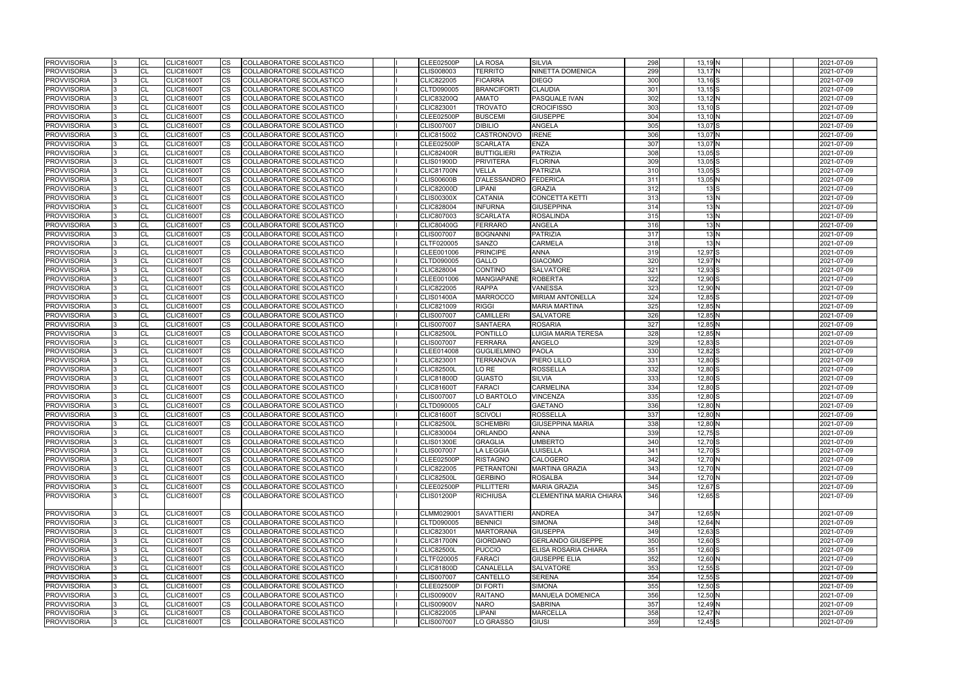| <b>PROVVISORIA</b> | CL        | <b>CLIC81600T</b> | CS                     | COLLABORATORE SCOLASTICO        |  | <b>CLEE02500P</b> | <b>LA ROSA</b>      | <b>SILVIA</b>                  | 298 | 13,19 N            | 2021-07-09 |
|--------------------|-----------|-------------------|------------------------|---------------------------------|--|-------------------|---------------------|--------------------------------|-----|--------------------|------------|
| <b>PROVVISORIA</b> | <b>CL</b> | <b>CLIC81600T</b> | <b>CS</b>              | COLLABORATORE SCOLASTICO        |  | CLIS008003        | <b>TERRITO</b>      | <b>NINETTA DOMENICA</b>        | 299 | $13,17$ N          | 2021-07-09 |
| <b>PROVVISORIA</b> | CL        | <b>CLIC81600T</b> | <b>CS</b>              | COLLABORATORE SCOLASTICO        |  | <b>CLIC822005</b> | <b>FICARRA</b>      | <b>DIEGO</b>                   | 300 | $13,16$ S          | 2021-07-09 |
| <b>PROVVISORIA</b> | CL        | <b>CLIC81600T</b> | <b>CS</b>              | COLLABORATORE SCOLASTICO        |  | CLTD090005        | <b>BRANCIFORTI</b>  | <b>CLAUDIA</b>                 | 301 | $13,15$ S          | 2021-07-09 |
| <b>PROVVISORIA</b> | CL        | CLIC81600T        | CS                     | COLLABORATORE SCOLASTICO        |  | <b>CLIC83200Q</b> | <b>AMATO</b>        | PASQUALE IVAN                  | 302 | $13,12$ N          | 2021-07-09 |
| <b>PROVVISORIA</b> | CL        | <b>CLIC81600T</b> | $\overline{\text{cs}}$ | COLLABORATORE SCOLASTICO        |  | CLIC823001        | <b>TROVATO</b>      | <b>CROCIFISSO</b>              | 303 | $13,10$ S          | 2021-07-09 |
| <b>PROVVISORIA</b> | CL        | <b>CLIC81600T</b> | <b>CS</b>              | <b>COLLABORATORE SCOLASTICO</b> |  | <b>CLEE02500P</b> | <b>BUSCEMI</b>      | <b>GIUSEPPE</b>                | 304 | 13,10 N            | 2021-07-09 |
| <b>PROVVISORIA</b> | CL        | <b>CLIC81600T</b> | <b>CS</b>              | COLLABORATORE SCOLASTICO        |  | <b>CLIS007007</b> | <b>DIBILIO</b>      | ANGELA                         | 305 | 13,07 S            | 2021-07-09 |
| <b>PROVVISORIA</b> | CL        | <b>CLIC81600T</b> | $\overline{\text{cs}}$ | COLLABORATORE SCOLASTICO        |  | CLIC815002        | <b>CASTRONOVO</b>   | <b>IRENE</b>                   | 306 | 13,07 N            | 2021-07-09 |
| <b>PROVVISORIA</b> | CL        | <b>CLIC81600T</b> | CS                     | COLLABORATORE SCOLASTICO        |  | <b>CLEE02500P</b> | <b>SCARLATA</b>     | <b>ENZA</b>                    | 307 | 13,07 N            | 2021-07-09 |
| <b>PROVVISORIA</b> | <b>CL</b> | <b>CLIC81600T</b> | <b>CS</b>              | COLLABORATORE SCOLASTICO        |  | <b>CLIC82400R</b> | <b>BUTTIGLIERI</b>  | <b>PATRIZIA</b>                | 308 | 13,05 S            | 2021-07-09 |
| <b>PROVVISORIA</b> | CL        | <b>CLIC81600T</b> | <b>CS</b>              | COLLABORATORE SCOLASTICO        |  | <b>CLIS01900D</b> | <b>PRIVITERA</b>    | <b>FLORINA</b>                 | 309 | $13,05$ S          | 2021-07-09 |
| <b>PROVVISORIA</b> | CL        | <b>CLIC81600T</b> | <b>CS</b>              | COLLABORATORE SCOLASTICO        |  | <b>CLIC81700N</b> | <b>VELLA</b>        | PATRIZIA                       | 310 | 13,05 S            | 2021-07-09 |
| <b>PROVVISORIA</b> | <b>CL</b> | <b>CLIC81600T</b> | <b>CS</b>              | COLLABORATORE SCOLASTICO        |  | <b>CLIS00600B</b> | <b>D'ALESSANDRO</b> | <b>FEDERICA</b>                | 311 | 13,05 N            | 2021-07-09 |
| <b>PROVVISORIA</b> | CL        | <b>CLIC81600T</b> | <b>CS</b>              | COLLABORATORE SCOLASTICO        |  | <b>CLIC82000D</b> | <b>LIPANI</b>       | <b>GRAZIA</b>                  | 312 | 13S                | 2021-07-09 |
| <b>PROVVISORIA</b> | CL        | <b>CLIC81600T</b> | <b>CS</b>              | COLLABORATORE SCOLASTICO        |  | <b>CLIS00300X</b> | <b>CATANIA</b>      | <b>CONCETTA KETTI</b>          | 313 | 13N                | 2021-07-09 |
| <b>PROVVISORIA</b> | CL        | <b>CLIC81600T</b> | CS                     | COLLABORATORE SCOLASTICO        |  | <b>CLIC828004</b> | <b>INFURNA</b>      | <b>GIUSEPPINA</b>              | 314 | 13N                | 2021-07-09 |
| <b>PROVVISORIA</b> | CL        | <b>CLIC81600T</b> | <b>CS</b>              | COLLABORATORE SCOLASTICO        |  | CLIC807003        | <b>SCARLATA</b>     | <b>ROSALINDA</b>               | 315 | 13N                | 2021-07-09 |
| <b>PROVVISORIA</b> | CL        | <b>CLIC81600T</b> | <b>CS</b>              | COLLABORATORE SCOLASTICO        |  | <b>CLIC80400G</b> | <b>FERRARO</b>      | ANGELA                         | 316 | 13N                | 2021-07-09 |
| <b>PROVVISORIA</b> | CL        | <b>CLIC81600T</b> | <b>CS</b>              | COLLABORATORE SCOLASTICO        |  | <b>CLIS007007</b> | <b>BOGNANNI</b>     | PATRIZIA                       | 317 | 13N                | 2021-07-09 |
| <b>PROVVISORIA</b> | CL        | <b>CLIC81600T</b> | <b>CS</b>              | COLLABORATORE SCOLASTICO        |  | CLTF020005        | <b>SANZO</b>        | <b>CARMELA</b>                 | 318 | 13N                | 2021-07-09 |
| <b>PROVVISORIA</b> | CL        | <b>CLIC81600T</b> | $\overline{\text{cs}}$ | COLLABORATORE SCOLASTICO        |  | CLEE001006        | <b>PRINCIPE</b>     | <b>ANNA</b>                    | 319 | 12,97 <sup>S</sup> | 2021-07-09 |
| <b>PROVVISORIA</b> | CL        | <b>CLIC81600T</b> | CS                     | COLLABORATORE SCOLASTICO        |  | CLTD090005        | <b>GALLO</b>        | <b>GIACOMO</b>                 | 320 | 12,97 N            | 2021-07-09 |
| <b>PROVVISORIA</b> | CL        | <b>CLIC81600T</b> | CS                     | COLLABORATORE SCOLASTICO        |  | CLIC828004        | <b>CONTINO</b>      | SALVATORE                      | 321 | 12,93 S            | 2021-07-09 |
| <b>PROVVISORIA</b> | <b>CL</b> | <b>CLIC81600T</b> | <b>CS</b>              | COLLABORATORE SCOLASTICO        |  | CLEE001006        | <b>MANGIAPANE</b>   | <b>ROBERTA</b>                 | 322 | 12,90 S            | 2021-07-09 |
| <b>PROVVISORIA</b> | <b>CL</b> | <b>CLIC81600T</b> | <b>CS</b>              | COLLABORATORE SCOLASTICO        |  | <b>CLIC822005</b> | <b>RAPPA</b>        | <b>VANESSA</b>                 | 323 | 12,90 N            | 2021-07-09 |
| <b>PROVVISORIA</b> | CL        | <b>CLIC81600T</b> | <b>CS</b>              | COLLABORATORE SCOLASTICO        |  | <b>CLIS01400A</b> | <b>MARROCCO</b>     | <b>MIRIAM ANTONELLA</b>        | 324 | $12,85$ S          | 2021-07-09 |
| <b>PROVVISORIA</b> | CL        | <b>CLIC81600T</b> | $\overline{\text{cs}}$ | COLLABORATORE SCOLASTICO        |  | CLIC821009        | <b>RIGGI</b>        | <b>MARIA MARTINA</b>           | 325 | $12,85$ N          | 2021-07-09 |
| <b>PROVVISORIA</b> | CL        | <b>CLIC81600T</b> | <b>CS</b>              | COLLABORATORE SCOLASTICO        |  | <b>CLIS007007</b> | <b>CAMILLERI</b>    | <b>SALVATORE</b>               | 326 | 12,85 N            | 2021-07-09 |
| <b>PROVVISORIA</b> | CL        | <b>CLIC81600T</b> | CS                     | COLLABORATORE SCOLASTICO        |  | <b>CLIS007007</b> | SANTAERA            | <b>ROSARIA</b>                 | 327 | 12,85 N            | 2021-07-09 |
| <b>PROVVISORIA</b> | <b>CL</b> | <b>CLIC81600T</b> | $\overline{\text{cs}}$ | COLLABORATORE SCOLASTICO        |  | <b>CLIC82500L</b> | PONTILLO            | LUIGIA MARIA TERESA            | 328 | $12,85$ N          | 2021-07-09 |
| <b>PROVVISORIA</b> | CL        | <b>CLIC81600T</b> | CS                     | COLLABORATORE SCOLASTICO        |  | <b>CLIS007007</b> | <b>FERRARA</b>      | <b>ANGELO</b>                  | 329 | 12,83 <sup>S</sup> | 2021-07-09 |
| <b>PROVVISORIA</b> | CL        | <b>CLIC81600T</b> | <b>CS</b>              | COLLABORATORE SCOLASTICO        |  | CLEE014008        | <b>GUGLIELMINO</b>  | <b>PAOLA</b>                   | 330 | 12,82 <sup>S</sup> | 2021-07-09 |
| <b>PROVVISORIA</b> | CL        | <b>CLIC81600T</b> | <b>CS</b>              | COLLABORATORE SCOLASTICO        |  | CLIC823001        | <b>TERRANOVA</b>    | PIERO LILLO                    | 331 | 12,80 S            | 2021-07-09 |
| <b>PROVVISORIA</b> | CL        | <b>CLIC81600T</b> | CS                     | COLLABORATORE SCOLASTICO        |  | <b>CLIC82500L</b> | LO RE               | <b>ROSSELLA</b>                | 332 | 12,80 S            | 2021-07-09 |
| <b>PROVVISORIA</b> | CL        | <b>CLIC81600T</b> | CS                     | COLLABORATORE SCOLASTICO        |  | <b>CLIC81800D</b> | <b>GUASTO</b>       | <b>SILVIA</b>                  | 333 | 12,80 S            | 2021-07-09 |
| <b>PROVVISORIA</b> | CL        | <b>CLIC81600T</b> | <b>CS</b>              | COLLABORATORE SCOLASTICO        |  | <b>CLIC81600T</b> | <b>FARACI</b>       | <b>CARMELINA</b>               | 334 | 12,80 S            | 2021-07-09 |
| <b>PROVVISORIA</b> | CL        | <b>CLIC81600T</b> | <b>CS</b>              | COLLABORATORE SCOLASTICO        |  | CLIS007007        | LO BARTOLO          | <b>VINCENZA</b>                | 335 | 12,80 S            | 2021-07-09 |
| <b>PROVVISORIA</b> | CL        | <b>CLIC81600T</b> | <b>CS</b>              | <b>COLLABORATORE SCOLASTICO</b> |  | CLTD090005        | <b>CALI'</b>        | <b>GAETANO</b>                 | 336 | 12,80 N            | 2021-07-09 |
| <b>PROVVISORIA</b> | CL        | <b>CLIC81600T</b> | <b>CS</b>              | COLLABORATORE SCOLASTICO        |  | <b>CLIC81600T</b> | <b>SCIVOLI</b>      | <b>ROSSELLA</b>                | 337 | $12,80$ N          | 2021-07-09 |
| <b>PROVVISORIA</b> | <b>CL</b> | <b>CLIC81600T</b> | CS.                    | COLLABORATORE SCOLASTICO        |  | <b>CLIC82500L</b> | <b>SCHEMBRI</b>     | <b>GIUSEPPINA MARIA</b>        | 338 | $12,80$ N          | 2021-07-09 |
| <b>PROVVISORIA</b> | <b>CL</b> | <b>CLIC81600T</b> | <b>CS</b>              | COLLABORATORE SCOLASTICO        |  | CLIC830004        | <b>ORLANDO</b>      | <b>ANNA</b>                    | 339 | $12,75$ S          | 2021-07-09 |
| <b>PROVVISORIA</b> | <b>CL</b> | <b>CLIC81600T</b> | <b>CS</b>              | <b>COLLABORATORE SCOLASTICO</b> |  | <b>CLIS01300E</b> | <b>GRAGLIA</b>      | <b>UMBERTO</b>                 | 340 | 12,70 S            | 2021-07-09 |
| <b>PROVVISORIA</b> | CL        | <b>CLIC81600T</b> | <b>CS</b>              | COLLABORATORE SCOLASTICO        |  | <b>CLIS007007</b> | <b>LA LEGGIA</b>    | <b>LUISELLA</b>                | 341 | $12,70$ S          | 2021-07-09 |
| <b>PROVVISORIA</b> | CL        | <b>CLIC81600T</b> | <b>CS</b>              | COLLABORATORE SCOLASTICO        |  | CLEE02500P        | <b>RISTAGNO</b>     | CALOGERO                       | 342 | 12,70 N            | 2021-07-09 |
| <b>PROVVISORIA</b> | <b>CL</b> | <b>CLIC81600T</b> | <b>CS</b>              | COLLABORATORE SCOLASTICO        |  | CLIC822005        | <b>PETRANTONI</b>   | <b>MARTINA GRAZIA</b>          | 343 | $12,70$ N          | 2021-07-09 |
| <b>PROVVISORIA</b> | <b>CL</b> | <b>CLIC81600T</b> | <b>CS</b>              | COLLABORATORE SCOLASTICO        |  | <b>CLIC82500L</b> | <b>GERBINO</b>      | <b>ROSALBA</b>                 | 344 | 12,70 N            | 2021-07-09 |
| <b>PROVVISORIA</b> | CL        | <b>CLIC81600T</b> | <b>CS</b>              | COLLABORATORE SCOLASTICO        |  | <b>CLEE02500P</b> | <b>PILLITTERI</b>   | <b>MARIA GRAZIA</b>            | 345 | $12,67$ $S$        | 2021-07-09 |
| <b>PROVVISORIA</b> | <b>CL</b> | <b>CLIC81600T</b> | <b>CS</b>              | COLLABORATORE SCOLASTICO        |  | <b>CLIS01200P</b> | <b>RICHIUSA</b>     | <b>CLEMENTINA MARIA CHIARA</b> | 346 | $12,65$ S          | 2021-07-09 |
| <b>PROVVISORIA</b> | <b>CL</b> | <b>CLIC81600T</b> | <b>CS</b>              | COLLABORATORE SCOLASTICO        |  | CLMM029001        | <b>SAVATTIERI</b>   | <b>ANDREA</b>                  | 347 | 12,65 N            | 2021-07-09 |
| <b>PROVVISORIA</b> | <b>CL</b> | <b>CLIC81600T</b> | <b>CS</b>              | COLLABORATORE SCOLASTICO        |  | CLTD090005        | <b>BENNICI</b>      | <b>SIMONA</b>                  | 348 | $12,64$ N          | 2021-07-09 |
| <b>PROVVISORIA</b> | <b>CL</b> | <b>CLIC81600T</b> | <b>CS</b>              | COLLABORATORE SCOLASTICO        |  | CLIC823001        | <b>MARTORANA</b>    | <b>GIUSEPPA</b>                | 349 | 12,63 S            | 2021-07-09 |
| <b>PROVVISORIA</b> | CL        | <b>CLIC81600T</b> | <b>CS</b>              | COLLABORATORE SCOLASTICO        |  | <b>CLIC81700N</b> | <b>GIORDANO</b>     | <b>GERLANDO GIUSEPPE</b>       | 350 | 12,60 S            | 2021-07-09 |
| <b>PROVVISORIA</b> | <b>CL</b> | <b>CLIC81600T</b> | <b>CS</b>              | COLLABORATORE SCOLASTICO        |  | <b>CLIC82500L</b> | <b>PUCCIO</b>       | <b>ELISA ROSARIA CHIARA</b>    | 351 | 12,60 S            | 2021-07-09 |
| <b>PROVVISORIA</b> | <b>CL</b> | <b>CLIC81600T</b> | <b>CS</b>              | COLLABORATORE SCOLASTICO        |  | CLTF020005        | <b>FARACI</b>       | <b>GIUSEPPE ELIA</b>           | 352 | $12,60$ N          | 2021-07-09 |
| <b>PROVVISORIA</b> | CL        | <b>CLIC81600T</b> | <b>CS</b>              | COLLABORATORE SCOLASTICO        |  | <b>CLIC81800D</b> | CANALELLA           | SALVATORE                      | 353 | $12,55$ $S$        | 2021-07-09 |
| <b>PROVVISORIA</b> | <b>CL</b> | <b>CLIC81600T</b> | <b>CS</b>              | COLLABORATORE SCOLASTICO        |  | <b>CLIS007007</b> | CANTELLO            | <b>SERENA</b>                  | 354 | $12,55$ S          | 2021-07-09 |
| <b>PROVVISORIA</b> | CL        | <b>CLIC81600T</b> | <b>CS</b>              | COLLABORATORE SCOLASTICO        |  | <b>CLEE02500P</b> | <b>DI FORTI</b>     | <b>SIMONA</b>                  | 355 | $12,50$ S          | 2021-07-09 |
| <b>PROVVISORIA</b> | CL        | CLIC81600T        | <b>CS</b>              | COLLABORATORE SCOLASTICO        |  | <b>CLIS00900V</b> | <b>RAITANO</b>      | <b>MANUELA DOMENICA</b>        | 356 | 12,50 N            | 2021-07-09 |
| <b>PROVVISORIA</b> | <b>CL</b> | <b>CLIC81600T</b> | <b>CS</b>              | COLLABORATORE SCOLASTICO        |  | <b>CLIS00900V</b> | <b>NARO</b>         | <b>SABRINA</b>                 | 357 | 12,49 N            | 2021-07-09 |
| <b>PROVVISORIA</b> | <b>CL</b> | <b>CLIC81600T</b> | <b>CS</b>              | COLLABORATORE SCOLASTICO        |  | CLIC822005        | LIPANI              | MARCELLA                       | 358 | 12,47 N            | 2021-07-09 |
|                    |           |                   | <b>CS</b>              |                                 |  |                   |                     |                                | 359 |                    |            |
| <b>PROVVISORIA</b> | <b>CL</b> | <b>CLIC81600T</b> |                        | COLLABORATORE SCOLASTICO        |  | <b>CLIS007007</b> | LO GRASSO           | <b>GIUSI</b>                   |     | $12,45$ S          | 2021-07-09 |

|  |  | 2021-07-09 |
|--|--|------------|
|  |  | 2021-07-09 |
|  |  | 2021-07-09 |
|  |  | 2021-07-09 |
|  |  |            |
|  |  | 2021-07-09 |
|  |  | 2021-07-09 |
|  |  | 2021-07-09 |
|  |  | 2021-07-09 |
|  |  | 2021-07-09 |
|  |  | 2021-07-09 |
|  |  | 2021-07-09 |
|  |  | 2021-07-09 |
|  |  | 2021-07-09 |
|  |  | 2021-07-09 |
|  |  | 2021-07-09 |
|  |  | 2021-07-09 |
|  |  | 2021-07-09 |
|  |  | 2021-07-09 |
|  |  | 2021-07-09 |
|  |  | 2021-07-09 |
|  |  | 2021-07-09 |
|  |  | 2021-07-09 |
|  |  |            |
|  |  | 2021-07-09 |
|  |  | 2021-07-09 |
|  |  | 2021-07-09 |
|  |  | 2021-07-09 |
|  |  | 2021-07-09 |
|  |  | 2021-07-09 |
|  |  | 2021-07-09 |
|  |  | 2021-07-09 |
|  |  | 2021-07-09 |
|  |  | 2021-07-09 |
|  |  | 2021-07-09 |
|  |  | 2021-07-09 |
|  |  | 2021-07-09 |
|  |  | 2021-07-09 |
|  |  | 2021-07-09 |
|  |  | 2021-07-09 |
|  |  | 2021-07-09 |
|  |  | 2021-07-09 |
|  |  | 2021-07-09 |
|  |  | 2021-07-09 |
|  |  | 2021-07-09 |
|  |  | 2021-07-09 |
|  |  | 2021-07-09 |
|  |  | 2021-07-09 |
|  |  | 2021-07-09 |
|  |  | 2021-07-09 |
|  |  |            |
|  |  | 2021-07-09 |
|  |  |            |
|  |  | 2021-07-09 |
|  |  | 2021-07-09 |
|  |  | 2021-07-09 |
|  |  | 2021-07-09 |
|  |  | 2021-07-09 |
|  |  | 2021-07-09 |
|  |  | 2021-07-09 |
|  |  | 2021-07-09 |
|  |  | 2021-07-09 |
|  |  | 2021-07-09 |
|  |  | 2021-07-09 |
|  |  | 2021-07-09 |
|  |  | 2021-07-09 |
|  |  |            |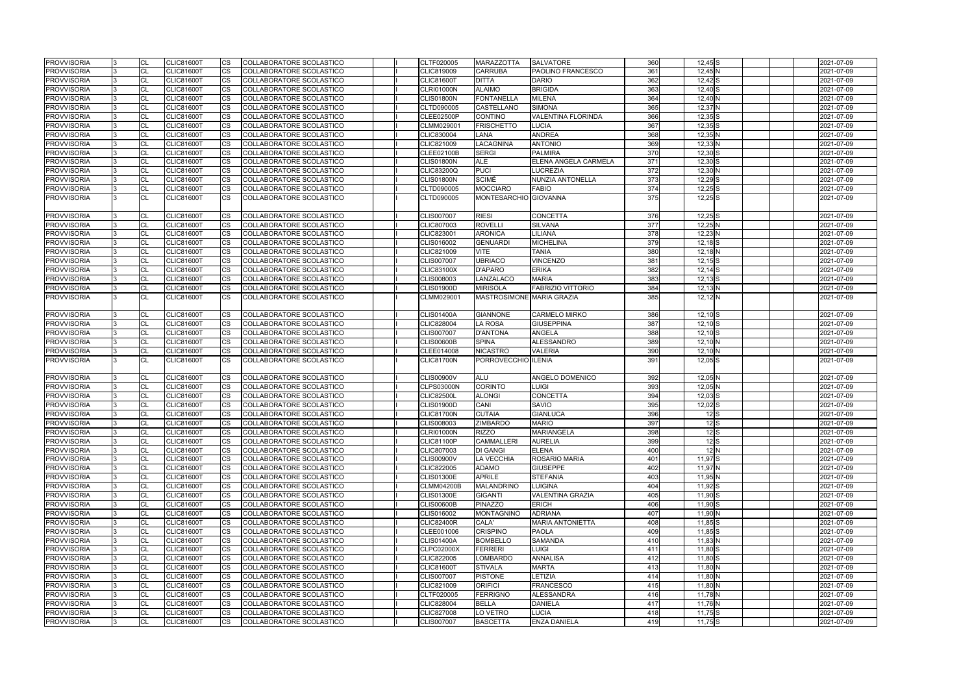| <b>PROVVISORIA</b> | 13  | <b>CL</b> | <b>CLIC81600T</b> | CS        | COLLABORATORE SCOLASTICO        |  | CLTF020005        | MARAZZOTTA                | <b>SALVATORE</b>         | 360 | $12,45$ S          | 2021-07-09 |
|--------------------|-----|-----------|-------------------|-----------|---------------------------------|--|-------------------|---------------------------|--------------------------|-----|--------------------|------------|
| <b>PROVVISORIA</b> |     | <b>CL</b> | <b>CLIC81600T</b> | <b>CS</b> | COLLABORATORE SCOLASTICO        |  | <b>CLIC819009</b> | <b>CARRUBA</b>            | PAOLINO FRANCESCO        | 361 | $12,45$ N          | 2021-07-09 |
| <b>PROVVISORIA</b> |     | <b>CL</b> | <b>CLIC81600T</b> | CS        | COLLABORATORE SCOLASTICO        |  | <b>CLIC81600T</b> | <b>DITTA</b>              | <b>DARIO</b>             | 362 | $12,42$ $S$        | 2021-07-09 |
| <b>PROVVISORIA</b> |     | <b>CL</b> | <b>CLIC81600T</b> | CS        | COLLABORATORE SCOLASTICO        |  | <b>CLRI01000N</b> | <b>ALAIMO</b>             | <b>BRIGIDA</b>           | 363 | $12,40$ S          | 2021-07-09 |
| <b>PROVVISORIA</b> |     | <b>CL</b> | <b>CLIC81600T</b> | СS        | COLLABORATORE SCOLASTICO        |  | <b>CLIS01800N</b> | <b>FONTANELLA</b>         | MILENA                   | 364 | 12,40 N            | 2021-07-09 |
| <b>PROVVISORIA</b> |     | <b>CL</b> | CLIC81600T        | CS        | COLLABORATORE SCOLASTICO        |  | CLTD090005        | <b>CASTELLANO</b>         | <b>SIMONA</b>            | 365 | 12,37 N            | 2021-07-09 |
| PROVVISORIA        |     | <b>CL</b> | <b>CLIC81600T</b> | CS        | COLLABORATORE SCOLASTICO        |  | <b>CLEE02500P</b> | <b>CONTINO</b>            | VALENTINA FLORINDA       | 366 | $12,35$ S          | 2021-07-09 |
| <b>PROVVISORIA</b> |     | <b>CL</b> | <b>CLIC81600T</b> | CS        | COLLABORATORE SCOLASTICO        |  | CLMM029001        | <b>FRISCHETTO</b>         | <b>LUCIA</b>             | 367 | $12,35$ S          | 2021-07-09 |
| <b>PROVVISORIA</b> |     | <b>CL</b> | <b>CLIC81600T</b> | CS        | COLLABORATORE SCOLASTICO        |  | CLIC830004        | LANA                      | <b>ANDREA</b>            | 368 | $12,35$ N          | 2021-07-09 |
| <b>PROVVISORIA</b> |     | <b>CL</b> | <b>CLIC81600T</b> | CS        | COLLABORATORE SCOLASTICO        |  | CLIC821009        | <b>LACAGNINA</b>          | <b>ANTONIO</b>           | 369 | 12,33N             | 2021-07-09 |
| <b>PROVVISORIA</b> |     | <b>CL</b> | <b>CLIC81600T</b> | СS        | COLLABORATORE SCOLASTICO        |  | CLEE02100B        | <b>SERGI</b>              | <b>PALMIRA</b>           | 370 | $12,30$ S          | 2021-07-09 |
| <b>PROVVISORIA</b> |     | <b>CL</b> | <b>CLIC81600T</b> | CS        | COLLABORATORE SCOLASTICO        |  | <b>CLIS01800N</b> | <b>ALE</b>                | ELENA ANGELA CARMELA     | 371 | $12,30$ S          | 2021-07-09 |
| <b>PROVVISORIA</b> |     | <b>CL</b> | <b>CLIC81600T</b> | CS        | COLLABORATORE SCOLASTICO        |  | <b>CLIC83200Q</b> | <b>PUCI</b>               | LUCREZIA                 | 372 | 12,30 N            | 2021-07-09 |
| PROVVISORIA        |     | <b>CL</b> | <b>CLIC81600T</b> | CS        | COLLABORATORE SCOLASTICO        |  | <b>CLIS01800N</b> | <b>SCIMÉ</b>              | NUNZIA ANTONELLA         | 373 | $12,29$ S          | 2021-07-09 |
| <b>PROVVISORIA</b> | 3   | <b>CL</b> | <b>CLIC81600T</b> | <b>CS</b> | COLLABORATORE SCOLASTICO        |  | CLTD090005        | <b>MOCCIARO</b>           | <b>FABIO</b>             | 374 | $12,25$ S          | 2021-07-09 |
| <b>PROVVISORIA</b> | l3. | <b>CL</b> | <b>CLIC81600T</b> | <b>CS</b> | COLLABORATORE SCOLASTICO        |  | CLTD090005        | MONTESARCHIO GIOVANNA     |                          | 375 | 12,25 S            | 2021-07-09 |
| <b>PROVVISORIA</b> |     | <b>CL</b> | <b>CLIC81600T</b> | <b>CS</b> | COLLABORATORE SCOLASTICO        |  | <b>CLIS007007</b> | <b>RIESI</b>              | CONCETTA                 | 376 | $12,25$ S          | 2021-07-09 |
| <b>PROVVISORIA</b> |     | <b>CL</b> | CLIC81600T        | <b>CS</b> | COLLABORATORE SCOLASTICO        |  | CLIC807003        | <b>ROVELLI</b>            | <b>SILVANA</b>           | 377 | 12,25 N            | 2021-07-09 |
| <b>PROVVISORIA</b> |     | <b>CL</b> | <b>CLIC81600T</b> | CS        | COLLABORATORE SCOLASTICO        |  | CLIC823001        | <b>ARONICA</b>            | LILIANA                  | 378 | 12,23 N            | 2021-07-09 |
| <b>PROVVISORIA</b> |     | <b>CL</b> | <b>CLIC81600T</b> | <b>CS</b> | COLLABORATORE SCOLASTICO        |  | CLIS016002        | <b>GENUARDI</b>           | <b>MICHELINA</b>         | 379 | $12,18$ S          | 2021-07-09 |
| PROVVISORIA        |     | <b>CL</b> | <b>CLIC81600T</b> | <b>CS</b> | COLLABORATORE SCOLASTICO        |  | CLIC821009        | <b>VITE</b>               | <b>TANIA</b>             | 380 | 12,18 N            | 2021-07-09 |
| <b>PROVVISORIA</b> |     | <b>CL</b> | <b>CLIC81600T</b> | СS        | COLLABORATORE SCOLASTICO        |  | <b>CLIS007007</b> | <b>UBRIACO</b>            | <b>VINCENZO</b>          | 381 | $12,15$ S          | 2021-07-09 |
| <b>PROVVISORIA</b> |     | <b>CL</b> | <b>CLIC81600T</b> | CS        | COLLABORATORE SCOLASTICO        |  | <b>CLIC83100X</b> | <b>D'APARO</b>            | <b>ERIKA</b>             | 382 | $12,14$ S          | 2021-07-09 |
| <b>PROVVISORIA</b> |     | <b>CL</b> | <b>CLIC81600T</b> | CS.       | COLLABORATORE SCOLASTICO        |  | CLIS008003        | LANZALACO                 | <b>MARIA</b>             | 383 | $12,13$ S          | 2021-07-09 |
| <b>PROVVISORIA</b> |     | <b>CL</b> | <b>CLIC81600T</b> | CS        | COLLABORATORE SCOLASTICO        |  | <b>CLIS01900D</b> | <b>MIRISOLA</b>           | <b>FABRIZIO VITTORIO</b> | 384 | $12,13$ N          | 2021-07-09 |
| <b>PROVVISORIA</b> | l3. | <b>CL</b> | <b>CLIC81600T</b> | <b>CS</b> | COLLABORATORE SCOLASTICO        |  | CLMM029001        | MASTROSIMONE MARIA GRAZIA |                          | 385 | $12,12$ N          | 2021-07-09 |
|                    |     |           |                   |           |                                 |  |                   |                           |                          |     |                    | 2021-07-09 |
| <b>PROVVISORIA</b> |     | <b>CL</b> | <b>CLIC81600T</b> | CS        | COLLABORATORE SCOLASTICO        |  | <b>CLIS01400A</b> | <b>GIANNONE</b>           | CARMELO MIRKO            | 386 | $12,10$ S          |            |
| <b>PROVVISORIA</b> |     | <b>CL</b> | <b>CLIC81600T</b> | CS        | COLLABORATORE SCOLASTICO        |  | <b>CLIC828004</b> | <b>LA ROSA</b>            | <b>GIUSEPPINA</b>        | 387 | $12,10$ S          | 2021-07-09 |
| <b>PROVVISORIA</b> |     | <b>CL</b> | <b>CLIC81600T</b> | CS        | COLLABORATORE SCOLASTICO        |  | <b>CLIS007007</b> | <b>D'ANTONA</b>           | <b>ANGELA</b>            | 388 | $12,10$ S          | 2021-07-09 |
| PROVVISORIA        |     | <b>CL</b> | <b>CLIC81600T</b> | <b>CS</b> | COLLABORATORE SCOLASTICO        |  | <b>CLIS00600B</b> | <b>SPINA</b>              | <b>ALESSANDRO</b>        | 389 | $12,10$ N          | 2021-07-09 |
| <b>PROVVISORIA</b> | 13. | <b>CL</b> | <b>CLIC81600T</b> | CS        | COLLABORATORE SCOLASTICO        |  | CLEE014008        | <b>NICASTRO</b>           | <b>VALERIA</b>           | 390 | $12,10$ N          | 2021-07-09 |
| <b>PROVVISORIA</b> |     | <b>CL</b> | <b>CLIC81600T</b> | CS.       | <b>COLLABORATORE SCOLASTICO</b> |  | <b>CLIC81700N</b> | PORROVECCHIO ILENIA       |                          | 391 | $12,05$ S          | 2021-07-09 |
| <b>PROVVISORIA</b> |     | <b>CL</b> | <b>CLIC81600T</b> | <b>CS</b> | COLLABORATORE SCOLASTICO        |  | <b>CLIS00900V</b> | <b>ALU</b>                | ANGELO DOMENICO          | 392 | 12,05 N            | 2021-07-09 |
| <b>PROVVISORIA</b> |     | <b>CL</b> | <b>CLIC81600T</b> | CS        | <b>COLLABORATORE SCOLASTICO</b> |  | <b>CLPS03000N</b> | <b>CORINTO</b>            | LUIGI                    | 393 | $12,05$ N          | 2021-07-09 |
| <b>PROVVISORIA</b> |     | <b>CL</b> | <b>CLIC81600T</b> | <b>CS</b> | COLLABORATORE SCOLASTICO        |  | <b>CLIC82500L</b> | <b>ALONGI</b>             | CONCETTA                 | 394 | $12,03$ S          | 2021-07-09 |
| <b>PROVVISORIA</b> |     | <b>CL</b> | <b>CLIC81600T</b> | CS        | COLLABORATORE SCOLASTICO        |  | <b>CLIS01900D</b> | CANI                      | SAVIO                    | 395 | 12,02 S            | 2021-07-09 |
| <b>PROVVISORIA</b> |     | <b>CL</b> | <b>CLIC81600T</b> | CS.       | COLLABORATORE SCOLASTICO        |  | <b>CLIC81700N</b> | <b>CUTAIA</b>             | <b>GIANLUCA</b>          | 396 | 12S                | 2021-07-09 |
| <b>PROVVISORIA</b> |     | CL        | <b>CLIC81600T</b> | <b>CS</b> | COLLABORATORE SCOLASTICO        |  | CLIS008003        | <b>ZIMBARDO</b>           | <b>MARIO</b>             | 397 | $12$ $\text{S}$    | 2021-07-09 |
| <b>PROVVISORIA</b> |     | <b>CL</b> | <b>CLIC81600T</b> | CS        | COLLABORATORE SCOLASTICO        |  | <b>CLRI01000N</b> | <b>RIZZO</b>              | <b>MARIANGELA</b>        | 398 | 12S                | 2021-07-09 |
| <b>PROVVISORIA</b> |     | <b>CL</b> | <b>CLIC81600T</b> | CS        | COLLABORATORE SCOLASTICO        |  | <b>CLIC81100P</b> | <b>CAMMALLERI</b>         | AURELIA                  | 399 | 12S                | 2021-07-09 |
| <b>PROVVISORIA</b> |     | <b>CL</b> | <b>CLIC81600T</b> | CS        | COLLABORATORE SCOLASTICO        |  | CLIC807003        | <b>DI GANGI</b>           | <b>ELENA</b>             | 400 | 12N                | 2021-07-09 |
| <b>PROVVISORIA</b> |     | <b>CL</b> | <b>CLIC81600T</b> | CS        | COLLABORATORE SCOLASTICO        |  | <b>CLIS00900V</b> | LA VECCHIA                | <b>ROSARIO MARIA</b>     | 401 | 11,97 S            | 2021-07-09 |
| <b>PROVVISORIA</b> |     | <b>CL</b> | <b>CLIC81600T</b> | CS        | COLLABORATORE SCOLASTICO        |  | <b>CLIC822005</b> | <b>ADAMO</b>              | <b>GIUSEPPE</b>          | 402 | 11,97 N            | 2021-07-09 |
| PROVVISORIA        |     | <b>CL</b> | <b>CLIC81600T</b> | CS        | COLLABORATORE SCOLASTICO        |  | <b>CLIS01300E</b> | <b>APRILE</b>             | <b>STEFANIA</b>          | 403 | 11,95 N            | 2021-07-09 |
| <b>PROVVISORIA</b> |     | <b>CL</b> | <b>CLIC81600T</b> | CS        | COLLABORATORE SCOLASTICO        |  | <b>CLMM04200B</b> | <b>MALANDRINO</b>         | LUIGINA                  | 404 | 11,92 S            | 2021-07-09 |
| <b>PROVVISORIA</b> |     | <b>CL</b> | <b>CLIC81600T</b> | CS        | COLLABORATORE SCOLASTICO        |  | <b>CLIS01300E</b> | <b>GIGANTI</b>            | <b>VALENTINA GRAZIA</b>  | 405 | 11,90 S            | 2021-07-09 |
| <b>PROVVISORIA</b> |     | CL        | <b>CLIC81600T</b> | CS        | COLLABORATORE SCOLASTICO        |  | <b>CLIS00600B</b> | PINAZZO                   | ERICH                    | 406 | 11,90 S            | 2021-07-09 |
| <b>PROVVISORIA</b> |     | CL        | <b>CLIC81600T</b> | CS        | COLLABORATORE SCOLASTICO        |  | CLIS016002        | MONTAGNINO                | <b>ADRIANA</b>           | 407 | 11,90 N            | 2021-07-09 |
| <b>PROVVISORIA</b> |     | <b>CL</b> | <b>CLIC81600T</b> | <b>CS</b> | COLLABORATORE SCOLASTICO        |  | <b>CLIC82400R</b> | CALA'                     | <b>MARIA ANTONIETTA</b>  | 408 | $11,85$ S          | 2021-07-09 |
| <b>PROVVISORIA</b> |     | <b>CL</b> | <b>CLIC81600T</b> | CS        | COLLABORATORE SCOLASTICO        |  | CLEE001006        | <b>CRISPINO</b>           | PAOLA                    | 409 | 11,85 <sup>S</sup> | 2021-07-09 |
| <b>PROVVISORIA</b> |     | <b>CL</b> | <b>CLIC81600T</b> | CS        | COLLABORATORE SCOLASTICO        |  | <b>CLIS01400A</b> | <b>BOMBELLO</b>           | SAMANDA                  | 410 | 11,83 N            | 2021-07-09 |
| <b>PROVVISORIA</b> |     | <b>CL</b> | <b>CLIC81600T</b> | CS        | COLLABORATORE SCOLASTICO        |  | <b>CLPC02000X</b> | <b>FERRERI</b>            | LUIGI                    | 411 | 11,80 S            | 2021-07-09 |
| <b>PROVVISORIA</b> |     | <b>CL</b> | <b>CLIC81600T</b> | CS        | COLLABORATORE SCOLASTICO        |  | <b>CLIC822005</b> | <b>LOMBARDO</b>           | <b>ANNALISA</b>          | 412 | 11,80 S            | 2021-07-09 |
| <b>PROVVISORIA</b> |     | <b>CL</b> | <b>CLIC81600T</b> | CS        | COLLABORATORE SCOLASTICO        |  | <b>CLIC81600T</b> | <b>STIVALA</b>            | MARTA                    | 413 | 11,80 N            | 2021-07-09 |
| PROVVISORIA        |     | <b>CL</b> | <b>CLIC81600T</b> | <b>CS</b> | COLLABORATORE SCOLASTICO        |  | <b>CLIS007007</b> | <b>PISTONE</b>            | LETIZIA                  | 414 | 11,80 N            | 2021-07-09 |
| <b>PROVVISORIA</b> |     | <b>CL</b> | <b>CLIC81600T</b> | CS        | COLLABORATORE SCOLASTICO        |  | CLIC821009        | <b>ORIFICI</b>            | FRANCESCO                | 415 | 11,80 N            | 2021-07-09 |
| <b>PROVVISORIA</b> |     | <b>CL</b> | <b>CLIC81600T</b> | СS        | COLLABORATORE SCOLASTICO        |  | CLTF020005        | <b>FERRIGNO</b>           | ALESSANDRA               | 416 | 11,78 N            | 2021-07-09 |
| <b>PROVVISORIA</b> |     | <b>CL</b> | <b>CLIC81600T</b> | CS        | COLLABORATORE SCOLASTICO        |  | <b>CLIC828004</b> | <b>BELLA</b>              | DANIELA                  | 417 | 11,76 N            | 2021-07-09 |
| <b>PROVVISORIA</b> |     | <b>CL</b> | <b>CLIC81600T</b> | CS        | COLLABORATORE SCOLASTICO        |  | <b>CLIC827008</b> | LO VETRO                  | <b>LUCIA</b>             | 418 | 11,75 S            | 2021-07-09 |
| <b>PROVVISORIA</b> |     | <b>CL</b> | <b>CLIC81600T</b> | CS        | COLLABORATORE SCOLASTICO        |  | <b>CLIS007007</b> | <b>BASCETTA</b>           | ENZA DANIELA             | 419 | 11,75 S            | 2021-07-09 |
|                    |     |           |                   |           |                                 |  |                   |                           |                          |     |                    |            |

|  |  | 2021-07-09               |
|--|--|--------------------------|
|  |  | 2021-07-09               |
|  |  | 2021-07-09               |
|  |  | 2021-07-09               |
|  |  | 2021-07-09               |
|  |  | 2021-07-09               |
|  |  | 2021-07-09               |
|  |  | 2021-07-09               |
|  |  | 2021-07-09               |
|  |  | 2021-07-09               |
|  |  | 2021-07-09               |
|  |  | 2021-07-09               |
|  |  | 2021-07-09               |
|  |  | 2021-07-09               |
|  |  | 2021-07-09               |
|  |  | 2021-07-09               |
|  |  |                          |
|  |  | 2021-07-09               |
|  |  | 2021-07-09               |
|  |  | 2021-07-09               |
|  |  | 2021-07-09               |
|  |  |                          |
|  |  | 2021-07-09<br>2021-07-09 |
|  |  |                          |
|  |  | 2021-07-09               |
|  |  | 2021-07-09               |
|  |  | 2021-07-09               |
|  |  | 2021-07-09               |
|  |  | 2021-07-09               |
|  |  |                          |
|  |  | 2021-07-09               |
|  |  | 2021-07-09               |
|  |  | 2021-07-09               |
|  |  | 2021-07-09<br>2021-07-09 |
|  |  |                          |
|  |  |                          |
|  |  | 2021-07-09<br>2021-07-09 |
|  |  | 2021-07-09               |
|  |  | 2021-07-09               |
|  |  | 2021-07-09               |
|  |  | 2021-07-09               |
|  |  | 2021-07-09               |
|  |  | 2021-07-09               |
|  |  |                          |
|  |  | 2021-07-09               |
|  |  | 2021-07-09<br>2021-07-09 |
|  |  | 2021-07-09               |
|  |  | 2021-07-09               |
|  |  | 2021-07-09               |
|  |  |                          |
|  |  | 2021-07-09<br>2021-07-09 |
|  |  |                          |
|  |  | 2021-07-09               |
|  |  | 2021-07-09               |
|  |  | 2021-07-09               |
|  |  | 2021-07-09               |
|  |  | 2021-07-09               |
|  |  | 2021-07-09               |
|  |  | 2021-07-09               |
|  |  | 2021-07-09               |
|  |  | 2021-07-09               |
|  |  | 2021-07-09               |
|  |  | 2021-07-09               |
|  |  | 2021-07-09               |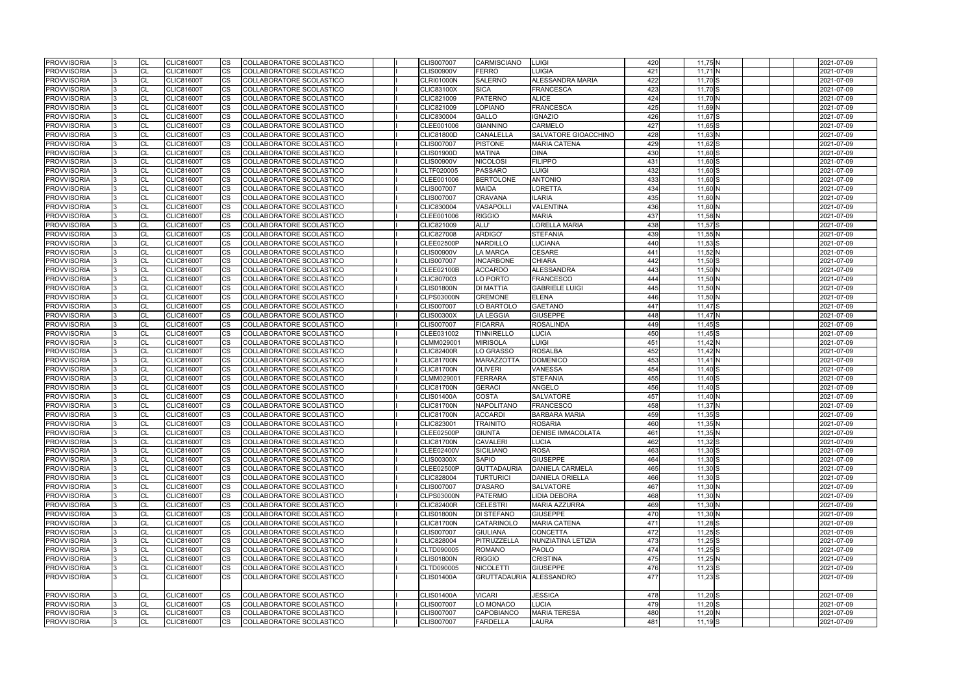| <b>PROVVISORIA</b> | CL        | <b>CLIC81600T</b> | <b>CS</b>              | COLLABORATORE SCOLASTICO        |  | <b>CLIS007007</b> | <b>CARMISCIANO</b>      | LUIGI                    | 420 | 11,75 N            | 2021-07-09       |
|--------------------|-----------|-------------------|------------------------|---------------------------------|--|-------------------|-------------------------|--------------------------|-----|--------------------|------------------|
| <b>PROVVISORIA</b> | CL        | <b>CLIC81600T</b> | <b>CS</b>              | COLLABORATORE SCOLASTICO        |  | <b>CLIS00900V</b> | <b>FERRO</b>            | <b>LUIGIA</b>            | 421 | $11,71$ N          | 2021-07-09       |
| <b>PROVVISORIA</b> | <b>CL</b> | <b>CLIC81600T</b> | <b>CS</b>              | <b>COLLABORATORE SCOLASTICO</b> |  | <b>CLRI01000N</b> | <b>SALERNO</b>          | ALESSANDRA MARIA         | 422 | 11,70 S            | 2021-07-09       |
| <b>PROVVISORIA</b> | CL        | <b>CLIC81600T</b> | CS                     | COLLABORATORE SCOLASTICO        |  | <b>CLIC83100X</b> | <b>SICA</b>             | <b>FRANCESCA</b>         | 423 | 11,70 S            | 2021-07-09       |
| <b>PROVVISORIA</b> | CL        | <b>CLIC81600T</b> | CS                     | COLLABORATORE SCOLASTICO        |  | CLIC821009        | <b>PATERNO</b>          | <b>ALICE</b>             | 424 | 11,70 N            | 2021-07-09       |
| <b>PROVVISORIA</b> | CL        | <b>CLIC81600T</b> | <b>CS</b>              | COLLABORATORE SCOLASTICO        |  | CLIC821009        | LOPIANO                 | <b>FRANCESCA</b>         | 425 | 11,69 N            | 2021-07-09       |
| <b>PROVVISORIA</b> | CL        | <b>CLIC81600T</b> | <b>CS</b>              | COLLABORATORE SCOLASTICO        |  | CLIC830004        | <b>GALLO</b>            | <b>IGNAZIO</b>           | 426 | 11,67 <sup>S</sup> | 2021-07-09       |
| <b>PROVVISORIA</b> | CL        | <b>CLIC81600T</b> | <b>CS</b>              | COLLABORATORE SCOLASTICO        |  | CLEE001006        | <b>GIANNINO</b>         | <b>CARMELO</b>           | 427 | 11,65 <sup>S</sup> | 2021-07-09       |
| <b>PROVVISORIA</b> | CL        | <b>CLIC81600T</b> | <b>CS</b>              | COLLABORATORE SCOLASTICO        |  | <b>CLIC81800D</b> | CANALELLA               | SALVATORE GIOACCHINO     | 428 | 11,63 N            | 2021-07-09       |
| <b>PROVVISORIA</b> | CL        | <b>CLIC81600T</b> | CS                     | COLLABORATORE SCOLASTICO        |  | <b>CLIS007007</b> | <b>PISTONE</b>          | <b>MARIA CATENA</b>      | 429 | 11,62 S            | 2021-07-09       |
| <b>PROVVISORIA</b> | CL        | CLIC81600T        | CS                     | COLLABORATORE SCOLASTICO        |  | <b>CLIS01900D</b> | <b>MATINA</b>           | <b>DINA</b>              | 430 | 11,60 S            | 2021-07-09       |
| <b>PROVVISORIA</b> | <b>CL</b> | <b>CLIC81600T</b> | <b>CS</b>              | COLLABORATORE SCOLASTICO        |  | <b>CLIS00900V</b> | <b>NICOLOSI</b>         | <b>FILIPPO</b>           | 431 | 11,60 S            | 2021-07-09       |
| <b>PROVVISORIA</b> | CL        | <b>CLIC81600T</b> | <b>CS</b>              | COLLABORATORE SCOLASTICO        |  | CLTF020005        | <b>PASSARO</b>          | <b>LUIGI</b>             | 432 | 11,60 S            | 2021-07-09       |
| <b>PROVVISORIA</b> | CL        | <b>CLIC81600T</b> | <b>CS</b>              | COLLABORATORE SCOLASTICO        |  | CLEE001006        | <b>BERTOLONE</b>        | <b>ANTONIO</b>           | 433 | 11,60 S            | 2021-07-09       |
| <b>PROVVISORIA</b> | CL        | <b>CLIC81600T</b> | <b>CS</b>              | COLLABORATORE SCOLASTICO        |  | <b>CLIS007007</b> | <b>MAIDA</b>            | <b>LORETTA</b>           | 434 | $11,60$ N          | 2021-07-09       |
| <b>PROVVISORIA</b> | CL        | <b>CLIC81600T</b> | CS                     | COLLABORATORE SCOLASTICO        |  | <b>CLIS007007</b> | <b>CRAVANA</b>          | <b>ILARIA</b>            | 435 | 11,60 N            | 2021-07-09       |
| <b>PROVVISORIA</b> | <b>CL</b> | <b>CLIC81600T</b> | CS                     | COLLABORATORE SCOLASTICO        |  | CLIC830004        | <b>VASAPOLLI</b>        | VALENTINA                | 436 | 11,60 N            | 2021-07-09       |
| <b>PROVVISORIA</b> | CL        | <b>CLIC81600T</b> | <b>CS</b>              | COLLABORATORE SCOLASTICO        |  | CLEE001006        | <b>RIGGIO</b>           | <b>MARIA</b>             | 437 | 11,58 N            | 2021-07-09       |
| <b>PROVVISORIA</b> | CL        | <b>CLIC81600T</b> | <b>CS</b>              | COLLABORATORE SCOLASTICO        |  | CLIC821009        | ALU'                    | <b>LORELLA MARIA</b>     | 438 | 11,57 <sup>S</sup> | $2021 - 07 - 09$ |
| <b>PROVVISORIA</b> | <b>CL</b> | <b>CLIC81600T</b> | <b>CS</b>              | COLLABORATORE SCOLASTICO        |  | <b>CLIC827008</b> | ARDIGO'                 | <b>STEFANIA</b>          | 439 | 11,55 N            | 2021-07-09       |
| <b>PROVVISORIA</b> | CL        | <b>CLIC81600T</b> | <b>CS</b>              | COLLABORATORE SCOLASTICO        |  | CLEE02500P        | <b>NARDILLO</b>         | <b>LUCIANA</b>           | 440 | $11,53$ S          | 2021-07-09       |
| <b>PROVVISORIA</b> | <b>CL</b> | <b>CLIC81600T</b> | CS                     | COLLABORATORE SCOLASTICO        |  | <b>CLIS00900V</b> | <b>LA MARCA</b>         | <b>CESARE</b>            | 441 | 11,52 N            | 2021-07-09       |
| <b>PROVVISORIA</b> | <b>CL</b> | <b>CLIC81600T</b> | CS                     | COLLABORATORE SCOLASTICO        |  | <b>CLIS007007</b> | <b>INCARBONE</b>        | <b>CHIARA</b>            | 442 | $11,50$ S          | 2021-07-09       |
| <b>PROVVISORIA</b> | CL        | <b>CLIC81600T</b> | <b>CS</b>              | COLLABORATORE SCOLASTICO        |  | <b>CLEE02100B</b> | <b>ACCARDO</b>          | <b>ALESSANDRA</b>        | 443 | $11,50$ N          | 2021-07-09       |
| <b>PROVVISORIA</b> | CL        | <b>CLIC81600T</b> | CS                     | COLLABORATORE SCOLASTICO        |  | CLIC807003        | LO PORTO                | <b>FRANCESCO</b>         | 444 | 11,50 N            | 2021-07-09       |
| <b>PROVVISORIA</b> | <b>CL</b> | <b>CLIC81600T</b> | $\overline{\text{cs}}$ | COLLABORATORE SCOLASTICO        |  | <b>CLIS01800N</b> | <b>DI MATTIA</b>        | <b>GABRIELE LUIGI</b>    | 445 | 11,50 N            | 2021-07-09       |
| <b>PROVVISORIA</b> | CL        | <b>CLIC81600T</b> | <b>CS</b>              | COLLABORATORE SCOLASTICO        |  | <b>CLPS03000N</b> | <b>CREMONE</b>          | <b>ELENA</b>             | 446 | 11,50 N            | 2021-07-09       |
| <b>PROVVISORIA</b> | CL        | <b>CLIC81600T</b> | <b>CS</b>              | COLLABORATORE SCOLASTICO        |  | <b>CLIS007007</b> | LO BARTOLO              | <b>GAETANO</b>           | 447 | $11,47$ S          | 2021-07-09       |
| <b>PROVVISORIA</b> | <b>CL</b> | <b>CLIC81600T</b> | CS                     | COLLABORATORE SCOLASTICO        |  | <b>CLIS00300X</b> | <b>LA LEGGIA</b>        | <b>GIUSEPPE</b>          | 448 | $11,47$ N          | 2021-07-09       |
| <b>PROVVISORIA</b> | CL        | CLIC81600T        | CS                     | COLLABORATORE SCOLASTICO        |  | <b>CLIS007007</b> | <b>FICARRA</b>          | <b>ROSALINDA</b>         | 449 | $11,45$ S          | 2021-07-09       |
| <b>PROVVISORIA</b> | CL        | <b>CLIC81600T</b> | <b>CS</b>              | COLLABORATORE SCOLASTICO        |  | CLEE031002        | <b>TINNIRELLO</b>       | <b>LUCIA</b>             | 450 | $11,45$ S          | 2021-07-09       |
| <b>PROVVISORIA</b> | CL        | <b>CLIC81600T</b> | <b>CS</b>              | COLLABORATORE SCOLASTICO        |  | CLMM029001        | <b>MIRISOLA</b>         | <b>LUIGI</b>             | 451 | 11,42 N            | 2021-07-09       |
| <b>PROVVISORIA</b> | CL        | <b>CLIC81600T</b> | <b>CS</b>              | COLLABORATORE SCOLASTICO        |  | <b>CLIC82400R</b> | <b>LO GRASSO</b>        | <b>ROSALBA</b>           | 452 | 11,42 N            | 2021-07-09       |
| <b>PROVVISORIA</b> | CL        | <b>CLIC81600T</b> | <b>CS</b>              | COLLABORATORE SCOLASTICO        |  | <b>CLIC81700N</b> | <b>MARAZZOTTA</b>       | <b>DOMENICO</b>          | 453 | $11,41$ N          | 2021-07-09       |
| <b>PROVVISORIA</b> | CL        | <b>CLIC81600T</b> | CS                     | COLLABORATORE SCOLASTICO        |  | <b>CLIC81700N</b> | <b>OLIVERI</b>          | <b>VANESSA</b>           | 454 | 11,40 S            | 2021-07-09       |
| <b>PROVVISORIA</b> | CL        | <b>CLIC81600T</b> | <b>CS</b>              | COLLABORATORE SCOLASTICO        |  | CLMM029001        | <b>FERRARA</b>          | <b>STEFANIA</b>          | 455 | 11,40 S            | 2021-07-09       |
| <b>PROVVISORIA</b> | CL        | <b>CLIC81600T</b> | <b>CS</b>              | COLLABORATORE SCOLASTICO        |  | <b>CLIC81700N</b> | <b>GERACI</b>           | ANGELO                   | 456 | $11,40$ S          | 2021-07-09       |
| <b>PROVVISORIA</b> | CL        | <b>CLIC81600T</b> | <b>CS</b>              | COLLABORATORE SCOLASTICO        |  | <b>CLIS01400A</b> | <b>COSTA</b>            | <b>SALVATORE</b>         | 457 | 11,40 N            | 2021-07-09       |
| <b>PROVVISORIA</b> | CL        | <b>CLIC81600T</b> | <b>CS</b>              | COLLABORATORE SCOLASTICO        |  | <b>CLIC81700N</b> | <b>NAPOLITANO</b>       | <b>FRANCESCO</b>         | 458 | 11,37 N            | 2021-07-09       |
| <b>PROVVISORIA</b> | <b>CL</b> | <b>CLIC81600T</b> | <b>CS</b>              | COLLABORATORE SCOLASTICO        |  | <b>CLIC81700N</b> | <b>ACCARDI</b>          | <b>BARBARA MARIA</b>     | 459 | $11,35$ S          | 2021-07-09       |
| <b>PROVVISORIA</b> | <b>CL</b> | <b>CLIC81600T</b> | <b>CS</b>              | COLLABORATORE SCOLASTICO        |  | CLIC823001        | <b>TRAINITO</b>         | <b>ROSARIA</b>           | 460 | $11.35$ N          | 2021-07-09       |
| <b>PROVVISORIA</b> | <b>CL</b> | <b>CLIC81600T</b> | <b>CS</b>              | COLLABORATORE SCOLASTICO        |  | CLEE02500P        | <b>GIUNTA</b>           | <b>DENISE IMMACOLATA</b> | 461 | 11,35 N            | 2021-07-09       |
| <b>PROVVISORIA</b> | <b>CL</b> | <b>CLIC81600T</b> | <b>CS</b>              | COLLABORATORE SCOLASTICO        |  | <b>CLIC81700N</b> | <b>CAVALERI</b>         | <b>LUCIA</b>             | 462 | $11,32$ S          | 2021-07-09       |
| <b>PROVVISORIA</b> | CL        | <b>CLIC81600T</b> | CS                     | COLLABORATORE SCOLASTICO        |  | <b>CLEE02400V</b> | <b>SICILIANO</b>        | <b>ROSA</b>              | 463 | $11,30$ S          | 2021-07-09       |
| <b>PROVVISORIA</b> | <b>CL</b> | <b>CLIC81600T</b> | <b>CS</b>              | COLLABORATORE SCOLASTICO        |  | <b>CLIS00300X</b> | <b>SAPIO</b>            | <b>GIUSEPPE</b>          | 464 | $11,30$ S          | 2021-07-09       |
| <b>PROVVISORIA</b> | CL        | <b>CLIC81600T</b> | <b>CS</b>              | COLLABORATORE SCOLASTICO        |  | <b>CLEE02500P</b> | <b>GUTTADAURIA</b>      | <b>DANIELA CARMELA</b>   | 465 | $11,30$ S          | 2021-07-09       |
| <b>PROVVISORIA</b> | <b>CL</b> | <b>CLIC81600T</b> | <b>CS</b>              | COLLABORATORE SCOLASTICO        |  | CLIC828004        | <b>TURTURICI</b>        | <b>DANIELA ORIELLA</b>   | 466 | $11,30$ S          | 2021-07-09       |
| <b>PROVVISORIA</b> | <b>CL</b> | <b>CLIC81600T</b> | <b>CS</b>              | COLLABORATORE SCOLASTICO        |  | <b>CLIS007007</b> | <b>D'ASARO</b>          | SALVATORE                | 467 | 11,30 N            | 2021-07-09       |
| <b>PROVVISORIA</b> | <b>CL</b> | <b>CLIC81600T</b> | <b>CS</b>              | COLLABORATORE SCOLASTICO        |  | <b>CLPS03000N</b> | <b>PATERMO</b>          | <b>LIDIA DEBORA</b>      | 468 | 11,30 N            | 2021-07-09       |
| <b>PROVVISORIA</b> | <b>CL</b> | <b>CLIC81600T</b> | <b>CS</b>              | COLLABORATORE SCOLASTICO        |  | <b>CLIC82400R</b> | <b>CELESTRI</b>         | <b>MARIA AZZURRA</b>     | 469 | 11,30 N            | 2021-07-09       |
| <b>PROVVISORIA</b> | <b>CL</b> | <b>CLIC81600T</b> | <b>CS</b>              | COLLABORATORE SCOLASTICO        |  | <b>CLIS01800N</b> | <b>DI STEFANO</b>       | <b>GIUSEPPE</b>          | 470 | 11,30 N            | 2021-07-09       |
| <b>PROVVISORIA</b> | <b>CL</b> | <b>CLIC81600T</b> | <b>CS</b>              | COLLABORATORE SCOLASTICO        |  | <b>CLIC81700N</b> | <b>CATARINOLO</b>       | <b>MARIA CATENA</b>      | 471 | 11,28 <sup>S</sup> | 2021-07-09       |
| <b>PROVVISORIA</b> | CL        | <b>CLIC81600T</b> | <b>CS</b>              | COLLABORATORE SCOLASTICO        |  | <b>CLIS007007</b> | <b>GIULIANA</b>         | <b>CONCETTA</b>          | 472 | $11,25$ S          | 2021-07-09       |
| <b>PROVVISORIA</b> | CL        | <b>CLIC81600T</b> | <b>CS</b>              | COLLABORATORE SCOLASTICO        |  | <b>CLIC828004</b> | PITRUZZELLA             | NUNZIATINA LETIZIA       | 473 | $11,25$ S          | 2021-07-09       |
| <b>PROVVISORIA</b> | <b>CL</b> | <b>CLIC81600T</b> | <b>CS</b>              | COLLABORATORE SCOLASTICO        |  | CLTD090005        | ROMANO                  | <b>PAOLO</b>             | 474 | $11,25$ S          | 2021-07-09       |
| <b>PROVVISORIA</b> | <b>CL</b> | <b>CLIC81600T</b> | <b>CS</b>              | COLLABORATORE SCOLASTICO        |  | <b>CLIS01800N</b> | <b>RIGGIO</b>           | CRISTINA                 | 475 | $11,25$ N          | 2021-07-09       |
| <b>PROVVISORIA</b> | <b>CL</b> | <b>CLIC81600T</b> | <b>CS</b>              | COLLABORATORE SCOLASTICO        |  | CLTD090005        | <b>NICOLETTI</b>        | <b>GIUSEPPE</b>          | 476 | $11,23$ S          | 2021-07-09       |
| <b>PROVVISORIA</b> | CL        | <b>CLIC81600T</b> | CS.                    | COLLABORATORE SCOLASTICO        |  | <b>CLIS01400A</b> | GRUTTADAURIA ALESSANDRO |                          | 477 | $11,23$ S          | 2021-07-09       |
|                    |           |                   |                        |                                 |  |                   |                         |                          |     |                    |                  |
| <b>PROVVISORIA</b> | CL        | <b>CLIC81600T</b> | CS                     | COLLABORATORE SCOLASTICO        |  | <b>CLIS01400A</b> | <b>VICARI</b>           | <b>JESSICA</b>           | 478 | 11,20 S            | 2021-07-09       |
| <b>PROVVISORIA</b> | <b>CL</b> | <b>CLIC81600T</b> | <b>CS</b>              | COLLABORATORE SCOLASTICO        |  | <b>CLIS007007</b> | LO MONACO               | LUCIA                    | 479 | $11,20$ S          | 2021-07-09       |
| <b>PROVVISORIA</b> | <b>CL</b> | <b>CLIC81600T</b> | <b>CS</b>              | COLLABORATORE SCOLASTICO        |  | <b>CLIS007007</b> | <b>CAPOBIANCO</b>       | <b>MARIA TERESA</b>      | 480 | 11,20 N            | 2021-07-09       |
| <b>PROVVISORIA</b> | <b>CL</b> | <b>CLIC81600T</b> | <b>CS</b>              | COLLABORATORE SCOLASTICO        |  | <b>CLIS007007</b> | <b>FARDELLA</b>         | LAURA                    | 481 | $11,19$ S          | 2021-07-09       |

|  |  | 2021-07-09               |
|--|--|--------------------------|
|  |  | 2021-07-09               |
|  |  | 2021-07-09               |
|  |  | 2021-07-09               |
|  |  | 2021-07-09               |
|  |  | 2021-07-09               |
|  |  | 2021-07-09               |
|  |  | 2021-07-09               |
|  |  | 2021-07-09               |
|  |  | 2021-07-09               |
|  |  | 2021-07-09               |
|  |  | 2021-07-09               |
|  |  | 2021-07-09               |
|  |  | 2021-07-09               |
|  |  | 2021-07-09               |
|  |  | 2021-07-09               |
|  |  | 2021-07-09               |
|  |  | 2021-07-09               |
|  |  | 2021-07-09               |
|  |  | 2021-07-09               |
|  |  | 2021-07-09               |
|  |  | 2021-07-09               |
|  |  | 2021-07-09               |
|  |  | 2021-07-09               |
|  |  | 2021-07-09               |
|  |  | 2021-07-09               |
|  |  | 2021-07-09               |
|  |  | 2021-07-09               |
|  |  | 2021-07-09               |
|  |  | 2021-07-09               |
|  |  | 2021-07-09               |
|  |  | 2021-07-09               |
|  |  | 2021-07-09               |
|  |  | 2021-07-09               |
|  |  | 2021-07-09               |
|  |  | 2021-07-09               |
|  |  | 2021-07-09               |
|  |  | 2021-07-09               |
|  |  | 2021-07-09<br>2021-07-09 |
|  |  | 2021-07-09               |
|  |  | 2021-07-09               |
|  |  | 2021-07-09               |
|  |  | 2021-07-09               |
|  |  | 2021-07-09               |
|  |  | 2021-07-09               |
|  |  | 2021-07-09               |
|  |  | 2021-07-09               |
|  |  | 2021-07-09               |
|  |  | 2021-07-09               |
|  |  | 2021-07-09               |
|  |  | 2021-07-09               |
|  |  | 2021-07-09               |
|  |  | 2021-07-09               |
|  |  | 2021-07-09               |
|  |  | 2021-07-09               |
|  |  | 2021-07-09               |
|  |  | 2021-07-09               |
|  |  |                          |
|  |  | 2021-07-09               |
|  |  | 2021-07-09               |
|  |  | 2021-07-09               |
|  |  | 2021-07-09               |
|  |  |                          |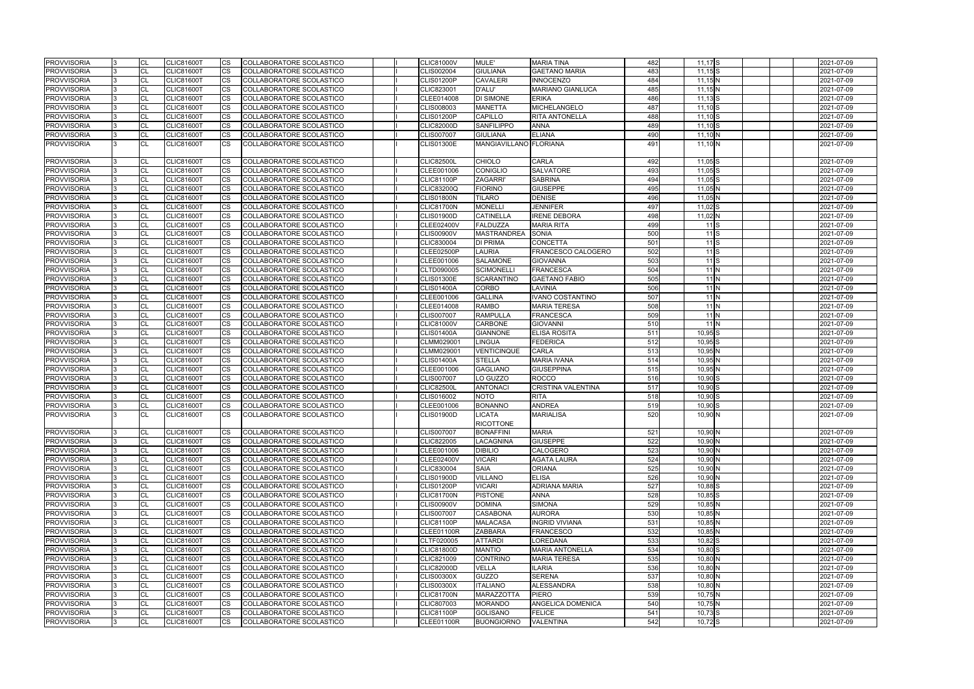| <b>PROVVISORIA</b> |     | <b>CL</b> | <b>CLIC81600T</b> | CS.       | COLLABORATORE SCOLASTICO        |  | <b>CLIC81000V</b> | MULE'                  | <b>MARIA TINA</b>         | 482 | 11,17 <sup>S</sup> | 2021-07-09 |
|--------------------|-----|-----------|-------------------|-----------|---------------------------------|--|-------------------|------------------------|---------------------------|-----|--------------------|------------|
| <b>PROVVISORIA</b> |     | <b>CL</b> | <b>CLIC81600T</b> | <b>CS</b> | COLLABORATORE SCOLASTICO        |  | CLIS002004        | <b>GIULIANA</b>        | <b>GAETANO MARIA</b>      | 483 | $11,15$ S          | 2021-07-09 |
| <b>PROVVISORIA</b> |     | <b>CL</b> | <b>CLIC81600T</b> | <b>CS</b> | COLLABORATORE SCOLASTICO        |  | <b>CLIS01200P</b> | <b>CAVALERI</b>        | <b>INNOCENZO</b>          | 484 | $11,15$ N          | 2021-07-09 |
| <b>PROVVISORIA</b> |     | <b>CL</b> | <b>CLIC81600T</b> | CS        | COLLABORATORE SCOLASTICO        |  | CLIC823001        | D'ALU'                 | <b>MARIANO GIANLUCA</b>   | 485 | $11,15$ N          | 2021-07-09 |
| <b>PROVVISORIA</b> |     | <b>CL</b> | <b>CLIC81600T</b> | CS        | COLLABORATORE SCOLASTICO        |  | CLEE014008        | DI SIMONE              | ERIKA                     | 486 | $11,13$ S          | 2021-07-09 |
| <b>PROVVISORIA</b> |     | <b>CL</b> | <b>CLIC81600T</b> | CS        | COLLABORATORE SCOLASTICO        |  | CLIS008003        | <b>MANETTA</b>         | <b>MICHELANGELO</b>       | 487 | 11,10 S            | 2021-07-09 |
| <b>PROVVISORIA</b> |     | <b>CL</b> | <b>CLIC81600T</b> | <b>CS</b> | COLLABORATORE SCOLASTICO        |  | <b>CLIS01200P</b> | CAPILLO                | <b>RITA ANTONELLA</b>     | 488 | $11,10$ S          | 2021-07-09 |
| <b>PROVVISORIA</b> |     | CL        | <b>CLIC81600T</b> | <b>CS</b> | COLLABORATORE SCOLASTICO        |  | <b>CLIC82000D</b> | <b>SANFILIPPO</b>      | <b>ANNA</b>               | 489 | $11,10$ S          | 2021-07-09 |
| <b>PROVVISORIA</b> |     | <b>CL</b> | <b>CLIC81600T</b> | CS        | COLLABORATORE SCOLASTICO        |  | <b>CLIS007007</b> | <b>GIULIANA</b>        | <b>ELIANA</b>             | 490 | $11,10$ N          | 2021-07-09 |
| <b>PROVVISORIA</b> |     | <b>CL</b> | <b>CLIC81600T</b> | CS        | COLLABORATORE SCOLASTICO        |  | <b>CLIS01300E</b> | MANGIAVILLANO FLORIANA |                           | 491 | 11,10 N            | 2021-07-09 |
|                    |     |           |                   |           |                                 |  |                   |                        |                           |     |                    |            |
| <b>PROVVISORIA</b> |     | <b>CL</b> | <b>CLIC81600T</b> | CS        | COLLABORATORE SCOLASTICO        |  | <b>CLIC82500L</b> | <b>CHIOLO</b>          | <b>CARLA</b>              | 492 | $11,05$ S          | 2021-07-09 |
| <b>PROVVISORIA</b> |     | <b>CL</b> | <b>CLIC81600T</b> | <b>CS</b> | <b>COLLABORATORE SCOLASTICO</b> |  | CLEE001006        | <b>CONIGLIO</b>        | <b>SALVATORE</b>          | 493 | $11,05$ S          | 2021-07-09 |
| <b>PROVVISORIA</b> |     | <b>CL</b> | <b>CLIC81600T</b> | <b>CS</b> | COLLABORATORE SCOLASTICO        |  | <b>CLIC81100P</b> | <b>ZAGARRI'</b>        | <b>SABRINA</b>            | 494 | 11,05 S            | 2021-07-09 |
| <b>PROVVISORIA</b> |     | <b>CL</b> | <b>CLIC81600T</b> | <b>CS</b> | COLLABORATORE SCOLASTICO        |  | <b>CLIC83200Q</b> | <b>FIORINO</b>         | <b>GIUSEPPE</b>           | 495 | 11,05 N            | 2021-07-09 |
| <b>PROVVISORIA</b> |     | <b>CL</b> | <b>CLIC81600T</b> | CS        | COLLABORATORE SCOLASTICO        |  | <b>CLIS01800N</b> | <b>TILARO</b>          | <b>DENISE</b>             | 496 | 11,05 N            | 2021-07-09 |
| <b>PROVVISORIA</b> |     | CL        | <b>CLIC81600T</b> | CS        | COLLABORATORE SCOLASTICO        |  | <b>CLIC81700N</b> | <b>MONELLI</b>         | <b>JENNIFER</b>           | 497 | 11,02 S            | 2021-07-09 |
| <b>PROVVISORIA</b> |     | <b>CL</b> | <b>CLIC81600T</b> | CS        | COLLABORATORE SCOLASTICO        |  | <b>CLIS01900D</b> | <b>CATINELLA</b>       | <b>IRENE DEBORA</b>       | 498 | 11,02 N            | 2021-07-09 |
| <b>PROVVISORIA</b> |     | <b>CL</b> | <b>CLIC81600T</b> | CS        | COLLABORATORE SCOLASTICO        |  | <b>CLEE02400V</b> | <b>FALDUZZA</b>        | <b>MARIA RITA</b>         | 499 | 11S                | 2021-07-09 |
| <b>PROVVISORIA</b> |     | <b>CL</b> | <b>CLIC81600T</b> | <b>CS</b> | COLLABORATORE SCOLASTICO        |  | <b>CLIS00900V</b> | MASTRANDREA            | <b>SONIA</b>              | 500 | 11S                | 2021-07-09 |
| <b>PROVVISORIA</b> |     | <b>CL</b> | <b>CLIC81600T</b> | <b>CS</b> | COLLABORATORE SCOLASTICO        |  | CLIC830004        | <b>DI PRIMA</b>        | <b>CONCETTA</b>           | 501 | 11S                | 2021-07-09 |
| <b>PROVVISORIA</b> |     | <b>CL</b> | <b>CLIC81600T</b> | CS        | COLLABORATORE SCOLASTICO        |  | <b>CLEE02500P</b> | <b>LAURIA</b>          | FRANCESCO CALOGERO        | 502 | 11S                | 2021-07-09 |
| <b>PROVVISORIA</b> |     | <b>CL</b> | <b>CLIC81600T</b> | CS        | COLLABORATORE SCOLASTICO        |  | CLEE001006        | <b>SALAMONE</b>        | <b>GIOVANNA</b>           | 503 | 11S                | 2021-07-09 |
| <b>PROVVISORIA</b> |     | <b>CL</b> | <b>CLIC81600T</b> | CS        | COLLABORATORE SCOLASTICO        |  | CLTD090005        | <b>SCIMONELLI</b>      | <b>FRANCESCA</b>          | 504 | $11$ N             | 2021-07-09 |
| <b>PROVVISORIA</b> |     | CL        | <b>CLIC81600T</b> | CS        | COLLABORATORE SCOLASTICO        |  | <b>CLIS01300E</b> | <b>SCARANTINO</b>      | <b>GAETANO FABIO</b>      | 505 | $11$ N             | 2021-07-09 |
| <b>PROVVISORIA</b> |     | <b>CL</b> | <b>CLIC81600T</b> | <b>CS</b> | COLLABORATORE SCOLASTICO        |  | <b>CLIS01400A</b> | <b>CORBO</b>           | LAVINIA                   | 506 | 11N                | 2021-07-09 |
| <b>PROVVISORIA</b> |     | <b>CL</b> | <b>CLIC81600T</b> | CS        | COLLABORATORE SCOLASTICO        |  | CLEE001006        | <b>GALLINA</b>         | <b>IVANO COSTANTINO</b>   | 507 | $11$ N             | 2021-07-09 |
| <b>PROVVISORIA</b> |     | <b>CL</b> | <b>CLIC81600T</b> | CS.       | COLLABORATORE SCOLASTICO        |  | CLEE014008        | <b>RAMBO</b>           | <b>MARIA TERESA</b>       | 508 | $11$ N             | 2021-07-09 |
| <b>PROVVISORIA</b> |     | <b>CL</b> | <b>CLIC81600T</b> | CS        | COLLABORATORE SCOLASTICO        |  | <b>CLIS007007</b> | <b>RAMPULLA</b>        | <b>FRANCESCA</b>          | 509 | $11$ <sub>N</sub>  | 2021-07-09 |
| <b>PROVVISORIA</b> |     | <b>CL</b> | <b>CLIC81600T</b> | CS        | COLLABORATORE SCOLASTICO        |  | <b>CLIC81000V</b> | <b>CARBONE</b>         | <b>GIOVANNI</b>           | 510 | 11N                | 2021-07-09 |
| <b>PROVVISORIA</b> |     | <b>CL</b> | <b>CLIC81600T</b> | CS        | COLLABORATORE SCOLASTICO        |  | <b>CLIS01400A</b> | <b>GIANNONE</b>        | ELISA ROSITA              | 511 | 10,95 S            | 2021-07-09 |
| <b>PROVVISORIA</b> |     | CL        | <b>CLIC81600T</b> | <b>CS</b> | COLLABORATORE SCOLASTICO        |  | CLMM029001        | <b>LINGUA</b>          | <b>FEDERICA</b>           | 512 | 10,95 <sup>S</sup> | 2021-07-09 |
| <b>PROVVISORIA</b> |     | <b>CL</b> | <b>CLIC81600T</b> | <b>CS</b> | COLLABORATORE SCOLASTICO        |  | CLMM029001        | <b>VENTICINQUE</b>     | <b>CARLA</b>              | 513 | 10,95 N            | 2021-07-09 |
| <b>PROVVISORIA</b> |     | <b>CL</b> | <b>CLIC81600T</b> | <b>CS</b> | COLLABORATORE SCOLASTICO        |  | <b>CLIS01400A</b> | <b>STELLA</b>          | <b>MARIA IVANA</b>        | 514 | $10,95$ N          | 2021-07-09 |
| <b>PROVVISORIA</b> |     | <b>CL</b> | <b>CLIC81600T</b> | CS        | COLLABORATORE SCOLASTICO        |  | CLEE001006        | <b>GAGLIANO</b>        | <b>GIUSEPPINA</b>         | 515 | 10,95 N            | 2021-07-09 |
| <b>PROVVISORIA</b> |     | CL        | <b>CLIC81600T</b> | CS        | COLLABORATORE SCOLASTICO        |  | <b>CLIS007007</b> | LO GUZZO               | ROCCO                     | 516 | 10,90 S            | 2021-07-09 |
| <b>PROVVISORIA</b> |     | <b>CL</b> | <b>CLIC81600T</b> | CS        | COLLABORATORE SCOLASTICO        |  | <b>CLIC82500L</b> | <b>ANTONACI</b>        | <b>CRISTINA VALENTINA</b> | 517 | 10,90 S            | 2021-07-09 |
| <b>PROVVISORIA</b> |     | CL        | <b>CLIC81600T</b> | CS        | COLLABORATORE SCOLASTICO        |  | CLIS016002        | <b>NOTO</b>            | <b>RITA</b>               | 518 | 10,90 S            | 2021-07-09 |
| <b>PROVVISORIA</b> |     | <b>CL</b> | <b>CLIC81600T</b> | <b>CS</b> | COLLABORATORE SCOLASTICO        |  | CLEE001006        | <b>BONANNO</b>         | <b>ANDREA</b>             | 519 | 10,90 S            | 2021-07-09 |
| <b>PROVVISORIA</b> | I3. | <b>CL</b> | <b>CLIC81600T</b> | CS        | COLLABORATORE SCOLASTICO        |  | <b>CLIS01900D</b> | <b>LICATA</b>          | <b>MARIALISA</b>          | 520 | 10,90 N            | 2021-07-09 |
|                    |     |           |                   |           |                                 |  |                   | <b>RICOTTONE</b>       |                           |     |                    |            |
| <b>PROVVISORIA</b> |     | <b>CL</b> | <b>CLIC81600T</b> | CS        | COLLABORATORE SCOLASTICO        |  | <b>CLIS007007</b> | <b>BONAFFINI</b>       | <b>MARIA</b>              | 521 | 10,90 N            | 2021-07-09 |
| <b>PROVVISORIA</b> |     | CL        | <b>CLIC81600T</b> | <b>CS</b> | COLLABORATORE SCOLASTICO        |  | <b>CLIC822005</b> | <b>LACAGNINA</b>       | <b>GIUSEPPE</b>           | 522 | 10,90N             | 2021-07-09 |
| <b>PROVVISORIA</b> |     | <b>CL</b> | <b>CLIC81600T</b> | <b>CS</b> | <b>COLLABORATORE SCOLASTICO</b> |  | CLEE001006        | <b>DIBILIO</b>         | <b>CALOGERO</b>           | 523 | 10,90 N            | 2021-07-09 |
| <b>PROVVISORIA</b> |     | CL        | <b>CLIC81600T</b> | <b>CS</b> | COLLABORATORE SCOLASTICO        |  | CLEE02400V        | <b>VICARI</b>          | <b>AGATA LAURA</b>        | 524 | 10,90 N            | 2021-07-09 |
| <b>PROVVISORIA</b> |     | <b>CL</b> | <b>CLIC81600T</b> | CS.       | COLLABORATORE SCOLASTICO        |  | CLIC830004        | <b>SAIA</b>            | <b>ORIANA</b>             | 525 | 10,90N             | 2021-07-09 |
| <b>PROVVISORIA</b> |     | <b>CL</b> | <b>CLIC81600T</b> | CS        | COLLABORATORE SCOLASTICO        |  | <b>CLIS01900D</b> | <b>VILLANO</b>         | <b>ELISA</b>              | 526 | 10,90N             | 2021-07-09 |
| <b>PROVVISORIA</b> |     | CL        | <b>CLIC81600T</b> | CS        | COLLABORATORE SCOLASTICO        |  | <b>CLIS01200P</b> | <b>VICARI</b>          | ADRIANA MARIA             | 527 | 10,88 S            | 2021-07-09 |
| <b>PROVVISORIA</b> |     | <b>CL</b> | <b>CLIC81600T</b> | CS        | COLLABORATORE SCOLASTICO        |  | <b>CLIC81700N</b> | <b>PISTONE</b>         | ANNA                      | 528 | $10,85$ S          | 2021-07-09 |
| <b>PROVVISORIA</b> |     | <b>CL</b> | <b>CLIC81600T</b> | CS        | COLLABORATORE SCOLASTICO        |  | <b>CLIS00900V</b> | <b>DOMINA</b>          | <b>SIMONA</b>             | 529 | 10,85 N            | 2021-07-09 |
| <b>PROVVISORIA</b> |     | CL        | <b>CLIC81600T</b> | <b>CS</b> | COLLABORATORE SCOLASTICO        |  | <b>CLIS007007</b> | <b>CASABONA</b>        | <b>AURORA</b>             | 530 | 10,85 N            | 2021-07-09 |
| <b>PROVVISORIA</b> |     | <b>CL</b> | <b>CLIC81600T</b> | CS.       | COLLABORATORE SCOLASTICO        |  | <b>CLIC81100P</b> | <b>MALACASA</b>        | <b>INGRID VIVIANA</b>     | 531 | 10,85 N            | 2021-07-09 |
| <b>PROVVISORIA</b> |     | CL        | <b>CLIC81600T</b> | CS.       | COLLABORATORE SCOLASTICO        |  | CLEE01100R        | <b>ZABBARA</b>         | <b>FRANCESCO</b>          | 532 | 10,85 N            | 2021-07-09 |
| <b>PROVVISORIA</b> |     | <b>CL</b> | <b>CLIC81600T</b> | CS        | COLLABORATORE SCOLASTICO        |  | CLTF020005        | <b>ATTARDI</b>         | LOREDANA                  | 533 | $10,82$ S          | 2021-07-09 |
| <b>PROVVISORIA</b> |     | <b>CL</b> | <b>CLIC81600T</b> | CS        | COLLABORATORE SCOLASTICO        |  | <b>CLIC81800D</b> | <b>MANTIO</b>          | <b>MARIA ANTONELLA</b>    | 534 | 10,80 S            | 2021-07-09 |
| <b>PROVVISORIA</b> |     | CL        | <b>CLIC81600T</b> | <b>CS</b> | COLLABORATORE SCOLASTICO        |  | CLIC821009        | <b>CONTRINO</b>        | <b>MARIA TERESA</b>       | 535 | 10,80 N            | 2021-07-09 |
| <b>PROVVISORIA</b> |     | <b>CL</b> | <b>CLIC81600T</b> | <b>CS</b> | COLLABORATORE SCOLASTICO        |  | <b>CLIC82000D</b> | <b>VELLA</b>           | <b>ILARIA</b>             | 536 | 10,80 N            | 2021-07-09 |
| <b>PROVVISORIA</b> |     | CL        | <b>CLIC81600T</b> | <b>CS</b> | COLLABORATORE SCOLASTICO        |  | <b>CLIS00300X</b> | <b>GUZZO</b>           | <b>SERENA</b>             | 537 | $10,80$ N          | 2021-07-09 |
| <b>PROVVISORIA</b> |     | <b>CL</b> | <b>CLIC81600T</b> | <b>CS</b> | COLLABORATORE SCOLASTICO        |  | <b>CLIS00300X</b> | <b>ITALIANO</b>        | <b>ALESSANDRA</b>         | 538 | 10,80 N            | 2021-07-09 |
| <b>PROVVISORIA</b> |     | <b>CL</b> | <b>CLIC81600T</b> | CS        | COLLABORATORE SCOLASTICO        |  | <b>CLIC81700N</b> | <b>MARAZZOTTA</b>      | <b>PIERO</b>              | 539 | 10,75 N            | 2021-07-09 |
| <b>PROVVISORIA</b> |     | <b>CL</b> | <b>CLIC81600T</b> | CS        | COLLABORATORE SCOLASTICO        |  | CLIC807003        | <b>MORANDO</b>         | ANGELICA DOMENICA         | 540 | 10,75 N            | 2021-07-09 |
| <b>PROVVISORIA</b> |     | <b>CL</b> | <b>CLIC81600T</b> | <b>CS</b> | COLLABORATORE SCOLASTICO        |  | <b>CLIC81100P</b> | <b>GOLISANO</b>        | <b>FELICE</b>             | 541 | $10,73$ S          | 2021-07-09 |
| <b>PROVVISORIA</b> |     | <b>CL</b> | <b>CLIC81600T</b> | <b>CS</b> | COLLABORATORE SCOLASTICO        |  | CLEE01100R        | <b>BUONGIORNO</b>      | <b>VALENTINA</b>          | 542 | 10,72 S            | 2021-07-09 |
|                    |     |           |                   |           |                                 |  |                   |                        |                           |     |                    |            |

|  |  | 2021-07-09               |
|--|--|--------------------------|
|  |  | 2021-07-09               |
|  |  | 2021-07-09               |
|  |  | 2021-07-09               |
|  |  |                          |
|  |  | 2021-07-09               |
|  |  | 2021-07-09               |
|  |  | 2021-07-09               |
|  |  | 2021-07-09               |
|  |  | 2021-07-09               |
|  |  | 2021-07-09               |
|  |  |                          |
|  |  | 2021-07-09               |
|  |  | 2021-07-09               |
|  |  | 2021-07-09               |
|  |  | 2021-07-09               |
|  |  | 2021-07-09               |
|  |  | 2021-07-09               |
|  |  | 2021-07-09               |
|  |  | 2021-07-09               |
|  |  | 2021-07-09               |
|  |  | 2021-07-09               |
|  |  |                          |
|  |  | 2021-07-09<br>2021-07-09 |
|  |  |                          |
|  |  | 2021-07-09               |
|  |  | 2021-07-09               |
|  |  | 2021-07-09               |
|  |  | 2021-07-09               |
|  |  | 2021-07-09               |
|  |  | 2021-07-09               |
|  |  | 2021-07-09               |
|  |  | 2021-07-09               |
|  |  | 2021-07-09               |
|  |  | 2021-07-09               |
|  |  | 2021-07-09               |
|  |  | 2021-07-09               |
|  |  | 2021-07-09               |
|  |  | 2021-07-09               |
|  |  | 2021-07-09               |
|  |  | 2021-07-09               |
|  |  | 2021-07-09               |
|  |  |                          |
|  |  | 2021-07-09               |
|  |  | 2021-07-09               |
|  |  | 2021-07-09               |
|  |  | 2021-07-09               |
|  |  | 2021-07-09               |
|  |  | 2021-07-09               |
|  |  |                          |
|  |  | 2021-07-09               |
|  |  | 2021-07-09               |
|  |  | 2021-07-09               |
|  |  | 2021-07-09               |
|  |  | 2021-07-09               |
|  |  | 2021-07-09               |
|  |  | 2021-07-09               |
|  |  | 2021-07-09               |
|  |  | 2021-07-09               |
|  |  | 2021-07-09               |
|  |  | 2021-07-09               |
|  |  | 2021-07-09               |
|  |  | 2021-07-09               |
|  |  | 2021-07-09               |
|  |  | 2021-07-09               |
|  |  | 2021-07-09               |
|  |  |                          |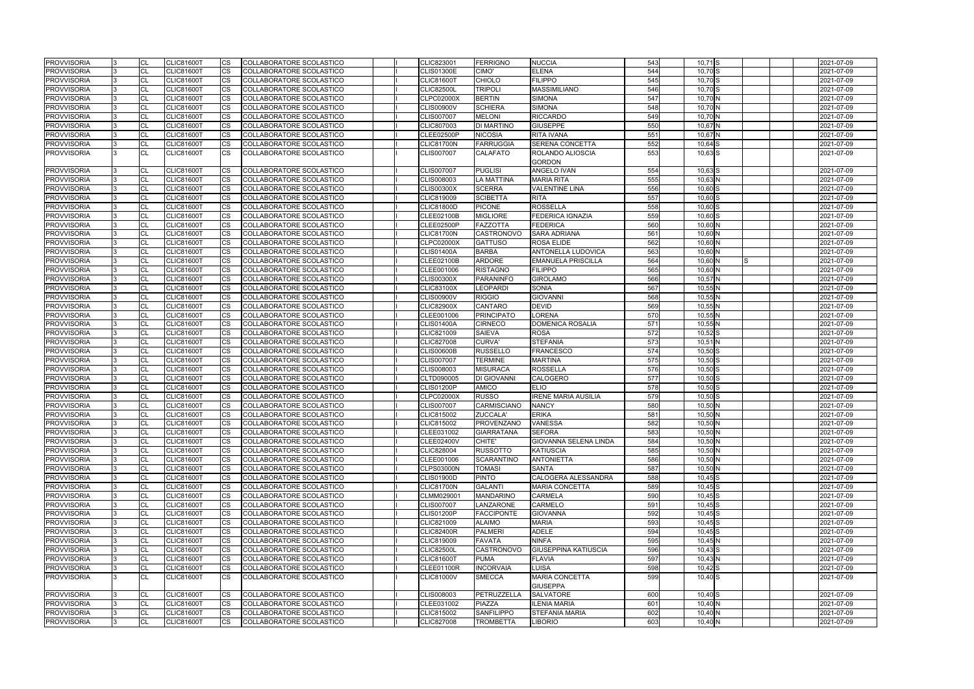| <b>PROVVISORIA</b>                       |              | <b>CL</b>       | <b>CLIC81600T</b>                      | <b>CS</b>              | COLLABORATORE SCOLASTICO                             | CLIC823001               | <b>FERRIGNO</b>                   | <b>NUCCIA</b>                      | 543        | 10,71 S                | 2021-07-09               |
|------------------------------------------|--------------|-----------------|----------------------------------------|------------------------|------------------------------------------------------|--------------------------|-----------------------------------|------------------------------------|------------|------------------------|--------------------------|
| <b>PROVVISORIA</b>                       |              | <b>CL</b>       | <b>CLIC81600T</b>                      | <b>CS</b>              | COLLABORATORE SCOLASTICO                             | CLIS01300E               | CIMO'                             | <b>ELENA</b>                       | 544        | 10,70 S                | 2021-07-09               |
| <b>PROVVISORIA</b>                       |              | <b>CL</b>       | <b>CLIC81600T</b>                      | <b>CS</b>              | COLLABORATORE SCOLASTICO                             | CLIC81600T               | <b>CHIOLO</b>                     | <b>FILIPPO</b>                     | 545        | 10,70 S                | 2021-07-09               |
| <b>PROVVISORIA</b>                       |              | <b>CL</b>       | <b>CLIC81600T</b>                      | CS                     | COLLABORATORE SCOLASTICO                             | <b>CLIC82500L</b>        | <b>TRIPOLI</b>                    | <b>MASSIMILIANO</b>                | 546        | $10,70$ S              | 2021-07-09               |
| <b>PROVVISORIA</b>                       |              | <b>CL</b>       | CLIC81600T                             | <b>CS</b>              | COLLABORATORE SCOLASTICO                             | CLPC02000X               | <b>BERTIN</b>                     | <b>SIMONA</b>                      | 547        | 10,70 N                | 2021-07-09               |
| <b>PROVVISORIA</b>                       |              | <b>CL</b>       | CLIC81600T                             | CS                     | COLLABORATORE SCOLASTICO                             | <b>CLIS00900V</b>        | <b>SCHIERA</b>                    | <b>SIMONA</b>                      | 548        | 10,70 N                | 2021-07-09               |
| <b>PROVVISORIA</b>                       |              | <b>CL</b>       | <b>CLIC81600T</b>                      | <b>CS</b>              | COLLABORATORE SCOLASTICO                             | <b>CLIS007007</b>        | <b>MELONI</b>                     | <b>RICCARDO</b>                    | 549        | 10,70 N                | 2021-07-09               |
| <b>PROVVISORIA</b>                       |              | <b>CL</b>       | <b>CLIC81600T</b>                      | <b>CS</b>              | COLLABORATORE SCOLASTICO                             | CLIC807003               | DI MARTINO                        | <b>GIUSEPPE</b>                    | 550        | 10,67 N                | 2021-07-09               |
| <b>PROVVISORIA</b>                       |              | <b>CL</b>       | <b>CLIC81600T</b>                      | <b>CS</b>              | COLLABORATORE SCOLASTICO                             | <b>CLEE02500P</b>        | <b>NICOSIA</b>                    | <b>RITA IVANA</b>                  | 551        | $10,67$ N              | 2021-07-09               |
| <b>PROVVISORIA</b>                       |              | <b>CL</b>       | <b>CLIC81600T</b>                      | <b>CS</b>              | COLLABORATORE SCOLASTICO                             | <b>CLIC81700N</b>        | <b>FARRUGGIA</b>                  | <b>SERENA CONCETTA</b>             | 552        | 10,64 S                | 2021-07-09               |
| <b>PROVVISORIA</b>                       |              | <b>CL</b>       | <b>CLIC81600T</b>                      | <b>CS</b>              | COLLABORATORE SCOLASTICO                             | CLIS007007               | CALAFATO                          | ROLANDO ALIOSCIA                   | 553        | 10,63 S                | 2021-07-09               |
|                                          |              |                 |                                        |                        |                                                      |                          |                                   | <b>GORDON</b>                      |            |                        |                          |
| <b>PROVVISORIA</b>                       |              | <b>CL</b>       | <b>CLIC81600T</b>                      | <b>CS</b>              | COLLABORATORE SCOLASTICO                             | CLIS007007               | <b>PUGLISI</b>                    | ANGELO IVAN                        | 554        | $10,63$ S              | 2021-07-09               |
| <b>PROVVISORIA</b>                       |              | <b>CL</b>       | <b>CLIC81600T</b>                      | <b>CS</b>              | COLLABORATORE SCOLASTICO                             | CLIS008003               | <b>LA MATTINA</b>                 | <b>MARIA RITA</b>                  | 555        | 10,63 N                | 2021-07-09               |
| <b>PROVVISORIA</b>                       |              | <b>CL</b>       | <b>CLIC81600T</b>                      | <b>CS</b>              | COLLABORATORE SCOLASTICO                             | CLIS00300X               | <b>SCERRA</b>                     | <b>VALENTINE LINA</b>              | 556        | 10,60 S                | 2021-07-09               |
| <b>PROVVISORIA</b>                       |              | <b>CL</b>       | <b>CLIC81600T</b>                      | <b>CS</b>              | COLLABORATORE SCOLASTICO                             | CLIC819009               | <b>SCIBETTA</b>                   | <b>RITA</b>                        | 557        | 10,60 S                | 2021-07-09               |
| <b>PROVVISORIA</b>                       |              | <b>CL</b>       | <b>CLIC81600T</b>                      | <b>CS</b>              | COLLABORATORE SCOLASTICO                             | CLIC81800D               | <b>PICONE</b>                     | <b>ROSSELLA</b>                    | 558        | $10,60$ S              | 2021-07-09               |
| <b>PROVVISORIA</b>                       |              | <b>CL</b>       | <b>CLIC81600T</b>                      | $\overline{\text{cs}}$ | COLLABORATORE SCOLASTICO                             | CLEE02100B               | <b>MIGLIORE</b>                   | <b>FEDERICA IGNAZIA</b>            | 559        | $10,60$ S              | 2021-07-09               |
| <b>PROVVISORIA</b>                       |              | <b>CL</b>       | <b>CLIC81600T</b>                      | <b>CS</b>              | COLLABORATORE SCOLASTICO                             | <b>CLEE02500P</b>        | <b>FAZZOTTA</b>                   | <b>FEDERICA</b>                    | 560        | 10,60 N                | 2021-07-09               |
| <b>PROVVISORIA</b>                       |              | <b>CL</b>       | <b>CLIC81600T</b>                      | $\overline{\text{cs}}$ | COLLABORATORE SCOLASTICO                             | <b>CLIC81700N</b>        | <b>CASTRONOVO</b>                 | <b>SARA ADRIANA</b>                | 561        | 10,60 N                | 2021-07-09               |
| <b>PROVVISORIA</b>                       |              | <b>CL</b>       | <b>CLIC81600T</b>                      | $\overline{\text{cs}}$ | COLLABORATORE SCOLASTICO                             | <b>CLPC02000X</b>        | <b>GATTUSO</b>                    | <b>ROSA ELIDE</b>                  | 562        | $10,60$ N              | 2021-07-09               |
| <b>PROVVISORIA</b>                       |              | <b>CL</b>       | <b>CLIC81600T</b>                      | <b>CS</b>              | COLLABORATORE SCOLASTICO                             | <b>CLIS01400A</b>        | <b>BARBA</b>                      | ANTONELLA LUDOVICA                 | 563        | 10,60 N                | 2021-07-09               |
| <b>PROVVISORIA</b>                       |              | <b>CL</b>       | <b>CLIC81600T</b>                      | CS                     | COLLABORATORE SCOLASTICO                             | CLEE02100B               | <b>ARDORE</b>                     | <b>EMANUELA PRISCILLA</b>          | 564        | $10,60$ N              | 2021-07-09               |
| <b>PROVVISORIA</b>                       |              | <b>CL</b>       | <b>CLIC81600T</b>                      | $\overline{\text{cs}}$ | COLLABORATORE SCOLASTICO                             | CLEE001006               | <b>RISTAGNO</b>                   | <b>FILIPPO</b>                     | 565        | 10,60 N                | 2021-07-09               |
| <b>PROVVISORIA</b>                       |              | <b>CL</b>       | <b>CLIC81600T</b>                      | <b>CS</b>              | COLLABORATORE SCOLASTICO                             | CLIS00300X               | <b>PARANINFO</b>                  | <b>GIROLAMO</b>                    | 566        | 10,57 N                | 2021-07-09               |
| <b>PROVVISORIA</b>                       |              | <b>CL</b>       | <b>CLIC81600T</b>                      | CS                     | COLLABORATORE SCOLASTICO                             | <b>CLIC83100X</b>        | <b>LEOPARDI</b>                   | <b>SONIA</b>                       | 567        | 10,55N                 | 2021-07-09               |
| <b>PROVVISORIA</b>                       |              | <b>CL</b>       | <b>CLIC81600T</b>                      | <b>CS</b>              | COLLABORATORE SCOLASTICO                             | <b>CLIS00900V</b>        | <b>RIGGIO</b>                     | <b>GIOVANNI</b>                    | 568        | $10,55$ N              | 2021-07-09               |
| <b>PROVVISORIA</b>                       |              | <b>CL</b>       | <b>CLIC81600T</b>                      | <b>CS</b>              | COLLABORATORE SCOLASTICO                             | <b>CLIC82900X</b>        | <b>CANTARO</b>                    | <b>DEVID</b>                       | 569        | 10,55 N                | 2021-07-09               |
| <b>PROVVISORIA</b>                       |              | <b>CL</b>       | <b>CLIC81600T</b>                      | CS                     | COLLABORATORE SCOLASTICO                             | CLEE001006               | <b>PRINCIPATO</b>                 | <b>LORENA</b>                      | 570        | 10,55N                 | 2021-07-09               |
| <b>PROVVISORIA</b>                       |              | <b>CL</b>       | <b>CLIC81600T</b>                      | CS                     | COLLABORATORE SCOLASTICO                             | CLIS01400A               | <b>CIRNECO</b>                    | <b>DOMENICA ROSALIA</b>            | 571        | $10,55$ N              | 2021-07-09               |
| <b>PROVVISORIA</b>                       |              | <b>CL</b>       | CLIC81600T                             | <b>CS</b>              | COLLABORATORE SCOLASTICO                             | CLIC821009               | <b>SAIEVA</b>                     | <b>ROSA</b>                        | 572<br>573 | $10,52$ S              | 2021-07-09               |
| <b>PROVVISORIA</b>                       |              | <b>CL</b>       | <b>CLIC81600T</b>                      | $\overline{\text{cs}}$ | COLLABORATORE SCOLASTICO                             | CLIC827008               | CURVA'                            | <b>STEFANIA</b>                    |            | $10,51$ N              | 2021-07-09               |
| <b>PROVVISORIA</b>                       |              | <b>CL</b><br>CL | <b>CLIC81600T</b>                      | <b>CS</b><br><b>CS</b> | COLLABORATORE SCOLASTICO                             | <b>CLIS00600B</b>        | <b>RUSSELLO</b><br><b>TERMINE</b> | <b>FRANCESCO</b><br><b>MARTINA</b> | 574<br>575 | 10,50 S                | 2021-07-09               |
| <b>PROVVISORIA</b><br><b>PROVVISORIA</b> |              | <b>CL</b>       | <b>CLIC81600T</b><br><b>CLIC81600T</b> | <b>CS</b>              | COLLABORATORE SCOLASTICO                             | CLIS007007               | <b>MISURACA</b>                   | <b>ROSSELLA</b>                    | 576        | $10,50$ S<br>$10,50$ S | 2021-07-09<br>2021-07-09 |
| <b>PROVVISORIA</b>                       |              | <b>CL</b>       | <b>CLIC81600T</b>                      | <b>CS</b>              | COLLABORATORE SCOLASTICO<br>COLLABORATORE SCOLASTICO | CLIS008003<br>CLTD090005 | DI GIOVANNI                       | <b>CALOGERO</b>                    | 577        | $10,50$ S              | 2021-07-09               |
| <b>PROVVISORIA</b>                       |              | <b>CL</b>       | <b>CLIC81600T</b>                      | <b>CS</b>              | COLLABORATORE SCOLASTICO                             | CLIS01200P               | <b>AMICO</b>                      | <b>ELIO</b>                        | 578        | $10,50$ S              | 2021-07-09               |
| <b>PROVVISORIA</b>                       |              | <b>CL</b>       | <b>CLIC81600T</b>                      | $\overline{\text{cs}}$ | COLLABORATORE SCOLASTICO                             | <b>CLPC02000X</b>        | <b>RUSSO</b>                      | <b>IRENE MARIA AUSILIA</b>         | 579        | $10,50$ S              | 2021-07-09               |
| <b>PROVVISORIA</b>                       |              | <b>CL</b>       | <b>CLIC81600T</b>                      | <b>CS</b>              | COLLABORATORE SCOLASTICO                             | CLIS007007               | <b>CARMISCIANO</b>                | <b>NANCY</b>                       | 580        | $10,50$ N              | 2021-07-09               |
| <b>PROVVISORIA</b>                       |              | <b>CL</b>       | <b>CLIC81600T</b>                      | <b>CS</b>              | COLLABORATORE SCOLASTICO                             | CLIC815002               | ZUCCALA'                          | <b>ERIKA</b>                       | 581        | 10,50 N                | 2021-07-09               |
| <b>PROVVISORIA</b>                       | $\mathbf{R}$ | CI.             | <b>CLIC81600T</b>                      | <b>CS</b>              | COLLABORATORE SCOLASTICO                             | CLIC815002               | PROVENZANO                        | <b>VANESSA</b>                     | 582        | 10,50 N                | 2021-07-09               |
| <b>PROVVISORIA</b>                       |              | <b>CL</b>       | <b>CLIC81600T</b>                      | <b>CS</b>              | COLLABORATORE SCOLASTICO                             | CLEE031002               | <b>GIARRATANA</b>                 | <b>SEFORA</b>                      | 583        | 10,50 N                | 2021-07-09               |
| <b>PROVVISORIA</b>                       |              | <b>CL</b>       | <b>CLIC81600T</b>                      | CS                     | COLLABORATORE SCOLASTICO                             | CLEE02400V               | CHITE'                            | <b>GIOVANNA SELENA LINDA</b>       | 584        | 10,50 N                | 2021-07-09               |
| <b>PROVVISORIA</b>                       |              | <b>CL</b>       | <b>CLIC81600T</b>                      | <b>CS</b>              | COLLABORATORE SCOLASTICO                             | CLIC828004               | <b>RUSSOTTO</b>                   | <b>KATIUSCIA</b>                   | 585        | 10,50 N                | 2021-07-09               |
| <b>PROVVISORIA</b>                       |              | <b>CL</b>       | <b>CLIC81600T</b>                      | <b>CS</b>              | COLLABORATORE SCOLASTICO                             | CLEE001006               | <b>SCARANTINO</b>                 | <b>ANTONIETTA</b>                  | 586        | 10,50 N                | 2021-07-09               |
| <b>PROVVISORIA</b>                       |              | <b>CL</b>       | <b>CLIC81600T</b>                      | $\overline{\text{cs}}$ | COLLABORATORE SCOLASTICO                             | CLPS03000N               | <b>TOMASI</b>                     | <b>SANTA</b>                       | 587        | $10,50$ N              | 2021-07-09               |
| <b>PROVVISORIA</b>                       |              | <b>CL</b>       | <b>CLIC81600T</b>                      | <b>CS</b>              | COLLABORATORE SCOLASTICO                             | <b>CLIS01900D</b>        | <b>PINTO</b>                      | CALOGERA ALESSANDRA                | 588        | $10,45$ S              | 2021-07-09               |
| <b>PROVVISORIA</b>                       |              | <b>CL</b>       | <b>CLIC81600T</b>                      | CS                     | COLLABORATORE SCOLASTICO                             | <b>CLIC81700N</b>        | <b>GALANTI</b>                    | <b>MARIA CONCETTA</b>              | 589        | $10,45$ S              | 2021-07-09               |
| <b>PROVVISORIA</b>                       |              | <b>CL</b>       | <b>CLIC81600T</b>                      | CS                     | COLLABORATORE SCOLASTICO                             | CLMM029001               | <b>MANDARINO</b>                  | <b>CARMELA</b>                     | 590        | $10,45$ S              | 2021-07-09               |
| <b>PROVVISORIA</b>                       |              | <b>CL</b>       | <b>CLIC81600T</b>                      | CS                     | COLLABORATORE SCOLASTICO                             | <b>CLIS007007</b>        | LANZARONE                         | <b>CARMELO</b>                     | 591        | $10,45$ S              | 2021-07-09               |
| <b>PROVVISORIA</b>                       |              | <b>CL</b>       | <b>CLIC81600T</b>                      | <b>CS</b>              | COLLABORATORE SCOLASTICO                             | <b>CLIS01200P</b>        | <b>FACCIPONTE</b>                 | <b>GIOVANNA</b>                    | 592        | $10,45$ S              | 2021-07-09               |
| <b>PROVVISORIA</b>                       |              | <b>CL</b>       | <b>CLIC81600T</b>                      | <b>CS</b>              | COLLABORATORE SCOLASTICO                             | CLIC821009               | <b>ALAIMO</b>                     | <b>MARIA</b>                       | 593        | $10,45$ S              | 2021-07-09               |
| <b>PROVVISORIA</b>                       |              | <b>CL</b>       | <b>CLIC81600T</b>                      | <b>CS</b>              | COLLABORATORE SCOLASTICO                             | <b>CLIC82400R</b>        | <b>PALMERI</b>                    | ADELE                              | 594        | $10,45$ S              | 2021-07-09               |
| <b>PROVVISORIA</b>                       |              | <b>CL</b>       | <b>CLIC81600T</b>                      | $\overline{\text{cs}}$ | COLLABORATORE SCOLASTICO                             | CLIC819009               | <b>FAVATA</b>                     | <b>NINFA</b>                       | 595        | $10,45$ N              | 2021-07-09               |
| <b>PROVVISORIA</b>                       |              | <b>CL</b>       | <b>CLIC81600T</b>                      | CS                     | COLLABORATORE SCOLASTICO                             | <b>CLIC82500L</b>        | CASTRONOVO                        | <b>GIUSEPPINA KATIUSCIA</b>        | 596        | $10,43$ S              | 2021-07-09               |
| <b>PROVVISORIA</b>                       |              | <b>CL</b>       | <b>CLIC81600T</b>                      | CS                     | COLLABORATORE SCOLASTICO                             | <b>CLIC81600T</b>        | <b>PUMA</b>                       | <b>FLAVIA</b>                      | 597        | 10,43 N                | 2021-07-09               |
| <b>PROVVISORIA</b>                       |              | <b>CL</b>       | <b>CLIC81600T</b>                      | <b>CS</b>              | COLLABORATORE SCOLASTICO                             | <b>CLEE01100R</b>        | <b>INCORVAIA</b>                  | LUISA                              | 598        | $10,42$ S              | 2021-07-09               |
| <b>PROVVISORIA</b>                       | I3.          | <b>CL</b>       | <b>CLIC81600T</b>                      | <b>CS</b>              | COLLABORATORE SCOLASTICO                             | <b>CLIC81000V</b>        | <b>SMECCA</b>                     | <b>MARIA CONCETTA</b>              | 599        | $10,40$ S              | 2021-07-09               |
|                                          |              |                 |                                        |                        |                                                      |                          |                                   | <b>GIUSEPPA</b>                    |            |                        |                          |
| <b>PROVVISORIA</b>                       |              | <b>CL</b>       | <b>CLIC81600T</b>                      | <b>CS</b>              | COLLABORATORE SCOLASTICO                             | CLIS008003               | PETRUZZELLA                       | <b>SALVATORE</b>                   | 600        | $10,40$ S              | 2021-07-09               |
| <b>PROVVISORIA</b>                       |              | <b>CL</b>       | <b>CLIC81600T</b>                      | <b>CS</b>              | COLLABORATORE SCOLASTICO                             | CLEE031002               | <b>PIAZZA</b>                     | <b>ILENIA MARIA</b>                | 601        | 10,40 N                | 2021-07-09               |
| <b>PROVVISORIA</b>                       |              | <b>CL</b>       | <b>CLIC81600T</b>                      | CS                     | COLLABORATORE SCOLASTICO                             | CLIC815002               | SANFILIPPO                        | <b>STEFANIA MARIA</b>              | 602        | 10,40 N                | 2021-07-09               |
| <b>PROVVISORIA</b>                       |              | <b>CL</b>       | <b>CLIC81600T</b>                      | <b>CS</b>              | COLLABORATORE SCOLASTICO                             | CLIC827008               | <b>TROMBETTA</b>                  | <b>LIBORIO</b>                     | 603        | 10,40 N                | 2021-07-09               |
|                                          |              |                 |                                        |                        |                                                      |                          |                                   |                                    |            |                        |                          |

| 543              | $10,71$ S   |   |  | 2021-07-09               |
|------------------|-------------|---|--|--------------------------|
| 544              | $10,70$ S   |   |  | 2021-07-09               |
| 545              | 10,70 S     |   |  | 2021-07-09               |
| 546              | 10,70 S     |   |  | 2021-07-09               |
| 547              | 10,70 N     |   |  | 2021-07-09               |
| 548              | 10,70 N     |   |  | 2021-07-09               |
| 549              | 10,70 N     |   |  |                          |
|                  |             |   |  | 2021-07-09               |
| 550              | $10,67$ N   |   |  | 2021-07-09               |
| 551              | 10,67 N     |   |  | 2021-07-09               |
| 552              | 10,64 S     |   |  | 2021-07-09               |
| 553              | $10,63$ $S$ |   |  | 2021-07-09               |
|                  |             |   |  |                          |
| 554              | $10,63$ $S$ |   |  | 2021-07-09               |
| 555              | $10,63$ N   |   |  | 2021-07-09               |
| 556              | 10,60 S     |   |  | 2021-07-09               |
| 557              | 10,60 S     |   |  | 2021-07-09               |
| 558              | 10,60 S     |   |  | 2021-07-09               |
| 559              | 10,60 S     |   |  | 2021-07-09               |
| 560              | 10,60 N     |   |  | 2021-07-09               |
| 561              | 10,60 N     |   |  | 2021-07-09               |
| 562              | 10,60 N     |   |  | 2021-07-09               |
| 563              | 10,60 N     |   |  | 2021-07-09               |
| 564              | 10,60 N     | S |  | 2021-07-09               |
| 565              | 10,60 N     |   |  | 2021-07-09               |
| 566              | 10,57 N     |   |  | 2021-07-09               |
| 567              | 10,55 N     |   |  | 2021-07-09               |
| 568              | 10,55 N     |   |  | 2021-07-09               |
| 569              | 10,55 N     |   |  | 2021-07-09               |
|                  | 10,55 N     |   |  |                          |
| 570              |             |   |  | 2021-07-09               |
| 571              | 10,55 N     |   |  | 2021-07-09               |
| 572              | $10,52$ $S$ |   |  | 2021-07-09               |
| 573              | 10,51 N     |   |  | 2021-07-09               |
| 574              | $10,50$ S   |   |  | 2021-07-09               |
| 575              | $10,50$ S   |   |  | 2021-07-09               |
| 576              | $10,50$ S   |   |  | 2021-07-09               |
| 577              | 10,50 S     |   |  | 2021-07-09               |
| 578              | $10,50$ S   |   |  | 2021-07-09               |
| 579              | 10,50 S     |   |  | 2021-07-09               |
| 580              | $10,50$ N   |   |  | 2021-07-09               |
| 581              | 10,50 N     |   |  | 2021-07-09               |
| 582              | $10,50$ N   |   |  | 2021-07-09               |
| 583              | 10,50 N     |   |  | 2021-07-09               |
| 584              | 10,50 N     |   |  | 2021-07-09               |
| 585              | 10,50 N     |   |  | 2021-07-09               |
| 586              | 10,50 N     |   |  | 2021-07-09               |
| 587              | 10,50 N     |   |  | 2021-07-09               |
| 588              | $10,45$ S   |   |  | 2021-07-09               |
| 589              | $10,45$ $S$ |   |  | 2021-07-09               |
| 590              | $10,45$ $S$ |   |  | 2021-07-09               |
| 591              | $10,45$ $S$ |   |  | 2021-07-09               |
| 592              | $10,45$ $S$ |   |  | 2021-07-09               |
| 593              | $10,45$ S   |   |  | 2021-07-09               |
| 594              | 10,45 S     |   |  |                          |
| 595              | 10,45 N     |   |  | 2021-07-09<br>2021-07-09 |
|                  |             |   |  |                          |
| 596              | $10,43$ $S$ |   |  | 2021-07-09               |
| 597              | 10,43 N     |   |  | 2021-07-09               |
| 598              | $10,42$ $S$ |   |  | 2021-07-09               |
| 599              | $10,40$ S   |   |  | 2021-07-09               |
|                  |             |   |  |                          |
| 600              | 10,40 S     |   |  | 2021-07-09               |
| 601              | 10,40 N     |   |  | 2021-07-09               |
| 602              | 10,40 N     |   |  | 2021-07-09               |
| $\overline{6}03$ | 10,40 N     |   |  | 2021-07-09               |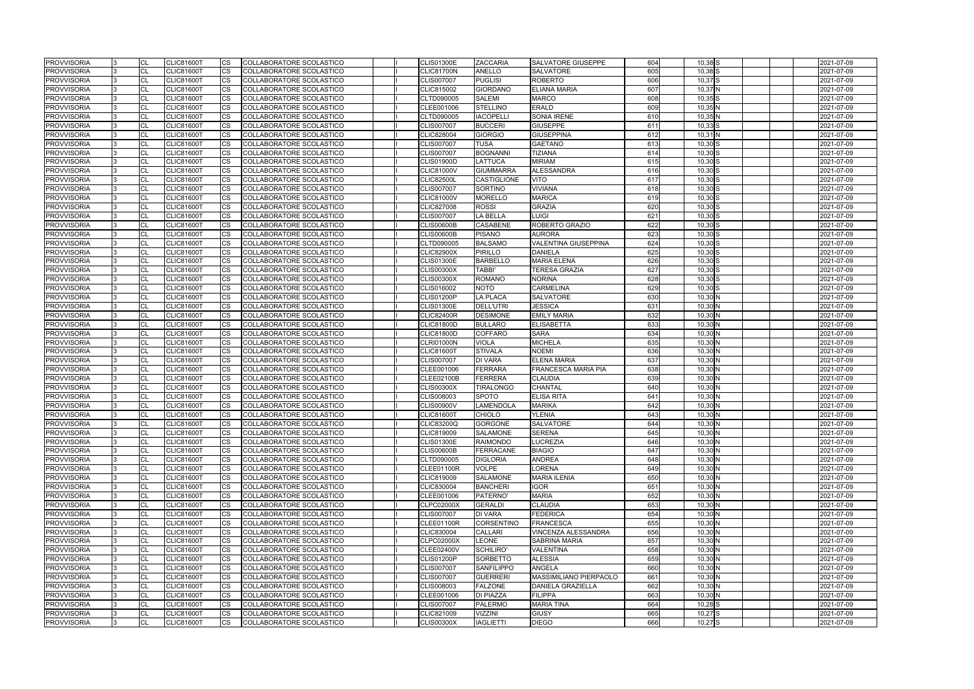| <b>PROVVISORIA</b> | CL        | <b>CLIC81600T</b>                      | <b>CS</b>              | COLLABORATORE SCOLASTICO        |  | <b>CLIS01300E</b>                      | <b>ZACCARIA</b>                  | <b>SALVATORE GIUSEPPE</b>                        | 604        | 10,38 S            | 2021-07-09               |
|--------------------|-----------|----------------------------------------|------------------------|---------------------------------|--|----------------------------------------|----------------------------------|--------------------------------------------------|------------|--------------------|--------------------------|
| <b>PROVVISORIA</b> | CL        | <b>CLIC81600T</b>                      | <b>CS</b>              | COLLABORATORE SCOLASTICO        |  | <b>CLIC81700N</b>                      | ANELLO                           | <b>SALVATORE</b>                                 | 605        | $10,38$ $S$        | 2021-07-09               |
| <b>PROVVISORIA</b> | <b>CL</b> | <b>CLIC81600T</b>                      | <b>CS</b>              | <b>COLLABORATORE SCOLASTICO</b> |  | <b>CLIS007007</b>                      | <b>PUGLISI</b>                   | <b>ROBERTO</b>                                   | 606        | $10,37$ S          | 2021-07-09               |
| <b>PROVVISORIA</b> | CL        | <b>CLIC81600T</b>                      | CS                     | COLLABORATORE SCOLASTICO        |  | CLIC815002                             | <b>GIORDANO</b>                  | <b>ELIANA MARIA</b>                              | 607        | $10,37$ N          | 2021-07-09               |
| <b>PROVVISORIA</b> | CL        | <b>CLIC81600T</b>                      | <b>CS</b>              | COLLABORATORE SCOLASTICO        |  | CLTD090005                             | <b>SALEMI</b>                    | <b>MARCO</b>                                     | 608        | $10,35$ S          | 2021-07-09               |
| <b>PROVVISORIA</b> | CL        | <b>CLIC81600T</b>                      | <b>CS</b>              | COLLABORATORE SCOLASTICO        |  | CLEE001006                             | <b>STELLINO</b>                  | <b>ERALD</b>                                     | 609        | 10,35 N            | 2021-07-09               |
| <b>PROVVISORIA</b> | CL        | <b>CLIC81600T</b>                      | <b>CS</b>              | COLLABORATORE SCOLASTICO        |  | CLTD090005                             | <b>IACOPELLI</b>                 | <b>SONIA IRENE</b>                               | 610        | 10,35 N            | 2021-07-09               |
| <b>PROVVISORIA</b> | CL        | <b>CLIC81600T</b>                      | <b>CS</b>              | COLLABORATORE SCOLASTICO        |  | <b>CLIS007007</b>                      | <b>BUCCERI</b>                   | <b>GIUSEPPE</b>                                  | 611        | $10,33$ S          | 2021-07-09               |
| <b>PROVVISORIA</b> | CL        | <b>CLIC81600T</b>                      | <b>CS</b>              | COLLABORATORE SCOLASTICO        |  | <b>CLIC828004</b>                      | <b>GIORGIO</b>                   | <b>GIUSEPPINA</b>                                | 612        | 10,31 N            | 2021-07-09               |
| <b>PROVVISORIA</b> | CL        | <b>CLIC81600T</b>                      | CS                     | COLLABORATORE SCOLASTICO        |  | <b>CLIS007007</b>                      | <b>TUSA</b>                      | <b>GAETANO</b>                                   | 613        | $10,30$ S          | 2021-07-09               |
| <b>PROVVISORIA</b> | CL        | <b>CLIC81600T</b>                      | CS                     | COLLABORATORE SCOLASTICO        |  | <b>CLIS007007</b>                      | <b>BOGNANNI</b>                  | TIZIANA                                          | 614        | $10,30$ S          | 2021-07-09               |
| <b>PROVVISORIA</b> | <b>CL</b> | <b>CLIC81600T</b>                      | <b>CS</b>              | COLLABORATORE SCOLASTICO        |  | <b>CLIS01900D</b>                      | <b>LATTUCA</b>                   | <b>MIRIAM</b>                                    | 615        | $10,30$ S          | 2021-07-09               |
| <b>PROVVISORIA</b> | CL        | <b>CLIC81600T</b>                      | <b>CS</b>              | COLLABORATORE SCOLASTICO        |  | <b>CLIC81000V</b>                      | <b>GIUMMARRA</b>                 | <b>ALESSANDRA</b>                                | 616        | $10,30$ S          | 2021-07-09               |
| <b>PROVVISORIA</b> | CL        | <b>CLIC81600T</b>                      | <b>CS</b>              | COLLABORATORE SCOLASTICO        |  | <b>CLIC82500L</b>                      | <b>CASTIGLIONE</b>               | <b>VITO</b>                                      | 617        | $10,30$ S          | 2021-07-09               |
| <b>PROVVISORIA</b> | CL        | <b>CLIC81600T</b>                      | <b>CS</b>              | COLLABORATORE SCOLASTICO        |  | <b>CLIS007007</b>                      | <b>SORTINO</b>                   | <b>VIVIANA</b>                                   | 618        | $10,30$ S          | 2021-07-09               |
| <b>PROVVISORIA</b> | CL        | <b>CLIC81600T</b>                      | <b>CS</b>              | COLLABORATORE SCOLASTICO        |  | <b>CLIC81000V</b>                      | <b>MORELLO</b>                   | <b>MARICA</b>                                    | 619        | $10,30$ S          | 2021-07-09               |
| <b>PROVVISORIA</b> | <b>CL</b> | <b>CLIC81600T</b>                      | <b>CS</b>              | COLLABORATORE SCOLASTICO        |  | <b>CLIC827008</b>                      | <b>ROSSI</b>                     | <b>GRAZIA</b>                                    | 620        | $10,30$ S          | 2021-07-09               |
| <b>PROVVISORIA</b> | CL        | <b>CLIC81600T</b>                      | <b>CS</b>              | COLLABORATORE SCOLASTICO        |  | <b>CLIS007007</b>                      | LA BELLA                         | <b>LUIGI</b>                                     | 621        | $10,30$ S          | 2021-07-09               |
| <b>PROVVISORIA</b> | CL        | <b>CLIC81600T</b>                      | <b>CS</b>              | COLLABORATORE SCOLASTICO        |  | <b>CLIS00600B</b>                      | <b>CASABENE</b>                  | ROBERTO GRAZIO                                   | 622        | $10,30$ S          | $2021 - 07 - 09$         |
| <b>PROVVISORIA</b> | <b>CL</b> | <b>CLIC81600T</b>                      | <b>CS</b>              | COLLABORATORE SCOLASTICO        |  | <b>CLIS00600B</b>                      | <b>PISANO</b>                    | <b>AURORA</b>                                    | 623        | $10,30$ S          | 2021-07-09               |
| <b>PROVVISORIA</b> | CL        | <b>CLIC81600T</b>                      | <b>CS</b>              | COLLABORATORE SCOLASTICO        |  | CLTD090005                             | <b>BALSAMO</b>                   | <b>VALENTINA GIUSEPPINA</b>                      | 624        | $10,30$ S          | 2021-07-09               |
| <b>PROVVISORIA</b> | <b>CL</b> | <b>CLIC81600T</b>                      | CS                     | COLLABORATORE SCOLASTICO        |  | <b>CLIC82900X</b>                      | <b>PIRILLO</b>                   | <b>DANIELA</b>                                   | 625        | $10,30$ S          | 2021-07-09               |
| <b>PROVVISORIA</b> | <b>CL</b> | <b>CLIC81600T</b>                      | CS                     | COLLABORATORE SCOLASTICO        |  | <b>CLIS01300E</b>                      | <b>BARBELLO</b>                  | <b>MARIA ELENA</b>                               | 626        | $10,30$ S          | 2021-07-09               |
| <b>PROVVISORIA</b> | CL        | <b>CLIC81600T</b>                      | <b>CS</b>              | COLLABORATORE SCOLASTICO        |  | <b>CLIS00300X</b>                      | <b>TABBI</b>                     | <b>TERESA GRAZIA</b>                             | 627        | $10,30$ S          | 2021-07-09               |
| <b>PROVVISORIA</b> | CL        | <b>CLIC81600T</b>                      | CS                     | COLLABORATORE SCOLASTICO        |  | <b>CLIS00300X</b>                      | <b>ROMANO</b>                    | <b>NORINA</b>                                    | 628        | 10,30 S            | 2021-07-09               |
| <b>PROVVISORIA</b> | <b>CL</b> | <b>CLIC81600T</b>                      | $\overline{\text{cs}}$ | COLLABORATORE SCOLASTICO        |  | CLIS016002                             | <b>NOTO</b>                      | <b>CARMELINA</b>                                 | 629        | $10,30$ S          | 2021-07-09               |
| <b>PROVVISORIA</b> | CL        | <b>CLIC81600T</b>                      | <b>CS</b>              | COLLABORATORE SCOLASTICO        |  | <b>CLIS01200P</b>                      | <b>LA PLACA</b>                  | <b>SALVATORE</b>                                 | 630        | 10,30 N            | 2021-07-09               |
| <b>PROVVISORIA</b> | CL        | <b>CLIC81600T</b>                      | <b>CS</b>              | COLLABORATORE SCOLASTICO        |  | <b>CLIS01300E</b>                      | <b>DELL'UTRI</b>                 | <b>JESSICA</b>                                   | 631        | 10,30 N            | 2021-07-09               |
| <b>PROVVISORIA</b> | <b>CL</b> | <b>CLIC81600T</b>                      | CS                     | COLLABORATORE SCOLASTICO        |  | <b>CLIC82400R</b>                      | <b>DESIMONE</b>                  | <b>EMILY MARIA</b>                               | 632        | 10,30 N            | 2021-07-09               |
| <b>PROVVISORIA</b> | CL        |                                        |                        |                                 |  |                                        |                                  | <b>ELISABETTA</b>                                | 633        | 10,30 N            | 2021-07-09               |
|                    | CL        | CLIC81600T                             | CS<br><b>CS</b>        | COLLABORATORE SCOLASTICO        |  | <b>CLIC81800D</b>                      | <b>BULLARO</b><br><b>COFFARO</b> | <b>SARA</b>                                      | 634        |                    |                          |
| <b>PROVVISORIA</b> |           | <b>CLIC81600T</b><br><b>CLIC81600T</b> | <b>CS</b>              | COLLABORATORE SCOLASTICO        |  | <b>CLIC81800D</b><br><b>CLRI01000N</b> |                                  | <b>MICHELA</b>                                   | 635        | 10,30 N<br>10,30 N | 2021-07-09               |
| <b>PROVVISORIA</b> | CL        | <b>CLIC81600T</b>                      |                        | COLLABORATORE SCOLASTICO        |  |                                        | <b>VIOLA</b><br><b>STIVALA</b>   | <b>NOEMI</b>                                     | 636        | $10,30$ N          | 2021-07-09<br>2021-07-09 |
| <b>PROVVISORIA</b> | CL        |                                        | <b>CS</b>              | COLLABORATORE SCOLASTICO        |  | <b>CLIC81600T</b>                      |                                  |                                                  |            |                    |                          |
| <b>PROVVISORIA</b> | CL        | <b>CLIC81600T</b>                      | <b>CS</b>              | COLLABORATORE SCOLASTICO        |  | <b>CLIS007007</b>                      | <b>DI VARA</b>                   | <b>ELENA MARIA</b><br><b>FRANCESCA MARIA PIA</b> | 637        | 10,30 N            | 2021-07-09               |
| <b>PROVVISORIA</b> | CL        | <b>CLIC81600T</b>                      | <b>CS</b>              | COLLABORATORE SCOLASTICO        |  | CLEE001006                             | <b>FERRARA</b>                   |                                                  | 638        | 10,30 N            | 2021-07-09               |
| <b>PROVVISORIA</b> | CL        | <b>CLIC81600T</b>                      | <b>CS</b>              | COLLABORATORE SCOLASTICO        |  | <b>CLEE02100B</b>                      | <b>FERRERA</b>                   | <b>CLAUDIA</b>                                   | 639<br>640 | 10,30 N            | 2021-07-09               |
| <b>PROVVISORIA</b> | CL        | <b>CLIC81600T</b>                      | <b>CS</b>              | COLLABORATORE SCOLASTICO        |  | <b>CLIS00300X</b>                      | <b>TIRALONGO</b>                 | <b>CHANTAL</b>                                   |            | 10,30 N            | 2021-07-09               |
| <b>PROVVISORIA</b> | CL        | <b>CLIC81600T</b>                      | <b>CS</b>              | COLLABORATORE SCOLASTICO        |  | CLIS008003                             | <b>SPOTO</b>                     | <b>ELISA RITA</b>                                | 641        | 10,30 N            | 2021-07-09               |
| <b>PROVVISORIA</b> | CL        | <b>CLIC81600T</b>                      | <b>ICS</b>             | COLLABORATORE SCOLASTICO        |  | <b>CLIS00900V</b>                      | <b>LAMENDOLA</b>                 | <b>MARIKA</b>                                    | 642        | $10,30$ N          | 2021-07-09               |
| <b>PROVVISORIA</b> | <b>CL</b> | <b>CLIC81600T</b>                      | <b>CS</b>              | COLLABORATORE SCOLASTICO        |  | <b>CLIC81600T</b>                      | <b>CHIOLO</b>                    | <b>YLENIA</b>                                    | 643        | 10,30 N            | 2021-07-09               |
| <b>PROVVISORIA</b> | <b>CL</b> | <b>CLIC81600T</b>                      | <b>CS</b>              | COLLABORATORE SCOLASTICO        |  | CLIC83200Q                             | <b>GORGONE</b>                   | <b>SALVATORE</b>                                 | 644        | $10.30$ N          | 2021-07-09               |
| <b>PROVVISORIA</b> | <b>CL</b> | <b>CLIC81600T</b>                      | <b>CS</b>              | COLLABORATORE SCOLASTICO        |  | <b>CLIC819009</b>                      | <b>SALAMONE</b>                  | <b>SERENA</b>                                    | 645        | 10,30 N            | 2021-07-09               |
| <b>PROVVISORIA</b> | <b>CL</b> | <b>CLIC81600T</b>                      | CS                     | COLLABORATORE SCOLASTICO        |  | <b>CLIS01300E</b>                      | <b>RAIMONDO</b>                  | <b>LUCREZIA</b>                                  | 646        | 10,30 N            | 2021-07-09               |
| <b>PROVVISORIA</b> | CL        | <b>CLIC81600T</b>                      | CS                     | COLLABORATORE SCOLASTICO        |  | <b>CLIS00600B</b>                      | <b>FERRACANE</b>                 | <b>BIAGIO</b>                                    | 647        | 10,30 N            | 2021-07-09               |
| <b>PROVVISORIA</b> | <b>CL</b> | <b>CLIC81600T</b>                      | <b>CS</b>              | COLLABORATORE SCOLASTICO        |  | CLTD090005                             | <b>DIGLORIA</b>                  | <b>ANDREA</b>                                    | 648        | 10,30 N            | 2021-07-09               |
| <b>PROVVISORIA</b> | CL        | <b>CLIC81600T</b>                      | CS                     | COLLABORATORE SCOLASTICO        |  | <b>CLEE01100R</b>                      | <b>VOLPE</b>                     | <b>LORENA</b>                                    | 649        | $10,30$ N          | 2021-07-09               |
| <b>PROVVISORIA</b> | <b>CL</b> | <b>CLIC81600T</b>                      | CS                     | COLLABORATORE SCOLASTICO        |  | CLIC819009                             | <b>SALAMONE</b>                  | <b>MARIA ILENIA</b>                              | 650        | 10,30 N            | 2021-07-09               |
| <b>PROVVISORIA</b> | <b>CL</b> | <b>CLIC81600T</b>                      | <b>CS</b>              | COLLABORATORE SCOLASTICO        |  | CLIC830004                             | <b>BANCHERI</b>                  | <b>IGOR</b>                                      | 651        | 10,30 N            | 2021-07-09               |
| <b>PROVVISORIA</b> | <b>CL</b> | <b>CLIC81600T</b>                      | <b>CS</b>              | COLLABORATORE SCOLASTICO        |  | CLEE001006                             | PATERNO'                         | <b>MARIA</b>                                     | 652        | 10,30 N            | 2021-07-09               |
| <b>PROVVISORIA</b> | <b>CL</b> | <b>CLIC81600T</b>                      | CS                     | COLLABORATORE SCOLASTICO        |  | <b>CLPC02000X</b>                      | <b>GERALDI</b>                   | <b>CLAUDIA</b>                                   | 653        | $10,30$ N          | 2021-07-09               |
| <b>PROVVISORIA</b> | <b>CL</b> | <b>CLIC81600T</b>                      | CS                     | COLLABORATORE SCOLASTICO        |  | <b>CLIS007007</b>                      | DI VARA                          | <b>FEDERICA</b>                                  | 654        | 10,30 N            | 2021-07-09               |
| <b>PROVVISORIA</b> | <b>CL</b> | <b>CLIC81600T</b>                      | <b>CS</b>              | COLLABORATORE SCOLASTICO        |  | <b>CLEE01100R</b>                      | <b>CORSENTINO</b>                | <b>FRANCESCA</b>                                 | 655        | $10,30$ N          | 2021-07-09               |
| <b>PROVVISORIA</b> | CL        | <b>CLIC81600T</b>                      | <b>CS</b>              | COLLABORATORE SCOLASTICO        |  | CLIC830004                             | <b>CALLARI</b>                   | VINCENZA ALESSANDRA                              | 656        | 10,30 N            | 2021-07-09               |
| <b>PROVVISORIA</b> | CL        | <b>CLIC81600T</b>                      | <b>CS</b>              | COLLABORATORE SCOLASTICO        |  | <b>CLPC02000X</b>                      | <b>LEONE</b>                     | <b>SABRINA MARIA</b>                             | 657        | 10,30 N            | 2021-07-09               |
| <b>PROVVISORIA</b> | <b>CL</b> | <b>CLIC81600T</b>                      | <b>CS</b>              | COLLABORATORE SCOLASTICO        |  | <b>CLEE02400V</b>                      | <b>SCHILIRO</b>                  | VALENTINA                                        | 658        | 10,30 N            | 2021-07-09               |
| <b>PROVVISORIA</b> | <b>CL</b> | <b>CLIC81600T</b>                      | CS                     | COLLABORATORE SCOLASTICO        |  | <b>CLIS01200P</b>                      | <b>SORBETTO</b>                  | <b>ALESSIA</b>                                   | 659        | $10,30$ N          | 2021-07-09               |
| <b>PROVVISORIA</b> | <b>CL</b> | <b>CLIC81600T</b>                      | <b>CS</b>              | COLLABORATORE SCOLASTICO        |  | <b>CLIS007007</b>                      | <b>SANFILIPPO</b>                | ANGELA                                           | 660        | 10,30 N            | 2021-07-09               |
| <b>PROVVISORIA</b> | <b>CL</b> | <b>CLIC81600T</b>                      | <b>CS</b>              | COLLABORATORE SCOLASTICO        |  | <b>CLIS007007</b>                      | <b>GUERRERI</b>                  | <b>MASSIMILIANO PIERPAOLO</b>                    | 661        | $10,30$ N          | 2021-07-09               |
| <b>PROVVISORIA</b> | CL        | <b>CLIC81600T</b>                      | <b>CS</b>              | COLLABORATORE SCOLASTICO        |  | CLIS008003                             | <b>FALZONE</b>                   | <b>DANIELA GRAZIELLA</b>                         | 662        | $10,30$ N          | 2021-07-09               |
| <b>PROVVISORIA</b> | <b>CL</b> | <b>CLIC81600T</b>                      | <b>CS</b>              | COLLABORATORE SCOLASTICO        |  | CLEE001006                             | <b>DI PIAZZA</b>                 | <b>FILIPPA</b>                                   | 663        | 10,30 N            | 2021-07-09               |
| <b>PROVVISORIA</b> | <b>CL</b> | <b>CLIC81600T</b>                      | <b>CS</b>              | COLLABORATORE SCOLASTICO        |  | <b>CLIS007007</b>                      | <b>PALERMO</b>                   | <b>MARIA TINA</b>                                | 664        | $10,28$ S          | 2021-07-09               |
| <b>PROVVISORIA</b> | <b>CL</b> | <b>CLIC81600T</b>                      | CS                     | COLLABORATORE SCOLASTICO        |  | CLIC821009                             | <b>VIZZINI</b>                   | <b>GIUSY</b>                                     | 665        | $10,27$ S          | 2021-07-09               |
| <b>PROVVISORIA</b> | <b>CL</b> | <b>CLIC81600T</b>                      | <b>CS</b>              | COLLABORATORE SCOLASTICO        |  | <b>CLIS00300X</b>                      | <b>IAGLIETTI</b>                 | <b>DIEGO</b>                                     | 666        | 10,27 S            | 2021-07-09               |
|                    |           |                                        |                        |                                 |  |                                        |                                  |                                                  |            |                    |                          |

|  |  | 2021-07-09               |
|--|--|--------------------------|
|  |  | 2021-07-09               |
|  |  | 2021-07-09               |
|  |  | 2021-07-09               |
|  |  | 2021-07-09               |
|  |  | 2021-07-09               |
|  |  | 2021-07-09               |
|  |  | 2021-07-09               |
|  |  | 2021-07-09               |
|  |  | 2021-07-09               |
|  |  | 2021-07-09               |
|  |  | 2021-07-09               |
|  |  | 2021-07-09               |
|  |  | 2021-07-09               |
|  |  | 2021-07-09               |
|  |  | 2021-07-09               |
|  |  | 2021-07-09               |
|  |  | 2021-07-09               |
|  |  | 2021-07-09               |
|  |  | 2021-07-09               |
|  |  | 2021-07-09               |
|  |  | 2021-07-09               |
|  |  | 2021-07-09               |
|  |  | 2021-07-09               |
|  |  | 2021-07-09               |
|  |  | 2021-07-09               |
|  |  | 2021-07-09               |
|  |  | 2021-07-09               |
|  |  | 2021-07-09               |
|  |  | 2021-07-09               |
|  |  | 2021-07-09               |
|  |  | 2021-07-09<br>2021-07-09 |
|  |  | 2021-07-09               |
|  |  | 2021-07-09               |
|  |  | 2021-07-09               |
|  |  | 2021-07-09               |
|  |  | 2021-07-09               |
|  |  | 2021-07-09               |
|  |  | 2021-07-09               |
|  |  | 2021-07-09               |
|  |  | 2021-07-09               |
|  |  | 2021-07-09               |
|  |  | 2021-07-09               |
|  |  | 2021-07-09               |
|  |  | 2021-07-09               |
|  |  | 2021-07-09               |
|  |  | 2021-07-09               |
|  |  | 2021-07-09               |
|  |  | 2021-07-09               |
|  |  | 2021-07-09               |
|  |  | 2021-07-09               |
|  |  | 2021-07-09               |
|  |  | 2021-07-09               |
|  |  | 2021-07-09               |
|  |  | 2021-07-09               |
|  |  | 2021-07-09               |
|  |  | 2021-07-09               |
|  |  | 2021-07-09               |
|  |  | 2021-07-09               |
|  |  | 2021-07-09               |
|  |  | 2021-07-09               |
|  |  | 2021-07-09               |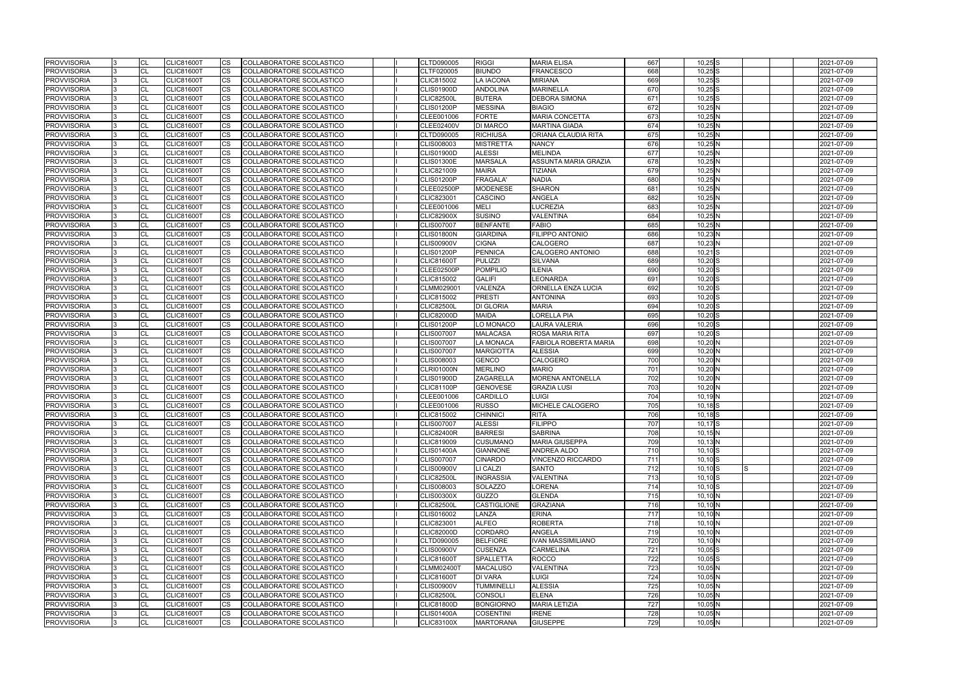| <b>PROVVISORIA</b> | <b>CL</b>      | <b>CLIC81600T</b> | <b>CS</b> | COLLABORATORE SCOLASTICO        |  | CLTD090005        | <b>RIGGI</b>       | <b>MARIA ELISA</b>       | 667 | $10,25$ S          |    | 2021-07-09 |
|--------------------|----------------|-------------------|-----------|---------------------------------|--|-------------------|--------------------|--------------------------|-----|--------------------|----|------------|
| <b>PROVVISORIA</b> | <b>CL</b>      | <b>CLIC81600T</b> | <b>CS</b> | COLLABORATORE SCOLASTICO        |  | CLTF020005        | <b>BIUNDO</b>      | <b>FRANCESCO</b>         | 668 | $10,25$ S          |    | 2021-07-09 |
| <b>PROVVISORIA</b> | CL             | <b>CLIC81600T</b> | CS        | COLLABORATORE SCOLASTICO        |  | CLIC815002        | <b>LA IACONA</b>   | MIRIANA                  | 669 | $10,25$ S          |    | 2021-07-09 |
| <b>PROVVISORIA</b> | <b>CL</b>      | <b>CLIC81600T</b> | CS        | COLLABORATORE SCOLASTICO        |  | <b>CLIS01900D</b> | <b>ANDOLINA</b>    | <b>MARINELLA</b>         | 670 | $10,25$ S          |    | 2021-07-09 |
| <b>PROVVISORIA</b> | <b>CL</b>      | <b>CLIC81600T</b> | CS        | COLLABORATORE SCOLASTICO        |  | <b>CLIC82500L</b> | <b>BUTERA</b>      | DEBORA SIMONA            | 671 | $10,25$ S          |    | 2021-07-09 |
| <b>PROVVISORIA</b> | CL             | <b>CLIC81600T</b> | CS        | COLLABORATORE SCOLASTICO        |  | <b>CLIS01200P</b> | <b>MESSINA</b>     | <b>BIAGIO</b>            | 672 | 10,25 N            |    | 2021-07-09 |
| <b>PROVVISORIA</b> | <b>CL</b>      | <b>CLIC81600T</b> | CS        | COLLABORATORE SCOLASTICO        |  | CLEE001006        | <b>FORTE</b>       | <b>MARIA CONCETTA</b>    | 673 | 10,25 N            |    | 2021-07-09 |
| <b>PROVVISORIA</b> | CL             | <b>CLIC81600T</b> | CS        | COLLABORATORE SCOLASTICO        |  | <b>CLEE02400V</b> | <b>DI MARCO</b>    | <b>MARTINA GIADA</b>     | 674 | 10,25N             |    | 2021-07-09 |
| <b>PROVVISORIA</b> | CL             | <b>CLIC81600T</b> | CS        | COLLABORATORE SCOLASTICO        |  | CLTD090005        | <b>RICHIUSA</b>    | ORIANA CLAUDIA RITA      | 675 | 10,25 N            |    | 2021-07-09 |
| <b>PROVVISORIA</b> | <b>CL</b>      | <b>CLIC81600T</b> | CS        | COLLABORATORE SCOLASTICO        |  | CLIS008003        | <b>MISTRETTA</b>   | <b>NANCY</b>             | 676 | 10,25 N            |    | 2021-07-09 |
| <b>PROVVISORIA</b> | CL             | <b>CLIC81600T</b> | CS        | COLLABORATORE SCOLASTICO        |  | <b>CLIS01900D</b> | <b>ALESSI</b>      | MELINDA                  | 677 | 10,25N             |    | 2021-07-09 |
| <b>PROVVISORIA</b> | <b>CL</b>      | <b>CLIC81600T</b> | CS        | COLLABORATORE SCOLASTICO        |  | <b>CLIS01300E</b> | <b>MARSALA</b>     | ASSUNTA MARIA GRAZIA     | 678 | 10,25N             |    | 2021-07-09 |
| <b>PROVVISORIA</b> | <b>CL</b>      | <b>CLIC81600T</b> | <b>CS</b> | COLLABORATORE SCOLASTICO        |  | CLIC821009        | <b>MAIRA</b>       | <b>TIZIANA</b>           | 679 | 10,25 N            |    | 2021-07-09 |
| <b>PROVVISORIA</b> | <b>CL</b>      | <b>CLIC81600T</b> | <b>CS</b> | COLLABORATORE SCOLASTICO        |  | <b>CLIS01200P</b> | <b>FRAGALA</b>     | <b>NADIA</b>             | 680 | $10,25$ N          |    | 2021-07-09 |
| <b>PROVVISORIA</b> | <b>CL</b>      | <b>CLIC81600T</b> | CS        | COLLABORATORE SCOLASTICO        |  | <b>CLEE02500P</b> | <b>MODENESE</b>    | <b>SHARON</b>            | 681 | 10,25N             |    | 2021-07-09 |
| <b>PROVVISORIA</b> | <b>CL</b>      | <b>CLIC81600T</b> | CS        | COLLABORATORE SCOLASTICO        |  | CLIC823001        | <b>CASCINO</b>     | <b>ANGELA</b>            | 682 | 10,25 N            |    | 2021-07-09 |
| <b>PROVVISORIA</b> | CL             | <b>CLIC81600T</b> | CS        | COLLABORATORE SCOLASTICO        |  | CLEE001006        | <b>MELI</b>        | LUCREZIA                 | 683 | $10,25$ N          |    | 2021-07-09 |
| <b>PROVVISORIA</b> | <b>CL</b>      | <b>CLIC81600T</b> | CS        | COLLABORATORE SCOLASTICO        |  | <b>CLIC82900X</b> | <b>SUSINO</b>      | VALENTINA                | 684 | 10,25 N            |    | 2021-07-09 |
| <b>PROVVISORIA</b> | <b>CL</b>      | <b>CLIC81600T</b> | CS        | COLLABORATORE SCOLASTICO        |  | <b>CLIS007007</b> | <b>BENFANTE</b>    | <b>FABIO</b>             | 685 | 10,25 N            |    | 2021-07-09 |
| <b>PROVVISORIA</b> | CL             | <b>CLIC81600T</b> | <b>CS</b> | COLLABORATORE SCOLASTICO        |  | <b>CLIS01800N</b> | <b>GIARDINA</b>    | FILIPPO ANTONIO          | 686 | $10,23$ N          |    | 2021-07-09 |
| <b>PROVVISORIA</b> | <b>CL</b>      | <b>CLIC81600T</b> | CS        | COLLABORATORE SCOLASTICO        |  | <b>CLIS00900V</b> | <b>CIGNA</b>       | <b>CALOGERO</b>          | 687 | 10,23 N            |    | 2021-07-09 |
| <b>PROVVISORIA</b> | CL             | <b>CLIC81600T</b> | CS        | COLLABORATORE SCOLASTICO        |  | <b>CLIS01200P</b> | <b>PENNICA</b>     | CALOGERO ANTONIO         | 688 | $10,21$ S          |    | 2021-07-09 |
| <b>PROVVISORIA</b> | <b>CL</b>      | <b>CLIC81600T</b> | CS        | COLLABORATORE SCOLASTICO        |  | <b>CLIC81600T</b> | <b>PULIZZI</b>     | <b>SILVANA</b>           | 689 | $10,20$ S          |    | 2021-07-09 |
| <b>PROVVISORIA</b> | CL             | <b>CLIC81600T</b> | CS        | COLLABORATORE SCOLASTICO        |  | <b>CLEE02500P</b> | <b>POMPILIO</b>    | <b>ILENIA</b>            | 690 | $10,20$ S          |    | 2021-07-09 |
| <b>PROVVISORIA</b> | CL             | <b>CLIC81600T</b> | СS        | COLLABORATORE SCOLASTICO        |  | CLIC815002        | <b>GALIFI</b>      | LEONARDA                 | 691 | 10,20 S            |    | 2021-07-09 |
| <b>PROVVISORIA</b> | <b>CL</b>      | <b>CLIC81600T</b> | <b>CS</b> | COLLABORATORE SCOLASTICO        |  | CLMM029001        | VALENZA            | ORNELLA ENZA LUCIA       | 692 | $10,20$ S          |    | 2021-07-09 |
| <b>PROVVISORIA</b> | <b>CL</b>      | <b>CLIC81600T</b> | CS        | COLLABORATORE SCOLASTICO        |  | CLIC815002        | <b>PRESTI</b>      | <b>ANTONINA</b>          | 693 | $10,20$ S          |    | 2021-07-09 |
| <b>PROVVISORIA</b> | <b>CL</b>      | <b>CLIC81600T</b> | CS        | COLLABORATORE SCOLASTICO        |  | <b>CLIC82500L</b> | <b>DI GLORIA</b>   | <b>MARIA</b>             | 694 | $10,20$ S          |    | 2021-07-09 |
| <b>PROVVISORIA</b> | <b>CL</b>      | <b>CLIC81600T</b> | CS        | COLLABORATORE SCOLASTICO        |  | <b>CLIC82000D</b> | <b>MAIDA</b>       | <b>LORELLA PIA</b>       | 695 | $10,20$ S          |    | 2021-07-09 |
| <b>PROVVISORIA</b> | <b>CL</b>      | <b>CLIC81600T</b> | CS        | COLLABORATORE SCOLASTICO        |  | <b>CLIS01200P</b> | LO MONACO          | LAURA VALERIA            | 696 | $10,20$ S          |    | 2021-07-09 |
| <b>PROVVISORIA</b> | CL             | <b>CLIC81600T</b> | CS        | COLLABORATORE SCOLASTICO        |  | <b>CLIS007007</b> | <b>MALACASA</b>    | ROSA MARIA RITA          | 697 | $10,20$ S          |    | 2021-07-09 |
| <b>PROVVISORIA</b> | CL             | <b>CLIC81600T</b> | <b>CS</b> | COLLABORATORE SCOLASTICO        |  | <b>CLIS007007</b> | <b>LA MONACA</b>   | FABIOLA ROBERTA MARIA    | 698 | $10,20$ N          |    | 2021-07-09 |
| <b>PROVVISORIA</b> | CL             | <b>CLIC81600T</b> | <b>CS</b> | COLLABORATORE SCOLASTICO        |  | <b>CLIS007007</b> | <b>MARGIOTTA</b>   | <b>ALESSIA</b>           | 699 | $10,20$ N          |    | 2021-07-09 |
| <b>PROVVISORIA</b> | CL             | <b>CLIC81600T</b> | CS        | COLLABORATORE SCOLASTICO        |  | CLIS008003        | <b>GENCO</b>       | <b>CALOGERO</b>          | 700 | 10,20 N            |    | 2021-07-09 |
| <b>PROVVISORIA</b> | <b>CL</b>      | <b>CLIC81600T</b> | CS        | COLLABORATORE SCOLASTICO        |  | <b>CLRI01000N</b> | <b>MERLINO</b>     | <b>MARIO</b>             | 701 | 10,20 N            |    | 2021-07-09 |
| <b>PROVVISORIA</b> | <b>CL</b>      | <b>CLIC81600T</b> | CS        | COLLABORATORE SCOLASTICO        |  | <b>CLIS01900D</b> | <b>ZAGARELLA</b>   | <b>MORENA ANTONELLA</b>  | 702 | 10,20 N            |    | 2021-07-09 |
| <b>PROVVISORIA</b> | <b>CL</b>      | <b>CLIC81600T</b> | CS        | COLLABORATORE SCOLASTICO        |  | <b>CLIC81100P</b> | <b>GENOVESE</b>    | <b>GRAZIA LUSI</b>       | 703 | 10,20 N            |    | 2021-07-09 |
| <b>PROVVISORIA</b> | <b>CL</b>      | <b>CLIC81600T</b> | CS        | COLLABORATORE SCOLASTICO        |  | CLEE001006        | <b>CARDILLO</b>    | LUIGI                    | 704 | 10,19 <sub>N</sub> |    | 2021-07-09 |
| <b>PROVVISORIA</b> | CL             | <b>CLIC81600T</b> | <b>CS</b> | COLLABORATORE SCOLASTICO        |  | CLEE001006        | <b>RUSSO</b>       | MICHELE CALOGERO         | 705 | $10,18$ S          |    | 2021-07-09 |
| <b>PROVVISORIA</b> | <b>CL</b>      | CLIC81600T        | CS        | COLLABORATORE SCOLASTICO        |  | CLIC815002        | <b>CHINNICI</b>    | <b>RITA</b>              | 706 | $10,18$ S          |    | 2021-07-09 |
| <b>PROVVISORIA</b> | $\overline{C}$ | <b>CLIC81600T</b> | <b>CS</b> | COLLABORATORE SCOLASTICO        |  | <b>CLIS007007</b> | <b>ALESSI</b>      | <b>FILIPPO</b>           | 707 | 10.17 <sup>S</sup> |    | 2021-07-09 |
| <b>PROVVISORIA</b> | <b>CL</b>      | <b>CLIC81600T</b> | CS        | <b>COLLABORATORE SCOLASTICO</b> |  | <b>CLIC82400R</b> | <b>BARRESI</b>     | <b>SABRINA</b>           | 708 | $10,15$ N          |    | 2021-07-09 |
| <b>PROVVISORIA</b> | <b>CL</b>      | CLIC81600T        | <b>CS</b> | COLLABORATORE SCOLASTICO        |  | <b>CLIC819009</b> | <b>CUSUMANO</b>    | <b>MARIA GIUSEPPA</b>    | 709 | $10,13$ N          |    | 2021-07-09 |
| <b>PROVVISORIA</b> | <b>CL</b>      | <b>CLIC81600T</b> | <b>CS</b> | <b>COLLABORATORE SCOLASTICO</b> |  | <b>CLIS01400A</b> | <b>GIANNONE</b>    | ANDREA ALDO              | 710 | $10, 10$ S         |    | 2021-07-09 |
| <b>PROVVISORIA</b> | <b>CL</b>      | <b>CLIC81600T</b> | <b>CS</b> | COLLABORATORE SCOLASTICO        |  | <b>CLIS007007</b> | <b>CINARDO</b>     | VINCENZO RICCARDO        | 711 | $10, 10$ S         |    | 2021-07-09 |
| <b>PROVVISORIA</b> | <b>CL</b>      | <b>CLIC81600T</b> | CS.       | COLLABORATORE SCOLASTICO        |  | <b>CLIS00900V</b> | LI CALZI           | <b>SANTO</b>             | 712 | $10, 10$ S         | 'S | 2021-07-09 |
| <b>PROVVISORIA</b> | <b>CL</b>      | <b>CLIC81600T</b> | CS        | COLLABORATORE SCOLASTICO        |  | <b>CLIC82500L</b> | <b>INGRASSIA</b>   | VALENTINA                | 713 | $10, 10$ S         |    | 2021-07-09 |
| <b>PROVVISORIA</b> | <b>CL</b>      | <b>CLIC81600T</b> | CS        | COLLABORATORE SCOLASTICO        |  | CLIS008003        | SOLAZZO            | LORENA                   | 714 | $10, 10$ S         |    | 2021-07-09 |
| <b>PROVVISORIA</b> | <b>CL</b>      | <b>CLIC81600T</b> | CS        | COLLABORATORE SCOLASTICO        |  | <b>CLIS00300X</b> | <b>GUZZO</b>       | <b>GLENDA</b>            | 715 | $10,10$ N          |    | 2021-07-09 |
| <b>PROVVISORIA</b> | CL             | <b>CLIC81600T</b> | CS        | COLLABORATORE SCOLASTICO        |  | <b>CLIC82500L</b> | <b>CASTIGLIONE</b> | <b>GRAZIANA</b>          | 716 | 10,10 N            |    | 2021-07-09 |
| <b>PROVVISORIA</b> | CL             | <b>CLIC81600T</b> | <b>CS</b> | COLLABORATORE SCOLASTICO        |  | CLIS016002        | LANZA              | <b>ERINA</b>             | 717 | 10,10 N            |    | 2021-07-09 |
| <b>PROVVISORIA</b> | <b>CL</b>      | <b>CLIC81600T</b> | <b>CS</b> | COLLABORATORE SCOLASTICO        |  | CLIC823001        | <b>ALFEO</b>       | <b>ROBERTA</b>           | 718 | $10,10$ N          |    | 2021-07-09 |
| <b>PROVVISORIA</b> | CL             | <b>CLIC81600T</b> | CS        | COLLABORATORE SCOLASTICO        |  | <b>CLIC82000D</b> | <b>CORDARO</b>     | ANGELA                   | 719 | $10,10$ N          |    | 2021-07-09 |
| <b>PROVVISORIA</b> | <b>CL</b>      | <b>CLIC81600T</b> | CS        | COLLABORATORE SCOLASTICO        |  | CLTD090005        | <b>BELFIORE</b>    | <b>IVAN MASSIMILIANO</b> | 720 | 10,10 N            |    | 2021-07-09 |
| <b>PROVVISORIA</b> | CL             | <b>CLIC81600T</b> | CS        | COLLABORATORE SCOLASTICO        |  | <b>CLIS00900V</b> | <b>CUSENZA</b>     | CARMELINA                | 721 | $10,05$ S          |    | 2021-07-09 |
| <b>PROVVISORIA</b> | CL             | <b>CLIC81600T</b> | CS        | COLLABORATORE SCOLASTICO        |  | <b>CLIC81600T</b> | <b>SPALLETTA</b>   | <b>ROCCO</b>             | 722 | $10,05$ S          |    | 2021-07-09 |
| <b>PROVVISORIA</b> | CL             | <b>CLIC81600T</b> | <b>CS</b> | COLLABORATORE SCOLASTICO        |  | <b>CLMM02400T</b> | <b>MACALUSO</b>    | <b>VALENTINA</b>         | 723 | 10,05 N            |    | 2021-07-09 |
| <b>PROVVISORIA</b> | CL             | <b>CLIC81600T</b> | CS.       | COLLABORATORE SCOLASTICO        |  | <b>CLIC81600T</b> | <b>DI VARA</b>     | LUIGI                    | 724 | 10,05N             |    | 2021-07-09 |
| <b>PROVVISORIA</b> | <b>CL</b>      | <b>CLIC81600T</b> | <b>CS</b> | COLLABORATORE SCOLASTICO        |  | <b>CLIS00900V</b> | <b>TUMMINELLI</b>  | <b>ALESSIA</b>           | 725 | $10,05$ N          |    | 2021-07-09 |
| <b>PROVVISORIA</b> | <b>CL</b>      | <b>CLIC81600T</b> | CS        | COLLABORATORE SCOLASTICO        |  | <b>CLIC82500L</b> | <b>CONSOLI</b>     | <b>ELENA</b>             | 726 | 10,05 N            |    | 2021-07-09 |
| <b>PROVVISORIA</b> | CL             | CLIC81600T        | CS        | COLLABORATORE SCOLASTICO        |  | <b>CLIC81800D</b> | <b>BONGIORNO</b>   | MARIA LETIZIA            | 727 | 10,05 N            |    | 2021-07-09 |
| <b>PROVVISORIA</b> | <b>CL</b>      | <b>CLIC81600T</b> | <b>CS</b> | COLLABORATORE SCOLASTICO        |  | <b>CLIS01400A</b> | <b>COSENTINI</b>   | <b>IRENE</b>             | 728 | 10,05 N            |    | 2021-07-09 |
| <b>PROVVISORIA</b> | <b>CL</b>      | <b>CLIC81600T</b> | <b>CS</b> | COLLABORATORE SCOLASTICO        |  | <b>CLIC83100X</b> | <b>MARTORANA</b>   | <b>GIUSEPPE</b>          | 729 | 10,05 N            |    | 2021-07-09 |
|                    |                |                   |           |                                 |  |                   |                    |                          |     |                    |    |            |

|   |  | 2021-07-09 |
|---|--|------------|
|   |  | 2021-07-09 |
|   |  | 2021-07-09 |
|   |  | 2021-07-09 |
|   |  | 2021-07-09 |
|   |  | 2021-07-09 |
|   |  |            |
|   |  | 2021-07-09 |
|   |  | 2021-07-09 |
|   |  | 2021-07-09 |
|   |  | 2021-07-09 |
|   |  | 2021-07-09 |
|   |  | 2021-07-09 |
|   |  | 2021-07-09 |
|   |  | 2021-07-09 |
|   |  | 2021-07-09 |
|   |  | 2021-07-09 |
|   |  | 2021-07-09 |
|   |  | 2021-07-09 |
|   |  | 2021-07-09 |
|   |  | 2021-07-09 |
|   |  | 2021-07-09 |
|   |  | 2021-07-09 |
|   |  | 2021-07-09 |
|   |  | 2021-07-09 |
|   |  | 2021-07-09 |
|   |  |            |
|   |  | 2021-07-09 |
|   |  | 2021-07-09 |
|   |  | 2021-07-09 |
|   |  | 2021-07-09 |
|   |  | 2021-07-09 |
|   |  | 2021-07-09 |
|   |  | 2021-07-09 |
|   |  | 2021-07-09 |
|   |  | 2021-07-09 |
|   |  | 2021-07-09 |
|   |  | 2021-07-09 |
|   |  | 2021-07-09 |
|   |  | 2021-07-09 |
|   |  | 2021-07-09 |
|   |  | 2021-07-09 |
|   |  | 2021-07-09 |
|   |  | 2021-07-09 |
|   |  | 2021-07-09 |
|   |  | 2021-07-09 |
|   |  | 2021-07-09 |
| S |  | 2021-07-09 |
|   |  | 2021-07-09 |
|   |  | 2021-07-09 |
|   |  |            |
|   |  | 2021-07-09 |
|   |  | 2021-07-09 |
|   |  | 2021-07-09 |
|   |  | 2021-07-09 |
|   |  | 2021-07-09 |
|   |  | 2021-07-09 |
|   |  | 2021-07-09 |
|   |  | 2021-07-09 |
|   |  | 2021-07-09 |
|   |  | 2021-07-09 |
|   |  | 2021-07-09 |
|   |  | 2021-07-09 |
|   |  | 2021-07-09 |
|   |  | 2021-07-09 |
|   |  | 2021-07-09 |
|   |  |            |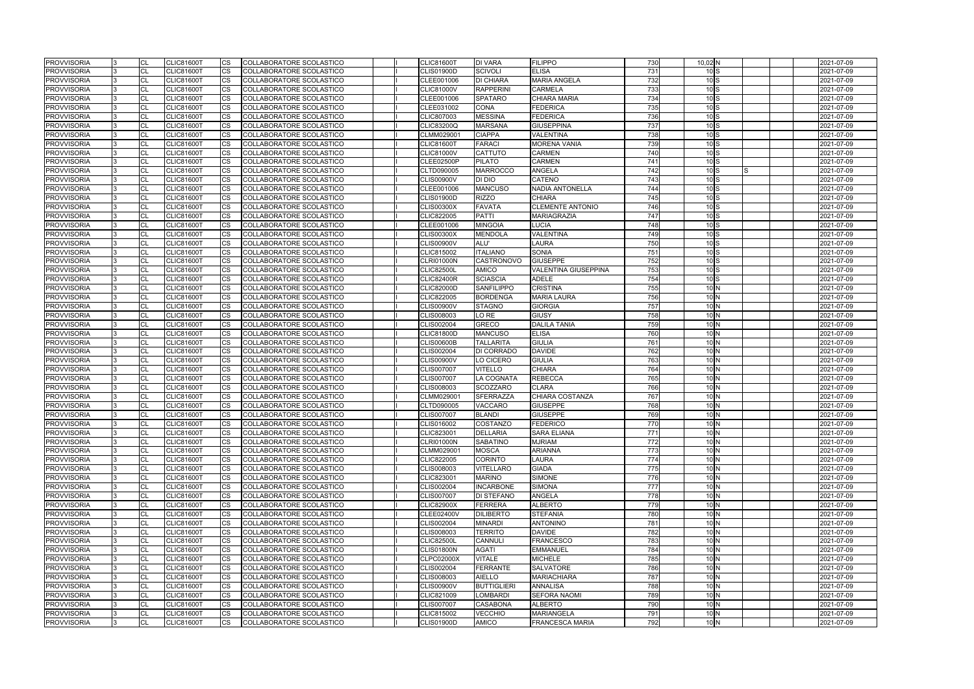| <b>PROVVISORIA</b> | ıз  | <b>CL</b>      | <b>CLIC81600T</b> | CS        | COLLABORATORE SCOLASTICO        |  | <b>CLIC81600T</b> | <b>DI VARA</b>     | <b>FILIPPO</b>          | 730              | 10,02 N          |   | 2021-07-09 |
|--------------------|-----|----------------|-------------------|-----------|---------------------------------|--|-------------------|--------------------|-------------------------|------------------|------------------|---|------------|
| <b>PROVVISORIA</b> |     | <b>CL</b>      | <b>CLIC81600T</b> | <b>CS</b> | COLLABORATORE SCOLASTICO        |  | <b>CLIS01900D</b> | <b>SCIVOLI</b>     | <b>ELISA</b>            | 731              | 10S              |   | 2021-07-09 |
| <b>PROVVISORIA</b> |     | <b>CL</b>      | <b>CLIC81600T</b> | CS        | COLLABORATORE SCOLASTICO        |  | CLEE001006        | <b>DI CHIARA</b>   | <b>MARIA ANGELA</b>     | 732              | 10S              |   | 2021-07-09 |
| <b>PROVVISORIA</b> |     | <b>CL</b>      | <b>CLIC81600T</b> | CS        | COLLABORATORE SCOLASTICO        |  | <b>CLIC81000V</b> | <b>RAPPERINI</b>   | CARMELA                 | 733              | 10S              |   | 2021-07-09 |
| <b>PROVVISORIA</b> |     | <b>CL</b>      | <b>CLIC81600T</b> | СS        | COLLABORATORE SCOLASTICO        |  | CLEE001006        | <b>SPATARO</b>     | CHIARA MARIA            | 734              | 10S              |   | 2021-07-09 |
| <b>PROVVISORIA</b> |     | CL             | CLIC81600T        | CS        | COLLABORATORE SCOLASTICO        |  | CLEE031002        | <b>CONA</b>        | <b>FEDERICA</b>         | 735              | 10S              |   | 2021-07-09 |
| PROVVISORIA        |     | <b>CL</b>      | <b>CLIC81600T</b> | CS        | COLLABORATORE SCOLASTICO        |  | CLIC807003        | <b>MESSINA</b>     | <b>FEDERICA</b>         | 736              | 10S              |   | 2021-07-09 |
| <b>PROVVISORIA</b> |     | <b>CL</b>      | <b>CLIC81600T</b> | CS        | COLLABORATORE SCOLASTICO        |  | CLIC83200Q        | <b>MARSANA</b>     | <b>GIUSEPPINA</b>       | 737              | 10S              |   | 2021-07-09 |
| <b>PROVVISORIA</b> |     | CL             | CLIC81600T        | CS        | COLLABORATORE SCOLASTICO        |  | CLMM029001        | <b>CIAPPA</b>      | VALENTINA               | 738              | 10S              |   | 2021-07-09 |
| <b>PROVVISORIA</b> |     | <b>CL</b>      | <b>CLIC81600T</b> | CS.       | COLLABORATORE SCOLASTICO        |  | <b>CLIC81600T</b> | <b>FARACI</b>      | <b>MORENA VANIA</b>     | 739              | 10S              |   | 2021-07-09 |
| <b>PROVVISORIA</b> |     | <b>CL</b>      | <b>CLIC81600T</b> | СS        | COLLABORATORE SCOLASTICO        |  | <b>CLIC81000V</b> | <b>CATTUTO</b>     | CARMEN                  | 740              | 10S              |   | 2021-07-09 |
| <b>PROVVISORIA</b> |     | <b>CL</b>      | CLIC81600T        | CS        | COLLABORATORE SCOLASTICO        |  | CLEE02500P        | <b>PILATO</b>      | <b>CARMEN</b>           | 741              | 10S              |   | 2021-07-09 |
| <b>PROVVISORIA</b> |     | <b>CL</b>      | <b>CLIC81600T</b> | CS        | COLLABORATORE SCOLASTICO        |  | CLTD090005        | <b>MARROCCO</b>    | <b>ANGELA</b>           | 742              | 10S              | S | 2021-07-09 |
| PROVVISORIA        |     | <b>CL</b>      | <b>CLIC81600T</b> | CS        | COLLABORATORE SCOLASTICO        |  | <b>CLIS00900V</b> | DI DIO             | <b>CATENO</b>           | 743              | 10 <sub>S</sub>  |   | 2021-07-09 |
| <b>PROVVISORIA</b> |     | <b>CL</b>      | <b>CLIC81600T</b> | <b>CS</b> | COLLABORATORE SCOLASTICO        |  | CLEE001006        | <b>MANCUSO</b>     | <b>NADIA ANTONELLA</b>  | 744              | 10S              |   | 2021-07-09 |
| PROVVISORIA        |     | <b>CL</b>      | <b>CLIC81600T</b> | CS.       | COLLABORATORE SCOLASTICO        |  | <b>CLIS01900D</b> | <b>RIZZO</b>       | <b>CHIARA</b>           | 745              | 10S              |   | 2021-07-09 |
| <b>PROVVISORIA</b> |     | <b>CL</b>      | <b>CLIC81600T</b> | СS        | COLLABORATORE SCOLASTICO        |  | <b>CLIS00300X</b> | <b>FAVATA</b>      | <b>CLEMENTE ANTONIO</b> | 746              | 10S              |   | 2021-07-09 |
| <b>PROVVISORIA</b> |     | <b>CL</b>      | <b>CLIC81600T</b> | CS        | COLLABORATORE SCOLASTICO        |  | <b>CLIC822005</b> | <b>PATTI</b>       | <b>MARIAGRAZIA</b>      | 747              | 10S              |   | 2021-07-09 |
| <b>PROVVISORIA</b> |     | <b>CL</b>      | <b>CLIC81600T</b> | CS        | COLLABORATORE SCOLASTICO        |  | CLEE001006        | <b>MINGOIA</b>     | LUCIA                   | 748              | 10S              |   | 2021-07-09 |
| <b>PROVVISORIA</b> |     | <b>CL</b>      | <b>CLIC81600T</b> | CS        | COLLABORATORE SCOLASTICO        |  | <b>CLIS00300X</b> | <b>MENDOLA</b>     | VALENTINA               | 749              | 10S              |   | 2021-07-09 |
| <b>PROVVISORIA</b> |     | <b>CL</b>      | <b>CLIC81600T</b> | CS        | COLLABORATORE SCOLASTICO        |  | <b>CLIS00900V</b> | ALU'               | <b>LAURA</b>            | 750              | 10S              |   | 2021-07-09 |
| <b>PROVVISORIA</b> |     | <b>CL</b>      | <b>CLIC81600T</b> | CS.       | COLLABORATORE SCOLASTICO        |  | <b>CLIC815002</b> | <b>ITALIANO</b>    | <b>SONIA</b>            | 751              | 10S              |   | 2021-07-09 |
| <b>PROVVISORIA</b> |     | <b>CL</b>      | <b>CLIC81600T</b> | CS        | COLLABORATORE SCOLASTICO        |  | <b>CLRI01000N</b> | CASTRONOVO         | <b>GIUSEPPE</b>         | 752              | 10S              |   | 2021-07-09 |
| <b>PROVVISORIA</b> |     | <b>CL</b>      | <b>CLIC81600T</b> | CS        | COLLABORATORE SCOLASTICO        |  | <b>CLIC82500L</b> | <b>AMICO</b>       | VALENTINA GIUSEPPINA    | 753              | 10S              |   | 2021-07-09 |
| <b>PROVVISORIA</b> |     | <b>CL</b>      | <b>CLIC81600T</b> | СS        | COLLABORATORE SCOLASTICO        |  | <b>CLIC82400R</b> | <b>SCIASCIA</b>    | <b>ADELE</b>            | 754              | 10S              |   | 2021-07-09 |
| <b>PROVVISORIA</b> |     | <b>CL</b>      | <b>CLIC81600T</b> | CS        | COLLABORATORE SCOLASTICO        |  | <b>CLIC82000D</b> | <b>SANFILIPPO</b>  | <b>CRISTINA</b>         | 755              | 10 <sub>N</sub>  |   | 2021-07-09 |
| <b>PROVVISORIA</b> |     | <b>CL</b>      | <b>CLIC81600T</b> | CS        | COLLABORATORE SCOLASTICO        |  | <b>CLIC822005</b> | <b>BORDENGA</b>    | <b>MARIA LAURA</b>      | 756              | 10 <sub>N</sub>  |   | 2021-07-09 |
| <b>PROVVISORIA</b> |     | <b>CL</b>      | CLIC81600T        | CS        | COLLABORATORE SCOLASTICO        |  | <b>CLIS00900V</b> | <b>STAGNO</b>      | GIORGIA                 | 757              | 10 <sub>N</sub>  |   | 2021-07-09 |
| <b>PROVVISORIA</b> |     | <b>CL</b>      | <b>CLIC81600T</b> | CS        | COLLABORATORE SCOLASTICO        |  | CLIS008003        | LO RE              | <b>GIUSY</b>            | 758              | 10 <sub>N</sub>  |   | 2021-07-09 |
| <b>PROVVISORIA</b> |     | <b>CL</b>      | <b>CLIC81600T</b> | CS.       | COLLABORATORE SCOLASTICO        |  | CLIS002004        | <b>GRECO</b>       | DALILA TANIA            | 759              | 10 <sub>N</sub>  |   | 2021-07-09 |
| <b>PROVVISORIA</b> |     | <b>CL</b>      | <b>CLIC81600T</b> | CS        | COLLABORATORE SCOLASTICO        |  | <b>CLIC81800D</b> | <b>MANCUSO</b>     | ELISA                   | 760              | 10 <sub>N</sub>  |   | 2021-07-09 |
| <b>PROVVISORIA</b> |     | CL             | <b>CLIC81600T</b> | CS        | COLLABORATORE SCOLASTICO        |  | <b>CLIS00600B</b> | <b>TALLARITA</b>   | <b>GIULIA</b>           | 761              | $10\text{ N}$    |   | 2021-07-09 |
| <b>PROVVISORIA</b> |     | <b>CL</b>      | <b>CLIC81600T</b> | CS        | COLLABORATORE SCOLASTICO        |  | CLIS002004        | <b>DI CORRADO</b>  | <b>DAVIDE</b>           | 762              | 10 <sub>N</sub>  |   | 2021-07-09 |
| <b>PROVVISORIA</b> |     | <b>CL</b>      | <b>CLIC81600T</b> | CS        | COLLABORATORE SCOLASTICO        |  | <b>CLIS00900V</b> | LO CICERO          | <b>GIULIA</b>           | 763              | 10 <sub>N</sub>  |   | 2021-07-09 |
| <b>PROVVISORIA</b> |     | <b>CL</b>      | <b>CLIC81600T</b> | CS        | COLLABORATORE SCOLASTICO        |  | <b>CLIS007007</b> | <b>VITELLO</b>     | <b>CHIARA</b>           | 764              | 10 <sub>N</sub>  |   | 2021-07-09 |
| <b>PROVVISORIA</b> |     | <b>CL</b>      | <b>CLIC81600T</b> | СS        | COLLABORATORE SCOLASTICO        |  | <b>CLIS007007</b> | LA COGNATA         | <b>REBECCA</b>          | 765              | 10 <sub>N</sub>  |   | 2021-07-09 |
| <b>PROVVISORIA</b> |     | <b>CL</b>      | <b>CLIC81600T</b> | CS        | COLLABORATORE SCOLASTICO        |  | CLIS008003        | <b>SCOZZARO</b>    | <b>CLARA</b>            | 766              | 10 <sub>N</sub>  |   | 2021-07-09 |
| <b>PROVVISORIA</b> |     | <b>CL</b>      | <b>CLIC81600T</b> | CS        | COLLABORATORE SCOLASTICO        |  | CLMM029001        | <b>SFERRAZZA</b>   | CHIARA COSTANZA         | 767              | 10 <sub>N</sub>  |   | 2021-07-09 |
| <b>PROVVISORIA</b> |     | CL             | <b>CLIC81600T</b> | CS        | COLLABORATORE SCOLASTICO        |  | CLTD090005        | <b>VACCARO</b>     | <b>GIUSEPPE</b>         | 768              | $10\text{ N}$    |   | 2021-07-09 |
| <b>PROVVISORIA</b> | 13. | <b>CL</b>      | <b>CLIC81600T</b> | <b>CS</b> | COLLABORATORE SCOLASTICO        |  | <b>CLIS007007</b> | <b>BLANDI</b>      | <b>GIUSEPPE</b>         | 769              | 10 <sub>N</sub>  |   | 2021-07-09 |
| <b>PROVVISORIA</b> |     | $\overline{C}$ | CLIC81600T        | <b>CS</b> | <b>COLLABORATORE SCOLASTICO</b> |  | CLIS016002        | <b>COSTANZO</b>    | <b>FEDERICO</b>         | 770              | 10 <sub>IN</sub> |   | 2021-07-09 |
| <b>PROVVISORIA</b> |     | <b>CL</b>      | <b>CLIC81600T</b> | CS        | COLLABORATORE SCOLASTICO        |  | CLIC823001        | <b>DELLARIA</b>    | SARA ELIANA             | 771              | 10 <sub>N</sub>  |   | 2021-07-09 |
| <b>PROVVISORIA</b> |     | <b>CL</b>      | <b>CLIC81600T</b> | CS        | COLLABORATORE SCOLASTICO        |  | <b>CLRI01000N</b> | <b>SABATINO</b>    | <b>MJRIAM</b>           | $\overline{772}$ | 10 <sub>N</sub>  |   | 2021-07-09 |
| <b>PROVVISORIA</b> |     | <b>CL</b>      | <b>CLIC81600T</b> | <b>CS</b> | COLLABORATORE SCOLASTICO        |  | CLMM029001        | <b>MOSCA</b>       | <b>ARIANNA</b>          | 773              | 10 <sub>N</sub>  |   | 2021-07-09 |
| <b>PROVVISORIA</b> |     | <b>CL</b>      | <b>CLIC81600T</b> | CS        | COLLABORATORE SCOLASTICO        |  | <b>CLIC822005</b> | <b>CORINTO</b>     | <b>LAURA</b>            | 774              | 10 <sub>N</sub>  |   | 2021-07-09 |
| <b>PROVVISORIA</b> |     | <b>CL</b>      | <b>CLIC81600T</b> | CS        | COLLABORATORE SCOLASTICO        |  | CLIS008003        | <b>VITELLARO</b>   | <b>GIADA</b>            | 775              | 10 <sub>N</sub>  |   | 2021-07-09 |
| <b>PROVVISORIA</b> |     | <b>CL</b>      | <b>CLIC81600T</b> | CS        | COLLABORATORE SCOLASTICO        |  | CLIC823001        | <b>MARINO</b>      | <b>SIMONE</b>           | 776              | 10 <sub>N</sub>  |   | 2021-07-09 |
| <b>PROVVISORIA</b> |     | <b>CL</b>      | <b>CLIC81600T</b> | CS        | COLLABORATORE SCOLASTICO        |  | CLIS002004        | <b>INCARBONE</b>   | SIMONA                  | 777              | 10 <sub>N</sub>  |   | 2021-07-09 |
| <b>PROVVISORIA</b> |     | <b>CL</b>      | <b>CLIC81600T</b> | CS        | COLLABORATORE SCOLASTICO        |  | <b>CLIS007007</b> | <b>DI STEFANO</b>  | ANGELA                  | 778              | 10 <sub>N</sub>  |   | 2021-07-09 |
| <b>PROVVISORIA</b> |     | <b>CL</b>      | <b>CLIC81600T</b> | CS        | COLLABORATORE SCOLASTICO        |  | <b>CLIC82900X</b> | <b>FERRERA</b>     | <b>ALBERTO</b>          | 779              | 10 <sub>N</sub>  |   | 2021-07-09 |
| <b>PROVVISORIA</b> |     | CL             | <b>CLIC81600T</b> | CS        | COLLABORATORE SCOLASTICO        |  | CLEE02400V        | <b>DILIBERTO</b>   | <b>STEFANIA</b>         | 780              | 10N              |   | 2021-07-09 |
| <b>PROVVISORIA</b> |     | <b>CL</b>      | <b>CLIC81600T</b> | CS        | COLLABORATORE SCOLASTICO        |  | <b>CLIS002004</b> | <b>MINARDI</b>     | <b>ANTONINO</b>         | 781              | 10 <sub>N</sub>  |   | 2021-07-09 |
| <b>PROVVISORIA</b> |     | <b>CL</b>      | <b>CLIC81600T</b> | CS        | COLLABORATORE SCOLASTICO        |  | CLIS008003        | TERRITO            | <b>DAVIDE</b>           | 782              | 10 <sub>N</sub>  |   | 2021-07-09 |
| PROVVISORIA        |     | <b>CL</b>      | <b>CLIC81600T</b> | <b>CS</b> | COLLABORATORE SCOLASTICO        |  | <b>CLIC82500L</b> | <b>CANNULI</b>     | <b>FRANCESCO</b>        | 783              | 10 <sub>N</sub>  |   | 2021-07-09 |
| <b>PROVVISORIA</b> |     | <b>CL</b>      | <b>CLIC81600T</b> | CS        | COLLABORATORE SCOLASTICO        |  | <b>CLIS01800N</b> | <b>AGATI</b>       | EMMANUEL                | 784              | 10 <sub>N</sub>  |   | 2021-07-09 |
| <b>PROVVISORIA</b> |     | <b>CL</b>      | <b>CLIC81600T</b> | CS        | COLLABORATORE SCOLASTICO        |  | <b>CLPC02000X</b> | <b>VITALE</b>      | <b>MICHELE</b>          | 785              | 10 <sub>N</sub>  |   | 2021-07-09 |
| <b>PROVVISORIA</b> |     | CL             | <b>CLIC81600T</b> | CS        | COLLABORATORE SCOLASTICO        |  | CLIS002004        | <b>FERRANTE</b>    | SALVATORE               | 786              | 10N              |   | 2021-07-09 |
| <b>PROVVISORIA</b> |     | CL             | <b>CLIC81600T</b> | CS        | COLLABORATORE SCOLASTICO        |  | CLIS008003        | <b>AIELLO</b>      | <b>MARIACHIARA</b>      | 787              | 10 <sub>N</sub>  |   | 2021-07-09 |
| <b>PROVVISORIA</b> |     | <b>CL</b>      | <b>CLIC81600T</b> | CS        | COLLABORATORE SCOLASTICO        |  | <b>CLIS00900V</b> | <b>BUTTIGLIERI</b> | <b>ANNALISA</b>         | 788              | 10 <sub>N</sub>  |   | 2021-07-09 |
| <b>PROVVISORIA</b> |     | <b>CL</b>      | <b>CLIC81600T</b> | CS        | COLLABORATORE SCOLASTICO        |  | CLIC821009        | LOMBARDI           | SEFORA NAOMI            | 789              | 10 <sub>N</sub>  |   | 2021-07-09 |
| <b>PROVVISORIA</b> |     | <b>CL</b>      | <b>CLIC81600T</b> | CS        | COLLABORATORE SCOLASTICO        |  | <b>CLIS007007</b> | <b>CASABONA</b>    | ALBERTO                 | 790              | 10 <sub>N</sub>  |   | 2021-07-09 |
| <b>PROVVISORIA</b> |     | <b>CL</b>      | <b>CLIC81600T</b> | CS        | COLLABORATORE SCOLASTICO        |  | CLIC815002        | <b>VECCHIO</b>     | <b>MARIANGELA</b>       | 791              | 10 <sub>N</sub>  |   | 2021-07-09 |
| <b>PROVVISORIA</b> |     | <b>CL</b>      | <b>CLIC81600T</b> | CS        | COLLABORATORE SCOLASTICO        |  | <b>CLIS01900D</b> | AMICO              | <b>FRANCESCA MARIA</b>  | 792              | 10 <sub>N</sub>  |   | 2021-07-09 |
|                    |     |                |                   |           |                                 |  |                   |                    |                         |                  |                  |   |            |

|   |  | 2021-07-09               |
|---|--|--------------------------|
|   |  | 2021-07-09               |
|   |  | 2021-07-09               |
|   |  | 2021-07-09               |
|   |  | 2021-07-09               |
|   |  | 2021-07-09               |
|   |  | 2021-07-09               |
|   |  | 2021-07-09               |
|   |  | 2021-07-09               |
|   |  | 2021-07-09               |
|   |  | 2021-07-09               |
|   |  | 2021-07-09               |
| S |  | 2021-07-09               |
|   |  | 2021-07-09               |
|   |  | 2021-07-09               |
|   |  | 2021-07-09               |
|   |  | 2021-07-09               |
|   |  | 2021-07-09               |
|   |  | 2021-07-09               |
|   |  | 2021-07-09               |
|   |  | 2021-07-09               |
|   |  | 2021-07-09               |
|   |  | 2021-07-09               |
|   |  | 2021-07-09               |
|   |  | 2021-07-09               |
|   |  | 2021-07-09               |
|   |  | 2021-07-09               |
|   |  | 2021-07-09               |
|   |  | 2021-07-09               |
|   |  | 2021-07-09               |
|   |  | 2021-07-09               |
|   |  | 2021-07-09               |
|   |  | 2021-07-09               |
|   |  | 2021-07-09               |
|   |  | 2021-07-09               |
|   |  | 2021-07-09               |
|   |  | 2021-07-09               |
|   |  | 2021-07-09               |
|   |  | 2021-07-09               |
|   |  | 2021-07-09               |
|   |  | 2021-07-09               |
|   |  | 2021-07-09               |
|   |  | 2021-07-09               |
|   |  | 2021-07-09               |
|   |  | 2021-07-09               |
|   |  | 2021-07-09               |
|   |  |                          |
|   |  | 2021-07-09<br>2021-07-09 |
|   |  |                          |
|   |  | 2021-07-09               |
|   |  | 2021-07-09               |
|   |  | 2021-07-09               |
|   |  | 2021-07-09               |
|   |  | 2021-07-09               |
|   |  | 2021-07-09               |
|   |  | 2021-07-09               |
|   |  | 2021-07-09               |
|   |  | 2021-07-09               |
|   |  | 2021-07-09               |
|   |  | 2021-07-09               |
|   |  | 2021-07-09               |
|   |  | 2021-07-09               |
|   |  | 2021-07-09               |
|   |  | 2021-07-09               |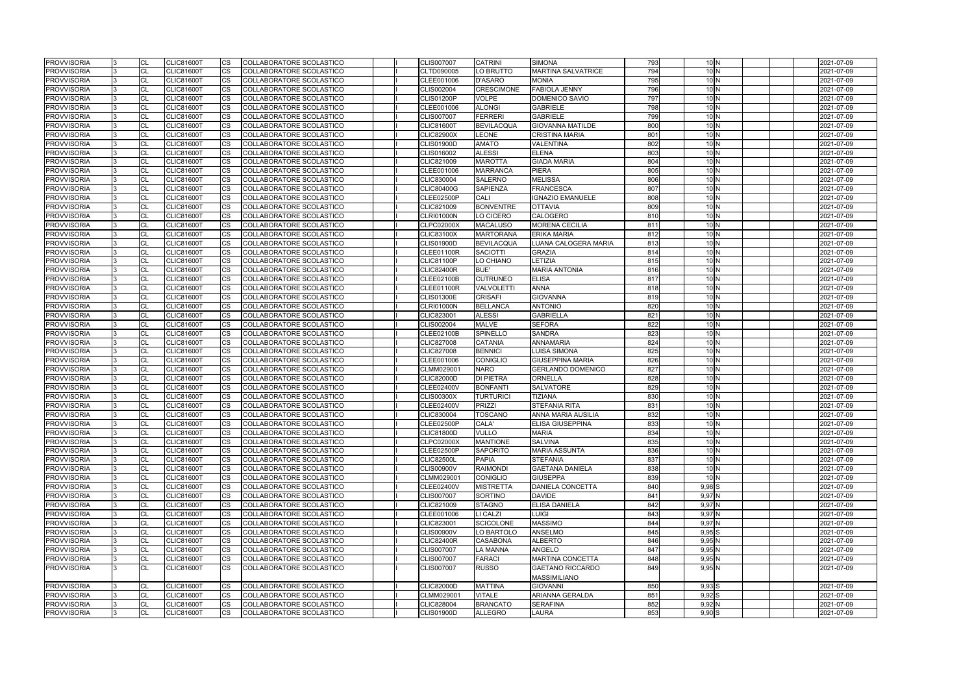| <b>PROVVISORIA</b> | CL        | <b>CLIC81600T</b> | <b>CS</b>              | COLLABORATORE SCOLASTICO        |  | <b>CLIS007007</b> | <b>CATRINI</b>    | <b>SIMONA</b>             | 793 | 10 <sub>N</sub> | 2021-07-09 |
|--------------------|-----------|-------------------|------------------------|---------------------------------|--|-------------------|-------------------|---------------------------|-----|-----------------|------------|
| <b>PROVVISORIA</b> | CL        | <b>CLIC81600T</b> | <b>CS</b>              | COLLABORATORE SCOLASTICO        |  | CLTD090005        | LO BRUTTO         | <b>MARTINA SALVATRICE</b> | 794 | 10 <sub>N</sub> | 2021-07-09 |
| <b>PROVVISORIA</b> | <b>CL</b> | <b>CLIC81600T</b> | <b>CS</b>              | COLLABORATORE SCOLASTICO        |  | CLEE001006        | <b>D'ASARO</b>    | <b>MONIA</b>              | 795 | 10 <sub>N</sub> | 2021-07-09 |
| <b>PROVVISORIA</b> | CL        | <b>CLIC81600T</b> | CS                     | COLLABORATORE SCOLASTICO        |  | CLIS002004        | <b>CRESCIMONE</b> | <b>FABIOLA JENNY</b>      | 796 | 10 <sub>N</sub> | 2021-07-09 |
| <b>PROVVISORIA</b> | CL        | CLIC81600T        | CS                     | COLLABORATORE SCOLASTICO        |  | <b>CLIS01200P</b> | <b>VOLPE</b>      | DOMENICO SAVIO            | 797 | 10 <sub>N</sub> | 2021-07-09 |
| <b>PROVVISORIA</b> | CL        | <b>CLIC81600T</b> | <b>CS</b>              | COLLABORATORE SCOLASTICO        |  | CLEE001006        | <b>ALONGI</b>     | GABRIELE                  | 798 | 10 <sub>N</sub> | 2021-07-09 |
| <b>PROVVISORIA</b> | CL        | <b>CLIC81600T</b> | <b>CS</b>              | COLLABORATORE SCOLASTICO        |  | <b>CLIS007007</b> | <b>FERRERI</b>    | <b>GABRIELE</b>           | 799 | 10 <sub>N</sub> | 2021-07-09 |
| <b>PROVVISORIA</b> | CL        | <b>CLIC81600T</b> | <b>CS</b>              | COLLABORATORE SCOLASTICO        |  | <b>CLIC81600T</b> | <b>BEVILACQUA</b> | <b>GIOVANNA MATILDE</b>   | 800 | 10 <sub>N</sub> | 2021-07-09 |
| <b>PROVVISORIA</b> | CL        | <b>CLIC81600T</b> | <b>CS</b>              | COLLABORATORE SCOLASTICO        |  | <b>CLIC82900X</b> | <b>LEONE</b>      | <b>CRISTINA MARIA</b>     | 801 | 10 <sub>N</sub> | 2021-07-09 |
| <b>PROVVISORIA</b> | CL        | <b>CLIC81600T</b> | CS                     | COLLABORATORE SCOLASTICO        |  | <b>CLIS01900D</b> | <b>AMATO</b>      | <b>VALENTINA</b>          | 802 | 10 <sub>N</sub> | 2021-07-09 |
| <b>PROVVISORIA</b> | CL        | CLIC81600T        | CS                     | COLLABORATORE SCOLASTICO        |  | CLIS016002        | <b>ALESSI</b>     | ELENA                     | 803 | 10 <sub>N</sub> | 2021-07-09 |
| <b>PROVVISORIA</b> | CL        | <b>CLIC81600T</b> | <b>CS</b>              | COLLABORATORE SCOLASTICO        |  | CLIC821009        | <b>MAROTTA</b>    | <b>GIADA MARIA</b>        | 804 | 10 <sub>N</sub> | 2021-07-09 |
| <b>PROVVISORIA</b> | CL        | <b>CLIC81600T</b> | <b>CS</b>              | COLLABORATORE SCOLASTICO        |  | CLEE001006        | <b>MARRANCA</b>   | <b>PIERA</b>              | 805 | 10N             | 2021-07-09 |
| <b>PROVVISORIA</b> | CL        | <b>CLIC81600T</b> | <b>CS</b>              | COLLABORATORE SCOLASTICO        |  | CLIC830004        | <b>SALERNO</b>    | <b>MELISSA</b>            | 806 | 10 <sub>N</sub> | 2021-07-09 |
| <b>PROVVISORIA</b> | CL        | <b>CLIC81600T</b> | <b>CS</b>              | COLLABORATORE SCOLASTICO        |  | <b>CLIC80400G</b> | <b>SAPIENZA</b>   | FRANCESCA                 | 807 | 10 <sub>N</sub> | 2021-07-09 |
| <b>PROVVISORIA</b> | CL        | <b>CLIC81600T</b> | CS                     | COLLABORATORE SCOLASTICO        |  | <b>CLEE02500P</b> | <b>CALI</b>       | <b>IGNAZIO EMANUELE</b>   | 808 | 10 <sub>N</sub> | 2021-07-09 |
| <b>PROVVISORIA</b> | <b>CL</b> | <b>CLIC81600T</b> | CS                     | COLLABORATORE SCOLASTICO        |  | CLIC821009        | <b>BONVENTRE</b>  | <b>OTTAVIA</b>            | 809 | 10 <sub>N</sub> | 2021-07-09 |
| <b>PROVVISORIA</b> | CL        | <b>CLIC81600T</b> | <b>CS</b>              | COLLABORATORE SCOLASTICO        |  | <b>CLRI01000N</b> | LO CICERO         | <b>CALOGERO</b>           | 810 | 10 <sub>N</sub> | 2021-07-09 |
| <b>PROVVISORIA</b> | <b>CL</b> | <b>CLIC81600T</b> | <b>CS</b>              | COLLABORATORE SCOLASTICO        |  | <b>CLPC02000X</b> | <b>MACALUSO</b>   | <b>MORENA CECILIA</b>     | 811 | $10\text{N}$    | 2021-07-09 |
| <b>PROVVISORIA</b> | <b>CL</b> | <b>CLIC81600T</b> | <b>CS</b>              | COLLABORATORE SCOLASTICO        |  | <b>CLIC83100X</b> | <b>MARTORANA</b>  | <b>ERIKA MARIA</b>        | 812 | 10N             | 2021-07-09 |
| <b>PROVVISORIA</b> | CL        | <b>CLIC81600T</b> | <b>CS</b>              | COLLABORATORE SCOLASTICO        |  | <b>CLIS01900D</b> | <b>BEVILACQUA</b> | LUANA CALOGERA MARIA      | 813 | 10 <sub>N</sub> | 2021-07-09 |
| <b>PROVVISORIA</b> | <b>CL</b> | <b>CLIC81600T</b> | CS                     | COLLABORATORE SCOLASTICO        |  | <b>CLEE01100R</b> | <b>SACIOTTI</b>   | <b>GRAZIA</b>             | 814 | 10 <sub>N</sub> | 2021-07-09 |
| <b>PROVVISORIA</b> | <b>CL</b> | <b>CLIC81600T</b> | CS                     | COLLABORATORE SCOLASTICO        |  | <b>CLIC81100P</b> | LO CHIANO         | LETIZIA                   | 815 | 10 <sub>N</sub> | 2021-07-09 |
| <b>PROVVISORIA</b> | CL        | <b>CLIC81600T</b> | <b>CS</b>              | COLLABORATORE SCOLASTICO        |  | <b>CLIC82400R</b> | BUE'              | <b>MARIA ANTONIA</b>      | 816 | 10 <sub>N</sub> | 2021-07-09 |
| <b>PROVVISORIA</b> | CL        | <b>CLIC81600T</b> | CS                     | COLLABORATORE SCOLASTICO        |  | <b>CLEE02100B</b> | <b>CUTRUNEO</b>   | <b>ELISA</b>              | 817 | 10 <sub>N</sub> | 2021-07-09 |
| <b>PROVVISORIA</b> | <b>CL</b> | <b>CLIC81600T</b> | $\overline{\text{cs}}$ | COLLABORATORE SCOLASTICO        |  | <b>CLEE01100R</b> | <b>VALVOLETTI</b> | <b>ANNA</b>               | 818 | 10 <sub>N</sub> | 2021-07-09 |
| <b>PROVVISORIA</b> | CL        | <b>CLIC81600T</b> | <b>CS</b>              | COLLABORATORE SCOLASTICO        |  | <b>CLIS01300E</b> | <b>CRISAFI</b>    | <b>GIOVANNA</b>           | 819 | 10 <sub>N</sub> | 2021-07-09 |
| <b>PROVVISORIA</b> | <b>CL</b> | <b>CLIC81600T</b> | CS                     | COLLABORATORE SCOLASTICO        |  | <b>CLRI01000N</b> | <b>BELLANCA</b>   | <b>ANTONIO</b>            | 820 | 10 <sub>N</sub> | 2021-07-09 |
| <b>PROVVISORIA</b> | <b>CL</b> | <b>CLIC81600T</b> | CS                     | COLLABORATORE SCOLASTICO        |  | CLIC823001        | <b>ALESSI</b>     | <b>GABRIELLA</b>          | 821 | 10 <sub>N</sub> | 2021-07-09 |
| <b>PROVVISORIA</b> | CL        | CLIC81600T        | CS                     | COLLABORATORE SCOLASTICO        |  | CLIS002004        | <b>MALVE</b>      | <b>SEFORA</b>             | 822 | 10 <sub>N</sub> | 2021-07-09 |
| <b>PROVVISORIA</b> | CL        | <b>CLIC81600T</b> | <b>CS</b>              | COLLABORATORE SCOLASTICO        |  | <b>CLEE02100B</b> | <b>SPINELLO</b>   | SANDRA                    | 823 | $10\text{N}$    | 2021-07-09 |
| <b>PROVVISORIA</b> | CL        | <b>CLIC81600T</b> | <b>CS</b>              | COLLABORATORE SCOLASTICO        |  | <b>CLIC827008</b> | <b>CATANIA</b>    | <b>ANNAMARIA</b>          | 824 | 10 <sub>N</sub> | 2021-07-09 |
| <b>PROVVISORIA</b> | CL        | <b>CLIC81600T</b> | <b>CS</b>              | COLLABORATORE SCOLASTICO        |  | <b>CLIC827008</b> | <b>BENNICI</b>    | <b>LUISA SIMONA</b>       | 825 | 10 <sub>N</sub> | 2021-07-09 |
| <b>PROVVISORIA</b> | CL        | <b>CLIC81600T</b> | <b>CS</b>              | COLLABORATORE SCOLASTICO        |  | CLEE001006        | <b>CONIGLIO</b>   | <b>GIUSEPPINA MARIA</b>   | 826 | 10 <sub>N</sub> | 2021-07-09 |
| <b>PROVVISORIA</b> | CL        | <b>CLIC81600T</b> | CS                     | COLLABORATORE SCOLASTICO        |  | CLMM029001        | <b>NARO</b>       | <b>GERLANDO DOMENICO</b>  | 827 | 10 <sub>N</sub> | 2021-07-09 |
| <b>PROVVISORIA</b> | CL        | <b>CLIC81600T</b> | <b>CS</b>              | COLLABORATORE SCOLASTICO        |  | <b>CLIC82000D</b> | <b>DI PIETRA</b>  | <b>ORNELLA</b>            | 828 | 10 <sub>N</sub> | 2021-07-09 |
| <b>PROVVISORIA</b> | CL        | <b>CLIC81600T</b> | <b>CS</b>              | COLLABORATORE SCOLASTICO        |  | <b>CLEE02400V</b> | <b>BONFANTI</b>   | <b>SALVATORE</b>          | 829 | 10 <sub>N</sub> | 2021-07-09 |
| <b>PROVVISORIA</b> | CL        | <b>CLIC81600T</b> | <b>CS</b>              | COLLABORATORE SCOLASTICO        |  | <b>CLIS00300X</b> | <b>TURTURICI</b>  | <b>TIZIANA</b>            | 830 | 10 <sub>N</sub> | 2021-07-09 |
| <b>PROVVISORIA</b> | CL        | <b>CLIC81600T</b> | <b>CS</b>              | COLLABORATORE SCOLASTICO        |  | <b>CLEE02400V</b> | <b>PRIZZI</b>     | <b>STEFANIA RITA</b>      | 831 | $10\text{N}$    | 2021-07-09 |
| <b>PROVVISORIA</b> | CL        | <b>CLIC81600T</b> | <b>CS</b>              | COLLABORATORE SCOLASTICO        |  | CLIC830004        | <b>TOSCANO</b>    | <b>ANNA MARIA AUSILIA</b> | 832 | 10 <sub>N</sub> | 2021-07-09 |
| <b>PROVVISORIA</b> | <b>CL</b> | <b>CLIC81600T</b> | <b>CS</b>              | COLLABORATORE SCOLASTICO        |  | <b>CLEE02500P</b> | CALA'             | <b>ELISA GIUSEPPINA</b>   | 833 | 10 $N$          | 2021-07-09 |
| <b>PROVVISORIA</b> | <b>CL</b> | <b>CLIC81600T</b> | <b>CS</b>              | COLLABORATORE SCOLASTICO        |  | <b>CLIC81800D</b> | <b>VULLO</b>      | <b>MARIA</b>              | 834 | 10 <sub>N</sub> | 2021-07-09 |
| <b>PROVVISORIA</b> | <b>CL</b> | <b>CLIC81600T</b> | CS                     | <b>COLLABORATORE SCOLASTICO</b> |  | <b>CLPC02000X</b> | <b>MANTIONE</b>   | <b>SALVINA</b>            | 835 | 10 <sub>N</sub> | 2021-07-09 |
| <b>PROVVISORIA</b> | CL        | <b>CLIC81600T</b> | <b>CS</b>              | COLLABORATORE SCOLASTICO        |  | <b>CLEE02500P</b> | <b>SAPORITO</b>   | <b>MARIA ASSUNTA</b>      | 836 | 10 <sub>N</sub> | 2021-07-09 |
| <b>PROVVISORIA</b> | <b>CL</b> | <b>CLIC81600T</b> | <b>CS</b>              | COLLABORATORE SCOLASTICO        |  | <b>CLIC82500L</b> | <b>PAPIA</b>      | <b>STEFANIA</b>           | 837 | 10 <sub>N</sub> | 2021-07-09 |
| <b>PROVVISORIA</b> | CL        | <b>CLIC81600T</b> | <b>CS</b>              | COLLABORATORE SCOLASTICO        |  | <b>CLIS00900V</b> | <b>RAIMONDI</b>   | <b>GAETANA DANIELA</b>    | 838 | 10 <sub>N</sub> | 2021-07-09 |
| <b>PROVVISORIA</b> | <b>CL</b> | <b>CLIC81600T</b> | <b>CS</b>              | COLLABORATORE SCOLASTICO        |  | CLMM029001        | <b>CONIGLIO</b>   | <b>GIUSEPPA</b>           | 839 | 10 <sub>N</sub> | 2021-07-09 |
| <b>PROVVISORIA</b> | <b>CL</b> | <b>CLIC81600T</b> | <b>CS</b>              | COLLABORATORE SCOLASTICO        |  | CLEE02400V        | <b>MISTRETTA</b>  | <b>DANIELA CONCETTA</b>   | 840 | $9,98$ S        | 2021-07-09 |
| <b>PROVVISORIA</b> | <b>CL</b> | <b>CLIC81600T</b> | <b>CS</b>              | COLLABORATORE SCOLASTICO        |  | <b>CLIS007007</b> | <b>SORTINO</b>    | <b>DAVIDE</b>             | 841 | 9,97N           | 2021-07-09 |
| <b>PROVVISORIA</b> | <b>CL</b> | <b>CLIC81600T</b> | CS                     | COLLABORATORE SCOLASTICO        |  | CLIC821009        | <b>STAGNO</b>     | ELISA DANIELA             | 842 | $9,97$ N        | 2021-07-09 |
| <b>PROVVISORIA</b> | <b>CL</b> | <b>CLIC81600T</b> | CS                     | COLLABORATORE SCOLASTICO        |  | CLEE001006        | LI CALZI          | <b>LUIGI</b>              | 843 | $9,97$ N        | 2021-07-09 |
| <b>PROVVISORIA</b> | <b>CL</b> | <b>CLIC81600T</b> | <b>CS</b>              | COLLABORATORE SCOLASTICO        |  | CLIC823001        | <b>SCICOLONE</b>  | <b>MASSIMO</b>            | 844 | 9,97N           | 2021-07-09 |
| <b>PROVVISORIA</b> | CL        | <b>CLIC81600T</b> | <b>CS</b>              | COLLABORATORE SCOLASTICO        |  | <b>CLIS00900V</b> | LO BARTOLO        | <b>ANSELMO</b>            | 845 | $9,95$ S        | 2021-07-09 |
| <b>PROVVISORIA</b> | CL        | <b>CLIC81600T</b> | <b>CS</b>              | COLLABORATORE SCOLASTICO        |  | <b>CLIC82400R</b> | <b>CASABONA</b>   | <b>ALBERTO</b>            | 846 | 9,95 N          | 2021-07-09 |
| <b>PROVVISORIA</b> | <b>CL</b> | <b>CLIC81600T</b> | <b>CS</b>              | COLLABORATORE SCOLASTICO        |  | <b>CLIS007007</b> | <b>LA MANNA</b>   | ANGELO                    | 847 | 9,95 N          | 2021-07-09 |
| <b>PROVVISORIA</b> | <b>CL</b> | <b>CLIC81600T</b> | CS                     | COLLABORATORE SCOLASTICO        |  | <b>CLIS007007</b> | <b>FARACI</b>     | <b>MARTINA CONCETTA</b>   | 848 | 9,95 N          | 2021-07-09 |
| <b>PROVVISORIA</b> | <b>CL</b> | <b>CLIC81600T</b> | <b>CS</b>              | COLLABORATORE SCOLASTICO        |  | <b>CLIS007007</b> | <b>RUSSO</b>      | <b>GAETANO RICCARDO</b>   | 849 | 9,95N           | 2021-07-09 |
|                    |           |                   |                        |                                 |  |                   |                   | <b>MASSIMILIANO</b>       |     |                 |            |
| <b>PROVVISORIA</b> | CL        | <b>CLIC81600T</b> | <b>CS</b>              | COLLABORATORE SCOLASTICO        |  | <b>CLIC82000D</b> | <b>MATTINA</b>    | <b>GIOVANNI</b>           | 850 | 9,93 S          | 2021-07-09 |
| <b>PROVVISORIA</b> | <b>CL</b> | <b>CLIC81600T</b> | <b>CS</b>              | COLLABORATORE SCOLASTICO        |  | CLMM029001        | <b>VITALE</b>     | <b>ARIANNA GERALDA</b>    | 851 | 9,92 S          | 2021-07-09 |
| <b>PROVVISORIA</b> | <b>CL</b> | <b>CLIC81600T</b> | CS                     | COLLABORATORE SCOLASTICO        |  | <b>CLIC828004</b> | <b>BRANCATO</b>   | SERAFINA                  | 852 | 9,92N           | 2021-07-09 |
| <b>PROVVISORIA</b> | <b>CL</b> | <b>CLIC81600T</b> | <b>CS</b>              | COLLABORATORE SCOLASTICO        |  | <b>CLIS01900D</b> | <b>ALLEGRO</b>    | LAURA                     | 853 | $9,90$ S        | 2021-07-09 |

| 793               | 10 <sub>N</sub>     |  |  | 2021-07-09 |
|-------------------|---------------------|--|--|------------|
| 794               | 10 <sub>N</sub>     |  |  | 2021-07-09 |
| 795               | 10 <sub>N</sub>     |  |  | 2021-07-09 |
| 796               | 10 <sub>N</sub>     |  |  | 2021-07-09 |
| 797               | 10 <sub>N</sub>     |  |  | 2021-07-09 |
| 798               | 10 N                |  |  | 2021-07-09 |
| 799               | 10 <sub>N</sub>     |  |  | 2021-07-09 |
| 800               | $10\text{N}$        |  |  | 2021-07-09 |
| 801               | 10 <sub>N</sub>     |  |  | 2021-07-09 |
| 802               | $10\text{N}$        |  |  | 2021-07-09 |
| 803               | $10\text{N}$        |  |  | 2021-07-09 |
| 804               | 10 N                |  |  | 2021-07-09 |
| 805               | 10 <sub>N</sub>     |  |  | 2021-07-09 |
| 806               | 10 <sub>N</sub>     |  |  | 2021-07-09 |
| 807               | 10 <sub>N</sub>     |  |  | 2021-07-09 |
| 808               | 10 <sub>N</sub>     |  |  | 2021-07-09 |
| 809               | 10 <sub>N</sub>     |  |  | 2021-07-09 |
| 810               | 10 <sub>N</sub>     |  |  | 2021-07-09 |
| 811               | 10 <sub>N</sub>     |  |  | 2021-07-09 |
| 812               | $10\text{N}$        |  |  | 2021-07-09 |
| 813               | 10 <sub>N</sub>     |  |  | 2021-07-09 |
| 814               | 10 <sub>N</sub>     |  |  | 2021-07-09 |
| $\overline{8}$ 15 | 10 <sub>N</sub>     |  |  | 2021-07-09 |
| 816               | 10 <sub>N</sub>     |  |  | 2021-07-09 |
| 817               | 10 N                |  |  | 2021-07-09 |
| 818               | 10 <sub>IN</sub>    |  |  | 2021-07-09 |
| 819               | 10 <sub>N</sub>     |  |  | 2021-07-09 |
| 820               | 10 <sub>N</sub>     |  |  | 2021-07-09 |
| $\overline{821}$  | $10\text{N}$        |  |  | 2021-07-09 |
| 822               | $10\text{N}$        |  |  | 2021-07-09 |
| 823               | 10 N                |  |  | 2021-07-09 |
| 824               | 10 <sub>N</sub>     |  |  | 2021-07-09 |
| 825               | 10 <sub>N</sub>     |  |  | 2021-07-09 |
| 826               | 10 <sub>N</sub>     |  |  | 2021-07-09 |
| 827               | 10 <sub>N</sub>     |  |  | 2021-07-09 |
| 828               | $10\text{N}$        |  |  | 2021-07-09 |
| 829               | 10 N                |  |  | 2021-07-09 |
| 830               | 10 <sub>N</sub>     |  |  | 2021-07-09 |
| 831               | 10 <sub>N</sub>     |  |  | 2021-07-09 |
| 832               | 10 <sub>N</sub>     |  |  | 2021-07-09 |
| 833               | 10 <sub>N</sub>     |  |  | 2021-07-09 |
| 834               | 10 <sub>N</sub>     |  |  | 2021-07-09 |
| 835               | 10 N                |  |  | 2021-07-09 |
| 836               | 10 <sub>N</sub>     |  |  | 2021-07-09 |
| 837               | 10 <sub>N</sub>     |  |  | 2021-07-09 |
| 838               | 10 <sub>N</sub>     |  |  | 2021-07-09 |
| 839               | 10 <sub>N</sub>     |  |  | 2021-07-09 |
| 840               | 9,98 <sub>S</sub>   |  |  | 2021-07-09 |
| 841               | 9,97 N              |  |  | 2021-07-09 |
| 842               | 9,97 N              |  |  | 2021-07-09 |
| 843               | 9,97 N              |  |  | 2021-07-09 |
| 844               | $9,97$ <sub>N</sub> |  |  | 2021-07-09 |
| 845               | $9,95$ $S$          |  |  | 2021-07-09 |
| 846               | 9,95 N              |  |  | 2021-07-09 |
| 847               | 9,95 N              |  |  | 2021-07-09 |
| 848               | 9,95N               |  |  | 2021-07-09 |
| 849               | 9,95 N              |  |  | 2021-07-09 |
|                   |                     |  |  |            |
| 850               | 9,93 S              |  |  | 2021-07-09 |
| 851               | 9,92 S              |  |  | 2021-07-09 |
| 852               | 9,92 <sup>N</sup>   |  |  | 2021-07-09 |
| 853               | 9,90 S              |  |  | 2021-07-09 |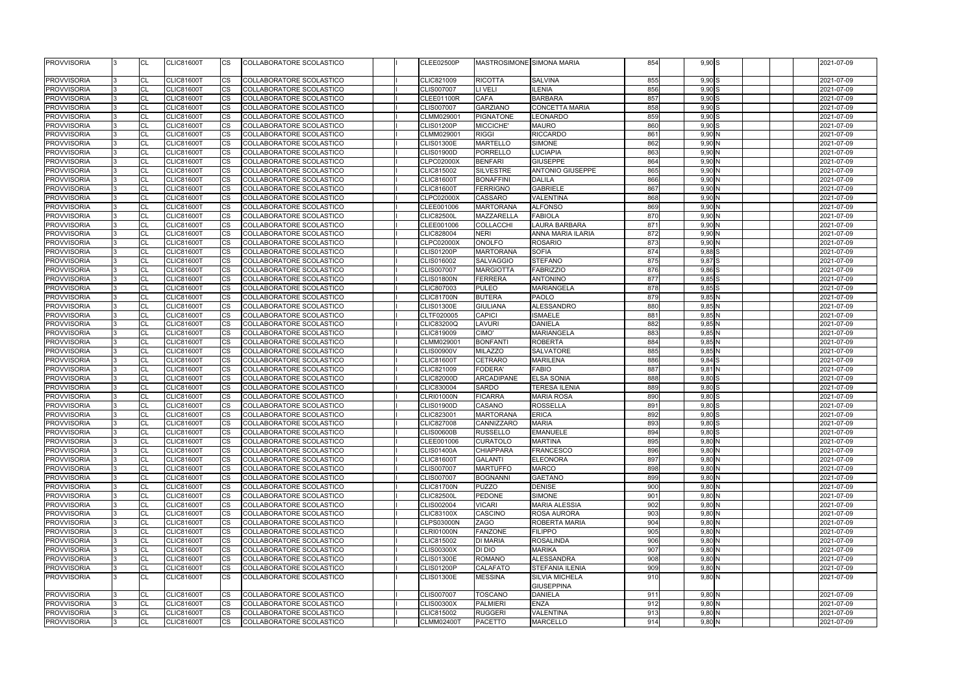| <b>PROVVISORIA</b>                       | ICL                      | CLIC81600T                             | ICS.                   | COLLABORATORE SCOLASTICO                             |  | CLEE02500P                             | MASTROSIMONE SIMONA MARIA  |                                    | 854        | $9,90$ S             | 2021-07-09               |
|------------------------------------------|--------------------------|----------------------------------------|------------------------|------------------------------------------------------|--|----------------------------------------|----------------------------|------------------------------------|------------|----------------------|--------------------------|
| PROVVISORIA                              | <b>CL</b>                | <b>CLIC81600T</b>                      | CS                     | COLLABORATORE SCOLASTICO                             |  | <b>CLIC821009</b>                      | <b>RICOTTA</b>             | <b>SALVINA</b>                     | 855        | $9,90$ S             | 2021-07-09               |
| <b>PROVVISORIA</b>                       | <b>CL</b>                | <b>CLIC81600T</b>                      | <b>CS</b>              | COLLABORATORE SCOLASTICO                             |  | <b>CLIS007007</b>                      | LI VELI                    | <b>ILENIA</b>                      | 856        | $9,90$ S             | 2021-07-09               |
| <b>PROVVISORIA</b>                       | <b>CL</b>                | <b>CLIC81600T</b>                      | $\overline{\text{cs}}$ | COLLABORATORE SCOLASTICO                             |  | <b>CLEE01100R</b>                      | <b>CAFA</b>                | <b>BARBARA</b>                     | 857        | $9,90$ S             | 2021-07-09               |
| <b>PROVVISORIA</b>                       | <b>CL</b>                | <b>CLIC81600T</b>                      | <b>CS</b>              | COLLABORATORE SCOLASTICO                             |  | <b>CLIS007007</b>                      | <b>GARZIANO</b>            | <b>CONCETTA MARIA</b>              | 858        | $9,90$ S             | 2021-07-09               |
| <b>PROVVISORIA</b>                       | <b>CL</b>                | <b>CLIC81600T</b>                      | $\overline{\text{cs}}$ | COLLABORATORE SCOLASTICO                             |  | CLMM029001                             | <b>PIGNATONE</b>           | <b>LEONARDO</b>                    | 859        | $9,90$ S             | 2021-07-09               |
| <b>PROVVISORIA</b>                       | <b>CL</b>                | <b>CLIC81600T</b>                      | $\overline{\text{cs}}$ | COLLABORATORE SCOLASTICO                             |  | <b>CLIS01200P</b>                      | MICCICHE'                  | <b>MAURO</b>                       | 860        | $9,90$ S             | 2021-07-09               |
| <b>PROVVISORIA</b>                       | <b>CL</b>                | <b>CLIC81600T</b>                      | <b>ICS</b>             | COLLABORATORE SCOLASTICO                             |  | CLMM029001                             | <b>RIGGI</b>               | <b>RICCARDO</b>                    | 861        | 9,90N                | 2021-07-09               |
| <b>PROVVISORIA</b>                       | <b>CL</b>                | <b>CLIC81600T</b>                      | <b>CS</b>              | COLLABORATORE SCOLASTICO                             |  | <b>CLIS01300E</b>                      | <b>MARTELLO</b>            | <b>SIMONE</b>                      | 862        | 9,90 N               | 2021-07-09               |
| <b>PROVVISORIA</b>                       | <b>CL</b>                | <b>CLIC81600T</b>                      | <b>CS</b>              | COLLABORATORE SCOLASTICO                             |  | <b>CLIS01900D</b>                      | <b>PORRELLO</b>            | <b>LUCIAPIA</b>                    | 863        | 9,90 N               | 2021-07-09               |
| <b>PROVVISORIA</b>                       | <b>CL</b>                | <b>CLIC81600T</b>                      | <b>CS</b>              | COLLABORATORE SCOLASTICO                             |  | <b>CLPC02000X</b>                      | <b>BENFARI</b>             | <b>GIUSEPPE</b>                    | 864        | $9,90$ N             | 2021-07-09               |
| <b>PROVVISORIA</b>                       | <b>CL</b>                | <b>CLIC81600T</b>                      | <b>CS</b>              | COLLABORATORE SCOLASTICO                             |  | CLIC815002                             | <b>SILVESTRE</b>           | <b>ANTONIO GIUSEPPE</b>            | 865        | 9,90N                | 2021-07-09               |
| <b>PROVVISORIA</b>                       | <b>CL</b>                | <b>CLIC81600T</b>                      | <b>CS</b>              | COLLABORATORE SCOLASTICO                             |  | <b>CLIC81600T</b>                      | <b>BONAFFINI</b>           | <b>DALILA</b>                      | 866        | 9,90N                | 2021-07-09               |
| <b>PROVVISORIA</b>                       | <b>CL</b>                | <b>CLIC81600T</b>                      | <b>CS</b>              | COLLABORATORE SCOLASTICO                             |  | <b>CLIC81600T</b>                      | <b>FERRIGNO</b>            | <b>GABRIELE</b>                    | 867        | 9,90 N               | 2021-07-09               |
| <b>PROVVISORIA</b>                       | <b>CL</b>                | <b>CLIC81600T</b>                      | <b>CS</b>              | COLLABORATORE SCOLASTICO                             |  | <b>CLPC02000X</b>                      | CASSARO                    | <b>VALENTINA</b>                   | 868        | 9,90N                | 2021-07-09               |
| <b>PROVVISORIA</b>                       | <b>CL</b>                | <b>CLIC81600T</b>                      | $\overline{\text{cs}}$ | COLLABORATORE SCOLASTICO                             |  | CLEE001006                             | <b>MARTORANA</b>           | <b>ALFONSO</b>                     | 869        | 9,90N                | 2021-07-09               |
| <b>PROVVISORIA</b>                       | <b>CL</b>                | <b>CLIC81600T</b>                      | <b>CS</b>              | COLLABORATORE SCOLASTICO                             |  | <b>CLIC82500L</b>                      | MAZZARELLA                 | <b>FABIOLA</b>                     | 870        | 9,90 N               | 2021-07-09               |
| <b>PROVVISORIA</b>                       | <b>CL</b>                | <b>CLIC81600T</b>                      | <b>CS</b>              | COLLABORATORE SCOLASTICO                             |  | CLEE001006                             | COLLACCHI                  | <b>LAURA BARBARA</b>               | 871        | 9,90N                | 2021-07-09               |
| <b>PROVVISORIA</b>                       | <b>CL</b>                | <b>CLIC81600T</b>                      | <b>CS</b>              | COLLABORATORE SCOLASTICO                             |  | <b>CLIC828004</b>                      | <b>NERI</b>                | <b>ANNA MARIA ILARIA</b>           | 872        | 9,90 N               | 2021-07-09               |
| <b>PROVVISORIA</b>                       | <b>CL</b>                | <b>CLIC81600T</b>                      | <b>CS</b>              | COLLABORATORE SCOLASTICO                             |  | CLPC02000X                             | <b>ONOLFO</b>              | <b>ROSARIO</b>                     | 873        | 9,90 N               | 2021-07-09               |
| <b>PROVVISORIA</b>                       | <b>CL</b>                | <b>CLIC81600T</b>                      | <b>CS</b>              | COLLABORATORE SCOLASTICO                             |  | <b>CLIS01200P</b>                      | <b>MARTORANA</b>           | <b>SOFIA</b>                       | 874        | $9,88$ $S$           | 2021-07-09               |
| <b>PROVVISORIA</b>                       | <b>CL</b>                | <b>CLIC81600T</b>                      | <b>CS</b>              | COLLABORATORE SCOLASTICO                             |  | CLIS016002                             | <b>SALVAGGIO</b>           | <b>STEFANO</b>                     | 875        | 9,87 S               | 2021-07-09               |
| <b>PROVVISORIA</b>                       | <b>CL</b>                | <b>CLIC81600T</b>                      | <b>CS</b>              | COLLABORATORE SCOLASTICO                             |  | CLIS007007                             | <b>MARGIOTTA</b>           | <b>FABRIZZIO</b>                   | 876        | $9,86$ S             | 2021-07-09               |
| <b>PROVVISORIA</b>                       | <b>CL</b>                | <b>CLIC81600T</b>                      | $\overline{\text{cs}}$ | COLLABORATORE SCOLASTICO                             |  | <b>CLIS01800N</b>                      | <b>FERRERA</b>             | <b>ANTONINO</b>                    | 877        | $9,85$ S             | 2021-07-09               |
| <b>PROVVISORIA</b>                       | <b>CL</b>                | <b>CLIC81600T</b>                      | <b>CS</b>              | COLLABORATORE SCOLASTICO                             |  | CLIC807003                             | <b>PULEO</b>               | <b>MARIANGELA</b>                  | 878        | $9,85$ S             | 2021-07-09               |
| <b>PROVVISORIA</b>                       | <b>CL</b>                | <b>CLIC81600T</b>                      | $\overline{\text{cs}}$ | COLLABORATORE SCOLASTICO                             |  | <b>CLIC81700N</b>                      | <b>BUTERA</b>              | <b>PAOLO</b>                       | 879        | $9,85$ N             | 2021-07-09               |
| <b>PROVVISORIA</b>                       | <b>CL</b>                | <b>CLIC81600T</b>                      | <b>CS</b>              | COLLABORATORE SCOLASTICO                             |  | <b>CLIS01300E</b>                      | <b>GIULIANA</b>            | <b>ALESSANDRO</b>                  | 880        | $9,85$ N             | 2021-07-09               |
| <b>PROVVISORIA</b>                       | <b>CL</b>                | <b>CLIC81600T</b>                      | CS                     | COLLABORATORE SCOLASTICO                             |  | CLTF020005                             | <b>CAPICI</b>              | <b>ISMAELE</b>                     | 881        | $9,85$ N             | 2021-07-09               |
| <b>PROVVISORIA</b>                       | <b>CL</b>                | <b>CLIC81600T</b>                      | $\overline{\text{cs}}$ | COLLABORATORE SCOLASTICO                             |  | CLIC83200Q                             | <b>LAVURI</b>              | DANIELA                            | 882        | $9,85$ N             | 2021-07-09               |
| <b>PROVVISORIA</b>                       | <b>CL</b>                | <b>CLIC81600T</b>                      | <b>CS</b>              | COLLABORATORE SCOLASTICO                             |  | CLIC819009                             | CIMO'                      | <b>MARIANGELA</b>                  | 883        | $9,85$ N             | 2021-07-09               |
| <b>PROVVISORIA</b>                       | <b>CL</b>                | <b>CLIC81600T</b>                      | $\overline{\text{cs}}$ | <b>COLLABORATORE SCOLASTICO</b>                      |  | CLMM029001                             | <b>BONFANTI</b>            | <b>ROBERTA</b>                     | 884        | $9,85$ N             | 2021-07-09               |
| <b>PROVVISORIA</b>                       | <b>CL</b>                | <b>CLIC81600T</b>                      | <b>CS</b>              | COLLABORATORE SCOLASTICO                             |  | <b>CLIS00900V</b>                      | <b>MILAZZO</b>             | <b>SALVATORE</b>                   | 885        | $9,85$ N             | 2021-07-09               |
| <b>PROVVISORIA</b>                       | <b>CL</b>                | <b>CLIC81600T</b>                      | <b>ICS</b>             | COLLABORATORE SCOLASTICO                             |  | <b>CLIC81600T</b>                      | <b>CETRARO</b>             | <b>MARILENA</b>                    | 886        | $9,84$ S             | 2021-07-09               |
| <b>PROVVISORIA</b>                       | <b>CL</b>                | <b>CLIC81600T</b>                      | <b>CS</b>              | COLLABORATORE SCOLASTICO                             |  | CLIC821009                             | FODERA'                    | <b>FABIO</b>                       | 887        | $9,81$ N             | 2021-07-09               |
| <b>PROVVISORIA</b>                       | <b>CL</b>                | <b>CLIC81600T</b>                      | <b>CS</b>              | COLLABORATORE SCOLASTICO                             |  | <b>CLIC82000D</b>                      | <b>ARCADIPANE</b>          | <b>ELSA SONIA</b>                  | 888        | $9,80$ S             | 2021-07-09               |
| <b>PROVVISORIA</b>                       | <b>CL</b>                | <b>CLIC81600T</b>                      | <b>CS</b>              | COLLABORATORE SCOLASTICO                             |  | CLIC830004                             | <b>SARDO</b>               | <b>TERESA ILENIA</b>               | 889        | 9,80 S               | 2021-07-09               |
| <b>PROVVISORIA</b>                       | <b>CL</b>                | <b>CLIC81600T</b>                      | <b>CS</b>              | COLLABORATORE SCOLASTICO                             |  | <b>CLRI01000N</b>                      | <b>FICARRA</b>             | <b>MARIA ROSA</b>                  | 890        | $9,80$ S             | 2021-07-09               |
| <b>PROVVISORIA</b>                       | <b>CL</b>                | <b>CLIC81600T</b>                      | <b>CS</b>              | COLLABORATORE SCOLASTICO                             |  | <b>CLIS01900D</b>                      | CASANO                     | <b>ROSSELLA</b>                    | 891        | $9,80$ S             | 2021-07-09               |
| <b>PROVVISORIA</b>                       | <b>CL</b>                | <b>CLIC81600T</b>                      | <b>CS</b>              | COLLABORATORE SCOLASTICO                             |  | CLIC823001                             | <b>MARTORANA</b>           | <b>ERICA</b>                       | 892        | $9,80$ S             | 2021-07-09               |
| <b>PROVVISORIA</b>                       | <b>ICL</b>               | <b>CLIC81600T</b>                      | <b>ICS</b>             | COLLABORATORE SCOLASTICO                             |  | <b>CLIC827008</b>                      | CANNIZZARO                 | <b>MARIA</b>                       | 893        | $9,80$ S             | 2021-07-09               |
| <b>PROVVISORIA</b>                       | <b>CL</b>                | <b>CLIC81600T</b>                      | <b>CS</b>              | COLLABORATORE SCOLASTICO                             |  | <b>CLIS00600B</b>                      | <b>RUSSELLO</b>            | <b>EMANUELE</b>                    | 894        | $9,80$ S             | 2021-07-09               |
| <b>PROVVISORIA</b>                       | <b>ICL</b>               | <b>CLIC81600T</b>                      | <b>CS</b>              | COLLABORATORE SCOLASTICO                             |  | CLEE001006                             | <b>CURATOLO</b>            | <b>MARTINA</b>                     | 895        | $9,80$ N             | 2021-07-09               |
| <b>PROVVISORIA</b>                       | <b>CL</b>                | <b>CLIC81600T</b>                      | <b>CS</b>              | COLLABORATORE SCOLASTICO                             |  | <b>CLIS01400A</b>                      | <b>CHIAPPARA</b>           | <b>FRANCESCO</b>                   | 896        | 9,80 N               | 2021-07-09               |
| <b>PROVVISORIA</b>                       | <b>ICL</b>               | <b>CLIC81600T</b>                      | <b>CS</b>              | COLLABORATORE SCOLASTICO                             |  | <b>CLIC81600T</b>                      | <b>GALANTI</b>             | <b>ELEONORA</b>                    | 897        | 9,80 N               | 2021-07-09               |
| <b>PROVVISORIA</b>                       | <b>CL</b>                | <b>CLIC81600T</b>                      | <b>CS</b>              | COLLABORATORE SCOLASTICO                             |  | <b>CLIS007007</b>                      | <b>MARTUFFO</b>            | <b>MARCO</b>                       | 898        | 9,80 N               | 2021-07-09               |
| <b>PROVVISORIA</b>                       | <b>CL</b>                | <b>CLIC81600T</b>                      | <b>CS</b>              | COLLABORATORE SCOLASTICO                             |  | <b>CLIS007007</b>                      | <b>BOGNANNI</b>            | <b>GAETANO</b>                     | 899        | $9,80$ N             | 2021-07-09               |
| <b>PROVVISORIA</b>                       | <b>CL</b>                | <b>CLIC81600T</b>                      | <b>CS</b>              | COLLABORATORE SCOLASTICO                             |  | <b>CLIC81700N</b>                      | <b>PUZZO</b>               | <b>DENISE</b>                      | 900        | $9,80$ N             | 2021-07-09               |
| <b>PROVVISORIA</b>                       | <b>CL</b>                | <b>CLIC81600T</b>                      | <b>CS</b>              | COLLABORATORE SCOLASTICO                             |  | <b>CLIC82500L</b>                      | <b>PEDONE</b>              | <b>SIMONE</b>                      | 901        | $9,80$ N             | 2021-07-09               |
| <b>PROVVISORIA</b>                       | <b>ICL</b>               | <b>CLIC81600T</b>                      | $\overline{\text{cs}}$ | COLLABORATORE SCOLASTICO                             |  | CLIS002004                             | <b>VICARI</b>              | <b>MARIA ALESSIA</b>               | 902        | $9,80$ N             | 2021-07-09               |
| <b>PROVVISORIA</b>                       | <b>ICL</b>               | <b>CLIC81600T</b>                      | <b>CS</b>              | COLLABORATORE SCOLASTICO                             |  | <b>CLIC83100X</b>                      | <b>CASCINO</b>             | <b>ROSA AURORA</b>                 | 903        | 9,80 N               | 2021-07-09               |
| <b>PROVVISORIA</b><br><b>PROVVISORIA</b> | <b>CL</b>                | <b>CLIC81600T</b>                      | <b>CS</b>              | COLLABORATORE SCOLASTICO                             |  | <b>CLPS03000N</b>                      | <b>ZAGO</b>                | <b>ROBERTA MARIA</b>               | 904        | $9,80$ N<br>$9,80$ N | 2021-07-09               |
|                                          | <b>CL</b>                | <b>CLIC81600T</b>                      | <b>CS</b>              | COLLABORATORE SCOLASTICO                             |  | <b>CLRI01000N</b>                      | <b>FANZONE</b>             | <b>FILIPPO</b><br><b>ROSALINDA</b> | 905<br>906 | $9,80$ N             | 2021-07-09               |
| <b>PROVVISORIA</b><br><b>PROVVISORIA</b> | <b>CL</b><br><b>ICL</b>  | <b>CLIC81600T</b><br><b>CLIC81600T</b> | <b>CS</b><br><b>CS</b> | COLLABORATORE SCOLASTICO<br>COLLABORATORE SCOLASTICO |  | CLIC815002<br><b>CLIS00300X</b>        | <b>DI MARIA</b><br>DI DIO  | <b>MARIKA</b>                      | 907        | $9,80$ N             | 2021-07-09<br>2021-07-09 |
|                                          |                          |                                        | <b>CS</b>              |                                                      |  |                                        | <b>ROMANO</b>              | ALESSANDRA                         | 908        |                      |                          |
| <b>PROVVISORIA</b><br><b>PROVVISORIA</b> | <b>ICL</b>               | <b>CLIC81600T</b><br><b>CLIC81600T</b> | <b>CS</b>              | COLLABORATORE SCOLASTICO<br>COLLABORATORE SCOLASTICO |  | <b>CLIS01300E</b><br><b>CLIS01200P</b> | <b>CALAFATO</b>            |                                    | 909        | $9,80$ N             | 2021-07-09               |
|                                          | <b>ICL</b>               |                                        |                        |                                                      |  |                                        |                            | STEFANIA ILENIA                    |            | $9,80$ N             | 2021-07-09               |
| <b>PROVVISORIA</b>                       | <b>CL</b>                | <b>CLIC81600T</b>                      | $\overline{\text{cs}}$ | COLLABORATORE SCOLASTICO                             |  | <b>CLIS01300E</b>                      | <b>MESSINA</b>             | <b>SILVIA MICHELA</b>              | 910        | $9,80$ N             | 2021-07-09               |
|                                          |                          |                                        |                        | COLLABORATORE SCOLASTICO                             |  |                                        |                            | <b>GIUSEPPINA</b>                  | 911        |                      |                          |
| <b>PROVVISORIA</b>                       | <b>ICL</b><br><b>ICL</b> | <b>CLIC81600T</b>                      | <b>CS</b><br><b>CS</b> |                                                      |  | CLIS007007                             | TOSCANO<br><b>PALMIERI</b> | <b>DANIELA</b><br><b>ENZA</b>      | 912        | $9,80$ N<br>9,80 N   | 2021-07-09               |
| <b>PROVVISORIA</b><br><b>PROVVISORIA</b> | <b>ICL</b>               | <b>CLIC81600T</b><br><b>CLIC81600T</b> | <b>CS</b>              | COLLABORATORE SCOLASTICO<br>COLLABORATORE SCOLASTICO |  | <b>CLIS00300X</b><br>CLIC815002        | <b>RUGGERI</b>             | <b>VALENTINA</b>                   | 913        | $9,80$ N             | 2021-07-09<br>2021-07-09 |
| <b>PROVVISORIA</b>                       | <b>CL</b>                | <b>CLIC81600T</b>                      | <b>CS</b>              | COLLABORATORE SCOLASTICO                             |  | <b>CLMM02400T</b>                      | <b>PACETTO</b>             | <b>MARCELLO</b>                    | 914        | 9,80 N               | 2021-07-09               |
|                                          |                          |                                        |                        |                                                      |  |                                        |                            |                                    |            |                      |                          |

| 854 | $9,90$ $S$        |  |  | 2021-07-09 |
|-----|-------------------|--|--|------------|
| 855 | $9,90$ S          |  |  | 2021-07-09 |
| 856 | 9,90 S            |  |  | 2021-07-09 |
| 857 | 9,90 S            |  |  | 2021-07-09 |
| 858 | 9,90 S            |  |  | 2021-07-09 |
| 859 | 9,90 S            |  |  | 2021-07-09 |
| 860 | 9,90 S            |  |  | 2021-07-09 |
|     |                   |  |  |            |
| 861 | 9,90 N            |  |  | 2021-07-09 |
| 862 | 9,90 N            |  |  | 2021-07-09 |
| 863 | $9,90$ N          |  |  | 2021-07-09 |
| 864 | 9,90N             |  |  | 2021-07-09 |
| 865 | 9,90N             |  |  | 2021-07-09 |
| 866 | 9,90 N            |  |  | 2021-07-09 |
| 867 | 9,90 N            |  |  | 2021-07-09 |
| 868 | 9,90 N            |  |  | 2021-07-09 |
| 869 | 9,90 N            |  |  | 2021-07-09 |
| 870 | 9,90 N            |  |  | 2021-07-09 |
| 871 | 9,90N             |  |  | 2021-07-09 |
| 872 | $9,90$ N          |  |  | 2021-07-09 |
| 873 | 9,90 N            |  |  | 2021-07-09 |
| 874 | 9,88 S            |  |  | 2021-07-09 |
| 875 | 9,87 <sup>S</sup> |  |  | 2021-07-09 |
| 876 | 9,86 S            |  |  | 2021-07-09 |
| 877 | $9,85$ $S$        |  |  | 2021-07-09 |
| 878 | $9,85$ $S$        |  |  | 2021-07-09 |
| 879 | $9,85$ N          |  |  | 2021-07-09 |
| 880 | 9,85N             |  |  | 2021-07-09 |
| 881 | 9,85 N            |  |  | 2021-07-09 |
| 882 | 9,85 N            |  |  | 2021-07-09 |
| 883 | 9,85N             |  |  | 2021-07-09 |
| 884 | 9,85 N            |  |  | 2021-07-09 |
| 885 | 9,85N             |  |  | 2021-07-09 |
| 886 | 9,84 S            |  |  | 2021-07-09 |
| 887 | 9,81 N            |  |  | 2021-07-09 |
| 888 | 9.80 <sup>S</sup> |  |  | 2021-07-09 |
| 889 | 9,80 S            |  |  | 2021-07-09 |
| 890 | $9,80$ $S$        |  |  | 2021-07-09 |
| 891 | 9,80 S            |  |  | 2021-07-09 |
| 892 | $9,80$ S          |  |  | 2021-07-09 |
| 893 | $9,80$ S          |  |  | 2021-07-09 |
| 894 | 9,80 S            |  |  | 2021-07-09 |
| 895 | 9,80 N            |  |  | 2021-07-09 |
| 896 | 9,80 N            |  |  | 2021-07-09 |
| 897 | 9,80 N            |  |  | 2021-07-09 |
| 898 | $9,80$ N          |  |  | 2021-07-09 |
| 899 | 9,80 N            |  |  | 2021-07-09 |
| 900 | 9,80 N            |  |  | 2021-07-09 |
| 901 | 9,80 N            |  |  | 2021-07-09 |
| 902 | $9,80$ N          |  |  | 2021-07-09 |
| 903 | 9,80 N            |  |  | 2021-07-09 |
| 904 | $9,80$ N          |  |  | 2021-07-09 |
| 905 | 9,80 N            |  |  | 2021-07-09 |
| 906 | 9,80 N            |  |  | 2021-07-09 |
| 907 | 9,80 N            |  |  | 2021-07-09 |
| 908 | 9,80 N            |  |  | 2021-07-09 |
| 909 | 9,80 N            |  |  | 2021-07-09 |
| 910 | $9,80$ N          |  |  | 2021-07-09 |
|     |                   |  |  |            |
| 911 | 9,80 N            |  |  | 2021-07-09 |
| 912 | $9,80$ N          |  |  | 2021-07-09 |
| 913 | $9,80$ N          |  |  | 2021-07-09 |
| 914 | $9,80$ N          |  |  | 2021-07-09 |
|     |                   |  |  |            |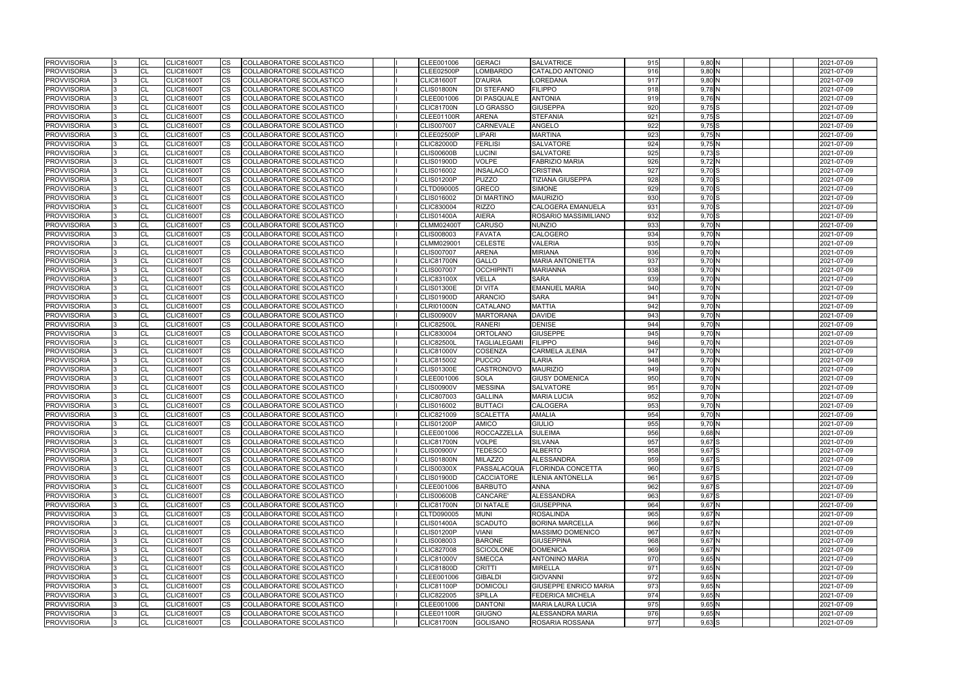| <b>PROVVISORIA</b> | <b>CL</b>      | <b>CLIC81600T</b> | <b>CS</b> | COLLABORATORE SCOLASTICO        |  | CLEE001006        | <b>GERACI</b>       | <b>SALVATRICE</b>            | 915 | $9,80$ N            | 2021-07-09 |
|--------------------|----------------|-------------------|-----------|---------------------------------|--|-------------------|---------------------|------------------------------|-----|---------------------|------------|
| <b>PROVVISORIA</b> | <b>CL</b>      | <b>CLIC81600T</b> | <b>CS</b> | COLLABORATORE SCOLASTICO        |  | <b>CLEE02500P</b> | <b>LOMBARDO</b>     | CATALDO ANTONIO              | 916 | $9,80$ N            | 2021-07-09 |
| <b>PROVVISORIA</b> | CL             | <b>CLIC81600T</b> | CS        | COLLABORATORE SCOLASTICO        |  | <b>CLIC81600T</b> | <b>D'AURIA</b>      | LOREDANA                     | 917 | $9,80$ N            | 2021-07-09 |
| <b>PROVVISORIA</b> | <b>CL</b>      | <b>CLIC81600T</b> | CS        | COLLABORATORE SCOLASTICO        |  | <b>CLIS01800N</b> | <b>DI STEFANO</b>   | <b>FILIPPO</b>               | 918 | $9,78$ N            | 2021-07-09 |
| <b>PROVVISORIA</b> | <b>CL</b>      | <b>CLIC81600T</b> | CS        | COLLABORATORE SCOLASTICO        |  | CLEE001006        | <b>DI PASQUALE</b>  | <b>ANTONIA</b>               | 919 | 9,76 N              | 2021-07-09 |
| <b>PROVVISORIA</b> | CL             | <b>CLIC81600T</b> | CS        | COLLABORATORE SCOLASTICO        |  | <b>CLIC81700N</b> | <b>LO GRASSO</b>    | <b>GIUSEPPA</b>              | 920 | $9,75$ S            | 2021-07-09 |
| <b>PROVVISORIA</b> | <b>CL</b>      | <b>CLIC81600T</b> | CS        | COLLABORATORE SCOLASTICO        |  | <b>CLEE01100R</b> | <b>ARENA</b>        | <b>STEFANIA</b>              | 921 | 9,75 S              | 2021-07-09 |
| <b>PROVVISORIA</b> | CL             | <b>CLIC81600T</b> | CS        | COLLABORATORE SCOLASTICO        |  | <b>CLIS007007</b> | CARNEVALE           | <b>ANGELO</b>                | 922 | $9,75$ S            | 2021-07-09 |
| <b>PROVVISORIA</b> | CL             | <b>CLIC81600T</b> | CS        | COLLABORATORE SCOLASTICO        |  | <b>CLEE02500P</b> | <b>LIPARI</b>       | <b>MARTINA</b>               | 923 | 9,75 N              | 2021-07-09 |
| <b>PROVVISORIA</b> | <b>CL</b>      | <b>CLIC81600T</b> | CS        | COLLABORATORE SCOLASTICO        |  | <b>CLIC82000D</b> | <b>FERLISI</b>      | <b>SALVATORE</b>             | 924 | $9,75$ <sub>N</sub> | 2021-07-09 |
| <b>PROVVISORIA</b> | CL             | <b>CLIC81600T</b> | CS        | COLLABORATORE SCOLASTICO        |  | <b>CLIS00600B</b> | <b>LUCINI</b>       | <b>SALVATORE</b>             | 925 | $9,73$ S            | 2021-07-09 |
| <b>PROVVISORIA</b> | <b>CL</b>      | <b>CLIC81600T</b> | CS        | COLLABORATORE SCOLASTICO        |  | <b>CLIS01900D</b> | <b>VOLPE</b>        | <b>FABRIZIO MARIA</b>        | 926 | 9,72N               | 2021-07-09 |
| <b>PROVVISORIA</b> | <b>CL</b>      | <b>CLIC81600T</b> | <b>CS</b> | COLLABORATORE SCOLASTICO        |  | CLIS016002        | <b>INSALACO</b>     | <b>CRISTINA</b>              | 927 | 9,70 S              | 2021-07-09 |
| <b>PROVVISORIA</b> | <b>CL</b>      | <b>CLIC81600T</b> | <b>CS</b> | COLLABORATORE SCOLASTICO        |  | <b>CLIS01200P</b> | <b>PUZZO</b>        | TIZIANA GIUSEPPA             | 928 | 9,70 S              | 2021-07-09 |
| <b>PROVVISORIA</b> | <b>CL</b>      | <b>CLIC81600T</b> | CS        | COLLABORATORE SCOLASTICO        |  | CLTD090005        | <b>GRECO</b>        | <b>SIMONE</b>                | 929 | $9,70$ S            | 2021-07-09 |
| <b>PROVVISORIA</b> | <b>CL</b>      | <b>CLIC81600T</b> | CS        | COLLABORATORE SCOLASTICO        |  | CLIS016002        | <b>DI MARTINO</b>   | <b>MAURIZIO</b>              | 930 | 9,70 S              | 2021-07-09 |
| <b>PROVVISORIA</b> | CL             | <b>CLIC81600T</b> | CS        | COLLABORATORE SCOLASTICO        |  | CLIC830004        | <b>RIZZO</b>        | CALOGERA EMANUELA            | 931 | $9,70$ S            | 2021-07-09 |
| <b>PROVVISORIA</b> | <b>CL</b>      | <b>CLIC81600T</b> | CS        | COLLABORATORE SCOLASTICO        |  | <b>CLIS01400A</b> | <b>AIERA</b>        | ROSARIO MASSIMILIANO         | 932 | $9,70$ S            | 2021-07-09 |
| <b>PROVVISORIA</b> | <b>CL</b>      | <b>CLIC81600T</b> | CS        | COLLABORATORE SCOLASTICO        |  | <b>CLMM02400T</b> | <b>CARUSO</b>       | <b>NUNZIO</b>                | 933 | 9,70 N              | 2021-07-09 |
| <b>PROVVISORIA</b> | CL             | <b>CLIC81600T</b> | <b>CS</b> | COLLABORATORE SCOLASTICO        |  | CLIS008003        | <b>FAVATA</b>       | <b>CALOGERO</b>              | 934 | 9,70 N              | 2021-07-09 |
| <b>PROVVISORIA</b> | <b>CL</b>      | <b>CLIC81600T</b> | CS        | COLLABORATORE SCOLASTICO        |  | CLMM029001        | <b>CELESTE</b>      | <b>VALERIA</b>               | 935 | 9,70 N              | 2021-07-09 |
| <b>PROVVISORIA</b> | <b>CL</b>      | <b>CLIC81600T</b> | CS        | COLLABORATORE SCOLASTICO        |  | <b>CLIS007007</b> | <b>ARENA</b>        | MIRIANA                      | 936 | $9,70$ N            | 2021-07-09 |
| <b>PROVVISORIA</b> | <b>CL</b>      | <b>CLIC81600T</b> | CS        | COLLABORATORE SCOLASTICO        |  | <b>CLIC81700N</b> | <b>GALLO</b>        | <b>MARIA ANTONIETTA</b>      | 937 | $9,70$ N            | 2021-07-09 |
| <b>PROVVISORIA</b> | CL             | <b>CLIC81600T</b> | CS        | COLLABORATORE SCOLASTICO        |  | <b>CLIS007007</b> | <b>OCCHIPINTI</b>   | <b>MARIANNA</b>              | 938 | $9,70$ N            | 2021-07-09 |
| <b>PROVVISORIA</b> | CL             | <b>CLIC81600T</b> | СS        | COLLABORATORE SCOLASTICO        |  | <b>CLIC83100X</b> | <b>VELLA</b>        | <b>SARA</b>                  | 939 | 9,70 N              | 2021-07-09 |
|                    | <b>CL</b>      | <b>CLIC81600T</b> |           |                                 |  |                   |                     | <b>EMANUEL MARIA</b>         | 940 | $9,70$ N            |            |
| <b>PROVVISORIA</b> |                |                   | <b>CS</b> | COLLABORATORE SCOLASTICO        |  | <b>CLIS01300E</b> | <b>DI VITA</b>      |                              |     |                     | 2021-07-09 |
| <b>PROVVISORIA</b> | <b>CL</b>      | <b>CLIC81600T</b> | CS        | COLLABORATORE SCOLASTICO        |  | <b>CLIS01900D</b> | <b>ARANCIO</b>      | <b>SARA</b>                  | 941 | 9,70 N              | 2021-07-09 |
| <b>PROVVISORIA</b> | <b>CL</b>      | <b>CLIC81600T</b> | CS        | COLLABORATORE SCOLASTICO        |  | <b>CLRI01000N</b> | <b>CATALANO</b>     | <b>MATTIA</b>                | 942 | 9,70N               | 2021-07-09 |
| <b>PROVVISORIA</b> | <b>CL</b>      | <b>CLIC81600T</b> | CS        | COLLABORATORE SCOLASTICO        |  | <b>CLIS00900V</b> | <b>MARTORANA</b>    | <b>DAVIDE</b>                | 943 | 9,70N               | 2021-07-09 |
| <b>PROVVISORIA</b> | <b>CL</b>      | <b>CLIC81600T</b> | CS        | COLLABORATORE SCOLASTICO        |  | <b>CLIC82500L</b> | <b>RANERI</b>       | <b>DENISE</b>                | 944 | 9,70 N              | 2021-07-09 |
| <b>PROVVISORIA</b> | CL             | <b>CLIC81600T</b> | CS        | COLLABORATORE SCOLASTICO        |  | CLIC830004        | <b>ORTOLANO</b>     | <b>GIUSEPPE</b>              | 945 | 9,70 N              | 2021-07-09 |
| <b>PROVVISORIA</b> | CL             | <b>CLIC81600T</b> | <b>CS</b> | COLLABORATORE SCOLASTICO        |  | <b>CLIC82500L</b> | <b>TAGLIALEGAMI</b> | <b>FILIPPO</b>               | 946 | 9,70 N              | 2021-07-09 |
| <b>PROVVISORIA</b> | CL             | <b>CLIC81600T</b> | <b>CS</b> | COLLABORATORE SCOLASTICO        |  | <b>CLIC81000V</b> | <b>COSENZA</b>      | <b>CARMELA JLENIA</b>        | 947 | 9,70 N              | 2021-07-09 |
| <b>PROVVISORIA</b> | CL             | <b>CLIC81600T</b> | CS        | COLLABORATORE SCOLASTICO        |  | CLIC815002        | <b>PUCCIO</b>       | <b>ILARIA</b>                | 948 | 9,70 N              | 2021-07-09 |
| <b>PROVVISORIA</b> | <b>CL</b>      | <b>CLIC81600T</b> | CS        | COLLABORATORE SCOLASTICO        |  | <b>CLIS01300E</b> | CASTRONOVO          | <b>MAURIZIO</b>              | 949 | 9,70 N              | 2021-07-09 |
| <b>PROVVISORIA</b> | <b>CL</b>      | <b>CLIC81600T</b> | CS        | COLLABORATORE SCOLASTICO        |  | CLEE001006        | <b>SOLA</b>         | <b>GIUSY DOMENICA</b>        | 950 | 9,70 N              | 2021-07-09 |
| <b>PROVVISORIA</b> | <b>CL</b>      | <b>CLIC81600T</b> | CS        | COLLABORATORE SCOLASTICO        |  | <b>CLIS00900V</b> | <b>MESSINA</b>      | <b>SALVATORE</b>             | 951 | 9,70N               | 2021-07-09 |
| <b>PROVVISORIA</b> | <b>CL</b>      | <b>CLIC81600T</b> | CS        | COLLABORATORE SCOLASTICO        |  | CLIC807003        | <b>GALLINA</b>      | <b>MARIA LUCIA</b>           | 952 | 9,70 N              | 2021-07-09 |
| <b>PROVVISORIA</b> | CL             | <b>CLIC81600T</b> | <b>CS</b> | COLLABORATORE SCOLASTICO        |  | CLIS016002        | <b>BUTTACI</b>      | <b>CALOGERA</b>              | 953 | 9,70 N              | 2021-07-09 |
| <b>PROVVISORIA</b> | <b>CL</b>      | CLIC81600T        | CS        | COLLABORATORE SCOLASTICO        |  | CLIC821009        | <b>SCALETTA</b>     | <b>AMALIA</b>                | 954 | 9,70 N              | 2021-07-09 |
| <b>PROVVISORIA</b> | $\overline{C}$ | <b>CLIC81600T</b> | <b>CS</b> | COLLABORATORE SCOLASTICO        |  | <b>CLIS01200P</b> | AMICO               | <b>GIULIO</b>                | 955 | 9.70N               | 2021-07-09 |
| <b>PROVVISORIA</b> | <b>CL</b>      | <b>CLIC81600T</b> | CS        | <b>COLLABORATORE SCOLASTICO</b> |  | CLEE001006        | ROCCAZZELLA         | <b>SULEIMA</b>               | 956 | $9,68$ N            | 2021-07-09 |
| <b>PROVVISORIA</b> | <b>CL</b>      | CLIC81600T        | <b>CS</b> | COLLABORATORE SCOLASTICO        |  | <b>CLIC81700N</b> | <b>VOLPE</b>        | <b>SILVANA</b>               | 957 | 9,67S               | 2021-07-09 |
| <b>PROVVISORIA</b> | <b>CL</b>      | <b>CLIC81600T</b> | <b>CS</b> | COLLABORATORE SCOLASTICO        |  | <b>CLIS00900V</b> | <b>TEDESCO</b>      | <b>ALBERTO</b>               | 958 | 9,67S               | 2021-07-09 |
| <b>PROVVISORIA</b> | <b>CL</b>      | <b>CLIC81600T</b> | <b>CS</b> | COLLABORATORE SCOLASTICO        |  | <b>CLIS01800N</b> | <b>MILAZZO</b>      | <b>ALESSANDRA</b>            | 959 | 9,67 S              | 2021-07-09 |
| <b>PROVVISORIA</b> | <b>CL</b>      | <b>CLIC81600T</b> | CS.       | COLLABORATORE SCOLASTICO        |  | <b>CLIS00300X</b> | PASSALACQUA         | <b>FLORINDA CONCETTA</b>     | 960 | $9,67$ S            | 2021-07-09 |
| <b>PROVVISORIA</b> | <b>CL</b>      | <b>CLIC81600T</b> | CS        | COLLABORATORE SCOLASTICO        |  | <b>CLIS01900D</b> | <b>CACCIATORE</b>   | <b>ILENIA ANTONELLA</b>      | 961 | $9,67$ S            | 2021-07-09 |
| <b>PROVVISORIA</b> | <b>CL</b>      | <b>CLIC81600T</b> | CS        | COLLABORATORE SCOLASTICO        |  | CLEE001006        | <b>BARBUTO</b>      | ANNA                         | 962 | 9,67S               | 2021-07-09 |
| <b>PROVVISORIA</b> | <b>CL</b>      | <b>CLIC81600T</b> | CS.       | COLLABORATORE SCOLASTICO        |  | <b>CLIS00600B</b> | CANCARE'            | <b>ALESSANDRA</b>            | 963 | 9,67S               | 2021-07-09 |
| <b>PROVVISORIA</b> | CL             | <b>CLIC81600T</b> | CS        | COLLABORATORE SCOLASTICO        |  | <b>CLIC81700N</b> | <b>DI NATALE</b>    | <b>GIUSEPPINA</b>            | 964 | $9,67$ N            | 2021-07-09 |
| <b>PROVVISORIA</b> | CL             | <b>CLIC81600T</b> | <b>CS</b> | COLLABORATORE SCOLASTICO        |  | CLTD090005        | <b>MUNI</b>         | ROSALINDA                    | 965 | $9,67$ N            | 2021-07-09 |
| <b>PROVVISORIA</b> | <b>CL</b>      | <b>CLIC81600T</b> | CS.       | COLLABORATORE SCOLASTICO        |  | <b>CLIS01400A</b> | <b>SCADUTO</b>      | <b>BORINA MARCELLA</b>       | 966 | 9,67 N              | 2021-07-09 |
| <b>PROVVISORIA</b> | CL             | <b>CLIC81600T</b> | CS        | COLLABORATORE SCOLASTICO        |  | <b>CLIS01200P</b> | <b>VIANI</b>        | <b>MASSIMO DOMENICO</b>      | 967 | $9,67$ N            | 2021-07-09 |
| <b>PROVVISORIA</b> | <b>CL</b>      | <b>CLIC81600T</b> | CS        | COLLABORATORE SCOLASTICO        |  | CLIS008003        | <b>BARONE</b>       | <b>GIUSEPPINA</b>            | 968 | 9,67 N              | 2021-07-09 |
| <b>PROVVISORIA</b> | CL             | <b>CLIC81600T</b> | CS        | COLLABORATORE SCOLASTICO        |  | <b>CLIC827008</b> | <b>SCICOLONE</b>    | <b>DOMENICA</b>              | 969 | 9,67 N              | 2021-07-09 |
| <b>PROVVISORIA</b> | CL             | <b>CLIC81600T</b> | CS        | COLLABORATORE SCOLASTICO        |  | <b>CLIC81000V</b> | <b>SMECCA</b>       | <b>ANTONINO MARIA</b>        | 970 | 9,65 N              | 2021-07-09 |
| <b>PROVVISORIA</b> | CL             | <b>CLIC81600T</b> | <b>CS</b> | COLLABORATORE SCOLASTICO        |  | <b>CLIC81800D</b> | <b>CRITTI</b>       | <b>MIRELLA</b>               | 971 | $9,65$ N            | 2021-07-09 |
| <b>PROVVISORIA</b> | CL             | <b>CLIC81600T</b> | CS.       | COLLABORATORE SCOLASTICO        |  | CLEE001006        | <b>GIBALDI</b>      | <b>GIOVANNI</b>              | 972 | $9,65$ N            | 2021-07-09 |
| <b>PROVVISORIA</b> | <b>CL</b>      | <b>CLIC81600T</b> | CS.       | COLLABORATORE SCOLASTICO        |  | <b>CLIC81100P</b> | <b>DOMICOLI</b>     | <b>GIUSEPPE ENRICO MARIA</b> | 973 | $9,65$ <sub>N</sub> | 2021-07-09 |
| <b>PROVVISORIA</b> | <b>CL</b>      | <b>CLIC81600T</b> | CS        | COLLABORATORE SCOLASTICO        |  | <b>CLIC822005</b> | <b>SPILLA</b>       | <b>FEDERICA MICHELA</b>      | 974 | $9,65$ N            | 2021-07-09 |
| <b>PROVVISORIA</b> | CL             | CLIC81600T        | CS        | COLLABORATORE SCOLASTICO        |  | CLEE001006        | <b>DANTONI</b>      | MARIA LAURA LUCIA            | 975 | $9,65$ N            | 2021-07-09 |
| <b>PROVVISORIA</b> | <b>CL</b>      | <b>CLIC81600T</b> | <b>CS</b> | COLLABORATORE SCOLASTICO        |  | <b>CLEE01100R</b> | <b>GIUGNO</b>       | ALESSANDRA MARIA             | 976 | $9,65$ N            | 2021-07-09 |
| <b>PROVVISORIA</b> | <b>CL</b>      | <b>CLIC81600T</b> | <b>CS</b> | COLLABORATORE SCOLASTICO        |  | <b>CLIC81700N</b> | <b>GOLISANO</b>     | ROSARIA ROSSANA              | 977 | $9,63$ S            | 2021-07-09 |
|                    |                |                   |           |                                 |  |                   |                     |                              |     |                     |            |

|  |  | 2021-07-09 |
|--|--|------------|
|  |  | 2021-07-09 |
|  |  | 2021-07-09 |
|  |  | 2021-07-09 |
|  |  | 2021-07-09 |
|  |  | 2021-07-09 |
|  |  | 2021-07-09 |
|  |  | 2021-07-09 |
|  |  | 2021-07-09 |
|  |  | 2021-07-09 |
|  |  | 2021-07-09 |
|  |  | 2021-07-09 |
|  |  | 2021-07-09 |
|  |  | 2021-07-09 |
|  |  | 2021-07-09 |
|  |  | 2021-07-09 |
|  |  | 2021-07-09 |
|  |  | 2021-07-09 |
|  |  | 2021-07-09 |
|  |  | 2021-07-09 |
|  |  | 2021-07-09 |
|  |  | 2021-07-09 |
|  |  | 2021-07-09 |
|  |  | 2021-07-09 |
|  |  | 2021-07-09 |
|  |  | 2021-07-09 |
|  |  | 2021-07-09 |
|  |  | 2021-07-09 |
|  |  | 2021-07-09 |
|  |  | 2021-07-09 |
|  |  | 2021-07-09 |
|  |  | 2021-07-09 |
|  |  | 2021-07-09 |
|  |  | 2021-07-09 |
|  |  | 2021-07-09 |
|  |  | 2021-07-09 |
|  |  | 2021-07-09 |
|  |  | 2021-07-09 |
|  |  | 2021-07-09 |
|  |  | 2021-07-09 |
|  |  | 2021-07-09 |
|  |  | 2021-07-09 |
|  |  | 2021-07-09 |
|  |  | 2021-07-09 |
|  |  | 2021-07-09 |
|  |  | 2021-07-09 |
|  |  | 2021-07-09 |
|  |  | 2021-07-09 |
|  |  | 2021-07-09 |
|  |  |            |
|  |  | 2021-07-09 |
|  |  | 2021-07-09 |
|  |  | 2021-07-09 |
|  |  | 2021-07-09 |
|  |  | 2021-07-09 |
|  |  | 2021-07-09 |
|  |  | 2021-07-09 |
|  |  | 2021-07-09 |
|  |  | 2021-07-09 |
|  |  | 2021-07-09 |
|  |  | 2021-07-09 |
|  |  | 2021-07-09 |
|  |  | 2021-07-09 |
|  |  | 2021-07-09 |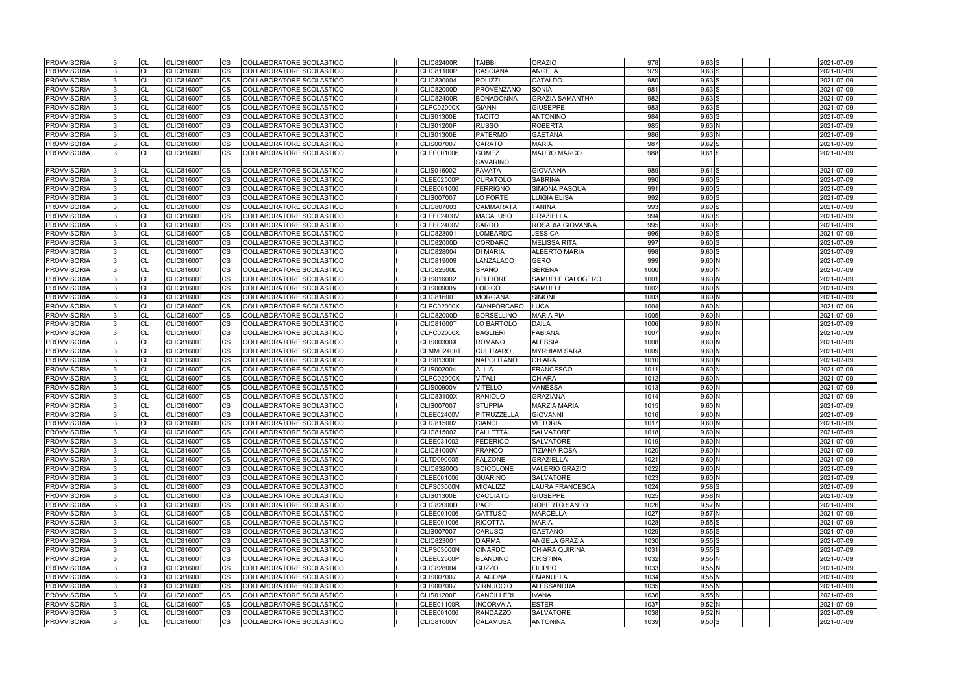| <b>PROVVISORIA</b>                       | CL              | <b>CLIC81600T</b>                      | <b>CS</b>              | COLLABORATORE SCOLASTICO                             |  | <b>CLIC82400R</b>                      | <b>TAIBBI</b>                         | <b>ORAZIO</b>                             | 978          | $9,63$ S           | 2021-07-09               |
|------------------------------------------|-----------------|----------------------------------------|------------------------|------------------------------------------------------|--|----------------------------------------|---------------------------------------|-------------------------------------------|--------------|--------------------|--------------------------|
| <b>PROVVISORIA</b>                       | CL              | <b>CLIC81600T</b>                      | <b>CS</b>              | COLLABORATORE SCOLASTICO                             |  | <b>CLIC81100P</b>                      | <b>CASCIANA</b>                       | <b>ANGELA</b>                             | 979          | $9,63$ S           | 2021-07-09               |
| <b>PROVVISORIA</b>                       | <b>CL</b>       | <b>CLIC81600T</b>                      | <b>CS</b>              | <b>COLLABORATORE SCOLASTICO</b>                      |  | CLIC830004                             | <b>POLIZZI</b>                        | CATALDO                                   | 980          | $9,63$ S           | 2021-07-09               |
| <b>PROVVISORIA</b>                       | CL              | <b>CLIC81600T</b>                      | CS                     | COLLABORATORE SCOLASTICO                             |  | <b>CLIC82000D</b>                      | PROVENZANO                            | <b>SONIA</b>                              | 981          | $9,63$ $S$         | 2021-07-09               |
| <b>PROVVISORIA</b>                       | CL              | <b>CLIC81600T</b>                      | CS                     | COLLABORATORE SCOLASTICO                             |  | <b>CLIC82400R</b>                      | <b>BONADONNA</b>                      | <b>GRAZIA SAMANTHA</b>                    | 982          | $9,63$ $S$         | 2021-07-09               |
| <b>PROVVISORIA</b>                       | CL              | <b>CLIC81600T</b>                      | <b>CS</b>              | COLLABORATORE SCOLASTICO                             |  | <b>CLPC02000X</b>                      | <b>GIANNI</b>                         | <b>GIUSEPPE</b>                           | 983          | 9,63 S             | 2021-07-09               |
| <b>PROVVISORIA</b>                       | CL              | <b>CLIC81600T</b>                      | <b>CS</b>              | COLLABORATORE SCOLASTICO                             |  | <b>CLIS01300E</b>                      | <b>TACITO</b>                         | <b>ANTONINO</b>                           | 984          | $9,63$ $S$         | 2021-07-09               |
| <b>PROVVISORIA</b>                       | CL              | <b>CLIC81600T</b>                      | <b>CS</b>              | COLLABORATORE SCOLASTICO                             |  | <b>CLIS01200P</b>                      | <b>RUSSO</b>                          | <b>ROBERTA</b>                            | 985          | 9,63 N             | 2021-07-09               |
| <b>PROVVISORIA</b>                       | CL              | <b>CLIC81600T</b>                      | <b>CS</b>              | COLLABORATORE SCOLASTICO                             |  | <b>CLIS01300E</b>                      | <b>PATERMO</b>                        | <b>GAETANA</b>                            | 986          | 9,63 N             | 2021-07-09               |
| <b>PROVVISORIA</b>                       | CL              | <b>CLIC81600T</b>                      | CS                     | COLLABORATORE SCOLASTICO                             |  | <b>CLIS007007</b>                      | <b>CARATO</b>                         | <b>MARIA</b>                              | 987          | $9,62$ S           | 2021-07-09               |
| <b>PROVVISORIA</b>                       | <b>CL</b>       | <b>CLIC81600T</b>                      | CS                     | COLLABORATORE SCOLASTICO                             |  | CLEE001006                             | <b>GOMEZ</b>                          | <b>MAURO MARCO</b>                        | 988          | $9.61$ S           | 2021-07-09               |
|                                          |                 |                                        |                        |                                                      |  |                                        | <b>SAVARINO</b>                       |                                           |              |                    |                          |
| <b>PROVVISORIA</b>                       | CL              | <b>CLIC81600T</b>                      | <b>CS</b>              | <b>COLLABORATORE SCOLASTICO</b>                      |  | CLIS016002                             | <b>FAVATA</b>                         | <b>GIOVANNA</b>                           | 989          | 9,61 S             | 2021-07-09               |
| <b>PROVVISORIA</b>                       | CL              | <b>CLIC81600T</b>                      | <b>CS</b>              | COLLABORATORE SCOLASTICO                             |  | <b>CLEE02500P</b>                      | <b>CURATOLO</b>                       | <b>SABRINA</b>                            | 990          | $9,60$ S           | 2021-07-09               |
| <b>PROVVISORIA</b>                       | <b>CL</b>       | <b>CLIC81600T</b>                      | <b>CS</b>              | COLLABORATORE SCOLASTICO                             |  | CLEE001006                             | <b>FERRIGNO</b>                       | SIMONA PASQUA                             | 991          | $9,60$ S           | 2021-07-09               |
| <b>PROVVISORIA</b>                       | CL              | <b>CLIC81600T</b>                      | <b>CS</b>              | COLLABORATORE SCOLASTICO                             |  | <b>CLIS007007</b>                      | LO FORTE                              | <b>LUIGIA ELISA</b>                       | 992          | $9,60$ S           | 2021-07-09               |
| <b>PROVVISORIA</b>                       | CL              | <b>CLIC81600T</b>                      | CS                     | COLLABORATORE SCOLASTICO                             |  | CLIC807003                             | <b>CAMMARATA</b>                      | TANINA                                    | 993          | $9,60$ S           | 2021-07-09               |
| <b>PROVVISORIA</b>                       | <b>CL</b>       | <b>CLIC81600T</b>                      | <b>CS</b>              | COLLABORATORE SCOLASTICO                             |  | <b>CLEE02400V</b>                      | <b>MACALUSO</b>                       | <b>GRAZIELLA</b>                          | 994          | $9,60$ S           | 2021-07-09               |
| <b>PROVVISORIA</b>                       | CL              | <b>CLIC81600T</b>                      | <b>CS</b>              | COLLABORATORE SCOLASTICO                             |  | <b>CLEE02400V</b>                      | <b>SARDO</b>                          | ROSARIA GIOVANNA                          | 995          | $9,60$ S           | 2021-07-09               |
| <b>PROVVISORIA</b>                       | CL              | <b>CLIC81600T</b>                      | <b>CS</b>              | COLLABORATORE SCOLASTICO                             |  | CLIC823001                             | LOMBARDO                              | <b>JESSICA</b>                            | 996          | $9,60$ S           | 2021-07-09               |
| <b>PROVVISORIA</b>                       | CL              | <b>CLIC81600T</b>                      | $\overline{\text{cs}}$ | COLLABORATORE SCOLASTICO                             |  | <b>CLIC82000D</b>                      | CORDARO                               | <b>MELISSA RITA</b>                       | 997          | $9,60$ S           | 2021-07-09               |
| <b>PROVVISORIA</b>                       | <b>CL</b>       | <b>CLIC81600T</b>                      | CS                     | COLLABORATORE SCOLASTICO                             |  | <b>CLIC828004</b>                      | <b>DI MARIA</b>                       | <b>ALBERTO MARIA</b>                      | 998          | 9,60S              | 2021-07-09               |
| <b>PROVVISORIA</b>                       | CL              | <b>CLIC81600T</b>                      | CS                     | COLLABORATORE SCOLASTICO                             |  | CLIC819009                             | LANZALACO                             | <b>GERO</b>                               | 999          | $9,60$ N           | 2021-07-09               |
| <b>PROVVISORIA</b>                       | CL              | <b>CLIC81600T</b>                      | <b>CS</b>              | COLLABORATORE SCOLASTICO                             |  | <b>CLIC82500L</b>                      | SPANO'                                | <b>SERENA</b>                             | 1000         | $9,60$ N           | 2021-07-09               |
| <b>PROVVISORIA</b>                       | CL              | <b>CLIC81600T</b>                      | <b>CS</b>              | COLLABORATORE SCOLASTICO                             |  | CLIS016002                             | <b>BELFIORE</b>                       | SAMUELE CALOGERO                          | 1001         | $9,60$ N           | 2021-07-09               |
| <b>PROVVISORIA</b>                       | CL              | <b>CLIC81600T</b>                      | <b>ICS</b>             | COLLABORATORE SCOLASTICO                             |  | <b>CLIS00900V</b>                      | <b>LODICO</b>                         | <b>SAMUELE</b>                            | 1002         | 9,60 N             | 2021-07-09               |
| <b>PROVVISORIA</b>                       | CL              | <b>CLIC81600T</b>                      | <b>CS</b>              | COLLABORATORE SCOLASTICO                             |  | <b>CLIC81600T</b>                      | <b>MORGANA</b>                        | <b>SIMONE</b>                             | 1003         | $9,60$ N           | 2021-07-09               |
| <b>PROVVISORIA</b>                       | CL              | <b>CLIC81600T</b>                      | CS                     | COLLABORATORE SCOLASTICO                             |  | <b>CLPC02000X</b>                      | <b>GIANFORCARO</b>                    | <b>LUCA</b>                               | 1004         | $9,60$ N           | 2021-07-09               |
| <b>PROVVISORIA</b>                       | CL              | <b>CLIC81600T</b>                      | CS                     | COLLABORATORE SCOLASTICO                             |  | <b>CLIC82000D</b>                      | <b>BORSELLINO</b>                     | <b>MARIA PIA</b>                          | 1005         | $9,60$ N           | 2021-07-09               |
| <b>PROVVISORIA</b>                       | CL              | <b>CLIC81600T</b>                      | <b>CS</b>              | COLLABORATORE SCOLASTICO                             |  | <b>CLIC81600T</b>                      | LO BARTOLO                            | <b>DAILA</b>                              | 1006         | $9,60$ N           | 2021-07-09               |
| <b>PROVVISORIA</b>                       | <b>CL</b>       | <b>CLIC81600T</b>                      | <b>CS</b>              | COLLABORATORE SCOLASTICO                             |  | <b>CLPC02000X</b>                      | <b>BAGLIERI</b>                       | <b>FABIANA</b>                            | 1007         | $9,60$ N           | 2021-07-09               |
| <b>PROVVISORIA</b>                       | CL              | <b>CLIC81600T</b>                      | $\overline{\text{cs}}$ | COLLABORATORE SCOLASTICO                             |  | <b>CLIS00300X</b>                      | <b>ROMANO</b>                         | <b>ALESSIA</b>                            | 1008         | $9,60$ N           | 2021-07-09               |
| <b>PROVVISORIA</b>                       | CL              | <b>CLIC81600T</b>                      | <b>CS</b>              | COLLABORATORE SCOLASTICO                             |  | <b>CLMM02400T</b>                      | <b>CULTRARO</b>                       | <b>MYRHIAM SARA</b>                       | 1009         | $9,60$ N           | 2021-07-09               |
| <b>PROVVISORIA</b>                       | CL              | <b>CLIC81600T</b>                      | <b>CS</b>              | COLLABORATORE SCOLASTICO                             |  | <b>CLIS01300E</b>                      | <b>NAPOLITANO</b>                     | <b>CHIARA</b>                             | 1010         | $9,60$ N           | 2021-07-09               |
| <b>PROVVISORIA</b>                       | CL              | <b>CLIC81600T</b>                      | CS                     | COLLABORATORE SCOLASTICO                             |  | <b>CLIS002004</b>                      | <b>ALLIA</b>                          | <b>FRANCESCO</b>                          | 1011         | 9,60 N             | 2021-07-09               |
| <b>PROVVISORIA</b>                       | CL              | CLIC81600T                             | CS                     | COLLABORATORE SCOLASTICO                             |  | <b>CLPC02000X</b>                      | <b>VITALI</b>                         | CHIARA                                    | 1012         | 9,60 N             | 2021-07-09               |
| <b>PROVVISORIA</b>                       | CL              | <b>CLIC81600T</b>                      | <b>CS</b>              | COLLABORATORE SCOLASTICO                             |  | <b>CLIS00900V</b>                      | <b>VITELLO</b>                        | VANESSA                                   | 1013         | $9,60$ N           | 2021-07-09               |
| <b>PROVVISORIA</b>                       | CL              | <b>CLIC81600T</b>                      | <b>CS</b>              | COLLABORATORE SCOLASTICO                             |  | <b>CLIC83100X</b>                      | <b>RANIOLO</b>                        | <b>GRAZIANA</b>                           | 1014         | 9,60 N             | 2021-07-09               |
| <b>PROVVISORIA</b>                       | CL              | <b>CLIC81600T</b>                      | <b>CS</b>              | COLLABORATORE SCOLASTICO                             |  | <b>CLIS007007</b>                      | <b>STUPPIA</b>                        | <b>MARZIA MARIA</b>                       | 1015         | 9,60 N             | 2021-07-09               |
| <b>PROVVISORIA</b>                       | CL              | <b>CLIC81600T</b>                      | <b>CS</b>              | COLLABORATORE SCOLASTICO                             |  | <b>CLEE02400V</b>                      | PITRUZZELLA                           | <b>GIOVANNI</b>                           | 1016         | $9,60$ N           | 2021-07-09               |
| <b>PROVVISORIA</b>                       | <b>CI</b>       | <b>CLIC81600T</b>                      | <b>CS</b>              | COLLABORATORE SCOLASTICO                             |  | CLIC815002                             | <b>CIANCI</b>                         | <b>VITTORIA</b>                           | 1017         | 9.60N              | 2021-07-09               |
| <b>PROVVISORIA</b>                       | <b>CL</b>       | <b>CLIC81600T</b>                      | <b>CS</b>              | COLLABORATORE SCOLASTICO                             |  | CLIC815002                             | <b>FALLETTA</b>                       | <b>SALVATORE</b>                          | 1018         | 9,60 N             | 2021-07-09               |
| <b>PROVVISORIA</b>                       | <b>CL</b>       | <b>CLIC81600T</b>                      | CS                     | COLLABORATORE SCOLASTICO                             |  | CLEE031002                             | <b>FEDERICO</b>                       | SALVATORE                                 | 1019         | $9,60$ N           | 2021-07-09               |
| <b>PROVVISORIA</b>                       | CL              | <b>CLIC81600T</b>                      | <b>CS</b>              | COLLABORATORE SCOLASTICO                             |  | <b>CLIC81000V</b>                      | <b>FRANCO</b>                         | <b>TIZIANA ROSA</b>                       | 1020         | $9,60$ N           | 2021-07-09               |
| <b>PROVVISORIA</b><br><b>PROVVISORIA</b> | <b>CL</b>       | <b>CLIC81600T</b>                      | CS.                    | COLLABORATORE SCOLASTICO<br>COLLABORATORE SCOLASTICO |  | CLTD090005                             | <b>FALZONE</b>                        | <b>GRAZIELLA</b><br><b>VALERIO GRAZIO</b> | 1021<br>1022 | 9,60 N<br>$9,60$ N | 2021-07-09               |
| <b>PROVVISORIA</b>                       | <b>CL</b>       | <b>CLIC81600T</b><br><b>CLIC81600T</b> | CS                     | COLLABORATORE SCOLASTICO                             |  | CLIC83200Q<br>CLEE001006               | <b>SCICOLONE</b><br><b>GUARINO</b>    | <b>SALVATORE</b>                          | 1023         | $9,60$ N           | 2021-07-09<br>2021-07-09 |
| <b>PROVVISORIA</b>                       | CL              | <b>CLIC81600T</b>                      | CS                     | COLLABORATORE SCOLASTICO                             |  |                                        | <b>MICALIZZI</b>                      |                                           |              | $9,58$ $S$         |                          |
|                                          | <b>CL</b>       |                                        | <b>CS</b>              |                                                      |  | <b>CLPS03000N</b>                      |                                       | LAURA FRANCESCA<br><b>GIUSEPPE</b>        | 1024<br>1025 | $9,58$ N           | 2021-07-09               |
| <b>PROVVISORIA</b><br><b>PROVVISORIA</b> | <b>CL</b><br>CL | <b>CLIC81600T</b><br><b>CLIC81600T</b> | CS<br>CS               | COLLABORATORE SCOLASTICO<br>COLLABORATORE SCOLASTICO |  | <b>CLIS01300E</b><br><b>CLIC82000D</b> | <b>CACCIATO</b><br><b>PACE</b>        | <b>ROBERTO SANTO</b>                      | 1026         | $9,57$ N           | 2021-07-09<br>2021-07-09 |
| <b>PROVVISORIA</b>                       |                 |                                        |                        |                                                      |  | CLEE001006                             |                                       | <b>MARCELLA</b>                           |              | $9,57$ N           |                          |
|                                          | <b>CL</b>       | <b>CLIC81600T</b>                      | CS                     | COLLABORATORE SCOLASTICO                             |  |                                        | <b>GATTUSO</b>                        |                                           | 1027         |                    | 2021-07-09               |
| <b>PROVVISORIA</b><br><b>PROVVISORIA</b> | <b>CL</b>       | <b>CLIC81600T</b><br><b>CLIC81600T</b> | CS<br><b>CS</b>        | COLLABORATORE SCOLASTICO<br>COLLABORATORE SCOLASTICO |  | CLEE001006<br><b>CLIS007007</b>        | <b>RICOTTA</b><br><b>CARUSO</b>       | <b>MARIA</b><br><b>GAETANO</b>            | 1028<br>1029 | $9,55$ S           | 2021-07-09<br>2021-07-09 |
| <b>PROVVISORIA</b>                       | CL<br><b>CL</b> | <b>CLIC81600T</b>                      | <b>CS</b>              | COLLABORATORE SCOLASTICO                             |  | CLIC823001                             | <b>D'ARMA</b>                         | <b>ANGELA GRAZIA</b>                      | 1030         | 9,55S<br>9,55S     | 2021-07-09               |
| <b>PROVVISORIA</b>                       | <b>CL</b>       | <b>CLIC81600T</b>                      | <b>CS</b>              | COLLABORATORE SCOLASTICO                             |  | <b>CLPS03000N</b>                      | <b>CINARDO</b>                        | <b>CHIARA QUIRINA</b>                     | 1031         | $9,55$ $S$         | 2021-07-09               |
|                                          | CL              |                                        |                        |                                                      |  |                                        |                                       |                                           | 1032         | 9,55N              |                          |
| <b>PROVVISORIA</b><br><b>PROVVISORIA</b> |                 | <b>CLIC81600T</b>                      | CS                     | COLLABORATORE SCOLASTICO                             |  | <b>CLEE02500P</b>                      | <b>BLANDINO</b><br><b>GUZZO</b>       | <b>CRISTINA</b><br><b>FILIPPO</b>         | 1033         | 9,55N              | 2021-07-09<br>2021-07-09 |
|                                          | <b>CL</b>       | <b>CLIC81600T</b>                      | CS                     | COLLABORATORE SCOLASTICO                             |  | CLIC828004                             |                                       |                                           |              |                    |                          |
| <b>PROVVISORIA</b>                       | <b>CL</b><br>CL | <b>CLIC81600T</b>                      | <b>CS</b>              | COLLABORATORE SCOLASTICO                             |  | <b>CLIS007007</b>                      | <b>ALAGONA</b>                        | <b>EMANUELA</b>                           | 1034         | 9,55N<br>9,55N     | 2021-07-09               |
| <b>PROVVISORIA</b><br><b>PROVVISORIA</b> | CL              | <b>CLIC81600T</b>                      | CS.<br>CS              | COLLABORATORE SCOLASTICO                             |  | <b>CLIS007007</b><br><b>CLIS01200P</b> | <b>VIRNUCCIO</b><br><b>CANCILLERI</b> | <b>ALESSANDRA</b>                         | 1035<br>1036 | 9,55N              | 2021-07-09<br>2021-07-09 |
| <b>PROVVISORIA</b>                       | <b>CL</b>       | <b>CLIC81600T</b><br><b>CLIC81600T</b> | CS                     | COLLABORATORE SCOLASTICO<br>COLLABORATORE SCOLASTICO |  | <b>CLEE01100R</b>                      | <b>INCORVAIA</b>                      | <b>IVANA</b><br><b>ESTER</b>              | 1037         | 9,52N              | 2021-07-09               |
|                                          |                 |                                        | <b>CS</b>              |                                                      |  | CLEE001006                             |                                       | <b>SALVATORE</b>                          |              | $9,52$ N           |                          |
| <b>PROVVISORIA</b>                       | <b>CL</b>       | <b>CLIC81600T</b>                      |                        | COLLABORATORE SCOLASTICO                             |  |                                        | <b>RANDAZZO</b>                       |                                           | 1038         |                    | 2021-07-09               |
| <b>PROVVISORIA</b>                       | <b>CL</b>       | <b>CLIC81600T</b>                      | <b>CS</b>              | COLLABORATORE SCOLASTICO                             |  | <b>CLIC81000V</b>                      | <b>CALAMUSA</b>                       | <b>ANTONINA</b>                           | 1039         | $9,50$ S           | 2021-07-09               |

|  |  | 2021-07-09               |
|--|--|--------------------------|
|  |  | 2021-07-09               |
|  |  | 2021-07-09               |
|  |  | 2021-07-09               |
|  |  | 2021-07-09               |
|  |  | 2021-07-09               |
|  |  | 2021-07-09               |
|  |  | 2021-07-09               |
|  |  | 2021-07-09               |
|  |  | 2021-07-09               |
|  |  | 2021-07-09               |
|  |  |                          |
|  |  | 2021-07-09               |
|  |  | 2021-07-09               |
|  |  | 2021-07-09               |
|  |  | 2021-07-09               |
|  |  | 2021-07-09               |
|  |  | 2021-07-09               |
|  |  | 2021-07-09               |
|  |  | 2021-07-09               |
|  |  | 2021-07-09               |
|  |  | 2021-07-09               |
|  |  | 2021-07-09               |
|  |  | 2021-07-09               |
|  |  | 2021-07-09               |
|  |  | 2021-07-09               |
|  |  | 2021-07-09               |
|  |  | 2021-07-09               |
|  |  | 2021-07-09               |
|  |  | 2021-07-09               |
|  |  | 2021-07-09               |
|  |  | 2021-07-09               |
|  |  | 2021-07-09               |
|  |  | 2021-07-09               |
|  |  | 2021-07-09               |
|  |  | 2021-07-09               |
|  |  | 2021-07-09               |
|  |  | 2021-07-09               |
|  |  | 2021-07-09               |
|  |  | 2021-07-09               |
|  |  | 2021-07-09               |
|  |  | 2021-07-09               |
|  |  | 2021-07-09               |
|  |  | 2021-07-09<br>2021-07-09 |
|  |  | 2021-07-09               |
|  |  | 2021-07-09               |
|  |  | 2021-07-09               |
|  |  | 2021-07-09               |
|  |  | 2021-07-09               |
|  |  | 2021-07-09               |
|  |  | 2021-07-09               |
|  |  | 2021-07-09               |
|  |  | 2021-07-09               |
|  |  | 2021-07-09               |
|  |  | 2021-07-09               |
|  |  | 2021-07-09               |
|  |  | 2021-07-09               |
|  |  | 2021-07-09               |
|  |  | 2021-07-09               |
|  |  | 2021-07-09               |
|  |  | 2021-07-09               |
|  |  | 2021-07-09               |
|  |  |                          |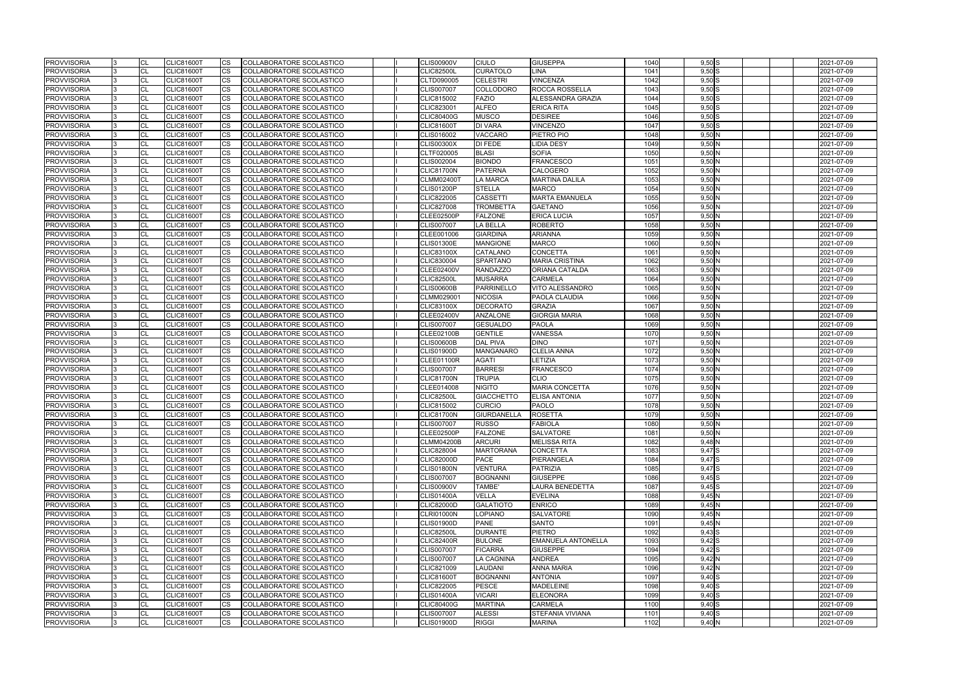| <b>PROVVISORIA</b> | CL        | <b>CLIC81600T</b> | CS.                    | <b>COLLABORATORE SCOLASTICO</b> |  | <b>CLIS00900V</b> | <b>CIULO</b>       | <b>GIUSEPPA</b>           | 1040 | $9,50$ S | 2021-07-09 |
|--------------------|-----------|-------------------|------------------------|---------------------------------|--|-------------------|--------------------|---------------------------|------|----------|------------|
| <b>PROVVISORIA</b> | CL        | <b>CLIC81600T</b> | <b>CS</b>              | COLLABORATORE SCOLASTICO        |  | <b>CLIC82500L</b> | <b>CURATOLO</b>    | <b>LINA</b>               | 1041 | 9,50S    | 2021-07-09 |
| <b>PROVVISORIA</b> | CL        | <b>CLIC81600T</b> | CS                     | COLLABORATORE SCOLASTICO        |  | CLTD090005        | <b>CELESTRI</b>    | <b>VINCENZA</b>           | 1042 | $9,50$ S | 2021-07-09 |
| <b>PROVVISORIA</b> | CL        | <b>CLIC81600T</b> | <b>CS</b>              | COLLABORATORE SCOLASTICO        |  | <b>CLIS007007</b> | <b>COLLODORO</b>   | <b>ROCCA ROSSELLA</b>     | 1043 | $9,50$ S | 2021-07-09 |
| <b>PROVVISORIA</b> | CL        | <b>CLIC81600T</b> | <b>CS</b>              | COLLABORATORE SCOLASTICO        |  | CLIC815002        | <b>FAZIO</b>       | ALESSANDRA GRAZIA         | 1044 | $9,50$ S | 2021-07-09 |
| <b>PROVVISORIA</b> | CL        | <b>CLIC81600T</b> | <b>CS</b>              | COLLABORATORE SCOLASTICO        |  | CLIC823001        | <b>ALFEO</b>       | <b>ERICA RITA</b>         | 1045 | 9,50S    | 2021-07-09 |
| <b>PROVVISORIA</b> | <b>CL</b> | <b>CLIC81600T</b> | <b>CS</b>              | <b>COLLABORATORE SCOLASTICO</b> |  | <b>CLIC80400G</b> | <b>MUSCO</b>       | <b>DESIREE</b>            | 1046 | $9,50$ S | 2021-07-09 |
| <b>PROVVISORIA</b> | CL        | <b>CLIC81600T</b> | <b>CS</b>              | COLLABORATORE SCOLASTICO        |  | <b>CLIC81600T</b> | <b>DI VARA</b>     | <b>VINCENZO</b>           | 1047 | $9,50$ S | 2021-07-09 |
| <b>PROVVISORIA</b> | CL        | <b>CLIC81600T</b> | CS                     | COLLABORATORE SCOLASTICO        |  | CLIS016002        | <b>VACCARO</b>     | PIETRO PIO                | 1048 | 9,50N    | 2021-07-09 |
| <b>PROVVISORIA</b> | <b>CL</b> | <b>CLIC81600T</b> | CS                     | COLLABORATORE SCOLASTICO        |  | <b>CLIS00300X</b> | <b>DI FEDE</b>     | <b>LIDIA DESY</b>         | 1049 | 9,50N    | 2021-07-09 |
| <b>PROVVISORIA</b> | CL        | <b>CLIC81600T</b> | <b>CS</b>              | COLLABORATORE SCOLASTICO        |  | CLTF020005        | <b>BLASI</b>       | <b>SOFIA</b>              | 1050 | 9,50N    | 2021-07-09 |
| <b>PROVVISORIA</b> | CL        | <b>CLIC81600T</b> | <b>CS</b>              | COLLABORATORE SCOLASTICO        |  | CLIS002004        | <b>BIONDO</b>      | <b>FRANCESCO</b>          | 1051 | 9,50N    | 2021-07-09 |
| <b>PROVVISORIA</b> | <b>CL</b> | <b>CLIC81600T</b> | $\overline{\text{cs}}$ | COLLABORATORE SCOLASTICO        |  | <b>CLIC81700N</b> | <b>PATERNA</b>     | <b>CALOGERO</b>           | 1052 | $9,50$ N | 2021-07-09 |
| <b>PROVVISORIA</b> | CL        | <b>CLIC81600T</b> | <b>CS</b>              | COLLABORATORE SCOLASTICO        |  | <b>CLMM02400T</b> | <b>LA MARCA</b>    | <b>MARTINA DALILA</b>     | 1053 | $9,50$ N | 2021-07-09 |
| <b>PROVVISORIA</b> | CL        | <b>CLIC81600T</b> | $\overline{\text{cs}}$ | COLLABORATORE SCOLASTICO        |  | <b>CLIS01200P</b> | <b>STELLA</b>      | <b>MARCO</b>              | 1054 | 9,50N    | 2021-07-09 |
| <b>PROVVISORIA</b> | CL        | <b>CLIC81600T</b> | CS                     | COLLABORATORE SCOLASTICO        |  | <b>CLIC822005</b> | <b>CASSETTI</b>    | <b>MARTA EMANUELA</b>     | 1055 | 9,50 N   | 2021-07-09 |
| <b>PROVVISORIA</b> | CL        | CLIC81600T        | CS                     | COLLABORATORE SCOLASTICO        |  | <b>CLIC827008</b> | <b>TROMBETTA</b>   | <b>GAETANO</b>            | 1056 | 9,50 N   | 2021-07-09 |
| <b>PROVVISORIA</b> | <b>CL</b> | <b>CLIC81600T</b> | CS                     | COLLABORATORE SCOLASTICO        |  | CLEE02500P        | <b>FALZONE</b>     | <b>ERICA LUCIA</b>        | 1057 | 9,50 N   | 2021-07-09 |
| <b>PROVVISORIA</b> | CL        | <b>CLIC81600T</b> | <b>CS</b>              | COLLABORATORE SCOLASTICO        |  | <b>CLIS007007</b> | <b>LA BELLA</b>    | <b>ROBERTO</b>            | 1058 | $9,50$ N | 2021-07-09 |
| <b>PROVVISORIA</b> | CL        | <b>CLIC81600T</b> | <b>CS</b>              | COLLABORATORE SCOLASTICO        |  | CLEE001006        | <b>GIARDINA</b>    | <b>ARIANNA</b>            | 1059 | $9,50$ N | 2021-07-09 |
| <b>PROVVISORIA</b> | CL        | <b>CLIC81600T</b> | $\overline{\text{cs}}$ | COLLABORATORE SCOLASTICO        |  | <b>CLIS01300E</b> | <b>MANGIONE</b>    | <b>MARCO</b>              | 1060 | 9,50N    | 2021-07-09 |
| <b>PROVVISORIA</b> | CL        | <b>CLIC81600T</b> | <b>CS</b>              | COLLABORATORE SCOLASTICO        |  | <b>CLIC83100X</b> | <b>CATALANO</b>    | <b>CONCETTA</b>           | 1061 | 9,50N    | 2021-07-09 |
| <b>PROVVISORIA</b> | CL        | <b>CLIC81600T</b> | CS                     | COLLABORATORE SCOLASTICO        |  | CLIC830004        | <b>SPARTANO</b>    | <b>MARIA CRISTINA</b>     | 1062 | 9,50N    | 2021-07-09 |
| <b>PROVVISORIA</b> | CL        | <b>CLIC81600T</b> | $\overline{\text{cs}}$ | COLLABORATORE SCOLASTICO        |  | <b>CLEE02400V</b> | <b>RANDAZZO</b>    | <b>ORIANA CATALDA</b>     | 1063 | 9,50N    | 2021-07-09 |
| <b>PROVVISORIA</b> | CL        | <b>CLIC81600T</b> | <b>CS</b>              | COLLABORATORE SCOLASTICO        |  | <b>CLIC82500L</b> | <b>MUSARRA</b>     | <b>CARMELA</b>            | 1064 | 9,50N    | 2021-07-09 |
| <b>PROVVISORIA</b> | CL        | <b>CLIC81600T</b> | <b>CS</b>              | COLLABORATORE SCOLASTICO        |  | <b>CLIS00600B</b> | <b>PARRINELLO</b>  | <b>VITO ALESSANDRO</b>    | 1065 | $9,50$ N | 2021-07-09 |
| <b>PROVVISORIA</b> | CL        | <b>CLIC81600T</b> | <b>CS</b>              | COLLABORATORE SCOLASTICO        |  | CLMM029001        | <b>NICOSIA</b>     | PAOLA CLAUDIA             | 1066 | 9,50N    | 2021-07-09 |
| <b>PROVVISORIA</b> | CL        | <b>CLIC81600T</b> | CS                     | COLLABORATORE SCOLASTICO        |  | <b>CLIC83100X</b> | <b>DECORATO</b>    | <b>GRAZIA</b>             | 1067 | 9,50 N   | 2021-07-09 |
| <b>PROVVISORIA</b> | CL        | <b>CLIC81600T</b> | <b>CS</b>              | COLLABORATORE SCOLASTICO        |  | <b>CLEE02400V</b> | ANZALONE           | <b>GIORGIA MARIA</b>      | 1068 | 9,50N    | 2021-07-09 |
| <b>PROVVISORIA</b> | CL        | <b>CLIC81600T</b> | <b>CS</b>              | COLLABORATORE SCOLASTICO        |  | <b>CLIS007007</b> | <b>GESUALDO</b>    | <b>PAOLA</b>              | 1069 | 9,50N    | 2021-07-09 |
| <b>PROVVISORIA</b> | CL        | <b>CLIC81600T</b> | <b>CS</b>              | COLLABORATORE SCOLASTICO        |  | <b>CLEE02100B</b> | <b>GENTILE</b>     | <b>VANESSA</b>            | 1070 | 9,50N    | 2021-07-09 |
| <b>PROVVISORIA</b> | CL        | <b>CLIC81600T</b> | $\overline{\text{cs}}$ | COLLABORATORE SCOLASTICO        |  | <b>CLIS00600B</b> | <b>DAL PIVA</b>    | <b>DINO</b>               | 1071 | 9,50N    | 2021-07-09 |
| <b>PROVVISORIA</b> | CL        | <b>CLIC81600T</b> | <b>CS</b>              | COLLABORATORE SCOLASTICO        |  | <b>CLIS01900D</b> | <b>MANGANARO</b>   | <b>CLELIA ANNA</b>        | 1072 | 9,50N    | 2021-07-09 |
| <b>PROVVISORIA</b> | CL        | <b>CLIC81600T</b> | CS                     | COLLABORATORE SCOLASTICO        |  | <b>CLEE01100R</b> | <b>AGATI</b>       | LETIZIA                   | 1073 | 9,50 N   | 2021-07-09 |
| <b>PROVVISORIA</b> | <b>CL</b> | <b>CLIC81600T</b> | CS                     | COLLABORATORE SCOLASTICO        |  | <b>CLIS007007</b> | <b>BARRESI</b>     | <b>FRANCESCO</b>          | 1074 | 9,50N    | 2021-07-09 |
| <b>PROVVISORIA</b> | CL        | CLIC81600T        | <b>CS</b>              | COLLABORATORE SCOLASTICO        |  | <b>CLIC81700N</b> | <b>TRUPIA</b>      | <b>CLIO</b>               | 1075 | 9,50 N   | 2021-07-09 |
| <b>PROVVISORIA</b> | CL        | <b>CLIC81600T</b> | <b>CS</b>              | COLLABORATORE SCOLASTICO        |  | CLEE014008        | <b>NIGITO</b>      | <b>MARIA CONCETTA</b>     | 1076 | 9,50N    | 2021-07-09 |
| <b>PROVVISORIA</b> | CL        | <b>CLIC81600T</b> | <b>CS</b>              | COLLABORATORE SCOLASTICO        |  | <b>CLIC82500L</b> | <b>GIACCHETTO</b>  | <b>ELISA ANTONIA</b>      | 1077 | 9,50 N   | 2021-07-09 |
| <b>PROVVISORIA</b> | CL        | <b>CLIC81600T</b> | <b>CS</b>              | COLLABORATORE SCOLASTICO        |  | <b>CLIC815002</b> | <b>CURCIO</b>      | <b>PAOLO</b>              | 1078 | 9,50N    | 2021-07-09 |
| <b>PROVVISORIA</b> | <b>CL</b> | <b>CLIC81600T</b> | <b>CS</b>              | COLLABORATORE SCOLASTICO        |  | <b>CLIC81700N</b> | <b>GIURDANELLA</b> | <b>ROSETTA</b>            | 1079 | 9,50N    | 2021-07-09 |
| <b>PROVVISORIA</b> | <b>CI</b> | <b>CLIC81600T</b> | <b>CS</b>              | COLLABORATORE SCOLASTICO        |  | <b>CLIS007007</b> | <b>RUSSO</b>       | <b>FABIOLA</b>            | 1080 | $9,50$ N | 2021-07-09 |
| <b>PROVVISORIA</b> | <b>CL</b> | <b>CLIC81600T</b> | CS                     | COLLABORATORE SCOLASTICO        |  | <b>CLEE02500P</b> | <b>FALZONE</b>     | <b>SALVATORE</b>          | 1081 | 9,50 N   | 2021-07-09 |
| <b>PROVVISORIA</b> | <b>CL</b> | <b>CLIC81600T</b> | CS                     | COLLABORATORE SCOLASTICO        |  | <b>CLMM04200B</b> | <b>ARCURI</b>      | <b>MELISSA RITA</b>       | 1082 | $9,48$ N | 2021-07-09 |
| <b>PROVVISORIA</b> | <b>CL</b> | <b>CLIC81600T</b> | <b>CS</b>              | COLLABORATORE SCOLASTICO        |  | CLIC828004        | <b>MARTORANA</b>   | <b>CONCETTA</b>           | 1083 | 9,47 S   | 2021-07-09 |
| <b>PROVVISORIA</b> | CL        | <b>CLIC81600T</b> | <b>CS</b>              | COLLABORATORE SCOLASTICO        |  | <b>CLIC82000D</b> | PACE               | PIERANGELA                | 1084 | 9,47 S   | 2021-07-09 |
| <b>PROVVISORIA</b> | <b>CL</b> | <b>CLIC81600T</b> | CS                     | COLLABORATORE SCOLASTICO        |  | <b>CLIS01800N</b> | <b>VENTURA</b>     | <b>PATRIZIA</b>           | 1085 | 9,47S    | 2021-07-09 |
| <b>PROVVISORIA</b> | CL        | <b>CLIC81600T</b> | <b>CS</b>              | COLLABORATORE SCOLASTICO        |  | <b>CLIS007007</b> | <b>BOGNANNI</b>    | <b>GIUSEPPE</b>           | 1086 | $9,45$ S | 2021-07-09 |
| <b>PROVVISORIA</b> | <b>CL</b> | <b>CLIC81600T</b> | <b>CS</b>              | COLLABORATORE SCOLASTICO        |  | <b>CLIS00900V</b> | TAMBE'             | <b>LAURA BENEDETTA</b>    | 1087 | $9,45$ S | 2021-07-09 |
| <b>PROVVISORIA</b> | <b>CL</b> | <b>CLIC81600T</b> | CS                     | COLLABORATORE SCOLASTICO        |  | <b>CLIS01400A</b> | <b>VELLA</b>       | <b>EVELINA</b>            | 1088 | $9,45$ N | 2021-07-09 |
| <b>PROVVISORIA</b> | CL        | <b>CLIC81600T</b> | <b>CS</b>              | COLLABORATORE SCOLASTICO        |  | <b>CLIC82000D</b> | <b>GALATIOTO</b>   | <b>ENRICO</b>             | 1089 | 9.45N    | 2021-07-09 |
| <b>PROVVISORIA</b> | <b>CL</b> | <b>CLIC81600T</b> | <b>CS</b>              | COLLABORATORE SCOLASTICO        |  | <b>CLRI01000N</b> | <b>LOPIANO</b>     | <b>SALVATORE</b>          | 1090 | 9,45N    | 2021-07-09 |
| <b>PROVVISORIA</b> | <b>CL</b> | <b>CLIC81600T</b> | CS                     | COLLABORATORE SCOLASTICO        |  | <b>CLIS01900D</b> | <b>PANE</b>        | <b>SANTO</b>              | 1091 | 9,45N    | 2021-07-09 |
| <b>PROVVISORIA</b> | CL        | <b>CLIC81600T</b> | <b>CS</b>              | COLLABORATORE SCOLASTICO        |  | <b>CLIC82500L</b> | <b>DURANTE</b>     | PIETRO                    | 1092 | 9,43 S   | 2021-07-09 |
| <b>PROVVISORIA</b> | <b>CL</b> | <b>CLIC81600T</b> | <b>CS</b>              | COLLABORATORE SCOLASTICO        |  | <b>CLIC82400R</b> | <b>BULONE</b>      | <b>EMANUELA ANTONELLA</b> | 1093 | $9,42$ S | 2021-07-09 |
| <b>PROVVISORIA</b> | <b>CL</b> | <b>CLIC81600T</b> | CS                     | COLLABORATORE SCOLASTICO        |  | <b>CLIS007007</b> | <b>FICARRA</b>     | <b>GIUSEPPE</b>           | 1094 | $9,42$ S | 2021-07-09 |
| <b>PROVVISORIA</b> | CL        | <b>CLIC81600T</b> | <b>CS</b>              | COLLABORATORE SCOLASTICO        |  | <b>CLIS007007</b> | <b>LA CAGNINA</b>  | <b>ANDREA</b>             | 1095 | $9,42$ N | 2021-07-09 |
| <b>PROVVISORIA</b> | CL        | <b>CLIC81600T</b> | <b>CS</b>              | COLLABORATORE SCOLASTICO        |  | CLIC821009        | LAUDANI            | <b>ANNA MARIA</b>         | 1096 | $9,42$ N | 2021-07-09 |
| <b>PROVVISORIA</b> | CL        | <b>CLIC81600T</b> | <b>CS</b>              | COLLABORATORE SCOLASTICO        |  | <b>CLIC81600T</b> | <b>BOGNANNI</b>    | <b>ANTONIA</b>            | 1097 | $9,40$ S | 2021-07-09 |
| <b>PROVVISORIA</b> | CL        | <b>CLIC81600T</b> | CS.                    | COLLABORATORE SCOLASTICO        |  | CLIC822005        | <b>PESCE</b>       | <b>MADELEINE</b>          | 1098 | $9,40$ S | 2021-07-09 |
| <b>PROVVISORIA</b> | <b>CL</b> | <b>CLIC81600T</b> | <b>CS</b>              | COLLABORATORE SCOLASTICO        |  | <b>CLIS01400A</b> | <b>VICARI</b>      | <b>ELEONORA</b>           | 1099 | $9,40$ S | 2021-07-09 |
| <b>PROVVISORIA</b> | <b>CL</b> | <b>CLIC81600T</b> | CS                     | COLLABORATORE SCOLASTICO        |  | <b>CLIC80400G</b> | <b>MARTINA</b>     | <b>CARMELA</b>            | 1100 | $9,40$ S | 2021-07-09 |
| <b>PROVVISORIA</b> | <b>CL</b> | <b>CLIC81600T</b> | CS                     | COLLABORATORE SCOLASTICO        |  | <b>CLIS007007</b> | <b>ALESSI</b>      | STEFANIA VIVIANA          | 1101 | 9,40 S   | 2021-07-09 |
| <b>PROVVISORIA</b> | <b>CL</b> | <b>CLIC81600T</b> | <b>CS</b>              | COLLABORATORE SCOLASTICO        |  | <b>CLIS01900D</b> | <b>RIGGI</b>       | <b>MARINA</b>             | 1102 | 9,40 N   | 2021-07-09 |
|                    |           |                   |                        |                                 |  |                   |                    |                           |      |          |            |

|  |  | 2021-07-09               |
|--|--|--------------------------|
|  |  | 2021-07-09               |
|  |  | 2021-07-09               |
|  |  | 2021-07-09               |
|  |  | 2021-07-09               |
|  |  | 2021-07-09               |
|  |  | 2021-07-09               |
|  |  | 2021-07-09               |
|  |  | 2021-07-09               |
|  |  | 2021-07-09               |
|  |  | 2021-07-09               |
|  |  | 2021-07-09               |
|  |  | 2021-07-09               |
|  |  | 2021-07-09               |
|  |  | 2021-07-09               |
|  |  | 2021-07-09               |
|  |  | 2021-07-09               |
|  |  | 2021-07-09               |
|  |  | 2021-07-09               |
|  |  | 2021-07-09               |
|  |  | 2021-07-09               |
|  |  | 2021-07-09               |
|  |  | 2021-07-09               |
|  |  | 2021-07-09               |
|  |  | 2021-07-09               |
|  |  | 2021-07-09               |
|  |  | 2021-07-09               |
|  |  | 2021-07-09               |
|  |  | 2021-07-09               |
|  |  | 2021-07-09               |
|  |  | 2021-07-09               |
|  |  | 2021-07-09               |
|  |  | 2021-07-09               |
|  |  | 2021-07-09               |
|  |  | 2021-07-09               |
|  |  | 2021-07-09               |
|  |  | 2021-07-09               |
|  |  | 2021-07-09               |
|  |  | 2021-07-09               |
|  |  | 2021-07-09               |
|  |  | 2021-07-09               |
|  |  | 2021-07-09               |
|  |  | 2021-07-09               |
|  |  | 2021-07-09               |
|  |  | 2021-07-09               |
|  |  | 2021-07-09               |
|  |  | 2021-07-09               |
|  |  | 2021-07-09               |
|  |  | 2021-07-09               |
|  |  |                          |
|  |  | 2021-07-09<br>2021-07-09 |
|  |  |                          |
|  |  | 2021-07-09               |
|  |  | 2021-07-09               |
|  |  | 2021-07-09               |
|  |  | 2021-07-09               |
|  |  | 2021-07-09               |
|  |  | 2021-07-09               |
|  |  | 2021-07-09               |
|  |  | 2021-07-09               |
|  |  | 2021-07-09               |
|  |  | 2021-07-09               |
|  |  | 2021-07-09               |
|  |  | 2021-07-09               |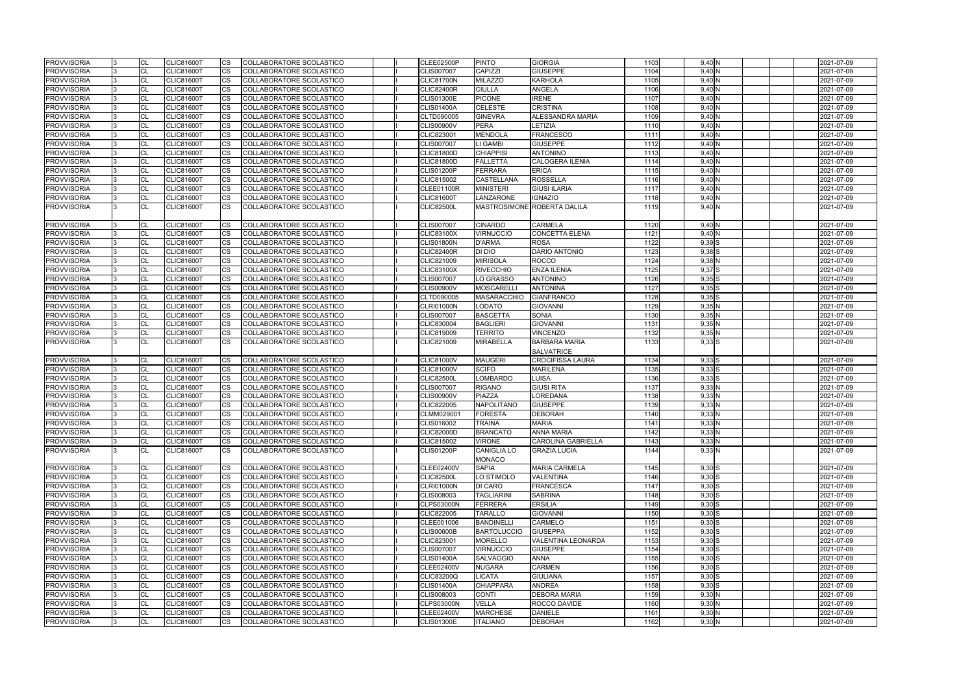| <b>PROVVISORIA</b> |     | <b>CL</b> | <b>CLIC81600T</b> | CS        | COLLABORATORE SCOLASTICO        |  | <b>CLEE02500P</b> | <b>PINTO</b>       | <b>GIORGIA</b>              | 1103 | 9,40 N            | 2021-07-09 |
|--------------------|-----|-----------|-------------------|-----------|---------------------------------|--|-------------------|--------------------|-----------------------------|------|-------------------|------------|
| <b>PROVVISORIA</b> |     | <b>CL</b> | <b>CLIC81600T</b> | CS        | COLLABORATORE SCOLASTICO        |  | <b>CLIS007007</b> | <b>CAPIZZI</b>     | <b>GIUSEPPE</b>             | 1104 | 9,40 N            | 2021-07-09 |
| <b>PROVVISORIA</b> |     | <b>CL</b> | <b>CLIC81600T</b> | <b>CS</b> | COLLABORATORE SCOLASTICO        |  | <b>CLIC81700N</b> | <b>MILAZZO</b>     | <b>KARHOLA</b>              | 1105 | $9,40$ N          | 2021-07-09 |
| <b>PROVVISORIA</b> |     | <b>CL</b> | <b>CLIC81600T</b> | CS        | COLLABORATORE SCOLASTICO        |  | <b>CLIC82400R</b> | <b>CIULLA</b>      | <b>ANGELA</b>               | 1106 | 9,40 N            | 2021-07-09 |
| PROVVISORIA        |     | <b>CL</b> | <b>CLIC81600T</b> | СS        | COLLABORATORE SCOLASTICO        |  | <b>CLIS01300E</b> | <b>PICONE</b>      | <b>IRENE</b>                | 1107 | 9,40 N            | 2021-07-09 |
| <b>PROVVISORIA</b> |     | <b>CL</b> | <b>CLIC81600T</b> | CS        | COLLABORATORE SCOLASTICO        |  | <b>CLIS01400A</b> | <b>CELESTE</b>     | <b>CRISTINA</b>             | 1108 | $9,40$ N          | 2021-07-09 |
| <b>PROVVISORIA</b> |     | <b>CL</b> | <b>CLIC81600T</b> | CS        | COLLABORATORE SCOLASTICO        |  | CLTD090005        | <b>GINEVRA</b>     | ALESSANDRA MARIA            | 1109 | 9,40 <sub>N</sub> | 2021-07-09 |
| <b>PROVVISORIA</b> |     | <b>CL</b> | <b>CLIC81600T</b> | CS        | COLLABORATORE SCOLASTICO        |  | <b>CLIS00900V</b> | <b>PERA</b>        | LETIZIA                     | 1110 | $9,40$ N          | 2021-07-09 |
| <b>PROVVISORIA</b> |     | <b>CL</b> | <b>CLIC81600T</b> | CS        | COLLABORATORE SCOLASTICO        |  | CLIC823001        | <b>MENDOLA</b>     | <b>FRANCESCO</b>            | 1111 | $9,40$ N          | 2021-07-09 |
| <b>PROVVISORIA</b> |     | <b>CL</b> | <b>CLIC81600T</b> | CS.       | COLLABORATORE SCOLASTICO        |  | <b>CLIS007007</b> | LI GAMBI           | <b>GIUSEPPE</b>             | 1112 | 9,40 N            | 2021-07-09 |
| <b>PROVVISORIA</b> |     | <b>CL</b> | <b>CLIC81600T</b> | СS        | COLLABORATORE SCOLASTICO        |  | <b>CLIC81800D</b> | <b>CHIAPPISI</b>   | <b>ANTONINO</b>             | 1113 | $9,40$ N          | 2021-07-09 |
| <b>PROVVISORIA</b> |     | <b>CL</b> | <b>CLIC81600T</b> | СS        | COLLABORATORE SCOLASTICO        |  | <b>CLIC81800D</b> | <b>FALLETTA</b>    | CALOGERA ILENIA             | 1114 | $9,40$ N          | 2021-07-09 |
| <b>PROVVISORIA</b> |     | <b>CL</b> | <b>CLIC81600T</b> | CS        | COLLABORATORE SCOLASTICO        |  | CLIS01200P        | <b>FERRARA</b>     | ERICA                       | 1115 | 9,40 N            | 2021-07-09 |
| PROVVISORIA        |     | <b>CL</b> | <b>CLIC81600T</b> | CS        | COLLABORATORE SCOLASTICO        |  | CLIC815002        | <b>CASTELLANA</b>  | <b>ROSSELLA</b>             | 1116 | 9,40N             | 2021-07-09 |
| <b>PROVVISORIA</b> |     | <b>CL</b> | <b>CLIC81600T</b> | CS        | COLLABORATORE SCOLASTICO        |  | <b>CLEE01100R</b> | <b>MINISTERI</b>   | <b>GIUSI ILARIA</b>         | 1117 | $9,40$ N          | 2021-07-09 |
| <b>PROVVISORIA</b> |     | <b>CL</b> | <b>CLIC81600T</b> | CS        | COLLABORATORE SCOLASTICO        |  | <b>CLIC81600T</b> | LANZARONE          | <b>IGNAZIO</b>              | 1118 | 9,40 N            | 2021-07-09 |
| <b>PROVVISORIA</b> | l3. | <b>CL</b> | <b>CLIC81600T</b> | CS        | COLLABORATORE SCOLASTICO        |  | <b>CLIC82500L</b> |                    | MASTROSIMONE ROBERTA DALILA | 1119 | $9,40$ N          | 2021-07-09 |
|                    |     |           |                   |           |                                 |  |                   |                    |                             |      |                   |            |
| <b>PROVVISORIA</b> |     | CL        | <b>CLIC81600T</b> | CS        | COLLABORATORE SCOLASTICO        |  | <b>CLIS007007</b> | <b>CINARDO</b>     | CARMELA                     | 1120 | 9,40 N            | 2021-07-09 |
| <b>PROVVISORIA</b> |     | <b>CL</b> | CLIC81600T        | <b>CS</b> | COLLABORATORE SCOLASTICO        |  | <b>CLIC83100X</b> | <b>VIRNUCCIO</b>   | <b>CONCETTA ELENA</b>       | 1121 | $9,40$ N          | 2021-07-09 |
| <b>PROVVISORIA</b> |     | <b>CL</b> | <b>CLIC81600T</b> | CS        | COLLABORATORE SCOLASTICO        |  | <b>CLIS01800N</b> | <b>D'ARMA</b>      | <b>ROSA</b>                 | 1122 | $9,39$ S          | 2021-07-09 |
| PROVVISORIA        |     | <b>CL</b> | <b>CLIC81600T</b> | CS.       | COLLABORATORE SCOLASTICO        |  | <b>CLIC82400R</b> | DI DIO             | DARIO ANTONIO               | 1123 | 9,38 S            | 2021-07-09 |
| <b>PROVVISORIA</b> |     | <b>CL</b> | <b>CLIC81600T</b> | CS        | COLLABORATORE SCOLASTICO        |  | CLIC821009        | <b>MIRISOLA</b>    | <b>ROCCO</b>                | 1124 | $9,38$ N          | 2021-07-09 |
| PROVVISORIA        |     | <b>CL</b> | <b>CLIC81600T</b> | СS        | COLLABORATORE SCOLASTICO        |  | <b>CLIC83100X</b> | <b>RIVECCHIO</b>   | <b>ENZA ILENIA</b>          | 1125 | $9,37$ S          | 2021-07-09 |
| <b>PROVVISORIA</b> |     | <b>CL</b> | <b>CLIC81600T</b> | CS        | COLLABORATORE SCOLASTICO        |  | <b>CLIS007007</b> | <b>LO GRASSO</b>   | ANTONINO                    | 1126 | $9,35$ $S$        | 2021-07-09 |
| <b>PROVVISORIA</b> |     | <b>CL</b> | <b>CLIC81600T</b> | <b>CS</b> | COLLABORATORE SCOLASTICO        |  | <b>CLIS00900V</b> | <b>MOSCARELLI</b>  | <b>ANTONINA</b>             | 1127 | $9,35$ $S$        | 2021-07-09 |
| <b>PROVVISORIA</b> |     | <b>CL</b> | <b>CLIC81600T</b> | CS        | COLLABORATORE SCOLASTICO        |  | CLTD090005        | <b>MASARACCHIO</b> | <b>GIANFRANCO</b>           | 1128 | $9,35$ S          | 2021-07-09 |
| <b>PROVVISORIA</b> |     | <b>CL</b> | <b>CLIC81600T</b> | CS        | COLLABORATORE SCOLASTICO        |  | <b>CLRI01000N</b> | <b>LODATO</b>      | GIOVANNI                    | 1129 | 9,35N             | 2021-07-09 |
| <b>PROVVISORIA</b> |     | <b>CL</b> | <b>CLIC81600T</b> | CS        | COLLABORATORE SCOLASTICO        |  | <b>CLIS007007</b> | <b>BASCETTA</b>    | <b>SONIA</b>                | 1130 | 9,35 N            | 2021-07-09 |
| <b>PROVVISORIA</b> |     | <b>CL</b> | <b>CLIC81600T</b> | СS        | COLLABORATORE SCOLASTICO        |  | CLIC830004        | <b>BAGLIERI</b>    | <b>GIOVANNI</b>             | 1131 | $9,35$ N          | 2021-07-09 |
| <b>PROVVISORIA</b> | 13. | <b>CL</b> | <b>CLIC81600T</b> | CS        | COLLABORATORE SCOLASTICO        |  | <b>CLIC819009</b> | <b>TERRITO</b>     | <b>VINCENZO</b>             | 1132 | 9,35 N            | 2021-07-09 |
| <b>PROVVISORIA</b> |     | <b>CL</b> | <b>CLIC81600T</b> | <b>CS</b> | COLLABORATORE SCOLASTICO        |  | CLIC821009        | <b>MIRABELLA</b>   | <b>BARBARA MARIA</b>        | 1133 | 9,33 S            | 2021-07-09 |
|                    |     |           |                   |           |                                 |  |                   |                    | <b>SALVATRICE</b>           |      |                   |            |
| <b>PROVVISORIA</b> |     | <b>CL</b> | <b>CLIC81600T</b> | CS        | COLLABORATORE SCOLASTICO        |  | <b>CLIC81000V</b> | <b>MAUGERI</b>     | CROCIFISSA LAURA            | 1134 | $9,33$ $S$        | 2021-07-09 |
| <b>PROVVISORIA</b> |     | <b>CL</b> | <b>CLIC81600T</b> | CS        | COLLABORATORE SCOLASTICO        |  | <b>CLIC81000V</b> | <b>SCIFO</b>       | <b>MARILENA</b>             | 1135 | $9,33$ $S$        | 2021-07-09 |
| <b>PROVVISORIA</b> |     | <b>CL</b> | <b>CLIC81600T</b> | СS        | COLLABORATORE SCOLASTICO        |  | <b>CLIC82500L</b> | <b>LOMBARDO</b>    | LUISA                       | 1136 | $9,33$ $S$        | 2021-07-09 |
| <b>PROVVISORIA</b> |     | <b>CL</b> | <b>CLIC81600T</b> | CS        | COLLABORATORE SCOLASTICO        |  | <b>CLIS007007</b> | <b>RIGANO</b>      | <b>GIUSI RITA</b>           | 1137 | 9,33N             | 2021-07-09 |
| <b>PROVVISORIA</b> |     | <b>CL</b> | <b>CLIC81600T</b> | <b>CS</b> | COLLABORATORE SCOLASTICO        |  | <b>CLIS00900V</b> | PIAZZA             | LOREDANA                    | 1138 | 9,33N             | 2021-07-09 |
| PROVVISORIA        |     | <b>CL</b> | <b>CLIC81600T</b> | CS        | COLLABORATORE SCOLASTICO        |  | <b>CLIC822005</b> | <b>NAPOLITANO</b>  | <b>GIUSEPPE</b>             | 1139 | 9,33N             | 2021-07-09 |
| <b>PROVVISORIA</b> | 13  | <b>CL</b> | <b>CLIC81600T</b> | <b>CS</b> | COLLABORATORE SCOLASTICO        |  | CLMM029001        | <b>FORESTA</b>     | <b>DEBORAH</b>              | 1140 | 9,33N             | 2021-07-09 |
| <b>PROVVISORIA</b> | l3. | CI.       | CLIC81600T        | <b>CS</b> | <b>COLLABORATORE SCOLASTICO</b> |  | <b>CLIS016002</b> | <b>TRAINA</b>      | <b>MARIA</b>                | 1141 | 9.33N             | 2021-07-09 |
| <b>PROVVISORIA</b> |     | <b>CL</b> | <b>CLIC81600T</b> | CS        | COLLABORATORE SCOLASTICO        |  | <b>CLIC82000D</b> | <b>BRANCATO</b>    | ANNA MARIA                  | 1142 | 9,33 N            | 2021-07-09 |
| <b>PROVVISORIA</b> |     | <b>CL</b> | <b>CLIC81600T</b> | CS        | COLLABORATORE SCOLASTICO        |  | CLIC815002        | <b>VIRONE</b>      | CAROLINA GABRIELLA          | 1143 | 9,33N             | 2021-07-09 |
| <b>PROVVISORIA</b> |     | <b>CL</b> | <b>CLIC81600T</b> | CS        | COLLABORATORE SCOLASTICO        |  | <b>CLIS01200P</b> | <b>CANIGLIA LO</b> | GRAZIA LUCIA                | 1144 | $9,33$ N          | 2021-07-09 |
|                    |     |           |                   |           |                                 |  |                   | <b>MONACO</b>      |                             |      |                   |            |
| <b>PROVVISORIA</b> |     | <b>CL</b> | <b>CLIC81600T</b> | CS        | COLLABORATORE SCOLASTICO        |  | CLEE02400V        | <b>SAPIA</b>       | <b>MARIA CARMELA</b>        | 1145 | $9,30$ S          | 2021-07-09 |
| <b>PROVVISORIA</b> |     | <b>CL</b> | <b>CLIC81600T</b> | <b>CS</b> | COLLABORATORE SCOLASTICO        |  | <b>CLIC82500L</b> | LO STIMOLO         | <b>VALENTINA</b>            | 1146 | $9,30$ S          | 2021-07-09 |
| <b>PROVVISORIA</b> |     | <b>CL</b> | <b>CLIC81600T</b> | СS        | COLLABORATORE SCOLASTICO        |  | <b>CLRI01000N</b> | <b>DI CARO</b>     | FRANCESCA                   | 1147 | $9,30$ S          | 2021-07-09 |
| <b>PROVVISORIA</b> |     | <b>CL</b> | <b>CLIC81600T</b> | CS        | COLLABORATORE SCOLASTICO        |  | CLIS008003        | <b>TAGLIARINI</b>  | SABRINA                     | 1148 | $9,30$ S          | 2021-07-09 |
| <b>PROVVISORIA</b> |     | <b>CL</b> | <b>CLIC81600T</b> | CS        | COLLABORATORE SCOLASTICO        |  | <b>CLPS03000N</b> | <b>FERRERA</b>     | <b>ERSILIA</b>              | 1149 | $9,30$ S          | 2021-07-09 |
| <b>PROVVISORIA</b> |     | <b>CL</b> | <b>CLIC81600T</b> | CS        | COLLABORATORE SCOLASTICO        |  | <b>CLIC822005</b> | TARALLO            | GIOVANNI                    | 1150 | $9,30$ S          | 2021-07-09 |
| <b>PROVVISORIA</b> |     | <b>CL</b> | <b>CLIC81600T</b> | CS        | COLLABORATORE SCOLASTICO        |  | CLEE001006        | <b>BANDINELLI</b>  | CARMELO                     | 1151 | 9,30S             | 2021-07-09 |
| <b>PROVVISORIA</b> |     | <b>CL</b> | CLIC81600T        | CS        | COLLABORATORE SCOLASTICO        |  | <b>CLIS00600B</b> | <b>BARTOLUCCIO</b> | <b>GIUSEPPA</b>             | 1152 | $9,30$ S          | 2021-07-09 |
| <b>PROVVISORIA</b> |     | <b>CL</b> | <b>CLIC81600T</b> | CS        | COLLABORATORE SCOLASTICO        |  | CLIC823001        | <b>MORELLO</b>     | VALENTINA LEONARDA          | 1153 | $9,30$ S          | 2021-07-09 |
| <b>PROVVISORIA</b> |     | <b>CL</b> | <b>CLIC81600T</b> | CS        | COLLABORATORE SCOLASTICO        |  | <b>CLIS007007</b> | <b>VIRNUCCIO</b>   | GIUSEPPE                    | 1154 | $9,30$ S          | 2021-07-09 |
| <b>PROVVISORIA</b> |     | <b>CL</b> | <b>CLIC81600T</b> | CS        | COLLABORATORE SCOLASTICO        |  | <b>CLIS01400A</b> | <b>SALVAGGIO</b>   | ANNA                        | 1155 | $9,30$ S          | 2021-07-09 |
| <b>PROVVISORIA</b> |     | <b>CL</b> | <b>CLIC81600T</b> | CS        | COLLABORATORE SCOLASTICO        |  | <b>CLEE02400V</b> | <b>NUGARA</b>      | <b>CARMEN</b>               | 1156 | 9,30S             | 2021-07-09 |
| <b>PROVVISORIA</b> |     | <b>CL</b> | <b>CLIC81600T</b> | CS        | COLLABORATORE SCOLASTICO        |  | <b>CLIC83200Q</b> | <b>LICATA</b>      | GIULIANA                    | 1157 | $9,30$ S          | 2021-07-09 |
| <b>PROVVISORIA</b> |     | <b>CL</b> | <b>CLIC81600T</b> | CS        | COLLABORATORE SCOLASTICO        |  | <b>CLIS01400A</b> | <b>CHIAPPARA</b>   | ANDREA                      | 1158 | $9,30$ S          | 2021-07-09 |
| <b>PROVVISORIA</b> |     | <b>CL</b> | <b>CLIC81600T</b> | CS        | COLLABORATORE SCOLASTICO        |  | CLIS008003        | <b>CONTI</b>       | <b>DEBORA MARIA</b>         | 1159 | $9,30$ N          | 2021-07-09 |
| <b>PROVVISORIA</b> |     | <b>CL</b> | <b>CLIC81600T</b> | CS        | COLLABORATORE SCOLASTICO        |  | <b>CLPS03000N</b> | <b>VELLA</b>       | ROCCO DAVIDE                | 1160 | 9,30 N            | 2021-07-09 |
| <b>PROVVISORIA</b> |     | <b>CL</b> | <b>CLIC81600T</b> | CS        | COLLABORATORE SCOLASTICO        |  | <b>CLEE02400V</b> | <b>MARCHESE</b>    | DANIELE                     | 1161 | 9,30 N            | 2021-07-09 |
| <b>PROVVISORIA</b> |     | <b>CL</b> | <b>CLIC81600T</b> | CS        | COLLABORATORE SCOLASTICO        |  | <b>CLIS01300E</b> | <b>ITALIANO</b>    | <b>DEBORAH</b>              | 1162 | $9,30$ N          | 2021-07-09 |
|                    |     |           |                   |           |                                 |  |                   |                    |                             |      |                   |            |

| 1103                      | 9,40N                       |   |  | 2021-07-09 |
|---------------------------|-----------------------------|---|--|------------|
| 1104                      | 9,40 N                      |   |  | 2021-07-09 |
| 1105                      | 9,40 N                      |   |  | 2021-07-09 |
| 1106                      | 9,40 <sub>N</sub>           |   |  | 2021-07-09 |
| 1107                      | 9,40 N                      |   |  | 2021-07-09 |
| 1108                      | $9,40$ N                    |   |  | 2021-07-09 |
| 1109                      | 9,40 N                      |   |  | 2021-07-09 |
| 1110                      | 9,40 N                      |   |  | 2021-07-09 |
| 1111                      | 9,40 <sub>N</sub>           |   |  | 2021-07-09 |
| 1112                      | $9,40\overline{\mathsf{N}}$ |   |  | 2021-07-09 |
| 1113                      | 9,40 N                      |   |  | 2021-07-09 |
| $\overline{1}$ 114        | 9,40 N                      |   |  | 2021-07-09 |
| 1115                      | 9,40 N                      |   |  | 2021-07-09 |
| $\overline{1}$ 116        | 9,40 N                      |   |  | 2021-07-09 |
| 1117                      | 9,40 N                      |   |  | 2021-07-09 |
| 1118                      | 9,40 N                      |   |  | 2021-07-09 |
| 1119                      | 9,40 N                      |   |  | 2021-07-09 |
|                           |                             |   |  |            |
| 1120                      | 9,40 N                      |   |  | 2021-07-09 |
|                           |                             |   |  |            |
| $\overline{11}21$<br>1122 | 9,40 <sub>N</sub>           |   |  | 2021-07-09 |
| 1123                      | 9,39 <sub>S</sub>           |   |  | 2021-07-09 |
| 1124                      | $9,38$ $S$<br>9.38 N        |   |  | 2021-07-09 |
|                           |                             |   |  | 2021-07-09 |
| 1125                      | 9,37 S                      |   |  | 2021-07-09 |
| 1126                      | 9,35                        | S |  | 2021-07-09 |
| 1127                      | $9.35$ $S$                  |   |  | 2021-07-09 |
| 1128                      | 9,35                        | S |  | 2021-07-09 |
| 1129                      | 9,35 N                      |   |  | 2021-07-09 |
| 1130                      | $9,35$ N                    |   |  | 2021-07-09 |
| 1131                      | 9,35 N                      |   |  | 2021-07-09 |
| 1132                      | 9,35N                       |   |  | 2021-07-09 |
| 1133                      | $9,33$ $S$                  |   |  | 2021-07-09 |
|                           |                             |   |  |            |
| 1134                      | 9,33 S                      |   |  | 2021-07-09 |
| 1135                      | $9.33$ $S$                  |   |  | 2021-07-09 |
| 1136                      | 9,33 S                      |   |  | 2021-07-09 |
| 1137                      | 9,33 N                      |   |  | 2021-07-09 |
| $\overline{1138}$         | 9,33 N                      |   |  | 2021-07-09 |
| 1139                      | 9,33 N                      |   |  | 2021-07-09 |
| 1140                      | 9,33 N                      |   |  | 2021-07-09 |
| 1141                      | $9,33$ N                    |   |  | 2021-07-09 |
| 1142                      | 9,33 N                      |   |  | 2021-07-09 |
| 1143                      | 9,33 N                      |   |  | 2021-07-09 |
| 1144                      | $9,33$ N                    |   |  | 2021-07-09 |
|                           |                             |   |  |            |
| 1145                      | $9,30$ S                    |   |  | 2021-07-09 |
| $\overline{1}$ 146        | 9,30 S                      |   |  | 2021-07-09 |
| 1147                      | 9,30 S                      |   |  | 2021-07-09 |
| 1148                      | 9,30 S                      |   |  | 2021-07-09 |
| 1149                      | 9,30 S                      |   |  | 2021-07-09 |
| 1150                      | 9,30 S                      |   |  | 2021-07-09 |
| $\overline{1}$ 151        | $9,30$ S                    |   |  | 2021-07-09 |
| 1152                      | $9,30$ S                    |   |  | 2021-07-09 |
| 1153                      | 9,30 S                      |   |  | 2021-07-09 |
| 1154                      | 9,30 S                      |   |  | 2021-07-09 |
| 1155                      | $9,30$ S                    |   |  | 2021-07-09 |
| 1156                      | 9,30 S                      |   |  | 2021-07-09 |
| 1157                      | 9,30 S                      |   |  | 2021-07-09 |
| $\overline{1}$ 158        | $9,30$ S                    |   |  | 2021-07-09 |
| 1159                      | 9,30 N                      |   |  | 2021-07-09 |
| 1160                      | 9,30 <sub>N</sub>           |   |  | 2021-07-09 |
| 1161                      | 9,30 N                      |   |  | 2021-07-09 |
| $\frac{1}{1162}$          | $\overline{9}$ , 30 N       |   |  |            |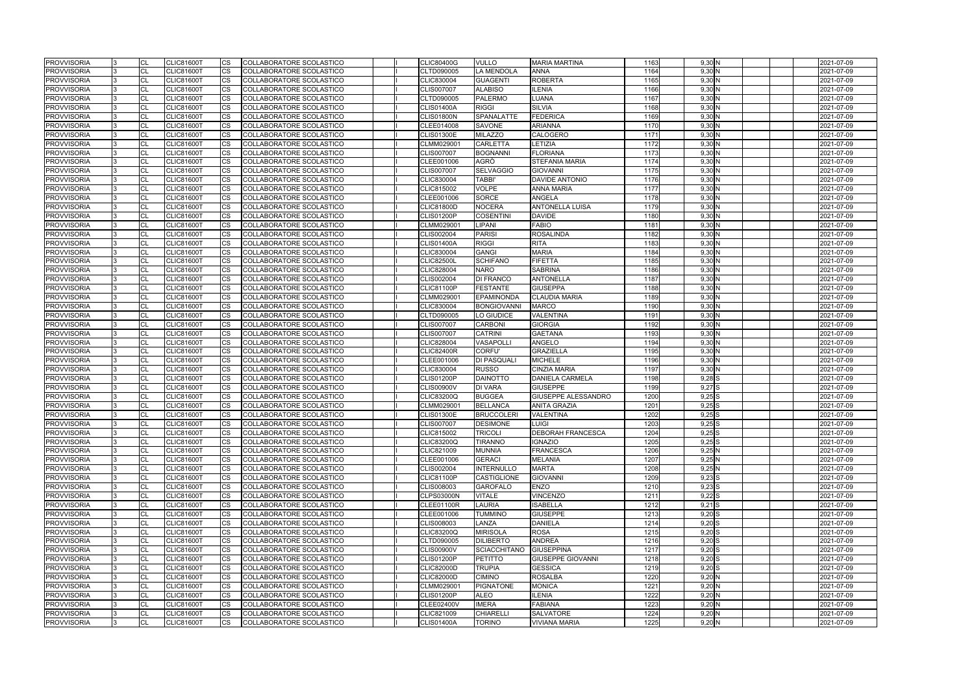| <b>PROVVISORIA</b> | CL        | <b>CLIC81600T</b> | CS                     | COLLABORATORE SCOLASTICO        |  | <b>CLIC80400G</b> | <b>VULLO</b>        | <b>MARIA MARTINA</b>     | 1163 | 9,30 N   |  | 2021-07-09 |
|--------------------|-----------|-------------------|------------------------|---------------------------------|--|-------------------|---------------------|--------------------------|------|----------|--|------------|
| <b>PROVVISORIA</b> | CL        | <b>CLIC81600T</b> | <b>CS</b>              | <b>COLLABORATORE SCOLASTICO</b> |  | CLTD090005        | <b>LA MENDOLA</b>   | <b>ANNA</b>              | 1164 | 9,30 N   |  | 2021-07-09 |
| <b>PROVVISORIA</b> | <b>CL</b> | <b>CLIC81600T</b> | <b>CS</b>              | COLLABORATORE SCOLASTICO        |  | CLIC830004        | <b>GUAGENTI</b>     | <b>ROBERTA</b>           | 1165 | $9,30$ N |  | 2021-07-09 |
| <b>PROVVISORIA</b> | CL        | <b>CLIC81600T</b> | CS                     | COLLABORATORE SCOLASTICO        |  | <b>CLIS007007</b> | <b>ALABISO</b>      | <b>ILENIA</b>            | 1166 | 9,30 N   |  | 2021-07-09 |
| <b>PROVVISORIA</b> | CL        | CLIC81600T        | CS                     | COLLABORATORE SCOLASTICO        |  | CLTD090005        | <b>PALERMO</b>      | LUANA                    | 1167 | $9,30$ N |  | 2021-07-09 |
| <b>PROVVISORIA</b> | CL        | <b>CLIC81600T</b> | $\overline{\text{cs}}$ | COLLABORATORE SCOLASTICO        |  | <b>CLIS01400A</b> | <b>RIGGI</b>        | <b>SILVIA</b>            | 1168 | $9,30$ N |  | 2021-07-09 |
| <b>PROVVISORIA</b> | CL        | <b>CLIC81600T</b> | <b>CS</b>              | <b>COLLABORATORE SCOLASTICO</b> |  | <b>CLIS01800N</b> | SPANALATTE          | <b>FEDERICA</b>          | 1169 | 9,30 N   |  | 2021-07-09 |
| <b>PROVVISORIA</b> | CL        | <b>CLIC81600T</b> | <b>CS</b>              | COLLABORATORE SCOLASTICO        |  | CLEE014008        | <b>SAVONE</b>       | <b>ARIANNA</b>           | 1170 | 9,30 N   |  | 2021-07-09 |
| <b>PROVVISORIA</b> | CL        | <b>CLIC81600T</b> | $\overline{\text{cs}}$ | COLLABORATORE SCOLASTICO        |  | <b>CLIS01300E</b> | <b>MILAZZO</b>      | CALOGERO                 | 1171 | $9,30$ N |  | 2021-07-09 |
| <b>PROVVISORIA</b> | CL        | <b>CLIC81600T</b> | CS                     | COLLABORATORE SCOLASTICO        |  | CLMM029001        | <b>CARLETTA</b>     | LETIZIA                  | 1172 | 9,30 N   |  | 2021-07-09 |
| <b>PROVVISORIA</b> | CL        | <b>CLIC81600T</b> | <b>CS</b>              | COLLABORATORE SCOLASTICO        |  | <b>CLIS007007</b> | <b>BOGNANNI</b>     | <b>FLORIANA</b>          | 1173 | $9,30$ N |  | 2021-07-09 |
| <b>PROVVISORIA</b> | CL        | <b>CLIC81600T</b> | <b>CS</b>              | COLLABORATORE SCOLASTICO        |  | CLEE001006        | AGRÒ                | <b>STEFANIA MARIA</b>    | 1174 | $9,30$ N |  | 2021-07-09 |
| <b>PROVVISORIA</b> | CL        | <b>CLIC81600T</b> | <b>CS</b>              | COLLABORATORE SCOLASTICO        |  | CLIS007007        | <b>SELVAGGIO</b>    | <b>GIOVANNI</b>          | 1175 | 9,30N    |  | 2021-07-09 |
| <b>PROVVISORIA</b> | <b>CL</b> | <b>CLIC81600T</b> | <b>CS</b>              | COLLABORATORE SCOLASTICO        |  | CLIC830004        | <b>TABBI</b>        | <b>DAVIDE ANTONIO</b>    | 1176 | 9,30 N   |  | 2021-07-09 |
| <b>PROVVISORIA</b> | CL        | <b>CLIC81600T</b> | <b>CS</b>              | COLLABORATORE SCOLASTICO        |  | CLIC815002        | <b>VOLPE</b>        | <b>ANNA MARIA</b>        | 1177 | $9,30$ N |  | 2021-07-09 |
| <b>PROVVISORIA</b> | CL        | <b>CLIC81600T</b> | <b>CS</b>              | COLLABORATORE SCOLASTICO        |  | CLEE001006        | <b>SORCE</b>        | <b>ANGELA</b>            | 1178 | 9,30 N   |  | 2021-07-09 |
| <b>PROVVISORIA</b> | CL        | <b>CLIC81600T</b> | CS                     | COLLABORATORE SCOLASTICO        |  | <b>CLIC81800D</b> | <b>NOCERA</b>       | <b>ANTONELLA LUISA</b>   | 1179 | $9,30$ N |  | 2021-07-09 |
| <b>PROVVISORIA</b> | CL        | <b>CLIC81600T</b> | <b>CS</b>              | COLLABORATORE SCOLASTICO        |  | <b>CLIS01200P</b> | <b>COSENTINI</b>    | <b>DAVIDE</b>            | 1180 | 9,30 N   |  | 2021-07-09 |
| <b>PROVVISORIA</b> | CL        | <b>CLIC81600T</b> | <b>CS</b>              | COLLABORATORE SCOLASTICO        |  | CLMM029001        | <b>LIPANI</b>       | <b>FABIO</b>             | 1181 | 9,30 N   |  | 2021-07-09 |
| <b>PROVVISORIA</b> | CL        | <b>CLIC81600T</b> | $\overline{\text{cs}}$ | COLLABORATORE SCOLASTICO        |  | <b>CLIS002004</b> | <b>PARISI</b>       | <b>ROSALINDA</b>         | 1182 | 9,30 N   |  | 2021-07-09 |
| <b>PROVVISORIA</b> | CL        | <b>CLIC81600T</b> | <b>CS</b>              | COLLABORATORE SCOLASTICO        |  | <b>CLIS01400A</b> | <b>RIGGI</b>        | <b>RITA</b>              | 1183 | $9,30$ N |  | 2021-07-09 |
| <b>PROVVISORIA</b> | CL        | <b>CLIC81600T</b> | $\overline{\text{cs}}$ | COLLABORATORE SCOLASTICO        |  | CLIC830004        | <b>GANGI</b>        | <b>MARIA</b>             | 1184 | 9,30 N   |  | 2021-07-09 |
| <b>PROVVISORIA</b> | CL        | <b>CLIC81600T</b> | CS                     | COLLABORATORE SCOLASTICO        |  | <b>CLIC82500L</b> | <b>SCHIFANO</b>     | <b>FIFETTA</b>           | 1185 | $9,30$ N |  | 2021-07-09 |
| <b>PROVVISORIA</b> | CL        | <b>CLIC81600T</b> | CS                     | COLLABORATORE SCOLASTICO        |  | CLIC828004        | <b>NARO</b>         | <b>SABRINA</b>           | 1186 | 9,30 N   |  | 2021-07-09 |
| <b>PROVVISORIA</b> | <b>CL</b> | <b>CLIC81600T</b> | <b>CS</b>              | COLLABORATORE SCOLASTICO        |  | CLIS002004        | <b>DI FRANCO</b>    | <b>ANTONELLA</b>         | 1187 | 9,30 N   |  | 2021-07-09 |
| <b>PROVVISORIA</b> | <b>CL</b> | <b>CLIC81600T</b> | <b>CS</b>              | COLLABORATORE SCOLASTICO        |  | <b>CLIC81100P</b> | <b>FESTANTE</b>     | <b>GIUSEPPA</b>          | 1188 | $9,30$ N |  | 2021-07-09 |
| <b>PROVVISORIA</b> | CL        | <b>CLIC81600T</b> | <b>CS</b>              | COLLABORATORE SCOLASTICO        |  | CLMM029001        | <b>EPAMINONDA</b>   | <b>CLAUDIA MARIA</b>     | 1189 | $9,30$ N |  | 2021-07-09 |
| <b>PROVVISORIA</b> | CL        | <b>CLIC81600T</b> | $\overline{\text{cs}}$ | COLLABORATORE SCOLASTICO        |  | CLIC830004        | <b>BONGIOVANN</b>   | <b>MARCO</b>             | 1190 | $9,30$ N |  | 2021-07-09 |
| <b>PROVVISORIA</b> | CL        | <b>CLIC81600T</b> | <b>CS</b>              | COLLABORATORE SCOLASTICO        |  | CLTD090005        | LO GIUDICE          | <b>VALENTINA</b>         | 1191 | 9,30 N   |  | 2021-07-09 |
| <b>PROVVISORIA</b> | CL        | <b>CLIC81600T</b> | CS                     | COLLABORATORE SCOLASTICO        |  | <b>CLIS007007</b> | <b>CARBONI</b>      | <b>GIORGIA</b>           | 1192 | $9,30$ N |  | 2021-07-09 |
| <b>PROVVISORIA</b> | <b>CL</b> | <b>CLIC81600T</b> | $\overline{\text{cs}}$ | COLLABORATORE SCOLASTICO        |  | <b>CLIS007007</b> | <b>CATRINI</b>      | <b>GAETANA</b>           | 1193 | $9,30$ N |  | 2021-07-09 |
| <b>PROVVISORIA</b> | CL        | <b>CLIC81600T</b> | CS                     | COLLABORATORE SCOLASTICO        |  | CLIC828004        | <b>VASAPOLLI</b>    | ANGELO                   | 1194 | 9,30 N   |  | 2021-07-09 |
| <b>PROVVISORIA</b> | CL        | <b>CLIC81600T</b> | <b>CS</b>              | COLLABORATORE SCOLASTICO        |  | <b>CLIC82400R</b> | <b>CORFU'</b>       | <b>GRAZIELLA</b>         | 1195 | 9,30 N   |  | 2021-07-09 |
| <b>PROVVISORIA</b> | CL        | <b>CLIC81600T</b> | <b>CS</b>              | COLLABORATORE SCOLASTICO        |  | CLEE001006        | <b>DI PASQUALI</b>  | <b>MICHELE</b>           | 1196 | $9,30$ N |  | 2021-07-09 |
| <b>PROVVISORIA</b> | CL        | <b>CLIC81600T</b> | CS                     | COLLABORATORE SCOLASTICO        |  | CLIC830004        | <b>RUSSO</b>        | <b>CINZIA MARIA</b>      | 1197 | 9,30 N   |  | 2021-07-09 |
| <b>PROVVISORIA</b> | CL        | <b>CLIC81600T</b> | CS                     | COLLABORATORE SCOLASTICO        |  | <b>CLIS01200P</b> | <b>DAINOTTO</b>     | <b>DANIELA CARMELA</b>   | 1198 | $9,28$ S |  | 2021-07-09 |
| <b>PROVVISORIA</b> | CL        | <b>CLIC81600T</b> | <b>CS</b>              | COLLABORATORE SCOLASTICO        |  | <b>CLIS00900V</b> | <b>DI VARA</b>      | <b>GIUSEPPE</b>          | 1199 | 9,27S    |  | 2021-07-09 |
| <b>PROVVISORIA</b> | CL        | <b>CLIC81600T</b> | <b>CS</b>              | COLLABORATORE SCOLASTICO        |  | <b>CLIC83200Q</b> | <b>BUGGEA</b>       | GIUSEPPE ALESSANDRO      | 1200 | $9,25$ S |  | 2021-07-09 |
| <b>PROVVISORIA</b> | CL        | <b>CLIC81600T</b> | <b>CS</b>              | <b>COLLABORATORE SCOLASTICO</b> |  | CLMM029001        | <b>BELLANCA</b>     | <b>ANITA GRAZIA</b>      | 1201 | $9,25$ S |  | 2021-07-09 |
| <b>PROVVISORIA</b> | CL        | <b>CLIC81600T</b> | <b>CS</b>              | COLLABORATORE SCOLASTICO        |  | <b>CLIS01300E</b> | <b>BRUCCOLERI</b>   | <b>VALENTINA</b>         | 1202 | $9,25$ S |  | 2021-07-09 |
| <b>PROVVISORIA</b> | <b>CL</b> | <b>CLIC81600T</b> | CS.                    | COLLABORATORE SCOLASTICO        |  | <b>CLIS007007</b> | <b>DESIMONE</b>     | <b>LUIGI</b>             | 1203 | $9,25$ S |  | 2021-07-09 |
| <b>PROVVISORIA</b> | <b>CL</b> | <b>CLIC81600T</b> | <b>CS</b>              | COLLABORATORE SCOLASTICO        |  | CLIC815002        | <b>TRICOLI</b>      | <b>DEBORAH FRANCESCA</b> | 1204 | $9,25$ S |  | 2021-07-09 |
| <b>PROVVISORIA</b> | <b>CL</b> | <b>CLIC81600T</b> | <b>CS</b>              | COLLABORATORE SCOLASTICO        |  | <b>CLIC83200Q</b> | TIRANNO             | IGNAZIO                  | 1205 | $9,25$ S |  | 2021-07-09 |
| <b>PROVVISORIA</b> | CL        | <b>CLIC81600T</b> | CS                     | COLLABORATORE SCOLASTICO        |  | CLIC821009        | <b>MUNNIA</b>       | <b>FRANCESCA</b>         | 1206 | $9,25$ N |  | 2021-07-09 |
| <b>PROVVISORIA</b> | CL        | <b>CLIC81600T</b> | CS                     | COLLABORATORE SCOLASTICO        |  | CLEE001006        | <b>GERACI</b>       | <b>MELANIA</b>           | 1207 | 9,25N    |  | 2021-07-09 |
| <b>PROVVISORIA</b> | CL        | <b>CLIC81600T</b> | <b>CS</b>              | COLLABORATORE SCOLASTICO        |  | CLIS002004        | <b>INTERNULLO</b>   | <b>MARTA</b>             | 1208 | 9,25N    |  | 2021-07-09 |
| <b>PROVVISORIA</b> | <b>CL</b> | <b>CLIC81600T</b> | CS                     | COLLABORATORE SCOLASTICO        |  | <b>CLIC81100P</b> | <b>CASTIGLIONE</b>  | <b>GIOVANNI</b>          | 1209 | $9,23$ S |  | 2021-07-09 |
| <b>PROVVISORIA</b> | CL        | <b>CLIC81600T</b> | <b>CS</b>              | COLLABORATORE SCOLASTICO        |  | CLIS008003        | <b>GAROFALO</b>     | <b>ENZO</b>              | 1210 | $9,23$ S |  | 2021-07-09 |
| <b>PROVVISORIA</b> | <b>CL</b> | <b>CLIC81600T</b> | CS                     | COLLABORATORE SCOLASTICO        |  | <b>CLPS03000N</b> | <b>VITALE</b>       | <b>VINCENZO</b>          | 1211 | 9,22S    |  | 2021-07-09 |
| <b>PROVVISORIA</b> | <b>CL</b> | <b>CLIC81600T</b> | CS                     | COLLABORATORE SCOLASTICO        |  | <b>CLEE01100R</b> | LAURIA              | <b>ISABELLA</b>          | 1212 | $9,21$ S |  | 2021-07-09 |
| <b>PROVVISORIA</b> | <b>CL</b> | <b>CLIC81600T</b> | <b>CS</b>              | COLLABORATORE SCOLASTICO        |  | CLEE001006        | <b>TUMMINO</b>      | <b>GIUSEPPE</b>          | 1213 | $9,20$ S |  | 2021-07-09 |
| <b>PROVVISORIA</b> | <b>CL</b> | <b>CLIC81600T</b> | <b>CS</b>              | COLLABORATORE SCOLASTICO        |  | CLIS008003        | LANZA               | <b>DANIELA</b>           | 1214 | $9,20$ S |  | 2021-07-09 |
| <b>PROVVISORIA</b> | <b>CL</b> | <b>CLIC81600T</b> | CS                     | COLLABORATORE SCOLASTICO        |  | <b>CLIC83200Q</b> | <b>MIRISOLA</b>     | <b>ROSA</b>              | 1215 | $9,20$ S |  | 2021-07-09 |
| <b>PROVVISORIA</b> | CL        | <b>CLIC81600T</b> | <b>CS</b>              | COLLABORATORE SCOLASTICO        |  | CLTD090005        | <b>DILIBERTO</b>    | <b>ANDREA</b>            | 1216 | $9,20$ S |  | 2021-07-09 |
| <b>PROVVISORIA</b> | <b>CL</b> | <b>CLIC81600T</b> | <b>CS</b>              | COLLABORATORE SCOLASTICO        |  | <b>CLIS00900V</b> | <b>SCIACCHITANO</b> | <b>GIUSEPPINA</b>        | 1217 | $9,20$ S |  | 2021-07-09 |
| <b>PROVVISORIA</b> | CL        | <b>CLIC81600T</b> | CS                     | COLLABORATORE SCOLASTICO        |  | <b>CLIS01200P</b> | PETITTO             | <b>GIUSEPPE GIOVANNI</b> | 1218 | $9,20$ S |  | 2021-07-09 |
| <b>PROVVISORIA</b> | CL        | <b>CLIC81600T</b> | <b>CS</b>              | COLLABORATORE SCOLASTICO        |  | <b>CLIC82000D</b> | <b>TRUPIA</b>       | <b>GESSICA</b>           | 1219 | $9,20$ S |  | 2021-07-09 |
| <b>PROVVISORIA</b> | <b>CL</b> | <b>CLIC81600T</b> | CS.                    | COLLABORATORE SCOLASTICO        |  | <b>CLIC82000D</b> | <b>CIMINO</b>       | <b>ROSALBA</b>           | 1220 | $9,20$ N |  | 2021-07-09 |
| <b>PROVVISORIA</b> | <b>CL</b> | <b>CLIC81600T</b> | CS                     | COLLABORATORE SCOLASTICO        |  | CLMM029001        | <b>PIGNATONE</b>    | <b>MONICA</b>            | 1221 | $9,20$ N |  | 2021-07-09 |
| <b>PROVVISORIA</b> | CL        | <b>CLIC81600T</b> | CS                     | COLLABORATORE SCOLASTICO        |  | <b>CLIS01200P</b> | <b>ALEO</b>         | <b>ILENIA</b>            | 1222 | $9,20$ N |  | 2021-07-09 |
| <b>PROVVISORIA</b> | <b>CL</b> | <b>CLIC81600T</b> | <b>CS</b>              | COLLABORATORE SCOLASTICO        |  | <b>CLEE02400V</b> | <b>IMERA</b>        | FABIANA                  | 1223 | $9,20$ N |  | 2021-07-09 |
| <b>PROVVISORIA</b> | <b>CL</b> | <b>CLIC81600T</b> | CS                     | COLLABORATORE SCOLASTICO        |  | CLIC821009        | <b>CHIARELLI</b>    | SALVATORE                | 1224 | $9,20$ N |  | 2021-07-09 |
| <b>PROVVISORIA</b> | <b>CL</b> | <b>CLIC81600T</b> | CS.                    | COLLABORATORE SCOLASTICO        |  | <b>CLIS01400A</b> | <b>TORINO</b>       | <b>VIVIANA MARIA</b>     | 1225 | $9,20$ N |  |            |
|                    |           |                   |                        |                                 |  |                   |                     |                          |      |          |  | 2021-07-09 |

|  |  | 2021-07-09               |
|--|--|--------------------------|
|  |  | 2021-07-09               |
|  |  | 2021-07-09               |
|  |  | 2021-07-09               |
|  |  | 2021-07-09               |
|  |  | 2021-07-09               |
|  |  | 2021-07-09               |
|  |  | 2021-07-09               |
|  |  | 2021-07-09               |
|  |  | 2021-07-09               |
|  |  | 2021-07-09               |
|  |  | 2021-07-09               |
|  |  | 2021-07-09               |
|  |  | 2021-07-09               |
|  |  | 2021-07-09               |
|  |  | 2021-07-09               |
|  |  | 2021-07-09               |
|  |  | 2021-07-09               |
|  |  | 2021-07-09               |
|  |  | 2021-07-09               |
|  |  | 2021-07-09               |
|  |  | 2021-07-09               |
|  |  | 2021-07-09               |
|  |  | 2021-07-09               |
|  |  | 2021-07-09               |
|  |  | 2021-07-09               |
|  |  | 2021-07-09<br>2021-07-09 |
|  |  | 2021-07-09               |
|  |  | 2021-07-09               |
|  |  | 2021-07-09               |
|  |  | 2021-07-09               |
|  |  | 2021-07-09               |
|  |  | 2021-07-09               |
|  |  | 2021-07-09               |
|  |  | 2021-07-09               |
|  |  | 2021-07-09               |
|  |  | 2021-07-09               |
|  |  | 2021-07-09               |
|  |  | 2021-07-09               |
|  |  | 2021-07-09               |
|  |  | 2021-07-09               |
|  |  | 2021-07-09               |
|  |  | 2021-07-09               |
|  |  | 2021-07-09               |
|  |  | 2021-07-09               |
|  |  | 2021-07-09               |
|  |  | 2021-07-09               |
|  |  | 2021-07-09               |
|  |  | 2021-07-09               |
|  |  | 2021-07-09               |
|  |  | 2021-07-09               |
|  |  | 2021-07-09               |
|  |  | 2021-07-09               |
|  |  | 2021-07-09               |
|  |  | 2021-07-09               |
|  |  | 2021-07-09               |
|  |  | 2021-07-09<br>2021-07-09 |
|  |  | 2021-07-09               |
|  |  | 2021-07-09               |
|  |  | 2021-07-09               |
|  |  | 2021-07-09               |
|  |  |                          |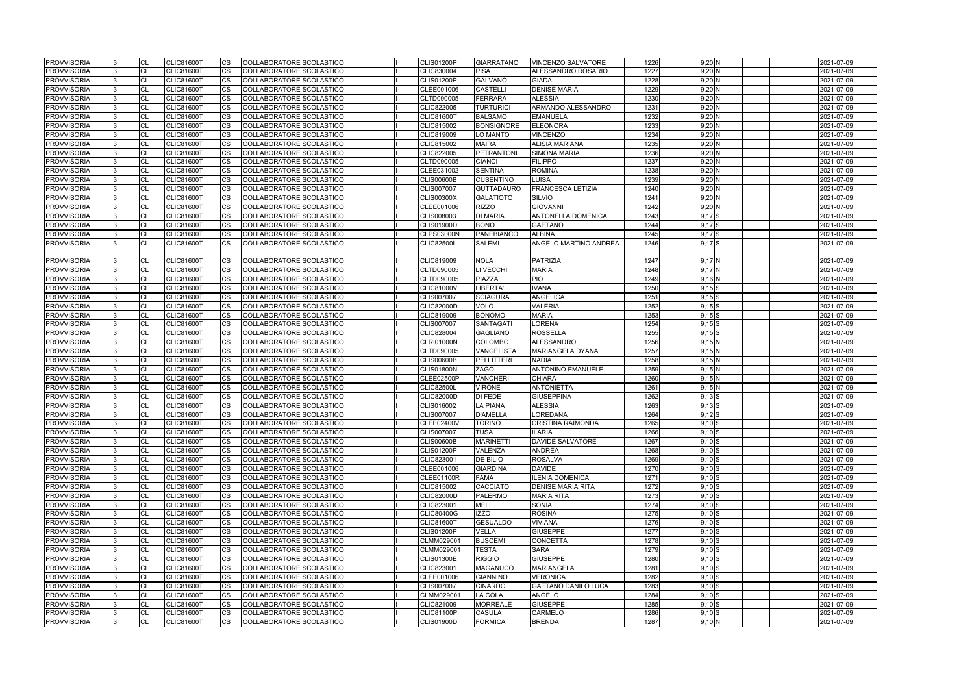| <b>PROVVISORIA</b> |              | <b>CL</b> | <b>CLIC81600T</b> | ICS.       | COLLABORATORE SCOLASTICO |  | CLIS01200P        | <b>GIARRATANO</b> | <b>VINCENZO SALVATORE</b>  | 1226 | 9,20N      | 2021-07-09 |
|--------------------|--------------|-----------|-------------------|------------|--------------------------|--|-------------------|-------------------|----------------------------|------|------------|------------|
| <b>PROVVISORIA</b> |              | <b>CL</b> | <b>CLIC81600T</b> | <b>ICS</b> | COLLABORATORE SCOLASTICO |  | CLIC830004        | <b>PISA</b>       | ALESSANDRO ROSARIO         | 1227 | $9,20$ N   | 2021-07-09 |
| <b>PROVVISORIA</b> |              | CL        | <b>CLIC81600T</b> | <b>CS</b>  | COLLABORATORE SCOLASTICO |  | <b>CLIS01200P</b> | <b>GALVANO</b>    | GIADA                      | 1228 | $9,20$ N   | 2021-07-09 |
| <b>PROVVISORIA</b> |              | CL        | <b>CLIC81600T</b> | <b>CS</b>  | COLLABORATORE SCOLASTICO |  | CLEE001006        | <b>CASTELLI</b>   | <b>DENISE MARIA</b>        | 1229 | $9,20$ N   | 2021-07-09 |
| <b>PROVVISORIA</b> |              | <b>CL</b> | <b>CLIC81600T</b> | <b>CS</b>  | COLLABORATORE SCOLASTICO |  | CLTD090005        | <b>FERRARA</b>    | ALESSIA                    | 1230 | $9,20$ N   | 2021-07-09 |
| <b>PROVVISORIA</b> |              | <b>CL</b> | <b>CLIC81600T</b> | <b>CS</b>  | COLLABORATORE SCOLASTICO |  | CLIC822005        | TURTURICI         | ARMANDO ALESSANDRO         | 1231 | $9,20$ N   | 2021-07-09 |
| <b>PROVVISORIA</b> |              | <b>CL</b> | <b>CLIC81600T</b> | <b>CS</b>  | COLLABORATORE SCOLASTICO |  | <b>CLIC81600T</b> | <b>BALSAMO</b>    | <b>EMANUELA</b>            | 1232 | $9,20$ N   | 2021-07-09 |
| <b>PROVVISORIA</b> |              | <b>CL</b> | <b>CLIC81600T</b> | <b>ICS</b> | COLLABORATORE SCOLASTICO |  | CLIC815002        | <b>BONSIGNORE</b> | <b>ELEONORA</b>            | 1233 | $9,20$ N   | 2021-07-09 |
| <b>PROVVISORIA</b> |              | <b>CL</b> | <b>CLIC81600T</b> | <b>CS</b>  | COLLABORATORE SCOLASTICO |  | CLIC819009        | LO MANTO          | <b>VINCENZO</b>            | 1234 | $9,20$ N   | 2021-07-09 |
| <b>PROVVISORIA</b> |              | CL        | <b>CLIC81600T</b> | <b>CS</b>  | COLLABORATORE SCOLASTICO |  | CLIC815002        | <b>MAIRA</b>      | <b>ALISIA MARIANA</b>      | 1235 | $9,20$ N   | 2021-07-09 |
| <b>PROVVISORIA</b> |              | <b>CL</b> | <b>CLIC81600T</b> | <b>CS</b>  | COLLABORATORE SCOLASTICO |  | CLIC822005        | <b>PETRANTONI</b> | SIMONA MARIA               | 1236 | $9,20$ N   | 2021-07-09 |
| <b>PROVVISORIA</b> |              | <b>CL</b> | <b>CLIC81600T</b> | <b>CS</b>  | COLLABORATORE SCOLASTICO |  | CLTD090005        | <b>CIANCI</b>     | <b>FILIPPO</b>             | 1237 | $9,20$ N   | 2021-07-09 |
| <b>PROVVISORIA</b> |              | CL        | <b>CLIC81600T</b> | <b>ICS</b> | COLLABORATORE SCOLASTICO |  | CLEE031002        | <b>SENTINA</b>    | <b>ROMINA</b>              | 1238 | $9,20$ N   | 2021-07-09 |
| <b>PROVVISORIA</b> |              | <b>CL</b> | <b>CLIC81600T</b> | <b>ICS</b> | COLLABORATORE SCOLASTICO |  | <b>CLIS00600B</b> | <b>CUSENTINO</b>  | LUISA                      | 1239 | $9,20$ N   | 2021-07-09 |
| <b>PROVVISORIA</b> |              | <b>CL</b> | <b>CLIC81600T</b> | <b>ICS</b> | COLLABORATORE SCOLASTICO |  | <b>CLIS007007</b> | <b>GUTTADAURO</b> | <b>FRANCESCA LETIZIA</b>   | 1240 | $9,20$ N   | 2021-07-09 |
| <b>PROVVISORIA</b> |              | CL        | <b>CLIC81600T</b> | <b>CS</b>  | COLLABORATORE SCOLASTICO |  | <b>CLIS00300X</b> | <b>GALATIOTO</b>  | SILVIO                     | 1241 | 9,20 N     | 2021-07-09 |
| <b>PROVVISORIA</b> |              | <b>CL</b> | <b>CLIC81600T</b> | <b>CS</b>  | COLLABORATORE SCOLASTICO |  | CLEE001006        | <b>RIZZO</b>      | GIOVANNI                   | 1242 | $9,20$ N   | 2021-07-09 |
| <b>PROVVISORIA</b> |              | <b>CL</b> | <b>CLIC81600T</b> | <b>ICS</b> | COLLABORATORE SCOLASTICO |  | CLIS008003        | <b>DI MARIA</b>   | ANTONELLA DOMENICA         | 1243 | 9,17S      | 2021-07-09 |
| <b>PROVVISORIA</b> |              | <b>CL</b> | <b>CLIC81600T</b> | <b>CS</b>  | COLLABORATORE SCOLASTICO |  | <b>CLIS01900D</b> | <b>BONO</b>       | <b>GAETANO</b>             | 1244 | 9,17S      | 2021-07-09 |
| <b>PROVVISORIA</b> |              | <b>CL</b> | CLIC81600T        | <b>ICS</b> | COLLABORATORE SCOLASTICO |  | <b>CLPS03000N</b> | PANEBIANCO        | <b>ALBINA</b>              | 1245 | 9,17S      | 2021-07-09 |
| <b>PROVVISORIA</b> | l 3          | <b>CL</b> | <b>CLIC81600T</b> | <b>ICS</b> | COLLABORATORE SCOLASTICO |  | <b>CLIC82500L</b> | <b>SALEMI</b>     | ANGELO MARTINO ANDREA      | 1246 | $9.17$ S   | 2021-07-09 |
|                    |              |           |                   |            |                          |  |                   |                   |                            |      |            |            |
| <b>PROVVISORIA</b> |              | <b>CL</b> | <b>CLIC81600T</b> | <b>CS</b>  | COLLABORATORE SCOLASTICO |  | CLIC819009        | <b>NOLA</b>       | <b>PATRIZIA</b>            | 1247 | 9,17 N     | 2021-07-09 |
| <b>PROVVISORIA</b> |              | CL        | <b>CLIC81600T</b> | <b>CS</b>  | COLLABORATORE SCOLASTICO |  | CLTD090005        | LI VECCHI         | Maria                      | 1248 | 9,17N      | 2021-07-09 |
| <b>PROVVISORIA</b> |              | <b>CL</b> | <b>CLIC81600T</b> | <b>CS</b>  | COLLABORATORE SCOLASTICO |  | CLTD090005        | PIAZZA            | <b>PIO</b>                 | 1249 | $9,16$ N   | 2021-07-09 |
| <b>PROVVISORIA</b> |              | <b>CL</b> | <b>CLIC81600T</b> | <b>CS</b>  | COLLABORATORE SCOLASTICO |  | <b>CLIC81000V</b> | LIBERTA'          | <b>IVANA</b>               | 1250 | $9,15$ S   | 2021-07-09 |
| <b>PROVVISORIA</b> |              | <b>CL</b> | <b>CLIC81600T</b> | <b>ICS</b> | COLLABORATORE SCOLASTICO |  | CLIS007007        | <b>SCIAGURA</b>   | <b>ANGELICA</b>            | 1251 | $9,15$ S   | 2021-07-09 |
| <b>PROVVISORIA</b> |              | CL        | <b>CLIC81600T</b> | <b>CS</b>  | COLLABORATORE SCOLASTICO |  | <b>CLIC82000D</b> | <b>VOLO</b>       | <b>VALERIA</b>             | 1252 | $9,15$ $S$ | 2021-07-09 |
| <b>PROVVISORIA</b> |              | <b>CL</b> | <b>CLIC81600T</b> | <b>CS</b>  | COLLABORATORE SCOLASTICO |  | CLIC819009        | <b>BONOMO</b>     | <b>MARIA</b>               | 1253 | $9,15$ S   | 2021-07-09 |
| <b>PROVVISORIA</b> |              | CL        | <b>CLIC81600T</b> | <b>CS</b>  | COLLABORATORE SCOLASTICO |  | CLIS007007        | <b>SANTAGATI</b>  | LORENA                     | 1254 | $9,15$ S   | 2021-07-09 |
| <b>PROVVISORIA</b> |              | <b>CL</b> | <b>CLIC81600T</b> | <b>CS</b>  | COLLABORATORE SCOLASTICO |  | CLIC828004        | <b>GAGLIANO</b>   | <b>ROSSELLA</b>            | 1255 | $9,15$ S   | 2021-07-09 |
| <b>PROVVISORIA</b> |              | <b>CL</b> | <b>CLIC81600T</b> | <b>CS</b>  | COLLABORATORE SCOLASTICO |  | <b>CLRI01000N</b> | <b>COLOMBO</b>    | <b>ALESSANDRO</b>          | 1256 | $9,15$ N   | 2021-07-09 |
| <b>PROVVISORIA</b> |              | <b>CL</b> | <b>CLIC81600T</b> | <b>ICS</b> | COLLABORATORE SCOLASTICO |  | CLTD090005        | VANGELISTA        | <b>MARIANGELA DYANA</b>    | 1257 | $9,15$ N   | 2021-07-09 |
| <b>PROVVISORIA</b> |              | CL        | <b>CLIC81600T</b> | <b>CS</b>  | COLLABORATORE SCOLASTICO |  | <b>CLIS00600B</b> | <b>PELLITTERI</b> | NADIA                      | 1258 | 9,15N      | 2021-07-09 |
| <b>PROVVISORIA</b> |              | <b>CL</b> | <b>CLIC81600T</b> | <b>CS</b>  | COLLABORATORE SCOLASTICO |  | <b>CLIS01800N</b> | ZAGO              | <b>ANTONINO EMANUELE</b>   | 1259 | $9,15$ N   | 2021-07-09 |
| <b>PROVVISORIA</b> |              | CL        | <b>CLIC81600T</b> | <b>CS</b>  | COLLABORATORE SCOLASTICO |  | <b>CLEE02500P</b> | <b>VANCHERI</b>   | CHIARA                     | 1260 | $9,15$ N   | 2021-07-09 |
| <b>PROVVISORIA</b> |              | <b>CL</b> | <b>CLIC81600T</b> | <b>CS</b>  | COLLABORATORE SCOLASTICO |  | <b>CLIC82500L</b> | <b>VIRONE</b>     | <b>ANTONIETTA</b>          | 1261 | 9,15N      | 2021-07-09 |
| <b>PROVVISORIA</b> |              | <b>CL</b> | <b>CLIC81600T</b> | <b>ICS</b> | COLLABORATORE SCOLASTICO |  | <b>CLIC82000D</b> | <b>DI FEDE</b>    | <b>GIUSEPPINA</b>          | 1262 | $9,13$ S   | 2021-07-09 |
| <b>PROVVISORIA</b> |              | <b>CL</b> | <b>CLIC81600T</b> | <b>ICS</b> | COLLABORATORE SCOLASTICO |  | CLIS016002        | <b>LA PIANA</b>   | <b>ALESSIA</b>             | 1263 | $9,13$ S   | 2021-07-09 |
| <b>PROVVISORIA</b> | l 3          | <b>CL</b> | <b>CLIC81600T</b> | <b>ICS</b> | COLLABORATORE SCOLASTICO |  | CLIS007007        | <b>D'AMELLA</b>   | LOREDANA                   | 1264 | $9,12$ S   | 2021-07-09 |
| <b>PROVVISORIA</b> | <sup>3</sup> | <b>CL</b> | <b>CLIC81600T</b> | <b>CS</b>  | COLLABORATORE SCOLASTICO |  | <b>CLEE02400V</b> | <b>TORINO</b>     | <b>CRISTINA RAIMONDA</b>   | 1265 | $9.10$ S   | 2021-07-09 |
| <b>PROVVISORIA</b> |              | <b>CL</b> | <b>CLIC81600T</b> | <b>CS</b>  | COLLABORATORE SCOLASTICO |  | <b>CLIS007007</b> | <b>TUSA</b>       | <b>ILARIA</b>              | 1266 | $9,10$ S   | 2021-07-09 |
| <b>PROVVISORIA</b> |              | CL        | <b>CLIC81600T</b> | <b>CS</b>  | COLLABORATORE SCOLASTICO |  | <b>CLIS00600B</b> | <b>MARINETTI</b>  | <b>DAVIDE SALVATORE</b>    | 1267 | 9,10S      | 2021-07-09 |
| <b>PROVVISORIA</b> |              | <b>CL</b> | <b>CLIC81600T</b> | <b>ICS</b> | COLLABORATORE SCOLASTICO |  | <b>CLIS01200P</b> | <b>VALENZA</b>    | <b>ANDREA</b>              | 1268 | $9,10$ S   | 2021-07-09 |
| <b>PROVVISORIA</b> |              | <b>CL</b> | <b>CLIC81600T</b> | <b>CS</b>  | COLLABORATORE SCOLASTICO |  | CLIC823001        | <b>DE BILIO</b>   | <b>ROSALVA</b>             | 1269 | $9,10$ S   | 2021-07-09 |
| <b>PROVVISORIA</b> |              | CL        | <b>CLIC81600T</b> | <b>CS</b>  | COLLABORATORE SCOLASTICO |  | CLEE001006        | <b>GIARDINA</b>   | <b>DAVIDE</b>              | 1270 | $9,10$ S   | 2021-07-09 |
| <b>PROVVISORIA</b> |              | <b>CL</b> | <b>CLIC81600T</b> | <b>CS</b>  | COLLABORATORE SCOLASTICO |  | <b>CLEE01100R</b> | <b>FAMA</b>       | <b>ILENIA DOMENICA</b>     | 1271 | $9,10$ S   | 2021-07-09 |
| <b>PROVVISORIA</b> |              | <b>CL</b> | <b>CLIC81600T</b> | <b>CS</b>  | COLLABORATORE SCOLASTICO |  | CLIC815002        | <b>CACCIATO</b>   | <b>DENISE MARIA RITA</b>   | 1272 | $9,10$ S   | 2021-07-09 |
| <b>PROVVISORIA</b> |              | CL        | <b>CLIC81600T</b> | CS.        | COLLABORATORE SCOLASTICO |  | <b>CLIC82000D</b> | <b>PALERMO</b>    | MARIA RITA                 | 1273 | $9,10$ S   | 2021-07-09 |
| <b>PROVVISORIA</b> |              | <b>CL</b> | CLIC81600T        | <b>CS</b>  | COLLABORATORE SCOLASTICO |  | CLIC823001        | <b>MELI</b>       | <b>SONIA</b>               | 1274 | $9,10$ S   | 2021-07-09 |
| <b>PROVVISORIA</b> |              | CL        | <b>CLIC81600T</b> | <b>CS</b>  | COLLABORATORE SCOLASTICO |  | <b>CLIC80400G</b> | <b>IZZO</b>       | <b>ROSINA</b>              | 1275 | $9,10$ S   | 2021-07-09 |
| <b>PROVVISORIA</b> |              | CL        | <b>CLIC81600T</b> | ICS.       | COLLABORATORE SCOLASTICO |  | <b>CLIC81600T</b> | <b>GESUALDO</b>   | <b>VIVIANA</b>             | 1276 | $9,10$ S   | 2021-07-09 |
| <b>PROVVISORIA</b> |              | CL        | <b>CLIC81600T</b> | <b>ICS</b> | COLLABORATORE SCOLASTICO |  | <b>CLIS01200P</b> | <b>VELLA</b>      | <b>GIUSEPPE</b>            | 1277 | $9,10$ S   | 2021-07-09 |
| <b>PROVVISORIA</b> |              | <b>CL</b> | <b>CLIC81600T</b> | <b>CS</b>  | COLLABORATORE SCOLASTICO |  | CLMM029001        | <b>BUSCEMI</b>    | <b>CONCETTA</b>            | 1278 | $9,10$ S   | 2021-07-09 |
| <b>PROVVISORIA</b> |              | <b>CL</b> | <b>CLIC81600T</b> | ICS.       | COLLABORATORE SCOLASTICO |  | CLMM029001        | <b>TESTA</b>      | <b>SARA</b>                | 1279 | $9,10$ S   | 2021-07-09 |
| <b>PROVVISORIA</b> |              | CL        | <b>CLIC81600T</b> | <b>CS</b>  | COLLABORATORE SCOLASTICO |  | <b>CLIS01300E</b> | <b>RIGGIO</b>     | <b>GIUSEPPE</b>            | 1280 | 9,10S      | 2021-07-09 |
| <b>PROVVISORIA</b> |              | <b>CL</b> | <b>CLIC81600T</b> | <b>CS</b>  | COLLABORATORE SCOLASTICO |  | CLIC823001        | <b>MAGANUCO</b>   | <b>MARIANGELA</b>          | 1281 | $9,10$ S   | 2021-07-09 |
| <b>PROVVISORIA</b> |              | <b>CL</b> | <b>CLIC81600T</b> | ICS.       | COLLABORATORE SCOLASTICO |  | CLEE001006        | <b>GIANNINO</b>   | <b>VERONICA</b>            | 1282 | $9,10$ S   | 2021-07-09 |
| <b>PROVVISORIA</b> |              | <b>CL</b> | <b>CLIC81600T</b> | <b>CS</b>  | COLLABORATORE SCOLASTICO |  | <b>CLIS007007</b> | <b>CINARDO</b>    | <b>GAETANO DANILO LUCA</b> | 1283 | $9,10$ S   | 2021-07-09 |
| <b>PROVVISORIA</b> |              | <b>CL</b> | <b>CLIC81600T</b> | <b>ICS</b> | COLLABORATORE SCOLASTICO |  | CLMM029001        | LA COLA           | ANGELO                     | 1284 | $9,10$ S   | 2021-07-09 |
| <b>PROVVISORIA</b> |              | CL        | <b>CLIC81600T</b> | <b>CS</b>  | COLLABORATORE SCOLASTICO |  | CLIC821009        | <b>MORREALE</b>   | <b>GIUSEPPE</b>            | 1285 | $9,10$ S   | 2021-07-09 |
| <b>PROVVISORIA</b> |              | <b>CL</b> | <b>CLIC81600T</b> | <b>CS</b>  | COLLABORATORE SCOLASTICO |  | <b>CLIC81100P</b> | <b>CASULA</b>     | CARMELO                    | 1286 | 9,10S      | 2021-07-09 |
| <b>PROVVISORIA</b> |              | <b>CL</b> | <b>CLIC81600T</b> | ICS.       | COLLABORATORE SCOLASTICO |  | <b>CLIS01900D</b> | <b>FORMICA</b>    | <b>BRENDA</b>              | 1287 | 9,10 N     | 2021-07-09 |
|                    |              |           |                   |            |                          |  |                   |                   |                            |      |            |            |

|  |  | 2021-07-09 |
|--|--|------------|
|  |  | 2021-07-09 |
|  |  | 2021-07-09 |
|  |  | 2021-07-09 |
|  |  | 2021-07-09 |
|  |  | 2021-07-09 |
|  |  | 2021-07-09 |
|  |  | 2021-07-09 |
|  |  | 2021-07-09 |
|  |  | 2021-07-09 |
|  |  | 2021-07-09 |
|  |  |            |
|  |  | 2021-07-09 |
|  |  | 2021-07-09 |
|  |  | 2021-07-09 |
|  |  | 2021-07-09 |
|  |  | 2021-07-09 |
|  |  | 2021-07-09 |
|  |  | 2021-07-09 |
|  |  | 2021-07-09 |
|  |  | 2021-07-09 |
|  |  | 2021-07-09 |
|  |  |            |
|  |  | 2021-07-09 |
|  |  | 2021-07-09 |
|  |  | 2021-07-09 |
|  |  | 2021-07-09 |
|  |  | 2021-07-09 |
|  |  | 2021-07-09 |
|  |  | 2021-07-09 |
|  |  | 2021-07-09 |
|  |  | 2021-07-09 |
|  |  | 2021-07-09 |
|  |  | 2021-07-09 |
|  |  | 2021-07-09 |
|  |  | 2021-07-09 |
|  |  | 2021-07-09 |
|  |  | 2021-07-09 |
|  |  | 2021-07-09 |
|  |  | 2021-07-09 |
|  |  | 2021-07-09 |
|  |  | 2021-07-09 |
|  |  | 2021-07-09 |
|  |  | 2021-07-09 |
|  |  | 2021-07-09 |
|  |  | 2021-07-09 |
|  |  | 2021-07-09 |
|  |  | 2021-07-09 |
|  |  | 2021-07-09 |
|  |  | 2021-07-09 |
|  |  | 2021-07-09 |
|  |  | 2021-07-09 |
|  |  | 2021-07-09 |
|  |  | 2021-07-09 |
|  |  | 2021-07-09 |
|  |  | 2021-07-09 |
|  |  |            |
|  |  | 2021-07-09 |
|  |  | 2021-07-09 |
|  |  | 2021-07-09 |
|  |  | 2021-07-09 |
|  |  | 2021-07-09 |
|  |  | 2021-07-09 |
|  |  | 2021-07-09 |
|  |  | 2021-07-09 |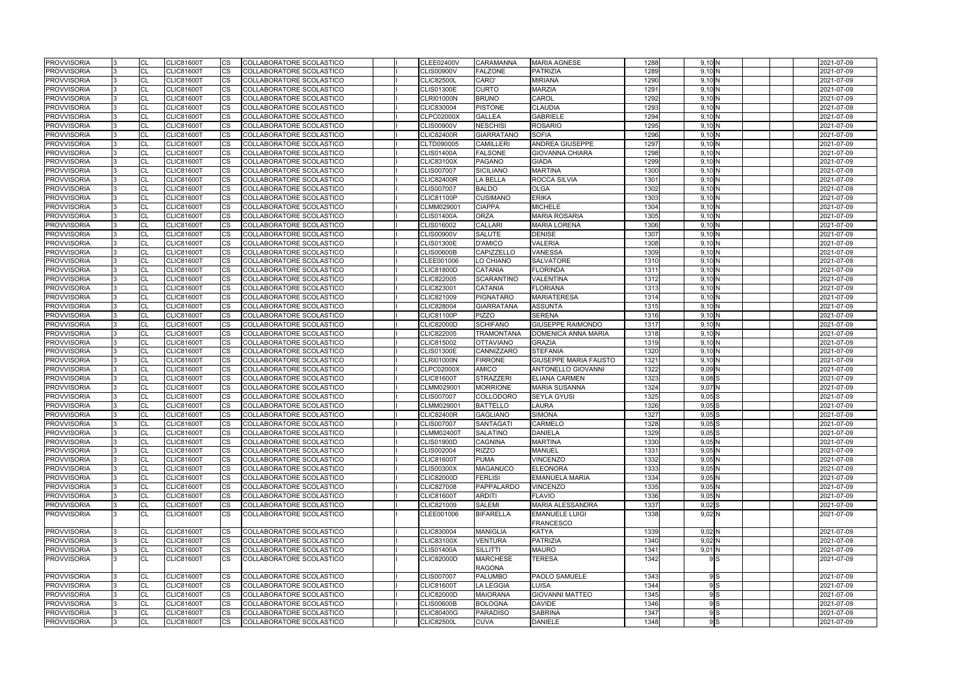| <b>PROVVISORIA</b> | CL        | <b>CLIC81600T</b> | CS.                    | <b>COLLABORATORE SCOLASTICO</b> |  | <b>CLEE02400V</b> | <b>CARAMANNA</b>  | <b>IMARIA AGNESE</b>         | 1288 | 9,10 N            | 2021-07-09 |
|--------------------|-----------|-------------------|------------------------|---------------------------------|--|-------------------|-------------------|------------------------------|------|-------------------|------------|
| <b>PROVVISORIA</b> | CL        | <b>CLIC81600T</b> | <b>CS</b>              | COLLABORATORE SCOLASTICO        |  | <b>CLIS00900V</b> | <b>FALZONE</b>    | <b>PATRIZIA</b>              | 1289 | $9,10$ N          | 2021-07-09 |
| <b>PROVVISORIA</b> | CL        | <b>CLIC81600T</b> | CS                     | COLLABORATORE SCOLASTICO        |  | <b>CLIC82500L</b> | CARO'             | <b>MIRIANA</b>               | 1290 | $9,10$ N          | 2021-07-09 |
| <b>PROVVISORIA</b> | CL        | <b>CLIC81600T</b> | <b>CS</b>              | COLLABORATORE SCOLASTICO        |  | <b>CLIS01300E</b> | <b>CURTO</b>      | <b>MARZIA</b>                | 1291 | $9,10$ N          | 2021-07-09 |
| <b>PROVVISORIA</b> | CL        | <b>CLIC81600T</b> | <b>CS</b>              | COLLABORATORE SCOLASTICO        |  | <b>CLRI01000N</b> | <b>BRUNO</b>      | CAROL                        | 1292 | 9,10 N            | 2021-07-09 |
| <b>PROVVISORIA</b> | CL        | <b>CLIC81600T</b> | <b>CS</b>              | COLLABORATORE SCOLASTICO        |  | CLIC830004        | <b>PISTONE</b>    | <b>CLAUDIA</b>               | 1293 | $9,10$ N          | 2021-07-09 |
| <b>PROVVISORIA</b> | <b>CL</b> | <b>CLIC81600T</b> | <b>CS</b>              | <b>COLLABORATORE SCOLASTICO</b> |  | <b>CLPC02000X</b> | <b>GALLEA</b>     | <b>GABRIELE</b>              | 1294 | 9,10 N            | 2021-07-09 |
| <b>PROVVISORIA</b> | CL        | <b>CLIC81600T</b> | <b>CS</b>              | COLLABORATORE SCOLASTICO        |  | <b>CLIS00900V</b> | <b>NESCHISI</b>   | <b>ROSARIO</b>               | 1295 | $9,10$ N          | 2021-07-09 |
| <b>PROVVISORIA</b> | CL        | <b>CLIC81600T</b> | CS                     | COLLABORATORE SCOLASTICO        |  | <b>CLIC82400R</b> | <b>GIARRATANO</b> | <b>SOFIA</b>                 | 1296 | 9,10N             | 2021-07-09 |
| <b>PROVVISORIA</b> | <b>CL</b> | <b>CLIC81600T</b> | CS                     | COLLABORATORE SCOLASTICO        |  | CLTD090005        | <b>CAMILLERI</b>  | <b>ANDREA GIUSEPPE</b>       | 1297 | 9,10 N            | 2021-07-09 |
| <b>PROVVISORIA</b> | CL        | <b>CLIC81600T</b> | <b>CS</b>              | COLLABORATORE SCOLASTICO        |  | <b>CLIS01400A</b> | <b>FALSONE</b>    | <b>GIOVANNA CHIARA</b>       | 1298 | $9,10$ N          | 2021-07-09 |
| <b>PROVVISORIA</b> | CL        | <b>CLIC81600T</b> | <b>CS</b>              | COLLABORATORE SCOLASTICO        |  | <b>CLIC83100X</b> | <b>PAGANO</b>     | <b>GIADA</b>                 | 1299 | 9,10 N            | 2021-07-09 |
| <b>PROVVISORIA</b> | <b>CL</b> | <b>CLIC81600T</b> | <b>CS</b>              | COLLABORATORE SCOLASTICO        |  | <b>CLIS007007</b> | <b>SICILIANO</b>  | <b>MARTINA</b>               | 1300 | 9,10 N            | 2021-07-09 |
| <b>PROVVISORIA</b> | CL        | <b>CLIC81600T</b> | <b>CS</b>              | COLLABORATORE SCOLASTICO        |  | <b>CLIC82400R</b> | <b>LA BELLA</b>   | <b>ROCCA SILVIA</b>          | 1301 | 9,10 N            | 2021-07-09 |
| <b>PROVVISORIA</b> | CL        | <b>CLIC81600T</b> | <b>CS</b>              | COLLABORATORE SCOLASTICO        |  | <b>CLIS007007</b> | <b>BALDO</b>      | <b>OLGA</b>                  | 1302 | 9,10 N            | 2021-07-09 |
| <b>PROVVISORIA</b> | CL        | <b>CLIC81600T</b> | CS                     | COLLABORATORE SCOLASTICO        |  | <b>CLIC81100P</b> | <b>CUSIMANO</b>   | <b>ERIKA</b>                 | 1303 | 9,10 <sub>N</sub> | 2021-07-09 |
| <b>PROVVISORIA</b> | CL        | CLIC81600T        | CS                     | COLLABORATORE SCOLASTICO        |  | CLMM029001        | <b>CIAPPA</b>     | <b>MICHELE</b>               | 1304 | 9,10 N            | 2021-07-09 |
| <b>PROVVISORIA</b> | <b>CL</b> | <b>CLIC81600T</b> | CS                     | COLLABORATORE SCOLASTICO        |  | <b>CLIS01400A</b> | <b>ORZA</b>       | <b>MARIA ROSARIA</b>         | 1305 | 9,10 N            | 2021-07-09 |
| <b>PROVVISORIA</b> | <b>CL</b> | <b>CLIC81600T</b> | <b>CS</b>              | COLLABORATORE SCOLASTICO        |  | CLIS016002        | <b>CALLARI</b>    | <b>MARIA LORENA</b>          | 1306 | 9,10 N            | 2021-07-09 |
| <b>PROVVISORIA</b> | CL        | <b>CLIC81600T</b> | <b>CS</b>              | COLLABORATORE SCOLASTICO        |  | <b>CLIS00900V</b> | <b>SALUTE</b>     | <b>DENISE</b>                | 1307 | $9,10$ N          | 2021-07-09 |
| <b>PROVVISORIA</b> | CL        | <b>CLIC81600T</b> | $\overline{\text{cs}}$ | COLLABORATORE SCOLASTICO        |  | <b>CLIS01300E</b> | <b>D'AMICO</b>    | <b>VALERIA</b>               | 1308 | 9,10 N            | 2021-07-09 |
| <b>PROVVISORIA</b> | CL        | <b>CLIC81600T</b> | <b>CS</b>              | COLLABORATORE SCOLASTICO        |  | <b>CLIS00600B</b> | <b>CAPIZZELLO</b> | <b>VANESSA</b>               | 1309 | 9,10 N            | 2021-07-09 |
| <b>PROVVISORIA</b> | CL        | <b>CLIC81600T</b> | CS                     | COLLABORATORE SCOLASTICO        |  | CLEE001006        | LO CHIANO         | <b>SALVATORE</b>             | 1310 | 9,10 N            | 2021-07-09 |
| <b>PROVVISORIA</b> | <b>CL</b> | <b>CLIC81600T</b> | <b>CS</b>              | COLLABORATORE SCOLASTICO        |  | <b>CLIC81800D</b> | <b>CATANIA</b>    | <b>FLORINDA</b>              | 1311 | 9,10 N            | 2021-07-09 |
|                    |           |                   | <b>CS</b>              |                                 |  | CLIC822005        | <b>SCARANTINO</b> | <b>VALENTINA</b>             | 1312 | 9,10 N            |            |
| <b>PROVVISORIA</b> | CL        | <b>CLIC81600T</b> |                        | <b>COLLABORATORE SCOLASTICO</b> |  |                   |                   |                              |      |                   | 2021-07-09 |
| <b>PROVVISORIA</b> | CL        | <b>CLIC81600T</b> | <b>CS</b>              | COLLABORATORE SCOLASTICO        |  | CLIC823001        | <b>CATANIA</b>    | <b>FLORIANA</b>              | 1313 | 9,10 N            | 2021-07-09 |
| <b>PROVVISORIA</b> | CL        | <b>CLIC81600T</b> | <b>CS</b>              | COLLABORATORE SCOLASTICO        |  | CLIC821009        | <b>PIGNATARO</b>  | <b>MARIATERESA</b>           | 1314 | 9,10 N            | 2021-07-09 |
| <b>PROVVISORIA</b> | CL        | <b>CLIC81600T</b> | CS                     | COLLABORATORE SCOLASTICO        |  | <b>CLIC828004</b> | <b>GIARRATANA</b> | <b>ASSUNTA</b>               | 1315 | $9,10$ N          | 2021-07-09 |
| <b>PROVVISORIA</b> | CL        | <b>CLIC81600T</b> | <b>CS</b>              | COLLABORATORE SCOLASTICO        |  | <b>CLIC81100P</b> | <b>PIZZO</b>      | SERENA                       | 1316 | $9,10$ N          | 2021-07-09 |
| <b>PROVVISORIA</b> | CL        | <b>CLIC81600T</b> | <b>CS</b>              | COLLABORATORE SCOLASTICO        |  | <b>CLIC82000D</b> | <b>SCHIFANO</b>   | <b>GIUSEPPE RAIMONDO</b>     | 1317 | $9,10$ N          | 2021-07-09 |
| <b>PROVVISORIA</b> | CL        | <b>CLIC81600T</b> | <b>CS</b>              | COLLABORATORE SCOLASTICO        |  | CLIC822005        | <b>TRAMONTANA</b> | DOMENICA ANNA MARIA          | 1318 | 9,10 N            | 2021-07-09 |
| <b>PROVVISORIA</b> | CL        | <b>CLIC81600T</b> | $\overline{\text{cs}}$ | COLLABORATORE SCOLASTICO        |  | CLIC815002        | <b>OTTAVIANO</b>  | <b>GRAZIA</b>                | 1319 | 9,10 N            | 2021-07-09 |
| <b>PROVVISORIA</b> | CL        | <b>CLIC81600T</b> | <b>CS</b>              | COLLABORATORE SCOLASTICO        |  | <b>CLIS01300E</b> | CANNIZZARO        | <b>STEFANIA</b>              | 1320 | $9,10$ N          | 2021-07-09 |
| <b>PROVVISORIA</b> | CL        | <b>CLIC81600T</b> | CS                     | COLLABORATORE SCOLASTICO        |  | <b>CLRI01000N</b> | <b>FIRRONE</b>    | <b>GIUSEPPE MARIA FAUSTO</b> | 1321 | 9,10 N            | 2021-07-09 |
| <b>PROVVISORIA</b> | <b>CL</b> | <b>CLIC81600T</b> | CS                     | COLLABORATORE SCOLASTICO        |  | <b>CLPC02000X</b> | <b>AMICO</b>      | <b>ANTONELLO GIOVANNI</b>    | 1322 | 9,09N             | 2021-07-09 |
| <b>PROVVISORIA</b> | CL        | CLIC81600T        | <b>CS</b>              | COLLABORATORE SCOLASTICO        |  | <b>CLIC81600T</b> | <b>STRAZZERI</b>  | <b>ELIANA CARMEN</b>         | 1323 | $9,08$ $S$        | 2021-07-09 |
| <b>PROVVISORIA</b> | <b>CL</b> | <b>CLIC81600T</b> | <b>CS</b>              | COLLABORATORE SCOLASTICO        |  | CLMM029001        | <b>MORRIONE</b>   | <b>MARIA SUSANNA</b>         | 1324 | $9,07$ N          | 2021-07-09 |
| <b>PROVVISORIA</b> | CL        | <b>CLIC81600T</b> | <b>CS</b>              | COLLABORATORE SCOLASTICO        |  | <b>CLIS007007</b> | <b>COLLODORO</b>  | <b>SEYLA GYUSI</b>           | 1325 | $9,05$ S          | 2021-07-09 |
| <b>PROVVISORIA</b> | CL        | <b>CLIC81600T</b> | <b>CS</b>              | COLLABORATORE SCOLASTICO        |  | CLMM029001        | <b>BATTELLO</b>   | LAURA                        | 1326 | $9,05$ S          | 2021-07-09 |
| <b>PROVVISORIA</b> | <b>CL</b> | <b>CLIC81600T</b> | <b>CS</b>              | COLLABORATORE SCOLASTICO        |  | <b>CLIC82400R</b> | <b>GAGLIANO</b>   | <b>SIMONA</b>                | 1327 | $9,05$ S          | 2021-07-09 |
| <b>PROVVISORIA</b> | <b>CI</b> | <b>CLIC81600T</b> | <b>CS</b>              | COLLABORATORE SCOLASTICO        |  | <b>CLIS007007</b> | <b>SANTAGATI</b>  | <b>CARMELO</b>               | 1328 | $9,05$ S          | 2021-07-09 |
| <b>PROVVISORIA</b> | <b>CL</b> | <b>CLIC81600T</b> | <b>CS</b>              | COLLABORATORE SCOLASTICO        |  | <b>CLMM02400T</b> | <b>SALATINO</b>   | <b>DANIELA</b>               | 1329 | $9,05$ S          | 2021-07-09 |
| <b>PROVVISORIA</b> | <b>CL</b> | <b>CLIC81600T</b> | CS                     | COLLABORATORE SCOLASTICO        |  | <b>CLIS01900D</b> | <b>CAGNINA</b>    | <b>MARTINA</b>               | 1330 | 9,05N             | 2021-07-09 |
| <b>PROVVISORIA</b> | <b>CL</b> | <b>CLIC81600T</b> | <b>CS</b>              | COLLABORATORE SCOLASTICO        |  | CLIS002004        | <b>RIZZO</b>      | <b>MANUEL</b>                | 1331 | 9,05N             | 2021-07-09 |
| <b>PROVVISORIA</b> | CL        | <b>CLIC81600T</b> | <b>CS</b>              | COLLABORATORE SCOLASTICO        |  | <b>CLIC81600T</b> | <b>PUMA</b>       | <b>VINCENZO</b>              | 1332 | 9,05N             | 2021-07-09 |
| <b>PROVVISORIA</b> | <b>CL</b> | <b>CLIC81600T</b> | CS                     | COLLABORATORE SCOLASTICO        |  | <b>CLIS00300X</b> | <b>MAGANUCO</b>   | <b>ELEONORA</b>              | 1333 | 9,05N             | 2021-07-09 |
| <b>PROVVISORIA</b> | CL        | <b>CLIC81600T</b> | <b>CS</b>              | COLLABORATORE SCOLASTICO        |  | <b>CLIC82000D</b> | <b>FERLISI</b>    | <b>EMANUELA MARIA</b>        | 1334 | 9,05N             | 2021-07-09 |
| <b>PROVVISORIA</b> | <b>CL</b> | <b>CLIC81600T</b> | <b>CS</b>              | COLLABORATORE SCOLASTICO        |  | <b>CLIC827008</b> | <b>PAPPALARDO</b> | <b>VINCENZO</b>              | 1335 | 9,05N             | 2021-07-09 |
| <b>PROVVISORIA</b> | <b>CL</b> | <b>CLIC81600T</b> | CS                     | COLLABORATORE SCOLASTICO        |  | <b>CLIC81600T</b> | <b>ARDITI</b>     | <b>FLAVIO</b>                | 1336 | 9,05N             | 2021-07-09 |
| <b>PROVVISORIA</b> | CL        | <b>CLIC81600T</b> | <b>CS</b>              | COLLABORATORE SCOLASTICO        |  | CLIC821009        | <b>SALEMI</b>     | <b>MARIA ALESSANDRA</b>      | 1337 | $9.02$ $S$        | 2021-07-09 |
| <b>PROVVISORIA</b> | CL        | <b>CLIC81600T</b> | CS                     | COLLABORATORE SCOLASTICO        |  | CLEE001006        | <b>BIFARELLA</b>  | <b>EMANUELE LUIGI</b>        | 1338 | $9,02$ N          | 2021-07-09 |
|                    |           |                   |                        |                                 |  |                   |                   | <b>FRANCESCO</b>             |      |                   |            |
| <b>PROVVISORIA</b> | CL        | <b>CLIC81600T</b> | <b>CS</b>              | COLLABORATORE SCOLASTICO        |  | <b>CLIC830004</b> | <b>MANIGLIA</b>   | <b>KATYA</b>                 | 1339 | $9,02$ N          | 2021-07-09 |
| <b>PROVVISORIA</b> | <b>CL</b> | <b>CLIC81600T</b> | <b>CS</b>              | COLLABORATORE SCOLASTICO        |  | <b>CLIC83100X</b> | <b>VENTURA</b>    | <b>PATRIZIA</b>              | 1340 | $9,02$ N          | 2021-07-09 |
| <b>PROVVISORIA</b> | <b>CL</b> | <b>CLIC81600T</b> | CS                     | COLLABORATORE SCOLASTICO        |  | <b>CLIS01400A</b> | <b>SILLITTI</b>   | <b>MAURO</b>                 | 1341 | $9,01$ N          | 2021-07-09 |
| <b>PROVVISORIA</b> | CL        | <b>CLIC81600T</b> | <b>CS</b>              | COLLABORATORE SCOLASTICO        |  | <b>CLIC82000D</b> | <b>MARCHESE</b>   | <b>TERESA</b>                | 1342 | 9S                | 2021-07-09 |
|                    |           |                   |                        |                                 |  |                   | <b>RAGONA</b>     |                              |      |                   |            |
| <b>PROVVISORIA</b> | <b>CL</b> | <b>CLIC81600T</b> | CS                     | COLLABORATORE SCOLASTICO        |  | <b>CLIS007007</b> | <b>PALUMBO</b>    | PAOLO SAMUELE                | 1343 | 9S                | 2021-07-09 |
| <b>PROVVISORIA</b> | CL        | <b>CLIC81600T</b> | <b>CS</b>              | COLLABORATORE SCOLASTICO        |  | <b>CLIC81600T</b> | <b>LA LEGGIA</b>  | <b>LUISA</b>                 | 1344 | 9S                | 2021-07-09 |
| <b>PROVVISORIA</b> | <b>CL</b> | <b>CLIC81600T</b> | <b>CS</b>              | COLLABORATORE SCOLASTICO        |  | <b>CLIC82000D</b> | <b>MAIORANA</b>   | <b>GIOVANNI MATTEO</b>       | 1345 | 9S                | 2021-07-09 |
| <b>PROVVISORIA</b> | <b>CL</b> | <b>CLIC81600T</b> | CS                     | COLLABORATORE SCOLASTICO        |  | <b>CLIS00600B</b> | <b>BOLOGNA</b>    | <b>DAVIDE</b>                | 1346 | 9S                | 2021-07-09 |
| <b>PROVVISORIA</b> | CL        | <b>CLIC81600T</b> | <b>CS</b>              | COLLABORATORE SCOLASTICO        |  | <b>CLIC80400G</b> | <b>PARADISO</b>   | <b>SABRINA</b>               | 1347 | 9S                | 2021-07-09 |
| <b>PROVVISORIA</b> | <b>CL</b> | <b>CLIC81600T</b> | CS.                    | COLLABORATORE SCOLASTICO        |  | <b>CLIC82500L</b> | <b>CUVA</b>       | <b>DANIELE</b>               | 1348 | 9S                | 2021-07-09 |
|                    |           |                   |                        |                                 |  |                   |                   |                              |      |                   |            |

| 1288              | 9,10 <sub>N</sub>         |                |  | 2021-07-09 |
|-------------------|---------------------------|----------------|--|------------|
| 1289              | $9,10\overline{\text{N}}$ |                |  | 2021-07-09 |
| 1290              | $9,10$ N                  |                |  | 2021-07-09 |
| 1291              | $9,10$ N                  |                |  | 2021-07-09 |
| 1292              | 9,10 <sub>N</sub>         |                |  | 2021-07-09 |
| 1293              | 9,10 N                    |                |  | 2021-07-09 |
| $\overline{1}294$ | 9,10 <sub>N</sub>         |                |  | 2021-07-09 |
|                   |                           |                |  |            |
| 1295              | $9,10\overline{\text{N}}$ |                |  | 2021-07-09 |
| 1296              | 9,10 <sub>N</sub>         |                |  | 2021-07-09 |
| 1297              | $9,10$ <sub>N</sub>       |                |  | 2021-07-09 |
| 1298              | $9,10\overline{\text{N}}$ |                |  | 2021-07-09 |
| 1299              | 9,10 <sub>N</sub>         |                |  | 2021-07-09 |
| 1300              | 9,10 <sub>N</sub>         |                |  | 2021-07-09 |
| 1301              | 9,10 <sub>N</sub>         |                |  | 2021-07-09 |
| 1302              | 9,10 <sub>N</sub>         |                |  | 2021-07-09 |
| 1303              | $9,10$ N                  |                |  | 2021-07-09 |
| 1304              | $9,10$ N                  |                |  | 2021-07-09 |
| 1305              | 9,10 <sub>N</sub>         |                |  | 2021-07-09 |
| 1306              | 9,10 <sub>N</sub>         |                |  | 2021-07-09 |
| $\overline{1307}$ | $9,10$ <sub>N</sub>       |                |  | 2021-07-09 |
| 1308              | $9,10\overline{\text{N}}$ |                |  | 2021-07-09 |
|                   | $9,10\overline{\text{N}}$ |                |  |            |
| 1309              |                           |                |  | 2021-07-09 |
| 1310              | $9,10\overline{\text{N}}$ |                |  | 2021-07-09 |
| 1311              | 9,10 <sub>N</sub>         |                |  | 2021-07-09 |
| 1312              | 9,10 <sub>N</sub>         |                |  | 2021-07-09 |
| $\overline{13}13$ | $9,10\overline{\text{N}}$ |                |  | 2021-07-09 |
| 1314              | $9,10$ N                  |                |  | 2021-07-09 |
| 1315              | 9,10 <sub>N</sub>         |                |  | 2021-07-09 |
| 1316              | $9,10\overline{\text{N}}$ |                |  | 2021-07-09 |
| 1317              | 9,10 <sub>N</sub>         |                |  | 2021-07-09 |
| 1318              | 9,10 N                    |                |  | 2021-07-09 |
| 1319              | 9,10 <sub>N</sub>         |                |  | 2021-07-09 |
| 1320              | $9,10\overline{\text{N}}$ |                |  | 2021-07-09 |
| 1321              | 9,10 <sub>N</sub>         |                |  | 2021-07-09 |
| 1322              | $9,09$ N                  |                |  | 2021-07-09 |
| 1323              | $9,08$ $S$                |                |  |            |
|                   |                           |                |  | 2021-07-09 |
| 1324              | 9,07N                     |                |  | 2021-07-09 |
| 1325              | 9,05                      | S              |  | 2021-07-09 |
| $\overline{1326}$ | 9,05                      | lS             |  | 2021-07-09 |
| 1327              | $9,05$ $S$                |                |  | 2021-07-09 |
| 1328              | $9,05$ S                  |                |  | 2021-07-09 |
| 1329              | $9,05$ $S$                |                |  | 2021-07-09 |
| 1330              | 9,05N                     |                |  | 2021-07-09 |
| 1331              | 9,05N                     |                |  | 2021-07-09 |
| 1332              | 9,05 N                    |                |  | 2021-07-09 |
| 1333              | $9,05$ <sub>N</sub>       |                |  | 2021-07-09 |
| 1334              | 9,05 N                    |                |  | 2021-07-09 |
| 1335              | $9,05$ N                  |                |  | 2021-07-09 |
| 1336              | 9,05N                     |                |  | 2021-07-09 |
| 1337              | $9,02$ $S$                |                |  | 2021-07-09 |
|                   |                           |                |  |            |
| $\overline{1338}$ | 9,02 N                    |                |  | 2021-07-09 |
|                   |                           |                |  |            |
| 1339              | $9,02$ <sub>N</sub>       |                |  | 2021-07-09 |
| $\overline{1340}$ | $9,02$ N                  |                |  | 2021-07-09 |
| 1341              | 9,01 N                    |                |  | 2021-07-09 |
| 1342              | 9                         | S              |  | 2021-07-09 |
|                   |                           |                |  |            |
| 1343              | 9                         | S              |  | 2021-07-09 |
| 1344              | 9                         | S              |  | 2021-07-09 |
| $\overline{13}45$ | 9                         | S              |  | 2021-07-09 |
| 1346              | 9                         | $\overline{S}$ |  | 2021-07-09 |
| 1347              | 9                         | S              |  | 2021-07-09 |
| $\overline{13}48$ | 9                         | $\overline{s}$ |  | 2021-07-09 |
|                   |                           |                |  |            |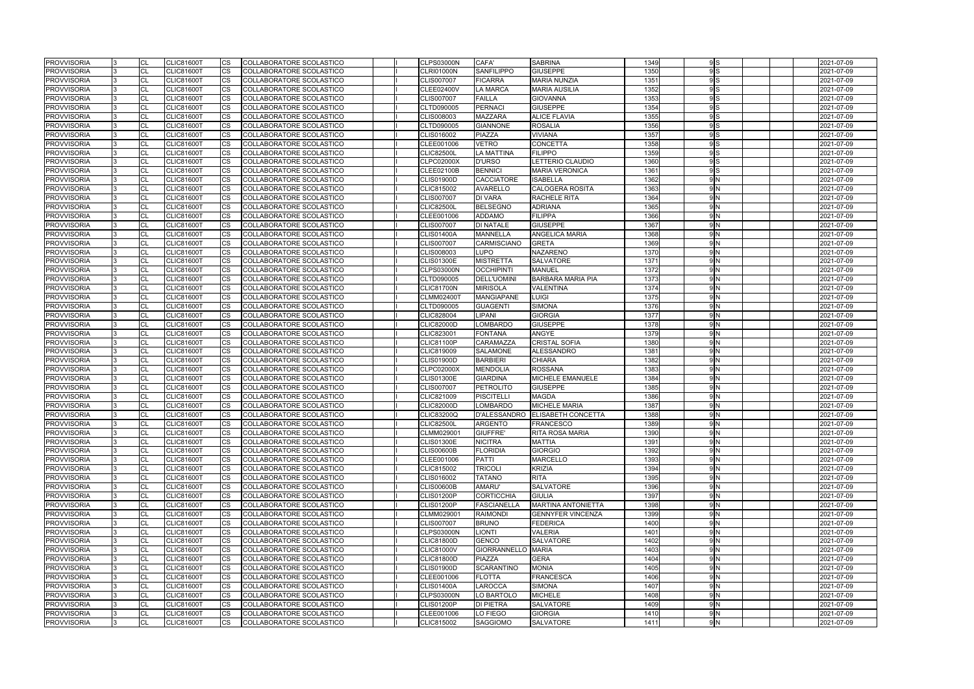| <b>PROVVISORIA</b> | ICL       | <b>CLIC81600T</b> | ICS.      | COLLABORATORE SCOLASTICO        |  | <b>CLPS03000N</b> | CAFA'              | <b>SABRINA</b>             | 1349 | 9S             | 2021-07-09 |
|--------------------|-----------|-------------------|-----------|---------------------------------|--|-------------------|--------------------|----------------------------|------|----------------|------------|
| <b>PROVVISORIA</b> | CL        | <b>CLIC81600T</b> | CS        | <b>COLLABORATORE SCOLASTICO</b> |  | <b>CLRI01000N</b> | <b>SANFILIPPO</b>  | <b>GIUSEPPE</b>            | 1350 | 9S             | 2021-07-09 |
| <b>PROVVISORIA</b> | CL        | <b>CLIC81600T</b> | CS        | <b>COLLABORATORE SCOLASTICO</b> |  | <b>CLIS007007</b> | <b>FICARRA</b>     | <b>MARIA NUNZIA</b>        | 1351 | 9S             | 2021-07-09 |
| <b>PROVVISORIA</b> | CL        | <b>CLIC81600T</b> | CS        | COLLABORATORE SCOLASTICO        |  | <b>CLEE02400V</b> | <b>LA MARCA</b>    | MARIA AUSILIA              | 1352 | 9S             | 2021-07-09 |
| <b>PROVVISORIA</b> | CL        | <b>CLIC81600T</b> | CS        | COLLABORATORE SCOLASTICO        |  | <b>CLIS007007</b> | <b>FAILLA</b>      | GIOVANNA                   | 1353 | 9S             | 2021-07-09 |
| <b>PROVVISORIA</b> | CL        | <b>CLIC81600T</b> | CS        | COLLABORATORE SCOLASTICO        |  | CLTD090005        | PERNACI            | <b>GIUSEPPE</b>            | 1354 | 9S             | 2021-07-09 |
| <b>PROVVISORIA</b> | <b>CL</b> | <b>CLIC81600T</b> | <b>CS</b> | COLLABORATORE SCOLASTICO        |  | CLIS008003        | <b>MAZZARA</b>     | <b>ALICE FLAVIA</b>        | 1355 | 9S             | 2021-07-09 |
| <b>PROVVISORIA</b> | <b>CL</b> | <b>CLIC81600T</b> | CS        | COLLABORATORE SCOLASTICO        |  | CLTD090005        | <b>GIANNONE</b>    | <b>ROSALIA</b>             | 1356 | 9 <sub>S</sub> | 2021-07-09 |
| <b>PROVVISORIA</b> | <b>CL</b> | <b>CLIC81600T</b> | CS        | COLLABORATORE SCOLASTICO        |  | CLIS016002        | PIAZZA             | <b>VIVIANA</b>             | 1357 | 9 <sub>S</sub> | 2021-07-09 |
| <b>PROVVISORIA</b> | <b>CL</b> | <b>CLIC81600T</b> | CS        | COLLABORATORE SCOLASTICO        |  | CLEE001006        | <b>VETRO</b>       | <b>CONCETTA</b>            | 1358 | 9S             | 2021-07-09 |
| <b>PROVVISORIA</b> | CL        | <b>CLIC81600T</b> | CS        | COLLABORATORE SCOLASTICO        |  | <b>CLIC82500L</b> | <b>LA MATTINA</b>  | <b>FILIPPO</b>             | 1359 | 9S             | 2021-07-09 |
| <b>PROVVISORIA</b> | CL        | <b>CLIC81600T</b> | CS        | COLLABORATORE SCOLASTICO        |  | <b>CLPC02000X</b> | <b>D'URSO</b>      | LETTERIO CLAUDIO           | 1360 | 9S             | 2021-07-09 |
| <b>PROVVISORIA</b> | <b>CL</b> | <b>CLIC81600T</b> | <b>CS</b> | COLLABORATORE SCOLASTICO        |  | CLEE02100B        | <b>BENNICI</b>     | <b>MARIA VERONICA</b>      | 1361 | 9S             | 2021-07-09 |
| <b>PROVVISORIA</b> | <b>CL</b> | <b>CLIC81600T</b> | CS        | <b>COLLABORATORE SCOLASTICO</b> |  | <b>CLIS01900D</b> | <b>CACCIATORE</b>  | <b>ISABELLA</b>            | 1362 | 9 <sub>N</sub> | 2021-07-09 |
| <b>PROVVISORIA</b> | CL        | <b>CLIC81600T</b> | CS        | COLLABORATORE SCOLASTICO        |  | CLIC815002        | <b>AVARELLO</b>    | <b>CALOGERA ROSITA</b>     | 1363 | 9 N            | 2021-07-09 |
| <b>PROVVISORIA</b> | <b>CL</b> | <b>CLIC81600T</b> | CS        | COLLABORATORE SCOLASTICO        |  | <b>CLIS007007</b> | <b>DI VARA</b>     | <b>RACHELE RITA</b>        | 1364 | 9 N            | 2021-07-09 |
| <b>PROVVISORIA</b> | CL        | <b>CLIC81600T</b> | CS        | COLLABORATORE SCOLASTICO        |  | <b>CLIC82500L</b> | <b>BELSEGNO</b>    | ADRIANA                    | 1365 | 9 <sub>N</sub> | 2021-07-09 |
| <b>PROVVISORIA</b> | <b>CL</b> | <b>CLIC81600T</b> | CS        | COLLABORATORE SCOLASTICO        |  | CLEE001006        | <b>ADDAMO</b>      | <b>FILIPPA</b>             | 1366 | 9N             | 2021-07-09 |
| <b>PROVVISORIA</b> | CL        | <b>CLIC81600T</b> | <b>CS</b> | <b>COLLABORATORE SCOLASTICO</b> |  | <b>CLIS007007</b> | <b>DI NATALE</b>   | <b>GIUSEPPE</b>            | 1367 | 9 N            | 2021-07-09 |
| <b>PROVVISORIA</b> | <b>CL</b> | <b>CLIC81600T</b> | CS.       | COLLABORATORE SCOLASTICO        |  | <b>CLIS01400A</b> | <b>MANNELLA</b>    | <b>ANGELICA MARIA</b>      | 1368 | 9 <sub>N</sub> | 2021-07-09 |
| <b>PROVVISORIA</b> | <b>CL</b> | <b>CLIC81600T</b> | CS        | COLLABORATORE SCOLASTICO        |  | <b>CLIS007007</b> | <b>CARMISCIANO</b> | <b>GRETA</b>               | 1369 | 9N             | 2021-07-09 |
| <b>PROVVISORIA</b> | <b>CL</b> | <b>CLIC81600T</b> | CS        | <b>COLLABORATORE SCOLASTICO</b> |  | CLIS008003        | <b>LUPO</b>        | <b>NAZARENO</b>            | 1370 | 9 N            | 2021-07-09 |
| <b>PROVVISORIA</b> | CL        | <b>CLIC81600T</b> | CS        | COLLABORATORE SCOLASTICO        |  | <b>CLIS01300E</b> | <b>MISTRETTA</b>   | <b>SALVATORE</b>           | 1371 | 9 <sub>N</sub> | 2021-07-09 |
| <b>PROVVISORIA</b> | <b>CL</b> | <b>CLIC81600T</b> | CS        | COLLABORATORE SCOLASTICO        |  | <b>CLPS03000N</b> | <b>OCCHIPINTI</b>  | MANUEL                     | 1372 | 9N             | 2021-07-09 |
| <b>PROVVISORIA</b> | <b>CL</b> | <b>CLIC81600T</b> | CS        | COLLABORATORE SCOLASTICO        |  | CLTD090005        | <b>DELL'UOMINI</b> | <b>BARBARA MARIA PIA</b>   | 1373 | 9 N            | 2021-07-09 |
| <b>PROVVISORIA</b> | CL        | <b>CLIC81600T</b> | <b>CS</b> | COLLABORATORE SCOLASTICO        |  | <b>CLIC81700N</b> | <b>MIRISOLA</b>    | VALENTINA                  | 1374 | 9N             | 2021-07-09 |
| <b>PROVVISORIA</b> | <b>CL</b> | <b>CLIC81600T</b> | CS        | COLLABORATORE SCOLASTICO        |  | <b>CLMM02400T</b> | <b>MANGIAPANE</b>  | <b>LUIGI</b>               | 1375 | 9 <sub>N</sub> | 2021-07-09 |
| <b>PROVVISORIA</b> | <b>CL</b> | <b>CLIC81600T</b> | CS        | COLLABORATORE SCOLASTICO        |  | CLTD090005        | <b>GUAGENTI</b>    | <b>SIMONA</b>              | 1376 | 9 N            | 2021-07-09 |
| <b>PROVVISORIA</b> | CL        | <b>CLIC81600T</b> | CS.       | COLLABORATORE SCOLASTICO        |  | CLIC828004        | <b>LIPANI</b>      | <b>GIORGIA</b>             | 1377 | 9 <sub>N</sub> | 2021-07-09 |
| <b>PROVVISORIA</b> | CL        | <b>CLIC81600T</b> | CS        | COLLABORATORE SCOLASTICO        |  | <b>CLIC82000D</b> | LOMBARDO           | <b>GIUSEPPE</b>            | 1378 | 9N             | 2021-07-09 |
| <b>PROVVISORIA</b> | CL        | <b>CLIC81600T</b> | CS        | COLLABORATORE SCOLASTICO        |  | CLIC823001        | <b>FONTANA</b>     | ANGYE                      | 1379 | 9 N            | 2021-07-09 |
| <b>PROVVISORIA</b> | <b>CL</b> | <b>CLIC81600T</b> | <b>CS</b> | COLLABORATORE SCOLASTICO        |  | <b>CLIC81100P</b> | CARAMAZZA          | <b>CRISTAL SOFIA</b>       | 1380 | 9N             | 2021-07-09 |
| <b>PROVVISORIA</b> | <b>CL</b> | <b>CLIC81600T</b> | CS.       | COLLABORATORE SCOLASTICO        |  | <b>CLIC819009</b> | <b>SALAMONE</b>    | <b>ALESSANDRO</b>          | 1381 | 9 <sub>N</sub> | 2021-07-09 |
| <b>PROVVISORIA</b> | <b>CL</b> | <b>CLIC81600T</b> | CS        | COLLABORATORE SCOLASTICO        |  | <b>CLIS01900D</b> | <b>BARBIERI</b>    | <b>CHIARA</b>              | 1382 | 9N             | 2021-07-09 |
| <b>PROVVISORIA</b> | <b>CL</b> | <b>CLIC81600T</b> | CS        | COLLABORATORE SCOLASTICO        |  | <b>CLPC02000X</b> | <b>MENDOLIA</b>    | <b>ROSSANA</b>             | 1383 | 9N             | 2021-07-09 |
| <b>PROVVISORIA</b> | CL        | <b>CLIC81600T</b> | CS        | COLLABORATORE SCOLASTICO        |  | <b>CLIS01300E</b> | <b>GIARDINA</b>    | MICHELE EMANUELE           | 1384 | 9 <sub>N</sub> | 2021-07-09 |
| <b>PROVVISORIA</b> | СL        | <b>CLIC81600T</b> | CS        | COLLABORATORE SCOLASTICO        |  | <b>CLIS007007</b> | <b>PETROLITO</b>   | <b>GIUSEPPE</b>            | 1385 | 9 N            | 2021-07-09 |
| <b>PROVVISORIA</b> | <b>CL</b> | <b>CLIC81600T</b> | <b>CS</b> | COLLABORATORE SCOLASTICO        |  | CLIC821009        | <b>PISCITELLI</b>  | <b>MAGDA</b>               | 1386 | 9N             | 2021-07-09 |
| <b>PROVVISORIA</b> | <b>CL</b> | <b>CLIC81600T</b> | CS.       | <b>COLLABORATORE SCOLASTICO</b> |  | <b>CLIC82000D</b> | <b>LOMBARDO</b>    | <b>MICHELE MARIA</b>       | 1387 | 9 <sub>N</sub> | 2021-07-09 |
| <b>PROVVISORIA</b> | CL        | <b>CLIC81600T</b> | CS        | COLLABORATORE SCOLASTICO        |  | CLIC83200Q        | D'ALESSANDRO       | <b>IELISABETH CONCETTA</b> | 1388 | 9 N            | 2021-07-09 |
| <b>PROVVISORIA</b> | <b>CI</b> | <b>CLIC81600T</b> | <b>CS</b> | COLLABORATORE SCOLASTICO        |  | <b>CLIC82500L</b> | <b>ARGENTO</b>     | <b>FRANCESCO</b>           | 1389 | 9 N            | 2021-07-09 |
| <b>PROVVISORIA</b> | <b>CL</b> | <b>CLIC81600T</b> | CS        | COLLABORATORE SCOLASTICO        |  | CLMM029001        | <b>GIUFFRE'</b>    | <b>RITA ROSA MARIA</b>     | 1390 | 9N             | 2021-07-09 |
| <b>PROVVISORIA</b> | CL        | <b>CLIC81600T</b> | <b>CS</b> | COLLABORATORE SCOLASTICO        |  | <b>CLIS01300E</b> | <b>NICITRA</b>     | MATTIA                     | 1391 | 9 N            | 2021-07-09 |
| <b>PROVVISORIA</b> | CL        | <b>CLIC81600T</b> | <b>CS</b> | COLLABORATORE SCOLASTICO        |  | <b>CLIS00600B</b> | <b>FLORIDIA</b>    | <b>GIORGIO</b>             | 1392 | 9 N            | 2021-07-09 |
| <b>PROVVISORIA</b> | <b>CL</b> | <b>CLIC81600T</b> | <b>CS</b> | COLLABORATORE SCOLASTICO        |  | CLEE001006        | <b>PATTI</b>       | <b>MARCELLO</b>            | 1393 | 9N             | 2021-07-09 |
| <b>PROVVISORIA</b> | <b>CL</b> | <b>CLIC81600T</b> | <b>CS</b> | COLLABORATORE SCOLASTICO        |  | CLIC815002        | <b>TRICOLI</b>     | <b>KRIZIA</b>              | 1394 | 9N             | 2021-07-09 |
| <b>PROVVISORIA</b> | <b>CL</b> | <b>CLIC81600T</b> | CS        | COLLABORATORE SCOLASTICO        |  | CLIS016002        | <b>TATANO</b>      | <b>RITA</b>                | 1395 | 9N             | 2021-07-09 |
| <b>PROVVISORIA</b> | CL        | <b>CLIC81600T</b> | CS        | COLLABORATORE SCOLASTICO        |  | <b>CLIS00600B</b> | AMARU'             | <b>SALVATORE</b>           | 1396 | 9N             | 2021-07-09 |
| <b>PROVVISORIA</b> | <b>CL</b> | <b>CLIC81600T</b> | CS        | COLLABORATORE SCOLASTICO        |  | <b>CLIS01200P</b> | <b>CORTICCHIA</b>  | <b>GIULIA</b>              | 1397 | 9N             | 2021-07-09 |
| <b>PROVVISORIA</b> | <b>CL</b> | <b>CLIC81600T</b> | CS        | COLLABORATORE SCOLASTICO        |  | <b>CLIS01200P</b> | <b>FASCIANELLA</b> | <b>MARTINA ANTONIETTA</b>  | 1398 | 9 N            | 2021-07-09 |
| <b>PROVVISORIA</b> | CL        | <b>CLIC81600T</b> | <b>CS</b> | <b>COLLABORATORE SCOLASTICO</b> |  | CLMM029001        | <b>RAIMONDI</b>    | <b>GENNYFER VINCENZA</b>   | 1399 | 9N             | 2021-07-09 |
| <b>PROVVISORIA</b> | <b>CL</b> | <b>CLIC81600T</b> | CS.       | COLLABORATORE SCOLASTICO        |  | <b>CLIS007007</b> | <b>BRUNO</b>       | <b>FEDERICA</b>            | 1400 | 9 N            | 2021-07-09 |
| <b>PROVVISORIA</b> | <b>CL</b> | <b>CLIC81600T</b> | CS        | COLLABORATORE SCOLASTICO        |  | <b>CLPS03000N</b> | <b>LIONTI</b>      | VALERIA                    | 1401 | 9 N            | 2021-07-09 |
| <b>PROVVISORIA</b> | <b>CL</b> | <b>CLIC81600T</b> | CS        | COLLABORATORE SCOLASTICO        |  | <b>CLIC81800D</b> | <b>GENCO</b>       | <b>SALVATORE</b>           | 1402 | 9N             | 2021-07-09 |
| <b>PROVVISORIA</b> | CL        | <b>CLIC81600T</b> | CS        | COLLABORATORE SCOLASTICO        |  | <b>CLIC81000V</b> | GIORRANNELLO MARIA |                            | 1403 | 9N             | 2021-07-09 |
| <b>PROVVISORIA</b> | CL        | <b>CLIC81600T</b> | CS        | COLLABORATORE SCOLASTICO        |  | <b>CLIC81800D</b> | PIAZZA             | <b>GERA</b>                | 1404 | 9 N            | 2021-07-09 |
| <b>PROVVISORIA</b> | <b>CL</b> | <b>CLIC81600T</b> | <b>CS</b> | COLLABORATORE SCOLASTICO        |  | <b>CLIS01900D</b> | <b>SCARANTINO</b>  | <b>MONIA</b>               | 1405 | 9N             | 2021-07-09 |
| <b>PROVVISORIA</b> | <b>CL</b> | <b>CLIC81600T</b> | CS.       | COLLABORATORE SCOLASTICO        |  | CLEE001006        | <b>FLOTTA</b>      | <b>FRANCESCA</b>           | 1406 | 9N             | 2021-07-09 |
| <b>PROVVISORIA</b> | <b>CL</b> | <b>CLIC81600T</b> | CS        | COLLABORATORE SCOLASTICO        |  | <b>CLIS01400A</b> | <b>LAROCCA</b>     | <b>SIMONA</b>              | 1407 | 9 N            | 2021-07-09 |
| <b>PROVVISORIA</b> | <b>CL</b> | <b>CLIC81600T</b> | CS        | COLLABORATORE SCOLASTICO        |  | <b>CLPS03000N</b> | LO BARTOLO         | <b>MICHELE</b>             | 1408 | 9N             | 2021-07-09 |
| <b>PROVVISORIA</b> | <b>CL</b> | <b>CLIC81600T</b> | CS        | COLLABORATORE SCOLASTICO        |  | <b>CLIS01200P</b> | <b>DI PIETRA</b>   | <b>SALVATORE</b>           | 1409 | 9 N            | 2021-07-09 |
| <b>PROVVISORIA</b> | СL        | <b>CLIC81600T</b> | <b>CS</b> | COLLABORATORE SCOLASTICO        |  | CLEE001006        | LO FIEGO           | <b>GIORGIA</b>             | 1410 | 9 N            | 2021-07-09 |
|                    |           |                   |           |                                 |  |                   |                    |                            |      |                |            |
| <b>PROVVISORIA</b> | <b>CL</b> | <b>CLIC81600T</b> | <b>CS</b> | COLLABORATORE SCOLASTICO        |  | CLIC815002        | <b>SAGGIOMO</b>    | SALVATORE                  | 1411 | 9N             | 2021-07-09 |

|  |  | 2021-07-09               |
|--|--|--------------------------|
|  |  | 2021-07-09               |
|  |  | 2021-07-09               |
|  |  | 2021-07-09               |
|  |  | 2021-07-09               |
|  |  | 2021-07-09               |
|  |  | 2021-07-09               |
|  |  | 2021-07-09               |
|  |  | 2021-07-09               |
|  |  | 2021-07-09               |
|  |  | 2021-07-09               |
|  |  | 2021-07-09               |
|  |  | 2021-07-09               |
|  |  | 2021-07-09               |
|  |  | 2021-07-09               |
|  |  | 2021-07-09               |
|  |  | 2021-07-09               |
|  |  | 2021-07-09               |
|  |  | 2021-07-09               |
|  |  | 2021-07-09               |
|  |  | 2021-07-09               |
|  |  | 2021-07-09               |
|  |  | 2021-07-09               |
|  |  | 2021-07-09               |
|  |  | 2021-07-09               |
|  |  | 2021-07-09               |
|  |  | 2021-07-09               |
|  |  | 2021-07-09               |
|  |  | 2021-07-09               |
|  |  | 2021-07-09               |
|  |  | 2021-07-09               |
|  |  | 2021-07-09               |
|  |  | 2021-07-09               |
|  |  | 2021-07-09               |
|  |  | 2021-07-09               |
|  |  | 2021-07-09               |
|  |  | 2021-07-09               |
|  |  | 2021-07-09               |
|  |  | 2021-07-09               |
|  |  | 2021-07-09               |
|  |  | 2021-07-09               |
|  |  | 2021-07-09               |
|  |  | 2021-07-09               |
|  |  | 2021-07-09               |
|  |  | 2021-07-09               |
|  |  | 2021-07-09               |
|  |  | 2021-07-09               |
|  |  | 2021-07-09               |
|  |  | 2021-07-09               |
|  |  | 2021-07-09               |
|  |  | 2021-07-09               |
|  |  | 2021-07-09               |
|  |  | 2021-07-09               |
|  |  |                          |
|  |  | 2021-07-09<br>2021-07-09 |
|  |  |                          |
|  |  | 2021-07-09               |
|  |  | 2021-07-09               |
|  |  | 2021-07-09               |
|  |  | 2021-07-09               |
|  |  | 2021-07-09               |
|  |  | 2021-07-09               |
|  |  | 2021-07-09               |
|  |  | 2021-07-09               |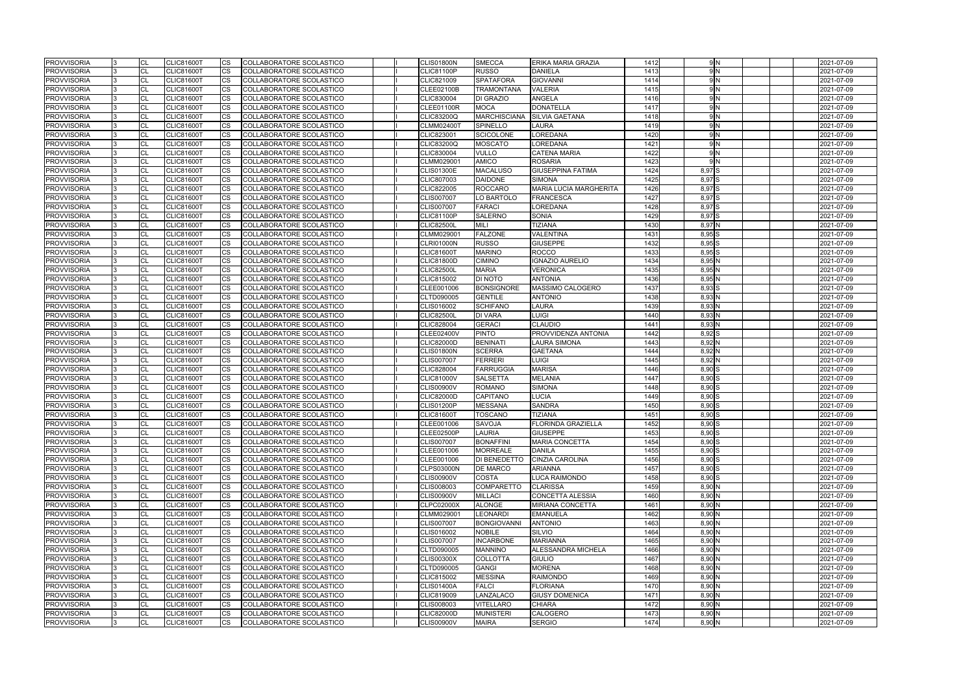| <b>PROVVISORIA</b> | <b>CL</b>       | <b>CLIC81600T</b>                      | <b>CS</b> | COLLABORATORE SCOLASTICO                                    |  | <b>CLIS01800N</b> | <b>SMECCA</b>                   | ERIKA MARIA GRAZIA             | 1412         | 9 N               | 2021-07-09               |
|--------------------|-----------------|----------------------------------------|-----------|-------------------------------------------------------------|--|-------------------|---------------------------------|--------------------------------|--------------|-------------------|--------------------------|
| <b>PROVVISORIA</b> | <b>CL</b>       | <b>CLIC81600T</b>                      | <b>CS</b> | <b>COLLABORATORE SCOLASTICO</b>                             |  | <b>CLIC81100P</b> | <b>RUSSO</b>                    | <b>DANIELA</b>                 | 1413         | 9N                | 2021-07-09               |
| <b>PROVVISORIA</b> | <b>CL</b>       | <b>CLIC81600T</b>                      | CS        | COLLABORATORE SCOLASTICO                                    |  | CLIC821009        | <b>SPATAFORA</b>                | <b>GIOVANNI</b>                | 1414         | 9 <sub>N</sub>    | 2021-07-09               |
| <b>PROVVISORIA</b> | <b>CL</b>       | <b>CLIC81600T</b>                      | CS        | COLLABORATORE SCOLASTICO                                    |  | <b>CLEE02100B</b> | <b>TRAMONTANA</b>               | <b>VALERIA</b>                 | 1415         | 9 <sub>N</sub>    | 2021-07-09               |
| <b>PROVVISORIA</b> | <b>CL</b>       | <b>CLIC81600T</b>                      | CS        | COLLABORATORE SCOLASTICO                                    |  | CLIC830004        | DI GRAZIO                       | ANGELA                         | 1416         | 9 <sub>N</sub>    | 2021-07-09               |
| <b>PROVVISORIA</b> | CL              | <b>CLIC81600T</b>                      | CS        | <b>COLLABORATORE SCOLASTICO</b>                             |  | <b>CLEE01100R</b> | <b>MOCA</b>                     | <b>DONATELLA</b>               | 1417         | 9 N               | 2021-07-09               |
| <b>PROVVISORIA</b> | <b>CL</b>       | <b>CLIC81600T</b>                      | CS        | COLLABORATORE SCOLASTICO                                    |  | <b>CLIC83200Q</b> | <b>MARCHISCIANA</b>             | <b>SILVIA GAETANA</b>          | 1418         | 9N                | 2021-07-09               |
| <b>PROVVISORIA</b> | CL              | <b>CLIC81600T</b>                      | CS        | COLLABORATORE SCOLASTICO                                    |  | <b>CLMM02400T</b> | SPINELLO                        | LAURA                          | 1419         | 9N                | 2021-07-09               |
| <b>PROVVISORIA</b> | CL              | <b>CLIC81600T</b>                      | CS        | COLLABORATORE SCOLASTICO                                    |  | CLIC823001        | <b>SCICOLONE</b>                | <b>LOREDANA</b>                | 1420         | 9N                | 2021-07-09               |
| <b>PROVVISORIA</b> | <b>CL</b>       | <b>CLIC81600T</b>                      | CS        | COLLABORATORE SCOLASTICO                                    |  | <b>CLIC83200Q</b> | <b>MOSCATO</b>                  | LOREDANA                       | 1421         | 9N                | 2021-07-09               |
| <b>PROVVISORIA</b> | CL              | <b>CLIC81600T</b>                      | CS        | COLLABORATORE SCOLASTICO                                    |  | CLIC830004        | <b>VULLO</b>                    | <b>CATENA MARIA</b>            | 1422         | 9N                | 2021-07-09               |
| <b>PROVVISORIA</b> | <b>CL</b>       | <b>CLIC81600T</b>                      | CS        | COLLABORATORE SCOLASTICO                                    |  | CLMM029001        | <b>AMICO</b>                    | <b>ROSARIA</b>                 | 1423         | 9N                | 2021-07-09               |
| <b>PROVVISORIA</b> | <b>CL</b>       | <b>CLIC81600T</b>                      | <b>CS</b> | COLLABORATORE SCOLASTICO                                    |  | <b>CLIS01300E</b> | <b>MACALUSO</b>                 | <b>GIUSEPPINA FATIMA</b>       | 1424         | 8,97 S            | 2021-07-09               |
| <b>PROVVISORIA</b> | <b>CL</b>       | <b>CLIC81600T</b>                      | <b>CS</b> | COLLABORATORE SCOLASTICO                                    |  | CLIC807003        | <b>DAIDONE</b>                  | <b>SIMONA</b>                  | 1425         | 8,97 S            | 2021-07-09               |
| <b>PROVVISORIA</b> | <b>CL</b>       | <b>CLIC81600T</b>                      | CS        | COLLABORATORE SCOLASTICO                                    |  | <b>CLIC822005</b> | <b>ROCCARO</b>                  | <b>MARIA LUCIA MARGHERITA</b>  | 1426         | 8,97 <sub>S</sub> | 2021-07-09               |
| <b>PROVVISORIA</b> | <b>CL</b>       | <b>CLIC81600T</b>                      | CS        | COLLABORATORE SCOLASTICO                                    |  | <b>CLIS007007</b> | LO BARTOLO                      | <b>FRANCESCA</b>               | 1427         | 8,97 S            | 2021-07-09               |
| <b>PROVVISORIA</b> | CL              | <b>CLIC81600T</b>                      | CS        | COLLABORATORE SCOLASTICO                                    |  | <b>CLIS007007</b> | <b>FARACI</b>                   | LOREDANA                       | 1428         | 8,97 <sub>S</sub> | 2021-07-09               |
| <b>PROVVISORIA</b> | <b>CL</b>       | <b>CLIC81600T</b>                      | CS        | COLLABORATORE SCOLASTICO                                    |  | <b>CLIC81100P</b> | <b>SALERNO</b>                  | SONIA                          | 1429         | 8,97 <sub>S</sub> | 2021-07-09               |
| <b>PROVVISORIA</b> | <b>CL</b>       | <b>CLIC81600T</b>                      | CS        | COLLABORATORE SCOLASTICO                                    |  | <b>CLIC82500L</b> | <b>MILI</b>                     | <b>TIZIANA</b>                 | 1430         | 8,97 N            | 2021-07-09               |
| <b>PROVVISORIA</b> | CL              | <b>CLIC81600T</b>                      | <b>CS</b> | COLLABORATORE SCOLASTICO                                    |  | CLMM029001        | <b>FALZONE</b>                  | VALENTINA                      | 1431         | 8,95 <sub>S</sub> | 2021-07-09               |
| <b>PROVVISORIA</b> | <b>CL</b>       | <b>CLIC81600T</b>                      | CS        | COLLABORATORE SCOLASTICO                                    |  | <b>CLRI01000N</b> | <b>RUSSO</b>                    | <b>GIUSEPPE</b>                | 1432         | 8,95 <sub>S</sub> | 2021-07-09               |
| <b>PROVVISORIA</b> | <b>CL</b>       | <b>CLIC81600T</b>                      | CS        | COLLABORATORE SCOLASTICO                                    |  | <b>CLIC81600T</b> | <b>MARINO</b>                   | <b>ROCCO</b>                   | 1433         | 8,95 S            | 2021-07-09               |
| <b>PROVVISORIA</b> | <b>CL</b>       | <b>CLIC81600T</b>                      | CS        | COLLABORATORE SCOLASTICO                                    |  | <b>CLIC81800D</b> | <b>CIMINO</b>                   | <b>IGNAZIO AURELIO</b>         | 1434         | 8,95 N            | 2021-07-09               |
| <b>PROVVISORIA</b> | <b>CL</b>       | <b>CLIC81600T</b>                      | CS        | COLLABORATORE SCOLASTICO                                    |  | <b>CLIC82500L</b> | <b>MARIA</b>                    | VERONICA                       | 1435         | $8,95$ N          | 2021-07-09               |
| <b>PROVVISORIA</b> | CL              | <b>CLIC81600T</b>                      | СS        | COLLABORATORE SCOLASTICO                                    |  | CLIC815002        | DI NOTO                         | <b>ANTONIA</b>                 | 1436         | 8,95 N            | 2021-07-09               |
| <b>PROVVISORIA</b> | <b>CL</b>       | <b>CLIC81600T</b>                      | <b>CS</b> | COLLABORATORE SCOLASTICO                                    |  | CLEE001006        | <b>BONSIGNORE</b>               | <b>MASSIMO CALOGERO</b>        | 1437         | 8,93 S            | 2021-07-09               |
| <b>PROVVISORIA</b> | <b>CL</b>       | <b>CLIC81600T</b>                      | CS        | <b>COLLABORATORE SCOLASTICO</b>                             |  | CLTD090005        | <b>GENTILE</b>                  | <b>ANTONIO</b>                 | 1438         | 8,93 N            | 2021-07-09               |
| <b>PROVVISORIA</b> | <b>CL</b>       | <b>CLIC81600T</b>                      | CS        | COLLABORATORE SCOLASTICO                                    |  | CLIS016002        | <b>SCHIFANO</b>                 | LAURA                          | 1439         | 8,93 N            | 2021-07-09               |
| <b>PROVVISORIA</b> | <b>CL</b>       | <b>CLIC81600T</b>                      | CS        | COLLABORATORE SCOLASTICO                                    |  | <b>CLIC82500L</b> | <b>DI VARA</b>                  | <b>LUIGI</b>                   | 1440         | 8,93 N            | 2021-07-09               |
|                    | <b>CL</b>       |                                        | CS        |                                                             |  |                   | <b>GERACI</b>                   |                                | 1441         | 8,93 N            | 2021-07-09               |
| <b>PROVVISORIA</b> | CL              | <b>CLIC81600T</b>                      | CS        | COLLABORATORE SCOLASTICO                                    |  | CLIC828004        |                                 | CLAUDIO                        | 1442         | 8,92 S            |                          |
| <b>PROVVISORIA</b> | <b>CL</b>       | <b>CLIC81600T</b><br><b>CLIC81600T</b> | <b>CS</b> | COLLABORATORE SCOLASTICO                                    |  | <b>CLEE02400V</b> | <b>PINTO</b><br><b>BENINATI</b> | PROVVIDENZA ANTONIA            | 1443         | 8,92 N            | 2021-07-09               |
| <b>PROVVISORIA</b> |                 | <b>CLIC81600T</b>                      |           | COLLABORATORE SCOLASTICO<br><b>COLLABORATORE SCOLASTICO</b> |  | <b>CLIC82000D</b> | <b>SCERRA</b>                   | LAURA SIMONA<br><b>GAETANA</b> | 1444         | 8,92N             | 2021-07-09               |
| <b>PROVVISORIA</b> | CL              |                                        | <b>CS</b> |                                                             |  | <b>CLIS01800N</b> |                                 |                                |              |                   | 2021-07-09               |
| <b>PROVVISORIA</b> | CL<br><b>CL</b> | <b>CLIC81600T</b><br><b>CLIC81600T</b> | CS        | COLLABORATORE SCOLASTICO                                    |  | <b>CLIS007007</b> | FERRERI<br><b>FARRUGGIA</b>     | <b>LUIGI</b><br><b>MARISA</b>  | 1445<br>1446 | 8,92 N            | 2021-07-09               |
| <b>PROVVISORIA</b> |                 |                                        | CS        | COLLABORATORE SCOLASTICO                                    |  | <b>CLIC828004</b> |                                 |                                |              | 8,90 S            | 2021-07-09<br>2021-07-09 |
| <b>PROVVISORIA</b> | <b>CL</b>       | <b>CLIC81600T</b><br><b>CLIC81600T</b> | CS        | COLLABORATORE SCOLASTICO                                    |  | <b>CLIC81000V</b> | <b>SALSETTA</b>                 | MELANIA                        | 1447<br>1448 | $8,90$ S<br>8,90S |                          |
| <b>PROVVISORIA</b> | <b>CL</b>       |                                        | CS        | COLLABORATORE SCOLASTICO                                    |  | <b>CLIS00900V</b> | <b>ROMANO</b>                   | <b>SIMONA</b>                  |              |                   | 2021-07-09               |
| <b>PROVVISORIA</b> | <b>CL</b>       | <b>CLIC81600T</b>                      | CS        | <b>COLLABORATORE SCOLASTICO</b>                             |  | <b>CLIC82000D</b> | <b>CAPITANO</b>                 | LUCIA                          | 1449         | 8,90 S            | 2021-07-09               |
| <b>PROVVISORIA</b> | CL              | <b>CLIC81600T</b>                      | <b>CS</b> | COLLABORATORE SCOLASTICO                                    |  | <b>CLIS01200P</b> | <b>MESSANA</b>                  | SANDRA                         | 1450         | 8,90 S            | 2021-07-09               |
| <b>PROVVISORIA</b> | <b>CL</b>       | <b>CLIC81600T</b>                      | CS        | COLLABORATORE SCOLASTICO                                    |  | <b>CLIC81600T</b> | <b>TOSCANO</b>                  | TIZIANA                        | 1451         | 8,90 S            | 2021-07-09               |
| <b>PROVVISORIA</b> | $\overline{C}$  | <b>CLIC81600T</b>                      | <b>CS</b> | COLLABORATORE SCOLASTICO                                    |  | CLEE001006        | <b>SAVOJA</b>                   | <b>FLORINDA GRAZIELLA</b>      | 1452         | 8.90 S            | 2021-07-09               |
| <b>PROVVISORIA</b> | <b>CL</b>       | <b>CLIC81600T</b>                      | CS        | <b>COLLABORATORE SCOLASTICO</b>                             |  | <b>CLEE02500P</b> | LAURIA                          | <b>GIUSEPPE</b>                | 1453         | 8,90 S            | 2021-07-09               |
| <b>PROVVISORIA</b> | CL              | CLIC81600T                             | <b>CS</b> | COLLABORATORE SCOLASTICO                                    |  | <b>CLIS007007</b> | <b>BONAFFINI</b>                | <b>MARIA CONCETTA</b>          | 1454         | 8,90 S            | 2021-07-09               |
| <b>PROVVISORIA</b> | <b>CL</b>       | <b>CLIC81600T</b>                      | <b>CS</b> | COLLABORATORE SCOLASTICO                                    |  | CLEE001006        | <b>MORREALE</b>                 | <b>DANILA</b>                  | 1455         | $8,90$ S          | 2021-07-09               |
| <b>PROVVISORIA</b> | <b>CL</b>       | <b>CLIC81600T</b>                      | <b>CS</b> | COLLABORATORE SCOLASTICO                                    |  | CLEE001006        | <b>DI BENEDETTO</b>             | CINZIA CAROLINA                | 1456         | 8,90 S            | 2021-07-09               |
| <b>PROVVISORIA</b> | <b>CL</b>       | <b>CLIC81600T</b>                      | CS.       | COLLABORATORE SCOLASTICO                                    |  | <b>CLPS03000N</b> | <b>DE MARCO</b>                 | <b>ARIANNA</b>                 | 1457         | $8,90$ S          | 2021-07-09               |
| <b>PROVVISORIA</b> | <b>CL</b>       | <b>CLIC81600T</b>                      | CS        | COLLABORATORE SCOLASTICO                                    |  | <b>CLIS00900V</b> | <b>COSTA</b>                    | LUCA RAIMONDO                  | 1458         | 8,90 S            | 2021-07-09               |
| <b>PROVVISORIA</b> | CL              | <b>CLIC81600T</b>                      | CS        | COLLABORATORE SCOLASTICO                                    |  | CLIS008003        | <b>COMPARETTO</b>               | <b>CLARISSA</b>                | 1459         | 8,90 N            | 2021-07-09               |
| <b>PROVVISORIA</b> | <b>CL</b>       | <b>CLIC81600T</b>                      | CS        | COLLABORATORE SCOLASTICO                                    |  | <b>CLIS00900V</b> | <b>MILLACI</b>                  | CONCETTA ALESSIA               | 1460         | 8,90 N            | 2021-07-09               |
| <b>PROVVISORIA</b> | CL              | <b>CLIC81600T</b>                      | CS        | COLLABORATORE SCOLASTICO                                    |  | <b>CLPC02000X</b> | <b>ALONGE</b>                   | MIRIANA CONCETTA               | 1461         | 8,90 N            | 2021-07-09               |
| <b>PROVVISORIA</b> | CL              | <b>CLIC81600T</b>                      | <b>CS</b> | COLLABORATORE SCOLASTICO                                    |  | CLMM029001        | LEONARDI                        | <b>EMANUELA</b>                | 1462         | 8,90 N            | 2021-07-09               |
| <b>PROVVISORIA</b> | <b>CL</b>       | <b>CLIC81600T</b>                      | CS.       | COLLABORATORE SCOLASTICO                                    |  | <b>CLIS007007</b> | <b>BONGIOVANNI</b>              | <b>ANTONIO</b>                 | 1463         | 8,90 N            | 2021-07-09               |
| <b>PROVVISORIA</b> | CL              | <b>CLIC81600T</b>                      | CS        | COLLABORATORE SCOLASTICO                                    |  | CLIS016002        | <b>NOBILE</b>                   | SILVIO                         | 1464         | 8,90 N            | 2021-07-09               |
| <b>PROVVISORIA</b> | <b>CL</b>       | <b>CLIC81600T</b>                      | CS        | COLLABORATORE SCOLASTICO                                    |  | <b>CLIS007007</b> | <b>INCARBONE</b>                | <b>MARIANNA</b>                | 1465         | 8,90 N            | 2021-07-09               |
| <b>PROVVISORIA</b> | CL              | <b>CLIC81600T</b>                      | CS        | COLLABORATORE SCOLASTICO                                    |  | CLTD090005        | <b>MANNINO</b>                  | ALESSANDRA MICHELA             | 1466         | 8,90 N            | 2021-07-09               |
| <b>PROVVISORIA</b> | CL              | <b>CLIC81600T</b>                      | CS        | COLLABORATORE SCOLASTICO                                    |  | <b>CLIS00300X</b> | <b>COLLOTTA</b>                 | <b>GIULIO</b>                  | 1467         | 8,90 N            | 2021-07-09               |
| <b>PROVVISORIA</b> | CL              | <b>CLIC81600T</b>                      | <b>CS</b> | COLLABORATORE SCOLASTICO                                    |  | CLTD090005        | <b>GANGI</b>                    | <b>MORENA</b>                  | 1468         | 8,90 N            | 2021-07-09               |
| <b>PROVVISORIA</b> | CL              | <b>CLIC81600T</b>                      | CS.       | COLLABORATORE SCOLASTICO                                    |  | CLIC815002        | <b>MESSINA</b>                  | <b>RAIMONDO</b>                | 1469         | 8,90 N            | 2021-07-09               |
| <b>PROVVISORIA</b> | <b>CL</b>       | <b>CLIC81600T</b>                      | <b>CS</b> | COLLABORATORE SCOLASTICO                                    |  | <b>CLIS01400A</b> | <b>FALCI</b>                    | <b>FLORIANA</b>                | 1470         | 8,90 N            | 2021-07-09               |
| <b>PROVVISORIA</b> | <b>CL</b>       | <b>CLIC81600T</b>                      | CS        | COLLABORATORE SCOLASTICO                                    |  | CLIC819009        | LANZALACO                       | <b>GIUSY DOMENICA</b>          | 1471         | 8,90 N            | 2021-07-09               |
| <b>PROVVISORIA</b> | CL              | CLIC81600T                             | CS        | COLLABORATORE SCOLASTICO                                    |  | CLIS008003        | <b>VITELLARO</b>                | CHIARA                         | 1472         | 8,90 N            | 2021-07-09               |
| <b>PROVVISORIA</b> | <b>CL</b>       | <b>CLIC81600T</b>                      | <b>CS</b> | COLLABORATORE SCOLASTICO                                    |  | <b>CLIC82000D</b> | <b>MUNISTERI</b>                | CALOGERO                       | 1473         | $8,90$ N          | 2021-07-09               |
| <b>PROVVISORIA</b> | <b>CL</b>       | <b>CLIC81600T</b>                      | <b>CS</b> | COLLABORATORE SCOLASTICO                                    |  | <b>CLIS00900V</b> | <b>MAIRA</b>                    | <b>SERGIO</b>                  | 1474         | 8,90 N            | 2021-07-09               |
|                    |                 |                                        |           |                                                             |  |                   |                                 |                                |              |                   |                          |

|  |  | 2021-07-09 |
|--|--|------------|
|  |  | 2021-07-09 |
|  |  | 2021-07-09 |
|  |  | 2021-07-09 |
|  |  | 2021-07-09 |
|  |  | 2021-07-09 |
|  |  | 2021-07-09 |
|  |  | 2021-07-09 |
|  |  | 2021-07-09 |
|  |  | 2021-07-09 |
|  |  | 2021-07-09 |
|  |  | 2021-07-09 |
|  |  | 2021-07-09 |
|  |  | 2021-07-09 |
|  |  | 2021-07-09 |
|  |  | 2021-07-09 |
|  |  | 2021-07-09 |
|  |  | 2021-07-09 |
|  |  | 2021-07-09 |
|  |  | 2021-07-09 |
|  |  | 2021-07-09 |
|  |  | 2021-07-09 |
|  |  | 2021-07-09 |
|  |  | 2021-07-09 |
|  |  | 2021-07-09 |
|  |  | 2021-07-09 |
|  |  | 2021-07-09 |
|  |  | 2021-07-09 |
|  |  | 2021-07-09 |
|  |  | 2021-07-09 |
|  |  | 2021-07-09 |
|  |  | 2021-07-09 |
|  |  | 2021-07-09 |
|  |  | 2021-07-09 |
|  |  | 2021-07-09 |
|  |  | 2021-07-09 |
|  |  | 2021-07-09 |
|  |  | 2021-07-09 |
|  |  | 2021-07-09 |
|  |  | 2021-07-09 |
|  |  | 2021-07-09 |
|  |  | 2021-07-09 |
|  |  | 2021-07-09 |
|  |  | 2021-07-09 |
|  |  | 2021-07-09 |
|  |  | 2021-07-09 |
|  |  | 2021-07-09 |
|  |  | 2021-07-09 |
|  |  | 2021-07-09 |
|  |  |            |
|  |  | 2021-07-09 |
|  |  | 2021-07-09 |
|  |  | 2021-07-09 |
|  |  | 2021-07-09 |
|  |  | 2021-07-09 |
|  |  | 2021-07-09 |
|  |  | 2021-07-09 |
|  |  | 2021-07-09 |
|  |  | 2021-07-09 |
|  |  | 2021-07-09 |
|  |  | 2021-07-09 |
|  |  | 2021-07-09 |
|  |  | 2021-07-09 |
|  |  | 2021-07-09 |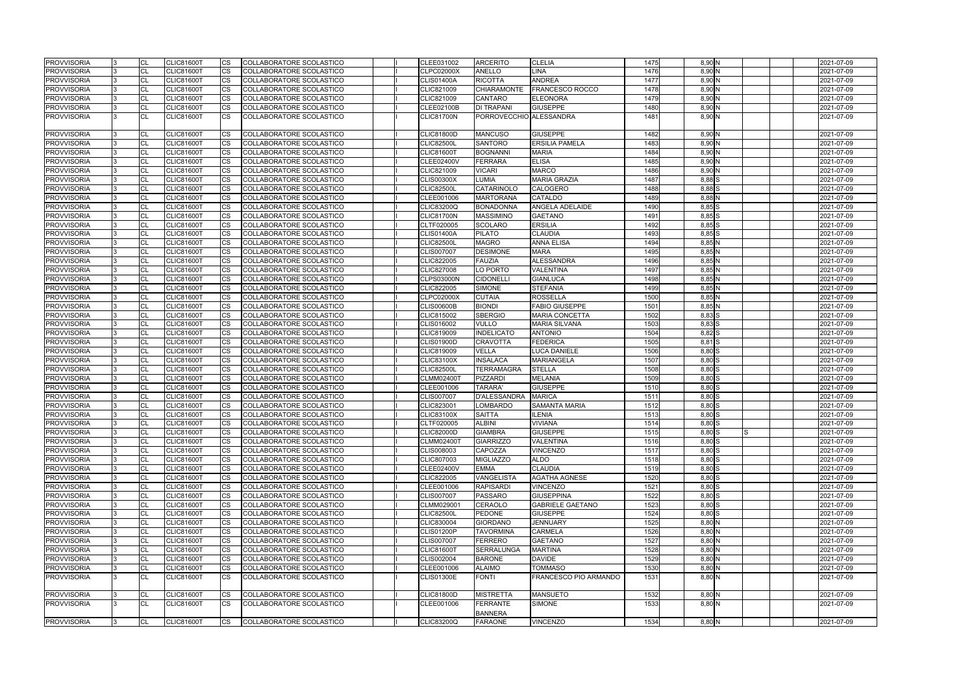| <b>PROVVISORIA</b> | CL        | <b>CLIC81600T</b> | <b>CS</b>              | COLLABORATORE SCOLASTICO |  | CLEE031002        | <b>ARCERITO</b>         | <b>CLELIA</b>           | 1475 | 8,90 N     |  | 2021-07-09 |
|--------------------|-----------|-------------------|------------------------|--------------------------|--|-------------------|-------------------------|-------------------------|------|------------|--|------------|
| <b>PROVVISORIA</b> | CL        | <b>CLIC81600T</b> | <b>CS</b>              | COLLABORATORE SCOLASTICO |  | <b>CLPC02000X</b> | <b>ANELLO</b>           | <b>LINA</b>             | 1476 | 8,90 N     |  | 2021-07-09 |
| <b>PROVVISORIA</b> | CL        | <b>CLIC81600T</b> | <b>CS</b>              | COLLABORATORE SCOLASTICO |  | <b>CLIS01400A</b> | <b>RICOTTA</b>          | <b>ANDREA</b>           | 1477 | 8,90 N     |  | 2021-07-09 |
| <b>PROVVISORIA</b> | CL        | <b>CLIC81600T</b> | CS                     | COLLABORATORE SCOLASTICO |  | CLIC821009        | <b>CHIARAMONTE</b>      | <b>FRANCESCO ROCCO</b>  | 1478 | 8,90 N     |  | 2021-07-09 |
| <b>PROVVISORIA</b> | CL        | <b>CLIC81600T</b> | CS                     | COLLABORATORE SCOLASTICO |  | CLIC821009        | <b>CANTARO</b>          | <b>ELEONORA</b>         | 1479 | 8,90 N     |  | 2021-07-09 |
| <b>PROVVISORIA</b> | CL        | <b>CLIC81600T</b> | <b>CS</b>              | COLLABORATORE SCOLASTICO |  | <b>CLEE02100B</b> | <b>DI TRAPANI</b>       | <b>GIUSEPPE</b>         | 1480 | 8,90 N     |  | 2021-07-09 |
| <b>PROVVISORIA</b> | <b>CL</b> | <b>CLIC81600T</b> | <b>CS</b>              | COLLABORATORE SCOLASTICO |  | <b>CLIC81700N</b> | PORROVECCHIO ALESSANDRA |                         | 1481 | 8,90 N     |  | 2021-07-09 |
| <b>PROVVISORIA</b> | CL        | <b>CLIC81600T</b> | CS                     | COLLABORATORE SCOLASTICO |  | <b>CLIC81800D</b> | <b>MANCUSO</b>          | <b>GIUSEPPE</b>         | 1482 | 8,90 N     |  | 2021-07-09 |
| <b>PROVVISORIA</b> | <b>CL</b> | <b>CLIC81600T</b> | <b>CS</b>              | COLLABORATORE SCOLASTICO |  | <b>CLIC82500L</b> | <b>SANTORO</b>          | <b>ERSILIA PAMELA</b>   | 1483 | 8,90 N     |  | 2021-07-09 |
| <b>PROVVISORIA</b> | CL        | <b>CLIC81600T</b> | <b>CS</b>              | COLLABORATORE SCOLASTICO |  | <b>CLIC81600T</b> | <b>BOGNANNI</b>         | <b>MARIA</b>            | 1484 | 8,90 N     |  | 2021-07-09 |
| <b>PROVVISORIA</b> | <b>CL</b> | <b>CLIC81600T</b> | <b>CS</b>              | COLLABORATORE SCOLASTICO |  | <b>CLEE02400V</b> | <b>FERRARA</b>          | <b>ELISA</b>            | 1485 | 8,90 N     |  | 2021-07-09 |
| <b>PROVVISORIA</b> | CL        | <b>CLIC81600T</b> | <b>CS</b>              | COLLABORATORE SCOLASTICO |  | CLIC821009        | <b>VICARI</b>           | <b>MARCO</b>            | 1486 | 8,90 N     |  | 2021-07-09 |
| <b>PROVVISORIA</b> | CL        | <b>CLIC81600T</b> | <b>CS</b>              | COLLABORATORE SCOLASTICO |  | <b>CLIS00300X</b> | LUMIA                   | <b>MARIA GRAZIA</b>     | 1487 | 8,88 S     |  | 2021-07-09 |
| <b>PROVVISORIA</b> | <b>CL</b> | <b>CLIC81600T</b> | <b>CS</b>              | COLLABORATORE SCOLASTICO |  | <b>CLIC82500L</b> | <b>CATARINOLO</b>       | <b>CALOGERO</b>         | 1488 | 8,88 S     |  | 2021-07-09 |
| <b>PROVVISORIA</b> | CL        | <b>CLIC81600T</b> | <b>CS</b>              | COLLABORATORE SCOLASTICO |  | CLEE001006        | <b>MARTORANA</b>        | <b>CATALDO</b>          | 1489 | 8,88 N     |  | 2021-07-09 |
| <b>PROVVISORIA</b> | CL        | <b>CLIC81600T</b> | CS                     | COLLABORATORE SCOLASTICO |  | <b>CLIC83200Q</b> | <b>BONADONNA</b>        | <b>ANGELA ADELAIDE</b>  | 1490 | $8,85$ S   |  | 2021-07-09 |
| <b>PROVVISORIA</b> | <b>CL</b> | <b>CLIC81600T</b> | <b>CS</b>              | COLLABORATORE SCOLASTICO |  | <b>CLIC81700N</b> | <b>MASSIMINO</b>        | <b>GAETANO</b>          | 1491 | 8,85 S     |  | 2021-07-09 |
| <b>PROVVISORIA</b> | CL        | <b>CLIC81600T</b> | <b>CS</b>              | COLLABORATORE SCOLASTICO |  | CLTF020005        | <b>SCOLARO</b>          | <b>ERSILIA</b>          | 1492 | 8,85 S     |  | 2021-07-09 |
| <b>PROVVISORIA</b> | CL        | <b>CLIC81600T</b> | <b>CS</b>              | COLLABORATORE SCOLASTICO |  | <b>CLIS01400A</b> | <b>PILATO</b>           | <b>CLAUDIA</b>          | 1493 | 8,85 S     |  | 2021-07-09 |
| <b>PROVVISORIA</b> | CL        | <b>CLIC81600T</b> | $\overline{\text{cs}}$ | COLLABORATORE SCOLASTICO |  | <b>CLIC82500L</b> | <b>MAGRO</b>            | <b>ANNA ELISA</b>       | 1494 | $8,85$ N   |  | 2021-07-09 |
| <b>PROVVISORIA</b> | CL        | <b>CLIC81600T</b> | CS                     | COLLABORATORE SCOLASTICO |  | <b>CLIS007007</b> | <b>DESIMONE</b>         | <b>MARA</b>             | 1495 | 8,85 N     |  | 2021-07-09 |
| <b>PROVVISORIA</b> | CL        | <b>CLIC81600T</b> | CS                     | COLLABORATORE SCOLASTICO |  | CLIC822005        | <b>FAUZIA</b>           | <b>ALESSANDRA</b>       | 1496 | $8,85$ N   |  | 2021-07-09 |
| <b>PROVVISORIA</b> | CL        | <b>CLIC81600T</b> | <b>CS</b>              | COLLABORATORE SCOLASTICO |  | CLIC827008        | LO PORTO                | <b>VALENTINA</b>        | 1497 | 8,85 N     |  | 2021-07-09 |
| <b>PROVVISORIA</b> | CL        | <b>CLIC81600T</b> | <b>CS</b>              | COLLABORATORE SCOLASTICO |  | <b>CLPS03000N</b> | <b>CIDONELLI</b>        | <b>GIANLUCA</b>         | 1498 | $8,85$ N   |  | 2021-07-09 |
| <b>PROVVISORIA</b> | <b>CL</b> | <b>CLIC81600T</b> | <b>ICS</b>             | COLLABORATORE SCOLASTICO |  | <b>CLIC822005</b> | <b>SIMONE</b>           | <b>STEFANIA</b>         | 1499 | $8,85$ N   |  | 2021-07-09 |
| <b>PROVVISORIA</b> | CL        | <b>CLIC81600T</b> | <b>CS</b>              | COLLABORATORE SCOLASTICO |  | <b>CLPC02000X</b> | <b>CUTAIA</b>           | <b>ROSSELLA</b>         | 1500 | $8,85$ N   |  | 2021-07-09 |
| <b>PROVVISORIA</b> | CL        | <b>CLIC81600T</b> | CS                     | COLLABORATORE SCOLASTICO |  | <b>CLIS00600B</b> | <b>BIONDI</b>           | <b>FABIO GIUSEPPE</b>   | 1501 | 8,85 N     |  | 2021-07-09 |
| <b>PROVVISORIA</b> | CL        | <b>CLIC81600T</b> | CS                     | COLLABORATORE SCOLASTICO |  | CLIC815002        | <b>SBERGIO</b>          | <b>MARIA CONCETTA</b>   | 1502 | $8,83$ $S$ |  | 2021-07-09 |
| <b>PROVVISORIA</b> | CL        | <b>CLIC81600T</b> | <b>CS</b>              | COLLABORATORE SCOLASTICO |  | CLIS016002        | <b>VULLO</b>            | <b>MARIA SILVANA</b>    | 1503 | 8,83 S     |  | 2021-07-09 |
| <b>PROVVISORIA</b> | CL        | <b>CLIC81600T</b> | <b>CS</b>              | COLLABORATORE SCOLASTICO |  | CLIC819009        | <b>INDELICATO</b>       | <b>ANTONIO</b>          | 1504 | 8,82 S     |  | 2021-07-09 |
| <b>PROVVISORIA</b> | CL        | <b>CLIC81600T</b> | $\overline{\text{cs}}$ | COLLABORATORE SCOLASTICO |  | <b>CLIS01900D</b> | <b>CRAVOTTA</b>         | <b>FEDERICA</b>         | 1505 | 8,81 S     |  | 2021-07-09 |
| <b>PROVVISORIA</b> | CL        | <b>CLIC81600T</b> | <b>CS</b>              | COLLABORATORE SCOLASTICO |  | CLIC819009        | <b>VELLA</b>            | <b>LUCA DANIELE</b>     | 1506 | 8,80 S     |  | 2021-07-09 |
| <b>PROVVISORIA</b> | CL        | <b>CLIC81600T</b> | <b>CS</b>              | COLLABORATORE SCOLASTICO |  | <b>CLIC83100X</b> | <b>INSALACA</b>         | <b>MARIANGELA</b>       | 1507 | 8,80 S     |  | 2021-07-09 |
| <b>PROVVISORIA</b> | CL        | <b>CLIC81600T</b> | CS                     | COLLABORATORE SCOLASTICO |  | <b>CLIC82500L</b> | <b>TERRAMAGRA</b>       | <b>STELLA</b>           | 1508 | $8,80$ $S$ |  | 2021-07-09 |
| <b>PROVVISORIA</b> | CL        | <b>CLIC81600T</b> | CS                     | COLLABORATORE SCOLASTICO |  | <b>CLMM02400T</b> | PIZZARDI                | <b>MELANIA</b>          | 1509 | 8,80 S     |  | 2021-07-09 |
| <b>PROVVISORIA</b> | CL        | <b>CLIC81600T</b> | <b>CS</b>              | COLLABORATORE SCOLASTICO |  | CLEE001006        | <b>TARARA'</b>          | <b>GIUSEPPE</b>         | 1510 | 8,80 S     |  | 2021-07-09 |
| <b>PROVVISORIA</b> | <b>CL</b> | <b>CLIC81600T</b> | <b>CS</b>              | COLLABORATORE SCOLASTICO |  | <b>CLIS007007</b> | <b>D'ALESSANDRA</b>     | <b>MARICA</b>           | 1511 | 8,80 S     |  | 2021-07-09 |
| <b>PROVVISORIA</b> | CL        | <b>CLIC81600T</b> | <b>CS</b>              | COLLABORATORE SCOLASTICO |  | <b>CLIC823001</b> | LOMBARDO                | <b>SAMANTA MARIA</b>    | 1512 | 8,80 S     |  | 2021-07-09 |
| <b>PROVVISORIA</b> | CL        | <b>CLIC81600T</b> | <b>CS</b>              | COLLABORATORE SCOLASTICO |  | <b>CLIC83100X</b> | <b>SAITTA</b>           | <b>ILENIA</b>           | 1513 | 8,80 S     |  | 2021-07-09 |
| <b>PROVVISORIA</b> | <b>CI</b> | <b>CLIC81600T</b> | <b>CS</b>              | COLLABORATORE SCOLASTICO |  | CLTF020005        | <b>ALBINI</b>           | <b>VIVIANA</b>          | 1514 | 8,80 S     |  | 2021-07-09 |
| <b>PROVVISORIA</b> | <b>CL</b> | <b>CLIC81600T</b> | <b>CS</b>              | COLLABORATORE SCOLASTICO |  | <b>CLIC82000D</b> | <b>GIAMBRA</b>          | <b>GIUSEPPE</b>         | 1515 | 8,80 S     |  | 2021-07-09 |
| <b>PROVVISORIA</b> | <b>CL</b> | <b>CLIC81600T</b> | CS                     | COLLABORATORE SCOLASTICO |  | <b>CLMM02400T</b> | <b>GIARRIZZO</b>        | <b>VALENTINA</b>        | 1516 | $8,80$ S   |  | 2021-07-09 |
| <b>PROVVISORIA</b> | CL        | <b>CLIC81600T</b> | <b>CS</b>              | COLLABORATORE SCOLASTICO |  | CLIS008003        | <b>CAPOZZA</b>          | <b>VINCENZO</b>         | 1517 | 8,80 S     |  | 2021-07-09 |
| <b>PROVVISORIA</b> | <b>CL</b> | <b>CLIC81600T</b> | <b>CS</b>              | COLLABORATORE SCOLASTICO |  | CLIC807003        | <b>MIGLIAZZO</b>        | <b>ALDO</b>             | 1518 | 8,80 S     |  | 2021-07-09 |
| <b>PROVVISORIA</b> | <b>CL</b> | <b>CLIC81600T</b> | CS                     | COLLABORATORE SCOLASTICO |  | <b>CLEE02400V</b> | <b>EMMA</b>             | <b>CLAUDIA</b>          | 1519 | 8,80 S     |  | 2021-07-09 |
| <b>PROVVISORIA</b> | CL        | <b>CLIC81600T</b> | CS                     | COLLABORATORE SCOLASTICO |  | <b>CLIC822005</b> | <b>VANGELISTA</b>       | <b>AGATHA AGNESE</b>    | 1520 | 8,80 S     |  | 2021-07-09 |
| <b>PROVVISORIA</b> | <b>CL</b> | <b>CLIC81600T</b> | <b>CS</b>              | COLLABORATORE SCOLASTICO |  | CLEE001006        | <b>RAPISARDI</b>        | <b>VINCENZO</b>         | 1521 | 8,80 S     |  | 2021-07-09 |
| <b>PROVVISORIA</b> | <b>CL</b> | <b>CLIC81600T</b> | <b>CS</b>              | COLLABORATORE SCOLASTICO |  | <b>CLIS007007</b> | <b>PASSARO</b>          | <b>GIUSEPPINA</b>       | 1522 | 8,80 S     |  | 2021-07-09 |
| <b>PROVVISORIA</b> | CL        | <b>CLIC81600T</b> | CS                     | COLLABORATORE SCOLASTICO |  | CLMM029001        | <b>CERAOLO</b>          | <b>GABRIELE GAETANO</b> | 1523 | 8,80 S     |  | 2021-07-09 |
| <b>PROVVISORIA</b> | <b>CL</b> | <b>CLIC81600T</b> | <b>CS</b>              | COLLABORATORE SCOLASTICO |  | <b>CLIC82500L</b> | <b>PEDONE</b>           | <b>GIUSEPPE</b>         | 1524 | 8,80 S     |  | 2021-07-09 |
| <b>PROVVISORIA</b> | <b>CL</b> | <b>CLIC81600T</b> | CS                     | COLLABORATORE SCOLASTICO |  | CLIC830004        | <b>GIORDANO</b>         | <b>JENNUARY</b>         | 1525 | 8,80 N     |  | 2021-07-09 |
| <b>PROVVISORIA</b> | CL        | <b>CLIC81600T</b> | <b>CS</b>              | COLLABORATORE SCOLASTICO |  | <b>CLIS01200P</b> | <b>TAVORMINA</b>        | <b>CARMELA</b>          | 1526 | 8,80 N     |  | 2021-07-09 |
| <b>PROVVISORIA</b> | <b>CL</b> | <b>CLIC81600T</b> | <b>CS</b>              | COLLABORATORE SCOLASTICO |  | <b>CLIS007007</b> | <b>FERRERO</b>          | <b>GAETANO</b>          | 1527 | $8,80$ N   |  | 2021-07-09 |
| <b>PROVVISORIA</b> | <b>CL</b> | <b>CLIC81600T</b> | <b>CS</b>              | COLLABORATORE SCOLASTICO |  | <b>CLIC81600T</b> | <b>SERRALUNGA</b>       | <b>MARTINA</b>          | 1528 | 8,80 N     |  | 2021-07-09 |
| <b>PROVVISORIA</b> | <b>CL</b> | <b>CLIC81600T</b> | <b>CS</b>              | COLLABORATORE SCOLASTICO |  | CLIS002004        | <b>BARONE</b>           | <b>DAVIDE</b>           | 1529 | $8,80$ N   |  | 2021-07-09 |
| <b>PROVVISORIA</b> | <b>CL</b> | <b>CLIC81600T</b> | <b>CS</b>              | COLLABORATORE SCOLASTICO |  | CLEE001006        | <b>ALAIMO</b>           | <b>TOMMASO</b>          | 1530 | $8,80$ N   |  | 2021-07-09 |
| <b>PROVVISORIA</b> | <b>CL</b> | CLIC81600T        | CS.                    | COLLABORATORE SCOLASTICO |  | <b>CLIS01300E</b> | <b>FONTI</b>            | FRANCESCO PIO ARMANDO   | 1531 | 8,80 N     |  | 2021-07-09 |
| <b>PROVVISORIA</b> | <b>CL</b> | <b>CLIC81600T</b> | <b>CS</b>              | COLLABORATORE SCOLASTICO |  | <b>CLIC81800D</b> | <b>MISTRETTA</b>        | <b>MANSUETO</b>         | 1532 | $8,80$ N   |  | 2021-07-09 |
| <b>PROVVISORIA</b> | <b>CL</b> | <b>CLIC81600T</b> | <b>CS</b>              | COLLABORATORE SCOLASTICO |  | CLEE001006        | <b>FERRANTE</b>         | SIMONE                  | 1533 | 8,80 N     |  | 2021-07-09 |
|                    |           |                   |                        |                          |  |                   | <b>BANNERA</b>          |                         |      |            |  |            |
| <b>PROVVISORIA</b> | <b>CL</b> | <b>CLIC81600T</b> | <b>CS</b>              | COLLABORATORE SCOLASTICO |  | <b>CLIC83200Q</b> | <b>FARAONE</b>          | <b>VINCENZO</b>         | 1534 | $8,80$ N   |  | 2021-07-09 |
|                    |           |                   |                        |                          |  |                   |                         |                         |      |            |  |            |

|   |  | 2021-07-09 |
|---|--|------------|
|   |  | 2021-07-09 |
|   |  | 2021-07-09 |
|   |  | 2021-07-09 |
|   |  | 2021-07-09 |
|   |  |            |
|   |  | 2021-07-09 |
|   |  | 2021-07-09 |
|   |  | 2021-07-09 |
|   |  | 2021-07-09 |
|   |  | 2021-07-09 |
|   |  | 2021-07-09 |
|   |  | 2021-07-09 |
|   |  | 2021-07-09 |
|   |  |            |
|   |  | 2021-07-09 |
|   |  | 2021-07-09 |
|   |  | 2021-07-09 |
|   |  | 2021-07-09 |
|   |  | 2021-07-09 |
|   |  | 2021-07-09 |
|   |  | 2021-07-09 |
|   |  | 2021-07-09 |
|   |  | 2021-07-09 |
|   |  | 2021-07-09 |
|   |  | 2021-07-09 |
|   |  | 2021-07-09 |
|   |  | 2021-07-09 |
|   |  |            |
|   |  | 2021-07-09 |
|   |  | 2021-07-09 |
|   |  | 2021-07-09 |
|   |  | 2021-07-09 |
|   |  | 2021-07-09 |
|   |  | 2021-07-09 |
|   |  | 2021-07-09 |
|   |  | 2021-07-09 |
|   |  | 2021-07-09 |
|   |  | 2021-07-09 |
|   |  | 2021-07-09 |
|   |  | 2021-07-09 |
|   |  | 2021-07-09 |
|   |  | 2021-07-09 |
| S |  | 2021-07-09 |
|   |  | 2021-07-09 |
|   |  | 2021-07-09 |
|   |  | 2021-07-09 |
|   |  | 2021-07-09 |
|   |  | 2021-07-09 |
|   |  |            |
|   |  | 2021-07-09 |
|   |  | 2021-07-09 |
|   |  | 2021-07-09 |
|   |  | 2021-07-09 |
|   |  | 2021-07-09 |
|   |  | 2021-07-09 |
|   |  | 2021-07-09 |
|   |  | 2021-07-09 |
|   |  | 2021-07-09 |
|   |  | 2021-07-09 |
|   |  | 2021-07-09 |
|   |  |            |
|   |  | 2021-07-09 |
|   |  | 2021-07-09 |
|   |  |            |
|   |  |            |
|   |  | 2021-07-09 |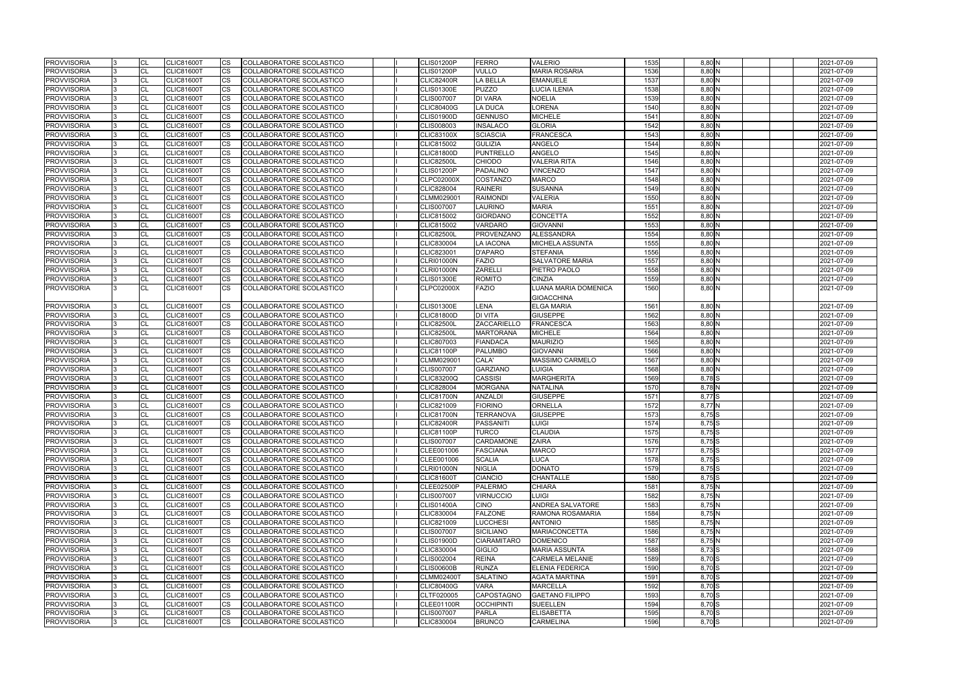| 1535              | 8,80 N              |    |  | 2021-07-09 |
|-------------------|---------------------|----|--|------------|
| 1536              | 8,80 N              |    |  | 2021-07-09 |
| 1537              | 8,80 N              |    |  | 2021-07-09 |
| 1538              | 8,80 N              |    |  | 2021-07-09 |
| 1539              | 8,80 N              |    |  | 2021-07-09 |
| 1540              | 8,80N               |    |  | 2021-07-09 |
| 1541              | 8,80 N              |    |  | 2021-07-09 |
| 1542              | $8,80$ N            |    |  | 2021-07-09 |
| 1543              | 8,80N               |    |  | 2021-07-09 |
| $\overline{1}544$ | $8,80$ <sub>N</sub> |    |  | 2021-07-09 |
| 1545              | 8,80 N              |    |  | 2021-07-09 |
| 1546              | 8,80N               |    |  | 2021-07-09 |
| 1547              | 8,80 N              |    |  | 2021-07-09 |
| -<br>1548         | 8,80 N              |    |  | 2021-07-09 |
| 1549              | 8,80 N              |    |  | 2021-07-09 |
|                   |                     |    |  |            |
| 1550              | 8,80 N              |    |  | 2021-07-09 |
| 1551              | $8,80\,N$           |    |  | 2021-07-09 |
| 1552              | 8,80 N              |    |  | 2021-07-09 |
| 1553              | $8,80\,N$           |    |  | 2021-07-09 |
| 1554              | 8,80 N              |    |  | 2021-07-09 |
| 1555              | $8,80$ N            |    |  | 2021-07-09 |
| 1556              | $8,80$ N            |    |  | 2021-07-09 |
| 1557              | 8,80 N              |    |  | 2021-07-09 |
| 1558              | 8,80 N              |    |  | 2021-07-09 |
| 1559              | 8,80N               |    |  | 2021-07-09 |
| 1560              | 8,80 N              |    |  | 2021-07-09 |
|                   |                     |    |  |            |
| 1561              | $8,80$ <sub>N</sub> |    |  | 2021-07-09 |
| 1562              | $8,80$ N            |    |  | 2021-07-09 |
| 1563              | 8,80 N              |    |  | 2021-07-09 |
| 1564              | 8,80 N              |    |  | 2021-07-09 |
| 1565              | 8,80 N              |    |  | 2021-07-09 |
| 1566              | 8,80 N              |    |  | 2021-07-09 |
| 1567              | 8,80N               |    |  | 2021-07-09 |
| 1568              | 8,80 N              |    |  | 2021-07-09 |
| 1569              | 8,78 S              |    |  | 2021-07-09 |
| 1570              | 8,78 N              |    |  | 2021-07-09 |
| 1571              | 8,77                | lS |  | 2021-07-09 |
| 1572              | 8,77                | N  |  | 2021-07-09 |
| 1573              | 8,75 S              |    |  | 2021-07-09 |
| 1574              | $8,75$ S            |    |  | 2021-07-09 |
| 1575              | 8,75 S              |    |  | 2021-07-09 |
| 1576              | 8,75 S              |    |  | 2021-07-09 |
| 1577              | 8,75 S              |    |  | 2021-07-09 |
| $\overline{1578}$ | 8,75 S              |    |  | 2021-07-09 |
| 1579              | 8,75 S              |    |  | 2021-07-09 |
| 1580              | 8,75S               |    |  | 2021-07-09 |
| 1581              | 8,75 N              |    |  | 2021-07-09 |
| 1582              | 8,75 N              |    |  | 2021-07-09 |
| 1583              | 8,75 N              |    |  | 2021-07-09 |
| _<br>1584         | 8,75 N              |    |  | 2021-07-09 |
| 1585              | 8,75 N              |    |  | 2021-07-09 |
| 1586              | 8,75 N              |    |  | 2021-07-09 |
| 1587              | 8,75 N              |    |  | 2021-07-09 |
| 1588              | 8,73 S              |    |  | 2021-07-09 |
| 1589              | 8,70 S              |    |  | 2021-07-09 |
| 1590              | $8,70$ S            |    |  | 2021-07-09 |
| 1591              | 8,70 S              |    |  | 2021-07-09 |
| 1592              | 8,70 S              |    |  | 2021-07-09 |
| 1593              | 8,70 S              |    |  | 2021-07-09 |
| 1594              |                     |    |  |            |
|                   | 8,70 S              |    |  | 2021-07-09 |
| 1595              | 8,70 S              |    |  | 2021-07-09 |
| 1596              | 8,70                | S  |  | 2021-07-09 |

| <b>PROVVISORIA</b> | <b>CL</b> | <b>CLIC81600T</b> | <b>CS</b> | COLLABORATORE SCOLASTICO        |  | CLIS01200P        | <b>FERRO</b>       | <b>VALERIO</b>         | 1535 | 8,80 N   | 2021-07-09 |
|--------------------|-----------|-------------------|-----------|---------------------------------|--|-------------------|--------------------|------------------------|------|----------|------------|
| <b>PROVVISORIA</b> | <b>CL</b> | <b>CLIC81600T</b> | <b>CS</b> | <b>COLLABORATORE SCOLASTICO</b> |  | <b>CLIS01200P</b> | <b>VULLO</b>       | <b>MARIA ROSARIA</b>   | 1536 | 8,80 N   | 2021-07-09 |
| <b>PROVVISORIA</b> | CL        | <b>CLIC81600T</b> | CS.       | COLLABORATORE SCOLASTICO        |  | <b>CLIC82400R</b> | <b>LA BELLA</b>    | <b>EMANUELE</b>        | 1537 | 8,80 N   | 2021-07-09 |
| <b>PROVVISORIA</b> | <b>CL</b> | <b>CLIC81600T</b> | CS        | COLLABORATORE SCOLASTICO        |  | <b>CLIS01300E</b> | <b>PUZZO</b>       | LUCIA ILENIA           | 1538 | 8,80 N   | 2021-07-09 |
| <b>PROVVISORIA</b> | <b>CL</b> | <b>CLIC81600T</b> | CS        | COLLABORATORE SCOLASTICO        |  | <b>CLIS007007</b> | <b>DI VARA</b>     | NOELIA                 | 1539 | 8,80 N   | 2021-07-09 |
| <b>PROVVISORIA</b> | CL        | <b>CLIC81600T</b> | CS        | COLLABORATORE SCOLASTICO        |  | <b>CLIC80400G</b> | <b>LA DUCA</b>     | LORENA                 | 1540 | 8,80 N   | 2021-07-09 |
| <b>PROVVISORIA</b> | <b>CL</b> | <b>CLIC81600T</b> | CS        | <b>COLLABORATORE SCOLASTICO</b> |  | <b>CLIS01900D</b> | <b>GENNUSO</b>     | <b>MICHELE</b>         | 1541 | 8,80 N   | 2021-07-09 |
| <b>PROVVISORIA</b> | CL        | <b>CLIC81600T</b> | CS        | COLLABORATORE SCOLASTICO        |  | CLIS008003        | <b>INSALACO</b>    | <b>GLORIA</b>          | 1542 | 8,80 N   | 2021-07-09 |
| <b>PROVVISORIA</b> | CL        | <b>CLIC81600T</b> | CS.       | COLLABORATORE SCOLASTICO        |  | <b>CLIC83100X</b> | <b>SCIASCIA</b>    | <b>FRANCESCA</b>       | 1543 | 8,80 N   | 2021-07-09 |
| <b>PROVVISORIA</b> | <b>CL</b> | <b>CLIC81600T</b> | CS        | COLLABORATORE SCOLASTICO        |  | CLIC815002        | <b>GULIZIA</b>     | ANGELO                 | 1544 | 8,80 N   | 2021-07-09 |
| <b>PROVVISORIA</b> | CL        | <b>CLIC81600T</b> | CS        | COLLABORATORE SCOLASTICO        |  | <b>CLIC81800D</b> | <b>PUNTRELLO</b>   | ANGELO                 | 1545 | 8,80 N   | 2021-07-09 |
| <b>PROVVISORIA</b> | <b>CL</b> | <b>CLIC81600T</b> | CS        | COLLABORATORE SCOLASTICO        |  | <b>CLIC82500L</b> | <b>CHIODO</b>      | <b>VALERIA RITA</b>    | 1546 | $8,80$ N | 2021-07-09 |
| <b>PROVVISORIA</b> | <b>CL</b> | <b>CLIC81600T</b> | <b>CS</b> | COLLABORATORE SCOLASTICO        |  | <b>CLIS01200P</b> | <b>PADALINO</b>    | <b>VINCENZO</b>        | 1547 | 8,80 N   | 2021-07-09 |
| <b>PROVVISORIA</b> | <b>CL</b> | <b>CLIC81600T</b> | <b>CS</b> | COLLABORATORE SCOLASTICO        |  | <b>CLPC02000X</b> | COSTANZO           | <b>MARCO</b>           | 1548 | 8,80 N   | 2021-07-09 |
| <b>PROVVISORIA</b> | <b>CL</b> | <b>CLIC81600T</b> | CS        | COLLABORATORE SCOLASTICO        |  | <b>CLIC828004</b> | <b>RAINERI</b>     | <b>SUSANNA</b>         | 1549 | 8,80 N   | 2021-07-09 |
| <b>PROVVISORIA</b> | <b>CL</b> | <b>CLIC81600T</b> | CS        | COLLABORATORE SCOLASTICO        |  | CLMM029001        | <b>RAIMONDI</b>    | <b>VALERIA</b>         | 1550 | 8,80 N   | 2021-07-09 |
| <b>PROVVISORIA</b> | CL        | <b>CLIC81600T</b> | CS        | COLLABORATORE SCOLASTICO        |  | <b>CLIS007007</b> | <b>LAURINO</b>     | <b>MARIA</b>           | 1551 | 8,80 N   | 2021-07-09 |
| <b>PROVVISORIA</b> | <b>CL</b> | <b>CLIC81600T</b> | CS        | COLLABORATORE SCOLASTICO        |  | CLIC815002        | <b>GIORDANO</b>    | <b>CONCETTA</b>        | 1552 | 8,80 N   | 2021-07-09 |
| <b>PROVVISORIA</b> | <b>CL</b> | <b>CLIC81600T</b> | CS        | COLLABORATORE SCOLASTICO        |  | <b>CLIC815002</b> | <b>VARDARO</b>     | <b>GIOVANNI</b>        | 1553 | 8,80 N   | 2021-07-09 |
| <b>PROVVISORIA</b> | CL        | <b>CLIC81600T</b> | <b>CS</b> | COLLABORATORE SCOLASTICO        |  | <b>CLIC82500L</b> | <b>PROVENZANO</b>  | <b>ALESSANDRA</b>      | 1554 | 8,80 N   | 2021-07-09 |
| <b>PROVVISORIA</b> | <b>CL</b> | <b>CLIC81600T</b> | CS        | COLLABORATORE SCOLASTICO        |  | CLIC830004        | <b>LA IACONA</b>   | MICHELA ASSUNTA        | 1555 | 8,80 N   | 2021-07-09 |
| <b>PROVVISORIA</b> | <b>CL</b> | <b>CLIC81600T</b> | CS        | COLLABORATORE SCOLASTICO        |  | CLIC823001        | <b>D'APARO</b>     | <b>STEFANIA</b>        | 1556 | 8,80 N   | 2021-07-09 |
| <b>PROVVISORIA</b> | <b>CL</b> | <b>CLIC81600T</b> | CS        | COLLABORATORE SCOLASTICO        |  | <b>CLRI01000N</b> | <b>FAZIO</b>       | <b>SALVATORE MARIA</b> | 1557 | 8,80 N   | 2021-07-09 |
| <b>PROVVISORIA</b> | <b>CL</b> | <b>CLIC81600T</b> | CS        | COLLABORATORE SCOLASTICO        |  | <b>CLRI01000N</b> | <b>ZARELLI</b>     | PIETRO PAOLO           | 1558 | 8,80 N   | 2021-07-09 |
| <b>PROVVISORIA</b> | CL        | <b>CLIC81600T</b> | CS        | COLLABORATORE SCOLASTICO        |  | <b>CLIS01300E</b> | <b>ROMITO</b>      | CINZIA                 | 1559 | 8,80 N   | 2021-07-09 |
| <b>PROVVISORIA</b> | <b>CL</b> | <b>CLIC81600T</b> | <b>CS</b> | <b>COLLABORATORE SCOLASTICO</b> |  | <b>CLPC02000X</b> | FAZIO              | LUANA MARIA DOMENICA   | 1560 | 8,80 N   | 2021-07-09 |
|                    |           |                   |           |                                 |  |                   |                    | <b>GIOACCHINA</b>      |      |          |            |
| <b>PROVVISORIA</b> | CL        | <b>CLIC81600T</b> | CS        | COLLABORATORE SCOLASTICO        |  | <b>CLIS01300E</b> | <b>LENA</b>        | ELGA MARIA             | 1561 | 8,80 N   | 2021-07-09 |
| <b>PROVVISORIA</b> | <b>CL</b> | <b>CLIC81600T</b> | CS        | COLLABORATORE SCOLASTICO        |  | <b>CLIC81800D</b> | <b>DI VITA</b>     | <b>GIUSEPPE</b>        | 1562 | 8,80 N   | 2021-07-09 |
| <b>PROVVISORIA</b> | CL        | <b>CLIC81600T</b> | CS        | COLLABORATORE SCOLASTICO        |  | <b>CLIC82500L</b> | ZACCARIELLO        | <b>FRANCESCA</b>       | 1563 | 8,80 N   | 2021-07-09 |
| <b>PROVVISORIA</b> | <b>CL</b> | <b>CLIC81600T</b> | CS        | COLLABORATORE SCOLASTICO        |  | <b>CLIC82500L</b> | <b>MARTORANA</b>   | MICHELE                | 1564 | 8,80 N   | 2021-07-09 |
| <b>PROVVISORIA</b> | <b>CL</b> | <b>CLIC81600T</b> | <b>CS</b> | COLLABORATORE SCOLASTICO        |  | CLIC807003        | <b>FIANDACA</b>    | <b>MAURIZIO</b>        | 1565 | 8,80 N   | 2021-07-09 |
| <b>PROVVISORIA</b> | <b>CL</b> | <b>CLIC81600T</b> | CS        | COLLABORATORE SCOLASTICO        |  | <b>CLIC81100P</b> | <b>PALUMBO</b>     | <b>GIOVANNI</b>        | 1566 | 8,80 N   | 2021-07-09 |
| <b>PROVVISORIA</b> | CL        | <b>CLIC81600T</b> | CS.       | COLLABORATORE SCOLASTICO        |  | CLMM029001        | CALA'              | <b>MASSIMO CARMELO</b> | 1567 | 8,80 N   | 2021-07-09 |
| <b>PROVVISORIA</b> | <b>CL</b> | <b>CLIC81600T</b> | CS        | COLLABORATORE SCOLASTICO        |  | <b>CLIS007007</b> | <b>GARZIANO</b>    | LUIGIA                 | 1568 | 8,80 N   | 2021-07-09 |
| <b>PROVVISORIA</b> | CL        | <b>CLIC81600T</b> | CS        | COLLABORATORE SCOLASTICO        |  | <b>CLIC83200Q</b> | <b>CASSISI</b>     | <b>MARGHERITA</b>      | 1569 | 8,78 S   | 2021-07-09 |
| <b>PROVVISORIA</b> | CL        | <b>CLIC81600T</b> | CS        | COLLABORATORE SCOLASTICO        |  | <b>CLIC828004</b> | <b>MORGANA</b>     | <b>NATALINA</b>        | 1570 | 8,78 N   | 2021-07-09 |
| <b>PROVVISORIA</b> | <b>CL</b> | <b>CLIC81600T</b> | <b>CS</b> | COLLABORATORE SCOLASTICO        |  | <b>CLIC81700N</b> | <b>ANZALDI</b>     | <b>GIUSEPPE</b>        | 1571 | 8,77 S   | 2021-07-09 |
| <b>PROVVISORIA</b> | <b>CL</b> | <b>CLIC81600T</b> | CS.       | COLLABORATORE SCOLASTICO        |  | CLIC821009        | <b>FIORINO</b>     | <b>ORNELLA</b>         | 1572 | 8,77 N   | 2021-07-09 |
| <b>PROVVISORIA</b> | CL        | <b>CLIC81600T</b> | <b>CS</b> | COLLABORATORE SCOLASTICO        |  | <b>CLIC81700N</b> | <b>TERRANOVA</b>   | <b>GIUSEPPE</b>        | 1573 | 8,75 S   | 2021-07-09 |
| <b>PROVVISORIA</b> | <b>CI</b> | <b>CLIC81600T</b> | <b>CS</b> | <b>COLLABORATORE SCOLASTICO</b> |  | <b>CLIC82400R</b> | PASSANITI          | LUIGI                  | 1574 | 8,75 S   | 2021-07-09 |
| <b>PROVVISORIA</b> | <b>CL</b> | <b>CLIC81600T</b> | CS        | COLLABORATORE SCOLASTICO        |  | <b>CLIC81100P</b> | <b>TURCO</b>       | <b>CLAUDIA</b>         | 1575 | 8,75 S   | 2021-07-09 |
| <b>PROVVISORIA</b> | CL        | <b>CLIC81600T</b> | <b>CS</b> | COLLABORATORE SCOLASTICO        |  | <b>CLIS007007</b> | <b>CARDAMONE</b>   | <b>ZAIRA</b>           | 1576 | $8,75$ S | 2021-07-09 |
| <b>PROVVISORIA</b> | <b>CL</b> | <b>CLIC81600T</b> | <b>CS</b> | COLLABORATORE SCOLASTICO        |  | CLEE001006        | <b>FASCIANA</b>    | <b>MARCO</b>           | 1577 | 8,75 S   | 2021-07-09 |
| <b>PROVVISORIA</b> | CL        | <b>CLIC81600T</b> | <b>CS</b> | COLLABORATORE SCOLASTICO        |  | CLEE001006        | <b>SCALIA</b>      | <b>LUCA</b>            | 1578 | 8,75 S   | 2021-07-09 |
| <b>PROVVISORIA</b> | <b>CL</b> | <b>CLIC81600T</b> | <b>CS</b> | COLLABORATORE SCOLASTICO        |  | <b>CLRI01000N</b> | <b>NIGLIA</b>      | <b>DONATO</b>          | 1579 | 8,75 S   | 2021-07-09 |
| <b>PROVVISORIA</b> | <b>CL</b> | <b>CLIC81600T</b> | CS        | COLLABORATORE SCOLASTICO        |  | <b>CLIC81600T</b> | <b>CIANCIO</b>     | CHANTALLE              | 1580 | $8,75$ S | 2021-07-09 |
| <b>PROVVISORIA</b> | CL        | <b>CLIC81600T</b> | CS        | COLLABORATORE SCOLASTICO        |  | CLEE02500P        | <b>PALERMO</b>     | CHIARA                 | 1581 | 8,75N    | 2021-07-09 |
| <b>PROVVISORIA</b> | <b>CL</b> | <b>CLIC81600T</b> | CS.       | COLLABORATORE SCOLASTICO        |  | <b>CLIS007007</b> | <b>VIRNUCCIO</b>   | LUIGI                  | 1582 | 8,75N    | 2021-07-09 |
| <b>PROVVISORIA</b> | <b>CL</b> | <b>CLIC81600T</b> | CS        | COLLABORATORE SCOLASTICO        |  | <b>CLIS01400A</b> | <b>CINO</b>        | ANDREA SALVATORE       | 1583 | $8,75$ N | 2021-07-09 |
| <b>PROVVISORIA</b> | <b>CL</b> | <b>CLIC81600T</b> | <b>CS</b> | COLLABORATORE SCOLASTICO        |  | CLIC830004        | <b>FALZONE</b>     | RAMONA ROSAMARIA       | 1584 | $8,75$ N | 2021-07-09 |
| <b>PROVVISORIA</b> | <b>CL</b> | <b>CLIC81600T</b> | <b>CS</b> | COLLABORATORE SCOLASTICO        |  | CLIC821009        | <b>LUCCHESI</b>    | <b>ANTONIO</b>         | 1585 | 8,75N    | 2021-07-09 |
| <b>PROVVISORIA</b> | <b>CL</b> | <b>CLIC81600T</b> | CS        | COLLABORATORE SCOLASTICO        |  | <b>CLIS007007</b> | <b>SICILIANO</b>   | <b>MARIACONCETTA</b>   | 1586 | 8,75 N   | 2021-07-09 |
| <b>PROVVISORIA</b> | <b>CL</b> | <b>CLIC81600T</b> | CS        | COLLABORATORE SCOLASTICO        |  | <b>CLIS01900D</b> | <b>CIARAMITARO</b> | <b>DOMENICO</b>        | 1587 | 8,75N    | 2021-07-09 |
| <b>PROVVISORIA</b> | CL        | <b>CLIC81600T</b> | CS        | COLLABORATORE SCOLASTICO        |  | CLIC830004        | <b>GIGLIO</b>      | <b>MARIA ASSUNTA</b>   | 1588 | 8,73 S   | 2021-07-09 |
| <b>PROVVISORIA</b> | CL        | CLIC81600T        | CS        | COLLABORATORE SCOLASTICO        |  | CLIS002004        | <b>REINA</b>       | CARMELA MELANIE        | 1589 | 8,70 S   | 2021-07-09 |
| <b>PROVVISORIA</b> | <b>CL</b> | <b>CLIC81600T</b> | <b>CS</b> | COLLABORATORE SCOLASTICO        |  | <b>CLIS00600B</b> | <b>RUNZA</b>       | <b>ELENIA FEDERICA</b> | 1590 | 8,70 S   | 2021-07-09 |
| <b>PROVVISORIA</b> | CL        | <b>CLIC81600T</b> | CS.       | COLLABORATORE SCOLASTICO        |  | <b>CLMM02400T</b> | <b>SALATINO</b>    | <b>AGATA MARTINA</b>   | 1591 | 8,70 S   | 2021-07-09 |
| <b>PROVVISORIA</b> | CL        | <b>CLIC81600T</b> | CS        | COLLABORATORE SCOLASTICO        |  | <b>CLIC80400G</b> | <b>VARA</b>        | MARCELLA               | 1592 | 8,70 S   | 2021-07-09 |
| <b>PROVVISORIA</b> | <b>CL</b> | <b>CLIC81600T</b> | CS        | COLLABORATORE SCOLASTICO        |  | CLTF020005        | <b>CAPOSTAGNO</b>  | <b>GAETANO FILIPPO</b> | 1593 | 8,70 S   | 2021-07-09 |
| <b>PROVVISORIA</b> | CL        | <b>CLIC81600T</b> | CS        | COLLABORATORE SCOLASTICO        |  | CLEE01100R        | <b>OCCHIPINTI</b>  | SUEELLEN               | 1594 | 8,70 S   | 2021-07-09 |
| <b>PROVVISORIA</b> | <b>CL</b> | <b>CLIC81600T</b> | <b>CS</b> | COLLABORATORE SCOLASTICO        |  | <b>CLIS007007</b> | <b>PARLA</b>       | <b>ELISABETTA</b>      | 1595 | 8,70 S   | 2021-07-09 |
| <b>PROVVISORIA</b> | <b>CL</b> | <b>CLIC81600T</b> | <b>CS</b> | COLLABORATORE SCOLASTICO        |  | CLIC830004        | <b>BRUNCO</b>      | <b>CARMELINA</b>       | 1596 | 8,70 S   | 2021-07-09 |
|                    |           |                   |           |                                 |  |                   |                    |                        |      |          |            |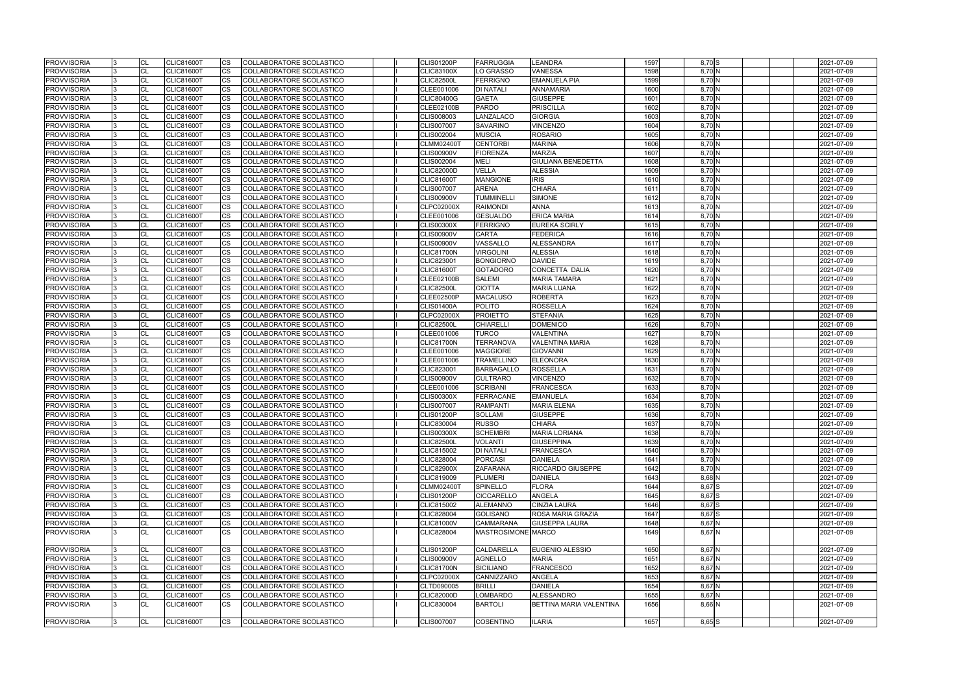| <b>PROVVISORIA</b> | CL        | CLIC81600T        | CS                     | COLLABORATORE SCOLASTICO        |  | <b>CLIS01200P</b>               | <b>FARRUGGIA</b>                  | <b>LEANDRA</b>                             | 1597 | 8,70 S   | 2021-07-09 |
|--------------------|-----------|-------------------|------------------------|---------------------------------|--|---------------------------------|-----------------------------------|--------------------------------------------|------|----------|------------|
| <b>PROVVISORIA</b> | CL        | <b>CLIC81600T</b> | <b>CS</b>              | <b>COLLABORATORE SCOLASTICO</b> |  | <b>CLIC83100X</b>               | LO GRASSO                         | <b>VANESSA</b>                             | 1598 | 8,70 N   | 2021-07-09 |
| <b>PROVVISORIA</b> | CL        | <b>CLIC81600T</b> | <b>CS</b>              | COLLABORATORE SCOLASTICO        |  | <b>CLIC82500L</b>               | <b>FERRIGNO</b>                   | <b>EMANUELA PIA</b>                        | 1599 | 8,70 N   | 2021-07-09 |
| <b>PROVVISORIA</b> | CL        | CLIC81600T        | CS                     | COLLABORATORE SCOLASTICO        |  | CLEE001006                      | DI NATALI                         | <b>ANNAMARIA</b>                           | 1600 | 8,70 N   | 2021-07-09 |
| <b>PROVVISORIA</b> | CL        | <b>CLIC81600T</b> | <b>CS</b>              | COLLABORATORE SCOLASTICO        |  | <b>CLIC80400G</b>               | <b>GAETA</b>                      | <b>GIUSEPPE</b>                            | 1601 | 8,70 N   | 2021-07-09 |
| <b>PROVVISORIA</b> | <b>CL</b> | <b>CLIC81600T</b> | <b>CS</b>              | COLLABORATORE SCOLASTICO        |  | <b>CLEE02100B</b>               | <b>PARDO</b>                      | <b>PRISCILLA</b>                           | 1602 | 8,70 N   | 2021-07-09 |
| <b>PROVVISORIA</b> | CL        | <b>CLIC81600T</b> | <b>CS</b>              | COLLABORATORE SCOLASTICO        |  | CLIS008003                      | LANZALACO                         | <b>GIORGIA</b>                             | 1603 | 8,70 N   | 2021-07-09 |
| <b>PROVVISORIA</b> | CL        | <b>CLIC81600T</b> | <b>CS</b>              | COLLABORATORE SCOLASTICO        |  | <b>CLIS007007</b>               | <b>SAVARINO</b>                   | <b>VINCENZO</b>                            | 1604 | 8,70 N   | 2021-07-09 |
| <b>PROVVISORIA</b> | CL        | <b>CLIC81600T</b> | <b>CS</b>              | COLLABORATORE SCOLASTICO        |  | <b>CLIS002004</b>               | <b>MUSCIA</b>                     | <b>ROSARIO</b>                             | 1605 | 8,70 N   | 2021-07-09 |
| <b>PROVVISORIA</b> | <b>CL</b> | <b>CLIC81600T</b> | CS                     | COLLABORATORE SCOLASTICO        |  | <b>CLMM02400T</b>               | <b>CENTORBI</b>                   | <b>MARINA</b>                              | 1606 | 8,70 N   | 2021-07-09 |
| <b>PROVVISORIA</b> | <b>CL</b> | <b>CLIC81600T</b> | $\overline{\text{cs}}$ | COLLABORATORE SCOLASTICO        |  | <b>CLIS00900V</b>               | <b>FIORENZA</b>                   | <b>MARZIA</b>                              | 1607 | 8,70N    | 2021-07-09 |
| <b>PROVVISORIA</b> | CL        | <b>CLIC81600T</b> | <b>CS</b>              | <b>COLLABORATORE SCOLASTICO</b> |  | CLIS002004                      | <b>MELI</b>                       | <b>GIULIANA BENEDETTA</b>                  | 1608 | 8,70 N   | 2021-07-09 |
| <b>PROVVISORIA</b> | CL        | <b>CLIC81600T</b> | <b>CS</b>              | COLLABORATORE SCOLASTICO        |  | <b>CLIC82000D</b>               | <b>VELLA</b>                      | <b>ALESSIA</b>                             | 1609 | 8,70 N   | 2021-07-09 |
| <b>PROVVISORIA</b> | CL        | <b>CLIC81600T</b> | <b>CS</b>              | COLLABORATORE SCOLASTICO        |  | <b>CLIC81600T</b>               | <b>MANGIONE</b>                   | <b>IRIS</b>                                | 1610 | 8,70 N   | 2021-07-09 |
| <b>PROVVISORIA</b> | CL        | <b>CLIC81600T</b> | CS                     | COLLABORATORE SCOLASTICO        |  | <b>CLIS007007</b>               | <b>ARENA</b>                      | <b>CHIARA</b>                              | 1611 | 8,70 N   | 2021-07-09 |
| <b>PROVVISORIA</b> | <b>CL</b> | <b>CLIC81600T</b> | CS                     | COLLABORATORE SCOLASTICO        |  | <b>CLIS00900V</b>               | <b>TUMMINELLI</b>                 | <b>SIMONE</b>                              | 1612 | 8,70 N   | 2021-07-09 |
| <b>PROVVISORIA</b> | CL        | <b>CLIC81600T</b> | <b>CS</b>              | COLLABORATORE SCOLASTICO        |  | <b>CLPC02000X</b>               | <b>RAIMONDI</b>                   | <b>ANNA</b>                                | 1613 | 8,70 N   | 2021-07-09 |
| <b>PROVVISORIA</b> | CL        | <b>CLIC81600T</b> | <b>CS</b>              | COLLABORATORE SCOLASTICO        |  | CLEE001006                      | <b>GESUALDO</b>                   | <b>ERICA MARIA</b>                         | 1614 | 8,70 N   | 2021-07-09 |
| <b>PROVVISORIA</b> | CL        | <b>CLIC81600T</b> | $\overline{\text{cs}}$ | COLLABORATORE SCOLASTICO        |  | <b>CLIS00300X</b>               | <b>FERRIGNO</b>                   | <b>EUREKA SCIRLY</b>                       | 1615 | 8,70 N   | 2021-07-09 |
| <b>PROVVISORIA</b> | CL        | <b>CLIC81600T</b> | <b>CS</b>              | COLLABORATORE SCOLASTICO        |  | <b>CLIS00900V</b>               | <b>CARTA</b>                      | <b>FEDERICA</b>                            | 1616 | 8,70 N   | 2021-07-09 |
| <b>PROVVISORIA</b> | <b>CL</b> | <b>CLIC81600T</b> | <b>CS</b>              | COLLABORATORE SCOLASTICO        |  | <b>CLIS00900V</b>               | VASSALLO                          | <b>ALESSANDRA</b>                          | 1617 | 8,70 N   | 2021-07-09 |
| <b>PROVVISORIA</b> | CL        | <b>CLIC81600T</b> | CS                     | COLLABORATORE SCOLASTICO        |  | <b>CLIC81700N</b>               | <b>VIRGOLINI</b>                  | <b>ALESSIA</b>                             | 1618 | 8,70 N   | 2021-07-09 |
| <b>PROVVISORIA</b> | CL        | CLIC81600T        | CS                     | COLLABORATORE SCOLASTICO        |  | CLIC823001                      | <b>BONGIORNO</b>                  | <b>DAVIDE</b>                              | 1619 | 8,70 N   | 2021-07-09 |
| <b>PROVVISORIA</b> | CL        | <b>CLIC81600T</b> | <b>CS</b>              | COLLABORATORE SCOLASTICO        |  | <b>CLIC81600T</b>               | <b>GOTADORO</b>                   | CONCETTA DALIA                             | 1620 | 8,70 N   | 2021-07-09 |
| <b>PROVVISORIA</b> | CL        | <b>CLIC81600T</b> | <b>CS</b>              | COLLABORATORE SCOLASTICO        |  | <b>CLEE02100B</b>               | <b>SALEMI</b>                     | <b>MARIA TAMARA</b>                        | 1621 | 8,70 N   | 2021-07-09 |
| <b>PROVVISORIA</b> | CL        | <b>CLIC81600T</b> | <b>CS</b>              | COLLABORATORE SCOLASTICO        |  | <b>CLIC82500L</b>               | <b>CIOTTA</b>                     | <b>MARIA LUANA</b>                         | 1622 | 8,70 N   | 2021-07-09 |
| <b>PROVVISORIA</b> | CL        | <b>CLIC81600T</b> | <b>CS</b>              | COLLABORATORE SCOLASTICO        |  | <b>CLEE02500P</b>               | <b>MACALUSO</b>                   | <b>ROBERTA</b>                             | 1623 | 8,70 N   | 2021-07-09 |
| <b>PROVVISORIA</b> | CL        | <b>CLIC81600T</b> | <b>CS</b>              | COLLABORATORE SCOLASTICO        |  | <b>CLIS01400A</b>               | <b>POLITO</b>                     | <b>ROSSELLA</b>                            | 1624 | 8,70 N   | 2021-07-09 |
| <b>PROVVISORIA</b> | CL        | CLIC81600T        | CS                     | COLLABORATORE SCOLASTICO        |  | <b>CLPC02000X</b>               | <b>PROIETTO</b>                   | <b>STEFANIA</b>                            | 1625 | 8,70 N   | 2021-07-09 |
| <b>PROVVISORIA</b> | <b>CL</b> | <b>CLIC81600T</b> | <b>CS</b>              | COLLABORATORE SCOLASTICO        |  | <b>CLIC82500L</b>               | CHIARELLI                         | <b>DOMENICO</b>                            | 1626 | 8,70 N   | 2021-07-09 |
| <b>PROVVISORIA</b> | CL        | <b>CLIC81600T</b> | <b>CS</b>              | COLLABORATORE SCOLASTICO        |  | CLEE001006                      | <b>TURCO</b>                      | <b>VALENTINA</b>                           | 1627 | 8,70 N   | 2021-07-09 |
| <b>PROVVISORIA</b> | CL        | <b>CLIC81600T</b> | <b>CS</b>              | COLLABORATORE SCOLASTICO        |  | <b>CLIC81700N</b>               | <b>TERRANOVA</b>                  | <b>VALENTINA MARIA</b>                     | 1628 | 8,70 N   | 2021-07-09 |
| <b>PROVVISORIA</b> | CL        | <b>CLIC81600T</b> | <b>CS</b>              | COLLABORATORE SCOLASTICO        |  | CLEE001006                      | <b>MAGGIORE</b>                   | <b>GIOVANNI</b>                            | 1629 | 8,70 N   | 2021-07-09 |
| <b>PROVVISORIA</b> | CL        | <b>CLIC81600T</b> | CS                     | COLLABORATORE SCOLASTICO        |  | CLEE001006                      | <b>TRAMELLINO</b>                 | <b>ELEONORA</b>                            | 1630 | 8,70 N   | 2021-07-09 |
| <b>PROVVISORIA</b> | <b>CL</b> | <b>CLIC81600T</b> | CS                     | COLLABORATORE SCOLASTICO        |  | CLIC823001                      | <b>BARBAGALLO</b>                 | <b>ROSSELLA</b>                            | 1631 | 8,70 N   | 2021-07-09 |
| <b>PROVVISORIA</b> | CL        | <b>CLIC81600T</b> | <b>CS</b>              | COLLABORATORE SCOLASTICO        |  | <b>CLIS00900V</b>               | <b>CULTRARO</b>                   | <b>VINCENZO</b>                            | 1632 | 8,70 N   | 2021-07-09 |
| <b>PROVVISORIA</b> | CL        | <b>CLIC81600T</b> | <b>CS</b>              | COLLABORATORE SCOLASTICO        |  | CLEE001006                      | <b>SCRIBANI</b>                   | <b>FRANCESCA</b>                           | 1633 | 8,70 N   | 2021-07-09 |
| <b>PROVVISORIA</b> | <b>CL</b> | <b>CLIC81600T</b> | <b>CS</b>              | COLLABORATORE SCOLASTICO        |  | <b>CLIS00300X</b>               | <b>FERRACANE</b>                  | <b>EMANUELA</b>                            | 1634 | 8,70 N   | 2021-07-09 |
| <b>PROVVISORIA</b> | CL        | <b>CLIC81600T</b> | <b>CS</b>              | COLLABORATORE SCOLASTICO        |  | <b>CLIS007007</b>               | <b>RAMPANTI</b>                   | <b>MARIA ELENA</b>                         | 1635 | 8,70 N   | 2021-07-09 |
| <b>PROVVISORIA</b> | <b>CL</b> | <b>CLIC81600T</b> | CS.                    | COLLABORATORE SCOLASTICO        |  | <b>CLIS01200P</b>               | <b>SOLLAMI</b>                    | <b>GIUSEPPE</b>                            | 1636 | 8,70 N   | 2021-07-09 |
| <b>PROVVISORIA</b> | <b>CL</b> | <b>CLIC81600T</b> | $\overline{\text{cs}}$ | COLLABORATORE SCOLASTICO        |  | CLIC830004                      | <b>RUSSO</b>                      | <b>CHIARA</b>                              | 1637 | 8.70 N   | 2021-07-09 |
| <b>PROVVISORIA</b> | <b>CL</b> | <b>CLIC81600T</b> | <b>CS</b>              | COLLABORATORE SCOLASTICO        |  | <b>CLIS00300X</b>               | <b>SCHEMBRI</b>                   | <b>MARIA LORIANA</b>                       | 1638 | 8,70 N   | 2021-07-09 |
| <b>PROVVISORIA</b> | CL        | <b>CLIC81600T</b> | <b>CS</b>              | COLLABORATORE SCOLASTICO        |  | <b>CLIC82500L</b>               | <b>VOLANTI</b>                    | <b>GIUSEPPINA</b>                          | 1639 | 8,70 N   | 2021-07-09 |
| <b>PROVVISORIA</b> | <b>CL</b> | <b>CLIC81600T</b> | $\overline{\text{cs}}$ | COLLABORATORE SCOLASTICO        |  | CLIC815002                      | <b>DI NATALI</b>                  | <b>FRANCESCA</b>                           | 1640 | 8,70N    | 2021-07-09 |
| <b>PROVVISORIA</b> | <b>CL</b> | <b>CLIC81600T</b> | <b>CS</b>              | COLLABORATORE SCOLASTICO        |  |                                 | <b>PORCASI</b>                    |                                            | 1641 | 8,70 N   |            |
| <b>PROVVISORIA</b> | CL        |                   | <b>CS</b>              | COLLABORATORE SCOLASTICO        |  | CLIC828004<br><b>CLIC82900X</b> | <b>ZAFARANA</b>                   | <b>DANIELA</b><br><b>RICCARDO GIUSEPPE</b> | 1642 | 8,70 N   | 2021-07-09 |
|                    |           | <b>CLIC81600T</b> |                        |                                 |  |                                 |                                   |                                            |      | 8,68 N   | 2021-07-09 |
| <b>PROVVISORIA</b> | <b>CL</b> | <b>CLIC81600T</b> | <b>CS</b>              | COLLABORATORE SCOLASTICO        |  | CLIC819009                      | <b>PLUMERI</b><br><b>SPINELLO</b> | <b>DANIELA</b>                             | 1643 |          | 2021-07-09 |
| <b>PROVVISORIA</b> | <b>CL</b> | <b>CLIC81600T</b> | <b>CS</b>              | COLLABORATORE SCOLASTICO        |  | <b>CLMM02400T</b>               |                                   | <b>FLORA</b>                               | 1644 | 8,67 S   | 2021-07-09 |
| <b>PROVVISORIA</b> | <b>CL</b> | <b>CLIC81600T</b> | <b>CS</b>              | COLLABORATORE SCOLASTICO        |  | <b>CLIS01200P</b>               | <b>CICCARELLO</b>                 | ANGELA                                     | 1645 | 8,67 S   | 2021-07-09 |
| <b>PROVVISORIA</b> | <b>CL</b> | <b>CLIC81600T</b> | <b>CS</b>              | COLLABORATORE SCOLASTICO        |  | CLIC815002                      | <b>ALEMANNO</b>                   | <b>CINZIA LAURA</b>                        | 1646 | 8,67 S   | 2021-07-09 |
| <b>PROVVISORIA</b> | <b>CL</b> | <b>CLIC81600T</b> | <b>CS</b>              | COLLABORATORE SCOLASTICO        |  | CLIC828004                      | <b>GOLISANO</b>                   | <b>ROSA MARIA GRAZIA</b>                   | 1647 | 8,67 S   | 2021-07-09 |
| <b>PROVVISORIA</b> | CL        | <b>CLIC81600T</b> | CS                     | COLLABORATORE SCOLASTICO        |  | <b>CLIC81000V</b>               | <b>CAMMARANA</b>                  | <b>GIUSEPPA LAURA</b>                      | 1648 | $8,67$ N | 2021-07-09 |
| <b>PROVVISORIA</b> | <b>CL</b> | <b>CLIC81600T</b> | <b>CS</b>              | COLLABORATORE SCOLASTICO        |  | CLIC828004                      | MASTROSIMONE MARCO                |                                            | 1649 | $8,67$ N | 2021-07-09 |
| <b>PROVVISORIA</b> | <b>CL</b> | <b>CLIC81600T</b> | <b>CS</b>              | COLLABORATORE SCOLASTICO        |  | <b>CLIS01200P</b>               | CALDARELLA                        | EUGENIO ALESSIO                            | 1650 | $8,67$ N | 2021-07-09 |
| <b>PROVVISORIA</b> | <b>CL</b> | <b>CLIC81600T</b> | <b>CS</b>              | COLLABORATORE SCOLASTICO        |  | <b>CLIS00900V</b>               | <b>AGNELLO</b>                    | <b>MARIA</b>                               | 1651 | $8,67$ N | 2021-07-09 |
| <b>PROVVISORIA</b> | <b>CL</b> | <b>CLIC81600T</b> | CS                     | COLLABORATORE SCOLASTICO        |  | <b>CLIC81700N</b>               | <b>SICILIANO</b>                  | <b>FRANCESCO</b>                           | 1652 | 8,67 N   | 2021-07-09 |
| <b>PROVVISORIA</b> | <b>CL</b> | <b>CLIC81600T</b> | CS                     | COLLABORATORE SCOLASTICO        |  | <b>CLPC02000X</b>               | CANNIZZARO                        | <b>ANGELA</b>                              | 1653 | 8,67 N   | 2021-07-09 |
| <b>PROVVISORIA</b> | CL        | <b>CLIC81600T</b> | <b>CS</b>              | COLLABORATORE SCOLASTICO        |  | CLTD090005                      | <b>BRILLI</b>                     | <b>DANIELA</b>                             | 1654 | 8,67 N   | 2021-07-09 |
| <b>PROVVISORIA</b> | <b>CL</b> | <b>CLIC81600T</b> | CS                     | COLLABORATORE SCOLASTICO        |  | <b>CLIC82000D</b>               | LOMBARDO                          | <b>ALESSANDRO</b>                          | 1655 | 8,67 N   | 2021-07-09 |
| <b>PROVVISORIA</b> | CL        | <b>CLIC81600T</b> | <b>CS</b>              | COLLABORATORE SCOLASTICO        |  | CLIC830004                      | <b>BARTOLI</b>                    | BETTINA MARIA VALENTINA                    | 1656 | 8,66 N   | 2021-07-09 |
| <b>PROVVISORIA</b> | <b>CL</b> | <b>CLIC81600T</b> | <b>CS</b>              | COLLABORATORE SCOLASTICO        |  | <b>CLIS007007</b>               | <b>COSENTINO</b>                  | <b>ILARIA</b>                              | 1657 | $8,65$ S | 2021-07-09 |
|                    |           |                   |                        |                                 |  |                                 |                                   |                                            |      |          |            |

|  |  | 2021-07-09 |
|--|--|------------|
|  |  |            |
|  |  | 2021-07-09 |
|  |  | 2021-07-09 |
|  |  | 2021-07-09 |
|  |  | 2021-07-09 |
|  |  | 2021-07-09 |
|  |  | 2021-07-09 |
|  |  |            |
|  |  | 2021-07-09 |
|  |  | 2021-07-09 |
|  |  | 2021-07-09 |
|  |  | 2021-07-09 |
|  |  | 2021-07-09 |
|  |  | 2021-07-09 |
|  |  | 2021-07-09 |
|  |  |            |
|  |  | 2021-07-09 |
|  |  | 2021-07-09 |
|  |  | 2021-07-09 |
|  |  | 2021-07-09 |
|  |  | 2021-07-09 |
|  |  | 2021-07-09 |
|  |  | 2021-07-09 |
|  |  | 2021-07-09 |
|  |  |            |
|  |  | 2021-07-09 |
|  |  | 2021-07-09 |
|  |  | 2021-07-09 |
|  |  | 2021-07-09 |
|  |  | 2021-07-09 |
|  |  | 2021-07-09 |
|  |  | 2021-07-09 |
|  |  |            |
|  |  | 2021-07-09 |
|  |  | 2021-07-09 |
|  |  | 2021-07-09 |
|  |  | 2021-07-09 |
|  |  | 2021-07-09 |
|  |  | 2021-07-09 |
|  |  | 2021-07-09 |
|  |  | 2021-07-09 |
|  |  |            |
|  |  | 2021-07-09 |
|  |  | 2021-07-09 |
|  |  | 2021-07-09 |
|  |  | 2021-07-09 |
|  |  | 2021-07-09 |
|  |  | 2021-07-09 |
|  |  | 2021-07-09 |
|  |  | 2021-07-09 |
|  |  |            |
|  |  | 2021-07-09 |
|  |  | 2021-07-09 |
|  |  | 2021-07-09 |
|  |  | 2021-07-09 |
|  |  | 2021-07-09 |
|  |  | 2021-07-09 |
|  |  | 2021-07-09 |
|  |  | 2021-07-09 |
|  |  |            |
|  |  |            |
|  |  | 2021-07-09 |
|  |  | 2021-07-09 |
|  |  | 2021-07-09 |
|  |  | 2021-07-09 |
|  |  | 2021-07-09 |
|  |  | 2021-07-09 |
|  |  | 2021-07-09 |
|  |  |            |
|  |  |            |
|  |  | 2021-07-09 |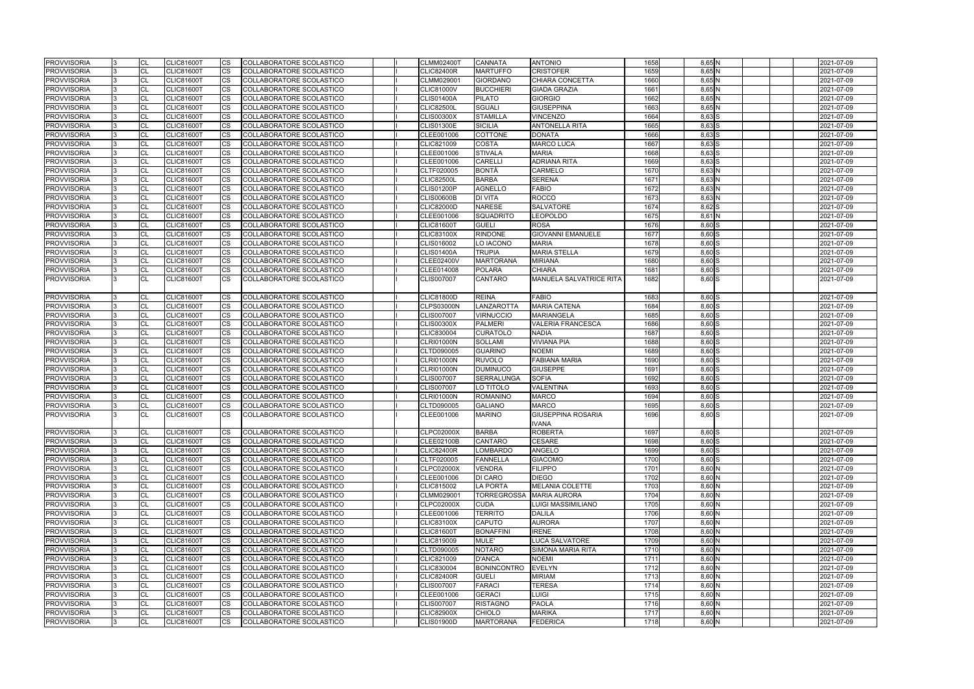| <b>PROVVISORIA</b> |     | <b>CL</b> | <b>CLIC81600T</b> | <b>CS</b> | COLLABORATORE SCOLASTICO |  | <b>CLMM02400T</b> | <b>CANNATA</b>     | <b>ANTONIO</b>                 | 1658 | 8,65 N     | 2021-07-09 |
|--------------------|-----|-----------|-------------------|-----------|--------------------------|--|-------------------|--------------------|--------------------------------|------|------------|------------|
| <b>PROVVISORIA</b> |     | <b>CL</b> | <b>CLIC81600T</b> | <b>CS</b> | COLLABORATORE SCOLASTICO |  | <b>CLIC82400R</b> | <b>MARTUFFO</b>    | <b>CRISTOFER</b>               | 1659 | $8,65$ N   | 2021-07-09 |
| <b>PROVVISORIA</b> |     | <b>CL</b> | <b>CLIC81600T</b> | CS        | COLLABORATORE SCOLASTICO |  | CLMM029001        | <b>GIORDANO</b>    | CHIARA CONCETTA                | 1660 | $8,65$ N   | 2021-07-09 |
| <b>PROVVISORIA</b> |     | <b>CL</b> | <b>CLIC81600T</b> | CS        | COLLABORATORE SCOLASTICO |  | <b>CLIC81000V</b> | <b>BUCCHIERI</b>   | <b>GIADA GRAZIA</b>            | 1661 | $8,65$ N   | 2021-07-09 |
| <b>PROVVISORIA</b> |     | <b>CL</b> | <b>CLIC81600T</b> | CS        | COLLABORATORE SCOLASTICO |  | <b>CLIS01400A</b> | <b>PILATO</b>      | <b>GIORGIO</b>                 | 1662 | 8,65 N     | 2021-07-09 |
| <b>PROVVISORIA</b> |     | CL        | <b>CLIC81600T</b> | CS        | COLLABORATORE SCOLASTICO |  | <b>CLIC82500L</b> | <b>SGUALI</b>      | <b>GIUSEPPINA</b>              | 1663 | 8,65 N     | 2021-07-09 |
| <b>PROVVISORIA</b> |     | <b>CL</b> | <b>CLIC81600T</b> | CS        | COLLABORATORE SCOLASTICO |  | <b>CLIS00300X</b> | <b>STAMILLA</b>    | <b>VINCENZO</b>                | 1664 | 8,63 S     | 2021-07-09 |
| <b>PROVVISORIA</b> |     | CL        | <b>CLIC81600T</b> | <b>CS</b> | COLLABORATORE SCOLASTICO |  | <b>CLIS01300E</b> | <b>SICILIA</b>     | <b>ANTONELLA RITA</b>          | 1665 | 8,63 S     | 2021-07-09 |
| <b>PROVVISORIA</b> |     | CL        | <b>CLIC81600T</b> | CS        | COLLABORATORE SCOLASTICO |  | CLEE001006        | <b>COTTONE</b>     | <b>DONATA</b>                  | 1666 | $8,63$ S   | 2021-07-09 |
| <b>PROVVISORIA</b> |     | <b>CL</b> | <b>CLIC81600T</b> | CS        | COLLABORATORE SCOLASTICO |  | CLIC821009        | <b>COSTA</b>       | <b>MARCO LUCA</b>              | 1667 | $8,63$ S   | 2021-07-09 |
| <b>PROVVISORIA</b> |     | CL        | <b>CLIC81600T</b> | CS        | COLLABORATORE SCOLASTICO |  | CLEE001006        | <b>STIVALA</b>     | Maria                          | 1668 | $8,63$ S   | 2021-07-09 |
| <b>PROVVISORIA</b> |     | <b>CL</b> | <b>CLIC81600T</b> | CS        | COLLABORATORE SCOLASTICO |  | CLEE001006        | <b>CARELLI</b>     | <b>ADRIANA RITA</b>            | 1669 | $8,63$ S   | 2021-07-09 |
| <b>PROVVISORIA</b> |     | <b>CL</b> | <b>CLIC81600T</b> | <b>CS</b> | COLLABORATORE SCOLASTICO |  | CLTF020005        | <b>BONTÀ</b>       | <b>CARMELO</b>                 | 1670 | 8,63 N     | 2021-07-09 |
| <b>PROVVISORIA</b> |     | <b>CL</b> | <b>CLIC81600T</b> | <b>CS</b> | COLLABORATORE SCOLASTICO |  | <b>CLIC82500L</b> | <b>BARBA</b>       | <b>SERENA</b>                  | 1671 | 8,63N      | 2021-07-09 |
| <b>PROVVISORIA</b> |     | <b>CL</b> | <b>CLIC81600T</b> | <b>CS</b> | COLLABORATORE SCOLASTICO |  | <b>CLIS01200P</b> | <b>AGNELLO</b>     | <b>FABIO</b>                   | 1672 | 8,63N      | 2021-07-09 |
| <b>PROVVISORIA</b> |     | <b>CL</b> | <b>CLIC81600T</b> | CS        | COLLABORATORE SCOLASTICO |  | <b>CLIS00600B</b> | <b>DI VITA</b>     | <b>ROCCO</b>                   | 1673 | 8,63 N     | 2021-07-09 |
| <b>PROVVISORIA</b> |     | CL        | <b>CLIC81600T</b> | CS        | COLLABORATORE SCOLASTICO |  | <b>CLIC82000D</b> | <b>NARESE</b>      | <b>SALVATORE</b>               | 1674 | $8,62$ S   | 2021-07-09 |
| <b>PROVVISORIA</b> |     | <b>CL</b> | <b>CLIC81600T</b> | CS        | COLLABORATORE SCOLASTICO |  | CLEE001006        | <b>SQUADRITO</b>   | <b>LEOPOLDO</b>                | 1675 | $8,61$ N   | 2021-07-09 |
| <b>PROVVISORIA</b> |     | <b>CL</b> | <b>CLIC81600T</b> | CS        | COLLABORATORE SCOLASTICO |  | <b>CLIC81600T</b> | <b>GUELI</b>       | <b>ROSA</b>                    | 1676 | 8,60 S     | 2021-07-09 |
| <b>PROVVISORIA</b> |     | CL        | <b>CLIC81600T</b> | <b>CS</b> | COLLABORATORE SCOLASTICO |  | <b>CLIC83100X</b> | <b>RINDONE</b>     | <b>GIOVANNI EMANUELE</b>       | 1677 | 8,60 S     | 2021-07-09 |
| <b>PROVVISORIA</b> |     | <b>CL</b> | <b>CLIC81600T</b> | CS        | COLLABORATORE SCOLASTICO |  | CLIS016002        | LO IACONO          | <b>MARIA</b>                   | 1678 | 8,60 S     | 2021-07-09 |
| <b>PROVVISORIA</b> |     | <b>CL</b> | <b>CLIC81600T</b> | CS        | COLLABORATORE SCOLASTICO |  | <b>CLIS01400A</b> | <b>TRUPIA</b>      | <b>MARIA STELLA</b>            | 1679 | 8,60 S     | 2021-07-09 |
| <b>PROVVISORIA</b> |     | <b>CL</b> | <b>CLIC81600T</b> | CS        | COLLABORATORE SCOLASTICO |  | CLEE02400V        | <b>MARTORANA</b>   | <b>MIRIANA</b>                 | 1680 | 8,60 S     | 2021-07-09 |
| <b>PROVVISORIA</b> |     | <b>CL</b> | <b>CLIC81600T</b> | CS        | COLLABORATORE SCOLASTICO |  | CLEE014008        | <b>POLARA</b>      | <b>CHIARA</b>                  | 1681 | $8,60$ S   | 2021-07-09 |
| <b>PROVVISORIA</b> |     | <b>CL</b> | <b>CLIC81600T</b> | CS        | COLLABORATORE SCOLASTICO |  | <b>CLIS007007</b> | <b>CANTARO</b>     | <b>MANUELA SALVATRICE RITA</b> | 1682 | 8,60 S     | 2021-07-09 |
|                    |     |           |                   |           |                          |  |                   |                    |                                |      |            |            |
| <b>PROVVISORIA</b> |     | <b>CL</b> | <b>CLIC81600T</b> | CS        | COLLABORATORE SCOLASTICO |  | <b>CLIC81800D</b> | <b>REINA</b>       | <b>FABIO</b>                   | 1683 | 8,60 S     | 2021-07-09 |
| <b>PROVVISORIA</b> |     | <b>CL</b> | <b>CLIC81600T</b> | CS        | COLLABORATORE SCOLASTICO |  | <b>CLPS03000N</b> | LANZAROTTA         | <b>MARIA CATENA</b>            | 1684 | $8,60$ S   | 2021-07-09 |
| <b>PROVVISORIA</b> |     | <b>CL</b> | <b>CLIC81600T</b> | CS        | COLLABORATORE SCOLASTICO |  | <b>CLIS007007</b> | <b>VIRNUCCIO</b>   | <b>MARIANGELA</b>              | 1685 | $8,60$ $S$ | 2021-07-09 |
| <b>PROVVISORIA</b> |     | <b>CL</b> | <b>CLIC81600T</b> | CS        | COLLABORATORE SCOLASTICO |  | <b>CLIS00300X</b> | <b>PALMERI</b>     | <b>VALERIA FRANCESCA</b>       | 1686 | $8,60$ S   | 2021-07-09 |
| <b>PROVVISORIA</b> |     | <b>CL</b> | <b>CLIC81600T</b> | CS        | COLLABORATORE SCOLASTICO |  | CLIC830004        | <b>CURATOLO</b>    | <b>NADIA</b>                   | 1687 | 8,60 S     | 2021-07-09 |
| <b>PROVVISORIA</b> |     | <b>CL</b> | <b>CLIC81600T</b> | <b>CS</b> | COLLABORATORE SCOLASTICO |  | <b>CLRI01000N</b> | <b>SOLLAMI</b>     | <b>VIVIANA PIA</b>             | 1688 | $8,60$ S   | 2021-07-09 |
| <b>PROVVISORIA</b> |     | <b>CL</b> | <b>CLIC81600T</b> | CS        | COLLABORATORE SCOLASTICO |  | CLTD090005        | <b>GUARINO</b>     | <b>NOEMI</b>                   | 1689 | 8,60 S     | 2021-07-09 |
| <b>PROVVISORIA</b> |     | CL        | <b>CLIC81600T</b> | CS        | COLLABORATORE SCOLASTICO |  | <b>CLRI01000N</b> | <b>RUVOLO</b>      | <b>FABIANA MARIA</b>           | 1690 | $8,60$ S   | 2021-07-09 |
| <b>PROVVISORIA</b> |     | <b>CL</b> | <b>CLIC81600T</b> | CS        | COLLABORATORE SCOLASTICO |  | <b>CLRI01000N</b> | <b>DUMINUCO</b>    | <b>GIUSEPPE</b>                | 1691 | $8,60$ S   | 2021-07-09 |
| <b>PROVVISORIA</b> |     | CL        | <b>CLIC81600T</b> | CS        | COLLABORATORE SCOLASTICO |  | <b>CLIS007007</b> | <b>SERRALUNGA</b>  | SOFIA                          | 1692 | 8,60 S     | 2021-07-09 |
| <b>PROVVISORIA</b> |     | CL        | <b>CLIC81600T</b> | <b>CS</b> | COLLABORATORE SCOLASTICO |  | <b>CLIS007007</b> | LO TITOLO          | <b>VALENTINA</b>               | 1693 | $8,60$ S   | 2021-07-09 |
| <b>PROVVISORIA</b> |     | <b>CL</b> | <b>CLIC81600T</b> | <b>CS</b> | COLLABORATORE SCOLASTICO |  | <b>CLRI01000N</b> | <b>ROMANINO</b>    | <b>MARCO</b>                   | 1694 | $8,60$ S   | 2021-07-09 |
| <b>PROVVISORIA</b> |     | <b>CL</b> | <b>CLIC81600T</b> | CS        | COLLABORATORE SCOLASTICO |  | CLTD090005        | <b>GALIANO</b>     | <b>MARCO</b>                   | 1695 | 8,60 S     | 2021-07-09 |
| <b>PROVVISORIA</b> | l 3 | <b>CL</b> | <b>CLIC81600T</b> | CS        | COLLABORATORE SCOLASTICO |  | CLEE001006        | <b>MARINO</b>      | <b>GIUSEPPINA ROSARIA</b>      | 1696 | 8,60 S     | 2021-07-09 |
|                    |     |           |                   |           |                          |  |                   |                    | <b>IVANA</b>                   |      |            |            |
| <b>PROVVISORIA</b> |     | <b>CL</b> | <b>CLIC81600T</b> | CS        | COLLABORATORE SCOLASTICO |  | <b>CLPC02000X</b> | <b>BARBA</b>       | <b>ROBERTA</b>                 | 1697 | 8,60 S     | 2021-07-09 |
| <b>PROVVISORIA</b> |     | CL        | <b>CLIC81600T</b> | <b>CS</b> | COLLABORATORE SCOLASTICO |  | <b>CLEE02100B</b> | CANTARO            | CESARE                         | 1698 | $8,60$ S   | 2021-07-09 |
| <b>PROVVISORIA</b> |     | CL        | <b>CLIC81600T</b> | <b>CS</b> | COLLABORATORE SCOLASTICO |  | <b>CLIC82400R</b> | <b>LOMBARDO</b>    | <b>ANGELO</b>                  | 1699 | 8,60 S     | 2021-07-09 |
| <b>PROVVISORIA</b> |     | CL        | <b>CLIC81600T</b> | CS.       | COLLABORATORE SCOLASTICO |  | CLTF020005        | <b>FANNELLA</b>    | <b>GIACOMO</b>                 | 1700 | 8,60 S     | 2021-07-09 |
| <b>PROVVISORIA</b> |     | <b>CL</b> | <b>CLIC81600T</b> | <b>CS</b> | COLLABORATORE SCOLASTICO |  | <b>CLPC02000X</b> | <b>VENDRA</b>      | <b>FILIPPO</b>                 | 1701 | 8,60 N     | 2021-07-09 |
| <b>PROVVISORIA</b> |     | <b>CL</b> | <b>CLIC81600T</b> | CS        | COLLABORATORE SCOLASTICO |  | CLEE001006        | <b>DI CARO</b>     | <b>DIEGO</b>                   | 1702 | 8,60 N     | 2021-07-09 |
| <b>PROVVISORIA</b> |     | <b>CL</b> | <b>CLIC81600T</b> | CS        | COLLABORATORE SCOLASTICO |  | CLIC815002        | <b>LA PORTA</b>    | <b>MELANIA COLETTE</b>         | 1703 | 8,60 N     | 2021-07-09 |
| <b>PROVVISORIA</b> |     | <b>CL</b> | <b>CLIC81600T</b> | CS        | COLLABORATORE SCOLASTICO |  | CLMM029001        |                    | TORREGROSSA MARIA AURORA       | 1704 | $8,60$ N   | 2021-07-09 |
| <b>PROVVISORIA</b> |     | <b>CL</b> | <b>CLIC81600T</b> | <b>CS</b> | COLLABORATORE SCOLASTICO |  | <b>CLPC02000X</b> | <b>CUDA</b>        | <b>LUIGI MASSIMILIANO</b>      | 1705 | 8,60 N     | 2021-07-09 |
| <b>PROVVISORIA</b> |     | CL        | <b>CLIC81600T</b> | <b>CS</b> | COLLABORATORE SCOLASTICO |  | CLEE001006        | <b>TERRITO</b>     | <b>DALILA</b>                  | 1706 | 8,60 N     | 2021-07-09 |
| <b>PROVVISORIA</b> |     | <b>CL</b> | <b>CLIC81600T</b> | <b>CS</b> | COLLABORATORE SCOLASTICO |  | <b>CLIC83100X</b> | <b>CAPUTO</b>      | <b>AURORA</b>                  | 1707 | 8,60 N     | 2021-07-09 |
| <b>PROVVISORIA</b> |     | <b>CL</b> | CLIC81600T        | CS        | COLLABORATORE SCOLASTICO |  | <b>CLIC81600T</b> | <b>BONAFFINI</b>   | <b>IRENE</b>                   | 1708 | $8,60$ N   | 2021-07-09 |
| <b>PROVVISORIA</b> |     | CL        | <b>CLIC81600T</b> | CS.       | COLLABORATORE SCOLASTICO |  | CLIC819009        | MULE'              | <b>LUCA SALVATORE</b>          | 1709 | 8,60 N     | 2021-07-09 |
| <b>PROVVISORIA</b> |     | CL        | <b>CLIC81600T</b> | CS        | COLLABORATORE SCOLASTICO |  | CLTD090005        | <b>NOTARO</b>      | SIMONA MARIA RITA              | 1710 | $8,60$ N   | 2021-07-09 |
| <b>PROVVISORIA</b> |     | CL        | <b>CLIC81600T</b> | <b>CS</b> | COLLABORATORE SCOLASTICO |  | CLIC821009        | <b>D'ANCA</b>      | <b>NOEMI</b>                   | 1711 | $8,60$ N   | 2021-07-09 |
| <b>PROVVISORIA</b> |     | <b>CL</b> | <b>CLIC81600T</b> | <b>CS</b> | COLLABORATORE SCOLASTICO |  | CLIC830004        | <b>BONINCONTRO</b> | <b>EVELYN</b>                  | 1712 | $8,60$ N   | 2021-07-09 |
| <b>PROVVISORIA</b> |     | <b>CL</b> | <b>CLIC81600T</b> | CS.       | COLLABORATORE SCOLASTICO |  | <b>CLIC82400R</b> | <b>GUELI</b>       | <b>MIRIAM</b>                  | 1713 | $8,60$ N   | 2021-07-09 |
| <b>PROVVISORIA</b> |     | <b>CL</b> | <b>CLIC81600T</b> | CS        | COLLABORATORE SCOLASTICO |  | <b>CLIS007007</b> | <b>FARACI</b>      | <b>TERESA</b>                  | 1714 | 8,60 N     | 2021-07-09 |
| <b>PROVVISORIA</b> |     | <b>CL</b> | <b>CLIC81600T</b> | CS        | COLLABORATORE SCOLASTICO |  | CLEE001006        | <b>GERACI</b>      | LUIGI                          | 1715 | $8,60$ N   | 2021-07-09 |
| <b>PROVVISORIA</b> |     | <b>CL</b> | <b>CLIC81600T</b> | CS        | COLLABORATORE SCOLASTICO |  | <b>CLIS007007</b> | <b>RISTAGNO</b>    | PAOLA                          | 1716 | 8,60 N     | 2021-07-09 |
| <b>PROVVISORIA</b> |     | СL        | <b>CLIC81600T</b> | <b>CS</b> | COLLABORATORE SCOLASTICO |  | <b>CLIC82900X</b> | <b>CHIOLO</b>      | <b>MARIKA</b>                  | 1717 | 8,60 N     | 2021-07-09 |
| <b>PROVVISORIA</b> |     | <b>CL</b> | <b>CLIC81600T</b> | <b>CS</b> | COLLABORATORE SCOLASTICO |  | <b>CLIS01900D</b> | <b>MARTORANA</b>   | <b>FEDERICA</b>                | 1718 | 8,60 N     | 2021-07-09 |
|                    |     |           |                   |           |                          |  |                   |                    |                                |      |            |            |

| 1658              | 8,65 N              |     |  | 2021-07-09 |
|-------------------|---------------------|-----|--|------------|
| 1659              | 8,65 N              |     |  | 2021-07-09 |
| 1660              | $8,65$ <sub>N</sub> |     |  | 2021-07-09 |
| 1661              | $8,65$ N            |     |  | 2021-07-09 |
| 1662              | $8,65$ N            |     |  | 2021-07-09 |
| 1663              | $8,65$ N            |     |  | 2021-07-09 |
| 1664              | 8,63                | lS  |  | 2021-07-09 |
| 1665              | 8,63                | S   |  | 2021-07-09 |
| 1666              | $8,63$ $S$          |     |  | 2021-07-09 |
| 1667              | 8,63 S              |     |  | 2021-07-09 |
| 1668              | 8,63                | S   |  | 2021-07-09 |
| 1669              | 8,63                | lS  |  | 2021-07-09 |
| 1670              | 8,63 N              |     |  | 2021-07-09 |
| 1671              | 8,63N               |     |  | 2021-07-09 |
| 1672              | $8,63$ N            |     |  | 2021-07-09 |
| 1673              | 8,63 N              |     |  | 2021-07-09 |
| 1674              | $8,62$ $S$          |     |  | 2021-07-09 |
| 1675              | $8,61$ N            |     |  | 2021-07-09 |
| 1676              | 8,60                | lS  |  | 2021-07-09 |
| 1677              | 8,60                | S   |  | 2021-07-09 |
| 1678              | 8,60                | S   |  | 2021-07-09 |
| 1679              | 8,60                | ls  |  | 2021-07-09 |
| 1680              | 8.60 S              |     |  | 2021-07-09 |
| 1681              | 8,60                | S   |  | 2021-07-09 |
| 1682              | 8,60                | S   |  | 2021-07-09 |
|                   |                     |     |  |            |
| 1683              | 8,60                | S   |  | 2021-07-09 |
| 1684              | 8,60 S              |     |  | 2021-07-09 |
| 1685              | 8,60 S              |     |  | 2021-07-09 |
| 1686              | 8,60 S              |     |  | 2021-07-09 |
| 1687              | 8,60                | S   |  | 2021-07-09 |
| 1688              | 8,60                | lS  |  | 2021-07-09 |
| 1689              | 8,60                | S   |  | 2021-07-09 |
| 1690              | 8,60                | S   |  | 2021-07-09 |
| 1691              | 8,60                | lS  |  | 2021-07-09 |
| 1692              | 8,60                | S   |  | 2021-07-09 |
| 1693              | 8,60                | lS  |  | 2021-07-09 |
| 1694              | 8,60                | lS  |  | 2021-07-09 |
| 1695              | 8,60                | S   |  | 2021-07-09 |
| 1696              | 8,60                | lS. |  | 2021-07-09 |
|                   |                     |     |  |            |
| 1697              | 8,60 S              |     |  | 2021-07-09 |
| 1698              | 8,60 S              |     |  | 2021-07-09 |
| 1699              | 8,60 S              |     |  | 2021-07-09 |
| $\overline{1700}$ | 8,60 S              |     |  | 2021-07-09 |
| 1701              | $8,60$ <sub>N</sub> |     |  | 2021-07-09 |
| 1702              | 8,60 N              |     |  | 2021-07-09 |
| 1703              | 8,60 N              |     |  | 2021-07-09 |
| 1704              | $8,60$ N            |     |  | 2021-07-09 |
| 1705              | 8,60 N              |     |  | 2021-07-09 |
| $\overline{1706}$ | $8,60$ N            |     |  | 2021-07-09 |
| 1707              | 8,60 N              |     |  | 2021-07-09 |
| 1708              | $8,60$ <sub>N</sub> |     |  | 2021-07-09 |
| 1709              | $8,60$ N            |     |  | 2021-07-09 |
| 1710              | 8,60 N              |     |  | 2021-07-09 |
| 1711              | 8,60 N              |     |  | 2021-07-09 |
| 1712              | 8,60 N              |     |  | 2021-07-09 |
| 1713              | 8,60 N              |     |  | 2021-07-09 |
| 1714              | 8,60 N              |     |  | 2021-07-09 |
| 1715              | $8,60$ N            |     |  | 2021-07-09 |
| 1716              | 8,60 N              |     |  | 2021-07-09 |
| 1717              | 8,60 N              |     |  | 2021-07-09 |
| $\overline{1718}$ | 8,60                | N   |  | 2021-07-09 |
|                   |                     |     |  |            |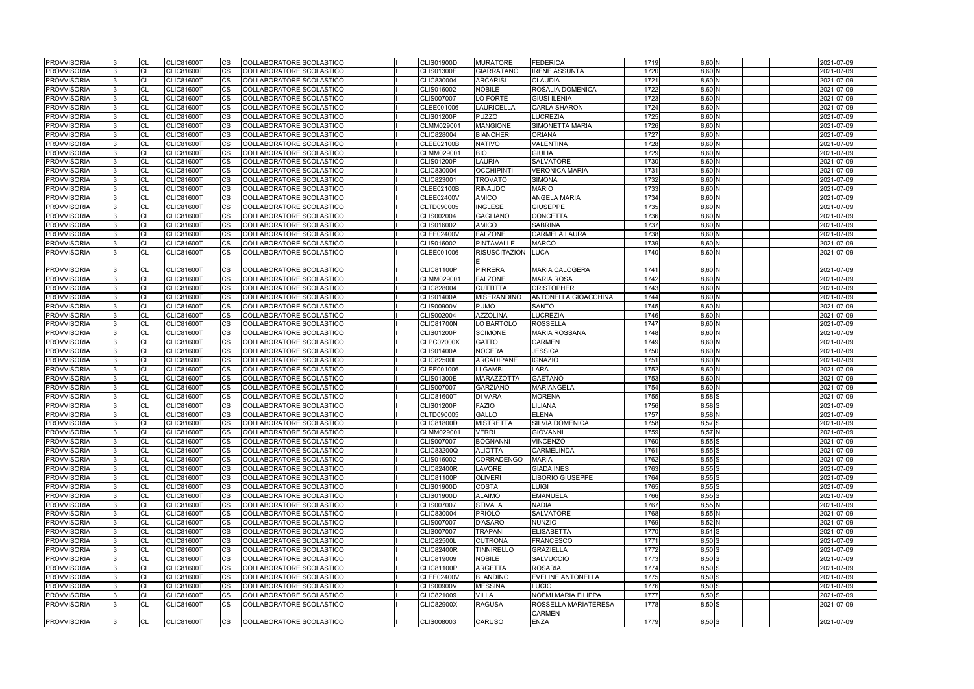| <b>PROVVISORIA</b> | <b>CL</b>      | <b>CLIC81600T</b> | <b>CS</b>              | COLLABORATORE SCOLASTICO        | <b>CLIS01900D</b> | <b>MURATORE</b>    | <b>FEDERICA</b>            | 1719 | 8,60 N   | 2021-07-09 |
|--------------------|----------------|-------------------|------------------------|---------------------------------|-------------------|--------------------|----------------------------|------|----------|------------|
| <b>PROVVISORIA</b> | <b>CL</b>      | <b>CLIC81600T</b> | <b>CS</b>              | COLLABORATORE SCOLASTICO        | CLIS01300E        | <b>GIARRATANO</b>  | <b>IRENE ASSUNTA</b>       | 1720 | $8,60$ N | 2021-07-09 |
| <b>PROVVISORIA</b> | <b>CL</b>      | <b>CLIC81600T</b> | <b>CS</b>              | COLLABORATORE SCOLASTICO        | CLIC830004        | <b>ARCARISI</b>    | <b>CLAUDIA</b>             | 1721 | $8,60$ N | 2021-07-09 |
| <b>PROVVISORIA</b> | <b>CL</b>      | <b>CLIC81600T</b> | CS                     | COLLABORATORE SCOLASTICO        | CLIS016002        | <b>NOBILE</b>      | ROSALIA DOMENICA           | 1722 | $8,60$ N | 2021-07-09 |
| <b>PROVVISORIA</b> | <b>CL</b>      | CLIC81600T        | <b>CS</b>              | COLLABORATORE SCOLASTICO        | CLIS007007        | LO FORTE           | <b>GIUSI ILENIA</b>        | 1723 | 8,60 N   | 2021-07-09 |
| <b>PROVVISORIA</b> | CL             | CLIC81600T        | CS                     | COLLABORATORE SCOLASTICO        | CLEE001006        | LAURICELLA         | <b>CARLA SHARON</b>        | 1724 | 8,60 N   | 2021-07-09 |
| <b>PROVVISORIA</b> | <b>CL</b>      | <b>CLIC81600T</b> | <b>CS</b>              | COLLABORATORE SCOLASTICO        | <b>CLIS01200P</b> | <b>PUZZO</b>       | <b>LUCREZIA</b>            | 1725 | 8,60 N   | 2021-07-09 |
| <b>PROVVISORIA</b> | <b>CL</b>      | <b>CLIC81600T</b> | <b>CS</b>              | COLLABORATORE SCOLASTICO        | CLMM029001        | <b>MANGIONE</b>    | <b>SIMONETTA MARIA</b>     | 1726 | 8,60 N   | 2021-07-09 |
| <b>PROVVISORIA</b> | <b>CL</b>      | <b>CLIC81600T</b> | <b>CS</b>              | COLLABORATORE SCOLASTICO        | CLIC828004        | <b>BIANCHERI</b>   | <b>ORIANA</b>              | 1727 | $8,60$ N | 2021-07-09 |
| <b>PROVVISORIA</b> | <b>CL</b>      | <b>CLIC81600T</b> | <b>CS</b>              | COLLABORATORE SCOLASTICO        | CLEE02100B        | <b>NATIVO</b>      | <b>VALENTINA</b>           | 1728 | $8,60$ N | 2021-07-09 |
| <b>PROVVISORIA</b> | <b>CL</b>      | <b>CLIC81600T</b> | CS                     | COLLABORATORE SCOLASTICO        | CLMM029001        | <b>BIO</b>         | <b>GIULIA</b>              | 1729 | $8,60$ N | 2021-07-09 |
| <b>PROVVISORIA</b> | <b>CL</b>      | <b>CLIC81600T</b> | <b>CS</b>              | COLLABORATORE SCOLASTICO        | <b>CLIS01200P</b> | <b>LAURIA</b>      | <b>SALVATORE</b>           | 1730 | $8,60$ N | 2021-07-09 |
| <b>PROVVISORIA</b> | <b>CL</b>      | <b>CLIC81600T</b> | <b>CS</b>              | COLLABORATORE SCOLASTICO        | CLIC830004        | <b>OCCHIPINTI</b>  | <b>VERONICA MARIA</b>      | 1731 | 8,60 N   | 2021-07-09 |
| <b>PROVVISORIA</b> | <b>CL</b>      | <b>CLIC81600T</b> | <b>CS</b>              | COLLABORATORE SCOLASTICO        | CLIC823001        | <b>TROVATO</b>     | <b>SIMONA</b>              | 1732 | 8,60 N   | 2021-07-09 |
| <b>PROVVISORIA</b> | <b>CL</b>      | <b>CLIC81600T</b> | <b>CS</b>              | COLLABORATORE SCOLASTICO        | CLEE02100B        | <b>RINAUDO</b>     | <b>MARIO</b>               | 1733 | $8,60$ N | 2021-07-09 |
| <b>PROVVISORIA</b> | <b>CL</b>      | <b>CLIC81600T</b> | <b>CS</b>              | COLLABORATORE SCOLASTICO        | CLEE02400V        | <b>AMICO</b>       | <b>ANGELA MARIA</b>        | 1734 | 8,60 N   | 2021-07-09 |
| <b>PROVVISORIA</b> | <b>CL</b>      | <b>CLIC81600T</b> | <b>CS</b>              | COLLABORATORE SCOLASTICO        | CLTD090005        | <b>INGLESE</b>     | <b>GIUSEPPE</b>            | 1735 | $8,60$ N | 2021-07-09 |
| <b>PROVVISORIA</b> | <b>CL</b>      | <b>CLIC81600T</b> | <b>CS</b>              | COLLABORATORE SCOLASTICO        | CLIS002004        | <b>GAGLIANO</b>    | <b>CONCETTA</b>            | 1736 | 8,60 N   | 2021-07-09 |
| <b>PROVVISORIA</b> | <b>CL</b>      | <b>CLIC81600T</b> | <b>CS</b>              | COLLABORATORE SCOLASTICO        | CLIS016002        | AMICO              | <b>SABRINA</b>             | 1737 | 8,60 N   | 2021-07-09 |
| <b>PROVVISORIA</b> | <b>CL</b>      | <b>CLIC81600T</b> | CS                     | COLLABORATORE SCOLASTICO        | CLEE02400V        | <b>FALZONE</b>     | <b>CARMELA LAURA</b>       | 1738 | 8,60 N   | 2021-07-09 |
| <b>PROVVISORIA</b> | <b>CL</b>      | <b>CLIC81600T</b> | <b>CS</b>              | COLLABORATORE SCOLASTICO        | CLIS016002        | <b>PINTAVALLE</b>  | <b>MARCO</b>               | 1739 | $8,60$ N | 2021-07-09 |
| <b>PROVVISORIA</b> | <b>CL</b>      | <b>CLIC81600T</b> | <b>CS</b>              | COLLABORATORE SCOLASTICO        | CLEE001006        | RISUSCITAZION LUCA |                            | 1740 | $8,60$ N | 2021-07-09 |
| <b>PROVVISORIA</b> | <b>CL</b>      | <b>CLIC81600T</b> | <b>CS</b>              | COLLABORATORE SCOLASTICO        | <b>CLIC81100P</b> | <b>PIRRERA</b>     | <b>MARIA CALOGERA</b>      | 1741 | 8,60 N   | 2021-07-09 |
| <b>PROVVISORIA</b> | <b>CL</b>      | <b>CLIC81600T</b> | <b>CS</b>              | COLLABORATORE SCOLASTICO        | CLMM029001        | <b>FALZONE</b>     | <b>MARIA ROSA</b>          | 1742 | $8,60$ N | 2021-07-09 |
| <b>PROVVISORIA</b> | <b>CL</b>      | <b>CLIC81600T</b> | <b>CS</b>              | COLLABORATORE SCOLASTICO        | CLIC828004        | <b>CUTTITTA</b>    | <b>CRISTOPHER</b>          | 1743 | 8,60 N   | 2021-07-09 |
| <b>PROVVISORIA</b> | <b>CL</b>      | <b>CLIC81600T</b> | <b>CS</b>              | COLLABORATORE SCOLASTICO        | <b>CLIS01400A</b> | <b>MISERANDINO</b> | ANTONELLA GIOACCHINA       | 1744 | $8,60$ N | 2021-07-09 |
| <b>PROVVISORIA</b> | <b>CL</b>      | <b>CLIC81600T</b> | <b>CS</b>              | COLLABORATORE SCOLASTICO        | CLIS00900V        | <b>PUMO</b>        | <b>SANTO</b>               | 1745 | $8,60$ N | 2021-07-09 |
| <b>PROVVISORIA</b> | <b>CL</b>      | <b>CLIC81600T</b> | CS                     | COLLABORATORE SCOLASTICO        | CLIS002004        | <b>AZZOLINA</b>    | <b>LUCREZIA</b>            | 1746 | $8,60$ N | 2021-07-09 |
| <b>PROVVISORIA</b> | <b>CL</b>      | <b>CLIC81600T</b> | CS                     | COLLABORATORE SCOLASTICO        | <b>CLIC81700N</b> | LO BARTOLO         | <b>ROSSELLA</b>            | 1747 | $8,60$ N | 2021-07-09 |
| <b>PROVVISORIA</b> | <b>CL</b>      | CLIC81600T        | <b>CS</b>              | COLLABORATORE SCOLASTICO        | <b>CLIS01200P</b> | <b>SCIMONE</b>     | <b>MARIA ROSSANA</b>       | 1748 | 8,60 N   | 2021-07-09 |
| <b>PROVVISORIA</b> | <b>CL</b>      | <b>CLIC81600T</b> | $\overline{\text{cs}}$ | COLLABORATORE SCOLASTICO        | <b>CLPC02000X</b> | <b>GATTO</b>       | <b>CARMEN</b>              | 1749 | $8,60$ N | 2021-07-09 |
| <b>PROVVISORIA</b> | <b>CL</b>      | <b>CLIC81600T</b> | <b>CS</b>              | COLLABORATORE SCOLASTICO        | <b>CLIS01400A</b> | <b>NOCERA</b>      | <b>JESSICA</b>             | 1750 | 8,60 N   | 2021-07-09 |
| <b>PROVVISORIA</b> | CL             | <b>CLIC81600T</b> | <b>CS</b>              | COLLABORATORE SCOLASTICO        | CLIC82500L        | <b>ARCADIPANE</b>  | <b>IGNAZIO</b>             | 1751 | $8,60$ N | 2021-07-09 |
| <b>PROVVISORIA</b> | <b>CL</b>      | <b>CLIC81600T</b> | <b>CS</b>              | COLLABORATORE SCOLASTICO        | CLEE001006        | LI GAMBI           | <b>LARA</b>                | 1752 | 8,60 N   | 2021-07-09 |
| <b>PROVVISORIA</b> | <b>CL</b>      | <b>CLIC81600T</b> | <b>CS</b>              | COLLABORATORE SCOLASTICO        | <b>CLIS01300E</b> | <b>MARAZZOTTA</b>  | <b>GAETANO</b>             | 1753 | $8,60$ N | 2021-07-09 |
| <b>PROVVISORIA</b> | <b>CL</b>      | <b>CLIC81600T</b> | <b>CS</b>              | COLLABORATORE SCOLASTICO        | CLIS007007        | <b>GARZIANO</b>    | <b>MARIANGELA</b>          | 1754 | $8,60$ N | 2021-07-09 |
| <b>PROVVISORIA</b> | <b>CL</b>      | <b>CLIC81600T</b> | <b>CS</b>              | COLLABORATORE SCOLASTICO        | <b>CLIC81600T</b> | <b>DI VARA</b>     | <b>MORENA</b>              | 1755 | 8,58 S   | 2021-07-09 |
| <b>PROVVISORIA</b> | <b>CL</b>      | <b>CLIC81600T</b> | <b>CS</b>              | COLLABORATORE SCOLASTICO        | <b>CLIS01200P</b> | <b>FAZIO</b>       | <b>LILIANA</b>             | 1756 | 8,58 S   | 2021-07-09 |
| <b>PROVVISORIA</b> | <b>CL</b>      | <b>CLIC81600T</b> | <b>CS</b>              | COLLABORATORE SCOLASTICO        | CLTD090005        | <b>GALLO</b>       | <b>ELENA</b>               | 1757 | 8,58 N   | 2021-07-09 |
| <b>PROVVISORIA</b> | $\overline{C}$ | <b>CLIC81600T</b> | <b>CS</b>              | COLLABORATORE SCOLASTICO        | <b>CLIC81800D</b> | <b>MISTRETTA</b>   | <b>SILVIA DOMENICA</b>     | 1758 | 8,57 S   | 2021-07-09 |
| <b>PROVVISORIA</b> | <b>CL</b>      | <b>CLIC81600T</b> | <b>CS</b>              | <b>COLLABORATORE SCOLASTICO</b> | CLMM029001        | <b>VERRI</b>       | <b>GIOVANNI</b>            | 1759 | 8,57 N   | 2021-07-09 |
| <b>PROVVISORIA</b> | <b>CL</b>      | <b>CLIC81600T</b> | CS                     | COLLABORATORE SCOLASTICO        | CLIS007007        | <b>BOGNANNI</b>    | <b>VINCENZO</b>            | 1760 | $8,55$ S | 2021-07-09 |
| <b>PROVVISORIA</b> | <b>CL</b>      | <b>CLIC81600T</b> | <b>CS</b>              | COLLABORATORE SCOLASTICO        | CLIC83200Q        | <b>ALIOTTA</b>     | <b>CARMELINDA</b>          | 1761 | 8,55 S   | 2021-07-09 |
| <b>PROVVISORIA</b> | <b>CL</b>      | <b>CLIC81600T</b> | <b>CS</b>              | COLLABORATORE SCOLASTICO        | CLIS016002        | <b>CORRADENGO</b>  | <b>MARIA</b>               | 1762 | $8,55$ S | 2021-07-09 |
| <b>PROVVISORIA</b> | <b>CL</b>      | <b>CLIC81600T</b> | $\overline{\text{cs}}$ | COLLABORATORE SCOLASTICO        | <b>CLIC82400R</b> | LAVORE             | <b>GIADA INES</b>          | 1763 | 8,55S    | 2021-07-09 |
| <b>PROVVISORIA</b> | <b>CL</b>      | <b>CLIC81600T</b> | <b>CS</b>              | COLLABORATORE SCOLASTICO        | <b>CLIC81100P</b> | <b>OLIVERI</b>     | <b>LIBORIO GIUSEPPE</b>    | 1764 | 8,55S    | 2021-07-09 |
| <b>PROVVISORIA</b> | <b>CL</b>      | <b>CLIC81600T</b> | CS                     | COLLABORATORE SCOLASTICO        | <b>CLIS01900D</b> | <b>COSTA</b>       | <b>LUIGI</b>               | 1765 | 8,55S    | 2021-07-09 |
| <b>PROVVISORIA</b> | <b>CL</b>      | <b>CLIC81600T</b> | CS                     | COLLABORATORE SCOLASTICO        | <b>CLIS01900D</b> | <b>ALAIMO</b>      | <b>EMANUELA</b>            | 1766 | $8,55$ S | 2021-07-09 |
| <b>PROVVISORIA</b> | <b>CL</b>      | <b>CLIC81600T</b> | CS                     | COLLABORATORE SCOLASTICO        | <b>CLIS007007</b> | <b>STIVALA</b>     | <b>NADIA</b>               | 1767 | 8,55N    | 2021-07-09 |
| <b>PROVVISORIA</b> | <b>CL</b>      | <b>CLIC81600T</b> | <b>CS</b>              | COLLABORATORE SCOLASTICO        | CLIC830004        | <b>PRIOLO</b>      | <b>SALVATORE</b>           | 1768 | 8,55N    | 2021-07-09 |
| <b>PROVVISORIA</b> | <b>CL</b>      | <b>CLIC81600T</b> | CS                     | COLLABORATORE SCOLASTICO        | CLIS007007        | <b>D'ASARO</b>     | <b>NUNZIO</b>              | 1769 | 8,52N    | 2021-07-09 |
| <b>PROVVISORIA</b> | <b>CL</b>      | <b>CLIC81600T</b> | <b>CS</b>              | COLLABORATORE SCOLASTICO        | CLIS007007        | <b>TRAPANI</b>     | <b>ELISABETTA</b>          | 1770 | 8,51 S   | 2021-07-09 |
| <b>PROVVISORIA</b> | <b>CL</b>      | <b>CLIC81600T</b> | $\overline{\text{cs}}$ | COLLABORATORE SCOLASTICO        | <b>CLIC82500L</b> | <b>CUTRONA</b>     | <b>FRANCESCO</b>           | 1771 | $8,50$ S | 2021-07-09 |
| <b>PROVVISORIA</b> | <b>CL</b>      | <b>CLIC81600T</b> | CS                     | COLLABORATORE SCOLASTICO        | <b>CLIC82400R</b> | <b>TINNIRELLO</b>  | <b>GRAZIELLA</b>           | 1772 | $8,50$ S | 2021-07-09 |
| <b>PROVVISORIA</b> | <b>CL</b>      | <b>CLIC81600T</b> | CS                     | COLLABORATORE SCOLASTICO        | CLIC819009        | NOBILE             | <b>SALVUCCIO</b>           | 1773 | $8,50$ S | 2021-07-09 |
| <b>PROVVISORIA</b> | <b>CL</b>      | <b>CLIC81600T</b> | CS                     | COLLABORATORE SCOLASTICO        | <b>CLIC81100P</b> | <b>ARGETTA</b>     | <b>ROSARIA</b>             | 1774 | $8,50$ S | 2021-07-09 |
| <b>PROVVISORIA</b> | <b>CL</b>      | <b>CLIC81600T</b> | <b>CS</b>              | COLLABORATORE SCOLASTICO        | CLEE02400V        | <b>BLANDINO</b>    | <b>EVELINE ANTONELLA</b>   | 1775 | 8,50 S   | 2021-07-09 |
| <b>PROVVISORIA</b> | <b>CL</b>      | <b>CLIC81600T</b> | <b>CS</b>              | COLLABORATORE SCOLASTICO        | <b>CLIS00900V</b> | <b>MESSINA</b>     | <b>LUCIO</b>               | 1776 | 8,50 S   | 2021-07-09 |
| <b>PROVVISORIA</b> | <b>CL</b>      | <b>CLIC81600T</b> | <b>CS</b>              | COLLABORATORE SCOLASTICO        | CLIC821009        | <b>VILLA</b>       | <b>NOEMI MARIA FILIPPA</b> | 1777 | 8,50 S   | 2021-07-09 |
| <b>PROVVISORIA</b> | <b>CL</b>      | CLIC81600T        | <b>CS</b>              | COLLABORATORE SCOLASTICO        | <b>CLIC82900X</b> | <b>RAGUSA</b>      | ROSSELLA MARIATERESA       | 1778 | 8,50 S   | 2021-07-09 |
|                    |                |                   |                        |                                 |                   |                    | <b>CARMEN</b>              |      |          |            |
| <b>PROVVISORIA</b> | <b>CL</b>      | <b>CLIC81600T</b> | <b>CS</b>              | COLLABORATORE SCOLASTICO        | CLIS008003        | <b>CARUSO</b>      | <b>ENZA</b>                | 1779 | 8,50S    | 2021-07-09 |
|                    |                |                   |                        |                                 |                   |                    |                            |      |          |            |

| 1719               | 8,60 N                    |    |  | 2021-07-09 |
|--------------------|---------------------------|----|--|------------|
| 1720               | $8,60$ N                  |    |  | 2021-07-09 |
| 1721               | 8,60 N                    |    |  | 2021-07-09 |
| 1722               | $8,60$ N                  |    |  | 2021-07-09 |
| 1723               | 8,60 N                    |    |  | 2021-07-09 |
| 1724               | 8,60 N                    |    |  | 2021-07-09 |
|                    |                           |    |  |            |
| 1725               | 8,60 N                    |    |  | 2021-07-09 |
| 1726               | $8,60$ N                  |    |  | 2021-07-09 |
| 1727               | 8,60 N                    |    |  | 2021-07-09 |
| $\overline{1728}$  | $8,60$ <sub>N</sub>       |    |  | 2021-07-09 |
| 1729               | $8,60$ N                  |    |  | 2021-07-09 |
| 1730               | 8,60 N                    |    |  | 2021-07-09 |
| 1731               | 8,60 N                    |    |  | 2021-07-09 |
| 1732               | 8,60 N                    |    |  | 2021-07-09 |
| 1733               | 8,60 N                    |    |  | 2021-07-09 |
| 1734               | 8,60 N                    |    |  | 2021-07-09 |
| 1735               | 8,60 N                    |    |  | 2021-07-09 |
| 1736               | 8,60 N                    |    |  | 2021-07-09 |
|                    | 8,60 N                    |    |  |            |
| 1737               |                           |    |  | 2021-07-09 |
| 1738               | 8,60 N                    |    |  | 2021-07-09 |
| 1739               | 8,60 N                    |    |  | 2021-07-09 |
| 1740               | $8,60$ <sub>N</sub>       |    |  | 2021-07-09 |
|                    |                           |    |  |            |
| 1741               | 8,60 N                    |    |  | 2021-07-09 |
| 1742               | $8,60$ N                  |    |  | 2021-07-09 |
| $\overline{17}$ 43 | 8,60 N                    |    |  | 2021-07-09 |
| 1744               | $8,60$ N                  |    |  | 2021-07-09 |
| 1745               | $8,60$ N                  |    |  | 2021-07-09 |
| $\frac{1}{1746}$   | 8,60 N                    |    |  | 2021-07-09 |
| 1747               | 8,60 N                    |    |  | 2021-07-09 |
| 1748               | 8,60 N                    |    |  | 2021-07-09 |
| 1749               |                           |    |  |            |
|                    | 8,60 N                    |    |  | 2021-07-09 |
| 1750               | 8,60 N                    |    |  | 2021-07-09 |
| 1751               | 8,60 N                    |    |  | 2021-07-09 |
| 1752               | 8,60 N                    |    |  | 2021-07-09 |
| $\overline{1}753$  | 8,60 N                    |    |  | 2021-07-09 |
| 1754               | $8,60$ N                  |    |  | 2021-07-09 |
| 1755               | 8,58 <sub>S</sub>         |    |  | 2021-07-09 |
| 1756               | 8,58                      | ls |  | 2021-07-09 |
| 1757               | 8,58 N                    |    |  | 2021-07-09 |
| 1758               | $8,57$ S                  |    |  | 2021-07-09 |
| —<br>1759          | 8,57 N                    |    |  | 2021-07-09 |
| 1760               | 8,55 S                    |    |  | 2021-07-09 |
| 1761               | $8,55$ $S$                |    |  | 2021-07-09 |
| 1762               | 8,55 S                    |    |  | 2021-07-09 |
|                    | $8,55\overline{\text{S}}$ |    |  |            |
| 1763               |                           |    |  | 2021-07-09 |
| $\overline{1764}$  | $8,55$ S                  |    |  | 2021-07-09 |
| 1765               | 8,55 S                    |    |  | 2021-07-09 |
| 1766               | 8,55 S                    |    |  | 2021-07-09 |
| 1767               | 8,55 N                    |    |  | 2021-07-09 |
| -<br>1768          | 8,55 N                    |    |  | 2021-07-09 |
| 1769               | 8,52 N                    |    |  | 2021-07-09 |
| 1770               | 8,51 S                    |    |  | 2021-07-09 |
| $\frac{1}{1771}$   | $8,50$ S                  |    |  | 2021-07-09 |
| 1772               | $8,50$ $S$                |    |  | 2021-07-09 |
| 1773               | 8,50 S                    |    |  | 2021-07-09 |
| 1774               | $8,50$ S                  |    |  | 2021-07-09 |
|                    |                           |    |  |            |
| $\overline{1775}$  | 8,50 S                    |    |  | 2021-07-09 |
| 1776               | $8,50$ $S$                |    |  | 2021-07-09 |
| 1777               | 8,50 S                    |    |  | 2021-07-09 |
| $\overline{1778}$  | 8,50 S                    |    |  | 2021-07-09 |
|                    |                           |    |  |            |
| $\frac{1}{1779}$   | 8,50                      | S  |  | 2021-07-09 |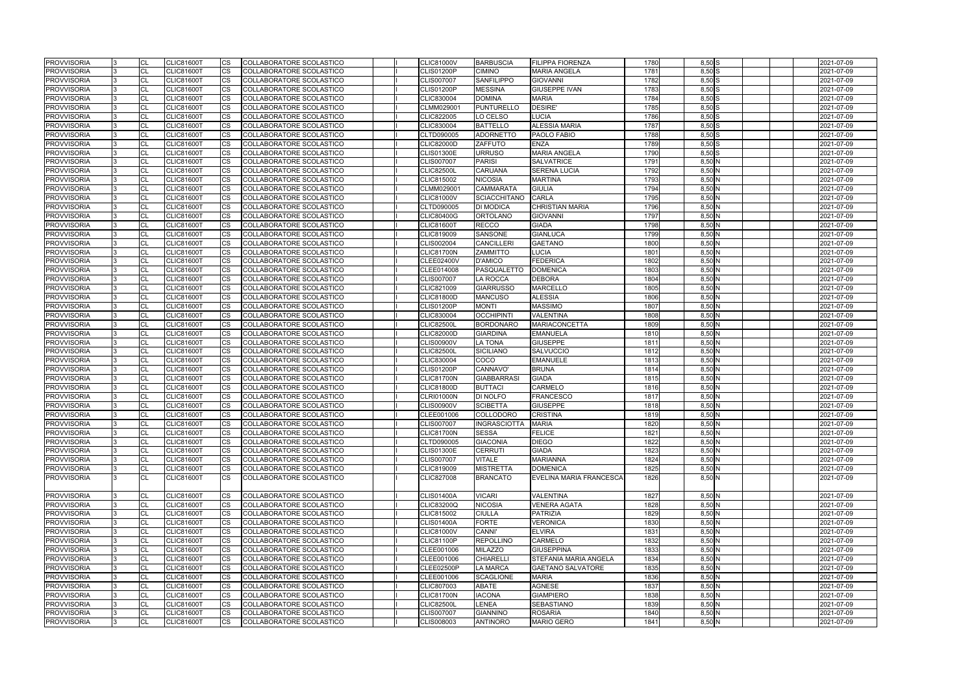| <b>PROVVISORIA</b> | <b>CL</b> | <b>CLIC81600T</b> | ICS.      | COLLABORATORE SCOLASTICO        |  | <b>CLIC81000V</b>        | <b>BARBUSCIA</b>              | <b>IFILIPPA FIORENZA</b>       | 1780         | 8,50 S   | 2021-07-09               |
|--------------------|-----------|-------------------|-----------|---------------------------------|--|--------------------------|-------------------------------|--------------------------------|--------------|----------|--------------------------|
| <b>PROVVISORIA</b> | CL        | <b>CLIC81600T</b> | CS        | <b>COLLABORATORE SCOLASTICO</b> |  | <b>CLIS01200P</b>        | <b>CIMINO</b>                 | <b>MARIA ANGELA</b>            | 1781         | 8,50S    | 2021-07-09               |
| <b>PROVVISORIA</b> | <b>CL</b> | <b>CLIC81600T</b> | CS        | COLLABORATORE SCOLASTICO        |  | <b>CLIS007007</b>        | <b>SANFILIPPO</b>             | <b>GIOVANNI</b>                | 1782         | $8,50$ S | 2021-07-09               |
| <b>PROVVISORIA</b> | CL        | <b>CLIC81600T</b> | CS        | COLLABORATORE SCOLASTICO        |  | <b>CLIS01200P</b>        | <b>MESSINA</b>                | <b>GIUSEPPE IVAN</b>           | 1783         | 8,50 S   | 2021-07-09               |
| <b>PROVVISORIA</b> | <b>CL</b> | <b>CLIC81600T</b> | CS        | COLLABORATORE SCOLASTICO        |  | CLIC830004               | <b>DOMINA</b>                 | <b>MARIA</b>                   | 1784         | $8,50$ S | 2021-07-09               |
| <b>PROVVISORIA</b> | <b>CL</b> | <b>CLIC81600T</b> | CS        | COLLABORATORE SCOLASTICO        |  | CLMM029001               | <b>PUNTURELLO</b>             | <b>DESIRE'</b>                 | 1785         | 8,50 S   | 2021-07-09               |
| <b>PROVVISORIA</b> | <b>CL</b> | <b>CLIC81600T</b> | <b>CS</b> | COLLABORATORE SCOLASTICO        |  | <b>CLIC822005</b>        | LO CELSO                      | LUCIA                          | 1786         | $8,50$ S | 2021-07-09               |
| <b>PROVVISORIA</b> | <b>CL</b> | <b>CLIC81600T</b> | CS        | COLLABORATORE SCOLASTICO        |  | CLIC830004               | <b>BATTELLO</b>               | <b>ALESSIA MARIA</b>           | 1787         | 8,50 S   | 2021-07-09               |
| <b>PROVVISORIA</b> | <b>CL</b> | <b>CLIC81600T</b> | CS        | COLLABORATORE SCOLASTICO        |  | CLTD090005               | <b>ADORNETTO</b>              | PAOLO FABIO                    | 1788         | $8,50$ S | 2021-07-09               |
| <b>PROVVISORIA</b> | <b>CL</b> | <b>CLIC81600T</b> | CS        | COLLABORATORE SCOLASTICO        |  | <b>CLIC82000D</b>        | ZAFFUTO                       | ENZA                           | 1789         | $8,50$ S | 2021-07-09               |
| <b>PROVVISORIA</b> | <b>CL</b> | <b>CLIC81600T</b> | CS        | COLLABORATORE SCOLASTICO        |  | <b>CLIS01300E</b>        | <b>URRUSO</b>                 | <b>MARIA ANGELA</b>            | 1790         | $8,50$ S | 2021-07-09               |
| <b>PROVVISORIA</b> | CL        | <b>CLIC81600T</b> | CS        | COLLABORATORE SCOLASTICO        |  | <b>CLIS007007</b>        | <b>PARISI</b>                 | <b>SALVATRICE</b>              | 1791         | 8,50N    | 2021-07-09               |
| <b>PROVVISORIA</b> | <b>CL</b> | <b>CLIC81600T</b> | <b>CS</b> | COLLABORATORE SCOLASTICO        |  | <b>CLIC82500L</b>        | <b>CARUANA</b>                | SERENA LUCIA                   | 1792         | 8,50 N   | 2021-07-09               |
| <b>PROVVISORIA</b> | <b>CL</b> | <b>CLIC81600T</b> | <b>CS</b> | COLLABORATORE SCOLASTICO        |  | CLIC815002               | <b>NICOSIA</b>                | <b>MARTINA</b>                 | 1793         | 8,50 N   | 2021-07-09               |
| <b>PROVVISORIA</b> | CL        | <b>CLIC81600T</b> | CS        | COLLABORATORE SCOLASTICO        |  | CLMM029001               | <b>CAMMARATA</b>              | <b>GIULIA</b>                  | 1794         | 8,50 N   | 2021-07-09               |
| <b>PROVVISORIA</b> | <b>CL</b> | <b>CLIC81600T</b> | CS        | COLLABORATORE SCOLASTICO        |  | <b>CLIC81000V</b>        | <b>SCIACCHITANO</b>           | <b>CARLA</b>                   | 1795         | 8,50 N   | 2021-07-09               |
| <b>PROVVISORIA</b> | <b>CL</b> | <b>CLIC81600T</b> | CS        | COLLABORATORE SCOLASTICO        |  | CLTD090005               | <b>DI MODICA</b>              | <b>CHRISTIAN MARIA</b>         | 1796         | 8,50 N   | 2021-07-09               |
| <b>PROVVISORIA</b> | <b>CL</b> | <b>CLIC81600T</b> | CS        | COLLABORATORE SCOLASTICO        |  | <b>CLIC80400G</b>        | <b>ORTOLANO</b>               | <b>GIOVANNI</b>                | 1797         | 8,50 N   | 2021-07-09               |
| <b>PROVVISORIA</b> | <b>CL</b> | <b>CLIC81600T</b> | <b>CS</b> | COLLABORATORE SCOLASTICO        |  | <b>CLIC81600T</b>        | <b>RECCO</b>                  | <b>GIADA</b>                   | 1798         | 8,50N    | 2021-07-09               |
| <b>PROVVISORIA</b> | <b>CL</b> | <b>CLIC81600T</b> | CS        | COLLABORATORE SCOLASTICO        |  | CLIC819009               | SANSONE                       | <b>GIANLUCA</b>                | 1799         | 8,50 N   | 2021-07-09               |
| <b>PROVVISORIA</b> | <b>CL</b> | <b>CLIC81600T</b> | CS        | COLLABORATORE SCOLASTICO        |  | <b>CLIS002004</b>        | <b>CANCILLERI</b>             | <b>GAETANO</b>                 | 1800         | $8,50$ N | 2021-07-09               |
| <b>PROVVISORIA</b> | <b>CL</b> | <b>CLIC81600T</b> | CS        | COLLABORATORE SCOLASTICO        |  | <b>CLIC81700N</b>        | <b>ZAMMITTO</b>               | LUCIA                          | 1801         | $8,50$ N | 2021-07-09               |
| <b>PROVVISORIA</b> | CL        | <b>CLIC81600T</b> | CS        | COLLABORATORE SCOLASTICO        |  | <b>CLEE02400V</b>        | <b>D'AMICO</b>                | <b>FEDERICA</b>                | 1802         | 8,50 N   | 2021-07-09               |
| <b>PROVVISORIA</b> | <b>CL</b> | <b>CLIC81600T</b> | CS        | COLLABORATORE SCOLASTICO        |  | CLEE014008               | PASQUALETTO                   | <b>DOMENICA</b>                | 1803         | $8,50$ N | 2021-07-09               |
| <b>PROVVISORIA</b> | <b>CL</b> | <b>CLIC81600T</b> | <b>CS</b> | <b>COLLABORATORE SCOLASTICO</b> |  | <b>CLIS007007</b>        | <b>LA ROCCA</b>               | <b>DEBORA</b>                  | 1804         | 8,50 N   | 2021-07-09               |
| <b>PROVVISORIA</b> | CL        | <b>CLIC81600T</b> | <b>CS</b> | COLLABORATORE SCOLASTICO        |  | CLIC821009               | <b>GIARRUSSO</b>              | <b>MARCELLO</b>                | 1805         | 8,50 N   | 2021-07-09               |
| <b>PROVVISORIA</b> | <b>CL</b> | <b>CLIC81600T</b> | CS        | COLLABORATORE SCOLASTICO        |  | <b>CLIC81800D</b>        | <b>MANCUSO</b>                | <b>ALESSIA</b>                 | 1806         | 8,50 N   | 2021-07-09               |
| <b>PROVVISORIA</b> | <b>CL</b> | <b>CLIC81600T</b> | CS        | COLLABORATORE SCOLASTICO        |  | <b>CLIS01200P</b>        | <b>MONTI</b>                  | <b>MASSIMO</b>                 | 1807         | 8,50 N   | 2021-07-09               |
| <b>PROVVISORIA</b> | CL        | <b>CLIC81600T</b> | CS.       | COLLABORATORE SCOLASTICO        |  | CLIC830004               | <b>OCCHIPINTI</b>             | VALENTINA                      | 1808         | 8,50 N   | 2021-07-09               |
| <b>PROVVISORIA</b> | <b>CL</b> | <b>CLIC81600T</b> | CS        | COLLABORATORE SCOLASTICO        |  | <b>CLIC82500L</b>        | <b>BORDONARO</b>              | <b>MARIACONCETTA</b>           | 1809         | 8,50 N   | 2021-07-09               |
| <b>PROVVISORIA</b> | <b>CL</b> | <b>CLIC81600T</b> | CS        | COLLABORATORE SCOLASTICO        |  | <b>CLIC82000D</b>        | <b>GIARDINA</b>               | <b>EMANUELA</b>                | 1810         | 8,50N    | 2021-07-09               |
| <b>PROVVISORIA</b> | <b>CL</b> | <b>CLIC81600T</b> | <b>CS</b> | COLLABORATORE SCOLASTICO        |  | <b>CLIS00900V</b>        | <b>LA TONA</b>                | <b>GIUSEPPE</b>                | 1811         | 8,50 N   | 2021-07-09               |
| <b>PROVVISORIA</b> | <b>CL</b> | <b>CLIC81600T</b> | CS        | COLLABORATORE SCOLASTICO        |  | <b>CLIC82500L</b>        | <b>SICILIANO</b>              | <b>SALVUCCIO</b>               | 1812         | 8,50 N   | 2021-07-09               |
| <b>PROVVISORIA</b> | <b>CL</b> | <b>CLIC81600T</b> | CS        | COLLABORATORE SCOLASTICO        |  | CLIC830004               | COCO                          | <b>EMANUELE</b>                | 1813         | 8,50 N   | 2021-07-09               |
| <b>PROVVISORIA</b> | <b>CL</b> | <b>CLIC81600T</b> | CS        | COLLABORATORE SCOLASTICO        |  | <b>CLIS01200P</b>        | CANNAVO'                      | <b>BRUNA</b>                   | 1814         | 8,50 N   | 2021-07-09               |
| <b>PROVVISORIA</b> | <b>CL</b> | <b>CLIC81600T</b> | CS        | COLLABORATORE SCOLASTICO        |  | <b>CLIC81700N</b>        | <b>GIABBARRASI</b>            | <b>GIADA</b>                   | 1815         | 8,50 N   | 2021-07-09               |
| <b>PROVVISORIA</b> | CL        | <b>CLIC81600T</b> | CS        | COLLABORATORE SCOLASTICO        |  | <b>CLIC81800D</b>        | <b>BUTTACI</b>                | <b>CARMELO</b>                 | 1816         | 8,50N    | 2021-07-09               |
| <b>PROVVISORIA</b> | <b>CL</b> | <b>CLIC81600T</b> | <b>CS</b> | COLLABORATORE SCOLASTICO        |  | <b>CLRI01000N</b>        | <b>DI NOLFO</b>               | <b>FRANCESCO</b>               | 1817         | 8,50 N   | 2021-07-09               |
| <b>PROVVISORIA</b> | <b>CL</b> | <b>CLIC81600T</b> | CS        | <b>COLLABORATORE SCOLASTICO</b> |  | <b>CLIS00900V</b>        | <b>SCIBETTA</b>               | <b>GIUSEPPE</b>                | 1818         | 8,50 N   | 2021-07-09               |
| <b>PROVVISORIA</b> | CL        | CLIC81600T        | CS        | COLLABORATORE SCOLASTICO        |  | CLEE001006               | <b>COLLODORO</b>              | <b>CRISTINA</b>                | 1819         | 8,50N    | 2021-07-09               |
| <b>PROVVISORIA</b> | lCL.      | <b>CLIC81600T</b> | <b>CS</b> | COLLABORATORE SCOLASTICO        |  | <b>CLIS007007</b>        | INGRASCIOTTA MARIA            |                                | 1820         | 8,50 N   | 2021-07-09               |
| <b>PROVVISORIA</b> | <b>CL</b> | <b>CLIC81600T</b> | CS        | COLLABORATORE SCOLASTICO        |  | CLIC81700N               | <b>SESSA</b>                  | <b>FELICE</b>                  | 1821         | 8,50 N   | 2021-07-09               |
| <b>PROVVISORIA</b> | CL        | <b>CLIC81600T</b> | <b>CS</b> | COLLABORATORE SCOLASTICO        |  | CLTD090005               | <b>GIACONIA</b>               | <b>DIEGO</b>                   | 1822         | 8,50 N   | 2021-07-09               |
| <b>PROVVISORIA</b> | <b>CL</b> | <b>CLIC81600T</b> | <b>CS</b> | COLLABORATORE SCOLASTICO        |  | <b>CLIS01300E</b>        | <b>CERRUTI</b>                | <b>GIADA</b>                   | 1823         | $8,50$ N | 2021-07-09               |
| <b>PROVVISORIA</b> | <b>CL</b> | <b>CLIC81600T</b> | <b>CS</b> | COLLABORATORE SCOLASTICO        |  | <b>CLIS007007</b>        | <b>VITALE</b>                 | <b>MARIANNA</b>                | 1824         | 8,50 N   | 2021-07-09               |
| <b>PROVVISORIA</b> | <b>CL</b> | <b>CLIC81600T</b> | <b>CS</b> | COLLABORATORE SCOLASTICO        |  | <b>CLIC819009</b>        | <b>MISTRETTA</b>              | <b>DOMENICA</b>                | 1825         | 8,50N    | 2021-07-09               |
| <b>PROVVISORIA</b> | <b>CL</b> | <b>CLIC81600T</b> | CS        | COLLABORATORE SCOLASTICO        |  | <b>CLIC827008</b>        | <b>BRANCATO</b>               | <b>EVELINA MARIA FRANCESCA</b> | 1826         | $8,50$ N | 2021-07-09               |
| <b>PROVVISORIA</b> | <b>CL</b> | <b>CLIC81600T</b> | <b>CS</b> | COLLABORATORE SCOLASTICO        |  | <b>CLIS01400A</b>        | <b>VICARI</b>                 | <b>VALENTINA</b>               | 1827         | 8,50 N   | 2021-07-09               |
| <b>PROVVISORIA</b> | <b>CL</b> | <b>CLIC81600T</b> | <b>CS</b> | COLLABORATORE SCOLASTICO        |  | CLIC83200Q               | <b>NICOSIA</b>                | <b>VENERA AGATA</b>            | 1828         | 8,50N    | 2021-07-09               |
| <b>PROVVISORIA</b> | CL        | <b>CLIC81600T</b> | <b>CS</b> | COLLABORATORE SCOLASTICO        |  | CLIC815002               | <b>CIULLA</b>                 | <b>PATRIZIA</b>                | 1829         | 8,50 N   | 2021-07-09               |
| <b>PROVVISORIA</b> | <b>CL</b> | <b>CLIC81600T</b> | <b>CS</b> | COLLABORATORE SCOLASTICO        |  | <b>CLIS01400A</b>        | <b>FORTE</b>                  | <b>VERONICA</b>                | 1830         | 8,50 N   | 2021-07-09               |
| <b>PROVVISORIA</b> | <b>CL</b> | <b>CLIC81600T</b> | CS        | COLLABORATORE SCOLASTICO        |  | <b>CLIC81000V</b>        | CANNI'                        | <b>ELVIRA</b>                  | 1831         | 8,50 N   | 2021-07-09               |
| <b>PROVVISORIA</b> | CL        | CLIC81600T        | CS        | COLLABORATORE SCOLASTICO        |  | <b>CLIC81100P</b>        | <b>REPOLLINO</b>              | CARMELO                        | 1832         | 8,50N    | 2021-07-09               |
| <b>PROVVISORIA</b> | CL        | <b>CLIC81600T</b> | <b>CS</b> | COLLABORATORE SCOLASTICO        |  | CLEE001006               | <b>MILAZZO</b>                | <b>GIUSEPPINA</b>              | 1833         | 8,50N    | 2021-07-09               |
| <b>PROVVISORIA</b> | CL        | <b>CLIC81600T</b> | CS        | COLLABORATORE SCOLASTICO        |  | CLEE001006               | <b>CHIARELLI</b>              | STEFANIA MARIA ANGELA          | 1834         | 8,50N    | 2021-07-09               |
| <b>PROVVISORIA</b> | <b>CL</b> | <b>CLIC81600T</b> | <b>CS</b> | COLLABORATORE SCOLASTICO        |  | <b>CLEE02500P</b>        | <b>LA MARCA</b>               | <b>GAETANO SALVATORE</b>       | 1835         | 8,50 N   | 2021-07-09               |
| <b>PROVVISORIA</b> | <b>CL</b> | <b>CLIC81600T</b> | <b>CS</b> | COLLABORATORE SCOLASTICO        |  |                          | <b>SCAGLIONE</b>              | <b>MARIA</b>                   | 1836         | 8,50N    |                          |
| <b>PROVVISORIA</b> | <b>CL</b> | <b>CLIC81600T</b> | CS        | <b>COLLABORATORE SCOLASTICO</b> |  | CLEE001006<br>CLIC807003 | <b>ABATE</b>                  | <b>AGNESE</b>                  | 1837         | $8,50$ N | 2021-07-09<br>2021-07-09 |
|                    |           | <b>CLIC81600T</b> |           |                                 |  |                          |                               | <b>GIAMPIERO</b>               |              | 8,50 N   | 2021-07-09               |
| <b>PROVVISORIA</b> | <b>CL</b> |                   | CS        | COLLABORATORE SCOLASTICO        |  | <b>CLIC81700N</b>        | <b>IACONA</b><br><b>LENEA</b> | <b>SEBASTIANO</b>              | 1838<br>1839 | 8,50N    | 2021-07-09               |
| <b>PROVVISORIA</b> | <b>CL</b> | <b>CLIC81600T</b> | CS.       | COLLABORATORE SCOLASTICO        |  | <b>CLIC82500L</b>        |                               |                                |              |          |                          |
| <b>PROVVISORIA</b> | <b>CL</b> | <b>CLIC81600T</b> | CS        | COLLABORATORE SCOLASTICO        |  | <b>CLIS007007</b>        | <b>GIANNINO</b>               | <b>ROSARIA</b>                 | 1840         | 8,50 N   | 2021-07-09               |
| <b>PROVVISORIA</b> | <b>CL</b> | <b>CLIC81600T</b> | CS.       | COLLABORATORE SCOLASTICO        |  | CLIS008003               | ANTINORO                      | <b>MARIO GERO</b>              | 1841         | 8,50 N   | 2021-07-09               |

|  |  | 2021-07-09               |
|--|--|--------------------------|
|  |  | 2021-07-09               |
|  |  | 2021-07-09               |
|  |  | 2021-07-09               |
|  |  | 2021-07-09               |
|  |  | 2021-07-09               |
|  |  | 2021-07-09               |
|  |  | 2021-07-09               |
|  |  | 2021-07-09               |
|  |  | 2021-07-09               |
|  |  | 2021-07-09               |
|  |  | 2021-07-09               |
|  |  | 2021-07-09               |
|  |  | 2021-07-09               |
|  |  | 2021-07-09               |
|  |  | 2021-07-09               |
|  |  | 2021-07-09               |
|  |  | 2021-07-09               |
|  |  | 2021-07-09               |
|  |  | 2021-07-09               |
|  |  | 2021-07-09               |
|  |  | 2021-07-09               |
|  |  | 2021-07-09               |
|  |  | 2021-07-09               |
|  |  | 2021-07-09               |
|  |  | 2021-07-09               |
|  |  | 2021-07-09               |
|  |  | 2021-07-09<br>2021-07-09 |
|  |  |                          |
|  |  | 2021-07-09<br>2021-07-09 |
|  |  | 2021-07-09               |
|  |  | 2021-07-09               |
|  |  | 2021-07-09               |
|  |  | 2021-07-09               |
|  |  | 2021-07-09               |
|  |  | 2021-07-09               |
|  |  | 2021-07-09               |
|  |  | 2021-07-09               |
|  |  | 2021-07-09               |
|  |  | 2021-07-09               |
|  |  | 2021-07-09               |
|  |  | 2021-07-09               |
|  |  | 2021-07-09               |
|  |  | 2021-07-09               |
|  |  | 2021-07-09               |
|  |  | 2021-07-09               |
|  |  |                          |
|  |  | 2021-07-09               |
|  |  | 2021-07-09               |
|  |  | 2021-07-09               |
|  |  | 2021-07-09               |
|  |  | 2021-07-09               |
|  |  | 2021-07-09               |
|  |  | 2021-07-09               |
|  |  | 2021-07-09               |
|  |  | 2021-07-09               |
|  |  | 2021-07-09               |
|  |  | 2021-07-09               |
|  |  | 2021-07-09               |
|  |  | 2021-07-09               |
|  |  | 2021-07-09               |
|  |  | 2021-07-09               |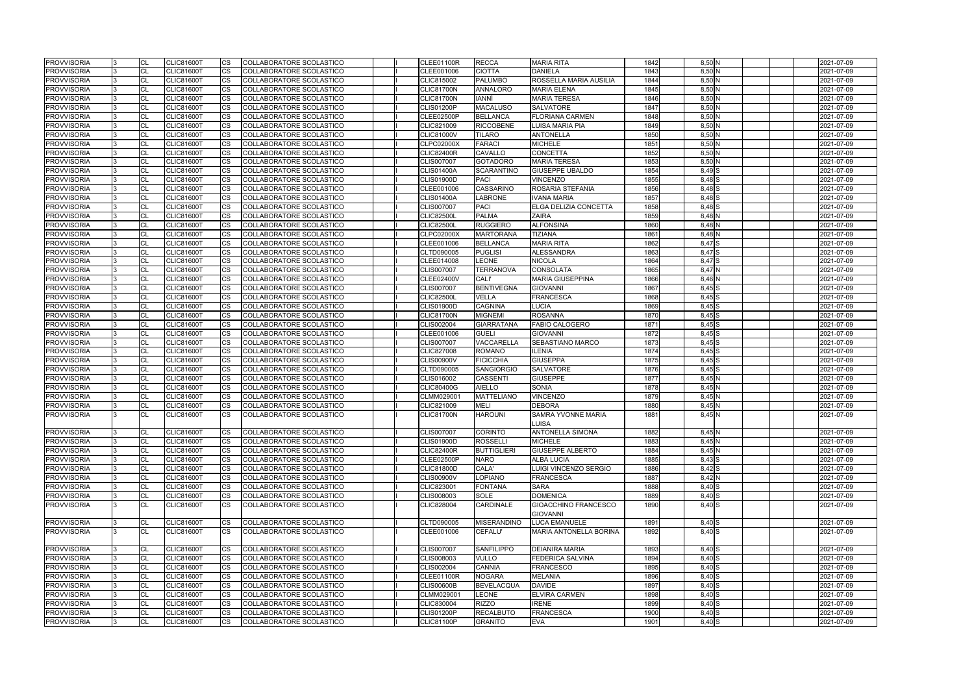| <b>PROVVISORIA</b> | CL        | <b>CLIC81600T</b> | <b>CS</b> | COLLABORATORE SCOLASTICO         |  | <b>CLEE01100R</b> | <b>RECCA</b>       | <b>MARIA RITA</b>             | 1842 | 8,50 N   | 2021-07-09 |
|--------------------|-----------|-------------------|-----------|----------------------------------|--|-------------------|--------------------|-------------------------------|------|----------|------------|
| <b>PROVVISORIA</b> | CL        | <b>CLIC81600T</b> | <b>CS</b> | COLLABORATORE SCOLASTICO         |  | CLEE001006        | <b>CIOTTA</b>      | <b>DANIELA</b>                | 1843 | 8,50 N   | 2021-07-09 |
| <b>PROVVISORIA</b> | <b>CL</b> | <b>CLIC81600T</b> | <b>CS</b> | <b>COLLABORATORE SCOLASTICO</b>  |  | CLIC815002        | <b>PALUMBO</b>     | <b>ROSSELLA MARIA AUSILIA</b> | 1844 | 8,50N    | 2021-07-09 |
| <b>PROVVISORIA</b> | CL        | <b>CLIC81600T</b> | CS        | COLLABORATORE SCOLASTICO         |  | <b>CLIC81700N</b> | <b>ANNALORO</b>    | <b>MARIA ELENA</b>            | 1845 | 8,50 N   | 2021-07-09 |
| <b>PROVVISORIA</b> | CL        | <b>CLIC81600T</b> | <b>CS</b> | COLLABORATORE SCOLASTICO         |  | <b>CLIC81700N</b> | <b>IANNI</b>       | <b>MARIA TERESA</b>           | 1846 | 8,50 N   | 2021-07-09 |
| <b>PROVVISORIA</b> | CL        | <b>CLIC81600T</b> | <b>CS</b> | COLLABORATORE SCOLASTICO         |  | <b>CLIS01200P</b> | <b>MACALUSO</b>    | <b>SALVATORE</b>              | 1847 | 8,50N    | 2021-07-09 |
| <b>PROVVISORIA</b> | CL        | <b>CLIC81600T</b> | <b>CS</b> | COLLABORATORE SCOLASTICO         |  | <b>CLEE02500P</b> | <b>BELLANCA</b>    | <b>FLORIANA CARMEN</b>        | 1848 | 8,50 N   | 2021-07-09 |
| <b>PROVVISORIA</b> | CL        | <b>CLIC81600T</b> | <b>CS</b> | COLLABORATORE SCOLASTICO         |  | CLIC821009        | <b>RICCOBENE</b>   | <b>LUISA MARIA PIA</b>        | 1849 | 8,50 N   | 2021-07-09 |
| <b>PROVVISORIA</b> | CL        | <b>CLIC81600T</b> | <b>CS</b> | COLLABORATORE SCOLASTICO         |  | <b>CLIC81000V</b> | <b>TILARO</b>      | <b>ANTONELLA</b>              | 1850 | 8,50 N   | 2021-07-09 |
| <b>PROVVISORIA</b> | CL        | <b>CLIC81600T</b> | CS        | COLLABORATORE SCOLASTICO         |  | <b>CLPC02000X</b> | <b>FARACI</b>      | <b>MICHELE</b>                | 1851 | 8,50 N   | 2021-07-09 |
| <b>PROVVISORIA</b> | CL        | CLIC81600T        | CS        | COLLABORATORE SCOLASTICO         |  | <b>CLIC82400R</b> | <b>CAVALLO</b>     | <b>CONCETTA</b>               | 1852 | 8,50 N   | 2021-07-09 |
| <b>PROVVISORIA</b> | <b>CL</b> | <b>CLIC81600T</b> | <b>CS</b> | COLLABORATORE SCOLASTICO         |  | <b>CLIS007007</b> | <b>GOTADORO</b>    | <b>MARIA TERESA</b>           | 1853 | 8,50N    | 2021-07-09 |
| <b>PROVVISORIA</b> | <b>CL</b> | <b>CLIC81600T</b> | <b>CS</b> | COLLABORATORE SCOLASTICO         |  | <b>CLIS01400A</b> | <b>SCARANTINO</b>  | <b>GIUSEPPE UBALDO</b>        | 1854 | 8,49 S   | 2021-07-09 |
| <b>PROVVISORIA</b> | CL        | <b>CLIC81600T</b> | <b>CS</b> | COLLABORATORE SCOLASTICO         |  | <b>CLIS01900D</b> | <b>PACI</b>        | <b>VINCENZO</b>               | 1855 | 8,48 S   | 2021-07-09 |
| <b>PROVVISORIA</b> | CL        | <b>CLIC81600T</b> | <b>CS</b> | COLLABORATORE SCOLASTICO         |  | CLEE001006        | <b>CASSARINO</b>   | <b>ROSARIA STEFANIA</b>       | 1856 | 8,48 S   | 2021-07-09 |
| <b>PROVVISORIA</b> | CL        | <b>CLIC81600T</b> | <b>CS</b> | COLLABORATORE SCOLASTICO         |  | <b>CLIS01400A</b> | <b>LABRONE</b>     | <b>IVANA MARIA</b>            | 1857 | 8,48 S   | 2021-07-09 |
| <b>PROVVISORIA</b> | <b>CL</b> | <b>CLIC81600T</b> | CS        | COLLABORATORE SCOLASTICO         |  | <b>CLIS007007</b> | <b>PACI</b>        | ELGA DELIZIA CONCETTA         | 1858 | 8,48 S   | 2021-07-09 |
| <b>PROVVISORIA</b> | CL        | <b>CLIC81600T</b> | <b>CS</b> | COLLABORATORE SCOLASTICO         |  | <b>CLIC82500L</b> | <b>PALMA</b>       | <b>ZAIRA</b>                  | 1859 | 8,48 N   | 2021-07-09 |
| <b>PROVVISORIA</b> | CL        | <b>CLIC81600T</b> | <b>CS</b> | COLLABORATORE SCOLASTICO         |  | <b>CLIC82500L</b> | <b>RUGGIERO</b>    | <b>ALFONSINA</b>              | 1860 | 8,48 N   | 2021-07-09 |
| <b>PROVVISORIA</b> | <b>CL</b> | <b>CLIC81600T</b> | <b>CS</b> | COLLABORATORE SCOLASTICO         |  | <b>CLPC02000X</b> | <b>MARTORANA</b>   | <b>TIZIANA</b>                | 1861 | 8,48 N   | 2021-07-09 |
| <b>PROVVISORIA</b> | CL        | <b>CLIC81600T</b> | <b>CS</b> | COLLABORATORE SCOLASTICO         |  | CLEE001006        | <b>BELLANCA</b>    | <b>MARIA RITA</b>             | 1862 | 8,47 S   | 2021-07-09 |
| <b>PROVVISORIA</b> | <b>CL</b> | <b>CLIC81600T</b> | CS        | COLLABORATORE SCOLASTICO         |  | CLTD090005        | <b>PUGLISI</b>     | <b>ALESSANDRA</b>             | 1863 | 8,47 S   | 2021-07-09 |
| <b>PROVVISORIA</b> | <b>CL</b> | <b>CLIC81600T</b> | CS        | COLLABORATORE SCOLASTICO         |  | CLEE014008        | <b>LEONE</b>       | <b>NICOLA</b>                 | 1864 | 8,47 S   | 2021-07-09 |
| <b>PROVVISORIA</b> | CL        | <b>CLIC81600T</b> | <b>CS</b> | COLLABORATORE SCOLASTICO         |  | <b>CLIS007007</b> | <b>TERRANOVA</b>   | <b>CONSOLATA</b>              | 1865 | 8,47 N   | 2021-07-09 |
| <b>PROVVISORIA</b> | CL        | <b>CLIC81600T</b> | CS        | COLLABORATORE SCOLASTICO         |  | <b>CLEE02400V</b> | CALI'              | <b>MARIA GIUSEPPINA</b>       | 1866 | 8,46 N   | 2021-07-09 |
| <b>PROVVISORIA</b> | <b>CL</b> | <b>CLIC81600T</b> | <b>CS</b> | COLLABORATORE SCOLASTICO         |  | <b>CLIS007007</b> | <b>BENTIVEGNA</b>  | <b>GIOVANNI</b>               | 1867 | 8,45 S   | 2021-07-09 |
| <b>PROVVISORIA</b> | CL        | <b>CLIC81600T</b> | <b>CS</b> | COLLABORATORE SCOLASTICO         |  | <b>CLIC82500L</b> | <b>VELLA</b>       | <b>FRANCESCA</b>              | 1868 | 8,45 S   | 2021-07-09 |
| <b>PROVVISORIA</b> | CL        | <b>CLIC81600T</b> | <b>CS</b> | COLLABORATORE SCOLASTICO         |  | <b>CLIS01900D</b> | <b>CAGNINA</b>     | <b>LUCIA</b>                  | 1869 | 8,45 S   | 2021-07-09 |
| <b>PROVVISORIA</b> | <b>CL</b> | <b>CLIC81600T</b> | CS        | COLLABORATORE SCOLASTICO         |  | <b>CLIC81700N</b> | <b>MIGNEMI</b>     | <b>ROSANNA</b>                | 1870 | 8,45S    | 2021-07-09 |
|                    |           |                   |           |                                  |  |                   | <b>GIARRATANA</b>  | <b>FABIO CALOGERO</b>         | 1871 | 8,45 S   |            |
| <b>PROVVISORIA</b> | CL        | CLIC81600T        | CS        | COLLABORATORE SCOLASTICO         |  | CLIS002004        |                    |                               |      |          | 2021-07-09 |
| <b>PROVVISORIA</b> | <b>CL</b> | <b>CLIC81600T</b> | <b>CS</b> | COLLABORATORE SCOLASTICO         |  | CLEE001006        | <b>GUELI</b>       | <b>GIOVANNI</b>               | 1872 | 8,45 S   | 2021-07-09 |
| <b>PROVVISORIA</b> | CL        | <b>CLIC81600T</b> | <b>CS</b> | COLLABORATORE SCOLASTICO         |  | <b>CLIS007007</b> | <b>VACCARELLA</b>  | <b>SEBASTIANO MARCO</b>       | 1873 | 8,45 S   | 2021-07-09 |
| <b>PROVVISORIA</b> | CL        | <b>CLIC81600T</b> | <b>CS</b> | COLLABORATORE SCOLASTICO         |  | <b>CLIC827008</b> | <b>ROMANO</b>      | <b>ILENIA</b>                 | 1874 | 8,45 S   | 2021-07-09 |
| <b>PROVVISORIA</b> | CL        | <b>CLIC81600T</b> | <b>CS</b> | COLLABORATORE SCOLASTICO         |  | <b>CLIS00900V</b> | <b>FICICCHIA</b>   | <b>GIUSEPPA</b>               | 1875 | 8,45 S   | 2021-07-09 |
| <b>PROVVISORIA</b> | CL        | <b>CLIC81600T</b> | <b>CS</b> | COLLABORATORE SCOLASTICO         |  | CLTD090005        | <b>SANGIORGIO</b>  | <b>SALVATORE</b>              | 1876 | 8,45 S   | 2021-07-09 |
| <b>PROVVISORIA</b> | CL        | <b>CLIC81600T</b> | <b>CS</b> | COLLABORATORE SCOLASTICO         |  | CLIS016002        | <b>CASSENTI</b>    | <b>GIUSEPPE</b>               | 1877 | 8,45 N   | 2021-07-09 |
| <b>PROVVISORIA</b> | CL        | <b>CLIC81600T</b> | <b>CS</b> | COLLABORATORE SCOLASTICO         |  | <b>CLIC80400G</b> | <b>AIELLO</b>      | <b>SONIA</b>                  | 1878 | $8,45$ N | 2021-07-09 |
| <b>PROVVISORIA</b> | CL        | <b>CLIC81600T</b> | <b>CS</b> | COLLABORATORE SCOLASTICO         |  | CLMM029001        | <b>MATTELIANO</b>  | <b>VINCENZO</b>               | 1879 | 8,45 N   | 2021-07-09 |
| <b>PROVVISORIA</b> | CL        | <b>CLIC81600T</b> | <b>CS</b> | <b>ICOLLABORATORE SCOLASTICO</b> |  | CLIC821009        | <b>MELI</b>        | <b>DEBORA</b>                 | 1880 | 8,45 N   | 2021-07-09 |
| <b>PROVVISORIA</b> | <b>CL</b> | <b>CLIC81600T</b> | CS.       | <b>COLLABORATORE SCOLASTICO</b>  |  | <b>CLIC81700N</b> | <b>HAROUNI</b>     | <b>SAMRA YVONNE MARIA</b>     | 1881 | 8,45 N   | 2021-07-09 |
|                    |           |                   |           |                                  |  |                   |                    | LUISA                         |      |          |            |
| <b>PROVVISORIA</b> | <b>CL</b> | <b>CLIC81600T</b> | <b>CS</b> | COLLABORATORE SCOLASTICO         |  | <b>CLIS007007</b> | <b>CORINTO</b>     | <b>ANTONELLA SIMONA</b>       | 1882 | 8,45 N   | 2021-07-09 |
| <b>PROVVISORIA</b> | <b>CL</b> | <b>CLIC81600T</b> | CS        | COLLABORATORE SCOLASTICO         |  | <b>CLIS01900D</b> | <b>ROSSELLI</b>    | <b>MICHELE</b>                | 1883 | $8,45$ N | 2021-07-09 |
| <b>PROVVISORIA</b> | CL        | <b>CLIC81600T</b> | <b>CS</b> | COLLABORATORE SCOLASTICO         |  | <b>CLIC82400R</b> | <b>BUTTIGLIERI</b> | <b>GIUSEPPE ALBERTO</b>       | 1884 | $8,45$ N | 2021-07-09 |
| <b>PROVVISORIA</b> | <b>CL</b> | <b>CLIC81600T</b> | <b>CS</b> | COLLABORATORE SCOLASTICO         |  | <b>CLEE02500P</b> | <b>NARO</b>        | <b>ALBA LUCIA</b>             | 1885 | 8,43 S   | 2021-07-09 |
| <b>PROVVISORIA</b> | <b>CL</b> | <b>CLIC81600T</b> | CS        | COLLABORATORE SCOLASTICO         |  | <b>CLIC81800D</b> | CALA'              | LUIGI VINCENZO SERGIO         | 1886 | 8,42 S   | 2021-07-09 |
| <b>PROVVISORIA</b> | CL        | <b>CLIC81600T</b> | <b>CS</b> | COLLABORATORE SCOLASTICO         |  | <b>CLIS00900V</b> | <b>LOPIANO</b>     | <b>FRANCESCA</b>              | 1887 | $8,42$ N | 2021-07-09 |
| <b>PROVVISORIA</b> | <b>CL</b> | <b>CLIC81600T</b> | <b>CS</b> | COLLABORATORE SCOLASTICO         |  | CLIC823001        | <b>FONTANA</b>     | <b>SARA</b>                   | 1888 | 8,40 S   | 2021-07-09 |
| <b>PROVVISORIA</b> | <b>CL</b> | <b>CLIC81600T</b> | CS        | COLLABORATORE SCOLASTICO         |  | CLIS008003        | SOLE               | <b>DOMENICA</b>               | 1889 | 8,40 S   | 2021-07-09 |
| <b>PROVVISORIA</b> | CL        | <b>CLIC81600T</b> | <b>CS</b> | COLLABORATORE SCOLASTICO         |  | <b>CLIC828004</b> | <b>CARDINALE</b>   | <b>GIOACCHINO FRANCESCO</b>   | 1890 | 8,40 S   | 2021-07-09 |
|                    |           |                   |           |                                  |  |                   |                    | <b>GIOVANNI</b>               |      |          |            |
| <b>PROVVISORIA</b> | <b>CL</b> | <b>CLIC81600T</b> | <b>CS</b> | COLLABORATORE SCOLASTICO         |  | CLTD090005        | <b>MISERANDINO</b> | <b>LUCA EMANUELE</b>          | 1891 | 8,40 S   | 2021-07-09 |
| <b>PROVVISORIA</b> | <b>CL</b> | <b>CLIC81600T</b> | <b>CS</b> | COLLABORATORE SCOLASTICO         |  | CLEE001006        | <b>CEFALU'</b>     | <b>MARIA ANTONELLA BORINA</b> | 1892 | 8,40 S   | 2021-07-09 |
|                    |           |                   |           |                                  |  |                   |                    |                               |      |          |            |
| <b>PROVVISORIA</b> | <b>CL</b> | <b>CLIC81600T</b> | <b>CS</b> | COLLABORATORE SCOLASTICO         |  | <b>CLIS007007</b> | <b>SANFILIPPO</b>  | <b>DEIANIRA MARIA</b>         | 1893 | 8,40 S   | 2021-07-09 |
| <b>PROVVISORIA</b> | <b>CL</b> | <b>CLIC81600T</b> | <b>CS</b> | COLLABORATORE SCOLASTICO         |  | CLIS008003        | <b>VULLO</b>       | <b>FEDERICA SALVINA</b>       | 1894 | 8,40 S   | 2021-07-09 |
| <b>PROVVISORIA</b> | <b>CL</b> | <b>CLIC81600T</b> | <b>CS</b> | COLLABORATORE SCOLASTICO         |  | CLIS002004        | <b>CANNIA</b>      | <b>FRANCESCO</b>              | 1895 | 8,40 S   | 2021-07-09 |
| <b>PROVVISORIA</b> | CL        | <b>CLIC81600T</b> | <b>CS</b> | COLLABORATORE SCOLASTICO         |  | <b>CLEE01100R</b> | <b>NOGARA</b>      | <b>MELANIA</b>                | 1896 | 8,40 S   | 2021-07-09 |
| <b>PROVVISORIA</b> | CL        | <b>CLIC81600T</b> | <b>CS</b> | COLLABORATORE SCOLASTICO         |  | <b>CLIS00600B</b> | <b>BEVELACQUA</b>  | <b>DAVIDE</b>                 | 1897 | 8,40 S   | 2021-07-09 |
| <b>PROVVISORIA</b> | <b>CL</b> | <b>CLIC81600T</b> | <b>CS</b> | COLLABORATORE SCOLASTICO         |  | CLMM029001        | <b>LEONE</b>       | <b>ELVIRA CARMEN</b>          | 1898 | 8,40 S   | 2021-07-09 |
| <b>PROVVISORIA</b> | <b>CL</b> | <b>CLIC81600T</b> | CS        | COLLABORATORE SCOLASTICO         |  | CLIC830004        | <b>RIZZO</b>       | <b>IRENE</b>                  | 1899 | 8,40 S   | 2021-07-09 |
| <b>PROVVISORIA</b> | <b>CL</b> | <b>CLIC81600T</b> | <b>CS</b> | COLLABORATORE SCOLASTICO         |  | <b>CLIS01200P</b> | <b>RECALBUTO</b>   | <b>FRANCESCA</b>              | 1900 | 8,40 S   | 2021-07-09 |
| <b>PROVVISORIA</b> | <b>CL</b> | <b>CLIC81600T</b> | <b>CS</b> | COLLABORATORE SCOLASTICO         |  | <b>CLIC81100P</b> | <b>GRANITO</b>     | <b>EVA</b>                    | 1901 | 8,40 S   | 2021-07-09 |
|                    |           |                   |           |                                  |  |                   |                    |                               |      |          |            |

| 1842                      | $8,50$ <sub>N</sub>                 |    |  | 2021-07-09               |
|---------------------------|-------------------------------------|----|--|--------------------------|
| 1843                      | $8,50$ N                            |    |  | 2021-07-09               |
| 1844                      | 8,50 N                              |    |  | 2021-07-09               |
| 1845                      | 8,50 N                              |    |  | 2021-07-09               |
| 1846                      | 8,50 N                              |    |  | 2021-07-09               |
| 1847                      | 8,50N                               |    |  | 2021-07-09               |
| 1848                      | 8,50 N                              |    |  | 2021-07-09               |
| 1849                      | 8,50                                | N  |  | 2021-07-09               |
| 1850                      | 8,50 N                              |    |  | 2021-07-09               |
| 1851                      | $8,50$ <sub>N</sub>                 |    |  | 2021-07-09               |
| 1852                      | $8,50$ N                            |    |  | 2021-07-09               |
| 1853                      | 8,50 N                              |    |  | 2021-07-09               |
| 1854                      | 8,49                                | lS |  | 2021-07-09               |
| ,<br>1855                 | 8,48 <sup>S</sup>                   |    |  | 2021-07-09               |
| 1856                      | 8,48 S                              |    |  | 2021-07-09               |
| 1857                      | 8,48 S                              |    |  | 2021-07-09               |
| 1858                      | 8,48 S                              |    |  | 2021-07-09               |
| 1859                      | 8,48 N                              |    |  | 2021-07-09               |
|                           | 8,48 N                              |    |  |                          |
| 1860<br>$\overline{1861}$ | 8,48 N                              |    |  | 2021-07-09<br>2021-07-09 |
|                           |                                     |    |  |                          |
| 1862                      | 8,47                                | S  |  | 2021-07-09               |
| 1863                      | $8,47\overline{\text{S}}$           |    |  | 2021-07-09               |
| 1864                      | $8,47$ S                            |    |  | 2021-07-09               |
| 1865                      | 8.47 <sub>N</sub>                   |    |  | 2021-07-09               |
| 1866                      | 8,46 N                              |    |  | 2021-07-09               |
| 1867                      | 8,45                                | lS |  | 2021-07-09               |
| 1868                      | 8,45                                | S  |  | 2021-07-09               |
| 1869                      | $8,45\overline{\text{S}}$           |    |  | 2021-07-09               |
| 1870                      | $8,45\overline{\text{S}}$           |    |  | 2021-07-09               |
| 1871                      | 8,45                                | ls |  | 2021-07-09               |
| 1872                      | 8,45                                | lS |  | 2021-07-09               |
| 1873                      | 8,45                                | lS |  | 2021-07-09               |
| 1874                      | 8,45                                | S  |  | 2021-07-09               |
| 1875                      | 8,45                                | S  |  | 2021-07-09               |
| 1876                      | $8,45\overline{\smash{\mathrm{S}}}$ |    |  | 2021-07-09               |
| 1877                      | 8,45 N                              |    |  | 2021-07-09               |
| 1878                      | 8,45N                               |    |  | 2021-07-09               |
| 1879                      | 8,45 N                              |    |  | 2021-07-09               |
| 1880                      | 8,45 N                              |    |  | 2021-07-09               |
| 1881                      | $8,45$ N                            |    |  | 2021-07-09               |
| 1882                      | 8,45 N                              |    |  | 2021-07-09               |
| 1883                      | 8,45 N                              |    |  | 2021-07-09               |
| 1884                      | 8,45 N                              |    |  | 2021-07-09               |
| 1885                      | 8.43 S                              |    |  | 2021-07-09               |
| 1886                      | 8,42 S                              |    |  | 2021-07-09               |
| 1887                      | $8,42 \overline{N}$                 |    |  | 2021-07-09               |
| 1888                      | 8,40 S                              |    |  | 2021-07-09               |
| 1889                      | 8,40                                | S  |  | 2021-07-09               |
| 1890                      | 8,40                                | S  |  | 2021-07-09               |
|                           |                                     |    |  |                          |
| 1891                      | 8,40                                | S  |  | 2021-07-09               |
| 1892                      | $8,40\overline{S}$                  |    |  | 2021-07-09               |
|                           |                                     |    |  |                          |
| 1893                      | 8,40                                | S  |  | 2021-07-09               |
| 1894                      | 8,40 S                              |    |  | 2021-07-09               |
| 1895                      | 8,40 S                              |    |  | 2021-07-09               |
| 1896                      | 8,40 S                              |    |  | 2021-07-09               |
| 1897                      | $8,40$ S                            |    |  | 2021-07-09               |
| 1898                      | 8,40 S                              |    |  | 2021-07-09               |
| 1899                      | 8,40 S                              |    |  | 2021-07-09               |
| 1900                      | 8,40                                | lS |  | 2021-07-09               |
| 1901                      | 8,40                                | lS |  | 2021-07-09               |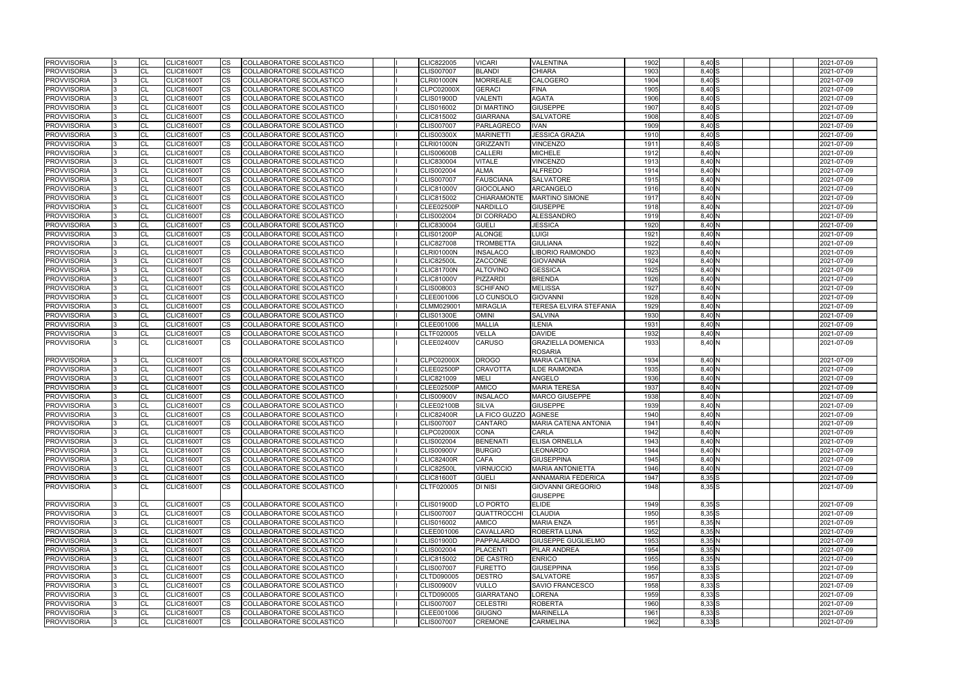| <b>PROVVISORIA</b> | <b>CL</b> | <b>CLIC81600T</b> | <b>CS</b> | COLLABORATORE SCOLASTICO        |  | <b>CLIC822005</b> | <b>VICARI</b>      | VALENTINA                   | 1902 | 8,40 S     | 2021-07-09 |
|--------------------|-----------|-------------------|-----------|---------------------------------|--|-------------------|--------------------|-----------------------------|------|------------|------------|
| <b>PROVVISORIA</b> | <b>CL</b> | <b>CLIC81600T</b> | <b>CS</b> | COLLABORATORE SCOLASTICO        |  | <b>CLIS007007</b> | <b>BLANDI</b>      | <b>CHIARA</b>               | 1903 | 8,40 S     | 2021-07-09 |
| <b>PROVVISORIA</b> | <b>CL</b> | <b>CLIC81600T</b> | CS        | COLLABORATORE SCOLASTICO        |  | <b>CLRI01000N</b> | <b>MORREALE</b>    | <b>CALOGERO</b>             | 1904 | 8,40 S     | 2021-07-09 |
| <b>PROVVISORIA</b> | <b>CL</b> | <b>CLIC81600T</b> | CS        | COLLABORATORE SCOLASTICO        |  | <b>CLPC02000X</b> | <b>GERACI</b>      | <b>FINA</b>                 | 1905 | 8,40 S     | 2021-07-09 |
| <b>PROVVISORIA</b> | <b>CL</b> | <b>CLIC81600T</b> | CS        | COLLABORATORE SCOLASTICO        |  | <b>CLIS01900D</b> | <b>VALENTI</b>     | <b>AGATA</b>                | 1906 | $8,40$ S   | 2021-07-09 |
| <b>PROVVISORIA</b> | CL        | <b>CLIC81600T</b> | CS        | COLLABORATORE SCOLASTICO        |  | CLIS016002        | <b>DI MARTINO</b>  | <b>GIUSEPPE</b>             | 1907 | 8,40 S     | 2021-07-09 |
| <b>PROVVISORIA</b> | <b>CL</b> | <b>CLIC81600T</b> | CS        | COLLABORATORE SCOLASTICO        |  | CLIC815002        | <b>GIARRANA</b>    | <b>SALVATORE</b>            | 1908 | 8,40 S     | 2021-07-09 |
| <b>PROVVISORIA</b> | CL        | <b>CLIC81600T</b> | CS        | COLLABORATORE SCOLASTICO        |  | <b>CLIS007007</b> | PARLAGRECO         | <b>IVAN</b>                 | 1909 | 8,40 S     | 2021-07-09 |
| <b>PROVVISORIA</b> | CL        | <b>CLIC81600T</b> | CS        | COLLABORATORE SCOLASTICO        |  | <b>CLIS00300X</b> | <b>MARINETTI</b>   | <b>JESSICA GRAZIA</b>       | 1910 | 8,40 S     | 2021-07-09 |
| <b>PROVVISORIA</b> | <b>CL</b> | <b>CLIC81600T</b> | CS        | COLLABORATORE SCOLASTICO        |  | <b>CLRI01000N</b> | <b>GRIZZANTI</b>   | <b>VINCENZO</b>             | 1911 | 8,40 S     | 2021-07-09 |
| <b>PROVVISORIA</b> | CL        | <b>CLIC81600T</b> | CS        | COLLABORATORE SCOLASTICO        |  | <b>CLIS00600B</b> | <b>CALLERI</b>     | <b>MICHELE</b>              | 1912 | 8,40 N     | 2021-07-09 |
| <b>PROVVISORIA</b> | <b>CL</b> | <b>CLIC81600T</b> | CS        | COLLABORATORE SCOLASTICO        |  | CLIC830004        | <b>VITALE</b>      | <b>VINCENZO</b>             | 1913 | 8,40 N     | 2021-07-09 |
| <b>PROVVISORIA</b> | <b>CL</b> | <b>CLIC81600T</b> | <b>CS</b> | COLLABORATORE SCOLASTICO        |  | <b>CLIS002004</b> | <b>ALMA</b>        | <b>ALFREDO</b>              | 1914 | 8,40 N     | 2021-07-09 |
| <b>PROVVISORIA</b> | <b>CL</b> | <b>CLIC81600T</b> | <b>CS</b> | COLLABORATORE SCOLASTICO        |  | <b>CLIS007007</b> | <b>FAUSCIANA</b>   | <b>SALVATORE</b>            | 1915 | 8,40 N     | 2021-07-09 |
| <b>PROVVISORIA</b> | <b>CL</b> | <b>CLIC81600T</b> | CS        | COLLABORATORE SCOLASTICO        |  | <b>CLIC81000V</b> | <b>GIOCOLANO</b>   | <b>ARCANGELO</b>            | 1916 | 8,40 N     | 2021-07-09 |
| <b>PROVVISORIA</b> | <b>CL</b> | <b>CLIC81600T</b> | CS        | COLLABORATORE SCOLASTICO        |  | CLIC815002        | <b>CHIARAMONTE</b> | <b>MARTINO SIMONE</b>       | 1917 | 8,40 N     | 2021-07-09 |
| <b>PROVVISORIA</b> | CL        | <b>CLIC81600T</b> | CS        | COLLABORATORE SCOLASTICO        |  | <b>CLEE02500P</b> | <b>NARDILLO</b>    | <b>GIUSEPPE</b>             | 1918 | 8,40 N     | 2021-07-09 |
| <b>PROVVISORIA</b> | <b>CL</b> | <b>CLIC81600T</b> | CS        | COLLABORATORE SCOLASTICO        |  | CLIS002004        | <b>DI CORRADO</b>  | <b>ALESSANDRO</b>           | 1919 | 8,40 N     | 2021-07-09 |
| <b>PROVVISORIA</b> | <b>CL</b> | <b>CLIC81600T</b> | CS        | COLLABORATORE SCOLASTICO        |  | CLIC830004        | <b>GUELI</b>       | <b>JESSICA</b>              | 1920 | 8,40 N     | 2021-07-09 |
| <b>PROVVISORIA</b> | CL        | <b>CLIC81600T</b> | <b>CS</b> | COLLABORATORE SCOLASTICO        |  | <b>CLIS01200P</b> | <b>ALONGE</b>      | LUIGI                       | 1921 | 8,40 N     | 2021-07-09 |
| <b>PROVVISORIA</b> | <b>CL</b> | <b>CLIC81600T</b> | CS        | COLLABORATORE SCOLASTICO        |  | <b>CLIC827008</b> | <b>TROMBETTA</b>   | <b>GIULIANA</b>             | 1922 | 8,40 N     | 2021-07-09 |
| <b>PROVVISORIA</b> | <b>CL</b> | <b>CLIC81600T</b> | CS        | COLLABORATORE SCOLASTICO        |  | <b>CLRI01000N</b> | <b>INSALACO</b>    | <b>LIBORIO RAIMONDO</b>     | 1923 | 8,40 N     | 2021-07-09 |
| <b>PROVVISORIA</b> | <b>CL</b> | <b>CLIC81600T</b> | CS        | COLLABORATORE SCOLASTICO        |  | <b>CLIC82500L</b> | ZACCONE            | <b>GIOVANNA</b>             | 1924 | 8,40 N     | 2021-07-09 |
| <b>PROVVISORIA</b> | <b>CL</b> | <b>CLIC81600T</b> | CS        | COLLABORATORE SCOLASTICO        |  | <b>CLIC81700N</b> | <b>ALTOVINO</b>    | <b>GESSICA</b>              | 1925 | 8,40 N     | 2021-07-09 |
| <b>PROVVISORIA</b> | СL        | <b>CLIC81600T</b> | СS        | COLLABORATORE SCOLASTICO        |  | <b>CLIC81000V</b> | PIZZARDI           | <b>BRENDA</b>               | 1926 | 8,40 N     | 2021-07-09 |
| <b>PROVVISORIA</b> | <b>CL</b> | <b>CLIC81600T</b> | <b>CS</b> | COLLABORATORE SCOLASTICO        |  | CLIS008003        | <b>SCHIFANO</b>    | <b>MELISSA</b>              | 1927 | 8,40 N     | 2021-07-09 |
| <b>PROVVISORIA</b> | <b>CL</b> | <b>CLIC81600T</b> | CS        | COLLABORATORE SCOLASTICO        |  | CLEE001006        | LO CUNSOLO         | <b>GIOVANNI</b>             | 1928 | 8,40 N     | 2021-07-09 |
| <b>PROVVISORIA</b> | <b>CL</b> | <b>CLIC81600T</b> | CS        | COLLABORATORE SCOLASTICO        |  | CLMM029001        | <b>MIRAGLIA</b>    | TERESA ELVIRA STEFANIA      | 1929 | 8,40 N     | 2021-07-09 |
| <b>PROVVISORIA</b> | <b>CL</b> | <b>CLIC81600T</b> | CS        | COLLABORATORE SCOLASTICO        |  | <b>CLIS01300E</b> | <b>OMINI</b>       | <b>SALVINA</b>              | 1930 | 8,40 N     | 2021-07-09 |
| <b>PROVVISORIA</b> | <b>CL</b> | <b>CLIC81600T</b> | CS        | COLLABORATORE SCOLASTICO        |  | CLEE001006        | <b>MALLIA</b>      | <b>ILENIA</b>               | 1931 | 8,40 N     | 2021-07-09 |
| <b>PROVVISORIA</b> | CL        | <b>CLIC81600T</b> | CS        | COLLABORATORE SCOLASTICO        |  | CLTF020005        | <b>VELLA</b>       | <b>DAVIDE</b>               | 1932 | 8,40 N     | 2021-07-09 |
| <b>PROVVISORIA</b> | <b>CL</b> | <b>CLIC81600T</b> | CS        | COLLABORATORE SCOLASTICO        |  | <b>CLEE02400V</b> | <b>CARUSO</b>      | <b>GRAZIELLA DOMENICA</b>   | 1933 | 8,40 N     | 2021-07-09 |
|                    |           |                   |           |                                 |  |                   |                    | <b>ROSARIA</b>              |      |            |            |
| <b>PROVVISORIA</b> | СL        | <b>CLIC81600T</b> | CS        | COLLABORATORE SCOLASTICO        |  | <b>CLPC02000X</b> | <b>DROGO</b>       | <b>MARIA CATENA</b>         | 1934 | 8,40 N     | 2021-07-09 |
| <b>PROVVISORIA</b> | <b>CL</b> | <b>CLIC81600T</b> | CS        | COLLABORATORE SCOLASTICO        |  | <b>CLEE02500P</b> | <b>CRAVOTTA</b>    | <b>ILDE RAIMONDA</b>        | 1935 | 8,40 N     | 2021-07-09 |
| <b>PROVVISORIA</b> | CL        | <b>CLIC81600T</b> | CS        | COLLABORATORE SCOLASTICO        |  | CLIC821009        | <b>MELI</b>        | ANGELO                      | 1936 | 8,40 N     | 2021-07-09 |
| <b>PROVVISORIA</b> | CL        | <b>CLIC81600T</b> | CS        | COLLABORATORE SCOLASTICO        |  | <b>CLEE02500P</b> | <b>AMICO</b>       | <b>MARIA TERESA</b>         | 1937 | 8,40 N     | 2021-07-09 |
| <b>PROVVISORIA</b> | <b>CL</b> | <b>CLIC81600T</b> | <b>CS</b> | COLLABORATORE SCOLASTICO        |  | <b>CLIS00900V</b> | <b>INSALACO</b>    | MARCO GIUSEPPE              | 1938 | 8,40 N     | 2021-07-09 |
| <b>PROVVISORIA</b> | <b>CL</b> | <b>CLIC81600T</b> | CS.       | COLLABORATORE SCOLASTICO        |  | <b>CLEE02100B</b> | <b>SILVA</b>       | <b>GIUSEPPE</b>             | 1939 | 8,40 N     | 2021-07-09 |
| <b>PROVVISORIA</b> | <b>CL</b> | <b>CLIC81600T</b> | <b>CS</b> | COLLABORATORE SCOLASTICO        |  | <b>CLIC82400R</b> | LA FICO GUZZO      | <b>AGNESE</b>               | 1940 | 8,40 N     | 2021-07-09 |
| <b>PROVVISORIA</b> | lCL.      | <b>CLIC81600T</b> | <b>CS</b> | COLLABORATORE SCOLASTICO        |  | <b>CLIS007007</b> | <b>CANTARO</b>     | <b>MARIA CATENA ANTONIA</b> | 1941 | 8,40 N     | 2021-07-09 |
| <b>PROVVISORIA</b> | <b>CL</b> | <b>CLIC81600T</b> | CS        | COLLABORATORE SCOLASTICO        |  | <b>CLPC02000X</b> | <b>CONA</b>        | CARLA                       | 1942 | 8,40 N     | 2021-07-09 |
| <b>PROVVISORIA</b> | CL        | <b>CLIC81600T</b> | <b>CS</b> | COLLABORATORE SCOLASTICO        |  | CLIS002004        | <b>BENENATI</b>    | ELISA ORNELLA               | 1943 | $8,40$ N   | 2021-07-09 |
| <b>PROVVISORIA</b> | <b>CL</b> | <b>CLIC81600T</b> | <b>CS</b> | <b>COLLABORATORE SCOLASTICO</b> |  | <b>CLIS00900V</b> | <b>BURGIO</b>      | LEONARDO                    | 1944 | 8,40 N     | 2021-07-09 |
| <b>PROVVISORIA</b> | CL        | <b>CLIC81600T</b> | <b>CS</b> | COLLABORATORE SCOLASTICO        |  | <b>CLIC82400R</b> | <b>CAFA</b>        | <b>GIUSEPPINA</b>           | 1945 | 8,40 N     | 2021-07-09 |
| <b>PROVVISORIA</b> | <b>CL</b> | <b>CLIC81600T</b> | CS.       | COLLABORATORE SCOLASTICO        |  | <b>CLIC82500L</b> | <b>VIRNUCCIO</b>   | <b>MARIA ANTONIETTA</b>     | 1946 | 8,40 N     | 2021-07-09 |
| <b>PROVVISORIA</b> | <b>CL</b> | <b>CLIC81600T</b> | CS        | COLLABORATORE SCOLASTICO        |  | <b>CLIC81600T</b> | <b>GUELI</b>       | ANNAMARIA FEDERICA          | 1947 | $8,35$ $S$ | 2021-07-09 |
| <b>PROVVISORIA</b> | <b>CL</b> | <b>CLIC81600T</b> | CS        | COLLABORATORE SCOLASTICO        |  | CLTF020005        | <b>DI NISI</b>     | GIOVANNI GREGORIO           | 1948 | 8,35 S     | 2021-07-09 |
|                    |           |                   |           |                                 |  |                   |                    | <b>GIUSEPPE</b>             |      |            |            |
| <b>PROVVISORIA</b> | <b>CL</b> | <b>CLIC81600T</b> | <b>CS</b> | COLLABORATORE SCOLASTICO        |  | <b>CLIS01900D</b> | LO PORTO           | <b>ELIDE</b>                | 1949 | $8,35$ S   | 2021-07-09 |
| <b>PROVVISORIA</b> | <b>CL</b> | <b>CLIC81600T</b> | <b>CS</b> | COLLABORATORE SCOLASTICO        |  | <b>CLIS007007</b> | <b>QUATTROCCHI</b> | <b>CLAUDIA</b>              | 1950 | $8,35$ $S$ | 2021-07-09 |
| <b>PROVVISORIA</b> | <b>CL</b> | <b>CLIC81600T</b> | <b>CS</b> | COLLABORATORE SCOLASTICO        |  | CLIS016002        | <b>AMICO</b>       | <b>MARIA ENZA</b>           | 1951 | 8,35 N     | 2021-07-09 |
| <b>PROVVISORIA</b> | <b>CL</b> | <b>CLIC81600T</b> | CS        | COLLABORATORE SCOLASTICO        |  | CLEE001006        | <b>CAVALLARO</b>   | ROBERTA LUNA                | 1952 | 8,35N      | 2021-07-09 |
| <b>PROVVISORIA</b> | CL        | <b>CLIC81600T</b> | CS.       | COLLABORATORE SCOLASTICO        |  | <b>CLIS01900D</b> | PAPPALARDO         | <b>GIUSEPPE GUGLIELMO</b>   | 1953 | 8,35 N     | 2021-07-09 |
| <b>PROVVISORIA</b> | CL        | <b>CLIC81600T</b> | CS        | COLLABORATORE SCOLASTICO        |  | CLIS002004        | <b>PLACENTI</b>    | PILAR ANDREA                | 1954 | 8,35N      | 2021-07-09 |
| <b>PROVVISORIA</b> | CL        | <b>CLIC81600T</b> | <b>CS</b> | COLLABORATORE SCOLASTICO        |  | CLIC815002        | <b>DE CASTRO</b>   | <b>ENRICO</b>               | 1955 | 8,35N      | 2021-07-09 |
| <b>PROVVISORIA</b> | <b>CL</b> | <b>CLIC81600T</b> | <b>CS</b> | COLLABORATORE SCOLASTICO        |  | <b>CLIS007007</b> | <b>FURETTO</b>     | <b>GIUSEPPINA</b>           | 1956 | 8,33 S     | 2021-07-09 |
| <b>PROVVISORIA</b> | <b>CL</b> | <b>CLIC81600T</b> | CS.       | COLLABORATORE SCOLASTICO        |  | CLTD090005        | <b>DESTRO</b>      | <b>SALVATORE</b>            | 1957 | $8,33$ S   | 2021-07-09 |
| <b>PROVVISORIA</b> | <b>CL</b> | <b>CLIC81600T</b> | CS        | COLLABORATORE SCOLASTICO        |  | <b>CLIS00900V</b> | <b>VULLO</b>       | SAVIO FRANCESCO             | 1958 | 8,33 S     | 2021-07-09 |
| <b>PROVVISORIA</b> | <b>CL</b> | <b>CLIC81600T</b> | CS        | COLLABORATORE SCOLASTICO        |  | CLTD090005        | <b>GIARRATANO</b>  | <b>LORENA</b>               | 1959 | $8,33$ $S$ | 2021-07-09 |
| <b>PROVVISORIA</b> | <b>CL</b> | <b>CLIC81600T</b> | CS        | COLLABORATORE SCOLASTICO        |  | <b>CLIS007007</b> | <b>CELESTRI</b>    | <b>ROBERTA</b>              | 1960 | 8,33 S     | 2021-07-09 |
| <b>PROVVISORIA</b> | ICL       | <b>CLIC81600T</b> | <b>CS</b> | COLLABORATORE SCOLASTICO        |  | CLEE001006        | <b>GIUGNO</b>      | <b>MARINELLA</b>            | 1961 | 8,33 S     | 2021-07-09 |
|                    |           |                   |           |                                 |  |                   |                    |                             |      |            |            |
| <b>PROVVISORIA</b> | <b>CL</b> | <b>CLIC81600T</b> | <b>CS</b> | COLLABORATORE SCOLASTICO        |  | <b>CLIS007007</b> | <b>CREMONE</b>     | <b>CARMELINA</b>            | 1962 | 8,33S      | 2021-07-09 |

| 1902                      | 8,40 S                                  |    |  | 2021-07-09 |
|---------------------------|-----------------------------------------|----|--|------------|
| 1903                      | 8,40 S                                  |    |  | 2021-07-09 |
| 1904                      | 8,40 S                                  |    |  | 2021-07-09 |
| 1905                      | $8,40\overline{\text{S}}$               |    |  | 2021-07-09 |
| 1906                      | 8,40 S                                  |    |  | 2021-07-09 |
| 1907                      | 8,40 S                                  |    |  | 2021-07-09 |
| 1908                      | 8,40 S                                  |    |  | 2021-07-09 |
| 1909                      | 8,40                                    | ls |  | 2021-07-09 |
| 1910                      | 8,40 S                                  |    |  | 2021-07-09 |
| 1911                      | $8,40\overline{\text{S}}$               |    |  | 2021-07-09 |
| 1912                      | 8,40 N                                  |    |  | 2021-07-09 |
| 1913                      | 8,40 N                                  |    |  | 2021-07-09 |
| 1914                      | 8,40 N                                  |    |  | 2021-07-09 |
| 1915                      | 8,40 N                                  |    |  | 2021-07-09 |
| 1916                      | 8,40 N                                  |    |  | 2021-07-09 |
| 1917                      | 8,40 N                                  |    |  | 2021-07-09 |
| 1918                      | $8,40$ N                                |    |  | 2021-07-09 |
| 1919                      | 8,40 N                                  |    |  | 2021-07-09 |
|                           | 8,40 N                                  |    |  | 2021-07-09 |
| 1920<br>$\overline{1921}$ | 8,40 N                                  |    |  | 2021-07-09 |
|                           |                                         |    |  | 2021-07-09 |
| 1922                      | $8,40$ N<br>$8,40\overline{\mathsf{N}}$ |    |  |            |
| 1923                      |                                         |    |  | 2021-07-09 |
| 1924                      | $8,40\overline{\mathsf{N}}$             |    |  | 2021-07-09 |
| 1925                      | $8,40$ N                                |    |  | 2021-07-09 |
| 1926                      | 8,40 N                                  |    |  | 2021-07-09 |
| 1927                      | 8,40 N                                  |    |  | 2021-07-09 |
| 1928                      | 8,40 N                                  |    |  | 2021-07-09 |
| 1929                      | 8,40 N                                  |    |  | 2021-07-09 |
| 1930                      | $8,40\overline{\mathsf{N}}$             |    |  | 2021-07-09 |
| 1931                      | $8,40\overline{\mathsf{N}}$             |    |  | 2021-07-09 |
| 1932                      | 8,40 N                                  |    |  | 2021-07-09 |
| 1933                      | 8,40 N                                  |    |  | 2021-07-09 |
|                           |                                         |    |  |            |
| 1934                      | 8,40 N                                  |    |  | 2021-07-09 |
| 1935                      | 8,40 N                                  |    |  | 2021-07-09 |
| 1936                      | 8,40 N                                  |    |  | 2021-07-09 |
| 1937                      | 8,40 N                                  |    |  | 2021-07-09 |
| 1938                      | 8,40 N                                  |    |  | 2021-07-09 |
| 1939                      | 8,40 N                                  |    |  | 2021-07-09 |
| 1940                      | 8,40 N                                  |    |  | 2021-07-09 |
| 1941                      | $8,40$ <sub>N</sub>                     |    |  | 2021-07-09 |
| 1942                      | 8,40 N                                  |    |  | 2021-07-09 |
| 1943                      | 8,40 N                                  |    |  | 2021-07-09 |
| 1944                      | 8,40 N                                  |    |  | 2021-07-09 |
| 1945                      | 8,40 N                                  |    |  | 2021-07-09 |
| 1946                      | 8,40 N                                  |    |  | 2021-07-09 |
| 1947                      | 8,35S                                   |    |  | 2021-07-09 |
| 1948                      | 8,35 S                                  |    |  | 2021-07-09 |
|                           |                                         |    |  |            |
| 1949                      | 8,35 S                                  |    |  | 2021-07-09 |
| 1950                      | 8,35 S                                  |    |  | 2021-07-09 |
| 1951                      | 8,35 N                                  |    |  | 2021-07-09 |
| 1952                      | $8,35$ <sub>N</sub>                     |    |  | 2021-07-09 |
| 1953                      | 8,35 N                                  |    |  | 2021-07-09 |
| 1954                      | 8,35 N                                  |    |  | 2021-07-09 |
| 1955                      | 8,35 N                                  |    |  | 2021-07-09 |
| 1956                      | 8,33 S                                  |    |  | 2021-07-09 |
| 1957                      | 8,33 S                                  |    |  | 2021-07-09 |
| 1958                      | $8,33$ $S$                              |    |  | 2021-07-09 |
| 1959                      | 8,33 S                                  |    |  | 2021-07-09 |
| 1960                      | 8,33 S                                  |    |  | 2021-07-09 |
| 1961                      | 8,33 S                                  |    |  | 2021-07-09 |
| 1962                      | 8,33 S                                  |    |  | 2021-07-09 |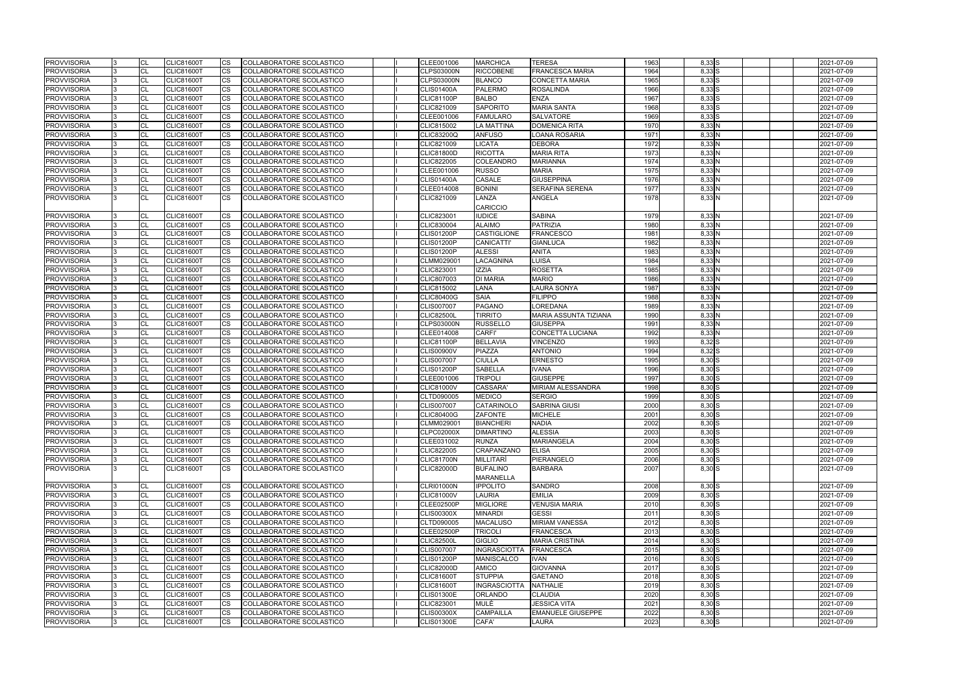| <b>PROVVISORIA</b> | CL             | <b>CLIC81600T</b> | CS.       | COLLABORATORE SCOLASTICO |  | CLEE001006        | <b>MARCHICA</b>     | <b>TERESA</b>            | 1963 | 8,33 S     | 2021-07-09 |
|--------------------|----------------|-------------------|-----------|--------------------------|--|-------------------|---------------------|--------------------------|------|------------|------------|
| <b>PROVVISORIA</b> | <b>CL</b>      | <b>CLIC81600T</b> | <b>CS</b> | COLLABORATORE SCOLASTICO |  | <b>CLPS03000N</b> | <b>RICCOBENE</b>    | <b>FRANCESCA MARIA</b>   | 1964 | $8,33$ $S$ | 2021-07-09 |
| <b>PROVVISORIA</b> | <b>CL</b>      | <b>CLIC81600T</b> | <b>CS</b> | COLLABORATORE SCOLASTICO |  | <b>CLPS03000N</b> | <b>BLANCO</b>       | <b>CONCETTA MARIA</b>    | 1965 | $8,33$ $S$ | 2021-07-09 |
| <b>PROVVISORIA</b> | <b>CL</b>      | <b>CLIC81600T</b> | CS        | COLLABORATORE SCOLASTICO |  | <b>CLIS01400A</b> | <b>PALERMO</b>      | <b>ROSALINDA</b>         | 1966 | 8,33 S     | 2021-07-09 |
| <b>PROVVISORIA</b> | <b>CL</b>      | <b>CLIC81600T</b> | CS        | COLLABORATORE SCOLASTICO |  | <b>CLIC81100P</b> | <b>BALBO</b>        | ENZA                     | 1967 | $8,33$ $S$ | 2021-07-09 |
| <b>PROVVISORIA</b> | <b>CL</b>      | <b>CLIC81600T</b> | CS        | COLLABORATORE SCOLASTICO |  | CLIC821009        | <b>SAPORITO</b>     | <b>MARIA SANTA</b>       | 1968 | $8,33$ S   | 2021-07-09 |
| <b>PROVVISORIA</b> | <b>CL</b>      | <b>CLIC81600T</b> | CS        | COLLABORATORE SCOLASTICO |  | CLEE001006        | <b>FAMULARO</b>     | <b>SALVATORE</b>         | 1969 | 8,33 S     | 2021-07-09 |
| <b>PROVVISORIA</b> | CL             | <b>CLIC81600T</b> | <b>CS</b> | COLLABORATORE SCOLASTICO |  | CLIC815002        | <b>LA MATTINA</b>   | <b>DOMENICA RITA</b>     | 1970 | 8,33 N     | 2021-07-09 |
| <b>PROVVISORIA</b> | <b>CL</b>      | <b>CLIC81600T</b> | CS        | COLLABORATORE SCOLASTICO |  | <b>CLIC83200Q</b> | <b>ANFUSO</b>       | <b>LOANA ROSARIA</b>     | 1971 | 8,33N      | 2021-07-09 |
| <b>PROVVISORIA</b> | <b>CL</b>      | <b>CLIC81600T</b> | CS        | COLLABORATORE SCOLASTICO |  | CLIC821009        | <b>LICATA</b>       | <b>DEBORA</b>            | 1972 | 8,33 N     | 2021-07-09 |
| <b>PROVVISORIA</b> | CL             | <b>CLIC81600T</b> | CS.       | COLLABORATORE SCOLASTICO |  | <b>CLIC81800D</b> | <b>RICOTTA</b>      | <b>MARIA RITA</b>        | 1973 | 8,33 N     | 2021-07-09 |
| <b>PROVVISORIA</b> | CL             | <b>CLIC81600T</b> | CS        | COLLABORATORE SCOLASTICO |  | <b>CLIC822005</b> | <b>COLEANDRO</b>    | <b>MARIANNA</b>          | 1974 | 8,33 N     | 2021-07-09 |
| <b>PROVVISORIA</b> | <b>CL</b>      | <b>CLIC81600T</b> | CS        | COLLABORATORE SCOLASTICO |  | CLEE001006        | <b>RUSSO</b>        | <b>MARIA</b>             | 1975 | 8,33 N     | 2021-07-09 |
| <b>PROVVISORIA</b> | <b>CL</b>      | <b>CLIC81600T</b> | <b>CS</b> | COLLABORATORE SCOLASTICO |  | <b>CLIS01400A</b> | <b>CASALE</b>       | <b>GIUSEPPINA</b>        | 1976 | 8,33 N     | 2021-07-09 |
| <b>PROVVISORIA</b> | <b>CL</b>      | <b>CLIC81600T</b> | <b>CS</b> | COLLABORATORE SCOLASTICO |  | CLEE014008        | <b>BONINI</b>       | SERAFINA SERENA          | 1977 | 8,33 N     | 2021-07-09 |
| <b>PROVVISORIA</b> | <b>CL</b>      | <b>CLIC81600T</b> | CS        | COLLABORATORE SCOLASTICO |  | CLIC821009        | LANZA               | ANGELA                   | 1978 | 8,33 N     | 2021-07-09 |
|                    |                |                   |           |                          |  |                   | <b>CARICCIO</b>     |                          |      |            |            |
| <b>PROVVISORIA</b> | CL             | <b>CLIC81600T</b> | CS        | COLLABORATORE SCOLASTICO |  | CLIC823001        | <b>IUDICE</b>       | <b>SABINA</b>            | 1979 | 8,33 N     | 2021-07-09 |
| <b>PROVVISORIA</b> | <b>CL</b>      | <b>CLIC81600T</b> | CS        | COLLABORATORE SCOLASTICO |  | CLIC830004        | <b>ALAIMO</b>       | <b>PATRIZIA</b>          | 1980 | 8,33N      | 2021-07-09 |
| <b>PROVVISORIA</b> | <b>CL</b>      | <b>CLIC81600T</b> | <b>CS</b> | COLLABORATORE SCOLASTICO |  | <b>CLIS01200P</b> | <b>CASTIGLIONE</b>  | <b>FRANCESCO</b>         | 1981 | 8,33 N     | 2021-07-09 |
| <b>PROVVISORIA</b> | <b>CL</b>      | <b>CLIC81600T</b> | CS        | COLLABORATORE SCOLASTICO |  | <b>CLIS01200P</b> | <b>CANICATTI'</b>   | <b>GIANLUCA</b>          | 1982 | 8,33 N     | 2021-07-09 |
| <b>PROVVISORIA</b> | CL             | <b>CLIC81600T</b> | CS        | COLLABORATORE SCOLASTICO |  | <b>CLIS01200P</b> | <b>ALESSI</b>       | <b>ANITA</b>             | 1983 | 8,33 N     | 2021-07-09 |
| <b>PROVVISORIA</b> | <b>CL</b>      | <b>CLIC81600T</b> | CS        | COLLABORATORE SCOLASTICO |  | CLMM029001        | LACAGNINA           | LUISA                    | 1984 | 8,33 N     | 2021-07-09 |
| <b>PROVVISORIA</b> | <b>CL</b>      | <b>CLIC81600T</b> | CS        | COLLABORATORE SCOLASTICO |  | CLIC823001        | <b>IZZIA</b>        | <b>ROSETTA</b>           | 1985 | 8,33 N     | 2021-07-09 |
| <b>PROVVISORIA</b> | CL             | <b>CLIC81600T</b> | CS        | COLLABORATORE SCOLASTICO |  | CLIC807003        | <b>DI MARIA</b>     | MARIO                    | 1986 | 8,33 N     | 2021-07-09 |
| <b>PROVVISORIA</b> | <b>CL</b>      | <b>CLIC81600T</b> | <b>CS</b> | COLLABORATORE SCOLASTICO |  | CLIC815002        | LANA                | LAURA SONYA              | 1987 | 8,33N      | 2021-07-09 |
| <b>PROVVISORIA</b> | <b>CL</b>      | <b>CLIC81600T</b> | CS        | COLLABORATORE SCOLASTICO |  | <b>CLIC80400G</b> | <b>SAIA</b>         | <b>FILIPPO</b>           | 1988 | 8,33 N     | 2021-07-09 |
| <b>PROVVISORIA</b> | <b>CL</b>      | <b>CLIC81600T</b> | CS        | COLLABORATORE SCOLASTICO |  | <b>CLIS007007</b> | <b>PAGANO</b>       | LOREDANA                 | 1989 | 8,33 N     | 2021-07-09 |
| <b>PROVVISORIA</b> | <b>CL</b>      | <b>CLIC81600T</b> | CS        | COLLABORATORE SCOLASTICO |  | <b>CLIC82500L</b> | <b>TIRRITO</b>      | MARIA ASSUNTA TIZIANA    | 1990 | 8,33 N     | 2021-07-09 |
| <b>PROVVISORIA</b> | <b>CL</b>      | <b>CLIC81600T</b> | CS        | COLLABORATORE SCOLASTICO |  | <b>CLPS03000N</b> | <b>RUSSELLO</b>     | <b>GIUSEPPA</b>          | 1991 | 8,33 N     | 2021-07-09 |
| <b>PROVVISORIA</b> | <b>CL</b>      | <b>CLIC81600T</b> | CS        | COLLABORATORE SCOLASTICO |  | CLEE014008        | <b>CARFI'</b>       | CONCETTA LUCIANA         | 1992 | 8,33 N     | 2021-07-09 |
| <b>PROVVISORIA</b> | <b>CL</b>      | <b>CLIC81600T</b> | <b>CS</b> | COLLABORATORE SCOLASTICO |  | <b>CLIC81100P</b> | <b>BELLAVIA</b>     | <b>VINCENZO</b>          | 1993 | 8,32 S     | 2021-07-09 |
| <b>PROVVISORIA</b> | <b>CL</b>      | <b>CLIC81600T</b> | <b>CS</b> | COLLABORATORE SCOLASTICO |  | <b>CLIS00900V</b> | PIAZZA              | <b>ANTONIO</b>           | 1994 | $8,32$ S   | 2021-07-09 |
| <b>PROVVISORIA</b> | <b>CL</b>      | <b>CLIC81600T</b> | CS        | COLLABORATORE SCOLASTICO |  | <b>CLIS007007</b> | <b>CIULLA</b>       | <b>ERNESTO</b>           | 1995 | $8,30$ S   | 2021-07-09 |
| <b>PROVVISORIA</b> | <b>CL</b>      | <b>CLIC81600T</b> | CS        | COLLABORATORE SCOLASTICO |  | <b>CLIS01200P</b> | <b>SABELLA</b>      | IVANA                    | 1996 | 8,30 S     | 2021-07-09 |
| <b>PROVVISORIA</b> | CL             | <b>CLIC81600T</b> | CS        | COLLABORATORE SCOLASTICO |  | CLEE001006        | <b>TRIPOLI</b>      | <b>GIUSEPPE</b>          | 1997 | 8,30 S     | 2021-07-09 |
| <b>PROVVISORIA</b> | <b>CL</b>      | <b>CLIC81600T</b> | CS        | COLLABORATORE SCOLASTICO |  | <b>CLIC81000V</b> | CASSARA'            | MIRIAM ALESSANDRA        | 1998 | $8,30$ S   | 2021-07-09 |
| <b>PROVVISORIA</b> | CL             | <b>CLIC81600T</b> | CS        | COLLABORATORE SCOLASTICO |  | CLTD090005        | <b>MEDICO</b>       | <b>SERGIO</b>            | 1999 | $8,30$ S   | 2021-07-09 |
| <b>PROVVISORIA</b> | CL             | <b>CLIC81600T</b> | <b>CS</b> | COLLABORATORE SCOLASTICO |  | <b>CLIS007007</b> | CATARINOLO          | <b>SABRINA GIUSI</b>     | 2000 | 8,30 S     | 2021-07-09 |
| <b>PROVVISORIA</b> | <b>CL</b>      | <b>CLIC81600T</b> | <b>CS</b> | COLLABORATORE SCOLASTICO |  | <b>CLIC80400G</b> | <b>ZAFONTE</b>      | <b>MICHELE</b>           | 2001 | 8,30 S     | 2021-07-09 |
| <b>PROVVISORIA</b> | $\overline{C}$ | <b>CLIC81600T</b> | <b>CS</b> | COLLABORATORE SCOLASTICO |  | CLMM029001        | <b>BIANCHERI</b>    | <b>NADIA</b>             | 2002 | 8.30 S     | 2021-07-09 |
| <b>PROVVISORIA</b> | <b>CL</b>      | <b>CLIC81600T</b> | CS        | COLLABORATORE SCOLASTICO |  | <b>CLPC02000X</b> | <b>DIMARTINO</b>    | <b>ALESSIA</b>           | 2003 | 8,30 S     | 2021-07-09 |
| <b>PROVVISORIA</b> | CL             | <b>CLIC81600T</b> | CS        | COLLABORATORE SCOLASTICO |  | CLEE031002        | <b>RUNZA</b>        | MARIANGELA               | 2004 | $8,30$ S   | 2021-07-09 |
| <b>PROVVISORIA</b> | <b>CL</b>      | <b>CLIC81600T</b> | CS        | COLLABORATORE SCOLASTICO |  | <b>CLIC822005</b> | CRAPANZANO          | ELISA                    | 2005 | 8,30 S     | 2021-07-09 |
| <b>PROVVISORIA</b> | <b>CL</b>      | <b>CLIC81600T</b> | <b>CS</b> | COLLABORATORE SCOLASTICO |  | <b>CLIC81700N</b> | <b>MILLITARI</b>    | PIERANGELO               | 2006 | $8,30$ S   | 2021-07-09 |
| <b>PROVVISORIA</b> | <b>CL</b>      | <b>CLIC81600T</b> | CS.       | COLLABORATORE SCOLASTICO |  | <b>CLIC82000D</b> | <b>BUFALINO</b>     | <b>BARBARA</b>           | 2007 | 8,30S      | 2021-07-09 |
|                    |                |                   |           |                          |  |                   | <b>MARANELLA</b>    |                          |      |            |            |
| <b>PROVVISORIA</b> | CL             | <b>CLIC81600T</b> | CS        | COLLABORATORE SCOLASTICO |  | <b>CLRI01000N</b> | <b>IPPOLITO</b>     | SANDRO                   | 2008 | 8,30 S     | 2021-07-09 |
| <b>PROVVISORIA</b> | <b>CL</b>      | <b>CLIC81600T</b> | CS        | COLLABORATORE SCOLASTICO |  | <b>CLIC81000V</b> | LAURIA              | <b>EMILIA</b>            | 2009 | $8,30$ S   | 2021-07-09 |
| <b>PROVVISORIA</b> | <b>CL</b>      | <b>CLIC81600T</b> | CS        | COLLABORATORE SCOLASTICO |  | <b>CLEE02500P</b> | <b>MIGLIORE</b>     | <b>VENUSIA MARIA</b>     | 2010 | 8,30 S     | 2021-07-09 |
| <b>PROVVISORIA</b> | <b>CL</b>      | <b>CLIC81600T</b> | <b>CS</b> | COLLABORATORE SCOLASTICO |  | <b>CLIS00300X</b> | <b>MINARDI</b>      | <b>GESSI</b>             | 2011 | $8,30$ S   | 2021-07-09 |
| <b>PROVVISORIA</b> | <b>CL</b>      | <b>CLIC81600T</b> | CS.       | COLLABORATORE SCOLASTICO |  | CLTD090005        | <b>MACALUSO</b>     | <b>MIRIAM VANESSA</b>    | 2012 | 8,30 S     | 2021-07-09 |
| <b>PROVVISORIA</b> | CL             | <b>CLIC81600T</b> | CS        | COLLABORATORE SCOLASTICO |  | CLEE02500P        | <b>TRICOLI</b>      | <b>FRANCESCA</b>         | 2013 | $8,30$ S   | 2021-07-09 |
| <b>PROVVISORIA</b> | <b>CL</b>      | <b>CLIC81600T</b> | CS        | COLLABORATORE SCOLASTICO |  | <b>CLIC82500L</b> | <b>GIGLIO</b>       | <b>MARIA CRISTINA</b>    | 2014 | $8,30$ S   | 2021-07-09 |
| <b>PROVVISORIA</b> | <b>CL</b>      | <b>CLIC81600T</b> | CS        | COLLABORATORE SCOLASTICO |  | <b>CLIS007007</b> | <b>INGRASCIOTTA</b> | <b>FRANCESCA</b>         | 2015 | $8,30$ S   | 2021-07-09 |
| <b>PROVVISORIA</b> | CL             | <b>CLIC81600T</b> | <b>CS</b> | COLLABORATORE SCOLASTICO |  | <b>CLIS01200P</b> | <b>MANISCALCO</b>   | IVAN                     | 2016 | 8,30 S     | 2021-07-09 |
| <b>PROVVISORIA</b> | <b>CL</b>      | <b>CLIC81600T</b> | <b>CS</b> | COLLABORATORE SCOLASTICO |  | <b>CLIC82000D</b> | <b>AMICO</b>        | <b>GIOVANNA</b>          | 2017 | 8,30 S     | 2021-07-09 |
| <b>PROVVISORIA</b> | CL             | <b>CLIC81600T</b> | <b>CS</b> | COLLABORATORE SCOLASTICO |  | <b>CLIC81600T</b> | <b>STUPPIA</b>      | <b>GAETANO</b>           | 2018 | 8,30 S     | 2021-07-09 |
| <b>PROVVISORIA</b> | <b>CL</b>      | <b>CLIC81600T</b> | <b>CS</b> | COLLABORATORE SCOLASTICO |  | <b>CLIC81600T</b> | <b>INGRASCIOTTA</b> | <b>NATHALIE</b>          | 2019 | 8,30 S     | 2021-07-09 |
| <b>PROVVISORIA</b> | <b>CL</b>      | <b>CLIC81600T</b> | CS        | COLLABORATORE SCOLASTICO |  | <b>CLIS01300E</b> | <b>ORLANDO</b>      | <b>CLAUDIA</b>           | 2020 | $8,30$ S   | 2021-07-09 |
| <b>PROVVISORIA</b> | <b>CL</b>      | <b>CLIC81600T</b> | CS        | COLLABORATORE SCOLASTICO |  | CLIC823001        | MULÈ                | JESSICA VITA             | 2021 | 8,30 S     | 2021-07-09 |
| <b>PROVVISORIA</b> | <b>CL</b>      | <b>CLIC81600T</b> | <b>CS</b> | COLLABORATORE SCOLASTICO |  | <b>CLIS00300X</b> | <b>CAMPAILLA</b>    | <b>EMANUELE GIUSEPPE</b> | 2022 | 8,30S      | 2021-07-09 |
| <b>PROVVISORIA</b> | <b>CL</b>      | <b>CLIC81600T</b> | <b>CS</b> | COLLABORATORE SCOLASTICO |  | <b>CLIS01300E</b> | CAFA'               | <b>LAURA</b>             | 2023 | 8,30 S     | 2021-07-09 |
|                    |                |                   |           |                          |  |                   |                     |                          |      |            |            |

|  |  | 2021-07-09 |
|--|--|------------|
|  |  | 2021-07-09 |
|  |  | 2021-07-09 |
|  |  | 2021-07-09 |
|  |  | 2021-07-09 |
|  |  | 2021-07-09 |
|  |  | 2021-07-09 |
|  |  | 2021-07-09 |
|  |  | 2021-07-09 |
|  |  | 2021-07-09 |
|  |  | 2021-07-09 |
|  |  | 2021-07-09 |
|  |  | 2021-07-09 |
|  |  | 2021-07-09 |
|  |  | 2021-07-09 |
|  |  | 2021-07-09 |
|  |  |            |
|  |  |            |
|  |  | 2021-07-09 |
|  |  | 2021-07-09 |
|  |  | 2021-07-09 |
|  |  | 2021-07-09 |
|  |  | 2021-07-09 |
|  |  | 2021-07-09 |
|  |  | 2021-07-09 |
|  |  | 2021-07-09 |
|  |  | 2021-07-09 |
|  |  | 2021-07-09 |
|  |  | 2021-07-09 |
|  |  | 2021-07-09 |
|  |  | 2021-07-09 |
|  |  | 2021-07-09 |
|  |  | 2021-07-09 |
|  |  | 2021-07-09 |
|  |  | 2021-07-09 |
|  |  | 2021-07-09 |
|  |  | 2021-07-09 |
|  |  | 2021-07-09 |
|  |  | 2021-07-09 |
|  |  | 2021-07-09 |
|  |  | 2021-07-09 |
|  |  | 2021-07-09 |
|  |  | 2021-07-09 |
|  |  | 2021-07-09 |
|  |  | 2021-07-09 |
|  |  | 2021-07-09 |
|  |  | 2021-07-09 |
|  |  |            |
|  |  | 2021-07-09 |
|  |  | 2021-07-09 |
|  |  | 2021-07-09 |
|  |  | 2021-07-09 |
|  |  | 2021-07-09 |
|  |  | 2021-07-09 |
|  |  | 2021-07-09 |
|  |  | 2021-07-09 |
|  |  | 2021-07-09 |
|  |  | 2021-07-09 |
|  |  | 2021-07-09 |
|  |  | 2021-07-09 |
|  |  | 2021-07-09 |
|  |  | 2021-07-09 |
|  |  | 2021-07-09 |
|  |  | 2021-07-09 |
|  |  |            |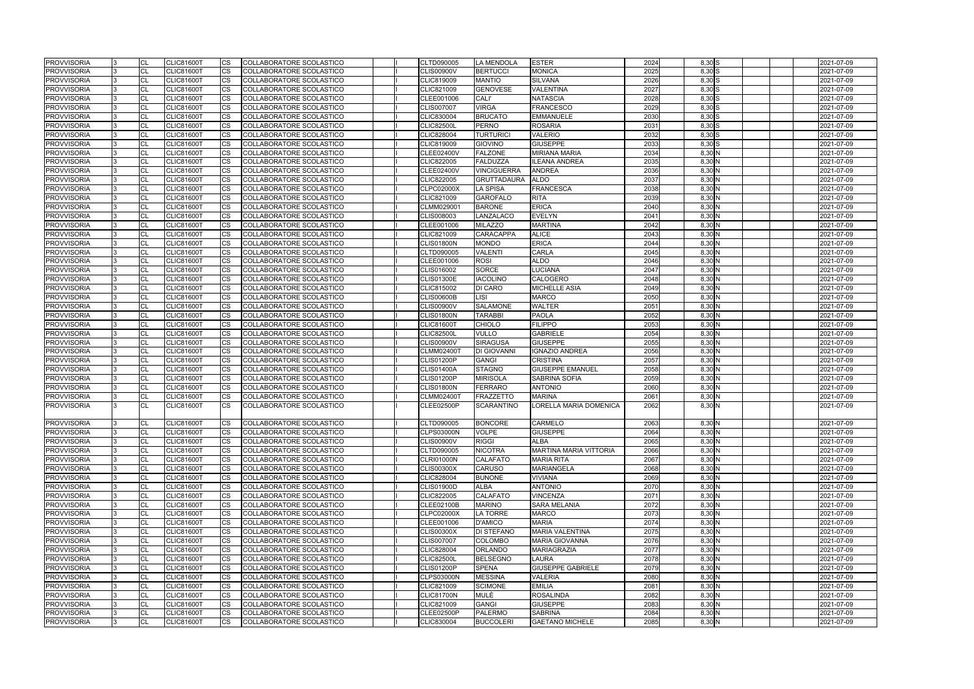| <b>PROVVISORIA</b> | CL        | <b>CLIC81600T</b> | <b>CS</b> | COLLABORATORE SCOLASTICO        |  | CLTD090005        | <b>LA MENDOLA</b>  | <b>ESTER</b>                  | 2024 | 8,30 S   | 2021-07-09 |
|--------------------|-----------|-------------------|-----------|---------------------------------|--|-------------------|--------------------|-------------------------------|------|----------|------------|
| <b>PROVVISORIA</b> | CL        | <b>CLIC81600T</b> | <b>CS</b> | COLLABORATORE SCOLASTICO        |  | <b>CLIS00900V</b> | <b>BERTUCCI</b>    | <b>MONICA</b>                 | 2025 | 8,30 S   | 2021-07-09 |
| <b>PROVVISORIA</b> | CL        | <b>CLIC81600T</b> | <b>CS</b> | <b>COLLABORATORE SCOLASTICO</b> |  | CLIC819009        | <b>MANTIO</b>      | <b>SILVANA</b>                | 2026 | 8,30 S   | 2021-07-09 |
| <b>PROVVISORIA</b> | CL        | <b>CLIC81600T</b> | CS        | COLLABORATORE SCOLASTICO        |  | CLIC821009        | <b>GENOVESE</b>    | <b>VALENTINA</b>              | 2027 | 8,30 S   | 2021-07-09 |
| <b>PROVVISORIA</b> | CL        | <b>CLIC81600T</b> | CS        | COLLABORATORE SCOLASTICO        |  | CLEE001006        | CALI'              | <b>NATASCIA</b>               | 2028 | $8,30$ S | 2021-07-09 |
| <b>PROVVISORIA</b> | CL        | <b>CLIC81600T</b> | <b>CS</b> | COLLABORATORE SCOLASTICO        |  | CLIS007007        | VIRGA              | <b>FRANCESCO</b>              | 2029 | 8,30 S   | 2021-07-09 |
| <b>PROVVISORIA</b> | CL        | <b>CLIC81600T</b> | <b>CS</b> | COLLABORATORE SCOLASTICO        |  | <b>CLIC830004</b> | <b>BRUCATO</b>     | <b>EMMANUELE</b>              | 2030 | $8,30$ S | 2021-07-09 |
| <b>PROVVISORIA</b> | CL        | <b>CLIC81600T</b> | <b>CS</b> | COLLABORATORE SCOLASTICO        |  | <b>CLIC82500L</b> | <b>PERNO</b>       | <b>ROSARIA</b>                | 2031 | 8,30 S   | 2021-07-09 |
| <b>PROVVISORIA</b> | CL        | <b>CLIC81600T</b> | <b>CS</b> | COLLABORATORE SCOLASTICO        |  | CLIC828004        | <b>TURTURICI</b>   | <b>VALERIO</b>                | 2032 | 8,30 S   | 2021-07-09 |
| <b>PROVVISORIA</b> | CL        | <b>CLIC81600T</b> | CS        | COLLABORATORE SCOLASTICO        |  | CLIC819009        | <b>GIOVINO</b>     | <b>GIUSEPPE</b>               | 2033 | 8,30 S   | 2021-07-09 |
| <b>PROVVISORIA</b> | CL        | CLIC81600T        | CS        | COLLABORATORE SCOLASTICO        |  | CLEE02400V        | <b>FALZONE</b>     | MIRIANA MARIA                 | 2034 | 8,30 N   | 2021-07-09 |
| <b>PROVVISORIA</b> | <b>CL</b> | <b>CLIC81600T</b> | <b>CS</b> | COLLABORATORE SCOLASTICO        |  | CLIC822005        | <b>FALDUZZA</b>    | <b>ILEANA ANDREA</b>          | 2035 | $8,30$ N | 2021-07-09 |
| <b>PROVVISORIA</b> | CL        | <b>CLIC81600T</b> | <b>CS</b> | COLLABORATORE SCOLASTICO        |  | <b>CLEE02400V</b> | <b>VINCIGUERRA</b> | <b>ANDREA</b>                 | 2036 | 8,30 N   | 2021-07-09 |
| <b>PROVVISORIA</b> | CL        | <b>CLIC81600T</b> | <b>CS</b> | COLLABORATORE SCOLASTICO        |  | CLIC822005        | <b>GRUTTADAURA</b> | <b>ALDO</b>                   | 2037 | 8,30 N   | 2021-07-09 |
| <b>PROVVISORIA</b> | CL        | <b>CLIC81600T</b> | <b>CS</b> | COLLABORATORE SCOLASTICO        |  | <b>CLPC02000X</b> | <b>LA SPISA</b>    | <b>FRANCESCA</b>              | 2038 | 8,30 N   | 2021-07-09 |
| <b>PROVVISORIA</b> | CL        | <b>CLIC81600T</b> | CS        | COLLABORATORE SCOLASTICO        |  | CLIC821009        | <b>GAROFALO</b>    | <b>RITA</b>                   | 2039 | 8,30 N   | 2021-07-09 |
| <b>PROVVISORIA</b> | <b>CL</b> | <b>CLIC81600T</b> | CS        | COLLABORATORE SCOLASTICO        |  | CLMM029001        | <b>BARONE</b>      | <b>ERICA</b>                  | 2040 | 8,30 N   | 2021-07-09 |
| <b>PROVVISORIA</b> | CL        | <b>CLIC81600T</b> | <b>CS</b> | COLLABORATORE SCOLASTICO        |  | CLIS008003        | LANZALACO          | <b>EVELYN</b>                 | 2041 | 8,30 N   | 2021-07-09 |
| <b>PROVVISORIA</b> | CL        | <b>CLIC81600T</b> | <b>CS</b> | COLLABORATORE SCOLASTICO        |  | CLEE001006        | <b>MILAZZO</b>     | <b>MARTINA</b>                | 2042 | 8,30 N   | 2021-07-09 |
| <b>PROVVISORIA</b> | <b>CL</b> | <b>CLIC81600T</b> | <b>CS</b> | COLLABORATORE SCOLASTICO        |  | CLIC821009        | <b>CARACAPPA</b>   | <b>ALICE</b>                  | 2043 | 8,30 N   | 2021-07-09 |
| <b>PROVVISORIA</b> | CL        | <b>CLIC81600T</b> | <b>CS</b> | COLLABORATORE SCOLASTICO        |  | <b>CLIS01800N</b> | <b>MONDO</b>       | <b>ERICA</b>                  | 2044 | 8,30 N   | 2021-07-09 |
| <b>PROVVISORIA</b> | CL        | <b>CLIC81600T</b> | CS        | COLLABORATORE SCOLASTICO        |  | CLTD090005        | <b>VALENTI</b>     | <b>CARLA</b>                  | 2045 | 8,30 N   | 2021-07-09 |
| <b>PROVVISORIA</b> | <b>CL</b> | <b>CLIC81600T</b> | CS        | COLLABORATORE SCOLASTICO        |  | CLEE001006        | <b>ROSI</b>        | <b>ALDO</b>                   | 2046 | 8,30 N   | 2021-07-09 |
| <b>PROVVISORIA</b> | CL        | <b>CLIC81600T</b> | <b>CS</b> | COLLABORATORE SCOLASTICO        |  | CLIS016002        | <b>SORCE</b>       | <b>LUCIANA</b>                | 2047 | 8,30 N   | 2021-07-09 |
| <b>PROVVISORIA</b> | CL        | <b>CLIC81600T</b> | CS        | COLLABORATORE SCOLASTICO        |  | <b>CLIS01300E</b> | <b>IACOLINO</b>    | CALOGERO                      | 2048 | 8,30 N   | 2021-07-09 |
| <b>PROVVISORIA</b> | <b>CL</b> | <b>CLIC81600T</b> | <b>CS</b> | COLLABORATORE SCOLASTICO        |  | CLIC815002        | <b>DI CARO</b>     | MICHELLE ASIA                 | 2049 | 8,30 N   | 2021-07-09 |
| <b>PROVVISORIA</b> | CL        | <b>CLIC81600T</b> | <b>CS</b> | COLLABORATORE SCOLASTICO        |  | <b>CLIS00600B</b> | <b>LISI</b>        | <b>MARCO</b>                  | 2050 | 8,30 N   | 2021-07-09 |
| <b>PROVVISORIA</b> | CL        | <b>CLIC81600T</b> | <b>CS</b> | <b>COLLABORATORE SCOLASTICO</b> |  | <b>CLIS00900V</b> | <b>SALAMONE</b>    | <b>WALTER</b>                 | 2051 | 8,30 N   | 2021-07-09 |
| <b>PROVVISORIA</b> | <b>CL</b> | <b>CLIC81600T</b> | CS        | COLLABORATORE SCOLASTICO        |  | <b>CLIS01800N</b> | <b>TARABBI</b>     | <b>PAOLA</b>                  | 2052 | 8,30 N   | 2021-07-09 |
| <b>PROVVISORIA</b> | CL        | CLIC81600T        | CS        | COLLABORATORE SCOLASTICO        |  | <b>CLIC81600T</b> | <b>CHIOLO</b>      | <b>FILIPPO</b>                | 2053 | 8,30 N   | 2021-07-09 |
| <b>PROVVISORIA</b> | CL        | <b>CLIC81600T</b> | <b>CS</b> | COLLABORATORE SCOLASTICO        |  | <b>CLIC82500L</b> | <b>VULLO</b>       | <b>GABRIELE</b>               | 2054 | 8,30 N   | 2021-07-09 |
| <b>PROVVISORIA</b> | CL        | <b>CLIC81600T</b> | <b>CS</b> | COLLABORATORE SCOLASTICO        |  | <b>CLIS00900V</b> | <b>SIRAGUSA</b>    | <b>GIUSEPPE</b>               | 2055 | 8,30 N   | 2021-07-09 |
| <b>PROVVISORIA</b> | CL        | <b>CLIC81600T</b> | <b>CS</b> | COLLABORATORE SCOLASTICO        |  | <b>CLMM02400T</b> | DI GIOVANNI        | <b>IGNAZIO ANDREA</b>         | 2056 | 8,30 N   | 2021-07-09 |
| <b>PROVVISORIA</b> | CL        | <b>CLIC81600T</b> | <b>CS</b> | COLLABORATORE SCOLASTICO        |  | <b>CLIS01200P</b> | <b>GANGI</b>       | <b>CRISTINA</b>               | 2057 | 8,30 N   | 2021-07-09 |
| <b>PROVVISORIA</b> | CL        | <b>CLIC81600T</b> | CS        | COLLABORATORE SCOLASTICO        |  | <b>CLIS01400A</b> | <b>STAGNO</b>      | <b>GIUSEPPE EMANUEL</b>       | 2058 | 8,30 N   | 2021-07-09 |
| <b>PROVVISORIA</b> | CL        | <b>CLIC81600T</b> | <b>CS</b> | COLLABORATORE SCOLASTICO        |  | <b>CLIS01200P</b> | <b>MIRISOLA</b>    | SABRINA SOFIA                 | 2059 | 8,30 N   | 2021-07-09 |
| <b>PROVVISORIA</b> | CL        | <b>CLIC81600T</b> | <b>CS</b> | COLLABORATORE SCOLASTICO        |  | <b>CLIS01800N</b> | <b>FERRARO</b>     | <b>ANTONIO</b>                | 2060 | 8,30 N   | 2021-07-09 |
| <b>PROVVISORIA</b> | CL        | <b>CLIC81600T</b> | <b>CS</b> | COLLABORATORE SCOLASTICO        |  | <b>CLMM02400T</b> | <b>FRAZZETTO</b>   | <b>MARINA</b>                 | 2061 | 8,30 N   | 2021-07-09 |
| <b>PROVVISORIA</b> | ICL       | CLIC81600T        | ICS.      | <b>COLLABORATORE SCOLASTICO</b> |  | <b>CLEE02500P</b> | <b>SCARANTINO</b>  | <b>LORELLA MARIA DOMENICA</b> | 2062 | 8,30 N   | 2021-07-09 |
| <b>PROVVISORIA</b> | <b>CL</b> | <b>CLIC81600T</b> | <b>CS</b> | COLLABORATORE SCOLASTICO        |  | CLTD090005        | <b>BONCORE</b>     | <b>CARMELO</b>                | 2063 | 8,30 N   | 2021-07-09 |
| <b>PROVVISORIA</b> | <b>CL</b> | <b>CLIC81600T</b> | <b>CS</b> | COLLABORATORE SCOLASTICO        |  | <b>CLPS03000N</b> | <b>VOLPE</b>       | <b>GIUSEPPE</b>               | 2064 | 8,30 N   | 2021-07-09 |
| <b>PROVVISORIA</b> | <b>CL</b> | <b>CLIC81600T</b> | CS        | COLLABORATORE SCOLASTICO        |  | <b>CLIS00900V</b> | <b>RIGGI</b>       | ALBA                          | 2065 | $8,30$ N | 2021-07-09 |
| <b>PROVVISORIA</b> | CL        | <b>CLIC81600T</b> | <b>CS</b> | COLLABORATORE SCOLASTICO        |  | CLTD090005        | <b>NICOTRA</b>     | <b>MARTINA MARIA VITTORIA</b> | 2066 | 8,30 N   | 2021-07-09 |
| <b>PROVVISORIA</b> | <b>CL</b> | <b>CLIC81600T</b> | <b>CS</b> | COLLABORATORE SCOLASTICO        |  | <b>CLRI01000N</b> | <b>CALAFATO</b>    | <b>MARIA RITA</b>             | 2067 | 8,30 N   | 2021-07-09 |
| <b>PROVVISORIA</b> | <b>CL</b> | <b>CLIC81600T</b> | CS        | COLLABORATORE SCOLASTICO        |  | <b>CLIS00300X</b> | <b>CARUSO</b>      | <b>MARIANGELA</b>             | 2068 | 8,30 N   | 2021-07-09 |
| <b>PROVVISORIA</b> | CL        | <b>CLIC81600T</b> | CS        | COLLABORATORE SCOLASTICO        |  | <b>CLIC828004</b> | <b>BUNONE</b>      | <b>VIVIANA</b>                | 2069 | 8,30 N   | 2021-07-09 |
| <b>PROVVISORIA</b> | <b>CL</b> | <b>CLIC81600T</b> | <b>CS</b> | COLLABORATORE SCOLASTICO        |  | <b>CLIS01900D</b> | <b>ALBA</b>        | <b>ANTONIO</b>                | 2070 | 8,30 N   | 2021-07-09 |
| <b>PROVVISORIA</b> | <b>CL</b> | <b>CLIC81600T</b> | <b>CS</b> | COLLABORATORE SCOLASTICO        |  | <b>CLIC822005</b> | <b>CALAFATO</b>    | <b>VINCENZA</b>               | 2071 | 8,30 N   | 2021-07-09 |
| <b>PROVVISORIA</b> | CL        | <b>CLIC81600T</b> | CS        | COLLABORATORE SCOLASTICO        |  | <b>CLEE02100B</b> | <b>MARINO</b>      | SARA MELANIA                  | 2072 | $8,30$ N | 2021-07-09 |
| <b>PROVVISORIA</b> | <b>CL</b> | <b>CLIC81600T</b> | CS        | COLLABORATORE SCOLASTICO        |  | <b>CLPC02000X</b> | LA TORRE           | <b>MARCO</b>                  | 2073 | 8,30 N   | 2021-07-09 |
| <b>PROVVISORIA</b> | <b>CL</b> | <b>CLIC81600T</b> | <b>CS</b> | COLLABORATORE SCOLASTICO        |  | CLEE001006        | <b>D'AMICO</b>     | <b>MARIA</b>                  | 2074 | 8,30 N   | 2021-07-09 |
| <b>PROVVISORIA</b> | CL        | <b>CLIC81600T</b> | <b>CS</b> | COLLABORATORE SCOLASTICO        |  | <b>CLIS00300X</b> | <b>DI STEFANO</b>  | <b>MARIA VALENTINA</b>        | 2075 | 8,30 N   | 2021-07-09 |
| <b>PROVVISORIA</b> | <b>CL</b> | <b>CLIC81600T</b> | <b>CS</b> | COLLABORATORE SCOLASTICO        |  | <b>CLIS007007</b> | <b>COLOMBO</b>     | <b>MARIA GIOVANNA</b>         | 2076 | $8,30$ N | 2021-07-09 |
| <b>PROVVISORIA</b> | <b>CL</b> | <b>CLIC81600T</b> | <b>CS</b> | COLLABORATORE SCOLASTICO        |  | CLIC828004        | <b>ORLANDO</b>     | <b>MARIAGRAZIA</b>            | 2077 | 8,30 N   | 2021-07-09 |
| <b>PROVVISORIA</b> | CL        | <b>CLIC81600T</b> | <b>CS</b> | COLLABORATORE SCOLASTICO        |  | <b>CLIC82500L</b> | <b>BELSEGNO</b>    | LAURA                         | 2078 | 8,30 N   | 2021-07-09 |
| <b>PROVVISORIA</b> | <b>CL</b> | <b>CLIC81600T</b> | <b>CS</b> | COLLABORATORE SCOLASTICO        |  | <b>CLIS01200P</b> | <b>SPENA</b>       | <b>GIUSEPPE GABRIELE</b>      | 2079 | 8,30N    | 2021-07-09 |
| <b>PROVVISORIA</b> | <b>CL</b> | <b>CLIC81600T</b> | <b>CS</b> | COLLABORATORE SCOLASTICO        |  | <b>CLPS03000N</b> | <b>MESSINA</b>     | VALERIA                       | 2080 | $8,30$ N | 2021-07-09 |
| <b>PROVVISORIA</b> | CL        | <b>CLIC81600T</b> | CS.       | COLLABORATORE SCOLASTICO        |  | CLIC821009        | <b>SCIMONE</b>     | <b>EMILIA</b>                 | 2081 | 8,30 N   | 2021-07-09 |
| <b>PROVVISORIA</b> | CL        | <b>CLIC81600T</b> | CS        | COLLABORATORE SCOLASTICO        |  | <b>CLIC81700N</b> | MULÈ               | <b>ROSALINDA</b>              | 2082 | 8,30 N   | 2021-07-09 |
| <b>PROVVISORIA</b> | <b>CL</b> | <b>CLIC81600T</b> | CS        | COLLABORATORE SCOLASTICO        |  | CLIC821009        | <b>GANGI</b>       | <b>GIUSEPPE</b>               | 2083 | 8,30 N   | 2021-07-09 |
| <b>PROVVISORIA</b> | <b>CL</b> | <b>CLIC81600T</b> | <b>CS</b> | COLLABORATORE SCOLASTICO        |  | <b>CLEE02500P</b> | <b>PALERMO</b>     | <b>SABRINA</b>                | 2084 | 8,30 N   | 2021-07-09 |
| <b>PROVVISORIA</b> | <b>CL</b> | <b>CLIC81600T</b> | <b>CS</b> | COLLABORATORE SCOLASTICO        |  | CLIC830004        | <b>BUCCOLERI</b>   | <b>GAETANO MICHELE</b>        | 2085 | 8,30 N   | 2021-07-09 |
|                    |           |                   |           |                                 |  |                   |                    |                               |      |          |            |

|  |  | 2021-07-09 |
|--|--|------------|
|  |  | 2021-07-09 |
|  |  | 2021-07-09 |
|  |  | 2021-07-09 |
|  |  | 2021-07-09 |
|  |  | 2021-07-09 |
|  |  | 2021-07-09 |
|  |  | 2021-07-09 |
|  |  | 2021-07-09 |
|  |  |            |
|  |  | 2021-07-09 |
|  |  | 2021-07-09 |
|  |  | 2021-07-09 |
|  |  | 2021-07-09 |
|  |  | 2021-07-09 |
|  |  | 2021-07-09 |
|  |  | 2021-07-09 |
|  |  | 2021-07-09 |
|  |  | 2021-07-09 |
|  |  | 2021-07-09 |
|  |  | 2021-07-09 |
|  |  | 2021-07-09 |
|  |  | 2021-07-09 |
|  |  | 2021-07-09 |
|  |  | 2021-07-09 |
|  |  | 2021-07-09 |
|  |  | 2021-07-09 |
|  |  | 2021-07-09 |
|  |  | 2021-07-09 |
|  |  | 2021-07-09 |
|  |  | 2021-07-09 |
|  |  | 2021-07-09 |
|  |  | 2021-07-09 |
|  |  | 2021-07-09 |
|  |  | 2021-07-09 |
|  |  | 2021-07-09 |
|  |  | 2021-07-09 |
|  |  | 2021-07-09 |
|  |  | 2021-07-09 |
|  |  | 2021-07-09 |
|  |  |            |
|  |  | 2021-07-09 |
|  |  | 2021-07-09 |
|  |  | 2021-07-09 |
|  |  | 2021-07-09 |
|  |  | 2021-07-09 |
|  |  | 2021-07-09 |
|  |  | 2021-07-09 |
|  |  | 2021-07-09 |
|  |  |            |
|  |  | 2021-07-09 |
|  |  | 2021-07-09 |
|  |  | 2021-07-09 |
|  |  | 2021-07-09 |
|  |  | 2021-07-09 |
|  |  | 2021-07-09 |
|  |  | 2021-07-09 |
|  |  | 2021-07-09 |
|  |  | 2021-07-09 |
|  |  | 2021-07-09 |
|  |  | 2021-07-09 |
|  |  | 2021-07-09 |
|  |  | 2021-07-09 |
|  |  | 2021-07-09 |
|  |  | 2021-07-09 |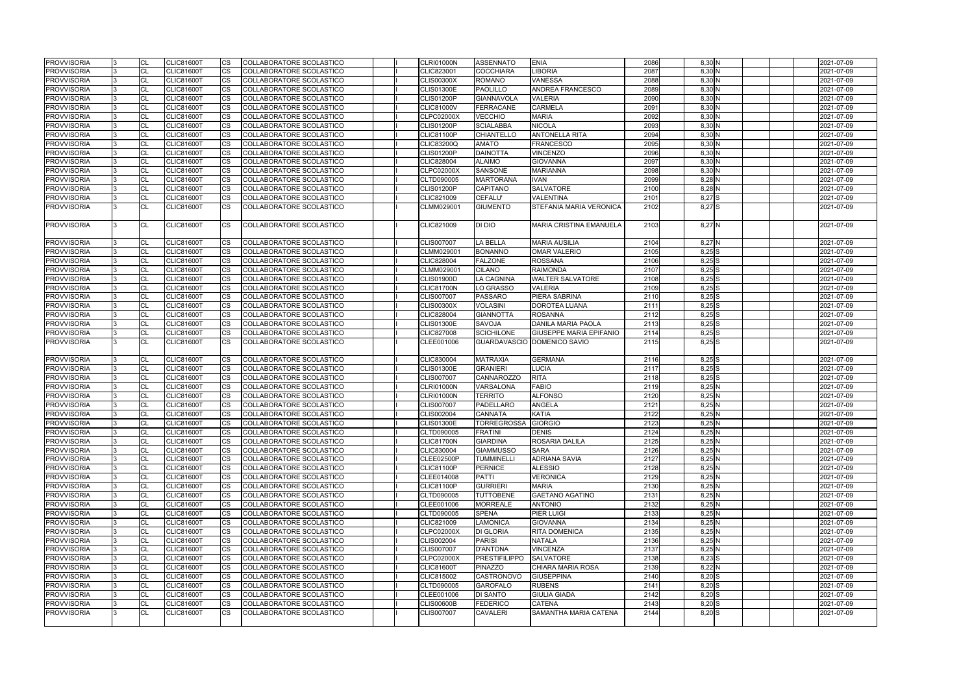| <b>PROVVISORIA</b> |     | <b>CL</b> | <b>CLIC81600T</b> | CS        | COLLABORATORE SCOLASTICO        |  | CLRI01000N        | <b>ASSENNATO</b>     | <b>ENIA</b>                    | 2086 | 8,30 N   | 2021-07-09 |
|--------------------|-----|-----------|-------------------|-----------|---------------------------------|--|-------------------|----------------------|--------------------------------|------|----------|------------|
| <b>PROVVISORIA</b> |     | <b>CL</b> | <b>CLIC81600T</b> | CS        | COLLABORATORE SCOLASTICO        |  | CLIC823001        | <b>COCCHIARA</b>     | <b>LIBORIA</b>                 | 2087 | 8,30 N   | 2021-07-09 |
| <b>PROVVISORIA</b> |     | <b>CL</b> | <b>CLIC81600T</b> | <b>CS</b> | COLLABORATORE SCOLASTICO        |  | <b>CLIS00300X</b> | <b>ROMANO</b>        | <b>VANESSA</b>                 | 2088 | 8,30 N   | 2021-07-09 |
| <b>PROVVISORIA</b> |     | <b>CL</b> | <b>CLIC81600T</b> | CS        | COLLABORATORE SCOLASTICO        |  | <b>CLIS01300E</b> | <b>PAOLILLO</b>      | ANDREA FRANCESCO               | 2089 | 8,30 N   | 2021-07-09 |
| PROVVISORIA        |     | <b>CL</b> | <b>CLIC81600T</b> | СS        | COLLABORATORE SCOLASTICO        |  | <b>CLIS01200P</b> | <b>GIANNAVOLA</b>    | VALERIA                        | 2090 | 8,30 N   | 2021-07-09 |
| <b>PROVVISORIA</b> |     | <b>CL</b> | <b>CLIC81600T</b> | CS        | COLLABORATORE SCOLASTICO        |  | <b>CLIC81000V</b> | FERRACANE            | CARMELA                        | 2091 | $8,30$ N | 2021-07-09 |
| <b>PROVVISORIA</b> |     | <b>CL</b> | <b>CLIC81600T</b> | CS        | COLLABORATORE SCOLASTICO        |  | <b>CLPC02000X</b> | <b>VECCHIO</b>       | <b>MARIA</b>                   | 2092 | 8,30 N   | 2021-07-09 |
| <b>PROVVISORIA</b> |     | <b>CL</b> | <b>CLIC81600T</b> | CS        | COLLABORATORE SCOLASTICO        |  | <b>CLIS01200P</b> | <b>SCIALABBA</b>     | <b>NICOLA</b>                  | 2093 | 8,30 N   | 2021-07-09 |
| <b>PROVVISORIA</b> |     | <b>CL</b> | <b>CLIC81600T</b> | CS        | COLLABORATORE SCOLASTICO        |  | <b>CLIC81100P</b> | <b>CHIANTELLO</b>    | <b>ANTONELLA RITA</b>          | 2094 | $8,30$ N | 2021-07-09 |
| <b>PROVVISORIA</b> |     | <b>CL</b> | <b>CLIC81600T</b> | CS.       | <b>COLLABORATORE SCOLASTICO</b> |  | <b>CLIC83200Q</b> | <b>AMATO</b>         | <b>FRANCESCO</b>               | 2095 | 8,30 N   | 2021-07-09 |
| <b>PROVVISORIA</b> |     | <b>CL</b> | <b>CLIC81600T</b> | СS        | COLLABORATORE SCOLASTICO        |  | CLIS01200P        | <b>DAINOTTA</b>      | <b>VINCENZO</b>                | 2096 | 8,30 N   | 2021-07-09 |
| <b>PROVVISORIA</b> |     | <b>CL</b> | <b>CLIC81600T</b> | СS        | COLLABORATORE SCOLASTICO        |  | <b>CLIC828004</b> | <b>ALAIMO</b>        | <b>GIOVANNA</b>                | 2097 | 8,30 N   | 2021-07-09 |
| <b>PROVVISORIA</b> |     | <b>CL</b> | <b>CLIC81600T</b> | CS        | COLLABORATORE SCOLASTICO        |  | <b>CLPC02000X</b> | <b>SANSONE</b>       | MARIANNA                       | 2098 | 8,30 N   | 2021-07-09 |
| PROVVISORIA        |     | <b>CL</b> | <b>CLIC81600T</b> | CS        | COLLABORATORE SCOLASTICO        |  | CLTD090005        | <b>MARTORANA</b>     | <b>IVAN</b>                    | 2099 | 8,28 N   | 2021-07-09 |
| <b>PROVVISORIA</b> |     | <b>CL</b> | <b>CLIC81600T</b> | CS        | COLLABORATORE SCOLASTICO        |  | <b>CLIS01200P</b> | <b>CAPITANO</b>      | SALVATORE                      | 2100 | $8,28$ N | 2021-07-09 |
| <b>PROVVISORIA</b> |     | <b>CL</b> | <b>CLIC81600T</b> | CS        | COLLABORATORE SCOLASTICO        |  | CLIC821009        | CEFALU'              | <b>VALENTINA</b>               | 2101 | 8,27 S   | 2021-07-09 |
| <b>PROVVISORIA</b> | l3. | <b>CL</b> | <b>CLIC81600T</b> | CS        | COLLABORATORE SCOLASTICO        |  | CLMM029001        | <b>GIUMENTO</b>      | STEFANIA MARIA VERONICA        | 2102 | 8,27 S   | 2021-07-09 |
|                    |     |           |                   |           |                                 |  |                   |                      |                                |      |          |            |
| <b>PROVVISORIA</b> | R.  | <b>CL</b> | <b>CLIC81600T</b> | CS        | COLLABORATORE SCOLASTICO        |  | CLIC821009        | <b>DI DIO</b>        | MARIA CRISTINA EMANUELA        | 2103 | $8,27$ N | 2021-07-09 |
| PROVVISORIA        |     | <b>CL</b> | <b>CLIC81600T</b> | <b>CS</b> | COLLABORATORE SCOLASTICO        |  | <b>CLIS007007</b> | <b>LA BELLA</b>      | <b>MARIA AUSILIA</b>           | 2104 | 8,27 N   | 2021-07-09 |
| <b>PROVVISORIA</b> |     | <b>CL</b> | <b>CLIC81600T</b> | CS        | COLLABORATORE SCOLASTICO        |  | CLMM029001        | <b>BONANNO</b>       | <b>OMAR VALERIO</b>            | 2105 | $8,25$ S | 2021-07-09 |
| <b>PROVVISORIA</b> |     | <b>CL</b> | <b>CLIC81600T</b> | СS        | COLLABORATORE SCOLASTICO        |  | <b>CLIC828004</b> | <b>FALZONE</b>       | ROSSANA                        | 2106 | $8,25$ S | 2021-07-09 |
| <b>PROVVISORIA</b> |     | <b>CL</b> | <b>CLIC81600T</b> | CS        | COLLABORATORE SCOLASTICO        |  | CLMM029001        | <b>CILANO</b>        | RAIMONDA                       | 2107 | $8,25$ S | 2021-07-09 |
| <b>PROVVISORIA</b> |     | <b>CL</b> | <b>CLIC81600T</b> | CS.       | COLLABORATORE SCOLASTICO        |  | <b>CLIS01900D</b> | LA CAGNINA           | WALTER SALVATORE               | 2108 | $8,25$ S | 2021-07-09 |
| <b>PROVVISORIA</b> |     | <b>CL</b> | CLIC81600T        | CS        | COLLABORATORE SCOLASTICO        |  | <b>CLIC81700N</b> | LO GRASSO            | <b>VALERIA</b>                 | 2109 | $8,25$ S | 2021-07-09 |
| <b>PROVVISORIA</b> |     | <b>CL</b> | <b>CLIC81600T</b> | CS        | COLLABORATORE SCOLASTICO        |  | <b>CLIS007007</b> | <b>PASSARO</b>       | PIERA SABRINA                  | 2110 | $8,25$ S | 2021-07-09 |
| <b>PROVVISORIA</b> |     | <b>CL</b> | <b>CLIC81600T</b> | CS.       | COLLABORATORE SCOLASTICO        |  | <b>CLIS00300X</b> | <b>VOLASINI</b>      | <b>DOROTEA LUANA</b>           | 2111 | $8,25$ S | 2021-07-09 |
| <b>PROVVISORIA</b> |     | <b>CL</b> | <b>CLIC81600T</b> | CS        | COLLABORATORE SCOLASTICO        |  | <b>CLIC828004</b> | <b>GIANNOTTA</b>     | <b>ROSANNA</b>                 | 2112 | $8,25$ S | 2021-07-09 |
| <b>PROVVISORIA</b> |     | <b>CL</b> | <b>CLIC81600T</b> | СS        | COLLABORATORE SCOLASTICO        |  | <b>CLIS01300E</b> | <b>SAVOJA</b>        | DANILA MARIA PAOLA             | 2113 | $8,25$ S | 2021-07-09 |
| <b>PROVVISORIA</b> | 13  | <b>CL</b> | <b>CLIC81600T</b> | CS        | COLLABORATORE SCOLASTICO        |  | <b>CLIC827008</b> | <b>SCICHILONE</b>    | <b>GIUSEPPE MARIA EPIFANIO</b> | 2114 | $8,25$ S | 2021-07-09 |
| PROVVISORIA        | l3. | <b>CL</b> | <b>CLIC81600T</b> | CS        | COLLABORATORE SCOLASTICO        |  | CLEE001006        |                      | GUARDAVASCIO DOMENICO SAVIO    | 2115 | 8,25 S   | 2021-07-09 |
| <b>PROVVISORIA</b> |     | CL        | <b>CLIC81600T</b> | CS        | COLLABORATORE SCOLASTICO        |  | CLIC830004        | <b>MATRAXIA</b>      | <b>GERMANA</b>                 | 2116 | $8,25$ S | 2021-07-09 |
| <b>PROVVISORIA</b> |     | <b>CL</b> | <b>CLIC81600T</b> | CS        | COLLABORATORE SCOLASTICO        |  | <b>CLIS01300E</b> | <b>GRANIERI</b>      | LUCIA                          | 2117 | $8,25$ S | 2021-07-09 |
| <b>PROVVISORIA</b> |     | <b>CL</b> | <b>CLIC81600T</b> | СS        | COLLABORATORE SCOLASTICO        |  | <b>CLIS007007</b> | <b>CANNAROZZO</b>    | <b>RITA</b>                    | 2118 | $8,25$ S | 2021-07-09 |
| <b>PROVVISORIA</b> |     | <b>CL</b> | <b>CLIC81600T</b> | CS        | COLLABORATORE SCOLASTICO        |  | <b>CLRI01000N</b> | <b>VARSALONA</b>     | FABIO                          | 2119 | 8,25N    | 2021-07-09 |
| <b>PROVVISORIA</b> |     | <b>CL</b> | <b>CLIC81600T</b> | CS        | COLLABORATORE SCOLASTICO        |  | <b>CLRI01000N</b> | <b>TERRITO</b>       | <b>ALFONSO</b>                 | 2120 | 8,25 N   | 2021-07-09 |
| <b>PROVVISORIA</b> |     | <b>CL</b> | <b>CLIC81600T</b> | CS        | COLLABORATORE SCOLASTICO        |  | <b>CLIS007007</b> | <b>PADELLARO</b>     | <b>ANGELA</b>                  | 2121 | $8,25$ N | 2021-07-09 |
| <b>PROVVISORIA</b> | 13  | <b>CL</b> | <b>CLIC81600T</b> | CS        | COLLABORATORE SCOLASTICO        |  | CLIS002004        | <b>CANNATA</b>       | KATIA                          | 2122 | 8,25N    | 2021-07-09 |
| <b>PROVVISORIA</b> | l3. | <b>CI</b> | <b>CLIC81600T</b> | <b>CS</b> | <b>COLLABORATORE SCOLASTICO</b> |  | <b>CLIS01300E</b> | TORREGROSSA GIORGIO  |                                | 2123 | 8,25 N   | 2021-07-09 |
| <b>PROVVISORIA</b> |     | <b>CL</b> | CLIC81600T        | СS        | COLLABORATORE SCOLASTICO        |  | CLTD090005        | <b>FRATINI</b>       | <b>DENIS</b>                   | 2124 | 8,25 N   | 2021-07-09 |
| <b>PROVVISORIA</b> |     | <b>CL</b> | <b>CLIC81600T</b> | CS        | COLLABORATORE SCOLASTICO        |  | <b>CLIC81700N</b> | <b>GIARDINA</b>      | ROSARIA DALILA                 | 2125 | $8,25$ N | 2021-07-09 |
| <b>PROVVISORIA</b> |     | <b>CL</b> | <b>CLIC81600T</b> | <b>CS</b> | COLLABORATORE SCOLASTICO        |  | CLIC830004        | <b>GIAMMUSSO</b>     | <b>SARA</b>                    | 2126 | 8,25 N   | 2021-07-09 |
| <b>PROVVISORIA</b> |     | <b>CL</b> | CLIC81600T        | CS        | COLLABORATORE SCOLASTICO        |  | CLEE02500P        | <b>TUMMINELLI</b>    | <b>ADRIANA SAVIA</b>           | 2127 | 8,25 N   | 2021-07-09 |
| <b>PROVVISORIA</b> |     | <b>CL</b> | <b>CLIC81600T</b> | CS        | COLLABORATORE SCOLASTICO        |  | <b>CLIC81100P</b> | <b>PERNICE</b>       | <b>ALESSIO</b>                 | 2128 | $8,25$ N | 2021-07-09 |
| <b>PROVVISORIA</b> |     | <b>CL</b> | <b>CLIC81600T</b> | CS        | COLLABORATORE SCOLASTICO        |  | CLEE014008        | <b>PATTI</b>         | VERONICA                       | 2129 | 8,25 N   | 2021-07-09 |
| <b>PROVVISORIA</b> |     | <b>CL</b> | <b>CLIC81600T</b> | СS        | COLLABORATORE SCOLASTICO        |  | <b>CLIC81100P</b> | <b>GURRIERI</b>      | MARIA                          | 2130 | 8,25N    | 2021-07-09 |
| <b>PROVVISORIA</b> |     | <b>CL</b> | <b>CLIC81600T</b> | CS        | COLLABORATORE SCOLASTICO        |  | CLTD090005        | <b>TUTTOBENE</b>     | <b>GAETANO AGATINO</b>         | 2131 | 8,25 N   | 2021-07-09 |
| <b>PROVVISORIA</b> |     | <b>CL</b> | <b>CLIC81600T</b> | CS        | COLLABORATORE SCOLASTICO        |  | CLEE001006        | <b>MORREALE</b>      | ANTONIO                        | 2132 | 8,25 N   | 2021-07-09 |
| <b>PROVVISORIA</b> |     | <b>CL</b> | <b>CLIC81600T</b> | CS        | COLLABORATORE SCOLASTICO        |  | CLTD090005        | <b>SPENA</b>         | PIER LUIGI                     | 2133 | 8,25 N   | 2021-07-09 |
| <b>PROVVISORIA</b> |     | <b>CL</b> | <b>CLIC81600T</b> | CS        | COLLABORATORE SCOLASTICO        |  | CLIC821009        | <b>LAMONICA</b>      | <b>GIOVANNA</b>                | 2134 | 8,25N    | 2021-07-09 |
| <b>PROVVISORIA</b> |     | <b>CL</b> | <b>CLIC81600T</b> | CS.       | COLLABORATORE SCOLASTICO        |  | <b>CLPC02000X</b> | <b>DI GLORIA</b>     | RITA DOMENICA                  | 2135 | 8,25N    | 2021-07-09 |
| <b>PROVVISORIA</b> |     | <b>CL</b> | <b>CLIC81600T</b> | CS        | COLLABORATORE SCOLASTICO        |  | CLIS002004        | <b>PARISI</b>        | NATALA                         | 2136 | 8,25 N   | 2021-07-09 |
| <b>PROVVISORIA</b> |     | <b>CL</b> | <b>CLIC81600T</b> | CS        | COLLABORATORE SCOLASTICO        |  | <b>CLIS007007</b> | <b>D'ANTONA</b>      | <b>VINCENZA</b>                | 2137 | 8,25N    | 2021-07-09 |
| <b>PROVVISORIA</b> |     | <b>CL</b> | <b>CLIC81600T</b> | CS        | COLLABORATORE SCOLASTICO        |  | <b>CLPC02000X</b> | <b>PRESTIFILIPPO</b> | <b>SALVATORE</b>               | 2138 | 8,23 S   | 2021-07-09 |
| <b>PROVVISORIA</b> |     | <b>CL</b> | <b>CLIC81600T</b> | CS        | COLLABORATORE SCOLASTICO        |  | <b>CLIC81600T</b> | PINAZZO              | CHIARA MARIA ROSA              | 2139 | 8,22N    | 2021-07-09 |
| <b>PROVVISORIA</b> |     | <b>CL</b> | <b>CLIC81600T</b> | CS        | COLLABORATORE SCOLASTICO        |  | CLIC815002        | <b>CASTRONOVO</b>    | <b>GIUSEPPINA</b>              | 2140 | $8,20$ S | 2021-07-09 |
| <b>PROVVISORIA</b> |     | <b>CL</b> | <b>CLIC81600T</b> | CS        | COLLABORATORE SCOLASTICO        |  | CLTD090005        | <b>GAROFALO</b>      | <b>RUBENS</b>                  | 2141 | 8,20 S   | 2021-07-09 |
| <b>PROVVISORIA</b> |     | <b>CL</b> | <b>CLIC81600T</b> | CS        | COLLABORATORE SCOLASTICO        |  | CLEE001006        | <b>DI SANTO</b>      | GIULIA GIADA                   | 2142 | $8,20$ S | 2021-07-09 |
| <b>PROVVISORIA</b> |     | <b>CL</b> | <b>CLIC81600T</b> | СS        | COLLABORATORE SCOLASTICO        |  | <b>CLIS00600B</b> | <b>FEDERICO</b>      | CATENA                         | 2143 | $8,20$ S | 2021-07-09 |
| <b>PROVVISORIA</b> |     | CL        | <b>CLIC81600T</b> | CS        | COLLABORATORE SCOLASTICO        |  | <b>CLIS007007</b> | <b>CAVALERI</b>      | SAMANTHA MARIA CATENA          | 2144 | 8,20 S   | 2021-07-09 |

| 2021-07-09<br>2021-07-09<br>2021-07-09<br>2021-07-09<br>2021-07-09<br>2021-07-09<br>2021-07-09<br>2021-07-09<br>2021-07-09<br>2021-07-09<br>2021-07-09<br>2021-07-09<br>2021-07-09<br>2021-07-09<br>2021-07-09<br>2021-07-09<br>2021-07-09<br>2021-07-09<br>2021-07-09<br>2021-07-09<br>2021-07-09<br>2021-07-09<br>2021-07-09<br>2021-07-09<br>2021-07-09<br>2021-07-09<br>2021-07-09<br>2021-07-09<br>2021-07-09<br>2021-07-09<br>2021-07-09<br>2021-07-09<br>2021-07-09<br>2021-07-09<br>2021-07-09<br>2021-07-09<br>2021-07-09<br>2021-07-09<br>2021-07-09<br>2021-07-09<br>2021-07-09<br>2021-07-09<br>2021-07-09<br>2021-07-09<br>2021-07-09<br>2021-07-09<br>2021-07-09<br>2021-07-09<br>2021-07-09<br>2021-07-09<br>2021-07-09<br>2021-07-09<br>2021-07-09<br>2021-07-09<br>2021-07-09<br>2021-07-09<br>2021-07-09<br>2021-07-09 |  |  | 2021-07-09 |
|------------------------------------------------------------------------------------------------------------------------------------------------------------------------------------------------------------------------------------------------------------------------------------------------------------------------------------------------------------------------------------------------------------------------------------------------------------------------------------------------------------------------------------------------------------------------------------------------------------------------------------------------------------------------------------------------------------------------------------------------------------------------------------------------------------------------------------------|--|--|------------|
|                                                                                                                                                                                                                                                                                                                                                                                                                                                                                                                                                                                                                                                                                                                                                                                                                                          |  |  |            |
|                                                                                                                                                                                                                                                                                                                                                                                                                                                                                                                                                                                                                                                                                                                                                                                                                                          |  |  |            |
|                                                                                                                                                                                                                                                                                                                                                                                                                                                                                                                                                                                                                                                                                                                                                                                                                                          |  |  |            |
|                                                                                                                                                                                                                                                                                                                                                                                                                                                                                                                                                                                                                                                                                                                                                                                                                                          |  |  |            |
|                                                                                                                                                                                                                                                                                                                                                                                                                                                                                                                                                                                                                                                                                                                                                                                                                                          |  |  |            |
|                                                                                                                                                                                                                                                                                                                                                                                                                                                                                                                                                                                                                                                                                                                                                                                                                                          |  |  |            |
|                                                                                                                                                                                                                                                                                                                                                                                                                                                                                                                                                                                                                                                                                                                                                                                                                                          |  |  |            |
|                                                                                                                                                                                                                                                                                                                                                                                                                                                                                                                                                                                                                                                                                                                                                                                                                                          |  |  |            |
|                                                                                                                                                                                                                                                                                                                                                                                                                                                                                                                                                                                                                                                                                                                                                                                                                                          |  |  |            |
|                                                                                                                                                                                                                                                                                                                                                                                                                                                                                                                                                                                                                                                                                                                                                                                                                                          |  |  |            |
|                                                                                                                                                                                                                                                                                                                                                                                                                                                                                                                                                                                                                                                                                                                                                                                                                                          |  |  |            |
|                                                                                                                                                                                                                                                                                                                                                                                                                                                                                                                                                                                                                                                                                                                                                                                                                                          |  |  |            |
|                                                                                                                                                                                                                                                                                                                                                                                                                                                                                                                                                                                                                                                                                                                                                                                                                                          |  |  |            |
|                                                                                                                                                                                                                                                                                                                                                                                                                                                                                                                                                                                                                                                                                                                                                                                                                                          |  |  |            |
|                                                                                                                                                                                                                                                                                                                                                                                                                                                                                                                                                                                                                                                                                                                                                                                                                                          |  |  |            |
|                                                                                                                                                                                                                                                                                                                                                                                                                                                                                                                                                                                                                                                                                                                                                                                                                                          |  |  |            |
|                                                                                                                                                                                                                                                                                                                                                                                                                                                                                                                                                                                                                                                                                                                                                                                                                                          |  |  |            |
|                                                                                                                                                                                                                                                                                                                                                                                                                                                                                                                                                                                                                                                                                                                                                                                                                                          |  |  |            |
|                                                                                                                                                                                                                                                                                                                                                                                                                                                                                                                                                                                                                                                                                                                                                                                                                                          |  |  |            |
|                                                                                                                                                                                                                                                                                                                                                                                                                                                                                                                                                                                                                                                                                                                                                                                                                                          |  |  |            |
|                                                                                                                                                                                                                                                                                                                                                                                                                                                                                                                                                                                                                                                                                                                                                                                                                                          |  |  |            |
|                                                                                                                                                                                                                                                                                                                                                                                                                                                                                                                                                                                                                                                                                                                                                                                                                                          |  |  |            |
|                                                                                                                                                                                                                                                                                                                                                                                                                                                                                                                                                                                                                                                                                                                                                                                                                                          |  |  |            |
|                                                                                                                                                                                                                                                                                                                                                                                                                                                                                                                                                                                                                                                                                                                                                                                                                                          |  |  |            |
|                                                                                                                                                                                                                                                                                                                                                                                                                                                                                                                                                                                                                                                                                                                                                                                                                                          |  |  |            |
|                                                                                                                                                                                                                                                                                                                                                                                                                                                                                                                                                                                                                                                                                                                                                                                                                                          |  |  |            |
|                                                                                                                                                                                                                                                                                                                                                                                                                                                                                                                                                                                                                                                                                                                                                                                                                                          |  |  |            |
|                                                                                                                                                                                                                                                                                                                                                                                                                                                                                                                                                                                                                                                                                                                                                                                                                                          |  |  |            |
|                                                                                                                                                                                                                                                                                                                                                                                                                                                                                                                                                                                                                                                                                                                                                                                                                                          |  |  |            |
|                                                                                                                                                                                                                                                                                                                                                                                                                                                                                                                                                                                                                                                                                                                                                                                                                                          |  |  |            |
|                                                                                                                                                                                                                                                                                                                                                                                                                                                                                                                                                                                                                                                                                                                                                                                                                                          |  |  |            |
|                                                                                                                                                                                                                                                                                                                                                                                                                                                                                                                                                                                                                                                                                                                                                                                                                                          |  |  |            |
|                                                                                                                                                                                                                                                                                                                                                                                                                                                                                                                                                                                                                                                                                                                                                                                                                                          |  |  |            |
|                                                                                                                                                                                                                                                                                                                                                                                                                                                                                                                                                                                                                                                                                                                                                                                                                                          |  |  |            |
|                                                                                                                                                                                                                                                                                                                                                                                                                                                                                                                                                                                                                                                                                                                                                                                                                                          |  |  |            |
|                                                                                                                                                                                                                                                                                                                                                                                                                                                                                                                                                                                                                                                                                                                                                                                                                                          |  |  |            |
|                                                                                                                                                                                                                                                                                                                                                                                                                                                                                                                                                                                                                                                                                                                                                                                                                                          |  |  |            |
|                                                                                                                                                                                                                                                                                                                                                                                                                                                                                                                                                                                                                                                                                                                                                                                                                                          |  |  |            |
|                                                                                                                                                                                                                                                                                                                                                                                                                                                                                                                                                                                                                                                                                                                                                                                                                                          |  |  |            |
|                                                                                                                                                                                                                                                                                                                                                                                                                                                                                                                                                                                                                                                                                                                                                                                                                                          |  |  |            |
|                                                                                                                                                                                                                                                                                                                                                                                                                                                                                                                                                                                                                                                                                                                                                                                                                                          |  |  |            |
|                                                                                                                                                                                                                                                                                                                                                                                                                                                                                                                                                                                                                                                                                                                                                                                                                                          |  |  |            |
|                                                                                                                                                                                                                                                                                                                                                                                                                                                                                                                                                                                                                                                                                                                                                                                                                                          |  |  |            |
|                                                                                                                                                                                                                                                                                                                                                                                                                                                                                                                                                                                                                                                                                                                                                                                                                                          |  |  |            |
|                                                                                                                                                                                                                                                                                                                                                                                                                                                                                                                                                                                                                                                                                                                                                                                                                                          |  |  |            |
|                                                                                                                                                                                                                                                                                                                                                                                                                                                                                                                                                                                                                                                                                                                                                                                                                                          |  |  |            |
|                                                                                                                                                                                                                                                                                                                                                                                                                                                                                                                                                                                                                                                                                                                                                                                                                                          |  |  |            |
|                                                                                                                                                                                                                                                                                                                                                                                                                                                                                                                                                                                                                                                                                                                                                                                                                                          |  |  |            |
|                                                                                                                                                                                                                                                                                                                                                                                                                                                                                                                                                                                                                                                                                                                                                                                                                                          |  |  |            |
|                                                                                                                                                                                                                                                                                                                                                                                                                                                                                                                                                                                                                                                                                                                                                                                                                                          |  |  |            |
|                                                                                                                                                                                                                                                                                                                                                                                                                                                                                                                                                                                                                                                                                                                                                                                                                                          |  |  |            |
|                                                                                                                                                                                                                                                                                                                                                                                                                                                                                                                                                                                                                                                                                                                                                                                                                                          |  |  |            |
|                                                                                                                                                                                                                                                                                                                                                                                                                                                                                                                                                                                                                                                                                                                                                                                                                                          |  |  |            |
|                                                                                                                                                                                                                                                                                                                                                                                                                                                                                                                                                                                                                                                                                                                                                                                                                                          |  |  |            |
|                                                                                                                                                                                                                                                                                                                                                                                                                                                                                                                                                                                                                                                                                                                                                                                                                                          |  |  |            |
|                                                                                                                                                                                                                                                                                                                                                                                                                                                                                                                                                                                                                                                                                                                                                                                                                                          |  |  |            |
|                                                                                                                                                                                                                                                                                                                                                                                                                                                                                                                                                                                                                                                                                                                                                                                                                                          |  |  |            |
|                                                                                                                                                                                                                                                                                                                                                                                                                                                                                                                                                                                                                                                                                                                                                                                                                                          |  |  |            |
|                                                                                                                                                                                                                                                                                                                                                                                                                                                                                                                                                                                                                                                                                                                                                                                                                                          |  |  |            |
|                                                                                                                                                                                                                                                                                                                                                                                                                                                                                                                                                                                                                                                                                                                                                                                                                                          |  |  |            |
|                                                                                                                                                                                                                                                                                                                                                                                                                                                                                                                                                                                                                                                                                                                                                                                                                                          |  |  |            |
|                                                                                                                                                                                                                                                                                                                                                                                                                                                                                                                                                                                                                                                                                                                                                                                                                                          |  |  |            |
|                                                                                                                                                                                                                                                                                                                                                                                                                                                                                                                                                                                                                                                                                                                                                                                                                                          |  |  |            |
|                                                                                                                                                                                                                                                                                                                                                                                                                                                                                                                                                                                                                                                                                                                                                                                                                                          |  |  |            |
|                                                                                                                                                                                                                                                                                                                                                                                                                                                                                                                                                                                                                                                                                                                                                                                                                                          |  |  |            |
|                                                                                                                                                                                                                                                                                                                                                                                                                                                                                                                                                                                                                                                                                                                                                                                                                                          |  |  |            |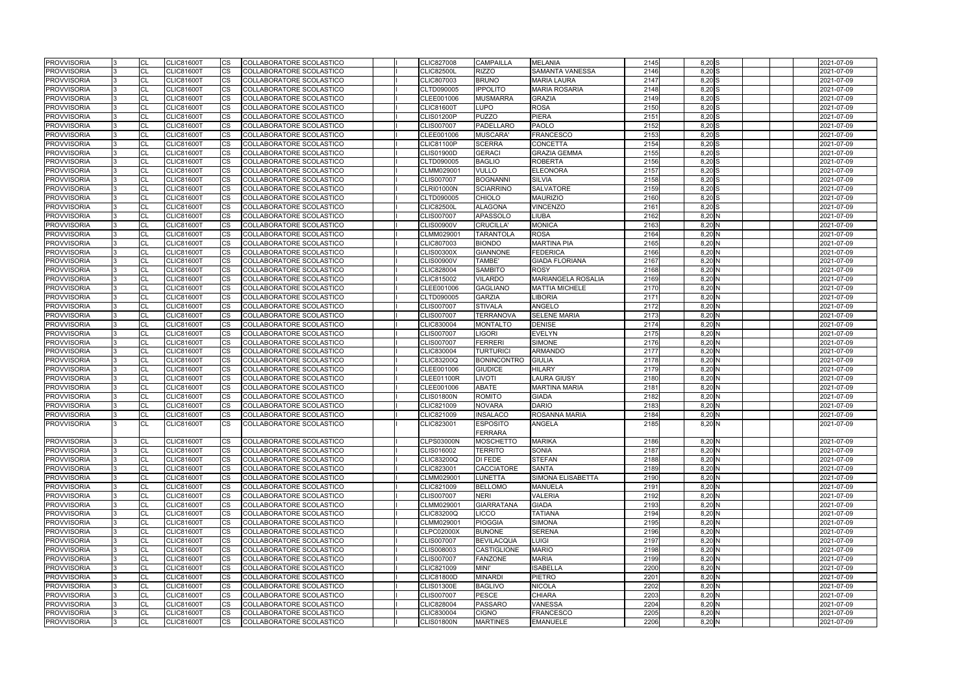| <b>PROVVISORIA</b>                       | CL        | <b>CLIC81600T</b>                      | <b>CS</b>              | COLLABORATORE SCOLASTICO                             |  | <b>CLIC827008</b>        | <b>CAMPAILLA</b>               | <b>MELANIA</b>         | 2145         | 8,20 S             | 2021-07-09               |
|------------------------------------------|-----------|----------------------------------------|------------------------|------------------------------------------------------|--|--------------------------|--------------------------------|------------------------|--------------|--------------------|--------------------------|
| <b>PROVVISORIA</b>                       | CL        | <b>CLIC81600T</b>                      | <b>CS</b>              | <b>COLLABORATORE SCOLASTICO</b>                      |  | <b>CLIC82500L</b>        | <b>RIZZO</b>                   | <b>SAMANTA VANESSA</b> | 2146         | 8,20 S             | 2021-07-09               |
| <b>PROVVISORIA</b>                       | <b>CL</b> | <b>CLIC81600T</b>                      | <b>CS</b>              | COLLABORATORE SCOLASTICO                             |  | CLIC807003               | <b>BRUNO</b>                   | <b>MARIA LAURA</b>     | 2147         | $8,20$ S           | 2021-07-09               |
| <b>PROVVISORIA</b>                       | CL        | <b>CLIC81600T</b>                      | CS                     | COLLABORATORE SCOLASTICO                             |  | CLTD090005               | <b>IPPOLITO</b>                | <b>MARIA ROSARIA</b>   | 2148         | 8,20 S             | 2021-07-09               |
| <b>PROVVISORIA</b>                       | CL        | <b>CLIC81600T</b>                      | CS                     | COLLABORATORE SCOLASTICO                             |  | CLEE001006               | <b>MUSMARRA</b>                | <b>GRAZIA</b>          | 2149         | $8,20$ S           | 2021-07-09               |
| <b>PROVVISORIA</b>                       | CL        | <b>CLIC81600T</b>                      | <b>CS</b>              | COLLABORATORE SCOLASTICO                             |  | <b>CLIC81600T</b>        | <b>LUPO</b>                    | <b>ROSA</b>            | 2150         | 8,20 S             | 2021-07-09               |
| <b>PROVVISORIA</b>                       | CL        | <b>CLIC81600T</b>                      | <b>CS</b>              | COLLABORATORE SCOLASTICO                             |  | <b>CLIS01200P</b>        | <b>PUZZO</b>                   | <b>PIERA</b>           | 2151         | $8,20$ S           | 2021-07-09               |
| <b>PROVVISORIA</b>                       | CL        | <b>CLIC81600T</b>                      | <b>CS</b>              | COLLABORATORE SCOLASTICO                             |  | <b>CLIS007007</b>        | <b>PADELLARO</b>               | PAOLO                  | 2152         | 8,20 S             | 2021-07-09               |
| <b>PROVVISORIA</b>                       | CL        | <b>CLIC81600T</b>                      | <b>CS</b>              | COLLABORATORE SCOLASTICO                             |  | CLEE001006               | <b>MUSCARA'</b>                | <b>FRANCESCO</b>       | 2153         | $8,20$ S           | 2021-07-09               |
| <b>PROVVISORIA</b>                       | CL        | <b>CLIC81600T</b>                      | CS                     | COLLABORATORE SCOLASTICO                             |  | <b>CLIC81100P</b>        | <b>SCERRA</b>                  | <b>CONCETTA</b>        | 2154         | 8,20 S             | 2021-07-09               |
| <b>PROVVISORIA</b>                       | CL        | CLIC81600T                             | CS                     | COLLABORATORE SCOLASTICO                             |  | <b>CLIS01900D</b>        | <b>GERACI</b>                  | <b>GRAZIA GEMMA</b>    | 2155         | 8,20 S             | 2021-07-09               |
| <b>PROVVISORIA</b>                       | CL        | <b>CLIC81600T</b>                      | <b>CS</b>              | COLLABORATORE SCOLASTICO                             |  | CLTD090005               | <b>BAGLIO</b>                  | <b>ROBERTA</b>         | 2156         | 8,20S              | 2021-07-09               |
| <b>PROVVISORIA</b>                       | CL        | <b>CLIC81600T</b>                      | <b>CS</b>              | COLLABORATORE SCOLASTICO                             |  | CLMM029001               | <b>VULLO</b>                   | <b>ELEONORA</b>        | 2157         | $8,20$ S           | 2021-07-09               |
| <b>PROVVISORIA</b>                       | CL        | <b>CLIC81600T</b>                      | <b>CS</b>              | COLLABORATORE SCOLASTICO                             |  | <b>CLIS007007</b>        | <b>BOGNANNI</b>                | <b>SILVIA</b>          | 2158         | $8,20$ S           | 2021-07-09               |
| <b>PROVVISORIA</b>                       | CL        | <b>CLIC81600T</b>                      | <b>CS</b>              | COLLABORATORE SCOLASTICO                             |  | <b>CLRI01000N</b>        | <b>SCIARRINO</b>               | <b>SALVATORE</b>       | 2159         | $8,20$ S           | 2021-07-09               |
| <b>PROVVISORIA</b>                       | CL        | <b>CLIC81600T</b>                      | CS                     | COLLABORATORE SCOLASTICO                             |  | CLTD090005               | <b>CHIOLO</b>                  | <b>MAURIZIO</b>        | 2160         | $8,20$ S           | 2021-07-09               |
| <b>PROVVISORIA</b>                       | <b>CL</b> | <b>CLIC81600T</b>                      | CS                     | COLLABORATORE SCOLASTICO                             |  | <b>CLIC82500L</b>        | ALAGONA                        | <b>VINCENZO</b>        | 2161         | 8,20 S             | 2021-07-09               |
| <b>PROVVISORIA</b>                       | CL        | <b>CLIC81600T</b>                      | <b>CS</b>              | COLLABORATORE SCOLASTICO                             |  | <b>CLIS007007</b>        | <b>APASSOLO</b>                | LIUBA                  | 2162         | 8,20 N             | 2021-07-09               |
| <b>PROVVISORIA</b>                       | CL        | <b>CLIC81600T</b>                      | <b>CS</b>              | COLLABORATORE SCOLASTICO                             |  | <b>CLIS00900V</b>        | <b>CRUCILLA'</b>               | <b>MONICA</b>          | 2163         | 8,20 N             | 2021-07-09               |
| <b>PROVVISORIA</b>                       | <b>CL</b> | <b>CLIC81600T</b>                      | <b>CS</b>              | COLLABORATORE SCOLASTICO                             |  | CLMM029001               | <b>TARANTOLA</b>               | <b>ROSA</b>            | 2164         | 8,20 N             | 2021-07-09               |
| <b>PROVVISORIA</b>                       | CL        | <b>CLIC81600T</b>                      | <b>CS</b>              | COLLABORATORE SCOLASTICO                             |  | CLIC807003               | <b>BIONDO</b>                  | <b>MARTINA PIA</b>     | 2165         | 8,20 N             | 2021-07-09               |
| <b>PROVVISORIA</b>                       | <b>CL</b> | <b>CLIC81600T</b>                      | CS                     | COLLABORATORE SCOLASTICO                             |  | <b>CLIS00300X</b>        | <b>GIANNONE</b>                | <b>FEDERICA</b>        | 2166         | $8,20$ N           | 2021-07-09               |
| <b>PROVVISORIA</b>                       | <b>CL</b> | <b>CLIC81600T</b>                      | CS                     | COLLABORATORE SCOLASTICO                             |  | <b>CLIS00900V</b>        | TAMBE'                         | <b>GIADA FLORIANA</b>  | 2167         | 8,20 N             | 2021-07-09               |
| <b>PROVVISORIA</b>                       | CL        | <b>CLIC81600T</b>                      | <b>CS</b>              | COLLABORATORE SCOLASTICO                             |  | CLIC828004               | <b>SAMBITO</b>                 | <b>ROSY</b>            | 2168         | 8,20 N             | 2021-07-09               |
| <b>PROVVISORIA</b>                       | CL        | <b>CLIC81600T</b>                      | CS                     | COLLABORATORE SCOLASTICO                             |  | CLIC815002               | <b>VILARDO</b>                 | MARIANGELA ROSALIA     | 2169         | 8,20 N             | 2021-07-09               |
| <b>PROVVISORIA</b>                       | <b>CL</b> | <b>CLIC81600T</b>                      | $\overline{\text{cs}}$ | COLLABORATORE SCOLASTICO                             |  | CLEE001006               | <b>GAGLIANO</b>                | <b>MATTIA MICHELE</b>  | 2170         | 8,20 N             | 2021-07-09               |
| <b>PROVVISORIA</b>                       | CL        | <b>CLIC81600T</b>                      | <b>CS</b>              | COLLABORATORE SCOLASTICO                             |  | CLTD090005               | <b>GARZIA</b>                  | <b>LIBORIA</b>         | 2171         | 8,20 N             | 2021-07-09               |
| <b>PROVVISORIA</b>                       | <b>CL</b> | <b>CLIC81600T</b>                      | <b>CS</b>              | COLLABORATORE SCOLASTICO                             |  | <b>CLIS007007</b>        | <b>STIVALA</b>                 | ANGELO                 | 2172         | 8,20 N             | 2021-07-09               |
| <b>PROVVISORIA</b>                       | <b>CL</b> | <b>CLIC81600T</b>                      | CS                     | COLLABORATORE SCOLASTICO                             |  | <b>CLIS007007</b>        | <b>TERRANOVA</b>               | <b>SELENE MARIA</b>    | 2173         | $8,20$ N           | 2021-07-09               |
| <b>PROVVISORIA</b>                       | CL        | CLIC81600T                             | CS                     | COLLABORATORE SCOLASTICO                             |  | CLIC830004               | <b>MONTALTO</b>                | <b>DENISE</b>          | 2174         | 8,20 N             | 2021-07-09               |
| <b>PROVVISORIA</b>                       | CL        | <b>CLIC81600T</b>                      | <b>CS</b>              | COLLABORATORE SCOLASTICO                             |  | CLIS007007               | <b>LIGORI</b>                  | EVELYN                 | 2175         | $8,20$ N           | 2021-07-09               |
| <b>PROVVISORIA</b>                       | CL        | <b>CLIC81600T</b>                      | <b>CS</b>              | COLLABORATORE SCOLASTICO                             |  | <b>CLIS007007</b>        | <b>FERRERI</b>                 | <b>SIMONE</b>          | 2176         | 8,20 N             | 2021-07-09               |
| <b>PROVVISORIA</b>                       | CL        | <b>CLIC81600T</b>                      | <b>CS</b>              | COLLABORATORE SCOLASTICO                             |  | CLIC830004               | <b>TURTURICI</b>               | <b>ARMANDO</b>         | 2177         | 8,20 N             | 2021-07-09               |
| <b>PROVVISORIA</b>                       | CL        | <b>CLIC81600T</b>                      | <b>CS</b>              | COLLABORATORE SCOLASTICO                             |  | <b>CLIC83200Q</b>        | <b>BONINCONTRO</b>             | <b>GIULIA</b>          | 2178         | 8,20 N             | 2021-07-09               |
| <b>PROVVISORIA</b>                       | CL        | <b>CLIC81600T</b>                      | CS                     | COLLABORATORE SCOLASTICO                             |  | CLEE001006               | <b>GIUDICE</b>                 | <b>HILARY</b>          | 2179         | $8,20$ N           | 2021-07-09               |
| <b>PROVVISORIA</b>                       | CL        | <b>CLIC81600T</b>                      |                        |                                                      |  | <b>CLEE01100R</b>        |                                | <b>LAURA GIUSY</b>     | 2180         | 8,20 N             | 2021-07-09               |
|                                          | CL        |                                        | <b>CS</b><br><b>CS</b> | COLLABORATORE SCOLASTICO                             |  | CLEE001006               | <b>LIVOTI</b><br><b>ABATE</b>  | <b>MARTINA MARIA</b>   | 2181         | $8,20$ N           | 2021-07-09               |
| <b>PROVVISORIA</b>                       |           | <b>CLIC81600T</b>                      | <b>CS</b>              | COLLABORATORE SCOLASTICO<br>COLLABORATORE SCOLASTICO |  |                          |                                | <b>GIADA</b>           | 2182         | 8,20 N             | 2021-07-09               |
| <b>PROVVISORIA</b>                       | CL        | <b>CLIC81600T</b>                      | <b>CS</b>              | COLLABORATORE SCOLASTICO                             |  | <b>CLIS01800N</b>        | <b>ROMITO</b><br><b>NOVARA</b> | <b>DARIO</b>           |              |                    |                          |
| <b>PROVVISORIA</b><br><b>PROVVISORIA</b> | CL        | <b>CLIC81600T</b><br><b>CLIC81600T</b> | <b>CS</b>              | COLLABORATORE SCOLASTICO                             |  | CLIC821009<br>CLIC821009 | <b>INSALACO</b>                | ROSANNA MARIA          | 2183<br>2184 | $8,20$ N<br>8,20 N | 2021-07-09<br>2021-07-09 |
|                                          | <b>CL</b> |                                        | <b>CS</b>              |                                                      |  |                          |                                |                        |              |                    |                          |
| <b>PROVVISORIA</b>                       | <b>CL</b> | <b>CLIC81600T</b>                      |                        | COLLABORATORE SCOLASTICO                             |  | CLIC823001               | <b>ESPOSITO</b>                | <b>ANGELA</b>          | 2185         | 8,20 N             | 2021-07-09               |
|                                          |           |                                        |                        |                                                      |  |                          | <b>FERRARA</b>                 |                        |              |                    |                          |
| <b>PROVVISORIA</b>                       | <b>CL</b> | <b>CLIC81600T</b>                      | <b>CS</b>              | COLLABORATORE SCOLASTICO                             |  | <b>CLPS03000N</b>        | <b>MOSCHETTO</b>               | <b>MARIKA</b>          | 2186         | 8,20 N             | 2021-07-09               |
| <b>PROVVISORIA</b>                       | CL        | <b>CLIC81600T</b>                      | <b>CS</b>              | COLLABORATORE SCOLASTICO                             |  | CLIS016002               | <b>TERRITO</b>                 | <b>SONIA</b>           | 2187         | 8,20 N             | 2021-07-09               |
| <b>PROVVISORIA</b>                       | <b>CL</b> | <b>CLIC81600T</b>                      | <b>CS</b>              | COLLABORATORE SCOLASTICO                             |  | <b>CLIC83200Q</b>        | DI FEDE                        | <b>STEFAN</b>          | 2188         | 8,20 N             | 2021-07-09               |
| <b>PROVVISORIA</b>                       | <b>CL</b> | <b>CLIC81600T</b>                      | <b>CS</b>              | COLLABORATORE SCOLASTICO                             |  | CLIC823001               | <b>CACCIATORE</b>              | <b>SANTA</b>           | 2189         | $8,20$ N           | 2021-07-09               |
| <b>PROVVISORIA</b>                       | CL        | <b>CLIC81600T</b>                      | CS                     | COLLABORATORE SCOLASTICO                             |  | CLMM029001               | <b>LUNETTA</b>                 | SIMONA ELISABETTA      | 2190         | $8,20$ N           | 2021-07-09               |
| <b>PROVVISORIA</b>                       | <b>CL</b> | <b>CLIC81600T</b>                      | <b>CS</b>              | COLLABORATORE SCOLASTICO                             |  | CLIC821009               | <b>BELLOMO</b>                 | <b>MANUELA</b>         | 2191         | 8,20 N             | 2021-07-09               |
| <b>PROVVISORIA</b>                       | <b>CL</b> | <b>CLIC81600T</b>                      | <b>CS</b>              | COLLABORATORE SCOLASTICO                             |  | <b>CLIS007007</b>        | <b>NERI</b>                    | <b>VALERIA</b>         | 2192         | $8,20$ N           | 2021-07-09               |
| <b>PROVVISORIA</b>                       | CL        | <b>CLIC81600T</b>                      | <b>CS</b>              | COLLABORATORE SCOLASTICO                             |  | CLMM029001               | <b>GIARRATANA</b>              | <b>GIADA</b>           | 2193         | $8,20$ N           | 2021-07-09               |
| <b>PROVVISORIA</b>                       | <b>CL</b> | <b>CLIC81600T</b>                      | <b>CS</b>              | COLLABORATORE SCOLASTICO                             |  | <b>CLIC83200Q</b>        | <b>LICCO</b>                   | <b>TATIANA</b>         | 2194         | 8,20 N             | 2021-07-09               |
| <b>PROVVISORIA</b>                       | <b>CL</b> | <b>CLIC81600T</b>                      | <b>CS</b>              | COLLABORATORE SCOLASTICO                             |  | CLMM029001               | <b>PIOGGIA</b>                 | <b>SIMONA</b>          | 2195         | $8,20$ N           | 2021-07-09               |
| <b>PROVVISORIA</b>                       | CL        | <b>CLIC81600T</b>                      | <b>CS</b>              | COLLABORATORE SCOLASTICO                             |  | <b>CLPC02000X</b>        | <b>BUNONE</b>                  | <b>SERENA</b>          | 2196         | 8,20 N             | 2021-07-09               |
| <b>PROVVISORIA</b>                       | <b>CL</b> | <b>CLIC81600T</b>                      | <b>CS</b>              | COLLABORATORE SCOLASTICO                             |  | <b>CLIS007007</b>        | <b>BEVILACQUA</b>              | <b>LUIGI</b>           | 2197         | $8,20$ N           | 2021-07-09               |
| <b>PROVVISORIA</b>                       | <b>CL</b> | <b>CLIC81600T</b>                      | <b>CS</b>              | COLLABORATORE SCOLASTICO                             |  | CLIS008003               | <b>CASTIGLIONE</b>             | <b>MARIO</b>           | 2198         | $8,20$ N           | 2021-07-09               |
| <b>PROVVISORIA</b>                       | CL        | <b>CLIC81600T</b>                      | <b>CS</b>              | COLLABORATORE SCOLASTICO                             |  | <b>CLIS007007</b>        | <b>FANZONE</b>                 | <b>MARIA</b>           | 2199         | $8,20$ N           | 2021-07-09               |
| <b>PROVVISORIA</b>                       | <b>CL</b> | <b>CLIC81600T</b>                      | <b>CS</b>              | COLLABORATORE SCOLASTICO                             |  | CLIC821009               | MINI'                          | <b>ISABELLA</b>        | 2200         | $8,20$ N           | 2021-07-09               |
| <b>PROVVISORIA</b>                       | <b>CL</b> | <b>CLIC81600T</b>                      | <b>CS</b>              | COLLABORATORE SCOLASTICO                             |  | <b>CLIC81800D</b>        | <b>MINARDI</b>                 | <b>PIETRO</b>          | 2201         | 8,20 N             | 2021-07-09               |
| <b>PROVVISORIA</b>                       | CL        | <b>CLIC81600T</b>                      | <b>CS</b>              | COLLABORATORE SCOLASTICO                             |  | <b>CLIS01300E</b>        | <b>BAGLIVO</b>                 | <b>NICOLA</b>          | 2202         | $8,20$ N           | 2021-07-09               |
| <b>PROVVISORIA</b>                       | <b>CL</b> | <b>CLIC81600T</b>                      | CS                     | COLLABORATORE SCOLASTICO                             |  | <b>CLIS007007</b>        | <b>PESCE</b>                   | <b>CHIARA</b>          | 2203         | 8,20 N             | 2021-07-09               |
| <b>PROVVISORIA</b>                       | <b>CL</b> | <b>CLIC81600T</b>                      | CS                     | COLLABORATORE SCOLASTICO                             |  | <b>CLIC828004</b>        | <b>PASSARO</b>                 | VANESSA                | 2204         | $8,20$ N           | 2021-07-09               |
| <b>PROVVISORIA</b>                       | <b>CL</b> | <b>CLIC81600T</b>                      | <b>CS</b>              | COLLABORATORE SCOLASTICO                             |  | CLIC830004               | <b>CIGNO</b>                   | <b>FRANCESCO</b>       | 2205         | $8,20$ N           | 2021-07-09               |
| <b>PROVVISORIA</b>                       | <b>CL</b> | <b>CLIC81600T</b>                      | <b>CS</b>              | COLLABORATORE SCOLASTICO                             |  | <b>CLIS01800N</b>        | <b>MARTINES</b>                | <b>EMANUELE</b>        | 2206         | $8,20$ N           | 2021-07-09               |

|  |  | 2021-07-09 |
|--|--|------------|
|  |  | 2021-07-09 |
|  |  | 2021-07-09 |
|  |  | 2021-07-09 |
|  |  | 2021-07-09 |
|  |  | 2021-07-09 |
|  |  | 2021-07-09 |
|  |  | 2021-07-09 |
|  |  | 2021-07-09 |
|  |  | 2021-07-09 |
|  |  | 2021-07-09 |
|  |  | 2021-07-09 |
|  |  | 2021-07-09 |
|  |  | 2021-07-09 |
|  |  | 2021-07-09 |
|  |  | 2021-07-09 |
|  |  | 2021-07-09 |
|  |  | 2021-07-09 |
|  |  | 2021-07-09 |
|  |  | 2021-07-09 |
|  |  | 2021-07-09 |
|  |  | 2021-07-09 |
|  |  | 2021-07-09 |
|  |  | 2021-07-09 |
|  |  | 2021-07-09 |
|  |  | 2021-07-09 |
|  |  | 2021-07-09 |
|  |  | 2021-07-09 |
|  |  | 2021-07-09 |
|  |  | 2021-07-09 |
|  |  | 2021-07-09 |
|  |  | 2021-07-09 |
|  |  | 2021-07-09 |
|  |  | 2021-07-09 |
|  |  | 2021-07-09 |
|  |  | 2021-07-09 |
|  |  | 2021-07-09 |
|  |  | 2021-07-09 |
|  |  | 2021-07-09 |
|  |  | 2021-07-09 |
|  |  | 2021-07-09 |
|  |  |            |
|  |  | 2021-07-09 |
|  |  | 2021-07-09 |
|  |  | 2021-07-09 |
|  |  | 2021-07-09 |
|  |  | 2021-07-09 |
|  |  | 2021-07-09 |
|  |  | 2021-07-09 |
|  |  | 2021-07-09 |
|  |  | 2021-07-09 |
|  |  | 2021-07-09 |
|  |  | 2021-07-09 |
|  |  | 2021-07-09 |
|  |  | 2021-07-09 |
|  |  | 2021-07-09 |
|  |  | 2021-07-09 |
|  |  | 2021-07-09 |
|  |  | 2021-07-09 |
|  |  | 2021-07-09 |
|  |  | 2021-07-09 |
|  |  | 2021-07-09 |
|  |  | 2021-07-09 |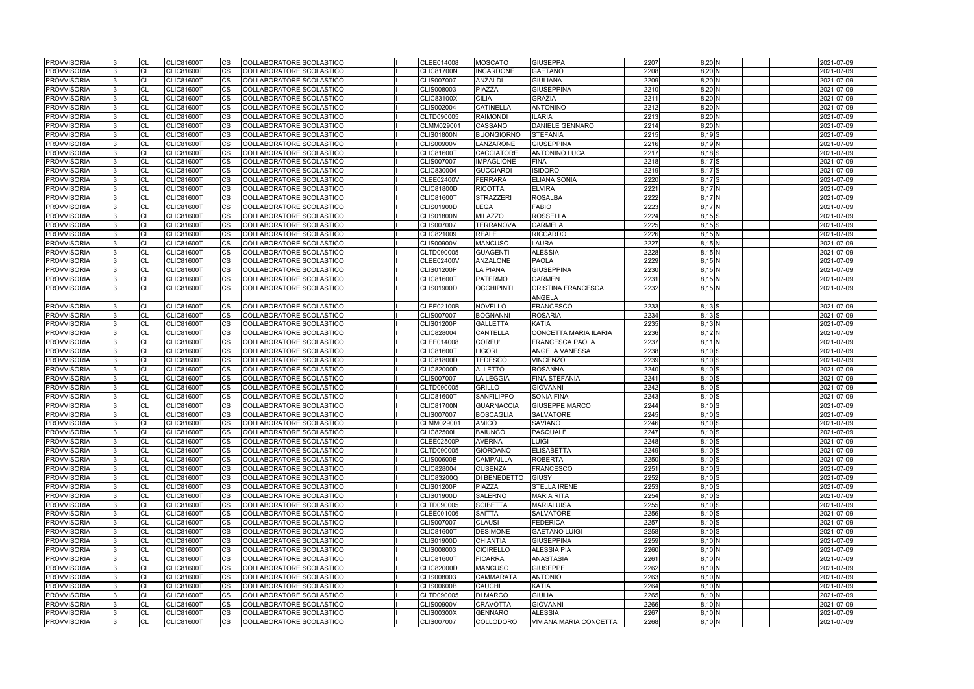| 2207              | $8,20$ <sub>N</sub>       |    |  | 2021-07-09 |
|-------------------|---------------------------|----|--|------------|
| 2208              | 8,20 N                    |    |  | 2021-07-09 |
| 2209              | 8,20 N                    |    |  | 2021-07-09 |
| 2210              | $8,20$ N                  |    |  | 2021-07-09 |
| 2211              | 8,20 N                    |    |  | 2021-07-09 |
| 2212              | 8,20 N                    |    |  | 2021-07-09 |
| 2213              | 8.20 N                    |    |  | 2021-07-09 |
| 2214              | 8,20 N                    |    |  | 2021-07-09 |
| 2215              | 8,19 <sub>S</sub>         |    |  | 2021-07-09 |
| $\overline{2}216$ |                           |    |  | 2021-07-09 |
|                   | 8,19 <sub>N</sub>         |    |  |            |
| $\overline{2}217$ | 8,18 <sub>S</sub>         |    |  | 2021-07-09 |
| 2218              | 8,17 <sup>S</sup>         |    |  | 2021-07-09 |
| 2219              | 8,17                      | Is |  | 2021-07-09 |
| 2220              | 8,17 <sup>S</sup>         |    |  | 2021-07-09 |
| 2221              | 8,17 <sub>N</sub>         |    |  | 2021-07-09 |
| 2222              | 8,17 N                    |    |  | 2021-07-09 |
| 2223              | $8,17$ N                  |    |  | 2021-07-09 |
| 2224              | $8,15$ $S$                |    |  | 2021-07-09 |
| 2225              | 8,15 <sup>S</sup>         |    |  | 2021-07-09 |
| 2226              | 8,15 <sub>N</sub>         |    |  | 2021-07-09 |
| 2227              | 8,15 <sub>N</sub>         |    |  | 2021-07-09 |
| 2228              | 8,15N                     |    |  | 2021-07-09 |
| 2229              | 8.15N                     |    |  | 2021-07-09 |
| 2230              | 8,15 <sub>N</sub>         |    |  | 2021-07-09 |
| 2231              | 8,15N                     |    |  | 2021-07-09 |
| 2232              | $8,15$ N                  |    |  | 2021-07-09 |
|                   |                           |    |  |            |
| 2233              | $8,13$ $S$                |    |  | 2021-07-09 |
| 2234              | $8.13$ $S$                |    |  | 2021-07-09 |
| 2235              | $8,13\overline{\text{N}}$ |    |  | 2021-07-09 |
|                   |                           |    |  |            |
| 2236              | 8,12N                     |    |  | 2021-07-09 |
| 2237              | 8,11 <sub>N</sub>         |    |  | 2021-07-09 |
| 2238              | $8,10$ S                  |    |  | 2021-07-09 |
| 2239              | 8,10 S                    |    |  | 2021-07-09 |
| 2240              | 8,10 S                    |    |  | 2021-07-09 |
| 2241              | 8,10 S                    |    |  | 2021-07-09 |
| 2242              | $8,10$ S                  |    |  | 2021-07-09 |
| 2243              | 8,10 S                    |    |  | 2021-07-09 |
| 2244              | 8.10 <sub>S</sub>         |    |  | 2021-07-09 |
| 2245              | 8,10 S                    |    |  | 2021-07-09 |
| $\overline{2246}$ | $8,10$ S                  |    |  | 2021-07-09 |
| 2247              | 8,10 S                    |    |  | 2021-07-09 |
| 2248              | 8,10 S                    |    |  | 2021-07-09 |
| 2249              | 8,10 S                    |    |  | 2021-07-09 |
| 2250              | 8,10 S                    |    |  | 2021-07-09 |
| 2251              | 8,10 S                    |    |  | 2021-07-09 |
| 2252              | $8,10$ S                  |    |  | 2021-07-09 |
| 2253              | 8,10 S                    |    |  | 2021-07-09 |
| 2254              | 8,10 S                    |    |  | 2021-07-09 |
| 2255              | 8,10S                     |    |  | 2021-07-09 |
| 2256              | 8,10 S                    |    |  | 2021-07-09 |
| 2257              | 8,10 S                    |    |  | 2021-07-09 |
| 2258              | 8,10 S                    |    |  | 2021-07-09 |
| 2259              | $8,10 \overline{N}$       |    |  | 2021-07-09 |
| 2260              | 8,10 N                    |    |  | 2021-07-09 |
|                   | 8,10 N                    |    |  |            |
| 2261              |                           |    |  | 2021-07-09 |
| 2262              | 8,10 N                    |    |  | 2021-07-09 |
| 2263              | $8,10 \overline{N}$       |    |  | 2021-07-09 |
| 2264              | 8,10 <sub>N</sub>         |    |  | 2021-07-09 |
| 2265              | 8,10 N                    |    |  | 2021-07-09 |
| 2266              | 8,10 <sub>N</sub>         |    |  | 2021-07-09 |
| 2267              | 8,10 N                    |    |  | 2021-07-09 |
| 2268              | 8,10 <sub>N</sub>         |    |  | 2021-07-09 |

| <b>PROVVISORIA</b> | <b>CL</b> | <b>CLIC81600T</b> | <b>CS</b> | COLLABORATORE SCOLASTICO        |  | CLEE014008        | <b>MOSCATO</b>      | <b>GIUSEPPA</b>               | 2207 | 8,20 N            | 2021-07-09 |
|--------------------|-----------|-------------------|-----------|---------------------------------|--|-------------------|---------------------|-------------------------------|------|-------------------|------------|
| <b>PROVVISORIA</b> | <b>CL</b> | <b>CLIC81600T</b> | <b>CS</b> | <b>COLLABORATORE SCOLASTICO</b> |  | <b>CLIC81700N</b> | <b>INCARDONE</b>    | <b>GAETANO</b>                | 2208 | $8,20$ N          | 2021-07-09 |
| <b>PROVVISORIA</b> | <b>CL</b> | <b>CLIC81600T</b> | CS        | COLLABORATORE SCOLASTICO        |  | <b>CLIS007007</b> | <b>ANZALDI</b>      | <b>GIULIANA</b>               | 2209 | 8,20 N            | 2021-07-09 |
| <b>PROVVISORIA</b> | <b>CL</b> | <b>CLIC81600T</b> | CS        | COLLABORATORE SCOLASTICO        |  | CLIS008003        | PIAZZA              | <b>GIUSEPPINA</b>             | 2210 | 8,20 N            | 2021-07-09 |
| <b>PROVVISORIA</b> | <b>CL</b> | <b>CLIC81600T</b> | CS        | COLLABORATORE SCOLASTICO        |  | <b>CLIC83100X</b> | <b>CILIA</b>        | <b>GRAZIA</b>                 | 2211 | 8,20 N            | 2021-07-09 |
| <b>PROVVISORIA</b> | CL        | <b>CLIC81600T</b> | CS        | COLLABORATORE SCOLASTICO        |  | CLIS002004        | <b>CATINELLA</b>    | <b>ANTONINO</b>               | 2212 | $8,20$ N          | 2021-07-09 |
| <b>PROVVISORIA</b> | <b>CL</b> | <b>CLIC81600T</b> | CS        | <b>COLLABORATORE SCOLASTICO</b> |  | CLTD090005        | <b>RAIMONDI</b>     | <b>ILARIA</b>                 | 2213 | 8,20 N            | 2021-07-09 |
| <b>PROVVISORIA</b> | CL        | <b>CLIC81600T</b> | <b>CS</b> | COLLABORATORE SCOLASTICO        |  | CLMM029001        | CASSANO             | <b>DANIELE GENNARO</b>        | 2214 | $8,20$ N          | 2021-07-09 |
| <b>PROVVISORIA</b> | CL        | <b>CLIC81600T</b> | CS.       | COLLABORATORE SCOLASTICO        |  | <b>CLIS01800N</b> | <b>BUONGIORNO</b>   | <b>STEFANIA</b>               | 2215 | 8,19 <sub>S</sub> | 2021-07-09 |
| <b>PROVVISORIA</b> | <b>CL</b> | <b>CLIC81600T</b> | CS        | COLLABORATORE SCOLASTICO        |  | <b>CLIS00900V</b> | LANZARONE           | <b>GIUSEPPINA</b>             | 2216 | 8,19 <sub>N</sub> | 2021-07-09 |
| <b>PROVVISORIA</b> | CL        | <b>CLIC81600T</b> | CS        | COLLABORATORE SCOLASTICO        |  | <b>CLIC81600T</b> | <b>CACCIATORE</b>   | <b>ANTONINO LUCA</b>          | 2217 | $8,18$ S          | 2021-07-09 |
| <b>PROVVISORIA</b> | <b>CL</b> | <b>CLIC81600T</b> | CS        | COLLABORATORE SCOLASTICO        |  | <b>CLIS007007</b> | <b>IMPAGLIONE</b>   | <b>FINA</b>                   | 2218 | 8,17 <sub>S</sub> | 2021-07-09 |
| <b>PROVVISORIA</b> | <b>CL</b> | <b>CLIC81600T</b> | <b>CS</b> | COLLABORATORE SCOLASTICO        |  | CLIC830004        | <b>GUCCIARDI</b>    | <b>ISIDORO</b>                | 2219 | 8,17 <sub>S</sub> | 2021-07-09 |
| <b>PROVVISORIA</b> | <b>CL</b> | <b>CLIC81600T</b> | <b>CS</b> | COLLABORATORE SCOLASTICO        |  | <b>CLEE02400V</b> | <b>FERRARA</b>      | <b>ELIANA SONIA</b>           | 2220 | 8,17 <sub>S</sub> | 2021-07-09 |
| <b>PROVVISORIA</b> | <b>CL</b> | <b>CLIC81600T</b> | <b>CS</b> | COLLABORATORE SCOLASTICO        |  | <b>CLIC81800D</b> | <b>RICOTTA</b>      | <b>ELVIRA</b>                 | 2221 | 8,17N             | 2021-07-09 |
| <b>PROVVISORIA</b> | <b>CL</b> | <b>CLIC81600T</b> | CS        | COLLABORATORE SCOLASTICO        |  | <b>CLIC81600T</b> | <b>STRAZZERI</b>    | <b>ROSALBA</b>                | 2222 | $8,17$ N          | 2021-07-09 |
| <b>PROVVISORIA</b> | CL        | <b>CLIC81600T</b> | CS        | COLLABORATORE SCOLASTICO        |  | <b>CLIS01900D</b> | <b>LEGA</b>         | <b>FABIO</b>                  | 2223 | 8,17 N            | 2021-07-09 |
| <b>PROVVISORIA</b> | <b>CL</b> | <b>CLIC81600T</b> | CS        | COLLABORATORE SCOLASTICO        |  | <b>CLIS01800N</b> | <b>MILAZZO</b>      | <b>ROSSELLA</b>               | 2224 | $8,15$ S          | 2021-07-09 |
| <b>PROVVISORIA</b> | <b>CL</b> | <b>CLIC81600T</b> | CS        | COLLABORATORE SCOLASTICO        |  | <b>CLIS007007</b> | <b>TERRANOVA</b>    | <b>CARMELA</b>                | 2225 | $8,15$ S          | 2021-07-09 |
| <b>PROVVISORIA</b> | CL        | <b>CLIC81600T</b> | <b>CS</b> | COLLABORATORE SCOLASTICO        |  | CLIC821009        | <b>REALE</b>        | <b>RICCARDO</b>               | 2226 | 8,15 N            | 2021-07-09 |
| <b>PROVVISORIA</b> | <b>CL</b> | <b>CLIC81600T</b> | CS        | COLLABORATORE SCOLASTICO        |  | <b>CLIS00900V</b> | <b>MANCUSO</b>      | LAURA                         | 2227 | $8,15$ N          | 2021-07-09 |
| <b>PROVVISORIA</b> | <b>CL</b> | <b>CLIC81600T</b> | CS        | COLLABORATORE SCOLASTICO        |  | CLTD090005        | <b>GUAGENTI</b>     | <b>ALESSIA</b>                | 2228 | $8,15$ N          | 2021-07-09 |
| <b>PROVVISORIA</b> | <b>CL</b> | <b>CLIC81600T</b> | CS        | COLLABORATORE SCOLASTICO        |  | CLEE02400V        | ANZALONE            | <b>PAOLA</b>                  | 2229 | $8,15$ N          | 2021-07-09 |
| <b>PROVVISORIA</b> | <b>CL</b> | <b>CLIC81600T</b> | CS        | COLLABORATORE SCOLASTICO        |  | <b>CLIS01200P</b> | <b>LA PIANA</b>     | <b>GIUSEPPINA</b>             | 2230 | 8,15N             | 2021-07-09 |
| <b>PROVVISORIA</b> | <b>CL</b> | <b>CLIC81600T</b> | CS        | <b>COLLABORATORE SCOLASTICO</b> |  | <b>CLIC81600T</b> | <b>PATERMO</b>      | CARMEN                        | 2231 | 8,15 N            | 2021-07-09 |
| <b>PROVVISORIA</b> | <b>CL</b> | <b>CLIC81600T</b> | <b>CS</b> | COLLABORATORE SCOLASTICO        |  | <b>CLIS01900D</b> | <b>OCCHIPINTI</b>   | <b>CRISTINA FRANCESCA</b>     | 2232 | 8,15 N            | 2021-07-09 |
|                    |           |                   |           |                                 |  |                   |                     | <b>ANGELA</b>                 |      |                   |            |
| <b>PROVVISORIA</b> | CL        | <b>CLIC81600T</b> | CS        | COLLABORATORE SCOLASTICO        |  | <b>CLEE02100B</b> | <b>NOVELLO</b>      | <b>FRANCESCO</b>              | 2233 | 8,13 S            | 2021-07-09 |
| <b>PROVVISORIA</b> | <b>CL</b> | <b>CLIC81600T</b> | CS        | COLLABORATORE SCOLASTICO        |  | <b>CLIS007007</b> | <b>BOGNANNI</b>     | <b>ROSARIA</b>                | 2234 | $8,13$ S          | 2021-07-09 |
| <b>PROVVISORIA</b> | CL        | <b>CLIC81600T</b> | CS        | COLLABORATORE SCOLASTICO        |  | <b>CLIS01200P</b> | <b>GALLETTA</b>     | KATIA                         | 2235 | 8,13 N            | 2021-07-09 |
| <b>PROVVISORIA</b> | <b>CL</b> | <b>CLIC81600T</b> | CS        | COLLABORATORE SCOLASTICO        |  | CLIC828004        | <b>CANTELLA</b>     | CONCETTA MARIA ILARIA         | 2236 | 8,12 N            | 2021-07-09 |
| <b>PROVVISORIA</b> | <b>CL</b> | <b>CLIC81600T</b> | <b>CS</b> | COLLABORATORE SCOLASTICO        |  | CLEE014008        | <b>CORFU</b>        | <b>FRANCESCA PAOLA</b>        | 2237 | $8,11$ N          | 2021-07-09 |
| <b>PROVVISORIA</b> | <b>CL</b> | <b>CLIC81600T</b> | CS        | COLLABORATORE SCOLASTICO        |  | <b>CLIC81600T</b> | <b>LIGORI</b>       | <b>ANGELA VANESSA</b>         | 2238 | 8,10 S            | 2021-07-09 |
| <b>PROVVISORIA</b> | CL        | <b>CLIC81600T</b> | CS.       | COLLABORATORE SCOLASTICO        |  | <b>CLIC81800D</b> | <b>TEDESCO</b>      | <b>VINCENZO</b>               | 2239 | 8,10 S            | 2021-07-09 |
| <b>PROVVISORIA</b> | <b>CL</b> | <b>CLIC81600T</b> | CS        | COLLABORATORE SCOLASTICO        |  | <b>CLIC82000D</b> | <b>ALLETTO</b>      | <b>ROSANNA</b>                | 2240 | $8,10$ S          | 2021-07-09 |
| <b>PROVVISORIA</b> | CL        | <b>CLIC81600T</b> | CS        | COLLABORATORE SCOLASTICO        |  | <b>CLIS007007</b> | <b>LA LEGGIA</b>    | FINA STEFANIA                 | 2241 | $8,10$ S          | 2021-07-09 |
| <b>PROVVISORIA</b> | CL        | <b>CLIC81600T</b> | CS        | COLLABORATORE SCOLASTICO        |  | CLTD090005        | <b>GRILLO</b>       | <b>GIOVANNI</b>               | 2242 | 8,10 S            | 2021-07-09 |
| <b>PROVVISORIA</b> | <b>CL</b> | <b>CLIC81600T</b> | <b>CS</b> | COLLABORATORE SCOLASTICO        |  | <b>CLIC81600T</b> | <b>SANFILIPPO</b>   | <b>SONIA FINA</b>             | 2243 | 8,10 S            | 2021-07-09 |
| <b>PROVVISORIA</b> | <b>CL</b> | <b>CLIC81600T</b> | CS.       | COLLABORATORE SCOLASTICO        |  | <b>CLIC81700N</b> | <b>GUARNACCIA</b>   | <b>GIUSEPPE MARCO</b>         | 2244 | $8,10$ S          | 2021-07-09 |
| <b>PROVVISORIA</b> | <b>CL</b> | CLIC81600T        | <b>CS</b> | COLLABORATORE SCOLASTICO        |  | <b>CLIS007007</b> | <b>BOSCAGLIA</b>    | SALVATORE                     | 2245 | 8,10 S            | 2021-07-09 |
| <b>PROVVISORIA</b> | <b>CI</b> | <b>CLIC81600T</b> | <b>CS</b> | COLLABORATORE SCOLASTICO        |  | CLMM029001        | <b>AMICO</b>        | <b>SAVIANO</b>                | 2246 | 8,10 S            | 2021-07-09 |
| <b>PROVVISORIA</b> | <b>CL</b> | <b>CLIC81600T</b> | CS        | COLLABORATORE SCOLASTICO        |  | <b>CLIC82500L</b> | <b>BAIUNCO</b>      | PASQUALE                      | 2247 | $8,10$ S          | 2021-07-09 |
| <b>PROVVISORIA</b> | CL        | <b>CLIC81600T</b> | <b>CS</b> | COLLABORATORE SCOLASTICO        |  | <b>CLEE02500P</b> | <b>AVERNA</b>       | LUIGI                         | 2248 | 8,10 S            | 2021-07-09 |
| <b>PROVVISORIA</b> | <b>CL</b> | <b>CLIC81600T</b> | <b>CS</b> | <b>COLLABORATORE SCOLASTICO</b> |  | CLTD090005        | <b>GIORDANO</b>     | <b>ELISABETTA</b>             | 2249 | 8,10 S            | 2021-07-09 |
| <b>PROVVISORIA</b> | CL        | <b>CLIC81600T</b> | <b>CS</b> | COLLABORATORE SCOLASTICO        |  | <b>CLIS00600B</b> | <b>CAMPAILLA</b>    | <b>ROBERTA</b>                | 2250 | 8,10 S            | 2021-07-09 |
| <b>PROVVISORIA</b> | <b>CL</b> | <b>CLIC81600T</b> | <b>CS</b> | COLLABORATORE SCOLASTICO        |  | <b>CLIC828004</b> | <b>CUSENZA</b>      | <b>FRANCESCO</b>              | 2251 | 8,10 S            | 2021-07-09 |
| <b>PROVVISORIA</b> | <b>CL</b> | <b>CLIC81600T</b> | CS        | COLLABORATORE SCOLASTICO        |  | <b>CLIC83200Q</b> | <b>DI BENEDETTO</b> | <b>GIUSY</b>                  | 2252 | 8,10 S            | 2021-07-09 |
| <b>PROVVISORIA</b> | CL        | CLIC81600T        | CS        | COLLABORATORE SCOLASTICO        |  | <b>CLIS01200P</b> | <b>PIAZZA</b>       | STELLA IRENE                  | 2253 | 8,10 S            | 2021-07-09 |
| <b>PROVVISORIA</b> | <b>CL</b> | <b>CLIC81600T</b> | CS.       | COLLABORATORE SCOLASTICO        |  | <b>CLIS01900D</b> | <b>SALERNO</b>      | MARIA RITA                    | 2254 | 8,10 S            | 2021-07-09 |
| <b>PROVVISORIA</b> | <b>CL</b> | <b>CLIC81600T</b> | CS        | COLLABORATORE SCOLASTICO        |  | CLTD090005        | <b>SCIBETTA</b>     | <b>MARIALUISA</b>             | 2255 | 8,10 S            | 2021-07-09 |
| <b>PROVVISORIA</b> | <b>CL</b> | <b>CLIC81600T</b> | <b>CS</b> | COLLABORATORE SCOLASTICO        |  | CLEE001006        | <b>SAITTA</b>       | SALVATORE                     | 2256 | 8,10 S            | 2021-07-09 |
| <b>PROVVISORIA</b> | <b>CL</b> | <b>CLIC81600T</b> | CS.       | COLLABORATORE SCOLASTICO        |  | <b>CLIS007007</b> | <b>CLAUSI</b>       | <b>FEDERICA</b>               | 2257 | 8,10 S            | 2021-07-09 |
| <b>PROVVISORIA</b> | <b>CL</b> | <b>CLIC81600T</b> | CS        | COLLABORATORE SCOLASTICO        |  | <b>CLIC81600T</b> | <b>DESIMONE</b>     | <b>GAETANO LUIGI</b>          | 2258 | 8,10 S            | 2021-07-09 |
| <b>PROVVISORIA</b> | <b>CL</b> | <b>CLIC81600T</b> | CS        | COLLABORATORE SCOLASTICO        |  | <b>CLIS01900D</b> | <b>CHIANTIA</b>     | <b>GIUSEPPINA</b>             | 2259 | $8,10$ N          | 2021-07-09 |
| <b>PROVVISORIA</b> | CL        | <b>CLIC81600T</b> | CS        | COLLABORATORE SCOLASTICO        |  | CLIS008003        | <b>CICIRELLO</b>    | <b>ALESSIA PIA</b>            | 2260 | 8,10 N            | 2021-07-09 |
| <b>PROVVISORIA</b> | CL        | CLIC81600T        | CS        | COLLABORATORE SCOLASTICO        |  | <b>CLIC81600T</b> | <b>FICARRA</b>      | <b>ANASTASIA</b>              | 2261 | 8,10 N            | 2021-07-09 |
| <b>PROVVISORIA</b> | <b>CL</b> | <b>CLIC81600T</b> | <b>CS</b> | COLLABORATORE SCOLASTICO        |  | <b>CLIC82000D</b> | <b>MANCUSO</b>      | <b>GIUSEPPE</b>               | 2262 | 8,10 N            | 2021-07-09 |
| <b>PROVVISORIA</b> | <b>CL</b> | <b>CLIC81600T</b> | CS        | COLLABORATORE SCOLASTICO        |  | CLIS008003        | <b>CAMMARATA</b>    | <b>ANTONIO</b>                | 2263 | 8,10 N            | 2021-07-09 |
| <b>PROVVISORIA</b> | CL        | <b>CLIC81600T</b> | CS        | COLLABORATORE SCOLASTICO        |  | <b>CLIS00600B</b> | <b>CAUCHI</b>       | KATIA                         | 2264 | 8,10 N            | 2021-07-09 |
| <b>PROVVISORIA</b> | <b>CL</b> | <b>CLIC81600T</b> | CS        | COLLABORATORE SCOLASTICO        |  | CLTD090005        | <b>DI MARCO</b>     | <b>GIULIA</b>                 | 2265 | 8,10 N            | 2021-07-09 |
| <b>PROVVISORIA</b> | CL        | <b>CLIC81600T</b> | CS        | COLLABORATORE SCOLASTICO        |  | <b>CLIS00900V</b> | <b>CRAVOTTA</b>     | <b>GIOVANNI</b>               | 2266 | 8,10 N            | 2021-07-09 |
| <b>PROVVISORIA</b> | <b>CL</b> | <b>CLIC81600T</b> | <b>CS</b> | COLLABORATORE SCOLASTICO        |  | <b>CLIS00300X</b> | <b>GENNARO</b>      | <b>ALESSIA</b>                | 2267 | 8,10 N            | 2021-07-09 |
| <b>PROVVISORIA</b> | <b>CL</b> | <b>CLIC81600T</b> | <b>CS</b> | COLLABORATORE SCOLASTICO        |  | <b>CLIS007007</b> | <b>COLLODORO</b>    | <b>VIVIANA MARIA CONCETTA</b> | 2268 | 8,10 N            | 2021-07-09 |
|                    |           |                   |           |                                 |  |                   |                     |                               |      |                   |            |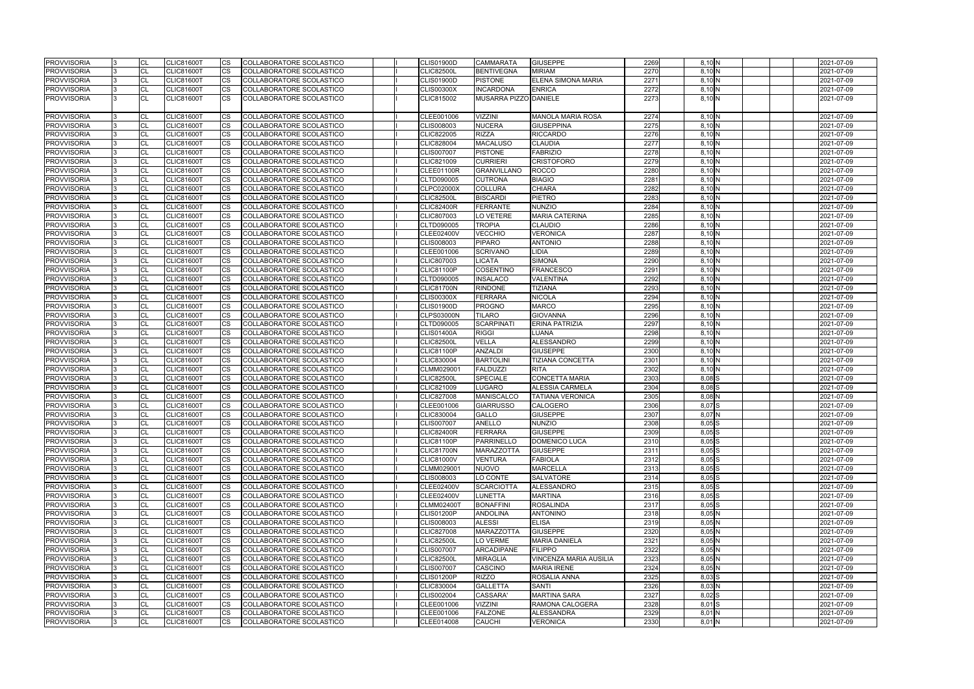| <b>PROVVISORIA</b>                |     | <b>CL</b>       | <b>CLIC81600T</b> | CS        | COLLABORATORE SCOLASTICO                             |  | CLIS01900D               | <b>CAMMARATA</b>               | <b>GIUSEPPE</b>                          | 2269         | 8,10 N                      | 2021-07-09               |
|-----------------------------------|-----|-----------------|-------------------|-----------|------------------------------------------------------|--|--------------------------|--------------------------------|------------------------------------------|--------------|-----------------------------|--------------------------|
| <b>PROVVISORIA</b>                |     | <b>CL</b>       | CLIC81600T        | <b>CS</b> | COLLABORATORE SCOLASTICO                             |  | <b>CLIC82500L</b>        | <b>BENTIVEGNA</b>              | <b>MIRIAM</b>                            | 2270         | 8,10 N                      | 2021-07-09               |
| <b>PROVVISORIA</b>                |     | <b>CL</b>       | <b>CLIC81600T</b> | CS.       | COLLABORATORE SCOLASTICO                             |  | <b>CLIS01900D</b>        | <b>PISTONE</b>                 | ELENA SIMONA MARIA                       | 2271         | 8,10 N                      | 2021-07-09               |
| <b>PROVVISORIA</b>                |     | <b>CL</b>       | <b>CLIC81600T</b> | СS        | COLLABORATORE SCOLASTICO                             |  | <b>CLIS00300X</b>        | <b>INCARDONA</b>               | ENRICA                                   | 2272         | 8,10 <sub>N</sub>           | 2021-07-09               |
| <b>PROVVISORIA</b>                | l3. | <b>CL</b>       | <b>CLIC81600T</b> | CS        | COLLABORATORE SCOLASTICO                             |  | CLIC815002               | MUSARRA PIZZO DANIELE          |                                          | 2273         | 8,10 <sub>N</sub>           | 2021-07-09               |
| <b>PROVVISORIA</b>                |     | ICL             | <b>CLIC81600T</b> | CS        | COLLABORATORE SCOLASTICO                             |  | CLEE001006               | <b>VIZZINI</b>                 | <b>MANOLA MARIA ROSA</b>                 | 2274         | 8,10 <sub>N</sub>           | 2021-07-09               |
| <b>PROVVISORIA</b>                |     | <b>CL</b>       | <b>CLIC81600T</b> | <b>CS</b> | COLLABORATORE SCOLASTICO                             |  | CLIS008003               | <b>NUCERA</b>                  | <b>GIUSEPPINA</b>                        | 2275         | $8,10$ N                    | 2021-07-09               |
| <b>PROVVISORIA</b>                |     | <b>CL</b>       | <b>CLIC81600T</b> | CS        | COLLABORATORE SCOLASTICO                             |  | <b>CLIC822005</b>        | <b>RIZZA</b>                   | <b>RICCARDO</b>                          | 2276         | 8,10N                       | 2021-07-09               |
| <b>PROVVISORIA</b>                |     | <b>CL</b>       | <b>CLIC81600T</b> | СS        | COLLABORATORE SCOLASTICO                             |  | <b>CLIC828004</b>        | <b>MACALUSO</b>                | CLAUDIA                                  | 2277         | 8,10 <sub>N</sub>           | 2021-07-09               |
| <b>PROVVISORIA</b>                |     | <b>CL</b>       | <b>CLIC81600T</b> | CS        | COLLABORATORE SCOLASTICO                             |  | <b>CLIS007007</b>        | <b>PISTONE</b>                 | <b>FABRIZIO</b>                          | 2278         | 8,10 N                      | 2021-07-09               |
| <b>PROVVISORIA</b>                |     | <b>CL</b>       | <b>CLIC81600T</b> | CS        | COLLABORATORE SCOLASTICO                             |  | CLIC821009               | <b>CURRIERI</b>                | <b>CRISTOFORO</b>                        | 2279         | 8,10 N                      | 2021-07-09               |
| <b>PROVVISORIA</b>                |     | <b>CL</b>       | CLIC81600T        | CS        | COLLABORATORE SCOLASTICO                             |  | <b>CLEE01100R</b>        | <b>GRANVILLANO</b>             | <b>ROCCO</b>                             | 2280         | 8,10 N                      | 2021-07-09               |
| <b>PROVVISORIA</b>                |     | <b>CL</b>       | <b>CLIC81600T</b> | <b>CS</b> | COLLABORATORE SCOLASTICO                             |  | CLTD090005               | <b>CUTRONA</b>                 | <b>BIAGIO</b>                            | 2281         | 8,10 <sub>N</sub>           | 2021-07-09               |
| PROVVISORIA                       |     | <b>CL</b>       | <b>CLIC81600T</b> | CS.       | COLLABORATORE SCOLASTICO                             |  | <b>CLPC02000X</b>        | <b>COLLURA</b>                 | <b>CHIARA</b>                            | 2282         | 8,10 N                      | 2021-07-09               |
| <b>PROVVISORIA</b>                |     | <b>CL</b>       | <b>CLIC81600T</b> | CS        | COLLABORATORE SCOLASTICO                             |  | <b>CLIC82500L</b>        | <b>BISCARDI</b>                | <b>PIETRO</b>                            | 2283         | $8,10$ N                    | 2021-07-09               |
| <b>PROVVISORIA</b>                |     | <b>CL</b>       | <b>CLIC81600T</b> | CS        | COLLABORATORE SCOLASTICO                             |  | <b>CLIC82400R</b>        | <b>FERRANTE</b>                | <b>NUNZIO</b>                            | 2284         | 8,10 N                      | 2021-07-09               |
| <b>PROVVISORIA</b>                |     | <b>CL</b>       | <b>CLIC81600T</b> | CS        | COLLABORATORE SCOLASTICO                             |  | CLIC807003               | LO VETERE                      | MARIA CATERINA                           | 2285         | 8,10 N                      | 2021-07-09               |
| <b>PROVVISORIA</b>                |     | <b>CL</b>       | <b>CLIC81600T</b> | <b>CS</b> | COLLABORATORE SCOLASTICO                             |  | CLTD090005               | <b>TROPIA</b>                  | <b>CLAUDIO</b>                           | 2286         | 8,10 N                      | 2021-07-09               |
| <b>PROVVISORIA</b>                |     | <b>CL</b>       | <b>CLIC81600T</b> | CS.       | COLLABORATORE SCOLASTICO                             |  | <b>CLEE02400V</b>        | <b>VECCHIO</b>                 | <b>VERONICA</b>                          | 2287         | 8,10 <sub>N</sub>           | 2021-07-09               |
| <b>PROVVISORIA</b>                |     | <b>CL</b>       | <b>CLIC81600T</b> | CS        | COLLABORATORE SCOLASTICO                             |  | CLIS008003               | <b>PIPARO</b>                  | ANTONIO                                  | 2288         | 8,10 <sub>N</sub>           | 2021-07-09               |
| PROVVISORIA                       |     | <b>CL</b>       | <b>CLIC81600T</b> | CS.       | COLLABORATORE SCOLASTICO                             |  | CLEE001006               | <b>SCRIVANO</b>                | LIDIA                                    | 2289         | 8,10 N                      | 2021-07-09               |
| <b>PROVVISORIA</b>                |     | <b>CL</b>       | <b>CLIC81600T</b> | CS.       | COLLABORATORE SCOLASTICO                             |  | CLIC807003               | <b>LICATA</b>                  | <b>SIMONA</b>                            | 2290         | $8,10$ N                    | 2021-07-09               |
| <b>PROVVISORIA</b>                |     | <b>CL</b>       | <b>CLIC81600T</b> | CS        | COLLABORATORE SCOLASTICO                             |  | <b>CLIC81100P</b>        | <b>COSENTINO</b>               | <b>FRANCESCO</b>                         | 2291         | 8,10 N                      | 2021-07-09               |
| <b>PROVVISORIA</b>                |     | <b>CL</b>       | <b>CLIC81600T</b> | CS        | COLLABORATORE SCOLASTICO                             |  | CLTD090005               | <b>INSALACO</b>                | <b>VALENTINA</b>                         | 2292         | 8,10 N                      | 2021-07-09               |
| <b>PROVVISORIA</b>                |     | CL              | <b>CLIC81600T</b> | CS        | COLLABORATORE SCOLASTICO                             |  | <b>CLIC81700N</b>        | <b>RINDONE</b>                 | <b>TIZIANA</b>                           | 2293         | 8,10 <sub>N</sub>           | 2021-07-09               |
| <b>PROVVISORIA</b>                |     | <b>CL</b>       | <b>CLIC81600T</b> | <b>CS</b> | COLLABORATORE SCOLASTICO                             |  | <b>CLIS00300X</b>        | FERRARA                        | <b>NICOLA</b>                            | 2294         | $8,10$ N                    | 2021-07-09               |
| <b>PROVVISORIA</b>                |     | <b>CL</b>       | <b>CLIC81600T</b> | CS        | COLLABORATORE SCOLASTICO                             |  | <b>CLIS01900D</b>        | <b>PROGNO</b>                  | <b>MARCO</b>                             | 2295         | 8,10 N                      | 2021-07-09               |
| <b>PROVVISORIA</b>                |     | <b>CL</b>       | <b>CLIC81600T</b> |           | COLLABORATORE SCOLASTICO                             |  | <b>CLPS03000N</b>        | <b>TILARO</b>                  | GIOVANNA                                 | 2296         | 8,10 <sub>N</sub>           | 2021-07-09               |
|                                   | 13. | <b>CL</b>       | <b>CLIC81600T</b> | СS<br>CS  |                                                      |  | CLTD090005               | <b>SCARPINATI</b>              | <b>ERINA PATRIZIA</b>                    | 2297         | 8,10 N                      | 2021-07-09               |
| <b>PROVVISORIA</b>                |     | <b>CL</b>       | <b>CLIC81600T</b> |           | COLLABORATORE SCOLASTICO                             |  |                          | <b>RIGGI</b>                   | LUANA                                    | 2298         | 8,10 N                      |                          |
| <b>PROVVISORIA</b>                |     |                 | <b>CLIC81600T</b> | CS        | COLLABORATORE SCOLASTICO                             |  | <b>CLIS01400A</b>        |                                |                                          |              |                             | 2021-07-09               |
| <b>PROVVISORIA</b><br>PROVVISORIA |     | CL<br><b>CL</b> | <b>CLIC81600T</b> | CS        | COLLABORATORE SCOLASTICO                             |  | <b>CLIC82500L</b>        | <b>VELLA</b><br><b>ANZALDI</b> | ALESSANDRO<br><b>GIUSEPPE</b>            | 2299<br>2300 | 8,10 <sub>N</sub><br>8,10 N | 2021-07-09               |
| <b>PROVVISORIA</b>                |     | <b>CL</b>       | <b>CLIC81600T</b> | CS<br>CS. | COLLABORATORE SCOLASTICO                             |  | <b>CLIC81100P</b>        | <b>BARTOLINI</b>               |                                          | 2301         | 8,10N                       | 2021-07-09<br>2021-07-09 |
|                                   |     |                 | <b>CLIC81600T</b> |           | COLLABORATORE SCOLASTICO                             |  | CLIC830004<br>CLMM029001 | <b>FALDUZZI</b>                | TIZIANA CONCETTA                         | 2302         |                             |                          |
| <b>PROVVISORIA</b>                |     | <b>CL</b>       | <b>CLIC81600T</b> | CS        | COLLABORATORE SCOLASTICO                             |  |                          | <b>SPECIALE</b>                | <b>RITA</b>                              | 2303         | 8,10 N<br>$8,08$ $S$        | 2021-07-09<br>2021-07-09 |
| <b>PROVVISORIA</b>                |     | <b>CL</b>       |                   | CS        | COLLABORATORE SCOLASTICO<br>COLLABORATORE SCOLASTICO |  | <b>CLIC82500L</b>        | <b>LUGARO</b>                  | CONCETTA MARIA<br><b>ALESSIA CARMELA</b> | 2304         | $8,08$ $S$                  |                          |
| <b>PROVVISORIA</b>                |     | <b>CL</b>       | <b>CLIC81600T</b> | CS.       |                                                      |  | CLIC821009               |                                |                                          |              |                             | 2021-07-09               |
| <b>PROVVISORIA</b>                |     | <b>CL</b>       | <b>CLIC81600T</b> | CS        | COLLABORATORE SCOLASTICO                             |  | <b>CLIC827008</b>        | <b>MANISCALCO</b>              | TATIANA VERONICA                         | 2305         | 8,08 N                      | 2021-07-09               |
| <b>PROVVISORIA</b>                |     | <b>CL</b>       | <b>CLIC81600T</b> | CS        | COLLABORATORE SCOLASTICO                             |  | CLEE001006               | <b>GIARRUSSO</b>               | CALOGERO                                 | 2306         | 8,07 S                      | 2021-07-09               |
| PROVVISORIA                       |     | <b>CL</b>       | <b>CLIC81600T</b> | CS.       | COLLABORATORE SCOLASTICO                             |  | CLIC830004               | <b>GALLO</b>                   | <b>GIUSEPPE</b>                          | 2307         | 8,07 N                      | 2021-07-09               |
| <b>PROVVISORIA</b>                | Iз  | <b>CL</b>       | <b>CLIC81600T</b> | CS        | COLLABORATORE SCOLASTICO                             |  | <b>CLIS007007</b>        | <b>ANELLO</b>                  | <b>NUNZIO</b>                            | 2308         | 8,05S                       | 2021-07-09               |
| <b>PROVVISORIA</b>                |     | <b>CL</b>       | <b>CLIC81600T</b> | CS        | COLLABORATORE SCOLASTICO                             |  | <b>CLIC82400R</b>        | <b>FERRARA</b>                 | <b>GIUSEPPE</b>                          | 2309         | $8,05$ $S$                  | 2021-07-09               |
| <b>PROVVISORIA</b>                |     | <b>CL</b>       | <b>CLIC81600T</b> | CS        | COLLABORATORE SCOLASTICO                             |  | <b>CLIC81100P</b>        | <b>PARRINELLO</b>              | DOMENICO LUCA                            | 2310         | 8,05 S                      | 2021-07-09               |
| <b>PROVVISORIA</b>                |     | <b>CL</b>       | <b>CLIC81600T</b> | <b>CS</b> | COLLABORATORE SCOLASTICO                             |  | <b>CLIC81700N</b>        | <b>MARAZZOTTA</b>              | <b>GIUSEPPE</b>                          | 2311         | $8,05$ S                    | 2021-07-09               |
| <b>PROVVISORIA</b>                |     | <b>CL</b>       | <b>CLIC81600T</b> | CS        | COLLABORATORE SCOLASTICO                             |  | <b>CLIC81000V</b>        | <b>VENTURA</b>                 | <b>FABIOLA</b>                           | 2312         | $8,05$ S                    | 2021-07-09               |
| <b>PROVVISORIA</b>                |     | <b>CL</b>       | <b>CLIC81600T</b> | CS        | COLLABORATORE SCOLASTICO                             |  | CLMM029001               | <b>NUOVO</b>                   | MARCELLA                                 | 2313         | 8,05 S                      | 2021-07-09               |
| <b>PROVVISORIA</b>                |     | <b>CL</b>       | <b>CLIC81600T</b> | CS        | COLLABORATORE SCOLASTICO                             |  | CLIS008003               | LO CONTE                       | <b>SALVATORE</b>                         | 2314         | $8,05$ S                    | 2021-07-09               |
| <b>PROVVISORIA</b>                |     | <b>CL</b>       | <b>CLIC81600T</b> | СS        | COLLABORATORE SCOLASTICO                             |  | <b>CLEE02400V</b>        | <b>SCARCIOTTA</b>              | <b>ALESSANDRO</b>                        | 2315         | $8,05$ S                    | 2021-07-09               |
| <b>PROVVISORIA</b>                |     | <b>CL</b>       | <b>CLIC81600T</b> | CS        | COLLABORATORE SCOLASTICO                             |  | <b>CLEE02400V</b>        | <b>LUNETTA</b>                 | <b>MARTINA</b>                           | 2316         | $8,05$ S                    | 2021-07-09               |
| <b>PROVVISORIA</b>                |     | CL              | <b>CLIC81600T</b> | CS        | COLLABORATORE SCOLASTICO                             |  | <b>CLMM02400T</b>        | <b>BONAFFINI</b>               | <b>ROSALINDA</b>                         | 2317         | $8,05$ S                    | 2021-07-09               |
| <b>PROVVISORIA</b>                |     | <b>CL</b>       | <b>CLIC81600T</b> | CS        | COLLABORATORE SCOLASTICO                             |  | CLIS01200P               | <b>ANDOLINA</b>                | <b>ANTONINO</b>                          | 2318         | 8,05 N                      | 2021-07-09               |
| <b>PROVVISORIA</b>                |     | <b>CL</b>       | CLIC81600T        | <b>CS</b> | COLLABORATORE SCOLASTICO                             |  | CLIS008003               | <b>ALESSI</b>                  | ELISA                                    | 2319         | 8,05N                       | 2021-07-09               |
| <b>PROVVISORIA</b>                |     | <b>CL</b>       | <b>CLIC81600T</b> | CS        | COLLABORATORE SCOLASTICO                             |  | <b>CLIC827008</b>        | MARAZZOTTA                     | <b>GIUSEPPE</b>                          | 2320         | 8,05 N                      | 2021-07-09               |
| <b>PROVVISORIA</b>                |     | <b>CL</b>       | <b>CLIC81600T</b> | СS        | COLLABORATORE SCOLASTICO                             |  | <b>CLIC82500L</b>        | LO VERME                       | MARIA DANIELA                            | 2321         | 8,05 N                      | 2021-07-09               |
| <b>PROVVISORIA</b>                |     | <b>CL</b>       | <b>CLIC81600T</b> | CS        | COLLABORATORE SCOLASTICO                             |  | <b>CLIS007007</b>        | <b>ARCADIPANE</b>              | <b>FILIPPO</b>                           | 2322         | 8,05N                       | 2021-07-09               |
| <b>PROVVISORIA</b>                |     | CL              | <b>CLIC81600T</b> | CS        | COLLABORATORE SCOLASTICO                             |  | <b>CLIC82500L</b>        | <b>MIRAGLIA</b>                | VINCENZA MARIA AUSILIA                   | 2323         | 8,05N                       | 2021-07-09               |
| <b>PROVVISORIA</b>                |     | <b>CL</b>       | <b>CLIC81600T</b> | CS        | COLLABORATORE SCOLASTICO                             |  | <b>CLIS007007</b>        | <b>CASCINO</b>                 | <b>MARIA IRENE</b>                       | 2324         | 8,05 N                      | 2021-07-09               |
| <b>PROVVISORIA</b>                |     | <b>CL</b>       | <b>CLIC81600T</b> | CS        | COLLABORATORE SCOLASTICO                             |  | <b>CLIS01200P</b>        | <b>RIZZO</b>                   | ROSALIA ANNA                             | 2325         | $8,03$ $S$                  | 2021-07-09               |
| <b>PROVVISORIA</b>                |     | <b>CL</b>       | <b>CLIC81600T</b> | CS        | COLLABORATORE SCOLASTICO                             |  | CLIC830004               | <b>GALLETTA</b>                | SANTI                                    | 2326         | 8,03 N                      | 2021-07-09               |
| <b>PROVVISORIA</b>                |     | <b>CL</b>       | <b>CLIC81600T</b> | CS        | COLLABORATORE SCOLASTICO                             |  | <b>CLIS002004</b>        | <b>CASSARA</b>                 | MARTINA SARA                             | 2327         | 8,02 S                      | 2021-07-09               |
| <b>PROVVISORIA</b>                |     | <b>CL</b>       | <b>CLIC81600T</b> | CS        | COLLABORATORE SCOLASTICO                             |  | CLEE001006               | <b>VIZZINI</b>                 | RAMONA CALOGERA                          | 2328         | 8,01 S                      | 2021-07-09               |
| <b>PROVVISORIA</b>                |     | <b>CL</b>       | <b>CLIC81600T</b> | CS        | COLLABORATORE SCOLASTICO                             |  | CLEE001006               | <b>FALZONE</b>                 | ALESSANDRA                               | 2329         | 8,01N                       | 2021-07-09               |
| <b>PROVVISORIA</b>                |     | <b>CL</b>       | <b>CLIC81600T</b> | CS        | COLLABORATORE SCOLASTICO                             |  | CLEE014008               | <b>CAUCHI</b>                  | <b>VERONICA</b>                          | 2330         | 8,01N                       | 2021-07-09               |

|  |  | 2021-07-09 |
|--|--|------------|
|  |  | 2021-07-09 |
|  |  | 2021-07-09 |
|  |  | 2021-07-09 |
|  |  | 2021-07-09 |
|  |  |            |
|  |  | 2021-07-09 |
|  |  | 2021-07-09 |
|  |  | 2021-07-09 |
|  |  | 2021-07-09 |
|  |  | 2021-07-09 |
|  |  | 2021-07-09 |
|  |  | 2021-07-09 |
|  |  | 2021-07-09 |
|  |  | 2021-07-09 |
|  |  | 2021-07-09 |
|  |  | 2021-07-09 |
|  |  | 2021-07-09 |
|  |  | 2021-07-09 |
|  |  | 2021-07-09 |
|  |  | 2021-07-09 |
|  |  | 2021-07-09 |
|  |  | 2021-07-09 |
|  |  | 2021-07-09 |
|  |  | 2021-07-09 |
|  |  | 2021-07-09 |
|  |  | 2021-07-09 |
|  |  | 2021-07-09 |
|  |  | 2021-07-09 |
|  |  | 2021-07-09 |
|  |  | 2021-07-09 |
|  |  | 2021-07-09 |
|  |  | 2021-07-09 |
|  |  | 2021-07-09 |
|  |  | 2021-07-09 |
|  |  | 2021-07-09 |
|  |  | 2021-07-09 |
|  |  | 2021-07-09 |
|  |  | 2021-07-09 |
|  |  | 2021-07-09 |
|  |  | 2021-07-09 |
|  |  | 2021-07-09 |
|  |  | 2021-07-09 |
|  |  | 2021-07-09 |
|  |  | 2021-07-09 |
|  |  | 2021-07-09 |
|  |  | 2021-07-09 |
|  |  | 2021-07-09 |
|  |  | 2021-07-09 |
|  |  | 2021-07-09 |
|  |  | 2021-07-09 |
|  |  | 2021-07-09 |
|  |  | 2021-07-09 |
|  |  | 2021-07-09 |
|  |  | 2021-07-09 |
|  |  | 2021-07-09 |
|  |  | 2021-07-09 |
|  |  | 2021-07-09 |
|  |  | 2021-07-09 |
|  |  | 2021-07-09 |
|  |  | 2021-07-09 |
|  |  | 2021-07-09 |
|  |  | 2021-07-09 |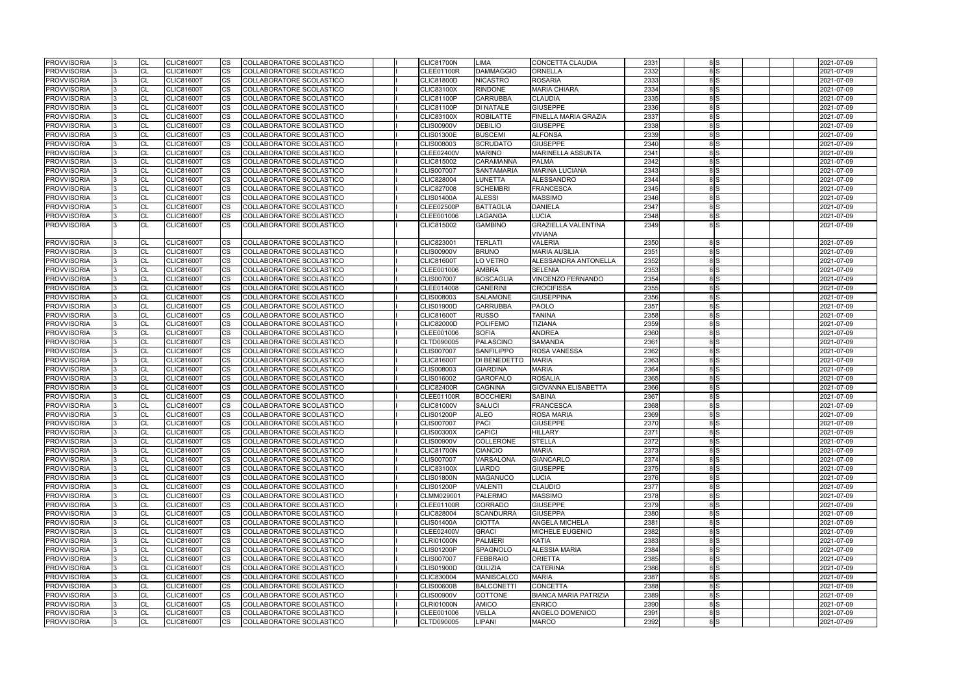| 2331              |                | 8S                      |  | 2021-07-09 |
|-------------------|----------------|-------------------------|--|------------|
| 2332              | 8              | S                       |  | 2021-07-09 |
|                   |                |                         |  |            |
| 2333              |                | $\frac{8}{5}$           |  | 2021-07-09 |
| 2334              | 8              | S                       |  | 2021-07-09 |
| 2335              | 8              | S                       |  | 2021-07-09 |
| 2336              | 8              | S                       |  | 2021-07-09 |
| 2337              | $\overline{8}$ | <sub>S</sub>            |  | 2021-07-09 |
| 2338              | $\overline{8}$ | S                       |  | 2021-07-09 |
| 2339              |                | $\frac{8}{5}$           |  | 2021-07-09 |
| 2340              | 8              | ls                      |  | 2021-07-09 |
| 2341              | 8              | S                       |  |            |
|                   |                |                         |  | 2021-07-09 |
| 2342              | 8              | S                       |  | 2021-07-09 |
| 2343              | 8              | S                       |  | 2021-07-09 |
| 2344              | $\overline{8}$ | S                       |  | 2021-07-09 |
| 2345              | 8              | S)                      |  | 2021-07-09 |
| 2346              | 8              | S                       |  | 2021-07-09 |
| 2347              | 8              | S                       |  | 2021-07-09 |
| 2348              | 8              | S                       |  | 2021-07-09 |
| 2349              | $\overline{8}$ | S                       |  | 2021-07-09 |
|                   |                |                         |  |            |
|                   |                |                         |  |            |
| 2350              | 8              | S                       |  | 2021-07-09 |
| 2351              |                | 8S                      |  | 2021-07-09 |
| 2352              | 8              | <sub>S</sub>            |  | 2021-07-09 |
| 2353              | 8              | S                       |  | 2021-07-09 |
| 2354              | 8              | S                       |  | 2021-07-09 |
| 2355              | 8              | S                       |  | 2021-07-09 |
| 2356              | 8              | $\overline{s}$          |  | 2021-07-09 |
| 2357              | 8              | <sub>S</sub>            |  | 2021-07-09 |
| 2358              | 8              | S                       |  | 2021-07-09 |
|                   |                |                         |  |            |
| 2359              | 8              | $\overline{s}$          |  | 2021-07-09 |
| 2360              | 8              | S                       |  | 2021-07-09 |
| 2361              | 8              | S                       |  | 2021-07-09 |
| 2362              | 8              | $\overline{s}$          |  | 2021-07-09 |
| 2363              | 8              | S                       |  | 2021-07-09 |
| 2364              | 8              | S                       |  | 2021-07-09 |
| 2365              | 8              | S                       |  | 2021-07-09 |
| 2366              | 8              | S                       |  | 2021-07-09 |
| 2367              | 8              | S                       |  | 2021-07-09 |
|                   | $\overline{8}$ | S                       |  |            |
| 2368              |                |                         |  | 2021-07-09 |
| 2369              | 8              | ls                      |  | 2021-07-09 |
| $\overline{2370}$ |                | 8S                      |  | 2021-07-09 |
| 2371              |                | 8S                      |  | 2021-07-09 |
| 2372              | 8              | S                       |  | 2021-07-09 |
| 2373              | 8              | S)                      |  | 2021-07-09 |
| 2374              | 8              | S                       |  | 2021-07-09 |
| 2375              | 8              | S                       |  | 2021-07-09 |
| 2376              | 8              | S                       |  | 2021-07-09 |
| 2377              | 8              | S                       |  | 2021-07-09 |
| 2378              | 8              | S                       |  | 2021-07-09 |
|                   |                |                         |  |            |
| 2379              | 8              | S                       |  | 2021-07-09 |
| 2380              | 8              | S                       |  | 2021-07-09 |
| 2381              | 8              | $\overline{s}$          |  | 2021-07-09 |
| 2382              |                | 8S                      |  | 2021-07-09 |
| 2383              | 8              | S                       |  | 2021-07-09 |
| 2384              | 8              | S                       |  | 2021-07-09 |
| 2385              | 8              | S)                      |  | 2021-07-09 |
| 2386              | 8              | S                       |  | 2021-07-09 |
|                   |                |                         |  |            |
| 2387              | $\overline{8}$ | $\overline{\mathbf{s}}$ |  | 2021-07-09 |
| 2388              | $\bf 8$        | S                       |  | 2021-07-09 |
| 2389              | 8              | S                       |  | 2021-07-09 |
| 2390              | 8              | S                       |  | 2021-07-09 |
| 2391              | 8              | $\mathsf{s}$            |  | 2021-07-09 |
| 2392              | 8              | S                       |  | 2021-07-09 |
|                   |                |                         |  |            |

| <b>PROVVISORIA</b> | 13  | <b>CL</b> | <b>CLIC81600T</b> | CS        | COLLABORATORE SCOLASTICO |  | <b>CLIC81700N</b> | <b>LIMA</b>         | CONCETTA CLAUDIA             | 2331 | 8S              | 2021-07-09 |
|--------------------|-----|-----------|-------------------|-----------|--------------------------|--|-------------------|---------------------|------------------------------|------|-----------------|------------|
| <b>PROVVISORIA</b> |     | <b>CL</b> | <b>CLIC81600T</b> | <b>CS</b> | COLLABORATORE SCOLASTICO |  | <b>CLEE01100R</b> | <b>DAMMAGGIO</b>    | ORNELLA                      | 2332 | 8 <sub>s</sub>  | 2021-07-09 |
| <b>PROVVISORIA</b> |     | <b>CL</b> | <b>CLIC81600T</b> | CS        | COLLABORATORE SCOLASTICO |  | <b>CLIC81800D</b> | <b>NICASTRO</b>     | <b>ROSARIA</b>               | 2333 | 8 <sub>s</sub>  | 2021-07-09 |
| <b>PROVVISORIA</b> |     | <b>CL</b> | <b>CLIC81600T</b> | CS        | COLLABORATORE SCOLASTICO |  | <b>CLIC83100X</b> | <b>RINDONE</b>      | <b>MARIA CHIARA</b>          | 2334 | 8S              | 2021-07-09 |
| <b>PROVVISORIA</b> |     | <b>CL</b> | <b>CLIC81600T</b> | СS        | COLLABORATORE SCOLASTICO |  | CLIC81100P        | <b>CARRUBBA</b>     | CLAUDIA                      | 2335 | 8S              | 2021-07-09 |
| <b>PROVVISORIA</b> |     | <b>CL</b> | CLIC81600T        | CS        | COLLABORATORE SCOLASTICO |  | <b>CLIC81100P</b> | DI NATALE           | <b>GIUSEPPE</b>              | 2336 | 8S              | 2021-07-09 |
| PROVVISORIA        |     | <b>CL</b> | <b>CLIC81600T</b> | CS        | COLLABORATORE SCOLASTICO |  | <b>CLIC83100X</b> | <b>ROBILATTE</b>    | FINELLA MARIA GRAZIA         | 2337 | 8S              | 2021-07-09 |
| <b>PROVVISORIA</b> |     | <b>CL</b> | <b>CLIC81600T</b> | CS        | COLLABORATORE SCOLASTICO |  | <b>CLIS00900V</b> | <b>DEBILIO</b>      | <b>GIUSEPPE</b>              | 2338 | 8 <sub>s</sub>  | 2021-07-09 |
| <b>PROVVISORIA</b> |     | <b>CL</b> | <b>CLIC81600T</b> | CS        | COLLABORATORE SCOLASTICO |  | <b>CLIS01300E</b> | <b>BUSCEMI</b>      | <b>ALFONSA</b>               | 2339 | 8S              | 2021-07-09 |
| <b>PROVVISORIA</b> |     | <b>CL</b> | <b>CLIC81600T</b> | CS        | COLLABORATORE SCOLASTICO |  | CLIS008003        | <b>SCRUDATO</b>     | <b>GIUSEPPE</b>              | 2340 | 8S              | 2021-07-09 |
| <b>PROVVISORIA</b> |     | <b>CL</b> | <b>CLIC81600T</b> | СS        | COLLABORATORE SCOLASTICO |  | <b>CLEE02400V</b> | <b>MARINO</b>       | <b>MARINELLA ASSUNTA</b>     | 2341 | 8S              | 2021-07-09 |
| <b>PROVVISORIA</b> |     | <b>CL</b> | CLIC81600T        | CS        | COLLABORATORE SCOLASTICO |  | CLIC815002        | <b>CARAMANNA</b>    | <b>PALMA</b>                 | 2342 | 8S              | 2021-07-09 |
| <b>PROVVISORIA</b> |     | <b>CL</b> | <b>CLIC81600T</b> | CS        | COLLABORATORE SCOLASTICO |  | <b>CLIS007007</b> | <b>SANTAMARIA</b>   | <b>MARINA LUCIANA</b>        | 2343 | 8S              | 2021-07-09 |
| PROVVISORIA        |     | <b>CL</b> | <b>CLIC81600T</b> | CS        | COLLABORATORE SCOLASTICO |  | <b>CLIC828004</b> | <b>LUNETTA</b>      | <b>ALESSANDRO</b>            | 2344 | 8 <sub>s</sub>  | 2021-07-09 |
| <b>PROVVISORIA</b> | IЗ  | <b>CL</b> | <b>CLIC81600T</b> | <b>CS</b> | COLLABORATORE SCOLASTICO |  | <b>CLIC827008</b> | <b>SCHEMBRI</b>     | <b>FRANCESCA</b>             | 2345 | 8S              | 2021-07-09 |
| PROVVISORIA        |     | <b>CL</b> | <b>CLIC81600T</b> | CS        | COLLABORATORE SCOLASTICO |  | <b>CLIS01400A</b> | <b>ALESSI</b>       | <b>MASSIMO</b>               | 2346 | 8 <sub>s</sub>  | 2021-07-09 |
| <b>PROVVISORIA</b> |     | <b>CL</b> | <b>CLIC81600T</b> | СS        | COLLABORATORE SCOLASTICO |  | <b>CLEE02500P</b> | <b>BATTAGLIA</b>    | DANIELA                      | 2347 | 8S              | 2021-07-09 |
| <b>PROVVISORIA</b> | 13. | <b>CL</b> | <b>CLIC81600T</b> | CS        | COLLABORATORE SCOLASTICO |  | CLEE001006        | LAGANGA             | LUCIA                        | 2348 | 8S              | 2021-07-09 |
| <b>PROVVISORIA</b> |     | <b>CL</b> | <b>CLIC81600T</b> | CS        | COLLABORATORE SCOLASTICO |  | <b>CLIC815002</b> | <b>GAMBINO</b>      | <b>GRAZIELLA VALENTINA</b>   | 2349 | 8S              | 2021-07-09 |
|                    |     |           |                   |           |                          |  |                   |                     | <b>VIVIANA</b>               |      |                 |            |
| <b>PROVVISORIA</b> |     | <b>CL</b> | <b>CLIC81600T</b> | <b>CS</b> | COLLABORATORE SCOLASTICO |  | CLIC823001        | <b>TERLATI</b>      | <b>VALERIA</b>               | 2350 | 8S              | 2021-07-09 |
| <b>PROVVISORIA</b> |     | <b>CL</b> | <b>CLIC81600T</b> | CS        | COLLABORATORE SCOLASTICO |  | <b>CLIS00900V</b> | <b>BRUNO</b>        | <b>MARIA AUSILIA</b>         | 2351 | 8 <sub>s</sub>  | 2021-07-09 |
| <b>PROVVISORIA</b> |     | <b>CL</b> | <b>CLIC81600T</b> | СS        | COLLABORATORE SCOLASTICO |  | <b>CLIC81600T</b> | LO VETRO            | ALESSANDRA ANTONELLA         | 2352 | 8S              | 2021-07-09 |
| <b>PROVVISORIA</b> |     | <b>CL</b> | <b>CLIC81600T</b> | CS        | COLLABORATORE SCOLASTICO |  | CLEE001006        | <b>AMBRA</b>        | SELENIA                      | 2353 | 8S              | 2021-07-09 |
| <b>PROVVISORIA</b> |     | <b>CL</b> | <b>CLIC81600T</b> | CS.       | COLLABORATORE SCOLASTICO |  | <b>CLIS007007</b> | <b>BOSCAGLIA</b>    | VINCENZO FERNANDO            | 2354 | 8S              | 2021-07-09 |
| <b>PROVVISORIA</b> |     | <b>CL</b> | <b>CLIC81600T</b> | CS        | COLLABORATORE SCOLASTICO |  | CLEE014008        | <b>CANERINI</b>     | <b>CROCIFISSA</b>            | 2355 | 8S              | 2021-07-09 |
| <b>PROVVISORIA</b> |     | <b>CL</b> | <b>CLIC81600T</b> | CS        | COLLABORATORE SCOLASTICO |  | CLIS008003        | <b>SALAMONE</b>     | <b>GIUSEPPINA</b>            | 2356 | 8S              | 2021-07-09 |
| <b>PROVVISORIA</b> |     | <b>CL</b> | <b>CLIC81600T</b> | CS.       | COLLABORATORE SCOLASTICO |  | CLIS01900D        | <b>CARRUBBA</b>     | <b>PAOLO</b>                 | 2357 | 8 <sub>IS</sub> | 2021-07-09 |
| <b>PROVVISORIA</b> |     | <b>CL</b> | <b>CLIC81600T</b> | CS        | COLLABORATORE SCOLASTICO |  | <b>CLIC81600T</b> | <b>RUSSO</b>        | <b>TANINA</b>                | 2358 | 8S              | 2021-07-09 |
| <b>PROVVISORIA</b> |     | <b>CL</b> | <b>CLIC81600T</b> | СS        | COLLABORATORE SCOLASTICO |  | <b>CLIC82000D</b> | <b>POLIFEMO</b>     | <b>TIZIANA</b>               | 2359 | 8S              | 2021-07-09 |
| <b>PROVVISORIA</b> |     | <b>CL</b> | <b>CLIC81600T</b> | CS        | COLLABORATORE SCOLASTICO |  | CLEE001006        | <b>SOFIA</b>        | <b>ANDREA</b>                | 2360 | 8S              | 2021-07-09 |
| <b>PROVVISORIA</b> |     | <b>CL</b> | <b>CLIC81600T</b> | <b>CS</b> | COLLABORATORE SCOLASTICO |  | CLTD090005        | PALASCINO           | <b>SAMANDA</b>               | 2361 | 8S              | 2021-07-09 |
| <b>PROVVISORIA</b> |     | <b>CL</b> | <b>CLIC81600T</b> | CS        | COLLABORATORE SCOLASTICO |  | <b>CLIS007007</b> | <b>SANFILIPPO</b>   | ROSA VANESSA                 | 2362 | 8 <sub>s</sub>  | 2021-07-09 |
| <b>PROVVISORIA</b> |     | <b>CL</b> | CLIC81600T        | CS        | COLLABORATORE SCOLASTICO |  | <b>CLIC81600T</b> | <b>DI BENEDETTO</b> | Maria                        | 2363 | 8S              | 2021-07-09 |
| PROVVISORIA        |     | <b>CL</b> | <b>CLIC81600T</b> | CS.       | COLLABORATORE SCOLASTICO |  | CLIS008003        | <b>GIARDINA</b>     | <b>MARIA</b>                 | 2364 | 8S              | 2021-07-09 |
| <b>PROVVISORIA</b> |     | <b>CL</b> | <b>CLIC81600T</b> | СS        | COLLABORATORE SCOLASTICO |  | CLIS016002        | <b>GAROFALO</b>     | <b>ROSALIA</b>               | 2365 | 8S              | 2021-07-09 |
| <b>PROVVISORIA</b> |     | <b>CL</b> | <b>CLIC81600T</b> | CS        | COLLABORATORE SCOLASTICO |  | <b>CLIC82400R</b> | <b>CAGNINA</b>      | <b>GIOVANNA ELISABETTA</b>   | 2366 | 8S              | 2021-07-09 |
| <b>PROVVISORIA</b> |     | <b>CL</b> | <b>CLIC81600T</b> | <b>CS</b> | COLLABORATORE SCOLASTICO |  | CLEE01100R        | <b>BOCCHIERI</b>    | <b>SABINA</b>                | 2367 | 8S              | 2021-07-09 |
| <b>PROVVISORIA</b> |     | <b>CL</b> | <b>CLIC81600T</b> | CS        | COLLABORATORE SCOLASTICO |  | <b>CLIC81000V</b> | <b>SALUCI</b>       | FRANCESCA                    | 2368 | 8S              | 2021-07-09 |
| <b>PROVVISORIA</b> | 13  | <b>CL</b> | CLIC81600T        | <b>CS</b> | COLLABORATORE SCOLASTICO |  | CLIS01200P        | <b>ALEO</b>         | <b>ROSA MARIA</b>            | 2369 | 8S              | 2021-07-09 |
| <b>PROVVISORIA</b> | l3. | <b>CI</b> | <b>CLIC81600T</b> | <b>CS</b> | COLLABORATORE SCOLASTICO |  | <b>CLIS007007</b> | PACI                | <b>GIUSEPPE</b>              | 2370 | 8 <sup>IS</sup> | 2021-07-09 |
| <b>PROVVISORIA</b> |     | <b>CL</b> | <b>CLIC81600T</b> | СS        | COLLABORATORE SCOLASTICO |  | <b>CLIS00300X</b> | <b>CAPICI</b>       | HILLARY                      | 2371 | 8S              | 2021-07-09 |
| <b>PROVVISORIA</b> |     | <b>CL</b> | <b>CLIC81600T</b> | CS        | COLLABORATORE SCOLASTICO |  | <b>CLIS00900V</b> | <b>COLLERONE</b>    | STELLA                       | 2372 | 8S              | 2021-07-09 |
| <b>PROVVISORIA</b> |     | <b>CL</b> | <b>CLIC81600T</b> | <b>CS</b> | COLLABORATORE SCOLASTICO |  | CLIC81700N        | <b>CIANCIO</b>      | <b>MARIA</b>                 | 2373 | 8S              | 2021-07-09 |
| <b>PROVVISORIA</b> |     | <b>CL</b> | <b>CLIC81600T</b> | CS        | COLLABORATORE SCOLASTICO |  | <b>CLIS007007</b> | <b>VARSALONA</b>    | GIANCARLO                    | 2374 | 8S              | 2021-07-09 |
| <b>PROVVISORIA</b> |     | <b>CL</b> | <b>CLIC81600T</b> | CS        | COLLABORATORE SCOLASTICO |  | <b>CLIC83100X</b> | <b>LIARDO</b>       | <b>GIUSEPPE</b>              | 2375 | 8S              | 2021-07-09 |
| <b>PROVVISORIA</b> |     | <b>CL</b> | <b>CLIC81600T</b> | CS        | COLLABORATORE SCOLASTICO |  | <b>CLIS01800N</b> | <b>MAGANUCO</b>     | <b>LUCIA</b>                 | 2376 | 8S              | 2021-07-09 |
| <b>PROVVISORIA</b> |     | <b>CL</b> | <b>CLIC81600T</b> | CS        | COLLABORATORE SCOLASTICO |  | <b>CLIS01200P</b> | <b>VALENTI</b>      | CLAUDIO                      | 2377 | 8S              | 2021-07-09 |
| <b>PROVVISORIA</b> |     | <b>CL</b> | <b>CLIC81600T</b> | CS        | COLLABORATORE SCOLASTICO |  | CLMM029001        | <b>PALERMO</b>      | MASSIMO                      | 2378 | 8S              | 2021-07-09 |
| <b>PROVVISORIA</b> |     | <b>CL</b> | <b>CLIC81600T</b> | CS        | COLLABORATORE SCOLASTICO |  | CLEE01100R        | <b>CORRADO</b>      | <b>GIUSEPPE</b>              | 2379 | 8S              | 2021-07-09 |
| <b>PROVVISORIA</b> |     | <b>CL</b> | <b>CLIC81600T</b> | CS        | COLLABORATORE SCOLASTICO |  | CLIC828004        | <b>SCANDURRA</b>    | <b>GIUSEPPA</b>              | 2380 | 8S              | 2021-07-09 |
| <b>PROVVISORIA</b> |     | <b>CL</b> | <b>CLIC81600T</b> | CS        | COLLABORATORE SCOLASTICO |  | <b>CLIS01400A</b> | <b>CIOTTA</b>       | ANGELA MICHELA               | 2381 | 8S              | 2021-07-09 |
| <b>PROVVISORIA</b> |     | <b>CL</b> | <b>CLIC81600T</b> | CS.       | COLLABORATORE SCOLASTICO |  | <b>CLEE02400V</b> | <b>GRACI</b>        | MICHELE EUGENIO              | 2382 | 8 <sub>s</sub>  | 2021-07-09 |
| <b>PROVVISORIA</b> |     | <b>CL</b> | <b>CLIC81600T</b> | <b>CS</b> | COLLABORATORE SCOLASTICO |  | <b>CLRI01000N</b> | <b>PALMERI</b>      | KATIA                        | 2383 | 8S              | 2021-07-09 |
| <b>PROVVISORIA</b> |     | <b>CL</b> | <b>CLIC81600T</b> | CS        | COLLABORATORE SCOLASTICO |  | <b>CLIS01200P</b> | <b>SPAGNOLO</b>     | <b>ALESSIA MARIA</b>         | 2384 | 8S              | 2021-07-09 |
| <b>PROVVISORIA</b> |     | <b>CL</b> | <b>CLIC81600T</b> | CS        | COLLABORATORE SCOLASTICO |  | <b>CLIS007007</b> | <b>FEBBRAIO</b>     | ORIETTA                      | 2385 | 8S              | 2021-07-09 |
| <b>PROVVISORIA</b> |     | <b>CL</b> | <b>CLIC81600T</b> | CS        | COLLABORATORE SCOLASTICO |  | <b>CLIS01900D</b> | <b>GULIZIA</b>      | <b>CATERINA</b>              | 2386 | 8S              | 2021-07-09 |
| <b>PROVVISORIA</b> |     | <b>CL</b> | <b>CLIC81600T</b> | CS        | COLLABORATORE SCOLASTICO |  | CLIC830004        | <b>MANISCALCO</b>   | <b>MARIA</b>                 | 2387 | 8S              | 2021-07-09 |
| <b>PROVVISORIA</b> |     | <b>CL</b> | <b>CLIC81600T</b> | CS        | COLLABORATORE SCOLASTICO |  | <b>CLIS00600B</b> | <b>BALCONETTI</b>   | <b>CONCETTA</b>              | 2388 | 8S              | 2021-07-09 |
| PROVVISORIA        |     | <b>CL</b> | <b>CLIC81600T</b> | CS        | COLLABORATORE SCOLASTICO |  | <b>CLIS00900V</b> | <b>COTTONE</b>      | <b>BIANCA MARIA PATRIZIA</b> | 2389 | 8S              | 2021-07-09 |
| <b>PROVVISORIA</b> |     | <b>CL</b> | CLIC81600T        | СS        | COLLABORATORE SCOLASTICO |  | <b>CLRI01000N</b> | <b>AMICO</b>        | ENRICO                       | 2390 | 8S              | 2021-07-09 |
| <b>PROVVISORIA</b> |     | <b>CL</b> | <b>CLIC81600T</b> | CS        | COLLABORATORE SCOLASTICO |  | CLEE001006        | <b>VELLA</b>        | ANGELO DOMENICO              | 2391 | 8S              | 2021-07-09 |
| <b>PROVVISORIA</b> |     | <b>CL</b> | <b>CLIC81600T</b> | CS        | COLLABORATORE SCOLASTICO |  | CLTD090005        | LIPANI              | <b>MARCO</b>                 | 2392 | 8S              | 2021-07-09 |
|                    |     |           |                   |           |                          |  |                   |                     |                              |      |                 |            |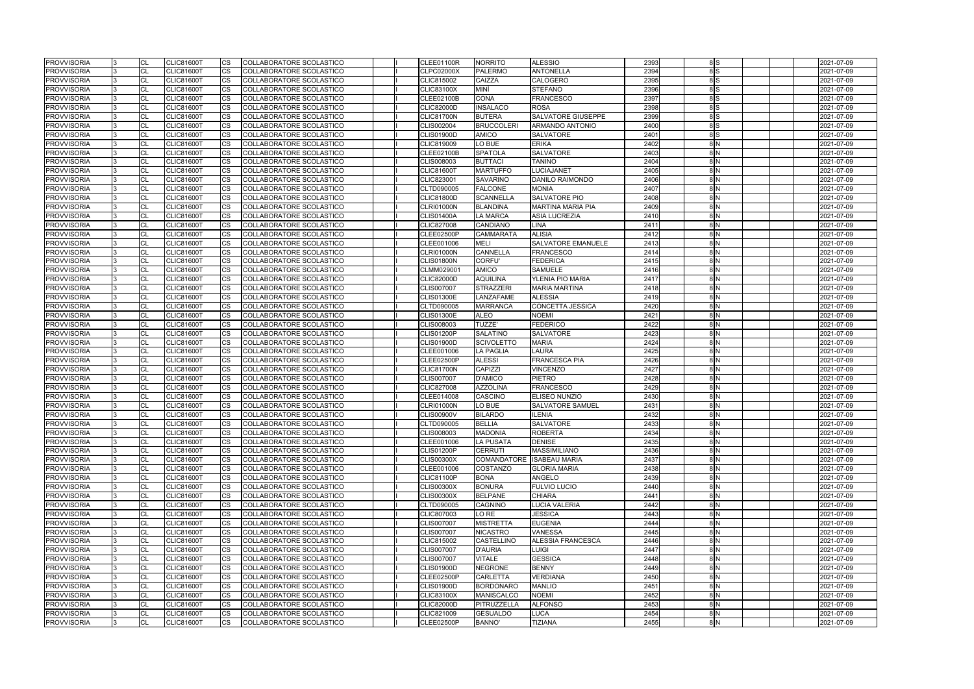| <b>PROVVISORIA</b> | 13  | <b>CL</b>      | <b>CLIC81600T</b> | CS        | COLLABORATORE SCOLASTICO        |  | CLEE01100R        | <b>NORRITO</b>            | <b>ALESSIO</b>          | 2393 | 8S             | 2021-07-09 |
|--------------------|-----|----------------|-------------------|-----------|---------------------------------|--|-------------------|---------------------------|-------------------------|------|----------------|------------|
| <b>PROVVISORIA</b> |     | <b>CL</b>      | <b>CLIC81600T</b> | CS        | COLLABORATORE SCOLASTICO        |  | <b>CLPC02000X</b> | <b>PALERMO</b>            | <b>ANTONELLA</b>        | 2394 | 8 <sub>s</sub> | 2021-07-09 |
| <b>PROVVISORIA</b> |     | <b>CL</b>      | <b>CLIC81600T</b> | CS        | COLLABORATORE SCOLASTICO        |  | CLIC815002        | <b>CAIZZA</b>             | <b>CALOGERO</b>         | 2395 | 8 <sub>s</sub> | 2021-07-09 |
| <b>PROVVISORIA</b> |     | <b>CL</b>      | <b>CLIC81600T</b> | CS        | <b>COLLABORATORE SCOLASTICO</b> |  | <b>CLIC83100X</b> | <b>MINI</b>               | <b>STEFANO</b>          | 2396 | 8 <sub>s</sub> | 2021-07-09 |
| <b>PROVVISORIA</b> |     | <b>CL</b>      | <b>CLIC81600T</b> | СS        | COLLABORATORE SCOLASTICO        |  | <b>CLEE02100B</b> | <b>CONA</b>               | FRANCESCO               | 2397 | 8S             | 2021-07-09 |
| <b>PROVVISORIA</b> |     | CL             | CLIC81600T        | CS        | COLLABORATORE SCOLASTICO        |  | <b>CLIC82000D</b> | <b>INSALACO</b>           | ROSA                    | 2398 | 8S             | 2021-07-09 |
| PROVVISORIA        |     | <b>CL</b>      | <b>CLIC81600T</b> | CS        | COLLABORATORE SCOLASTICO        |  | <b>CLIC81700N</b> | <b>BUTERA</b>             | SALVATORE GIUSEPPE      | 2399 | 8S             | 2021-07-09 |
| <b>PROVVISORIA</b> |     | <b>CL</b>      | <b>CLIC81600T</b> | CS        | COLLABORATORE SCOLASTICO        |  | CLIS002004        | <b>BRUCCOLERI</b>         | ARMANDO ANTONIO         | 2400 | 8 <sub>S</sub> | 2021-07-09 |
| <b>PROVVISORIA</b> |     | CL             | CLIC81600T        | CS        | COLLABORATORE SCOLASTICO        |  | CLIS01900D        | <b>AMICO</b>              | SALVATORE               | 2401 | 8S             | 2021-07-09 |
| <b>PROVVISORIA</b> |     | <b>CL</b>      | <b>CLIC81600T</b> | CS.       | COLLABORATORE SCOLASTICO        |  | <b>CLIC819009</b> | LO BUE                    | <b>ERIKA</b>            | 2402 | 8N             | 2021-07-09 |
| <b>PROVVISORIA</b> |     | <b>CL</b>      | <b>CLIC81600T</b> | СS        | COLLABORATORE SCOLASTICO        |  | <b>CLEE02100B</b> | <b>SPATOLA</b>            | <b>SALVATORE</b>        | 2403 | 8N             | 2021-07-09 |
| <b>PROVVISORIA</b> |     | <b>CL</b>      | CLIC81600T        | CS        | COLLABORATORE SCOLASTICO        |  | CLIS008003        | <b>BUTTACI</b>            | TANINO                  | 2404 | $\frac{8}{N}$  | 2021-07-09 |
| <b>PROVVISORIA</b> |     | <b>CL</b>      | <b>CLIC81600T</b> | CS        | COLLABORATORE SCOLASTICO        |  | <b>CLIC81600T</b> | <b>MARTUFFO</b>           | <b>LUCIAJANET</b>       | 2405 | 8 N            | 2021-07-09 |
| PROVVISORIA        |     | <b>CL</b>      | <b>CLIC81600T</b> | CS        | COLLABORATORE SCOLASTICO        |  | CLIC823001        | <b>SAVARINO</b>           | DANILO RAIMONDO         | 2406 | 8 N            | 2021-07-09 |
| <b>PROVVISORIA</b> |     | <b>CL</b>      | <b>CLIC81600T</b> | <b>CS</b> | COLLABORATORE SCOLASTICO        |  | CLTD090005        | <b>FALCONE</b>            | MONIA                   | 2407 | 8 N            | 2021-07-09 |
| <b>PROVVISORIA</b> |     | <b>CL</b>      | <b>CLIC81600T</b> | CS.       | COLLABORATORE SCOLASTICO        |  | <b>CLIC81800D</b> | <b>SCANNELLA</b>          | SALVATORE PIO           | 2408 | 8 N            | 2021-07-09 |
| <b>PROVVISORIA</b> |     | <b>CL</b>      | <b>CLIC81600T</b> | СS        | COLLABORATORE SCOLASTICO        |  | CLRI01000N        | <b>BLANDINA</b>           | MARTINA MARIA PIA       | 2409 | 8N             | 2021-07-09 |
| <b>PROVVISORIA</b> |     | <b>CL</b>      | <b>CLIC81600T</b> | CS        | COLLABORATORE SCOLASTICO        |  | <b>CLIS01400A</b> | <b>LA MARCA</b>           | ASIA LUCREZIA           | 2410 | 8 N            | 2021-07-09 |
| <b>PROVVISORIA</b> |     | <b>CL</b>      | <b>CLIC81600T</b> | CS        | COLLABORATORE SCOLASTICO        |  | <b>CLIC827008</b> | <b>CANDIANO</b>           | LINA                    | 241' | 8 N            | 2021-07-09 |
| <b>PROVVISORIA</b> |     | <b>CL</b>      | <b>CLIC81600T</b> | CS        | COLLABORATORE SCOLASTICO        |  | <b>CLEE02500P</b> | <b>CAMMARATA</b>          | <b>ALISIA</b>           | 2412 | 8 N            | 2021-07-09 |
| <b>PROVVISORIA</b> |     | <b>CL</b>      | <b>CLIC81600T</b> | CS        | COLLABORATORE SCOLASTICO        |  | CLEE001006        | <b>MELI</b>               | SALVATORE EMANUELE      | 2413 | 8 N            | 2021-07-09 |
| <b>PROVVISORIA</b> |     | <b>CL</b>      | <b>CLIC81600T</b> | CS.       | COLLABORATORE SCOLASTICO        |  | <b>CLRI01000N</b> | <b>CANNELLA</b>           | <b>FRANCESCO</b>        | 2414 | 8 N            | 2021-07-09 |
| <b>PROVVISORIA</b> |     | <b>CL</b>      | <b>CLIC81600T</b> | CS        | COLLABORATORE SCOLASTICO        |  | <b>CLIS01800N</b> | <b>CORFU'</b>             | <b>FEDERICA</b>         | 2415 | 8N             | 2021-07-09 |
| <b>PROVVISORIA</b> |     | <b>CL</b>      | <b>CLIC81600T</b> | CS        | COLLABORATORE SCOLASTICO        |  | CLMM029001        | <b>AMICO</b>              | SAMUELE                 | 2416 | 8N             | 2021-07-09 |
|                    |     |                |                   |           |                                 |  |                   | <b>AQUILINA</b>           | YLENIA PIO MARIA        | 2417 | 8 N            |            |
| <b>PROVVISORIA</b> |     | <b>CL</b>      | <b>CLIC81600T</b> | СS        | COLLABORATORE SCOLASTICO        |  | <b>CLIC82000D</b> |                           |                         |      |                | 2021-07-09 |
| <b>PROVVISORIA</b> |     | <b>CL</b>      | <b>CLIC81600T</b> | CS        | COLLABORATORE SCOLASTICO        |  | <b>CLIS007007</b> | <b>STRAZZERI</b>          | <b>MARIA MARTINA</b>    | 2418 | 8 N            | 2021-07-09 |
| <b>PROVVISORIA</b> |     | <b>CL</b>      | <b>CLIC81600T</b> | CS        | COLLABORATORE SCOLASTICO        |  | <b>CLIS01300E</b> | LANZAFAME                 | <b>ALESSIA</b>          | 2419 | 8 N            | 2021-07-09 |
| <b>PROVVISORIA</b> |     | <b>CL</b>      | CLIC81600T        | CS        | COLLABORATORE SCOLASTICO        |  | CLTD090005        | <b>MARRANCA</b>           | CONCETTA JESSICA        | 2420 | 8 N            | 2021-07-09 |
| <b>PROVVISORIA</b> |     | <b>CL</b>      | <b>CLIC81600T</b> | CS        | COLLABORATORE SCOLASTICO        |  | <b>CLIS01300E</b> | <b>ALEO</b>               | <b>NOEMI</b>            | 2421 | 8 N            | 2021-07-09 |
| <b>PROVVISORIA</b> |     | <b>CL</b>      | <b>CLIC81600T</b> | СS        | COLLABORATORE SCOLASTICO        |  | CLIS008003        | TUZZE'                    | <b>FEDERICO</b>         | 2422 | 8 N            | 2021-07-09 |
| <b>PROVVISORIA</b> |     | <b>CL</b>      | CLIC81600T        | CS        | COLLABORATORE SCOLASTICO        |  | CLIS01200P        | <b>SALATINO</b>           | SALVATORE               | 2423 | 8 N            | 2021-07-09 |
| <b>PROVVISORIA</b> |     | CL             | <b>CLIC81600T</b> | CS        | COLLABORATORE SCOLASTICO        |  | <b>CLIS01900D</b> | <b>SCIVOLETTO</b>         | <b>MARIA</b>            | 2424 | 8 N            | 2021-07-09 |
| <b>PROVVISORIA</b> |     | <b>CL</b>      | <b>CLIC81600T</b> | CS        | COLLABORATORE SCOLASTICO        |  | CLEE001006        | <b>LA PAGLIA</b>          | LAURA                   | 2425 | 8N             | 2021-07-09 |
| <b>PROVVISORIA</b> |     | <b>CL</b>      | <b>CLIC81600T</b> | CS        | COLLABORATORE SCOLASTICO        |  | <b>CLEE02500P</b> | <b>ALESSI</b>             | FRANCESCA PIA           | 2426 | 8 N            | 2021-07-09 |
| <b>PROVVISORIA</b> |     | <b>CL</b>      | <b>CLIC81600T</b> | CS        | COLLABORATORE SCOLASTICO        |  | <b>CLIC81700N</b> | <b>CAPIZZI</b>            | <b>VINCENZO</b>         | 2427 | 8N             | 2021-07-09 |
| <b>PROVVISORIA</b> |     | <b>CL</b>      | <b>CLIC81600T</b> | СS        | COLLABORATORE SCOLASTICO        |  | <b>CLIS007007</b> | <b>D'AMICO</b>            | PIETRO                  | 2428 | 8 N            | 2021-07-09 |
| <b>PROVVISORIA</b> |     | <b>CL</b>      | <b>CLIC81600T</b> | CS        | COLLABORATORE SCOLASTICO        |  | <b>CLIC827008</b> | <b>AZZOLINA</b>           | <b>FRANCESCO</b>        | 2429 | $\frac{8}{N}$  | 2021-07-09 |
| <b>PROVVISORIA</b> |     | <b>CL</b>      | <b>CLIC81600T</b> | CS        | COLLABORATORE SCOLASTICO        |  | CLEE014008        | <b>CASCINO</b>            | ELISEO NUNZIO           | 2430 | 8 N            | 2021-07-09 |
| <b>PROVVISORIA</b> |     | <b>CL</b>      | <b>CLIC81600T</b> | CS        | COLLABORATORE SCOLASTICO        |  | CLRI01000N        | LO BUE                    | <b>SALVATORE SAMUEL</b> | 2431 | 8 N            | 2021-07-09 |
| <b>PROVVISORIA</b> | 13. | <b>CL</b>      | <b>CLIC81600T</b> | CS.       | COLLABORATORE SCOLASTICO        |  | <b>CLIS00900V</b> | <b>BILARDO</b>            | ILENIA                  | 2432 | 8 N            | 2021-07-09 |
| <b>PROVVISORIA</b> |     | $\overline{C}$ | CLIC81600T        | <b>CS</b> | COLLABORATORE SCOLASTICO        |  | CLTD090005        | <b>BELLIA</b>             | <b>SALVATORE</b>        | 2433 | 8 N            | 2021-07-09 |
| <b>PROVVISORIA</b> |     | <b>CL</b>      | <b>CLIC81600T</b> | CS        | COLLABORATORE SCOLASTICO        |  | CLIS008003        | <b>MADONIA</b>            | ROBERTA                 | 2434 | 8 N            | 2021-07-09 |
| <b>PROVVISORIA</b> |     | <b>CL</b>      | <b>CLIC81600T</b> | CS        | COLLABORATORE SCOLASTICO        |  | CLEE001006        | <b>LA PUSATA</b>          | <b>DENISE</b>           | 2435 | 8 N            | 2021-07-09 |
| <b>PROVVISORIA</b> |     | <b>CL</b>      | <b>CLIC81600T</b> | <b>CS</b> | COLLABORATORE SCOLASTICO        |  | CLIS01200P        | <b>CERRUTI</b>            | <b>MASSIMILIANO</b>     | 2436 | 8 N            | 2021-07-09 |
| <b>PROVVISORIA</b> |     | <b>CL</b>      | <b>CLIC81600T</b> | CS        | COLLABORATORE SCOLASTICO        |  | <b>CLIS00300X</b> | COMANDATORE ISABEAU MARIA |                         | 2437 | 8 N            | 2021-07-09 |
| <b>PROVVISORIA</b> |     | <b>CL</b>      | <b>CLIC81600T</b> | CS        | COLLABORATORE SCOLASTICO        |  | CLEE001006        | COSTANZO                  | <b>GLORIA MARIA</b>     | 2438 | 8 N            | 2021-07-09 |
| <b>PROVVISORIA</b> |     | <b>CL</b>      | <b>CLIC81600T</b> | CS        | COLLABORATORE SCOLASTICO        |  | <b>CLIC81100P</b> | <b>BONA</b>               | <b>ANGELO</b>           | 2439 | 8 N            | 2021-07-09 |
| <b>PROVVISORIA</b> |     | <b>CL</b>      | <b>CLIC81600T</b> | CS        | COLLABORATORE SCOLASTICO        |  | <b>CLIS00300X</b> | <b>BONURA</b>             | FULVIO LUCIO            | 2440 | 8 N            | 2021-07-09 |
| <b>PROVVISORIA</b> |     | <b>CL</b>      | <b>CLIC81600T</b> | CS        | COLLABORATORE SCOLASTICO        |  | <b>CLIS00300X</b> | <b>BELPANE</b>            | CHIARA                  | 2441 | 8 N            | 2021-07-09 |
| <b>PROVVISORIA</b> |     | <b>CL</b>      | <b>CLIC81600T</b> | CS        | COLLABORATORE SCOLASTICO        |  | CLTD090005        | <b>CAGNINO</b>            | LUCIA VALERIA           | 2442 | 8 N            | 2021-07-09 |
| <b>PROVVISORIA</b> |     | CL             | <b>CLIC81600T</b> | CS        | COLLABORATORE SCOLASTICO        |  | CLIC807003        | LO RE                     | <b>JESSICA</b>          | 2443 | 8 N            | 2021-07-09 |
| <b>PROVVISORIA</b> |     | <b>CL</b>      | <b>CLIC81600T</b> | CS        | COLLABORATORE SCOLASTICO        |  | <b>CLIS007007</b> | <b>MISTRETTA</b>          | <b>EUGENIA</b>          | 2444 | 8 N            | 2021-07-09 |
| <b>PROVVISORIA</b> |     | <b>CL</b>      | <b>CLIC81600T</b> | CS        | COLLABORATORE SCOLASTICO        |  | <b>CLIS007007</b> | <b>NICASTRO</b>           | VANESSA                 | 2445 | 8 N            | 2021-07-09 |
| PROVVISORIA        |     | <b>CL</b>      | <b>CLIC81600T</b> | <b>CS</b> | COLLABORATORE SCOLASTICO        |  | CLIC815002        | <b>CASTELLINO</b>         | ALESSIA FRANCESCA       | 2446 | 8 N            | 2021-07-09 |
| <b>PROVVISORIA</b> |     | <b>CL</b>      | <b>CLIC81600T</b> | CS        | COLLABORATORE SCOLASTICO        |  | <b>CLIS007007</b> | <b>D'AURIA</b>            | LUIGI                   | 2447 | 8 N            | 2021-07-09 |
| <b>PROVVISORIA</b> |     | <b>CL</b>      | <b>CLIC81600T</b> | CS        | COLLABORATORE SCOLASTICO        |  | <b>CLIS007007</b> | <b>VITALE</b>             | <b>GESSICA</b>          | 2448 | 8 N            | 2021-07-09 |
| <b>PROVVISORIA</b> |     | CL             | <b>CLIC81600T</b> | CS        | COLLABORATORE SCOLASTICO        |  | <b>CLIS01900D</b> | <b>NEGRONE</b>            | <b>BENNY</b>            | 2449 | 8 N            | 2021-07-09 |
| <b>PROVVISORIA</b> |     | CL             | <b>CLIC81600T</b> | CS        | COLLABORATORE SCOLASTICO        |  | <b>CLEE02500P</b> | <b>CARLETTA</b>           | VERDIANA                | 2450 | 8 N            | 2021-07-09 |
| <b>PROVVISORIA</b> |     | <b>CL</b>      | <b>CLIC81600T</b> | CS        | COLLABORATORE SCOLASTICO        |  | <b>CLIS01900D</b> | <b>BORDONARO</b>          | <b>MANLIO</b>           | 2451 | 8N             | 2021-07-09 |
| <b>PROVVISORIA</b> |     | <b>CL</b>      | <b>CLIC81600T</b> | CS        | COLLABORATORE SCOLASTICO        |  | <b>CLIC83100X</b> | MANISCALCO                | <b>NOEMI</b>            | 2452 | 8 N            | 2021-07-09 |
| <b>PROVVISORIA</b> |     | <b>CL</b>      | <b>CLIC81600T</b> | CS        | COLLABORATORE SCOLASTICO        |  | <b>CLIC82000D</b> | PITRUZZELLA               | ALFONSO                 | 2453 | 8 N            | 2021-07-09 |
| <b>PROVVISORIA</b> |     | <b>CL</b>      | <b>CLIC81600T</b> | CS        | COLLABORATORE SCOLASTICO        |  | CLIC821009        | <b>GESUALDO</b>           | <b>LUCA</b>             | 2454 | $\frac{8}{2}$  | 2021-07-09 |
| <b>PROVVISORIA</b> |     | <b>CL</b>      | <b>CLIC81600T</b> | CS        | COLLABORATORE SCOLASTICO        |  | <b>CLEE02500P</b> | <b>BANNO'</b>             | TIZIANA                 | 2455 | 8 N            | 2021-07-09 |
|                    |     |                |                   |           |                                 |  |                   |                           |                         |      |                |            |

|  |  | 2021-07-09               |
|--|--|--------------------------|
|  |  | 2021-07-09               |
|  |  | 2021-07-09               |
|  |  | 2021-07-09               |
|  |  | 2021-07-09               |
|  |  | 2021-07-09               |
|  |  | 2021-07-09               |
|  |  | 2021-07-09               |
|  |  | 2021-07-09               |
|  |  | 2021-07-09               |
|  |  | 2021-07-09               |
|  |  | 2021-07-09               |
|  |  | 2021-07-09               |
|  |  | 2021-07-09               |
|  |  | 2021-07-09               |
|  |  | 2021-07-09               |
|  |  | 2021-07-09               |
|  |  | 2021-07-09               |
|  |  | 2021-07-09               |
|  |  | 2021-07-09               |
|  |  | 2021-07-09               |
|  |  | 2021-07-09               |
|  |  | 2021-07-09               |
|  |  | 2021-07-09               |
|  |  | 2021-07-09               |
|  |  | 2021-07-09               |
|  |  | 2021-07-09               |
|  |  | 2021-07-09               |
|  |  | 2021-07-09               |
|  |  | 2021-07-09               |
|  |  | 2021-07-09               |
|  |  | 2021-07-09               |
|  |  | 2021-07-09               |
|  |  | 2021-07-09               |
|  |  | 2021-07-09               |
|  |  | 2021-07-09               |
|  |  | 2021-07-09               |
|  |  | 2021-07-09               |
|  |  | 2021-07-09               |
|  |  | 2021-07-09               |
|  |  | 2021-07-09               |
|  |  | 2021-07-09               |
|  |  | 2021-07-09               |
|  |  | 2021-07-09               |
|  |  | 2021-07-09               |
|  |  | 2021-07-09<br>2021-07-09 |
|  |  | 2021-07-09               |
|  |  | 2021-07-09               |
|  |  | 2021-07-09               |
|  |  | 2021-07-09               |
|  |  | 2021-07-09               |
|  |  | 2021-07-09               |
|  |  | 2021-07-09               |
|  |  | 2021-07-09               |
|  |  | 2021-07-09               |
|  |  | 2021-07-09               |
|  |  | 2021-07-09               |
|  |  | 2021-07-09               |
|  |  | 2021-07-09               |
|  |  | 2021-07-09               |
|  |  | 2021-07-09               |
|  |  | 2021-07-09               |
|  |  |                          |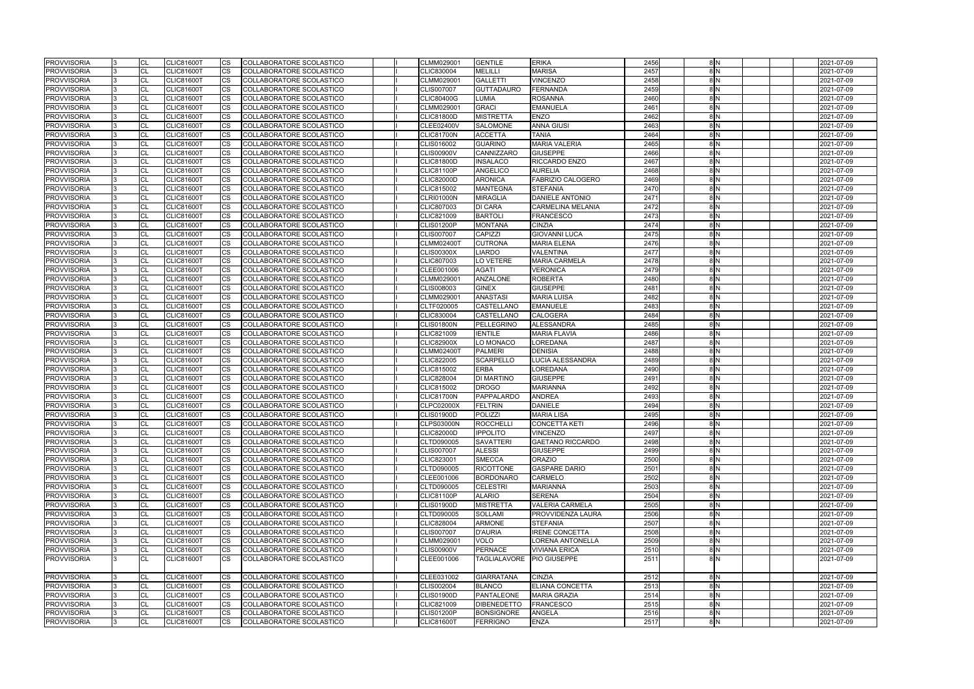| <b>PROVVISORIA</b> | <b>CL</b>      | <b>CLIC81600T</b>                      | <b>CS</b> | COLLABORATORE SCOLASTICO        |  | CLMM029001        | <b>GENTILE</b>              | <b>ERIKA</b>               | 2456         | 8 N        | 2021-07-09 |
|--------------------|----------------|----------------------------------------|-----------|---------------------------------|--|-------------------|-----------------------------|----------------------------|--------------|------------|------------|
| <b>PROVVISORIA</b> | <b>CL</b>      | <b>CLIC81600T</b>                      | CS.       | COLLABORATORE SCOLASTICO        |  | CLIC830004        | <b>MELILLI</b>              | <b>MARISA</b>              | 2457         | 8 N        | 2021-07-09 |
| <b>PROVVISORIA</b> | CL             | <b>CLIC81600T</b>                      | CS.       | COLLABORATORE SCOLASTICO        |  | CLMM029001        | <b>GALLETTI</b>             | <b>VINCENZO</b>            | 2458         | 8 N        | 2021-07-09 |
| <b>PROVVISORIA</b> | <b>CL</b>      | <b>CLIC81600T</b>                      | CS        | COLLABORATORE SCOLASTICO        |  | <b>CLIS007007</b> | <b>GUTTADAURO</b>           | <b>FERNANDA</b>            | 2459         | 8 N        | 2021-07-09 |
| <b>PROVVISORIA</b> | <b>CL</b>      | <b>CLIC81600T</b>                      | CS        | COLLABORATORE SCOLASTICO        |  | <b>CLIC80400G</b> | <b>LUMIA</b>                | <b>ROSANNA</b>             | 2460         | 8 N        | 2021-07-09 |
| <b>PROVVISORIA</b> | CL             | <b>CLIC81600T</b>                      | CS        | COLLABORATORE SCOLASTICO        |  | CLMM029001        | <b>GRACI</b>                | EMANUELA                   | 2461         | 8 N        | 2021-07-09 |
| <b>PROVVISORIA</b> | <b>CL</b>      | <b>CLIC81600T</b>                      | CS        | COLLABORATORE SCOLASTICO        |  | <b>CLIC81800D</b> | <b>MISTRETTA</b>            | <b>ENZO</b>                | 2462         | 8 N        | 2021-07-09 |
| <b>PROVVISORIA</b> | CL             | <b>CLIC81600T</b>                      | CS        | COLLABORATORE SCOLASTICO        |  | <b>CLEE02400V</b> | <b>SALOMONE</b>             | <b>ANNA GIUSI</b>          | 2463         | 8 N        | 2021-07-09 |
| <b>PROVVISORIA</b> | CL             | <b>CLIC81600T</b>                      | CS.       | COLLABORATORE SCOLASTICO        |  | <b>CLIC81700N</b> | <b>ACCETTA</b>              | TANIA                      | 2464         | 8 N        | 2021-07-09 |
| <b>PROVVISORIA</b> | <b>CL</b>      | <b>CLIC81600T</b>                      | CS        | COLLABORATORE SCOLASTICO        |  | CLIS016002        | <b>GUARINO</b>              | <b>MARIA VALERIA</b>       | 2465         | 8 N        | 2021-07-09 |
| <b>PROVVISORIA</b> | CL             | <b>CLIC81600T</b>                      | CS        | COLLABORATORE SCOLASTICO        |  | <b>CLIS00900V</b> | CANNIZZARO                  | <b>GIUSEPPE</b>            | 2466         | 8 N        | 2021-07-09 |
| <b>PROVVISORIA</b> | <b>CL</b>      | <b>CLIC81600T</b>                      | CS        | COLLABORATORE SCOLASTICO        |  | <b>CLIC81800D</b> | <b>INSALACO</b>             | RICCARDO ENZO              | 2467         | 8 N        | 2021-07-09 |
| <b>PROVVISORIA</b> | CL             | <b>CLIC81600T</b>                      | <b>CS</b> | COLLABORATORE SCOLASTICO        |  | <b>CLIC81100P</b> | <b>ANGELICO</b>             | <b>AURELIA</b>             | 2468         | 8 N        | 2021-07-09 |
| <b>PROVVISORIA</b> | <b>CL</b>      | <b>CLIC81600T</b>                      | <b>CS</b> | COLLABORATORE SCOLASTICO        |  | <b>CLIC82000D</b> | <b>ARONICA</b>              | FABRIZIO CALOGERO          | 2469         | 8 N        | 2021-07-09 |
| <b>PROVVISORIA</b> | <b>CL</b>      | <b>CLIC81600T</b>                      | CS        | COLLABORATORE SCOLASTICO        |  | CLIC815002        | <b>MANTEGNA</b>             | <b>STEFANIA</b>            | 2470         | 8 N        | 2021-07-09 |
| <b>PROVVISORIA</b> | <b>CL</b>      | <b>CLIC81600T</b>                      | CS        | COLLABORATORE SCOLASTICO        |  | <b>CLRI01000N</b> | <b>MIRAGLIA</b>             | <b>DANIELE ANTONIO</b>     | 2471         | 8 N        | 2021-07-09 |
| <b>PROVVISORIA</b> | CL             | <b>CLIC81600T</b>                      | CS        | COLLABORATORE SCOLASTICO        |  | CLIC807003        | <b>DI CARA</b>              | CARMELINA MELANIA          | 2472         | 8 N        | 2021-07-09 |
| <b>PROVVISORIA</b> | <b>CL</b>      | <b>CLIC81600T</b>                      | CS        | COLLABORATORE SCOLASTICO        |  | CLIC821009        | <b>BARTOLI</b>              | <b>FRANCESCO</b>           | 2473         | 8 N        | 2021-07-09 |
| <b>PROVVISORIA</b> | <b>CL</b>      | <b>CLIC81600T</b>                      | CS        | COLLABORATORE SCOLASTICO        |  | <b>CLIS01200P</b> | <b>MONTANA</b>              | <b>CINZIA</b>              | 2474         | 8 N        | 2021-07-09 |
| <b>PROVVISORIA</b> | CL             | <b>CLIC81600T</b>                      | <b>CS</b> | COLLABORATORE SCOLASTICO        |  | <b>CLIS007007</b> | <b>CAPIZZI</b>              | <b>GIOVANNI LUCA</b>       | 2475         | 8 N        | 2021-07-09 |
| <b>PROVVISORIA</b> | <b>CL</b>      | <b>CLIC81600T</b>                      | CS        | COLLABORATORE SCOLASTICO        |  | <b>CLMM02400T</b> | <b>CUTRONA</b>              | <b>MARIA ELENA</b>         | 2476         | 8 N        | 2021-07-09 |
| <b>PROVVISORIA</b> | <b>CL</b>      | <b>CLIC81600T</b>                      | CS        | <b>COLLABORATORE SCOLASTICO</b> |  | <b>CLIS00300X</b> | <b>LIARDO</b>               | VALENTINA                  | 2477         | 8 N        | 2021-07-09 |
| <b>PROVVISORIA</b> | CL             | <b>CLIC81600T</b>                      | CS        | COLLABORATORE SCOLASTICO        |  | CLIC807003        | LO VETERE                   | <b>MARIA CARMELA</b>       | 2478         | 8 N        | 2021-07-09 |
| <b>PROVVISORIA</b> | CL             | <b>CLIC81600T</b>                      | CS        | COLLABORATORE SCOLASTICO        |  | CLEE001006        | <b>AGATI</b>                | VERONICA                   | 2479         | 8 N        | 2021-07-09 |
| <b>PROVVISORIA</b> | CL             | <b>CLIC81600T</b>                      | СS        | COLLABORATORE SCOLASTICO        |  | <b>CLMM029001</b> | ANZALONE                    | <b>ROBERTA</b>             | 2480         | 8 N        | 2021-07-09 |
| <b>PROVVISORIA</b> | <b>CL</b>      | <b>CLIC81600T</b>                      | <b>CS</b> | COLLABORATORE SCOLASTICO        |  | CLIS008003        | <b>GINEX</b>                | <b>GIUSEPPE</b>            | 2481         | 8 N        | 2021-07-09 |
| <b>PROVVISORIA</b> | <b>CL</b>      | <b>CLIC81600T</b>                      | CS        | COLLABORATORE SCOLASTICO        |  | CLMM029001        | <b>ANASTASI</b>             | <b>MARIA LUISA</b>         | 2482         | 8 N        | 2021-07-09 |
| <b>PROVVISORIA</b> | <b>CL</b>      | <b>CLIC81600T</b>                      | CS.       | COLLABORATORE SCOLASTICO        |  | CLTF020005        | <b>CASTELLANO</b>           | <b>EMANUELE</b>            | 2483         | 8 N        | 2021-07-09 |
| <b>PROVVISORIA</b> | <b>CL</b>      | <b>CLIC81600T</b>                      | CS        | COLLABORATORE SCOLASTICO        |  | CLIC830004        | CASTELLANO                  | <b>CALOGERA</b>            | 2484         | 8N         | 2021-07-09 |
|                    | <b>CL</b>      |                                        | CS        |                                 |  |                   | <b>PELLEGRINO</b>           | <b>ALESSANDRA</b>          | 2485         | 8 N        |            |
| <b>PROVVISORIA</b> |                | <b>CLIC81600T</b>                      |           | COLLABORATORE SCOLASTICO        |  | <b>CLIS01800N</b> | <b>IENTILE</b>              |                            | 2486         | 8 N        | 2021-07-09 |
| <b>PROVVISORIA</b> | CL             | <b>CLIC81600T</b>                      | CS        | COLLABORATORE SCOLASTICO        |  | CLIC821009        |                             | MARIA FLAVIA               |              |            | 2021-07-09 |
| <b>PROVVISORIA</b> | CL             | <b>CLIC81600T</b><br><b>CLIC81600T</b> | <b>CS</b> | COLLABORATORE SCOLASTICO        |  | <b>CLIC82900X</b> | LO MONACO<br><b>PALMERI</b> | LOREDANA<br><b>DENISIA</b> | 2487<br>2488 | 8 N<br>8 N | 2021-07-09 |
| <b>PROVVISORIA</b> | CL             |                                        | <b>CS</b> | COLLABORATORE SCOLASTICO        |  | <b>CLMM02400T</b> |                             |                            |              |            | 2021-07-09 |
| <b>PROVVISORIA</b> | CL             | <b>CLIC81600T</b>                      | CS        | COLLABORATORE SCOLASTICO        |  | <b>CLIC822005</b> | <b>SCARPELLO</b>            | LUCIA ALESSANDRA           | 2489         | 8 N        | 2021-07-09 |
| <b>PROVVISORIA</b> | <b>CL</b>      | <b>CLIC81600T</b>                      | CS        | COLLABORATORE SCOLASTICO        |  | CLIC815002        | <b>ERBA</b>                 | LOREDANA                   | 2490         | 8 N        | 2021-07-09 |
| <b>PROVVISORIA</b> | CL             | <b>CLIC81600T</b><br><b>CLIC81600T</b> | CS        | COLLABORATORE SCOLASTICO        |  | CLIC828004        | <b>DI MARTINO</b>           | <b>GIUSEPPE</b>            | 2491         | 8 N        | 2021-07-09 |
| <b>PROVVISORIA</b> | <b>CL</b>      |                                        | CS        | COLLABORATORE SCOLASTICO        |  | CLIC815002        | <b>DROGO</b>                | <b>MARIANNA</b>            | 2492         | 8 N        | 2021-07-09 |
| <b>PROVVISORIA</b> | <b>CL</b>      | <b>CLIC81600T</b>                      | CS        | COLLABORATORE SCOLASTICO        |  | <b>CLIC81700N</b> | <b>PAPPALARDO</b>           | <b>ANDREA</b>              | 2493         | 8 N        | 2021-07-09 |
| <b>PROVVISORIA</b> | CL             | <b>CLIC81600T</b>                      | <b>CS</b> | COLLABORATORE SCOLASTICO        |  | <b>CLPC02000X</b> | <b>FELTRIN</b>              | <b>DANIELE</b>             | 2494         | 8 N        | 2021-07-09 |
| <b>PROVVISORIA</b> | <b>CL</b>      | <b>CLIC81600T</b>                      | CS        | COLLABORATORE SCOLASTICO        |  | <b>CLIS01900D</b> | <b>POLIZZI</b>              | <b>MARIA LISA</b>          | 2495         | 8 N        | 2021-07-09 |
| <b>PROVVISORIA</b> | $\overline{C}$ | <b>CLIC81600T</b>                      | <b>CS</b> | COLLABORATORE SCOLASTICO        |  | CLPS03000N        | <b>ROCCHELLI</b>            | <b>CONCETTA KETI</b>       | 2496         | 8 N        | 2021-07-09 |
| <b>PROVVISORIA</b> | <b>CL</b>      | <b>CLIC81600T</b>                      | CS        | <b>COLLABORATORE SCOLASTICO</b> |  | <b>CLIC82000D</b> | <b>IPPOLITO</b>             | VINCENZO                   | 2497         | 8 N        | 2021-07-09 |
| <b>PROVVISORIA</b> | CL             | CLIC81600T                             | <b>CS</b> | COLLABORATORE SCOLASTICO        |  | CLTD090005        | <b>SAVATTERI</b>            | <b>GAETANO RICCARDO</b>    | 2498         | 8 N        | 2021-07-09 |
| <b>PROVVISORIA</b> | <b>CL</b>      | <b>CLIC81600T</b>                      | <b>CS</b> | COLLABORATORE SCOLASTICO        |  | <b>CLIS007007</b> | <b>ALESSI</b>               | <b>GIUSEPPE</b>            | 2499         | 8 N        | 2021-07-09 |
| <b>PROVVISORIA</b> | <b>CL</b>      | <b>CLIC81600T</b>                      | <b>CS</b> | COLLABORATORE SCOLASTICO        |  | CLIC823001        | <b>SMECCA</b>               | <b>ORAZIO</b>              | 2500         | 8 N        | 2021-07-09 |
| <b>PROVVISORIA</b> | <b>CL</b>      | <b>CLIC81600T</b>                      | CS.       | COLLABORATORE SCOLASTICO        |  | CLTD090005        | <b>RICOTTONE</b>            | <b>GASPARE DARIO</b>       | 2501         | 8 N        | 2021-07-09 |
| <b>PROVVISORIA</b> | <b>CL</b>      | <b>CLIC81600T</b>                      | CS        | COLLABORATORE SCOLASTICO        |  | CLEE001006        | <b>BORDONARO</b>            | <b>CARMELO</b>             | 2502         | 8 N        | 2021-07-09 |
| <b>PROVVISORIA</b> | <b>CL</b>      | <b>CLIC81600T</b>                      | CS        | COLLABORATORE SCOLASTICO        |  | CLTD090005        | <b>CELESTRI</b>             | MARIANNA                   | 2503         | 8 N        | 2021-07-09 |
| <b>PROVVISORIA</b> | <b>CL</b>      | <b>CLIC81600T</b>                      | CS.       | COLLABORATORE SCOLASTICO        |  | <b>CLIC81100P</b> | <b>ALARIO</b>               | SERENA                     | 2504         | 8 N        | 2021-07-09 |
| <b>PROVVISORIA</b> | CL             | <b>CLIC81600T</b>                      | CS        | COLLABORATORE SCOLASTICO        |  | <b>CLIS01900D</b> | <b>MISTRETTA</b>            | VALERIA CARMELA            | 2505         | 8 N        | 2021-07-09 |
| <b>PROVVISORIA</b> | CL             | <b>CLIC81600T</b>                      | <b>CS</b> | COLLABORATORE SCOLASTICO        |  | CLTD090005        | <b>SOLLAMI</b>              | PROVVIDENZA LAURA          | 2506         | 8 N        | 2021-07-09 |
| <b>PROVVISORIA</b> | <b>CL</b>      | <b>CLIC81600T</b>                      | CS.       | COLLABORATORE SCOLASTICO        |  | <b>CLIC828004</b> | <b>ARMONE</b>               | STEFANIA                   | 2507         | 8 N        | 2021-07-09 |
| <b>PROVVISORIA</b> | CL             | <b>CLIC81600T</b>                      | CS        | COLLABORATORE SCOLASTICO        |  | <b>CLIS007007</b> | D'AURIA                     | <b>IRENE CONCETTA</b>      | 2508         | 8 N        | 2021-07-09 |
| <b>PROVVISORIA</b> | <b>CL</b>      | <b>CLIC81600T</b>                      | CS        | COLLABORATORE SCOLASTICO        |  | CLMM029001        | <b>VOLO</b>                 | LORENA ANTONELLA           | 2509         | 8 N        | 2021-07-09 |
| <b>PROVVISORIA</b> | CL             | CLIC81600T                             | CS        | COLLABORATORE SCOLASTICO        |  | <b>CLIS00900V</b> | <b>PERNACE</b>              | VIVIANA ERICA              | 2510         | 8 N        | 2021-07-09 |
| <b>PROVVISORIA</b> | <b>CL</b>      | <b>CLIC81600T</b>                      | <b>CS</b> | COLLABORATORE SCOLASTICO        |  | CLEE001006        | TAGLIALAVORE   PIO GIUSEPPE |                            | 2511         | 8 N        | 2021-07-09 |
|                    |                |                                        |           |                                 |  |                   |                             |                            |              |            |            |
| <b>PROVVISORIA</b> | <b>CL</b>      | <b>CLIC81600T</b>                      | <b>CS</b> | COLLABORATORE SCOLASTICO        |  | CLEE031002        | <b>GIARRATANA</b>           | <b>CINZIA</b>              | 2512         | 8 N        | 2021-07-09 |
| <b>PROVVISORIA</b> | <b>CL</b>      | <b>CLIC81600T</b>                      | CS.       | COLLABORATORE SCOLASTICO        |  | CLIS002004        | <b>BLANCO</b>               | ELIANA CONCETTA            | 2513         | 8 N        | 2021-07-09 |
| <b>PROVVISORIA</b> | <b>CL</b>      | <b>CLIC81600T</b>                      | CS        | COLLABORATORE SCOLASTICO        |  | <b>CLIS01900D</b> | <b>PANTALEONE</b>           | <b>MARIA GRAZIA</b>        | 2514         | 8 N        | 2021-07-09 |
| <b>PROVVISORIA</b> | <b>CL</b>      | <b>CLIC81600T</b>                      | CS        | COLLABORATORE SCOLASTICO        |  | CLIC821009        | <b>DIBENEDETTO</b>          | FRANCESCO                  | 2515         | 8 N        | 2021-07-09 |
| <b>PROVVISORIA</b> | <b>CL</b>      | <b>CLIC81600T</b>                      | <b>CS</b> | COLLABORATORE SCOLASTICO        |  | <b>CLIS01200P</b> | <b>BONSIGNORE</b>           | ANGELA                     | 2516         | 8 N        | 2021-07-09 |
| <b>PROVVISORIA</b> | <b>CL</b>      | <b>CLIC81600T</b>                      | <b>CS</b> | COLLABORATORE SCOLASTICO        |  | <b>CLIC81600T</b> | FERRIGNO                    | ENZA                       | 2517         | 8 N        | 2021-07-09 |
|                    |                |                                        |           |                                 |  |                   |                             |                            |              |            |            |

|  |  | 2021-07-09               |
|--|--|--------------------------|
|  |  | 2021-07-09               |
|  |  | 2021-07-09               |
|  |  | 2021-07-09               |
|  |  | 2021-07-09               |
|  |  | 2021-07-09               |
|  |  | 2021-07-09               |
|  |  | 2021-07-09               |
|  |  | 2021-07-09               |
|  |  | 2021-07-09               |
|  |  | 2021-07-09               |
|  |  | 2021-07-09               |
|  |  | 2021-07-09               |
|  |  | 2021-07-09               |
|  |  | 2021-07-09               |
|  |  | 2021-07-09               |
|  |  | 2021-07-09               |
|  |  | 2021-07-09               |
|  |  | 2021-07-09               |
|  |  | 2021-07-09               |
|  |  | 2021-07-09               |
|  |  | 2021-07-09               |
|  |  | 2021-07-09               |
|  |  | 2021-07-09               |
|  |  | 2021-07-09               |
|  |  | 2021-07-09               |
|  |  | 2021-07-09               |
|  |  | 2021-07-09               |
|  |  | 2021-07-09               |
|  |  | 2021-07-09               |
|  |  | 2021-07-09               |
|  |  | 2021-07-09               |
|  |  | 2021-07-09               |
|  |  | 2021-07-09               |
|  |  | 2021-07-09               |
|  |  | 2021-07-09               |
|  |  | 2021-07-09               |
|  |  | 2021-07-09               |
|  |  | 2021-07-09               |
|  |  | 2021-07-09               |
|  |  | 2021-07-09               |
|  |  | 2021-07-09               |
|  |  | 2021-07-09               |
|  |  | 2021-07-09               |
|  |  | 2021-07-09               |
|  |  | 2021-07-09               |
|  |  | 2021-07-09               |
|  |  | 2021-07-09               |
|  |  | 2021-07-09               |
|  |  | 2021-07-09               |
|  |  | 2021-07-09               |
|  |  | 2021-07-09               |
|  |  | 2021-07-09               |
|  |  | 2021-07-09               |
|  |  | 2021-07-09               |
|  |  | 2021-07-09               |
|  |  |                          |
|  |  |                          |
|  |  | 2021-07-09<br>2021-07-09 |
|  |  |                          |
|  |  | 2021-07-09               |
|  |  | 2021-07-09               |
|  |  | 2021-07-09               |
|  |  | 2021-07-09               |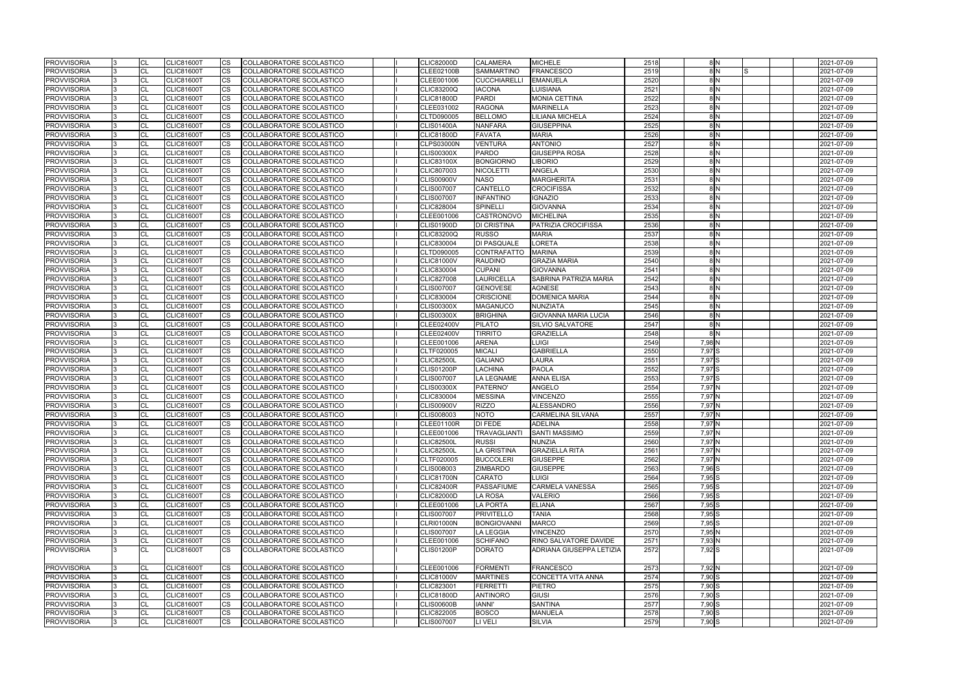| <b>PROVVISORIA</b> | CL        | <b>CLIC81600T</b> | <b>CS</b>              | COLLABORATORE SCOLASTICO        |  | <b>CLIC82000D</b> | <b>CALAMERA</b>     | <b>MICHELE</b>               | 2518 | 8 N               |  | 2021-07-09 |
|--------------------|-----------|-------------------|------------------------|---------------------------------|--|-------------------|---------------------|------------------------------|------|-------------------|--|------------|
| <b>PROVVISORIA</b> | CL        | <b>CLIC81600T</b> | <b>CS</b>              | <b>COLLABORATORE SCOLASTICO</b> |  | <b>CLEE02100B</b> | <b>SAMMARTINO</b>   | <b>FRANCESCO</b>             | 2519 | 8N                |  | 2021-07-09 |
| <b>PROVVISORIA</b> | <b>CL</b> | <b>CLIC81600T</b> | <b>CS</b>              | COLLABORATORE SCOLASTICO        |  | CLEE001006        | <b>CUCCHIARELLI</b> | <b>EMANUELA</b>              | 2520 | 8 N               |  | 2021-07-09 |
| <b>PROVVISORIA</b> | CL        | <b>CLIC81600T</b> | CS                     | COLLABORATORE SCOLASTICO        |  | <b>CLIC83200Q</b> | <b>IACONA</b>       | LUISIANA                     | 2521 | 8N                |  | 2021-07-09 |
| <b>PROVVISORIA</b> | CL        | <b>CLIC81600T</b> | CS                     | COLLABORATORE SCOLASTICO        |  | <b>CLIC81800D</b> | <b>PARDI</b>        | <b>MONIA CETTINA</b>         | 2522 | 8N                |  | 2021-07-09 |
| <b>PROVVISORIA</b> | CL        | <b>CLIC81600T</b> | <b>CS</b>              | COLLABORATORE SCOLASTICO        |  | CLEE031002        | <b>RAGONA</b>       | <b>MARINELLA</b>             | 2523 | 8 N               |  | 2021-07-09 |
| <b>PROVVISORIA</b> | CL        | <b>CLIC81600T</b> | <b>CS</b>              | COLLABORATORE SCOLASTICO        |  | CLTD090005        | <b>BELLOMO</b>      | <b>LILIANA MICHELA</b>       | 2524 | 8 N               |  | 2021-07-09 |
| <b>PROVVISORIA</b> | CL        | <b>CLIC81600T</b> | <b>CS</b>              | COLLABORATORE SCOLASTICO        |  | <b>CLIS01400A</b> | <b>NANFARA</b>      | <b>GIUSEPPINA</b>            | 2525 | 8 N               |  | 2021-07-09 |
| <b>PROVVISORIA</b> | CL        | <b>CLIC81600T</b> | <b>CS</b>              | COLLABORATORE SCOLASTICO        |  | <b>CLIC81800D</b> | <b>FAVATA</b>       | <b>MARIA</b>                 | 2526 | 8 N               |  | 2021-07-09 |
| <b>PROVVISORIA</b> | CL        | <b>CLIC81600T</b> | CS                     | COLLABORATORE SCOLASTICO        |  | <b>CLPS03000N</b> | <b>VENTURA</b>      | <b>ANTONIO</b>               | 2527 | 8 N               |  | 2021-07-09 |
| <b>PROVVISORIA</b> | CL        | CLIC81600T        | CS                     | COLLABORATORE SCOLASTICO        |  | <b>CLIS00300X</b> | <b>PARDO</b>        | <b>GIUSEPPA ROSA</b>         | 2528 | 8 N               |  | 2021-07-09 |
| <b>PROVVISORIA</b> | CL        | <b>CLIC81600T</b> | <b>CS</b>              | COLLABORATORE SCOLASTICO        |  | <b>CLIC83100X</b> | <b>BONGIORNO</b>    | <b>LIBORIO</b>               | 2529 | 8N                |  | 2021-07-09 |
| <b>PROVVISORIA</b> | CL        | <b>CLIC81600T</b> | <b>CS</b>              | COLLABORATORE SCOLASTICO        |  | CLIC807003        | <b>NICOLETTI</b>    | <b>ANGELA</b>                | 2530 | 8 N               |  | 2021-07-09 |
| <b>PROVVISORIA</b> | CL        | <b>CLIC81600T</b> | <b>CS</b>              | COLLABORATORE SCOLASTICO        |  | <b>CLIS00900V</b> | <b>NASO</b>         | <b>MARGHERITA</b>            | 2531 | 8 N               |  | 2021-07-09 |
| <b>PROVVISORIA</b> | CL        | <b>CLIC81600T</b> | <b>CS</b>              | COLLABORATORE SCOLASTICO        |  | <b>CLIS007007</b> | CANTELLO            | <b>CROCIFISSA</b>            | 2532 | 8 N               |  | 2021-07-09 |
| <b>PROVVISORIA</b> | CL        | <b>CLIC81600T</b> | CS                     | COLLABORATORE SCOLASTICO        |  | <b>CLIS007007</b> | <b>INFANTINO</b>    | <b>IGNAZIO</b>               | 2533 | 8 N               |  | 2021-07-09 |
| <b>PROVVISORIA</b> | <b>CL</b> | <b>CLIC81600T</b> | CS                     | COLLABORATORE SCOLASTICO        |  | <b>CLIC828004</b> | <b>SPINELLI</b>     | <b>GIOVANNA</b>              | 2534 | 8 N               |  | 2021-07-09 |
| <b>PROVVISORIA</b> | CL        | <b>CLIC81600T</b> | <b>CS</b>              | COLLABORATORE SCOLASTICO        |  | CLEE001006        | <b>CASTRONOVO</b>   | <b>MICHELINA</b>             | 2535 | 8 N               |  | 2021-07-09 |
| <b>PROVVISORIA</b> | CL        | <b>CLIC81600T</b> | <b>CS</b>              | COLLABORATORE SCOLASTICO        |  | <b>CLIS01900D</b> | <b>DI CRISTINA</b>  | PATRIZIA CROCIFISSA          | 2536 | 8 N               |  | 2021-07-09 |
| <b>PROVVISORIA</b> | <b>CL</b> | <b>CLIC81600T</b> | <b>CS</b>              | COLLABORATORE SCOLASTICO        |  | <b>CLIC83200Q</b> | <b>RUSSO</b>        | <b>MARIA</b>                 | 2537 | 8 N               |  | 2021-07-09 |
| <b>PROVVISORIA</b> | CL        | <b>CLIC81600T</b> | <b>CS</b>              | COLLABORATORE SCOLASTICO        |  | CLIC830004        | <b>DI PASQUALE</b>  | <b>LORETA</b>                | 2538 | 8 N               |  | 2021-07-09 |
| <b>PROVVISORIA</b> | <b>CL</b> | <b>CLIC81600T</b> | CS                     | COLLABORATORE SCOLASTICO        |  | CLTD090005        | <b>CONTRAFATTO</b>  | <b>MARINA</b>                | 2539 | 8 N               |  | 2021-07-09 |
| <b>PROVVISORIA</b> | <b>CL</b> | <b>CLIC81600T</b> | CS                     | COLLABORATORE SCOLASTICO        |  | <b>CLIC81000V</b> | <b>RAUDINO</b>      | <b>GRAZIA MARIA</b>          | 2540 | 8 N               |  | 2021-07-09 |
| <b>PROVVISORIA</b> | CL        | <b>CLIC81600T</b> | <b>CS</b>              | COLLABORATORE SCOLASTICO        |  | CLIC830004        | <b>CUPANI</b>       | <b>GIOVANNA</b>              | 2541 | 8 N               |  | 2021-07-09 |
| <b>PROVVISORIA</b> | CL        | <b>CLIC81600T</b> | CS                     | COLLABORATORE SCOLASTICO        |  | CLIC827008        | <b>LAURICELLA</b>   | SABRINA PATRIZIA MARIA       | 2542 | 8 N               |  | 2021-07-09 |
| <b>PROVVISORIA</b> | <b>CL</b> | <b>CLIC81600T</b> | $\overline{\text{cs}}$ | COLLABORATORE SCOLASTICO        |  | <b>CLIS007007</b> | <b>GENOVESE</b>     | <b>AGNESE</b>                | 2543 | 8N                |  | 2021-07-09 |
| <b>PROVVISORIA</b> | CL        | <b>CLIC81600T</b> | <b>CS</b>              | COLLABORATORE SCOLASTICO        |  | <b>CLIC830004</b> | <b>CRISCIONE</b>    | <b>DOMENICA MARIA</b>        | 2544 | 8N                |  | 2021-07-09 |
| <b>PROVVISORIA</b> | <b>CL</b> | <b>CLIC81600T</b> | CS                     | COLLABORATORE SCOLASTICO        |  | <b>CLIS00300X</b> | <b>MAGANUCO</b>     | <b>NUNZIATA</b>              | 2545 | 8 N               |  | 2021-07-09 |
| <b>PROVVISORIA</b> | <b>CL</b> | <b>CLIC81600T</b> | CS                     | COLLABORATORE SCOLASTICO        |  | <b>CLIS00300X</b> | <b>BRIGHINA</b>     | <b>GIOVANNA MARIA LUCIA</b>  | 2546 | 8N                |  | 2021-07-09 |
| <b>PROVVISORIA</b> | CL        | CLIC81600T        | CS                     | COLLABORATORE SCOLASTICO        |  | CLEE02400V        | <b>PILATO</b>       | <b>SILVIO SALVATORE</b>      | 2547 | 8 N               |  | 2021-07-09 |
| <b>PROVVISORIA</b> | CL        | <b>CLIC81600T</b> | <b>CS</b>              | COLLABORATORE SCOLASTICO        |  | CLEE02400V        | <b>TIRRITO</b>      | <b>GRAZIELLA</b>             | 2548 | 8 N               |  | 2021-07-09 |
| <b>PROVVISORIA</b> | CL        | <b>CLIC81600T</b> | <b>CS</b>              | COLLABORATORE SCOLASTICO        |  | CLEE001006        | <b>ARENA</b>        | <b>LUIGI</b>                 | 2549 | 7,98 N            |  | 2021-07-09 |
| <b>PROVVISORIA</b> | CL        | <b>CLIC81600T</b> | <b>CS</b>              | COLLABORATORE SCOLASTICO        |  | CLTF020005        | <b>MICALI</b>       | <b>GABRIELLA</b>             | 2550 | 7,97 S            |  | 2021-07-09 |
| <b>PROVVISORIA</b> | CL        | <b>CLIC81600T</b> | CS                     | COLLABORATORE SCOLASTICO        |  | <b>CLIC82500L</b> | <b>GALIANO</b>      | <b>LAURA</b>                 | 2551 | 7,97 S            |  | 2021-07-09 |
| <b>PROVVISORIA</b> | CL        | CLIC81600T        | CS                     | COLLABORATORE SCOLASTICO        |  | <b>CLIS01200P</b> | <b>LACHINA</b>      | <b>PAOLA</b>                 | 2552 | 7,97 S            |  | 2021-07-09 |
| <b>PROVVISORIA</b> | CL        | <b>CLIC81600T</b> | <b>CS</b>              | COLLABORATORE SCOLASTICO        |  | <b>CLIS007007</b> | <b>LA LEGNAME</b>   | <b>ANNA ELISA</b>            | 2553 | 7,97 S            |  | 2021-07-09 |
| <b>PROVVISORIA</b> | CL        | <b>CLIC81600T</b> | <b>CS</b>              | COLLABORATORE SCOLASTICO        |  | <b>CLIS00300X</b> | PATERNO'            | ANGELO                       | 2554 | 7,97N             |  | 2021-07-09 |
| <b>PROVVISORIA</b> | CL        | <b>CLIC81600T</b> | <b>CS</b>              | COLLABORATORE SCOLASTICO        |  | CLIC830004        | <b>MESSINA</b>      | <b>VINCENZO</b>              | 2555 | 7,97 N            |  | 2021-07-09 |
| <b>PROVVISORIA</b> | CL        | <b>CLIC81600T</b> | <b>CS</b>              | COLLABORATORE SCOLASTICO        |  | <b>CLIS00900V</b> | <b>RIZZO</b>        | <b>ALESSANDRO</b>            | 2556 | 7,97 N            |  | 2021-07-09 |
| <b>PROVVISORIA</b> | CL        | <b>CLIC81600T</b> | <b>CS</b>              | COLLABORATORE SCOLASTICO        |  | CLIS008003        | <b>NOTO</b>         | <b>CARMELINA SILVANA</b>     | 2557 | 7,97 N            |  | 2021-07-09 |
| <b>PROVVISORIA</b> | <b>CL</b> | <b>CLIC81600T</b> | <b>CS</b>              | COLLABORATORE SCOLASTICO        |  | <b>CLEE01100R</b> | <b>DI FEDE</b>      | <b>ADELINA</b>               | 2558 | 7.97 <sup>N</sup> |  | 2021-07-09 |
| <b>PROVVISORIA</b> | <b>CL</b> | <b>CLIC81600T</b> | <b>CS</b>              | COLLABORATORE SCOLASTICO        |  | CLEE001006        | TRAVAGLIANTI        | <b>SANTI MASSIMO</b>         | 2559 | 7,97 N            |  | 2021-07-09 |
| <b>PROVVISORIA</b> | <b>CL</b> | <b>CLIC81600T</b> | <b>CS</b>              | <b>COLLABORATORE SCOLASTICO</b> |  | <b>CLIC82500L</b> | <b>RUSSI</b>        | <b>NUNZIA</b>                | 2560 | 7,97 N            |  | 2021-07-09 |
| <b>PROVVISORIA</b> | CL        | <b>CLIC81600T</b> | <b>CS</b>              | COLLABORATORE SCOLASTICO        |  | <b>CLIC82500L</b> | <b>LA GRISTINA</b>  | <b>GRAZIELLA RITA</b>        | 2561 | $7,97$ N          |  | 2021-07-09 |
| <b>PROVVISORIA</b> | <b>CL</b> | <b>CLIC81600T</b> | <b>CS</b>              | COLLABORATORE SCOLASTICO        |  | CLTF020005        | <b>BUCCOLERI</b>    | <b>GIUSEPPE</b>              | 2562 | 7,97 N            |  | 2021-07-09 |
| <b>PROVVISORIA</b> | CL        | <b>CLIC81600T</b> | <b>CS</b>              | COLLABORATORE SCOLASTICO        |  | CLIS008003        | <b>ZIMBARDO</b>     | <b>GIUSEPPE</b>              | 2563 | $7,96$ S          |  | 2021-07-09 |
| <b>PROVVISORIA</b> | <b>CL</b> | <b>CLIC81600T</b> | <b>CS</b>              | COLLABORATORE SCOLASTICO        |  | <b>CLIC81700N</b> | <b>CARATO</b>       | <b>LUIGI</b>                 | 2564 | 7,95 S            |  | 2021-07-09 |
| <b>PROVVISORIA</b> | <b>CL</b> | <b>CLIC81600T</b> | <b>CS</b>              | COLLABORATORE SCOLASTICO        |  | <b>CLIC82400R</b> | <b>PASSAFIUME</b>   | <b>CARMELA VANESSA</b>       | 2565 | $7,95$ S          |  | 2021-07-09 |
| <b>PROVVISORIA</b> | <b>CL</b> | <b>CLIC81600T</b> | <b>CS</b>              | COLLABORATORE SCOLASTICO        |  | <b>CLIC82000D</b> | <b>LA ROSA</b>      | VALERIO                      | 2566 | $7,95$ S          |  | 2021-07-09 |
| <b>PROVVISORIA</b> | <b>CL</b> | <b>CLIC81600T</b> | <b>CS</b>              | COLLABORATORE SCOLASTICO        |  | CLEE001006        | <b>LA PORTA</b>     | <b>ELIANA</b>                | 2567 | $7,95$ S          |  | 2021-07-09 |
| <b>PROVVISORIA</b> | <b>CL</b> | <b>CLIC81600T</b> | <b>CS</b>              | COLLABORATORE SCOLASTICO        |  | <b>CLIS007007</b> | <b>PRIVITELLO</b>   | <b>TANIA</b>                 | 2568 | $7,95$ S          |  | 2021-07-09 |
| <b>PROVVISORIA</b> | <b>CL</b> | <b>CLIC81600T</b> | <b>CS</b>              | COLLABORATORE SCOLASTICO        |  | <b>CLRI01000N</b> | <b>BONGIOVANNI</b>  | <b>MARCO</b>                 | 2569 | $7,95$ S          |  | 2021-07-09 |
| <b>PROVVISORIA</b> | CL        | <b>CLIC81600T</b> | <b>CS</b>              | COLLABORATORE SCOLASTICO        |  | <b>CLIS007007</b> | <b>LA LEGGIA</b>    | <b>VINCENZO</b>              | 2570 | $7,95$ N          |  | 2021-07-09 |
| <b>PROVVISORIA</b> | <b>CL</b> | <b>CLIC81600T</b> | <b>CS</b>              | COLLABORATORE SCOLASTICO        |  | CLEE001006        | <b>SCHIFANO</b>     | <b>RINO SALVATORE DAVIDE</b> | 2571 | 7,93 N            |  | 2021-07-09 |
| <b>PROVVISORIA</b> | <b>CL</b> | <b>CLIC81600T</b> | <b>CS</b>              | COLLABORATORE SCOLASTICO        |  | <b>CLIS01200P</b> | <b>DORATO</b>       | ADRIANA GIUSEPPA LETIZIA     | 2572 | 7,92 S            |  | 2021-07-09 |
| <b>PROVVISORIA</b> | <b>CL</b> | <b>CLIC81600T</b> | <b>CS</b>              | COLLABORATORE SCOLASTICO        |  | CLEE001006        | <b>FORMENTI</b>     | <b>FRANCESCO</b>             | 2573 | 7,92N             |  | 2021-07-09 |
| <b>PROVVISORIA</b> | <b>CL</b> | <b>CLIC81600T</b> | <b>CS</b>              | COLLABORATORE SCOLASTICO        |  | <b>CLIC81000V</b> | <b>MARTINES</b>     | <b>CONCETTA VITA ANNA</b>    | 2574 | $7,90$ S          |  | 2021-07-09 |
| <b>PROVVISORIA</b> | CL        | <b>CLIC81600T</b> | CS.                    | COLLABORATORE SCOLASTICO        |  | <b>CLIC823001</b> | <b>FERRETTI</b>     | <b>PIETRO</b>                | 2575 | 7,90 S            |  | 2021-07-09 |
| <b>PROVVISORIA</b> | <b>CL</b> | <b>CLIC81600T</b> | <b>CS</b>              | COLLABORATORE SCOLASTICO        |  | <b>CLIC81800D</b> | <b>ANTINORO</b>     | <b>GIUSI</b>                 | 2576 | 7,90 S            |  | 2021-07-09 |
| <b>PROVVISORIA</b> | <b>CL</b> | <b>CLIC81600T</b> | <b>CS</b>              | COLLABORATORE SCOLASTICO        |  | <b>CLIS00600B</b> | <b>IANNI'</b>       | SANTINA                      | 2577 | $7,90$ S          |  | 2021-07-09 |
| <b>PROVVISORIA</b> | <b>CL</b> | <b>CLIC81600T</b> | <b>CS</b>              | COLLABORATORE SCOLASTICO        |  | <b>CLIC822005</b> | <b>BOSCO</b>        | <b>MANUELA</b>               | 2578 | 7,90 S            |  | 2021-07-09 |
| <b>PROVVISORIA</b> | <b>CL</b> | <b>CLIC81600T</b> | <b>CS</b>              | COLLABORATORE SCOLASTICO        |  | <b>CLIS007007</b> | LI VELI             | <b>SILVIA</b>                | 2579 | 7,90 S            |  | 2021-07-09 |
|                    |           |                   |                        |                                 |  |                   |                     |                              |      |                   |  |            |

|   |  | 2021-07-09               |
|---|--|--------------------------|
| S |  | 2021-07-09               |
|   |  | 2021-07-09               |
|   |  | 2021-07-09               |
|   |  | 2021-07-09               |
|   |  | 2021-07-09               |
|   |  | 2021-07-09               |
|   |  | 2021-07-09               |
|   |  | 2021-07-09               |
|   |  | 2021-07-09               |
|   |  | 2021-07-09               |
|   |  | 2021-07-09               |
|   |  | 2021-07-09               |
|   |  | 2021-07-09               |
|   |  | 2021-07-09               |
|   |  | 2021-07-09               |
|   |  | 2021-07-09               |
|   |  | 2021-07-09               |
|   |  | 2021-07-09<br>2021-07-09 |
|   |  | 2021-07-09               |
|   |  | 2021-07-09               |
|   |  | 2021-07-09               |
|   |  | 2021-07-09               |
|   |  | 2021-07-09               |
|   |  | 2021-07-09               |
|   |  | 2021-07-09               |
|   |  | 2021-07-09               |
|   |  | 2021-07-09               |
|   |  | 2021-07-09               |
|   |  | 2021-07-09               |
|   |  | 2021-07-09               |
|   |  | 2021-07-09               |
|   |  | 2021-07-09               |
|   |  | 2021-07-09               |
|   |  | 2021-07-09               |
|   |  | 2021-07-09               |
|   |  | 2021-07-09               |
|   |  | 2021-07-09               |
|   |  | 2021-07-09               |
|   |  | 2021-07-09               |
|   |  | 2021-07-09               |
|   |  | 2021-07-09               |
|   |  | 2021-07-09               |
|   |  | 2021-07-09               |
|   |  | 2021-07-09               |
|   |  | 2021-07-09               |
|   |  | 2021-07-09<br>2021-07-09 |
|   |  | 2021-07-09               |
|   |  | 2021-07-09               |
|   |  | 2021-07-09               |
|   |  | 2021-07-09               |
|   |  | 2021-07-09               |
|   |  | 2021-07-09               |
|   |  |                          |
|   |  | 2021-07-09               |
|   |  | 2021-07-09               |
|   |  | 2021-07-09               |
|   |  | 2021-07-09               |
|   |  | 2021-07-09               |
|   |  | 2021-07-09               |
|   |  | 2021-07-09               |
|   |  |                          |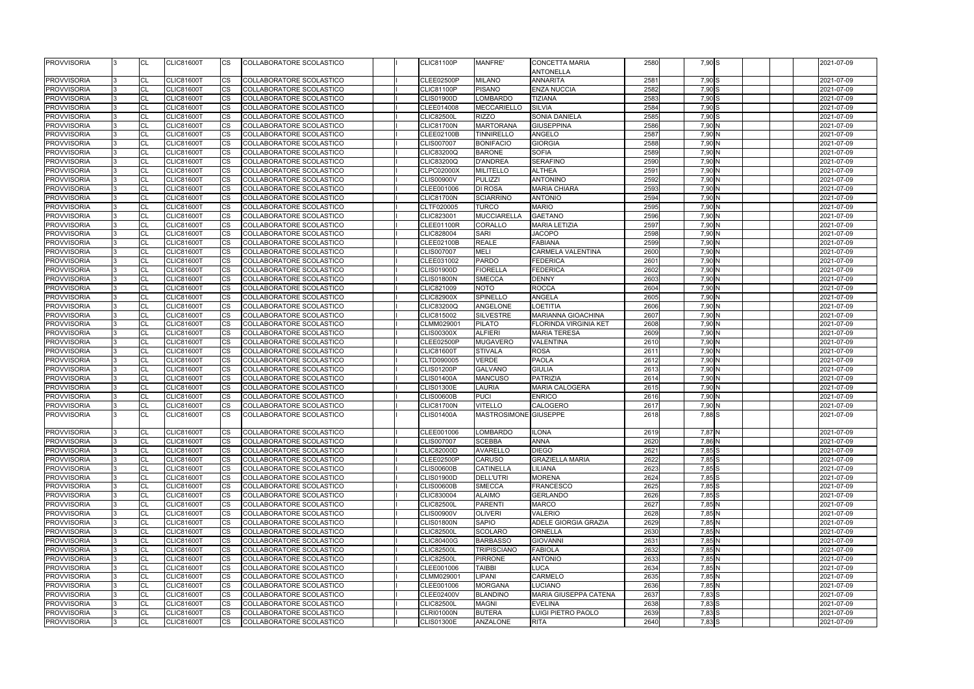| 2580 | 7,90 S              |  |  | 2021-07-09 |
|------|---------------------|--|--|------------|
|      |                     |  |  |            |
| 2581 | 7,90 S              |  |  | 2021-07-09 |
| 2582 | 7,90 S              |  |  | 2021-07-09 |
| 2583 | 7,90 S              |  |  | 2021-07-09 |
| 2584 | 7,90 S              |  |  | 2021-07-09 |
| 2585 | 7,90 S              |  |  | 2021-07-09 |
| 2586 | 7,90 N              |  |  | 2021-07-09 |
| 2587 | 7,90 N              |  |  | 2021-07-09 |
| 2588 | 7,90 N              |  |  | 2021-07-09 |
| 2589 | 7,90 N              |  |  | 2021-07-09 |
| 2590 | 7,90 N              |  |  | 2021-07-09 |
| 2591 | 7,90 N              |  |  | 2021-07-09 |
| 2592 | 7,90 N              |  |  | 2021-07-09 |
| 2593 | 7,90 N              |  |  | 2021-07-09 |
| 2594 | 7,90 N              |  |  | 2021-07-09 |
| 2595 | 7,90 N              |  |  | 2021-07-09 |
| 2596 | 7,90 N              |  |  | 2021-07-09 |
| 2597 | 7,90 N              |  |  | 2021-07-09 |
| 2598 | 7,90 N              |  |  | 2021-07-09 |
| 2599 | 7,90 N              |  |  | 2021-07-09 |
| 2600 | 7,90 N              |  |  | 2021-07-09 |
| 2601 | 7,90 N              |  |  | 2021-07-09 |
| 2602 | 7,90 N              |  |  | 2021-07-09 |
| 2603 | 7,90 N              |  |  | 2021-07-09 |
| 2604 | 7,90 N              |  |  | 2021-07-09 |
|      | $7,90$ N            |  |  |            |
| 2605 |                     |  |  | 2021-07-09 |
| 2606 | 7,90 N              |  |  | 2021-07-09 |
| 2607 | $7,90$ N            |  |  | 2021-07-09 |
| 2608 | 7,90 N              |  |  | 2021-07-09 |
| 2609 | 7,90 N              |  |  | 2021-07-09 |
| 2610 | 7,90 N              |  |  | 2021-07-09 |
| 2611 | 7,90 N              |  |  | 2021-07-09 |
| 2612 | 7,90 N              |  |  | 2021-07-09 |
| 2613 | 7,90 N              |  |  | 2021-07-09 |
| 2614 | 7,90 N              |  |  | 2021-07-09 |
| 2615 | 7,90 N              |  |  | 2021-07-09 |
| 2616 | 7,90 N              |  |  | 2021-07-09 |
| 2617 | 7,90 N              |  |  | 2021-07-09 |
| 2618 | 7,88 S              |  |  | 2021-07-09 |
|      |                     |  |  |            |
| 2619 | 7,87 N              |  |  | 2021-07-09 |
| 2620 | 7,86 N              |  |  | 2021-07-09 |
| 2621 | $7,85$ S            |  |  | 2021-07-09 |
| 2622 | 7,85 S              |  |  | 2021-07-09 |
| 2623 | $7,85$ S            |  |  | 2021-07-09 |
| 2624 | $7,85$ S            |  |  | 2021-07-09 |
| 2625 | 7,85 S              |  |  | 2021-07-09 |
| 2626 | 7,85 S              |  |  | 2021-07-09 |
| 2627 | 7,85 N              |  |  | 2021-07-09 |
| 2628 | 7,85 N              |  |  | 2021-07-09 |
| 2629 | 7,85 N              |  |  | 2021-07-09 |
| 2630 | 7,85 N              |  |  | 2021-07-09 |
| 2631 | 7,85 N              |  |  | 2021-07-09 |
| 2632 | 7,85 N              |  |  | 2021-07-09 |
| 2633 | 7,85 N              |  |  | 2021-07-09 |
| 2634 | 7,85 N              |  |  | 2021-07-09 |
| 2635 | $7,85$ <sub>N</sub> |  |  | 2021-07-09 |
|      | 7,85 N              |  |  | 2021-07-09 |
| 2636 | $7,83$ $S$          |  |  |            |
| 2637 |                     |  |  | 2021-07-09 |
| 2638 | 7,83 S              |  |  | 2021-07-09 |
| 2639 | 7,83 S              |  |  | 2021-07-09 |
| 2640 | 7,83 S              |  |  | 2021-07-09 |

| <b>PROVVISORIA</b>                       | ICL                     | <b>CLIC81600T</b>                      | ICS.                   | COLLABORATORE SCOLASTICO                             |  | <b>CLIC81100P</b>               | <b>MANFRE'</b>                 | CONCETTA MARIA                               | 2580         | 7,90 S             | 2021-07-09               |
|------------------------------------------|-------------------------|----------------------------------------|------------------------|------------------------------------------------------|--|---------------------------------|--------------------------------|----------------------------------------------|--------------|--------------------|--------------------------|
| <b>PROVVISORIA</b>                       |                         | <b>CLIC81600T</b>                      | <b>ICS</b>             | COLLABORATORE SCOLASTICO                             |  | <b>CLEE02500P</b>               | <b>MILANO</b>                  | <b>ANTONELLA</b>                             | 2581         |                    |                          |
|                                          | <b>ICL</b>              |                                        |                        |                                                      |  |                                 |                                | <b>ANNARITA</b>                              |              | 7,90 S             | 2021-07-09               |
| <b>PROVVISORIA</b>                       | <b>CL</b>               | <b>CLIC81600T</b>                      | <b>ICS</b>             | COLLABORATORE SCOLASTICO                             |  | <b>CLIC81100P</b>               | <b>PISANO</b>                  | <b>ENZA NUCCIA</b>                           | 2582<br>2583 | 7,90 S<br>$7,90$ S | 2021-07-09               |
| <b>PROVVISORIA</b>                       | CL                      | <b>CLIC81600T</b><br><b>CLIC81600T</b> | <b>CS</b><br><b>CS</b> | COLLABORATORE SCOLASTICO<br>COLLABORATORE SCOLASTICO |  | <b>CLIS01900D</b><br>CLEE014008 | LOMBARDO<br><b>MECCARIELLO</b> | <b>TIZIANA</b><br><b>SILVIA</b>              | 2584         | 7,90 S             | 2021-07-09               |
| <b>PROVVISORIA</b><br><b>PROVVISORIA</b> | <b>CL</b><br><b>CL</b>  | <b>CLIC81600T</b>                      | <b>CS</b>              | COLLABORATORE SCOLASTICO                             |  | <b>CLIC82500L</b>               | <b>RIZZO</b>                   | <b>SONIA DANIELA</b>                         | 2585         | 7,90 S             | 2021-07-09<br>2021-07-09 |
| <b>PROVVISORIA</b>                       | CL                      | <b>CLIC81600T</b>                      | <b>CS</b>              | COLLABORATORE SCOLASTICO                             |  | <b>CLIC81700N</b>               | <b>MARTORANA</b>               | <b>GIUSEPPINA</b>                            | 2586         | 7,90 N             | 2021-07-09               |
| <b>PROVVISORIA</b>                       |                         | <b>CLIC81600T</b>                      | <b>ICS</b>             |                                                      |  | <b>CLEE02100B</b>               | <b>TINNIRELLO</b>              | <b>ANGELO</b>                                | 2587         |                    | 2021-07-09               |
| <b>PROVVISORIA</b>                       | <b>CL</b><br><b>CL</b>  | CLIC81600T                             | <b>ICS</b>             | COLLABORATORE SCOLASTICO<br>COLLABORATORE SCOLASTICO |  | CLIS007007                      | <b>BONIFACIO</b>               | <b>GIORGIA</b>                               | 2588         | 7,90 N<br>7,90 N   | 2021-07-09               |
| <b>PROVVISORIA</b>                       |                         | <b>CLIC81600T</b>                      | <b>CS</b>              | COLLABORATORE SCOLASTICO                             |  | CLIC83200Q                      | <b>BARONE</b>                  | <b>SOFIA</b>                                 | 2589         | 7,90 N             | 2021-07-09               |
| <b>PROVVISORIA</b>                       | <b>CL</b><br><b>ICL</b> | <b>CLIC81600T</b>                      | <b>CS</b>              | COLLABORATORE SCOLASTICO                             |  | CLIC83200Q                      | <b>D'ANDREA</b>                | <b>SERAFINO</b>                              | 2590         | 7,90 N             | 2021-07-09               |
| <b>PROVVISORIA</b>                       | <b>CL</b>               | <b>CLIC81600T</b>                      | <b>CS</b>              |                                                      |  | <b>CLPC02000X</b>               | <b>MILITELLO</b>               | <b>ALTHEA</b>                                |              | 7,90 N             | 2021-07-09               |
| <b>PROVVISORIA</b>                       | <b>CL</b>               | <b>CLIC81600T</b>                      | <b>CS</b>              | COLLABORATORE SCOLASTICO<br>COLLABORATORE SCOLASTICO |  | <b>CLIS00900V</b>               | <b>PULIZZI</b>                 | <b>ANTONINO</b>                              | 2591<br>2592 | 7,90N              | 2021-07-09               |
| <b>PROVVISORIA</b>                       | <b>CL</b>               | <b>CLIC81600T</b>                      | <b>CS</b>              | COLLABORATORE SCOLASTICO                             |  | CLEE001006                      | <b>DI ROSA</b>                 | <b>MARIA CHIARA</b>                          | 2593         | 7,90 N             | 2021-07-09               |
| <b>PROVVISORIA</b>                       | CL                      | CLIC81600T                             | <b>CS</b>              | COLLABORATORE SCOLASTICO                             |  | <b>CLIC81700N</b>               | <b>SCIARRINO</b>               | <b>ANTONIO</b>                               | 2594         | 7,90N              | 2021-07-09               |
| <b>PROVVISORIA</b>                       | CL                      | <b>CLIC81600T</b>                      | <b>CS</b>              | COLLABORATORE SCOLASTICO                             |  | CLTF020005                      | <b>TURCO</b>                   | <b>MARIO</b>                                 | 2595         | 7,90N              | 2021-07-09               |
| <b>PROVVISORIA</b>                       | <b>ICL</b>              | <b>CLIC81600T</b>                      | <b>CS</b>              | <b>COLLABORATORE SCOLASTICO</b>                      |  | CLIC823001                      | <b>MUCCIARELLA</b>             | <b>GAETANO</b>                               | 2596         | 7,90 N             | 2021-07-09               |
| <b>PROVVISORIA</b>                       | <b>ICL</b>              | <b>CLIC81600T</b>                      | <b>CS</b>              | <b>COLLABORATORE SCOLASTICO</b>                      |  | <b>CLEE01100R</b>               | <b>CORALLO</b>                 | <b>MARIA LETIZIA</b>                         | 2597         | 7,90N              | 2021-07-09               |
| <b>PROVVISORIA</b>                       | <b>CL</b>               | <b>CLIC81600T</b>                      | <b>CS</b>              | COLLABORATORE SCOLASTICO                             |  | CLIC828004                      | <b>SARI</b>                    | <b>JACOPO</b>                                | 2598         | 7,90 N             | 2021-07-09               |
| <b>PROVVISORIA</b>                       | <b>CL</b>               | <b>CLIC81600T</b>                      | <b>CS</b>              | COLLABORATORE SCOLASTICO                             |  | <b>CLEE02100B</b>               | <b>REALE</b>                   | <b>FABIANA</b>                               | 2599         | 7,90 N             | 2021-07-09               |
| <b>PROVVISORIA</b>                       | <b>CL</b>               | <b>CLIC81600T</b>                      | <b>CS</b>              | COLLABORATORE SCOLASTICO                             |  | <b>CLIS007007</b>               | <b>MELI</b>                    | <b>CARMELA VALENTINA</b>                     | 2600         | 7,90 N             | 2021-07-09               |
| <b>PROVVISORIA</b>                       | <b>CL</b>               | <b>CLIC81600T</b>                      | <b>ICS</b>             | COLLABORATORE SCOLASTICO                             |  | CLEE031002                      | <b>PARDO</b>                   | <b>FEDERICA</b>                              | 2601         | 7,90N              | 2021-07-09               |
| <b>PROVVISORIA</b>                       | <b>CL</b>               | <b>CLIC81600T</b>                      | <b>CS</b>              | COLLABORATORE SCOLASTICO                             |  | <b>CLIS01900D</b>               | <b>FIORELLA</b>                | <b>FEDERICA</b>                              | 2602         | 7,90 N             | 2021-07-09               |
| <b>PROVVISORIA</b>                       | <b>ICL</b>              | <b>CLIC81600T</b>                      | <b>CS</b>              | COLLABORATORE SCOLASTICO                             |  | <b>CLIS01800N</b>               | <b>SMECCA</b>                  | <b>DENNY</b>                                 | 2603         | 7,90N              | 2021-07-09               |
| <b>PROVVISORIA</b>                       | <b>CL</b>               | <b>CLIC81600T</b>                      | <b>CS</b>              | COLLABORATORE SCOLASTICO                             |  | CLIC821009                      | <b>NOTO</b>                    | <b>ROCCA</b>                                 | 2604         | 7,90 N             | 2021-07-09               |
|                                          |                         |                                        | <b>CS</b>              |                                                      |  |                                 | <b>SPINELLO</b>                |                                              | 2605         |                    |                          |
| <b>PROVVISORIA</b>                       | CL<br><b>CL</b>         | <b>CLIC81600T</b><br><b>CLIC81600T</b> | <b>ICS</b>             | COLLABORATORE SCOLASTICO                             |  | <b>CLIC82900X</b>               | <b>ANGELONE</b>                | <b>ANGELA</b><br><b>LOETITIA</b>             | 2606         | 7,90 N<br>7,90 N   | 2021-07-09<br>2021-07-09 |
| <b>PROVVISORIA</b><br><b>PROVVISORIA</b> |                         |                                        | <b>ICS</b>             | COLLABORATORE SCOLASTICO                             |  | CLIC83200Q                      | <b>SILVESTRE</b>               |                                              | 2607         | 7,90 N             | 2021-07-09               |
|                                          | <b>CL</b>               | <b>CLIC81600T</b>                      |                        | COLLABORATORE SCOLASTICO                             |  | CLIC815002                      | <b>PILATO</b>                  | <b>MARIANNA GIOACHINA</b>                    | 2608         | 7,90 N             |                          |
| <b>PROVVISORIA</b>                       | <b>CL</b>               | <b>CLIC81600T</b><br><b>CLIC81600T</b> | <b>CS</b><br><b>CS</b> | COLLABORATORE SCOLASTICO                             |  | CLMM029001<br><b>CLIS00300X</b> | <b>ALFIERI</b>                 | FLORINDA VIRGINIA KET<br><b>MARIA TERESA</b> | 2609         | 7,90 N             | 2021-07-09               |
| <b>PROVVISORIA</b><br><b>PROVVISORIA</b> | <b>CL</b><br><b>CL</b>  | <b>CLIC81600T</b>                      | <b>CS</b>              | COLLABORATORE SCOLASTICO<br>COLLABORATORE SCOLASTICO |  | <b>CLEE02500P</b>               | <b>MUGAVERO</b>                | <b>VALENTINA</b>                             | 2610         | 7,90N              | 2021-07-09<br>2021-07-09 |
| <b>PROVVISORIA</b>                       | CL                      | <b>CLIC81600T</b>                      | <b>CS</b>              | COLLABORATORE SCOLASTICO                             |  | <b>CLIC81600T</b>               | <b>STIVALA</b>                 | <b>ROSA</b>                                  | 2611         | 7,90 N             | 2021-07-09               |
| <b>PROVVISORIA</b>                       | CL                      | <b>CLIC81600T</b>                      | <b>ICS</b>             | COLLABORATORE SCOLASTICO                             |  | CLTD090005                      | <b>VERDE</b>                   | <b>PAOLA</b>                                 | 2612         | 7,90 N             | 2021-07-09               |
| <b>PROVVISORIA</b>                       | <b>CL</b>               | <b>CLIC81600T</b>                      | <b>CS</b>              | COLLABORATORE SCOLASTICO                             |  | <b>CLIS01200P</b>               | <b>GALVANO</b>                 | <b>GIULIA</b>                                | 2613         | 7,90 N             | 2021-07-09               |
| <b>PROVVISORIA</b>                       | <b>ICL</b>              | <b>CLIC81600T</b>                      | <b>CS</b>              | COLLABORATORE SCOLASTICO                             |  | <b>CLIS01400A</b>               | <b>MANCUSO</b>                 | <b>PATRIZIA</b>                              | 2614         | 7,90N              | 2021-07-09               |
| <b>PROVVISORIA</b>                       | <b>ICL</b>              | <b>CLIC81600T</b>                      | <b>CS</b>              | COLLABORATORE SCOLASTICO                             |  | <b>CLIS01300E</b>               | <b>LAURIA</b>                  | <b>MARIA CALOGERA</b>                        | 2615         | 7,90 N             | 2021-07-09               |
| <b>PROVVISORIA</b>                       | <b>ICL</b>              | <b>CLIC81600T</b>                      | <b>CS</b>              | COLLABORATORE SCOLASTICO                             |  | <b>CLIS00600B</b>               | <b>PUCI</b>                    | <b>ENRICO</b>                                | 2616         | 7,90 N             | 2021-07-09               |
| <b>PROVVISORIA</b>                       | <b>CL</b>               | <b>CLIC81600T</b>                      | <b>CS</b>              | COLLABORATORE SCOLASTICO                             |  | <b>CLIC81700N</b>               | <b>VITELLO</b>                 | <b>CALOGERO</b>                              | 2617         | 7,90N              | 2021-07-09               |
| <b>PROVVISORIA</b>                       | <b>ICL</b>              | <b>CLIC81600T</b>                      | <b>CS</b>              | COLLABORATORE SCOLASTICO                             |  | <b>CLIS01400A</b>               | MASTROSIMONE GIUSEPPE          |                                              | 2618         | 7,88 S             | 2021-07-09               |
|                                          |                         |                                        |                        |                                                      |  |                                 |                                |                                              |              |                    |                          |
| <b>PROVVISORIA</b>                       | <b>CL</b>               | <b>CLIC81600T</b>                      | <b>CS</b>              | <b>COLLABORATORE SCOLASTICO</b>                      |  | CLEE001006                      | <b>LOMBARDO</b>                | <b>ILONA</b>                                 | 2619         | 7,87N              | 2021-07-09               |
| <b>PROVVISORIA</b>                       | <b>ICL</b>              | <b>CLIC81600T</b>                      | <b>CS</b>              | <b>COLLABORATORE SCOLASTICO</b>                      |  | <b>CLIS007007</b>               | <b>SCEBBA</b>                  | <b>ANNA</b>                                  | 2620         | 7,86 N             | 2021-07-09               |
| <b>PROVVISORIA</b>                       | <b>ICL</b>              | <b>CLIC81600T</b>                      | <b>CS</b>              | COLLABORATORE SCOLASTICO                             |  | <b>CLIC82000D</b>               | <b>AVARELLO</b>                | <b>DIEGO</b>                                 | 2621         | 7,85 S             | 2021-07-09               |
| <b>PROVVISORIA</b>                       | <b>CL</b>               | <b>CLIC81600T</b>                      | <b>CS</b>              | COLLABORATORE SCOLASTICO                             |  | <b>CLEE02500P</b>               | <b>CARUSO</b>                  | <b>GRAZIELLA MARIA</b>                       | 2622         | $7,85$ S           | 2021-07-09               |
| <b>PROVVISORIA</b>                       | <b>CL</b>               | <b>CLIC81600T</b>                      | <b>CS</b>              | COLLABORATORE SCOLASTICO                             |  | <b>CLIS00600B</b>               | <b>CATINELLA</b>               | LILIANA                                      | 2623         | $7,85$ S           | 2021-07-09               |
| <b>PROVVISORIA</b>                       | <b>ICL</b>              | <b>CLIC81600T</b>                      | <b>CS</b>              | COLLABORATORE SCOLASTICO                             |  | <b>CLIS01900D</b>               | <b>DELL'UTRI</b>               | <b>MORENA</b>                                | 2624         | $7,85$ S           | 2021-07-09               |
| <b>PROVVISORIA</b>                       | <b>CL</b>               | <b>CLIC81600T</b>                      | <b>CS</b>              | COLLABORATORE SCOLASTICO                             |  | <b>CLIS00600B</b>               | <b>SMECCA</b>                  | <b>FRANCESCO</b>                             | 2625         | $7,85$ S           | 2021-07-09               |
| <b>PROVVISORIA</b>                       | <b>ICL</b>              | <b>CLIC81600T</b>                      | <b>CS</b>              | COLLABORATORE SCOLASTICO                             |  | CLIC830004                      | <b>ALAIMO</b>                  | <b>GERLANDO</b>                              | 2626         | $7,85$ S           | 2021-07-09               |
| <b>PROVVISORIA</b>                       | <b>ICL</b>              | <b>CLIC81600T</b>                      | <b>CS</b>              | COLLABORATORE SCOLASTICO                             |  | <b>CLIC82500L</b>               | <b>PARENTI</b>                 | <b>MARCO</b>                                 | 2627         | 7,85 N             | 2021-07-09               |
| <b>PROVVISORIA</b>                       | <b>CL</b>               | <b>CLIC81600T</b>                      | <b>CS</b>              | COLLABORATORE SCOLASTICO                             |  | <b>CLIS00900V</b>               | <b>OLIVERI</b>                 | <b>VALERIO</b>                               | 2628         | 7,85N              | 2021-07-09               |
| <b>PROVVISORIA</b>                       | <b>CL</b>               | <b>CLIC81600T</b>                      | <b>CS</b>              | COLLABORATORE SCOLASTICO                             |  | <b>CLIS01800N</b>               | <b>SAPIO</b>                   | ADELE GIORGIA GRAZIA                         | 2629         | 7,85 N             | 2021-07-09               |
| <b>PROVVISORIA</b>                       | <b>CL</b>               | <b>CLIC81600T</b>                      | <b>CS</b>              | COLLABORATORE SCOLASTICO                             |  | <b>CLIC82500L</b>               | <b>SCOLARO</b>                 | <b>ORNELLA</b>                               | 2630         | 7,85N              | 2021-07-09               |
| <b>PROVVISORIA</b>                       | CL                      | <b>CLIC81600T</b>                      | <b>CS</b>              | COLLABORATORE SCOLASTICO                             |  | <b>CLIC80400G</b>               | <b>BARBASSO</b>                | <b>GIOVANNI</b>                              | 2631         | 7,85N              | 2021-07-09               |
| <b>PROVVISORIA</b>                       | <b>ICL</b>              | <b>CLIC81600T</b>                      | <b>CS</b>              | COLLABORATORE SCOLASTICO                             |  | <b>CLIC82500L</b>               | <b>TRIPISCIANO</b>             | <b>FABIOLA</b>                               | 2632         | 7,85 N             | 2021-07-09               |
| <b>PROVVISORIA</b>                       | <b>ICL</b>              | <b>CLIC81600T</b>                      | <b>CS</b>              | COLLABORATORE SCOLASTICO                             |  | <b>CLIC82500L</b>               | <b>PIRRONE</b>                 | <b>ANTONIO</b>                               | 2633         | 7,85 N             | 2021-07-09               |
| <b>PROVVISORIA</b>                       | <b>ICL</b>              | <b>CLIC81600T</b>                      | <b>CS</b>              | COLLABORATORE SCOLASTICO                             |  | CLEE001006                      | <b>TAIBBI</b>                  | <b>LUCA</b>                                  | 2634         | 7,85 N             | 2021-07-09               |
| <b>PROVVISORIA</b>                       | <b>CL</b>               | <b>CLIC81600T</b>                      | <b>CS</b>              | COLLABORATORE SCOLASTICO                             |  | CLMM029001                      | LIPANI                         | <b>CARMELO</b>                               | 2635         | 7,85 N             | 2021-07-09               |
| <b>PROVVISORIA</b>                       | <b>CL</b>               | <b>CLIC81600T</b>                      | <b>CS</b>              | COLLABORATORE SCOLASTICO                             |  | CLEE001006                      | <b>MORGANA</b>                 | <b>LUCIANO</b>                               | 2636         | 7,85 N             | 2021-07-09               |
| <b>PROVVISORIA</b>                       | <b>CL</b>               | <b>CLIC81600T</b>                      | CS.                    | COLLABORATORE SCOLASTICO                             |  | CLEE02400V                      | <b>BLANDINO</b>                | MARIA GIUSEPPA CATENA                        | 2637         | $7,83$ S           | 2021-07-09               |
| <b>PROVVISORIA</b>                       | <b>ICL</b>              | <b>CLIC81600T</b>                      | <b>CS</b>              | COLLABORATORE SCOLASTICO                             |  | <b>CLIC82500L</b>               | <b>MAGNI</b>                   | <b>EVELINA</b>                               | 2638         | 7,83 S             | 2021-07-09               |
| <b>PROVVISORIA</b>                       | <b>ICL</b>              | <b>CLIC81600T</b>                      | <b>CS</b>              | COLLABORATORE SCOLASTICO                             |  | <b>CLRI01000N</b>               | <b>BUTERA</b>                  | LUIGI PIETRO PAOLO                           | 2639         | 7,83 S             | 2021-07-09               |
| <b>PROVVISORIA</b>                       | <b>ICL</b>              | <b>CLIC81600T</b>                      | <b>CS</b>              | COLLABORATORE SCOLASTICO                             |  | <b>CLIS01300E</b>               | ANZALONE                       | <b>RITA</b>                                  | 2640         | 7,83 S             | 2021-07-09               |
|                                          |                         |                                        |                        |                                                      |  |                                 |                                |                                              |              |                    |                          |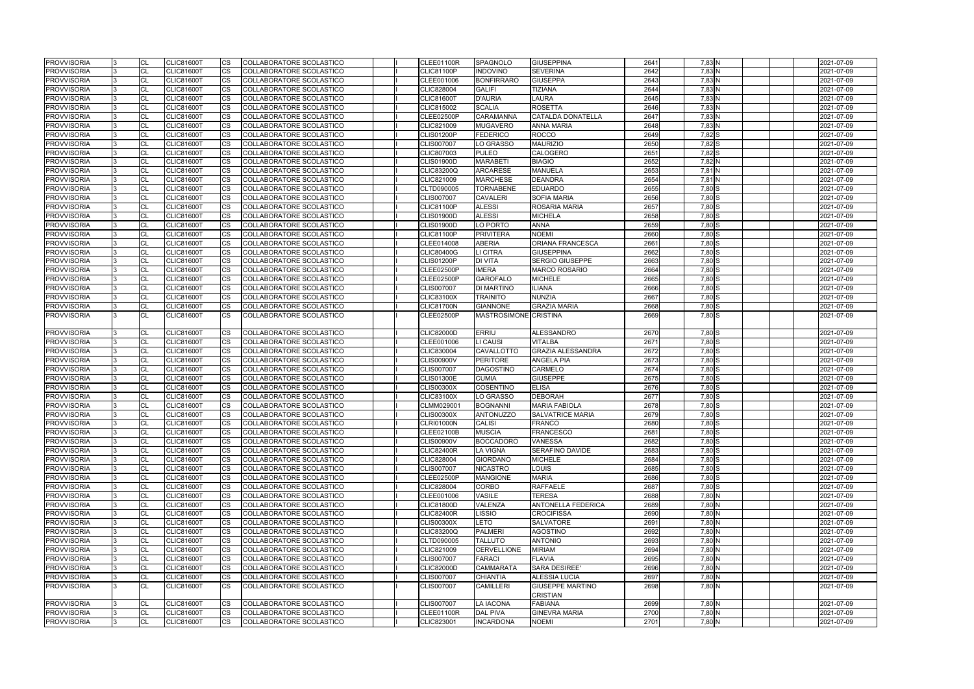| <b>PROVVISORIA</b> | <b>CL</b> | <b>CLIC81600T</b> | CS.                    | COLLABORATORE SCOLASTICO        |  | CLEE01100R        | <b>ISPAGNOLO</b>      | <b>GIUSEPPINA</b>         | 2641 | 7,83 N   | 2021-07-09 |
|--------------------|-----------|-------------------|------------------------|---------------------------------|--|-------------------|-----------------------|---------------------------|------|----------|------------|
| <b>PROVVISORIA</b> | CL        | <b>CLIC81600T</b> | <b>CS</b>              | <b>COLLABORATORE SCOLASTICO</b> |  | <b>CLIC81100P</b> | <b>INDOVINO</b>       | <b>SEVERINA</b>           | 2642 | 7,83N    | 2021-07-09 |
| <b>PROVVISORIA</b> | CL        | <b>CLIC81600T</b> | CS                     | COLLABORATORE SCOLASTICO        |  | CLEE001006        | <b>BONFIRRARO</b>     | <b>GIUSEPPA</b>           | 2643 | 7,83 N   | 2021-07-09 |
| <b>PROVVISORIA</b> | CL        | <b>CLIC81600T</b> | <b>CS</b>              | COLLABORATORE SCOLASTICO        |  | CLIC828004        | <b>GALIFI</b>         | TIZIANA                   | 2644 | 7,83 N   | 2021-07-09 |
| <b>PROVVISORIA</b> | CL        | <b>CLIC81600T</b> | <b>CS</b>              | COLLABORATORE SCOLASTICO        |  | <b>CLIC81600T</b> | <b>D'AURIA</b>        | LAURA                     | 2645 | 7,83 N   | 2021-07-09 |
| <b>PROVVISORIA</b> | CL        | <b>CLIC81600T</b> | <b>CS</b>              | COLLABORATORE SCOLASTICO        |  | CLIC815002        | <b>SCALIA</b>         | <b>ROSETTA</b>            | 2646 | 7,83 N   | 2021-07-09 |
| <b>PROVVISORIA</b> | <b>CL</b> | <b>CLIC81600T</b> | <b>CS</b>              | COLLABORATORE SCOLASTICO        |  | <b>CLEE02500P</b> | <b>CARAMANNA</b>      | CATALDA DONATELLA         | 2647 | 7,83 N   | 2021-07-09 |
| <b>PROVVISORIA</b> | CL        | <b>CLIC81600T</b> | <b>CS</b>              | COLLABORATORE SCOLASTICO        |  | CLIC821009        | <b>MUGAVERO</b>       | <b>ANNA MARIA</b>         | 2648 | $7,83$ N | 2021-07-09 |
| <b>PROVVISORIA</b> | CL        | <b>CLIC81600T</b> | CS                     | COLLABORATORE SCOLASTICO        |  | <b>CLIS01200P</b> | <b>FEDERICO</b>       | <b>ROCCO</b>              | 2649 | 7,82 S   | 2021-07-09 |
| <b>PROVVISORIA</b> | <b>CL</b> | <b>CLIC81600T</b> | CS                     | COLLABORATORE SCOLASTICO        |  | <b>CLIS007007</b> | <b>LO GRASSO</b>      | <b>MAURIZIO</b>           | 2650 | 7,82S    | 2021-07-09 |
| <b>PROVVISORIA</b> | CL        | <b>CLIC81600T</b> | <b>CS</b>              | COLLABORATORE SCOLASTICO        |  | CLIC807003        | <b>PULEO</b>          | CALOGERO                  | 2651 | 7,82 S   | 2021-07-09 |
| <b>PROVVISORIA</b> | <b>CL</b> | <b>CLIC81600T</b> | $\overline{\text{cs}}$ | COLLABORATORE SCOLASTICO        |  | <b>CLIS01900D</b> | <b>MARABETI</b>       | <b>BIAGIO</b>             | 2652 | 7,82 N   | 2021-07-09 |
| <b>PROVVISORIA</b> | <b>CL</b> | <b>CLIC81600T</b> | $\overline{\text{cs}}$ | COLLABORATORE SCOLASTICO        |  | <b>CLIC83200Q</b> | <b>ARCARESE</b>       | <b>MANUELA</b>            | 2653 | 7,81N    | 2021-07-09 |
| <b>PROVVISORIA</b> | CL        | <b>CLIC81600T</b> | <b>CS</b>              | COLLABORATORE SCOLASTICO        |  | CLIC821009        | <b>MARCHESE</b>       | <b>DEANDRA</b>            | 2654 | $7,81$ N | 2021-07-09 |
| <b>PROVVISORIA</b> | CL        | <b>CLIC81600T</b> | $\overline{\text{cs}}$ | COLLABORATORE SCOLASTICO        |  | CLTD090005        | <b>TORNABENE</b>      | <b>EDUARDO</b>            | 2655 | $7,80$ S | 2021-07-09 |
| <b>PROVVISORIA</b> | CL        | <b>CLIC81600T</b> | CS                     | COLLABORATORE SCOLASTICO        |  | <b>CLIS007007</b> | <b>CAVALERI</b>       | <b>SOFIA MARIA</b>        | 2656 | 7,80 S   | 2021-07-09 |
| <b>PROVVISORIA</b> | CL        | CLIC81600T        | CS                     | COLLABORATORE SCOLASTICO        |  | <b>CLIC81100P</b> | <b>ALESSI</b>         | ROSARIA MARIA             | 2657 | 7,80 S   | 2021-07-09 |
| <b>PROVVISORIA</b> | <b>CL</b> | <b>CLIC81600T</b> | <b>CS</b>              | COLLABORATORE SCOLASTICO        |  | <b>CLIS01900D</b> | <b>ALESSI</b>         | <b>MICHELA</b>            | 2658 | 7,80 S   | 2021-07-09 |
| <b>PROVVISORIA</b> | <b>CL</b> | <b>CLIC81600T</b> | <b>CS</b>              | COLLABORATORE SCOLASTICO        |  | <b>CLIS01900D</b> | LO PORTO              | <b>ANNA</b>               | 2659 | 7,80 S   | 2021-07-09 |
| <b>PROVVISORIA</b> | CL        | <b>CLIC81600T</b> | <b>CS</b>              | COLLABORATORE SCOLASTICO        |  | <b>CLIC81100P</b> | <b>PRIVITERA</b>      | <b>NOEMI</b>              | 2660 | 7,80 S   | 2021-07-09 |
| <b>PROVVISORIA</b> | CL        | <b>CLIC81600T</b> | $\overline{\text{cs}}$ | <b>COLLABORATORE SCOLASTICO</b> |  | CLEE014008        | <b>ABERIA</b>         | <b>ORIANA FRANCESCA</b>   | 2661 | $7,80$ S | 2021-07-09 |
| <b>PROVVISORIA</b> | CL        | <b>CLIC81600T</b> | <b>CS</b>              | COLLABORATORE SCOLASTICO        |  | <b>CLIC80400G</b> | LI CITRA              | <b>GIUSEPPINA</b>         | 2662 | 7,80 S   | 2021-07-09 |
| <b>PROVVISORIA</b> | CL        | <b>CLIC81600T</b> | CS                     | COLLABORATORE SCOLASTICO        |  | <b>CLIS01200P</b> | <b>DI VITA</b>        | <b>SERGIO GIUSEPPE</b>    | 2663 | 7,80 S   | 2021-07-09 |
| <b>PROVVISORIA</b> | <b>CL</b> | <b>CLIC81600T</b> | $\overline{\text{cs}}$ | COLLABORATORE SCOLASTICO        |  | <b>CLEE02500P</b> | <b>IMERA</b>          | MARCO ROSARIO             | 2664 | $7,80$ S | 2021-07-09 |
| <b>PROVVISORIA</b> | CL        | <b>CLIC81600T</b> | <b>CS</b>              | COLLABORATORE SCOLASTICO        |  | <b>CLEE02500P</b> | <b>GAROFALO</b>       | <b>MICHELE</b>            | 2665 | 7,80 S   | 2021-07-09 |
| <b>PROVVISORIA</b> | <b>CL</b> | <b>CLIC81600T</b> | <b>CS</b>              | COLLABORATORE SCOLASTICO        |  | <b>CLIS007007</b> | <b>DI MARTINO</b>     | <b>ILIANA</b>             | 2666 | 7,80 S   | 2021-07-09 |
| <b>PROVVISORIA</b> | CL        | <b>CLIC81600T</b> | <b>CS</b>              | <b>COLLABORATORE SCOLASTICO</b> |  | <b>CLIC83100X</b> | <b>TRAINITO</b>       | <b>NUNZIA</b>             | 2667 | 7,80 S   | 2021-07-09 |
| <b>PROVVISORIA</b> | CL        | <b>CLIC81600T</b> | CS                     | COLLABORATORE SCOLASTICO        |  | <b>CLIC81700N</b> | <b>GIANNONE</b>       | <b>GRAZIA MARIA</b>       | 2668 | 7,80 S   | 2021-07-09 |
| <b>PROVVISORIA</b> | <b>CL</b> | <b>CLIC81600T</b> | CS.                    | COLLABORATORE SCOLASTICO        |  | <b>CLEE02500P</b> | MASTROSIMONE CRISTINA |                           | 2669 | 7,80 S   | 2021-07-09 |
| <b>PROVVISORIA</b> | CL        | <b>CLIC81600T</b> | <b>CS</b>              | COLLABORATORE SCOLASTICO        |  | <b>CLIC82000D</b> | <b>ERRIU</b>          | <b>ALESSANDRO</b>         | 2670 | 7,80 S   | 2021-07-09 |
| <b>PROVVISORIA</b> | <b>CL</b> | <b>CLIC81600T</b> | <b>CS</b>              | COLLABORATORE SCOLASTICO        |  | CLEE001006        | <b>LI CAUSI</b>       | <b>VITALBA</b>            | 2671 | 7,80 S   | 2021-07-09 |
| <b>PROVVISORIA</b> | CL        | <b>CLIC81600T</b> | <b>CS</b>              | COLLABORATORE SCOLASTICO        |  | CLIC830004        | CAVALLOTTO            | <b>GRAZIA ALESSANDRA</b>  | 2672 | 7,80 S   | 2021-07-09 |
| <b>PROVVISORIA</b> | CL        | <b>CLIC81600T</b> | CS                     | COLLABORATORE SCOLASTICO        |  | <b>CLIS00900V</b> | <b>PERITORE</b>       | <b>ANGELA PIA</b>         | 2673 | 7,80 S   | 2021-07-09 |
| <b>PROVVISORIA</b> | <b>CL</b> | <b>CLIC81600T</b> | CS                     | COLLABORATORE SCOLASTICO        |  | <b>CLIS007007</b> | <b>DAGOSTINO</b>      | <b>CARMELO</b>            | 2674 | 7,80 S   | 2021-07-09 |
| <b>PROVVISORIA</b> | CL        | <b>CLIC81600T</b> | <b>CS</b>              | COLLABORATORE SCOLASTICO        |  | <b>CLIS01300E</b> | <b>CUMIA</b>          | <b>GIUSEPPE</b>           | 2675 | $7,80$ S | 2021-07-09 |
| <b>PROVVISORIA</b> | CL        | <b>CLIC81600T</b> | CS                     | COLLABORATORE SCOLASTICO        |  | <b>CLIS00300X</b> | <b>COSENTINO</b>      | <b>ELISA</b>              | 2676 | 7,80 S   | 2021-07-09 |
| <b>PROVVISORIA</b> | <b>CL</b> | <b>CLIC81600T</b> | <b>CS</b>              | COLLABORATORE SCOLASTICO        |  | <b>CLIC83100X</b> | LO GRASSO             | <b>DEBORAH</b>            | 2677 | 7,80 S   | 2021-07-09 |
| <b>PROVVISORIA</b> | CL        | <b>CLIC81600T</b> | <b>CS</b>              | COLLABORATORE SCOLASTICO        |  | CLMM029001        | <b>BOGNANNI</b>       | <b>MARIA FABIOLA</b>      | 2678 | 7,80 S   | 2021-07-09 |
| <b>PROVVISORIA</b> | CL        | <b>CLIC81600T</b> | CS                     | COLLABORATORE SCOLASTICO        |  | <b>CLIS00300X</b> | <b>ANTONUZZO</b>      | <b>SALVATRICE MARIA</b>   | 2679 | 7,80 S   | 2021-07-09 |
| <b>PROVVISORIA</b> | <b>CL</b> | <b>CLIC81600T</b> | $\overline{\text{cs}}$ | COLLABORATORE SCOLASTICO        |  | <b>CLRI01000N</b> | CALISI                | FRANCO                    | 2680 | $7,80$ S | 2021-07-09 |
| <b>PROVVISORIA</b> | <b>CL</b> | <b>CLIC81600T</b> | <b>CS</b>              | COLLABORATORE SCOLASTICO        |  | <b>CLEE02100B</b> | <b>MUSCIA</b>         | <b>FRANCESCO</b>          | 2681 | 7,80 S   | 2021-07-09 |
| <b>PROVVISORIA</b> | <b>CL</b> | <b>CLIC81600T</b> | <b>CS</b>              | <b>COLLABORATORE SCOLASTICO</b> |  | <b>CLIS00900V</b> | <b>BOCCADORO</b>      | VANESSA                   | 2682 | $7,80$ S | 2021-07-09 |
| <b>PROVVISORIA</b> | <b>CL</b> | <b>CLIC81600T</b> | <b>CS</b>              | COLLABORATORE SCOLASTICO        |  | <b>CLIC82400R</b> | <b>LA VIGNA</b>       | <b>SERAFINO DAVIDE</b>    | 2683 | 7,80 S   | 2021-07-09 |
| <b>PROVVISORIA</b> | <b>CL</b> | <b>CLIC81600T</b> | <b>CS</b>              | COLLABORATORE SCOLASTICO        |  | CLIC828004        | <b>GIORDANO</b>       | <b>MICHELE</b>            | 2684 | 7,80 S   | 2021-07-09 |
| <b>PROVVISORIA</b> | <b>CL</b> | <b>CLIC81600T</b> | <b>CS</b>              | COLLABORATORE SCOLASTICO        |  | <b>CLIS007007</b> | <b>NICASTRO</b>       | LOUIS                     | 2685 | $7,80$ S | 2021-07-09 |
| <b>PROVVISORIA</b> | <b>CL</b> | <b>CLIC81600T</b> | <b>CS</b>              | COLLABORATORE SCOLASTICO        |  | <b>CLEE02500P</b> | <b>MANGIONE</b>       | <b>MARIA</b>              | 2686 | $7,80$ S | 2021-07-09 |
| <b>PROVVISORIA</b> | <b>CL</b> | <b>CLIC81600T</b> | <b>CS</b>              | COLLABORATORE SCOLASTICO        |  | CLIC828004        | <b>CORBO</b>          | <b>RAFFAELE</b>           | 2687 | 7,80 S   | 2021-07-09 |
| <b>PROVVISORIA</b> | <b>CL</b> | <b>CLIC81600T</b> | <b>CS</b>              | COLLABORATORE SCOLASTICO        |  | CLEE001006        | <b>VASILE</b>         | <b>TERESA</b>             | 2688 | $7,80$ N | 2021-07-09 |
| <b>PROVVISORIA</b> | CL        | <b>CLIC81600T</b> | <b>CS</b>              | COLLABORATORE SCOLASTICO        |  | <b>CLIC81800D</b> | <b>VALENZA</b>        | <b>ANTONELLA FEDERICA</b> | 2689 | 7,80 N   | 2021-07-09 |
| <b>PROVVISORIA</b> | <b>CL</b> | <b>CLIC81600T</b> | <b>CS</b>              | COLLABORATORE SCOLASTICO        |  | <b>CLIC82400R</b> | <b>LISSIO</b>         | <b>CROCIFISSA</b>         | 2690 | 7,80 N   | 2021-07-09 |
| <b>PROVVISORIA</b> | CL        | <b>CLIC81600T</b> | <b>CS</b>              | COLLABORATORE SCOLASTICO        |  | <b>CLIS00300X</b> | <b>LETO</b>           | <b>SALVATORE</b>          | 2691 | $7,80$ N | 2021-07-09 |
| <b>PROVVISORIA</b> | CL        | <b>CLIC81600T</b> | <b>CS</b>              | COLLABORATORE SCOLASTICO        |  | <b>CLIC83200Q</b> | <b>PALMERI</b>        | <b>AGOSTINO</b>           | 2692 | 7,80 N   | 2021-07-09 |
| <b>PROVVISORIA</b> | <b>CL</b> | <b>CLIC81600T</b> | <b>CS</b>              | COLLABORATORE SCOLASTICO        |  | CLTD090005        | <b>TALLUTO</b>        | <b>ANTONIO</b>            | 2693 | 7,80 N   | 2021-07-09 |
| <b>PROVVISORIA</b> | <b>CL</b> | <b>CLIC81600T</b> | <b>CS</b>              | COLLABORATORE SCOLASTICO        |  | CLIC821009        | <b>CERVELLIONE</b>    | <b>MIRIAM</b>             | 2694 | $7,80$ N | 2021-07-09 |
| <b>PROVVISORIA</b> | CL        | <b>CLIC81600T</b> | <b>CS</b>              | COLLABORATORE SCOLASTICO        |  | <b>CLIS007007</b> | <b>FARACI</b>         | <b>FLAVIA</b>             | 2695 | 7,80N    | 2021-07-09 |
| <b>PROVVISORIA</b> | <b>CL</b> | <b>CLIC81600T</b> | <b>CS</b>              | COLLABORATORE SCOLASTICO        |  | <b>CLIC82000D</b> | <b>CAMMARATA</b>      | <b>SARA DESIREE'</b>      | 2696 | 7,80 N   | 2021-07-09 |
| <b>PROVVISORIA</b> | <b>CL</b> | <b>CLIC81600T</b> | <b>CS</b>              | COLLABORATORE SCOLASTICO        |  | <b>CLIS007007</b> | <b>CHIANTIA</b>       | <b>ALESSIA LUCIA</b>      | 2697 | 7,80 N   | 2021-07-09 |
| <b>PROVVISORIA</b> | <b>CL</b> | <b>CLIC81600T</b> | <b>CS</b>              | COLLABORATORE SCOLASTICO        |  | <b>CLIS007007</b> | <b>CAMILLERI</b>      | <b>GIUSEPPE MARTINO</b>   | 2698 | $7,80$ N | 2021-07-09 |
|                    |           |                   |                        |                                 |  |                   |                       | <b>CRISTIAN</b>           |      |          |            |
| <b>PROVVISORIA</b> | <b>CL</b> | <b>CLIC81600T</b> | <b>CS</b>              | COLLABORATORE SCOLASTICO        |  | <b>CLIS007007</b> | <b>LA IACONA</b>      | <b>FABIANA</b>            | 2699 | 7,80 N   | 2021-07-09 |
| <b>PROVVISORIA</b> | CL        | <b>CLIC81600T</b> | <b>CS</b>              | COLLABORATORE SCOLASTICO        |  | <b>CLEE01100R</b> | <b>DAL PIVA</b>       | <b>GINEVRA MARIA</b>      | 2700 | 7,80N    | 2021-07-09 |
| <b>PROVVISORIA</b> | <b>CL</b> | <b>CLIC81600T</b> | CS.                    | COLLABORATORE SCOLASTICO        |  | CLIC823001        | <b>INCARDONA</b>      | <b>NOEMI</b>              | 2701 | 7,80 N   | 2021-07-09 |
|                    |           |                   |                        |                                 |  |                   |                       |                           |      |          |            |

| 2641 | $7,83$ <sub>N</sub> |    |  | 2021-07-09 |
|------|---------------------|----|--|------------|
| 2642 | 7,83 N              |    |  | 2021-07-09 |
| 2643 | 7,83 N              |    |  | 2021-07-09 |
| 2644 | 7,83 N              |    |  | 2021-07-09 |
| 2645 | 7,83 N              |    |  | 2021-07-09 |
| 2646 | 7,83 N              |    |  | 2021-07-09 |
| 2647 | 7,83 N              |    |  | 2021-07-09 |
| 2648 | 7,83 N              |    |  | 2021-07-09 |
| 2649 | 7,82 S              |    |  | 2021-07-09 |
|      |                     |    |  |            |
| 2650 | 7,82 S              |    |  | 2021-07-09 |
| 2651 | 7,82 S              |    |  | 2021-07-09 |
| 2652 | 7,82 N              |    |  | 2021-07-09 |
| 2653 | 7,81 N              |    |  | 2021-07-09 |
| 2654 | 7,81 N              |    |  | 2021-07-09 |
| 2655 | 7,80 S              |    |  | 2021-07-09 |
| 2656 | 7,80 S              |    |  | 2021-07-09 |
| 2657 | 7,80 S              |    |  | 2021-07-09 |
| 2658 | 7,80 S              |    |  | 2021-07-09 |
| 2659 | 7,80 S              |    |  | 2021-07-09 |
| 2660 | 7,80 S              |    |  | 2021-07-09 |
| 2661 | 7,80                | ls |  | 2021-07-09 |
| 2662 | 7,80S               |    |  | 2021-07-09 |
| 2663 | 7,80 S              |    |  | 2021-07-09 |
| 2664 | 7,80 S              |    |  | 2021-07-09 |
| 2665 | 7,80 S              |    |  | 2021-07-09 |
| 2666 | 7,80 S              |    |  | 2021-07-09 |
| 2667 | 7,80 S              |    |  | 2021-07-09 |
| 2668 | 7,80 S              |    |  | 2021-07-09 |
| 2669 | 7,80S               |    |  | 2021-07-09 |
|      |                     |    |  |            |
| 2670 |                     |    |  |            |
|      | 7,80 S<br>7,80 S    |    |  | 2021-07-09 |
| 2671 |                     |    |  | 2021-07-09 |
| 2672 | 7,80 S              |    |  | 2021-07-09 |
| 2673 | 7,80 S              |    |  | 2021-07-09 |
| 2674 | 7,80 S              |    |  | 2021-07-09 |
| 2675 | 7,80 S              |    |  | 2021-07-09 |
| 2676 | 7,80 S              |    |  | 2021-07-09 |
| 2677 | 7,80 S              |    |  | 2021-07-09 |
| 2678 | 7,80                | ls |  | 2021-07-09 |
| 2679 | 7,80 S              |    |  | 2021-07-09 |
| 2680 | $7,80$ S            |    |  | 2021-07-09 |
| 2681 | 7,80 S              |    |  | 2021-07-09 |
| 2682 | 7,80 S              |    |  | 2021-07-09 |
| 2683 | 7,80 S              |    |  | 2021-07-09 |
| 2684 | 7,80 S              |    |  | 2021-07-09 |
| 2685 | 7,80 S              |    |  | 2021-07-09 |
| 2686 | $7,80$ S            |    |  | 2021-07-09 |
| 2687 | 7,80 S              |    |  | 2021-07-09 |
| 2688 | 7,80 N              |    |  | 2021-07-09 |
| 2689 | 7,80 N              |    |  | 2021-07-09 |
| 2690 | 7,80 N              |    |  | 2021-07-09 |
| 2691 | 7,80 N              |    |  | 2021-07-09 |
| 2692 | 7,80 N              |    |  | 2021-07-09 |
| 2693 | 7,80 N              |    |  | 2021-07-09 |
| 2694 | 7,80 N              |    |  | 2021-07-09 |
|      |                     |    |  |            |
| 2695 | 7,80 N<br>7,80 N    |    |  | 2021-07-09 |
| 2696 |                     |    |  | 2021-07-09 |
| 2697 | $7,80$ N            |    |  | 2021-07-09 |
| 2698 | 7,80 N              |    |  | 2021-07-09 |
|      |                     |    |  |            |
| 2699 | 7,80 N              |    |  | 2021-07-09 |
| 2700 | 7,80 N              |    |  | 2021-07-09 |
| 2701 | 7,80 N              |    |  | 2021-07-09 |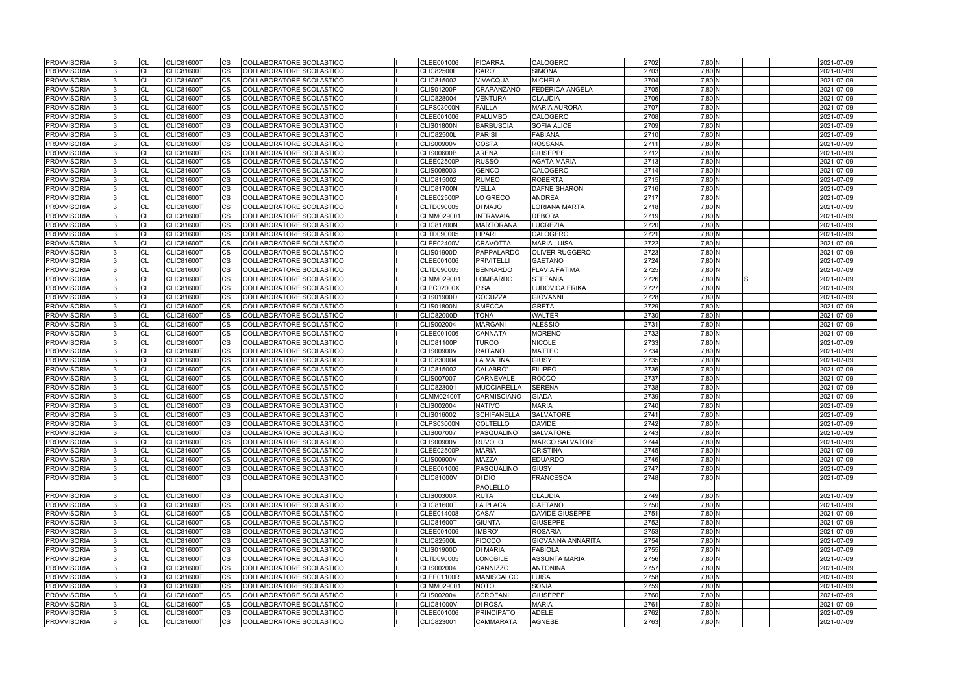| <b>PROVVISORIA</b>                       | <b>CL</b>              | <b>CLIC81600T</b> | <b>CS</b>                           | COLLABORATORE SCOLASTICO                                    |  | CLEE001006                             | <b>FICARRA</b>                | <b>CALOGERO</b>                           | 2702         | $7,80$ N | 2021-07-09               |
|------------------------------------------|------------------------|-------------------|-------------------------------------|-------------------------------------------------------------|--|----------------------------------------|-------------------------------|-------------------------------------------|--------------|----------|--------------------------|
| <b>PROVVISORIA</b>                       | <b>CL</b>              | <b>CLIC81600T</b> | <b>CS</b>                           | COLLABORATORE SCOLASTICO                                    |  | <b>CLIC82500L</b>                      | CARO'                         | <b>SIMONA</b>                             | 2703         | 7,80 N   | 2021-07-09               |
| <b>PROVVISORIA</b>                       | <b>CL</b>              | <b>CLIC81600T</b> | CS                                  | COLLABORATORE SCOLASTICO                                    |  | CLIC815002                             | <b>VIVACQUA</b>               | MICHELA                                   | 2704         | 7,80 N   | 2021-07-09               |
| <b>PROVVISORIA</b>                       | <b>CL</b>              | <b>CLIC81600T</b> | CS                                  | COLLABORATORE SCOLASTICO                                    |  | <b>CLIS01200P</b>                      | CRAPANZANO                    | <b>FEDERICA ANGELA</b>                    | 2705         | 7,80 N   | 2021-07-09               |
| <b>PROVVISORIA</b>                       | <b>CL</b>              | <b>CLIC81600T</b> | CS                                  | COLLABORATORE SCOLASTICO                                    |  | <b>CLIC828004</b>                      | VENTURA                       | CLAUDIA                                   | 2706         | 7,80 N   | 2021-07-09               |
| <b>PROVVISORIA</b>                       | CL                     | <b>CLIC81600T</b> | CS                                  | COLLABORATORE SCOLASTICO                                    |  | <b>CLPS03000N</b>                      | <b>FAILLA</b>                 | MARIA AURORA                              | 2707         | 7,80 N   | 2021-07-09               |
| <b>PROVVISORIA</b>                       | <b>CL</b>              | <b>CLIC81600T</b> | CS                                  | COLLABORATORE SCOLASTICO                                    |  | CLEE001006                             | <b>PALUMBO</b>                | CALOGERO                                  | 2708         | 7,80 N   | 2021-07-09               |
| <b>PROVVISORIA</b>                       | CL                     | <b>CLIC81600T</b> | CS                                  | COLLABORATORE SCOLASTICO                                    |  | <b>CLIS01800N</b>                      | <b>BARBUSCIA</b>              | <b>SOFIA ALICE</b>                        | 2709         | 7,80 N   | 2021-07-09               |
| <b>PROVVISORIA</b>                       | CL                     | <b>CLIC81600T</b> | CS                                  | COLLABORATORE SCOLASTICO                                    |  | <b>CLIC82500L</b>                      | <b>PARISI</b>                 | <b>FABIANA</b>                            | 2710         | 7,80 N   | 2021-07-09               |
| <b>PROVVISORIA</b>                       | <b>CL</b>              | <b>CLIC81600T</b> | CS                                  | COLLABORATORE SCOLASTICO                                    |  | <b>CLIS00900V</b>                      | <b>COSTA</b>                  | <b>ROSSANA</b>                            | 2711         | 7,80 N   | 2021-07-09               |
| <b>PROVVISORIA</b>                       | CL                     | <b>CLIC81600T</b> | CS                                  | COLLABORATORE SCOLASTICO                                    |  | <b>CLIS00600B</b>                      | <b>ARENA</b>                  | <b>GIUSEPPE</b>                           | 2712         | 7,80 N   | 2021-07-09               |
| <b>PROVVISORIA</b>                       | <b>CL</b>              | <b>CLIC81600T</b> | CS                                  | COLLABORATORE SCOLASTICO                                    |  | <b>CLEE02500P</b>                      | <b>RUSSO</b>                  | <b>AGATA MARIA</b>                        | 2713         | $7,80$ N | 2021-07-09               |
| <b>PROVVISORIA</b>                       | <b>CL</b>              | <b>CLIC81600T</b> | <b>CS</b>                           | COLLABORATORE SCOLASTICO                                    |  | CLIS008003                             | <b>GENCO</b>                  | CALOGERO                                  | 2714         | 7,80 N   | 2021-07-09               |
| <b>PROVVISORIA</b>                       | <b>CL</b>              | <b>CLIC81600T</b> | <b>CS</b>                           | COLLABORATORE SCOLASTICO                                    |  | CLIC815002                             | <b>RUMEO</b>                  | <b>ROBERTA</b>                            | 2715         | 7,80 N   | 2021-07-09               |
| <b>PROVVISORIA</b>                       | <b>CL</b>              | <b>CLIC81600T</b> | CS                                  | COLLABORATORE SCOLASTICO                                    |  | <b>CLIC81700N</b>                      | <b>VELLA</b>                  | <b>DAFNE SHARON</b>                       | 2716         | $7,80$ N | 2021-07-09               |
| <b>PROVVISORIA</b>                       | <b>CL</b>              | <b>CLIC81600T</b> | CS                                  | COLLABORATORE SCOLASTICO                                    |  | <b>CLEE02500P</b>                      | LO GRECO                      | <b>ANDREA</b>                             | 2717         | 7,80 N   | 2021-07-09               |
| <b>PROVVISORIA</b>                       | CL                     | <b>CLIC81600T</b> | CS                                  | COLLABORATORE SCOLASTICO                                    |  | CLTD090005                             | <b>DI MAJO</b>                | LORIANA MARTA                             | 2718         | 7,80 N   | 2021-07-09               |
| <b>PROVVISORIA</b>                       | <b>CL</b>              | <b>CLIC81600T</b> | CS                                  | COLLABORATORE SCOLASTICO                                    |  | CLMM029001                             | <b>INTRAVAIA</b>              | <b>DEBORA</b>                             | 2719         | 7,80 N   | 2021-07-09               |
| <b>PROVVISORIA</b>                       | <b>CL</b>              | <b>CLIC81600T</b> | CS                                  | COLLABORATORE SCOLASTICO                                    |  | <b>CLIC81700N</b>                      | <b>MARTORANA</b>              | <b>LUCREZIA</b>                           | 2720         | 7,80 N   | 2021-07-09               |
| <b>PROVVISORIA</b>                       | CL                     | <b>CLIC81600T</b> | <b>CS</b>                           | COLLABORATORE SCOLASTICO                                    |  | CLTD090005                             | <b>LIPARI</b>                 | <b>CALOGERO</b>                           | 2721         | 7,80 N   | 2021-07-09               |
| <b>PROVVISORIA</b>                       | <b>CL</b>              | <b>CLIC81600T</b> | CS                                  | COLLABORATORE SCOLASTICO                                    |  | <b>CLEE02400V</b>                      | <b>CRAVOTTA</b>               | <b>MARIA LUISA</b>                        | 2722         | 7,80 N   | 2021-07-09               |
| <b>PROVVISORIA</b>                       | <b>CL</b>              | <b>CLIC81600T</b> | CS                                  | COLLABORATORE SCOLASTICO                                    |  | <b>CLIS01900D</b>                      | PAPPALARDO                    | <b>OLIVER RUGGERO</b>                     | 2723         | 7,80 N   | 2021-07-09               |
| <b>PROVVISORIA</b>                       | <b>CL</b>              | <b>CLIC81600T</b> | CS                                  | COLLABORATORE SCOLASTICO                                    |  | CLEE001006                             | <b>PRIVITELLI</b>             | <b>GAETANO</b>                            | 2724         | 7,80 N   | 2021-07-09               |
| <b>PROVVISORIA</b>                       | <b>CL</b>              | <b>CLIC81600T</b> | CS                                  | COLLABORATORE SCOLASTICO                                    |  | CLTD090005                             | <b>BENNARDO</b>               | <b>FLAVIA FATIMA</b>                      | 2725         | 7,80 N   | 2021-07-09               |
| <b>PROVVISORIA</b>                       | CL                     | <b>CLIC81600T</b> | СS                                  | COLLABORATORE SCOLASTICO                                    |  | CLMM029001                             | LOMBARDO                      | <b>STEFANIA</b>                           | 2726         | 7,80 N   | 2021-07-09               |
| <b>PROVVISORIA</b>                       | <b>CL</b>              | <b>CLIC81600T</b> | <b>CS</b>                           | COLLABORATORE SCOLASTICO                                    |  | <b>CLPC02000X</b>                      | <b>PISA</b>                   | LUDOVICA ERIKA                            | 2727         | 7,80 N   | 2021-07-09               |
| <b>PROVVISORIA</b>                       | <b>CL</b>              | <b>CLIC81600T</b> | CS                                  | COLLABORATORE SCOLASTICO                                    |  | <b>CLIS01900D</b>                      | COCUZZA                       | <b>GIOVANNI</b>                           | 2728         | 7,80 N   | 2021-07-09               |
| <b>PROVVISORIA</b>                       | <b>CL</b>              | <b>CLIC81600T</b> | CS                                  | COLLABORATORE SCOLASTICO                                    |  | <b>CLIS01800N</b>                      | <b>SMECCA</b>                 | <b>GRETA</b>                              | 2729         | 7,80 N   | 2021-07-09               |
| <b>PROVVISORIA</b>                       | <b>CL</b>              | <b>CLIC81600T</b> | CS                                  | COLLABORATORE SCOLASTICO                                    |  | <b>CLIC82000D</b>                      | <b>TONA</b>                   | WALTER                                    | 2730         | 7,80 N   | 2021-07-09               |
| <b>PROVVISORIA</b>                       | <b>CL</b>              | <b>CLIC81600T</b> | CS                                  | COLLABORATORE SCOLASTICO                                    |  | CLIS002004                             | <b>MARGANI</b>                | <b>ALESSIO</b>                            | 2731         | 7,80 N   | 2021-07-09               |
| <b>PROVVISORIA</b>                       | CL                     | <b>CLIC81600T</b> | CS                                  | COLLABORATORE SCOLASTICO                                    |  | CLEE001006                             | <b>CANNATA</b>                | MORENO                                    | 2732         | $7,80$ N | 2021-07-09               |
| <b>PROVVISORIA</b>                       | <b>CL</b>              | <b>CLIC81600T</b> | <b>CS</b>                           | COLLABORATORE SCOLASTICO                                    |  | <b>CLIC81100P</b>                      | <b>TURCO</b>                  | <b>NICOLE</b>                             | 2733         | 7,80 N   | 2021-07-09               |
| <b>PROVVISORIA</b>                       | CL                     | <b>CLIC81600T</b> | <b>CS</b>                           | COLLABORATORE SCOLASTICO                                    |  | <b>CLIS00900V</b>                      | <b>RAITANO</b>                | <b>MATTEO</b>                             | 2734         | 7,80 N   | 2021-07-09               |
| <b>PROVVISORIA</b>                       | CL                     | <b>CLIC81600T</b> | CS                                  | COLLABORATORE SCOLASTICO                                    |  | CLIC830004                             | <b>LA MATINA</b>              | <b>GIUSY</b>                              | 2735         | 7,80 N   | 2021-07-09               |
| <b>PROVVISORIA</b>                       | <b>CL</b>              | <b>CLIC81600T</b> | CS                                  | COLLABORATORE SCOLASTICO                                    |  | CLIC815002                             | <b>CALABRO'</b>               | <b>FILIPPO</b>                            | 2736         | 7,80 N   | 2021-07-09               |
| <b>PROVVISORIA</b>                       | <b>CL</b>              | <b>CLIC81600T</b> | CS                                  | COLLABORATORE SCOLASTICO                                    |  | <b>CLIS007007</b>                      | <b>CARNEVALE</b>              | <b>ROCCO</b>                              | 2737         | 7,80 N   | 2021-07-09               |
| <b>PROVVISORIA</b>                       | <b>CL</b>              | <b>CLIC81600T</b> | CS                                  | COLLABORATORE SCOLASTICO                                    |  | CLIC823001                             | <b>MUCCIARELLA</b>            | <b>SERENA</b>                             | 2738         | $7,80$ N | 2021-07-09               |
| <b>PROVVISORIA</b>                       | <b>CL</b>              | <b>CLIC81600T</b> | CS                                  | COLLABORATORE SCOLASTICO                                    |  | <b>CLMM02400T</b>                      | <b>CARMISCIANO</b>            | <b>GIADA</b>                              | 2739         | 7,80 N   | 2021-07-09               |
| <b>PROVVISORIA</b>                       | CL                     | <b>CLIC81600T</b> | <b>CS</b>                           | COLLABORATORE SCOLASTICO                                    |  | CLIS002004                             | <b>NATIVO</b>                 | <b>MARIA</b>                              | 2740         | 7,80 N   | 2021-07-09               |
| <b>PROVVISORIA</b>                       | <b>CL</b>              | <b>CLIC81600T</b> | CS                                  | COLLABORATORE SCOLASTICO                                    |  | CLIS016002                             | <b>SCHIFANELLA</b>            | <b>SALVATORE</b>                          | 2741         | 7,80 N   | 2021-07-09               |
| <b>PROVVISORIA</b>                       | $\overline{C}$         | <b>CLIC81600T</b> | <b>CS</b>                           | COLLABORATORE SCOLASTICO                                    |  | CLPS03000N                             | <b>COLTELLO</b>               | <b>DAVIDE</b>                             | 2742         | 7.80 N   | 2021-07-09               |
|                                          |                        |                   |                                     | <b>COLLABORATORE SCOLASTICO</b>                             |  |                                        |                               | <b>SALVATORE</b>                          | 2743         | 7,80 N   | 2021-07-09               |
| <b>PROVVISORIA</b>                       | <b>CL</b>              | <b>CLIC81600T</b> | CS                                  |                                                             |  | <b>CLIS007007</b>                      | PASQUALINO                    |                                           |              | $7,80$ N |                          |
| <b>PROVVISORIA</b><br><b>PROVVISORIA</b> | <b>CL</b><br><b>CL</b> | <b>CLIC81600T</b> | <b>CS</b><br>$\overline{\text{cs}}$ | COLLABORATORE SCOLASTICO<br><b>COLLABORATORE SCOLASTICO</b> |  | <b>CLIS00900V</b><br><b>CLEE02500P</b> | <b>RUVOLO</b><br><b>MARIA</b> | <b>MARCO SALVATORE</b><br><b>CRISTINA</b> | 2744<br>2745 | $7,80$ N | 2021-07-09<br>2021-07-09 |
|                                          |                        | <b>CLIC81600T</b> |                                     |                                                             |  |                                        |                               |                                           |              |          |                          |
| <b>PROVVISORIA</b>                       | <b>CL</b>              | <b>CLIC81600T</b> | <b>CS</b>                           | COLLABORATORE SCOLASTICO                                    |  | <b>CLIS00900V</b>                      | <b>MAZZA</b>                  | <b>EDUARDO</b>                            | 2746         | 7,80 N   | 2021-07-09               |
| <b>PROVVISORIA</b>                       | <b>CL</b>              | <b>CLIC81600T</b> | <b>CS</b>                           | COLLABORATORE SCOLASTICO                                    |  | CLEE001006                             | PASQUALINO                    | <b>GIUSY</b>                              | 2747         | 7,80 N   | 2021-07-09               |
| <b>PROVVISORIA</b>                       | <b>CL</b>              | <b>CLIC81600T</b> | CS                                  | COLLABORATORE SCOLASTICO                                    |  | <b>CLIC81000V</b>                      | DI DIO                        | <b>FRANCESCA</b>                          | 2748         | 7,80 N   | 2021-07-09               |
|                                          |                        |                   |                                     |                                                             |  |                                        | PAOLELLO                      |                                           |              |          |                          |
| <b>PROVVISORIA</b>                       | <b>CL</b>              | <b>CLIC81600T</b> | CS                                  | COLLABORATORE SCOLASTICO                                    |  | <b>CLIS00300X</b>                      | <b>RUTA</b>                   | <b>CLAUDIA</b>                            | 2749         | 7,80 N   | 2021-07-09               |
| <b>PROVVISORIA</b>                       | <b>CL</b>              | <b>CLIC81600T</b> | <b>CS</b>                           | COLLABORATORE SCOLASTICO                                    |  | <b>CLIC81600T</b>                      | <b>LA PLACA</b>               | <b>GAETANO</b>                            | 2750         | 7,80 N   | 2021-07-09               |
| <b>PROVVISORIA</b>                       | <b>CL</b>              | <b>CLIC81600T</b> | <b>CS</b>                           | COLLABORATORE SCOLASTICO                                    |  | CLEE014008                             | CASA'                         | DAVIDE GIUSEPPE                           | 2751         | 7,80 N   | 2021-07-09               |
| <b>PROVVISORIA</b>                       | <b>CL</b>              | <b>CLIC81600T</b> | <b>CS</b>                           | COLLABORATORE SCOLASTICO                                    |  | <b>CLIC81600T</b>                      | <b>GIUNTA</b>                 | <b>GIUSEPPE</b>                           | 2752         | 7,80 N   | 2021-07-09               |
| <b>PROVVISORIA</b>                       | <b>CL</b>              | <b>CLIC81600T</b> | CS                                  | COLLABORATORE SCOLASTICO                                    |  | CLEE001006                             | <b>IMBRO'</b>                 | <b>ROSARIA</b>                            | 2753         | 7,80 N   | 2021-07-09               |
| <b>PROVVISORIA</b>                       | <b>CL</b>              | <b>CLIC81600T</b> | <b>CS</b>                           | COLLABORATORE SCOLASTICO                                    |  | <b>CLIC82500L</b>                      | <b>FIOCCO</b>                 | <b>GIOVANNA ANNARITA</b>                  | 2754         | $7,80$ N | 2021-07-09               |
| <b>PROVVISORIA</b>                       | CL                     | <b>CLIC81600T</b> | CS                                  | COLLABORATORE SCOLASTICO                                    |  | <b>CLIS01900D</b>                      | <b>DI MARIA</b>               | FABIOLA                                   | 2755         | 7,80 N   | 2021-07-09               |
| <b>PROVVISORIA</b>                       | <b>CL</b>              | <b>CLIC81600T</b> | <b>CS</b>                           | COLLABORATORE SCOLASTICO                                    |  | CLTD090005                             | <b>LONOBILE</b>               | ASSUNTA MARIA                             | 2756         | 7,80 N   | 2021-07-09               |
| <b>PROVVISORIA</b>                       | <b>CL</b>              | <b>CLIC81600T</b> | <b>CS</b>                           | COLLABORATORE SCOLASTICO                                    |  | CLIS002004                             | CANNIZZO                      | <b>ANTONINA</b>                           | 2757         | 7,80 N   | 2021-07-09               |
| <b>PROVVISORIA</b>                       | <b>CL</b>              | <b>CLIC81600T</b> | <b>CS</b>                           | COLLABORATORE SCOLASTICO                                    |  | <b>CLEE01100R</b>                      | <b>MANISCALCO</b>             | <b>LUISA</b>                              | 2758         | 7,80 N   | 2021-07-09               |
| <b>PROVVISORIA</b>                       | <b>CL</b>              | <b>CLIC81600T</b> | CS.                                 | COLLABORATORE SCOLASTICO                                    |  | CLMM029001                             | <b>NOTO</b>                   | SONIA                                     | 2759         | 7,80 N   | 2021-07-09               |
| <b>PROVVISORIA</b>                       | <b>CL</b>              | <b>CLIC81600T</b> | CS                                  | COLLABORATORE SCOLASTICO                                    |  | CLIS002004                             | <b>SCROFANI</b>               | <b>GIUSEPPE</b>                           | 2760         | 7,80 N   | 2021-07-09               |
| <b>PROVVISORIA</b>                       | <b>CL</b>              | <b>CLIC81600T</b> | CS                                  | COLLABORATORE SCOLASTICO                                    |  | <b>CLIC81000V</b>                      | <b>DI ROSA</b>                | MARIA                                     | 2761         | 7,80 N   | 2021-07-09               |
| <b>PROVVISORIA</b>                       | <b>CL</b>              | <b>CLIC81600T</b> | <b>CS</b>                           | COLLABORATORE SCOLASTICO                                    |  | CLEE001006                             | <b>PRINCIPATO</b>             | ADELE                                     | 2762         | 7,80 N   | 2021-07-09               |
| <b>PROVVISORIA</b>                       | <b>CL</b>              | <b>CLIC81600T</b> | <b>CS</b>                           | COLLABORATORE SCOLASTICO                                    |  | CLIC823001                             | <b>CAMMARATA</b>              | <b>AGNESE</b>                             | 2763         | 7,80 N   | 2021-07-09               |

|   |  | 2021-07-09 |
|---|--|------------|
|   |  | 2021-07-09 |
|   |  | 2021-07-09 |
|   |  | 2021-07-09 |
|   |  | 2021-07-09 |
|   |  | 2021-07-09 |
|   |  | 2021-07-09 |
|   |  | 2021-07-09 |
|   |  | 2021-07-09 |
|   |  | 2021-07-09 |
|   |  | 2021-07-09 |
|   |  | 2021-07-09 |
|   |  |            |
|   |  | 2021-07-09 |
|   |  | 2021-07-09 |
|   |  | 2021-07-09 |
|   |  | 2021-07-09 |
|   |  | 2021-07-09 |
|   |  | 2021-07-09 |
|   |  | 2021-07-09 |
|   |  | 2021-07-09 |
|   |  | 2021-07-09 |
|   |  | 2021-07-09 |
|   |  | 2021-07-09 |
|   |  | 2021-07-09 |
| S |  | 2021-07-09 |
|   |  | 2021-07-09 |
|   |  | 2021-07-09 |
|   |  | 2021-07-09 |
|   |  | 2021-07-09 |
|   |  | 2021-07-09 |
|   |  | 2021-07-09 |
|   |  | 2021-07-09 |
|   |  | 2021-07-09 |
|   |  | 2021-07-09 |
|   |  | 2021-07-09 |
|   |  | 2021-07-09 |
|   |  | 2021-07-09 |
|   |  | 2021-07-09 |
|   |  | 2021-07-09 |
|   |  | 2021-07-09 |
|   |  | 2021-07-09 |
|   |  | 2021-07-09 |
|   |  | 2021-07-09 |
|   |  | 2021-07-09 |
|   |  | 2021-07-09 |
|   |  | 2021-07-09 |
|   |  | 2021-07-09 |
|   |  |            |
|   |  | 2021-07-09 |
|   |  | 2021-07-09 |
|   |  | 2021-07-09 |
|   |  | 2021-07-09 |
|   |  | 2021-07-09 |
|   |  | 2021-07-09 |
|   |  |            |
|   |  | 2021-07-09 |
|   |  | 2021-07-09 |
|   |  | 2021-07-09 |
|   |  | 2021-07-09 |
|   |  | 2021-07-09 |
|   |  | 2021-07-09 |
|   |  | 2021-07-09 |
|   |  | 2021-07-09 |
|   |  | 2021-07-09 |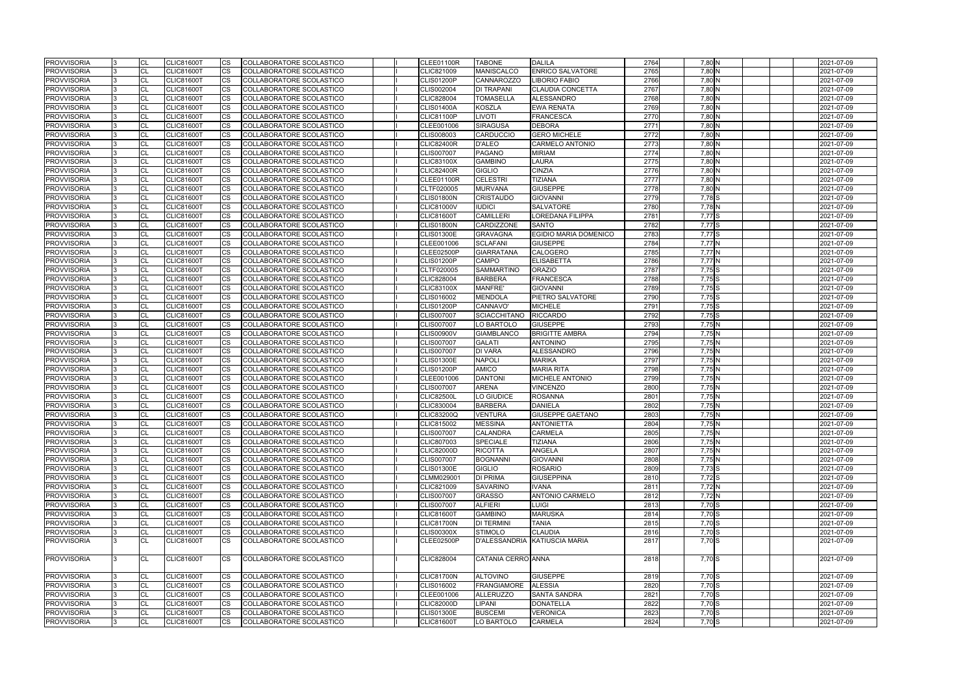| <b>PROVVISORIA</b> | CL        | <b>CLIC81600T</b> | CS                     | COLLABORATORE SCOLASTICO        |  | <b>CLEE01100R</b> | <b>TABONE</b>       | <b>DALILA</b>                 | 2764 | 7,80 N            |  | 2021-07-09 |
|--------------------|-----------|-------------------|------------------------|---------------------------------|--|-------------------|---------------------|-------------------------------|------|-------------------|--|------------|
| <b>PROVVISORIA</b> | <b>CL</b> | <b>CLIC81600T</b> | <b>CS</b>              | COLLABORATORE SCOLASTICO        |  | CLIC821009        | <b>MANISCALCO</b>   | <b>ENRICO SALVATORE</b>       | 2765 | 7,80N             |  | 2021-07-09 |
| <b>PROVVISORIA</b> | CL        | <b>CLIC81600T</b> | <b>CS</b>              | <b>COLLABORATORE SCOLASTICO</b> |  | <b>CLIS01200P</b> | <b>CANNAROZZO</b>   | <b>LIBORIO FABIO</b>          | 2766 | $7,80$ N          |  | 2021-07-09 |
| <b>PROVVISORIA</b> | CL        | <b>CLIC81600T</b> | CS                     | COLLABORATORE SCOLASTICO        |  | <b>CLIS002004</b> | <b>DI TRAPANI</b>   | <b>CLAUDIA CONCETTA</b>       | 2767 | 7,80 N            |  | 2021-07-09 |
| <b>PROVVISORIA</b> | CL        | CLIC81600T        | CS                     | COLLABORATORE SCOLASTICO        |  | CLIC828004        | <b>TOMASELLA</b>    | <b>ALESSANDRO</b>             | 2768 | 7,80 N            |  | 2021-07-09 |
| <b>PROVVISORIA</b> | CL        | <b>CLIC81600T</b> | $\overline{\text{cs}}$ | COLLABORATORE SCOLASTICO        |  | <b>CLIS01400A</b> | <b>KOSZLA</b>       | <b>EWA RENATA</b>             | 2769 | $7,80$ N          |  | 2021-07-09 |
| <b>PROVVISORIA</b> | CL        | <b>CLIC81600T</b> | <b>CS</b>              | <b>COLLABORATORE SCOLASTICO</b> |  | <b>CLIC81100P</b> | <b>LIVOTI</b>       | <b>FRANCESCA</b>              | 2770 | 7,80 N            |  | 2021-07-09 |
| <b>PROVVISORIA</b> | CL        | <b>CLIC81600T</b> | <b>CS</b>              | COLLABORATORE SCOLASTICO        |  | CLEE001006        | <b>SIRAGUSA</b>     | <b>DEBORA</b>                 | 2771 | 7,80 N            |  | 2021-07-09 |
| <b>PROVVISORIA</b> | CL        | <b>CLIC81600T</b> | $\overline{\text{cs}}$ | COLLABORATORE SCOLASTICO        |  | CLIS008003        | <b>CARDUCCIO</b>    | <b>GERO MICHELE</b>           | 2772 | 7,80N             |  | 2021-07-09 |
| <b>PROVVISORIA</b> | CL        | <b>CLIC81600T</b> | CS                     | COLLABORATORE SCOLASTICO        |  | <b>CLIC82400R</b> | <b>D'ALEO</b>       | <b>CARMELO ANTONIO</b>        | 2773 | 7,80 N            |  | 2021-07-09 |
| <b>PROVVISORIA</b> | CL        | <b>CLIC81600T</b> | <b>CS</b>              | COLLABORATORE SCOLASTICO        |  | <b>CLIS007007</b> | <b>PAGANO</b>       | <b>MIRIAM</b>                 | 2774 | 7,80 N            |  | 2021-07-09 |
| <b>PROVVISORIA</b> | CL        | <b>CLIC81600T</b> | <b>CS</b>              | COLLABORATORE SCOLASTICO        |  | <b>CLIC83100X</b> | <b>GAMBINO</b>      | LAURA                         | 2775 | 7,80N             |  | 2021-07-09 |
| <b>PROVVISORIA</b> | CL        | <b>CLIC81600T</b> | <b>CS</b>              | COLLABORATORE SCOLASTICO        |  | <b>CLIC82400R</b> | <b>GIGLIO</b>       | <b>CINZIA</b>                 | 2776 | 7,80 N            |  | 2021-07-09 |
| <b>PROVVISORIA</b> | <b>CL</b> | <b>CLIC81600T</b> | <b>CS</b>              | COLLABORATORE SCOLASTICO        |  | <b>CLEE01100R</b> | <b>CELESTRI</b>     | <b>TIZIANA</b>                | 2777 | 7,80 N            |  | 2021-07-09 |
| <b>PROVVISORIA</b> | CL        | <b>CLIC81600T</b> | <b>CS</b>              | COLLABORATORE SCOLASTICO        |  | CLTF020005        | <b>MURVANA</b>      | <b>GIUSEPPE</b>               | 2778 | 7,80N             |  | 2021-07-09 |
| <b>PROVVISORIA</b> | CL        | <b>CLIC81600T</b> | <b>CS</b>              | COLLABORATORE SCOLASTICO        |  | <b>CLIS01800N</b> | <b>CRISTAUDO</b>    | <b>GIOVANNI</b>               | 2779 | 7,78 S            |  | 2021-07-09 |
| <b>PROVVISORIA</b> | CL        | <b>CLIC81600T</b> | CS                     | COLLABORATORE SCOLASTICO        |  | <b>CLIC81000V</b> | <b>IUDICI</b>       | SALVATORE                     | 2780 | 7,78 N            |  | 2021-07-09 |
| <b>PROVVISORIA</b> | CL        | <b>CLIC81600T</b> | <b>CS</b>              | COLLABORATORE SCOLASTICO        |  | <b>CLIC81600T</b> | <b>CAMILLERI</b>    | <b>LOREDANA FILIPPA</b>       | 2781 | 7,77 S            |  | 2021-07-09 |
| <b>PROVVISORIA</b> | CL        | <b>CLIC81600T</b> | <b>CS</b>              | COLLABORATORE SCOLASTICO        |  | <b>CLIS01800N</b> | CARDIZZONE          | <b>SANTO</b>                  | 2782 | 7,77 S            |  | 2021-07-09 |
| <b>PROVVISORIA</b> | CL        | <b>CLIC81600T</b> | <b>CS</b>              | COLLABORATORE SCOLASTICO        |  | <b>CLIS01300E</b> | <b>GRAVAGNA</b>     | EGIDIO MARIA DOMENICO         | 2783 | 7,77 <sup>S</sup> |  | 2021-07-09 |
| <b>PROVVISORIA</b> | CL        | <b>CLIC81600T</b> | <b>CS</b>              | COLLABORATORE SCOLASTICO        |  | CLEE001006        | <b>SCLAFANI</b>     | <b>GIUSEPPE</b>               | 2784 | 7,77N             |  | 2021-07-09 |
| <b>PROVVISORIA</b> | CL        | <b>CLIC81600T</b> | $\overline{\text{cs}}$ | COLLABORATORE SCOLASTICO        |  | <b>CLEE02500P</b> | <b>GIARRATANA</b>   | <b>CALOGERO</b>               | 2785 | $7,77$ N          |  | 2021-07-09 |
| <b>PROVVISORIA</b> | CL        | <b>CLIC81600T</b> | CS                     | <b>COLLABORATORE SCOLASTICO</b> |  | <b>CLIS01200P</b> | <b>CAMPO</b>        | <b>ELISABETTA</b>             | 2786 | $7,77$ N          |  | 2021-07-09 |
| <b>PROVVISORIA</b> | CL        | CLIC81600T        | CS                     | COLLABORATORE SCOLASTICO        |  | CLTF020005        | <b>SAMMARTINO</b>   | <b>ORAZIO</b>                 | 2787 | $7,75$ S          |  | 2021-07-09 |
|                    |           |                   |                        |                                 |  |                   |                     |                               |      |                   |  |            |
| <b>PROVVISORIA</b> | <b>CL</b> | <b>CLIC81600T</b> | <b>CS</b>              | COLLABORATORE SCOLASTICO        |  | CLIC828004        | <b>BARBERA</b>      | <b>FRANCESCA</b>              | 2788 | 7,75 S            |  | 2021-07-09 |
| <b>PROVVISORIA</b> | CL        | <b>CLIC81600T</b> | <b>CS</b>              | COLLABORATORE SCOLASTICO        |  | <b>CLIC83100X</b> | <b>MANFRE'</b>      | <b>GIOVANNI</b>               | 2789 | $7,75$ S          |  | 2021-07-09 |
| <b>PROVVISORIA</b> | CL        | <b>CLIC81600T</b> | <b>CS</b>              | COLLABORATORE SCOLASTICO        |  | CLIS016002        | <b>MENDOLA</b>      | PIETRO SALVATORE              | 2790 | 7,75 S            |  | 2021-07-09 |
| <b>PROVVISORIA</b> | CL        | <b>CLIC81600T</b> | $\overline{\text{cs}}$ | COLLABORATORE SCOLASTICO        |  | <b>CLIS01200P</b> | CANNAVO'            | <b>MICHELE</b>                | 2791 | 7,75 S            |  | 2021-07-09 |
| <b>PROVVISORIA</b> | CL        | <b>CLIC81600T</b> | <b>CS</b>              | COLLABORATORE SCOLASTICO        |  | <b>CLIS007007</b> | <b>SCIACCHITANO</b> | <b>RICCARDO</b>               | 2792 | 7,75 S            |  | 2021-07-09 |
| <b>PROVVISORIA</b> | CL        | <b>CLIC81600T</b> | CS                     | COLLABORATORE SCOLASTICO        |  | <b>CLIS007007</b> | LO BARTOLO          | <b>GIUSEPPE</b>               | 2793 | 7,75N             |  | 2021-07-09 |
| <b>PROVVISORIA</b> | <b>CL</b> | <b>CLIC81600T</b> | $\overline{\text{cs}}$ | COLLABORATORE SCOLASTICO        |  | <b>CLIS00900V</b> | <b>GIAMBLANCO</b>   | <b>BRIGITTE AMBRA</b>         | 2794 | 7,75N             |  | 2021-07-09 |
| <b>PROVVISORIA</b> | CL        | <b>CLIC81600T</b> | CS                     | COLLABORATORE SCOLASTICO        |  | <b>CLIS007007</b> | <b>GALATI</b>       | <b>ANTONINO</b>               | 2795 | 7,75N             |  | 2021-07-09 |
| <b>PROVVISORIA</b> | CL        | <b>CLIC81600T</b> | <b>CS</b>              | COLLABORATORE SCOLASTICO        |  | <b>CLIS007007</b> | <b>DI VARA</b>      | <b>ALESSANDRO</b>             | 2796 | 7,75 N            |  | 2021-07-09 |
| <b>PROVVISORIA</b> | CL        | <b>CLIC81600T</b> | <b>CS</b>              | COLLABORATORE SCOLASTICO        |  | <b>CLIS01300E</b> | <b>NAPOLI</b>       | <b>MARIKA</b>                 | 2797 | 7,75N             |  | 2021-07-09 |
| <b>PROVVISORIA</b> | CL        | <b>CLIC81600T</b> | CS                     | COLLABORATORE SCOLASTICO        |  | <b>CLIS01200P</b> | <b>AMICO</b>        | <b>MARIA RITA</b>             | 2798 | 7,75 N            |  | 2021-07-09 |
| <b>PROVVISORIA</b> | CL        | <b>CLIC81600T</b> | CS                     | COLLABORATORE SCOLASTICO        |  | CLEE001006        | <b>DANTONI</b>      | MICHELE ANTONIO               | 2799 | 7,75 N            |  | 2021-07-09 |
| <b>PROVVISORIA</b> | CL        | <b>CLIC81600T</b> | <b>CS</b>              | COLLABORATORE SCOLASTICO        |  | <b>CLIS007007</b> | <b>ARENA</b>        | <b>VINCENZO</b>               | 2800 | 7,75N             |  | 2021-07-09 |
| <b>PROVVISORIA</b> | CL        | <b>CLIC81600T</b> | <b>CS</b>              | COLLABORATORE SCOLASTICO        |  | <b>CLIC82500L</b> | LO GIUDICE          | <b>ROSANNA</b>                | 2801 | 7,75 N            |  | 2021-07-09 |
| <b>PROVVISORIA</b> | CL        | <b>CLIC81600T</b> | <b>CS</b>              | <b>COLLABORATORE SCOLASTICO</b> |  | <b>CLIC830004</b> | <b>BARBERA</b>      | <b>DANIELA</b>                | 2802 | 7,75N             |  | 2021-07-09 |
| <b>PROVVISORIA</b> | CL        | <b>CLIC81600T</b> | <b>CS</b>              | COLLABORATORE SCOLASTICO        |  | <b>CLIC83200Q</b> | <b>VENTURA</b>      | <b>GIUSEPPE GAETANO</b>       | 2803 | 7,75N             |  | 2021-07-09 |
| <b>PROVVISORIA</b> | <b>CL</b> | <b>CLIC81600T</b> | CS.                    | COLLABORATORE SCOLASTICO        |  | CLIC815002        | <b>MESSINA</b>      | <b>ANTONIETTA</b>             | 2804 | 7,75N             |  | 2021-07-09 |
| <b>PROVVISORIA</b> | <b>CL</b> | <b>CLIC81600T</b> | <b>CS</b>              | COLLABORATORE SCOLASTICO        |  | <b>CLIS007007</b> | <b>CALANDRA</b>     | <b>CARMELA</b>                | 2805 | 7,75N             |  | 2021-07-09 |
| <b>PROVVISORIA</b> | <b>CL</b> | <b>CLIC81600T</b> | <b>CS</b>              | COLLABORATORE SCOLASTICO        |  | CLIC807003        | <b>SPECIALE</b>     | TIZIANA                       | 2806 | 7,75 N            |  | 2021-07-09 |
| <b>PROVVISORIA</b> | CL        | <b>CLIC81600T</b> | <b>CS</b>              | COLLABORATORE SCOLASTICO        |  | <b>CLIC82000D</b> | <b>RICOTTA</b>      | ANGELA                        | 2807 | $7,75$ N          |  | 2021-07-09 |
| <b>PROVVISORIA</b> | CL        | <b>CLIC81600T</b> | <b>CS</b>              | COLLABORATORE SCOLASTICO        |  | <b>CLIS007007</b> | <b>BOGNANNI</b>     | <b>GIOVANNI</b>               | 2808 | 7,75N             |  | 2021-07-09 |
| <b>PROVVISORIA</b> | <b>CL</b> | <b>CLIC81600T</b> | <b>CS</b>              | COLLABORATORE SCOLASTICO        |  | <b>CLIS01300E</b> | <b>GIGLIO</b>       | <b>ROSARIO</b>                | 2809 | 7,73 S            |  | 2021-07-09 |
| <b>PROVVISORIA</b> | <b>CL</b> | <b>CLIC81600T</b> | <b>CS</b>              | COLLABORATORE SCOLASTICO        |  | CLMM029001        | <b>DI PRIMA</b>     | <b>GIUSEPPINA</b>             | 2810 | 7,72 S            |  | 2021-07-09 |
| <b>PROVVISORIA</b> | CL        | <b>CLIC81600T</b> | <b>CS</b>              | COLLABORATORE SCOLASTICO        |  | CLIC821009        | <b>SAVARINO</b>     | <b>IVANA</b>                  | 2811 | 7,72N             |  | 2021-07-09 |
| <b>PROVVISORIA</b> | <b>CL</b> | <b>CLIC81600T</b> | <b>CS</b>              | COLLABORATORE SCOLASTICO        |  | <b>CLIS007007</b> | <b>GRASSO</b>       | <b>ANTONIO CARMELO</b>        | 2812 | 7,72N             |  | 2021-07-09 |
| <b>PROVVISORIA</b> | <b>CL</b> | <b>CLIC81600T</b> | CS                     | COLLABORATORE SCOLASTICO        |  | <b>CLIS007007</b> | <b>ALFIERI</b>      | LUIGI                         | 2813 | 7,70S             |  | 2021-07-09 |
| <b>PROVVISORIA</b> | <b>CL</b> | <b>CLIC81600T</b> | <b>CS</b>              | COLLABORATORE SCOLASTICO        |  | <b>CLIC81600T</b> | <b>GAMBINO</b>      | <b>MARUSKA</b>                | 2814 | 7,70 S            |  | 2021-07-09 |
| <b>PROVVISORIA</b> | <b>CL</b> | <b>CLIC81600T</b> | <b>CS</b>              | COLLABORATORE SCOLASTICO        |  | <b>CLIC81700N</b> | <b>DI TERMINI</b>   | <b>TANIA</b>                  | 2815 | 7,70 S            |  | 2021-07-09 |
| <b>PROVVISORIA</b> | <b>CL</b> | <b>CLIC81600T</b> | CS                     | COLLABORATORE SCOLASTICO        |  | <b>CLIS00300X</b> | <b>STIMOLO</b>      | <b>CLAUDIA</b>                | 2816 | 7,70 S            |  | 2021-07-09 |
| <b>PROVVISORIA</b> | <b>CL</b> | <b>CLIC81600T</b> | <b>CS</b>              | COLLABORATORE SCOLASTICO        |  | <b>CLEE02500P</b> |                     | D'ALESSANDRIA KATIUSCIA MARIA | 2817 | 7,70 S            |  | 2021-07-09 |
|                    |           |                   |                        |                                 |  |                   |                     |                               |      |                   |  |            |
| <b>PROVVISORIA</b> | <b>CL</b> | <b>CLIC81600T</b> | <b>CS</b>              | COLLABORATORE SCOLASTICO        |  | <b>CLIC828004</b> | CATANIA CERRO ANNA  |                               | 2818 | 7,70 S            |  | 2021-07-09 |
| <b>PROVVISORIA</b> | <b>CL</b> | <b>CLIC81600T</b> | CS                     | COLLABORATORE SCOLASTICO        |  | <b>CLIC81700N</b> | <b>ALTOVINO</b>     | <b>GIUSEPPE</b>               | 2819 | 7,70 S            |  | 2021-07-09 |
| <b>PROVVISORIA</b> | <b>CL</b> | <b>CLIC81600T</b> | <b>CS</b>              | COLLABORATORE SCOLASTICO        |  | CLIS016002        | <b>FRANGIAMORE</b>  | <b>ALESSIA</b>                | 2820 | 7,70 S            |  | 2021-07-09 |
| <b>PROVVISORIA</b> | <b>CL</b> | <b>CLIC81600T</b> | <b>CS</b>              | COLLABORATORE SCOLASTICO        |  | CLEE001006        | <b>ALLERUZZO</b>    | <b>SANTA SANDRA</b>           | 2821 | 7,70 S            |  | 2021-07-09 |
| <b>PROVVISORIA</b> | CL        | <b>CLIC81600T</b> | <b>CS</b>              | COLLABORATORE SCOLASTICO        |  | <b>CLIC82000D</b> | LIPANI              | <b>DONATELLA</b>              | 2822 | 7,70 S            |  | 2021-07-09 |
|                    |           |                   |                        |                                 |  | <b>CLIS01300E</b> |                     | <b>VERONICA</b>               | 2823 | 7,70S             |  |            |
| <b>PROVVISORIA</b> | <b>CL</b> | <b>CLIC81600T</b> | CS                     | COLLABORATORE SCOLASTICO        |  |                   | <b>BUSCEMI</b>      |                               |      |                   |  | 2021-07-09 |
| <b>PROVVISORIA</b> | <b>CL</b> | <b>CLIC81600T</b> | <b>CS</b>              | COLLABORATORE SCOLASTICO        |  | <b>CLIC81600T</b> | LO BARTOLO          | <b>CARMELA</b>                | 2824 | 7,70 S            |  | 2021-07-09 |

|  |  | 2021-07-09 |
|--|--|------------|
|  |  | 2021-07-09 |
|  |  | 2021-07-09 |
|  |  | 2021-07-09 |
|  |  | 2021-07-09 |
|  |  | 2021-07-09 |
|  |  | 2021-07-09 |
|  |  | 2021-07-09 |
|  |  | 2021-07-09 |
|  |  | 2021-07-09 |
|  |  | 2021-07-09 |
|  |  | 2021-07-09 |
|  |  | 2021-07-09 |
|  |  | 2021-07-09 |
|  |  | 2021-07-09 |
|  |  | 2021-07-09 |
|  |  | 2021-07-09 |
|  |  | 2021-07-09 |
|  |  | 2021-07-09 |
|  |  | 2021-07-09 |
|  |  | 2021-07-09 |
|  |  | 2021-07-09 |
|  |  | 2021-07-09 |
|  |  | 2021-07-09 |
|  |  | 2021-07-09 |
|  |  | 2021-07-09 |
|  |  | 2021-07-09 |
|  |  | 2021-07-09 |
|  |  | 2021-07-09 |
|  |  | 2021-07-09 |
|  |  | 2021-07-09 |
|  |  | 2021-07-09 |
|  |  | 2021-07-09 |
|  |  | 2021-07-09 |
|  |  | 2021-07-09 |
|  |  | 2021-07-09 |
|  |  | 2021-07-09 |
|  |  | 2021-07-09 |
|  |  | 2021-07-09 |
|  |  | 2021-07-09 |
|  |  | 2021-07-09 |
|  |  | 2021-07-09 |
|  |  | 2021-07-09 |
|  |  | 2021-07-09 |
|  |  | 2021-07-09 |
|  |  | 2021-07-09 |
|  |  | 2021-07-09 |
|  |  | 2021-07-09 |
|  |  | 2021-07-09 |
|  |  | 2021-07-09 |
|  |  | 2021-07-09 |
|  |  | 2021-07-09 |
|  |  | 2021-07-09 |
|  |  | 2021-07-09 |
|  |  |            |
|  |  | 2021-07-09 |
|  |  |            |
|  |  | 2021-07-09 |
|  |  | 2021-07-09 |
|  |  | 2021-07-09 |
|  |  | 2021-07-09 |
|  |  | 2021-07-09 |
|  |  | 2021-07-09 |
|  |  |            |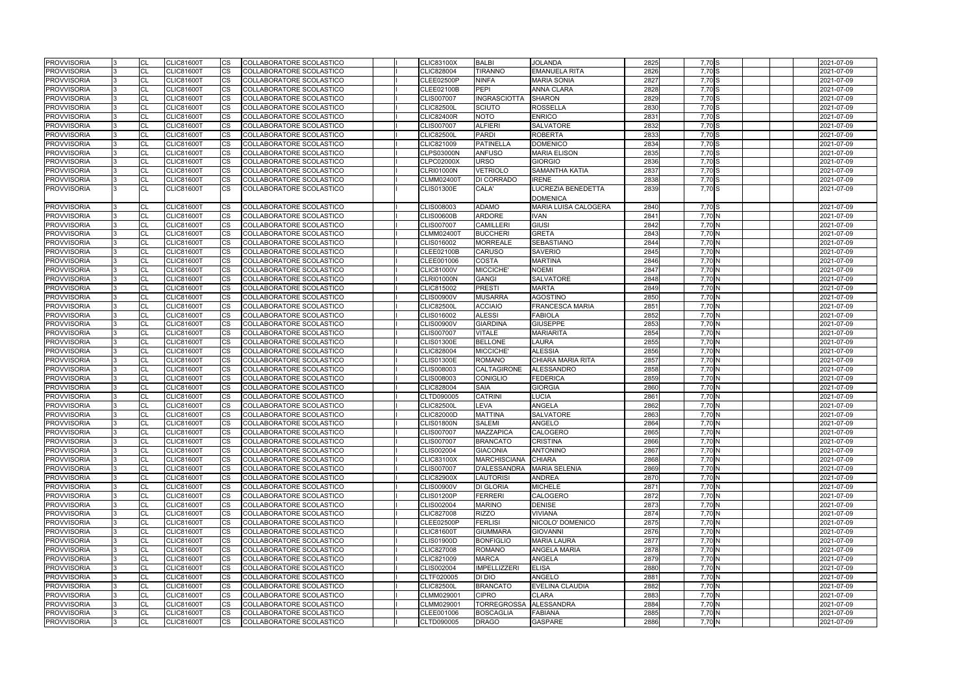| 2825 | $7,70$ S            |  |  | 2021-07-09 |
|------|---------------------|--|--|------------|
| 2826 | 7,70 S              |  |  | 2021-07-09 |
|      |                     |  |  |            |
| 2827 | 7,70 S              |  |  | 2021-07-09 |
| 2828 | $7,70$ S            |  |  | 2021-07-09 |
| 2829 | 7,70 S              |  |  | 2021-07-09 |
| 2830 | 7,70 S              |  |  | 2021-07-09 |
| 2831 | 7,70 S              |  |  | 2021-07-09 |
|      |                     |  |  |            |
| 2832 | $7,70$ S            |  |  | 2021-07-09 |
| 2833 | 7,70 S              |  |  | 2021-07-09 |
| 2834 | $7,70$ S            |  |  | 2021-07-09 |
| 2835 | $7,70$ S            |  |  | 2021-07-09 |
| 2836 | 7,70 S              |  |  | 2021-07-09 |
|      |                     |  |  |            |
| 2837 | $7,70$ S            |  |  | 2021-07-09 |
| 2838 | 7,70 S              |  |  | 2021-07-09 |
| 2839 | 7,70 S              |  |  | 2021-07-09 |
|      |                     |  |  |            |
| 2840 | 7,70 S              |  |  | 2021-07-09 |
|      |                     |  |  |            |
| 2841 | 7,70 N              |  |  | 2021-07-09 |
| 2842 | 7,70 N              |  |  | 2021-07-09 |
| 2843 | 7,70 N              |  |  | 2021-07-09 |
| 2844 | 7,70 N              |  |  | 2021-07-09 |
| 2845 | 7,70 N              |  |  | 2021-07-09 |
|      |                     |  |  | 2021-07-09 |
| 2846 | 7,70 N              |  |  |            |
| 2847 | 7,70 N              |  |  | 2021-07-09 |
| 2848 | 7,70 N              |  |  | 2021-07-09 |
| 2849 | 7,70 N              |  |  | 2021-07-09 |
| 2850 | 7,70 N              |  |  | 2021-07-09 |
|      | 7,70 N              |  |  | 2021-07-09 |
| 2851 |                     |  |  |            |
| 2852 | 7,70 N              |  |  | 2021-07-09 |
| 2853 | 7,70 N              |  |  | 2021-07-09 |
| 2854 | 7,70 N              |  |  | 2021-07-09 |
| 2855 | 7,70 N              |  |  | 2021-07-09 |
| 2856 | 7,70 N              |  |  | 2021-07-09 |
|      |                     |  |  |            |
| 2857 | 7,70 N              |  |  | 2021-07-09 |
| 2858 | 7,70 N              |  |  | 2021-07-09 |
| 2859 | 7,70 N              |  |  | 2021-07-09 |
| 2860 | 7,70 N              |  |  | 2021-07-09 |
| 2861 | $7,70$ $N$          |  |  | 2021-07-09 |
|      |                     |  |  |            |
| 2862 | 7,70 N              |  |  | 2021-07-09 |
| 2863 | 7,70 N              |  |  | 2021-07-09 |
| 2864 | 7,70N               |  |  | 2021-07-09 |
| 2865 | 7,70 N              |  |  | 2021-07-09 |
| 2866 | 7,70 N              |  |  | 2021-07-09 |
|      |                     |  |  |            |
| 2867 | 7,70 N              |  |  | 2021-07-09 |
| 2868 | 7,70 N              |  |  | 2021-07-09 |
| 2869 | 7,70 N              |  |  | 2021-07-09 |
| 2870 | $7,70$ <sub>N</sub> |  |  | 2021-07-09 |
| 2871 | 7,70 N              |  |  | 2021-07-09 |
| 2872 | 7,70 N              |  |  | 2021-07-09 |
|      |                     |  |  |            |
| 2873 | 7,70 N              |  |  | 2021-07-09 |
| 2874 | 7,70 N              |  |  | 2021-07-09 |
| 2875 | 7,70 N              |  |  | 2021-07-09 |
| 2876 | 7,70 N              |  |  | 2021-07-09 |
| 2877 | 7,70 N              |  |  | 2021-07-09 |
|      |                     |  |  |            |
| 2878 | 7,70 N              |  |  | 2021-07-09 |
| 2879 | 7,70 N              |  |  | 2021-07-09 |
| 2880 | 7,70 N              |  |  | 2021-07-09 |
| 2881 | $7,70$ N            |  |  | 2021-07-09 |
| 2882 | 7,70 N              |  |  | 2021-07-09 |
| 2883 | 7,70 N              |  |  | 2021-07-09 |
|      |                     |  |  |            |
| 2884 | 7,70 N              |  |  | 2021-07-09 |
| 2885 | 7,70 N              |  |  | 2021-07-09 |
| 2886 | 7,70 N              |  |  | 2021-07-09 |
|      |                     |  |  |            |

| <b>PROVVISORIA</b> | 13  | <b>CL</b> | <b>CLIC81600T</b> | CS        | COLLABORATORE SCOLASTICO |  | <b>CLIC83100X</b> | <b>BALBI</b>                        | <b>JOLANDA</b>         | 2825 | 7,70 S   | 2021-07-09 |
|--------------------|-----|-----------|-------------------|-----------|--------------------------|--|-------------------|-------------------------------------|------------------------|------|----------|------------|
| <b>PROVVISORIA</b> |     | <b>CL</b> | <b>CLIC81600T</b> | <b>CS</b> | COLLABORATORE SCOLASTICO |  | <b>CLIC828004</b> | <b>TIRANNO</b>                      | <b>EMANUELA RITA</b>   | 2826 | $7,70$ S | 2021-07-09 |
| <b>PROVVISORIA</b> |     | <b>CL</b> | <b>CLIC81600T</b> | CS        | COLLABORATORE SCOLASTICO |  | <b>CLEE02500P</b> | <b>NINFA</b>                        | MARIA SONIA            | 2827 | 7,70 S   | 2021-07-09 |
| <b>PROVVISORIA</b> |     | <b>CL</b> | <b>CLIC81600T</b> | CS        | COLLABORATORE SCOLASTICO |  | <b>CLEE02100B</b> | <b>PEPI</b>                         | <b>ANNA CLARA</b>      | 2828 | $7,70$ S | 2021-07-09 |
| <b>PROVVISORIA</b> |     | <b>CL</b> | <b>CLIC81600T</b> | СS        | COLLABORATORE SCOLASTICO |  | <b>CLIS007007</b> | <b>INGRASCIOTTA</b>                 | <b>SHARON</b>          | 2829 | 7,70 S   | 2021-07-09 |
| <b>PROVVISORIA</b> |     | <b>CL</b> | CLIC81600T        | CS        | COLLABORATORE SCOLASTICO |  | <b>CLIC82500L</b> | <b>SCIUTO</b>                       | <b>ROSSELLA</b>        | 2830 | 7,70 S   | 2021-07-09 |
| PROVVISORIA        |     | <b>CL</b> | <b>CLIC81600T</b> | CS        | COLLABORATORE SCOLASTICO |  | <b>CLIC82400R</b> | <b>NOTO</b>                         | <b>ENRICO</b>          | 2831 | 7,70 S   | 2021-07-09 |
| <b>PROVVISORIA</b> |     | <b>CL</b> | <b>CLIC81600T</b> | CS        | COLLABORATORE SCOLASTICO |  | <b>CLIS007007</b> | <b>ALFIERI</b>                      | SALVATORE              | 2832 | 7,70 S   | 2021-07-09 |
| <b>PROVVISORIA</b> |     | <b>CL</b> | <b>CLIC81600T</b> | CS        | COLLABORATORE SCOLASTICO |  | <b>CLIC82500L</b> | PARDI                               | <b>ROBERTA</b>         | 2833 | 7,70 S   | 2021-07-09 |
| <b>PROVVISORIA</b> |     | <b>CL</b> | <b>CLIC81600T</b> | CS.       | COLLABORATORE SCOLASTICO |  | CLIC821009        | <b>PATINELLA</b>                    | <b>DOMENICO</b>        | 2834 | 7,70 S   | 2021-07-09 |
| <b>PROVVISORIA</b> |     | <b>CL</b> | <b>CLIC81600T</b> | СS        | COLLABORATORE SCOLASTICO |  | <b>CLPS03000N</b> | <b>ANFUSO</b>                       | <b>MARIA ELISON</b>    | 2835 | $7,70$ S | 2021-07-09 |
| <b>PROVVISORIA</b> |     | <b>CL</b> | <b>CLIC81600T</b> | CS        | COLLABORATORE SCOLASTICO |  | <b>CLPC02000X</b> | <b>URSO</b>                         | <b>GIORGIO</b>         | 2836 | $7,70$ S | 2021-07-09 |
| <b>PROVVISORIA</b> |     | <b>CL</b> | <b>CLIC81600T</b> | CS        | COLLABORATORE SCOLASTICO |  | <b>CLRI01000N</b> | <b>VETRIOLO</b>                     | SAMANTHA KATIA         | 2837 | 7,70 S   | 2021-07-09 |
| <b>PROVVISORIA</b> |     | <b>CL</b> | <b>CLIC81600T</b> | CS        | COLLABORATORE SCOLASTICO |  | <b>CLMM02400T</b> | <b>DI CORRADO</b>                   | <b>IRENE</b>           | 2838 | 7,70 S   | 2021-07-09 |
| <b>PROVVISORIA</b> | Iз  | <b>CL</b> | <b>CLIC81600T</b> | <b>CS</b> | COLLABORATORE SCOLASTICO |  | <b>CLIS01300E</b> | CALA'                               | LUCREZIA BENEDETTA     | 2839 | 7,70S    | 2021-07-09 |
|                    |     |           |                   |           |                          |  |                   |                                     | DOMENICA               |      |          |            |
| <b>PROVVISORIA</b> |     | <b>CL</b> | <b>CLIC81600T</b> | СS        | COLLABORATORE SCOLASTICO |  | CLIS008003        | <b>ADAMO</b>                        | MARIA LUISA CALOGERA   | 2840 | 7,70 S   | 2021-07-09 |
| <b>PROVVISORIA</b> |     | <b>CL</b> | <b>CLIC81600T</b> | <b>CS</b> | COLLABORATORE SCOLASTICO |  | <b>CLIS00600B</b> | <b>ARDORE</b>                       | IVAN                   | 2841 | 7,70N    | 2021-07-09 |
| <b>PROVVISORIA</b> |     | <b>CL</b> | <b>CLIC81600T</b> | <b>CS</b> | COLLABORATORE SCOLASTICO |  | <b>CLIS007007</b> | <b>CAMILLERI</b>                    | GIUSI                  | 2842 | 7,70 N   | 2021-07-09 |
| PROVVISORIA        |     | <b>CL</b> | <b>CLIC81600T</b> | CS        | COLLABORATORE SCOLASTICO |  | <b>CLMM02400T</b> | <b>BUCCHERI</b>                     | GRETA                  | 2843 | 7,70 N   | 2021-07-09 |
| <b>PROVVISORIA</b> |     | <b>CL</b> | <b>CLIC81600T</b> | CS        | COLLABORATORE SCOLASTICO |  | CLIS016002        | <b>MORREALE</b>                     | <b>SEBASTIANO</b>      | 2844 | 7,70N    | 2021-07-09 |
| <b>PROVVISORIA</b> |     | <b>CL</b> | <b>CLIC81600T</b> | <b>CS</b> | COLLABORATORE SCOLASTICO |  | CLEE02100B        | <b>CARUSO</b>                       | <b>SAVERIO</b>         | 2845 | 7,70 N   | 2021-07-09 |
| <b>PROVVISORIA</b> |     | <b>CL</b> | <b>CLIC81600T</b> | СS        | COLLABORATORE SCOLASTICO |  | CLEE001006        | <b>COSTA</b>                        | MARTINA                | 2846 | 7,70 N   | 2021-07-09 |
| <b>PROVVISORIA</b> |     | <b>CL</b> | <b>CLIC81600T</b> | CS        | COLLABORATORE SCOLASTICO |  | <b>CLIC81000V</b> | MICCICHE'                           | <b>NOEMI</b>           | 2847 | 7,70 N   | 2021-07-09 |
| <b>PROVVISORIA</b> |     | <b>CL</b> | <b>CLIC81600T</b> | CS.       | COLLABORATORE SCOLASTICO |  | <b>CLRI01000N</b> | <b>GANGI</b>                        | <b>SALVATORE</b>       | 2848 | 7,70 N   | 2021-07-09 |
| <b>PROVVISORIA</b> |     | <b>CL</b> | <b>CLIC81600T</b> | CS        | COLLABORATORE SCOLASTICO |  | CLIC815002        | <b>PRESTI</b>                       | MARTA                  | 2849 | 7,70 N   | 2021-07-09 |
| <b>PROVVISORIA</b> |     | <b>CL</b> | <b>CLIC81600T</b> | CS        | COLLABORATORE SCOLASTICO |  | <b>CLIS00900V</b> | <b>MUSARRA</b>                      | <b>AGOSTINO</b>        | 2850 | 7,70 N   | 2021-07-09 |
| <b>PROVVISORIA</b> |     | <b>CL</b> | <b>CLIC81600T</b> | CS.       | COLLABORATORE SCOLASTICO |  | <b>CLIC82500L</b> | <b>ACCIAIO</b>                      | <b>FRANCESCA MARIA</b> | 2851 | 7,70 N   | 2021-07-09 |
| <b>PROVVISORIA</b> |     | <b>CL</b> | <b>CLIC81600T</b> | CS        | COLLABORATORE SCOLASTICO |  | CLIS016002        | <b>ALESSI</b>                       | <b>FABIOLA</b>         | 2852 | 7,70N    | 2021-07-09 |
| <b>PROVVISORIA</b> |     | <b>CL</b> | <b>CLIC81600T</b> | СS        | COLLABORATORE SCOLASTICO |  | <b>CLIS00900V</b> | <b>GIARDINA</b>                     | <b>GIUSEPPE</b>        | 2853 | 7,70N    | 2021-07-09 |
| <b>PROVVISORIA</b> |     | <b>CL</b> | <b>CLIC81600T</b> | CS.       | COLLABORATORE SCOLASTICO |  | CLIS007007        | <b>VITALE</b>                       | MARIARITA              | 2854 | 7,70 N   | 2021-07-09 |
| <b>PROVVISORIA</b> |     | <b>CL</b> | <b>CLIC81600T</b> | <b>CS</b> | COLLABORATORE SCOLASTICO |  | <b>CLIS01300E</b> | <b>BELLONE</b>                      | LAURA                  | 2855 | 7,70 N   | 2021-07-09 |
| <b>PROVVISORIA</b> |     | <b>CL</b> | <b>CLIC81600T</b> | CS        | COLLABORATORE SCOLASTICO |  | <b>CLIC828004</b> | MICCICHE'                           | <b>ALESSIA</b>         | 2856 | 7,70 N   | 2021-07-09 |
| <b>PROVVISORIA</b> |     | <b>CL</b> | CLIC81600T        | CS        | COLLABORATORE SCOLASTICO |  | <b>CLIS01300E</b> | <b>ROMANO</b>                       | CHIARA MARIA RITA      | 2857 | 7,70 N   | 2021-07-09 |
| PROVVISORIA        |     | <b>CL</b> | <b>CLIC81600T</b> | CS.       | COLLABORATORE SCOLASTICO |  | CLIS008003        | <b>CALTAGIRONE</b>                  | <b>ALESSANDRO</b>      | 2858 | 7,70 N   | 2021-07-09 |
| <b>PROVVISORIA</b> |     | <b>CL</b> | <b>CLIC81600T</b> | СS        | COLLABORATORE SCOLASTICO |  | CLIS008003        | <b>CONIGLIO</b>                     | <b>FEDERICA</b>        | 2859 | 7,70N    | 2021-07-09 |
| <b>PROVVISORIA</b> |     | <b>CL</b> | <b>CLIC81600T</b> | CS        | COLLABORATORE SCOLASTICO |  | <b>CLIC828004</b> | <b>SAIA</b>                         | <b>GIORGIA</b>         | 2860 | 7,70 N   | 2021-07-09 |
| <b>PROVVISORIA</b> |     | <b>CL</b> | <b>CLIC81600T</b> | CS        | COLLABORATORE SCOLASTICO |  | CLTD090005        | <b>CATRINI</b>                      | LUCIA                  | 2861 | 7,70 N   | 2021-07-09 |
| <b>PROVVISORIA</b> |     | <b>CL</b> | <b>CLIC81600T</b> | CS        | COLLABORATORE SCOLASTICO |  | <b>CLIC82500L</b> | <b>LEVA</b>                         | <b>ANGELA</b>          | 2862 | 7,70 N   | 2021-07-09 |
| <b>PROVVISORIA</b> | 13  | <b>CL</b> | CLIC81600T        | <b>CS</b> | COLLABORATORE SCOLASTICO |  | <b>CLIC82000D</b> | <b>MATTINA</b>                      | <b>SALVATORE</b>       | 2863 | 7,70 N   | 2021-07-09 |
| <b>PROVVISORIA</b> | l3. | <b>CI</b> | <b>CLIC81600T</b> | <b>CS</b> | COLLABORATORE SCOLASTICO |  | <b>CLIS01800N</b> | <b>SALEMI</b>                       | ANGELO                 | 2864 | 7,70 N   | 2021-07-09 |
| <b>PROVVISORIA</b> |     | <b>CL</b> | <b>CLIC81600T</b> | СS        | COLLABORATORE SCOLASTICO |  | <b>CLIS007007</b> | <b>MAZZAPICA</b>                    | CALOGERO               | 2865 | 7,70 N   | 2021-07-09 |
| <b>PROVVISORIA</b> |     | <b>CL</b> | <b>CLIC81600T</b> | CS        | COLLABORATORE SCOLASTICO |  | <b>CLIS007007</b> | <b>BRANCATO</b>                     | <b>CRISTINA</b>        | 2866 | 7,70 N   | 2021-07-09 |
| <b>PROVVISORIA</b> |     | <b>CL</b> | <b>CLIC81600T</b> | <b>CS</b> | COLLABORATORE SCOLASTICO |  | <b>CLIS002004</b> | <b>GIACONIA</b>                     | <b>ANTONINO</b>        | 2867 | 7,70 N   | 2021-07-09 |
| <b>PROVVISORIA</b> |     | <b>CL</b> | <b>CLIC81600T</b> | CS        | COLLABORATORE SCOLASTICO |  | <b>CLIC83100X</b> | <b>MARCHISCIANA</b>                 | <b>CHIARA</b>          | 2868 | 7,70 N   | 2021-07-09 |
| <b>PROVVISORIA</b> |     | <b>CL</b> | <b>CLIC81600T</b> | CS        | COLLABORATORE SCOLASTICO |  | <b>CLIS007007</b> | <b>D'ALESSANDRA</b>                 | <b>MARIA SELENIA</b>   | 2869 | 7,70N    | 2021-07-09 |
| <b>PROVVISORIA</b> |     | <b>CL</b> | <b>CLIC81600T</b> | CS        | COLLABORATORE SCOLASTICO |  | <b>CLIC82900X</b> | <b>LAUTORISI</b>                    | <b>ANDREA</b>          | 2870 | 7,70 N   | 2021-07-09 |
| <b>PROVVISORIA</b> |     | <b>CL</b> | <b>CLIC81600T</b> | CS        | COLLABORATORE SCOLASTICO |  | <b>CLIS00900V</b> | <b>DI GLORIA</b>                    | <b>MICHELE</b>         | 2871 | 7,70 N   | 2021-07-09 |
| <b>PROVVISORIA</b> |     | <b>CL</b> | <b>CLIC81600T</b> | CS        | COLLABORATORE SCOLASTICO |  | <b>CLIS01200P</b> | <b>FERRERI</b>                      | CALOGERO               | 2872 | 7,70 N   | 2021-07-09 |
| <b>PROVVISORIA</b> |     | <b>CL</b> | <b>CLIC81600T</b> | CS        | COLLABORATORE SCOLASTICO |  | CLIS002004        | <b>MARINO</b>                       | <b>DENISE</b>          | 2873 | 7,70 N   | 2021-07-09 |
| <b>PROVVISORIA</b> |     | <b>CL</b> | <b>CLIC81600T</b> | CS        | COLLABORATORE SCOLASTICO |  | <b>CLIC827008</b> | <b>RIZZO</b>                        | <b>VIVIANA</b>         | 2874 | 7,70 N   | 2021-07-09 |
| <b>PROVVISORIA</b> |     | <b>CL</b> | <b>CLIC81600T</b> | CS        | COLLABORATORE SCOLASTICO |  | <b>CLEE02500P</b> | <b>FERLISI</b>                      | NICOLO' DOMENICO       | 2875 | 7,70 N   | 2021-07-09 |
| <b>PROVVISORIA</b> |     | <b>CL</b> | <b>CLIC81600T</b> | CS.       |                          |  | <b>CLIC81600T</b> |                                     | <b>GIOVANNI</b>        | 2876 | 7,70 N   | 2021-07-09 |
| <b>PROVVISORIA</b> |     |           |                   |           | COLLABORATORE SCOLASTICO |  |                   | <b>GIUMMARA</b><br><b>BONFIGLIO</b> | <b>MARIA LAURA</b>     | 2877 | 7,70N    |            |
|                    |     | <b>CL</b> | <b>CLIC81600T</b> | <b>CS</b> | COLLABORATORE SCOLASTICO |  | <b>CLIS01900D</b> |                                     | ANGELA MARIA           | 2878 | 7,70 N   | 2021-07-09 |
| <b>PROVVISORIA</b> |     | <b>CL</b> | <b>CLIC81600T</b> | CS        | COLLABORATORE SCOLASTICO |  | <b>CLIC827008</b> | <b>ROMANO</b>                       |                        |      |          | 2021-07-09 |
| <b>PROVVISORIA</b> |     | <b>CL</b> | <b>CLIC81600T</b> | CS        | COLLABORATORE SCOLASTICO |  | CLIC821009        | <b>MARCA</b>                        | ANGELA                 | 2879 | 7,70 N   | 2021-07-09 |
| <b>PROVVISORIA</b> |     | <b>CL</b> | <b>CLIC81600T</b> | CS        | COLLABORATORE SCOLASTICO |  | CLIS002004        | <b>IMPELLIZZERI</b>                 | <b>ELISA</b>           | 2880 | 7,70 N   | 2021-07-09 |
| <b>PROVVISORIA</b> |     | <b>CL</b> | <b>CLIC81600T</b> | CS        | COLLABORATORE SCOLASTICO |  | CLTF020005        | DI DIO                              | <b>ANGELO</b>          | 2881 | 7,70 N   | 2021-07-09 |
| <b>PROVVISORIA</b> |     | <b>CL</b> | <b>CLIC81600T</b> | CS        | COLLABORATORE SCOLASTICO |  | <b>CLIC82500L</b> | <b>BRANCATO</b>                     | EVELINA CLAUDIA        | 2882 | 7,70 N   | 2021-07-09 |
| PROVVISORIA        |     | <b>CL</b> | <b>CLIC81600T</b> | CS        | COLLABORATORE SCOLASTICO |  | CLMM029001        | <b>CIPRO</b>                        | <b>CLARA</b>           | 2883 | 7,70 N   | 2021-07-09 |
| <b>PROVVISORIA</b> |     | <b>CL</b> | CLIC81600T        | СS        | COLLABORATORE SCOLASTICO |  | CLMM029001        | TORREGROSSA                         | <b>ALESSANDRA</b>      | 2884 | 7,70 N   | 2021-07-09 |
| <b>PROVVISORIA</b> |     | <b>CL</b> | <b>CLIC81600T</b> | CS        | COLLABORATORE SCOLASTICO |  | CLEE001006        | <b>BOSCAGLIA</b>                    | FABIANA                | 2885 | 7,70 N   | 2021-07-09 |
| <b>PROVVISORIA</b> |     | <b>CL</b> | <b>CLIC81600T</b> | CS        | COLLABORATORE SCOLASTICO |  | CLTD090005        | <b>DRAGO</b>                        | GASPARE                | 2886 | 7,70 N   | 2021-07-09 |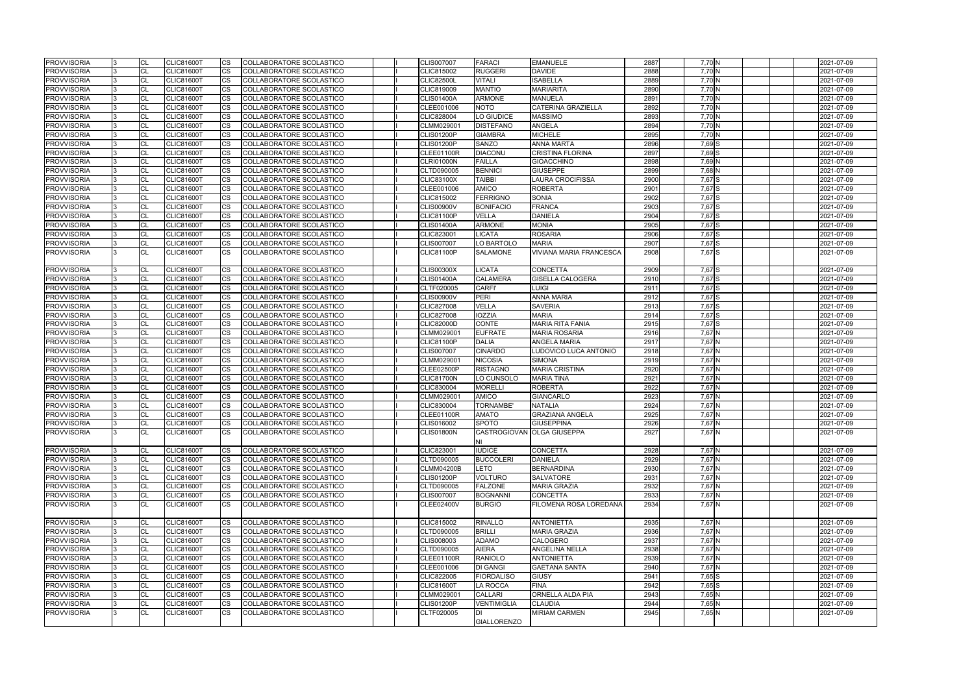| 2888<br>7,70N<br><b>PROVVISORIA</b><br>CL<br><b>CLIC81600T</b><br><b>CS</b><br>COLLABORATORE SCOLASTICO<br><b>CLIC815002</b><br><b>RUGGERI</b><br><b>DAVIDE</b><br>7,70N<br><b>PROVVISORIA</b><br><b>CS</b><br><b>VITALI</b><br><b>ISABELLA</b><br>2889<br><b>CL</b><br><b>CLIC81600T</b><br>COLLABORATORE SCOLASTICO<br><b>CLIC82500L</b><br><b>PROVVISORIA</b><br>CL<br><b>CLIC81600T</b><br>CS<br>COLLABORATORE SCOLASTICO<br>CLIC819009<br><b>MANTIO</b><br><b>MARIARITA</b><br>2890<br>7,70 N<br>7,70 N<br>CL<br><b>PROVVISORIA</b><br><b>CLIC81600T</b><br>CS<br><b>ARMONE</b><br>2891<br>COLLABORATORE SCOLASTICO<br><b>CLIS01400A</b><br>MANUELA<br>2892<br>7,70N<br>$\overline{\text{cs}}$<br><b>PROVVISORIA</b><br><b>CL</b><br><b>CLIC81600T</b><br>COLLABORATORE SCOLASTICO<br>CLEE001006<br><b>NOTO</b><br><b>CATERINA GRAZIELLA</b><br><b>CS</b><br>2893<br>7,70 N<br><b>PROVVISORIA</b><br>CL<br>CLIC828004<br>LO GIUDICE<br><b>MASSIMO</b><br><b>CLIC81600T</b><br><b>COLLABORATORE SCOLASTICO</b><br><b>PROVVISORIA</b><br><b>CLIC81600T</b><br><b>CS</b><br>COLLABORATORE SCOLASTICO<br>CLMM029001<br><b>DISTEFANO</b><br><b>ANGELA</b><br>2894<br>7,70 N<br>CL<br>2895<br>7,70N<br><b>PROVVISORIA</b><br><b>CS</b><br><b>GIAMBRA</b><br><b>MICHELE</b><br>CL<br><b>CLIC81600T</b><br>COLLABORATORE SCOLASTICO<br><b>CLIS01200P</b><br>2021-07-09<br>7,69 S<br><b>PROVVISORIA</b><br>CL<br><b>CLIC81600T</b><br>CS<br>COLLABORATORE SCOLASTICO<br><b>SANZO</b><br><b>ANNA MARTA</b><br>2896<br><b>CLIS01200P</b><br>2021-07-09<br><b>PROVVISORIA</b><br>CL<br><b>CS</b><br>2897<br>7,69 S<br><b>CLIC81600T</b><br>COLLABORATORE SCOLASTICO<br>CLEE01100R<br><b>DIACONU</b><br>CRISTINA FLORINA<br>$7,69$ N<br>2898<br><b>PROVVISORIA</b><br>CL<br><b>CS</b><br>COLLABORATORE SCOLASTICO<br><b>FAILLA</b><br><b>CLIC81600T</b><br><b>CLRI01000N</b><br><b>GIOACCHINO</b><br>2021-07-09<br><b>CS</b><br>2899<br>7,68 N<br><b>PROVVISORIA</b><br>CL<br><b>BENNICI</b><br><b>CLIC81600T</b><br>COLLABORATORE SCOLASTICO<br>CLTD090005<br><b>GIUSEPPE</b><br>2021-07-09<br>7,67 S<br><b>PROVVISORIA</b><br><b>CL</b><br><b>CLIC81600T</b><br><b>CS</b><br>COLLABORATORE SCOLASTICO<br><b>CLIC83100X</b><br><b>TAIBBI</b><br><b>LAURA CROCIFISSA</b><br>2900<br>2021-07-09<br><b>PROVVISORIA</b><br><b>AMICO</b><br>7,67 S<br>CL<br><b>CLIC81600T</b><br><b>CS</b><br>COLLABORATORE SCOLASTICO<br>CLEE001006<br><b>ROBERTA</b><br>2901<br>2021-07-09<br>7,67 S<br>CL<br><b>CS</b><br>2902<br><b>PROVVISORIA</b><br>COLLABORATORE SCOLASTICO<br><b>CLIC815002</b><br><b>FERRIGNO</b><br><b>SONIA</b><br><b>CLIC81600T</b><br>2021-07-09<br><b>PROVVISORIA</b><br>2903<br>7,67 S<br>CL<br><b>CLIC81600T</b><br>CS<br>COLLABORATORE SCOLASTICO<br><b>CLIS00900V</b><br><b>BONIFACIO</b><br><b>FRANCA</b><br>2021-07-09<br>7,67 S<br><b>PROVVISORIA</b><br>CL<br><b>CS</b><br><b>VELLA</b><br><b>DANIELA</b><br>2904<br><b>CLIC81600T</b><br>COLLABORATORE SCOLASTICO<br><b>CLIC81100P</b><br>2021-07-09<br>7,67 S<br>CL<br><b>CS</b><br><b>ARMONE</b><br>2905<br><b>PROVVISORIA</b><br><b>CLIC81600T</b><br>COLLABORATORE SCOLASTICO<br><b>CLIS01400A</b><br><b>MONIA</b><br>2021-07-09<br>2906<br>7,67 S<br><b>PROVVISORIA</b><br><b>CL</b><br><b>CLIC81600T</b><br><b>CS</b><br>COLLABORATORE SCOLASTICO<br>CLIC823001<br><b>LICATA</b><br><b>ROSARIA</b><br>2021-07-09<br><b>PROVVISORIA</b><br>7,67 S<br>CL<br><b>CLIC81600T</b><br><b>CS</b><br>COLLABORATORE SCOLASTICO<br><b>CLIS007007</b><br>LO BARTOLO<br>2907<br><b>MARIA</b><br>2021-07-09<br>CS<br>7,67 S<br><b>PROVVISORIA</b><br><b>CL</b><br><b>SALAMONE</b><br><b>VIVIANA MARIA FRANCESCA</b><br>2908<br><b>CLIC81600T</b><br>COLLABORATORE SCOLASTICO<br><b>CLIC81100P</b><br>2021-07-09<br>LICATA<br>7,67 S<br><b>PROVVISORIA</b><br>CL<br><b>CLIC81600T</b><br><b>CS</b><br>COLLABORATORE SCOLASTICO<br><b>CLIS00300X</b><br><b>CONCETTA</b><br>2909<br>2021-07-09<br>7,67 S<br><b>CS</b><br>2910<br><b>PROVVISORIA</b><br>CL<br><b>CLIC81600T</b><br>COLLABORATORE SCOLASTICO<br><b>CLIS01400A</b><br><b>CALAMERA</b><br><b>GISELLA CALOGERA</b><br>2021-07-09<br>$7,67$ S<br>$\overline{\text{cs}}$<br><b>CARFI</b><br>2911<br><b>PROVVISORIA</b><br><b>CL</b><br><b>CLIC81600T</b><br>COLLABORATORE SCOLASTICO<br>CLTF020005<br><b>LUIGI</b><br>2021-07-09<br><b>PROVVISORIA</b><br>PERI<br>7,67 S<br>CL<br><b>CLIC81600T</b><br><b>CS</b><br>COLLABORATORE SCOLASTICO<br><b>CLIS00900V</b><br><b>ANNA MARIA</b><br>2912<br>2021-07-09<br>7,67 S<br><b>PROVVISORIA</b><br>CL<br><b>CS</b><br><b>VELLA</b><br>2913<br><b>CLIC81600T</b><br>COLLABORATORE SCOLASTICO<br><b>CLIC827008</b><br><b>SAVERIA</b><br>2021-07-09<br><b>PROVVISORIA</b><br>7,67 S<br>CL<br><b>CLIC81600T</b><br>CS<br>COLLABORATORE SCOLASTICO<br><b>CLIC827008</b><br><b>IOZZIA</b><br><b>MARIA</b><br>2914<br>2021-07-09<br>7,67 S<br><b>PROVVISORIA</b><br>CL<br>CS<br><b>CLIC82000D</b><br><b>CONTE</b><br><b>MARIA RITA FANIA</b><br>2915<br>CLIC81600T<br>COLLABORATORE SCOLASTICO<br>2021-07-09<br>7,67 N<br><b>CL</b><br>CS<br><b>EUFRATE</b><br>2916<br><b>PROVVISORIA</b><br><b>CLIC81600T</b><br>COLLABORATORE SCOLASTICO<br>CLMM029001<br><b>MARIA ROSARIA</b><br>2021-07-09<br>7,67 N<br><b>PROVVISORIA</b><br>CL<br><b>CLIC81600T</b><br><b>CS</b><br>COLLABORATORE SCOLASTICO<br><b>CLIC81100P</b><br><b>DALIA</b><br>2917<br>ANGELA MARIA<br>2021-07-09<br>7,67 N<br><b>PROVVISORIA</b><br><b>CL</b><br><b>CLIC81600T</b><br><b>CS</b><br>COLLABORATORE SCOLASTICO<br><b>CLIS007007</b><br><b>CINARDO</b><br>LUDOVICO LUCA ANTONIO<br>2918<br>2021-07-09<br>$7,67$ N<br><b>PROVVISORIA</b><br><b>CS</b><br><b>NICOSIA</b><br>2919<br>CL<br><b>CLIC81600T</b><br>COLLABORATORE SCOLASTICO<br>CLMM029001<br><b>SIMONA</b><br>2021-07-09<br>CS<br>7,67 N<br><b>PROVVISORIA</b><br>CL<br><b>CLIC81600T</b><br>COLLABORATORE SCOLASTICO<br><b>CLEE02500P</b><br><b>RISTAGNO</b><br><b>MARIA CRISTINA</b><br>2920<br>7,67 N<br><b>PROVVISORIA</b><br>2921<br>CL<br><b>CLIC81600T</b><br>CS<br>COLLABORATORE SCOLASTICO<br><b>CLIC81700N</b><br>LO CUNSOLO<br><b>MARIA TINA</b><br>2922<br>$7,67$ N<br><b>PROVVISORIA</b><br><b>CL</b><br><b>CLIC81600T</b><br>CS<br>COLLABORATORE SCOLASTICO<br>CLIC830004<br><b>MORELLI</b><br><b>ROBERTA</b><br>2021-07-09<br>2923<br>7,67 N<br><b>PROVVISORIA</b><br>CL<br><b>CLIC81600T</b><br><b>CS</b><br><b>COLLABORATORE SCOLASTICO</b><br>CLMM029001<br><b>AMICO</b><br><b>GIANCARLO</b><br><b>PROVVISORIA</b><br><b>CS</b><br><b>TORNAMBE'</b><br>2924<br>7,67 N<br>CL<br><b>CLIC81600T</b><br>COLLABORATORE SCOLASTICO<br>CLIC830004<br><b>NATALIA</b><br>7,67 N<br><b>PROVVISORIA</b><br><b>CS</b><br><b>AMATO</b><br><b>GRAZIANA ANGELA</b><br>2925<br>CL<br><b>CLIC81600T</b><br>COLLABORATORE SCOLASTICO<br><b>CLEE01100R</b><br>2021-07-09<br>2926<br><b>CL</b><br><b>CLIC81600T</b><br><b>CS</b><br>COLLABORATORE SCOLASTICO<br>CLIS016002<br><b>SPOTO</b><br><b>GIUSEPPINA</b><br>7.67 N<br>7,67 N<br><b>PROVVISORIA</b><br><b>CL</b><br><b>CLIC81600T</b><br><b>CS</b><br>COLLABORATORE SCOLASTICO<br><b>CLIS01800N</b><br>CASTROGIOVAN OLGA GIUSEPPA<br>2927<br><b>PROVVISORIA</b><br><b>IUDICE</b><br>7,67 N<br>CL<br><b>CLIC81600T</b><br><b>CS</b><br>COLLABORATORE SCOLASTICO<br>CLIC823001<br><b>CONCETTA</b><br>2928<br><b>PROVVISORIA</b><br><b>CL</b><br><b>CLIC81600T</b><br><b>CS</b><br>COLLABORATORE SCOLASTICO<br>CLTD090005<br><b>BUCCOLERI</b><br><b>DANIELA</b><br>2929<br>7,67 N<br>7,67N<br><b>PROVVISORIA</b><br>2930<br><b>CL</b><br><b>CLIC81600T</b><br><b>CS</b><br>COLLABORATORE SCOLASTICO<br><b>CLMM04200B</b><br><b>LETO</b><br><b>BERNARDINA</b><br><b>PROVVISORIA</b><br>2931<br>$7,67$ N<br>CL<br><b>CLIC81600T</b><br><b>CS</b><br>COLLABORATORE SCOLASTICO<br><b>CLIS01200P</b><br><b>VOLTURO</b><br><b>SALVATORE</b><br><b>CL</b><br>7,67 N<br><b>PROVVISORIA</b><br><b>CLIC81600T</b><br>CS<br>CLTD090005<br><b>FALZONE</b><br><b>MARIA GRAZIA</b><br>2932<br>COLLABORATORE SCOLASTICO<br>2933<br>$7,67$ N<br><b>PROVVISORIA</b><br><b>CL</b><br><b>CLIC81600T</b><br>CS<br><b>CLIS007007</b><br>COLLABORATORE SCOLASTICO<br><b>BOGNANNI</b><br><b>CONCETTA</b><br>$7,67$ N<br><b>CL</b><br><b>PROVVISORIA</b><br><b>CLIC81600T</b><br><b>CS</b><br><b>BURGIO</b><br><b>FILOMENA ROSA LOREDANA</b><br>2934<br>COLLABORATORE SCOLASTICO<br><b>CLEE02400V</b><br><b>PROVVISORIA</b><br>2935<br>7,67 N<br><b>CLIC81600T</b><br>CS<br>COLLABORATORE SCOLASTICO<br>CLIC815002<br><b>RINALLO</b><br><b>ANTONIETTA</b><br><b>CL</b><br>7,67 N<br><b>PROVVISORIA</b><br>CL<br><b>CLIC81600T</b><br><b>CS</b><br>COLLABORATORE SCOLASTICO<br><b>BRILLI</b><br><b>MARIA GRAZIA</b><br>2936<br>CLTD090005<br><b>PROVVISORIA</b><br>2937<br>7,67 N<br><b>CL</b><br><b>CLIC81600T</b><br>CS<br>CLIS008003<br><b>ADAMO</b><br><b>CALOGERO</b><br>2021-07-09<br>COLLABORATORE SCOLASTICO<br>7,67N<br>2938<br><b>PROVVISORIA</b><br><b>CL</b><br><b>CLIC81600T</b><br>CS<br>COLLABORATORE SCOLASTICO<br>CLTD090005<br><b>AIERA</b><br>ANGELINA NELLA<br>2021-07-09<br>$7,67$ N<br>CL<br><b>CS</b><br>2939<br><b>CLIC81600T</b><br><b>RANIOLO</b><br><b>ANTONIETTA</b><br><b>PROVVISORIA</b><br>COLLABORATORE SCOLASTICO<br>CLEE01100R<br>2021-07-09<br>$7,67$ N<br>2940<br><b>PROVVISORIA</b><br><b>CL</b><br><b>CLIC81600T</b><br><b>CS</b><br>COLLABORATORE SCOLASTICO<br>CLEE001006<br><b>DI GANGI</b><br><b>GAETANA SANTA</b><br>2021-07-09<br>$7,65$ S<br><b>PROVVISORIA</b><br><b>CL</b><br><b>CLIC81600T</b><br><b>CS</b><br>COLLABORATORE SCOLASTICO<br><b>CLIC822005</b><br><b>FIORDALISO</b><br>2941<br><b>GIUSY</b><br>2021-07-09<br>$7,65$ S<br><b>PROVVISORIA</b><br>CL<br><b>CLIC81600T</b><br><b>CS</b><br><b>CLIC81600T</b><br>2942<br>COLLABORATORE SCOLASTICO<br><b>LA ROCCA</b><br><b>IFINA</b><br>2021-07-09<br><b>PROVVISORIA</b><br>ORNELLA ALDA PIA<br>2943<br>$7,65$ N<br><b>CL</b><br><b>CLIC81600T</b><br><b>CS</b><br>COLLABORATORE SCOLASTICO<br>CLMM029001<br><b>CALLARI</b><br>2021-07-09<br>7,65N<br><b>PROVVISORIA</b><br><b>CL</b><br><b>CLIC81600T</b><br>CS<br><b>VENTIMIGLIA</b><br>2944<br>2021-07-09<br>COLLABORATORE SCOLASTICO<br><b>CLIS01200P</b><br><b>CLAUDIA</b><br>CS.<br>2945<br>7,65 N<br><b>PROVVISORIA</b><br><b>CL</b><br><b>CLIC81600T</b><br>COLLABORATORE SCOLASTICO<br>CLTF020005<br><b>MIRIAM CARMEN</b><br>2021-07-09<br>IDI.<br><b>GIALLORENZO</b> | <b>PROVVISORIA</b> | CL | <b>CLIC81600T</b> | CS | COLLABORATORE SCOLASTICO |  | <b>CLIS007007</b> | <b>FARACI</b> | <b>EMANUELE</b> | 2887 | 7,70 N |  | 2021-07-09 |
|----------------------------------------------------------------------------------------------------------------------------------------------------------------------------------------------------------------------------------------------------------------------------------------------------------------------------------------------------------------------------------------------------------------------------------------------------------------------------------------------------------------------------------------------------------------------------------------------------------------------------------------------------------------------------------------------------------------------------------------------------------------------------------------------------------------------------------------------------------------------------------------------------------------------------------------------------------------------------------------------------------------------------------------------------------------------------------------------------------------------------------------------------------------------------------------------------------------------------------------------------------------------------------------------------------------------------------------------------------------------------------------------------------------------------------------------------------------------------------------------------------------------------------------------------------------------------------------------------------------------------------------------------------------------------------------------------------------------------------------------------------------------------------------------------------------------------------------------------------------------------------------------------------------------------------------------------------------------------------------------------------------------------------------------------------------------------------------------------------------------------------------------------------------------------------------------------------------------------------------------------------------------------------------------------------------------------------------------------------------------------------------------------------------------------------------------------------------------------------------------------------------------------------------------------------------------------------------------------------------------------------------------------------------------------------------------------------------------------------------------------------------------------------------------------------------------------------------------------------------------------------------------------------------------------------------------------------------------------------------------------------------------------------------------------------------------------------------------------------------------------------------------------------------------------------------------------------------------------------------------------------------------------------------------------------------------------------------------------------------------------------------------------------------------------------------------------------------------------------------------------------------------------------------------------------------------------------------------------------------------------------------------------------------------------------------------------------------------------------------------------------------------------------------------------------------------------------------------------------------------------------------------------------------------------------------------------------------------------------------------------------------------------------------------------------------------------------------------------------------------------------------------------------------------------------------------------------------------------------------------------------------------------------------------------------------------------------------------------------------------------------------------------------------------------------------------------------------------------------------------------------------------------------------------------------------------------------------------------------------------------------------------------------------------------------------------------------------------------------------------------------------------------------------------------------------------------------------------------------------------------------------------------------------------------------------------------------------------------------------------------------------------------------------------------------------------------------------------------------------------------------------------------------------------------------------------------------------------------------------------------------------------------------------------------------------------------------------------------------------------------------------------------------------------------------------------------------------------------------------------------------------------------------------------------------------------------------------------------------------------------------------------------------------------------------------------------------------------------------------------------------------------------------------------------------------------------------------------------------------------------------------------------------------------------------------------------------------------------------------------------------------------------------------------------------------------------------------------------------------------------------------------------------------------------------------------------------------------------------------------------------------------------------------------------------------------------------------------------------------------------------------------------------------------------------------------------------------------------------------------------------------------------------------------------------------------------------------------------------------------------------------------------------------------------------------------------------------------------------------------------------------------------------------------------------------------------------------------------------------------------------------------------------------------------------------------------------------------------------------------------------------------------------------------------------------------------------------------------------------------------------------------------------------------------------------------------------------------------------------------------------------------------------------------------------------------------------------------------------------------------------------------------------------------------------------------------------------------------------------------------------------------------------------------------------------------------------------------------------------------------------------------------------------------------------------------------------------------------------------------------------------------------------------------------------------------------------------------------------------------------------------------------------------------------------------------------------------------------------------------------------------------------------------------------------------------------------------------------------------------------------------------------------------------------------------------------------------------------------------------------------------------------------------------------------------------------------------------------------------------------------------------------------------------------------------------------------------------------------------------------------------------------------------------------------------------------------------------------------------------------------------------------------------------------------------------------------------------------------------------------------------------------------------------------------------------------------------------------------------------------------------------------------------------------------------------------------------------------------------------------------------------------------------------------------------------------------------------------------------------------------------------------------------------------------------------------------------------------------------------------------------------------------------------------------------------------------------------------------------------------------------------------------------------------------------------------------------------------------------------------------------------------------------------------------------------------------------------------------------------------------------------------------------------------------------------------------------------------------------------------------------------------------------------------------------------------------------------------------------------------------------------------------------------------------------------------------------------------------------------------------------------------------------------------------------------------------------------------------------------------------------------------------------------------------------------------------------------------------------------------------------------------------------------------------------------------------------------------------------------------------------------------------------------------------------------------|--------------------|----|-------------------|----|--------------------------|--|-------------------|---------------|-----------------|------|--------|--|------------|
|                                                                                                                                                                                                                                                                                                                                                                                                                                                                                                                                                                                                                                                                                                                                                                                                                                                                                                                                                                                                                                                                                                                                                                                                                                                                                                                                                                                                                                                                                                                                                                                                                                                                                                                                                                                                                                                                                                                                                                                                                                                                                                                                                                                                                                                                                                                                                                                                                                                                                                                                                                                                                                                                                                                                                                                                                                                                                                                                                                                                                                                                                                                                                                                                                                                                                                                                                                                                                                                                                                                                                                                                                                                                                                                                                                                                                                                                                                                                                                                                                                                                                                                                                                                                                                                                                                                                                                                                                                                                                                                                                                                                                                                                                                                                                                                                                                                                                                                                                                                                                                                                                                                                                                                                                                                                                                                                                                                                                                                                                                                                                                                                                                                                                                                                                                                                                                                                                                                                                                                                                                                                                                                                                                                                                                                                                                                                                                                                                                                                                                                                                                                                                                                                                                                                                                                                                                                                                                                                                                                                                                                                                                                                                                                                                                                                                                                                                                                                                                                                                                                                                                                                                                                                                                                                                                                                                                                                                                                                                                                                                                                                                                                                                                                                                                                                                                                                                                                                                                                                                                                                                                                                                                                                                                                                                                                                                                                                                                                                                                                                                                                                                                                                                                                                                                                                                                                                                                                                                                                                                                                                                                                                                                                                                                                                                                                                                                                                                                                                                                                                                                                                                                                                                                                                                                                                                                                                                                                                                                                    |                    |    |                   |    |                          |  |                   |               |                 |      |        |  | 2021-07-09 |
|                                                                                                                                                                                                                                                                                                                                                                                                                                                                                                                                                                                                                                                                                                                                                                                                                                                                                                                                                                                                                                                                                                                                                                                                                                                                                                                                                                                                                                                                                                                                                                                                                                                                                                                                                                                                                                                                                                                                                                                                                                                                                                                                                                                                                                                                                                                                                                                                                                                                                                                                                                                                                                                                                                                                                                                                                                                                                                                                                                                                                                                                                                                                                                                                                                                                                                                                                                                                                                                                                                                                                                                                                                                                                                                                                                                                                                                                                                                                                                                                                                                                                                                                                                                                                                                                                                                                                                                                                                                                                                                                                                                                                                                                                                                                                                                                                                                                                                                                                                                                                                                                                                                                                                                                                                                                                                                                                                                                                                                                                                                                                                                                                                                                                                                                                                                                                                                                                                                                                                                                                                                                                                                                                                                                                                                                                                                                                                                                                                                                                                                                                                                                                                                                                                                                                                                                                                                                                                                                                                                                                                                                                                                                                                                                                                                                                                                                                                                                                                                                                                                                                                                                                                                                                                                                                                                                                                                                                                                                                                                                                                                                                                                                                                                                                                                                                                                                                                                                                                                                                                                                                                                                                                                                                                                                                                                                                                                                                                                                                                                                                                                                                                                                                                                                                                                                                                                                                                                                                                                                                                                                                                                                                                                                                                                                                                                                                                                                                                                                                                                                                                                                                                                                                                                                                                                                                                                                                                                                                                                    |                    |    |                   |    |                          |  |                   |               |                 |      |        |  | 2021-07-09 |
|                                                                                                                                                                                                                                                                                                                                                                                                                                                                                                                                                                                                                                                                                                                                                                                                                                                                                                                                                                                                                                                                                                                                                                                                                                                                                                                                                                                                                                                                                                                                                                                                                                                                                                                                                                                                                                                                                                                                                                                                                                                                                                                                                                                                                                                                                                                                                                                                                                                                                                                                                                                                                                                                                                                                                                                                                                                                                                                                                                                                                                                                                                                                                                                                                                                                                                                                                                                                                                                                                                                                                                                                                                                                                                                                                                                                                                                                                                                                                                                                                                                                                                                                                                                                                                                                                                                                                                                                                                                                                                                                                                                                                                                                                                                                                                                                                                                                                                                                                                                                                                                                                                                                                                                                                                                                                                                                                                                                                                                                                                                                                                                                                                                                                                                                                                                                                                                                                                                                                                                                                                                                                                                                                                                                                                                                                                                                                                                                                                                                                                                                                                                                                                                                                                                                                                                                                                                                                                                                                                                                                                                                                                                                                                                                                                                                                                                                                                                                                                                                                                                                                                                                                                                                                                                                                                                                                                                                                                                                                                                                                                                                                                                                                                                                                                                                                                                                                                                                                                                                                                                                                                                                                                                                                                                                                                                                                                                                                                                                                                                                                                                                                                                                                                                                                                                                                                                                                                                                                                                                                                                                                                                                                                                                                                                                                                                                                                                                                                                                                                                                                                                                                                                                                                                                                                                                                                                                                                                                                                                    |                    |    |                   |    |                          |  |                   |               |                 |      |        |  | 2021-07-09 |
|                                                                                                                                                                                                                                                                                                                                                                                                                                                                                                                                                                                                                                                                                                                                                                                                                                                                                                                                                                                                                                                                                                                                                                                                                                                                                                                                                                                                                                                                                                                                                                                                                                                                                                                                                                                                                                                                                                                                                                                                                                                                                                                                                                                                                                                                                                                                                                                                                                                                                                                                                                                                                                                                                                                                                                                                                                                                                                                                                                                                                                                                                                                                                                                                                                                                                                                                                                                                                                                                                                                                                                                                                                                                                                                                                                                                                                                                                                                                                                                                                                                                                                                                                                                                                                                                                                                                                                                                                                                                                                                                                                                                                                                                                                                                                                                                                                                                                                                                                                                                                                                                                                                                                                                                                                                                                                                                                                                                                                                                                                                                                                                                                                                                                                                                                                                                                                                                                                                                                                                                                                                                                                                                                                                                                                                                                                                                                                                                                                                                                                                                                                                                                                                                                                                                                                                                                                                                                                                                                                                                                                                                                                                                                                                                                                                                                                                                                                                                                                                                                                                                                                                                                                                                                                                                                                                                                                                                                                                                                                                                                                                                                                                                                                                                                                                                                                                                                                                                                                                                                                                                                                                                                                                                                                                                                                                                                                                                                                                                                                                                                                                                                                                                                                                                                                                                                                                                                                                                                                                                                                                                                                                                                                                                                                                                                                                                                                                                                                                                                                                                                                                                                                                                                                                                                                                                                                                                                                                                                                                    |                    |    |                   |    |                          |  |                   |               |                 |      |        |  | 2021-07-09 |
|                                                                                                                                                                                                                                                                                                                                                                                                                                                                                                                                                                                                                                                                                                                                                                                                                                                                                                                                                                                                                                                                                                                                                                                                                                                                                                                                                                                                                                                                                                                                                                                                                                                                                                                                                                                                                                                                                                                                                                                                                                                                                                                                                                                                                                                                                                                                                                                                                                                                                                                                                                                                                                                                                                                                                                                                                                                                                                                                                                                                                                                                                                                                                                                                                                                                                                                                                                                                                                                                                                                                                                                                                                                                                                                                                                                                                                                                                                                                                                                                                                                                                                                                                                                                                                                                                                                                                                                                                                                                                                                                                                                                                                                                                                                                                                                                                                                                                                                                                                                                                                                                                                                                                                                                                                                                                                                                                                                                                                                                                                                                                                                                                                                                                                                                                                                                                                                                                                                                                                                                                                                                                                                                                                                                                                                                                                                                                                                                                                                                                                                                                                                                                                                                                                                                                                                                                                                                                                                                                                                                                                                                                                                                                                                                                                                                                                                                                                                                                                                                                                                                                                                                                                                                                                                                                                                                                                                                                                                                                                                                                                                                                                                                                                                                                                                                                                                                                                                                                                                                                                                                                                                                                                                                                                                                                                                                                                                                                                                                                                                                                                                                                                                                                                                                                                                                                                                                                                                                                                                                                                                                                                                                                                                                                                                                                                                                                                                                                                                                                                                                                                                                                                                                                                                                                                                                                                                                                                                                                                                    |                    |    |                   |    |                          |  |                   |               |                 |      |        |  | 2021-07-09 |
|                                                                                                                                                                                                                                                                                                                                                                                                                                                                                                                                                                                                                                                                                                                                                                                                                                                                                                                                                                                                                                                                                                                                                                                                                                                                                                                                                                                                                                                                                                                                                                                                                                                                                                                                                                                                                                                                                                                                                                                                                                                                                                                                                                                                                                                                                                                                                                                                                                                                                                                                                                                                                                                                                                                                                                                                                                                                                                                                                                                                                                                                                                                                                                                                                                                                                                                                                                                                                                                                                                                                                                                                                                                                                                                                                                                                                                                                                                                                                                                                                                                                                                                                                                                                                                                                                                                                                                                                                                                                                                                                                                                                                                                                                                                                                                                                                                                                                                                                                                                                                                                                                                                                                                                                                                                                                                                                                                                                                                                                                                                                                                                                                                                                                                                                                                                                                                                                                                                                                                                                                                                                                                                                                                                                                                                                                                                                                                                                                                                                                                                                                                                                                                                                                                                                                                                                                                                                                                                                                                                                                                                                                                                                                                                                                                                                                                                                                                                                                                                                                                                                                                                                                                                                                                                                                                                                                                                                                                                                                                                                                                                                                                                                                                                                                                                                                                                                                                                                                                                                                                                                                                                                                                                                                                                                                                                                                                                                                                                                                                                                                                                                                                                                                                                                                                                                                                                                                                                                                                                                                                                                                                                                                                                                                                                                                                                                                                                                                                                                                                                                                                                                                                                                                                                                                                                                                                                                                                                                                                                    |                    |    |                   |    |                          |  |                   |               |                 |      |        |  | 2021-07-09 |
|                                                                                                                                                                                                                                                                                                                                                                                                                                                                                                                                                                                                                                                                                                                                                                                                                                                                                                                                                                                                                                                                                                                                                                                                                                                                                                                                                                                                                                                                                                                                                                                                                                                                                                                                                                                                                                                                                                                                                                                                                                                                                                                                                                                                                                                                                                                                                                                                                                                                                                                                                                                                                                                                                                                                                                                                                                                                                                                                                                                                                                                                                                                                                                                                                                                                                                                                                                                                                                                                                                                                                                                                                                                                                                                                                                                                                                                                                                                                                                                                                                                                                                                                                                                                                                                                                                                                                                                                                                                                                                                                                                                                                                                                                                                                                                                                                                                                                                                                                                                                                                                                                                                                                                                                                                                                                                                                                                                                                                                                                                                                                                                                                                                                                                                                                                                                                                                                                                                                                                                                                                                                                                                                                                                                                                                                                                                                                                                                                                                                                                                                                                                                                                                                                                                                                                                                                                                                                                                                                                                                                                                                                                                                                                                                                                                                                                                                                                                                                                                                                                                                                                                                                                                                                                                                                                                                                                                                                                                                                                                                                                                                                                                                                                                                                                                                                                                                                                                                                                                                                                                                                                                                                                                                                                                                                                                                                                                                                                                                                                                                                                                                                                                                                                                                                                                                                                                                                                                                                                                                                                                                                                                                                                                                                                                                                                                                                                                                                                                                                                                                                                                                                                                                                                                                                                                                                                                                                                                                                                                    |                    |    |                   |    |                          |  |                   |               |                 |      |        |  | 2021-07-09 |
|                                                                                                                                                                                                                                                                                                                                                                                                                                                                                                                                                                                                                                                                                                                                                                                                                                                                                                                                                                                                                                                                                                                                                                                                                                                                                                                                                                                                                                                                                                                                                                                                                                                                                                                                                                                                                                                                                                                                                                                                                                                                                                                                                                                                                                                                                                                                                                                                                                                                                                                                                                                                                                                                                                                                                                                                                                                                                                                                                                                                                                                                                                                                                                                                                                                                                                                                                                                                                                                                                                                                                                                                                                                                                                                                                                                                                                                                                                                                                                                                                                                                                                                                                                                                                                                                                                                                                                                                                                                                                                                                                                                                                                                                                                                                                                                                                                                                                                                                                                                                                                                                                                                                                                                                                                                                                                                                                                                                                                                                                                                                                                                                                                                                                                                                                                                                                                                                                                                                                                                                                                                                                                                                                                                                                                                                                                                                                                                                                                                                                                                                                                                                                                                                                                                                                                                                                                                                                                                                                                                                                                                                                                                                                                                                                                                                                                                                                                                                                                                                                                                                                                                                                                                                                                                                                                                                                                                                                                                                                                                                                                                                                                                                                                                                                                                                                                                                                                                                                                                                                                                                                                                                                                                                                                                                                                                                                                                                                                                                                                                                                                                                                                                                                                                                                                                                                                                                                                                                                                                                                                                                                                                                                                                                                                                                                                                                                                                                                                                                                                                                                                                                                                                                                                                                                                                                                                                                                                                                                                                    |                    |    |                   |    |                          |  |                   |               |                 |      |        |  |            |
|                                                                                                                                                                                                                                                                                                                                                                                                                                                                                                                                                                                                                                                                                                                                                                                                                                                                                                                                                                                                                                                                                                                                                                                                                                                                                                                                                                                                                                                                                                                                                                                                                                                                                                                                                                                                                                                                                                                                                                                                                                                                                                                                                                                                                                                                                                                                                                                                                                                                                                                                                                                                                                                                                                                                                                                                                                                                                                                                                                                                                                                                                                                                                                                                                                                                                                                                                                                                                                                                                                                                                                                                                                                                                                                                                                                                                                                                                                                                                                                                                                                                                                                                                                                                                                                                                                                                                                                                                                                                                                                                                                                                                                                                                                                                                                                                                                                                                                                                                                                                                                                                                                                                                                                                                                                                                                                                                                                                                                                                                                                                                                                                                                                                                                                                                                                                                                                                                                                                                                                                                                                                                                                                                                                                                                                                                                                                                                                                                                                                                                                                                                                                                                                                                                                                                                                                                                                                                                                                                                                                                                                                                                                                                                                                                                                                                                                                                                                                                                                                                                                                                                                                                                                                                                                                                                                                                                                                                                                                                                                                                                                                                                                                                                                                                                                                                                                                                                                                                                                                                                                                                                                                                                                                                                                                                                                                                                                                                                                                                                                                                                                                                                                                                                                                                                                                                                                                                                                                                                                                                                                                                                                                                                                                                                                                                                                                                                                                                                                                                                                                                                                                                                                                                                                                                                                                                                                                                                                                                                                    |                    |    |                   |    |                          |  |                   |               |                 |      |        |  |            |
|                                                                                                                                                                                                                                                                                                                                                                                                                                                                                                                                                                                                                                                                                                                                                                                                                                                                                                                                                                                                                                                                                                                                                                                                                                                                                                                                                                                                                                                                                                                                                                                                                                                                                                                                                                                                                                                                                                                                                                                                                                                                                                                                                                                                                                                                                                                                                                                                                                                                                                                                                                                                                                                                                                                                                                                                                                                                                                                                                                                                                                                                                                                                                                                                                                                                                                                                                                                                                                                                                                                                                                                                                                                                                                                                                                                                                                                                                                                                                                                                                                                                                                                                                                                                                                                                                                                                                                                                                                                                                                                                                                                                                                                                                                                                                                                                                                                                                                                                                                                                                                                                                                                                                                                                                                                                                                                                                                                                                                                                                                                                                                                                                                                                                                                                                                                                                                                                                                                                                                                                                                                                                                                                                                                                                                                                                                                                                                                                                                                                                                                                                                                                                                                                                                                                                                                                                                                                                                                                                                                                                                                                                                                                                                                                                                                                                                                                                                                                                                                                                                                                                                                                                                                                                                                                                                                                                                                                                                                                                                                                                                                                                                                                                                                                                                                                                                                                                                                                                                                                                                                                                                                                                                                                                                                                                                                                                                                                                                                                                                                                                                                                                                                                                                                                                                                                                                                                                                                                                                                                                                                                                                                                                                                                                                                                                                                                                                                                                                                                                                                                                                                                                                                                                                                                                                                                                                                                                                                                                                                    |                    |    |                   |    |                          |  |                   |               |                 |      |        |  | 2021-07-09 |
|                                                                                                                                                                                                                                                                                                                                                                                                                                                                                                                                                                                                                                                                                                                                                                                                                                                                                                                                                                                                                                                                                                                                                                                                                                                                                                                                                                                                                                                                                                                                                                                                                                                                                                                                                                                                                                                                                                                                                                                                                                                                                                                                                                                                                                                                                                                                                                                                                                                                                                                                                                                                                                                                                                                                                                                                                                                                                                                                                                                                                                                                                                                                                                                                                                                                                                                                                                                                                                                                                                                                                                                                                                                                                                                                                                                                                                                                                                                                                                                                                                                                                                                                                                                                                                                                                                                                                                                                                                                                                                                                                                                                                                                                                                                                                                                                                                                                                                                                                                                                                                                                                                                                                                                                                                                                                                                                                                                                                                                                                                                                                                                                                                                                                                                                                                                                                                                                                                                                                                                                                                                                                                                                                                                                                                                                                                                                                                                                                                                                                                                                                                                                                                                                                                                                                                                                                                                                                                                                                                                                                                                                                                                                                                                                                                                                                                                                                                                                                                                                                                                                                                                                                                                                                                                                                                                                                                                                                                                                                                                                                                                                                                                                                                                                                                                                                                                                                                                                                                                                                                                                                                                                                                                                                                                                                                                                                                                                                                                                                                                                                                                                                                                                                                                                                                                                                                                                                                                                                                                                                                                                                                                                                                                                                                                                                                                                                                                                                                                                                                                                                                                                                                                                                                                                                                                                                                                                                                                                                                                    |                    |    |                   |    |                          |  |                   |               |                 |      |        |  |            |
|                                                                                                                                                                                                                                                                                                                                                                                                                                                                                                                                                                                                                                                                                                                                                                                                                                                                                                                                                                                                                                                                                                                                                                                                                                                                                                                                                                                                                                                                                                                                                                                                                                                                                                                                                                                                                                                                                                                                                                                                                                                                                                                                                                                                                                                                                                                                                                                                                                                                                                                                                                                                                                                                                                                                                                                                                                                                                                                                                                                                                                                                                                                                                                                                                                                                                                                                                                                                                                                                                                                                                                                                                                                                                                                                                                                                                                                                                                                                                                                                                                                                                                                                                                                                                                                                                                                                                                                                                                                                                                                                                                                                                                                                                                                                                                                                                                                                                                                                                                                                                                                                                                                                                                                                                                                                                                                                                                                                                                                                                                                                                                                                                                                                                                                                                                                                                                                                                                                                                                                                                                                                                                                                                                                                                                                                                                                                                                                                                                                                                                                                                                                                                                                                                                                                                                                                                                                                                                                                                                                                                                                                                                                                                                                                                                                                                                                                                                                                                                                                                                                                                                                                                                                                                                                                                                                                                                                                                                                                                                                                                                                                                                                                                                                                                                                                                                                                                                                                                                                                                                                                                                                                                                                                                                                                                                                                                                                                                                                                                                                                                                                                                                                                                                                                                                                                                                                                                                                                                                                                                                                                                                                                                                                                                                                                                                                                                                                                                                                                                                                                                                                                                                                                                                                                                                                                                                                                                                                                                                                    |                    |    |                   |    |                          |  |                   |               |                 |      |        |  |            |
|                                                                                                                                                                                                                                                                                                                                                                                                                                                                                                                                                                                                                                                                                                                                                                                                                                                                                                                                                                                                                                                                                                                                                                                                                                                                                                                                                                                                                                                                                                                                                                                                                                                                                                                                                                                                                                                                                                                                                                                                                                                                                                                                                                                                                                                                                                                                                                                                                                                                                                                                                                                                                                                                                                                                                                                                                                                                                                                                                                                                                                                                                                                                                                                                                                                                                                                                                                                                                                                                                                                                                                                                                                                                                                                                                                                                                                                                                                                                                                                                                                                                                                                                                                                                                                                                                                                                                                                                                                                                                                                                                                                                                                                                                                                                                                                                                                                                                                                                                                                                                                                                                                                                                                                                                                                                                                                                                                                                                                                                                                                                                                                                                                                                                                                                                                                                                                                                                                                                                                                                                                                                                                                                                                                                                                                                                                                                                                                                                                                                                                                                                                                                                                                                                                                                                                                                                                                                                                                                                                                                                                                                                                                                                                                                                                                                                                                                                                                                                                                                                                                                                                                                                                                                                                                                                                                                                                                                                                                                                                                                                                                                                                                                                                                                                                                                                                                                                                                                                                                                                                                                                                                                                                                                                                                                                                                                                                                                                                                                                                                                                                                                                                                                                                                                                                                                                                                                                                                                                                                                                                                                                                                                                                                                                                                                                                                                                                                                                                                                                                                                                                                                                                                                                                                                                                                                                                                                                                                                                                                    |                    |    |                   |    |                          |  |                   |               |                 |      |        |  |            |
|                                                                                                                                                                                                                                                                                                                                                                                                                                                                                                                                                                                                                                                                                                                                                                                                                                                                                                                                                                                                                                                                                                                                                                                                                                                                                                                                                                                                                                                                                                                                                                                                                                                                                                                                                                                                                                                                                                                                                                                                                                                                                                                                                                                                                                                                                                                                                                                                                                                                                                                                                                                                                                                                                                                                                                                                                                                                                                                                                                                                                                                                                                                                                                                                                                                                                                                                                                                                                                                                                                                                                                                                                                                                                                                                                                                                                                                                                                                                                                                                                                                                                                                                                                                                                                                                                                                                                                                                                                                                                                                                                                                                                                                                                                                                                                                                                                                                                                                                                                                                                                                                                                                                                                                                                                                                                                                                                                                                                                                                                                                                                                                                                                                                                                                                                                                                                                                                                                                                                                                                                                                                                                                                                                                                                                                                                                                                                                                                                                                                                                                                                                                                                                                                                                                                                                                                                                                                                                                                                                                                                                                                                                                                                                                                                                                                                                                                                                                                                                                                                                                                                                                                                                                                                                                                                                                                                                                                                                                                                                                                                                                                                                                                                                                                                                                                                                                                                                                                                                                                                                                                                                                                                                                                                                                                                                                                                                                                                                                                                                                                                                                                                                                                                                                                                                                                                                                                                                                                                                                                                                                                                                                                                                                                                                                                                                                                                                                                                                                                                                                                                                                                                                                                                                                                                                                                                                                                                                                                                                                    |                    |    |                   |    |                          |  |                   |               |                 |      |        |  |            |
|                                                                                                                                                                                                                                                                                                                                                                                                                                                                                                                                                                                                                                                                                                                                                                                                                                                                                                                                                                                                                                                                                                                                                                                                                                                                                                                                                                                                                                                                                                                                                                                                                                                                                                                                                                                                                                                                                                                                                                                                                                                                                                                                                                                                                                                                                                                                                                                                                                                                                                                                                                                                                                                                                                                                                                                                                                                                                                                                                                                                                                                                                                                                                                                                                                                                                                                                                                                                                                                                                                                                                                                                                                                                                                                                                                                                                                                                                                                                                                                                                                                                                                                                                                                                                                                                                                                                                                                                                                                                                                                                                                                                                                                                                                                                                                                                                                                                                                                                                                                                                                                                                                                                                                                                                                                                                                                                                                                                                                                                                                                                                                                                                                                                                                                                                                                                                                                                                                                                                                                                                                                                                                                                                                                                                                                                                                                                                                                                                                                                                                                                                                                                                                                                                                                                                                                                                                                                                                                                                                                                                                                                                                                                                                                                                                                                                                                                                                                                                                                                                                                                                                                                                                                                                                                                                                                                                                                                                                                                                                                                                                                                                                                                                                                                                                                                                                                                                                                                                                                                                                                                                                                                                                                                                                                                                                                                                                                                                                                                                                                                                                                                                                                                                                                                                                                                                                                                                                                                                                                                                                                                                                                                                                                                                                                                                                                                                                                                                                                                                                                                                                                                                                                                                                                                                                                                                                                                                                                                                                                    |                    |    |                   |    |                          |  |                   |               |                 |      |        |  |            |
|                                                                                                                                                                                                                                                                                                                                                                                                                                                                                                                                                                                                                                                                                                                                                                                                                                                                                                                                                                                                                                                                                                                                                                                                                                                                                                                                                                                                                                                                                                                                                                                                                                                                                                                                                                                                                                                                                                                                                                                                                                                                                                                                                                                                                                                                                                                                                                                                                                                                                                                                                                                                                                                                                                                                                                                                                                                                                                                                                                                                                                                                                                                                                                                                                                                                                                                                                                                                                                                                                                                                                                                                                                                                                                                                                                                                                                                                                                                                                                                                                                                                                                                                                                                                                                                                                                                                                                                                                                                                                                                                                                                                                                                                                                                                                                                                                                                                                                                                                                                                                                                                                                                                                                                                                                                                                                                                                                                                                                                                                                                                                                                                                                                                                                                                                                                                                                                                                                                                                                                                                                                                                                                                                                                                                                                                                                                                                                                                                                                                                                                                                                                                                                                                                                                                                                                                                                                                                                                                                                                                                                                                                                                                                                                                                                                                                                                                                                                                                                                                                                                                                                                                                                                                                                                                                                                                                                                                                                                                                                                                                                                                                                                                                                                                                                                                                                                                                                                                                                                                                                                                                                                                                                                                                                                                                                                                                                                                                                                                                                                                                                                                                                                                                                                                                                                                                                                                                                                                                                                                                                                                                                                                                                                                                                                                                                                                                                                                                                                                                                                                                                                                                                                                                                                                                                                                                                                                                                                                                                                    |                    |    |                   |    |                          |  |                   |               |                 |      |        |  |            |
|                                                                                                                                                                                                                                                                                                                                                                                                                                                                                                                                                                                                                                                                                                                                                                                                                                                                                                                                                                                                                                                                                                                                                                                                                                                                                                                                                                                                                                                                                                                                                                                                                                                                                                                                                                                                                                                                                                                                                                                                                                                                                                                                                                                                                                                                                                                                                                                                                                                                                                                                                                                                                                                                                                                                                                                                                                                                                                                                                                                                                                                                                                                                                                                                                                                                                                                                                                                                                                                                                                                                                                                                                                                                                                                                                                                                                                                                                                                                                                                                                                                                                                                                                                                                                                                                                                                                                                                                                                                                                                                                                                                                                                                                                                                                                                                                                                                                                                                                                                                                                                                                                                                                                                                                                                                                                                                                                                                                                                                                                                                                                                                                                                                                                                                                                                                                                                                                                                                                                                                                                                                                                                                                                                                                                                                                                                                                                                                                                                                                                                                                                                                                                                                                                                                                                                                                                                                                                                                                                                                                                                                                                                                                                                                                                                                                                                                                                                                                                                                                                                                                                                                                                                                                                                                                                                                                                                                                                                                                                                                                                                                                                                                                                                                                                                                                                                                                                                                                                                                                                                                                                                                                                                                                                                                                                                                                                                                                                                                                                                                                                                                                                                                                                                                                                                                                                                                                                                                                                                                                                                                                                                                                                                                                                                                                                                                                                                                                                                                                                                                                                                                                                                                                                                                                                                                                                                                                                                                                                                                    |                    |    |                   |    |                          |  |                   |               |                 |      |        |  |            |
|                                                                                                                                                                                                                                                                                                                                                                                                                                                                                                                                                                                                                                                                                                                                                                                                                                                                                                                                                                                                                                                                                                                                                                                                                                                                                                                                                                                                                                                                                                                                                                                                                                                                                                                                                                                                                                                                                                                                                                                                                                                                                                                                                                                                                                                                                                                                                                                                                                                                                                                                                                                                                                                                                                                                                                                                                                                                                                                                                                                                                                                                                                                                                                                                                                                                                                                                                                                                                                                                                                                                                                                                                                                                                                                                                                                                                                                                                                                                                                                                                                                                                                                                                                                                                                                                                                                                                                                                                                                                                                                                                                                                                                                                                                                                                                                                                                                                                                                                                                                                                                                                                                                                                                                                                                                                                                                                                                                                                                                                                                                                                                                                                                                                                                                                                                                                                                                                                                                                                                                                                                                                                                                                                                                                                                                                                                                                                                                                                                                                                                                                                                                                                                                                                                                                                                                                                                                                                                                                                                                                                                                                                                                                                                                                                                                                                                                                                                                                                                                                                                                                                                                                                                                                                                                                                                                                                                                                                                                                                                                                                                                                                                                                                                                                                                                                                                                                                                                                                                                                                                                                                                                                                                                                                                                                                                                                                                                                                                                                                                                                                                                                                                                                                                                                                                                                                                                                                                                                                                                                                                                                                                                                                                                                                                                                                                                                                                                                                                                                                                                                                                                                                                                                                                                                                                                                                                                                                                                                                                                    |                    |    |                   |    |                          |  |                   |               |                 |      |        |  |            |
|                                                                                                                                                                                                                                                                                                                                                                                                                                                                                                                                                                                                                                                                                                                                                                                                                                                                                                                                                                                                                                                                                                                                                                                                                                                                                                                                                                                                                                                                                                                                                                                                                                                                                                                                                                                                                                                                                                                                                                                                                                                                                                                                                                                                                                                                                                                                                                                                                                                                                                                                                                                                                                                                                                                                                                                                                                                                                                                                                                                                                                                                                                                                                                                                                                                                                                                                                                                                                                                                                                                                                                                                                                                                                                                                                                                                                                                                                                                                                                                                                                                                                                                                                                                                                                                                                                                                                                                                                                                                                                                                                                                                                                                                                                                                                                                                                                                                                                                                                                                                                                                                                                                                                                                                                                                                                                                                                                                                                                                                                                                                                                                                                                                                                                                                                                                                                                                                                                                                                                                                                                                                                                                                                                                                                                                                                                                                                                                                                                                                                                                                                                                                                                                                                                                                                                                                                                                                                                                                                                                                                                                                                                                                                                                                                                                                                                                                                                                                                                                                                                                                                                                                                                                                                                                                                                                                                                                                                                                                                                                                                                                                                                                                                                                                                                                                                                                                                                                                                                                                                                                                                                                                                                                                                                                                                                                                                                                                                                                                                                                                                                                                                                                                                                                                                                                                                                                                                                                                                                                                                                                                                                                                                                                                                                                                                                                                                                                                                                                                                                                                                                                                                                                                                                                                                                                                                                                                                                                                                                                    |                    |    |                   |    |                          |  |                   |               |                 |      |        |  |            |
|                                                                                                                                                                                                                                                                                                                                                                                                                                                                                                                                                                                                                                                                                                                                                                                                                                                                                                                                                                                                                                                                                                                                                                                                                                                                                                                                                                                                                                                                                                                                                                                                                                                                                                                                                                                                                                                                                                                                                                                                                                                                                                                                                                                                                                                                                                                                                                                                                                                                                                                                                                                                                                                                                                                                                                                                                                                                                                                                                                                                                                                                                                                                                                                                                                                                                                                                                                                                                                                                                                                                                                                                                                                                                                                                                                                                                                                                                                                                                                                                                                                                                                                                                                                                                                                                                                                                                                                                                                                                                                                                                                                                                                                                                                                                                                                                                                                                                                                                                                                                                                                                                                                                                                                                                                                                                                                                                                                                                                                                                                                                                                                                                                                                                                                                                                                                                                                                                                                                                                                                                                                                                                                                                                                                                                                                                                                                                                                                                                                                                                                                                                                                                                                                                                                                                                                                                                                                                                                                                                                                                                                                                                                                                                                                                                                                                                                                                                                                                                                                                                                                                                                                                                                                                                                                                                                                                                                                                                                                                                                                                                                                                                                                                                                                                                                                                                                                                                                                                                                                                                                                                                                                                                                                                                                                                                                                                                                                                                                                                                                                                                                                                                                                                                                                                                                                                                                                                                                                                                                                                                                                                                                                                                                                                                                                                                                                                                                                                                                                                                                                                                                                                                                                                                                                                                                                                                                                                                                                                                                    |                    |    |                   |    |                          |  |                   |               |                 |      |        |  |            |
|                                                                                                                                                                                                                                                                                                                                                                                                                                                                                                                                                                                                                                                                                                                                                                                                                                                                                                                                                                                                                                                                                                                                                                                                                                                                                                                                                                                                                                                                                                                                                                                                                                                                                                                                                                                                                                                                                                                                                                                                                                                                                                                                                                                                                                                                                                                                                                                                                                                                                                                                                                                                                                                                                                                                                                                                                                                                                                                                                                                                                                                                                                                                                                                                                                                                                                                                                                                                                                                                                                                                                                                                                                                                                                                                                                                                                                                                                                                                                                                                                                                                                                                                                                                                                                                                                                                                                                                                                                                                                                                                                                                                                                                                                                                                                                                                                                                                                                                                                                                                                                                                                                                                                                                                                                                                                                                                                                                                                                                                                                                                                                                                                                                                                                                                                                                                                                                                                                                                                                                                                                                                                                                                                                                                                                                                                                                                                                                                                                                                                                                                                                                                                                                                                                                                                                                                                                                                                                                                                                                                                                                                                                                                                                                                                                                                                                                                                                                                                                                                                                                                                                                                                                                                                                                                                                                                                                                                                                                                                                                                                                                                                                                                                                                                                                                                                                                                                                                                                                                                                                                                                                                                                                                                                                                                                                                                                                                                                                                                                                                                                                                                                                                                                                                                                                                                                                                                                                                                                                                                                                                                                                                                                                                                                                                                                                                                                                                                                                                                                                                                                                                                                                                                                                                                                                                                                                                                                                                                                                                    |                    |    |                   |    |                          |  |                   |               |                 |      |        |  |            |
|                                                                                                                                                                                                                                                                                                                                                                                                                                                                                                                                                                                                                                                                                                                                                                                                                                                                                                                                                                                                                                                                                                                                                                                                                                                                                                                                                                                                                                                                                                                                                                                                                                                                                                                                                                                                                                                                                                                                                                                                                                                                                                                                                                                                                                                                                                                                                                                                                                                                                                                                                                                                                                                                                                                                                                                                                                                                                                                                                                                                                                                                                                                                                                                                                                                                                                                                                                                                                                                                                                                                                                                                                                                                                                                                                                                                                                                                                                                                                                                                                                                                                                                                                                                                                                                                                                                                                                                                                                                                                                                                                                                                                                                                                                                                                                                                                                                                                                                                                                                                                                                                                                                                                                                                                                                                                                                                                                                                                                                                                                                                                                                                                                                                                                                                                                                                                                                                                                                                                                                                                                                                                                                                                                                                                                                                                                                                                                                                                                                                                                                                                                                                                                                                                                                                                                                                                                                                                                                                                                                                                                                                                                                                                                                                                                                                                                                                                                                                                                                                                                                                                                                                                                                                                                                                                                                                                                                                                                                                                                                                                                                                                                                                                                                                                                                                                                                                                                                                                                                                                                                                                                                                                                                                                                                                                                                                                                                                                                                                                                                                                                                                                                                                                                                                                                                                                                                                                                                                                                                                                                                                                                                                                                                                                                                                                                                                                                                                                                                                                                                                                                                                                                                                                                                                                                                                                                                                                                                                                                                    |                    |    |                   |    |                          |  |                   |               |                 |      |        |  |            |
|                                                                                                                                                                                                                                                                                                                                                                                                                                                                                                                                                                                                                                                                                                                                                                                                                                                                                                                                                                                                                                                                                                                                                                                                                                                                                                                                                                                                                                                                                                                                                                                                                                                                                                                                                                                                                                                                                                                                                                                                                                                                                                                                                                                                                                                                                                                                                                                                                                                                                                                                                                                                                                                                                                                                                                                                                                                                                                                                                                                                                                                                                                                                                                                                                                                                                                                                                                                                                                                                                                                                                                                                                                                                                                                                                                                                                                                                                                                                                                                                                                                                                                                                                                                                                                                                                                                                                                                                                                                                                                                                                                                                                                                                                                                                                                                                                                                                                                                                                                                                                                                                                                                                                                                                                                                                                                                                                                                                                                                                                                                                                                                                                                                                                                                                                                                                                                                                                                                                                                                                                                                                                                                                                                                                                                                                                                                                                                                                                                                                                                                                                                                                                                                                                                                                                                                                                                                                                                                                                                                                                                                                                                                                                                                                                                                                                                                                                                                                                                                                                                                                                                                                                                                                                                                                                                                                                                                                                                                                                                                                                                                                                                                                                                                                                                                                                                                                                                                                                                                                                                                                                                                                                                                                                                                                                                                                                                                                                                                                                                                                                                                                                                                                                                                                                                                                                                                                                                                                                                                                                                                                                                                                                                                                                                                                                                                                                                                                                                                                                                                                                                                                                                                                                                                                                                                                                                                                                                                                                                                    |                    |    |                   |    |                          |  |                   |               |                 |      |        |  |            |
|                                                                                                                                                                                                                                                                                                                                                                                                                                                                                                                                                                                                                                                                                                                                                                                                                                                                                                                                                                                                                                                                                                                                                                                                                                                                                                                                                                                                                                                                                                                                                                                                                                                                                                                                                                                                                                                                                                                                                                                                                                                                                                                                                                                                                                                                                                                                                                                                                                                                                                                                                                                                                                                                                                                                                                                                                                                                                                                                                                                                                                                                                                                                                                                                                                                                                                                                                                                                                                                                                                                                                                                                                                                                                                                                                                                                                                                                                                                                                                                                                                                                                                                                                                                                                                                                                                                                                                                                                                                                                                                                                                                                                                                                                                                                                                                                                                                                                                                                                                                                                                                                                                                                                                                                                                                                                                                                                                                                                                                                                                                                                                                                                                                                                                                                                                                                                                                                                                                                                                                                                                                                                                                                                                                                                                                                                                                                                                                                                                                                                                                                                                                                                                                                                                                                                                                                                                                                                                                                                                                                                                                                                                                                                                                                                                                                                                                                                                                                                                                                                                                                                                                                                                                                                                                                                                                                                                                                                                                                                                                                                                                                                                                                                                                                                                                                                                                                                                                                                                                                                                                                                                                                                                                                                                                                                                                                                                                                                                                                                                                                                                                                                                                                                                                                                                                                                                                                                                                                                                                                                                                                                                                                                                                                                                                                                                                                                                                                                                                                                                                                                                                                                                                                                                                                                                                                                                                                                                                                                                                    |                    |    |                   |    |                          |  |                   |               |                 |      |        |  |            |
|                                                                                                                                                                                                                                                                                                                                                                                                                                                                                                                                                                                                                                                                                                                                                                                                                                                                                                                                                                                                                                                                                                                                                                                                                                                                                                                                                                                                                                                                                                                                                                                                                                                                                                                                                                                                                                                                                                                                                                                                                                                                                                                                                                                                                                                                                                                                                                                                                                                                                                                                                                                                                                                                                                                                                                                                                                                                                                                                                                                                                                                                                                                                                                                                                                                                                                                                                                                                                                                                                                                                                                                                                                                                                                                                                                                                                                                                                                                                                                                                                                                                                                                                                                                                                                                                                                                                                                                                                                                                                                                                                                                                                                                                                                                                                                                                                                                                                                                                                                                                                                                                                                                                                                                                                                                                                                                                                                                                                                                                                                                                                                                                                                                                                                                                                                                                                                                                                                                                                                                                                                                                                                                                                                                                                                                                                                                                                                                                                                                                                                                                                                                                                                                                                                                                                                                                                                                                                                                                                                                                                                                                                                                                                                                                                                                                                                                                                                                                                                                                                                                                                                                                                                                                                                                                                                                                                                                                                                                                                                                                                                                                                                                                                                                                                                                                                                                                                                                                                                                                                                                                                                                                                                                                                                                                                                                                                                                                                                                                                                                                                                                                                                                                                                                                                                                                                                                                                                                                                                                                                                                                                                                                                                                                                                                                                                                                                                                                                                                                                                                                                                                                                                                                                                                                                                                                                                                                                                                                                                                    |                    |    |                   |    |                          |  |                   |               |                 |      |        |  |            |
|                                                                                                                                                                                                                                                                                                                                                                                                                                                                                                                                                                                                                                                                                                                                                                                                                                                                                                                                                                                                                                                                                                                                                                                                                                                                                                                                                                                                                                                                                                                                                                                                                                                                                                                                                                                                                                                                                                                                                                                                                                                                                                                                                                                                                                                                                                                                                                                                                                                                                                                                                                                                                                                                                                                                                                                                                                                                                                                                                                                                                                                                                                                                                                                                                                                                                                                                                                                                                                                                                                                                                                                                                                                                                                                                                                                                                                                                                                                                                                                                                                                                                                                                                                                                                                                                                                                                                                                                                                                                                                                                                                                                                                                                                                                                                                                                                                                                                                                                                                                                                                                                                                                                                                                                                                                                                                                                                                                                                                                                                                                                                                                                                                                                                                                                                                                                                                                                                                                                                                                                                                                                                                                                                                                                                                                                                                                                                                                                                                                                                                                                                                                                                                                                                                                                                                                                                                                                                                                                                                                                                                                                                                                                                                                                                                                                                                                                                                                                                                                                                                                                                                                                                                                                                                                                                                                                                                                                                                                                                                                                                                                                                                                                                                                                                                                                                                                                                                                                                                                                                                                                                                                                                                                                                                                                                                                                                                                                                                                                                                                                                                                                                                                                                                                                                                                                                                                                                                                                                                                                                                                                                                                                                                                                                                                                                                                                                                                                                                                                                                                                                                                                                                                                                                                                                                                                                                                                                                                                                                                    |                    |    |                   |    |                          |  |                   |               |                 |      |        |  |            |
|                                                                                                                                                                                                                                                                                                                                                                                                                                                                                                                                                                                                                                                                                                                                                                                                                                                                                                                                                                                                                                                                                                                                                                                                                                                                                                                                                                                                                                                                                                                                                                                                                                                                                                                                                                                                                                                                                                                                                                                                                                                                                                                                                                                                                                                                                                                                                                                                                                                                                                                                                                                                                                                                                                                                                                                                                                                                                                                                                                                                                                                                                                                                                                                                                                                                                                                                                                                                                                                                                                                                                                                                                                                                                                                                                                                                                                                                                                                                                                                                                                                                                                                                                                                                                                                                                                                                                                                                                                                                                                                                                                                                                                                                                                                                                                                                                                                                                                                                                                                                                                                                                                                                                                                                                                                                                                                                                                                                                                                                                                                                                                                                                                                                                                                                                                                                                                                                                                                                                                                                                                                                                                                                                                                                                                                                                                                                                                                                                                                                                                                                                                                                                                                                                                                                                                                                                                                                                                                                                                                                                                                                                                                                                                                                                                                                                                                                                                                                                                                                                                                                                                                                                                                                                                                                                                                                                                                                                                                                                                                                                                                                                                                                                                                                                                                                                                                                                                                                                                                                                                                                                                                                                                                                                                                                                                                                                                                                                                                                                                                                                                                                                                                                                                                                                                                                                                                                                                                                                                                                                                                                                                                                                                                                                                                                                                                                                                                                                                                                                                                                                                                                                                                                                                                                                                                                                                                                                                                                                                                    |                    |    |                   |    |                          |  |                   |               |                 |      |        |  |            |
|                                                                                                                                                                                                                                                                                                                                                                                                                                                                                                                                                                                                                                                                                                                                                                                                                                                                                                                                                                                                                                                                                                                                                                                                                                                                                                                                                                                                                                                                                                                                                                                                                                                                                                                                                                                                                                                                                                                                                                                                                                                                                                                                                                                                                                                                                                                                                                                                                                                                                                                                                                                                                                                                                                                                                                                                                                                                                                                                                                                                                                                                                                                                                                                                                                                                                                                                                                                                                                                                                                                                                                                                                                                                                                                                                                                                                                                                                                                                                                                                                                                                                                                                                                                                                                                                                                                                                                                                                                                                                                                                                                                                                                                                                                                                                                                                                                                                                                                                                                                                                                                                                                                                                                                                                                                                                                                                                                                                                                                                                                                                                                                                                                                                                                                                                                                                                                                                                                                                                                                                                                                                                                                                                                                                                                                                                                                                                                                                                                                                                                                                                                                                                                                                                                                                                                                                                                                                                                                                                                                                                                                                                                                                                                                                                                                                                                                                                                                                                                                                                                                                                                                                                                                                                                                                                                                                                                                                                                                                                                                                                                                                                                                                                                                                                                                                                                                                                                                                                                                                                                                                                                                                                                                                                                                                                                                                                                                                                                                                                                                                                                                                                                                                                                                                                                                                                                                                                                                                                                                                                                                                                                                                                                                                                                                                                                                                                                                                                                                                                                                                                                                                                                                                                                                                                                                                                                                                                                                                                                                    |                    |    |                   |    |                          |  |                   |               |                 |      |        |  |            |
|                                                                                                                                                                                                                                                                                                                                                                                                                                                                                                                                                                                                                                                                                                                                                                                                                                                                                                                                                                                                                                                                                                                                                                                                                                                                                                                                                                                                                                                                                                                                                                                                                                                                                                                                                                                                                                                                                                                                                                                                                                                                                                                                                                                                                                                                                                                                                                                                                                                                                                                                                                                                                                                                                                                                                                                                                                                                                                                                                                                                                                                                                                                                                                                                                                                                                                                                                                                                                                                                                                                                                                                                                                                                                                                                                                                                                                                                                                                                                                                                                                                                                                                                                                                                                                                                                                                                                                                                                                                                                                                                                                                                                                                                                                                                                                                                                                                                                                                                                                                                                                                                                                                                                                                                                                                                                                                                                                                                                                                                                                                                                                                                                                                                                                                                                                                                                                                                                                                                                                                                                                                                                                                                                                                                                                                                                                                                                                                                                                                                                                                                                                                                                                                                                                                                                                                                                                                                                                                                                                                                                                                                                                                                                                                                                                                                                                                                                                                                                                                                                                                                                                                                                                                                                                                                                                                                                                                                                                                                                                                                                                                                                                                                                                                                                                                                                                                                                                                                                                                                                                                                                                                                                                                                                                                                                                                                                                                                                                                                                                                                                                                                                                                                                                                                                                                                                                                                                                                                                                                                                                                                                                                                                                                                                                                                                                                                                                                                                                                                                                                                                                                                                                                                                                                                                                                                                                                                                                                                                                                    |                    |    |                   |    |                          |  |                   |               |                 |      |        |  |            |
|                                                                                                                                                                                                                                                                                                                                                                                                                                                                                                                                                                                                                                                                                                                                                                                                                                                                                                                                                                                                                                                                                                                                                                                                                                                                                                                                                                                                                                                                                                                                                                                                                                                                                                                                                                                                                                                                                                                                                                                                                                                                                                                                                                                                                                                                                                                                                                                                                                                                                                                                                                                                                                                                                                                                                                                                                                                                                                                                                                                                                                                                                                                                                                                                                                                                                                                                                                                                                                                                                                                                                                                                                                                                                                                                                                                                                                                                                                                                                                                                                                                                                                                                                                                                                                                                                                                                                                                                                                                                                                                                                                                                                                                                                                                                                                                                                                                                                                                                                                                                                                                                                                                                                                                                                                                                                                                                                                                                                                                                                                                                                                                                                                                                                                                                                                                                                                                                                                                                                                                                                                                                                                                                                                                                                                                                                                                                                                                                                                                                                                                                                                                                                                                                                                                                                                                                                                                                                                                                                                                                                                                                                                                                                                                                                                                                                                                                                                                                                                                                                                                                                                                                                                                                                                                                                                                                                                                                                                                                                                                                                                                                                                                                                                                                                                                                                                                                                                                                                                                                                                                                                                                                                                                                                                                                                                                                                                                                                                                                                                                                                                                                                                                                                                                                                                                                                                                                                                                                                                                                                                                                                                                                                                                                                                                                                                                                                                                                                                                                                                                                                                                                                                                                                                                                                                                                                                                                                                                                                                                    |                    |    |                   |    |                          |  |                   |               |                 |      |        |  |            |
|                                                                                                                                                                                                                                                                                                                                                                                                                                                                                                                                                                                                                                                                                                                                                                                                                                                                                                                                                                                                                                                                                                                                                                                                                                                                                                                                                                                                                                                                                                                                                                                                                                                                                                                                                                                                                                                                                                                                                                                                                                                                                                                                                                                                                                                                                                                                                                                                                                                                                                                                                                                                                                                                                                                                                                                                                                                                                                                                                                                                                                                                                                                                                                                                                                                                                                                                                                                                                                                                                                                                                                                                                                                                                                                                                                                                                                                                                                                                                                                                                                                                                                                                                                                                                                                                                                                                                                                                                                                                                                                                                                                                                                                                                                                                                                                                                                                                                                                                                                                                                                                                                                                                                                                                                                                                                                                                                                                                                                                                                                                                                                                                                                                                                                                                                                                                                                                                                                                                                                                                                                                                                                                                                                                                                                                                                                                                                                                                                                                                                                                                                                                                                                                                                                                                                                                                                                                                                                                                                                                                                                                                                                                                                                                                                                                                                                                                                                                                                                                                                                                                                                                                                                                                                                                                                                                                                                                                                                                                                                                                                                                                                                                                                                                                                                                                                                                                                                                                                                                                                                                                                                                                                                                                                                                                                                                                                                                                                                                                                                                                                                                                                                                                                                                                                                                                                                                                                                                                                                                                                                                                                                                                                                                                                                                                                                                                                                                                                                                                                                                                                                                                                                                                                                                                                                                                                                                                                                                                                                                    |                    |    |                   |    |                          |  |                   |               |                 |      |        |  |            |
|                                                                                                                                                                                                                                                                                                                                                                                                                                                                                                                                                                                                                                                                                                                                                                                                                                                                                                                                                                                                                                                                                                                                                                                                                                                                                                                                                                                                                                                                                                                                                                                                                                                                                                                                                                                                                                                                                                                                                                                                                                                                                                                                                                                                                                                                                                                                                                                                                                                                                                                                                                                                                                                                                                                                                                                                                                                                                                                                                                                                                                                                                                                                                                                                                                                                                                                                                                                                                                                                                                                                                                                                                                                                                                                                                                                                                                                                                                                                                                                                                                                                                                                                                                                                                                                                                                                                                                                                                                                                                                                                                                                                                                                                                                                                                                                                                                                                                                                                                                                                                                                                                                                                                                                                                                                                                                                                                                                                                                                                                                                                                                                                                                                                                                                                                                                                                                                                                                                                                                                                                                                                                                                                                                                                                                                                                                                                                                                                                                                                                                                                                                                                                                                                                                                                                                                                                                                                                                                                                                                                                                                                                                                                                                                                                                                                                                                                                                                                                                                                                                                                                                                                                                                                                                                                                                                                                                                                                                                                                                                                                                                                                                                                                                                                                                                                                                                                                                                                                                                                                                                                                                                                                                                                                                                                                                                                                                                                                                                                                                                                                                                                                                                                                                                                                                                                                                                                                                                                                                                                                                                                                                                                                                                                                                                                                                                                                                                                                                                                                                                                                                                                                                                                                                                                                                                                                                                                                                                                                                                    |                    |    |                   |    |                          |  |                   |               |                 |      |        |  |            |
|                                                                                                                                                                                                                                                                                                                                                                                                                                                                                                                                                                                                                                                                                                                                                                                                                                                                                                                                                                                                                                                                                                                                                                                                                                                                                                                                                                                                                                                                                                                                                                                                                                                                                                                                                                                                                                                                                                                                                                                                                                                                                                                                                                                                                                                                                                                                                                                                                                                                                                                                                                                                                                                                                                                                                                                                                                                                                                                                                                                                                                                                                                                                                                                                                                                                                                                                                                                                                                                                                                                                                                                                                                                                                                                                                                                                                                                                                                                                                                                                                                                                                                                                                                                                                                                                                                                                                                                                                                                                                                                                                                                                                                                                                                                                                                                                                                                                                                                                                                                                                                                                                                                                                                                                                                                                                                                                                                                                                                                                                                                                                                                                                                                                                                                                                                                                                                                                                                                                                                                                                                                                                                                                                                                                                                                                                                                                                                                                                                                                                                                                                                                                                                                                                                                                                                                                                                                                                                                                                                                                                                                                                                                                                                                                                                                                                                                                                                                                                                                                                                                                                                                                                                                                                                                                                                                                                                                                                                                                                                                                                                                                                                                                                                                                                                                                                                                                                                                                                                                                                                                                                                                                                                                                                                                                                                                                                                                                                                                                                                                                                                                                                                                                                                                                                                                                                                                                                                                                                                                                                                                                                                                                                                                                                                                                                                                                                                                                                                                                                                                                                                                                                                                                                                                                                                                                                                                                                                                                                                                    |                    |    |                   |    |                          |  |                   |               |                 |      |        |  |            |
|                                                                                                                                                                                                                                                                                                                                                                                                                                                                                                                                                                                                                                                                                                                                                                                                                                                                                                                                                                                                                                                                                                                                                                                                                                                                                                                                                                                                                                                                                                                                                                                                                                                                                                                                                                                                                                                                                                                                                                                                                                                                                                                                                                                                                                                                                                                                                                                                                                                                                                                                                                                                                                                                                                                                                                                                                                                                                                                                                                                                                                                                                                                                                                                                                                                                                                                                                                                                                                                                                                                                                                                                                                                                                                                                                                                                                                                                                                                                                                                                                                                                                                                                                                                                                                                                                                                                                                                                                                                                                                                                                                                                                                                                                                                                                                                                                                                                                                                                                                                                                                                                                                                                                                                                                                                                                                                                                                                                                                                                                                                                                                                                                                                                                                                                                                                                                                                                                                                                                                                                                                                                                                                                                                                                                                                                                                                                                                                                                                                                                                                                                                                                                                                                                                                                                                                                                                                                                                                                                                                                                                                                                                                                                                                                                                                                                                                                                                                                                                                                                                                                                                                                                                                                                                                                                                                                                                                                                                                                                                                                                                                                                                                                                                                                                                                                                                                                                                                                                                                                                                                                                                                                                                                                                                                                                                                                                                                                                                                                                                                                                                                                                                                                                                                                                                                                                                                                                                                                                                                                                                                                                                                                                                                                                                                                                                                                                                                                                                                                                                                                                                                                                                                                                                                                                                                                                                                                                                                                                                                    |                    |    |                   |    |                          |  |                   |               |                 |      |        |  |            |
|                                                                                                                                                                                                                                                                                                                                                                                                                                                                                                                                                                                                                                                                                                                                                                                                                                                                                                                                                                                                                                                                                                                                                                                                                                                                                                                                                                                                                                                                                                                                                                                                                                                                                                                                                                                                                                                                                                                                                                                                                                                                                                                                                                                                                                                                                                                                                                                                                                                                                                                                                                                                                                                                                                                                                                                                                                                                                                                                                                                                                                                                                                                                                                                                                                                                                                                                                                                                                                                                                                                                                                                                                                                                                                                                                                                                                                                                                                                                                                                                                                                                                                                                                                                                                                                                                                                                                                                                                                                                                                                                                                                                                                                                                                                                                                                                                                                                                                                                                                                                                                                                                                                                                                                                                                                                                                                                                                                                                                                                                                                                                                                                                                                                                                                                                                                                                                                                                                                                                                                                                                                                                                                                                                                                                                                                                                                                                                                                                                                                                                                                                                                                                                                                                                                                                                                                                                                                                                                                                                                                                                                                                                                                                                                                                                                                                                                                                                                                                                                                                                                                                                                                                                                                                                                                                                                                                                                                                                                                                                                                                                                                                                                                                                                                                                                                                                                                                                                                                                                                                                                                                                                                                                                                                                                                                                                                                                                                                                                                                                                                                                                                                                                                                                                                                                                                                                                                                                                                                                                                                                                                                                                                                                                                                                                                                                                                                                                                                                                                                                                                                                                                                                                                                                                                                                                                                                                                                                                                                                                    |                    |    |                   |    |                          |  |                   |               |                 |      |        |  | 2021-07-09 |
|                                                                                                                                                                                                                                                                                                                                                                                                                                                                                                                                                                                                                                                                                                                                                                                                                                                                                                                                                                                                                                                                                                                                                                                                                                                                                                                                                                                                                                                                                                                                                                                                                                                                                                                                                                                                                                                                                                                                                                                                                                                                                                                                                                                                                                                                                                                                                                                                                                                                                                                                                                                                                                                                                                                                                                                                                                                                                                                                                                                                                                                                                                                                                                                                                                                                                                                                                                                                                                                                                                                                                                                                                                                                                                                                                                                                                                                                                                                                                                                                                                                                                                                                                                                                                                                                                                                                                                                                                                                                                                                                                                                                                                                                                                                                                                                                                                                                                                                                                                                                                                                                                                                                                                                                                                                                                                                                                                                                                                                                                                                                                                                                                                                                                                                                                                                                                                                                                                                                                                                                                                                                                                                                                                                                                                                                                                                                                                                                                                                                                                                                                                                                                                                                                                                                                                                                                                                                                                                                                                                                                                                                                                                                                                                                                                                                                                                                                                                                                                                                                                                                                                                                                                                                                                                                                                                                                                                                                                                                                                                                                                                                                                                                                                                                                                                                                                                                                                                                                                                                                                                                                                                                                                                                                                                                                                                                                                                                                                                                                                                                                                                                                                                                                                                                                                                                                                                                                                                                                                                                                                                                                                                                                                                                                                                                                                                                                                                                                                                                                                                                                                                                                                                                                                                                                                                                                                                                                                                                                                                    |                    |    |                   |    |                          |  |                   |               |                 |      |        |  | 2021-07-09 |
|                                                                                                                                                                                                                                                                                                                                                                                                                                                                                                                                                                                                                                                                                                                                                                                                                                                                                                                                                                                                                                                                                                                                                                                                                                                                                                                                                                                                                                                                                                                                                                                                                                                                                                                                                                                                                                                                                                                                                                                                                                                                                                                                                                                                                                                                                                                                                                                                                                                                                                                                                                                                                                                                                                                                                                                                                                                                                                                                                                                                                                                                                                                                                                                                                                                                                                                                                                                                                                                                                                                                                                                                                                                                                                                                                                                                                                                                                                                                                                                                                                                                                                                                                                                                                                                                                                                                                                                                                                                                                                                                                                                                                                                                                                                                                                                                                                                                                                                                                                                                                                                                                                                                                                                                                                                                                                                                                                                                                                                                                                                                                                                                                                                                                                                                                                                                                                                                                                                                                                                                                                                                                                                                                                                                                                                                                                                                                                                                                                                                                                                                                                                                                                                                                                                                                                                                                                                                                                                                                                                                                                                                                                                                                                                                                                                                                                                                                                                                                                                                                                                                                                                                                                                                                                                                                                                                                                                                                                                                                                                                                                                                                                                                                                                                                                                                                                                                                                                                                                                                                                                                                                                                                                                                                                                                                                                                                                                                                                                                                                                                                                                                                                                                                                                                                                                                                                                                                                                                                                                                                                                                                                                                                                                                                                                                                                                                                                                                                                                                                                                                                                                                                                                                                                                                                                                                                                                                                                                                                                                    |                    |    |                   |    |                          |  |                   |               |                 |      |        |  |            |
|                                                                                                                                                                                                                                                                                                                                                                                                                                                                                                                                                                                                                                                                                                                                                                                                                                                                                                                                                                                                                                                                                                                                                                                                                                                                                                                                                                                                                                                                                                                                                                                                                                                                                                                                                                                                                                                                                                                                                                                                                                                                                                                                                                                                                                                                                                                                                                                                                                                                                                                                                                                                                                                                                                                                                                                                                                                                                                                                                                                                                                                                                                                                                                                                                                                                                                                                                                                                                                                                                                                                                                                                                                                                                                                                                                                                                                                                                                                                                                                                                                                                                                                                                                                                                                                                                                                                                                                                                                                                                                                                                                                                                                                                                                                                                                                                                                                                                                                                                                                                                                                                                                                                                                                                                                                                                                                                                                                                                                                                                                                                                                                                                                                                                                                                                                                                                                                                                                                                                                                                                                                                                                                                                                                                                                                                                                                                                                                                                                                                                                                                                                                                                                                                                                                                                                                                                                                                                                                                                                                                                                                                                                                                                                                                                                                                                                                                                                                                                                                                                                                                                                                                                                                                                                                                                                                                                                                                                                                                                                                                                                                                                                                                                                                                                                                                                                                                                                                                                                                                                                                                                                                                                                                                                                                                                                                                                                                                                                                                                                                                                                                                                                                                                                                                                                                                                                                                                                                                                                                                                                                                                                                                                                                                                                                                                                                                                                                                                                                                                                                                                                                                                                                                                                                                                                                                                                                                                                                                                                                    |                    |    |                   |    |                          |  |                   |               |                 |      |        |  | 2021-07-09 |
|                                                                                                                                                                                                                                                                                                                                                                                                                                                                                                                                                                                                                                                                                                                                                                                                                                                                                                                                                                                                                                                                                                                                                                                                                                                                                                                                                                                                                                                                                                                                                                                                                                                                                                                                                                                                                                                                                                                                                                                                                                                                                                                                                                                                                                                                                                                                                                                                                                                                                                                                                                                                                                                                                                                                                                                                                                                                                                                                                                                                                                                                                                                                                                                                                                                                                                                                                                                                                                                                                                                                                                                                                                                                                                                                                                                                                                                                                                                                                                                                                                                                                                                                                                                                                                                                                                                                                                                                                                                                                                                                                                                                                                                                                                                                                                                                                                                                                                                                                                                                                                                                                                                                                                                                                                                                                                                                                                                                                                                                                                                                                                                                                                                                                                                                                                                                                                                                                                                                                                                                                                                                                                                                                                                                                                                                                                                                                                                                                                                                                                                                                                                                                                                                                                                                                                                                                                                                                                                                                                                                                                                                                                                                                                                                                                                                                                                                                                                                                                                                                                                                                                                                                                                                                                                                                                                                                                                                                                                                                                                                                                                                                                                                                                                                                                                                                                                                                                                                                                                                                                                                                                                                                                                                                                                                                                                                                                                                                                                                                                                                                                                                                                                                                                                                                                                                                                                                                                                                                                                                                                                                                                                                                                                                                                                                                                                                                                                                                                                                                                                                                                                                                                                                                                                                                                                                                                                                                                                                                                                    |                    |    |                   |    |                          |  |                   |               |                 |      |        |  | 2021-07-09 |
|                                                                                                                                                                                                                                                                                                                                                                                                                                                                                                                                                                                                                                                                                                                                                                                                                                                                                                                                                                                                                                                                                                                                                                                                                                                                                                                                                                                                                                                                                                                                                                                                                                                                                                                                                                                                                                                                                                                                                                                                                                                                                                                                                                                                                                                                                                                                                                                                                                                                                                                                                                                                                                                                                                                                                                                                                                                                                                                                                                                                                                                                                                                                                                                                                                                                                                                                                                                                                                                                                                                                                                                                                                                                                                                                                                                                                                                                                                                                                                                                                                                                                                                                                                                                                                                                                                                                                                                                                                                                                                                                                                                                                                                                                                                                                                                                                                                                                                                                                                                                                                                                                                                                                                                                                                                                                                                                                                                                                                                                                                                                                                                                                                                                                                                                                                                                                                                                                                                                                                                                                                                                                                                                                                                                                                                                                                                                                                                                                                                                                                                                                                                                                                                                                                                                                                                                                                                                                                                                                                                                                                                                                                                                                                                                                                                                                                                                                                                                                                                                                                                                                                                                                                                                                                                                                                                                                                                                                                                                                                                                                                                                                                                                                                                                                                                                                                                                                                                                                                                                                                                                                                                                                                                                                                                                                                                                                                                                                                                                                                                                                                                                                                                                                                                                                                                                                                                                                                                                                                                                                                                                                                                                                                                                                                                                                                                                                                                                                                                                                                                                                                                                                                                                                                                                                                                                                                                                                                                                                                                    |                    |    |                   |    |                          |  |                   |               |                 |      |        |  |            |
|                                                                                                                                                                                                                                                                                                                                                                                                                                                                                                                                                                                                                                                                                                                                                                                                                                                                                                                                                                                                                                                                                                                                                                                                                                                                                                                                                                                                                                                                                                                                                                                                                                                                                                                                                                                                                                                                                                                                                                                                                                                                                                                                                                                                                                                                                                                                                                                                                                                                                                                                                                                                                                                                                                                                                                                                                                                                                                                                                                                                                                                                                                                                                                                                                                                                                                                                                                                                                                                                                                                                                                                                                                                                                                                                                                                                                                                                                                                                                                                                                                                                                                                                                                                                                                                                                                                                                                                                                                                                                                                                                                                                                                                                                                                                                                                                                                                                                                                                                                                                                                                                                                                                                                                                                                                                                                                                                                                                                                                                                                                                                                                                                                                                                                                                                                                                                                                                                                                                                                                                                                                                                                                                                                                                                                                                                                                                                                                                                                                                                                                                                                                                                                                                                                                                                                                                                                                                                                                                                                                                                                                                                                                                                                                                                                                                                                                                                                                                                                                                                                                                                                                                                                                                                                                                                                                                                                                                                                                                                                                                                                                                                                                                                                                                                                                                                                                                                                                                                                                                                                                                                                                                                                                                                                                                                                                                                                                                                                                                                                                                                                                                                                                                                                                                                                                                                                                                                                                                                                                                                                                                                                                                                                                                                                                                                                                                                                                                                                                                                                                                                                                                                                                                                                                                                                                                                                                                                                                                                                                    | <b>PROVVISORIA</b> |    |                   |    |                          |  |                   |               |                 |      |        |  | 2021-07-09 |
|                                                                                                                                                                                                                                                                                                                                                                                                                                                                                                                                                                                                                                                                                                                                                                                                                                                                                                                                                                                                                                                                                                                                                                                                                                                                                                                                                                                                                                                                                                                                                                                                                                                                                                                                                                                                                                                                                                                                                                                                                                                                                                                                                                                                                                                                                                                                                                                                                                                                                                                                                                                                                                                                                                                                                                                                                                                                                                                                                                                                                                                                                                                                                                                                                                                                                                                                                                                                                                                                                                                                                                                                                                                                                                                                                                                                                                                                                                                                                                                                                                                                                                                                                                                                                                                                                                                                                                                                                                                                                                                                                                                                                                                                                                                                                                                                                                                                                                                                                                                                                                                                                                                                                                                                                                                                                                                                                                                                                                                                                                                                                                                                                                                                                                                                                                                                                                                                                                                                                                                                                                                                                                                                                                                                                                                                                                                                                                                                                                                                                                                                                                                                                                                                                                                                                                                                                                                                                                                                                                                                                                                                                                                                                                                                                                                                                                                                                                                                                                                                                                                                                                                                                                                                                                                                                                                                                                                                                                                                                                                                                                                                                                                                                                                                                                                                                                                                                                                                                                                                                                                                                                                                                                                                                                                                                                                                                                                                                                                                                                                                                                                                                                                                                                                                                                                                                                                                                                                                                                                                                                                                                                                                                                                                                                                                                                                                                                                                                                                                                                                                                                                                                                                                                                                                                                                                                                                                                                                                                                                    |                    |    |                   |    |                          |  |                   |               |                 |      |        |  | 2021-07-09 |
|                                                                                                                                                                                                                                                                                                                                                                                                                                                                                                                                                                                                                                                                                                                                                                                                                                                                                                                                                                                                                                                                                                                                                                                                                                                                                                                                                                                                                                                                                                                                                                                                                                                                                                                                                                                                                                                                                                                                                                                                                                                                                                                                                                                                                                                                                                                                                                                                                                                                                                                                                                                                                                                                                                                                                                                                                                                                                                                                                                                                                                                                                                                                                                                                                                                                                                                                                                                                                                                                                                                                                                                                                                                                                                                                                                                                                                                                                                                                                                                                                                                                                                                                                                                                                                                                                                                                                                                                                                                                                                                                                                                                                                                                                                                                                                                                                                                                                                                                                                                                                                                                                                                                                                                                                                                                                                                                                                                                                                                                                                                                                                                                                                                                                                                                                                                                                                                                                                                                                                                                                                                                                                                                                                                                                                                                                                                                                                                                                                                                                                                                                                                                                                                                                                                                                                                                                                                                                                                                                                                                                                                                                                                                                                                                                                                                                                                                                                                                                                                                                                                                                                                                                                                                                                                                                                                                                                                                                                                                                                                                                                                                                                                                                                                                                                                                                                                                                                                                                                                                                                                                                                                                                                                                                                                                                                                                                                                                                                                                                                                                                                                                                                                                                                                                                                                                                                                                                                                                                                                                                                                                                                                                                                                                                                                                                                                                                                                                                                                                                                                                                                                                                                                                                                                                                                                                                                                                                                                                                                                    |                    |    |                   |    |                          |  |                   |               |                 |      |        |  |            |
|                                                                                                                                                                                                                                                                                                                                                                                                                                                                                                                                                                                                                                                                                                                                                                                                                                                                                                                                                                                                                                                                                                                                                                                                                                                                                                                                                                                                                                                                                                                                                                                                                                                                                                                                                                                                                                                                                                                                                                                                                                                                                                                                                                                                                                                                                                                                                                                                                                                                                                                                                                                                                                                                                                                                                                                                                                                                                                                                                                                                                                                                                                                                                                                                                                                                                                                                                                                                                                                                                                                                                                                                                                                                                                                                                                                                                                                                                                                                                                                                                                                                                                                                                                                                                                                                                                                                                                                                                                                                                                                                                                                                                                                                                                                                                                                                                                                                                                                                                                                                                                                                                                                                                                                                                                                                                                                                                                                                                                                                                                                                                                                                                                                                                                                                                                                                                                                                                                                                                                                                                                                                                                                                                                                                                                                                                                                                                                                                                                                                                                                                                                                                                                                                                                                                                                                                                                                                                                                                                                                                                                                                                                                                                                                                                                                                                                                                                                                                                                                                                                                                                                                                                                                                                                                                                                                                                                                                                                                                                                                                                                                                                                                                                                                                                                                                                                                                                                                                                                                                                                                                                                                                                                                                                                                                                                                                                                                                                                                                                                                                                                                                                                                                                                                                                                                                                                                                                                                                                                                                                                                                                                                                                                                                                                                                                                                                                                                                                                                                                                                                                                                                                                                                                                                                                                                                                                                                                                                                                                                    |                    |    |                   |    |                          |  |                   |               |                 |      |        |  | 2021-07-09 |
|                                                                                                                                                                                                                                                                                                                                                                                                                                                                                                                                                                                                                                                                                                                                                                                                                                                                                                                                                                                                                                                                                                                                                                                                                                                                                                                                                                                                                                                                                                                                                                                                                                                                                                                                                                                                                                                                                                                                                                                                                                                                                                                                                                                                                                                                                                                                                                                                                                                                                                                                                                                                                                                                                                                                                                                                                                                                                                                                                                                                                                                                                                                                                                                                                                                                                                                                                                                                                                                                                                                                                                                                                                                                                                                                                                                                                                                                                                                                                                                                                                                                                                                                                                                                                                                                                                                                                                                                                                                                                                                                                                                                                                                                                                                                                                                                                                                                                                                                                                                                                                                                                                                                                                                                                                                                                                                                                                                                                                                                                                                                                                                                                                                                                                                                                                                                                                                                                                                                                                                                                                                                                                                                                                                                                                                                                                                                                                                                                                                                                                                                                                                                                                                                                                                                                                                                                                                                                                                                                                                                                                                                                                                                                                                                                                                                                                                                                                                                                                                                                                                                                                                                                                                                                                                                                                                                                                                                                                                                                                                                                                                                                                                                                                                                                                                                                                                                                                                                                                                                                                                                                                                                                                                                                                                                                                                                                                                                                                                                                                                                                                                                                                                                                                                                                                                                                                                                                                                                                                                                                                                                                                                                                                                                                                                                                                                                                                                                                                                                                                                                                                                                                                                                                                                                                                                                                                                                                                                                                                                    |                    |    |                   |    |                          |  |                   |               |                 |      |        |  | 2021-07-09 |
|                                                                                                                                                                                                                                                                                                                                                                                                                                                                                                                                                                                                                                                                                                                                                                                                                                                                                                                                                                                                                                                                                                                                                                                                                                                                                                                                                                                                                                                                                                                                                                                                                                                                                                                                                                                                                                                                                                                                                                                                                                                                                                                                                                                                                                                                                                                                                                                                                                                                                                                                                                                                                                                                                                                                                                                                                                                                                                                                                                                                                                                                                                                                                                                                                                                                                                                                                                                                                                                                                                                                                                                                                                                                                                                                                                                                                                                                                                                                                                                                                                                                                                                                                                                                                                                                                                                                                                                                                                                                                                                                                                                                                                                                                                                                                                                                                                                                                                                                                                                                                                                                                                                                                                                                                                                                                                                                                                                                                                                                                                                                                                                                                                                                                                                                                                                                                                                                                                                                                                                                                                                                                                                                                                                                                                                                                                                                                                                                                                                                                                                                                                                                                                                                                                                                                                                                                                                                                                                                                                                                                                                                                                                                                                                                                                                                                                                                                                                                                                                                                                                                                                                                                                                                                                                                                                                                                                                                                                                                                                                                                                                                                                                                                                                                                                                                                                                                                                                                                                                                                                                                                                                                                                                                                                                                                                                                                                                                                                                                                                                                                                                                                                                                                                                                                                                                                                                                                                                                                                                                                                                                                                                                                                                                                                                                                                                                                                                                                                                                                                                                                                                                                                                                                                                                                                                                                                                                                                                                                                                    |                    |    |                   |    |                          |  |                   |               |                 |      |        |  | 2021-07-09 |
|                                                                                                                                                                                                                                                                                                                                                                                                                                                                                                                                                                                                                                                                                                                                                                                                                                                                                                                                                                                                                                                                                                                                                                                                                                                                                                                                                                                                                                                                                                                                                                                                                                                                                                                                                                                                                                                                                                                                                                                                                                                                                                                                                                                                                                                                                                                                                                                                                                                                                                                                                                                                                                                                                                                                                                                                                                                                                                                                                                                                                                                                                                                                                                                                                                                                                                                                                                                                                                                                                                                                                                                                                                                                                                                                                                                                                                                                                                                                                                                                                                                                                                                                                                                                                                                                                                                                                                                                                                                                                                                                                                                                                                                                                                                                                                                                                                                                                                                                                                                                                                                                                                                                                                                                                                                                                                                                                                                                                                                                                                                                                                                                                                                                                                                                                                                                                                                                                                                                                                                                                                                                                                                                                                                                                                                                                                                                                                                                                                                                                                                                                                                                                                                                                                                                                                                                                                                                                                                                                                                                                                                                                                                                                                                                                                                                                                                                                                                                                                                                                                                                                                                                                                                                                                                                                                                                                                                                                                                                                                                                                                                                                                                                                                                                                                                                                                                                                                                                                                                                                                                                                                                                                                                                                                                                                                                                                                                                                                                                                                                                                                                                                                                                                                                                                                                                                                                                                                                                                                                                                                                                                                                                                                                                                                                                                                                                                                                                                                                                                                                                                                                                                                                                                                                                                                                                                                                                                                                                                                                    |                    |    |                   |    |                          |  |                   |               |                 |      |        |  | 2021-07-09 |
|                                                                                                                                                                                                                                                                                                                                                                                                                                                                                                                                                                                                                                                                                                                                                                                                                                                                                                                                                                                                                                                                                                                                                                                                                                                                                                                                                                                                                                                                                                                                                                                                                                                                                                                                                                                                                                                                                                                                                                                                                                                                                                                                                                                                                                                                                                                                                                                                                                                                                                                                                                                                                                                                                                                                                                                                                                                                                                                                                                                                                                                                                                                                                                                                                                                                                                                                                                                                                                                                                                                                                                                                                                                                                                                                                                                                                                                                                                                                                                                                                                                                                                                                                                                                                                                                                                                                                                                                                                                                                                                                                                                                                                                                                                                                                                                                                                                                                                                                                                                                                                                                                                                                                                                                                                                                                                                                                                                                                                                                                                                                                                                                                                                                                                                                                                                                                                                                                                                                                                                                                                                                                                                                                                                                                                                                                                                                                                                                                                                                                                                                                                                                                                                                                                                                                                                                                                                                                                                                                                                                                                                                                                                                                                                                                                                                                                                                                                                                                                                                                                                                                                                                                                                                                                                                                                                                                                                                                                                                                                                                                                                                                                                                                                                                                                                                                                                                                                                                                                                                                                                                                                                                                                                                                                                                                                                                                                                                                                                                                                                                                                                                                                                                                                                                                                                                                                                                                                                                                                                                                                                                                                                                                                                                                                                                                                                                                                                                                                                                                                                                                                                                                                                                                                                                                                                                                                                                                                                                                                                    |                    |    |                   |    |                          |  |                   |               |                 |      |        |  | 2021-07-09 |
|                                                                                                                                                                                                                                                                                                                                                                                                                                                                                                                                                                                                                                                                                                                                                                                                                                                                                                                                                                                                                                                                                                                                                                                                                                                                                                                                                                                                                                                                                                                                                                                                                                                                                                                                                                                                                                                                                                                                                                                                                                                                                                                                                                                                                                                                                                                                                                                                                                                                                                                                                                                                                                                                                                                                                                                                                                                                                                                                                                                                                                                                                                                                                                                                                                                                                                                                                                                                                                                                                                                                                                                                                                                                                                                                                                                                                                                                                                                                                                                                                                                                                                                                                                                                                                                                                                                                                                                                                                                                                                                                                                                                                                                                                                                                                                                                                                                                                                                                                                                                                                                                                                                                                                                                                                                                                                                                                                                                                                                                                                                                                                                                                                                                                                                                                                                                                                                                                                                                                                                                                                                                                                                                                                                                                                                                                                                                                                                                                                                                                                                                                                                                                                                                                                                                                                                                                                                                                                                                                                                                                                                                                                                                                                                                                                                                                                                                                                                                                                                                                                                                                                                                                                                                                                                                                                                                                                                                                                                                                                                                                                                                                                                                                                                                                                                                                                                                                                                                                                                                                                                                                                                                                                                                                                                                                                                                                                                                                                                                                                                                                                                                                                                                                                                                                                                                                                                                                                                                                                                                                                                                                                                                                                                                                                                                                                                                                                                                                                                                                                                                                                                                                                                                                                                                                                                                                                                                                                                                                                                    |                    |    |                   |    |                          |  |                   |               |                 |      |        |  | 2021-07-09 |
|                                                                                                                                                                                                                                                                                                                                                                                                                                                                                                                                                                                                                                                                                                                                                                                                                                                                                                                                                                                                                                                                                                                                                                                                                                                                                                                                                                                                                                                                                                                                                                                                                                                                                                                                                                                                                                                                                                                                                                                                                                                                                                                                                                                                                                                                                                                                                                                                                                                                                                                                                                                                                                                                                                                                                                                                                                                                                                                                                                                                                                                                                                                                                                                                                                                                                                                                                                                                                                                                                                                                                                                                                                                                                                                                                                                                                                                                                                                                                                                                                                                                                                                                                                                                                                                                                                                                                                                                                                                                                                                                                                                                                                                                                                                                                                                                                                                                                                                                                                                                                                                                                                                                                                                                                                                                                                                                                                                                                                                                                                                                                                                                                                                                                                                                                                                                                                                                                                                                                                                                                                                                                                                                                                                                                                                                                                                                                                                                                                                                                                                                                                                                                                                                                                                                                                                                                                                                                                                                                                                                                                                                                                                                                                                                                                                                                                                                                                                                                                                                                                                                                                                                                                                                                                                                                                                                                                                                                                                                                                                                                                                                                                                                                                                                                                                                                                                                                                                                                                                                                                                                                                                                                                                                                                                                                                                                                                                                                                                                                                                                                                                                                                                                                                                                                                                                                                                                                                                                                                                                                                                                                                                                                                                                                                                                                                                                                                                                                                                                                                                                                                                                                                                                                                                                                                                                                                                                                                                                                                                    |                    |    |                   |    |                          |  |                   |               |                 |      |        |  | 2021-07-09 |
|                                                                                                                                                                                                                                                                                                                                                                                                                                                                                                                                                                                                                                                                                                                                                                                                                                                                                                                                                                                                                                                                                                                                                                                                                                                                                                                                                                                                                                                                                                                                                                                                                                                                                                                                                                                                                                                                                                                                                                                                                                                                                                                                                                                                                                                                                                                                                                                                                                                                                                                                                                                                                                                                                                                                                                                                                                                                                                                                                                                                                                                                                                                                                                                                                                                                                                                                                                                                                                                                                                                                                                                                                                                                                                                                                                                                                                                                                                                                                                                                                                                                                                                                                                                                                                                                                                                                                                                                                                                                                                                                                                                                                                                                                                                                                                                                                                                                                                                                                                                                                                                                                                                                                                                                                                                                                                                                                                                                                                                                                                                                                                                                                                                                                                                                                                                                                                                                                                                                                                                                                                                                                                                                                                                                                                                                                                                                                                                                                                                                                                                                                                                                                                                                                                                                                                                                                                                                                                                                                                                                                                                                                                                                                                                                                                                                                                                                                                                                                                                                                                                                                                                                                                                                                                                                                                                                                                                                                                                                                                                                                                                                                                                                                                                                                                                                                                                                                                                                                                                                                                                                                                                                                                                                                                                                                                                                                                                                                                                                                                                                                                                                                                                                                                                                                                                                                                                                                                                                                                                                                                                                                                                                                                                                                                                                                                                                                                                                                                                                                                                                                                                                                                                                                                                                                                                                                                                                                                                                                                                    |                    |    |                   |    |                          |  |                   |               |                 |      |        |  | 2021-07-09 |
|                                                                                                                                                                                                                                                                                                                                                                                                                                                                                                                                                                                                                                                                                                                                                                                                                                                                                                                                                                                                                                                                                                                                                                                                                                                                                                                                                                                                                                                                                                                                                                                                                                                                                                                                                                                                                                                                                                                                                                                                                                                                                                                                                                                                                                                                                                                                                                                                                                                                                                                                                                                                                                                                                                                                                                                                                                                                                                                                                                                                                                                                                                                                                                                                                                                                                                                                                                                                                                                                                                                                                                                                                                                                                                                                                                                                                                                                                                                                                                                                                                                                                                                                                                                                                                                                                                                                                                                                                                                                                                                                                                                                                                                                                                                                                                                                                                                                                                                                                                                                                                                                                                                                                                                                                                                                                                                                                                                                                                                                                                                                                                                                                                                                                                                                                                                                                                                                                                                                                                                                                                                                                                                                                                                                                                                                                                                                                                                                                                                                                                                                                                                                                                                                                                                                                                                                                                                                                                                                                                                                                                                                                                                                                                                                                                                                                                                                                                                                                                                                                                                                                                                                                                                                                                                                                                                                                                                                                                                                                                                                                                                                                                                                                                                                                                                                                                                                                                                                                                                                                                                                                                                                                                                                                                                                                                                                                                                                                                                                                                                                                                                                                                                                                                                                                                                                                                                                                                                                                                                                                                                                                                                                                                                                                                                                                                                                                                                                                                                                                                                                                                                                                                                                                                                                                                                                                                                                                                                                                                                    |                    |    |                   |    |                          |  |                   |               |                 |      |        |  | 2021-07-09 |
|                                                                                                                                                                                                                                                                                                                                                                                                                                                                                                                                                                                                                                                                                                                                                                                                                                                                                                                                                                                                                                                                                                                                                                                                                                                                                                                                                                                                                                                                                                                                                                                                                                                                                                                                                                                                                                                                                                                                                                                                                                                                                                                                                                                                                                                                                                                                                                                                                                                                                                                                                                                                                                                                                                                                                                                                                                                                                                                                                                                                                                                                                                                                                                                                                                                                                                                                                                                                                                                                                                                                                                                                                                                                                                                                                                                                                                                                                                                                                                                                                                                                                                                                                                                                                                                                                                                                                                                                                                                                                                                                                                                                                                                                                                                                                                                                                                                                                                                                                                                                                                                                                                                                                                                                                                                                                                                                                                                                                                                                                                                                                                                                                                                                                                                                                                                                                                                                                                                                                                                                                                                                                                                                                                                                                                                                                                                                                                                                                                                                                                                                                                                                                                                                                                                                                                                                                                                                                                                                                                                                                                                                                                                                                                                                                                                                                                                                                                                                                                                                                                                                                                                                                                                                                                                                                                                                                                                                                                                                                                                                                                                                                                                                                                                                                                                                                                                                                                                                                                                                                                                                                                                                                                                                                                                                                                                                                                                                                                                                                                                                                                                                                                                                                                                                                                                                                                                                                                                                                                                                                                                                                                                                                                                                                                                                                                                                                                                                                                                                                                                                                                                                                                                                                                                                                                                                                                                                                                                                                                                    |                    |    |                   |    |                          |  |                   |               |                 |      |        |  |            |
|                                                                                                                                                                                                                                                                                                                                                                                                                                                                                                                                                                                                                                                                                                                                                                                                                                                                                                                                                                                                                                                                                                                                                                                                                                                                                                                                                                                                                                                                                                                                                                                                                                                                                                                                                                                                                                                                                                                                                                                                                                                                                                                                                                                                                                                                                                                                                                                                                                                                                                                                                                                                                                                                                                                                                                                                                                                                                                                                                                                                                                                                                                                                                                                                                                                                                                                                                                                                                                                                                                                                                                                                                                                                                                                                                                                                                                                                                                                                                                                                                                                                                                                                                                                                                                                                                                                                                                                                                                                                                                                                                                                                                                                                                                                                                                                                                                                                                                                                                                                                                                                                                                                                                                                                                                                                                                                                                                                                                                                                                                                                                                                                                                                                                                                                                                                                                                                                                                                                                                                                                                                                                                                                                                                                                                                                                                                                                                                                                                                                                                                                                                                                                                                                                                                                                                                                                                                                                                                                                                                                                                                                                                                                                                                                                                                                                                                                                                                                                                                                                                                                                                                                                                                                                                                                                                                                                                                                                                                                                                                                                                                                                                                                                                                                                                                                                                                                                                                                                                                                                                                                                                                                                                                                                                                                                                                                                                                                                                                                                                                                                                                                                                                                                                                                                                                                                                                                                                                                                                                                                                                                                                                                                                                                                                                                                                                                                                                                                                                                                                                                                                                                                                                                                                                                                                                                                                                                                                                                                                                    |                    |    |                   |    |                          |  |                   |               |                 |      |        |  |            |
|                                                                                                                                                                                                                                                                                                                                                                                                                                                                                                                                                                                                                                                                                                                                                                                                                                                                                                                                                                                                                                                                                                                                                                                                                                                                                                                                                                                                                                                                                                                                                                                                                                                                                                                                                                                                                                                                                                                                                                                                                                                                                                                                                                                                                                                                                                                                                                                                                                                                                                                                                                                                                                                                                                                                                                                                                                                                                                                                                                                                                                                                                                                                                                                                                                                                                                                                                                                                                                                                                                                                                                                                                                                                                                                                                                                                                                                                                                                                                                                                                                                                                                                                                                                                                                                                                                                                                                                                                                                                                                                                                                                                                                                                                                                                                                                                                                                                                                                                                                                                                                                                                                                                                                                                                                                                                                                                                                                                                                                                                                                                                                                                                                                                                                                                                                                                                                                                                                                                                                                                                                                                                                                                                                                                                                                                                                                                                                                                                                                                                                                                                                                                                                                                                                                                                                                                                                                                                                                                                                                                                                                                                                                                                                                                                                                                                                                                                                                                                                                                                                                                                                                                                                                                                                                                                                                                                                                                                                                                                                                                                                                                                                                                                                                                                                                                                                                                                                                                                                                                                                                                                                                                                                                                                                                                                                                                                                                                                                                                                                                                                                                                                                                                                                                                                                                                                                                                                                                                                                                                                                                                                                                                                                                                                                                                                                                                                                                                                                                                                                                                                                                                                                                                                                                                                                                                                                                                                                                                                                                    |                    |    |                   |    |                          |  |                   |               |                 |      |        |  |            |
|                                                                                                                                                                                                                                                                                                                                                                                                                                                                                                                                                                                                                                                                                                                                                                                                                                                                                                                                                                                                                                                                                                                                                                                                                                                                                                                                                                                                                                                                                                                                                                                                                                                                                                                                                                                                                                                                                                                                                                                                                                                                                                                                                                                                                                                                                                                                                                                                                                                                                                                                                                                                                                                                                                                                                                                                                                                                                                                                                                                                                                                                                                                                                                                                                                                                                                                                                                                                                                                                                                                                                                                                                                                                                                                                                                                                                                                                                                                                                                                                                                                                                                                                                                                                                                                                                                                                                                                                                                                                                                                                                                                                                                                                                                                                                                                                                                                                                                                                                                                                                                                                                                                                                                                                                                                                                                                                                                                                                                                                                                                                                                                                                                                                                                                                                                                                                                                                                                                                                                                                                                                                                                                                                                                                                                                                                                                                                                                                                                                                                                                                                                                                                                                                                                                                                                                                                                                                                                                                                                                                                                                                                                                                                                                                                                                                                                                                                                                                                                                                                                                                                                                                                                                                                                                                                                                                                                                                                                                                                                                                                                                                                                                                                                                                                                                                                                                                                                                                                                                                                                                                                                                                                                                                                                                                                                                                                                                                                                                                                                                                                                                                                                                                                                                                                                                                                                                                                                                                                                                                                                                                                                                                                                                                                                                                                                                                                                                                                                                                                                                                                                                                                                                                                                                                                                                                                                                                                                                                                                                    |                    |    |                   |    |                          |  |                   |               |                 |      |        |  |            |
|                                                                                                                                                                                                                                                                                                                                                                                                                                                                                                                                                                                                                                                                                                                                                                                                                                                                                                                                                                                                                                                                                                                                                                                                                                                                                                                                                                                                                                                                                                                                                                                                                                                                                                                                                                                                                                                                                                                                                                                                                                                                                                                                                                                                                                                                                                                                                                                                                                                                                                                                                                                                                                                                                                                                                                                                                                                                                                                                                                                                                                                                                                                                                                                                                                                                                                                                                                                                                                                                                                                                                                                                                                                                                                                                                                                                                                                                                                                                                                                                                                                                                                                                                                                                                                                                                                                                                                                                                                                                                                                                                                                                                                                                                                                                                                                                                                                                                                                                                                                                                                                                                                                                                                                                                                                                                                                                                                                                                                                                                                                                                                                                                                                                                                                                                                                                                                                                                                                                                                                                                                                                                                                                                                                                                                                                                                                                                                                                                                                                                                                                                                                                                                                                                                                                                                                                                                                                                                                                                                                                                                                                                                                                                                                                                                                                                                                                                                                                                                                                                                                                                                                                                                                                                                                                                                                                                                                                                                                                                                                                                                                                                                                                                                                                                                                                                                                                                                                                                                                                                                                                                                                                                                                                                                                                                                                                                                                                                                                                                                                                                                                                                                                                                                                                                                                                                                                                                                                                                                                                                                                                                                                                                                                                                                                                                                                                                                                                                                                                                                                                                                                                                                                                                                                                                                                                                                                                                                                                                                                    |                    |    |                   |    |                          |  |                   |               |                 |      |        |  |            |
|                                                                                                                                                                                                                                                                                                                                                                                                                                                                                                                                                                                                                                                                                                                                                                                                                                                                                                                                                                                                                                                                                                                                                                                                                                                                                                                                                                                                                                                                                                                                                                                                                                                                                                                                                                                                                                                                                                                                                                                                                                                                                                                                                                                                                                                                                                                                                                                                                                                                                                                                                                                                                                                                                                                                                                                                                                                                                                                                                                                                                                                                                                                                                                                                                                                                                                                                                                                                                                                                                                                                                                                                                                                                                                                                                                                                                                                                                                                                                                                                                                                                                                                                                                                                                                                                                                                                                                                                                                                                                                                                                                                                                                                                                                                                                                                                                                                                                                                                                                                                                                                                                                                                                                                                                                                                                                                                                                                                                                                                                                                                                                                                                                                                                                                                                                                                                                                                                                                                                                                                                                                                                                                                                                                                                                                                                                                                                                                                                                                                                                                                                                                                                                                                                                                                                                                                                                                                                                                                                                                                                                                                                                                                                                                                                                                                                                                                                                                                                                                                                                                                                                                                                                                                                                                                                                                                                                                                                                                                                                                                                                                                                                                                                                                                                                                                                                                                                                                                                                                                                                                                                                                                                                                                                                                                                                                                                                                                                                                                                                                                                                                                                                                                                                                                                                                                                                                                                                                                                                                                                                                                                                                                                                                                                                                                                                                                                                                                                                                                                                                                                                                                                                                                                                                                                                                                                                                                                                                                                                                    |                    |    |                   |    |                          |  |                   |               |                 |      |        |  |            |
|                                                                                                                                                                                                                                                                                                                                                                                                                                                                                                                                                                                                                                                                                                                                                                                                                                                                                                                                                                                                                                                                                                                                                                                                                                                                                                                                                                                                                                                                                                                                                                                                                                                                                                                                                                                                                                                                                                                                                                                                                                                                                                                                                                                                                                                                                                                                                                                                                                                                                                                                                                                                                                                                                                                                                                                                                                                                                                                                                                                                                                                                                                                                                                                                                                                                                                                                                                                                                                                                                                                                                                                                                                                                                                                                                                                                                                                                                                                                                                                                                                                                                                                                                                                                                                                                                                                                                                                                                                                                                                                                                                                                                                                                                                                                                                                                                                                                                                                                                                                                                                                                                                                                                                                                                                                                                                                                                                                                                                                                                                                                                                                                                                                                                                                                                                                                                                                                                                                                                                                                                                                                                                                                                                                                                                                                                                                                                                                                                                                                                                                                                                                                                                                                                                                                                                                                                                                                                                                                                                                                                                                                                                                                                                                                                                                                                                                                                                                                                                                                                                                                                                                                                                                                                                                                                                                                                                                                                                                                                                                                                                                                                                                                                                                                                                                                                                                                                                                                                                                                                                                                                                                                                                                                                                                                                                                                                                                                                                                                                                                                                                                                                                                                                                                                                                                                                                                                                                                                                                                                                                                                                                                                                                                                                                                                                                                                                                                                                                                                                                                                                                                                                                                                                                                                                                                                                                                                                                                                                                                    |                    |    |                   |    |                          |  |                   |               |                 |      |        |  |            |
|                                                                                                                                                                                                                                                                                                                                                                                                                                                                                                                                                                                                                                                                                                                                                                                                                                                                                                                                                                                                                                                                                                                                                                                                                                                                                                                                                                                                                                                                                                                                                                                                                                                                                                                                                                                                                                                                                                                                                                                                                                                                                                                                                                                                                                                                                                                                                                                                                                                                                                                                                                                                                                                                                                                                                                                                                                                                                                                                                                                                                                                                                                                                                                                                                                                                                                                                                                                                                                                                                                                                                                                                                                                                                                                                                                                                                                                                                                                                                                                                                                                                                                                                                                                                                                                                                                                                                                                                                                                                                                                                                                                                                                                                                                                                                                                                                                                                                                                                                                                                                                                                                                                                                                                                                                                                                                                                                                                                                                                                                                                                                                                                                                                                                                                                                                                                                                                                                                                                                                                                                                                                                                                                                                                                                                                                                                                                                                                                                                                                                                                                                                                                                                                                                                                                                                                                                                                                                                                                                                                                                                                                                                                                                                                                                                                                                                                                                                                                                                                                                                                                                                                                                                                                                                                                                                                                                                                                                                                                                                                                                                                                                                                                                                                                                                                                                                                                                                                                                                                                                                                                                                                                                                                                                                                                                                                                                                                                                                                                                                                                                                                                                                                                                                                                                                                                                                                                                                                                                                                                                                                                                                                                                                                                                                                                                                                                                                                                                                                                                                                                                                                                                                                                                                                                                                                                                                                                                                                                                                                    |                    |    |                   |    |                          |  |                   |               |                 |      |        |  |            |
|                                                                                                                                                                                                                                                                                                                                                                                                                                                                                                                                                                                                                                                                                                                                                                                                                                                                                                                                                                                                                                                                                                                                                                                                                                                                                                                                                                                                                                                                                                                                                                                                                                                                                                                                                                                                                                                                                                                                                                                                                                                                                                                                                                                                                                                                                                                                                                                                                                                                                                                                                                                                                                                                                                                                                                                                                                                                                                                                                                                                                                                                                                                                                                                                                                                                                                                                                                                                                                                                                                                                                                                                                                                                                                                                                                                                                                                                                                                                                                                                                                                                                                                                                                                                                                                                                                                                                                                                                                                                                                                                                                                                                                                                                                                                                                                                                                                                                                                                                                                                                                                                                                                                                                                                                                                                                                                                                                                                                                                                                                                                                                                                                                                                                                                                                                                                                                                                                                                                                                                                                                                                                                                                                                                                                                                                                                                                                                                                                                                                                                                                                                                                                                                                                                                                                                                                                                                                                                                                                                                                                                                                                                                                                                                                                                                                                                                                                                                                                                                                                                                                                                                                                                                                                                                                                                                                                                                                                                                                                                                                                                                                                                                                                                                                                                                                                                                                                                                                                                                                                                                                                                                                                                                                                                                                                                                                                                                                                                                                                                                                                                                                                                                                                                                                                                                                                                                                                                                                                                                                                                                                                                                                                                                                                                                                                                                                                                                                                                                                                                                                                                                                                                                                                                                                                                                                                                                                                                                                                                                    |                    |    |                   |    |                          |  |                   |               |                 |      |        |  |            |
|                                                                                                                                                                                                                                                                                                                                                                                                                                                                                                                                                                                                                                                                                                                                                                                                                                                                                                                                                                                                                                                                                                                                                                                                                                                                                                                                                                                                                                                                                                                                                                                                                                                                                                                                                                                                                                                                                                                                                                                                                                                                                                                                                                                                                                                                                                                                                                                                                                                                                                                                                                                                                                                                                                                                                                                                                                                                                                                                                                                                                                                                                                                                                                                                                                                                                                                                                                                                                                                                                                                                                                                                                                                                                                                                                                                                                                                                                                                                                                                                                                                                                                                                                                                                                                                                                                                                                                                                                                                                                                                                                                                                                                                                                                                                                                                                                                                                                                                                                                                                                                                                                                                                                                                                                                                                                                                                                                                                                                                                                                                                                                                                                                                                                                                                                                                                                                                                                                                                                                                                                                                                                                                                                                                                                                                                                                                                                                                                                                                                                                                                                                                                                                                                                                                                                                                                                                                                                                                                                                                                                                                                                                                                                                                                                                                                                                                                                                                                                                                                                                                                                                                                                                                                                                                                                                                                                                                                                                                                                                                                                                                                                                                                                                                                                                                                                                                                                                                                                                                                                                                                                                                                                                                                                                                                                                                                                                                                                                                                                                                                                                                                                                                                                                                                                                                                                                                                                                                                                                                                                                                                                                                                                                                                                                                                                                                                                                                                                                                                                                                                                                                                                                                                                                                                                                                                                                                                                                                                                                                    |                    |    |                   |    |                          |  |                   |               |                 |      |        |  |            |

|  |  | 2021-07-09 |
|--|--|------------|
|  |  | 2021-07-09 |
|  |  | 2021-07-09 |
|  |  | 2021-07-09 |
|  |  | 2021-07-09 |
|  |  | 2021-07-09 |
|  |  | 2021-07-09 |
|  |  |            |
|  |  | 2021-07-09 |
|  |  | 2021-07-09 |
|  |  | 2021-07-09 |
|  |  | 2021-07-09 |
|  |  | 2021-07-09 |
|  |  | 2021-07-09 |
|  |  | 2021-07-09 |
|  |  | 2021-07-09 |
|  |  | 2021-07-09 |
|  |  | 2021-07-09 |
|  |  | 2021-07-09 |
|  |  | 2021-07-09 |
|  |  | 2021-07-09 |
|  |  | 2021-07-09 |
|  |  | 2021-07-09 |
|  |  |            |
|  |  | 2021-07-09 |
|  |  | 2021-07-09 |
|  |  | 2021-07-09 |
|  |  | 2021-07-09 |
|  |  | 2021-07-09 |
|  |  | 2021-07-09 |
|  |  | 2021-07-09 |
|  |  |            |
|  |  | 2021-07-09 |
|  |  | 2021-07-09 |
|  |  | 2021-07-09 |
|  |  | 2021-07-09 |
|  |  | 2021-07-09 |
|  |  | 2021-07-09 |
|  |  | 2021-07-09 |
|  |  | 2021-07-09 |
|  |  | 2021-07-09 |
|  |  | 2021-07-09 |
|  |  | 2021-07-09 |
|  |  | 2021-07-09 |
|  |  |            |
|  |  | 2021-07-09 |
|  |  | 2021-07-09 |
|  |  | 2021-07-09 |
|  |  | 2021-07-09 |
|  |  | 2021-07-09 |
|  |  | 2021-07-09 |
|  |  | 2021-07-09 |
|  |  |            |
|  |  | 2021-07-09 |
|  |  | 2021-07-09 |
|  |  | 2021-07-09 |
|  |  | 2021-07-09 |
|  |  | 2021-07-09 |
|  |  | 2021-07-09 |
|  |  | 2021-07-09 |
|  |  |            |
|  |  | 2021-07-09 |
|  |  | 2021-07-09 |
|  |  | 2021-07-09 |
|  |  | 2021-07-09 |
|  |  |            |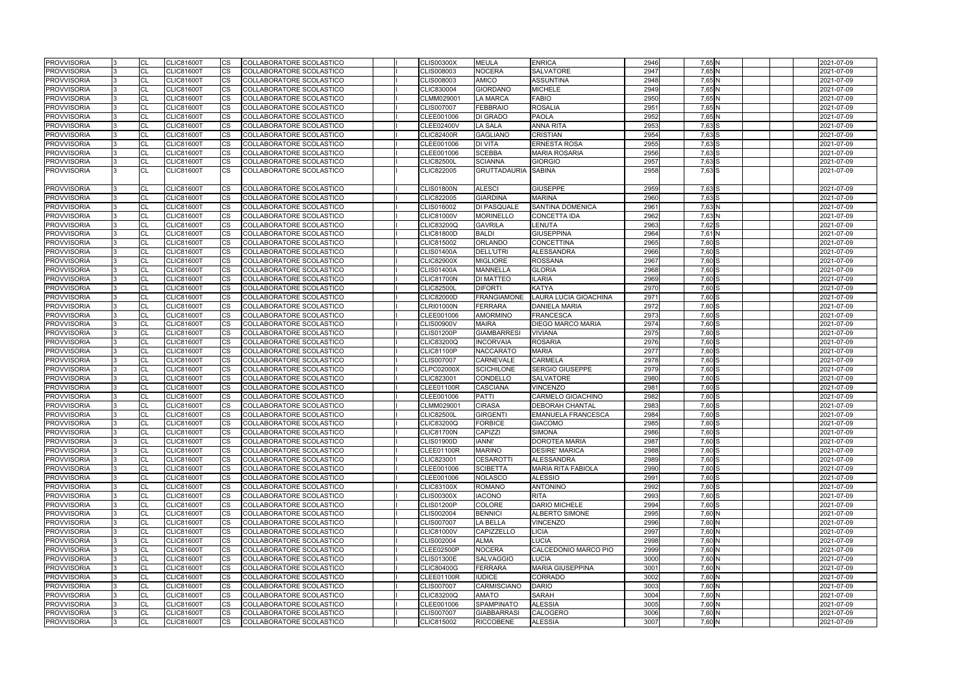| <b>PROVVISORIA</b> | ıз  | <b>CL</b>              | <b>CLIC81600T</b> | CS        | COLLABORATORE SCOLASTICO                             |  | <b>CLIS00300X</b>                      | <b>MEULA</b>        | <b>ENRICA</b>             | 2946 | 7,65 N     | 2021-07-09               |
|--------------------|-----|------------------------|-------------------|-----------|------------------------------------------------------|--|----------------------------------------|---------------------|---------------------------|------|------------|--------------------------|
| <b>PROVVISORIA</b> |     | <b>CL</b>              | <b>CLIC81600T</b> | <b>CS</b> | COLLABORATORE SCOLASTICO                             |  | CLIS008003                             | <b>NOCERA</b>       | SALVATORE                 | 2947 | $7,65$ N   | 2021-07-09               |
| <b>PROVVISORIA</b> |     | <b>CL</b>              | <b>CLIC81600T</b> | CS        | COLLABORATORE SCOLASTICO                             |  | CLIS008003                             | <b>AMICO</b>        | ASSUNTINA                 | 2948 | $7,65$ N   | 2021-07-09               |
| <b>PROVVISORIA</b> |     | <b>CL</b>              | <b>CLIC81600T</b> | CS        | COLLABORATORE SCOLASTICO                             |  | CLIC830004                             | <b>GIORDANO</b>     | <b>MICHELE</b>            | 2949 | $7,65$ N   | 2021-07-09               |
| <b>PROVVISORIA</b> |     | <b>CL</b>              | <b>CLIC81600T</b> | СS        | COLLABORATORE SCOLASTICO                             |  | CLMM029001                             | <b>LA MARCA</b>     | FABIO                     | 2950 | 7,65 N     | 2021-07-09               |
| <b>PROVVISORIA</b> |     | CL                     | CLIC81600T        | CS        | COLLABORATORE SCOLASTICO                             |  | <b>CLIS007007</b>                      | <b>FEBBRAIO</b>     | ROSALIA                   | 2951 | 7,65N      | 2021-07-09               |
| PROVVISORIA        |     | <b>CL</b>              | <b>CLIC81600T</b> | CS        | COLLABORATORE SCOLASTICO                             |  | CLEE001006                             | <b>DI GRADO</b>     | <b>PAOLA</b>              | 2952 | 7,65 N     | 2021-07-09               |
| <b>PROVVISORIA</b> |     | <b>CL</b>              | <b>CLIC81600T</b> | СS        | COLLABORATORE SCOLASTICO                             |  | CLEE02400V                             | <b>LA SALA</b>      | <b>ANNA RITA</b>          | 2953 | $7,63$ S   | 2021-07-09               |
| <b>PROVVISORIA</b> |     | <b>CL</b>              | CLIC81600T        | СS        | COLLABORATORE SCOLASTICO                             |  | <b>CLIC82400R</b>                      | <b>GAGLIANO</b>     | CRISTIAN                  | 2954 | $7,63$ S   | 2021-07-09               |
| <b>PROVVISORIA</b> |     | <b>CL</b>              | CLIC81600T        | CS.       | COLLABORATORE SCOLASTICO                             |  | CLEE001006                             | <b>DI VITA</b>      | <b>ERNESTA ROSA</b>       | 2955 | $7,63$ S   | 2021-07-09               |
| <b>PROVVISORIA</b> |     | <b>CL</b>              | <b>CLIC81600T</b> | СS        | COLLABORATORE SCOLASTICO                             |  | CLEE001006                             | <b>SCEBBA</b>       | MARIA ROSARIA             | 2956 | $7,63$ S   | 2021-07-09               |
| <b>PROVVISORIA</b> | 13  | <b>CL</b>              | <b>CLIC81600T</b> | CS        | COLLABORATORE SCOLASTICO                             |  | <b>CLIC82500L</b>                      | <b>SCIANNA</b>      | GIORGIO                   | 2957 | $7,63$ S   | 2021-07-09               |
| <b>PROVVISORIA</b> |     | <b>CL</b>              | <b>CLIC81600T</b> | <b>CS</b> | COLLABORATORE SCOLASTICO                             |  | CLIC822005                             | GRUTTADAURIA SABINA |                           | 2958 | $7,63$ $S$ | 2021-07-09               |
| <b>PROVVISORIA</b> |     | <b>CL</b>              | <b>CLIC81600T</b> | CS        | COLLABORATORE SCOLASTICO                             |  | <b>CLIS01800N</b>                      | <b>ALESCI</b>       | <b>GIUSEPPE</b>           | 2959 | $7,63$ S   | 2021-07-09               |
| <b>PROVVISORIA</b> |     | <b>CL</b>              | <b>CLIC81600T</b> | CS        | COLLABORATORE SCOLASTICO                             |  | <b>CLIC822005</b>                      | <b>GIARDINA</b>     | MARINA                    | 2960 | 7,63 S     | 2021-07-09               |
| <b>PROVVISORIA</b> |     | <b>CL</b>              | <b>CLIC81600T</b> | СS        | COLLABORATORE SCOLASTICO                             |  | CLIS016002                             | <b>DI PASQUALE</b>  | SANTINA DOMENICA          | 2961 | $7,63$ N   | 2021-07-09               |
| <b>PROVVISORIA</b> |     | <b>CL</b>              | <b>CLIC81600T</b> | CS        | COLLABORATORE SCOLASTICO                             |  | <b>CLIC81000V</b>                      | <b>MORINELLO</b>    | <b>CONCETTA IDA</b>       | 2962 | $7,63$ N   | 2021-07-09               |
| <b>PROVVISORIA</b> |     | <b>CL</b>              | <b>CLIC81600T</b> | <b>CS</b> | COLLABORATORE SCOLASTICO                             |  | <b>CLIC83200Q</b>                      | <b>GAVRILA</b>      | <b>LENUTA</b>             | 2963 | 7,62 S     | 2021-07-09               |
| PROVVISORIA        |     | CL                     | <b>CLIC81600T</b> | СS        | COLLABORATORE SCOLASTICO                             |  | <b>CLIC81800D</b>                      | <b>BALDI</b>        | <b>GIUSEPPINA</b>         | 2964 | $7,61$ N   | 2021-07-09               |
| <b>PROVVISORIA</b> |     | <b>CL</b>              | <b>CLIC81600T</b> | CS        | COLLABORATORE SCOLASTICO                             |  | CLIC815002                             | ORLANDO             | <b>CONCETTINA</b>         | 2965 | $7,60$ S   | 2021-07-09               |
| <b>PROVVISORIA</b> |     | <b>CL</b>              | <b>CLIC81600T</b> | <b>CS</b> | COLLABORATORE SCOLASTICO                             |  | <b>CLIS01400A</b>                      | <b>DELL'UTRI</b>    | <b>ALESSANDRA</b>         | 2966 | 7,60 S     | 2021-07-09               |
| <b>PROVVISORIA</b> |     | <b>CL</b>              | <b>CLIC81600T</b> | СS        | COLLABORATORE SCOLASTICO                             |  | <b>CLIC82900X</b>                      | <b>MIGLIORE</b>     | <b>ROSSANA</b>            | 2967 | 7,60 S     | 2021-07-09               |
| <b>PROVVISORIA</b> |     | <b>CL</b>              | <b>CLIC81600T</b> | CS.       | COLLABORATORE SCOLASTICO                             |  | <b>CLIS01400A</b>                      | <b>MANNELLA</b>     | GLORIA                    | 2968 | $7,60$ S   | 2021-07-09               |
| <b>PROVVISORIA</b> |     | <b>CL</b>              | <b>CLIC81600T</b> | CS.       | <b>COLLABORATORE SCOLASTICO</b>                      |  | <b>CLIC81700N</b>                      | <b>DI MATTEO</b>    | <b>ILARIA</b>             | 2969 | $7,60$ S   | 2021-07-09               |
| <b>PROVVISORIA</b> |     | <b>CL</b>              | <b>CLIC81600T</b> | CS        | COLLABORATORE SCOLASTICO                             |  | <b>CLIC82500L</b>                      | <b>DIFORTI</b>      | KATYA                     | 2970 | $7,60$ S   | 2021-07-09               |
| <b>PROVVISORIA</b> |     | <b>CL</b>              | <b>CLIC81600T</b> | CS        | COLLABORATORE SCOLASTICO                             |  | <b>CLIC82000D</b>                      | <b>FRANGIAMONE</b>  | LAURA LUCIA GIOACHINA     | 2971 | $7,60$ S   | 2021-07-09               |
| <b>PROVVISORIA</b> |     | <b>CL</b>              | <b>CLIC81600T</b> | CS.       | COLLABORATORE SCOLASTICO                             |  | CLRI01000N                             | <b>FERRARA</b>      | <b>DANIELA MARIA</b>      | 2972 | $7,60$ S   | 2021-07-09               |
| <b>PROVVISORIA</b> |     | <b>CL</b>              | <b>CLIC81600T</b> | CS        | COLLABORATORE SCOLASTICO                             |  | CLEE001006                             | <b>AMORMINO</b>     | <b>FRANCESCA</b>          | 2973 | $7,60$ S   | 2021-07-09               |
| <b>PROVVISORIA</b> |     | <b>CL</b>              | <b>CLIC81600T</b> | СS        | COLLABORATORE SCOLASTICO                             |  | <b>CLIS00900V</b>                      | <b>MAIRA</b>        | DIEGO MARCO MARIA         | 2974 | $7,60$ S   | 2021-07-09               |
| <b>PROVVISORIA</b> |     | <b>CL</b>              | <b>CLIC81600T</b> | CS.       | COLLABORATORE SCOLASTICO                             |  | <b>CLIS01200P</b>                      | <b>GIAMBARRESI</b>  | VIVIANA                   | 2975 | 7,60 S     | 2021-07-09               |
| <b>PROVVISORIA</b> |     | <b>CL</b>              | <b>CLIC81600T</b> | <b>CS</b> | COLLABORATORE SCOLASTICO                             |  | <b>CLIC83200Q</b>                      | <b>INCORVAIA</b>    | <b>ROSARIA</b>            | 2976 | $7,60$ S   | 2021-07-09               |
| <b>PROVVISORIA</b> |     | <b>CL</b>              | <b>CLIC81600T</b> | СS        | COLLABORATORE SCOLASTICO                             |  | <b>CLIC81100P</b>                      | <b>NACCARATO</b>    | <b>MARIA</b>              | 2977 | 7,60 S     | 2021-07-09               |
| <b>PROVVISORIA</b> |     | <b>CL</b>              | <b>CLIC81600T</b> | CS        | COLLABORATORE SCOLASTICO                             |  | <b>CLIS007007</b>                      | <b>CARNEVALE</b>    | <b>CARMELA</b>            | 2978 | $7,60$ S   | 2021-07-09               |
| PROVVISORIA        |     | <b>CL</b>              | <b>CLIC81600T</b> | CS.       | COLLABORATORE SCOLASTICO                             |  | <b>CLPC02000X</b>                      | <b>SCICHILONE</b>   | <b>SERGIO GIUSEPPE</b>    | 2979 | $7,60$ S   | 2021-07-09               |
| <b>PROVVISORIA</b> |     | <b>CL</b>              | <b>CLIC81600T</b> | СS        | COLLABORATORE SCOLASTICO                             |  | CLIC823001                             | <b>CONDELLO</b>     | SALVATORE                 | 2980 | 7,60 S     | 2021-07-09               |
| <b>PROVVISORIA</b> |     | <b>CL</b>              | <b>CLIC81600T</b> | CS        | COLLABORATORE SCOLASTICO                             |  | <b>CLEE01100R</b>                      | <b>CASCIANA</b>     | VINCENZO                  | 2981 | $7,60$ S   | 2021-07-09               |
| <b>PROVVISORIA</b> |     | <b>CL</b>              | <b>CLIC81600T</b> | CS        | COLLABORATORE SCOLASTICO                             |  | CLEE001006                             | <b>PATTI</b>        | CARMELO GIOACHINO         | 2982 | $7,60$ S   | 2021-07-09               |
| <b>PROVVISORIA</b> |     | <b>CL</b>              | <b>CLIC81600T</b> | CS        | COLLABORATORE SCOLASTICO                             |  | CLMM029001                             | <b>CIRASA</b>       | <b>DEBORAH CHANTAL</b>    | 2983 | $7,60$ S   | 2021-07-09               |
| <b>PROVVISORIA</b> | 13  | <b>CL</b>              | <b>CLIC81600T</b> | <b>CS</b> | COLLABORATORE SCOLASTICO                             |  | <b>CLIC82500L</b>                      | <b>GIRGENTI</b>     | <b>EMANUELA FRANCESCA</b> | 2984 | 7,60 S     | 2021-07-09               |
| <b>PROVVISORIA</b> | l3. | <b>CI</b>              | <b>CLIC81600T</b> | <b>CS</b> | <b>COLLABORATORE SCOLASTICO</b>                      |  | <b>CLIC83200Q</b>                      | <b>FORBICE</b>      | <b>GIACOMO</b>            | 2985 | 7,60 S     | 2021-07-09               |
| <b>PROVVISORIA</b> |     | <b>CL</b>              | <b>CLIC81600T</b> | СS        | <b>COLLABORATORE SCOLASTICO</b>                      |  | <b>CLIC81700N</b>                      | <b>CAPIZZI</b>      | SIMONA                    | 2986 | 7,60 S     | 2021-07-09               |
| <b>PROVVISORIA</b> |     | <b>CL</b>              | <b>CLIC81600T</b> | CS        | COLLABORATORE SCOLASTICO                             |  | <b>CLIS01900D</b>                      | <b>IANNI'</b>       | DOROTEA MARIA             | 2987 | $7,60$ S   | 2021-07-09               |
| <b>PROVVISORIA</b> |     | <b>CL</b>              | <b>CLIC81600T</b> | <b>CS</b> | COLLABORATORE SCOLASTICO                             |  | CLEE01100R                             | <b>MARINO</b>       | <b>DESIRE' MARICA</b>     | 2988 | 7,60 S     | 2021-07-09               |
| <b>PROVVISORIA</b> |     | <b>CL</b>              | <b>CLIC81600T</b> | СS        | COLLABORATORE SCOLASTICO                             |  | CLIC823001                             | CESAROTTI           | ALESSANDRA                | 2989 | $7,60$ S   | 2021-07-09               |
| <b>PROVVISORIA</b> |     | <b>CL</b>              | <b>CLIC81600T</b> | CS        | COLLABORATORE SCOLASTICO                             |  | CLEE001006                             | <b>SCIBETTA</b>     | <b>MARIA RITA FABIOLA</b> | 2990 | $7,60$ S   | 2021-07-09               |
| <b>PROVVISORIA</b> |     | <b>CL</b>              | <b>CLIC81600T</b> | CS        | COLLABORATORE SCOLASTICO                             |  | CLEE001006                             | <b>NOLASCO</b>      | <b>ALESSIO</b>            | 2991 | $7,60$ S   | 2021-07-09               |
| <b>PROVVISORIA</b> |     | <b>CL</b>              | <b>CLIC81600T</b> | CS        | COLLABORATORE SCOLASTICO                             |  | <b>CLIC83100X</b>                      | <b>ROMANO</b>       | ANTONINO                  | 2992 | $7,60$ S   | 2021-07-09               |
| <b>PROVVISORIA</b> |     | <b>CL</b>              | <b>CLIC81600T</b> | CS        | COLLABORATORE SCOLASTICO                             |  | <b>CLIS00300X</b>                      | <b>IACONO</b>       | RITA                      | 2993 | $7,60$ S   | 2021-07-09               |
| <b>PROVVISORIA</b> |     | <b>CL</b>              | <b>CLIC81600T</b> | CS        | COLLABORATORE SCOLASTICO                             |  | CLIS01200P                             | <b>COLORE</b>       | <b>DARIO MICHELE</b>      | 2994 | $7,60$ S   | 2021-07-09               |
| <b>PROVVISORIA</b> |     | <b>CL</b>              | <b>CLIC81600T</b> | CS        | COLLABORATORE SCOLASTICO                             |  | CLIS002004                             | <b>BENNICI</b>      | ALBERTO SIMONE            | 2995 | 7,60 N     | 2021-07-09               |
| <b>PROVVISORIA</b> |     | <b>CL</b>              | <b>CLIC81600T</b> | CS        | COLLABORATORE SCOLASTICO                             |  | <b>CLIS007007</b>                      | <b>LA BELLA</b>     | <b>VINCENZO</b>           | 2996 | 7,60 N     | 2021-07-09               |
| <b>PROVVISORIA</b> |     | <b>CL</b>              | <b>CLIC81600T</b> | CS.       | COLLABORATORE SCOLASTICO                             |  | <b>CLIC81000V</b>                      | <b>CAPIZZELLO</b>   | LICIA                     | 2997 | 7,60 N     | 2021-07-09               |
| <b>PROVVISORIA</b> |     | <b>CL</b>              | <b>CLIC81600T</b> | CS        | COLLABORATORE SCOLASTICO                             |  | CLIS002004                             | <b>ALMA</b>         | <b>LUCIA</b>              | 2998 | 7,60 N     | 2021-07-09               |
| <b>PROVVISORIA</b> |     | <b>CL</b>              | <b>CLIC81600T</b> | CS        | COLLABORATORE SCOLASTICO                             |  | <b>CLEE02500P</b>                      | <b>NOCERA</b>       | CALCEDONIO MARCO PIO      | 2999 | 7,60 N     | 2021-07-09               |
| <b>PROVVISORIA</b> |     | <b>CL</b>              | <b>CLIC81600T</b> | CS        | COLLABORATORE SCOLASTICO                             |  | <b>CLIS01300E</b>                      | <b>SALVAGGIO</b>    | LUCIA                     | 3000 | $7,60$ N   | 2021-07-09               |
| <b>PROVVISORIA</b> |     | <b>CL</b>              | <b>CLIC81600T</b> | CS        | COLLABORATORE SCOLASTICO                             |  | <b>CLIC80400G</b>                      | <b>FERRARA</b>      | MARIA GIUSEPPINA          | 3001 | $7,60$ N   | 2021-07-09               |
| <b>PROVVISORIA</b> |     |                        | <b>CLIC81600T</b> |           |                                                      |  |                                        | <b>IUDICE</b>       | CORRADO                   | 3002 | 7,60 N     |                          |
| <b>PROVVISORIA</b> |     | <b>CL</b><br><b>CL</b> | <b>CLIC81600T</b> | CS<br>CS  | COLLABORATORE SCOLASTICO<br>COLLABORATORE SCOLASTICO |  | <b>CLEE01100R</b><br><b>CLIS007007</b> | <b>CARMISCIANO</b>  | <b>DARIO</b>              | 3003 | $7,60$ N   | 2021-07-09<br>2021-07-09 |
| PROVVISORIA        |     | <b>CL</b>              | <b>CLIC81600T</b> | CS        | COLLABORATORE SCOLASTICO                             |  | <b>CLIC83200Q</b>                      | <b>AMATO</b>        | SARAH                     | 3004 | 7,60 N     | 2021-07-09               |
| <b>PROVVISORIA</b> |     |                        | <b>CLIC81600T</b> |           | COLLABORATORE SCOLASTICO                             |  | CLEE001006                             | <b>SPAMPINATO</b>   | ALESSIA                   | 3005 | 7,60 N     | 2021-07-09               |
|                    |     | <b>CL</b>              |                   | СS        |                                                      |  |                                        |                     |                           |      |            |                          |
| <b>PROVVISORIA</b> |     | <b>CL</b>              | <b>CLIC81600T</b> | CS        | COLLABORATORE SCOLASTICO                             |  | <b>CLIS007007</b>                      | <b>GIABBARRASI</b>  | CALOGERO                  | 3006 | 7,60 N     | 2021-07-09               |
| <b>PROVVISORIA</b> |     | <b>CL</b>              | <b>CLIC81600T</b> | CS        | COLLABORATORE SCOLASTICO                             |  | CLIC815002                             | <b>RICCOBENE</b>    | <b>ALESSIA</b>            | 3007 | 7,60 N     | 2021-07-09               |

|  |  | 2021-07-09               |
|--|--|--------------------------|
|  |  | 2021-07-09               |
|  |  | 2021-07-09               |
|  |  | 2021-07-09               |
|  |  | 2021-07-09               |
|  |  | 2021-07-09               |
|  |  | 2021-07-09               |
|  |  | 2021-07-09               |
|  |  | 2021-07-09               |
|  |  | 2021-07-09               |
|  |  | 2021-07-09               |
|  |  | 2021-07-09               |
|  |  | 2021-07-09               |
|  |  |                          |
|  |  | 2021-07-09               |
|  |  | 2021-07-09               |
|  |  | 2021-07-09               |
|  |  | 2021-07-09               |
|  |  | 2021-07-09               |
|  |  | 2021-07-09               |
|  |  | 2021-07-09               |
|  |  | 2021-07-09               |
|  |  | 2021-07-09               |
|  |  | 2021-07-09               |
|  |  | 2021-07-09               |
|  |  | 2021-07-09               |
|  |  | 2021-07-09               |
|  |  | 2021-07-09               |
|  |  | 2021-07-09               |
|  |  |                          |
|  |  | 2021-07-09               |
|  |  | 2021-07-09               |
|  |  | 2021-07-09               |
|  |  | 2021-07-09<br>2021-07-09 |
|  |  |                          |
|  |  | 2021-07-09<br>2021-07-09 |
|  |  |                          |
|  |  | 2021-07-09               |
|  |  | 2021-07-09<br>2021-07-09 |
|  |  | 2021-07-09               |
|  |  | 2021-07-09               |
|  |  | 2021-07-09               |
|  |  | 2021-07-09               |
|  |  |                          |
|  |  | 2021-07-09               |
|  |  | 2021-07-09               |
|  |  | 2021-07-09               |
|  |  | 2021-07-09<br>2021-07-09 |
|  |  |                          |
|  |  | 2021-07-09               |
|  |  | 2021-07-09               |
|  |  | 2021-07-09               |
|  |  | 2021-07-09               |
|  |  | 2021-07-09               |
|  |  | 2021-07-09               |
|  |  | 2021-07-09               |
|  |  | 2021-07-09               |
|  |  | 2021-07-09               |
|  |  | 2021-07-09               |
|  |  | 2021-07-09               |
|  |  | 2021-07-09               |
|  |  | 2021-07-09               |
|  |  | 2021-07-09               |
|  |  | 2021-07-09               |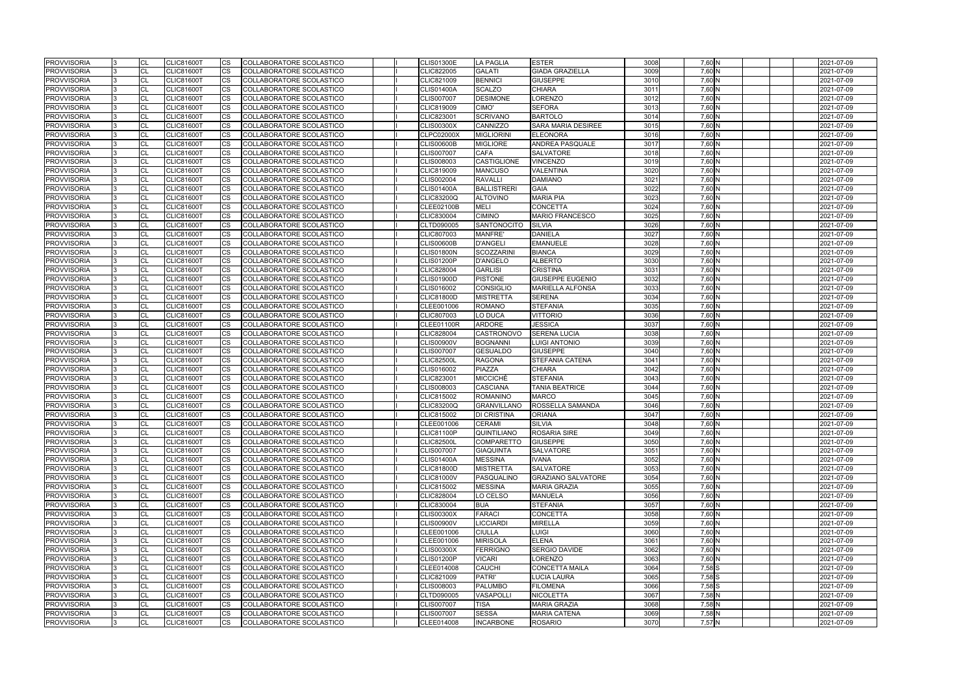| <b>PROVVISORIA</b> | CL             | <b>CLIC81600T</b> | CS.       | COLLABORATORE SCOLASTICO        |  | <b>CLIS01300E</b> | <b>LA PAGLIA</b>   | <b>ESTER</b>              | 3008 | 7,60 N            | 2021-07-09 |
|--------------------|----------------|-------------------|-----------|---------------------------------|--|-------------------|--------------------|---------------------------|------|-------------------|------------|
| <b>PROVVISORIA</b> | <b>CL</b>      | <b>CLIC81600T</b> | CS        | COLLABORATORE SCOLASTICO        |  | <b>CLIC822005</b> | <b>GALATI</b>      | <b>GIADA GRAZIELLA</b>    | 3009 | 7,60 N            | 2021-07-09 |
| <b>PROVVISORIA</b> | <b>CL</b>      | <b>CLIC81600T</b> | <b>CS</b> | <b>COLLABORATORE SCOLASTICO</b> |  | CLIC821009        | <b>BENNICI</b>     | <b>GIUSEPPE</b>           | 3010 | $7,60$ N          | 2021-07-09 |
| <b>PROVVISORIA</b> | <b>CL</b>      | <b>CLIC81600T</b> | CS        | COLLABORATORE SCOLASTICO        |  | <b>CLIS01400A</b> | <b>SCALZO</b>      | CHIARA                    | 3011 | 7,60 N            | 2021-07-09 |
| <b>PROVVISORIA</b> | <b>CL</b>      | <b>CLIC81600T</b> | CS        | COLLABORATORE SCOLASTICO        |  | <b>CLIS007007</b> | <b>DESIMONE</b>    | LORENZO                   | 3012 | 7,60 N            | 2021-07-09 |
| <b>PROVVISORIA</b> | <b>CL</b>      | <b>CLIC81600T</b> | CS        | COLLABORATORE SCOLASTICO        |  | <b>CLIC819009</b> | CIMO'              | <b>SEFORA</b>             | 3013 | $7,60$ N          | 2021-07-09 |
| <b>PROVVISORIA</b> | <b>CL</b>      | <b>CLIC81600T</b> | CS        | COLLABORATORE SCOLASTICO        |  | CLIC823001        | <b>SCRIVANO</b>    | <b>BARTOLO</b>            | 3014 | 7,60 N            | 2021-07-09 |
| <b>PROVVISORIA</b> | CL             | <b>CLIC81600T</b> | <b>CS</b> | COLLABORATORE SCOLASTICO        |  | <b>CLIS00300X</b> | CANNIZZO           | <b>SARA MARIA DESIREE</b> | 3015 | 7,60 N            | 2021-07-09 |
| <b>PROVVISORIA</b> | <b>CL</b>      | <b>CLIC81600T</b> | CS        | COLLABORATORE SCOLASTICO        |  | <b>CLPC02000X</b> | <b>MIGLIORINI</b>  | <b>ELEONORA</b>           | 3016 | $7,60$ N          | 2021-07-09 |
| <b>PROVVISORIA</b> | <b>CL</b>      | <b>CLIC81600T</b> | CS        | <b>COLLABORATORE SCOLASTICO</b> |  | <b>CLIS00600B</b> | <b>MIGLIORE</b>    | <b>ANDREA PASQUALE</b>    | 3017 | 7,60 N            | 2021-07-09 |
| <b>PROVVISORIA</b> | CL             | <b>CLIC81600T</b> | CS.       | COLLABORATORE SCOLASTICO        |  | <b>CLIS007007</b> | <b>CAFA</b>        | SALVATORE                 | 3018 | 7,60 N            | 2021-07-09 |
| <b>PROVVISORIA</b> | CL             | <b>CLIC81600T</b> | CS        | COLLABORATORE SCOLASTICO        |  | CLIS008003        | <b>CASTIGLIONE</b> | <b>VINCENZO</b>           | 3019 | 7,60 N            | 2021-07-09 |
| <b>PROVVISORIA</b> | <b>CL</b>      | <b>CLIC81600T</b> | CS        | COLLABORATORE SCOLASTICO        |  | <b>CLIC819009</b> | <b>MANCUSO</b>     | VALENTINA                 | 3020 | $7,60$ N          | 2021-07-09 |
| <b>PROVVISORIA</b> | <b>CL</b>      | <b>CLIC81600T</b> | <b>CS</b> | COLLABORATORE SCOLASTICO        |  | CLIS002004        | <b>RAVALLI</b>     | <b>DAMIANO</b>            | 3021 | 7,60 N            | 2021-07-09 |
| <b>PROVVISORIA</b> | <b>CL</b>      | <b>CLIC81600T</b> | CS        | COLLABORATORE SCOLASTICO        |  | <b>CLIS01400A</b> | <b>BALLISTRERI</b> | <b>GAIA</b>               | 3022 | 7,60 N            | 2021-07-09 |
| <b>PROVVISORIA</b> | <b>CL</b>      | <b>CLIC81600T</b> | CS        | COLLABORATORE SCOLASTICO        |  | <b>CLIC83200Q</b> | <b>ALTOVINO</b>    | <b>MARIA PIA</b>          | 3023 | 7,60 N            | 2021-07-09 |
| <b>PROVVISORIA</b> | <b>CL</b>      | <b>CLIC81600T</b> | CS        | COLLABORATORE SCOLASTICO        |  | <b>CLEE02100B</b> | <b>MELI</b>        | <b>CONCETTA</b>           | 3024 | 7,60 N            | 2021-07-09 |
| <b>PROVVISORIA</b> | <b>CL</b>      | <b>CLIC81600T</b> | CS        | COLLABORATORE SCOLASTICO        |  | CLIC830004        | <b>CIMINO</b>      | <b>MARIO FRANCESCO</b>    | 3025 | 7,60 N            | 2021-07-09 |
| <b>PROVVISORIA</b> | CL             | <b>CLIC81600T</b> | CS        | COLLABORATORE SCOLASTICO        |  | CLTD090005        | <b>SANTONOCITO</b> | <b>SILVIA</b>             | 3026 | $7,60$ N          | 2021-07-09 |
| <b>PROVVISORIA</b> | <b>CL</b>      | <b>CLIC81600T</b> | <b>CS</b> | COLLABORATORE SCOLASTICO        |  | CLIC807003        | <b>MANFRE'</b>     | <b>DANIELA</b>            | 3027 | 7,60 N            | 2021-07-09 |
| <b>PROVVISORIA</b> | <b>CL</b>      | <b>CLIC81600T</b> | CS        | COLLABORATORE SCOLASTICO        |  | <b>CLIS00600B</b> | <b>D'ANGELI</b>    | <b>EMANUELE</b>           | 3028 | 7,60 N            | 2021-07-09 |
| <b>PROVVISORIA</b> | CL             | <b>CLIC81600T</b> | CS        | COLLABORATORE SCOLASTICO        |  | <b>CLIS01800N</b> | SCOZZARINI         | <b>BIANCA</b>             | 3029 | 7,60 N            | 2021-07-09 |
| <b>PROVVISORIA</b> | <b>CL</b>      | <b>CLIC81600T</b> | CS        | COLLABORATORE SCOLASTICO        |  | <b>CLIS01200P</b> | <b>D'ANGELO</b>    | <b>ALBERTO</b>            | 3030 | 7,60 N            | 2021-07-09 |
| <b>PROVVISORIA</b> | <b>CL</b>      | <b>CLIC81600T</b> | CS        | COLLABORATORE SCOLASTICO        |  | <b>CLIC828004</b> | <b>GARLISI</b>     | <b>CRISTINA</b>           | 3031 | 7,60 N            | 2021-07-09 |
| <b>PROVVISORIA</b> | CL             | <b>CLIC81600T</b> | CS        | COLLABORATORE SCOLASTICO        |  | <b>CLIS01900D</b> | <b>PISTONE</b>     | <b>GIUSEPPE EUGENIO</b>   | 3032 | 7,60 N            | 2021-07-09 |
| <b>PROVVISORIA</b> | <b>CL</b>      | <b>CLIC81600T</b> | <b>CS</b> | COLLABORATORE SCOLASTICO        |  | CLIS016002        | <b>CONSIGLIO</b>   | <b>MARIELLA ALFONSA</b>   | 3033 | $7,60$ N          | 2021-07-09 |
| <b>PROVVISORIA</b> | <b>CL</b>      | <b>CLIC81600T</b> | CS        | COLLABORATORE SCOLASTICO        |  | <b>CLIC81800D</b> | <b>MISTRETTA</b>   | <b>SERENA</b>             | 3034 | 7,60 N            | 2021-07-09 |
| <b>PROVVISORIA</b> | <b>CL</b>      | <b>CLIC81600T</b> | CS        | COLLABORATORE SCOLASTICO        |  | CLEE001006        | <b>ROMANO</b>      | <b>STEFANIA</b>           | 3035 | 7,60 N            | 2021-07-09 |
| <b>PROVVISORIA</b> | <b>CL</b>      | <b>CLIC81600T</b> | CS        | COLLABORATORE SCOLASTICO        |  | CLIC807003        | LO DUCA            | <b>VITTORIO</b>           | 3036 | 7,60 N            | 2021-07-09 |
| <b>PROVVISORIA</b> | CL             | <b>CLIC81600T</b> | CS        | COLLABORATORE SCOLASTICO        |  | CLEE01100R        | <b>ARDORE</b>      | <b>JESSICA</b>            | 3037 | 7,60 N            | 2021-07-09 |
| <b>PROVVISORIA</b> | CL             | <b>CLIC81600T</b> | CS        | COLLABORATORE SCOLASTICO        |  | <b>CLIC828004</b> | CASTRONOVO         | SERENA LUCIA              | 3038 | $7,60$ N          | 2021-07-09 |
| <b>PROVVISORIA</b> | <b>CL</b>      | <b>CLIC81600T</b> | CS        | COLLABORATORE SCOLASTICO        |  | <b>CLIS00900V</b> | <b>BOGNANNI</b>    | <b>LUIGI ANTONIO</b>      | 3039 | 7,60 N            | 2021-07-09 |
| <b>PROVVISORIA</b> | CL             | <b>CLIC81600T</b> | <b>CS</b> | COLLABORATORE SCOLASTICO        |  | <b>CLIS007007</b> | <b>GESUALDO</b>    | <b>GIUSEPPE</b>           | 3040 | 7,60 N            | 2021-07-09 |
| <b>PROVVISORIA</b> | <b>CL</b>      | <b>CLIC81600T</b> | CS        | COLLABORATORE SCOLASTICO        |  | <b>CLIC82500L</b> | <b>RAGONA</b>      | STEFANIA CATENA           | 3041 | 7,60 N            | 2021-07-09 |
| <b>PROVVISORIA</b> | <b>CL</b>      | <b>CLIC81600T</b> | CS        | COLLABORATORE SCOLASTICO        |  | CLIS016002        | PIAZZA             | <b>CHIARA</b>             | 3042 | 7,60 N            | 2021-07-09 |
| <b>PROVVISORIA</b> | <b>CL</b>      | <b>CLIC81600T</b> | CS        | COLLABORATORE SCOLASTICO        |  | CLIC823001        | <b>MICCICHÈ</b>    | <b>STEFANIA</b>           | 3043 | 7,60 N            | 2021-07-09 |
| <b>PROVVISORIA</b> | CL             | <b>CLIC81600T</b> | CS        | COLLABORATORE SCOLASTICO        |  | CLIS008003        | <b>CASCIANA</b>    | <b>TANIA BEATRICE</b>     | 3044 | 7,60 N            | 2021-07-09 |
| <b>PROVVISORIA</b> | <b>CL</b>      | <b>CLIC81600T</b> | CS        | COLLABORATORE SCOLASTICO        |  | CLIC815002        | <b>ROMANINO</b>    | MARCO                     | 3045 | 7,60 N            | 2021-07-09 |
| <b>PROVVISORIA</b> | <b>CL</b>      | <b>CLIC81600T</b> | <b>CS</b> | COLLABORATORE SCOLASTICO        |  | <b>CLIC83200Q</b> | <b>GRANVILLANO</b> | ROSSELLA SAMANDA          | 3046 | 7,60 N            | 2021-07-09 |
| <b>PROVVISORIA</b> | <b>CL</b>      | <b>CLIC81600T</b> | CS        | COLLABORATORE SCOLASTICO        |  | CLIC815002        | <b>DI CRISTINA</b> | <b>ORIANA</b>             | 3047 | 7,60 N            | 2021-07-09 |
| <b>PROVVISORIA</b> | $\overline{C}$ | <b>CLIC81600T</b> | <b>CS</b> | COLLABORATORE SCOLASTICO        |  | CLEE001006        | <b>CERAMI</b>      | <b>SILVIA</b>             | 3048 | 7,60 N            | 2021-07-09 |
| <b>PROVVISORIA</b> | <b>CL</b>      | <b>CLIC81600T</b> | CS        | COLLABORATORE SCOLASTICO        |  | <b>CLIC81100P</b> | QUINTILIANO        | <b>ROSARIA SIRE</b>       | 3049 | 7,60 N            | 2021-07-09 |
| <b>PROVVISORIA</b> | CL             | CLIC81600T        | CS        | COLLABORATORE SCOLASTICO        |  | <b>CLIC82500L</b> | <b>COMPARETTO</b>  | <b>GIUSEPPE</b>           | 3050 | 7,60 N            | 2021-07-09 |
| <b>PROVVISORIA</b> | СL             | <b>CLIC81600T</b> | <b>CS</b> | COLLABORATORE SCOLASTICO        |  | <b>CLIS007007</b> | <b>GIAQUINTA</b>   | <b>SALVATORE</b>          | 3051 | 7,60N             | 2021-07-09 |
| <b>PROVVISORIA</b> | <b>CL</b>      | <b>CLIC81600T</b> | <b>CS</b> | COLLABORATORE SCOLASTICO        |  | <b>CLIS01400A</b> | <b>MESSINA</b>     | <b>IVANA</b>              | 3052 | 7,60 N            | 2021-07-09 |
| <b>PROVVISORIA</b> | CL             | <b>CLIC81600T</b> | <b>CS</b> | COLLABORATORE SCOLASTICO        |  | <b>CLIC81800D</b> | <b>MISTRETTA</b>   | <b>SALVATORE</b>          | 3053 | $7,60$ N          | 2021-07-09 |
| <b>PROVVISORIA</b> | <b>CL</b>      | <b>CLIC81600T</b> | CS.       | COLLABORATORE SCOLASTICO        |  | <b>CLIC81000V</b> | PASQUALINO         | <b>GRAZIANO SALVATORE</b> | 3054 | 7,60 N            | 2021-07-09 |
| <b>PROVVISORIA</b> | <b>CL</b>      | <b>CLIC81600T</b> | CS        | COLLABORATORE SCOLASTICO        |  | CLIC815002        | <b>MESSINA</b>     | <b>MARIA GRAZIA</b>       | 3055 | 7,60 N            | 2021-07-09 |
| <b>PROVVISORIA</b> | CL             | <b>CLIC81600T</b> | CS        | COLLABORATORE SCOLASTICO        |  | <b>CLIC828004</b> | LO CELSO           | MANUELA                   | 3056 | 7,60 N            | 2021-07-09 |
| <b>PROVVISORIA</b> | CL             | <b>CLIC81600T</b> | CS        | COLLABORATORE SCOLASTICO        |  | CLIC830004        | <b>BUA</b>         | <b>STEFANIA</b>           | 3057 | $7,60$ N          | 2021-07-09 |
| <b>PROVVISORIA</b> | <b>CL</b>      | <b>CLIC81600T</b> | <b>CS</b> | COLLABORATORE SCOLASTICO        |  | <b>CLIS00300X</b> | <b>FARACI</b>      | <b>CONCETTA</b>           | 3058 | 7,60 N            | 2021-07-09 |
| <b>PROVVISORIA</b> | CL             | <b>CLIC81600T</b> | <b>CS</b> | COLLABORATORE SCOLASTICO        |  | <b>CLIS00900V</b> | <b>LICCIARDI</b>   | MIRELLA                   | 3059 | 7,60 N            | 2021-07-09 |
| <b>PROVVISORIA</b> | <b>CL</b>      | <b>CLIC81600T</b> | <b>CS</b> | COLLABORATORE SCOLASTICO        |  | CLEE001006        | <b>CIULLA</b>      | LUIGI                     | 3060 | 7,60N             | 2021-07-09 |
| <b>PROVVISORIA</b> | <b>CL</b>      | <b>CLIC81600T</b> | CS        | COLLABORATORE SCOLASTICO        |  | CLEE001006        | <b>MIRISOLA</b>    | <b>ELENA</b>              | 3061 | 7,60 N            | 2021-07-09 |
| <b>PROVVISORIA</b> | CL             | <b>CLIC81600T</b> | CS        | COLLABORATORE SCOLASTICO        |  | <b>CLIS00300X</b> | FERRIGNO           | SERGIO DAVIDE             | 3062 | 7,60 N            | 2021-07-09 |
| <b>PROVVISORIA</b> | <b>CL</b>      | <b>CLIC81600T</b> | CS        | COLLABORATORE SCOLASTICO        |  | <b>CLIS01200P</b> | <b>VICARI</b>      | LORENZO                   | 3063 | 7,60 N            | 2021-07-09 |
| <b>PROVVISORIA</b> | <b>CL</b>      | <b>CLIC81600T</b> | <b>CS</b> | COLLABORATORE SCOLASTICO        |  | CLEE014008        | <b>CAUCHI</b>      | <b>CONCETTA MAILA</b>     | 3064 | 7,58 S            | 2021-07-09 |
| <b>PROVVISORIA</b> | CL             | <b>CLIC81600T</b> | <b>CS</b> | COLLABORATORE SCOLASTICO        |  | CLIC821009        | <b>PATRI'</b>      | LUCIA LAURA               | 3065 | 7,58 <sup>S</sup> | 2021-07-09 |
| <b>PROVVISORIA</b> | <b>CL</b>      | <b>CLIC81600T</b> | CS.       | COLLABORATORE SCOLASTICO        |  | CLIS008003        | <b>PALUMBO</b>     | <b>FILOMENA</b>           | 3066 | 7,58 <sub>S</sub> | 2021-07-09 |
| <b>PROVVISORIA</b> | <b>CL</b>      | <b>CLIC81600T</b> | CS        | COLLABORATORE SCOLASTICO        |  | CLTD090005        | <b>VASAPOLLI</b>   | <b>NICOLETTA</b>          | 3067 | 7,58 N            | 2021-07-09 |
| <b>PROVVISORIA</b> | <b>CL</b>      | <b>CLIC81600T</b> | CS        | COLLABORATORE SCOLASTICO        |  | <b>CLIS007007</b> | <b>TISA</b>        | <b>MARIA GRAZIA</b>       | 3068 | 7,58 N            | 2021-07-09 |
| <b>PROVVISORIA</b> | <b>CL</b>      | <b>CLIC81600T</b> | CS        | COLLABORATORE SCOLASTICO        |  | <b>CLIS007007</b> | <b>SESSA</b>       | <b>MARIA CATENA</b>       | 3069 | $7,58$ N          | 2021-07-09 |
| <b>PROVVISORIA</b> | <b>CL</b>      | CLIC81600T        | CS        | COLLABORATORE SCOLASTICO        |  | CLEE014008        | <b>INCARBONE</b>   | <b>ROSARIO</b>            | 3070 | 7,57 N            | 2021-07-09 |
|                    |                |                   |           |                                 |  |                   |                    |                           |      |                   |            |

|  |  | 2021-07-09               |
|--|--|--------------------------|
|  |  | 2021-07-09               |
|  |  | 2021-07-09               |
|  |  | 2021-07-09               |
|  |  | 2021-07-09               |
|  |  | 2021-07-09               |
|  |  | 2021-07-09               |
|  |  | 2021-07-09               |
|  |  | 2021-07-09               |
|  |  | 2021-07-09               |
|  |  | 2021-07-09               |
|  |  | 2021-07-09               |
|  |  | 2021-07-09               |
|  |  | 2021-07-09               |
|  |  | 2021-07-09               |
|  |  | 2021-07-09               |
|  |  | 2021-07-09               |
|  |  | 2021-07-09               |
|  |  | 2021-07-09               |
|  |  | 2021-07-09               |
|  |  | 2021-07-09               |
|  |  | 2021-07-09               |
|  |  | 2021-07-09               |
|  |  | 2021-07-09               |
|  |  | 2021-07-09               |
|  |  | 2021-07-09               |
|  |  | 2021-07-09               |
|  |  | 2021-07-09               |
|  |  | 2021-07-09               |
|  |  | 2021-07-09               |
|  |  | 2021-07-09               |
|  |  | 2021-07-09               |
|  |  | 2021-07-09               |
|  |  | 2021-07-09               |
|  |  | 2021-07-09               |
|  |  | 2021-07-09               |
|  |  | 2021-07-09<br>2021-07-09 |
|  |  | 2021-07-09               |
|  |  | 2021-07-09               |
|  |  | 2021-07-09               |
|  |  | 2021-07-09               |
|  |  | 2021-07-09               |
|  |  | 2021-07-09               |
|  |  | 2021-07-09               |
|  |  | 2021-07-09               |
|  |  | 2021-07-09               |
|  |  | 2021-07-09               |
|  |  | 2021-07-09               |
|  |  | 2021-07-09               |
|  |  | 2021-07-09               |
|  |  | 2021-07-09               |
|  |  | 2021-07-09               |
|  |  | 2021-07-09               |
|  |  | 2021-07-09               |
|  |  | 2021-07-09               |
|  |  | 2021-07-09               |
|  |  | 2021-07-09               |
|  |  | 2021-07-09               |
|  |  | 2021-07-09               |
|  |  | 2021-07-09               |
|  |  | 2021-07-09               |
|  |  | 2021-07-09               |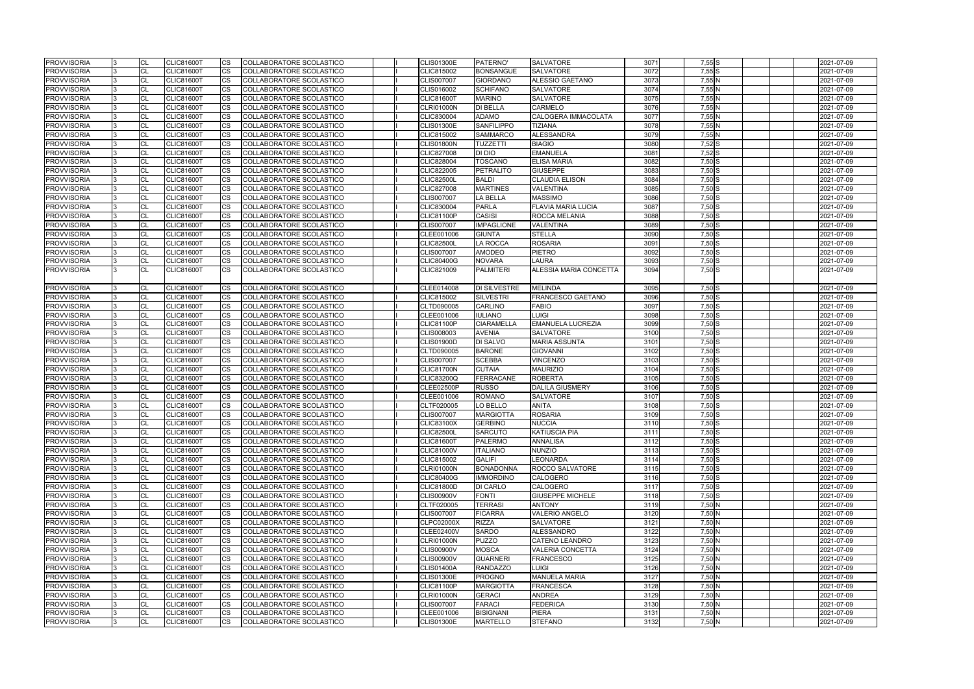| <b>PROVVISORIA</b> | ıз  | <b>CL</b> | <b>CLIC81600T</b>                      | CS        | COLLABORATORE SCOLASTICO                             |  | <b>CLIS01300E</b>                      | PATERNO'                           | SALVATORE                | 3071 | 7,55 S     | 2021-07-09               |
|--------------------|-----|-----------|----------------------------------------|-----------|------------------------------------------------------|--|----------------------------------------|------------------------------------|--------------------------|------|------------|--------------------------|
| <b>PROVVISORIA</b> |     | <b>CL</b> | <b>CLIC81600T</b>                      | <b>CS</b> | COLLABORATORE SCOLASTICO                             |  | CLIC815002                             | <b>BONSANGUE</b>                   | <b>SALVATORE</b>         | 3072 | 7,55S      | 2021-07-09               |
| <b>PROVVISORIA</b> |     | <b>CL</b> | <b>CLIC81600T</b>                      | CS        | COLLABORATORE SCOLASTICO                             |  | <b>CLIS007007</b>                      | <b>GIORDANO</b>                    | ALESSIO GAETANO          | 3073 | 7,55N      | 2021-07-09               |
| <b>PROVVISORIA</b> |     | <b>CL</b> | <b>CLIC81600T</b>                      | CS        | COLLABORATORE SCOLASTICO                             |  | CLIS016002                             | <b>SCHIFANO</b>                    | SALVATORE                | 3074 | 7,55N      | 2021-07-09               |
| <b>PROVVISORIA</b> |     | <b>CL</b> | <b>CLIC81600T</b>                      | СS        | COLLABORATORE SCOLASTICO                             |  | <b>CLIC81600T</b>                      | <b>MARINO</b>                      | SALVATORE                | 3075 | 7,55N      | 2021-07-09               |
| <b>PROVVISORIA</b> |     | CL        | <b>CLIC81600T</b>                      | CS        | COLLABORATORE SCOLASTICO                             |  | CLRI01000N                             | <b>DI BELLA</b>                    | CARMELO                  | 3076 | 7,55N      | 2021-07-09               |
| PROVVISORIA        |     | <b>CL</b> | <b>CLIC81600T</b>                      | CS        | COLLABORATORE SCOLASTICO                             |  | CLIC830004                             | <b>ADAMO</b>                       | CALOGERA IMMACOLATA      | 3077 | 7,55 N     | 2021-07-09               |
| <b>PROVVISORIA</b> |     | <b>CL</b> | <b>CLIC81600T</b>                      | CS        | COLLABORATORE SCOLASTICO                             |  | <b>CLIS01300E</b>                      | <b>SANFILIPPO</b>                  | TIZIANA                  | 3078 | 7,55N      | 2021-07-09               |
| <b>PROVVISORIA</b> |     | <b>CL</b> | <b>CLIC81600T</b>                      | CS        | COLLABORATORE SCOLASTICO                             |  | CLIC815002                             | <b>SAMMARCO</b>                    | <b>ALESSANDRA</b>        | 3079 | 7,55 N     | 2021-07-09               |
| <b>PROVVISORIA</b> |     | <b>CL</b> | <b>CLIC81600T</b>                      | CS.       | COLLABORATORE SCOLASTICO                             |  | CLIS01800N                             | <b>TUZZETTI</b>                    | <b>BIAGIO</b>            | 3080 | $7,52$ $S$ | 2021-07-09               |
| <b>PROVVISORIA</b> |     | <b>CL</b> | <b>CLIC81600T</b>                      | СS        | COLLABORATORE SCOLASTICO                             |  | <b>CLIC827008</b>                      | DI DIO                             | <b>EMANUELA</b>          | 3081 | $7,52$ S   | 2021-07-09               |
| <b>PROVVISORIA</b> |     | <b>CL</b> | CLIC81600T                             | CS        | COLLABORATORE SCOLASTICO                             |  | <b>CLIC828004</b>                      | <b>TOSCANO</b>                     | <b>ELISA MARIA</b>       | 3082 | $7,50$ S   | 2021-07-09               |
| <b>PROVVISORIA</b> |     | <b>CL</b> | <b>CLIC81600T</b>                      | CS        | COLLABORATORE SCOLASTICO                             |  | <b>CLIC822005</b>                      | <b>PETRALITO</b>                   | <b>GIUSEPPE</b>          | 3083 | $7,50$ S   | 2021-07-09               |
| PROVVISORIA        |     | <b>CL</b> | <b>CLIC81600T</b>                      | CS        | COLLABORATORE SCOLASTICO                             |  | <b>CLIC82500L</b>                      | <b>BALDI</b>                       | <b>CLAUDIA ELISON</b>    | 3084 | $7,50$ S   | 2021-07-09               |
| <b>PROVVISORIA</b> | IЗ  | <b>CL</b> | <b>CLIC81600T</b>                      | CS        | COLLABORATORE SCOLASTICO                             |  | <b>CLIC827008</b>                      | <b>MARTINES</b>                    | VALENTINA                | 3085 | 7,50S      | 2021-07-09               |
| PROVVISORIA        |     | <b>CL</b> | <b>CLIC81600T</b>                      | CS.       | COLLABORATORE SCOLASTICO                             |  | <b>CLIS007007</b>                      | <b>LA BELLA</b>                    | <b>MASSIMO</b>           | 3086 | $7,50$ S   | 2021-07-09               |
| <b>PROVVISORIA</b> |     | <b>CL</b> | <b>CLIC81600T</b>                      | СS        | COLLABORATORE SCOLASTICO                             |  | CLIC830004                             | <b>PARLA</b>                       | FLAVIA MARIA LUCIA       | 3087 | $7,50$ S   | 2021-07-09               |
| <b>PROVVISORIA</b> |     | <b>CL</b> | <b>CLIC81600T</b>                      | CS        | COLLABORATORE SCOLASTICO                             |  | <b>CLIC81100P</b>                      | <b>CASISI</b>                      | ROCCA MELANIA            | 3088 | $7,50$ S   | 2021-07-09               |
| <b>PROVVISORIA</b> |     | <b>CL</b> | <b>CLIC81600T</b>                      | CS        | COLLABORATORE SCOLASTICO                             |  | <b>CLIS007007</b>                      | <b>IMPAGLIONE</b>                  | VALENTINA                | 3089 | $7,50$ S   | 2021-07-09               |
| <b>PROVVISORIA</b> |     | <b>CL</b> | <b>CLIC81600T</b>                      | CS        | COLLABORATORE SCOLASTICO                             |  | CLEE001006                             | <b>GIUNTA</b>                      | STELLA                   | 3090 | $7,50$ S   | 2021-07-09               |
| <b>PROVVISORIA</b> |     | <b>CL</b> | <b>CLIC81600T</b>                      | CS        | COLLABORATORE SCOLASTICO                             |  | <b>CLIC82500L</b>                      | <b>LA ROCCA</b>                    | <b>ROSARIA</b>           | 3091 | $7,50$ S   | 2021-07-09               |
| <b>PROVVISORIA</b> |     | <b>CL</b> | <b>CLIC81600T</b>                      | CS.       | COLLABORATORE SCOLASTICO                             |  | <b>CLIS007007</b>                      | <b>AMODEO</b>                      | <b>PIETRO</b>            | 3092 | $7,50$ S   | 2021-07-09               |
| <b>PROVVISORIA</b> |     | <b>CL</b> | <b>CLIC81600T</b>                      | CS        | COLLABORATORE SCOLASTICO                             |  | <b>CLIC80400G</b>                      | <b>NOVARA</b>                      | LAURA                    | 3093 | $7,50$ S   | 2021-07-09               |
| <b>PROVVISORIA</b> |     | <b>CL</b> | <b>CLIC81600T</b>                      | CS        | COLLABORATORE SCOLASTICO                             |  | CLIC821009                             | <b>PALMITERI</b>                   | ALESSIA MARIA CONCETTA   | 3094 | $7,50$ S   | 2021-07-09               |
| <b>PROVVISORIA</b> |     | <b>CL</b> | <b>CLIC81600T</b>                      | CS        | COLLABORATORE SCOLASTICO                             |  | CLEE014008                             | <b>DI SILVESTRE</b>                | MELINDA                  | 3095 | 7,50S      | 2021-07-09               |
| <b>PROVVISORIA</b> |     | <b>CL</b> | <b>CLIC81600T</b>                      | CS        | COLLABORATORE SCOLASTICO                             |  | CLIC815002                             | <b>SILVESTRI</b>                   | FRANCESCO GAETANO        | 3096 | $7,50$ S   | 2021-07-09               |
| <b>PROVVISORIA</b> |     | <b>CL</b> | <b>CLIC81600T</b>                      | CS.       | COLLABORATORE SCOLASTICO                             |  | CLTD090005                             | <b>CARLINO</b>                     | FABIO                    | 3097 | $7,50$ S   | 2021-07-09               |
| <b>PROVVISORIA</b> |     | <b>CL</b> | <b>CLIC81600T</b>                      | CS        | COLLABORATORE SCOLASTICO                             |  | CLEE001006                             | <b>IULIANO</b>                     | LUIGI                    | 3098 | $7,50$ S   | 2021-07-09               |
| <b>PROVVISORIA</b> |     | <b>CL</b> | <b>CLIC81600T</b>                      | СS        | COLLABORATORE SCOLASTICO                             |  | <b>CLIC81100P</b>                      | <b>CIARAMELLA</b>                  | <b>EMANUELA LUCREZIA</b> | 3099 | 7,50S      | 2021-07-09               |
| <b>PROVVISORIA</b> |     | <b>CL</b> | <b>CLIC81600T</b>                      | CS.       | COLLABORATORE SCOLASTICO                             |  | CLIS008003                             | <b>AVENIA</b>                      | SALVATORE                | 3100 | $7,50$ S   | 2021-07-09               |
| <b>PROVVISORIA</b> |     | <b>CL</b> | <b>CLIC81600T</b>                      | <b>CS</b> | COLLABORATORE SCOLASTICO                             |  | <b>CLIS01900D</b>                      | <b>DI SALVO</b>                    | <b>MARIA ASSUNTA</b>     | 3101 | $7,50$ S   | 2021-07-09               |
| <b>PROVVISORIA</b> |     | <b>CL</b> | <b>CLIC81600T</b>                      | CS        | COLLABORATORE SCOLASTICO                             |  | CLTD090005                             | <b>BARONE</b>                      | GIOVANNI                 | 3102 | $7,50$ S   | 2021-07-09               |
| <b>PROVVISORIA</b> |     | <b>CL</b> | CLIC81600T                             | CS        | COLLABORATORE SCOLASTICO                             |  | <b>CLIS007007</b>                      | <b>SCEBBA</b>                      | VINCENZO                 | 3103 | $7,50$ S   | 2021-07-09               |
| PROVVISORIA        |     | <b>CL</b> | <b>CLIC81600T</b>                      | CS.       | COLLABORATORE SCOLASTICO                             |  | <b>CLIC81700N</b>                      | <b>CUTAIA</b>                      | <b>MAURIZIO</b>          | 3104 | $7,50$ S   | 2021-07-09               |
| <b>PROVVISORIA</b> |     | <b>CL</b> | <b>CLIC81600T</b>                      | СS        | COLLABORATORE SCOLASTICO                             |  | <b>CLIC83200Q</b>                      | <b>FERRACANE</b>                   | <b>ROBERTA</b>           | 3105 | $7,50$ S   | 2021-07-09               |
| <b>PROVVISORIA</b> |     | <b>CL</b> | <b>CLIC81600T</b>                      | CS        | COLLABORATORE SCOLASTICO                             |  | <b>CLEE02500P</b>                      | <b>RUSSO</b>                       | <b>DALILA GIUSMERY</b>   | 3106 | 7,50S      | 2021-07-09               |
| <b>PROVVISORIA</b> |     | <b>CL</b> | <b>CLIC81600T</b>                      | CS        | COLLABORATORE SCOLASTICO                             |  | CLEE001006                             | <b>ROMANO</b>                      | SALVATORE                | 3107 | $7,50$ S   | 2021-07-09               |
| <b>PROVVISORIA</b> |     | <b>CL</b> | <b>CLIC81600T</b>                      | CS        | COLLABORATORE SCOLASTICO                             |  | CLTF020005                             | LO BELLO                           | <b>ANITA</b>             | 3108 | $7,50$ S   | 2021-07-09               |
| <b>PROVVISORIA</b> | 13  | <b>CL</b> | <b>CLIC81600T</b>                      | <b>CS</b> | COLLABORATORE SCOLASTICO                             |  | <b>CLIS007007</b>                      | <b>MARGIOTTA</b>                   | <b>ROSARIA</b>           | 3109 | $7,50$ S   | 2021-07-09               |
| <b>PROVVISORIA</b> | l3. | <b>CI</b> | <b>CLIC81600T</b>                      | <b>CS</b> | COLLABORATORE SCOLASTICO                             |  | <b>CLIC83100X</b>                      | <b>GERBINO</b>                     | <b>NUCCIA</b>            | 3110 | 7,50 S     | 2021-07-09               |
| <b>PROVVISORIA</b> |     | <b>CL</b> | <b>CLIC81600T</b>                      | CS        | COLLABORATORE SCOLASTICO                             |  | <b>CLIC82500L</b>                      | <b>SARCUTO</b>                     | KATIUSCIA PIA            | 3111 | $7,50$ S   | 2021-07-09               |
| <b>PROVVISORIA</b> |     | <b>CL</b> | <b>CLIC81600T</b>                      | CS        | COLLABORATORE SCOLASTICO                             |  | <b>CLIC81600T</b>                      | <b>PALERMO</b>                     | ANNALISA                 | 3112 | $7,50$ S   | 2021-07-09               |
| <b>PROVVISORIA</b> |     | <b>CL</b> | <b>CLIC81600T</b>                      | <b>CS</b> | COLLABORATORE SCOLASTICO                             |  | <b>CLIC81000V</b>                      | <b>ITALIANO</b>                    | <b>NUNZIO</b>            | 3113 | $7,50$ S   | 2021-07-09               |
| <b>PROVVISORIA</b> |     | <b>CL</b> | <b>CLIC81600T</b>                      | СS        | COLLABORATORE SCOLASTICO                             |  | CLIC815002                             | <b>GALIFI</b>                      | LEONARDA                 | 3114 | 7,50S      | 2021-07-09               |
| <b>PROVVISORIA</b> |     | <b>CL</b> | <b>CLIC81600T</b>                      | CS        | COLLABORATORE SCOLASTICO                             |  | <b>CLRI01000N</b>                      | <b>BONADONNA</b>                   | ROCCO SALVATORE          | 3115 | 7,50S      | 2021-07-09               |
| <b>PROVVISORIA</b> |     | <b>CL</b> | <b>CLIC81600T</b>                      | CS        | COLLABORATORE SCOLASTICO                             |  | <b>CLIC80400G</b>                      | <b>IMMORDINO</b>                   | CALOGERO                 | 3116 | $7,50$ S   | 2021-07-09               |
| <b>PROVVISORIA</b> |     | <b>CL</b> | <b>CLIC81600T</b>                      | CS        | COLLABORATORE SCOLASTICO                             |  | <b>CLIC81800D</b>                      | <b>DI CARLO</b>                    | CALOGERO                 | 3117 | 7,50S      | 2021-07-09               |
| <b>PROVVISORIA</b> |     | <b>CL</b> | <b>CLIC81600T</b>                      | CS        | COLLABORATORE SCOLASTICO                             |  | <b>CLIS00900V</b>                      | <b>FONTI</b>                       | <b>GIUSEPPE MICHELE</b>  | 3118 | $7,50$ S   | 2021-07-09               |
| <b>PROVVISORIA</b> |     | <b>CL</b> | <b>CLIC81600T</b>                      | CS        | COLLABORATORE SCOLASTICO                             |  | CLTF020005                             | <b>TERRASI</b>                     | ANTONY                   | 3119 | 7,50N      | 2021-07-09               |
| <b>PROVVISORIA</b> |     | <b>CL</b> | <b>CLIC81600T</b>                      | CS        | COLLABORATORE SCOLASTICO                             |  | <b>CLIS007007</b>                      | <b>FICARRA</b>                     | VALERIO ANGELO           | 3120 | 7,50 N     | 2021-07-09               |
| <b>PROVVISORIA</b> |     | <b>CL</b> | <b>CLIC81600T</b>                      | CS        | COLLABORATORE SCOLASTICO                             |  | <b>CLPC02000X</b>                      | <b>RIZZA</b>                       | SALVATORE                | 3121 | 7,50 N     | 2021-07-09               |
| <b>PROVVISORIA</b> |     | <b>CL</b> | <b>CLIC81600T</b>                      | CS.       | COLLABORATORE SCOLASTICO                             |  | <b>CLEE02400V</b>                      | <b>SARDO</b>                       | <b>ALESSANDRO</b>        | 3122 | 7,50 N     | 2021-07-09               |
| <b>PROVVISORIA</b> |     | <b>CL</b> |                                        |           |                                                      |  |                                        |                                    | <b>CATENO LEANDRO</b>    | 3123 | 7,50N      |                          |
| <b>PROVVISORIA</b> |     | <b>CL</b> | <b>CLIC81600T</b><br><b>CLIC81600T</b> | CS        | COLLABORATORE SCOLASTICO<br>COLLABORATORE SCOLASTICO |  | <b>CLRI01000N</b><br><b>CLIS00900V</b> | <b>PUZZO</b><br><b>MOSCA</b>       | VALERIA CONCETTA         | 3124 | 7,50N      | 2021-07-09<br>2021-07-09 |
|                    |     |           |                                        | CS        |                                                      |  | <b>CLIS00900V</b>                      |                                    |                          | 3125 |            |                          |
| <b>PROVVISORIA</b> |     | <b>CL</b> | <b>CLIC81600T</b><br><b>CLIC81600T</b> | CS        | COLLABORATORE SCOLASTICO                             |  |                                        | <b>GUARNERI</b><br><b>RANDAZZO</b> | FRANCESCO<br>LUIGI       | 3126 | 7,50N      | 2021-07-09               |
| <b>PROVVISORIA</b> |     | <b>CL</b> |                                        | CS        | COLLABORATORE SCOLASTICO                             |  | <b>CLIS01400A</b>                      |                                    |                          |      | $7,50$ N   | 2021-07-09               |
| <b>PROVVISORIA</b> |     | <b>CL</b> | <b>CLIC81600T</b>                      | CS        | COLLABORATORE SCOLASTICO                             |  | <b>CLIS01300E</b>                      | <b>PROGNO</b>                      | <b>MANUELA MARIA</b>     | 3127 | 7,50N      | 2021-07-09               |
| <b>PROVVISORIA</b> |     | <b>CL</b> | <b>CLIC81600T</b>                      | CS        | COLLABORATORE SCOLASTICO                             |  | <b>CLIC81100P</b>                      | <b>MARGIOTTA</b>                   | FRANCESCA                | 3128 | 7,50 N     | 2021-07-09               |
| PROVVISORIA        |     | <b>CL</b> | <b>CLIC81600T</b>                      | CS        | COLLABORATORE SCOLASTICO                             |  | <b>CLRI01000N</b>                      | <b>GERACI</b>                      | <b>ANDREA</b>            | 3129 | 7,50 N     | 2021-07-09               |
| <b>PROVVISORIA</b> |     | <b>CL</b> | CLIC81600T                             | СS        | COLLABORATORE SCOLASTICO                             |  | <b>CLIS007007</b>                      | <b>FARACI</b>                      | <b>EDERICA</b>           | 3130 | 7,50N      | 2021-07-09               |
| <b>PROVVISORIA</b> |     | <b>CL</b> | <b>CLIC81600T</b>                      | CS        | COLLABORATORE SCOLASTICO                             |  | CLEE001006                             | <b>BISIGNANI</b>                   | <b>PIERA</b>             | 3131 | 7,50 N     | 2021-07-09               |
| <b>PROVVISORIA</b> |     | <b>CL</b> | <b>CLIC81600T</b>                      | CS        | COLLABORATORE SCOLASTICO                             |  | <b>CLIS01300E</b>                      | <b>MARTELLO</b>                    | <b>STEFANO</b>           | 3132 | $7,50$ N   | 2021-07-09               |

|  |  | 2021-07-09 |
|--|--|------------|
|  |  | 2021-07-09 |
|  |  | 2021-07-09 |
|  |  | 2021-07-09 |
|  |  |            |
|  |  | 2021-07-09 |
|  |  | 2021-07-09 |
|  |  | 2021-07-09 |
|  |  | 2021-07-09 |
|  |  | 2021-07-09 |
|  |  | 2021-07-09 |
|  |  | 2021-07-09 |
|  |  | 2021-07-09 |
|  |  | 2021-07-09 |
|  |  | 2021-07-09 |
|  |  | 2021-07-09 |
|  |  | 2021-07-09 |
|  |  | 2021-07-09 |
|  |  | 2021-07-09 |
|  |  | 2021-07-09 |
|  |  | 2021-07-09 |
|  |  | 2021-07-09 |
|  |  | 2021-07-09 |
|  |  |            |
|  |  | 2021-07-09 |
|  |  | 2021-07-09 |
|  |  |            |
|  |  | 2021-07-09 |
|  |  | 2021-07-09 |
|  |  | 2021-07-09 |
|  |  | 2021-07-09 |
|  |  | 2021-07-09 |
|  |  | 2021-07-09 |
|  |  | 2021-07-09 |
|  |  | 2021-07-09 |
|  |  | 2021-07-09 |
|  |  | 2021-07-09 |
|  |  | 2021-07-09 |
|  |  | 2021-07-09 |
|  |  | 2021-07-09 |
|  |  | 2021-07-09 |
|  |  | 2021-07-09 |
|  |  | 2021-07-09 |
|  |  | 2021-07-09 |
|  |  |            |
|  |  | 2021-07-09 |
|  |  | 2021-07-09 |
|  |  | 2021-07-09 |
|  |  | 2021-07-09 |
|  |  | 2021-07-09 |
|  |  | 2021-07-09 |
|  |  | 2021-07-09 |
|  |  | 2021-07-09 |
|  |  | 2021-07-09 |
|  |  | 2021-07-09 |
|  |  | 2021-07-09 |
|  |  | 2021-07-09 |
|  |  | 2021-07-09 |
|  |  | 2021-07-09 |
|  |  | 2021-07-09 |
|  |  | 2021-07-09 |
|  |  | 2021-07-09 |
|  |  | 2021-07-09 |
|  |  | 2021-07-09 |
|  |  | 2021-07-09 |
|  |  | 2021-07-09 |
|  |  |            |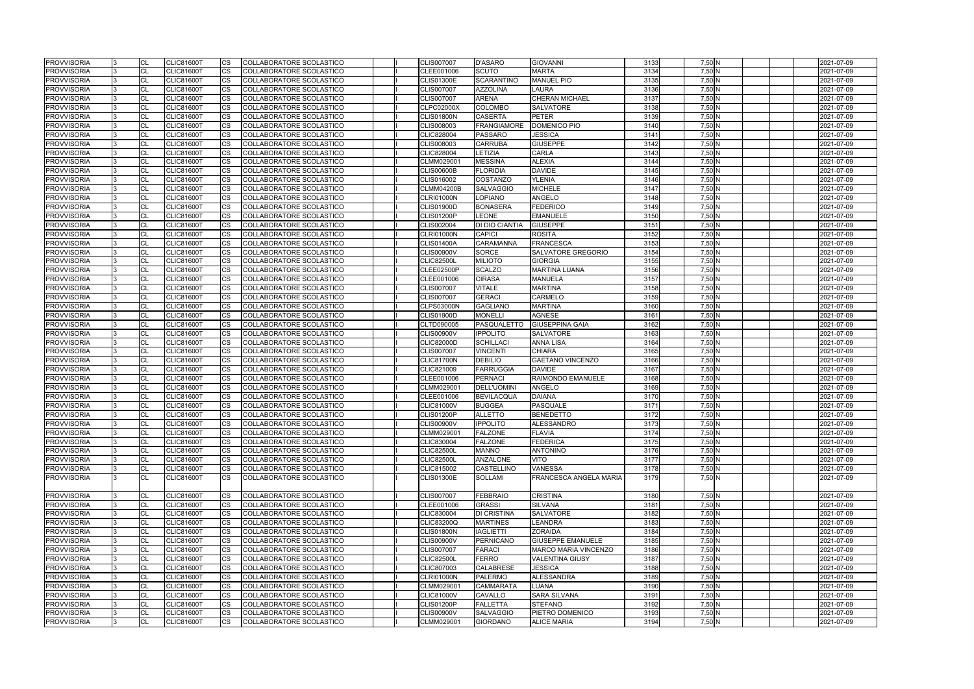| <b>PROVVISORIA</b>                       |    | CL        | <b>CLIC81600T</b> | CS                     | COLLABORATORE SCOLASTICO                             |  | <b>CLIS007007</b>               | <b>D'ASARO</b>                    | <b>GIOVANNI</b>               | 3133         | 7,50 N         |  | 2021-07-09               |
|------------------------------------------|----|-----------|-------------------|------------------------|------------------------------------------------------|--|---------------------------------|-----------------------------------|-------------------------------|--------------|----------------|--|--------------------------|
| <b>PROVVISORIA</b>                       |    | CL        | <b>CLIC81600T</b> | <b>CS</b>              | COLLABORATORE SCOLASTICO                             |  | CLEE001006                      | <b>SCUTO</b>                      | <b>MARTA</b>                  | 3134         | 7,50 N         |  | 2021-07-09               |
| <b>PROVVISORIA</b>                       |    | CL        | <b>CLIC81600T</b> | $\overline{\text{cs}}$ | COLLABORATORE SCOLASTICO                             |  | <b>CLIS01300E</b>               | <b>SCARANTINO</b>                 | <b>MANUEL PIO</b>             | 3135         | 7,50N          |  | 2021-07-09               |
| <b>PROVVISORIA</b>                       |    | CL        | <b>CLIC81600T</b> | CS                     | <b>COLLABORATORE SCOLASTICO</b>                      |  | <b>CLIS007007</b>               | <b>AZZOLINA</b>                   | LAURA                         | 3136         | 7,50N          |  | 2021-07-09               |
| <b>PROVVISORIA</b>                       |    | CL        | CLIC81600T        | CS                     | COLLABORATORE SCOLASTICO                             |  | <b>CLIS007007</b>               | <b>ARENA</b>                      | <b>CHERAN MICHAEL</b>         | 3137         | 7,50 N         |  | 2021-07-09               |
| <b>PROVVISORIA</b>                       |    | CL        | <b>CLIC81600T</b> | $\overline{\text{cs}}$ | COLLABORATORE SCOLASTICO                             |  | <b>CLPC02000X</b>               | <b>COLOMBO</b>                    | SALVATORE                     | 3138         | 7,50N          |  | 2021-07-09               |
| <b>PROVVISORIA</b>                       |    | CL        | <b>CLIC81600T</b> | <b>CS</b>              | <b>COLLABORATORE SCOLASTICO</b>                      |  | <b>CLIS01800N</b>               | <b>CASERTA</b>                    | <b>PETER</b>                  | 3139         | 7,50 N         |  | 2021-07-09               |
| <b>PROVVISORIA</b>                       |    | CL        | <b>CLIC81600T</b> | <b>CS</b>              | COLLABORATORE SCOLASTICO                             |  | CLIS008003                      | <b>FRANGIAMORE</b>                | DOMENICO PIO                  | 3140         | 7,50N          |  | 2021-07-09               |
| <b>PROVVISORIA</b>                       |    | CL        | <b>CLIC81600T</b> | $\overline{\text{cs}}$ | COLLABORATORE SCOLASTICO                             |  | <b>CLIC828004</b>               | <b>PASSARO</b>                    | <b>JESSICA</b>                | 3141         | 7,50N          |  | 2021-07-09               |
| <b>PROVVISORIA</b>                       |    | CL        | <b>CLIC81600T</b> | CS                     | COLLABORATORE SCOLASTICO                             |  | CLIS008003                      | <b>CARRUBA</b>                    | <b>GIUSEPPE</b>               | 3142         | 7,50N          |  | 2021-07-09               |
| <b>PROVVISORIA</b>                       |    | CL        | <b>CLIC81600T</b> | <b>CS</b>              | COLLABORATORE SCOLASTICO                             |  | CLIC828004                      | LETIZIA                           | CARLA                         | 3143         | 7,50N          |  | 2021-07-09               |
| <b>PROVVISORIA</b>                       |    | CL        | <b>CLIC81600T</b> | <b>CS</b>              | COLLABORATORE SCOLASTICO                             |  | CLMM029001                      | <b>MESSINA</b>                    | <b>ALEXIA</b>                 | 3144         | 7,50N          |  | 2021-07-09               |
| <b>PROVVISORIA</b>                       |    | CL        | <b>CLIC81600T</b> | <b>CS</b>              | COLLABORATORE SCOLASTICO                             |  | <b>CLIS00600B</b>               | <b>FLORIDIA</b>                   | <b>DAVIDE</b>                 | 3145         | 7,50N          |  | 2021-07-09               |
| <b>PROVVISORIA</b>                       |    | <b>CL</b> | <b>CLIC81600T</b> | <b>CS</b>              | COLLABORATORE SCOLASTICO                             |  | CLIS016002                      | <b>COSTANZO</b>                   | <b>YLENIA</b>                 | 3146         | 7,50 N         |  | 2021-07-09               |
| <b>PROVVISORIA</b>                       |    | CL        | <b>CLIC81600T</b> | <b>CS</b>              | COLLABORATORE SCOLASTICO                             |  | <b>CLMM04200B</b>               | <b>SALVAGGIO</b>                  | <b>MICHELE</b>                | 3147         | 7,50N          |  | 2021-07-09               |
| <b>PROVVISORIA</b>                       |    | CL        | <b>CLIC81600T</b> | <b>CS</b>              | COLLABORATORE SCOLASTICO                             |  | <b>CLRI01000N</b>               | <b>LOPIANO</b>                    | <b>ANGELO</b>                 | 3148         | 7,50 N         |  | 2021-07-09               |
| <b>PROVVISORIA</b>                       |    | CL        | <b>CLIC81600T</b> | CS                     | COLLABORATORE SCOLASTICO                             |  | <b>CLIS01900D</b>               | <b>BONASERA</b>                   | <b>FEDERICO</b>               | 3149         | 7,50 N         |  | 2021-07-09               |
| <b>PROVVISORIA</b>                       |    | CL        | <b>CLIC81600T</b> | <b>CS</b>              | COLLABORATORE SCOLASTICO                             |  | <b>CLIS01200P</b>               | LEONE                             | <b>EMANUELE</b>               | 3150         | 7,50 N         |  | 2021-07-09               |
| <b>PROVVISORIA</b>                       |    | CL        | <b>CLIC81600T</b> | <b>CS</b>              | COLLABORATORE SCOLASTICO                             |  | CLIS002004                      | DI DIO CIANTIA                    | <b>GIUSEPPE</b>               | 3151         | 7,50 N         |  | 2021-07-09               |
| <b>PROVVISORIA</b>                       |    | CL        | <b>CLIC81600T</b> | $\overline{\text{cs}}$ | COLLABORATORE SCOLASTICO                             |  | <b>CLRI01000N</b>               | <b>CAPICI</b>                     | <b>ROSITA</b>                 | 3152         | 7,50N          |  | 2021-07-09               |
| <b>PROVVISORIA</b>                       |    | CL        | <b>CLIC81600T</b> | <b>CS</b>              | COLLABORATORE SCOLASTICO                             |  | <b>CLIS01400A</b>               | <b>CARAMANNA</b>                  | <b>FRANCESCA</b>              | 3153         | 7,50N          |  | 2021-07-09               |
| <b>PROVVISORIA</b>                       |    | CL        | <b>CLIC81600T</b> | CS                     | COLLABORATORE SCOLASTICO                             |  | <b>CLIS00900V</b>               | <b>SORCE</b>                      | <b>SALVATORE GREGORIO</b>     | 3154         | 7,50 N         |  | 2021-07-09               |
| <b>PROVVISORIA</b>                       |    | CL        | <b>CLIC81600T</b> | CS                     | COLLABORATORE SCOLASTICO                             |  | <b>CLIC82500L</b>               | <b>MILIOTO</b>                    | <b>GIORGIA</b>                | 3155         | 7,50N          |  | 2021-07-09               |
| <b>PROVVISORIA</b>                       |    | CL        | <b>CLIC81600T</b> | CS                     | COLLABORATORE SCOLASTICO                             |  | <b>CLEE02500P</b>               | <b>SCALZO</b>                     | <b>MARTINA LUANA</b>          | 3156         | 7,50N          |  | 2021-07-09               |
| <b>PROVVISORIA</b>                       |    | <b>CL</b> | <b>CLIC81600T</b> | <b>CS</b>              | COLLABORATORE SCOLASTICO                             |  | CLEE001006                      | <b>CIRASA</b>                     | <b>MANUELA</b>                | 3157         | 7,50 N         |  | 2021-07-09               |
| <b>PROVVISORIA</b>                       |    | CL        | <b>CLIC81600T</b> | <b>CS</b>              | COLLABORATORE SCOLASTICO                             |  | <b>CLIS007007</b>               | <b>VITALE</b>                     | <b>MARTINA</b>                | 3158         | 7,50N          |  | 2021-07-09               |
| <b>PROVVISORIA</b>                       |    | CL        | <b>CLIC81600T</b> | <b>CS</b>              | COLLABORATORE SCOLASTICO                             |  | <b>CLIS007007</b>               | <b>GERACI</b>                     | <b>CARMELO</b>                | 3159         | 7,50 N         |  | 2021-07-09               |
| <b>PROVVISORIA</b>                       |    | CL        | <b>CLIC81600T</b> | $\overline{\text{cs}}$ | COLLABORATORE SCOLASTICO                             |  | <b>CLPS03000N</b>               | <b>GAGLIANO</b>                   | <b>MARTINA</b>                | 3160         | 7,50N          |  | 2021-07-09               |
| <b>PROVVISORIA</b>                       |    | CL        | <b>CLIC81600T</b> | <b>CS</b>              | COLLABORATORE SCOLASTICO                             |  | <b>CLIS01900D</b>               | <b>MONELLI</b>                    | <b>AGNESE</b>                 | 3161         | 7,50N          |  | 2021-07-09               |
| <b>PROVVISORIA</b>                       |    | CL        | <b>CLIC81600T</b> | CS                     | COLLABORATORE SCOLASTICO                             |  | CLTD090005                      | PASQUALETTO                       | <b>GIUSEPPINA GAIA</b>        | 3162         | 7,50 N         |  | 2021-07-09               |
| <b>PROVVISORIA</b>                       |    | <b>CL</b> | <b>CLIC81600T</b> | $\overline{\text{cs}}$ | COLLABORATORE SCOLASTICO                             |  | <b>CLIS00900V</b>               | <b>IPPOLITO</b>                   | SALVATORE                     | 3163         | 7,50N          |  | 2021-07-09               |
| <b>PROVVISORIA</b>                       |    | CL        | <b>CLIC81600T</b> | CS                     | COLLABORATORE SCOLASTICO                             |  | <b>CLIC82000D</b>               | <b>SCHILLACI</b>                  | <b>ANNA LISA</b>              | 3164         | 7,50 N         |  | 2021-07-09               |
| <b>PROVVISORIA</b>                       |    | CL        | <b>CLIC81600T</b> | <b>CS</b>              | COLLABORATORE SCOLASTICO                             |  | <b>CLIS007007</b>               | <b>VINCENTI</b>                   | <b>CHIARA</b>                 | 3165         | 7,50N          |  | 2021-07-09               |
| <b>PROVVISORIA</b>                       |    | CL        | <b>CLIC81600T</b> | <b>CS</b>              | COLLABORATORE SCOLASTICO                             |  | <b>CLIC81700N</b>               | <b>DEBILIO</b>                    | <b>GAETANO VINCENZO</b>       | 3166         | 7,50N          |  | 2021-07-09               |
| <b>PROVVISORIA</b>                       |    | CL        | <b>CLIC81600T</b> | CS                     | COLLABORATORE SCOLASTICO                             |  | CLIC821009                      | <b>FARRUGGIA</b>                  | <b>DAVIDE</b>                 | 3167         | 7,50 N         |  | 2021-07-09               |
| <b>PROVVISORIA</b>                       |    | CL        | <b>CLIC81600T</b> | CS                     | COLLABORATORE SCOLASTICO                             |  | CLEE001006                      | <b>PERNACI</b>                    | RAIMONDO EMANUELE             | 3168         | 7,50 N         |  | 2021-07-09               |
| <b>PROVVISORIA</b>                       |    | CL        | <b>CLIC81600T</b> | <b>CS</b>              | COLLABORATORE SCOLASTICO                             |  | CLMM029001                      | <b>DELL'UOMINI</b>                | <b>ANGELO</b>                 | 3169         | 7,50N          |  | 2021-07-09               |
| <b>PROVVISORIA</b>                       |    | CL        | <b>CLIC81600T</b> | <b>CS</b>              | COLLABORATORE SCOLASTICO                             |  | CLEE001006                      | <b>BEVILACQUA</b>                 | <b>DAIANA</b>                 | 3170         | 7,50 N         |  | 2021-07-09               |
| <b>PROVVISORIA</b>                       |    | CL        | <b>CLIC81600T</b> | <b>CS</b>              | COLLABORATORE SCOLASTICO                             |  | <b>CLIC81000V</b>               | <b>BUGGEA</b>                     | <b>PASQUALE</b>               | 3171         | 7,50N          |  | 2021-07-09               |
|                                          |    | CL        | <b>CLIC81600T</b> | <b>CS</b>              |                                                      |  | <b>CLIS01200P</b>               | <b>ALLETTO</b>                    | <b>BENEDETTO</b>              | 3172         | 7,50N          |  |                          |
| <b>PROVVISORIA</b>                       | l٩ | <b>CL</b> |                   | CS.                    | COLLABORATORE SCOLASTICO                             |  |                                 |                                   |                               |              |                |  | 2021-07-09               |
| <b>PROVVISORIA</b><br><b>PROVVISORIA</b> |    |           | <b>CLIC81600T</b> | <b>CS</b>              | COLLABORATORE SCOLASTICO<br>COLLABORATORE SCOLASTICO |  | <b>CLIS00900V</b><br>CLMM029001 | <b>IPPOLITO</b><br><b>FALZONE</b> | ALESSANDRO<br><b>FLAVIA</b>   | 3173<br>3174 | 7,50N<br>7,50N |  | 2021-07-09<br>2021-07-09 |
|                                          |    | <b>CL</b> | <b>CLIC81600T</b> |                        |                                                      |  |                                 |                                   |                               |              |                |  |                          |
| <b>PROVVISORIA</b>                       |    | <b>CL</b> | <b>CLIC81600T</b> | <b>CS</b>              | <b>COLLABORATORE SCOLASTICO</b>                      |  | CLIC830004                      | <b>FALZONE</b>                    | <b>FEDERICA</b>               | 3175         | 7,50 N         |  | 2021-07-09               |
| <b>PROVVISORIA</b>                       |    | CL        | <b>CLIC81600T</b> | <b>CS</b>              | COLLABORATORE SCOLASTICO                             |  | <b>CLIC82500L</b>               | MANNO                             | <b>ANTONINO</b>               | 3176         | 7,50N          |  | 2021-07-09               |
| <b>PROVVISORIA</b>                       |    | CL        | <b>CLIC81600T</b> | <b>CS</b>              | COLLABORATORE SCOLASTICO                             |  | <b>CLIC82500L</b>               | ANZALONE                          | <b>VITO</b>                   | 3177         | 7,50 N         |  | 2021-07-09               |
| <b>PROVVISORIA</b>                       |    | <b>CL</b> | <b>CLIC81600T</b> | <b>CS</b>              | COLLABORATORE SCOLASTICO                             |  | CLIC815002                      | <b>CASTELLINO</b>                 | <b>VANESSA</b>                | 3178         | 7,50N          |  | 2021-07-09               |
| <b>PROVVISORIA</b>                       |    | <b>CL</b> | <b>CLIC81600T</b> | <b>CS</b>              | COLLABORATORE SCOLASTICO                             |  | <b>CLIS01300E</b>               | <b>SOLLAMI</b>                    | <b>FRANCESCA ANGELA MARIA</b> | 3179         | 7,50 N         |  | 2021-07-09               |
|                                          |    |           |                   |                        |                                                      |  |                                 |                                   |                               |              |                |  |                          |
| <b>PROVVISORIA</b>                       |    | <b>CL</b> | CLIC81600T        | CS                     | COLLABORATORE SCOLASTICO                             |  | <b>CLIS007007</b>               | <b>FEBBRAIO</b>                   | CRISTINA                      | 3180         | 7,50 N         |  | 2021-07-09               |
| <b>PROVVISORIA</b>                       |    | <b>CL</b> | <b>CLIC81600T</b> | <b>CS</b>              | COLLABORATORE SCOLASTICO                             |  | CLEE001006                      | <b>GRASSI</b>                     | <b>SILVANA</b>                | 3181         | $7,50$ N       |  | 2021-07-09               |
| <b>PROVVISORIA</b>                       |    | <b>CL</b> | <b>CLIC81600T</b> | <b>CS</b>              | COLLABORATORE SCOLASTICO                             |  | CLIC830004                      | <b>DI CRISTINA</b>                | <b>SALVATORE</b>              | 3182         | 7,50 N         |  | 2021-07-09               |
| <b>PROVVISORIA</b>                       |    | <b>CL</b> | <b>CLIC81600T</b> | <b>CS</b>              | COLLABORATORE SCOLASTICO                             |  | <b>CLIC83200Q</b>               | <b>MARTINES</b>                   | LEANDRA                       | 3183         | 7,50N          |  | 2021-07-09               |
| <b>PROVVISORIA</b>                       |    | <b>CL</b> | <b>CLIC81600T</b> | <b>CS</b>              | COLLABORATORE SCOLASTICO                             |  | <b>CLIS01800N</b>               | <b>IAGLIETTI</b>                  | <b>ZORAIDA</b>                | 3184         | 7,50 N         |  | 2021-07-09               |
| <b>PROVVISORIA</b>                       |    | CL        | <b>CLIC81600T</b> | <b>CS</b>              | COLLABORATORE SCOLASTICO                             |  | <b>CLIS00900V</b>               | PERNICANO                         | <b>GIUSEPPE EMANUELE</b>      | 3185         | 7,50N          |  | 2021-07-09               |
| <b>PROVVISORIA</b>                       |    | <b>CL</b> | <b>CLIC81600T</b> | <b>CS</b>              | COLLABORATORE SCOLASTICO                             |  | <b>CLIS007007</b>               | <b>FARACI</b>                     | <b>MARCO MARIA VINCENZO</b>   | 3186         | 7,50N          |  | 2021-07-09               |
| <b>PROVVISORIA</b>                       |    | <b>CL</b> | <b>CLIC81600T</b> | <b>CS</b>              | COLLABORATORE SCOLASTICO                             |  | <b>CLIC82500L</b>               | FERRO                             | <b>VALENTINA GIUSY</b>        | 3187         | 7,50N          |  | 2021-07-09               |
| <b>PROVVISORIA</b>                       |    | CL        | <b>CLIC81600T</b> | <b>CS</b>              | COLLABORATORE SCOLASTICO                             |  | CLIC807003                      | <b>CALABRESE</b>                  | <b>JESSICA</b>                | 3188         | 7,50 N         |  | 2021-07-09               |
| <b>PROVVISORIA</b>                       |    | <b>CL</b> | <b>CLIC81600T</b> | <b>CS</b>              | COLLABORATORE SCOLASTICO                             |  | <b>CLRI01000N</b>               | <b>PALERMO</b>                    | <b>ALESSANDRA</b>             | 3189         | 7,50N          |  | 2021-07-09               |
| <b>PROVVISORIA</b>                       |    | CL        | <b>CLIC81600T</b> | <b>CS</b>              | COLLABORATORE SCOLASTICO                             |  | CLMM029001                      | <b>CAMMARATA</b>                  | <b>LUANA</b>                  | 3190         | 7,50N          |  | 2021-07-09               |
| <b>PROVVISORIA</b>                       |    | CL        | <b>CLIC81600T</b> | <b>CS</b>              | COLLABORATORE SCOLASTICO                             |  | <b>CLIC81000V</b>               | <b>CAVALLO</b>                    | <b>SARA SILVANA</b>           | 3191         | 7,50 N         |  | 2021-07-09               |
| <b>PROVVISORIA</b>                       |    | <b>CL</b> | <b>CLIC81600T</b> | <b>CS</b>              | COLLABORATORE SCOLASTICO                             |  | <b>CLIS01200P</b>               | <b>FALLETTA</b>                   | <b>STEFANO</b>                | 3192         | 7,50 N         |  | 2021-07-09               |
| <b>PROVVISORIA</b>                       |    | <b>CL</b> | <b>CLIC81600T</b> | <b>CS</b>              | COLLABORATORE SCOLASTICO                             |  | <b>CLIS00900V</b>               | <b>SALVAGGIO</b>                  | PIETRO DOMENICO               | 3193         | 7,50N          |  | 2021-07-09               |
| <b>PROVVISORIA</b>                       |    | <b>CL</b> | <b>CLIC81600T</b> | <b>CS</b>              | COLLABORATORE SCOLASTICO                             |  | CLMM029001                      | <b>GIORDANO</b>                   | <b>ALICE MARIA</b>            | 3194         | 7,50 N         |  | 2021-07-09               |

|  |  | 2021-07-09               |
|--|--|--------------------------|
|  |  | 2021-07-09               |
|  |  | 2021-07-09               |
|  |  | 2021-07-09               |
|  |  | 2021-07-09               |
|  |  | 2021-07-09               |
|  |  | 2021-07-09               |
|  |  | 2021-07-09               |
|  |  | 2021-07-09               |
|  |  | 2021-07-09               |
|  |  | 2021-07-09               |
|  |  | 2021-07-09               |
|  |  | 2021-07-09               |
|  |  | 2021-07-09               |
|  |  | 2021-07-09               |
|  |  | 2021-07-09               |
|  |  | 2021-07-09               |
|  |  | 2021-07-09               |
|  |  | 2021-07-09               |
|  |  | 2021-07-09               |
|  |  | 2021-07-09               |
|  |  | 2021-07-09               |
|  |  | 2021-07-09               |
|  |  | 2021-07-09               |
|  |  | 2021-07-09               |
|  |  | 2021-07-09               |
|  |  | 2021-07-09               |
|  |  | 2021-07-09<br>2021-07-09 |
|  |  |                          |
|  |  | 2021-07-09<br>2021-07-09 |
|  |  | 2021-07-09               |
|  |  | 2021-07-09               |
|  |  | 2021-07-09               |
|  |  | 2021-07-09               |
|  |  | 2021-07-09               |
|  |  | 2021-07-09               |
|  |  | 2021-07-09               |
|  |  | 2021-07-09               |
|  |  | 2021-07-09               |
|  |  | 2021-07-09               |
|  |  | 2021-07-09               |
|  |  | 2021-07-09               |
|  |  | 2021-07-09               |
|  |  | 2021-07-09               |
|  |  | 2021-07-09               |
|  |  | 2021-07-09               |
|  |  |                          |
|  |  | 2021-07-09               |
|  |  | 2021-07-09               |
|  |  | 2021-07-09               |
|  |  | 2021-07-09               |
|  |  | 2021-07-09               |
|  |  | 2021-07-09               |
|  |  | 2021-07-09               |
|  |  | 2021-07-09               |
|  |  | 2021-07-09               |
|  |  | 2021-07-09               |
|  |  | 2021-07-09               |
|  |  | 2021-07-09               |
|  |  | 2021-07-09               |
|  |  | 2021-07-09               |
|  |  | 2021-07-09               |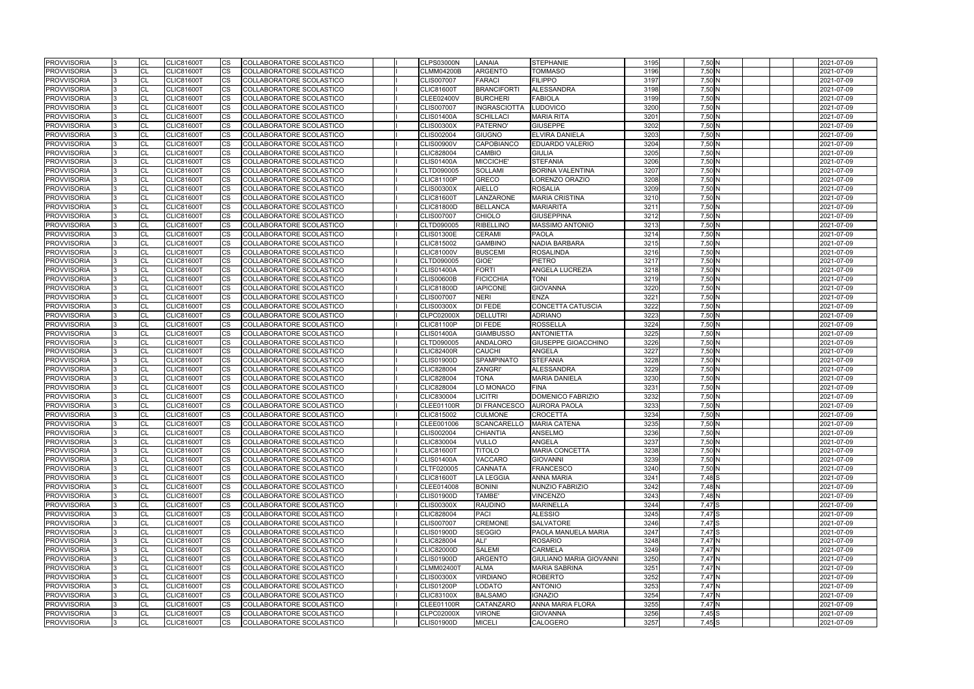| <b>PROVVISORIA</b> | <b>CL</b>      | <b>CLIC81600T</b> | <b>CS</b> | COLLABORATORE SCOLASTICO        |  | <b>CLPS03000N</b> | LANAIA                   | <b>STEPHANIE</b>        | 3195 | $7,50$ N | 2021-07-09 |
|--------------------|----------------|-------------------|-----------|---------------------------------|--|-------------------|--------------------------|-------------------------|------|----------|------------|
| <b>PROVVISORIA</b> | <b>CL</b>      | <b>CLIC81600T</b> | <b>CS</b> | <b>COLLABORATORE SCOLASTICO</b> |  | <b>CLMM04200B</b> | <b>ARGENTO</b>           | <b>TOMMASO</b>          | 3196 | 7,50 N   | 2021-07-09 |
| <b>PROVVISORIA</b> | CL             | <b>CLIC81600T</b> | CS        | COLLABORATORE SCOLASTICO        |  | <b>CLIS007007</b> | <b>FARACI</b>            | <b>FILIPPO</b>          | 3197 | 7,50 N   | 2021-07-09 |
| <b>PROVVISORIA</b> | <b>CL</b>      | <b>CLIC81600T</b> | CS        | COLLABORATORE SCOLASTICO        |  | <b>CLIC81600T</b> | <b>BRANCIFORTI</b>       | <b>ALESSANDRA</b>       | 3198 | 7,50 N   | 2021-07-09 |
| <b>PROVVISORIA</b> | <b>CL</b>      | <b>CLIC81600T</b> | CS        | COLLABORATORE SCOLASTICO        |  | <b>CLEE02400V</b> | <b>BURCHERI</b>          | FABIOLA                 | 3199 | 7,50 N   | 2021-07-09 |
| <b>PROVVISORIA</b> | CL             | <b>CLIC81600T</b> | CS        | COLLABORATORE SCOLASTICO        |  | <b>CLIS007007</b> | INGRASCIOTTA             | LUDOVICO                | 3200 | 7,50 N   | 2021-07-09 |
| <b>PROVVISORIA</b> | <b>CL</b>      | <b>CLIC81600T</b> | CS        | COLLABORATORE SCOLASTICO        |  | <b>CLIS01400A</b> | <b>SCHILLACI</b>         | <b>MARIA RITA</b>       | 3201 | $7,50$ N | 2021-07-09 |
| <b>PROVVISORIA</b> | CL             | <b>CLIC81600T</b> | CS        | COLLABORATORE SCOLASTICO        |  | <b>CLIS00300X</b> | PATERNO'                 | <b>GIUSEPPE</b>         | 3202 | 7,50 N   | 2021-07-09 |
| <b>PROVVISORIA</b> | CL             | <b>CLIC81600T</b> | CS.       | COLLABORATORE SCOLASTICO        |  | CLIS002004        | <b>GIUGNO</b>            | ELVIRA DANIELA          | 3203 | 7,50 N   | 2021-07-09 |
| <b>PROVVISORIA</b> | <b>CL</b>      | <b>CLIC81600T</b> | CS        | COLLABORATORE SCOLASTICO        |  | <b>CLIS00900V</b> | <b>CAPOBIANCO</b>        | <b>EDUARDO VALERIO</b>  | 3204 | 7,50 N   | 2021-07-09 |
| <b>PROVVISORIA</b> | CL             | <b>CLIC81600T</b> | CS        | COLLABORATORE SCOLASTICO        |  | <b>CLIC828004</b> | <b>CAMBIO</b>            | <b>GIULIA</b>           | 3205 | $7,50$ N | 2021-07-09 |
| <b>PROVVISORIA</b> | <b>CL</b>      | <b>CLIC81600T</b> | CS        | COLLABORATORE SCOLASTICO        |  | <b>CLIS01400A</b> | MICCICHE'                | <b>STEFANIA</b>         | 3206 | 7,50N    | 2021-07-09 |
| <b>PROVVISORIA</b> | <b>CL</b>      | <b>CLIC81600T</b> | <b>CS</b> | COLLABORATORE SCOLASTICO        |  | CLTD090005        | <b>SOLLAMI</b>           | <b>BORINA VALENTINA</b> | 3207 | 7,50N    | 2021-07-09 |
| <b>PROVVISORIA</b> | <b>CL</b>      | <b>CLIC81600T</b> | CS        | COLLABORATORE SCOLASTICO        |  | <b>CLIC81100P</b> | <b>GRECO</b>             | LORENZO ORAZIO          | 3208 | 7,50 N   | 2021-07-09 |
| <b>PROVVISORIA</b> | <b>CL</b>      | <b>CLIC81600T</b> | CS        | COLLABORATORE SCOLASTICO        |  | <b>CLIS00300X</b> | <b>AIELLO</b>            | <b>ROSALIA</b>          | 3209 | 7,50 N   | 2021-07-09 |
| <b>PROVVISORIA</b> | <b>CL</b>      | <b>CLIC81600T</b> | CS        | COLLABORATORE SCOLASTICO        |  | <b>CLIC81600T</b> | LANZARONE                | <b>MARIA CRISTINA</b>   | 3210 | 7,50 N   | 2021-07-09 |
| <b>PROVVISORIA</b> | CL             | <b>CLIC81600T</b> | CS        | COLLABORATORE SCOLASTICO        |  | <b>CLIC81800D</b> | <b>BELLANCA</b>          | <b>MARIARITA</b>        | 3211 | 7,50 N   | 2021-07-09 |
| <b>PROVVISORIA</b> | <b>CL</b>      | <b>CLIC81600T</b> | CS        | COLLABORATORE SCOLASTICO        |  | <b>CLIS007007</b> | <b>CHIOLO</b>            | <b>GIUSEPPINA</b>       | 3212 | 7,50 N   | 2021-07-09 |
| <b>PROVVISORIA</b> | <b>CL</b>      | <b>CLIC81600T</b> | CS        | COLLABORATORE SCOLASTICO        |  | CLTD090005        | <b>RIBELLINO</b>         | <b>MASSIMO ANTONIO</b>  | 3213 | 7,50N    | 2021-07-09 |
| <b>PROVVISORIA</b> | CL             | <b>CLIC81600T</b> | <b>CS</b> | COLLABORATORE SCOLASTICO        |  | <b>CLIS01300E</b> | <b>CERAMI</b>            | PAOLA                   | 3214 | 7,50 N   | 2021-07-09 |
| <b>PROVVISORIA</b> | <b>CL</b>      | <b>CLIC81600T</b> | CS        | COLLABORATORE SCOLASTICO        |  | CLIC815002        | <b>GAMBINO</b>           | <b>NADIA BARBARA</b>    | 3215 | 7,50 N   | 2021-07-09 |
| <b>PROVVISORIA</b> | CL             | <b>CLIC81600T</b> | CS        | COLLABORATORE SCOLASTICO        |  | <b>CLIC81000V</b> | <b>BUSCEMI</b>           | <b>ROSALINDA</b>        | 3216 | 7,50 N   | 2021-07-09 |
| <b>PROVVISORIA</b> | <b>CL</b>      | <b>CLIC81600T</b> | CS        | COLLABORATORE SCOLASTICO        |  | CLTD090005        | GIOE'                    | <b>PIETRO</b>           | 3217 | 7,50 N   | 2021-07-09 |
| <b>PROVVISORIA</b> | CL             | <b>CLIC81600T</b> | CS        | COLLABORATORE SCOLASTICO        |  | <b>CLIS01400A</b> | <b>FORTI</b>             | ANGELA LUCREZIA         | 3218 | 7,50N    | 2021-07-09 |
| <b>PROVVISORIA</b> | CL             | <b>CLIC81600T</b> | СS        | COLLABORATORE SCOLASTICO        |  | <b>CLIS00600B</b> | <b>FICICCHIA</b>         | TONI                    | 3219 | 7,50 N   | 2021-07-09 |
| <b>PROVVISORIA</b> | <b>CL</b>      | <b>CLIC81600T</b> | <b>CS</b> | COLLABORATORE SCOLASTICO        |  | <b>CLIC81800D</b> | <b>IAPICONE</b>          | <b>GIOVANNA</b>         | 3220 | 7,50 N   | 2021-07-09 |
| <b>PROVVISORIA</b> | <b>CL</b>      | <b>CLIC81600T</b> | CS        | <b>COLLABORATORE SCOLASTICO</b> |  | <b>CLIS007007</b> | <b>NERI</b>              | <b>ENZA</b>             | 3221 | 7,50 N   | 2021-07-09 |
| <b>PROVVISORIA</b> | <b>CL</b>      | <b>CLIC81600T</b> | CS        | COLLABORATORE SCOLASTICO        |  | <b>CLIS00300X</b> | DI FEDE                  | CONCETTA CATUSCIA       | 3222 | 7,50 N   | 2021-07-09 |
| <b>PROVVISORIA</b> | <b>CL</b>      | <b>CLIC81600T</b> | CS        | COLLABORATORE SCOLASTICO        |  | <b>CLPC02000X</b> | <b>DELLUTRI</b>          | <b>ADRIANO</b>          | 3223 | 7,50N    | 2021-07-09 |
| <b>PROVVISORIA</b> | <b>CL</b>      | <b>CLIC81600T</b> | CS        | COLLABORATORE SCOLASTICO        |  | <b>CLIC81100P</b> | DI FEDE                  | <b>ROSSELLA</b>         | 3224 | 7,50 N   | 2021-07-09 |
| <b>PROVVISORIA</b> | CL             | <b>CLIC81600T</b> | CS        | COLLABORATORE SCOLASTICO        |  | <b>CLIS01400A</b> | <b>GIAMBUSSO</b>         | ANTONIETTA              | 3225 | 7,50N    | 2021-07-09 |
| <b>PROVVISORIA</b> | CL             | <b>CLIC81600T</b> | <b>CS</b> | COLLABORATORE SCOLASTICO        |  | CLTD090005        | <b>ANDALORO</b>          | GIUSEPPE GIOACCHINO     | 3226 | 7,50N    | 2021-07-09 |
| <b>PROVVISORIA</b> | CL             | <b>CLIC81600T</b> | CS        | COLLABORATORE SCOLASTICO        |  | <b>CLIC82400R</b> | <b>CAUCHI</b>            | <b>ANGELA</b>           | 3227 | 7,50 N   | 2021-07-09 |
| <b>PROVVISORIA</b> | CL             | <b>CLIC81600T</b> | CS        | COLLABORATORE SCOLASTICO        |  | <b>CLIS01900D</b> | <b>SPAMPINATO</b>        | <b>STEFANIA</b>         | 3228 | 7,50 N   | 2021-07-09 |
| <b>PROVVISORIA</b> | <b>CL</b>      | <b>CLIC81600T</b> | CS        | COLLABORATORE SCOLASTICO        |  | <b>CLIC828004</b> | <b>ZANGRI'</b>           | <b>ALESSANDRA</b>       | 3229 | 7,50 N   | 2021-07-09 |
| <b>PROVVISORIA</b> | CL             | <b>CLIC81600T</b> | CS        | COLLABORATORE SCOLASTICO        |  | CLIC828004        | <b>TONA</b>              | <b>MARIA DANIELA</b>    | 3230 | 7,50 N   | 2021-07-09 |
| <b>PROVVISORIA</b> | <b>CL</b>      | <b>CLIC81600T</b> | CS        | COLLABORATORE SCOLASTICO        |  | <b>CLIC828004</b> | LO MONACO                | <b>FINA</b>             | 3231 | 7,50N    | 2021-07-09 |
| <b>PROVVISORIA</b> | <b>CL</b>      | <b>CLIC81600T</b> | CS        | COLLABORATORE SCOLASTICO        |  | CLIC830004        | <b>LICITRI</b>           | DOMENICO FABRIZIO       | 3232 | 7,50 N   | 2021-07-09 |
| <b>PROVVISORIA</b> | CL             | <b>CLIC81600T</b> | <b>CS</b> | COLLABORATORE SCOLASTICO        |  | CLEE01100R        | DI FRANCESCO             | <b>AURORA PAOLA</b>     | 3233 | 7,50 N   | 2021-07-09 |
| <b>PROVVISORIA</b> | <b>CL</b>      | <b>CLIC81600T</b> | CS        | COLLABORATORE SCOLASTICO        |  | CLIC815002        | <b>CULMONE</b>           | <b>CROCETTA</b>         | 3234 | 7,50 N   | 2021-07-09 |
| <b>PROVVISORIA</b> | $\overline{C}$ | <b>CLIC81600T</b> | <b>CS</b> | COLLABORATORE SCOLASTICO        |  | CLEE001006        | SCANCARELLO MARIA CATENA |                         | 3235 | 7.50 N   | 2021-07-09 |
| <b>PROVVISORIA</b> | <b>CL</b>      | <b>CLIC81600T</b> | CS        | <b>COLLABORATORE SCOLASTICO</b> |  | CLIS002004        | <b>CHIANTIA</b>          | ANSELMO                 | 3236 | 7,50 N   | 2021-07-09 |
| <b>PROVVISORIA</b> | CL             | CLIC81600T        | <b>CS</b> | COLLABORATORE SCOLASTICO        |  | CLIC830004        | <b>VULLO</b>             | ANGELA                  | 3237 | 7,50N    | 2021-07-09 |
| <b>PROVVISORIA</b> | <b>CL</b>      | <b>CLIC81600T</b> | <b>CS</b> | COLLABORATORE SCOLASTICO        |  | <b>CLIC81600T</b> | <b>TITOLO</b>            | <b>MARIA CONCETTA</b>   | 3238 | $7,50$ N | 2021-07-09 |
| <b>PROVVISORIA</b> | <b>CL</b>      | <b>CLIC81600T</b> | <b>CS</b> | COLLABORATORE SCOLASTICO        |  | <b>CLIS01400A</b> | <b>VACCARO</b>           | <b>GIOVANNI</b>         | 3239 | 7,50 N   | 2021-07-09 |
| <b>PROVVISORIA</b> | <b>CL</b>      | <b>CLIC81600T</b> | CS.       | COLLABORATORE SCOLASTICO        |  | CLTF020005        | <b>CANNATA</b>           | <b>FRANCESCO</b>        | 3240 | 7,50 N   | 2021-07-09 |
| <b>PROVVISORIA</b> | <b>CL</b>      | <b>CLIC81600T</b> | CS        | COLLABORATORE SCOLASTICO        |  | <b>CLIC81600T</b> | <b>LA LEGGIA</b>         | <b>ANNA MARIA</b>       | 3241 | 7,48 S   | 2021-07-09 |
| <b>PROVVISORIA</b> | CL             | <b>CLIC81600T</b> | CS        | COLLABORATORE SCOLASTICO        |  | CLEE014008        | <b>BONINI</b>            | NUNZIO FABRIZIO         | 3242 | 7,48 N   | 2021-07-09 |
| <b>PROVVISORIA</b> | <b>CL</b>      | <b>CLIC81600T</b> | CS        | COLLABORATORE SCOLASTICO        |  | <b>CLIS01900D</b> | <b>TAMBE'</b>            | <b>VINCENZO</b>         | 3243 | 7,48 N   | 2021-07-09 |
| <b>PROVVISORIA</b> | CL             | <b>CLIC81600T</b> | CS        | COLLABORATORE SCOLASTICO        |  | <b>CLIS00300X</b> | <b>RAUDINO</b>           | MARINELLA               | 3244 | 7,47 S   | 2021-07-09 |
| <b>PROVVISORIA</b> | CL             | <b>CLIC81600T</b> | <b>CS</b> | COLLABORATORE SCOLASTICO        |  | <b>CLIC828004</b> | <b>PACI</b>              | <b>ALESSIO</b>          | 3245 | 7,47 S   | 2021-07-09 |
| <b>PROVVISORIA</b> | <b>CL</b>      | <b>CLIC81600T</b> | CS        | COLLABORATORE SCOLASTICO        |  | <b>CLIS007007</b> | <b>CREMONE</b>           | <b>SALVATORE</b>        | 3246 | 7,47 S   | 2021-07-09 |
| <b>PROVVISORIA</b> | CL             | <b>CLIC81600T</b> | CS        | COLLABORATORE SCOLASTICO        |  | <b>CLIS01900D</b> | <b>SEGGIO</b>            | PAOLA MANUELA MARIA     | 3247 | 7,47 S   | 2021-07-09 |
| <b>PROVVISORIA</b> | <b>CL</b>      | <b>CLIC81600T</b> | CS        | COLLABORATORE SCOLASTICO        |  | <b>CLIC828004</b> | ALI'                     | <b>ROSARIO</b>          | 3248 | 7,47 N   | 2021-07-09 |
| <b>PROVVISORIA</b> | CL             | <b>CLIC81600T</b> | CS        | COLLABORATORE SCOLASTICO        |  | <b>CLIC82000D</b> | <b>SALEMI</b>            | CARMELA                 | 3249 | 7,47 N   | 2021-07-09 |
| <b>PROVVISORIA</b> | CL             | <b>CLIC81600T</b> | CS        | COLLABORATORE SCOLASTICO        |  | <b>CLIS01900D</b> | <b>ARGENTO</b>           | GIULIANO MARIA GIOVANNI | 3250 | 7,47 N   | 2021-07-09 |
| <b>PROVVISORIA</b> | CL             | <b>CLIC81600T</b> | <b>CS</b> | COLLABORATORE SCOLASTICO        |  | <b>CLMM02400T</b> | <b>ALMA</b>              | <b>MARIA SABRINA</b>    | 3251 | 7,47 N   | 2021-07-09 |
| <b>PROVVISORIA</b> | CL             | <b>CLIC81600T</b> | CS.       | COLLABORATORE SCOLASTICO        |  | <b>CLIS00300X</b> | <b>VIRDIANO</b>          | <b>ROBERTO</b>          | 3252 | 7,47 N   | 2021-07-09 |
| <b>PROVVISORIA</b> | <b>CL</b>      | <b>CLIC81600T</b> | <b>CS</b> | COLLABORATORE SCOLASTICO        |  | <b>CLIS01200P</b> | <b>LODATO</b>            | <b>ANTONIO</b>          | 3253 | 7,47N    | 2021-07-09 |
| <b>PROVVISORIA</b> | <b>CL</b>      | <b>CLIC81600T</b> | CS        | COLLABORATORE SCOLASTICO        |  | <b>CLIC83100X</b> | <b>BALSAMO</b>           | <b>IGNAZIO</b>          | 3254 | 7,47 N   | 2021-07-09 |
| <b>PROVVISORIA</b> | CL             | CLIC81600T        | CS        | COLLABORATORE SCOLASTICO        |  | CLEE01100R        | <b>CATANZARO</b>         | <b>ANNA MARIA FLORA</b> | 3255 | 7,47 N   | 2021-07-09 |
| <b>PROVVISORIA</b> | <b>CL</b>      | <b>CLIC81600T</b> | <b>CS</b> | COLLABORATORE SCOLASTICO        |  | <b>CLPC02000X</b> | <b>VIRONE</b>            | <b>GIOVANNA</b>         | 3256 | $7,45$ S | 2021-07-09 |
|                    |                |                   |           |                                 |  |                   |                          |                         |      |          |            |
| <b>PROVVISORIA</b> | <b>CL</b>      | <b>CLIC81600T</b> | <b>CS</b> | COLLABORATORE SCOLASTICO        |  | <b>CLIS01900D</b> | <b>MICELI</b>            | CALOGERO                | 3257 | 7,45 S   | 2021-07-09 |

|  |  | 2021-07-09               |
|--|--|--------------------------|
|  |  | 2021-07-09               |
|  |  | 2021-07-09               |
|  |  | 2021-07-09               |
|  |  | 2021-07-09               |
|  |  | 2021-07-09               |
|  |  | 2021-07-09               |
|  |  | 2021-07-09               |
|  |  | 2021-07-09               |
|  |  | 2021-07-09               |
|  |  | 2021-07-09               |
|  |  | 2021-07-09               |
|  |  | 2021-07-09               |
|  |  | 2021-07-09               |
|  |  | 2021-07-09               |
|  |  | 2021-07-09               |
|  |  | 2021-07-09               |
|  |  | 2021-07-09               |
|  |  | 2021-07-09               |
|  |  | 2021-07-09               |
|  |  | 2021-07-09               |
|  |  | 2021-07-09               |
|  |  | 2021-07-09               |
|  |  | 2021-07-09<br>2021-07-09 |
|  |  | 2021-07-09               |
|  |  | 2021-07-09               |
|  |  | 2021-07-09               |
|  |  | 2021-07-09               |
|  |  | 2021-07-09               |
|  |  | 2021-07-09               |
|  |  | 2021-07-09               |
|  |  | 2021-07-09               |
|  |  | 2021-07-09               |
|  |  | 2021-07-09               |
|  |  | 2021-07-09               |
|  |  | 2021-07-09               |
|  |  | 2021-07-09               |
|  |  | 2021-07-09               |
|  |  | 2021-07-09               |
|  |  | 2021-07-09               |
|  |  | 2021-07-09               |
|  |  | 2021-07-09               |
|  |  | 2021-07-09               |
|  |  | 2021-07-09               |
|  |  | 2021-07-09               |
|  |  | 2021-07-09               |
|  |  | 2021-07-09               |
|  |  | 2021-07-09               |
|  |  | 2021-07-09               |
|  |  | 2021-07-09               |
|  |  | 2021-07-09               |
|  |  | 2021-07-09               |
|  |  | 2021-07-09               |
|  |  | 2021-07-09               |
|  |  | 2021-07-09               |
|  |  | 2021-07-09<br>2021-07-09 |
|  |  | 2021-07-09               |
|  |  | 2021-07-09               |
|  |  | 2021-07-09               |
|  |  | 2021-07-09               |
|  |  | 2021-07-09               |
|  |  |                          |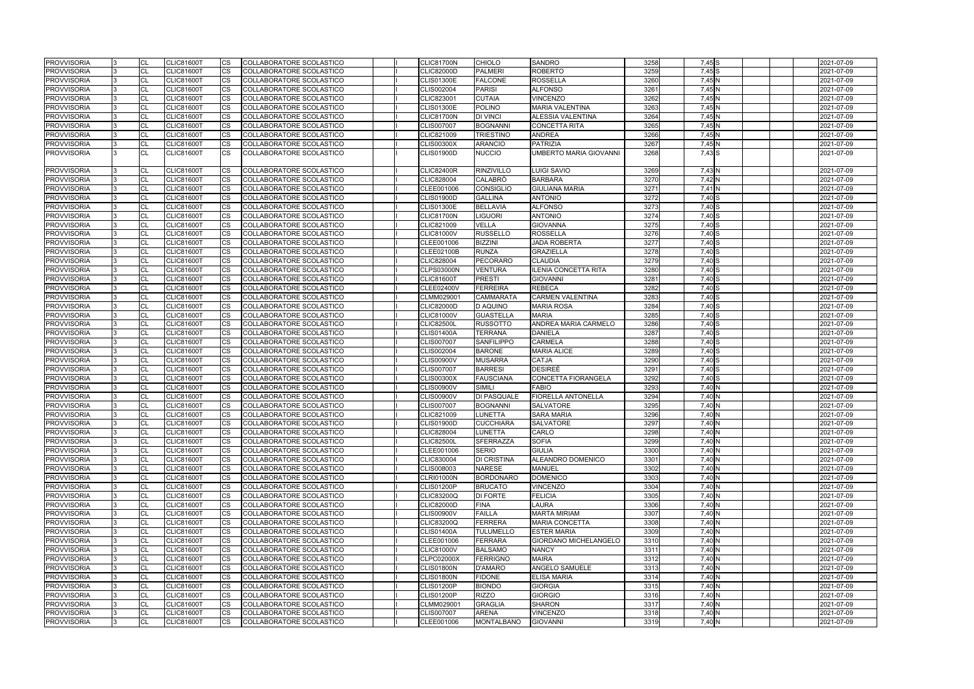| <b>PROVVISORIA</b> |    | <b>CL</b> | <b>CLIC81600T</b> | <b>CS</b> | COLLABORATORE SCOLASTICO        |  | <b>CLIC81700N</b> | <b>CHIOLO</b>      | <b>SANDRO</b>                | 3258 | 7,45 S   | 2021-07-09 |
|--------------------|----|-----------|-------------------|-----------|---------------------------------|--|-------------------|--------------------|------------------------------|------|----------|------------|
| <b>PROVVISORIA</b> |    | <b>CL</b> | <b>CLIC81600T</b> | <b>CS</b> | <b>COLLABORATORE SCOLASTICO</b> |  | <b>CLIC82000D</b> | <b>PALMERI</b>     | <b>ROBERTO</b>               | 3259 | $7,45$ S | 2021-07-09 |
| <b>PROVVISORIA</b> |    | CL        | <b>CLIC81600T</b> | CS        | COLLABORATORE SCOLASTICO        |  | <b>CLIS01300E</b> | <b>FALCONE</b>     | <b>ROSSELLA</b>              | 3260 | 7,45 N   | 2021-07-09 |
| <b>PROVVISORIA</b> |    | <b>CL</b> | <b>CLIC81600T</b> | CS        | COLLABORATORE SCOLASTICO        |  | CLIS002004        | <b>PARISI</b>      | <b>ALFONSO</b>               | 3261 | $7,45$ N | 2021-07-09 |
| <b>PROVVISORIA</b> |    | <b>CL</b> | <b>CLIC81600T</b> | CS        | COLLABORATORE SCOLASTICO        |  | CLIC823001        | <b>CUTAIA</b>      | VINCENZO                     | 3262 | 7,45 N   | 2021-07-09 |
| <b>PROVVISORIA</b> |    | CL        | <b>CLIC81600T</b> | CS        | COLLABORATORE SCOLASTICO        |  | <b>CLIS01300E</b> | <b>POLINO</b>      | MARIA VALENTINA              | 3263 | 7,45 N   | 2021-07-09 |
| <b>PROVVISORIA</b> |    | <b>CL</b> | <b>CLIC81600T</b> | CS        | COLLABORATORE SCOLASTICO        |  | <b>CLIC81700N</b> | <b>DI VINCI</b>    | ALESSIA VALENTINA            | 3264 | 7,45 N   | 2021-07-09 |
| <b>PROVVISORIA</b> |    | CL        | <b>CLIC81600T</b> | CS        | COLLABORATORE SCOLASTICO        |  | <b>CLIS007007</b> | <b>BOGNANNI</b>    | <b>CONCETTA RITA</b>         | 3265 | $7,45$ N | 2021-07-09 |
| <b>PROVVISORIA</b> |    | CL        | <b>CLIC81600T</b> | CS        | COLLABORATORE SCOLASTICO        |  | CLIC821009        | <b>TRIESTINO</b>   | <b>ANDREA</b>                | 3266 | 7,45 N   | 2021-07-09 |
| <b>PROVVISORIA</b> |    | <b>CL</b> | <b>CLIC81600T</b> | CS        | COLLABORATORE SCOLASTICO        |  | <b>CLIS00300X</b> | <b>ARANCIO</b>     | <b>PATRIZIA</b>              | 3267 | 7,45 N   | 2021-07-09 |
| <b>PROVVISORIA</b> | Β. | CL        | <b>CLIC81600T</b> | CS        | COLLABORATORE SCOLASTICO        |  | <b>CLIS01900D</b> | <b>NUCCIO</b>      | UMBERTO MARIA GIOVANNI       | 3268 | 7,43 S   | 2021-07-09 |
| <b>PROVVISORIA</b> |    | <b>CL</b> | <b>CLIC81600T</b> | <b>CS</b> | COLLABORATORE SCOLASTICO        |  | <b>CLIC82400R</b> | <b>RINZIVILLO</b>  | LUIGI SAVIO                  | 3269 | 7,43 N   | 2021-07-09 |
| <b>PROVVISORIA</b> |    | <b>CL</b> | <b>CLIC81600T</b> | <b>CS</b> | COLLABORATORE SCOLASTICO        |  | <b>CLIC828004</b> | <b>CALABRO</b>     | <b>BARBARA</b>               | 3270 | 7,42 N   | 2021-07-09 |
| <b>PROVVISORIA</b> |    | <b>CL</b> | <b>CLIC81600T</b> | CS        | COLLABORATORE SCOLASTICO        |  | CLEE001006        | <b>CONSIGLIO</b>   | <b>GIULIANA MARIA</b>        | 3271 | 7,41 N   | 2021-07-09 |
| <b>PROVVISORIA</b> |    | <b>CL</b> | <b>CLIC81600T</b> | CS        | <b>COLLABORATORE SCOLASTICO</b> |  | <b>CLIS01900D</b> | <b>GALLINA</b>     | <b>ANTONIO</b>               | 3272 | 7,40 S   | 2021-07-09 |
| <b>PROVVISORIA</b> |    | <b>CL</b> | <b>CLIC81600T</b> | CS        | COLLABORATORE SCOLASTICO        |  | <b>CLIS01300E</b> | <b>BELLAVIA</b>    | <b>ALFONSO</b>               | 3273 | $7,40$ S | 2021-07-09 |
| <b>PROVVISORIA</b> |    | <b>CL</b> | <b>CLIC81600T</b> | CS        | COLLABORATORE SCOLASTICO        |  | <b>CLIC81700N</b> | <b>LIGUORI</b>     | <b>ANTONIO</b>               | 3274 | 7,40 S   | 2021-07-09 |
| <b>PROVVISORIA</b> |    | <b>CL</b> | <b>CLIC81600T</b> | <b>CS</b> | COLLABORATORE SCOLASTICO        |  | CLIC821009        | <b>VELLA</b>       | <b>GIOVANNA</b>              | 3275 | 7,40 S   | 2021-07-09 |
| <b>PROVVISORIA</b> |    | CL        | <b>CLIC81600T</b> | CS        | COLLABORATORE SCOLASTICO        |  | <b>CLIC81000V</b> | <b>RUSSELLO</b>    | <b>ROSSELLA</b>              | 3276 | 7,40 S   | 2021-07-09 |
| <b>PROVVISORIA</b> |    | <b>CL</b> | <b>CLIC81600T</b> | CS        | COLLABORATORE SCOLASTICO        |  | CLEE001006        | <b>BIZZINI</b>     | <b>JADA ROBERTA</b>          | 3277 | $7,40$ S | 2021-07-09 |
| <b>PROVVISORIA</b> |    | <b>CL</b> | <b>CLIC81600T</b> | CS        | <b>COLLABORATORE SCOLASTICO</b> |  | <b>CLEE02100B</b> | <b>RUNZA</b>       | <b>GRAZIELLA</b>             | 3278 | 7,40 S   | 2021-07-09 |
| <b>PROVVISORIA</b> |    | CL        | <b>CLIC81600T</b> | CS        | COLLABORATORE SCOLASTICO        |  | <b>CLIC828004</b> | <b>PECORARO</b>    | <b>CLAUDIA</b>               | 3279 | 7,40 S   | 2021-07-09 |
| <b>PROVVISORIA</b> |    | <b>CL</b> | <b>CLIC81600T</b> | CS        | COLLABORATORE SCOLASTICO        |  | <b>CLPS03000N</b> | <b>VENTURA</b>     | <b>ILENIA CONCETTA RITA</b>  | 3280 | 7,40 S   | 2021-07-09 |
| <b>PROVVISORIA</b> |    | <b>CL</b> | <b>CLIC81600T</b> | CS        | COLLABORATORE SCOLASTICO        |  | <b>CLIC81600T</b> | <b>PRESTI</b>      | <b>GIOVANNI</b>              | 3281 | $7,40$ S | 2021-07-09 |
| <b>PROVVISORIA</b> |    | CL        | <b>CLIC81600T</b> | <b>CS</b> | <b>COLLABORATORE SCOLASTICO</b> |  | <b>CLEE02400V</b> | <b>FERREIRA</b>    | <b>REBECA</b>                | 3282 | 7,40 S   | 2021-07-09 |
| <b>PROVVISORIA</b> |    | <b>CL</b> | <b>CLIC81600T</b> | CS        | COLLABORATORE SCOLASTICO        |  | CLMM029001        | <b>CAMMARATA</b>   | <b>CARMEN VALENTINA</b>      | 3283 | $7,40$ S | 2021-07-09 |
| <b>PROVVISORIA</b> |    | <b>CL</b> | <b>CLIC81600T</b> | CS        | <b>COLLABORATORE SCOLASTICO</b> |  | <b>CLIC82000D</b> | <b>D AQUINO</b>    | <b>MARIA ROSA</b>            | 3284 | 7,40 S   | 2021-07-09 |
| <b>PROVVISORIA</b> |    | <b>CL</b> | <b>CLIC81600T</b> | CS        | COLLABORATORE SCOLASTICO        |  | <b>CLIC81000V</b> | <b>GUASTELLA</b>   | <b>MARIA</b>                 | 3285 | 7,40 S   | 2021-07-09 |
| <b>PROVVISORIA</b> |    | CL        | <b>CLIC81600T</b> | CS        | COLLABORATORE SCOLASTICO        |  | <b>CLIC82500L</b> | <b>RUSSOTTO</b>    | ANDREA MARIA CARMELO         | 3286 | $7,40$ S | 2021-07-09 |
| <b>PROVVISORIA</b> |    | <b>CL</b> | <b>CLIC81600T</b> | CS        | COLLABORATORE SCOLASTICO        |  | <b>CLIS01400A</b> | <b>TERRANA</b>     | <b>DANIELA</b>               | 3287 | 7,40 S   | 2021-07-09 |
| <b>PROVVISORIA</b> |    | <b>CL</b> | <b>CLIC81600T</b> | <b>CS</b> | COLLABORATORE SCOLASTICO        |  | <b>CLIS007007</b> | <b>SANFILIPPO</b>  | <b>CARMELA</b>               | 3288 | 7,40 S   | 2021-07-09 |
| <b>PROVVISORIA</b> |    | <b>CL</b> | <b>CLIC81600T</b> | CS        | COLLABORATORE SCOLASTICO        |  | <b>CLIS002004</b> | <b>BARONE</b>      | <b>MARIA ALICE</b>           | 3289 | 7,40 S   | 2021-07-09 |
| <b>PROVVISORIA</b> |    | CL        | <b>CLIC81600T</b> | CS.       | COLLABORATORE SCOLASTICO        |  | <b>CLIS00900V</b> | <b>MUSARRA</b>     | <b>CATJA</b>                 | 3290 | 7,40 S   | 2021-07-09 |
| <b>PROVVISORIA</b> |    | <b>CL</b> | <b>CLIC81600T</b> | CS        | COLLABORATORE SCOLASTICO        |  | <b>CLIS007007</b> | <b>BARRESI</b>     | <b>DESIREÈ</b>               | 3291 | 7,40 S   | 2021-07-09 |
| <b>PROVVISORIA</b> |    | CL        | <b>CLIC81600T</b> | CS        | COLLABORATORE SCOLASTICO        |  | <b>CLIS00300X</b> | <b>FAUSCIANA</b>   | CONCETTA FIORANGELA          | 3292 | 7,40 S   | 2021-07-09 |
| <b>PROVVISORIA</b> |    | CL        | <b>CLIC81600T</b> | CS        | COLLABORATORE SCOLASTICO        |  | <b>CLIS00900V</b> | <b>SIMILI</b>      | <b>FABIO</b>                 | 3293 | 7,40 N   | 2021-07-09 |
| <b>PROVVISORIA</b> |    | <b>CL</b> | <b>CLIC81600T</b> | <b>CS</b> | COLLABORATORE SCOLASTICO        |  | <b>CLIS00900V</b> | <b>DI PASQUALE</b> | <b>FIORELLA ANTONELLA</b>    | 3294 | 7,40 N   | 2021-07-09 |
| <b>PROVVISORIA</b> |    | <b>CL</b> | <b>CLIC81600T</b> | CS.       | COLLABORATORE SCOLASTICO        |  | <b>CLIS007007</b> | <b>BOGNANNI</b>    | <b>SALVATORE</b>             | 3295 | 7,40 N   | 2021-07-09 |
| <b>PROVVISORIA</b> |    | CL        | <b>CLIC81600T</b> | <b>CS</b> | COLLABORATORE SCOLASTICO        |  | CLIC821009        | <b>LUNETTA</b>     | <b>SARA MARIA</b>            | 3296 | 7,40 N   | 2021-07-09 |
| <b>PROVVISORIA</b> |    | <b>CI</b> | <b>CLIC81600T</b> | <b>CS</b> | COLLABORATORE SCOLASTICO        |  | <b>CLIS01900D</b> | <b>CUCCHIARA</b>   | <b>SALVATORE</b>             | 3297 | 7,40 N   | 2021-07-09 |
| <b>PROVVISORIA</b> |    | <b>CL</b> | <b>CLIC81600T</b> | CS        | COLLABORATORE SCOLASTICO        |  | <b>CLIC828004</b> | <b>LUNETTA</b>     | CARLO                        | 3298 | 7,40 N   | 2021-07-09 |
| <b>PROVVISORIA</b> |    | CL        | <b>CLIC81600T</b> | <b>CS</b> | COLLABORATORE SCOLASTICO        |  | <b>CLIC82500L</b> | <b>SFERRAZZA</b>   | <b>SOFIA</b>                 | 3299 | 7,40 N   | 2021-07-09 |
| <b>PROVVISORIA</b> |    | <b>CL</b> | <b>CLIC81600T</b> | <b>CS</b> | COLLABORATORE SCOLASTICO        |  | CLEE001006        | <b>SERIO</b>       | <b>GIULIA</b>                | 3300 | 7,40 N   | 2021-07-09 |
| <b>PROVVISORIA</b> |    | CL        | <b>CLIC81600T</b> | <b>CS</b> | COLLABORATORE SCOLASTICO        |  | CLIC830004        | <b>DI CRISTINA</b> | ALEANDRO DOMENICO            | 3301 | 7,40 N   | 2021-07-09 |
| <b>PROVVISORIA</b> |    | CL        | <b>CLIC81600T</b> | <b>CS</b> | COLLABORATORE SCOLASTICO        |  | CLIS008003        | <b>NARESE</b>      | <b>MANUEL</b>                | 3302 | 7,40 N   | 2021-07-09 |
| <b>PROVVISORIA</b> |    | <b>CL</b> | <b>CLIC81600T</b> | CS        | COLLABORATORE SCOLASTICO        |  | <b>CLRI01000N</b> | <b>BORDONARO</b>   | <b>DOMENICO</b>              | 3303 | 7,40 N   | 2021-07-09 |
| <b>PROVVISORIA</b> |    | CL        | <b>CLIC81600T</b> | CS        | COLLABORATORE SCOLASTICO        |  | <b>CLIS01200P</b> | <b>BRUCATO</b>     | <b>VINCENZO</b>              | 3304 | 7,40 N   | 2021-07-09 |
| <b>PROVVISORIA</b> |    | <b>CL</b> | <b>CLIC81600T</b> | CS.       | COLLABORATORE SCOLASTICO        |  | <b>CLIC83200Q</b> | <b>DI FORTE</b>    | FELICIA                      | 3305 | 7,40 N   | 2021-07-09 |
| <b>PROVVISORIA</b> |    | <b>CL</b> | <b>CLIC81600T</b> | CS        | COLLABORATORE SCOLASTICO        |  | <b>CLIC82000D</b> | <b>FINA</b>        | LAURA                        | 3306 | 7,40 N   | 2021-07-09 |
| <b>PROVVISORIA</b> |    | <b>CL</b> | <b>CLIC81600T</b> | <b>CS</b> | COLLABORATORE SCOLASTICO        |  | <b>CLIS00900V</b> | <b>FAILLA</b>      | <b>MARTA MIRIAM</b>          | 3307 | 7,40 N   | 2021-07-09 |
| <b>PROVVISORIA</b> |    | <b>CL</b> | <b>CLIC81600T</b> | <b>CS</b> | COLLABORATORE SCOLASTICO        |  | <b>CLIC83200Q</b> | FERRERA            | <b>MARIA CONCETTA</b>        | 3308 | 7,40 N   | 2021-07-09 |
| <b>PROVVISORIA</b> |    | <b>CL</b> | <b>CLIC81600T</b> | CS        | COLLABORATORE SCOLASTICO        |  | <b>CLIS01400A</b> | <b>TULUMELLO</b>   | <b>ESTER MARIA</b>           | 3309 | 7,40 N   | 2021-07-09 |
| <b>PROVVISORIA</b> |    | <b>CL</b> | <b>CLIC81600T</b> | CS        | COLLABORATORE SCOLASTICO        |  | CLEE001006        | <b>FERRARA</b>     | <b>GIORDANO MICHELANGELO</b> | 3310 | 7,40 N   | 2021-07-09 |
| <b>PROVVISORIA</b> |    | CL        | <b>CLIC81600T</b> | CS        | COLLABORATORE SCOLASTICO        |  | <b>CLIC81000V</b> | <b>BALSAMO</b>     | <b>NANCY</b>                 | 3311 | 7,40 N   | 2021-07-09 |
| <b>PROVVISORIA</b> |    | CL        | CLIC81600T        | CS        | COLLABORATORE SCOLASTICO        |  | <b>CLPC02000X</b> | FERRIGNO           | MAIRA                        | 3312 | 7,40 N   | 2021-07-09 |
| <b>PROVVISORIA</b> |    | <b>CL</b> | <b>CLIC81600T</b> | <b>CS</b> | COLLABORATORE SCOLASTICO        |  | <b>CLIS01800N</b> | <b>D'AMARO</b>     | ANGELO SAMUELE               | 3313 | 7,40 N   | 2021-07-09 |
| <b>PROVVISORIA</b> |    | CL        | <b>CLIC81600T</b> | CS        | COLLABORATORE SCOLASTICO        |  | <b>CLIS01800N</b> | <b>FIDONE</b>      | ELISA MARIA                  | 3314 | 7,40 N   | 2021-07-09 |
| <b>PROVVISORIA</b> |    | CL        | <b>CLIC81600T</b> | CS        | COLLABORATORE SCOLASTICO        |  | <b>CLIS01200P</b> | <b>BIONDO</b>      | <b>GIORGIA</b>               | 3315 | 7,40 N   | 2021-07-09 |
| <b>PROVVISORIA</b> |    | <b>CL</b> | <b>CLIC81600T</b> | CS        | COLLABORATORE SCOLASTICO        |  | <b>CLIS01200P</b> | <b>RIZZO</b>       | <b>GIORGIO</b>               | 3316 | 7,40 N   | 2021-07-09 |
| <b>PROVVISORIA</b> |    | CL        | <b>CLIC81600T</b> | CS        | COLLABORATORE SCOLASTICO        |  | CLMM029001        | <b>GRAGLIA</b>     | SHARON                       | 3317 | 7,40 N   | 2021-07-09 |
|                    |    |           |                   | <b>CS</b> |                                 |  |                   | <b>ARENA</b>       | <b>VINCENZO</b>              |      |          |            |
| <b>PROVVISORIA</b> |    | <b>CL</b> | <b>CLIC81600T</b> |           | COLLABORATORE SCOLASTICO        |  | <b>CLIS007007</b> |                    |                              | 3318 | 7,40 N   | 2021-07-09 |
| <b>PROVVISORIA</b> |    | <b>CL</b> | <b>CLIC81600T</b> | <b>CS</b> | COLLABORATORE SCOLASTICO        |  | CLEE001006        | <b>MONTALBANO</b>  | <b>GIOVANNI</b>              | 3319 | 7,40 N   | 2021-07-09 |

|  |  | 2021-07-09               |
|--|--|--------------------------|
|  |  | 2021-07-09               |
|  |  | 2021-07-09               |
|  |  | 2021-07-09               |
|  |  | 2021-07-09               |
|  |  | 2021-07-09               |
|  |  | 2021-07-09               |
|  |  | 2021-07-09               |
|  |  | 2021-07-09               |
|  |  | 2021-07-09               |
|  |  | 2021-07-09               |
|  |  |                          |
|  |  | 2021-07-09               |
|  |  | 2021-07-09               |
|  |  | 2021-07-09               |
|  |  | 2021-07-09               |
|  |  | 2021-07-09               |
|  |  | 2021-07-09               |
|  |  | 2021-07-09               |
|  |  | 2021-07-09               |
|  |  | 2021-07-09               |
|  |  | 2021-07-09               |
|  |  | 2021-07-09               |
|  |  | 2021-07-09               |
|  |  | 2021-07-09               |
|  |  | 2021-07-09               |
|  |  | 2021-07-09               |
|  |  | 2021-07-09               |
|  |  | 2021-07-09               |
|  |  | 2021-07-09               |
|  |  | 2021-07-09               |
|  |  | 2021-07-09               |
|  |  | 2021-07-09               |
|  |  | 2021-07-09               |
|  |  | 2021-07-09               |
|  |  | 2021-07-09               |
|  |  | 2021-07-09               |
|  |  | 2021-07-09               |
|  |  | 2021-07-09               |
|  |  | 2021-07-09               |
|  |  | 2021-07-09               |
|  |  | 2021-07-09               |
|  |  | 2021-07-09               |
|  |  | 2021-07-09<br>2021-07-09 |
|  |  | 2021-07-09               |
|  |  | 2021-07-09               |
|  |  | 2021-07-09               |
|  |  | 2021-07-09               |
|  |  | 2021-07-09               |
|  |  | 2021-07-09               |
|  |  | 2021-07-09               |
|  |  | 2021-07-09               |
|  |  | 2021-07-09               |
|  |  | 2021-07-09               |
|  |  | 2021-07-09               |
|  |  | 2021-07-09               |
|  |  | 2021-07-09               |
|  |  | 2021-07-09               |
|  |  | 2021-07-09               |
|  |  | 2021-07-09               |
|  |  | 2021-07-09               |
|  |  | 2021-07-09               |
|  |  |                          |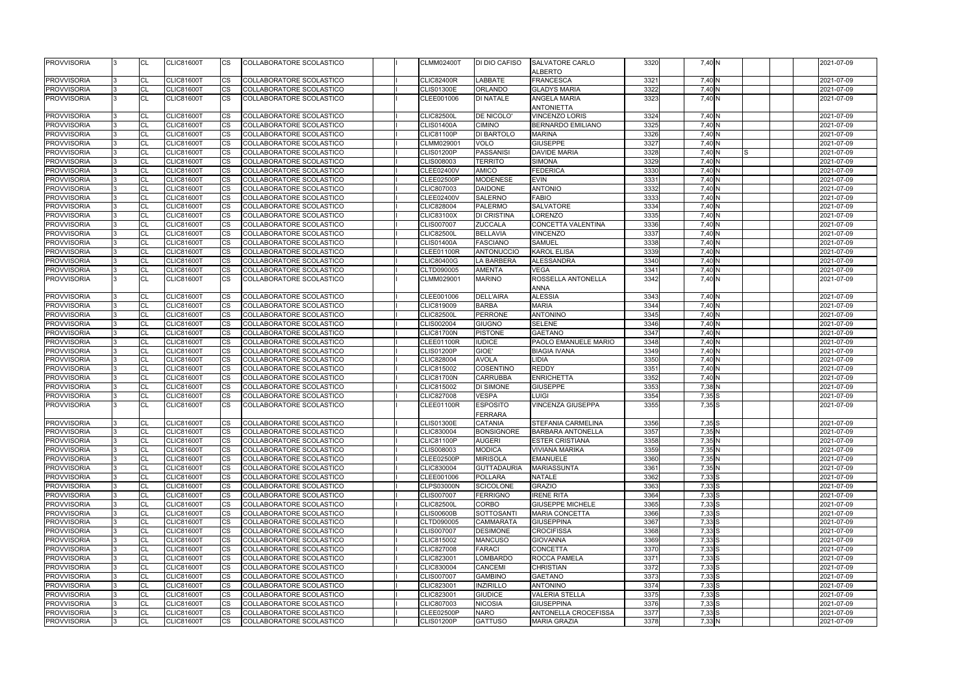| 3320              | 7,40 N               |   |  | 2021-07-09 |
|-------------------|----------------------|---|--|------------|
| 3321              | 7,40 N               |   |  | 2021-07-09 |
| 3322              | 7,40 N               |   |  | 2021-07-09 |
| 3323              | 7,40 N               |   |  | 2021-07-09 |
|                   |                      |   |  |            |
| 3324              | 7,40 N               |   |  | 2021-07-09 |
| 3325              | 7,40 N               |   |  | 2021-07-09 |
| 3326              | 7,40 N               |   |  | 2021-07-09 |
| 3327              | 7,40 N               |   |  | 2021-07-09 |
| 3328              | 7,40 N               | S |  | 2021-07-09 |
| 3329              | 7,40 N               |   |  | 2021-07-09 |
| 3330              | 7,40 N               |   |  | 2021-07-09 |
| 3331              | 7,40 N               |   |  | 2021-07-09 |
| 3332              | 7,40 N               |   |  | 2021-07-09 |
| 3333              | 7,40 N               |   |  | 2021-07-09 |
| 3334              | 7,40 N               |   |  | 2021-07-09 |
| 3335              | 7,40 N               |   |  | 2021-07-09 |
| 3336              | 7,40 N               |   |  | 2021-07-09 |
| 3337              | 7,40 N               |   |  | 2021-07-09 |
| 3338              | 7,40 N               |   |  | 2021-07-09 |
| 3339              | 7,40 N               |   |  | 2021-07-09 |
| 3340              | 7,40 N               |   |  | 2021-07-09 |
| 3341              | 7,40 N               |   |  | 2021-07-09 |
| 3342              | 7,40 N               |   |  | 2021-07-09 |
|                   |                      |   |  |            |
| 3343              | 7,40 N               |   |  | 2021-07-09 |
| 3344              | 7,40 N               |   |  | 2021-07-09 |
| 3345              | 7,40 N               |   |  | 2021-07-09 |
| 3346              | 7,40 N               |   |  | 2021-07-09 |
| 3347              | 7,40 N               |   |  | 2021-07-09 |
| 3348              | 7,40 N               |   |  | 2021-07-09 |
| 3349              | 7,40 N               |   |  | 2021-07-09 |
| 3350              | 7,40 N               |   |  | 2021-07-09 |
| 3351              | 7,40 N               |   |  | 2021-07-09 |
| 3352              | 7,40 N               |   |  | 2021-07-09 |
| 3353              | 7,38 N               |   |  | 2021-07-09 |
| 3354              | 7,35 S               |   |  | 2021-07-09 |
| 3355              | $7,35$ S             |   |  | 2021-07-09 |
| 3356              | $7,35$ S             |   |  | 2021-07-09 |
| 3357              | 7,35 N               |   |  | 2021-07-09 |
| 3358              | 7,35 N               |   |  | 2021-07-09 |
| 3359              | 7,35 N               |   |  | 2021-07-09 |
| 3360              | $7,35$ <sub>N</sub>  |   |  | 2021-07-09 |
| 3361              | 7,35 N               |   |  | 2021-07-09 |
| 3362              | 7,33 S               |   |  | 2021-07-09 |
| 3363              | $7,33$ $S$           |   |  | 2021-07-09 |
| 3364              | 7,33 S               |   |  | 2021-07-09 |
| 3365              | $7,33$ $S$           |   |  | 2021-07-09 |
| 3366              | 7,33 S               |   |  | 2021-07-09 |
| 3367              | 7,33 S               |   |  | 2021-07-09 |
| 3368              | $7,33$ $S$           |   |  | 2021-07-09 |
| 3369              | 7,33 S               |   |  | 2021-07-09 |
| 3370              | 7,33 S               |   |  | 2021-07-09 |
| 3371              | $7,33$ S             |   |  | 2021-07-09 |
| 3372              | 7,33 S               |   |  | 2021-07-09 |
| 3373              | $7,33$ $S$           |   |  | 2021-07-09 |
| 3374              | $7,33$ $S$           |   |  | 2021-07-09 |
| $\overline{3}375$ | 7,33 S               |   |  | 2021-07-09 |
| 3376              | 7,33 S               |   |  | 2021-07-09 |
| 3377              | 7,33 S               |   |  | 2021-07-09 |
| $\overline{3}378$ | $\overline{7}$ ,33 N |   |  | 2021-07-09 |

| <b>PROVVISORIA</b>                       |   | <b>CL</b>       | <b>CLIC81600T</b>                      | CS                     | COLLABORATORE SCOLASTICO                                    | <b>CLMM02400T</b>               | DI DIO CAFISO                      | <b>SALVATORE CARLO</b>            | 3320         | 7,40 N   | 2021-07-09 |
|------------------------------------------|---|-----------------|----------------------------------------|------------------------|-------------------------------------------------------------|---------------------------------|------------------------------------|-----------------------------------|--------------|----------|------------|
|                                          |   |                 |                                        |                        |                                                             |                                 |                                    | <b>ALBERTO</b>                    |              |          | 2021-07-09 |
| <b>PROVVISORIA</b>                       |   | CL              | <b>CLIC81600T</b>                      | CS                     | COLLABORATORE SCOLASTICO                                    | <b>CLIC82400R</b>               | LABBATE                            | <b>FRANCESCA</b>                  | 3321         | 7,40 N   |            |
| <b>PROVVISORIA</b><br><b>PROVVISORIA</b> | 3 | CL<br><b>CL</b> | <b>CLIC81600T</b><br><b>CLIC81600T</b> | <b>CS</b><br><b>CS</b> | COLLABORATORE SCOLASTICO<br><b>COLLABORATORE SCOLASTICO</b> | <b>CLIS01300E</b><br>CLEE001006 | <b>ORLANDO</b><br><b>DI NATALE</b> | <b>GLADYS MARIA</b>               | 3322<br>3323 | 7,40 N   | 2021-07-09 |
|                                          |   |                 |                                        |                        |                                                             |                                 |                                    | ANGELA MARIA<br><b>ANTONIETTA</b> |              | 7,40 N   | 2021-07-09 |
| <b>PROVVISORIA</b>                       |   | CL              | <b>CLIC81600T</b>                      | <b>CS</b>              | COLLABORATORE SCOLASTICO                                    | <b>CLIC82500L</b>               | <b>DE NICOLO'</b>                  | <b>VINCENZO LORIS</b>             | 3324         | $7,40$ N | 2021-07-09 |
| <b>PROVVISORIA</b>                       |   | CL              | <b>CLIC81600T</b>                      | <b>CS</b>              | COLLABORATORE SCOLASTICO                                    | <b>CLIS01400A</b>               | <b>CIMINO</b>                      | <b>BERNARDO EMILIANO</b>          | 3325         | 7,40 N   | 2021-07-09 |
| <b>PROVVISORIA</b>                       |   | CL              | <b>CLIC81600T</b>                      | <b>CS</b>              | COLLABORATORE SCOLASTICO                                    | <b>CLIC81100P</b>               | <b>DI BARTOLO</b>                  | <b>MARINA</b>                     | 3326         | 7,40 N   | 2021-07-09 |
| <b>PROVVISORIA</b>                       |   | <b>CL</b>       | <b>CLIC81600T</b>                      | <b>CS</b>              | COLLABORATORE SCOLASTICO                                    | CLMM029001                      | <b>VOLO</b>                        | <b>GIUSEPPE</b>                   | 3327         | 7,40 N   | 2021-07-09 |
| <b>PROVVISORIA</b>                       |   | CL              | <b>CLIC81600T</b>                      | <b>CS</b>              | COLLABORATORE SCOLASTICO                                    | <b>CLIS01200P</b>               | <b>PASSANISI</b>                   | <b>DAVIDE MARIA</b>               | 3328         | 7,40 N   | 2021-07-09 |
| <b>PROVVISORIA</b>                       |   | <b>CL</b>       | <b>CLIC81600T</b>                      | <b>CS</b>              | COLLABORATORE SCOLASTICO                                    | CLIS008003                      | <b>TERRITO</b>                     | <b>SIMONA</b>                     | 3329         | 7,40 N   | 2021-07-09 |
| <b>PROVVISORIA</b>                       |   | CL              | <b>CLIC81600T</b>                      | <b>CS</b>              | COLLABORATORE SCOLASTICO                                    | <b>CLEE02400V</b>               | <b>AMICO</b>                       | <b>FEDERICA</b>                   | 3330         | $7,40$ N | 2021-07-09 |
| <b>PROVVISORIA</b>                       |   | CL              | <b>CLIC81600T</b>                      | <b>CS</b>              | COLLABORATORE SCOLASTICO                                    | <b>CLEE02500P</b>               | <b>MODENESE</b>                    | <b>EVIN</b>                       | 3331         | 7,40 N   | 2021-07-09 |
| <b>PROVVISORIA</b>                       |   | <b>CL</b>       | <b>CLIC81600T</b>                      | $\overline{\text{cs}}$ | COLLABORATORE SCOLASTICO                                    | CLIC807003                      | <b>DAIDONE</b>                     | <b>ANTONIO</b>                    | 3332         | 7,40N    | 2021-07-09 |
| <b>PROVVISORIA</b>                       |   | CL              | <b>CLIC81600T</b>                      | <b>CS</b>              | COLLABORATORE SCOLASTICO                                    | <b>CLEE02400V</b>               | <b>SALERNO</b>                     | <b>FABIO</b>                      | 3333         | $7,40$ N | 2021-07-09 |
| <b>PROVVISORIA</b>                       |   | CL              | <b>CLIC81600T</b>                      | <b>CS</b>              | COLLABORATORE SCOLASTICO                                    | CLIC828004                      | <b>PALERMO</b>                     | <b>SALVATORE</b>                  | 3334         | 7,40 N   | 2021-07-09 |
| <b>PROVVISORIA</b>                       |   | <b>CL</b>       | <b>CLIC81600T</b>                      | <b>CS</b>              | COLLABORATORE SCOLASTICO                                    | <b>CLIC83100X</b>               | <b>DI CRISTINA</b>                 | <b>LORENZO</b>                    | 3335         | 7,40 N   | 2021-07-09 |
| <b>PROVVISORIA</b>                       |   | CL              | <b>CLIC81600T</b>                      | <b>CS</b>              | COLLABORATORE SCOLASTICO                                    | <b>CLIS007007</b>               | <b>ZUCCALA</b>                     | <b>CONCETTA VALENTINA</b>         | 3336         | 7,40 N   | 2021-07-09 |
| <b>PROVVISORIA</b>                       |   | <b>CL</b>       | <b>CLIC81600T</b>                      | $\overline{\text{cs}}$ | COLLABORATORE SCOLASTICO                                    | <b>CLIC82500L</b>               | <b>BELLAVIA</b>                    | <b>VINCENZO</b>                   | 3337         | 7,40 N   | 2021-07-09 |
| <b>PROVVISORIA</b>                       |   | CL              | <b>CLIC81600T</b>                      | <b>CS</b>              | COLLABORATORE SCOLASTICO                                    | <b>CLIS01400A</b>               | <b>FASCIANO</b>                    | <b>SAMUEL</b>                     | 3338         | 7,40 N   | 2021-07-09 |
| <b>PROVVISORIA</b>                       |   | CL              | <b>CLIC81600T</b>                      | CS                     | COLLABORATORE SCOLASTICO                                    | <b>CLEE01100R</b>               | <b>ANTONUCCIO</b>                  | <b>KAROL ELISA</b>                | 3339         | $7,40$ N | 2021-07-09 |
| <b>PROVVISORIA</b>                       |   | <b>CL</b>       | <b>CLIC81600T</b>                      | <b>CS</b>              | COLLABORATORE SCOLASTICO                                    | <b>CLIC80400G</b>               | <b>LA BARBERA</b>                  | ALESSANDRA                        | 3340         | 7,40 N   | 2021-07-09 |
| <b>PROVVISORIA</b>                       |   | <b>CL</b>       | <b>CLIC81600T</b>                      | <b>ICS</b>             | COLLABORATORE SCOLASTICO                                    | CLTD090005                      | <b>AMENTA</b>                      | <b>VEGA</b>                       | 3341         | 7,40 N   | 2021-07-09 |
| <b>PROVVISORIA</b>                       |   | <b>CL</b>       | <b>CLIC81600T</b>                      | <b>CS</b>              | COLLABORATORE SCOLASTICO                                    | CLMM029001                      | <b>MARINO</b>                      | ROSSELLA ANTONELLA                | 3342         | 7,40 N   | 2021-07-09 |
|                                          |   |                 |                                        |                        |                                                             |                                 |                                    | <b>ANNA</b>                       |              |          |            |
| <b>PROVVISORIA</b>                       |   | CL              | <b>CLIC81600T</b>                      | CS                     | COLLABORATORE SCOLASTICO                                    | CLEE001006                      | <b>DELL'AIRA</b>                   | <b>ALESSIA</b>                    | 3343         | 7,40 N   | 2021-07-09 |
| <b>PROVVISORIA</b>                       |   | CL              | <b>CLIC81600T</b>                      | CS                     | COLLABORATORE SCOLASTICO                                    | CLIC819009                      | <b>BARBA</b>                       | <b>MARIA</b>                      | 3344         | 7,40 N   | 2021-07-09 |
| <b>PROVVISORIA</b>                       |   | <b>CL</b>       | <b>CLIC81600T</b>                      | <b>CS</b>              | COLLABORATORE SCOLASTICO                                    | <b>CLIC82500L</b>               | <b>PERRONE</b>                     | <b>ANTONINO</b>                   | 3345         | 7,40 N   | 2021-07-09 |
| <b>PROVVISORIA</b>                       |   | <b>CL</b>       | <b>CLIC81600T</b>                      | <b>CS</b>              | COLLABORATORE SCOLASTICO                                    | CLIS002004                      | <b>GIUGNO</b>                      | <b>SELENE</b>                     | 3346         | 7,40 N   | 2021-07-09 |
| <b>PROVVISORIA</b>                       |   | CL              | <b>CLIC81600T</b>                      | <b>CS</b>              | COLLABORATORE SCOLASTICO                                    | <b>CLIC81700N</b>               | <b>PISTONE</b>                     | <b>GAETANO</b>                    | 3347         | 7,40 N   | 2021-07-09 |
| <b>PROVVISORIA</b>                       |   | CL              | <b>CLIC81600T</b>                      | <b>CS</b>              | COLLABORATORE SCOLASTICO                                    | <b>CLEE01100R</b>               | <b>IUDICE</b>                      | PAOLO EMANUELE MARIO              | 3348         | $7,40$ N | 2021-07-09 |
| <b>PROVVISORIA</b>                       |   | CL              | <b>CLIC81600T</b>                      | <b>CS</b>              | COLLABORATORE SCOLASTICO                                    | <b>CLIS01200P</b>               | GIOE'                              | <b>BIAGIA IVANA</b>               | 3349         | 7,40 N   | 2021-07-09 |
| <b>PROVVISORIA</b>                       |   | CL              | <b>CLIC81600T</b>                      | <b>CS</b>              | COLLABORATORE SCOLASTICO                                    | <b>CLIC828004</b>               | <b>AVOLA</b>                       | LIDIA                             | 3350         | $7,40$ N | 2021-07-09 |
| <b>PROVVISORIA</b>                       |   | <b>CL</b>       | <b>CLIC81600T</b>                      | <b>CS</b>              | COLLABORATORE SCOLASTICO                                    | CLIC815002                      | <b>COSENTINO</b>                   | <b>REDDY</b>                      | 3351         | $7,40$ N | 2021-07-09 |
| <b>PROVVISORIA</b>                       |   | CL              | <b>CLIC81600T</b>                      | <b>CS</b>              | COLLABORATORE SCOLASTICO                                    | <b>CLIC81700N</b>               | <b>CARRUBBA</b>                    | <b>ENRICHETTA</b>                 | 3352         | 7,40 N   | 2021-07-09 |
| <b>PROVVISORIA</b>                       |   | <b>CL</b>       | <b>CLIC81600T</b>                      | <b>CS</b>              | COLLABORATORE SCOLASTICO                                    | CLIC815002                      | <b>DI SIMONE</b>                   | <b>GIUSEPPE</b>                   | 3353         | 7,38 N   | 2021-07-09 |
| <b>PROVVISORIA</b>                       |   | CL              | <b>CLIC81600T</b>                      | <b>CS</b>              | COLLABORATORE SCOLASTICO                                    | <b>CLIC827008</b>               | <b>VESPA</b>                       | <b>LUIGI</b>                      | 3354         | $7,35$ S | 2021-07-09 |
| <b>PROVVISORIA</b>                       |   | <b>CL</b>       | CLIC81600T                             | CS                     | COLLABORATORE SCOLASTICO                                    | <b>CLEE01100R</b>               | <b>ESPOSITO</b>                    | <b>VINCENZA GIUSEPPA</b>          | 3355         | $7,35$ S | 2021-07-09 |
|                                          |   |                 |                                        |                        |                                                             |                                 | <b>FERRARA</b>                     |                                   |              |          |            |
| <b>PROVVISORIA</b>                       |   | CL              | <b>CLIC81600T</b>                      | <b>CS</b>              | COLLABORATORE SCOLASTICO                                    | <b>CLIS01300E</b>               | <b>CATANIA</b>                     | <b>STEFANIA CARMELINA</b>         | 3356         | $7,35$ S | 2021-07-09 |
| <b>PROVVISORIA</b>                       |   | CL              | <b>CLIC81600T</b>                      | CS.                    | <b>ICOLLABORATORE SCOLASTICO</b>                            | CLIC830004                      | <b>BONSIGNORE</b>                  | <b>BARBARA ANTONELLA</b>          | 3357         | 7,35 N   | 2021-07-09 |
| <b>PROVVISORIA</b>                       |   | <b>CL</b>       | <b>CLIC81600T</b>                      | <b>CS</b>              | COLLABORATORE SCOLASTICO                                    | <b>CLIC81100P</b>               | <b>AUGERI</b>                      | <b>ESTER CRISTIANA</b>            | 3358         | 7,35N    | 2021-07-09 |
| <b>PROVVISORIA</b>                       |   | <b>CL</b>       | <b>CLIC81600T</b>                      | <b>CS</b>              | COLLABORATORE SCOLASTICO                                    | CLIS008003                      | <b>MODICA</b>                      | <b>VIVIANA MARIKA</b>             | 3359         | 7,35N    | 2021-07-09 |
| <b>PROVVISORIA</b>                       |   | CL              | <b>CLIC81600T</b>                      | <b>CS</b>              | COLLABORATORE SCOLASTICO                                    | <b>CLEE02500P</b>               | <b>MIRISOLA</b>                    | <b>EMANUELE</b>                   | 3360         | 7,35N    | 2021-07-09 |
| <b>PROVVISORIA</b>                       |   | <b>CL</b>       | <b>CLIC81600T</b>                      | <b>CS</b>              | COLLABORATORE SCOLASTICO                                    | CLIC830004                      | <b>GUTTADAURIA</b>                 | <b>MARIASSUNTA</b>                | 3361         | 7,35 N   | 2021-07-09 |
| <b>PROVVISORIA</b>                       |   | <b>CL</b>       | <b>CLIC81600T</b>                      | <b>CS</b>              | COLLABORATORE SCOLASTICO                                    | CLEE001006                      | <b>POLLARA</b>                     | <b>NATALE</b>                     | 3362         | $7,33$ S | 2021-07-09 |
| <b>PROVVISORIA</b>                       |   | <b>CL</b>       | <b>CLIC81600T</b>                      | <b>CS</b>              | COLLABORATORE SCOLASTICO                                    | <b>CLPS03000N</b>               | <b>SCICOLONE</b>                   | <b>GRAZIO</b>                     | 3363         | $7,33$ S | 2021-07-09 |
| <b>PROVVISORIA</b>                       |   | <b>CL</b>       | <b>CLIC81600T</b>                      | <b>CS</b>              | COLLABORATORE SCOLASTICO                                    | <b>CLIS007007</b>               | <b>FERRIGNO</b>                    | <b>IRENE RITA</b>                 | 3364         | $7,33$ S | 2021-07-09 |
| <b>PROVVISORIA</b>                       |   | <b>CL</b>       | <b>CLIC81600T</b>                      | <b>CS</b>              | COLLABORATORE SCOLASTICO                                    | <b>CLIC82500L</b>               | <b>CORBO</b>                       | <b>GIUSEPPE MICHELE</b>           | 3365         | $7,33$ S | 2021-07-09 |
| <b>PROVVISORIA</b>                       |   | CL              | <b>CLIC81600T</b>                      | <b>CS</b>              | COLLABORATORE SCOLASTICO                                    | <b>CLIS00600B</b>               | SOTTOSANTI                         | <b>MARIA CONCETTA</b>             | 3366         | $7,33$ S | 2021-07-09 |
| <b>PROVVISORIA</b>                       |   | <b>CL</b>       | <b>CLIC81600T</b>                      | <b>CS</b>              | COLLABORATORE SCOLASTICO                                    | CLTD090005                      | <b>CAMMARATA</b>                   | <b>GIUSEPPINA</b>                 | 3367         | $7,33$ S | 2021-07-09 |
| <b>PROVVISORIA</b>                       |   | <b>CL</b>       | <b>CLIC81600T</b>                      | <b>CS</b>              | COLLABORATORE SCOLASTICO                                    | <b>CLIS007007</b>               | <b>DESIMONE</b>                    | <b>CROCIFISSA</b>                 | 3368         | $7,33$ S | 2021-07-09 |
| <b>PROVVISORIA</b>                       |   | <b>CL</b>       | <b>CLIC81600T</b>                      | <b>CS</b>              | COLLABORATORE SCOLASTICO                                    | CLIC815002                      | <b>MANCUSO</b>                     | <b>GIOVANNA</b>                   | 3369         | 7,33S    | 2021-07-09 |
| <b>PROVVISORIA</b>                       |   | <b>CL</b>       | <b>CLIC81600T</b>                      | <b>CS</b>              | COLLABORATORE SCOLASTICO                                    | <b>CLIC827008</b>               | <b>FARACI</b>                      | <b>CONCETTA</b>                   | 3370         | $7,33$ S | 2021-07-09 |
| <b>PROVVISORIA</b>                       |   | <b>CL</b>       | <b>CLIC81600T</b>                      | <b>CS</b>              | COLLABORATORE SCOLASTICO                                    | CLIC823001                      | <b>LOMBARDO</b>                    | <b>ROCCA PAMELA</b>               | 3371         | $7,33$ S | 2021-07-09 |
| <b>PROVVISORIA</b>                       |   | <b>CL</b>       | <b>CLIC81600T</b>                      | CS.                    | COLLABORATORE SCOLASTICO                                    | CLIC830004                      | <b>CANCEMI</b>                     | <b>CHRISTIAN</b>                  | 3372         | $7,33$ S | 2021-07-09 |
| <b>PROVVISORIA</b>                       |   | <b>CL</b>       | <b>CLIC81600T</b>                      | <b>CS</b>              | COLLABORATORE SCOLASTICO                                    | <b>CLIS007007</b>               | <b>GAMBINO</b>                     | <b>GAETANO</b>                    | 3373         | $7,33$ S | 2021-07-09 |
| <b>PROVVISORIA</b>                       |   | <b>CL</b>       | <b>CLIC81600T</b>                      | <b>CS</b>              | COLLABORATORE SCOLASTICO                                    | CLIC823001                      | INZIRILLO                          | <b>ANTONINO</b>                   | 3374         | $7,33$ S | 2021-07-09 |
| <b>PROVVISORIA</b>                       |   | <b>CL</b>       | <b>CLIC81600T</b>                      | <b>CS</b>              | COLLABORATORE SCOLASTICO                                    | CLIC823001                      | <b>GIUDICE</b>                     | <b>VALERIA STELLA</b>             | 3375         | 7,33S    | 2021-07-09 |
| <b>PROVVISORIA</b>                       |   | <b>CL</b>       | <b>CLIC81600T</b>                      | <b>CS</b>              | COLLABORATORE SCOLASTICO                                    | CLIC807003                      | <b>NICOSIA</b>                     | <b>GIUSEPPINA</b>                 | 3376         | $7,33$ S | 2021-07-09 |
| <b>PROVVISORIA</b>                       |   | <b>CL</b>       | <b>CLIC81600T</b>                      | CS.                    | COLLABORATORE SCOLASTICO                                    | <b>CLEE02500P</b>               | <b>NARO</b>                        | ANTONELLA CROCEFISSA              | 3377         | 7,33 S   | 2021-07-09 |
| <b>PROVVISORIA</b>                       |   | <b>CL</b>       | <b>CLIC81600T</b>                      | <b>CS</b>              | <b>COLLABORATORE SCOLASTICO</b>                             | <b>CLIS01200P</b>               | <b>GATTUSO</b>                     | <b>MARIA GRAZIA</b>               | 3378         | 7,33N    | 2021-07-09 |
|                                          |   |                 |                                        |                        |                                                             |                                 |                                    |                                   |              |          |            |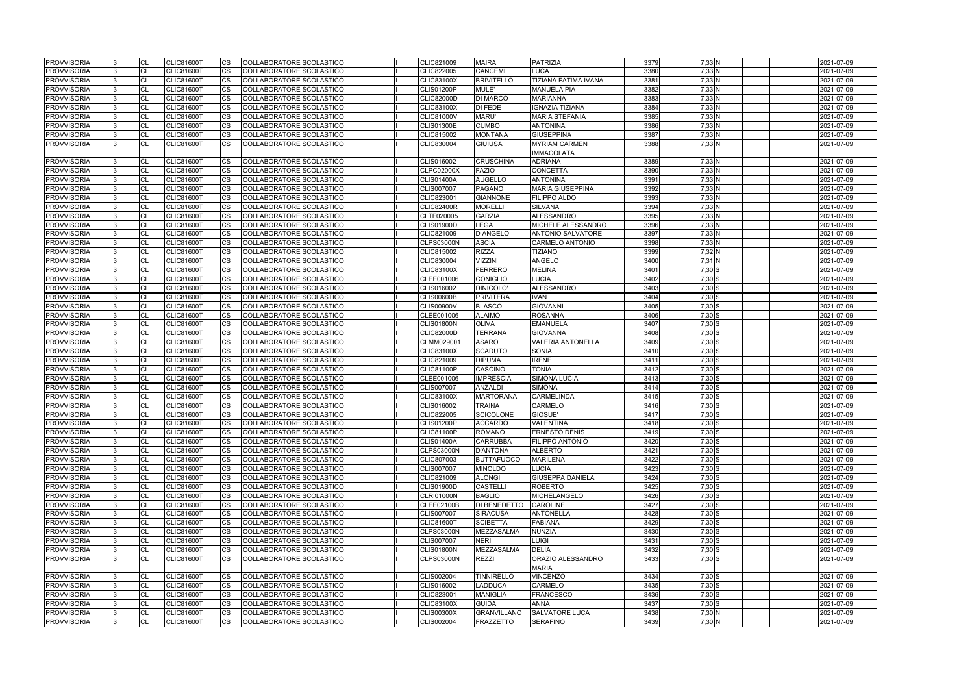| <b>PROVVISORIA</b>                       | <b>CL</b> | <b>CLIC81600T</b>                      | CS.                    | <b>COLLABORATORE SCOLASTICO</b> |  | CLIC821009        | <b>MAIRA</b>                       | PATRIZIA                                 | 3379 | 7,33 N               | 2021-07-09 |
|------------------------------------------|-----------|----------------------------------------|------------------------|---------------------------------|--|-------------------|------------------------------------|------------------------------------------|------|----------------------|------------|
| <b>PROVVISORIA</b>                       | CL        | <b>CLIC81600T</b>                      | <b>CS</b>              | <b>COLLABORATORE SCOLASTICO</b> |  | CLIC822005        | <b>CANCEMI</b>                     | LUCA                                     | 3380 | 7,33N                | 2021-07-09 |
| <b>PROVVISORIA</b>                       | CL        | <b>CLIC81600T</b>                      | CS                     | COLLABORATORE SCOLASTICO        |  | <b>CLIC83100X</b> | <b>BRIVITELLO</b>                  | TIZIANA FATIMA IVANA                     | 3381 | 7,33N                | 2021-07-09 |
| <b>PROVVISORIA</b>                       | CL        | <b>CLIC81600T</b>                      | <b>CS</b>              | COLLABORATORE SCOLASTICO        |  | <b>CLIS01200P</b> | MULE'                              | <b>MANUELA PIA</b>                       | 3382 | 7,33 N               | 2021-07-09 |
| <b>PROVVISORIA</b>                       | CL        | <b>CLIC81600T</b>                      | <b>CS</b>              | COLLABORATORE SCOLASTICO        |  | <b>CLIC82000D</b> | <b>DI MARCO</b>                    | <b>MARIANNA</b>                          | 3383 | 7,33N                | 2021-07-09 |
| <b>PROVVISORIA</b>                       | CL        | CLIC81600T                             | <b>CS</b>              | COLLABORATORE SCOLASTICO        |  | <b>CLIC83100X</b> | <b>DI FEDE</b>                     | <b>IGNAZIA TIZIANA</b>                   | 3384 | 7,33N                | 2021-07-09 |
| <b>PROVVISORIA</b>                       | <b>CL</b> | <b>CLIC81600T</b>                      | <b>CS</b>              | <b>COLLABORATORE SCOLASTICO</b> |  | <b>CLIC81000V</b> | <b>MARU'</b>                       | <b>MARIA STEFANIA</b>                    | 3385 | 7,33 N               | 2021-07-09 |
| <b>PROVVISORIA</b>                       | CL        | <b>CLIC81600T</b>                      | <b>CS</b>              | COLLABORATORE SCOLASTICO        |  | <b>CLIS01300E</b> | <b>CUMBO</b>                       | <b>ANTONINA</b>                          | 3386 | 7,33N                | 2021-07-09 |
| <b>PROVVISORIA</b>                       | CL        | <b>CLIC81600T</b>                      | CS                     | COLLABORATORE SCOLASTICO        |  | CLIC815002        | <b>MONTANA</b>                     | <b>GIUSEPPINA</b>                        | 3387 | 7,33N                | 2021-07-09 |
| <b>PROVVISORIA</b>                       | <b>CL</b> | <b>CLIC81600T</b>                      | CS                     | <b>COLLABORATORE SCOLASTICO</b> |  | CLIC830004        | <b>GIUIUSA</b>                     | <b>MYRIAM CARMEN</b>                     | 3388 | $7,33$ N             | 2021-07-09 |
|                                          |           |                                        |                        |                                 |  |                   |                                    | IMMACOLATA                               |      |                      |            |
| <b>PROVVISORIA</b>                       | CL        | <b>CLIC81600T</b>                      | <b>CS</b>              | COLLABORATORE SCOLASTICO        |  | CLIS016002        | <b>CRUSCHINA</b>                   | <b>ADRIANA</b>                           | 3389 | 7,33N                | 2021-07-09 |
| <b>PROVVISORIA</b>                       | <b>CL</b> | <b>CLIC81600T</b>                      | <b>CS</b>              | COLLABORATORE SCOLASTICO        |  | <b>CLPC02000X</b> | <b>FAZIO</b>                       | <b>CONCETTA</b>                          | 3390 | 7,33 N               | 2021-07-09 |
| <b>PROVVISORIA</b>                       | CL        | <b>CLIC81600T</b>                      | <b>CS</b>              | COLLABORATORE SCOLASTICO        |  | <b>CLIS01400A</b> | <b>AUGELLO</b>                     | <b>ANTONINA</b>                          | 3391 | 7,33N                | 2021-07-09 |
| <b>PROVVISORIA</b>                       | CL        | <b>CLIC81600T</b>                      | CS                     | COLLABORATORE SCOLASTICO        |  | <b>CLIS007007</b> | <b>PAGANO</b>                      | <b>MARIA GIUSEPPINA</b>                  | 3392 | $7,33$ N             | 2021-07-09 |
| <b>PROVVISORIA</b>                       | <b>CL</b> | <b>CLIC81600T</b>                      | $\overline{\text{cs}}$ | COLLABORATORE SCOLASTICO        |  | CLIC823001        | <b>GIANNONE</b>                    | <b>FILIPPO ALDO</b>                      | 3393 | 7,33N                | 2021-07-09 |
| <b>PROVVISORIA</b>                       | CL        | <b>CLIC81600T</b>                      | <b>CS</b>              | COLLABORATORE SCOLASTICO        |  | <b>CLIC82400R</b> | <b>MORELLI</b>                     | <b>SILVANA</b>                           | 3394 | 7,33N                | 2021-07-09 |
| <b>PROVVISORIA</b>                       | CL        | <b>CLIC81600T</b>                      | <b>CS</b>              | COLLABORATORE SCOLASTICO        |  | CLTF020005        | <b>GARZIA</b>                      | <b>ALESSANDRO</b>                        | 3395 | 7,33N                | 2021-07-09 |
| <b>PROVVISORIA</b>                       | <b>CL</b> | <b>CLIC81600T</b>                      | $\overline{\text{cs}}$ | COLLABORATORE SCOLASTICO        |  | <b>CLIS01900D</b> | <b>LEGA</b>                        | MICHELE ALESSANDRO                       | 3396 | 7,33N                | 2021-07-09 |
| <b>PROVVISORIA</b>                       | CL        | <b>CLIC81600T</b>                      | <b>CS</b>              | COLLABORATORE SCOLASTICO        |  | CLIC821009        | <b>D ANGELO</b>                    | <b>ANTONIO SALVATORE</b>                 | 3397 | 7,33N                | 2021-07-09 |
| <b>PROVVISORIA</b>                       | <b>CL</b> | <b>CLIC81600T</b>                      | <b>CS</b>              | COLLABORATORE SCOLASTICO        |  | <b>CLPS03000N</b> | <b>ASCIA</b>                       | <b>CARMELO ANTONIO</b>                   | 3398 | 7,33N                | 2021-07-09 |
| <b>PROVVISORIA</b>                       | CL        | <b>CLIC81600T</b>                      | CS                     | COLLABORATORE SCOLASTICO        |  | CLIC815002        | <b>RIZZA</b>                       | <b>TIZIANO</b>                           | 3399 | 7,32 N               | 2021-07-09 |
| <b>PROVVISORIA</b>                       | CL        | CLIC81600T                             | CS                     | COLLABORATORE SCOLASTICO        |  | CLIC830004        | <b>VIZZINI</b>                     | ANGELO                                   | 3400 | $7,31$ N             | 2021-07-09 |
| <b>PROVVISORIA</b>                       | CL        | <b>CLIC81600T</b>                      | CS                     | COLLABORATORE SCOLASTICO        |  | <b>CLIC83100X</b> | <b>FERRERO</b>                     | <b>MELINA</b>                            | 3401 | $7,30$ S             | 2021-07-09 |
| <b>PROVVISORIA</b>                       | CL        | <b>CLIC81600T</b>                      | <b>CS</b>              | COLLABORATORE SCOLASTICO        |  | CLEE001006        | <b>CONIGLIO</b>                    | <b>LUCIA</b>                             | 3402 | $7,30$ S             | 2021-07-09 |
| <b>PROVVISORIA</b>                       | CL        | <b>CLIC81600T</b>                      | <b>CS</b>              | COLLABORATORE SCOLASTICO        |  | CLIS016002        | DINICOLO'                          | <b>ALESSANDRO</b>                        | 3403 | $7,30$ S             | 2021-07-09 |
| <b>PROVVISORIA</b>                       | CL        | <b>CLIC81600T</b>                      | <b>CS</b>              | COLLABORATORE SCOLASTICO        |  | <b>CLIS00600B</b> | <b>PRIVITERA</b>                   | <b>IVAN</b>                              | 3404 | $7,30$ S             | 2021-07-09 |
| <b>PROVVISORIA</b>                       | CL        | <b>CLIC81600T</b>                      | <b>CS</b>              | COLLABORATORE SCOLASTICO        |  | <b>CLIS00900V</b> | <b>BLASCO</b>                      | <b>GIOVANNI</b>                          | 3405 | $7,30$ S             | 2021-07-09 |
| <b>PROVVISORIA</b>                       | CL        | <b>CLIC81600T</b>                      | <b>CS</b>              | COLLABORATORE SCOLASTICO        |  | CLEE001006        | <b>ALAIMO</b>                      | <b>ROSANNA</b>                           | 3406 | $7,30$ S             | 2021-07-09 |
| <b>PROVVISORIA</b>                       | CL        | <b>CLIC81600T</b>                      | <b>CS</b>              | COLLABORATORE SCOLASTICO        |  | <b>CLIS01800N</b> | <b>OLIVA</b>                       | <b>EMANUELA</b>                          | 3407 | $7,30$ S             | 2021-07-09 |
|                                          |           | <b>CLIC81600T</b>                      | <b>CS</b>              | COLLABORATORE SCOLASTICO        |  |                   | <b>TERRANA</b>                     | <b>GIOVANNA</b>                          | 3408 | $7,30$ S             |            |
| <b>PROVVISORIA</b>                       | CL        |                                        |                        |                                 |  | <b>CLIC82000D</b> | <b>ASARO</b>                       |                                          | 3409 |                      | 2021-07-09 |
| <b>PROVVISORIA</b><br><b>PROVVISORIA</b> | CL        | <b>CLIC81600T</b><br><b>CLIC81600T</b> | <b>CS</b><br><b>CS</b> | COLLABORATORE SCOLASTICO        |  | CLMM029001        | <b>SCADUTO</b>                     | <b>VALERIA ANTONELLA</b><br><b>SONIA</b> | 3410 | $7,30$ S<br>$7,30$ S | 2021-07-09 |
|                                          | CL        |                                        |                        | COLLABORATORE SCOLASTICO        |  | <b>CLIC83100X</b> |                                    |                                          |      |                      | 2021-07-09 |
| <b>PROVVISORIA</b>                       | CL        | <b>CLIC81600T</b>                      | CS                     | COLLABORATORE SCOLASTICO        |  | CLIC821009        | <b>DIPUMA</b>                      | <b>IRENE</b>                             | 3411 | $7,30$ S             | 2021-07-09 |
| <b>PROVVISORIA</b>                       | CL        | <b>CLIC81600T</b>                      | CS                     | COLLABORATORE SCOLASTICO        |  | <b>CLIC81100P</b> | <b>CASCINO</b>                     | <b>TONIA</b>                             | 3412 | 7,30 S               | 2021-07-09 |
| <b>PROVVISORIA</b>                       | CL        | <b>CLIC81600T</b>                      | <b>CS</b>              | COLLABORATORE SCOLASTICO        |  | CLEE001006        | <b>IMPRESCIA</b>                   | SIMONA LUCIA                             | 3413 | $7,30$ S             | 2021-07-09 |
| <b>PROVVISORIA</b>                       | CL        | <b>CLIC81600T</b>                      | CS                     | COLLABORATORE SCOLASTICO        |  | <b>CLIS007007</b> | <b>ANZALDI</b><br><b>MARTORANA</b> | <b>SIMONA</b>                            | 3414 | $7,30$ S             | 2021-07-09 |
| <b>PROVVISORIA</b>                       | <b>CL</b> | <b>CLIC81600T</b>                      | <b>CS</b>              | COLLABORATORE SCOLASTICO        |  | <b>CLIC83100X</b> |                                    | <b>CARMELINDA</b>                        | 3415 | $7,30$ S             | 2021-07-09 |
| <b>PROVVISORIA</b>                       | CL        | <b>CLIC81600T</b>                      | <b>CS</b>              | COLLABORATORE SCOLASTICO        |  | CLIS016002        | <b>TRAINA</b>                      | <b>CARMELO</b>                           | 3416 | $7,30$ S             | 2021-07-09 |
| <b>PROVVISORIA</b>                       | CL        | <b>CLIC81600T</b>                      | CS                     | COLLABORATORE SCOLASTICO        |  | <b>CLIC822005</b> | <b>SCICOLONE</b>                   | GIOSUE'                                  | 3417 | 7,30 S               | 2021-07-09 |
| <b>PROVVISORIA</b>                       | <b>CL</b> | <b>CLIC81600T</b>                      | $\overline{\text{cs}}$ | COLLABORATORE SCOLASTICO        |  | <b>CLIS01200P</b> | <b>ACCARDO</b>                     | VALENTINA                                | 3418 | $7,30$ S             | 2021-07-09 |
| <b>PROVVISORIA</b>                       | <b>CL</b> | <b>CLIC81600T</b>                      | <b>CS</b>              | COLLABORATORE SCOLASTICO        |  | <b>CLIC81100P</b> | <b>ROMANO</b>                      | <b>ERNESTO DENIS</b>                     | 3419 | $7,30$ S             | 2021-07-09 |
| <b>PROVVISORIA</b>                       | <b>CL</b> | <b>CLIC81600T</b>                      | <b>CS</b>              | COLLABORATORE SCOLASTICO        |  | <b>CLIS01400A</b> | <b>CARRUBBA</b>                    | <b>FILIPPO ANTONIO</b>                   | 3420 | $7,30$ S             | 2021-07-09 |
| <b>PROVVISORIA</b>                       | <b>CL</b> | <b>CLIC81600T</b>                      | <b>CS</b>              | COLLABORATORE SCOLASTICO        |  | <b>CLPS03000N</b> | <b>D'ANTONA</b>                    | <b>ALBERTO</b>                           | 3421 | $7,30$ S             | 2021-07-09 |
| <b>PROVVISORIA</b>                       | <b>CL</b> | <b>CLIC81600T</b>                      | <b>CS</b>              | COLLABORATORE SCOLASTICO        |  | CLIC807003        | <b>BUTTAFUOCO</b>                  | <b>MARILENA</b>                          | 3422 | $7,30$ S             | 2021-07-09 |
| <b>PROVVISORIA</b>                       | <b>CL</b> | <b>CLIC81600T</b>                      | CS.                    | COLLABORATORE SCOLASTICO        |  | <b>CLIS007007</b> | <b>MINOLDO</b>                     | LUCIA                                    | 3423 | $7,30$ S             | 2021-07-09 |
| <b>PROVVISORIA</b>                       | <b>CL</b> | <b>CLIC81600T</b>                      | <b>CS</b>              | COLLABORATORE SCOLASTICO        |  | CLIC821009        | <b>ALONGI</b>                      | <b>GIUSEPPA DANIELA</b>                  | 3424 | $7,30$ S             | 2021-07-09 |
| <b>PROVVISORIA</b>                       | <b>CL</b> | <b>CLIC81600T</b>                      | <b>CS</b>              | COLLABORATORE SCOLASTICO        |  | <b>CLIS01900D</b> | <b>CASTELLI</b>                    | <b>ROBERTO</b>                           | 3425 | $7,30$ S             | 2021-07-09 |
| <b>PROVVISORIA</b>                       | <b>CL</b> | <b>CLIC81600T</b>                      | <b>CS</b>              | COLLABORATORE SCOLASTICO        |  | <b>CLRI01000N</b> | <b>BAGLIO</b>                      | <b>MICHELANGELO</b>                      | 3426 | $7,30$ S             | 2021-07-09 |
| <b>PROVVISORIA</b>                       | <b>CL</b> | <b>CLIC81600T</b>                      | <b>CS</b>              | COLLABORATORE SCOLASTICO        |  | <b>CLEE02100B</b> | DI BENEDETTO                       | <b>CAROLINE</b>                          | 3427 | 7,30 S               | 2021-07-09 |
| <b>PROVVISORIA</b>                       | <b>CL</b> | <b>CLIC81600T</b>                      | <b>CS</b>              | COLLABORATORE SCOLASTICO        |  | <b>CLIS007007</b> | <b>SIRACUSA</b>                    | <b>ANTONELLA</b>                         | 3428 | 7,30 S               | 2021-07-09 |
| <b>PROVVISORIA</b>                       | CL        | <b>CLIC81600T</b>                      | <b>CS</b>              | COLLABORATORE SCOLASTICO        |  | <b>CLIC81600T</b> | <b>SCIBETTA</b>                    | <b>FABIANA</b>                           | 3429 | $7,30$ S             | 2021-07-09 |
| <b>PROVVISORIA</b>                       | CL        | <b>CLIC81600T</b>                      | <b>CS</b>              | COLLABORATORE SCOLASTICO        |  | <b>CLPS03000N</b> | MEZZASALMA                         | <b>NUNZIA</b>                            | 3430 | $7,30$ S             | 2021-07-09 |
| <b>PROVVISORIA</b>                       | <b>CL</b> | <b>CLIC81600T</b>                      | <b>CS</b>              | COLLABORATORE SCOLASTICO        |  | <b>CLIS007007</b> | <b>NERI</b>                        | LUIGI                                    | 3431 | $7,30$ S             | 2021-07-09 |
| <b>PROVVISORIA</b>                       | <b>CL</b> | <b>CLIC81600T</b>                      | <b>CS</b>              | COLLABORATORE SCOLASTICO        |  | <b>CLIS01800N</b> | MEZZASALMA                         | <b>DELIA</b>                             | 3432 | 7,30S                | 2021-07-09 |
| <b>PROVVISORIA</b>                       | CL        | <b>CLIC81600T</b>                      | <b>CS</b>              | COLLABORATORE SCOLASTICO        |  | <b>CLPS03000N</b> | <b>REZZI</b>                       | ORAZIO ALESSANDRO<br><b>MARIA</b>        | 3433 | $7,30$ S             | 2021-07-09 |
| <b>PROVVISORIA</b>                       | <b>CL</b> | <b>CLIC81600T</b>                      | <b>CS</b>              | COLLABORATORE SCOLASTICO        |  | CLIS002004        | <b>TINNIRELLO</b>                  | <b>VINCENZO</b>                          | 3434 | $7,30$ S             | 2021-07-09 |
| <b>PROVVISORIA</b>                       | CL        | <b>CLIC81600T</b>                      | <b>CS</b>              | COLLABORATORE SCOLASTICO        |  | CLIS016002        | <b>LADDUCA</b>                     | <b>CARMELO</b>                           | 3435 | $7,30$ S             | 2021-07-09 |
| <b>PROVVISORIA</b>                       | <b>CL</b> | <b>CLIC81600T</b>                      | <b>CS</b>              | COLLABORATORE SCOLASTICO        |  | CLIC823001        | <b>MANIGLIA</b>                    | <b>FRANCESCO</b>                         | 3436 | 7,30 S               | 2021-07-09 |
| <b>PROVVISORIA</b>                       | <b>CL</b> | <b>CLIC81600T</b>                      | <b>CS</b>              | COLLABORATORE SCOLASTICO        |  | <b>CLIC83100X</b> | <b>GUIDA</b>                       | <b>ANNA</b>                              | 3437 | $7,30$ S             | 2021-07-09 |
| <b>PROVVISORIA</b>                       | CL        | <b>CLIC81600T</b>                      | <b>CS</b>              | COLLABORATORE SCOLASTICO        |  | <b>CLIS00300X</b> | <b>GRANVILLANO</b>                 | <b>SALVATORE LUCA</b>                    | 3438 | 7,30N                | 2021-07-09 |
| <b>PROVVISORIA</b>                       | <b>CL</b> | <b>CLIC81600T</b>                      | CS.                    | COLLABORATORE SCOLASTICO        |  | CLIS002004        | <b>FRAZZETTO</b>                   | <b>SERAFINO</b>                          | 3439 | 7,30 N               | 2021-07-09 |
|                                          |           |                                        |                        |                                 |  |                   |                                    |                                          |      |                      |            |

| 3379               | $7,33$ <sub>N</sub>       |  |  | 2021-07-09 |
|--------------------|---------------------------|--|--|------------|
| 3380               | 7,33 N                    |  |  | 2021-07-09 |
| 3381               | 7,33 N                    |  |  | 2021-07-09 |
| 3382               | 7,33 N                    |  |  | 2021-07-09 |
| 3383               | 7,33 N                    |  |  | 2021-07-09 |
| 3384               | 7,33 N                    |  |  | 2021-07-09 |
| 3385               | 7,33 N                    |  |  | 2021-07-09 |
| 3386               | $7,33$ <sub>N</sub>       |  |  | 2021-07-09 |
| 3387               | 7,33 N                    |  |  | 2021-07-09 |
| 3388               | 7,33 N                    |  |  | 2021-07-09 |
|                    |                           |  |  |            |
| 3389               | $7,33$ N                  |  |  | 2021-07-09 |
| 3390               | 7,33 N                    |  |  | 2021-07-09 |
| 3391               | 7,33 N                    |  |  | 2021-07-09 |
| 3392               | 7,33 N                    |  |  | 2021-07-09 |
| 3393               | $7,33\overline{\text{N}}$ |  |  | 2021-07-09 |
| 3394               | 7,33 N                    |  |  | 2021-07-09 |
|                    |                           |  |  | 2021-07-09 |
| 3395               | 7,33 N<br>7,33N           |  |  |            |
| 3396               |                           |  |  | 2021-07-09 |
| 3397               | 7,33 N                    |  |  | 2021-07-09 |
| 3398               | 7,33 N                    |  |  | 2021-07-09 |
| 3399               | 7,32 N                    |  |  | 2021-07-09 |
| 3400               | 7,31 N                    |  |  | 2021-07-09 |
| 3401               | 7,30 S                    |  |  | 2021-07-09 |
| 3402               | $7,30$ $S$                |  |  | 2021-07-09 |
| 3403               | 7,30 S                    |  |  | 2021-07-09 |
| 3404               | $7,30$ S                  |  |  | 2021-07-09 |
| 3405               | $7,30$ $S$                |  |  | 2021-07-09 |
| $\overline{3}$ 406 | 7,30 S                    |  |  | 2021-07-09 |
| 3407               | 7,30 S                    |  |  | 2021-07-09 |
| 3408               | 7,30 S                    |  |  | 2021-07-09 |
| 3409               | 7,30 S                    |  |  | 2021-07-09 |
| 3410               | $7,30$ $S$                |  |  | 2021-07-09 |
| 3411               | 7,30 S                    |  |  | 2021-07-09 |
| 3412               | 7,30 S                    |  |  | 2021-07-09 |
| 3413               | 7,30 S                    |  |  | 2021-07-09 |
| 3414               | 7,30 S                    |  |  | 2021-07-09 |
| 3415               | $7,30$ S                  |  |  | 2021-07-09 |
| 3416               | $7,30$ S                  |  |  | 2021-07-09 |
| 3417               | $7,30$ S                  |  |  | 2021-07-09 |
| 3418               | 7,30S                     |  |  | 2021-07-09 |
| 3419               | $7,30$ $S$                |  |  | 2021-07-09 |
| 3420               | 7,30 S                    |  |  | 2021-07-09 |
| 3421               | $7,30$ S                  |  |  | 2021-07-09 |
| 3422               | 7,30 S                    |  |  | 2021-07-09 |
| 3423               | 7,30 S                    |  |  | 2021-07-09 |
| 3424               | $7,30$ S                  |  |  | 2021-07-09 |
| 3425               | 7,30 S                    |  |  | 2021-07-09 |
| 3426               | 7,30 S                    |  |  | 2021-07-09 |
| 3427               | $7,30$ $S$                |  |  | 2021-07-09 |
| 3428               | 7,30 S                    |  |  | 2021-07-09 |
| 3429               | $7,30$ $S$                |  |  | 2021-07-09 |
| 3430               | 7,30 S                    |  |  | 2021-07-09 |
| $\overline{3}$ 431 | 7,30 S                    |  |  | 2021-07-09 |
| 3432               | 7,30 S                    |  |  | 2021-07-09 |
| 3433               | 7,30 S                    |  |  | 2021-07-09 |
|                    |                           |  |  |            |
| 3434               | 7,30 S                    |  |  | 2021-07-09 |
| 3435               | 7,30 S                    |  |  | 2021-07-09 |
| 3436               | 7,30 S                    |  |  | 2021-07-09 |
| 3437               | 7,30 S                    |  |  | 2021-07-09 |
| 3438               | 7,30 N                    |  |  | 2021-07-09 |
| 3439               | 7,30 N                    |  |  | 2021-07-09 |
|                    |                           |  |  |            |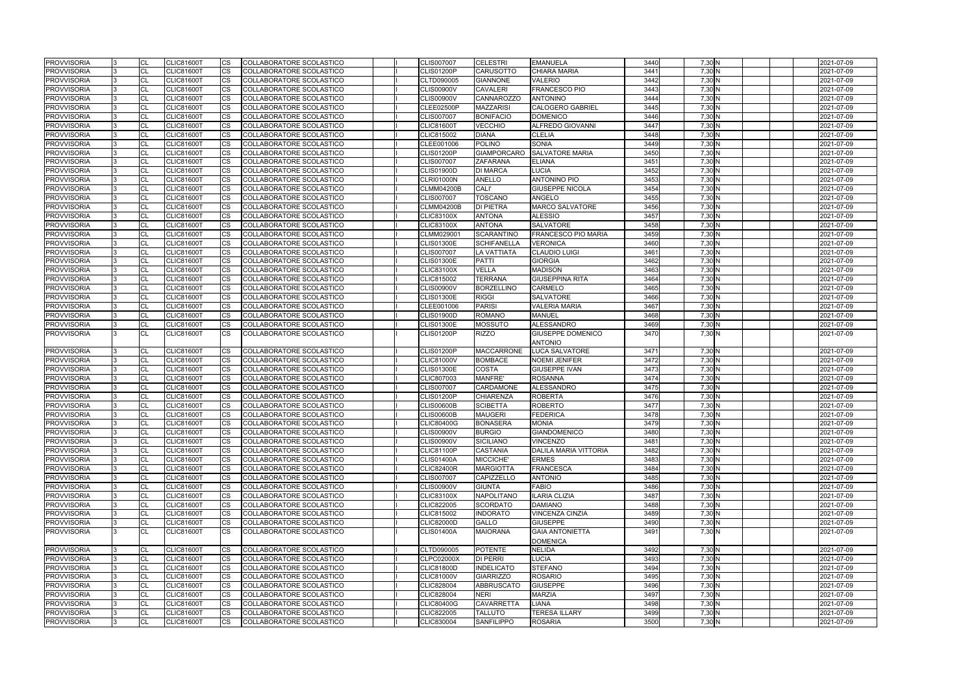| <b>PROVVISORIA</b> |      | <b>CL</b> | <b>CLIC81600T</b> | <b>CS</b>                    | COLLABORATORE SCOLASTICO        |  | <b>CLIS007007</b> | <b>CELESTRI</b>    | <b>EMANUELA</b>                          | 3440 | 7,30 N   | 2021-07-09 |
|--------------------|------|-----------|-------------------|------------------------------|---------------------------------|--|-------------------|--------------------|------------------------------------------|------|----------|------------|
| <b>PROVVISORIA</b> |      | CL        | <b>CLIC81600T</b> | <b>CS</b>                    | COLLABORATORE SCOLASTICO        |  | <b>CLIS01200P</b> | <b>CARUSOTTO</b>   | <b>CHIARA MARIA</b>                      | 3441 | $7,30$ N | 2021-07-09 |
| <b>PROVVISORIA</b> |      | CL        | <b>CLIC81600T</b> | <b>CS</b>                    | <b>COLLABORATORE SCOLASTICO</b> |  | CLTD090005        | <b>GIANNONE</b>    | <b>VALERIO</b>                           | 3442 | 7,30 N   | 2021-07-09 |
| <b>PROVVISORIA</b> |      | CL        | <b>CLIC81600T</b> | CS                           | COLLABORATORE SCOLASTICO        |  | <b>CLIS00900V</b> | <b>CAVALERI</b>    | <b>FRANCESCO PIO</b>                     | 3443 | 7,30N    | 2021-07-09 |
| <b>PROVVISORIA</b> |      | CL        | <b>CLIC81600T</b> | CS                           | COLLABORATORE SCOLASTICO        |  | <b>CLIS00900V</b> | <b>CANNAROZZO</b>  | <b>ANTONINO</b>                          | 3444 | 7,30 N   | 2021-07-09 |
| <b>PROVVISORIA</b> |      | CL        | <b>CLIC81600T</b> | <b>CS</b>                    | COLLABORATORE SCOLASTICO        |  | CLEE02500P        | <b>MAZZARISI</b>   | <b>CALOGERO GABRIEL</b>                  | 3445 | 7,30N    | 2021-07-09 |
| <b>PROVVISORIA</b> |      | CL        | <b>CLIC81600T</b> | <b>CS</b>                    | COLLABORATORE SCOLASTICO        |  | <b>CLIS007007</b> | <b>BONIFACIO</b>   | <b>DOMENICO</b>                          | 3446 | 7,30 N   | 2021-07-09 |
| <b>PROVVISORIA</b> |      | CL        | <b>CLIC81600T</b> | <b>CS</b>                    | COLLABORATORE SCOLASTICO        |  | <b>CLIC81600T</b> | <b>VECCHIO</b>     | ALFREDO GIOVANNI                         | 3447 | $7,30$ N | 2021-07-09 |
| <b>PROVVISORIA</b> |      | CL        | <b>CLIC81600T</b> | <b>CS</b>                    | COLLABORATORE SCOLASTICO        |  | CLIC815002        | <b>DIANA</b>       | <b>CLELIA</b>                            | 3448 | 7,30N    | 2021-07-09 |
| <b>PROVVISORIA</b> |      | CL        | <b>CLIC81600T</b> | CS                           | COLLABORATORE SCOLASTICO        |  | CLEE001006        | <b>POLINO</b>      | <b>SONIA</b>                             | 3449 | $7,30$ N | 2021-07-09 |
| <b>PROVVISORIA</b> |      | CL        | CLIC81600T        | CS                           | COLLABORATORE SCOLASTICO        |  | <b>CLIS01200P</b> | <b>GIAMPORCARO</b> | <b>SALVATORE MARIA</b>                   | 3450 | 7,30 N   | 2021-07-09 |
| <b>PROVVISORIA</b> |      | <b>CL</b> | <b>CLIC81600T</b> | <b>CS</b>                    | COLLABORATORE SCOLASTICO        |  | <b>CLIS007007</b> | <b>ZAFARANA</b>    | <b>ELIANA</b>                            | 3451 | $7,30$ N | 2021-07-09 |
| <b>PROVVISORIA</b> |      | CL        | <b>CLIC81600T</b> | <b>CS</b>                    | COLLABORATORE SCOLASTICO        |  | <b>CLIS01900D</b> | <b>DI MARCA</b>    | <b>LUCIA</b>                             | 3452 | 7,30N    | 2021-07-09 |
| <b>PROVVISORIA</b> |      | CL        | <b>CLIC81600T</b> | <b>CS</b>                    | COLLABORATORE SCOLASTICO        |  | <b>CLRI01000N</b> | <b>ANELLO</b>      | <b>ANTONINO PIO</b>                      | 3453 | 7,30 N   | 2021-07-09 |
| <b>PROVVISORIA</b> |      | CL        | <b>CLIC81600T</b> | <b>CS</b>                    | COLLABORATORE SCOLASTICO        |  | <b>CLMM04200B</b> | <b>CALI'</b>       | <b>GIUSEPPE NICOLA</b>                   | 3454 | 7,30N    | 2021-07-09 |
| <b>PROVVISORIA</b> |      | CL        | <b>CLIC81600T</b> | CS                           | COLLABORATORE SCOLASTICO        |  | <b>CLIS007007</b> | <b>TOSCANO</b>     | ANGELO                                   | 3455 | 7,30 N   | 2021-07-09 |
| <b>PROVVISORIA</b> |      | <b>CL</b> | <b>CLIC81600T</b> | CS                           | COLLABORATORE SCOLASTICO        |  | <b>CLMM04200B</b> | <b>DI PIETRA</b>   | <b>MARCO SALVATORE</b>                   | 3456 | 7,30 N   | 2021-07-09 |
| <b>PROVVISORIA</b> |      | CL        | <b>CLIC81600T</b> | <b>CS</b>                    | COLLABORATORE SCOLASTICO        |  | <b>CLIC83100X</b> | <b>ANTONA</b>      | <b>ALESSIO</b>                           | 3457 | 7,30 N   | 2021-07-09 |
| <b>PROVVISORIA</b> |      | CL        | <b>CLIC81600T</b> | <b>CS</b>                    | COLLABORATORE SCOLASTICO        |  | <b>CLIC83100X</b> | <b>ANTONA</b>      | SALVATORE                                | 3458 | 7,30N    | 2021-07-09 |
| <b>PROVVISORIA</b> |      | <b>CL</b> | <b>CLIC81600T</b> | <b>CS</b>                    | COLLABORATORE SCOLASTICO        |  | CLMM029001        | <b>SCARANTINO</b>  | <b>FRANCESCO PIO MARIA</b>               | 3459 | 7,30 N   | 2021-07-09 |
| <b>PROVVISORIA</b> |      | CL        | <b>CLIC81600T</b> | <b>CS</b>                    | COLLABORATORE SCOLASTICO        |  | <b>CLIS01300E</b> | <b>SCHIFANELLA</b> | <b>VERONICA</b>                          | 3460 | 7,30N    | 2021-07-09 |
| <b>PROVVISORIA</b> |      | CL        | <b>CLIC81600T</b> | CS                           | COLLABORATORE SCOLASTICO        |  | <b>CLIS007007</b> | <b>LA VATTIATA</b> | <b>CLAUDIO LUIGI</b>                     | 3461 | 7,30N    | 2021-07-09 |
| <b>PROVVISORIA</b> |      | <b>CL</b> | <b>CLIC81600T</b> | CS                           | COLLABORATORE SCOLASTICO        |  | <b>CLIS01300E</b> | <b>PATTI</b>       | <b>GIORGIA</b>                           | 3462 | $7,30$ N | 2021-07-09 |
| <b>PROVVISORIA</b> |      | CL        | <b>CLIC81600T</b> | <b>CS</b>                    | COLLABORATORE SCOLASTICO        |  | <b>CLIC83100X</b> | <b>VELLA</b>       | <b>MADISON</b>                           | 3463 | 7,30N    | 2021-07-09 |
|                    |      | CL        |                   |                              |                                 |  |                   | <b>TERRANA</b>     |                                          | 3464 | 7,30 N   |            |
| <b>PROVVISORIA</b> |      |           | <b>CLIC81600T</b> | CS<br>$\overline{\text{cs}}$ | COLLABORATORE SCOLASTICO        |  | CLIC815002        | <b>BORZELLINO</b>  | <b>GIUSEPPINA RITA</b><br><b>CARMELO</b> | 3465 | 7,30N    | 2021-07-09 |
| <b>PROVVISORIA</b> |      | <b>CL</b> | <b>CLIC81600T</b> |                              | COLLABORATORE SCOLASTICO        |  | <b>CLIS00900V</b> |                    |                                          |      |          | 2021-07-09 |
| <b>PROVVISORIA</b> |      | CL        | <b>CLIC81600T</b> | <b>CS</b>                    | COLLABORATORE SCOLASTICO        |  | <b>CLIS01300E</b> | <b>RIGGI</b>       | <b>SALVATORE</b>                         | 3466 | 7,30 N   | 2021-07-09 |
| <b>PROVVISORIA</b> |      | CL        | <b>CLIC81600T</b> | <b>CS</b>                    | COLLABORATORE SCOLASTICO        |  | CLEE001006        | <b>PARISI</b>      | <b>VALERIA MARIA</b>                     | 3467 | 7,30N    | 2021-07-09 |
| <b>PROVVISORIA</b> |      | <b>CL</b> | <b>CLIC81600T</b> | CS                           | COLLABORATORE SCOLASTICO        |  | <b>CLIS01900D</b> | <b>ROMANO</b>      | <b>MANUEL</b>                            | 3468 | 7,30N    | 2021-07-09 |
| <b>PROVVISORIA</b> |      | CL        | CLIC81600T        | CS                           | COLLABORATORE SCOLASTICO        |  | <b>CLIS01300E</b> | <b>MOSSUTO</b>     | <b>ALESSANDRO</b>                        | 3469 | 7,30 N   | 2021-07-09 |
| <b>PROVVISORIA</b> | I3 - | <b>CL</b> | <b>CLIC81600T</b> | CS.                          | COLLABORATORE SCOLASTICO        |  | <b>CLIS01200P</b> | <b>RIZZO</b>       | GIUSEPPE DOMENICO<br><b>ANTONIO</b>      | 3470 | 7,30 N   | 2021-07-09 |
| <b>PROVVISORIA</b> |      | CL        | <b>CLIC81600T</b> | <b>CS</b>                    | COLLABORATORE SCOLASTICO        |  | <b>CLIS01200P</b> | <b>MACCARRONE</b>  | <b>LUCA SALVATORE</b>                    | 3471 | 7,30 N   | 2021-07-09 |
| <b>PROVVISORIA</b> |      | CL        | <b>CLIC81600T</b> | <b>CS</b>                    | <b>COLLABORATORE SCOLASTICO</b> |  | <b>CLIC81000V</b> | <b>BOMBACE</b>     | <b>NOEMI JENIFER</b>                     | 3472 | 7,30N    | 2021-07-09 |
| <b>PROVVISORIA</b> |      | CL        | <b>CLIC81600T</b> | CS                           | COLLABORATORE SCOLASTICO        |  | <b>CLIS01300E</b> | <b>COSTA</b>       | <b>GIUSEPPE IVAN</b>                     | 3473 | 7,30 N   | 2021-07-09 |
| <b>PROVVISORIA</b> |      | CL        | <b>CLIC81600T</b> | CS                           | COLLABORATORE SCOLASTICO        |  | CLIC807003        | <b>MANFRE'</b>     | <b>ROSANNA</b>                           | 3474 | 7,30N    | 2021-07-09 |
| <b>PROVVISORIA</b> |      | CL        | <b>CLIC81600T</b> | <b>CS</b>                    | COLLABORATORE SCOLASTICO        |  | <b>CLIS007007</b> | CARDAMONE          | <b>ALESSANDRO</b>                        | 3475 | 7,30N    | 2021-07-09 |
| <b>PROVVISORIA</b> |      | <b>CL</b> | <b>CLIC81600T</b> | <b>CS</b>                    | COLLABORATORE SCOLASTICO        |  | <b>CLIS01200P</b> | <b>CHIARENZA</b>   | <b>ROBERTA</b>                           | 3476 | 7,30N    | 2021-07-09 |
| <b>PROVVISORIA</b> |      | CL        | <b>CLIC81600T</b> | <b>CS</b>                    | COLLABORATORE SCOLASTICO        |  | <b>CLIS00600B</b> | <b>SCIBETTA</b>    | <b>ROBERTO</b>                           | 3477 | $7,30$ N | 2021-07-09 |
| <b>PROVVISORIA</b> |      | CL        | <b>CLIC81600T</b> | <b>CS</b>                    | COLLABORATORE SCOLASTICO        |  | <b>CLIS00600B</b> | <b>MAUGERI</b>     | <b>FEDERICA</b>                          | 3478 | 7,30 N   | 2021-07-09 |
| <b>PROVVISORIA</b> |      | <b>CI</b> | <b>CLIC81600T</b> | <b>CS</b>                    | COLLABORATORE SCOLASTICO        |  | <b>CLIC80400G</b> | <b>BONASERA</b>    | <b>MONIA</b>                             | 3479 | 7,30 N   | 2021-07-09 |
| <b>PROVVISORIA</b> |      | <b>CL</b> | <b>CLIC81600T</b> | <b>CS</b>                    | COLLABORATORE SCOLASTICO        |  | <b>CLIS00900V</b> | <b>BURGIO</b>      | <b>GIANDOMENICO</b>                      | 3480 | 7,30 N   | 2021-07-09 |
| <b>PROVVISORIA</b> |      | <b>CL</b> | <b>CLIC81600T</b> | <b>CS</b>                    | COLLABORATORE SCOLASTICO        |  | <b>CLIS00900V</b> | <b>SICILIANO</b>   | <b>VINCENZO</b>                          | 3481 | 7,30N    | 2021-07-09 |
| <b>PROVVISORIA</b> |      | CL        | <b>CLIC81600T</b> | <b>CS</b>                    | COLLABORATORE SCOLASTICO        |  | <b>CLIC81100P</b> | <b>CASTANIA</b>    | <b>DALILA MARIA VITTORIA</b>             | 3482 | 7,30 N   | 2021-07-09 |
| <b>PROVVISORIA</b> |      | <b>CL</b> | <b>CLIC81600T</b> | <b>CS</b>                    | COLLABORATORE SCOLASTICO        |  | <b>CLIS01400A</b> | MICCICHE'          | <b>ERMES</b>                             | 3483 | 7,30 N   | 2021-07-09 |
| <b>PROVVISORIA</b> |      | <b>CL</b> | <b>CLIC81600T</b> | <b>CS</b>                    | COLLABORATORE SCOLASTICO        |  | <b>CLIC82400R</b> | <b>MARGIOTTA</b>   | <b>FRANCESCA</b>                         | 3484 | 7,30N    | 2021-07-09 |
| <b>PROVVISORIA</b> |      | CL        | <b>CLIC81600T</b> | CS                           | COLLABORATORE SCOLASTICO        |  | <b>CLIS007007</b> | <b>CAPIZZELLO</b>  | <b>ANTONIO</b>                           | 3485 | 7,30N    | 2021-07-09 |
| <b>PROVVISORIA</b> |      | <b>CL</b> | <b>CLIC81600T</b> | <b>CS</b>                    | COLLABORATORE SCOLASTICO        |  | <b>CLIS00900V</b> | <b>GIUNTA</b>      | <b>FABIO</b>                             | 3486 | 7,30 N   | 2021-07-09 |
| <b>PROVVISORIA</b> |      | <b>CL</b> | <b>CLIC81600T</b> | <b>CS</b>                    | COLLABORATORE SCOLASTICO        |  | <b>CLIC83100X</b> | <b>NAPOLITANO</b>  | <b>ILARIA CLIZIA</b>                     | 3487 | 7,30N    | 2021-07-09 |
| <b>PROVVISORIA</b> |      | CL        | <b>CLIC81600T</b> | <b>CS</b>                    | COLLABORATORE SCOLASTICO        |  | <b>CLIC822005</b> | <b>SCORDATO</b>    | <b>DAMIANO</b>                           | 3488 | 7,30N    | 2021-07-09 |
| <b>PROVVISORIA</b> |      | <b>CL</b> | <b>CLIC81600T</b> | <b>CS</b>                    | COLLABORATORE SCOLASTICO        |  | CLIC815002        | <b>INDORATO</b>    | <b>VINCENZA CINZIA</b>                   | 3489 | 7,30 N   | 2021-07-09 |
| <b>PROVVISORIA</b> |      | <b>CL</b> | <b>CLIC81600T</b> | <b>CS</b>                    | COLLABORATORE SCOLASTICO        |  | <b>CLIC82000D</b> | <b>GALLO</b>       | <b>GIUSEPPE</b>                          | 3490 | 7,30 N   | 2021-07-09 |
| <b>PROVVISORIA</b> |      | <b>CL</b> | <b>CLIC81600T</b> | <b>CS</b>                    | COLLABORATORE SCOLASTICO        |  | <b>CLIS01400A</b> | <b>MAIORANA</b>    | <b>GAIA ANTONIETTA</b>                   | 3491 | 7,30 N   | 2021-07-09 |
|                    |      |           |                   |                              |                                 |  |                   |                    | <b>DOMENICA</b>                          |      |          |            |
| <b>PROVVISORIA</b> |      | <b>CL</b> | <b>CLIC81600T</b> | <b>CS</b>                    | COLLABORATORE SCOLASTICO        |  | CLTD090005        | <b>POTENTE</b>     | <b>NELIDA</b>                            | 3492 | 7,30 N   | 2021-07-09 |
| <b>PROVVISORIA</b> |      | <b>CL</b> | <b>CLIC81600T</b> | <b>CS</b>                    | COLLABORATORE SCOLASTICO        |  | <b>CLPC02000X</b> | <b>DI PERRI</b>    | <b>LUCIA</b>                             | 3493 | 7,30N    | 2021-07-09 |
| <b>PROVVISORIA</b> |      | <b>CL</b> | <b>CLIC81600T</b> | <b>CS</b>                    | COLLABORATORE SCOLASTICO        |  | <b>CLIC81800D</b> | <b>INDELICATO</b>  | <b>STEFANO</b>                           | 3494 | 7,30 N   | 2021-07-09 |
| <b>PROVVISORIA</b> |      | CL        | <b>CLIC81600T</b> | <b>CS</b>                    | COLLABORATORE SCOLASTICO        |  | <b>CLIC81000V</b> | <b>GIARRIZZO</b>   | <b>ROSARIO</b>                           | 3495 | 7,30N    | 2021-07-09 |
| <b>PROVVISORIA</b> |      | CL        | <b>CLIC81600T</b> | <b>CS</b>                    | COLLABORATORE SCOLASTICO        |  | <b>CLIC828004</b> | <b>ABBRUSCATO</b>  | <b>GIUSEPPE</b>                          | 3496 | 7,30 N   | 2021-07-09 |
| <b>PROVVISORIA</b> |      | <b>CL</b> | <b>CLIC81600T</b> | <b>CS</b>                    | COLLABORATORE SCOLASTICO        |  | CLIC828004        | <b>NERI</b>        | <b>MARZIA</b>                            | 3497 | 7,30N    | 2021-07-09 |
| <b>PROVVISORIA</b> |      | <b>CL</b> | CLIC81600T        | <b>CS</b>                    | COLLABORATORE SCOLASTICO        |  | <b>CLIC80400G</b> | <b>CAVARRETTA</b>  | LIANA                                    | 3498 | 7,30 N   | 2021-07-09 |
| <b>PROVVISORIA</b> |      | <b>CL</b> | <b>CLIC81600T</b> | <b>CS</b>                    | COLLABORATORE SCOLASTICO        |  | CLIC822005        | <b>TALLUTO</b>     | <b>TERESA ILLARY</b>                     | 3499 | 7,30 N   | 2021-07-09 |
| <b>PROVVISORIA</b> |      | <b>CL</b> | <b>CLIC81600T</b> | <b>CS</b>                    | COLLABORATORE SCOLASTICO        |  | CLIC830004        | <b>SANFILIPPO</b>  | <b>ROSARIA</b>                           | 3500 | 7,30 N   | 2021-07-09 |
|                    |      |           |                   |                              |                                 |  |                   |                    |                                          |      |          |            |

| 3440               | 7,30 N                      |  |  | 2021-07-09 |
|--------------------|-----------------------------|--|--|------------|
| 3441               | 7,30 N                      |  |  | 2021-07-09 |
| 3442               | 7,30 N                      |  |  | 2021-07-09 |
| 3443               | 7.30 N                      |  |  | 2021-07-09 |
| 3444               | 7,30 N                      |  |  | 2021-07-09 |
| 3445               | 7,30 N                      |  |  | 2021-07-09 |
| 3446               | 7,30 N                      |  |  | 2021-07-09 |
| 3447               | 7,30 N                      |  |  | 2021-07-09 |
| 3448               | 7,30 N                      |  |  | 2021-07-09 |
| 3449               | 7.30 N                      |  |  | 2021-07-09 |
| 3450               | 7,30 N                      |  |  | 2021-07-09 |
| 3451               | 7,30 N                      |  |  | 2021-07-09 |
| 3452               | 7,30 N                      |  |  | 2021-07-09 |
| 3453               | 7,30 N                      |  |  | 2021-07-09 |
| 3454               | 7,30 N                      |  |  | 2021-07-09 |
|                    |                             |  |  |            |
| 3455               | 7,30 N                      |  |  | 2021-07-09 |
| 3456               | 7,30 N                      |  |  | 2021-07-09 |
| 3457               | 7,30 N                      |  |  | 2021-07-09 |
| 3458               | 7,30 N                      |  |  | 2021-07-09 |
| 3459               | $7,30$ N                    |  |  | 2021-07-09 |
| 3460               | $7,30$ <sub>N</sub>         |  |  | 2021-07-09 |
| 3461               | $7,30$ N                    |  |  | 2021-07-09 |
| $\overline{3}$ 462 | 7,30 N                      |  |  | 2021-07-09 |
| 3463               | 7,30 N                      |  |  | 2021-07-09 |
| 3464               | 7,30 N                      |  |  | 2021-07-09 |
| 3465               | $7,30$ N                    |  |  | 2021-07-09 |
| 3466               | 7,30 N                      |  |  | 2021-07-09 |
| 3467               | $7,30$ <sub>N</sub>         |  |  | 2021-07-09 |
| 3468               | 7,30 N                      |  |  | 2021-07-09 |
| 3469               | 7,30 N                      |  |  | 2021-07-09 |
| 3470               | 7,30 N                      |  |  | 2021-07-09 |
|                    |                             |  |  |            |
| 3471               | 7,30 N                      |  |  | 2021-07-09 |
| 3472               | 7,30 N                      |  |  | 2021-07-09 |
| 3473               | 7,30 N                      |  |  | 2021-07-09 |
| 3474               | 7,30 N                      |  |  | 2021-07-09 |
| 3475               | $7,30$ <sub>N</sub>         |  |  | 2021-07-09 |
| $\overline{3}$ 476 | 7,30 N                      |  |  | 2021-07-09 |
| 3477               | $7,30\overline{\mathsf{N}}$ |  |  | 2021-07-09 |
| 3478               | 7,30 N                      |  |  | 2021-07-09 |
| 3479               | $7,30$ N                    |  |  | 2021-07-09 |
|                    |                             |  |  |            |
| 3480               | 7,30 N                      |  |  | 2021-07-09 |
| 3481               | 7,30 N                      |  |  | 2021-07-09 |
| 3482               | 7,30 N                      |  |  | 2021-07-09 |
| 3483               | $7,30$ <sub>N</sub>         |  |  | 2021-07-09 |
| 3484               | 7,30 N                      |  |  | 2021-07-09 |
| 3485               | $7,30\overline{\mathsf{N}}$ |  |  | 2021-07-09 |
| 3486               | 7,30 N                      |  |  | 2021-07-09 |
| 3487               | 7,30 N                      |  |  | 2021-07-09 |
| 3488               | 7,30 N                      |  |  | 2021-07-09 |
| 3489               | 7,30 N                      |  |  | 2021-07-09 |
| 3490               | 7,30 N                      |  |  | 2021-07-09 |
| 3491               | 7,30 N                      |  |  | 2021-07-09 |
|                    |                             |  |  |            |
| 3492               | 7,30 N                      |  |  | 2021-07-09 |
| 3493               | 7,30 N                      |  |  | 2021-07-09 |
| 3494               | 7,30 N                      |  |  | 2021-07-09 |
| 3495               | 7,30 N                      |  |  | 2021-07-09 |
| 3496               | $7,30$ N                    |  |  | 2021-07-09 |
| 3497               | 7,30 N                      |  |  | 2021-07-09 |
| 3498               | 7,30 N                      |  |  | 2021-07-09 |
| 3499               | 7,30 N                      |  |  | 2021-07-09 |
| $\overline{3}500$  | 7,30 N                      |  |  | 2021-07-09 |
|                    |                             |  |  |            |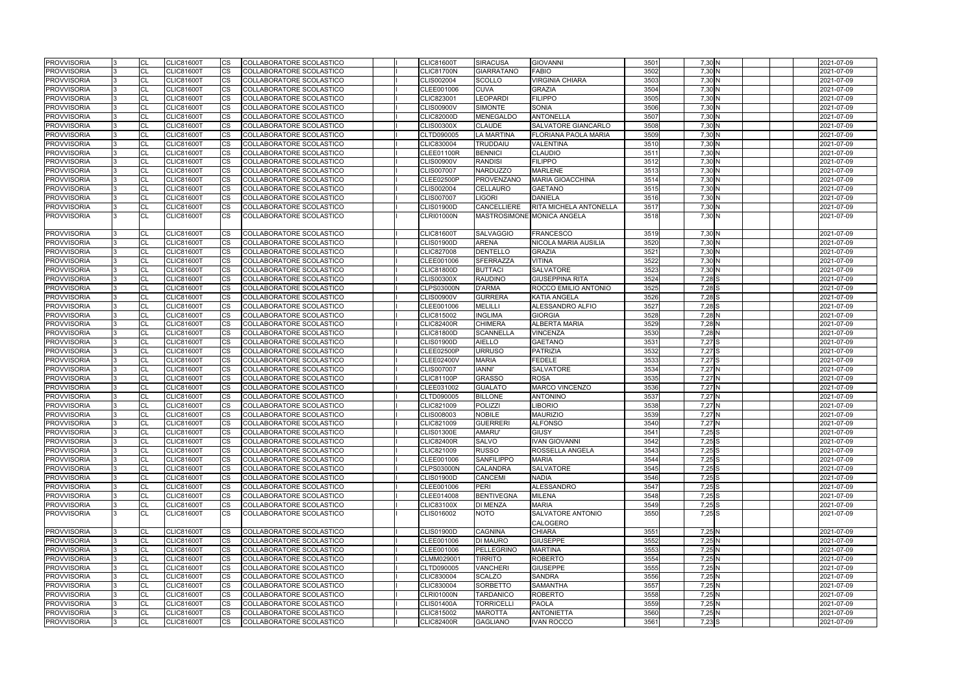| <b>PROVVISORIA</b> |     | CL             | <b>CLIC81600T</b> | CS.       | COLLABORATORE SCOLASTICO        |  | <b>CLIC81600T</b> | <b>SIRACUSA</b>    | <b>GIOVANNI</b>             | 3501 | 7,30 N     | 2021-07-09 |
|--------------------|-----|----------------|-------------------|-----------|---------------------------------|--|-------------------|--------------------|-----------------------------|------|------------|------------|
| <b>PROVVISORIA</b> |     | <b>CL</b>      | <b>CLIC81600T</b> | <b>CS</b> | <b>COLLABORATORE SCOLASTICO</b> |  | <b>CLIC81700N</b> | <b>GIARRATANO</b>  | <b>FABIO</b>                | 3502 | $7,30$ N   | 2021-07-09 |
| <b>PROVVISORIA</b> |     | <b>CL</b>      | <b>CLIC81600T</b> | <b>CS</b> | COLLABORATORE SCOLASTICO        |  | CLIS002004        | <b>SCOLLO</b>      | <b>VIRGINIA CHIARA</b>      | 3503 | $7,30$ N   | 2021-07-09 |
| <b>PROVVISORIA</b> |     | <b>CL</b>      | <b>CLIC81600T</b> | CS        | COLLABORATORE SCOLASTICO        |  | CLEE001006        | <b>CUVA</b>        | <b>GRAZIA</b>               | 3504 | 7,30 N     | 2021-07-09 |
| <b>PROVVISORIA</b> |     | <b>CL</b>      | <b>CLIC81600T</b> | CS        | COLLABORATORE SCOLASTICO        |  | CLIC823001        | <b>LEOPARDI</b>    | <b>FILIPPO</b>              | 3505 | 7,30 N     | 2021-07-09 |
| <b>PROVVISORIA</b> |     | <b>CL</b>      | <b>CLIC81600T</b> | CS        | COLLABORATORE SCOLASTICO        |  | <b>CLIS00900V</b> | <b>SIMONTE</b>     | <b>SONIA</b>                | 3506 | $7,30$ N   | 2021-07-09 |
| <b>PROVVISORIA</b> |     | <b>CL</b>      | <b>CLIC81600T</b> | CS        | COLLABORATORE SCOLASTICO        |  | <b>CLIC82000D</b> | <b>MENEGALDO</b>   | <b>ANTONELLA</b>            | 3507 | 7,30 N     | 2021-07-09 |
| <b>PROVVISORIA</b> |     | CL             | <b>CLIC81600T</b> | <b>CS</b> | COLLABORATORE SCOLASTICO        |  | <b>CLIS00300X</b> | <b>CLAUDE</b>      | SALVATORE GIANCARLO         | 3508 | 7,30 N     | 2021-07-09 |
| <b>PROVVISORIA</b> |     | <b>CL</b>      | <b>CLIC81600T</b> | CS        | COLLABORATORE SCOLASTICO        |  | CLTD090005        | <b>LA MARTINA</b>  | <b>FLORIANA PAOLA MARIA</b> | 3509 | $7,30$ N   | 2021-07-09 |
| <b>PROVVISORIA</b> |     | <b>CL</b>      | <b>CLIC81600T</b> | CS        | <b>COLLABORATORE SCOLASTICO</b> |  | CLIC830004        | <b>TRUDDAIU</b>    | <b>VALENTINA</b>            | 3510 | $7,30$ N   | 2021-07-09 |
| <b>PROVVISORIA</b> |     | CL             | <b>CLIC81600T</b> | CS.       | COLLABORATORE SCOLASTICO        |  | <b>CLEE01100R</b> | <b>BENNICI</b>     | <b>CLAUDIO</b>              | 3511 | 7,30 N     | 2021-07-09 |
| <b>PROVVISORIA</b> |     | CL             | <b>CLIC81600T</b> | CS        | COLLABORATORE SCOLASTICO        |  | <b>CLIS00900V</b> | <b>RANDISI</b>     | <b>FILIPPO</b>              | 3512 | 7,30 N     | 2021-07-09 |
| <b>PROVVISORIA</b> |     | <b>CL</b>      | <b>CLIC81600T</b> | CS        | <b>COLLABORATORE SCOLASTICO</b> |  | <b>CLIS007007</b> | <b>NARDUZZO</b>    | <b>MARLENE</b>              | 3513 | 7,30N      | 2021-07-09 |
| <b>PROVVISORIA</b> |     | <b>CL</b>      | <b>CLIC81600T</b> | <b>CS</b> | COLLABORATORE SCOLASTICO        |  | <b>CLEE02500P</b> | <b>PROVENZANO</b>  | <b>MARIA GIOACCHINA</b>     | 3514 | 7,30 N     | 2021-07-09 |
| <b>PROVVISORIA</b> |     | <b>CL</b>      | <b>CLIC81600T</b> | CS        | COLLABORATORE SCOLASTICO        |  | CLIS002004        | <b>CELLAURO</b>    | <b>GAETANO</b>              | 3515 | 7,30 N     | 2021-07-09 |
| <b>PROVVISORIA</b> |     | <b>CL</b>      | <b>CLIC81600T</b> | CS        | <b>COLLABORATORE SCOLASTICO</b> |  | <b>CLIS007007</b> | <b>LIGORI</b>      | <b>DANIELA</b>              | 3516 | 7,30 N     | 2021-07-09 |
| <b>PROVVISORIA</b> |     | <b>CL</b>      | <b>CLIC81600T</b> | CS        | COLLABORATORE SCOLASTICO        |  | <b>CLIS01900D</b> | <b>CANCELLIERE</b> | RITA MICHELA ANTONELLA      | 3517 | 7,30N      | 2021-07-09 |
| <b>PROVVISORIA</b> | l 3 | <b>CL</b>      | <b>CLIC81600T</b> | CS        | COLLABORATORE SCOLASTICO        |  | <b>CLRI01000N</b> |                    | MASTROSIMONE MONICA ANGELA  | 3518 | 7,30 N     | 2021-07-09 |
| <b>PROVVISORIA</b> |     | CL             | <b>CLIC81600T</b> | <b>CS</b> | COLLABORATORE SCOLASTICO        |  | <b>CLIC81600T</b> | <b>SALVAGGIO</b>   | <b>FRANCESCO</b>            | 3519 | $7,30$ N   | 2021-07-09 |
| <b>PROVVISORIA</b> |     | <b>CL</b>      | <b>CLIC81600T</b> | <b>CS</b> | COLLABORATORE SCOLASTICO        |  | <b>CLIS01900D</b> | <b>ARENA</b>       | <b>NICOLA MARIA AUSILIA</b> | 3520 | 7,30 N     | 2021-07-09 |
| <b>PROVVISORIA</b> |     | <b>CL</b>      | <b>CLIC81600T</b> | CS        | COLLABORATORE SCOLASTICO        |  | <b>CLIC827008</b> | <b>DENTELLO</b>    | <b>GRAZIA</b>               | 3521 | 7,30 N     | 2021-07-09 |
| <b>PROVVISORIA</b> |     | <b>CL</b>      | <b>CLIC81600T</b> | CS        | COLLABORATORE SCOLASTICO        |  | CLEE001006        | <b>SFERRAZZA</b>   | <b>VITINA</b>               | 3522 | $7,30$ N   | 2021-07-09 |
| <b>PROVVISORIA</b> |     | <b>CL</b>      | <b>CLIC81600T</b> | CS        | COLLABORATORE SCOLASTICO        |  | <b>CLIC81800D</b> | <b>BUTTACI</b>     | <b>SALVATORE</b>            | 3523 | 7,30 N     | 2021-07-09 |
| <b>PROVVISORIA</b> |     | CL             | <b>CLIC81600T</b> | CS        | COLLABORATORE SCOLASTICO        |  | <b>CLIS00300X</b> | <b>RAUDINO</b>     | <b>GIUSEPPINA RITA</b>      | 3524 | $7,28$ $S$ | 2021-07-09 |
| <b>PROVVISORIA</b> |     | <b>CL</b>      | <b>CLIC81600T</b> | <b>CS</b> | COLLABORATORE SCOLASTICO        |  | <b>CLPS03000N</b> | <b>D'ARMA</b>      | ROCCO EMILIO ANTONIO        | 3525 | $7,28$ $S$ | 2021-07-09 |
| <b>PROVVISORIA</b> |     | <b>CL</b>      | <b>CLIC81600T</b> | CS        | COLLABORATORE SCOLASTICO        |  | <b>CLIS00900V</b> | <b>GURRERA</b>     | <b>KATIA ANGELA</b>         | 3526 | $7,28$ S   | 2021-07-09 |
| <b>PROVVISORIA</b> |     | <b>CL</b>      | <b>CLIC81600T</b> | CS        | COLLABORATORE SCOLASTICO        |  | CLEE001006        | <b>MELILLI</b>     | ALESSANDRO ALFIO            | 3527 | $7,28$ S   | 2021-07-09 |
| <b>PROVVISORIA</b> |     | <b>CL</b>      | <b>CLIC81600T</b> | CS        | COLLABORATORE SCOLASTICO        |  | CLIC815002        | <b>INGLIMA</b>     | <b>GIORGIA</b>              | 3528 | 7,28 N     | 2021-07-09 |
| <b>PROVVISORIA</b> |     | <b>CL</b>      | <b>CLIC81600T</b> | CS        | COLLABORATORE SCOLASTICO        |  | <b>CLIC82400R</b> | <b>CHIMERA</b>     | <b>ALBERTA MARIA</b>        | 3529 | 7,28 N     | 2021-07-09 |
| <b>PROVVISORIA</b> |     | <b>CL</b>      | <b>CLIC81600T</b> | CS        | COLLABORATORE SCOLASTICO        |  | <b>CLIC81800D</b> | <b>SCANNELLA</b>   | VINCENZA                    | 3530 | 7,28 N     | 2021-07-09 |
| <b>PROVVISORIA</b> |     | <b>CL</b>      | <b>CLIC81600T</b> | <b>CS</b> | COLLABORATORE SCOLASTICO        |  | <b>CLIS01900D</b> | <b>AIELLO</b>      | <b>GAETANO</b>              | 3531 | 7,27S      | 2021-07-09 |
| <b>PROVVISORIA</b> |     | <b>CL</b>      | <b>CLIC81600T</b> | <b>CS</b> | COLLABORATORE SCOLASTICO        |  | <b>CLEE02500P</b> | <b>URRUSO</b>      | <b>PATRIZIA</b>             | 3532 | $7,27$ S   | 2021-07-09 |
| <b>PROVVISORIA</b> |     | <b>CL</b>      | <b>CLIC81600T</b> | CS        | COLLABORATORE SCOLASTICO        |  | CLEE02400V        | <b>MARIA</b>       | <b>FEDELE</b>               | 3533 | $7,27$ S   | 2021-07-09 |
| <b>PROVVISORIA</b> |     | <b>CL</b>      | <b>CLIC81600T</b> | CS        | COLLABORATORE SCOLASTICO        |  | <b>CLIS007007</b> | <b>IANNI'</b>      | SALVATORE                   | 3534 | 7,27 N     | 2021-07-09 |
| <b>PROVVISORIA</b> |     | CL             | <b>CLIC81600T</b> | CS        | COLLABORATORE SCOLASTICO        |  | <b>CLIC81100P</b> | <b>GRASSO</b>      | <b>ROSA</b>                 | 3535 | $7,27$ N   | 2021-07-09 |
| <b>PROVVISORIA</b> |     | <b>CL</b>      | <b>CLIC81600T</b> | CS        | COLLABORATORE SCOLASTICO        |  | CLEE031002        | <b>GUALATO</b>     | <b>MARCO VINCENZO</b>       | 3536 | 7,27N      | 2021-07-09 |
| <b>PROVVISORIA</b> |     | CL             | <b>CLIC81600T</b> | CS        | COLLABORATORE SCOLASTICO        |  | CLTD090005        | <b>BILLONE</b>     | <b>ANTONINO</b>             | 3537 | 7,27N      | 2021-07-09 |
| <b>PROVVISORIA</b> |     | CL             | <b>CLIC81600T</b> | <b>CS</b> | COLLABORATORE SCOLASTICO        |  | CLIC821009        | <b>POLIZZI</b>     | <b>LIBORIO</b>              | 3538 | 7,27 N     | 2021-07-09 |
| <b>PROVVISORIA</b> |     | <b>CL</b>      | <b>CLIC81600T</b> | <b>CS</b> | COLLABORATORE SCOLASTICO        |  | CLIS008003        | <b>NOBILE</b>      | <b>MAURIZIO</b>             | 3539 | 7,27N      | 2021-07-09 |
| <b>PROVVISORIA</b> |     | $\overline{C}$ | CLIC81600T        | <b>CS</b> | COLLABORATORE SCOLASTICO        |  | CLIC821009        | GUERRERI           | <b>ALFONSO</b>              | 3540 | 7,27N      | 2021-07-09 |
| <b>PROVVISORIA</b> |     | <b>CL</b>      | <b>CLIC81600T</b> | CS        | COLLABORATORE SCOLASTICO        |  | <b>CLIS01300E</b> | <b>AMARU'</b>      | <b>GIUSY</b>                | 3541 | $7,25$ S   | 2021-07-09 |
| <b>PROVVISORIA</b> |     | CL             | CLIC81600T        | CS        | COLLABORATORE SCOLASTICO        |  | <b>CLIC82400R</b> | <b>SALVO</b>       | <b>IVAN GIOVANNI</b>        | 3542 | $7,25$ S   | 2021-07-09 |
| <b>PROVVISORIA</b> |     | <b>CL</b>      | <b>CLIC81600T</b> | CS        | COLLABORATORE SCOLASTICO        |  | CLIC821009        | <b>RUSSO</b>       | ROSSELLA ANGELA             | 3543 | $7,25$ S   | 2021-07-09 |
| <b>PROVVISORIA</b> |     | <b>CL</b>      | <b>CLIC81600T</b> | <b>CS</b> | COLLABORATORE SCOLASTICO        |  | CLEE001006        | <b>SANFILIPPO</b>  | <b>MARIA</b>                | 3544 | $7,25$ S   | 2021-07-09 |
| <b>PROVVISORIA</b> |     | <b>CL</b>      | <b>CLIC81600T</b> | CS.       | COLLABORATORE SCOLASTICO        |  | <b>CLPS03000N</b> | <b>CALANDRA</b>    | <b>SALVATORE</b>            | 3545 | 7,25S      | 2021-07-09 |
| <b>PROVVISORIA</b> |     | CL             | <b>CLIC81600T</b> | CS        | COLLABORATORE SCOLASTICO        |  | <b>CLIS01900D</b> | <b>CANCEMI</b>     | <b>NADIA</b>                | 3546 | $7,25$ S   | 2021-07-09 |
| <b>PROVVISORIA</b> |     | CL             | <b>CLIC81600T</b> | CS        | COLLABORATORE SCOLASTICO        |  | CLEE001006        | PERI               | <b>ALESSANDRO</b>           | 3547 | $7,25$ S   | 2021-07-09 |
| <b>PROVVISORIA</b> |     | <b>CL</b>      | <b>CLIC81600T</b> | CS        | COLLABORATORE SCOLASTICO        |  | CLEE014008        | <b>BENTIVEGNA</b>  | MILENA                      | 3548 | $7,25$ S   | 2021-07-09 |
| <b>PROVVISORIA</b> |     | CL             | <b>CLIC81600T</b> | CS        | COLLABORATORE SCOLASTICO        |  | <b>CLIC83100X</b> | DI MENZA           | MARIA                       | 3549 | $7,25$ S   | 2021-07-09 |
| <b>PROVVISORIA</b> |     | <b>CL</b>      | <b>CLIC81600T</b> | CS        | COLLABORATORE SCOLASTICO        |  | CLIS016002        | <b>NOTO</b>        | <b>SALVATORE ANTONIO</b>    | 3550 | $7,25$ S   | 2021-07-09 |
|                    |     |                |                   |           |                                 |  |                   |                    | <b>CALOGERO</b>             |      |            |            |
| <b>PROVVISORIA</b> |     | CL             | <b>CLIC81600T</b> | CS        | COLLABORATORE SCOLASTICO        |  | <b>CLIS01900D</b> | <b>CAGNINA</b>     | <b>CHIARA</b>               | 3551 | 7,25N      | 2021-07-09 |
| <b>PROVVISORIA</b> |     | <b>CL</b>      | <b>CLIC81600T</b> | <b>CS</b> | COLLABORATORE SCOLASTICO        |  | CLEE001006        | <b>DI MAURO</b>    | <b>GIUSEPPE</b>             | 3552 | 7,25N      | 2021-07-09 |
| <b>PROVVISORIA</b> |     | <b>CL</b>      | <b>CLIC81600T</b> | CS        | COLLABORATORE SCOLASTICO        |  | CLEE001006        | PELLEGRINO         | <b>MARTINA</b>              | 3553 | 7,25N      | 2021-07-09 |
| <b>PROVVISORIA</b> |     | CL             | <b>CLIC81600T</b> | <b>CS</b> | COLLABORATORE SCOLASTICO        |  | CLMM029001        | <b>TIRRITO</b>     | <b>ROBERTO</b>              | 3554 | $7,25$ N   | 2021-07-09 |
| <b>PROVVISORIA</b> |     | <b>CL</b>      | <b>CLIC81600T</b> | <b>CS</b> | COLLABORATORE SCOLASTICO        |  | CLTD090005        | <b>VANCHERI</b>    | <b>GIUSEPPE</b>             | 3555 | 7,25N      | 2021-07-09 |
| <b>PROVVISORIA</b> |     | CL             | <b>CLIC81600T</b> | <b>CS</b> | COLLABORATORE SCOLASTICO        |  | CLIC830004        | <b>SCALZO</b>      | SANDRA                      | 3556 | 7,25N      | 2021-07-09 |
| <b>PROVVISORIA</b> |     | <b>CL</b>      | <b>CLIC81600T</b> | <b>CS</b> | COLLABORATORE SCOLASTICO        |  | CLIC830004        | SORBETTO           | <b>SAMANTHA</b>             | 3557 | 7,25N      | 2021-07-09 |
| <b>PROVVISORIA</b> |     | <b>CL</b>      | <b>CLIC81600T</b> | CS        | COLLABORATORE SCOLASTICO        |  | <b>CLRI01000N</b> | <b>TARDANICO</b>   | <b>ROBERTO</b>              | 3558 | 7,25N      | 2021-07-09 |
| <b>PROVVISORIA</b> |     | <b>CL</b>      | <b>CLIC81600T</b> | CS        | COLLABORATORE SCOLASTICO        |  | <b>CLIS01400A</b> | <b>TORRICELLI</b>  | PAOLA                       | 3559 | 7,25 N     | 2021-07-09 |
| <b>PROVVISORIA</b> |     | <b>CL</b>      | <b>CLIC81600T</b> | <b>CS</b> | COLLABORATORE SCOLASTICO        |  | CLIC815002        | <b>MAROTTA</b>     | <b>ANTONIETTA</b>           | 3560 | $7,25$ N   | 2021-07-09 |
| <b>PROVVISORIA</b> |     | <b>CL</b>      | <b>CLIC81600T</b> | <b>CS</b> | COLLABORATORE SCOLASTICO        |  | <b>CLIC82400R</b> | <b>GAGLIANO</b>    | <b>IVAN ROCCO</b>           | 3561 | $7,23$ S   | 2021-07-09 |

| 3501              | $7,30$ <sub>N</sub>         |  |  | 2021-07-09 |
|-------------------|-----------------------------|--|--|------------|
| 3502              | 7,30 N                      |  |  | 2021-07-09 |
|                   |                             |  |  |            |
| 3503              | 7,30 N                      |  |  | 2021-07-09 |
| 3504              | 7,30 N                      |  |  | 2021-07-09 |
| 3505              | 7,30 N                      |  |  | 2021-07-09 |
| 3506              | 7,30 N                      |  |  | 2021-07-09 |
| 3507              | 7,30 N                      |  |  | 2021-07-09 |
| 3508              | $7,30$ <sub>N</sub>         |  |  | 2021-07-09 |
| 3509              | 7,30 N                      |  |  | 2021-07-09 |
| 3510              | $7,30\overline{\mathsf{N}}$ |  |  | 2021-07-09 |
| 3511              | 7,30 N                      |  |  | 2021-07-09 |
|                   |                             |  |  |            |
| 3512              | 7,30 N                      |  |  | 2021-07-09 |
| 3513              | 7,30 N                      |  |  | 2021-07-09 |
| 3514              | 7,30 N                      |  |  | 2021-07-09 |
| 3515              | 7,30 N                      |  |  | 2021-07-09 |
| 3516              | 7,30 N                      |  |  | 2021-07-09 |
| 3517              | 7,30 N                      |  |  | 2021-07-09 |
| 3518              | 7,30 N                      |  |  | 2021-07-09 |
|                   |                             |  |  |            |
| $\overline{3}519$ | 7,30 N                      |  |  | 2021-07-09 |
|                   |                             |  |  |            |
| 3520              | 7,30 N                      |  |  | 2021-07-09 |
| 3521              | 7,30 N                      |  |  | 2021-07-09 |
| 3522              | 7,30 N                      |  |  | 2021-07-09 |
| 3523              | 7,30 N                      |  |  | 2021-07-09 |
| 3524              | $7,28$ $S$                  |  |  | 2021-07-09 |
| 3525              | 7,28 S                      |  |  | 2021-07-09 |
| 3526              | $7,28$ S                    |  |  | 2021-07-09 |
| 3527              | 7,28S                       |  |  | 2021-07-09 |
| 3528              | 7,28 N                      |  |  |            |
|                   |                             |  |  | 2021-07-09 |
| 3529              | $7,28$ N                    |  |  | 2021-07-09 |
| 3530              | 7,28 N                      |  |  | 2021-07-09 |
| 3531              | 7,27 S                      |  |  | 2021-07-09 |
| 3532              | $7,27$ $S$                  |  |  | 2021-07-09 |
| 3533              | 7,27 S                      |  |  | 2021-07-09 |
| 3534              | 7,27 N                      |  |  | 2021-07-09 |
| 3535              | 7,27 N                      |  |  | 2021-07-09 |
| 3536              | $7,27$ <sub>N</sub>         |  |  | 2021-07-09 |
|                   |                             |  |  |            |
| 3537              | 7,27 N                      |  |  | 2021-07-09 |
| 3538              | 7,27 N                      |  |  | 2021-07-09 |
| 3539              | 7,27 N                      |  |  | 2021-07-09 |
| 3540              | $7,27$ N                    |  |  | 2021-07-09 |
| 3541              | $7.25$ S                    |  |  | 2021-07-09 |
| 3542              | 7,25 S                      |  |  | 2021-07-09 |
| 3543              | $7,25$ $S$                  |  |  | 2021-07-09 |
| $\overline{3}544$ | 7,25S                       |  |  | 2021-07-09 |
| 3545              | 7,25 S                      |  |  | 2021-07-09 |
| 3546              | $7,25\overline{\text{S}}$   |  |  | 2021-07-09 |
|                   |                             |  |  |            |
| 3547              | 7,25 S                      |  |  | 2021-07-09 |
| 3548              | 7,25S                       |  |  | 2021-07-09 |
| 3549              | $7,25$ $S$                  |  |  | 2021-07-09 |
| 3550              | $7,25$ $S$                  |  |  | 2021-07-09 |
|                   |                             |  |  |            |
| 3551              | 7,25 N                      |  |  | 2021-07-09 |
| 3552              | 7,25 N                      |  |  | 2021-07-09 |
| 3553              | 7,25 N                      |  |  | 2021-07-09 |
|                   |                             |  |  |            |
| 3554              | 7,25 N                      |  |  | 2021-07-09 |
| 3555              | 7,25 N                      |  |  | 2021-07-09 |
| 3556              | 7,25 N                      |  |  | 2021-07-09 |
| 3557              | 7,25 N                      |  |  | 2021-07-09 |
| 3558              | 7,25 N                      |  |  | 2021-07-09 |
| 3559              | 7,25 N                      |  |  | 2021-07-09 |
| 3560              | 7,25 N                      |  |  | 2021-07-09 |
| 3561              | 7,23 S                      |  |  | 2021-07-09 |
|                   |                             |  |  |            |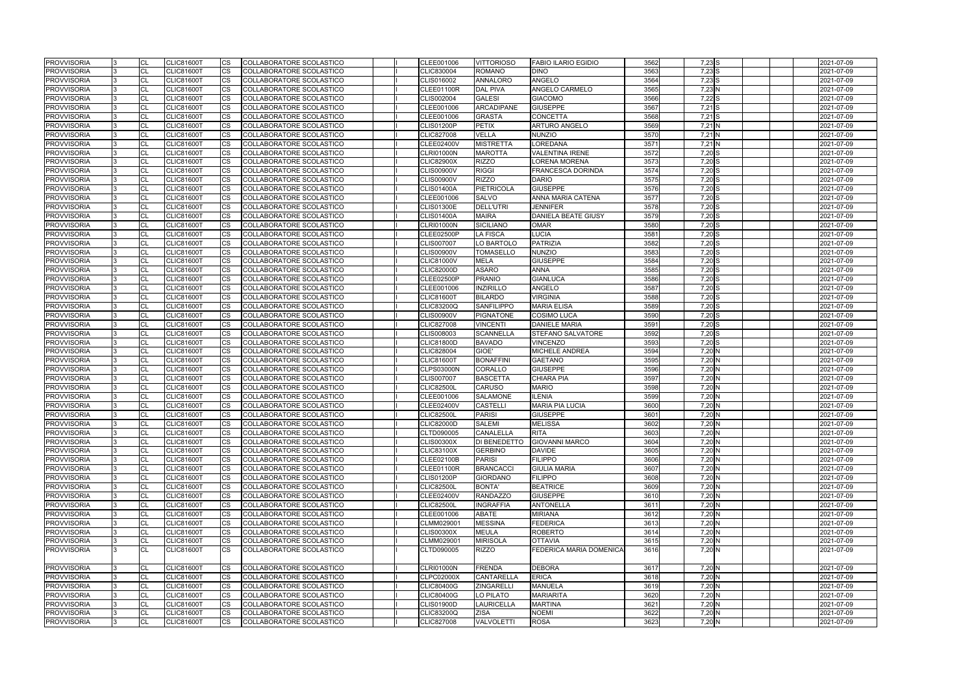| <b>PROVVISORIA</b> | CL        | <b>CLIC81600T</b> | CS.                    | <b>COLLABORATORE SCOLASTICO</b> |  | CLEE001006        | <b>VITTORIOSO</b>   | <b>FABIO ILARIO EGIDIO</b>     | 3562 | $7,23$ S | 2021-07-09 |
|--------------------|-----------|-------------------|------------------------|---------------------------------|--|-------------------|---------------------|--------------------------------|------|----------|------------|
| <b>PROVVISORIA</b> | CL        | <b>CLIC81600T</b> | <b>CS</b>              | COLLABORATORE SCOLASTICO        |  | CLIC830004        | <b>ROMANO</b>       | <b>DINO</b>                    | 3563 | 7,23S    | 2021-07-09 |
| <b>PROVVISORIA</b> | CL        | <b>CLIC81600T</b> | CS                     | COLLABORATORE SCOLASTICO        |  | CLIS016002        | <b>ANNALORO</b>     | <b>ANGELO</b>                  | 3564 | $7,23$ S | 2021-07-09 |
| <b>PROVVISORIA</b> | CL        | <b>CLIC81600T</b> | <b>CS</b>              | COLLABORATORE SCOLASTICO        |  | <b>CLEE01100R</b> | <b>DAL PIVA</b>     | <b>ANGELO CARMELO</b>          | 3565 | 7,23 N   | 2021-07-09 |
| <b>PROVVISORIA</b> | CL        | <b>CLIC81600T</b> | CS                     | COLLABORATORE SCOLASTICO        |  | CLIS002004        | <b>GALESI</b>       | <b>GIACOMO</b>                 | 3566 | $7,22$ S | 2021-07-09 |
| <b>PROVVISORIA</b> | CL        | <b>CLIC81600T</b> | <b>CS</b>              | COLLABORATORE SCOLASTICO        |  | CLEE001006        | <b>ARCADIPANE</b>   | <b>GIUSEPPE</b>                | 3567 | $7,21$ S | 2021-07-09 |
| <b>PROVVISORIA</b> | <b>CL</b> | <b>CLIC81600T</b> | <b>CS</b>              | <b>COLLABORATORE SCOLASTICO</b> |  | CLEE001006        | <b>GRASTA</b>       | <b>CONCETTA</b>                | 3568 | $7,21$ S | 2021-07-09 |
| <b>PROVVISORIA</b> | CL        | <b>CLIC81600T</b> | <b>CS</b>              | COLLABORATORE SCOLASTICO        |  | <b>CLIS01200P</b> | <b>PETIX</b>        | <b>ARTURO ANGELO</b>           | 3569 | $7,21$ N | 2021-07-09 |
| <b>PROVVISORIA</b> | CL        | <b>CLIC81600T</b> | CS                     | COLLABORATORE SCOLASTICO        |  | <b>CLIC827008</b> | <b>VELLA</b>        | <b>NUNZIO</b>                  | 3570 | $7,21$ N | 2021-07-09 |
| <b>PROVVISORIA</b> | <b>CL</b> | <b>CLIC81600T</b> | CS                     | COLLABORATORE SCOLASTICO        |  | <b>CLEE02400V</b> | <b>MISTRETTA</b>    | LOREDANA                       | 3571 | $7,21$ N | 2021-07-09 |
| <b>PROVVISORIA</b> | CL        | <b>CLIC81600T</b> | <b>CS</b>              | COLLABORATORE SCOLASTICO        |  | <b>CLRI01000N</b> | <b>MAROTTA</b>      | <b>VALENTINA IRENE</b>         | 3572 | $7,20$ S | 2021-07-09 |
| <b>PROVVISORIA</b> | CL        | <b>CLIC81600T</b> | <b>CS</b>              | COLLABORATORE SCOLASTICO        |  | <b>CLIC82900X</b> | <b>RIZZO</b>        | LORENA MORENA                  | 3573 | $7,20$ S | 2021-07-09 |
| <b>PROVVISORIA</b> | <b>CL</b> | <b>CLIC81600T</b> | $\overline{\text{cs}}$ | COLLABORATORE SCOLASTICO        |  | <b>CLIS00900V</b> | <b>RIGGI</b>        | FRANCESCA DORINDA              | 3574 | $7,20$ S | 2021-07-09 |
| <b>PROVVISORIA</b> | CL        | <b>CLIC81600T</b> | <b>CS</b>              | COLLABORATORE SCOLASTICO        |  | <b>CLIS00900V</b> | <b>RIZZO</b>        | <b>DARIO</b>                   | 3575 | $7,20$ S | 2021-07-09 |
| <b>PROVVISORIA</b> | CL        | <b>CLIC81600T</b> | CS                     | COLLABORATORE SCOLASTICO        |  | <b>CLIS01400A</b> | <b>PIETRICOLA</b>   | <b>GIUSEPPE</b>                | 3576 | $7,20$ S | 2021-07-09 |
| <b>PROVVISORIA</b> | CL        | <b>CLIC81600T</b> | CS                     | COLLABORATORE SCOLASTICO        |  | CLEE001006        | <b>SALVO</b>        | ANNA MARIA CATENA              | 3577 | $7,20$ S | 2021-07-09 |
| <b>PROVVISORIA</b> | CL        | CLIC81600T        | CS                     | COLLABORATORE SCOLASTICO        |  | <b>CLIS01300E</b> | <b>DELL'UTRI</b>    | <b>JENNIFER</b>                | 3578 | $7,20$ S | 2021-07-09 |
| <b>PROVVISORIA</b> | <b>CL</b> | <b>CLIC81600T</b> | <b>CS</b>              | COLLABORATORE SCOLASTICO        |  | <b>CLIS01400A</b> | <b>MAIRA</b>        | DANIELA BEATE GIUSY            | 3579 | $7,20$ S | 2021-07-09 |
| <b>PROVVISORIA</b> | CL        | <b>CLIC81600T</b> | <b>CS</b>              | COLLABORATORE SCOLASTICO        |  | <b>CLRI01000N</b> | <b>SICILIANO</b>    | <b>OMAR</b>                    | 3580 | $7,20$ S | 2021-07-09 |
| <b>PROVVISORIA</b> | CL        | <b>CLIC81600T</b> | <b>CS</b>              | COLLABORATORE SCOLASTICO        |  | CLEE02500P        | <b>LA FISCA</b>     | <b>LUCIA</b>                   | 3581 | $7,20$ S | 2021-07-09 |
| <b>PROVVISORIA</b> | CL        | <b>CLIC81600T</b> | <b>CS</b>              | COLLABORATORE SCOLASTICO        |  | <b>CLIS007007</b> | LO BARTOLO          | PATRIZIA                       | 3582 | $7,20$ S | 2021-07-09 |
| <b>PROVVISORIA</b> | CL        | <b>CLIC81600T</b> | CS                     | COLLABORATORE SCOLASTICO        |  | <b>CLIS00900V</b> | <b>TOMASELLO</b>    | <b>NUNZIO</b>                  | 3583 | $7,20$ S | 2021-07-09 |
| <b>PROVVISORIA</b> | CL        | <b>CLIC81600T</b> | CS                     | COLLABORATORE SCOLASTICO        |  | <b>CLIC81000V</b> | <b>MELA</b>         | <b>GIUSEPPE</b>                | 3584 | $7,20$ S | 2021-07-09 |
| <b>PROVVISORIA</b> | CL        | <b>CLIC81600T</b> | <b>CS</b>              | COLLABORATORE SCOLASTICO        |  | <b>CLIC82000D</b> | <b>ASARO</b>        | <b>ANNA</b>                    | 3585 | $7,20$ S | 2021-07-09 |
| <b>PROVVISORIA</b> | CL        | <b>CLIC81600T</b> | <b>CS</b>              | COLLABORATORE SCOLASTICO        |  | <b>CLEE02500P</b> | <b>PRANIO</b>       | <b>GIANLUCA</b>                | 3586 | $7,20$ S | 2021-07-09 |
| <b>PROVVISORIA</b> | CL        | <b>CLIC81600T</b> | <b>CS</b>              | COLLABORATORE SCOLASTICO        |  | CLEE001006        | <b>INZIRILLO</b>    | ANGELO                         | 3587 | $7,20$ S | 2021-07-09 |
| <b>PROVVISORIA</b> | CL        | <b>CLIC81600T</b> | <b>CS</b>              | COLLABORATORE SCOLASTICO        |  | <b>CLIC81600T</b> | <b>BILARDO</b>      | <b>VIRGINIA</b>                | 3588 | $7,20$ S | 2021-07-09 |
| <b>PROVVISORIA</b> | CL        | <b>CLIC81600T</b> | CS                     | COLLABORATORE SCOLASTICO        |  | <b>CLIC83200Q</b> | <b>SANFILIPPO</b>   | <b>MARIA ELISA</b>             | 3589 | $7,20$ S | 2021-07-09 |
| <b>PROVVISORIA</b> | CL        | <b>CLIC81600T</b> | <b>CS</b>              | COLLABORATORE SCOLASTICO        |  | <b>CLIS00900V</b> | <b>PIGNATONE</b>    | <b>COSIMO LUCA</b>             | 3590 | $7,20$ S | 2021-07-09 |
| <b>PROVVISORIA</b> | CL        | CLIC81600T        | <b>CS</b>              | COLLABORATORE SCOLASTICO        |  | CLIC827008        | <b>VINCENTI</b>     | <b>DANIELE MARIA</b>           | 3591 | $7,20$ S | 2021-07-09 |
| <b>PROVVISORIA</b> | CL        | <b>CLIC81600T</b> | <b>CS</b>              | COLLABORATORE SCOLASTICO        |  | CLIS008003        | <b>SCANNELLA</b>    | <b>STEFANO SALVATORE</b>       | 3592 | $7,20$ S | 2021-07-09 |
| <b>PROVVISORIA</b> | CL        | <b>CLIC81600T</b> | $\overline{\text{cs}}$ | COLLABORATORE SCOLASTICO        |  | <b>CLIC81800D</b> | <b>BAVADO</b>       | <b>VINCENZO</b>                | 3593 | $7,20$ S | 2021-07-09 |
| <b>PROVVISORIA</b> | CL        | <b>CLIC81600T</b> | <b>CS</b>              | COLLABORATORE SCOLASTICO        |  | <b>CLIC828004</b> | GIOE'               | MICHELE ANDREA                 | 3594 | $7,20$ N | 2021-07-09 |
| <b>PROVVISORIA</b> | CL        | <b>CLIC81600T</b> | CS                     | COLLABORATORE SCOLASTICO        |  | <b>CLIC81600T</b> | <b>BONAFFINI</b>    | <b>GAETANO</b>                 | 3595 | 7,20N    | 2021-07-09 |
| <b>PROVVISORIA</b> | CL        | <b>CLIC81600T</b> | CS                     | COLLABORATORE SCOLASTICO        |  | <b>CLPS03000N</b> | <b>CORALLO</b>      | <b>GIUSEPPE</b>                | 3596 | $7,20$ N | 2021-07-09 |
| <b>PROVVISORIA</b> | CL        | CLIC81600T        | <b>CS</b>              | COLLABORATORE SCOLASTICO        |  | <b>CLIS007007</b> | <b>BASCETTA</b>     | CHIARA PIA                     | 3597 | 7,20 N   | 2021-07-09 |
| <b>PROVVISORIA</b> | CL        | <b>CLIC81600T</b> | <b>CS</b>              | COLLABORATORE SCOLASTICO        |  | <b>CLIC82500L</b> | <b>CARUSO</b>       | <b>MARIO</b>                   | 3598 | $7,20$ N | 2021-07-09 |
| <b>PROVVISORIA</b> | CL        | <b>CLIC81600T</b> | <b>CS</b>              | COLLABORATORE SCOLASTICO        |  | CLEE001006        | <b>SALAMONE</b>     | <b>ILENIA</b>                  | 3599 | 7,20 N   | 2021-07-09 |
| <b>PROVVISORIA</b> | CL        | <b>CLIC81600T</b> | <b>CS</b>              | <b>COLLABORATORE SCOLASTICO</b> |  | <b>CLEE02400V</b> | <b>CASTELLI</b>     | <b>MARIA PIA LUCIA</b>         | 3600 | $7,20$ N | 2021-07-09 |
| <b>PROVVISORIA</b> | CL        | <b>CLIC81600T</b> | <b>CS</b>              | COLLABORATORE SCOLASTICO        |  | <b>CLIC82500L</b> | <b>PARISI</b>       | <b>GIUSEPPE</b>                | 3601 | 7,20 N   | 2021-07-09 |
| <b>PROVVISORIA</b> | <b>CI</b> | <b>CLIC81600T</b> | <b>CS</b>              | COLLABORATORE SCOLASTICO        |  | <b>CLIC82000D</b> | <b>SALEMI</b>       | <b>MELISSA</b>                 | 3602 | 7,20 N   | 2021-07-09 |
| <b>PROVVISORIA</b> | <b>CL</b> | <b>CLIC81600T</b> | <b>CS</b>              | COLLABORATORE SCOLASTICO        |  | CLTD090005        | CANALELLA           | <b>RITA</b>                    | 3603 | $7,20$ N | 2021-07-09 |
| <b>PROVVISORIA</b> | <b>CL</b> | <b>CLIC81600T</b> | <b>CS</b>              | COLLABORATORE SCOLASTICO        |  | <b>CLIS00300X</b> | <b>DI BENEDETTO</b> | <b>GIOVANNI MARCO</b>          | 3604 | 7,20 N   | 2021-07-09 |
| <b>PROVVISORIA</b> | <b>CL</b> | <b>CLIC81600T</b> | <b>CS</b>              | COLLABORATORE SCOLASTICO        |  | <b>CLIC83100X</b> | <b>GERBINO</b>      | <b>DAVIDE</b>                  | 3605 | 7,20 N   | 2021-07-09 |
| <b>PROVVISORIA</b> | CL        | <b>CLIC81600T</b> | <b>CS</b>              | COLLABORATORE SCOLASTICO        |  | <b>CLEE02100B</b> | <b>PARISI</b>       | <b>FILIPPO</b>                 | 3606 | 7,20 N   | 2021-07-09 |
| <b>PROVVISORIA</b> | <b>CL</b> | <b>CLIC81600T</b> | <b>CS</b>              | COLLABORATORE SCOLASTICO        |  | <b>CLEE01100R</b> | <b>BRANCACCI</b>    | <b>GIULIA MARIA</b>            | 3607 | 7,20 N   | 2021-07-09 |
| <b>PROVVISORIA</b> | CL        | <b>CLIC81600T</b> | <b>CS</b>              | COLLABORATORE SCOLASTICO        |  | <b>CLIS01200P</b> | <b>GIORDANO</b>     | <b>FILIPPO</b>                 | 3608 | 7,20 N   | 2021-07-09 |
| <b>PROVVISORIA</b> | <b>CL</b> | <b>CLIC81600T</b> | <b>CS</b>              | COLLABORATORE SCOLASTICO        |  | <b>CLIC82500L</b> | <b>BONTA'</b>       | <b>BEATRICE</b>                | 3609 | $7,20$ N | 2021-07-09 |
| <b>PROVVISORIA</b> | <b>CL</b> | <b>CLIC81600T</b> | <b>CS</b>              | COLLABORATORE SCOLASTICO        |  | <b>CLEE02400V</b> | <b>RANDAZZO</b>     | <b>GIUSEPPE</b>                | 3610 | 7,20N    | 2021-07-09 |
| <b>PROVVISORIA</b> | CL        | <b>CLIC81600T</b> | <b>CS</b>              | COLLABORATORE SCOLASTICO        |  | <b>CLIC82500L</b> | <b>INGRAFFIA</b>    | <b>ANTONELLA</b>               | 3611 | $7,20$ N | 2021-07-09 |
| <b>PROVVISORIA</b> | <b>CL</b> | <b>CLIC81600T</b> | <b>CS</b>              | COLLABORATORE SCOLASTICO        |  | CLEE001006        | ABATE               | <b>MIRIANA</b>                 | 3612 | 7,20 N   | 2021-07-09 |
| <b>PROVVISORIA</b> | <b>CL</b> | <b>CLIC81600T</b> | <b>CS</b>              | COLLABORATORE SCOLASTICO        |  | CLMM029001        | <b>MESSINA</b>      | <b>FEDERICA</b>                | 3613 | 7,20N    | 2021-07-09 |
| <b>PROVVISORIA</b> | CL        | <b>CLIC81600T</b> | <b>CS</b>              | COLLABORATORE SCOLASTICO        |  | <b>CLIS00300X</b> | <b>MEULA</b>        | <b>ROBERTO</b>                 | 3614 | 7,20 N   | 2021-07-09 |
| <b>PROVVISORIA</b> | <b>CL</b> | <b>CLIC81600T</b> | <b>CS</b>              | COLLABORATORE SCOLASTICO        |  | CLMM029001        | <b>MIRISOLA</b>     | <b>OTTAVIA</b>                 | 3615 | 7,20 N   | 2021-07-09 |
| <b>PROVVISORIA</b> | <b>CL</b> | <b>CLIC81600T</b> | <b>CS</b>              | COLLABORATORE SCOLASTICO        |  | CLTD090005        | <b>RIZZO</b>        | <b>FEDERICA MARIA DOMENICA</b> | 3616 | 7,20 N   | 2021-07-09 |
| <b>PROVVISORIA</b> | <b>CL</b> | <b>CLIC81600T</b> | <b>CS</b>              | COLLABORATORE SCOLASTICO        |  | <b>CLRI01000N</b> | <b>FRENDA</b>       | <b>DEBORA</b>                  | 3617 | 7,20 N   | 2021-07-09 |
| <b>PROVVISORIA</b> | <b>CL</b> | <b>CLIC81600T</b> | <b>CS</b>              | COLLABORATORE SCOLASTICO        |  | <b>CLPC02000X</b> | <b>CANTARELLA</b>   | <b>ERICA</b>                   | 3618 | 7,20 N   | 2021-07-09 |
| <b>PROVVISORIA</b> | CL        | <b>CLIC81600T</b> | <b>CS</b>              | COLLABORATORE SCOLASTICO        |  | <b>CLIC80400G</b> | <b>ZINGARELLI</b>   | <b>MANUELA</b>                 | 3619 | $7,20$ N | 2021-07-09 |
| <b>PROVVISORIA</b> | <b>CL</b> | <b>CLIC81600T</b> | <b>CS</b>              | COLLABORATORE SCOLASTICO        |  | <b>CLIC80400G</b> | LO PILATO           | <b>MARIARITA</b>               | 3620 | 7,20 N   | 2021-07-09 |
| <b>PROVVISORIA</b> | <b>CL</b> | <b>CLIC81600T</b> | <b>CS</b>              | COLLABORATORE SCOLASTICO        |  | <b>CLIS01900D</b> | <b>LAURICELLA</b>   | <b>MARTINA</b>                 | 3621 | 7,20N    | 2021-07-09 |
| <b>PROVVISORIA</b> | <b>CL</b> | <b>CLIC81600T</b> | <b>CS</b>              | COLLABORATORE SCOLASTICO        |  | <b>CLIC83200Q</b> | <b>ZISA</b>         | <b>NOEMI</b>                   | 3622 | 7,20 N   | 2021-07-09 |
| <b>PROVVISORIA</b> | <b>CL</b> | <b>CLIC81600T</b> | <b>CS</b>              | COLLABORATORE SCOLASTICO        |  | <b>CLIC827008</b> | VALVOLETTI          | <b>ROSA</b>                    | 3623 | 7,20 N   | 2021-07-09 |
|                    |           |                   |                        |                                 |  |                   |                     |                                |      |          |            |

|  |  | 2021-07-09 |
|--|--|------------|
|  |  | 2021-07-09 |
|  |  | 2021-07-09 |
|  |  | 2021-07-09 |
|  |  | 2021-07-09 |
|  |  | 2021-07-09 |
|  |  | 2021-07-09 |
|  |  | 2021-07-09 |
|  |  |            |
|  |  | 2021-07-09 |
|  |  | 2021-07-09 |
|  |  | 2021-07-09 |
|  |  | 2021-07-09 |
|  |  | 2021-07-09 |
|  |  | 2021-07-09 |
|  |  | 2021-07-09 |
|  |  | 2021-07-09 |
|  |  | 2021-07-09 |
|  |  | 2021-07-09 |
|  |  | 2021-07-09 |
|  |  | 2021-07-09 |
|  |  | 2021-07-09 |
|  |  | 2021-07-09 |
|  |  | 2021-07-09 |
|  |  |            |
|  |  | 2021-07-09 |
|  |  | 2021-07-09 |
|  |  | 2021-07-09 |
|  |  | 2021-07-09 |
|  |  | 2021-07-09 |
|  |  | 2021-07-09 |
|  |  | 2021-07-09 |
|  |  | 2021-07-09 |
|  |  | 2021-07-09 |
|  |  | 2021-07-09 |
|  |  | 2021-07-09 |
|  |  | 2021-07-09 |
|  |  | 2021-07-09 |
|  |  | 2021-07-09 |
|  |  |            |
|  |  | 2021-07-09 |
|  |  | 2021-07-09 |
|  |  | 2021-07-09 |
|  |  | 2021-07-09 |
|  |  | 2021-07-09 |
|  |  | 2021-07-09 |
|  |  | 2021-07-09 |
|  |  | 2021-07-09 |
|  |  | 2021-07-09 |
|  |  | 2021-07-09 |
|  |  | 2021-07-09 |
|  |  | 2021-07-09 |
|  |  | 2021-07-09 |
|  |  | 2021-07-09 |
|  |  | 2021-07-09 |
|  |  |            |
|  |  | 2021-07-09 |
|  |  | 2021-07-09 |
|  |  | 2021-07-09 |
|  |  |            |
|  |  | 2021-07-09 |
|  |  | 2021-07-09 |
|  |  | 2021-07-09 |
|  |  | 2021-07-09 |
|  |  | 2021-07-09 |
|  |  | 2021-07-09 |
|  |  | 2021-07-09 |
|  |  |            |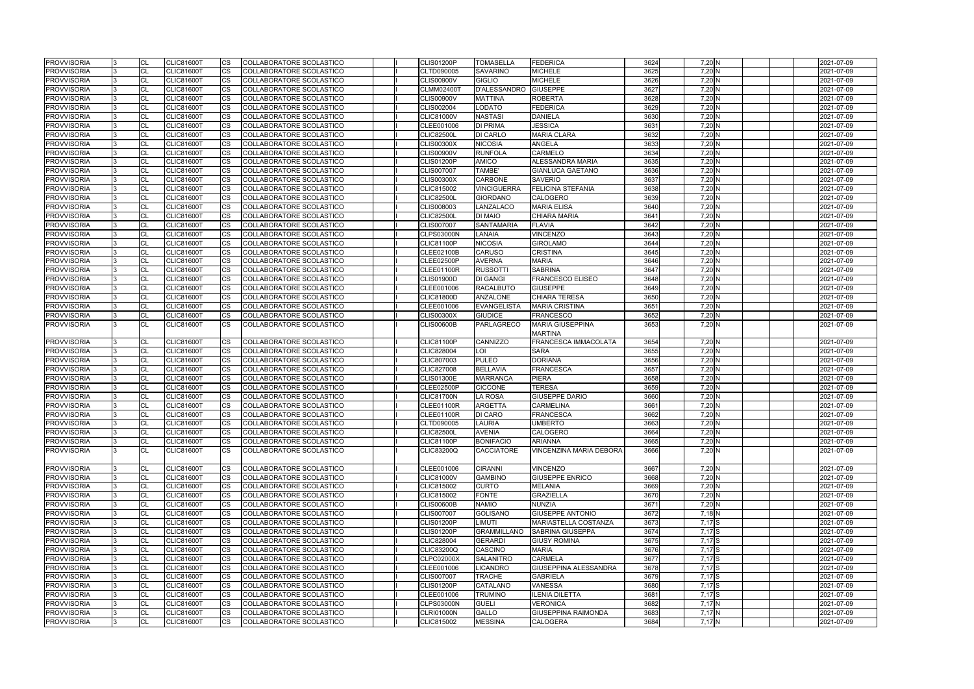| 3624              | $7,20$ <sub>N</sub>         |  |  | 2021-07-09 |
|-------------------|-----------------------------|--|--|------------|
| 3625              | 7,20 N                      |  |  | 2021-07-09 |
| 3626              | 7,20 N                      |  |  | 2021-07-09 |
| $\overline{3627}$ | 7,20 N                      |  |  | 2021-07-09 |
|                   |                             |  |  |            |
| 3628              | 7,20 N                      |  |  | 2021-07-09 |
| 3629              | 7,20 N                      |  |  | 2021-07-09 |
| 3630              | 7,20 N                      |  |  | 2021-07-09 |
| 3631              | $7,20\overline{\mathrm{N}}$ |  |  | 2021-07-09 |
| 3632              | 7,20 N                      |  |  | 2021-07-09 |
| 3633              | 7,20 N                      |  |  | 2021-07-09 |
| 3634              | 7,20 N                      |  |  | 2021-07-09 |
| 3635              | 7,20 N                      |  |  | 2021-07-09 |
| 3636              | 7,20 N                      |  |  | 2021-07-09 |
| 3637              | 7,20 N                      |  |  | 2021-07-09 |
| 3638              | 7,20 N                      |  |  | 2021-07-09 |
|                   | 7,20 N                      |  |  |            |
| 3639              |                             |  |  | 2021-07-09 |
| 3640              | 7,20 N                      |  |  | 2021-07-09 |
| 3641              | 7,20 N                      |  |  | 2021-07-09 |
| 3642              | 7,20 N                      |  |  | 2021-07-09 |
| 3643              | 7,20 N                      |  |  | 2021-07-09 |
| 3644              | $7,20\overline{\mathrm{N}}$ |  |  | 2021-07-09 |
| 3645              | 7,20 N                      |  |  | 2021-07-09 |
| $\overline{3}646$ | 7,20 N                      |  |  | 2021-07-09 |
| 3647              | $7,20\overline{\mathrm{N}}$ |  |  | 2021-07-09 |
| 3648              | 7,20 N                      |  |  | 2021-07-09 |
| 3649              | 7,20 N                      |  |  | 2021-07-09 |
| 3650              | 7,20 N                      |  |  | 2021-07-09 |
|                   | 7,20 N                      |  |  | 2021-07-09 |
| 3651<br>3652      |                             |  |  |            |
|                   | 7,20 N                      |  |  | 2021-07-09 |
| 3653              | 7,20 N                      |  |  | 2021-07-09 |
|                   |                             |  |  |            |
| 3654              | 7,20 N                      |  |  | 2021-07-09 |
| 3655              | 7,20 N                      |  |  | 2021-07-09 |
| 3656              | 7,20 N                      |  |  | 2021-07-09 |
| 3657              | 7,20 N                      |  |  | 2021-07-09 |
| 3658              | 7,20 N                      |  |  | 2021-07-09 |
| 3659              | 7,20 N                      |  |  | 2021-07-09 |
| 3660              | 7,20 N                      |  |  | 2021-07-09 |
| 3661              | 7,20 N                      |  |  | 2021-07-09 |
| 3662              | 7,20 N                      |  |  | 2021-07-09 |
| 3663              | $7,20$ N                    |  |  | 2021-07-09 |
| 3664              | 7.20 N                      |  |  |            |
|                   |                             |  |  | 2021-07-09 |
| 3665              | 7,20 N                      |  |  | 2021-07-09 |
| 3666              | 7,20 N                      |  |  | 2021-07-09 |
|                   |                             |  |  |            |
| 3667              | 7,20 N                      |  |  | 2021-07-09 |
| 3668              | 7,20 N                      |  |  | 2021-07-09 |
| 3669              | 7.20 N                      |  |  | 2021-07-09 |
| 3670              | 7,20 N                      |  |  | 2021-07-09 |
| 3671              | 7,20 N                      |  |  | 2021-07-09 |
| 3672              | $7,18$ <sub>N</sub>         |  |  | 2021-07-09 |
| 3673              | $7,17$ S                    |  |  | 2021-07-09 |
| 3674              | $7,17$ S                    |  |  | 2021-07-09 |
| 3675              | 7,17S                       |  |  | 2021-07-09 |
| 3676              | 7,17S                       |  |  | 2021-07-09 |
|                   | $7,17$ S                    |  |  |            |
| 3677              |                             |  |  | 2021-07-09 |
| 3678              | 7,17 S                      |  |  | 2021-07-09 |
| 3679              | $7,17$ S                    |  |  | 2021-07-09 |
| 3680              | $7,17$ S                    |  |  | 2021-07-09 |
| 3681              | $7,17$ S                    |  |  | 2021-07-09 |
| 3682              | 7,17 N                      |  |  | 2021-07-09 |
| 3683              | 7,17 N                      |  |  | 2021-07-09 |
| 3684              | $7,17$ N                    |  |  | 2021-07-09 |
|                   |                             |  |  |            |

| <b>PROVVISORIA</b> |          | <b>CL</b> | <b>CLIC81600T</b> | <b>CS</b> | COLLABORATORE SCOLASTICO        |  | <b>CLIS01200P</b> | <b>TOMASELLA</b>    | <b>FEDERICA</b>              | 3624 | 7,20 N            | 2021-07-09 |
|--------------------|----------|-----------|-------------------|-----------|---------------------------------|--|-------------------|---------------------|------------------------------|------|-------------------|------------|
| <b>PROVVISORIA</b> |          | <b>CL</b> | <b>CLIC81600T</b> | <b>CS</b> | COLLABORATORE SCOLASTICO        |  | CLTD090005        | <b>SAVARINO</b>     | <b>MICHELE</b>               | 3625 | $7,20$ N          | 2021-07-09 |
| <b>PROVVISORIA</b> |          | <b>CL</b> | <b>CLIC81600T</b> | CS        | COLLABORATORE SCOLASTICO        |  | <b>CLIS00900V</b> | <b>GIGLIO</b>       | <b>MICHELE</b>               | 3626 | $7,20$ N          | 2021-07-09 |
| <b>PROVVISORIA</b> |          | <b>CL</b> | <b>CLIC81600T</b> | CS        | COLLABORATORE SCOLASTICO        |  | <b>CLMM02400T</b> | <b>D'ALESSANDRO</b> | <b>GIUSEPPE</b>              | 3627 | $7,20$ N          | 2021-07-09 |
| <b>PROVVISORIA</b> |          | <b>CL</b> | <b>CLIC81600T</b> | CS        | COLLABORATORE SCOLASTICO        |  | <b>CLIS00900V</b> | <b>MATTINA</b>      | <b>ROBERTA</b>               | 3628 | 7,20 N            | 2021-07-09 |
| <b>PROVVISORIA</b> |          | CL        | <b>CLIC81600T</b> | CS        | COLLABORATORE SCOLASTICO        |  | CLIS002004        | <b>LODATO</b>       | <b>FEDERICA</b>              | 3629 | $7,20$ N          | 2021-07-09 |
| <b>PROVVISORIA</b> |          | <b>CL</b> | <b>CLIC81600T</b> | CS        | COLLABORATORE SCOLASTICO        |  | <b>CLIC81000V</b> | <b>NASTASI</b>      | <b>DANIELA</b>               | 3630 | $7,20$ N          | 2021-07-09 |
| <b>PROVVISORIA</b> |          | CL        | <b>CLIC81600T</b> | CS        | COLLABORATORE SCOLASTICO        |  | CLEE001006        | <b>DI PRIMA</b>     | <b>JESSICA</b>               | 3631 | 7,20N             | 2021-07-09 |
| <b>PROVVISORIA</b> |          | CL        | <b>CLIC81600T</b> | CS        | COLLABORATORE SCOLASTICO        |  | <b>CLIC82500L</b> | <b>DI CARLO</b>     | <b>MARIA CLARA</b>           | 3632 | $7,20$ N          | 2021-07-09 |
| <b>PROVVISORIA</b> |          | <b>CL</b> | <b>CLIC81600T</b> | CS        | COLLABORATORE SCOLASTICO        |  | <b>CLIS00300X</b> | <b>NICOSIA</b>      | <b>ANGELA</b>                | 3633 | $7,20$ N          | 2021-07-09 |
| <b>PROVVISORIA</b> |          | CL        | <b>CLIC81600T</b> | CS        | COLLABORATORE SCOLASTICO        |  | <b>CLIS00900V</b> | <b>RUNFOLA</b>      | CARMELO                      | 3634 | $7,20$ N          | 2021-07-09 |
| <b>PROVVISORIA</b> |          | <b>CL</b> | <b>CLIC81600T</b> | CS        | COLLABORATORE SCOLASTICO        |  | <b>CLIS01200P</b> | <b>AMICO</b>        | ALESSANDRA MARIA             | 3635 | $7,20$ N          | 2021-07-09 |
| <b>PROVVISORIA</b> |          | <b>CL</b> | <b>CLIC81600T</b> | <b>CS</b> | COLLABORATORE SCOLASTICO        |  | <b>CLIS007007</b> | TAMBE'              | GIANLUCA GAETANO             | 3636 | $7,20$ N          | 2021-07-09 |
| <b>PROVVISORIA</b> |          | <b>CL</b> | <b>CLIC81600T</b> | <b>CS</b> | COLLABORATORE SCOLASTICO        |  | <b>CLIS00300X</b> | <b>CARBONE</b>      | <b>SAVERIO</b>               | 3637 | 7,20 N            | 2021-07-09 |
| <b>PROVVISORIA</b> |          | <b>CL</b> | <b>CLIC81600T</b> | CS        | COLLABORATORE SCOLASTICO        |  | CLIC815002        | <b>VINCIGUERRA</b>  | <b>FELICINA STEFANIA</b>     | 3638 | $7,20$ N          | 2021-07-09 |
| <b>PROVVISORIA</b> |          | <b>CL</b> | <b>CLIC81600T</b> | CS        | COLLABORATORE SCOLASTICO        |  | <b>CLIC82500L</b> | <b>GIORDANO</b>     | <b>CALOGERO</b>              | 3639 | 7,20 N            | 2021-07-09 |
| <b>PROVVISORIA</b> |          | CL        | <b>CLIC81600T</b> | CS        | COLLABORATORE SCOLASTICO        |  | CLIS008003        | LANZALACO           | <b>MARIA ELISA</b>           | 3640 | 7,20 N            | 2021-07-09 |
| <b>PROVVISORIA</b> |          | <b>CL</b> | <b>CLIC81600T</b> | CS        | COLLABORATORE SCOLASTICO        |  | <b>CLIC82500L</b> | <b>DI MAIO</b>      | CHIARA MARIA                 | 3641 | 7,20N             | 2021-07-09 |
| <b>PROVVISORIA</b> |          | <b>CL</b> | <b>CLIC81600T</b> | CS        | <b>COLLABORATORE SCOLASTICO</b> |  | <b>CLIS007007</b> | <b>SANTAMARIA</b>   | <b>FLAVIA</b>                | 3642 | 7,20N             | 2021-07-09 |
| <b>PROVVISORIA</b> |          | CL        | <b>CLIC81600T</b> | <b>CS</b> | COLLABORATORE SCOLASTICO        |  | <b>CLPS03000N</b> | LANAIA              | <b>VINCENZO</b>              | 3643 | 7,20 N            | 2021-07-09 |
| <b>PROVVISORIA</b> |          | <b>CL</b> | <b>CLIC81600T</b> | CS        | COLLABORATORE SCOLASTICO        |  | <b>CLIC81100P</b> | <b>NICOSIA</b>      | <b>GIROLAMO</b>              | 3644 | $7,20$ N          | 2021-07-09 |
| <b>PROVVISORIA</b> |          | <b>CL</b> | <b>CLIC81600T</b> | CS        | COLLABORATORE SCOLASTICO        |  | <b>CLEE02100B</b> | <b>CARUSO</b>       | <b>CRISTINA</b>              | 3645 | 7,20N             | 2021-07-09 |
| <b>PROVVISORIA</b> |          | <b>CL</b> | <b>CLIC81600T</b> | CS        | COLLABORATORE SCOLASTICO        |  | <b>CLEE02500P</b> | <b>AVERNA</b>       | <b>MARIA</b>                 | 3646 | $7,20$ N          | 2021-07-09 |
| <b>PROVVISORIA</b> |          | <b>CL</b> | <b>CLIC81600T</b> | CS        | COLLABORATORE SCOLASTICO        |  | <b>CLEE01100R</b> | <b>RUSSOTTI</b>     | <b>SABRINA</b>               | 3647 | 7,20N             | 2021-07-09 |
| <b>PROVVISORIA</b> |          | <b>CL</b> | <b>CLIC81600T</b> | СS        | COLLABORATORE SCOLASTICO        |  | <b>CLIS01900D</b> | <b>DI GANGI</b>     | FRANCESCO ELISEO             | 3648 | 7,20 N            | 2021-07-09 |
| <b>PROVVISORIA</b> |          | <b>CL</b> | <b>CLIC81600T</b> | <b>CS</b> | COLLABORATORE SCOLASTICO        |  | CLEE001006        | <b>RACALBUTO</b>    | <b>GIUSEPPE</b>              | 3649 | 7,20N             | 2021-07-09 |
| <b>PROVVISORIA</b> |          | <b>CL</b> | <b>CLIC81600T</b> | CS        | COLLABORATORE SCOLASTICO        |  | <b>CLIC81800D</b> | ANZALONE            | <b>CHIARA TERESA</b>         | 3650 | 7,20N             | 2021-07-09 |
| <b>PROVVISORIA</b> |          | <b>CL</b> | <b>CLIC81600T</b> | CS        | COLLABORATORE SCOLASTICO        |  | CLEE001006        | <b>EVANGELISTA</b>  | <b>MARIA CRISTINA</b>        | 3651 | $7,20$ N          | 2021-07-09 |
| <b>PROVVISORIA</b> |          | <b>CL</b> | <b>CLIC81600T</b> | CS        | COLLABORATORE SCOLASTICO        |  | <b>CLIS00300X</b> | <b>GIUDICE</b>      | <b>FRANCESCO</b>             | 3652 | $7,20$ N          | 2021-07-09 |
| <b>PROVVISORIA</b> | <u>3</u> | <b>CL</b> | <b>CLIC81600T</b> | CS        | COLLABORATORE SCOLASTICO        |  | <b>CLIS00600B</b> | <b>PARLAGRECO</b>   | <b>MARIA GIUSEPPINA</b>      | 3653 | $7,20$ N          | 2021-07-09 |
|                    |          |           |                   |           |                                 |  |                   |                     | <b>MARTINA</b>               |      |                   |            |
| <b>PROVVISORIA</b> |          | <b>CL</b> | <b>CLIC81600T</b> | <b>CS</b> | <b>COLLABORATORE SCOLASTICO</b> |  | <b>CLIC81100P</b> | CANNIZZO            | FRANCESCA IMMACOLATA         | 3654 | $7,20$ N          | 2021-07-09 |
| <b>PROVVISORIA</b> |          | <b>CL</b> | <b>CLIC81600T</b> | <b>CS</b> | COLLABORATORE SCOLASTICO        |  | CLIC828004        | LOI                 | <b>SARA</b>                  | 3655 | 7,20 N            | 2021-07-09 |
| <b>PROVVISORIA</b> |          | CL        | <b>CLIC81600T</b> | CS.       | COLLABORATORE SCOLASTICO        |  | CLIC807003        | <b>PULEO</b>        | <b>DORIANA</b>               | 3656 | 7,20 N            | 2021-07-09 |
| <b>PROVVISORIA</b> |          | <b>CL</b> | <b>CLIC81600T</b> | CS        | COLLABORATORE SCOLASTICO        |  | <b>CLIC827008</b> | <b>BELLAVIA</b>     | <b>FRANCESCA</b>             | 3657 | $7,20$ N          | 2021-07-09 |
| <b>PROVVISORIA</b> |          | CL        | <b>CLIC81600T</b> | CS        | COLLABORATORE SCOLASTICO        |  | <b>CLIS01300E</b> | <b>MARRANCA</b>     | <b>PIERA</b>                 | 3658 | 7,20N             | 2021-07-09 |
| <b>PROVVISORIA</b> |          | CL        | <b>CLIC81600T</b> | CS        | COLLABORATORE SCOLASTICO        |  | <b>CLEE02500P</b> | <b>CICCONE</b>      | <b>TERESA</b>                | 3659 | 7,20N             | 2021-07-09 |
| <b>PROVVISORIA</b> |          | <b>CL</b> | <b>CLIC81600T</b> | <b>CS</b> | COLLABORATORE SCOLASTICO        |  | <b>CLIC81700N</b> | <b>LA ROSA</b>      | <b>GIUSEPPE DARIO</b>        | 3660 | $7,20$ N          | 2021-07-09 |
| <b>PROVVISORIA</b> |          | <b>CL</b> | <b>CLIC81600T</b> | CS.       | COLLABORATORE SCOLASTICO        |  | <b>CLEE01100R</b> | <b>ARGETTA</b>      | <b>CARMELINA</b>             | 3661 | 7,20N             | 2021-07-09 |
| <b>PROVVISORIA</b> |          | <b>CL</b> | <b>CLIC81600T</b> | <b>CS</b> | COLLABORATORE SCOLASTICO        |  | CLEE01100R        | <b>DI CARO</b>      | <b>FRANCESCA</b>             | 3662 | 7,20 N            | 2021-07-09 |
| <b>PROVVISORIA</b> |          | lCL.      | <b>CLIC81600T</b> | <b>CS</b> | COLLABORATORE SCOLASTICO        |  | CLTD090005        | LAURIA              | <b>UMBERTO</b>               | 3663 | 7,20 N            | 2021-07-09 |
| <b>PROVVISORIA</b> |          | <b>CL</b> | <b>CLIC81600T</b> | CS        | COLLABORATORE SCOLASTICO        |  | <b>CLIC82500L</b> | <b>AVENIA</b>       | CALOGERO                     | 3664 | 7,20 N            | 2021-07-09 |
| <b>PROVVISORIA</b> |          | <b>CL</b> | <b>CLIC81600T</b> | <b>CS</b> | COLLABORATORE SCOLASTICO        |  | <b>CLIC81100P</b> | <b>BONIFACIO</b>    | ARIANNA                      | 3665 | $7,20$ N          | 2021-07-09 |
| <b>PROVVISORIA</b> |          | <b>CL</b> | <b>CLIC81600T</b> | <b>CS</b> | COLLABORATORE SCOLASTICO        |  | CLIC83200Q        | <b>CACCIATORE</b>   | VINCENZINA MARIA DEBORA      | 3666 | 7,20 N            | 2021-07-09 |
|                    |          |           |                   |           |                                 |  |                   |                     |                              |      |                   |            |
| <b>PROVVISORIA</b> |          | <b>CL</b> | <b>CLIC81600T</b> | <b>CS</b> | COLLABORATORE SCOLASTICO        |  | CLEE001006        | <b>CIRANNI</b>      | <b>VINCENZO</b>              | 3667 | 7,20N             | 2021-07-09 |
| <b>PROVVISORIA</b> |          | <b>CL</b> | <b>CLIC81600T</b> | CS        | COLLABORATORE SCOLASTICO        |  | <b>CLIC81000V</b> | <b>GAMBINO</b>      | <b>GIUSEPPE ENRICO</b>       | 3668 | $7,20$ N          | 2021-07-09 |
| <b>PROVVISORIA</b> |          | <b>CL</b> | <b>CLIC81600T</b> | CS        | COLLABORATORE SCOLASTICO        |  | CLIC815002        | <b>CURTO</b>        | MELANIA                      | 3669 | 7,20 N            | 2021-07-09 |
| <b>PROVVISORIA</b> |          | <b>CL</b> | <b>CLIC81600T</b> | CS        | COLLABORATORE SCOLASTICO        |  | CLIC815002        | <b>FONTE</b>        | <b>GRAZIELLA</b>             | 3670 | $7,20$ N          | 2021-07-09 |
| <b>PROVVISORIA</b> |          | <b>CL</b> | <b>CLIC81600T</b> | <b>CS</b> | COLLABORATORE SCOLASTICO        |  | <b>CLIS00600B</b> | <b>NAMIO</b>        | <b>NUNZIA</b>                | 3671 | 7,20 N            | 2021-07-09 |
| <b>PROVVISORIA</b> |          | CL        | <b>CLIC81600T</b> | <b>CS</b> | COLLABORATORE SCOLASTICO        |  | <b>CLIS007007</b> | <b>GOLISANO</b>     | <b>GIUSEPPE ANTONIO</b>      | 3672 | 7,18 N            | 2021-07-09 |
| <b>PROVVISORIA</b> |          | <b>CL</b> | <b>CLIC81600T</b> | <b>CS</b> | COLLABORATORE SCOLASTICO        |  | <b>CLIS01200P</b> | <b>LIMUTI</b>       | MARIASTELLA COSTANZA         | 3673 | 7,17 S            | 2021-07-09 |
| <b>PROVVISORIA</b> |          | <b>CL</b> | <b>CLIC81600T</b> | CS        | COLLABORATORE SCOLASTICO        |  | <b>CLIS01200P</b> | <b>GRAMMILLANO</b>  | <b>SABRINA GIUSEPPA</b>      | 3674 | $7,17$ S          | 2021-07-09 |
| <b>PROVVISORIA</b> |          | CL        | CLIC81600T        | CS.       | COLLABORATORE SCOLASTICO        |  | <b>CLIC828004</b> | <b>GERARDI</b>      | <b>GIUSY ROMINA</b>          | 3675 | 7,17 <sup>S</sup> | 2021-07-09 |
| <b>PROVVISORIA</b> |          | CL        | <b>CLIC81600T</b> | CS        | COLLABORATORE SCOLASTICO        |  | <b>CLIC83200Q</b> | <b>CASCINO</b>      | MARIA                        | 3676 | 7,17S             | 2021-07-09 |
| <b>PROVVISORIA</b> |          | CL        | <b>CLIC81600T</b> | <b>CS</b> | COLLABORATORE SCOLASTICO        |  | <b>CLPC02000X</b> | <b>SALANITRO</b>    | <b>CARMELA</b>               | 3677 | 7,17S             | 2021-07-09 |
| <b>PROVVISORIA</b> |          | <b>CL</b> | <b>CLIC81600T</b> | <b>CS</b> | COLLABORATORE SCOLASTICO        |  | CLEE001006        | <b>LICANDRO</b>     | <b>GIUSEPPINA ALESSANDRA</b> | 3678 | 7,17 S            | 2021-07-09 |
| <b>PROVVISORIA</b> |          | <b>CL</b> | <b>CLIC81600T</b> | CS.       | COLLABORATORE SCOLASTICO        |  | <b>CLIS007007</b> | <b>TRACHE</b>       | <b>GABRIELA</b>              | 3679 | 7,17S             | 2021-07-09 |
| <b>PROVVISORIA</b> |          | <b>CL</b> | <b>CLIC81600T</b> | CS        | COLLABORATORE SCOLASTICO        |  | <b>CLIS01200P</b> | <b>CATALANO</b>     | <b>VANESSA</b>               | 3680 | $7,17$ S          | 2021-07-09 |
| <b>PROVVISORIA</b> |          | <b>CL</b> | <b>CLIC81600T</b> | CS        | COLLABORATORE SCOLASTICO        |  | CLEE001006        | <b>TRUMINO</b>      | <b>ILENIA DILETTA</b>        | 3681 | 7,17S             | 2021-07-09 |
| <b>PROVVISORIA</b> |          | <b>CL</b> | <b>CLIC81600T</b> | CS        | COLLABORATORE SCOLASTICO        |  | <b>CLPS03000N</b> | <b>GUELI</b>        | VERONICA                     | 3682 | 7,17 N            | 2021-07-09 |
| <b>PROVVISORIA</b> |          | СL        | <b>CLIC81600T</b> | CS        | COLLABORATORE SCOLASTICO        |  | <b>CLRI01000N</b> | <b>GALLO</b>        | GIUSEPPINA RAIMONDA          | 3683 | 7,17 N            | 2021-07-09 |
| <b>PROVVISORIA</b> |          | <b>CL</b> | <b>CLIC81600T</b> | <b>CS</b> | COLLABORATORE SCOLASTICO        |  | CLIC815002        | <b>MESSINA</b>      | <b>CALOGERA</b>              | 3684 | 7,17 N            | 2021-07-09 |
|                    |          |           |                   |           |                                 |  |                   |                     |                              |      |                   |            |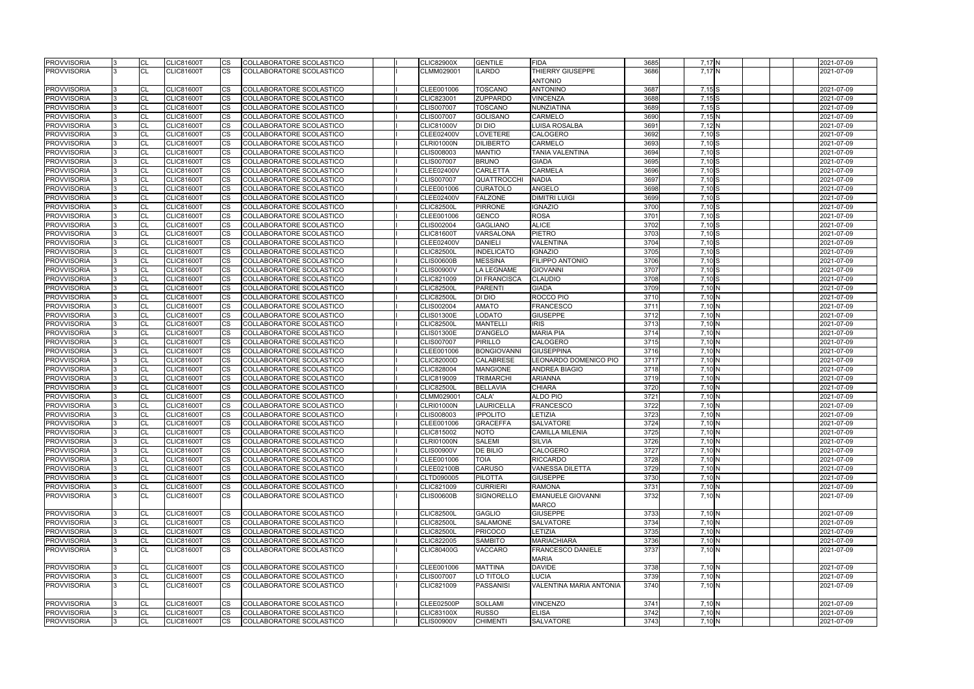| 3685              | $7,17$ N            |  |  | 2021-07-09 |
|-------------------|---------------------|--|--|------------|
| 3686              | 7.17N               |  |  | 2021-07-09 |
| 3687              | $7,15$ $S$          |  |  | 2021-07-09 |
| 3688              | 7,15S               |  |  | 2021-07-09 |
| 3689              | $7,15$ S            |  |  | 2021-07-09 |
| 3690              | 7,15N               |  |  | 2021-07-09 |
| 3691              | 7,12 <sub>N</sub>   |  |  |            |
|                   |                     |  |  | 2021-07-09 |
| 3692              | $7,10$ S            |  |  | 2021-07-09 |
| 3693              | $7,10$ S            |  |  | 2021-07-09 |
| 3694              | 7,10S               |  |  | 2021-07-09 |
| 3695              | $7,10$ S            |  |  | 2021-07-09 |
| 3696              | $7,10$ S            |  |  | 2021-07-09 |
| 3697              | 7,10S               |  |  | 2021-07-09 |
| 3698              | $7,10$ S            |  |  | 2021-07-09 |
| 3699              | $7,10$ S            |  |  | 2021-07-09 |
| 3700              | 7,10S               |  |  | 2021-07-09 |
| 3701              | $7,10$ S            |  |  | 2021-07-09 |
| 3702              | $7,10$ $S$          |  |  | 2021-07-09 |
| 3703              | $7,10$ $S$          |  |  | 2021-07-09 |
| 3704              | $7,10$ S            |  |  | 2021-07-09 |
| 3705              | $7,10$ S            |  |  | 2021-07-09 |
| 3706              | $7,10$ S            |  |  | 2021-07-09 |
| 3707              | 7,10S               |  |  | 2021-07-09 |
| 3708              | 7,10S               |  |  | 2021-07-09 |
| 3709              | $7,10$ <sub>N</sub> |  |  | 2021-07-09 |
| 3710              | 7,10 N              |  |  | 2021-07-09 |
| 3711              | 7,10 N              |  |  | 2021-07-09 |
| $\frac{1}{37}$ 12 | 7,10 N              |  |  | 2021-07-09 |
| 3713              | 7,10 N              |  |  | 2021-07-09 |
| 3714              | 7,10 N              |  |  | 2021-07-09 |
| 3715              | 7,10 N              |  |  | 2021-07-09 |
| 3716              | 7,10 N              |  |  | 2021-07-09 |
| 3717              | 7,10 N              |  |  | 2021-07-09 |
| 3718              | 7,10 N              |  |  | 2021-07-09 |
| 3719              | 7,10 <sub>N</sub>   |  |  | 2021-07-09 |
| 3720              | 7,10 <sub>N</sub>   |  |  | 2021-07-09 |
| 3721              | 7,10 N              |  |  | 2021-07-09 |
| 3722              | 7,10 N              |  |  | 2021-07-09 |
|                   |                     |  |  | 2021-07-09 |
| 3723              | $7,10$ N            |  |  |            |
| 3724              | 7,10N               |  |  | 2021-07-09 |
| 3725              | 7,10 N              |  |  | 2021-07-09 |
| 3726              | 7,10 N              |  |  | 2021-07-09 |
| 3727              | 7,10 N              |  |  | 2021-07-09 |
| 3728              | $7,10$ <sub>N</sub> |  |  | 2021-07-09 |
| 3729              | 7,10 N              |  |  | 2021-07-09 |
| 3730              | $7,10$ <sub>N</sub> |  |  | 2021-07-09 |
| 3731              | 7,10 N              |  |  | 2021-07-09 |
| 3732              | 7,10 N              |  |  | 2021-07-09 |
| 3733              | 7,10 N              |  |  | 2021-07-09 |
| 3734              | 7,10 N              |  |  | 2021-07-09 |
| 3735              | $7,10$ <sub>N</sub> |  |  | 2021-07-09 |
| 3736              | 7,10 N              |  |  | 2021-07-09 |
| 3737              | 7,10 N              |  |  | 2021-07-09 |
| 3738              | 7,10 N              |  |  | 2021-07-09 |
| 3739              | $7,10$ N            |  |  | 2021-07-09 |
| 3740              | 7,10 N              |  |  | 2021-07-09 |
|                   |                     |  |  |            |
| 3741              | 7,10 N              |  |  | 2021-07-09 |
| 3742              | 7,10 N              |  |  | 2021-07-09 |
| 3743              | 7,10 N              |  |  | 2021-07-09 |
|                   |                     |  |  |            |

| <b>PROVVISORIA</b>                       |     | <b>ICL</b>              | <b>CLIC81600T</b>                      | ICS.                   | COLLABORATORE SCOLASTICO                             |  | <b>CLIC82900X</b>                      | <b>GENTILE</b>                   | <b>FIDA</b>                               | 3685         | 7,17 N   | 2021-07-09               |
|------------------------------------------|-----|-------------------------|----------------------------------------|------------------------|------------------------------------------------------|--|----------------------------------------|----------------------------------|-------------------------------------------|--------------|----------|--------------------------|
| <b>PROVVISORIA</b>                       |     | <b>CL</b>               | <b>CLIC81600T</b>                      | <b>CS</b>              | <b>COLLABORATORE SCOLASTICO</b>                      |  | CLMM029001                             | <b>ILARDO</b>                    | THIERRY GIUSEPPE                          | 3686         | 7,17N    | 2021-07-09               |
|                                          |     |                         |                                        |                        |                                                      |  |                                        |                                  | <b>ANTONIO</b>                            |              |          |                          |
| <b>PROVVISORIA</b>                       |     | <b>CL</b>               | <b>CLIC81600T</b>                      | <b>CS</b>              | <b>COLLABORATORE SCOLASTICO</b>                      |  | CLEE001006                             | <b>TOSCANO</b>                   | <b>ANTONINO</b>                           | 3687         | $7,15$ S | 2021-07-09               |
| <b>PROVVISORIA</b>                       |     | <b>CL</b>               | <b>CLIC81600T</b>                      | <b>CS</b>              | COLLABORATORE SCOLASTICO                             |  | CLIC823001                             | <b>ZUPPARDO</b>                  | <b>VINCENZA</b>                           | 3688         | $7,15$ S | 2021-07-09               |
| <b>PROVVISORIA</b>                       |     | <b>CL</b>               | <b>CLIC81600T</b>                      | <b>CS</b>              | <b>COLLABORATORE SCOLASTICO</b>                      |  | <b>CLIS007007</b>                      | <b>TOSCANO</b>                   | <b>NUNZIATINA</b>                         | 3689         | $7,15$ S | 2021-07-09               |
| <b>PROVVISORIA</b>                       |     | <b>ICL</b>              | <b>CLIC81600T</b>                      | <b>CS</b>              | COLLABORATORE SCOLASTICO                             |  | CLIS007007                             | <b>GOLISANO</b>                  | <b>CARMELO</b>                            | 3690         | 7,15 N   | 2021-07-09               |
| <b>PROVVISORIA</b>                       |     | CL                      | <b>CLIC81600T</b>                      | <b>CS</b>              | COLLABORATORE SCOLASTICO                             |  | <b>CLIC81000V</b>                      | DI DIO                           | <b>LUISA ROSALBA</b>                      | 3691         | $7,12$ N | 2021-07-09               |
| <b>PROVVISORIA</b>                       |     | <b>CL</b>               | <b>CLIC81600T</b>                      | <b>ICS</b>             | COLLABORATORE SCOLASTICO                             |  | <b>CLEE02400V</b>                      | <b>LOVETERE</b>                  | <b>CALOGERO</b>                           | 3692         | 7,10S    | 2021-07-09               |
| <b>PROVVISORIA</b>                       |     | <b>CL</b>               | <b>CLIC81600T</b>                      | <b>CS</b>              | COLLABORATORE SCOLASTICO                             |  | <b>CLRI01000N</b>                      | <b>DILIBERTO</b>                 | <b>CARMELO</b>                            | 3693         | 7,10S    | 2021-07-09               |
| <b>PROVVISORIA</b>                       |     | <b>CL</b>               | <b>CLIC81600T</b>                      | <b>CS</b>              | COLLABORATORE SCOLASTICO                             |  | CLIS008003                             | <b>MANTIO</b>                    | <b>TANIA VALENTINA</b>                    | 3694         | $7,10$ S | 2021-07-09               |
| <b>PROVVISORIA</b>                       |     | <b>CL</b>               | <b>CLIC81600T</b>                      | <b>CS</b>              | <b>COLLABORATORE SCOLASTICO</b>                      |  | <b>CLIS007007</b>                      | <b>BRUNO</b>                     | <b>GIADA</b>                              | 3695         | $7,10$ S | 2021-07-09               |
| <b>PROVVISORIA</b>                       |     | <b>CL</b>               | <b>CLIC81600T</b>                      | <b>CS</b>              | COLLABORATORE SCOLASTICO                             |  | CLEE02400V                             | <b>CARLETTA</b>                  | <b>CARMELA</b>                            | 3696         | 7,10S    | 2021-07-09               |
| <b>PROVVISORIA</b>                       |     | <b>CL</b>               | <b>CLIC81600T</b>                      | <b>CS</b>              | COLLABORATORE SCOLASTICO                             |  | <b>CLIS007007</b>                      | <b>QUATTROCCHI</b>               | <b>NADIA</b>                              | 3697         | 7,10S    | 2021-07-09               |
| <b>PROVVISORIA</b>                       |     | CL                      | <b>CLIC81600T</b>                      | <b>CS</b>              | COLLABORATORE SCOLASTICO                             |  | CLEE001006                             | <b>CURATOLO</b>                  | ANGELO                                    | 3698         | $7,10$ S | 2021-07-09               |
| <b>PROVVISORIA</b>                       |     | <b>CL</b>               | <b>CLIC81600T</b>                      | <b>CS</b>              | COLLABORATORE SCOLASTICO                             |  | CLEE02400V                             | <b>FALZONE</b>                   | <b>DIMITRI LUIGI</b>                      | 3699         | $7,10$ S | 2021-07-09               |
| <b>PROVVISORIA</b>                       |     | CL                      | <b>CLIC81600T</b>                      | <b>ICS</b>             | COLLABORATORE SCOLASTICO                             |  | <b>CLIC82500L</b>                      | <b>PIRRONE</b>                   | <b>IGNAZIO</b>                            | 3700         | $7,10$ S | 2021-07-09               |
| <b>PROVVISORIA</b>                       |     | CL                      | <b>CLIC81600T</b>                      | <b>CS</b>              | COLLABORATORE SCOLASTICO                             |  | CLEE001006                             | <b>GENCO</b>                     | <b>ROSA</b>                               | 3701         | $7,10$ S | 2021-07-09               |
| <b>PROVVISORIA</b>                       |     | CL                      | <b>CLIC81600T</b>                      | $\overline{\text{cs}}$ | COLLABORATORE SCOLASTICO                             |  | CLIS002004                             | <b>GAGLIANO</b>                  | <b>ALICE</b>                              | 3702         | $7,10$ S | 2021-07-09               |
| <b>PROVVISORIA</b>                       |     | <b>CL</b>               | <b>CLIC81600T</b>                      | <b>CS</b>              | COLLABORATORE SCOLASTICO                             |  | <b>CLIC81600T</b>                      | VARSALONA                        | <b>PIETRO</b>                             | 3703         | 7,10S    | 2021-07-09               |
| <b>PROVVISORIA</b>                       |     | <b>CL</b>               | <b>CLIC81600T</b>                      | <b>CS</b>              | COLLABORATORE SCOLASTICO                             |  | <b>CLEE02400V</b>                      | <b>DANIELI</b>                   | <b>VALENTINA</b>                          | 3704         | $7,10$ S | 2021-07-09               |
| <b>PROVVISORIA</b>                       |     | CL                      | <b>CLIC81600T</b>                      | <b>CS</b>              | COLLABORATORE SCOLASTICO                             |  | <b>CLIC82500L</b>                      | <b>INDELICATO</b>                | <b>IGNAZIO</b>                            | 3705         | $7,10$ S | 2021-07-09               |
| <b>PROVVISORIA</b>                       |     | <b>CL</b>               | <b>CLIC81600T</b>                      | <b>ICS</b>             | COLLABORATORE SCOLASTICO                             |  | <b>CLIS00600B</b>                      | <b>MESSINA</b>                   | <b>FILIPPO ANTONIO</b>                    | 3706         | $7,10$ S | 2021-07-09               |
| <b>PROVVISORIA</b>                       |     | <b>CL</b>               | <b>CLIC81600T</b>                      | <b>ICS</b>             | COLLABORATORE SCOLASTICO                             |  | <b>CLIS00900V</b>                      | <b>LA LEGNAME</b>                | <b>GIOVANNI</b>                           | 3707         | $7,10$ S | 2021-07-09               |
| <b>PROVVISORIA</b>                       |     | <b>CL</b>               | <b>CLIC81600T</b>                      | <b>CS</b>              | COLLABORATORE SCOLASTICO                             |  | CLIC821009                             | <b>DI FRANCISCA</b>              | <b>CLAUDIO</b>                            | 3708         | $7,10$ S | 2021-07-09               |
| <b>PROVVISORIA</b>                       |     | <b>CL</b>               | <b>CLIC81600T</b>                      | <b>CS</b>              | COLLABORATORE SCOLASTICO                             |  | <b>CLIC82500L</b>                      | <b>PARENTI</b>                   | <b>GIADA</b>                              | 3709         | $7,10$ N | 2021-07-09               |
| <b>PROVVISORIA</b>                       |     | <b>CL</b>               | <b>CLIC81600T</b>                      | <b>CS</b>              | COLLABORATORE SCOLASTICO                             |  | <b>CLIC82500L</b>                      | DI DIO                           | ROCCO PIO                                 | 3710         | 7,10N    | 2021-07-09               |
| <b>PROVVISORIA</b>                       |     | CL                      | <b>CLIC81600T</b>                      | <b>ICS</b>             | COLLABORATORE SCOLASTICO                             |  | CLIS002004                             | <b>AMATO</b>                     | <b>FRANCESCO</b>                          | 3711         | 7,10 N   | 2021-07-09               |
| <b>PROVVISORIA</b>                       |     | <b>CL</b>               | <b>CLIC81600T</b>                      | <b>CS</b>              | COLLABORATORE SCOLASTICO                             |  | <b>CLIS01300E</b>                      | <b>LODATO</b>                    | <b>GIUSEPPE</b>                           | 3712         | $7,10$ N | 2021-07-09               |
| <b>PROVVISORIA</b>                       |     | <b>CL</b>               | <b>CLIC81600T</b>                      | <b>CS</b>              | COLLABORATORE SCOLASTICO                             |  | <b>CLIC82500L</b>                      | <b>MANTELLI</b>                  | <b>IRIS</b>                               | 3713         | 7,10 N   | 2021-07-09               |
| <b>PROVVISORIA</b>                       |     | <b>CL</b>               | <b>CLIC81600T</b>                      | <b>CS</b>              | COLLABORATORE SCOLASTICO                             |  | <b>CLIS01300E</b>                      | <b>D'ANGELO</b>                  | <b>MARIA PIA</b>                          | 3714         | 7,10 N   | 2021-07-09               |
| <b>PROVVISORIA</b>                       |     | <b>ICL</b>              | <b>CLIC81600T</b>                      | <b>CS</b>              | COLLABORATORE SCOLASTICO                             |  | <b>CLIS007007</b>                      | <b>PIRILLO</b>                   | <b>CALOGERO</b>                           | 3715         | 7,10 N   | 2021-07-09               |
| <b>PROVVISORIA</b>                       |     | <b>CL</b>               | <b>CLIC81600T</b>                      | <b>CS</b>              | COLLABORATORE SCOLASTICO                             |  | CLEE001006                             | <b>BONGIOVANNI</b>               | <b>GIUSEPPINA</b>                         | 3716         | 7,10N    | 2021-07-09               |
| <b>PROVVISORIA</b>                       |     | <b>CL</b>               | <b>CLIC81600T</b>                      | <b>ICS</b>             | COLLABORATORE SCOLASTICO                             |  | <b>CLIC82000D</b>                      | <b>CALABRESE</b>                 | LEONARDO DOMENICO PIO                     | 3717         | 7,10 N   | 2021-07-09               |
| <b>PROVVISORIA</b>                       |     | <b>CL</b>               | <b>CLIC81600T</b>                      | <b>CS</b>              | COLLABORATORE SCOLASTICO                             |  | <b>CLIC828004</b>                      | <b>MANGIONE</b>                  | <b>ANDREA BIAGIO</b>                      | 3718         | 7,10 N   | 2021-07-09               |
| <b>PROVVISORIA</b>                       |     | <b>CL</b>               | <b>CLIC81600T</b>                      | <b>ICS</b>             | COLLABORATORE SCOLASTICO                             |  | CLIC819009                             | <b>TRIMARCHI</b>                 | <b>ARIANNA</b>                            | 3719         | 7,10 N   | 2021-07-09               |
| <b>PROVVISORIA</b>                       |     | <b>CL</b>               | <b>CLIC81600T</b>                      | <b>ICS</b>             | COLLABORATORE SCOLASTICO                             |  | <b>CLIC82500L</b>                      | <b>BELLAVIA</b>                  | <b>CHIARA</b>                             | 3720         | 7,10 N   | 2021-07-09               |
| <b>PROVVISORIA</b>                       |     | <b>CL</b>               | <b>CLIC81600T</b>                      | <b>CS</b>              | COLLABORATORE SCOLASTICO                             |  | CLMM029001                             | CALA'                            | <b>ALDO PIO</b>                           | 3721         | 7,10 N   | 2021-07-09               |
| <b>PROVVISORIA</b>                       |     | <b>CL</b>               | <b>CLIC81600T</b>                      | <b>CS</b>              | COLLABORATORE SCOLASTICO                             |  | <b>CLRI01000N</b>                      | <b>LAURICELLA</b>                | <b>FRANCESCO</b>                          | 3722         | 7,10 N   | 2021-07-09               |
| <b>PROVVISORIA</b>                       |     | CL                      | <b>CLIC81600T</b>                      | <b>CS</b>              | COLLABORATORE SCOLASTICO                             |  | CLIS008003                             | <b>IPPOLITO</b>                  | LETIZIA                                   | 3723         | 7,10 N   | 2021-07-09               |
| <b>PROVVISORIA</b>                       | l3. | <b>ICL</b>              | <b>CLIC81600T</b>                      | $\overline{\text{cs}}$ | COLLABORATORE SCOLASTICO                             |  | CLEE001006                             | <b>GRACEFFA</b>                  | <b>SALVATORE</b>                          | 3724         | 7,10N    | 2021-07-09               |
| <b>PROVVISORIA</b>                       |     | <b>CL</b>               | <b>CLIC81600T</b>                      | <b>ICS</b>             | <b>COLLABORATORE SCOLASTICO</b>                      |  | CLIC815002                             | <b>NOTO</b>                      | <b>CAMILLA MILENIA</b>                    | 3725         | 7,10 N   | 2021-07-09               |
| <b>PROVVISORIA</b>                       |     | <b>ICL</b>              | <b>CLIC81600T</b>                      | <b>CS</b>              | COLLABORATORE SCOLASTICO                             |  | <b>CLRI01000N</b>                      | <b>SALEMI</b>                    | <b>SILVIA</b>                             | 3726         | 7,10 N   | 2021-07-09               |
| <b>PROVVISORIA</b>                       |     | <b>ICL</b>              | <b>CLIC81600T</b>                      | <b>CS</b>              | COLLABORATORE SCOLASTICO                             |  | <b>CLIS00900V</b>                      | <b>DE BILIO</b>                  | CALOGERO                                  | 3727         | 7,10 N   | 2021-07-09               |
| <b>PROVVISORIA</b>                       |     | <b>ICL</b>              | <b>CLIC81600T</b>                      | <b>CS</b>              | COLLABORATORE SCOLASTICO                             |  | CLEE001006                             | <b>TOIA</b>                      | <b>RICCARDO</b>                           | 3728         | 7,10 N   | 2021-07-09               |
| <b>PROVVISORIA</b>                       |     | <b>ICL</b>              | <b>CLIC81600T</b>                      | <b>CS</b>              | COLLABORATORE SCOLASTICO                             |  | <b>CLEE02100B</b>                      | <b>CARUSO</b>                    | <b>VANESSA DILETTA</b>                    | 3729         | 7,10 N   | 2021-07-09               |
| <b>PROVVISORIA</b>                       |     | <b>ICL</b>              | <b>CLIC81600T</b>                      | <b>CS</b>              | COLLABORATORE SCOLASTICO                             |  | CLTD090005                             | <b>PILOTTA</b>                   | <b>GIUSEPPE</b>                           | 3730         | 7,10 N   | 2021-07-09               |
|                                          |     |                         |                                        |                        |                                                      |  |                                        |                                  |                                           |              | 7,10 N   | 2021-07-09               |
| <b>PROVVISORIA</b><br><b>PROVVISORIA</b> |     | <b>CL</b><br><b>ICL</b> | <b>CLIC81600T</b><br><b>CLIC81600T</b> | <b>CS</b><br><b>CS</b> | COLLABORATORE SCOLASTICO<br>COLLABORATORE SCOLASTICO |  | CLIC821009<br><b>CLIS00600B</b>        | <b>CURRIERI</b><br>SIGNORELLO    | <b>RAMONA</b><br><b>EMANUELE GIOVANNI</b> | 3731<br>3732 | $7,10$ N | 2021-07-09               |
|                                          |     |                         |                                        |                        |                                                      |  |                                        |                                  |                                           |              |          |                          |
| <b>PROVVISORIA</b>                       |     | <b>ICL</b>              | <b>CLIC81600T</b>                      | <b>CS</b>              | COLLABORATORE SCOLASTICO                             |  | <b>CLIC82500L</b>                      | <b>GAGLIO</b>                    | <b>MARCO</b><br><b>GIUSEPPE</b>           | 3733         | 7,10 N   | 2021-07-09               |
|                                          |     |                         |                                        |                        | <b>COLLABORATORE SCOLASTICO</b>                      |  |                                        |                                  | <b>SALVATORE</b>                          |              |          |                          |
| <b>PROVVISORIA</b><br><b>PROVVISORIA</b> |     | <b>ICL</b>              | <b>CLIC81600T</b>                      | <b>CS</b>              | <b>COLLABORATORE SCOLASTICO</b>                      |  | <b>CLIC82500L</b>                      | SALAMONE                         |                                           | 3734         | 7,10 N   | 2021-07-09               |
|                                          |     | <b>CL</b>               | <b>CLIC81600T</b>                      | <b>CS</b>              |                                                      |  | <b>CLIC82500L</b><br><b>CLIC822005</b> | <b>PRICOCO</b>                   | LETIZIA<br><b>MARIACHIARA</b>             | 3735         | 7,10 N   | 2021-07-09               |
| <b>PROVVISORIA</b>                       |     | <b>CL</b>               | <b>CLIC81600T</b>                      | <b>CS</b><br><b>CS</b> | COLLABORATORE SCOLASTICO<br>COLLABORATORE SCOLASTICO |  |                                        | <b>SAMBITO</b><br><b>VACCARO</b> | <b>FRANCESCO DANIELE</b>                  | 3736         | 7,10 N   | 2021-07-09<br>2021-07-09 |
| <b>PROVVISORIA</b>                       |     | <b>ICL</b>              | <b>CLIC81600T</b>                      |                        |                                                      |  | <b>CLIC80400G</b>                      |                                  | <b>MARIA</b>                              | 3737         | 7,10 N   |                          |
| <b>PROVVISORIA</b>                       |     | <b>ICL</b>              | <b>CLIC81600T</b>                      | <b>CS</b>              | COLLABORATORE SCOLASTICO                             |  | CLEE001006                             | <b>MATTINA</b>                   | <b>DAVIDE</b>                             | 3738         | 7,10 N   | 2021-07-09               |
| <b>PROVVISORIA</b>                       |     | <b>CL</b>               | <b>CLIC81600T</b>                      | <b>CS</b>              | COLLABORATORE SCOLASTICO                             |  | <b>CLIS007007</b>                      | LO TITOLO                        | LUCIA                                     | 3739         | 7,10 N   | 2021-07-09               |
| <b>PROVVISORIA</b>                       |     | <b>ICL</b>              | <b>CLIC81600T</b>                      | <b>CS</b>              | COLLABORATORE SCOLASTICO                             |  | CLIC821009                             | <b>PASSANISI</b>                 | VALENTINA MARIA ANTONIA                   | 3740         | 7,10 N   | 2021-07-09               |
|                                          |     |                         |                                        |                        |                                                      |  |                                        |                                  |                                           |              |          |                          |
| <b>PROVVISORIA</b>                       |     | <b>ICL</b>              | <b>CLIC81600T</b>                      | <b>CS</b>              | COLLABORATORE SCOLASTICO                             |  | <b>CLEE02500P</b>                      | <b>SOLLAMI</b>                   | <b>VINCENZO</b>                           | 3741         | 7,10 N   | 2021-07-09               |
| <b>PROVVISORIA</b>                       |     | <b>ICL</b>              | <b>CLIC81600T</b>                      | <b>CS</b>              | COLLABORATORE SCOLASTICO                             |  | <b>CLIC83100X</b>                      | <b>RUSSO</b>                     | <b>ELISA</b>                              | 3742         | 7,10 N   | 2021-07-09               |
| <b>PROVVISORIA</b>                       |     | <b>CL</b>               | <b>CLIC81600T</b>                      | <b>CS</b>              | COLLABORATORE SCOLASTICO                             |  | <b>CLIS00900V</b>                      | <b>CHIMENTI</b>                  | <b>SALVATORE</b>                          | 3743         | 7,10 N   | 2021-07-09               |
|                                          |     |                         |                                        |                        |                                                      |  |                                        |                                  |                                           |              |          |                          |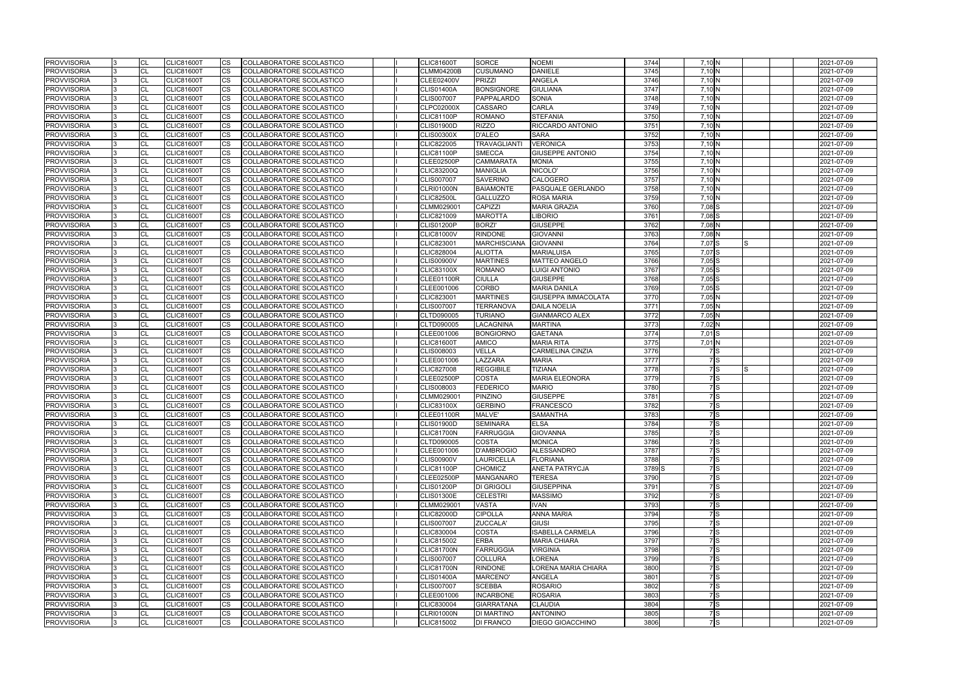| <b>PROVVISORIA</b>                       | CL              | <b>CLIC81600T</b> | CS.       | COLLABORATORE SCOLASTICO                             |  | <b>CLIC81600T</b> | <b>SORCE</b>        | <b>NOEMI</b>            | 3744              | 7,10 N            |  | 2021-07-09               |
|------------------------------------------|-----------------|-------------------|-----------|------------------------------------------------------|--|-------------------|---------------------|-------------------------|-------------------|-------------------|--|--------------------------|
| <b>PROVVISORIA</b>                       | <b>CL</b>       | <b>CLIC81600T</b> | CS        | COLLABORATORE SCOLASTICO                             |  | <b>CLMM04200B</b> | <b>CUSUMANO</b>     | <b>DANIELE</b>          | 3745              | 7,10N             |  | 2021-07-09               |
| <b>PROVVISORIA</b>                       | <b>CL</b>       | <b>CLIC81600T</b> | <b>CS</b> | COLLABORATORE SCOLASTICO                             |  | <b>CLEE02400V</b> | PRIZZI              | <b>ANGELA</b>           | 3746              | 7,10 N            |  | 2021-07-09               |
| <b>PROVVISORIA</b>                       | <b>CL</b>       | <b>CLIC81600T</b> | CS        | COLLABORATORE SCOLASTICO                             |  | <b>CLIS01400A</b> | <b>BONSIGNORE</b>   | <b>GIULIANA</b>         | 3747              | 7,10 N            |  | 2021-07-09               |
| <b>PROVVISORIA</b>                       | <b>CL</b>       | <b>CLIC81600T</b> | CS        | COLLABORATORE SCOLASTICO                             |  | <b>CLIS007007</b> | <b>PAPPALARDO</b>   | <b>SONIA</b>            | 3748              | 7,10 <sub>N</sub> |  | 2021-07-09               |
| <b>PROVVISORIA</b>                       | <b>CL</b>       | <b>CLIC81600T</b> | CS        | COLLABORATORE SCOLASTICO                             |  | <b>CLPC02000X</b> | CASSARO             | CARLA                   | 3749              | 7,10 N            |  | 2021-07-09               |
| <b>PROVVISORIA</b>                       | <b>CL</b>       | <b>CLIC81600T</b> | CS        | COLLABORATORE SCOLASTICO                             |  | <b>CLIC81100P</b> | <b>ROMANO</b>       | <b>STEFANIA</b>         | 3750              | 7,10 N            |  | 2021-07-09               |
| <b>PROVVISORIA</b>                       | CL              | <b>CLIC81600T</b> | <b>CS</b> | COLLABORATORE SCOLASTICO                             |  | <b>CLIS01900D</b> | <b>RIZZO</b>        | RICCARDO ANTONIO        | 3751              | 7,10 N            |  | 2021-07-09               |
| <b>PROVVISORIA</b>                       | <b>CL</b>       | <b>CLIC81600T</b> | CS        | COLLABORATORE SCOLASTICO                             |  | <b>CLIS00300X</b> | <b>D'ALEO</b>       | SARA                    | 3752              | 7,10N             |  | 2021-07-09               |
| <b>PROVVISORIA</b>                       | <b>CL</b>       | <b>CLIC81600T</b> | CS        | <b>COLLABORATORE SCOLASTICO</b>                      |  | <b>CLIC822005</b> | <b>TRAVAGLIANTI</b> | <b>VERONICA</b>         | 3753              | 7,10N             |  | 2021-07-09               |
| <b>PROVVISORIA</b>                       | CL              | <b>CLIC81600T</b> | CS.       | COLLABORATORE SCOLASTICO                             |  | <b>CLIC81100P</b> | <b>SMECCA</b>       | <b>GIUSEPPE ANTONIO</b> | 3754              | 7,10 N            |  | 2021-07-09               |
| <b>PROVVISORIA</b>                       | CL              | <b>CLIC81600T</b> | CS        | COLLABORATORE SCOLASTICO                             |  | <b>CLEE02500P</b> | <b>CAMMARATA</b>    | <b>MONIA</b>            | 3755              | 7,10N             |  | 2021-07-09               |
| <b>PROVVISORIA</b>                       | <b>CL</b>       | <b>CLIC81600T</b> | CS        | COLLABORATORE SCOLASTICO                             |  | <b>CLIC83200Q</b> | <b>MANIGLIA</b>     | NICOLO'                 | 3756              | 7,10N             |  | 2021-07-09               |
| <b>PROVVISORIA</b>                       | <b>CL</b>       | <b>CLIC81600T</b> | <b>CS</b> | COLLABORATORE SCOLASTICO                             |  | <b>CLIS007007</b> | <b>SAVERINO</b>     | <b>CALOGERO</b>         | 3757              | 7,10 N            |  | 2021-07-09               |
| <b>PROVVISORIA</b>                       | <b>CL</b>       | <b>CLIC81600T</b> | CS        | COLLABORATORE SCOLASTICO                             |  | <b>CLRI01000N</b> | <b>BAIAMONTE</b>    | PASQUALE GERLANDO       | 3758              | 7,10 N            |  | 2021-07-09               |
| <b>PROVVISORIA</b>                       | <b>CL</b>       | <b>CLIC81600T</b> | CS        | COLLABORATORE SCOLASTICO                             |  | <b>CLIC82500L</b> | <b>GALLUZZO</b>     | <b>ROSA MARIA</b>       | 3759              | 7,10 <sub>N</sub> |  | 2021-07-09               |
| <b>PROVVISORIA</b>                       | <b>CL</b>       | <b>CLIC81600T</b> | CS        | COLLABORATORE SCOLASTICO                             |  | CLMM029001        | <b>CAPIZZI</b>      | <b>MARIA GRAZIA</b>     | 3760              | $7,08$ S          |  | 2021-07-09               |
| <b>PROVVISORIA</b>                       | <b>CL</b>       | <b>CLIC81600T</b> | CS        | COLLABORATORE SCOLASTICO                             |  | CLIC821009        | <b>MAROTTA</b>      | _IBORIO                 | 3761              | 7,08 S            |  | 2021-07-09               |
| <b>PROVVISORIA</b>                       | CL              | <b>CLIC81600T</b> | CS        | COLLABORATORE SCOLASTICO                             |  | <b>CLIS01200P</b> | <b>BORZI</b>        | <b>GIUSEPPE</b>         | 3762              | $7,08$ N          |  | 2021-07-09               |
| <b>PROVVISORIA</b>                       | <b>CL</b>       | <b>CLIC81600T</b> | <b>CS</b> | COLLABORATORE SCOLASTICO                             |  | <b>CLIC81000V</b> | <b>RINDONE</b>      | <b>GIOVANNI</b>         | 3763              | 7,08 N            |  | 2021-07-09               |
| <b>PROVVISORIA</b>                       | <b>CL</b>       | <b>CLIC81600T</b> | CS        | COLLABORATORE SCOLASTICO                             |  | CLIC823001        | <b>MARCHISCIANA</b> | <b>GIOVANNI</b>         | 3764              | 7,07 S            |  | 2021-07-09               |
| <b>PROVVISORIA</b>                       | CL              | <b>CLIC81600T</b> | CS        | COLLABORATORE SCOLASTICO                             |  | <b>CLIC828004</b> | <b>ALIOTTA</b>      | MARIALUISA              | 3765              | 7,07 S            |  | 2021-07-09               |
| <b>PROVVISORIA</b>                       | <b>CL</b>       | <b>CLIC81600T</b> | CS        | COLLABORATORE SCOLASTICO                             |  | <b>CLIS00900V</b> | <b>MARTINES</b>     | <b>MATTEO ANGELO</b>    | 3766              | $7,05$ S          |  | 2021-07-09               |
| <b>PROVVISORIA</b>                       | <b>CL</b>       | <b>CLIC81600T</b> | CS        | COLLABORATORE SCOLASTICO                             |  | <b>CLIC83100X</b> | <b>ROMANO</b>       | LUIGI ANTONIO           | 3767              | $7,05$ S          |  | 2021-07-09               |
| <b>PROVVISORIA</b>                       | CL              | <b>CLIC81600T</b> | CS        | COLLABORATORE SCOLASTICO                             |  | <b>CLEE01100R</b> | <b>CIULLA</b>       | <b>GIUSEPPE</b>         | 3768              | $7,05$ S          |  | 2021-07-09               |
| <b>PROVVISORIA</b>                       | <b>CL</b>       | <b>CLIC81600T</b> | <b>CS</b> | COLLABORATORE SCOLASTICO                             |  | CLEE001006        | <b>CORBO</b>        | <b>MARIA DANILA</b>     | 3769              | $7,05$ S          |  | 2021-07-09               |
| <b>PROVVISORIA</b>                       | <b>CL</b>       | <b>CLIC81600T</b> | CS        | COLLABORATORE SCOLASTICO                             |  | CLIC823001        | <b>MARTINES</b>     | GIUSEPPA IMMACOLATA     | 3770              | 7,05 N            |  | 2021-07-09               |
| <b>PROVVISORIA</b>                       | <b>CL</b>       | <b>CLIC81600T</b> | CS        | COLLABORATORE SCOLASTICO                             |  | <b>CLIS007007</b> | <b>TERRANOVA</b>    | <b>DAILA NOELIA</b>     | 3771              | 7,05N             |  | 2021-07-09               |
| <b>PROVVISORIA</b>                       | <b>CL</b>       | <b>CLIC81600T</b> | CS        | COLLABORATORE SCOLASTICO                             |  | CLTD090005        | <b>TURIANO</b>      | <b>GIANMARCO ALEX</b>   | 3772              | 7,05 N            |  | 2021-07-09               |
| <b>PROVVISORIA</b>                       | CL              | <b>CLIC81600T</b> | CS        | COLLABORATORE SCOLASTICO                             |  | CLTD090005        | <b>LACAGNINA</b>    | <b>MARTINA</b>          | 3773              | 7,02N             |  | 2021-07-09               |
| <b>PROVVISORIA</b>                       | CL              | <b>CLIC81600T</b> | CS        | COLLABORATORE SCOLASTICO                             |  | CLEE001006        | <b>BONGIORNO</b>    | <b>GAETANA</b>          | 3774              | 7,01S             |  | 2021-07-09               |
| <b>PROVVISORIA</b>                       | <b>CL</b>       | <b>CLIC81600T</b> | CS        | COLLABORATORE SCOLASTICO                             |  | <b>CLIC81600T</b> | <b>AMICO</b>        | <b>MARIA RITA</b>       | 3775              | $7,01$ N          |  | 2021-07-09               |
| <b>PROVVISORIA</b>                       | CL              | <b>CLIC81600T</b> | <b>CS</b> | COLLABORATORE SCOLASTICO                             |  | CLIS008003        | <b>VELLA</b>        | <b>CARMELINA CINZIA</b> | 3776              | 7ls               |  | 2021-07-09               |
| <b>PROVVISORIA</b>                       | <b>CL</b>       | <b>CLIC81600T</b> | CS        | COLLABORATORE SCOLASTICO                             |  | CLEE001006        | LAZZARA             | <b>MARIA</b>            | 3777              | 7ls               |  | 2021-07-09               |
| <b>PROVVISORIA</b>                       | <b>CL</b>       | <b>CLIC81600T</b> | CS        | COLLABORATORE SCOLASTICO                             |  | <b>CLIC827008</b> | <b>REGGIBILE</b>    | <b>TIZIANA</b>          | 3778              | 7ls               |  | 2021-07-09               |
| <b>PROVVISORIA</b>                       | <b>CL</b>       | <b>CLIC81600T</b> | CS        | COLLABORATORE SCOLASTICO                             |  | <b>CLEE02500P</b> | <b>COSTA</b>        | <b>MARIA ELEONORA</b>   | 3779              | $7$ S             |  | 2021-07-09               |
| <b>PROVVISORIA</b>                       | CL              | <b>CLIC81600T</b> | CS        | COLLABORATORE SCOLASTICO                             |  | CLIS008003        | <b>FEDERICO</b>     | <b>MARIO</b>            | 3780              | 7S                |  | 2021-07-09               |
| <b>PROVVISORIA</b>                       | <b>CL</b>       | <b>CLIC81600T</b> | CS        | COLLABORATORE SCOLASTICO                             |  | CLMM029001        | <b>PINZINO</b>      | <b>GIUSEPPE</b>         | 3781              | 7S                |  | 2021-07-09               |
| <b>PROVVISORIA</b>                       | <b>CL</b>       | <b>CLIC81600T</b> | <b>CS</b> | COLLABORATORE SCOLASTICO                             |  | <b>CLIC83100X</b> | <b>GERBINO</b>      | <b>FRANCESCO</b>        | 3782              | 7S                |  | 2021-07-09               |
| <b>PROVVISORIA</b>                       | <b>CL</b>       | <b>CLIC81600T</b> | CS        | COLLABORATORE SCOLASTICO                             |  | <b>CLEE01100R</b> | MALVE'              | <b>SAMANTHA</b>         | 3783              | 7S                |  | 2021-07-09               |
| <b>PROVVISORIA</b>                       | $\overline{C}$  | CLIC81600T        | <b>CS</b> | COLLABORATORE SCOLASTICO                             |  | <b>CLIS01900D</b> | <b>SEMINARA</b>     | <b>ELSA</b>             | 3784              | 7S                |  | 2021-07-09               |
| <b>PROVVISORIA</b>                       | <b>CL</b>       | <b>CLIC81600T</b> | CS        | COLLABORATORE SCOLASTICO                             |  | <b>CLIC81700N</b> | <b>FARRUGGIA</b>    | <b>GIOVANNA</b>         | 3785              | 7S                |  | 2021-07-09               |
| <b>PROVVISORIA</b>                       | CL              | <b>CLIC81600T</b> | CS        | COLLABORATORE SCOLASTICO                             |  | CLTD090005        | <b>COSTA</b>        | <b>MONICA</b>           | 3786              | 7S                |  | 2021-07-09               |
| <b>PROVVISORIA</b>                       | CL              | <b>CLIC81600T</b> | <b>CS</b> | COLLABORATORE SCOLASTICO                             |  | CLEE001006        | <b>D'AMBROGIO</b>   | <b>ALESSANDRO</b>       | 3787              | 7S                |  | 2021-07-09               |
| <b>PROVVISORIA</b>                       | <b>CL</b>       | <b>CLIC81600T</b> | <b>CS</b> | COLLABORATORE SCOLASTICO                             |  | <b>CLIS00900V</b> | <b>LAURICELLA</b>   | <b>FLORIANA</b>         | 3788              | 7S                |  | 2021-07-09               |
| <b>PROVVISORIA</b>                       | CL              | <b>CLIC81600T</b> | CS.       | COLLABORATORE SCOLASTICO                             |  | <b>CLIC81100P</b> | <b>CHOMICZ</b>      | <b>ANETA PATRYCJA</b>   | 3789 <sub>S</sub> | 7S                |  | 2021-07-09               |
|                                          |                 | <b>CLIC81600T</b> |           | COLLABORATORE SCOLASTICO                             |  | <b>CLEE02500P</b> | <b>MANGANARO</b>    | <b>TERESA</b>           | 3790              | 7S                |  |                          |
| <b>PROVVISORIA</b>                       | CL<br><b>CL</b> | <b>CLIC81600T</b> | CS.<br>CS |                                                      |  | <b>CLIS01200P</b> | <b>DI GRIGOLI</b>   | <b>GIUSEPPINA</b>       |                   | 7S                |  | 2021-07-09<br>2021-07-09 |
| <b>PROVVISORIA</b><br><b>PROVVISORIA</b> | CL              | <b>CLIC81600T</b> |           | COLLABORATORE SCOLASTICO<br>COLLABORATORE SCOLASTICO |  | <b>CLIS01300E</b> | <b>CELESTRI</b>     | <b>MASSIMO</b>          | 3791<br>3792      | 7S                |  | 2021-07-09               |
|                                          |                 |                   | CS        |                                                      |  |                   |                     |                         |                   |                   |  |                          |
| <b>PROVVISORIA</b>                       | CL              | <b>CLIC81600T</b> | CS        | COLLABORATORE SCOLASTICO                             |  | CLMM029001        | <b>VASTA</b>        | IVAN                    | 3793              | 7S                |  | 2021-07-09               |
| <b>PROVVISORIA</b>                       | <b>CL</b>       | <b>CLIC81600T</b> | <b>CS</b> | COLLABORATORE SCOLASTICO                             |  | <b>CLIC82000D</b> | <b>CIPOLLA</b>      | <b>ANNA MARIA</b>       | 3794              | 7S                |  | 2021-07-09               |
| <b>PROVVISORIA</b>                       | CL              | <b>CLIC81600T</b> | <b>CS</b> | COLLABORATORE SCOLASTICO                             |  | <b>CLIS007007</b> | ZUCCALA'            | GIUSI                   | 3795              | 7S                |  | 2021-07-09               |
| <b>PROVVISORIA</b>                       | CL              | <b>CLIC81600T</b> | <b>CS</b> | COLLABORATORE SCOLASTICO                             |  | CLIC830004        | <b>COSTA</b>        | <b>ISABELLA CARMELA</b> | 3796              | 7S                |  | 2021-07-09               |
| <b>PROVVISORIA</b>                       | <b>CL</b>       | <b>CLIC81600T</b> | CS        | COLLABORATORE SCOLASTICO                             |  | CLIC815002        | <b>ERBA</b>         | <b>MARIA CHIARA</b>     | 3797              | 7S                |  | 2021-07-09               |
| <b>PROVVISORIA</b>                       | CL              | <b>CLIC81600T</b> | CS        | COLLABORATORE SCOLASTICO                             |  | <b>CLIC81700N</b> | <b>FARRUGGIA</b>    | VIRGINIA                | 3798              | $7$ S             |  | 2021-07-09               |
| <b>PROVVISORIA</b>                       | <b>CL</b>       | <b>CLIC81600T</b> | CS        | COLLABORATORE SCOLASTICO                             |  | <b>CLIS007007</b> | <b>COLLURA</b>      | LORENA                  | 3799              | 7s                |  | 2021-07-09               |
| <b>PROVVISORIA</b>                       | <b>CL</b>       | <b>CLIC81600T</b> | CS        | COLLABORATORE SCOLASTICO                             |  | <b>CLIC81700N</b> | <b>RINDONE</b>      | LORENA MARIA CHIARA     | 3800              | 7S                |  | 2021-07-09               |
| <b>PROVVISORIA</b>                       | CL              | <b>CLIC81600T</b> | <b>CS</b> | COLLABORATORE SCOLASTICO                             |  | <b>CLIS01400A</b> | MARCENO'            | ANGELA                  | 3801              | 7S                |  | 2021-07-09               |
| <b>PROVVISORIA</b>                       | <b>CL</b>       | <b>CLIC81600T</b> | CS.       | COLLABORATORE SCOLASTICO                             |  | <b>CLIS007007</b> | <b>SCEBBA</b>       | <b>ROSARIO</b>          | 3802              | 7S                |  | 2021-07-09               |
| <b>PROVVISORIA</b>                       | <b>CL</b>       | <b>CLIC81600T</b> | CS        | COLLABORATORE SCOLASTICO                             |  | CLEE001006        | <b>INCARBONE</b>    | <b>ROSARIA</b>          | 3803              | 7S                |  | 2021-07-09               |
| <b>PROVVISORIA</b>                       | <b>CL</b>       | <b>CLIC81600T</b> | CS        | COLLABORATORE SCOLASTICO                             |  | CLIC830004        | <b>GIARRATANA</b>   | <b>CLAUDIA</b>          | 3804              | 7S                |  | 2021-07-09               |
| <b>PROVVISORIA</b>                       | <b>CL</b>       | <b>CLIC81600T</b> | CS        | COLLABORATORE SCOLASTICO                             |  | <b>CLRI01000N</b> | <b>DI MARTINO</b>   | <b>ANTONINO</b>         | 3805              | 7S                |  | 2021-07-09               |
| <b>PROVVISORIA</b>                       | <b>CL</b>       | CLIC81600T        | CS        | COLLABORATORE SCOLASTICO                             |  | CLIC815002        | <b>DI FRANCO</b>    | <b>DIEGO GIOACCHINO</b> | 3806              | 7S                |  | 2021-07-09               |

|   |  | 2021-07-09               |
|---|--|--------------------------|
|   |  | 2021-07-09               |
|   |  | 2021-07-09               |
|   |  | 2021-07-09               |
|   |  | 2021-07-09               |
|   |  | 2021-07-09               |
|   |  |                          |
|   |  | 2021-07-09               |
|   |  | 2021-07-09               |
|   |  | 2021-07-09               |
|   |  | 2021-07-09               |
|   |  | 2021-07-09               |
|   |  | 2021-07-09               |
|   |  | 2021-07-09               |
|   |  | 2021-07-09               |
|   |  | 2021-07-09               |
|   |  | 2021-07-09               |
|   |  | 2021-07-09               |
|   |  | 2021-07-09               |
|   |  | 2021-07-09               |
|   |  | 2021-07-09               |
|   |  |                          |
| S |  | 2021-07-09               |
|   |  | 2021-07-09               |
|   |  | 2021-07-09               |
|   |  | 2021-07-09               |
|   |  | 2021-07-09               |
|   |  | 2021-07-09               |
|   |  | 2021-07-09               |
|   |  | 2021-07-09               |
|   |  | 2021-07-09               |
|   |  | 2021-07-09               |
|   |  | 2021-07-09               |
|   |  |                          |
|   |  | 2021-07-09               |
|   |  | 2021-07-09               |
|   |  | 2021-07-09               |
| S |  | 2021-07-09               |
|   |  | 2021-07-09               |
|   |  | 2021-07-09               |
|   |  | 2021-07-09               |
|   |  | 2021-07-09               |
|   |  | 2021-07-09               |
|   |  | 2021-07-09               |
|   |  | 2021-07-09               |
|   |  | 2021-07-09               |
|   |  | 2021-07-09               |
|   |  | 2021-07-09               |
|   |  | 2021-07-09               |
|   |  | 2021-07-09               |
|   |  |                          |
|   |  | 2021-07-09               |
|   |  | 2021-07-09               |
|   |  | 2021-07-09               |
|   |  | 2021-07-09               |
|   |  | 2021-07-09               |
|   |  | 2021-07-09               |
|   |  | 2021-07-09               |
|   |  | 2021-07-09               |
|   |  | 2021-07-09               |
|   |  | 2021-07-09               |
|   |  | 2021-07-09               |
|   |  | 2021-07-09               |
|   |  | 2021-07-09               |
|   |  |                          |
|   |  | 2021-07-09               |
|   |  |                          |
|   |  | 2021-07-09<br>2021-07-09 |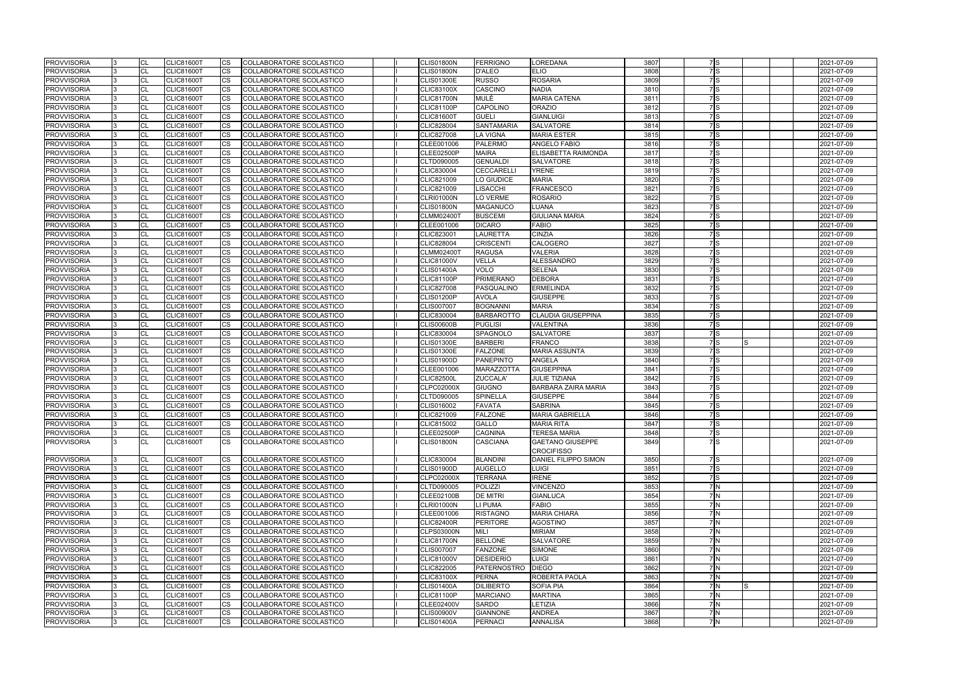| <b>PROVVISORIA</b> | <b>CL</b>      | <b>CLIC81600T</b> | <b>CS</b> | COLLABORATORE SCOLASTICO        |  | <b>CLIS01800N</b> | FERRIGNO           | <b>LOREDANA</b>            | 3807 | 7 S              | 2021-07-09 |
|--------------------|----------------|-------------------|-----------|---------------------------------|--|-------------------|--------------------|----------------------------|------|------------------|------------|
| <b>PROVVISORIA</b> | <b>CL</b>      | <b>CLIC81600T</b> | <b>CS</b> | <b>COLLABORATORE SCOLASTICO</b> |  | <b>CLIS01800N</b> | <b>D'ALEO</b>      | <b>ELIO</b>                | 3808 | 7ls              | 2021-07-09 |
| <b>PROVVISORIA</b> | CL             | <b>CLIC81600T</b> | CS        | COLLABORATORE SCOLASTICO        |  | <b>CLIS01300E</b> | <b>RUSSO</b>       | <b>ROSARIA</b>             | 3809 | 7ls              | 2021-07-09 |
| <b>PROVVISORIA</b> | <b>CL</b>      | <b>CLIC81600T</b> | CS        | COLLABORATORE SCOLASTICO        |  | <b>CLIC83100X</b> | <b>CASCINO</b>     | NADIA                      | 3810 | 7S               | 2021-07-09 |
| <b>PROVVISORIA</b> | <b>CL</b>      | <b>CLIC81600T</b> | CS        | COLLABORATORE SCOLASTICO        |  | <b>CLIC81700N</b> | MULÈ               | <b>MARIA CATENA</b>        | 3811 | 7S               | 2021-07-09 |
| <b>PROVVISORIA</b> | CL             | <b>CLIC81600T</b> | CS        | COLLABORATORE SCOLASTICO        |  | <b>CLIC81100P</b> | <b>CAPOLINO</b>    | ORAZIO                     | 3812 | 7S               | 2021-07-09 |
| <b>PROVVISORIA</b> | <b>CL</b>      | <b>CLIC81600T</b> | CS        | COLLABORATORE SCOLASTICO        |  | <b>CLIC81600T</b> | <b>GUELI</b>       | <b>GIANLUIGI</b>           | 3813 | 7ls              | 2021-07-09 |
| <b>PROVVISORIA</b> | CL             | <b>CLIC81600T</b> | CS.       | COLLABORATORE SCOLASTICO        |  | <b>CLIC828004</b> | <b>SANTAMARIA</b>  | <b>SALVATORE</b>           | 3814 | 7S               | 2021-07-09 |
| <b>PROVVISORIA</b> | CL             | <b>CLIC81600T</b> | CS.       | COLLABORATORE SCOLASTICO        |  | <b>CLIC827008</b> | <b>LA VIGNA</b>    | <b>MARIA ESTER</b>         | 3815 | 7S               | 2021-07-09 |
| <b>PROVVISORIA</b> | <b>CL</b>      | <b>CLIC81600T</b> | CS        | COLLABORATORE SCOLASTICO        |  | CLEE001006        | <b>PALERMO</b>     | <b>ANGELO FABIO</b>        | 3816 | 7ls              | 2021-07-09 |
| <b>PROVVISORIA</b> | СL             | <b>CLIC81600T</b> | CS        | COLLABORATORE SCOLASTICO        |  | <b>CLEE02500P</b> | <b>MAIRA</b>       | ELISABETTA RAIMONDA        | 3817 | $7$ S            | 2021-07-09 |
| <b>PROVVISORIA</b> | <b>CL</b>      | <b>CLIC81600T</b> | CS        | COLLABORATORE SCOLASTICO        |  | CLTD090005        | <b>GENUALDI</b>    | <b>SALVATORE</b>           | 3818 | $\overline{7}$ S | 2021-07-09 |
| <b>PROVVISORIA</b> | CL             | <b>CLIC81600T</b> | <b>CS</b> | COLLABORATORE SCOLASTICO        |  | CLIC830004        | <b>CECCARELLI</b>  | <b>YRENE</b>               | 3819 | 7S               | 2021-07-09 |
| <b>PROVVISORIA</b> | <b>CL</b>      | <b>CLIC81600T</b> | CS        | COLLABORATORE SCOLASTICO        |  | CLIC821009        | LO GIUDICE         | <b>MARIA</b>               | 3820 | 7ls              | 2021-07-09 |
| <b>PROVVISORIA</b> | <b>CL</b>      | <b>CLIC81600T</b> | CS        | COLLABORATORE SCOLASTICO        |  | CLIC821009        | <b>LISACCHI</b>    | <b>FRANCESCO</b>           | 3821 | 7S               | 2021-07-09 |
| <b>PROVVISORIA</b> | <b>CL</b>      | <b>CLIC81600T</b> | CS        | COLLABORATORE SCOLASTICO        |  | <b>CLRI01000N</b> | LO VERME           | <b>ROSARIO</b>             | 3822 | 7S               | 2021-07-09 |
| <b>PROVVISORIA</b> | CL             | <b>CLIC81600T</b> | CS        | COLLABORATORE SCOLASTICO        |  | <b>CLIS01800N</b> | <b>MAGANUCO</b>    | LUANA                      | 3823 | $7$ S            | 2021-07-09 |
| <b>PROVVISORIA</b> | CL             | <b>CLIC81600T</b> | CS        | COLLABORATORE SCOLASTICO        |  | <b>CLMM02400T</b> | <b>BUSCEMI</b>     | <b>GIULIANA MARIA</b>      | 3824 | 7S               | 2021-07-09 |
| <b>PROVVISORIA</b> | <b>CL</b>      | <b>CLIC81600T</b> | CS        | COLLABORATORE SCOLASTICO        |  | CLEE001006        | <b>DICARO</b>      | <b>FABIO</b>               | 3825 | 7S               | 2021-07-09 |
| <b>PROVVISORIA</b> | CL             | <b>CLIC81600T</b> | <b>CS</b> | COLLABORATORE SCOLASTICO        |  | CLIC823001        | <b>LAURETTA</b>    | <b>CINZIA</b>              | 3826 | 7S               | 2021-07-09 |
| <b>PROVVISORIA</b> | <b>CL</b>      | <b>CLIC81600T</b> | CS        | COLLABORATORE SCOLASTICO        |  | <b>CLIC828004</b> | <b>CRISCENTI</b>   | <b>CALOGERO</b>            | 3827 | 7S               | 2021-07-09 |
| <b>PROVVISORIA</b> | CL             | <b>CLIC81600T</b> | CS        | COLLABORATORE SCOLASTICO        |  | <b>CLMM02400T</b> | <b>RAGUSA</b>      | VALERIA                    | 3828 | 7ls              | 2021-07-09 |
| <b>PROVVISORIA</b> | CL             | <b>CLIC81600T</b> | CS        | COLLABORATORE SCOLASTICO        |  | <b>CLIC81000V</b> | <b>VELLA</b>       | <b>ALESSANDRO</b>          | 3829 | 7ls              | 2021-07-09 |
| <b>PROVVISORIA</b> | CL             | <b>CLIC81600T</b> | CS        | COLLABORATORE SCOLASTICO        |  | <b>CLIS01400A</b> | <b>VOLO</b>        | <b>SELENA</b>              | 3830 | 7ls              | 2021-07-09 |
| <b>PROVVISORIA</b> | CL             | <b>CLIC81600T</b> | СS        | COLLABORATORE SCOLASTICO        |  | <b>CLIC81100P</b> | <b>PRIMERANO</b>   | <b>DEBORA</b>              | 3831 | 7S               | 2021-07-09 |
| <b>PROVVISORIA</b> | <b>CL</b>      | <b>CLIC81600T</b> | <b>CS</b> | COLLABORATORE SCOLASTICO        |  | <b>CLIC827008</b> | PASQUALINO         | <b>ERMELINDA</b>           | 3832 | 7S               | 2021-07-09 |
| <b>PROVVISORIA</b> | <b>CL</b>      | <b>CLIC81600T</b> | CS        | COLLABORATORE SCOLASTICO        |  | <b>CLIS01200P</b> | <b>AVOLA</b>       | <b>GIUSEPPE</b>            | 3833 | 7ls              | 2021-07-09 |
| <b>PROVVISORIA</b> | <b>CL</b>      | <b>CLIC81600T</b> | CS        | COLLABORATORE SCOLASTICO        |  | <b>CLIS007007</b> | <b>BOGNANNI</b>    | <b>MARIA</b>               | 3834 | 7ls              | 2021-07-09 |
| <b>PROVVISORIA</b> | <b>CL</b>      | <b>CLIC81600T</b> | CS        | COLLABORATORE SCOLASTICO        |  | CLIC830004        | <b>BARBAROTTO</b>  | <b>CLAUDIA GIUSEPPINA</b>  | 3835 | 7S               | 2021-07-09 |
| <b>PROVVISORIA</b> | <b>CL</b>      | <b>CLIC81600T</b> | CS        | COLLABORATORE SCOLASTICO        |  | <b>CLIS00600B</b> | <b>PUGLISI</b>     | VALENTINA                  | 3836 | 7ls              | 2021-07-09 |
| <b>PROVVISORIA</b> | CL             | <b>CLIC81600T</b> | CS        | COLLABORATORE SCOLASTICO        |  | CLIC830004        | <b>SPAGNOLO</b>    | SALVATORE                  | 3837 | 7S               | 2021-07-09 |
| <b>PROVVISORIA</b> | CL             | <b>CLIC81600T</b> | <b>CS</b> | COLLABORATORE SCOLASTICO        |  | <b>CLIS01300E</b> | <b>BARBERI</b>     | <b>FRANCO</b>              | 3838 | 7ls              | 2021-07-09 |
| <b>PROVVISORIA</b> | CL             | <b>CLIC81600T</b> | CS        | COLLABORATORE SCOLASTICO        |  | <b>CLIS01300E</b> | <b>FALZONE</b>     | <b>MARIA ASSUNTA</b>       | 3839 | 7S               | 2021-07-09 |
| <b>PROVVISORIA</b> | CL             | <b>CLIC81600T</b> | CS        | COLLABORATORE SCOLASTICO        |  | <b>CLIS01900D</b> | <b>PANEPINTO</b>   | <b>ANGELA</b>              | 3840 | 7ls              | 2021-07-09 |
| <b>PROVVISORIA</b> | <b>CL</b>      | <b>CLIC81600T</b> | CS        | COLLABORATORE SCOLASTICO        |  | CLEE001006        | MARAZZOTTA         | <b>GIUSEPPINA</b>          | 3841 | 7ls              | 2021-07-09 |
| <b>PROVVISORIA</b> | CL             | <b>CLIC81600T</b> | CS        | COLLABORATORE SCOLASTICO        |  | <b>CLIC82500L</b> | ZUCCALA'           | JULIE TIZIANA              | 3842 | 7S               | 2021-07-09 |
| <b>PROVVISORIA</b> | <b>CL</b>      | <b>CLIC81600T</b> | CS        | COLLABORATORE SCOLASTICO        |  | <b>CLPC02000X</b> | <b>GIUGNO</b>      | <b>BARBARA ZAIRA MARIA</b> | 3843 | $\overline{7}$ S | 2021-07-09 |
| <b>PROVVISORIA</b> | <b>CL</b>      | <b>CLIC81600T</b> | CS        | COLLABORATORE SCOLASTICO        |  | CLTD090005        | <b>SPINELLA</b>    | <b>GIUSEPPE</b>            | 3844 | 7S               | 2021-07-09 |
| <b>PROVVISORIA</b> | CL             | <b>CLIC81600T</b> | <b>CS</b> | COLLABORATORE SCOLASTICO        |  | CLIS016002        | <b>FAVATA</b>      | <b>SABRINA</b>             | 3845 | 7S               | 2021-07-09 |
| <b>PROVVISORIA</b> | <b>CL</b>      | <b>CLIC81600T</b> | CS        | COLLABORATORE SCOLASTICO        |  | CLIC821009        | <b>FALZONE</b>     | <b>MARIA GABRIELLA</b>     | 3846 | 7S               | 2021-07-09 |
| <b>PROVVISORIA</b> | $\overline{C}$ | <b>CLIC81600T</b> | <b>CS</b> | <b>COLLABORATORE SCOLASTICO</b> |  | CLIC815002        | <b>GALLO</b>       | <b>MARIA RITA</b>          | 3847 | 7ls              | 2021-07-09 |
| <b>PROVVISORIA</b> | <b>CL</b>      | <b>CLIC81600T</b> | CS        | COLLABORATORE SCOLASTICO        |  | CLEE02500P        | <b>CAGNINA</b>     | <b>TERESA MARIA</b>        | 3848 | $7$ S            | 2021-07-09 |
| <b>PROVVISORIA</b> | <b>CL</b>      | <b>CLIC81600T</b> | <b>CS</b> | COLLABORATORE SCOLASTICO        |  | <b>CLIS01800N</b> | <b>CASCIANA</b>    | GAETANO GIUSEPPE           | 3849 | 7S               | 2021-07-09 |
|                    |                |                   |           |                                 |  |                   |                    | <b>CROCIFISSO</b>          |      |                  |            |
| <b>PROVVISORIA</b> | CL             | <b>CLIC81600T</b> | <b>CS</b> | COLLABORATORE SCOLASTICO        |  | CLIC830004        | <b>BLANDINI</b>    | DANIEL FILIPPO SIMON       | 3850 | 7S               | 2021-07-09 |
| <b>PROVVISORIA</b> | <b>CL</b>      | <b>CLIC81600T</b> | <b>CS</b> | COLLABORATORE SCOLASTICO        |  | <b>CLIS01900D</b> | <b>AUGELLO</b>     | LUIGI                      | 3851 | 7S               | 2021-07-09 |
| <b>PROVVISORIA</b> | <b>CL</b>      | <b>CLIC81600T</b> | CS        | COLLABORATORE SCOLASTICO        |  | <b>CLPC02000X</b> | <b>TERRANA</b>     | <b>IRENE</b>               | 3852 | 7S               | 2021-07-09 |
| <b>PROVVISORIA</b> | CL             | CLIC81600T        | CS        | COLLABORATORE SCOLASTICO        |  | CLTD090005        | POLIZZI            | <b>VINCENZO</b>            | 3853 | 7 N              | 2021-07-09 |
| <b>PROVVISORIA</b> | <b>CL</b>      | <b>CLIC81600T</b> | CS.       | COLLABORATORE SCOLASTICO        |  | CLEE02100B        | <b>DE MITRI</b>    | <b>GIANLUCA</b>            | 3854 | 7N               | 2021-07-09 |
| <b>PROVVISORIA</b> | <b>CL</b>      | <b>CLIC81600T</b> | CS        | COLLABORATORE SCOLASTICO        |  | <b>CLRI01000N</b> | LI PUMA            | <b>FABIO</b>               | 3855 | 7 N              | 2021-07-09 |
| <b>PROVVISORIA</b> | <b>CL</b>      | <b>CLIC81600T</b> | <b>CS</b> | COLLABORATORE SCOLASTICO        |  | CLEE001006        | <b>RISTAGNO</b>    | <b>MARIA CHIARA</b>        | 3856 | 7N               | 2021-07-09 |
| <b>PROVVISORIA</b> | <b>CL</b>      | <b>CLIC81600T</b> | CS.       | COLLABORATORE SCOLASTICO        |  | <b>CLIC82400R</b> | <b>PERITORE</b>    | <b>AGOSTINO</b>            | 3857 | 7 N              | 2021-07-09 |
| <b>PROVVISORIA</b> | <b>CL</b>      | <b>CLIC81600T</b> | CS        | COLLABORATORE SCOLASTICO        |  | <b>CLPS03000N</b> | <b>MILI</b>        | <b>MIRIAM</b>              | 3858 | 7 N              | 2021-07-09 |
| <b>PROVVISORIA</b> | <b>CL</b>      | <b>CLIC81600T</b> | CS        | COLLABORATORE SCOLASTICO        |  | <b>CLIC81700N</b> | <b>BELLONE</b>     | <b>SALVATORE</b>           | 3859 | 7 N              | 2021-07-09 |
| <b>PROVVISORIA</b> | CL             | <b>CLIC81600T</b> | CS        | COLLABORATORE SCOLASTICO        |  | <b>CLIS007007</b> | <b>FANZONE</b>     | SIMONE                     | 3860 | 7N               | 2021-07-09 |
| <b>PROVVISORIA</b> | CL             | CLIC81600T        | CS        | COLLABORATORE SCOLASTICO        |  | <b>CLIC81000V</b> | <b>DESIDERIO</b>   | LUIGI                      | 3861 | 7N               | 2021-07-09 |
| <b>PROVVISORIA</b> | <b>CL</b>      | <b>CLIC81600T</b> | <b>CS</b> | COLLABORATORE SCOLASTICO        |  | <b>CLIC822005</b> | <b>PATERNOSTRO</b> | <b>DIEGO</b>               | 3862 | 7N               | 2021-07-09 |
| <b>PROVVISORIA</b> | CL             | <b>CLIC81600T</b> | CS.       | COLLABORATORE SCOLASTICO        |  | <b>CLIC83100X</b> | <b>PERNA</b>       | ROBERTA PAOLA              | 3863 | 7N               | 2021-07-09 |
| <b>PROVVISORIA</b> | CL             | <b>CLIC81600T</b> | CS.       | COLLABORATORE SCOLASTICO        |  | <b>CLIS01400A</b> | <b>DILIBERTO</b>   | <b>SOFIA PIA</b>           | 3864 | 7N               | 2021-07-09 |
| <b>PROVVISORIA</b> | <b>CL</b>      | <b>CLIC81600T</b> | CS        | COLLABORATORE SCOLASTICO        |  | <b>CLIC81100P</b> | <b>MARCIANO</b>    | <b>MARTINA</b>             | 3865 | 7N               | 2021-07-09 |
| <b>PROVVISORIA</b> | CL             | <b>CLIC81600T</b> | CS        | COLLABORATORE SCOLASTICO        |  | CLEE02400V        | <b>SARDO</b>       | LETIZIA                    | 3866 | 7 N              | 2021-07-09 |
|                    |                |                   | <b>CS</b> |                                 |  |                   | <b>GIANNONE</b>    | <b>ANDREA</b>              |      | 7 N              |            |
| <b>PROVVISORIA</b> | <b>CL</b>      | <b>CLIC81600T</b> |           | COLLABORATORE SCOLASTICO        |  | <b>CLIS00900V</b> |                    |                            | 3867 |                  | 2021-07-09 |
| <b>PROVVISORIA</b> | <b>CL</b>      | <b>CLIC81600T</b> | <b>CS</b> | COLLABORATORE SCOLASTICO        |  | <b>CLIS01400A</b> | <b>PERNACI</b>     | <b>ANNALISA</b>            | 3868 | 7 N              | 2021-07-09 |

| 3807              |                | 7S                      |   |  | 2021-07-09 |
|-------------------|----------------|-------------------------|---|--|------------|
| 3808              | 7              | $\overline{\mathsf{s}}$ |   |  | 2021-07-09 |
| 3809              | 7              | ls                      |   |  | 2021-07-09 |
| $\overline{38}10$ | 7              | S                       |   |  | 2021-07-09 |
| 3811              | 7              | S                       |   |  | 2021-07-09 |
| 3812              | 7              | S                       |   |  | 2021-07-09 |
|                   |                |                         |   |  |            |
| 3813              | 7              | S                       |   |  | 2021-07-09 |
| 3814              | 7              | S                       |   |  | 2021-07-09 |
| 3815              | 7              | <sub>S</sub>            |   |  | 2021-07-09 |
| $\overline{3}816$ | 7              | S                       |   |  | 2021-07-09 |
| 3817              | 7              | S                       |   |  | 2021-07-09 |
| 3818              | 7              | $\mathsf{s}$            |   |  | 2021-07-09 |
| 3819              | 7              | S                       |   |  | 2021-07-09 |
| 3820              | 7              | $\overline{s}$          |   |  | 2021-07-09 |
| 3821              | 7              | S                       |   |  | 2021-07-09 |
| 3822              | 7              | S                       |   |  | 2021-07-09 |
| 3823              | 7              | S                       |   |  | 2021-07-09 |
|                   |                |                         |   |  |            |
| 3824              | 7              | S                       |   |  | 2021-07-09 |
| 3825              | 7              | S                       |   |  | 2021-07-09 |
| 3826              | 7              | $\overline{s}$          |   |  | 2021-07-09 |
| 3827              | 7              | $\overline{s}$          |   |  | 2021-07-09 |
| 3828              | $\overline{7}$ | <sub>S</sub>            |   |  | 2021-07-09 |
| 3829              | 7              | S                       |   |  | 2021-07-09 |
| 3830              | 7              | S                       |   |  | 2021-07-09 |
| 3831              | 7              | S                       |   |  | 2021-07-09 |
| 3832              | 7              | S                       |   |  | 2021-07-09 |
| 3833              | 7              | $\overline{s}$          |   |  | 2021-07-09 |
|                   |                |                         |   |  |            |
| 3834              | 7              | S                       |   |  | 2021-07-09 |
| 3835              | 7              | S                       |   |  | 2021-07-09 |
| 3836              | 7              | $\overline{s}$          |   |  | 2021-07-09 |
| 3837              | 7              | S                       |   |  | 2021-07-09 |
| 3838              | 7              | S                       | S |  | 2021-07-09 |
| 3839              | $\overline{7}$ | S                       |   |  | 2021-07-09 |
| 3840              | 7              | S                       |   |  | 2021-07-09 |
| 3841              | 7              | S                       |   |  | 2021-07-09 |
| 3842              | 7              | S                       |   |  | 2021-07-09 |
| 3843              | 7              | S                       |   |  | 2021-07-09 |
| 3844              | 7              | $\mathsf{s}$            |   |  | 2021-07-09 |
| 3845              | 7              | $\overline{s}$          |   |  | 2021-07-09 |
|                   |                |                         |   |  |            |
| 3846              | 7              | S                       |   |  | 2021-07-09 |
| $\overline{3847}$ | 7              | S                       |   |  | 2021-07-09 |
| 3848              | 7              | S                       |   |  | 2021-07-09 |
| 3849              | 7              | S                       |   |  | 2021-07-09 |
|                   |                |                         |   |  |            |
| 3850              | 7              | lS                      |   |  | 2021-07-09 |
| 3851              | 7              | ls                      |   |  | 2021-07-09 |
| 3852              | 7              | ls                      |   |  | 2021-07-09 |
| 3853              | 7              | N                       |   |  | 2021-07-09 |
| 3854              | 7              | N                       |   |  | 2021-07-09 |
| 3855              | 7              | N                       |   |  | 2021-07-09 |
| 3856              | 7              | N                       |   |  |            |
|                   |                | $\mathsf{N}$            |   |  | 2021-07-09 |
| 3857              | 7              |                         |   |  | 2021-07-09 |
| 3858              |                | 7 N                     |   |  | 2021-07-09 |
| 3859              | 7              | N                       |   |  | 2021-07-09 |
| 3860              | 7              | ${\sf N}$               |   |  | 2021-07-09 |
| 3861              | 7              | N                       |   |  | 2021-07-09 |
| 3862              | 7              | N                       |   |  | 2021-07-09 |
| 3863              | 7              | N                       |   |  | 2021-07-09 |
| 3864              | 7              | N                       | S |  | 2021-07-09 |
| 3865              | 7              | N                       |   |  | 2021-07-09 |
| 3866              | 7              | $\mathsf{N}$            |   |  | 2021-07-09 |
| 3867              | 7              | ${\sf N}$               |   |  | 2021-07-09 |
|                   |                |                         |   |  |            |
| 3868              | 7              | $\mathsf{N}$            |   |  | 2021-07-09 |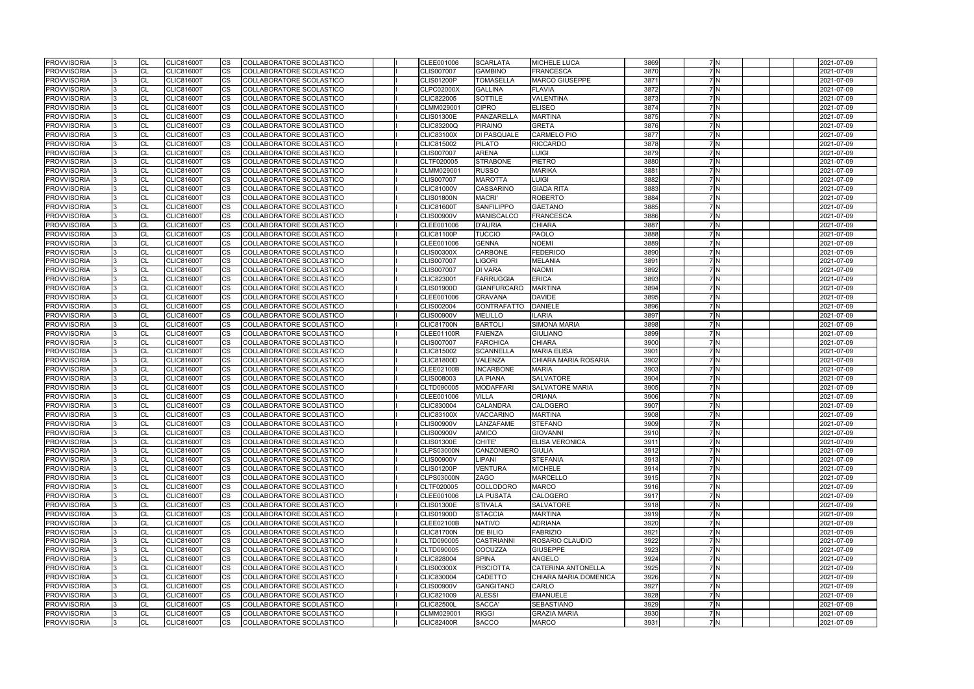| <b>PROVVISORIA</b> | <b>CL</b>      | <b>CLIC81600T</b> | <b>CS</b> | COLLABORATORE SCOLASTICO        |  | CLEE001006        | <b>SCARLATA</b>    | <b>MICHELE LUCA</b>   | 3869 | 7 N              | 2021-07-09 |
|--------------------|----------------|-------------------|-----------|---------------------------------|--|-------------------|--------------------|-----------------------|------|------------------|------------|
| <b>PROVVISORIA</b> | <b>CL</b>      | <b>CLIC81600T</b> | <b>CS</b> | COLLABORATORE SCOLASTICO        |  | <b>CLIS007007</b> | <b>GAMBINO</b>     | <b>FRANCESCA</b>      | 3870 | <b>7N</b>        | 2021-07-09 |
| <b>PROVVISORIA</b> | CL             | <b>CLIC81600T</b> | CS        | COLLABORATORE SCOLASTICO        |  | <b>CLIS01200P</b> | <b>TOMASELLA</b>   | <b>MARCO GIUSEPPE</b> | 3871 | 7N               | 2021-07-09 |
| <b>PROVVISORIA</b> | <b>CL</b>      | <b>CLIC81600T</b> | CS        | COLLABORATORE SCOLASTICO        |  | <b>CLPC02000X</b> | <b>GALLINA</b>     | <b>FLAVIA</b>         | 3872 | 7N               | 2021-07-09 |
| <b>PROVVISORIA</b> | <b>CL</b>      | <b>CLIC81600T</b> | CS        | COLLABORATORE SCOLASTICO        |  | CLIC822005        | <b>SOTTILE</b>     | <b>VALENTINA</b>      | 3873 | <b>7N</b>        | 2021-07-09 |
| <b>PROVVISORIA</b> | CL             | <b>CLIC81600T</b> | CS        | COLLABORATORE SCOLASTICO        |  | CLMM029001        | <b>CIPRO</b>       | <b>ELISEO</b>         | 3874 | 7N               | 2021-07-09 |
| <b>PROVVISORIA</b> | <b>CL</b>      | <b>CLIC81600T</b> | CS        | COLLABORATORE SCOLASTICO        |  | <b>CLIS01300E</b> | PANZARELLA         | <b>MARTINA</b>        | 3875 | 7N               | 2021-07-09 |
| <b>PROVVISORIA</b> | CL             | <b>CLIC81600T</b> | CS        | COLLABORATORE SCOLASTICO        |  | <b>CLIC83200Q</b> | <b>PIRAINO</b>     | <b>GRETA</b>          | 3876 | 7 N              | 2021-07-09 |
| <b>PROVVISORIA</b> | CL             | <b>CLIC81600T</b> | CS        | COLLABORATORE SCOLASTICO        |  | <b>CLIC83100X</b> | <b>DI PASQUALE</b> | <b>CARMELO PIO</b>    | 3877 | 7N               | 2021-07-09 |
| <b>PROVVISORIA</b> | <b>CL</b>      | <b>CLIC81600T</b> | CS        | COLLABORATORE SCOLASTICO        |  | CLIC815002        | <b>PILATO</b>      | <b>RICCARDO</b>       | 3878 | 7M               | 2021-07-09 |
| <b>PROVVISORIA</b> | CL             | <b>CLIC81600T</b> | CS        | COLLABORATORE SCOLASTICO        |  | <b>CLIS007007</b> | <b>ARENA</b>       | <b>LUIGI</b>          | 3879 | 7M               | 2021-07-09 |
| <b>PROVVISORIA</b> | <b>CL</b>      | <b>CLIC81600T</b> | CS        | COLLABORATORE SCOLASTICO        |  | CLTF020005        | <b>STRABONE</b>    | <b>PIETRO</b>         | 3880 | 7N               | 2021-07-09 |
| <b>PROVVISORIA</b> | <b>CL</b>      | <b>CLIC81600T</b> | <b>CS</b> | COLLABORATORE SCOLASTICO        |  | CLMM029001        | <b>RUSSO</b>       | <b>MARIKA</b>         | 3881 | 7 N              | 2021-07-09 |
| <b>PROVVISORIA</b> | <b>CL</b>      | <b>CLIC81600T</b> | <b>CS</b> | COLLABORATORE SCOLASTICO        |  | <b>CLIS007007</b> | <b>MAROTTA</b>     | <b>LUIGI</b>          | 3882 | 7N               | 2021-07-09 |
| <b>PROVVISORIA</b> | <b>CL</b>      | <b>CLIC81600T</b> | CS        | COLLABORATORE SCOLASTICO        |  | <b>CLIC81000V</b> | <b>CASSARINO</b>   | <b>GIADA RITA</b>     | 3883 | 7N               | 2021-07-09 |
| <b>PROVVISORIA</b> | <b>CL</b>      | <b>CLIC81600T</b> | CS        | COLLABORATORE SCOLASTICO        |  | <b>CLIS01800N</b> | <b>MACRI</b>       | <b>ROBERTO</b>        | 3884 | <b>7N</b>        | 2021-07-09 |
| <b>PROVVISORIA</b> | CL             | <b>CLIC81600T</b> | CS        | COLLABORATORE SCOLASTICO        |  | <b>CLIC81600T</b> | <b>SANFILIPPO</b>  | <b>GAETANO</b>        | 3885 | 7M               | 2021-07-09 |
| <b>PROVVISORIA</b> | <b>CL</b>      | <b>CLIC81600T</b> | CS        | COLLABORATORE SCOLASTICO        |  | <b>CLIS00900V</b> | <b>MANISCALCO</b>  | <b>FRANCESCA</b>      | 3886 | 7N               | 2021-07-09 |
| <b>PROVVISORIA</b> | <b>CL</b>      | <b>CLIC81600T</b> | CS        | COLLABORATORE SCOLASTICO        |  | CLEE001006        | <b>D'AURIA</b>     | <b>CHIARA</b>         | 3887 | 7N               | 2021-07-09 |
| <b>PROVVISORIA</b> | CL             | <b>CLIC81600T</b> | <b>CS</b> | COLLABORATORE SCOLASTICO        |  | <b>CLIC81100P</b> | <b>TUCCIO</b>      | <b>PAOLO</b>          | 3888 | 7N               | 2021-07-09 |
| <b>PROVVISORIA</b> | <b>CL</b>      | <b>CLIC81600T</b> | CS        | COLLABORATORE SCOLASTICO        |  | CLEE001006        | <b>GENNA</b>       | <b>NOEMI</b>          | 3889 | <b>7N</b>        | 2021-07-09 |
| <b>PROVVISORIA</b> | <b>CL</b>      | <b>CLIC81600T</b> | CS        | COLLABORATORE SCOLASTICO        |  | <b>CLIS00300X</b> | <b>CARBONE</b>     | <b>FEDERICO</b>       | 3890 | 7N               | 2021-07-09 |
| <b>PROVVISORIA</b> | <b>CL</b>      | <b>CLIC81600T</b> | CS        | COLLABORATORE SCOLASTICO        |  | <b>CLIS007007</b> | <b>LIGORI</b>      | <b>MELANIA</b>        | 3891 | 7N               | 2021-07-09 |
| <b>PROVVISORIA</b> | <b>CL</b>      | <b>CLIC81600T</b> | CS        | COLLABORATORE SCOLASTICO        |  | <b>CLIS007007</b> | <b>DI VARA</b>     | <b>NAOMI</b>          | 3892 | <b>7N</b>        | 2021-07-09 |
| <b>PROVVISORIA</b> | CL             | <b>CLIC81600T</b> | СS        | COLLABORATORE SCOLASTICO        |  | CLIC823001        | <b>FARRUGGIA</b>   | <b>ERICA</b>          | 3893 | 7N               | 2021-07-09 |
|                    | <b>CL</b>      | <b>CLIC81600T</b> |           |                                 |  |                   | <b>GIANFURCARO</b> |                       | 3894 | 7 N              |            |
| <b>PROVVISORIA</b> |                |                   | <b>CS</b> | COLLABORATORE SCOLASTICO        |  | <b>CLIS01900D</b> |                    | <b>MARTINA</b>        |      | <b>7N</b>        | 2021-07-09 |
| <b>PROVVISORIA</b> | <b>CL</b>      | <b>CLIC81600T</b> | CS        | COLLABORATORE SCOLASTICO        |  | CLEE001006        | <b>CRAVANA</b>     | <b>DAVIDE</b>         | 3895 |                  | 2021-07-09 |
| <b>PROVVISORIA</b> | <b>CL</b>      | <b>CLIC81600T</b> | CS        | COLLABORATORE SCOLASTICO        |  | CLIS002004        | <b>CONTRAFATTO</b> | <b>DANIELE</b>        | 3896 | 7N               | 2021-07-09 |
| <b>PROVVISORIA</b> | <b>CL</b>      | <b>CLIC81600T</b> | CS        | COLLABORATORE SCOLASTICO        |  | <b>CLIS00900V</b> | <b>MELILLO</b>     | <b>ILARIA</b>         | 3897 | 7N               | 2021-07-09 |
| <b>PROVVISORIA</b> | <b>CL</b>      | <b>CLIC81600T</b> | CS        | COLLABORATORE SCOLASTICO        |  | <b>CLIC81700N</b> | <b>BARTOLI</b>     | <b>SIMONA MARIA</b>   | 3898 | <b>7N</b>        | 2021-07-09 |
| <b>PROVVISORIA</b> | CL             | <b>CLIC81600T</b> | CS        | COLLABORATORE SCOLASTICO        |  | CLEE01100R        | <b>FAIENZA</b>     | GIULIANO              | 3899 | 7N               | 2021-07-09 |
| <b>PROVVISORIA</b> | CL             | <b>CLIC81600T</b> | <b>CS</b> | COLLABORATORE SCOLASTICO        |  | <b>CLIS007007</b> | <b>FARCHICA</b>    | <b>CHIARA</b>         | 3900 | 7 N              | 2021-07-09 |
| <b>PROVVISORIA</b> | CL             | <b>CLIC81600T</b> | <b>CS</b> | COLLABORATORE SCOLASTICO        |  | CLIC815002        | <b>SCANNELLA</b>   | <b>MARIA ELISA</b>    | 3901 | 7 N              | 2021-07-09 |
| <b>PROVVISORIA</b> | CL             | <b>CLIC81600T</b> | CS        | COLLABORATORE SCOLASTICO        |  | <b>CLIC81800D</b> | <b>VALENZA</b>     | CHIARA MARIA ROSARIA  | 3902 | 7N               | 2021-07-09 |
| <b>PROVVISORIA</b> | <b>CL</b>      | <b>CLIC81600T</b> | CS        | COLLABORATORE SCOLASTICO        |  | <b>CLEE02100B</b> | <b>INCARBONE</b>   | MARIA                 | 3903 | 7M               | 2021-07-09 |
| <b>PROVVISORIA</b> | <b>CL</b>      | <b>CLIC81600T</b> | CS        | COLLABORATORE SCOLASTICO        |  | CLIS008003        | <b>LA PIANA</b>    | <b>SALVATORE</b>      | 3904 | 7N               | 2021-07-09 |
| <b>PROVVISORIA</b> | <b>CL</b>      | <b>CLIC81600T</b> | CS        | COLLABORATORE SCOLASTICO        |  | CLTD090005        | <b>MODAFFARI</b>   | SALVATORE MARIA       | 3905 | $\overline{7}$ N | 2021-07-09 |
| <b>PROVVISORIA</b> | <b>CL</b>      | <b>CLIC81600T</b> | CS        | COLLABORATORE SCOLASTICO        |  | CLEE001006        | <b>VILLA</b>       | <b>ORIANA</b>         | 3906 | 7N               | 2021-07-09 |
| <b>PROVVISORIA</b> | CL             | <b>CLIC81600T</b> | <b>CS</b> | COLLABORATORE SCOLASTICO        |  | CLIC830004        | <b>CALANDRA</b>    | <b>CALOGERO</b>       | 3907 | 7 N              | 2021-07-09 |
| <b>PROVVISORIA</b> | <b>CL</b>      | <b>CLIC81600T</b> | CS        | COLLABORATORE SCOLASTICO        |  | <b>CLIC83100X</b> | <b>VACCARINO</b>   | <b>MARTINA</b>        | 3908 | 7N               | 2021-07-09 |
| <b>PROVVISORIA</b> | $\overline{C}$ | <b>CLIC81600T</b> | <b>CS</b> | <b>COLLABORATORE SCOLASTICO</b> |  | <b>CLIS00900V</b> | LANZAFAME          | <b>STEFANO</b>        | 3909 | 7 N              | 2021-07-09 |
| <b>PROVVISORIA</b> | <b>CL</b>      | <b>CLIC81600T</b> | CS        | <b>COLLABORATORE SCOLASTICO</b> |  | <b>CLIS00900V</b> | <b>AMICO</b>       | <b>GIOVANNI</b>       | 3910 | 7 N              | 2021-07-09 |
| <b>PROVVISORIA</b> | CL             | <b>CLIC81600T</b> | <b>CS</b> | COLLABORATORE SCOLASTICO        |  | <b>CLIS01300E</b> | CHITE'             | ELISA VERONICA        | 3911 | 7 N              | 2021-07-09 |
| <b>PROVVISORIA</b> | <b>CL</b>      | <b>CLIC81600T</b> | <b>CS</b> | COLLABORATORE SCOLASTICO        |  | <b>CLPS03000N</b> | CANZONIERO         | <b>GIULIA</b>         | 3912 | 7 N              | 2021-07-09 |
| <b>PROVVISORIA</b> | <b>CL</b>      | <b>CLIC81600T</b> | <b>CS</b> | COLLABORATORE SCOLASTICO        |  | <b>CLIS00900V</b> | <b>LIPANI</b>      | <b>STEFANIA</b>       | 3913 | 7 N              | 2021-07-09 |
| <b>PROVVISORIA</b> | <b>CL</b>      | <b>CLIC81600T</b> | CS.       | COLLABORATORE SCOLASTICO        |  | <b>CLIS01200P</b> | <b>VENTURA</b>     | <b>MICHELE</b>        | 3914 | <b>7N</b>        | 2021-07-09 |
| <b>PROVVISORIA</b> | <b>CL</b>      | <b>CLIC81600T</b> | CS        | COLLABORATORE SCOLASTICO        |  | <b>CLPS03000N</b> | <b>ZAGO</b>        | <b>MARCELLO</b>       | 3915 | 7N               | 2021-07-09 |
| <b>PROVVISORIA</b> | CL             | <b>CLIC81600T</b> | CS        | COLLABORATORE SCOLASTICO        |  | CLTF020005        | COLLODORO          | <b>MARCO</b>          | 3916 | 7N               | 2021-07-09 |
| <b>PROVVISORIA</b> | <b>CL</b>      | <b>CLIC81600T</b> | CS.       | COLLABORATORE SCOLASTICO        |  | CLEE001006        | <b>LA PUSATA</b>   | <b>CALOGERO</b>       | 3917 | 7 N              | 2021-07-09 |
| <b>PROVVISORIA</b> | CL             | <b>CLIC81600T</b> | CS        | COLLABORATORE SCOLASTICO        |  | <b>CLIS01300E</b> | <b>STIVALA</b>     | SALVATORE             | 3918 | 7 N              | 2021-07-09 |
| <b>PROVVISORIA</b> | CL             | <b>CLIC81600T</b> | <b>CS</b> | COLLABORATORE SCOLASTICO        |  | <b>CLIS01900D</b> | <b>STACCIA</b>     | <b>MARTINA</b>        | 3919 | 7 N              | 2021-07-09 |
| <b>PROVVISORIA</b> | <b>CL</b>      | <b>CLIC81600T</b> | CS.       | COLLABORATORE SCOLASTICO        |  | CLEE02100B        | <b>NATIVO</b>      | <b>ADRIANA</b>        | 3920 | <b>7N</b>        | 2021-07-09 |
| <b>PROVVISORIA</b> | CL             | <b>CLIC81600T</b> | CS        | COLLABORATORE SCOLASTICO        |  | <b>CLIC81700N</b> | <b>DE BILIO</b>    | <b>FABRIZIO</b>       | 3921 | 7 N              | 2021-07-09 |
| <b>PROVVISORIA</b> | <b>CL</b>      | <b>CLIC81600T</b> | CS        | COLLABORATORE SCOLASTICO        |  | CLTD090005        | <b>CASTRIANNI</b>  | ROSARIO CLAUDIO       | 3922 | 7 N              | 2021-07-09 |
| <b>PROVVISORIA</b> | CL             | <b>CLIC81600T</b> | CS        | COLLABORATORE SCOLASTICO        |  | CLTD090005        | COCUZZA            | <b>GIUSEPPE</b>       | 3923 | 7 N              | 2021-07-09 |
| <b>PROVVISORIA</b> | CL             | <b>CLIC81600T</b> | CS        | COLLABORATORE SCOLASTICO        |  | <b>CLIC828004</b> | <b>SPINA</b>       | ANGELO                | 3924 | 7N               | 2021-07-09 |
| <b>PROVVISORIA</b> | CL             | <b>CLIC81600T</b> | <b>CS</b> | COLLABORATORE SCOLASTICO        |  | <b>CLIS00300X</b> | <b>PISCIOTTA</b>   | CATERINA ANTONELLA    | 3925 | 7 N              | 2021-07-09 |
| <b>PROVVISORIA</b> | CL             | <b>CLIC81600T</b> | CS.       | COLLABORATORE SCOLASTICO        |  | CLIC830004        | <b>CADETTO</b>     | CHIARA MARIA DOMENICA | 3926 | 7 N              | 2021-07-09 |
| <b>PROVVISORIA</b> | <b>CL</b>      | <b>CLIC81600T</b> | <b>CS</b> | COLLABORATORE SCOLASTICO        |  | <b>CLIS00900V</b> | <b>GANGITANO</b>   | <b>CARLO</b>          | 3927 | 7N               | 2021-07-09 |
| <b>PROVVISORIA</b> | <b>CL</b>      | <b>CLIC81600T</b> | CS        | COLLABORATORE SCOLASTICO        |  | CLIC821009        | <b>ALESSI</b>      | <b>EMANUELE</b>       | 3928 | 7 N              | 2021-07-09 |
| <b>PROVVISORIA</b> | CL             | CLIC81600T        | CS        | COLLABORATORE SCOLASTICO        |  | <b>CLIC82500L</b> | SACCA'             | SEBASTIANO            | 3929 | 7 N              | 2021-07-09 |
| <b>PROVVISORIA</b> | <b>CL</b>      | <b>CLIC81600T</b> | <b>CS</b> | COLLABORATORE SCOLASTICO        |  | CLMM029001        | <b>RIGGI</b>       | GRAZIA MARIA          | 3930 | 7 N              | 2021-07-09 |
| <b>PROVVISORIA</b> | <b>CL</b>      | <b>CLIC81600T</b> | <b>CS</b> | COLLABORATORE SCOLASTICO        |  | <b>CLIC82400R</b> | <b>SACCO</b>       | MARCO                 | 3931 | 7 N              | 2021-07-09 |
|                    |                |                   |           |                                 |  |                   |                    |                       |      |                  |            |

|  |  | 2021-07-09               |
|--|--|--------------------------|
|  |  | 2021-07-09               |
|  |  | 2021-07-09               |
|  |  | 2021-07-09               |
|  |  | 2021-07-09               |
|  |  | 2021-07-09               |
|  |  | 2021-07-09               |
|  |  | 2021-07-09               |
|  |  | 2021-07-09               |
|  |  | 2021-07-09               |
|  |  | 2021-07-09               |
|  |  | 2021-07-09               |
|  |  | 2021-07-09               |
|  |  | 2021-07-09               |
|  |  | 2021-07-09               |
|  |  | 2021-07-09               |
|  |  | 2021-07-09               |
|  |  | 2021-07-09               |
|  |  | 2021-07-09               |
|  |  | 2021-07-09               |
|  |  | 2021-07-09               |
|  |  | 2021-07-09               |
|  |  | 2021-07-09               |
|  |  | 2021-07-09               |
|  |  | 2021-07-09               |
|  |  | 2021-07-09               |
|  |  | 2021-07-09<br>2021-07-09 |
|  |  | 2021-07-09               |
|  |  | 2021-07-09               |
|  |  | 2021-07-09               |
|  |  | 2021-07-09               |
|  |  | 2021-07-09               |
|  |  | 2021-07-09               |
|  |  | 2021-07-09               |
|  |  | 2021-07-09               |
|  |  | 2021-07-09               |
|  |  | 2021-07-09               |
|  |  | 2021-07-09               |
|  |  | 2021-07-09               |
|  |  | 2021-07-09               |
|  |  | 2021-07-09               |
|  |  | 2021-07-09               |
|  |  | 2021-07-09               |
|  |  | 2021-07-09               |
|  |  | 2021-07-09               |
|  |  | 2021-07-09               |
|  |  | 2021-07-09               |
|  |  | 2021-07-09               |
|  |  | 2021-07-09               |
|  |  | 2021-07-09               |
|  |  | 2021-07-09               |
|  |  | 2021-07-09               |
|  |  | 2021-07-09               |
|  |  | 2021-07-09               |
|  |  | 2021-07-09               |
|  |  | 2021-07-09               |
|  |  | 2021-07-09               |
|  |  | 2021-07-09               |
|  |  | 2021-07-09               |
|  |  | 2021-07-09               |
|  |  | 2021-07-09               |
|  |  | 2021-07-09               |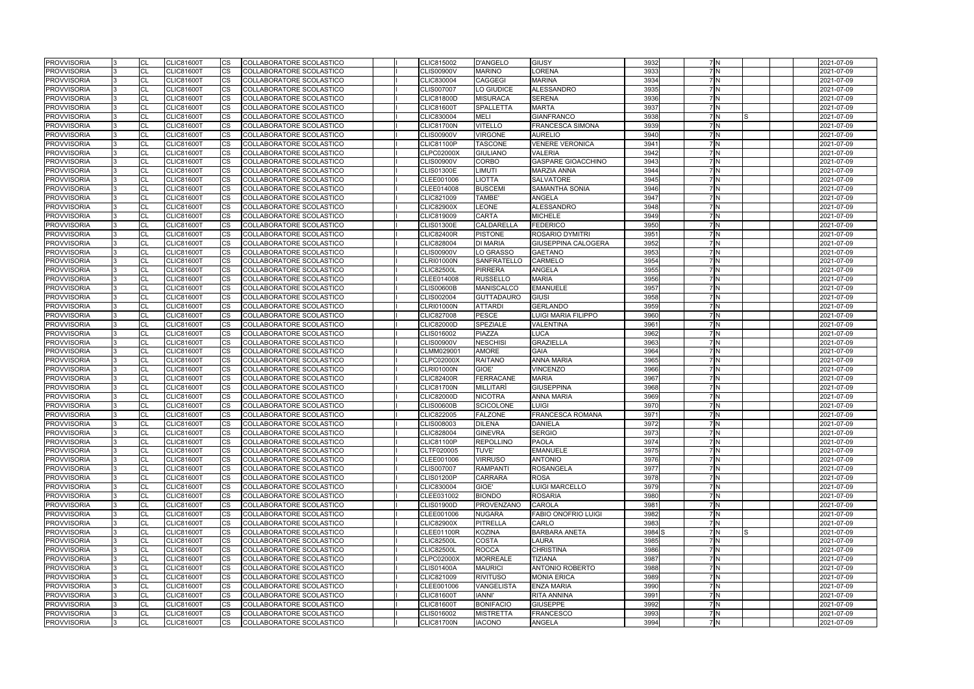| <b>PROVVISORIA</b> |     | <b>CL</b> | <b>CLIC81600T</b> | ICS.        | COLLABORATORE SCOLASTICO        |  | CLIC815002        | <b>D'ANGELO</b>    | <b>GIUSY</b>               | 3932              | 7 N              | 2021-07-09 |
|--------------------|-----|-----------|-------------------|-------------|---------------------------------|--|-------------------|--------------------|----------------------------|-------------------|------------------|------------|
| <b>PROVVISORIA</b> |     | <b>CL</b> | <b>CLIC81600T</b> | <b>CS</b>   | COLLABORATORE SCOLASTICO        |  | <b>CLIS00900V</b> | <b>MARINO</b>      | LORENA                     | 3933              | $\overline{7}$ N | 2021-07-09 |
| <b>PROVVISORIA</b> |     | CL        | <b>CLIC81600T</b> | <b>CS</b>   | COLLABORATORE SCOLASTICO        |  | CLIC830004        | <b>CAGGEGI</b>     | MARINA                     | 3934              | 7ln              | 2021-07-09 |
| <b>PROVVISORIA</b> |     | CL        | <b>CLIC81600T</b> | CS          | COLLABORATORE SCOLASTICO        |  | CLIS007007        | LO GIUDICE         | <b>ALESSANDRO</b>          | 3935              | 7ln              | 2021-07-09 |
| <b>PROVVISORIA</b> |     | <b>CL</b> | <b>CLIC81600T</b> | <b>CS</b>   | COLLABORATORE SCOLASTICO        |  | <b>CLIC81800D</b> | <b>MISURACA</b>    | SERENA                     | 3936              | 7N               | 2021-07-09 |
| <b>PROVVISORIA</b> |     | CL        | <b>CLIC81600T</b> | <b>CS</b>   | COLLABORATORE SCOLASTICO        |  | <b>CLIC81600T</b> | <b>SPALLETTA</b>   | MARTA                      | 3937              | 7N               | 2021-07-09 |
| <b>PROVVISORIA</b> |     | <b>CL</b> | <b>CLIC81600T</b> | <b>CS</b>   | COLLABORATORE SCOLASTICO        |  | CLIC830004        | <b>MELI</b>        | <b>GIANFRANCO</b>          | 3938              | 7N               | 2021-07-09 |
| <b>PROVVISORIA</b> |     | CL        | <b>CLIC81600T</b> | <b>ICS</b>  | COLLABORATORE SCOLASTICO        |  | <b>CLIC81700N</b> | <b>VITELLO</b>     | <b>FRANCESCA SIMONA</b>    | 3939              | 7N               | 2021-07-09 |
| <b>PROVVISORIA</b> |     | CL        | <b>CLIC81600T</b> | <b>CS</b>   | COLLABORATORE SCOLASTICO        |  | <b>CLIS00900V</b> | <b>VIRGONE</b>     | <b>AURELIO</b>             | 3940              | 7N               | 2021-07-09 |
| <b>PROVVISORIA</b> |     | CL        | <b>CLIC81600T</b> | <b>CS</b>   | COLLABORATORE SCOLASTICO        |  | <b>CLIC81100P</b> | <b>TASCONE</b>     | <b>VENERE VERONICA</b>     | 3941              | 7N               | 2021-07-09 |
| <b>PROVVISORIA</b> |     | CL        | <b>CLIC81600T</b> | <b>CS</b>   | COLLABORATORE SCOLASTICO        |  | CLPC02000X        | <b>GIULIANO</b>    | VALERIA                    | 3942              | 7N               | 2021-07-09 |
| <b>PROVVISORIA</b> |     | <b>CL</b> | <b>CLIC81600T</b> | <b>CS</b>   | COLLABORATORE SCOLASTICO        |  | <b>CLIS00900V</b> | <b>CORBO</b>       | <b>GASPARE GIOACCHINO</b>  | 3943              | 7N               | 2021-07-09 |
| <b>PROVVISORIA</b> |     | CL        | <b>CLIC81600T</b> | <b>ICS</b>  | COLLABORATORE SCOLASTICO        |  | <b>CLIS01300E</b> | LIMUTI             | <b>MARZIA ANNA</b>         | 3944              | 7N               | 2021-07-09 |
| <b>PROVVISORIA</b> |     | <b>CL</b> | <b>CLIC81600T</b> | <b>ICS</b>  | COLLABORATORE SCOLASTICO        |  | CLEE001006        | <b>LIOTTA</b>      | <b>SALVATORE</b>           | 3945              | 7N               | 2021-07-09 |
| <b>PROVVISORIA</b> |     | CL        | <b>CLIC81600T</b> | <b>ICS</b>  | COLLABORATORE SCOLASTICO        |  | CLEE014008        | <b>BUSCEMI</b>     | <b>SAMANTHA SONIA</b>      | 3946              | $\overline{7}$ N | 2021-07-09 |
| <b>PROVVISORIA</b> |     | CL        | <b>CLIC81600T</b> | <b>CS</b>   | COLLABORATORE SCOLASTICO        |  | CLIC821009        | TAMBE'             | ANGELA                     | 3947              | 7N               | 2021-07-09 |
| <b>PROVVISORIA</b> |     | CL        | <b>CLIC81600T</b> | <b>CS</b>   | COLLABORATORE SCOLASTICO        |  | <b>CLIC82900X</b> | <b>LEONE</b>       | ALESSANDRO                 | 3948              | 7N               | 2021-07-09 |
| <b>PROVVISORIA</b> |     | <b>CL</b> | <b>CLIC81600T</b> | <b>ICS</b>  | COLLABORATORE SCOLASTICO        |  | CLIC819009        | <b>CARTA</b>       | <b>MICHELE</b>             | 3949              | 7N               | 2021-07-09 |
| <b>PROVVISORIA</b> |     | <b>CL</b> | <b>CLIC81600T</b> | <b>CS</b>   | COLLABORATORE SCOLASTICO        |  | <b>CLIS01300E</b> | <b>CALDARELLA</b>  | <b>FEDERICO</b>            | 3950              | 7N               | 2021-07-09 |
| <b>PROVVISORIA</b> |     | CL        | CLIC81600T        | <b>CS</b>   | COLLABORATORE SCOLASTICO        |  | <b>CLIC82400R</b> | <b>PISTONE</b>     | <b>ROSARIO DYMITRI</b>     | 3951              | 7N               | 2021-07-09 |
| <b>PROVVISORIA</b> |     | CL        | <b>CLIC81600T</b> | <b>CS</b>   | COLLABORATORE SCOLASTICO        |  | <b>CLIC828004</b> | <b>DI MARIA</b>    | <b>GIUSEPPINA CALOGERA</b> | 3952              | 7N               | 2021-07-09 |
| <b>PROVVISORIA</b> |     | <b>CL</b> | <b>CLIC81600T</b> | <b>CS</b>   | COLLABORATORE SCOLASTICO        |  | <b>CLIS00900V</b> | LO GRASSO          | <b>GAETANO</b>             | 3953              | 7ln              | 2021-07-09 |
| <b>PROVVISORIA</b> |     | CL        | <b>CLIC81600T</b> | <b>CS</b>   | COLLABORATORE SCOLASTICO        |  | <b>CLRI01000N</b> | <b>SANFRATELLO</b> | CARMELO                    | 3954              | $\overline{7}$ N | 2021-07-09 |
| <b>PROVVISORIA</b> |     | CL        | <b>CLIC81600T</b> | <b>CS</b>   | COLLABORATORE SCOLASTICO        |  | <b>CLIC82500L</b> | <b>PIRRERA</b>     | <b>ANGELA</b>              | 3955              | 7N               | 2021-07-09 |
| <b>PROVVISORIA</b> |     | <b>CL</b> | <b>CLIC81600T</b> | <b>CS</b>   | COLLABORATORE SCOLASTICO        |  | CLEE014008        | <b>RUSSELLO</b>    | <b>MARIA</b>               | 3956              | 7N               | 2021-07-09 |
| <b>PROVVISORIA</b> |     | <b>CL</b> | <b>CLIC81600T</b> | <b>CS</b>   | COLLABORATORE SCOLASTICO        |  | <b>CLIS00600B</b> | <b>MANISCALCO</b>  | <b>EMANUELE</b>            | 3957              | 7N               | 2021-07-09 |
| <b>PROVVISORIA</b> |     | <b>CL</b> | <b>CLIC81600T</b> | <b>CS</b>   | COLLABORATORE SCOLASTICO        |  | CLIS002004        | <b>GUTTADAURO</b>  | GIUSI                      | 3958              | 7N               | 2021-07-09 |
| <b>PROVVISORIA</b> |     | <b>CL</b> | <b>CLIC81600T</b> | <b>CS</b>   | COLLABORATORE SCOLASTICO        |  | <b>CLRI01000N</b> | <b>ATTARDI</b>     | <b>GERLANDO</b>            | 3959              | 7N               | 2021-07-09 |
| <b>PROVVISORIA</b> |     | CL        | <b>CLIC81600T</b> | <b>CS</b>   | COLLABORATORE SCOLASTICO        |  | CLIC827008        | <b>PESCE</b>       | LUIGI MARIA FILIPPO        | 3960              | 7N               | 2021-07-09 |
| <b>PROVVISORIA</b> |     | CL        | <b>CLIC81600T</b> | <b>CS</b>   | COLLABORATORE SCOLASTICO        |  | <b>CLIC82000D</b> | SPEZIALE           | VALENTINA                  | 3961              | 7N               | 2021-07-09 |
| <b>PROVVISORIA</b> |     | <b>CL</b> | <b>CLIC81600T</b> | <b>CS</b>   | COLLABORATORE SCOLASTICO        |  | CLIS016002        | PIAZZA             | LUCA                       | 3962              | 7N               | 2021-07-09 |
| <b>PROVVISORIA</b> |     | CL        | <b>CLIC81600T</b> | <b>CS</b>   | COLLABORATORE SCOLASTICO        |  | <b>CLIS00900V</b> | <b>NESCHISI</b>    | <b>GRAZIELLA</b>           | 3963              | 7N               | 2021-07-09 |
| <b>PROVVISORIA</b> |     | CL        | <b>CLIC81600T</b> | <b>CS</b>   | COLLABORATORE SCOLASTICO        |  | CLMM029001        | <b>AMORE</b>       | GAIA                       | 3964              | 7N               | 2021-07-09 |
| <b>PROVVISORIA</b> |     | CL        | <b>CLIC81600T</b> | <b>CS</b>   | COLLABORATORE SCOLASTICO        |  | <b>CLPC02000X</b> | <b>RAITANO</b>     | <b>ANNA MARIA</b>          | 3965              | 7N               | 2021-07-09 |
| <b>PROVVISORIA</b> |     | CL        | <b>CLIC81600T</b> | <b>CS</b>   | COLLABORATORE SCOLASTICO        |  | <b>CLRI01000N</b> | GIOE'              | <b>VINCENZO</b>            | 3966              | 7N               | 2021-07-09 |
| <b>PROVVISORIA</b> |     | <b>CL</b> | <b>CLIC81600T</b> | <b>CS</b>   | COLLABORATORE SCOLASTICO        |  | <b>CLIC82400R</b> | <b>FERRACANE</b>   | MARIA                      | 3967              | 7N               | 2021-07-09 |
| <b>PROVVISORIA</b> |     | <b>CL</b> | <b>CLIC81600T</b> | <b>CS</b>   | COLLABORATORE SCOLASTICO        |  | <b>CLIC81700N</b> | <b>MILLITARI</b>   | <b>GIUSEPPINA</b>          | 3968              | $\overline{7}$ N | 2021-07-09 |
| <b>PROVVISORIA</b> |     | <b>CL</b> | <b>CLIC81600T</b> | <b>CS</b>   | COLLABORATORE SCOLASTICO        |  | <b>CLIC82000D</b> | <b>NICOTRA</b>     | <b>ANNA MARIA</b>          | 3969              | 7N               | 2021-07-09 |
| <b>PROVVISORIA</b> |     | CL        | CLIC81600T        | <b>CS</b>   | COLLABORATORE SCOLASTICO        |  | <b>CLIS00600B</b> | <b>SCICOLONE</b>   | LUIGI                      | 3970              | 7N               | 2021-07-09 |
| <b>PROVVISORIA</b> | I3. | CL        | <b>CLIC81600T</b> | <b>CS</b>   | COLLABORATORE SCOLASTICO        |  | <b>CLIC822005</b> | <b>FALZONE</b>     | FRANCESCA ROMANA           | 3971              | $\overline{7}$ N | 2021-07-09 |
| <b>PROVVISORIA</b> |     | <b>CI</b> | <b>CLIC81600T</b> | <b>I</b> CS | COLLABORATORE SCOLASTICO        |  | CLIS008003        | <b>DILENA</b>      | DANIELA                    | 3972              | 7N               | 2021-07-09 |
| <b>PROVVISORIA</b> |     | <b>CL</b> | <b>CLIC81600T</b> | <b>CS</b>   | COLLABORATORE SCOLASTICO        |  | <b>CLIC828004</b> | <b>GINEVRA</b>     | <b>SERGIO</b>              | 3973              | 7 N              | 2021-07-09 |
| <b>PROVVISORIA</b> |     | CL        | <b>CLIC81600T</b> | ICS.        | COLLABORATORE SCOLASTICO        |  | <b>CLIC81100P</b> | <b>REPOLLINO</b>   | <b>PAOLA</b>               | 3974              | 7 N              | 2021-07-09 |
| <b>PROVVISORIA</b> |     | <b>CL</b> | <b>CLIC81600T</b> | <b>ICS</b>  | COLLABORATORE SCOLASTICO        |  | CLTF020005        | <b>TUVE'</b>       | <b>EMANUELE</b>            | 3975              | 7N               | 2021-07-09 |
| <b>PROVVISORIA</b> |     | <b>CL</b> | <b>CLIC81600T</b> | <b>CS</b>   | COLLABORATORE SCOLASTICO        |  | CLEE001006        | <b>VIRRUSO</b>     | <b>ANTONIO</b>             | 3976              | 7N               | 2021-07-09 |
| <b>PROVVISORIA</b> |     | CL        | <b>CLIC81600T</b> | ICS.        | COLLABORATORE SCOLASTICO        |  | <b>CLIS007007</b> | <b>RAMPANTI</b>    | <b>ROSANGELA</b>           | 3977              | 7N               | 2021-07-09 |
| <b>PROVVISORIA</b> |     | <b>CL</b> | <b>CLIC81600T</b> | <b>CS</b>   | COLLABORATORE SCOLASTICO        |  | <b>CLIS01200P</b> | <b>CARRARA</b>     | <b>ROSA</b>                | 3978              | 7N               | 2021-07-09 |
| <b>PROVVISORIA</b> |     | <b>CL</b> | <b>CLIC81600T</b> | <b>CS</b>   | COLLABORATORE SCOLASTICO        |  | CLIC830004        | GIOE'              | <b>LUIGI MARCELLO</b>      | 3979              | 7N               | 2021-07-09 |
| <b>PROVVISORIA</b> |     | <b>CL</b> | <b>CLIC81600T</b> | <b>CS</b>   | COLLABORATORE SCOLASTICO        |  | CLEE031002        | <b>BIONDO</b>      | <b>ROSARIA</b>             | 3980              | 7N               | 2021-07-09 |
| <b>PROVVISORIA</b> |     | <b>CL</b> | <b>CLIC81600T</b> | <b>CS</b>   | COLLABORATORE SCOLASTICO        |  | <b>CLIS01900D</b> | <b>PROVENZANO</b>  | CAROLA                     | 3981              | 7N               | 2021-07-09 |
| <b>PROVVISORIA</b> |     | <b>CL</b> | <b>CLIC81600T</b> | <b>CS</b>   | COLLABORATORE SCOLASTICO        |  | CLEE001006        | <b>NUGARA</b>      | FABIO ONOFRIO LUIGI        | 3982              | 7N               | 2021-07-09 |
| <b>PROVVISORIA</b> |     | CL        | <b>CLIC81600T</b> | CS.         | COLLABORATORE SCOLASTICO        |  | <b>CLIC82900X</b> | <b>PITRELLA</b>    | CARLO                      | 3983              | 7N               | 2021-07-09 |
| <b>PROVVISORIA</b> |     | CL        | <b>CLIC81600T</b> | ICS.        | COLLABORATORE SCOLASTICO        |  | <b>CLEE01100R</b> | <b>KOZINA</b>      | <b>BARBARA ANETA</b>       | 3984 <sub>S</sub> | 7N               | 2021-07-09 |
| <b>PROVVISORIA</b> |     | CL        | <b>CLIC81600T</b> | <b>CS</b>   | COLLABORATORE SCOLASTICO        |  | <b>CLIC82500L</b> | <b>COSTA</b>       | LAURA                      | 3985              | 7N               | 2021-07-09 |
| <b>PROVVISORIA</b> |     | <b>CL</b> | <b>CLIC81600T</b> | <b>CS</b>   | COLLABORATORE SCOLASTICO        |  | <b>CLIC82500L</b> | <b>ROCCA</b>       | <b>CHRISTINA</b>           | 3986              | 7 N              | 2021-07-09 |
| <b>PROVVISORIA</b> |     | <b>CL</b> | <b>CLIC81600T</b> | <b>CS</b>   | COLLABORATORE SCOLASTICO        |  | <b>CLPC02000X</b> | <b>MORREALE</b>    | TIZIANA                    | 3987              | 7N               | 2021-07-09 |
| <b>PROVVISORIA</b> |     | CL        | <b>CLIC81600T</b> | ICS.        | <b>COLLABORATORE SCOLASTICO</b> |  | <b>CLIS01400A</b> | <b>MAURICI</b>     | ANTONIO ROBERTO            | 3988              | 7N               | 2021-07-09 |
| <b>PROVVISORIA</b> |     | CL        | <b>CLIC81600T</b> | ICS.        | COLLABORATORE SCOLASTICO        |  | CLIC821009        | <b>RIVITUSO</b>    | <b>MONIA ERICA</b>         | 3989              | 7N               | 2021-07-09 |
| <b>PROVVISORIA</b> |     | CL        | <b>CLIC81600T</b> | ICS.        | COLLABORATORE SCOLASTICO        |  | CLEE001006        | VANGELISTA         | <b>ENZA MARIA</b>          | 3990              | 7N               | 2021-07-09 |
| <b>PROVVISORIA</b> |     | CL        | <b>CLIC81600T</b> | <b>ICS</b>  | COLLABORATORE SCOLASTICO        |  | <b>CLIC81600T</b> | <b>IANNI'</b>      | RITA ANNINA                | 3991              | 7 N              | 2021-07-09 |
| <b>PROVVISORIA</b> |     | <b>CL</b> | <b>CLIC81600T</b> | ICS.        | COLLABORATORE SCOLASTICO        |  | <b>CLIC81600T</b> | <b>BONIFACIO</b>   | <b>GIUSEPPE</b>            | 3992              | 7 N              | 2021-07-09 |
| <b>PROVVISORIA</b> |     | <b>CL</b> | <b>CLIC81600T</b> | <b>CS</b>   | COLLABORATORE SCOLASTICO        |  | CLIS016002        | <b>MISTRETTA</b>   | <b>FRANCESCO</b>           | 3993              | 7N               | 2021-07-09 |
| <b>PROVVISORIA</b> |     | <b>CL</b> | <b>CLIC81600T</b> | ICS.        | COLLABORATORE SCOLASTICO        |  | <b>CLIC81700N</b> | <b>IACONO</b>      | <b>ANGELA</b>              | 3994              | 7 N              | 2021-07-09 |
|                    |     |           |                   |             |                                 |  |                   |                    |                            |                   |                  |            |

|   |  | 2021-07-09               |
|---|--|--------------------------|
|   |  | 2021-07-09               |
|   |  | 2021-07-09               |
|   |  | 2021-07-09               |
|   |  | 2021-07-09               |
|   |  | 2021-07-09               |
| S |  | 2021-07-09               |
|   |  | 2021-07-09               |
|   |  | 2021-07-09               |
|   |  | 2021-07-09               |
|   |  | 2021-07-09               |
|   |  | 2021-07-09               |
|   |  | 2021-07-09               |
|   |  | 2021-07-09               |
|   |  | 2021-07-09<br>2021-07-09 |
|   |  | 2021-07-09               |
|   |  | 2021-07-09               |
|   |  | 2021-07-09               |
|   |  | 2021-07-09               |
|   |  | 2021-07-09               |
|   |  | 2021-07-09               |
|   |  | 2021-07-09               |
|   |  | 2021-07-09               |
|   |  | 2021-07-09               |
|   |  | 2021-07-09               |
|   |  | 2021-07-09               |
|   |  | 2021-07-09               |
|   |  | 2021-07-09               |
|   |  | 2021-07-09               |
|   |  | 2021-07-09               |
|   |  | 2021-07-09               |
|   |  | 2021-07-09               |
|   |  | 2021-07-09               |
|   |  | 2021-07-09               |
|   |  | 2021-07-09               |
|   |  | 2021-07-09               |
|   |  | 2021-07-09<br>2021-07-09 |
|   |  | 2021-07-09               |
|   |  | 2021-07-09               |
|   |  | 2021-07-09               |
|   |  | 2021-07-09               |
|   |  | 2021-07-09               |
|   |  | 2021-07-09               |
|   |  | 2021-07-09               |
|   |  | 2021-07-09               |
|   |  | 2021-07-09               |
|   |  | 2021-07-09               |
|   |  | 2021-07-09               |
|   |  | 2021-07-09               |
|   |  | 2021-07-09               |
| S |  | 2021-07-09               |
|   |  | 2021-07-09               |
|   |  | 2021-07-09               |
|   |  | 2021-07-09               |
|   |  | 2021-07-09               |
|   |  | 2021-07-09               |
|   |  | 2021-07-09               |
|   |  | 2021-07-09<br>2021-07-09 |
|   |  | 2021-07-09               |
|   |  | 2021-07-09               |
|   |  |                          |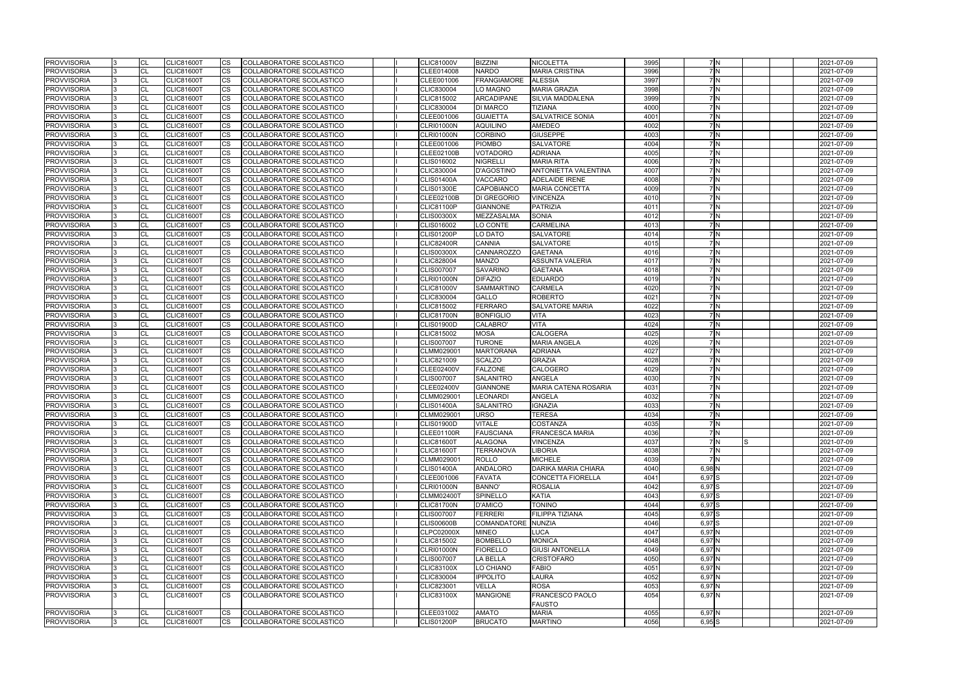| <b>PROVVISORIA</b> | <b>CL</b>      | <b>CLIC81600T</b> | <b>CS</b>              | COLLABORATORE SCOLASTICO        |  | <b>CLIC81000V</b> | <b>BIZZINI</b>     | <b>NICOLETTA</b>            | 3995 | 7 N               |   | 2021-07-09 |
|--------------------|----------------|-------------------|------------------------|---------------------------------|--|-------------------|--------------------|-----------------------------|------|-------------------|---|------------|
| <b>PROVVISORIA</b> | <b>CL</b>      | <b>CLIC81600T</b> | <b>CS</b>              | <b>COLLABORATORE SCOLASTICO</b> |  | CLEE014008        | <b>NARDO</b>       | <b>MARIA CRISTINA</b>       | 3996 | <b>7N</b>         |   | 2021-07-09 |
| <b>PROVVISORIA</b> | CL             | <b>CLIC81600T</b> | CS                     | COLLABORATORE SCOLASTICO        |  | CLEE001006        | <b>FRANGIAMORE</b> | <b>ALESSIA</b>              | 3997 | 7N                |   | 2021-07-09 |
| <b>PROVVISORIA</b> | <b>CL</b>      | <b>CLIC81600T</b> | CS                     | COLLABORATORE SCOLASTICO        |  | CLIC830004        | LO MAGNO           | <b>MARIA GRAZIA</b>         | 3998 | 7N                |   | 2021-07-09 |
| <b>PROVVISORIA</b> | <b>CL</b>      | <b>CLIC81600T</b> | CS                     | COLLABORATORE SCOLASTICO        |  | CLIC815002        | <b>ARCADIPANE</b>  | SILVIA MADDALENA            | 3999 | <b>7N</b>         |   | 2021-07-09 |
| <b>PROVVISORIA</b> | CL             | <b>CLIC81600T</b> | CS                     | COLLABORATORE SCOLASTICO        |  | CLIC830004        | <b>DI MARCO</b>    | TIZIANA                     | 4000 | 7N                |   | 2021-07-09 |
| <b>PROVVISORIA</b> | <b>CL</b>      | <b>CLIC81600T</b> | CS                     | <b>COLLABORATORE SCOLASTICO</b> |  | CLEE001006        | <b>GUAIETTA</b>    | SALVATRICE SONIA            | 4001 | 7N                |   | 2021-07-09 |
| <b>PROVVISORIA</b> | CL             | <b>CLIC81600T</b> | CS                     | COLLABORATORE SCOLASTICO        |  | <b>CLRI01000N</b> | <b>AQUILINO</b>    | <b>AMEDEO</b>               | 4002 | 7 N               |   | 2021-07-09 |
| <b>PROVVISORIA</b> | CL             | <b>CLIC81600T</b> | CS                     | COLLABORATORE SCOLASTICO        |  | <b>CLRI01000N</b> | <b>CORBINO</b>     | <b>GIUSEPPE</b>             | 4003 | 7N                |   | 2021-07-09 |
| <b>PROVVISORIA</b> | <b>CL</b>      | <b>CLIC81600T</b> | CS                     | COLLABORATORE SCOLASTICO        |  | CLEE001006        | <b>PIOMBO</b>      | <b>SALVATORE</b>            | 4004 | 7M                |   | 2021-07-09 |
| <b>PROVVISORIA</b> | CL             | <b>CLIC81600T</b> | CS                     | COLLABORATORE SCOLASTICO        |  | <b>CLEE02100B</b> | <b>VOTADORO</b>    | ADRIANA                     | 4005 | 7 N               |   | 2021-07-09 |
| <b>PROVVISORIA</b> | <b>CL</b>      | <b>CLIC81600T</b> | CS                     | COLLABORATORE SCOLASTICO        |  | CLIS016002        | <b>NIGRELLI</b>    | <b>MARIA RITA</b>           | 4006 | $\overline{7}$ N  |   | 2021-07-09 |
| <b>PROVVISORIA</b> | <b>CL</b>      | <b>CLIC81600T</b> | <b>CS</b>              | COLLABORATORE SCOLASTICO        |  | CLIC830004        | <b>D'AGOSTINO</b>  | ANTONIETTA VALENTINA        | 4007 | 7 N               |   | 2021-07-09 |
| <b>PROVVISORIA</b> | <b>CL</b>      | <b>CLIC81600T</b> | <b>CS</b>              | COLLABORATORE SCOLASTICO        |  | <b>CLIS01400A</b> | <b>VACCARO</b>     | <b>ADELAIDE IRENE</b>       | 4008 | 7N                |   | 2021-07-09 |
| <b>PROVVISORIA</b> | <b>CL</b>      | <b>CLIC81600T</b> | CS                     | COLLABORATORE SCOLASTICO        |  | <b>CLIS01300E</b> | <b>CAPOBIANCO</b>  | <b>MARIA CONCETTA</b>       | 4009 | 7N                |   | 2021-07-09 |
| <b>PROVVISORIA</b> | <b>CL</b>      | <b>CLIC81600T</b> | CS                     | COLLABORATORE SCOLASTICO        |  | <b>CLEE02100B</b> | <b>DI GREGORIO</b> | <b>VINCENZA</b>             | 4010 | <b>7N</b>         |   | 2021-07-09 |
| <b>PROVVISORIA</b> | CL             | <b>CLIC81600T</b> | CS                     | COLLABORATORE SCOLASTICO        |  | <b>CLIC81100P</b> | <b>GIANNONE</b>    | PATRIZIA                    | 4011 | 7M                |   | 2021-07-09 |
| <b>PROVVISORIA</b> | <b>CL</b>      | <b>CLIC81600T</b> | CS                     | COLLABORATORE SCOLASTICO        |  | <b>CLIS00300X</b> | MEZZASALMA         | <b>SONIA</b>                | 4012 | 7N                |   | 2021-07-09 |
| <b>PROVVISORIA</b> | <b>CL</b>      | <b>CLIC81600T</b> | CS                     | COLLABORATORE SCOLASTICO        |  | CLIS016002        | LO CONTE           | <b>CARMELINA</b>            | 4013 | 7N                |   | 2021-07-09 |
| <b>PROVVISORIA</b> | CL             | <b>CLIC81600T</b> | <b>CS</b>              | COLLABORATORE SCOLASTICO        |  | <b>CLIS01200P</b> | LO DATO            | <b>SALVATORE</b>            | 4014 | 7N                |   | 2021-07-09 |
| <b>PROVVISORIA</b> | <b>CL</b>      | <b>CLIC81600T</b> | CS                     | COLLABORATORE SCOLASTICO        |  | <b>CLIC82400R</b> | <b>CANNIA</b>      | <b>SALVATORE</b>            | 4015 | <b>7N</b>         |   | 2021-07-09 |
| <b>PROVVISORIA</b> | <b>CL</b>      | <b>CLIC81600T</b> | CS                     | COLLABORATORE SCOLASTICO        |  | <b>CLIS00300X</b> | <b>CANNAROZZO</b>  | <b>GAETANA</b>              | 4016 | 7N                |   | 2021-07-09 |
| <b>PROVVISORIA</b> | <b>CL</b>      | <b>CLIC81600T</b> | CS                     | COLLABORATORE SCOLASTICO        |  | <b>CLIC828004</b> | <b>MANZO</b>       | <b>ASSUNTA VALERIA</b>      | 4017 | 7N                |   | 2021-07-09 |
| <b>PROVVISORIA</b> | CL             | <b>CLIC81600T</b> | CS                     | COLLABORATORE SCOLASTICO        |  | <b>CLIS007007</b> | <b>SAVARINO</b>    | <b>GAETANA</b>              | 4018 | <b>7N</b>         |   | 2021-07-09 |
|                    | CL             | <b>CLIC81600T</b> |                        | COLLABORATORE SCOLASTICO        |  |                   | <b>DIFAZIO</b>     | <b>EDUARDO</b>              | 4019 | 7N                |   |            |
| <b>PROVVISORIA</b> |                | <b>CLIC81600T</b> | СS                     |                                 |  | <b>CLRI01000N</b> | <b>SAMMARTINO</b>  | <b>CARMELA</b>              | 4020 | 7 N               |   | 2021-07-09 |
| <b>PROVVISORIA</b> | <b>CL</b>      |                   | <b>CS</b>              | COLLABORATORE SCOLASTICO        |  | <b>CLIC81000V</b> |                    | <b>ROBERTO</b>              |      | <b>7N</b>         |   | 2021-07-09 |
| <b>PROVVISORIA</b> | <b>CL</b>      | <b>CLIC81600T</b> | CS                     | <b>COLLABORATORE SCOLASTICO</b> |  | CLIC830004        | <b>GALLO</b>       |                             | 4021 | 7N                |   | 2021-07-09 |
| <b>PROVVISORIA</b> | <b>CL</b>      | <b>CLIC81600T</b> | CS                     | COLLABORATORE SCOLASTICO        |  | CLIC815002        | <b>FERRARO</b>     | <b>SALVATORE MARIA</b>      | 4022 |                   |   | 2021-07-09 |
| <b>PROVVISORIA</b> | <b>CL</b>      | <b>CLIC81600T</b> | CS                     | COLLABORATORE SCOLASTICO        |  | <b>CLIC81700N</b> | <b>BONFIGLIO</b>   | <b>VITA</b>                 | 4023 | 7N                |   | 2021-07-09 |
| <b>PROVVISORIA</b> | <b>CL</b>      | <b>CLIC81600T</b> | CS                     | COLLABORATORE SCOLASTICO        |  | <b>CLIS01900D</b> | <b>CALABRO'</b>    | <b>VITA</b>                 | 4024 | <b>7N</b>         |   | 2021-07-09 |
| <b>PROVVISORIA</b> | CL             | <b>CLIC81600T</b> | CS                     | COLLABORATORE SCOLASTICO        |  | CLIC815002        | <b>MOSA</b>        | CALOGERA                    | 4025 | 7N                |   | 2021-07-09 |
| <b>PROVVISORIA</b> | CL             | <b>CLIC81600T</b> | <b>CS</b>              | COLLABORATORE SCOLASTICO        |  | <b>CLIS007007</b> | <b>TURONE</b>      | <b>MARIA ANGELA</b>         | 4026 | 7 N               |   | 2021-07-09 |
| <b>PROVVISORIA</b> | CL             | <b>CLIC81600T</b> | <b>CS</b>              | COLLABORATORE SCOLASTICO        |  | CLMM029001        | <b>MARTORANA</b>   | <b>ADRIANA</b>              | 4027 | 7 N               |   | 2021-07-09 |
| <b>PROVVISORIA</b> | CL             | <b>CLIC81600T</b> | CS                     | COLLABORATORE SCOLASTICO        |  | CLIC821009        | <b>SCALZO</b>      | <b>GRAZIA</b>               | 4028 | 7N                |   | 2021-07-09 |
| <b>PROVVISORIA</b> | <b>CL</b>      | <b>CLIC81600T</b> | CS                     | COLLABORATORE SCOLASTICO        |  | <b>CLEE02400V</b> | <b>FALZONE</b>     | <b>CALOGERO</b>             | 4029 | 7M                |   | 2021-07-09 |
| <b>PROVVISORIA</b> | <b>CL</b>      | <b>CLIC81600T</b> | CS                     | COLLABORATORE SCOLASTICO        |  | <b>CLIS007007</b> | <b>SALANITRO</b>   | ANGELA                      | 4030 | 7N                |   | 2021-07-09 |
| <b>PROVVISORIA</b> | <b>CL</b>      | <b>CLIC81600T</b> | CS                     | COLLABORATORE SCOLASTICO        |  | <b>CLEE02400V</b> | <b>GIANNONE</b>    | <b>MARIA CATENA ROSARIA</b> | 4031 | $\overline{7}$ N  |   | 2021-07-09 |
| <b>PROVVISORIA</b> | <b>CL</b>      | <b>CLIC81600T</b> | CS                     | COLLABORATORE SCOLASTICO        |  | CLMM029001        | <b>LEONARDI</b>    | <b>ANGELA</b>               | 4032 | 7N                |   | 2021-07-09 |
| <b>PROVVISORIA</b> | CL             | <b>CLIC81600T</b> | <b>CS</b>              | COLLABORATORE SCOLASTICO        |  | <b>CLIS01400A</b> | <b>SALANITRO</b>   | <b>IGNAZIA</b>              | 4033 | 7 N               |   | 2021-07-09 |
| <b>PROVVISORIA</b> | <b>CL</b>      | <b>CLIC81600T</b> | CS                     | COLLABORATORE SCOLASTICO        |  | CLMM029001        | <b>URSO</b>        | <b>TERESA</b>               | 4034 | 7N                |   | 2021-07-09 |
| <b>PROVVISORIA</b> | $\overline{C}$ | <b>CLIC81600T</b> | <b>CS</b>              | COLLABORATORE SCOLASTICO        |  | <b>CLIS01900D</b> | <b>VITALE</b>      | <b>COSTANZA</b>             | 4035 | 7 N               |   | 2021-07-09 |
| <b>PROVVISORIA</b> | <b>CL</b>      | <b>CLIC81600T</b> | CS                     | COLLABORATORE SCOLASTICO        |  | CLEE01100R        | <b>FAUSCIANA</b>   | <b>FRANCESCA MARIA</b>      | 4036 | 7 N               |   | 2021-07-09 |
| <b>PROVVISORIA</b> | <b>CL</b>      | CLIC81600T        | CS                     | COLLABORATORE SCOLASTICO        |  | <b>CLIC81600T</b> | <b>ALAGONA</b>     | <b>VINCENZA</b>             | 4037 | 7 N               | S | 2021-07-09 |
| <b>PROVVISORIA</b> | <b>CL</b>      | <b>CLIC81600T</b> | $\overline{\text{cs}}$ | <b>COLLABORATORE SCOLASTICO</b> |  | <b>CLIC81600T</b> | <b>TERRANOVA</b>   | <b>LIBORIA</b>              | 4038 | 7 N               |   | 2021-07-09 |
| <b>PROVVISORIA</b> | <b>CL</b>      | <b>CLIC81600T</b> | <b>CS</b>              | COLLABORATORE SCOLASTICO        |  | CLMM029001        | <b>ROLLO</b>       | <b>MICHELE</b>              | 4039 | 7N                |   | 2021-07-09 |
| <b>PROVVISORIA</b> | <b>CL</b>      | <b>CLIC81600T</b> | <b>CS</b>              | COLLABORATORE SCOLASTICO        |  | <b>CLIS01400A</b> | <b>ANDALORO</b>    | <b>DARIKA MARIA CHIARA</b>  | 4040 | 6,98N             |   | 2021-07-09 |
| <b>PROVVISORIA</b> | <b>CL</b>      | <b>CLIC81600T</b> | CS                     | COLLABORATORE SCOLASTICO        |  | CLEE001006        | <b>FAVATA</b>      | <b>CONCETTA FIORELLA</b>    | 4041 | $6,97$ S          |   | 2021-07-09 |
| <b>PROVVISORIA</b> | <b>CL</b>      | <b>CLIC81600T</b> | CS                     | COLLABORATORE SCOLASTICO        |  | <b>CLRI01000N</b> | <b>BANNO'</b>      | <b>ROSALIA</b>              | 4042 | 6,97 <sub>S</sub> |   | 2021-07-09 |
| <b>PROVVISORIA</b> | <b>CL</b>      | <b>CLIC81600T</b> | CS                     | COLLABORATORE SCOLASTICO        |  | <b>CLMM02400T</b> | <b>SPINELLO</b>    | KATIA                       | 4043 | 6,97 S            |   | 2021-07-09 |
| <b>PROVVISORIA</b> | CL             | <b>CLIC81600T</b> | CS                     | COLLABORATORE SCOLASTICO        |  | <b>CLIC81700N</b> | <b>D'AMICO</b>     | TONINO                      | 4044 | 6,97 S            |   | 2021-07-09 |
| <b>PROVVISORIA</b> | CL             | <b>CLIC81600T</b> | <b>CS</b>              | COLLABORATORE SCOLASTICO        |  | <b>CLIS007007</b> | <b>FERRERI</b>     | FILIPPA TIZIANA             | 4045 | 6,97 S            |   | 2021-07-09 |
| <b>PROVVISORIA</b> | <b>CL</b>      | <b>CLIC81600T</b> | <b>CS</b>              | COLLABORATORE SCOLASTICO        |  | <b>CLIS00600B</b> | COMANDATORE NUNZIA |                             | 4046 | 6,97 S            |   | 2021-07-09 |
| <b>PROVVISORIA</b> | <b>CL</b>      | <b>CLIC81600T</b> | <b>CS</b>              | COLLABORATORE SCOLASTICO        |  | <b>CLPC02000X</b> | <b>MINEO</b>       | <b>LUCA</b>                 | 4047 | 6,97N             |   | 2021-07-09 |
| <b>PROVVISORIA</b> | <b>CL</b>      | <b>CLIC81600T</b> | CS                     | COLLABORATORE SCOLASTICO        |  | CLIC815002        | <b>BOMBELLO</b>    | <b>MONICA</b>               | 4048 | 6,97 N            |   | 2021-07-09 |
| <b>PROVVISORIA</b> | <b>CL</b>      | <b>CLIC81600T</b> | CS                     | COLLABORATORE SCOLASTICO        |  | <b>CLRI01000N</b> | <b>FIORELLO</b>    | <b>GIUSI ANTONELLA</b>      | 4049 | 6,97N             |   | 2021-07-09 |
| <b>PROVVISORIA</b> | <b>CL</b>      | <b>CLIC81600T</b> | CS                     | COLLABORATORE SCOLASTICO        |  | <b>CLIS007007</b> | <b>LA BELLA</b>    | <b>CRISTOFARO</b>           | 4050 | 6,97 N            |   | 2021-07-09 |
| <b>PROVVISORIA</b> | CL             | <b>CLIC81600T</b> | <b>CS</b>              | COLLABORATORE SCOLASTICO        |  | <b>CLIC83100X</b> | LO CHIANO          | <b>FABIO</b>                | 4051 | 6,97 N            |   | 2021-07-09 |
| <b>PROVVISORIA</b> | CL             | <b>CLIC81600T</b> | <b>CS</b>              | COLLABORATORE SCOLASTICO        |  | CLIC830004        | <b>IPPOLITO</b>    | LAURA                       | 4052 | 6,97 N            |   | 2021-07-09 |
| <b>PROVVISORIA</b> | <b>CL</b>      | <b>CLIC81600T</b> | <b>CS</b>              | COLLABORATORE SCOLASTICO        |  | CLIC823001        | <b>VELLA</b>       | <b>ROSA</b>                 | 4053 | 6,97N             |   | 2021-07-09 |
| <b>PROVVISORIA</b> | <b>CL</b>      | <b>CLIC81600T</b> | CS                     | COLLABORATORE SCOLASTICO        |  | <b>CLIC83100X</b> | <b>MANGIONE</b>    | FRANCESCO PAOLO             | 4054 | 6,97 N            |   | 2021-07-09 |
| <b>PROVVISORIA</b> | <b>CL</b>      | <b>CLIC81600T</b> | <b>CS</b>              | COLLABORATORE SCOLASTICO        |  | CLEE031002        | AMATO              | FAUSTO<br><b>MARIA</b>      | 4055 | 6,97 N            |   | 2021-07-09 |
| <b>PROVVISORIA</b> | <b>CL</b>      | <b>CLIC81600T</b> | <b>CS</b>              | COLLABORATORE SCOLASTICO        |  | <b>CLIS01200P</b> | <b>BRUCATO</b>     | <b>MARTINO</b>              | 4056 | $6,95$ S          |   | 2021-07-09 |
|                    |                |                   |                        |                                 |  |                   |                    |                             |      |                   |   |            |

| 3995 |                     | $7 \overline{N}$ |   |  | 2021-07-09 |
|------|---------------------|------------------|---|--|------------|
| 3996 | 7                   | N                |   |  | 2021-07-09 |
| 3997 |                     | 7 N              |   |  | 2021-07-09 |
| 3998 | 7                   | N                |   |  | 2021-07-09 |
| 3999 | 7                   | $\mathsf{N}$     |   |  | 2021-07-09 |
| 4000 | 7                   | N                |   |  | 2021-07-09 |
|      |                     |                  |   |  |            |
| 4001 | 7                   | $\mathsf{N}$     |   |  | 2021-07-09 |
| 4002 | $\overline{7}$      | N                |   |  | 2021-07-09 |
| 4003 |                     | 7 N              |   |  | 2021-07-09 |
| 4004 | 7                   | N                |   |  | 2021-07-09 |
| 4005 | 7                   | $\mathsf{N}$     |   |  | 2021-07-09 |
| 4006 | 7                   | ${\sf N}$        |   |  | 2021-07-09 |
| 4007 | 7                   | N                |   |  | 2021-07-09 |
| 4008 | 7                   | N                |   |  | 2021-07-09 |
| 4009 | 7                   | N                |   |  | 2021-07-09 |
| 4010 | 7                   | N                |   |  | 2021-07-09 |
| 4011 | 7                   | $\mathsf{N}$     |   |  | 2021-07-09 |
| 4012 | 7                   | N                |   |  | 2021-07-09 |
| 4013 | 7                   | N                |   |  | 2021-07-09 |
|      |                     |                  |   |  |            |
| 4014 | 7                   | N                |   |  | 2021-07-09 |
| 4015 | 7                   | $\mathsf{N}$     |   |  | 2021-07-09 |
| 4016 | 7                   | N                |   |  | 2021-07-09 |
| 4017 | 7                   | $\mathsf{N}$     |   |  | 2021-07-09 |
| 4018 | 7                   | Ν                |   |  | 2021-07-09 |
| 4019 | 7                   | N                |   |  | 2021-07-09 |
| 4020 | 7                   | N                |   |  | 2021-07-09 |
| 4021 | 7                   | $\mathsf{N}$     |   |  | 2021-07-09 |
| 4022 | 7                   | N                |   |  | 2021-07-09 |
| 4023 | 7                   | N                |   |  | 2021-07-09 |
| 4024 | 7                   | N                |   |  | 2021-07-09 |
| 4025 | 7                   | N                |   |  | 2021-07-09 |
|      |                     |                  |   |  |            |
| 4026 | 7<br>$\overline{7}$ | N                |   |  | 2021-07-09 |
| 4027 |                     | $\mathsf{N}$     |   |  | 2021-07-09 |
| 4028 | 7                   | N                |   |  | 2021-07-09 |
| 4029 | 7                   | N                |   |  | 2021-07-09 |
| 4030 | 7                   | N                |   |  | 2021-07-09 |
| 4031 | 7                   | ${\sf N}$        |   |  | 2021-07-09 |
| 4032 | 7                   | N                |   |  | 2021-07-09 |
| 4033 | 7                   | N                |   |  | 2021-07-09 |
| 4034 | 7                   | N                |   |  | 2021-07-09 |
| 4035 |                     | 7 <sub>N</sub>   |   |  | 2021-07-09 |
| 4036 | 7                   | $\mathsf{N}$     |   |  | 2021-07-09 |
| 4037 | 7                   | N                | S |  | 2021-07-09 |
| 4038 |                     | 7 N              |   |  | 2021-07-09 |
| 4039 |                     | 7N               |   |  | 2021-07-09 |
|      |                     |                  |   |  |            |
| 4040 | $6,98$ <sub>N</sub> |                  |   |  | 2021-07-09 |
| 4041 | 6,97 S              |                  |   |  | 2021-07-09 |
| 4042 | $6,97$ S            |                  |   |  | 2021-07-09 |
| 4043 | 6,97 S              |                  |   |  | 2021-07-09 |
| 4044 | 6,97 S              |                  |   |  | 2021-07-09 |
| 4045 | $6,97$ S            |                  |   |  | 2021-07-09 |
| 4046 | 6,97S               |                  |   |  | 2021-07-09 |
| 4047 | 6,97 N              |                  |   |  | 2021-07-09 |
| 4048 | 6,97N               |                  |   |  | 2021-07-09 |
| 4049 | 6,97 N              |                  |   |  | 2021-07-09 |
| 4050 | 6,97 N              |                  |   |  | 2021-07-09 |
|      | 6,97 N              |                  |   |  |            |
| 4051 |                     |                  |   |  | 2021-07-09 |
| 4052 | 6,97 N              |                  |   |  | 2021-07-09 |
| 4053 | $6,97$ <sub>N</sub> |                  |   |  | 2021-07-09 |
| 4054 | 6,97 N              |                  |   |  | 2021-07-09 |
| 4055 | 6,97 N              |                  |   |  | 2021-07-09 |
| 4056 | $6,95$ S            |                  |   |  | 2021-07-09 |
|      |                     |                  |   |  |            |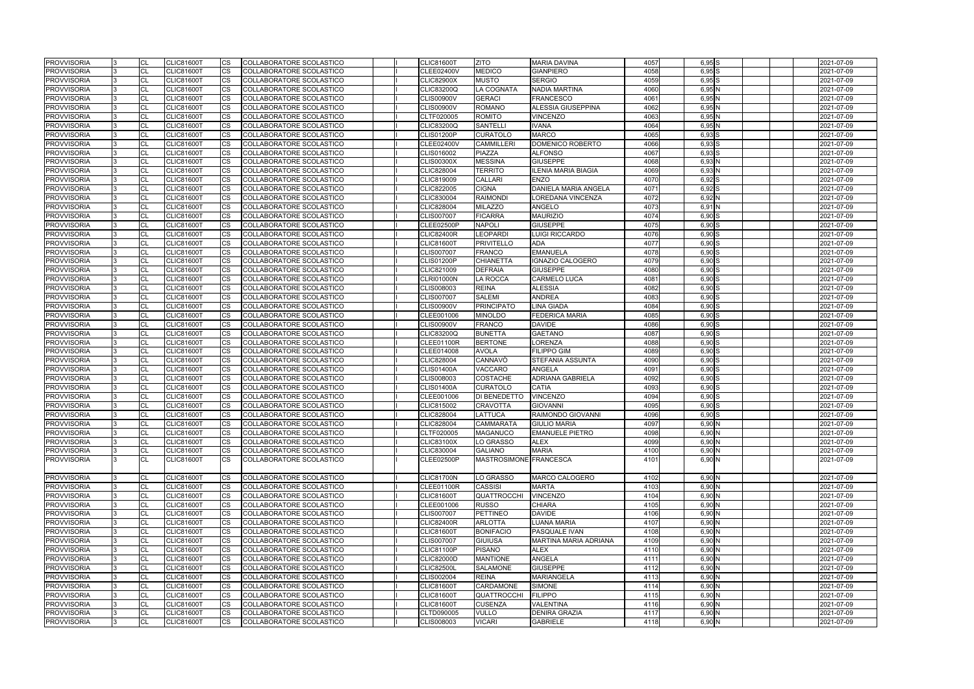| <b>PROVVISORIA</b> | CL              | <b>CLIC81600T</b>                      | CS                     | <b>ICOLLABORATORE SCOLASTICO</b> |  | <b>CLIC81600T</b> | <b>ZITO</b>            | <b>MARIA DAVINA</b>         | 4057 | $6,95$ S            |  | 2021-07-09 |
|--------------------|-----------------|----------------------------------------|------------------------|----------------------------------|--|-------------------|------------------------|-----------------------------|------|---------------------|--|------------|
| <b>PROVVISORIA</b> | <b>CL</b>       | <b>CLIC81600T</b>                      | <b>CS</b>              | <b>COLLABORATORE SCOLASTICO</b>  |  | <b>CLEE02400V</b> | <b>MEDICO</b>          | <b>GIANPIERO</b>            | 4058 | $6,95$ <sub>S</sub> |  | 2021-07-09 |
| <b>PROVVISORIA</b> | CL              | <b>CLIC81600T</b>                      | <b>CS</b>              | COLLABORATORE SCOLASTICO         |  | <b>CLIC82900X</b> | <b>MUSTO</b>           | <b>SERGIO</b>               | 4059 | $6,95$ S            |  | 2021-07-09 |
| <b>PROVVISORIA</b> | CL              | <b>CLIC81600T</b>                      | CS                     | COLLABORATORE SCOLASTICO         |  | <b>CLIC83200Q</b> | <b>LA COGNATA</b>      | <b>NADIA MARTINA</b>        | 4060 | 6,95 N              |  | 2021-07-09 |
| <b>PROVVISORIA</b> | CL              | CLIC81600T                             | CS                     | COLLABORATORE SCOLASTICO         |  | <b>CLIS00900V</b> | <b>GERACI</b>          | <b>FRANCESCO</b>            | 4061 | 6,95 N              |  | 2021-07-09 |
| <b>PROVVISORIA</b> | CL              | <b>CLIC81600T</b>                      | $\overline{\text{cs}}$ | COLLABORATORE SCOLASTICO         |  | <b>CLIS00900V</b> | <b>ROMANO</b>          | <b>ALESSIA GIUSEPPINA</b>   | 4062 | 6,95 N              |  | 2021-07-09 |
| <b>PROVVISORIA</b> | CL              | <b>CLIC81600T</b>                      | <b>CS</b>              | <b>COLLABORATORE SCOLASTICO</b>  |  | CLTF020005        | <b>ROMITO</b>          | <b>VINCENZO</b>             | 4063 | 6,95 <sup>N</sup>   |  | 2021-07-09 |
| <b>PROVVISORIA</b> | CL              | <b>CLIC81600T</b>                      | <b>CS</b>              | COLLABORATORE SCOLASTICO         |  | <b>CLIC83200Q</b> | <b>SANTELLI</b>        | <b>IVANA</b>                | 4064 | 6,95N               |  | 2021-07-09 |
| <b>PROVVISORIA</b> | CL              | <b>CLIC81600T</b>                      | $\overline{\text{cs}}$ | COLLABORATORE SCOLASTICO         |  | <b>CLIS01200P</b> | <b>CURATOLO</b>        | <b>MARCO</b>                | 4065 | $6,93$ S            |  | 2021-07-09 |
| <b>PROVVISORIA</b> | CL              | <b>CLIC81600T</b>                      | CS                     | COLLABORATORE SCOLASTICO         |  | <b>CLEE02400V</b> | <b>CAMMILLERI</b>      | <b>DOMENICO ROBERTO</b>     | 4066 | 6,93 S              |  | 2021-07-09 |
| <b>PROVVISORIA</b> | <b>CL</b>       | <b>CLIC81600T</b>                      | <b>CS</b>              | COLLABORATORE SCOLASTICO         |  | CLIS016002        | PIAZZA                 | <b>ALFONSO</b>              | 4067 | $6,93$ $S$          |  | 2021-07-09 |
| <b>PROVVISORIA</b> | CL              | <b>CLIC81600T</b>                      | <b>CS</b>              | COLLABORATORE SCOLASTICO         |  | <b>CLIS00300X</b> | <b>MESSINA</b>         | <b>GIUSEPPE</b>             | 4068 | 6,93 N              |  | 2021-07-09 |
| <b>PROVVISORIA</b> | CL              | <b>CLIC81600T</b>                      | <b>CS</b>              | COLLABORATORE SCOLASTICO         |  | CLIC828004        | <b>TERRITO</b>         | <b>ILENIA MARIA BIAGIA</b>  | 4069 | 6,93 N              |  | 2021-07-09 |
| <b>PROVVISORIA</b> | <b>CL</b>       | <b>CLIC81600T</b>                      | <b>CS</b>              | COLLABORATORE SCOLASTICO         |  | CLIC819009        | <b>CALLARI</b>         | <b>ENZO</b>                 | 4070 | 6,92 S              |  | 2021-07-09 |
| <b>PROVVISORIA</b> | CL              | <b>CLIC81600T</b>                      | <b>CS</b>              | COLLABORATORE SCOLASTICO         |  | CLIC822005        | <b>CIGNA</b>           | <b>DANIELA MARIA ANGELA</b> | 4071 | 6,92 S              |  | 2021-07-09 |
| <b>PROVVISORIA</b> | CL              | <b>CLIC81600T</b>                      | <b>CS</b>              | COLLABORATORE SCOLASTICO         |  | CLIC830004        | <b>RAIMONDI</b>        | LOREDANA VINCENZA           | 4072 | 6,92 N              |  | 2021-07-09 |
| <b>PROVVISORIA</b> | CL              | <b>CLIC81600T</b>                      | CS                     | COLLABORATORE SCOLASTICO         |  | <b>CLIC828004</b> | <b>MILAZZO</b>         | ANGELO                      | 4073 | 6,91 N              |  | 2021-07-09 |
| <b>PROVVISORIA</b> | CL              | CLIC81600T                             | <b>CS</b>              | COLLABORATORE SCOLASTICO         |  | CLIS007007        | <b>FICARRA</b>         | <b>MAURIZIO</b>             | 4074 | $6,90$ S            |  | 2021-07-09 |
| <b>PROVVISORIA</b> | CL              | <b>CLIC81600T</b>                      | <b>CS</b>              | COLLABORATORE SCOLASTICO         |  | <b>CLEE02500P</b> | <b>NAPOLI</b>          | <b>GIUSEPPE</b>             | 4075 | 6,90 S              |  | 2021-07-09 |
| <b>PROVVISORIA</b> | CL              | <b>CLIC81600T</b>                      | <b>CS</b>              | COLLABORATORE SCOLASTICO         |  | <b>CLIC82400R</b> | <b>LEOPARDI</b>        | <b>LUIGI RICCARDO</b>       | 4076 | $6,90$ S            |  | 2021-07-09 |
| <b>PROVVISORIA</b> | CL              | <b>CLIC81600T</b>                      | <b>CS</b>              | COLLABORATORE SCOLASTICO         |  | <b>CLIC81600T</b> | <b>PRIVITELLO</b>      | <b>ADA</b>                  | 4077 | $6,90$ S            |  | 2021-07-09 |
| <b>PROVVISORIA</b> | CL              | <b>CLIC81600T</b>                      | $\overline{\text{cs}}$ | COLLABORATORE SCOLASTICO         |  | <b>CLIS007007</b> | FRANCO                 | <b>EMANUELA</b>             | 4078 | 6,90 S              |  | 2021-07-09 |
| <b>PROVVISORIA</b> | CL              | <b>CLIC81600T</b>                      | CS                     | COLLABORATORE SCOLASTICO         |  | <b>CLIS01200P</b> | <b>CHIANETTA</b>       | <b>IGNAZIO CALOGERO</b>     | 4079 | $6,90$ S            |  | 2021-07-09 |
| <b>PROVVISORIA</b> | CL              | CLIC81600T                             | CS                     | COLLABORATORE SCOLASTICO         |  | CLIC821009        | <b>DEFRAIA</b>         | <b>GIUSEPPE</b>             | 4080 | $6,90$ S            |  | 2021-07-09 |
| <b>PROVVISORIA</b> | <b>CL</b>       | <b>CLIC81600T</b>                      | <b>CS</b>              | COLLABORATORE SCOLASTICO         |  | <b>CLRI01000N</b> | <b>LA ROCCA</b>        | <b>CARMELO LUCA</b>         | 4081 | 6,90 S              |  | 2021-07-09 |
| <b>PROVVISORIA</b> | CL              | <b>CLIC81600T</b>                      | <b>CS</b>              | COLLABORATORE SCOLASTICO         |  | CLIS008003        | <b>REINA</b>           | <b>ALESSIA</b>              | 4082 | $6,90$ S            |  | 2021-07-09 |
| <b>PROVVISORIA</b> | CL              | <b>CLIC81600T</b>                      | <b>CS</b>              | COLLABORATORE SCOLASTICO         |  | <b>CLIS007007</b> | <b>SALEMI</b>          | <b>ANDREA</b>               | 4083 | $6,90$ S            |  | 2021-07-09 |
| <b>PROVVISORIA</b> | CL              | <b>CLIC81600T</b>                      | <b>CS</b>              | COLLABORATORE SCOLASTICO         |  | <b>CLIS00900V</b> | <b>PRINCIPATO</b>      | <b>LINA GIADA</b>           | 4084 | $6,90$ S            |  | 2021-07-09 |
| <b>PROVVISORIA</b> | CL              | <b>CLIC81600T</b>                      | <b>CS</b>              | COLLABORATORE SCOLASTICO         |  | CLEE001006        | <b>MINOLDO</b>         | <b>FEDERICA MARIA</b>       | 4085 | 6,90 S              |  | 2021-07-09 |
| <b>PROVVISORIA</b> | CL              | <b>CLIC81600T</b>                      | CS                     | COLLABORATORE SCOLASTICO         |  | <b>CLIS00900V</b> | FRANCO                 | <b>DAVIDE</b>               | 4086 | $6,90$ S            |  | 2021-07-09 |
| <b>PROVVISORIA</b> | <b>CL</b>       | <b>CLIC81600T</b>                      | $\overline{\text{cs}}$ | COLLABORATORE SCOLASTICO         |  | <b>CLIC83200Q</b> | <b>BUNETTA</b>         | <b>GAETANO</b>              | 4087 | 6,90S               |  | 2021-07-09 |
| <b>PROVVISORIA</b> | CL              | <b>CLIC81600T</b>                      | CS                     | COLLABORATORE SCOLASTICO         |  | <b>CLEE01100R</b> | <b>BERTONE</b>         | <b>LORENZA</b>              | 4088 | $6,90$ S            |  | 2021-07-09 |
| <b>PROVVISORIA</b> | CL              | <b>CLIC81600T</b>                      | <b>CS</b>              | COLLABORATORE SCOLASTICO         |  | CLEE014008        | <b>AVOLA</b>           | <b>FILIPPO GIM</b>          | 4089 | $6,90$ S            |  | 2021-07-09 |
| <b>PROVVISORIA</b> | CL              | <b>CLIC81600T</b>                      | <b>CS</b>              | COLLABORATORE SCOLASTICO         |  | CLIC828004        | CANNAVO                | STEFANIA ASSUNTA            | 4090 | $6,90$ S            |  | 2021-07-09 |
| <b>PROVVISORIA</b> | CL              | <b>CLIC81600T</b>                      | CS                     | COLLABORATORE SCOLASTICO         |  | <b>CLIS01400A</b> | <b>VACCARO</b>         | <b>ANGELA</b>               | 4091 | $6,90$ S            |  | 2021-07-09 |
| <b>PROVVISORIA</b> | CL              | <b>CLIC81600T</b>                      | CS                     | COLLABORATORE SCOLASTICO         |  | CLIS008003        | <b>COSTACHE</b>        | <b>ADRIANA GABRIELA</b>     | 4092 | $6,90$ S            |  | 2021-07-09 |
| <b>PROVVISORIA</b> | CL              | <b>CLIC81600T</b>                      | <b>CS</b>              | COLLABORATORE SCOLASTICO         |  | <b>CLIS01400A</b> | <b>CURATOLO</b>        | CATIA                       | 4093 | 6,90 S              |  | 2021-07-09 |
| <b>PROVVISORIA</b> | CL              | <b>CLIC81600T</b>                      | <b>CS</b>              | COLLABORATORE SCOLASTICO         |  | CLEE001006        | <b>DI BENEDETTO</b>    | <b>VINCENZO</b>             | 4094 | 6,90 S              |  | 2021-07-09 |
| <b>PROVVISORIA</b> | CL              | <b>CLIC81600T</b>                      | <b>CS</b>              | COLLABORATORE SCOLASTICO         |  | <b>CLIC815002</b> | <b>CRAVOTTA</b>        | <b>GIOVANNI</b>             | 4095 | $6,90$ S            |  | 2021-07-09 |
| <b>PROVVISORIA</b> | CL              | <b>CLIC81600T</b>                      | <b>CS</b>              | COLLABORATORE SCOLASTICO         |  | <b>CLIC828004</b> | <b>LATTUCA</b>         | RAIMONDO GIOVANNI           | 4096 | 6,90 S              |  | 2021-07-09 |
| <b>PROVVISORIA</b> | <b>CL</b>       | <b>CLIC81600T</b>                      | <b>CS</b>              | COLLABORATORE SCOLASTICO         |  | <b>CLIC828004</b> | CAMMARATA              | <b>GIULIO MARIA</b>         | 4097 | 6,90 N              |  | 2021-07-09 |
| <b>PROVVISORIA</b> | <b>CL</b>       | <b>CLIC81600T</b>                      | <b>CS</b>              | COLLABORATORE SCOLASTICO         |  | CLTF020005        | <b>MAGANUCO</b>        | <b>EMANUELE PIETRO</b>      | 4098 | 6,90 N              |  | 2021-07-09 |
| <b>PROVVISORIA</b> | <b>CL</b>       | <b>CLIC81600T</b>                      | <b>CS</b>              | COLLABORATORE SCOLASTICO         |  | <b>CLIC83100X</b> | LO GRASSO              | <b>ALEX</b>                 | 4099 | 6,90 N              |  | 2021-07-09 |
| <b>PROVVISORIA</b> | <b>CL</b>       | <b>CLIC81600T</b>                      | CS                     | COLLABORATORE SCOLASTICO         |  | CLIC830004        | <b>GALIANO</b>         | <b>MARIA</b>                | 4100 | 6,90 N              |  | 2021-07-09 |
| <b>PROVVISORIA</b> | <b>CL</b>       | <b>CLIC81600T</b>                      | <b>CS</b>              | COLLABORATORE SCOLASTICO         |  | <b>CLEE02500P</b> | MASTROSIMONE FRANCESCA |                             | 4101 | 6,90 N              |  | 2021-07-09 |
| <b>PROVVISORIA</b> | <b>CL</b>       | <b>CLIC81600T</b>                      | CS                     | COLLABORATORE SCOLASTICO         |  | <b>CLIC81700N</b> | <b>LO GRASSO</b>       | <b>IMARCO CALOGERO</b>      | 4102 | 6,90 N              |  | 2021-07-09 |
| <b>PROVVISORIA</b> | <b>CL</b>       | <b>CLIC81600T</b>                      | <b>CS</b>              | COLLABORATORE SCOLASTICO         |  | <b>CLEE01100R</b> | <b>CASSISI</b>         | <b>MARTA</b>                | 4103 | 6,90 N              |  | 2021-07-09 |
| <b>PROVVISORIA</b> | <b>CL</b>       | <b>CLIC81600T</b>                      | CS                     | COLLABORATORE SCOLASTICO         |  | <b>CLIC81600T</b> | <b>QUATTROCCHI</b>     | <b>VINCENZO</b>             | 4104 | 6,90 N              |  | 2021-07-09 |
| <b>PROVVISORIA</b> | <b>CL</b>       | <b>CLIC81600T</b>                      | CS                     | COLLABORATORE SCOLASTICO         |  | CLEE001006        | <b>RUSSO</b>           | CHIARA                      | 4105 | 6,90 N              |  | 2021-07-09 |
| <b>PROVVISORIA</b> | <b>CL</b>       | <b>CLIC81600T</b>                      | CS                     | COLLABORATORE SCOLASTICO         |  | <b>CLIS007007</b> | <b>PETTINEO</b>        | <b>DAVIDE</b>               | 4106 | 6,90 N              |  | 2021-07-09 |
| <b>PROVVISORIA</b> | <b>CL</b>       | <b>CLIC81600T</b>                      | <b>CS</b>              | COLLABORATORE SCOLASTICO         |  | <b>CLIC82400R</b> | <b>ARLOTTA</b>         | LUANA MARIA                 | 4107 | 6,90 N              |  | 2021-07-09 |
| <b>PROVVISORIA</b> | <b>CL</b>       | <b>CLIC81600T</b>                      | CS                     | COLLABORATORE SCOLASTICO         |  | <b>CLIC81600T</b> | <b>BONIFACIO</b>       | <b>PASQUALE IVAN</b>        | 4108 | 6,90 N              |  | 2021-07-09 |
| <b>PROVVISORIA</b> | CL              | <b>CLIC81600T</b>                      | <b>CS</b>              | COLLABORATORE SCOLASTICO         |  | <b>CLIS007007</b> | <b>GIUIUSA</b>         | MARTINA MARIA ADRIANA       | 4109 | 6,90 N              |  | 2021-07-09 |
| <b>PROVVISORIA</b> | <b>CL</b>       | <b>CLIC81600T</b>                      | <b>CS</b>              | COLLABORATORE SCOLASTICO         |  | <b>CLIC81100P</b> | <b>PISANO</b>          | <b>ALEX</b>                 | 4110 | 6,90 N              |  | 2021-07-09 |
| <b>PROVVISORIA</b> | <b>CL</b>       | <b>CLIC81600T</b>                      | CS                     | COLLABORATORE SCOLASTICO         |  | <b>CLIC82000D</b> | <b>MANTIONE</b>        | ANGELA                      | 4111 | 6,90N               |  | 2021-07-09 |
| <b>PROVVISORIA</b> | CL              | <b>CLIC81600T</b>                      | <b>CS</b>              | COLLABORATORE SCOLASTICO         |  | <b>CLIC82500L</b> | <b>SALAMONE</b>        | <b>GIUSEPPE</b>             | 4112 | 6,90 N              |  | 2021-07-09 |
| <b>PROVVISORIA</b> |                 |                                        | <b>CS</b>              | COLLABORATORE SCOLASTICO         |  | <b>CLIS002004</b> | <b>REINA</b>           | <b>MARIANGELA</b>           | 4113 | 6,90N               |  | 2021-07-09 |
| <b>PROVVISORIA</b> | <b>CL</b><br>CL | <b>CLIC81600T</b><br><b>CLIC81600T</b> | <b>CS</b>              | COLLABORATORE SCOLASTICO         |  | <b>CLIC81600T</b> | CARDAMONE              | <b>SIMONE</b>               | 4114 | 6,90N               |  | 2021-07-09 |
| <b>PROVVISORIA</b> | CL              | <b>CLIC81600T</b>                      | <b>CS</b>              | COLLABORATORE SCOLASTICO         |  | <b>CLIC81600T</b> | <b>QUATTROCCHI</b>     | <b>FILIPPO</b>              | 4115 | 6,90 N              |  | 2021-07-09 |
| <b>PROVVISORIA</b> |                 |                                        |                        |                                  |  |                   |                        |                             |      |                     |  |            |
|                    | <b>CL</b>       | <b>CLIC81600T</b>                      | <b>CS</b>              | COLLABORATORE SCOLASTICO         |  | <b>CLIC81600T</b> | <b>CUSENZA</b>         | VALENTINA                   | 4116 | 6,90 N              |  | 2021-07-09 |
| <b>PROVVISORIA</b> | <b>CL</b>       | <b>CLIC81600T</b>                      | CS                     | COLLABORATORE SCOLASTICO         |  | CLTD090005        | <b>VULLO</b>           | <b>DENIRA GRAZIA</b>        | 4117 | 6,90 N              |  | 2021-07-09 |
| <b>PROVVISORIA</b> | <b>CL</b>       | <b>CLIC81600T</b>                      | <b>CS</b>              | COLLABORATORE SCOLASTICO         |  | CLIS008003        | <b>VICARI</b>          | <b>GABRIELE</b>             | 4118 | 6,90 N              |  | 2021-07-09 |

|  |  | 2021-07-09               |
|--|--|--------------------------|
|  |  | 2021-07-09               |
|  |  | 2021-07-09               |
|  |  | 2021-07-09               |
|  |  | 2021-07-09               |
|  |  | 2021-07-09               |
|  |  | 2021-07-09               |
|  |  | 2021-07-09               |
|  |  | 2021-07-09               |
|  |  | 2021-07-09               |
|  |  | 2021-07-09               |
|  |  | 2021-07-09               |
|  |  | 2021-07-09               |
|  |  | 2021-07-09               |
|  |  | 2021-07-09               |
|  |  | 2021-07-09               |
|  |  | 2021-07-09               |
|  |  | 2021-07-09               |
|  |  | 2021-07-09               |
|  |  | 2021-07-09               |
|  |  | 2021-07-09               |
|  |  | 2021-07-09               |
|  |  | 2021-07-09               |
|  |  | 2021-07-09               |
|  |  | 2021-07-09               |
|  |  | 2021-07-09               |
|  |  | 2021-07-09<br>2021-07-09 |
|  |  | 2021-07-09               |
|  |  | 2021-07-09               |
|  |  | 2021-07-09               |
|  |  | 2021-07-09               |
|  |  | 2021-07-09               |
|  |  | 2021-07-09               |
|  |  | 2021-07-09               |
|  |  | 2021-07-09               |
|  |  | 2021-07-09               |
|  |  | 2021-07-09               |
|  |  | 2021-07-09               |
|  |  | 2021-07-09               |
|  |  | 2021-07-09               |
|  |  | 2021-07-09               |
|  |  | 2021-07-09               |
|  |  | 2021-07-09               |
|  |  | 2021-07-09               |
|  |  |                          |
|  |  | 2021-07-09               |
|  |  | 2021-07-09               |
|  |  | 2021-07-09               |
|  |  | 2021-07-09               |
|  |  | 2021-07-09               |
|  |  | 2021-07-09               |
|  |  | 2021-07-09               |
|  |  | 2021-07-09               |
|  |  | 2021-07-09               |
|  |  | 2021-07-09               |
|  |  | 2021-07-09               |
|  |  | 2021-07-09<br>2021-07-09 |
|  |  | 2021-07-09               |
|  |  | 2021-07-09               |
|  |  | 2021-07-09               |
|  |  | 2021-07-09               |
|  |  |                          |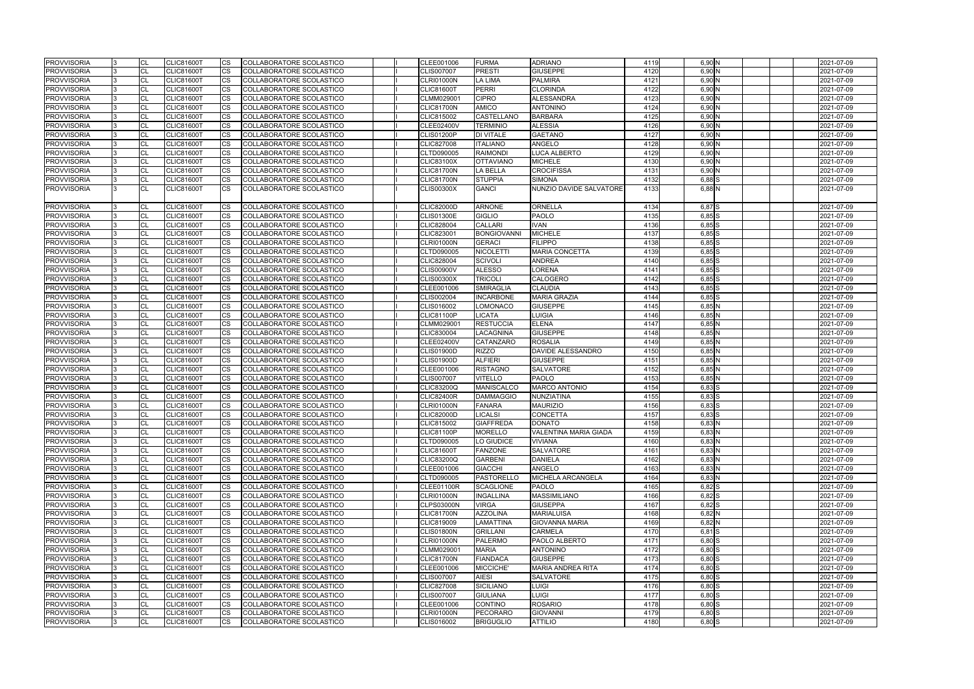| <b>PROVVISORIA</b>                       | 13  | <b>CL</b>              | <b>CLIC81600T</b>                      | CS        | COLLABORATORE SCOLASTICO                             |  | CLEE001006                      | <b>FURMA</b>                 | <b>ADRIANO</b>                | 4119         | 6,90 N             | 2021-07-09               |
|------------------------------------------|-----|------------------------|----------------------------------------|-----------|------------------------------------------------------|--|---------------------------------|------------------------------|-------------------------------|--------------|--------------------|--------------------------|
| <b>PROVVISORIA</b>                       |     | <b>CL</b>              | <b>CLIC81600T</b>                      | <b>CS</b> | COLLABORATORE SCOLASTICO                             |  | <b>CLIS007007</b>               | <b>PRESTI</b>                | <b>GIUSEPPE</b>               | 4120         | $6,90$ N           | 2021-07-09               |
| <b>PROVVISORIA</b>                       |     | <b>CL</b>              | <b>CLIC81600T</b>                      | CS        | COLLABORATORE SCOLASTICO                             |  | <b>CLRI01000N</b>               | <b>LA LIMA</b>               | <b>PALMIRA</b>                | 4121         | 6,90 N             | 2021-07-09               |
| <b>PROVVISORIA</b>                       |     | <b>CL</b>              | <b>CLIC81600T</b>                      | CS        | COLLABORATORE SCOLASTICO                             |  | <b>CLIC81600T</b>               | <b>PERRI</b>                 | <b>CLORINDA</b>               | 4122         | $6,90$ N           | 2021-07-09               |
| <b>PROVVISORIA</b>                       |     | <b>CL</b>              | <b>CLIC81600T</b>                      | СS        | COLLABORATORE SCOLASTICO                             |  | CLMM029001                      | <b>CIPRO</b>                 | <b>ALESSANDRA</b>             | 4123         | 6,90 N             | 2021-07-09               |
| <b>PROVVISORIA</b>                       |     | <b>CL</b>              | CLIC81600T                             | CS        | COLLABORATORE SCOLASTICO                             |  | <b>CLIC81700N</b>               | <b>AMICO</b>                 | ANTONINO                      | 4124         | 6,90 N             | 2021-07-09               |
| PROVVISORIA                              |     | <b>CL</b>              | <b>CLIC81600T</b>                      | CS        | COLLABORATORE SCOLASTICO                             |  | CLIC815002                      | CASTELLANO                   | <b>BARBARA</b>                | 4125         | 6,90 N             | 2021-07-09               |
| <b>PROVVISORIA</b>                       |     | <b>CL</b>              | <b>CLIC81600T</b>                      | CS        | COLLABORATORE SCOLASTICO                             |  | CLEE02400V                      | <b>TERMINIO</b>              | <b>ALESSIA</b>                | 4126         | 6,90 N             | 2021-07-09               |
| <b>PROVVISORIA</b>                       |     | <b>CL</b>              | <b>CLIC81600T</b>                      | CS        | COLLABORATORE SCOLASTICO                             |  | CLIS01200P                      | <b>DI VITALE</b>             | <b>GAETANO</b>                | 4127         | 6,90 N             | 2021-07-09               |
| <b>PROVVISORIA</b>                       |     | <b>CL</b>              | <b>CLIC81600T</b>                      | CS.       | COLLABORATORE SCOLASTICO                             |  | <b>CLIC827008</b>               | <b>ITALIANO</b>              | ANGELO                        | 4128         | 6,90 N             | 2021-07-09               |
| <b>PROVVISORIA</b>                       |     | <b>CL</b>              | <b>CLIC81600T</b>                      | СS        | COLLABORATORE SCOLASTICO                             |  | CLTD090005                      | <b>RAIMONDI</b>              | LUCA ALBERTO                  | 4129         | $6,90$ N           | 2021-07-09               |
| <b>PROVVISORIA</b>                       |     | <b>CL</b>              | <b>CLIC81600T</b>                      | CS        | COLLABORATORE SCOLASTICO                             |  | <b>CLIC83100X</b>               | <b>OTTAVIANO</b>             | <b>MICHELE</b>                | 4130         | 6,90 N             | 2021-07-09               |
| <b>PROVVISORIA</b>                       |     | <b>CL</b>              | <b>CLIC81600T</b>                      | <b>CS</b> | COLLABORATORE SCOLASTICO                             |  | <b>CLIC81700N</b>               | <b>LA BELLA</b>              | <b>CROCIFISSA</b>             | 4131         | 6,90 N             | 2021-07-09               |
| <b>PROVVISORIA</b>                       |     | <b>CL</b>              | <b>CLIC81600T</b>                      | CS        | COLLABORATORE SCOLASTICO                             |  | <b>CLIC81700N</b>               | <b>STUPPIA</b>               | <b>SIMONA</b>                 | 4132         | 6,88 S             | 2021-07-09               |
| <b>PROVVISORIA</b>                       | Iз  | <b>CL</b>              | <b>CLIC81600T</b>                      | <b>CS</b> | COLLABORATORE SCOLASTICO                             |  | <b>CLIS00300X</b>               | <b>GANCI</b>                 | NUNZIO DAVIDE SALVATORE       | 4133         | $6,88$ N           | 2021-07-09               |
| <b>PROVVISORIA</b>                       |     | <b>CL</b>              | <b>CLIC81600T</b>                      | СS        | COLLABORATORE SCOLASTICO                             |  | <b>CLIC82000D</b>               | <b>ARNONE</b>                | ORNELLA                       | 4134         | 6,87 S             | 2021-07-09               |
| <b>PROVVISORIA</b>                       |     | <b>CL</b>              | <b>CLIC81600T</b>                      | <b>CS</b> | COLLABORATORE SCOLASTICO                             |  | <b>CLIS01300E</b>               | <b>GIGLIO</b>                | <b>PAOLO</b>                  | 4135         | $6,85$ $S$         | 2021-07-09               |
| <b>PROVVISORIA</b>                       |     | <b>CL</b>              | <b>CLIC81600T</b>                      | <b>CS</b> | COLLABORATORE SCOLASTICO                             |  | <b>CLIC828004</b>               | <b>CALLARI</b>               | <b>IVAN</b>                   | 4136         | $6,85$ S           | 2021-07-09               |
| <b>PROVVISORIA</b>                       |     | <b>CL</b>              | <b>CLIC81600T</b>                      | CS        | COLLABORATORE SCOLASTICO                             |  | CLIC823001                      | <b>BONGIOVANNI</b>           | <b>MICHELE</b>                | 4137         | $6,85$ S           | 2021-07-09               |
| <b>PROVVISORIA</b>                       |     | <b>CL</b>              | <b>CLIC81600T</b>                      | CS        | COLLABORATORE SCOLASTICO                             |  | <b>CLRI01000N</b>               | <b>GERACI</b>                | <b>FILIPPO</b>                | 4138         | $6,85$ $S$         | 2021-07-09               |
| <b>PROVVISORIA</b>                       |     | <b>CL</b>              | <b>CLIC81600T</b>                      | <b>CS</b> | COLLABORATORE SCOLASTICO                             |  | CLTD090005                      | <b>NICOLETTI</b>             | <b>MARIA CONCETTA</b>         | 4139         | $6,85$ S           | 2021-07-09               |
| <b>PROVVISORIA</b>                       |     | <b>CL</b>              | <b>CLIC81600T</b>                      | СS        | COLLABORATORE SCOLASTICO                             |  | <b>CLIC828004</b>               | <b>SCIVOLI</b>               | ANDREA                        | 4140         | $6,85$ S           | 2021-07-09               |
| <b>PROVVISORIA</b>                       |     | <b>CL</b>              | <b>CLIC81600T</b>                      | CS        | COLLABORATORE SCOLASTICO                             |  | <b>CLIS00900V</b>               | <b>ALESSO</b>                | LORENA                        | 4141         | $6,85$ S           | 2021-07-09               |
| <b>PROVVISORIA</b>                       |     | <b>CL</b>              | <b>CLIC81600T</b>                      | CS.       | COLLABORATORE SCOLASTICO                             |  | <b>CLIS00300X</b>               | <b>TRICOLI</b>               | CALOGERO                      | 4142         | $6,85$ S           | 2021-07-09               |
| <b>PROVVISORIA</b>                       |     | <b>CL</b>              | <b>CLIC81600T</b>                      | CS        | COLLABORATORE SCOLASTICO                             |  | CLEE001006                      | <b>SMIRAGLIA</b>             | CLAUDIA                       | 4143         | $6,85$ S           | 2021-07-09               |
| <b>PROVVISORIA</b>                       |     | <b>CL</b>              | <b>CLIC81600T</b>                      | CS        | COLLABORATORE SCOLASTICO                             |  | CLIS002004                      | <b>INCARBONE</b>             | <b>MARIA GRAZIA</b>           | 4144         | $6,85$ $S$         | 2021-07-09               |
| <b>PROVVISORIA</b>                       |     | <b>CL</b>              | <b>CLIC81600T</b>                      | CS.       | COLLABORATORE SCOLASTICO                             |  | CLIS016002                      | <b>LOMONACO</b>              | <b>GIUSEPPE</b>               | 4145         | 6,85 N             | 2021-07-09               |
| <b>PROVVISORIA</b>                       |     | <b>CL</b>              | <b>CLIC81600T</b>                      | CS        | COLLABORATORE SCOLASTICO                             |  | <b>CLIC81100P</b>               | <b>LICATA</b>                | LUIGIA                        | 4146         | $6,85$ N           | 2021-07-09               |
| <b>PROVVISORIA</b>                       |     | <b>CL</b>              | <b>CLIC81600T</b>                      | СS        | COLLABORATORE SCOLASTICO                             |  | CLMM029001                      | <b>RESTUCCIA</b>             | <b>ELENA</b>                  | 4147         | $6,85$ N           | 2021-07-09               |
| <b>PROVVISORIA</b>                       |     | <b>CL</b>              | <b>CLIC81600T</b>                      | CS.       | COLLABORATORE SCOLASTICO                             |  | CLIC830004                      | <b>LACAGNINA</b>             | <b>GIUSEPPE</b>               | 4148         | 6,85 N             | 2021-07-09               |
| <b>PROVVISORIA</b>                       |     | <b>CL</b>              | <b>CLIC81600T</b>                      | <b>CS</b> | COLLABORATORE SCOLASTICO                             |  | <b>CLEE02400V</b>               | CATANZARO                    | <b>ROSALIA</b>                | 4149         | 6,85N              | 2021-07-09               |
| <b>PROVVISORIA</b>                       |     | <b>CL</b>              | <b>CLIC81600T</b>                      | CS        | COLLABORATORE SCOLASTICO                             |  | <b>CLIS01900D</b>               | <b>RIZZO</b>                 | DAVIDE ALESSANDRO             | 4150         | 6,85 N             | 2021-07-09               |
| <b>PROVVISORIA</b>                       |     | <b>CL</b>              | CLIC81600T                             | CS        | COLLABORATORE SCOLASTICO                             |  | <b>CLIS01900D</b>               | <b>ALFIERI</b>               | <b>GIUSEPPE</b>               | 4151         | 6,85 N             | 2021-07-09               |
| PROVVISORIA                              |     | <b>CL</b>              | <b>CLIC81600T</b>                      | CS.       | COLLABORATORE SCOLASTICO                             |  | CLEE001006                      | <b>RISTAGNO</b>              | <b>SALVATORE</b>              | 4152         | $6,85$ N           | 2021-07-09               |
| <b>PROVVISORIA</b>                       |     | <b>CL</b>              | <b>CLIC81600T</b>                      | СS        | COLLABORATORE SCOLASTICO                             |  | <b>CLIS007007</b>               | <b>VITELLO</b>               | PAOLO                         | 4153         | $6,85$ N           | 2021-07-09               |
| <b>PROVVISORIA</b>                       |     | <b>CL</b>              | <b>CLIC81600T</b>                      | CS        | COLLABORATORE SCOLASTICO                             |  | <b>CLIC83200Q</b>               | <b>MANISCALCO</b>            | <b>MARCO ANTONIO</b>          | 4154         | 6,83 S             | 2021-07-09               |
| <b>PROVVISORIA</b>                       |     | <b>CL</b>              | <b>CLIC81600T</b>                      | <b>CS</b> | COLLABORATORE SCOLASTICO                             |  | <b>CLIC82400R</b>               | <b>DAMMAGGIO</b>             | <b>NUNZIATINA</b>             | 4155         | $6,83$ $S$         | 2021-07-09               |
| <b>PROVVISORIA</b>                       |     | <b>CL</b>              | <b>CLIC81600T</b>                      | CS        | COLLABORATORE SCOLASTICO                             |  | <b>CLRI01000N</b>               | <b>FANARA</b>                | <b>MAURIZIO</b>               | 4156         | 6,83 S             | 2021-07-09               |
| <b>PROVVISORIA</b>                       | 13  | <b>CL</b>              | CLIC81600T                             | <b>CS</b> | COLLABORATORE SCOLASTICO                             |  | <b>CLIC82000D</b>               | <b>LICALSI</b>               | CONCETTA                      | 4157         | 6,83 S             | 2021-07-09               |
| <b>PROVVISORIA</b>                       | l3. | <b>CI</b>              | <b>CLIC81600T</b>                      | <b>CS</b> | COLLABORATORE SCOLASTICO                             |  | CLIC815002                      | <b>GIAFFREDA</b>             | <b>DONATO</b>                 | 4158         | 6,83 N             | 2021-07-09               |
| <b>PROVVISORIA</b>                       |     | <b>CL</b>              | <b>CLIC81600T</b>                      | CS        | COLLABORATORE SCOLASTICO                             |  | <b>CLIC81100P</b>               | <b>MORELLO</b>               | VALENTINA MARIA GIADA         | 4159         | 6,83 N             | 2021-07-09               |
| <b>PROVVISORIA</b>                       |     | <b>CL</b>              | <b>CLIC81600T</b>                      | CS        | COLLABORATORE SCOLASTICO                             |  | CLTD090005                      | LO GIUDICE                   | VIVIANA                       | 4160         | $6,83$ N           | 2021-07-09               |
| <b>PROVVISORIA</b>                       |     | <b>CL</b>              | <b>CLIC81600T</b>                      | <b>CS</b> | COLLABORATORE SCOLASTICO                             |  | <b>CLIC81600T</b>               | <b>FANZONE</b>               | <b>SALVATORE</b>              | 4161         | $6,83$ N           | 2021-07-09               |
| <b>PROVVISORIA</b>                       |     | <b>CL</b>              | <b>CLIC81600T</b>                      | CS        | COLLABORATORE SCOLASTICO                             |  | <b>CLIC83200Q</b>               | <b>GARBENI</b>               | DANIELA                       | 4162         | 6,83 N             | 2021-07-09               |
| <b>PROVVISORIA</b>                       |     | <b>CL</b>              | <b>CLIC81600T</b>                      | CS        | COLLABORATORE SCOLASTICO                             |  | CLEE001006                      | <b>GIACCHI</b>               | ANGELO                        | 4163         | 6,83N              | 2021-07-09               |
| <b>PROVVISORIA</b>                       |     | <b>CL</b>              | <b>CLIC81600T</b>                      | CS        | COLLABORATORE SCOLASTICO                             |  | CLTD090005                      | PASTORELLO                   | MICHELA ARCANGELA             | 4164         | $6,83$ N           | 2021-07-09               |
| <b>PROVVISORIA</b>                       |     | <b>CL</b>              | <b>CLIC81600T</b>                      | CS        | COLLABORATORE SCOLASTICO                             |  | <b>CLEE01100R</b>               | <b>SCAGLIONE</b>             | PAOLO                         | 4165         | 6,82 S             | 2021-07-09               |
| <b>PROVVISORIA</b>                       |     | <b>CL</b>              | <b>CLIC81600T</b>                      | CS        | COLLABORATORE SCOLASTICO                             |  | <b>CLRI01000N</b>               | <b>INGALLINA</b>             | <b>MASSIMILIANO</b>           | 4166         | $6,82$ $S$         | 2021-07-09               |
| <b>PROVVISORIA</b>                       |     | <b>CL</b>              | <b>CLIC81600T</b>                      | CS        | COLLABORATORE SCOLASTICO                             |  | <b>CLPS03000N</b>               | <b>VIRGA</b>                 | <b>GIUSEPPA</b>               | 4167         | $6,82$ $S$         | 2021-07-09               |
| <b>PROVVISORIA</b>                       |     | <b>CL</b>              | <b>CLIC81600T</b>                      | CS        | COLLABORATORE SCOLASTICO                             |  | <b>CLIC81700N</b>               | <b>AZZOLINA</b>              | <b>MARIALUISA</b>             | 4168         | 6,82 N             | 2021-07-09               |
| <b>PROVVISORIA</b>                       |     | <b>CL</b>              | <b>CLIC81600T</b>                      | CS        | COLLABORATORE SCOLASTICO                             |  | <b>CLIC819009</b>               | LAMATTINA                    | <b>GIOVANNA MARIA</b>         | 4169         | 6,82 N             | 2021-07-09               |
| <b>PROVVISORIA</b>                       |     | <b>CL</b>              | <b>CLIC81600T</b>                      | CS.       | COLLABORATORE SCOLASTICO                             |  | CLIS01800N                      | <b>GRILLANI</b>              | CARMELA                       | 4170         | 6,81 S             | 2021-07-09               |
| <b>PROVVISORIA</b>                       |     | <b>CL</b>              | <b>CLIC81600T</b>                      | <b>CS</b> | COLLABORATORE SCOLASTICO                             |  | <b>CLRI01000N</b>               | <b>PALERMO</b>               | PAOLO ALBERTO                 | 4171         | 6,80S              | 2021-07-09               |
| <b>PROVVISORIA</b>                       |     | <b>CL</b>              | <b>CLIC81600T</b>                      | CS        | COLLABORATORE SCOLASTICO                             |  | CLMM029001                      | <b>MARIA</b>                 | ANTONINO                      | 4172         | $6,80$ S           | 2021-07-09               |
|                                          |     |                        |                                        |           |                                                      |  |                                 |                              |                               | 4173         |                    |                          |
| <b>PROVVISORIA</b><br><b>PROVVISORIA</b> |     | <b>CL</b><br><b>CL</b> | <b>CLIC81600T</b><br><b>CLIC81600T</b> | CS<br>CS  | COLLABORATORE SCOLASTICO<br>COLLABORATORE SCOLASTICO |  | <b>CLIC81700N</b><br>CLEE001006 | <b>FIANDACA</b><br>MICCICHE' | GIUSEPPE<br>MARIA ANDREA RITA | 4174         | 6,80 S<br>$6,80$ S | 2021-07-09<br>2021-07-09 |
| <b>PROVVISORIA</b>                       |     | <b>CL</b>              | <b>CLIC81600T</b>                      |           |                                                      |  |                                 | <b>AIESI</b>                 | <b>SALVATORE</b>              | 4175         | 6,80 S             |                          |
|                                          |     | <b>CL</b>              |                                        | CS        | COLLABORATORE SCOLASTICO                             |  | <b>CLIS007007</b>               |                              |                               |              |                    | 2021-07-09               |
| <b>PROVVISORIA</b><br>PROVVISORIA        |     |                        | <b>CLIC81600T</b>                      | CS        | COLLABORATORE SCOLASTICO                             |  | <b>CLIC827008</b>               | <b>SICILIANO</b>             | LUIGI<br>LUIGI                | 4176<br>4177 | 6,80 S<br>6,80 S   | 2021-07-09               |
| <b>PROVVISORIA</b>                       |     | <b>CL</b>              | <b>CLIC81600T</b>                      | CS        | COLLABORATORE SCOLASTICO                             |  | <b>CLIS007007</b>               | <b>GIULIANA</b>              | <b>ROSARIO</b>                | 4178         | $6,80$ S           | 2021-07-09               |
|                                          |     | <b>CL</b>              | CLIC81600T                             | CS        | COLLABORATORE SCOLASTICO                             |  | CLEE001006                      | <b>CONTINO</b>               |                               |              |                    | 2021-07-09               |
| <b>PROVVISORIA</b>                       |     | <b>CL</b>              | <b>CLIC81600T</b>                      | CS        | COLLABORATORE SCOLASTICO                             |  | <b>CLRI01000N</b>               | PECORARO                     | GIOVANNI                      | 4179         | 6,80 S             | 2021-07-09               |
| <b>PROVVISORIA</b>                       |     | <b>CL</b>              | <b>CLIC81600T</b>                      | CS        | COLLABORATORE SCOLASTICO                             |  | CLIS016002                      | <b>BRIGUGLIO</b>             | <b>ATTILIO</b>                | 4180         | 6,80 S             | 2021-07-09               |

|  |  | 2021-07-09 |
|--|--|------------|
|  |  |            |
|  |  | 2021-07-09 |
|  |  | 2021-07-09 |
|  |  | 2021-07-09 |
|  |  | 2021-07-09 |
|  |  |            |
|  |  | 2021-07-09 |
|  |  | 2021-07-09 |
|  |  | 2021-07-09 |
|  |  | 2021-07-09 |
|  |  | 2021-07-09 |
|  |  |            |
|  |  | 2021-07-09 |
|  |  | 2021-07-09 |
|  |  | 2021-07-09 |
|  |  | 2021-07-09 |
|  |  | 2021-07-09 |
|  |  |            |
|  |  |            |
|  |  | 2021-07-09 |
|  |  | 2021-07-09 |
|  |  | 2021-07-09 |
|  |  | 2021-07-09 |
|  |  |            |
|  |  | 2021-07-09 |
|  |  | 2021-07-09 |
|  |  | 2021-07-09 |
|  |  | 2021-07-09 |
|  |  | 2021-07-09 |
|  |  |            |
|  |  | 2021-07-09 |
|  |  | 2021-07-09 |
|  |  | 2021-07-09 |
|  |  | 2021-07-09 |
|  |  | 2021-07-09 |
|  |  |            |
|  |  | 2021-07-09 |
|  |  | 2021-07-09 |
|  |  | 2021-07-09 |
|  |  | 2021-07-09 |
|  |  | 2021-07-09 |
|  |  |            |
|  |  | 2021-07-09 |
|  |  | 2021-07-09 |
|  |  | 2021-07-09 |
|  |  | 2021-07-09 |
|  |  | 2021-07-09 |
|  |  |            |
|  |  | 2021-07-09 |
|  |  | 2021-07-09 |
|  |  | 2021-07-09 |
|  |  | 2021-07-09 |
|  |  | 2021-07-09 |
|  |  |            |
|  |  | 2021-07-09 |
|  |  | 2021-07-09 |
|  |  | 2021-07-09 |
|  |  | 2021-07-09 |
|  |  | 2021-07-09 |
|  |  | 2021-07-09 |
|  |  |            |
|  |  | 2021-07-09 |
|  |  | 2021-07-09 |
|  |  | 2021-07-09 |
|  |  | 2021-07-09 |
|  |  | 2021-07-09 |
|  |  |            |
|  |  | 2021-07-09 |
|  |  | 2021-07-09 |
|  |  | 2021-07-09 |
|  |  | 2021-07-09 |
|  |  | 2021-07-09 |
|  |  |            |
|  |  | 2021-07-09 |
|  |  | 2021-07-09 |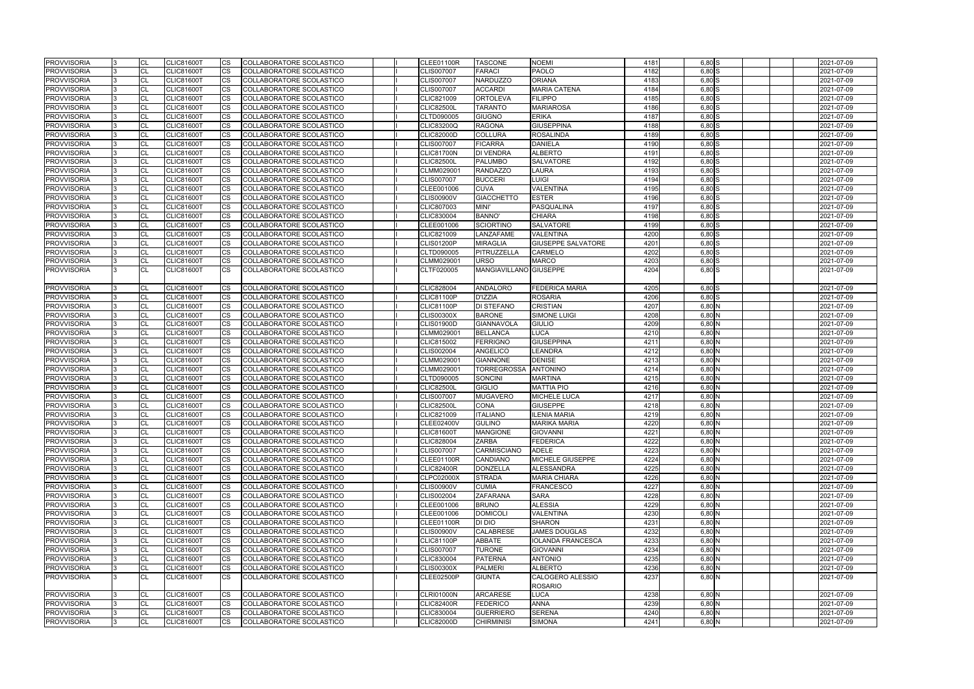| <b>PROVVISORIA</b> | <b>CL</b>              | <b>CLIC81600T</b>                      | <b>CS</b> | COLLABORATORE SCOLASTICO                             |  | CLEE01100R                             | <b>TASCONE</b>                  | <b>NOEMI</b>                       | 4181 | 6,80 S   | 2021-07-09               |
|--------------------|------------------------|----------------------------------------|-----------|------------------------------------------------------|--|----------------------------------------|---------------------------------|------------------------------------|------|----------|--------------------------|
| <b>PROVVISORIA</b> | <b>CL</b>              | <b>CLIC81600T</b>                      | <b>CS</b> | <b>COLLABORATORE SCOLASTICO</b>                      |  | <b>CLIS007007</b>                      | <b>FARACI</b>                   | <b>PAOLO</b>                       | 4182 | 6,80 S   | 2021-07-09               |
| <b>PROVVISORIA</b> | <b>CL</b>              | <b>CLIC81600T</b>                      | CS        | COLLABORATORE SCOLASTICO                             |  | <b>CLIS007007</b>                      | <b>NARDUZZO</b>                 | <b>ORIANA</b>                      | 4183 | 6,80 S   | 2021-07-09               |
| <b>PROVVISORIA</b> | <b>CL</b>              | <b>CLIC81600T</b>                      | CS        | COLLABORATORE SCOLASTICO                             |  | <b>CLIS007007</b>                      | <b>ACCARDI</b>                  | <b>MARIA CATENA</b>                | 4184 | 6,80 S   | 2021-07-09               |
| <b>PROVVISORIA</b> | <b>CL</b>              | <b>CLIC81600T</b>                      | CS        | COLLABORATORE SCOLASTICO                             |  | CLIC821009                             | <b>ORTOLEVA</b>                 | <b>FILIPPO</b>                     | 4185 | 6,80 S   | 2021-07-09               |
| <b>PROVVISORIA</b> | CL                     | <b>CLIC81600T</b>                      | CS        | COLLABORATORE SCOLASTICO                             |  | <b>CLIC82500L</b>                      | <b>TARANTO</b>                  | MARIAROSA                          | 4186 | 6,80 S   | 2021-07-09               |
| <b>PROVVISORIA</b> | <b>CL</b>              | <b>CLIC81600T</b>                      | CS        | COLLABORATORE SCOLASTICO                             |  | CLTD090005                             | <b>GIUGNO</b>                   | <b>ERIKA</b>                       | 4187 | 6,80 S   | 2021-07-09               |
| <b>PROVVISORIA</b> | CL                     | <b>CLIC81600T</b>                      | <b>CS</b> | COLLABORATORE SCOLASTICO                             |  | <b>CLIC83200Q</b>                      | <b>RAGONA</b>                   | <b>GIUSEPPINA</b>                  | 4188 | 6,80 S   | 2021-07-09               |
| <b>PROVVISORIA</b> | CL                     | <b>CLIC81600T</b>                      | CS        | COLLABORATORE SCOLASTICO                             |  | <b>CLIC82000D</b>                      | <b>COLLURA</b>                  | <b>ROSALINDA</b>                   | 4189 | 6,80 S   | 2021-07-09               |
| <b>PROVVISORIA</b> | <b>CL</b>              | <b>CLIC81600T</b>                      | CS        | COLLABORATORE SCOLASTICO                             |  | <b>CLIS007007</b>                      | <b>FICARRA</b>                  | <b>DANIELA</b>                     | 4190 | 6,80 S   | 2021-07-09               |
| <b>PROVVISORIA</b> | CL                     | <b>CLIC81600T</b>                      | CS        | COLLABORATORE SCOLASTICO                             |  | <b>CLIC81700N</b>                      | <b>DI VENDRA</b>                | <b>ALBERTO</b>                     | 4191 | 6,80 S   | 2021-07-09               |
| <b>PROVVISORIA</b> | <b>CL</b>              | <b>CLIC81600T</b>                      | CS        | COLLABORATORE SCOLASTICO                             |  | <b>CLIC82500L</b>                      | <b>PALUMBO</b>                  | <b>SALVATORE</b>                   | 4192 | $6,80$ S | 2021-07-09               |
| <b>PROVVISORIA</b> | <b>CL</b>              | <b>CLIC81600T</b>                      | <b>CS</b> | COLLABORATORE SCOLASTICO                             |  | CLMM029001                             | <b>RANDAZZO</b>                 | LAURA                              | 4193 | 6,80 S   | 2021-07-09               |
| <b>PROVVISORIA</b> | <b>CL</b>              | <b>CLIC81600T</b>                      | <b>CS</b> | COLLABORATORE SCOLASTICO                             |  | <b>CLIS007007</b>                      | <b>BUCCERI</b>                  | <b>LUIGI</b>                       | 4194 | $6,80$ S | 2021-07-09               |
| <b>PROVVISORIA</b> | <b>CL</b>              | <b>CLIC81600T</b>                      | <b>CS</b> | COLLABORATORE SCOLASTICO                             |  | CLEE001006                             | <b>CUVA</b>                     | VALENTINA                          | 4195 | $6,80$ S | 2021-07-09               |
| <b>PROVVISORIA</b> | <b>CL</b>              | <b>CLIC81600T</b>                      | CS        | COLLABORATORE SCOLASTICO                             |  | <b>CLIS00900V</b>                      | <b>GIACCHETTO</b>               | <b>ESTER</b>                       | 4196 | 6,80 S   | 2021-07-09               |
| <b>PROVVISORIA</b> | CL                     | <b>CLIC81600T</b>                      | CS        | COLLABORATORE SCOLASTICO                             |  | CLIC807003                             | MINI'                           | PASQUALINA                         | 4197 | 6,80 S   | 2021-07-09               |
| <b>PROVVISORIA</b> | <b>CL</b>              | <b>CLIC81600T</b>                      | CS        | COLLABORATORE SCOLASTICO                             |  | CLIC830004                             | <b>BANNO'</b>                   | <b>CHIARA</b>                      | 4198 | $6,80$ S | 2021-07-09               |
| <b>PROVVISORIA</b> | <b>CL</b>              | <b>CLIC81600T</b>                      | CS        | <b>COLLABORATORE SCOLASTICO</b>                      |  | CLEE001006                             | <b>SCIORTINO</b>                | <b>SALVATORE</b>                   | 4199 | 6,80 S   | 2021-07-09               |
| <b>PROVVISORIA</b> | CL                     | <b>CLIC81600T</b>                      | <b>CS</b> | COLLABORATORE SCOLASTICO                             |  | CLIC821009                             | LANZAFAME                       | <b>VALENTINA</b>                   | 4200 | $6,80$ S | 2021-07-09               |
| <b>PROVVISORIA</b> | <b>CL</b>              | <b>CLIC81600T</b>                      | CS        | COLLABORATORE SCOLASTICO                             |  | <b>CLIS01200P</b>                      | <b>MIRAGLIA</b>                 | <b>GIUSEPPE SALVATORE</b>          | 4201 | 6,80 S   | 2021-07-09               |
| <b>PROVVISORIA</b> | <b>CL</b>              | <b>CLIC81600T</b>                      | CS        | COLLABORATORE SCOLASTICO                             |  | CLTD090005                             | PITRUZZELLA                     | <b>CARMELO</b>                     | 4202 | $6,80$ S | 2021-07-09               |
| <b>PROVVISORIA</b> | <b>CL</b>              | <b>CLIC81600T</b>                      | CS        | COLLABORATORE SCOLASTICO                             |  | CLMM029001                             | <b>URSO</b>                     | <b>MARCO</b>                       | 4203 | 6,80 S   | 2021-07-09               |
| <b>PROVVISORIA</b> | <b>CL</b>              | <b>CLIC81600T</b>                      | CS        | COLLABORATORE SCOLASTICO                             |  | CLTF020005                             | MANGIAVILLANO GIUSEPPE          |                                    | 4204 | 6,80 S   | 2021-07-09               |
| <b>PROVVISORIA</b> | <b>CL</b>              | <b>CLIC81600T</b>                      | <b>CS</b> | COLLABORATORE SCOLASTICO                             |  | <b>CLIC828004</b>                      | <b>ANDALORO</b>                 | <b>FEDERICA MARIA</b>              | 4205 | $6,80$ S | 2021-07-09               |
| <b>PROVVISORIA</b> | <b>CL</b>              | <b>CLIC81600T</b>                      | CS        | COLLABORATORE SCOLASTICO                             |  | <b>CLIC81100P</b>                      | <b>D'IZZIA</b>                  | <b>ROSARIA</b>                     | 4206 | 6,80 S   | 2021-07-09               |
| <b>PROVVISORIA</b> | <b>CL</b>              | <b>CLIC81600T</b>                      | CS        | <b>COLLABORATORE SCOLASTICO</b>                      |  | <b>CLIC81100P</b>                      | <b>DI STEFANO</b>               | <b>CRISTIAN</b>                    | 4207 | 6,80 N   | 2021-07-09               |
| <b>PROVVISORIA</b> | <b>CL</b>              | <b>CLIC81600T</b>                      | CS        | COLLABORATORE SCOLASTICO                             |  | <b>CLIS00300X</b>                      | <b>BARONE</b>                   | <b>SIMONE LUIGI</b>                | 4208 | $6,80$ N | 2021-07-09               |
| <b>PROVVISORIA</b> | <b>CL</b>              | <b>CLIC81600T</b>                      | CS        | COLLABORATORE SCOLASTICO                             |  | <b>CLIS01900D</b>                      | <b>GIANNAVOLA</b>               | <b>GIULIO</b>                      | 4209 | 6,80 N   | 2021-07-09               |
| <b>PROVVISORIA</b> | <b>CL</b>              | <b>CLIC81600T</b>                      | CS        | COLLABORATORE SCOLASTICO                             |  | CLMM029001                             | BELLANCA                        | LUCA                               | 4210 | 6,80 N   | 2021-07-09               |
| <b>PROVVISORIA</b> | <b>CL</b>              | <b>CLIC81600T</b>                      | <b>CS</b> | COLLABORATORE SCOLASTICO                             |  | CLIC815002                             | FERRIGNO                        | <b>GIUSEPPINA</b>                  | 4211 | 6,80 N   | 2021-07-09               |
| <b>PROVVISORIA</b> | <b>CL</b>              | <b>CLIC81600T</b>                      | CS        | COLLABORATORE SCOLASTICO                             |  | CLIS002004                             | <b>ANGELICO</b>                 | <b>LEANDRA</b>                     | 4212 | 6,80 N   | 2021-07-09               |
| <b>PROVVISORIA</b> | CL                     | <b>CLIC81600T</b>                      | CS        | COLLABORATORE SCOLASTICO                             |  | CLMM029001                             | <b>GIANNONE</b>                 | <b>DENISE</b>                      | 4213 | 6,80 N   | 2021-07-09               |
| <b>PROVVISORIA</b> | <b>CL</b>              | <b>CLIC81600T</b>                      | CS        | COLLABORATORE SCOLASTICO                             |  | CLMM029001                             | <b>TORREGROSSA</b>              | <b>ANTONINO</b>                    | 4214 | $6,80$ N | 2021-07-09               |
| <b>PROVVISORIA</b> | CL                     | <b>CLIC81600T</b>                      | CS        | COLLABORATORE SCOLASTICO                             |  | CLTD090005                             | <b>SONCINI</b>                  | <b>MARTINA</b>                     | 4215 | 6,80 N   | 2021-07-09               |
| <b>PROVVISORIA</b> | CL                     | <b>CLIC81600T</b>                      | CS        | COLLABORATORE SCOLASTICO                             |  | <b>CLIC82500L</b>                      | <b>GIGLIO</b>                   | <b>MATTIA PIO</b>                  | 4216 | 6,80 N   | 2021-07-09               |
| <b>PROVVISORIA</b> | <b>CL</b>              | <b>CLIC81600T</b>                      | <b>CS</b> | COLLABORATORE SCOLASTICO                             |  | <b>CLIS007007</b>                      | <b>MUGAVERO</b>                 | MICHELE LUCA                       | 4217 | 6,80 N   | 2021-07-09               |
| <b>PROVVISORIA</b> | <b>CL</b>              | <b>CLIC81600T</b>                      | CS.       | COLLABORATORE SCOLASTICO                             |  | <b>CLIC82500L</b>                      | <b>CONA</b>                     | <b>GIUSEPPE</b>                    | 4218 | 6,80 N   | 2021-07-09               |
| <b>PROVVISORIA</b> | <b>CL</b>              | <b>CLIC81600T</b>                      | <b>CS</b> | COLLABORATORE SCOLASTICO                             |  | CLIC821009                             | <b>ITALIANO</b>                 | <b>ILENIA MARIA</b>                | 4219 | 6,80 N   | 2021-07-09               |
| <b>PROVVISORIA</b> | lCL.                   | <b>CLIC81600T</b>                      | <b>CS</b> | COLLABORATORE SCOLASTICO                             |  | <b>CLEE02400V</b>                      | <b>GULINO</b>                   | <b>MARIKA MARIA</b>                | 4220 | 6,80 N   | 2021-07-09               |
| <b>PROVVISORIA</b> | <b>CL</b>              | <b>CLIC81600T</b>                      | CS        | COLLABORATORE SCOLASTICO                             |  | <b>CLIC81600T</b>                      | <b>MANGIONE</b>                 | <b>GIOVANNI</b>                    | 4221 | 6,80 N   | 2021-07-09               |
| <b>PROVVISORIA</b> | CL                     | <b>CLIC81600T</b>                      | <b>CS</b> | COLLABORATORE SCOLASTICO                             |  | <b>CLIC828004</b>                      | <b>ZARBA</b>                    | <b>FEDERICA</b>                    | 4222 | $6,80$ N | 2021-07-09               |
| <b>PROVVISORIA</b> | <b>CL</b>              |                                        | <b>CS</b> | COLLABORATORE SCOLASTICO                             |  | <b>CLIS007007</b>                      | <b>CARMISCIANO</b>              | <b>ADELE</b>                       | 4223 | 6,80 N   | 2021-07-09               |
| <b>PROVVISORIA</b> | CL                     | <b>CLIC81600T</b><br><b>CLIC81600T</b> | <b>CS</b> | COLLABORATORE SCOLASTICO                             |  | <b>CLEE01100R</b>                      | <b>CANDIANO</b>                 | MICHELE GIUSEPPE                   | 4224 | 6,80 N   | 2021-07-09               |
| <b>PROVVISORIA</b> | <b>CL</b>              | <b>CLIC81600T</b>                      | <b>CS</b> | COLLABORATORE SCOLASTICO                             |  | <b>CLIC82400R</b>                      | <b>DONZELLA</b>                 | <b>ALESSANDRA</b>                  | 4225 | 6,80 N   | 2021-07-09               |
| <b>PROVVISORIA</b> | <b>CL</b>              | <b>CLIC81600T</b>                      |           | COLLABORATORE SCOLASTICO                             |  | <b>CLPC02000X</b>                      | <b>STRADA</b>                   | <b>MARIA CHIARA</b>                | 4226 | 6,80 N   | 2021-07-09               |
|                    |                        | <b>CLIC81600T</b>                      | CS        |                                                      |  |                                        |                                 | FRANCESCO                          | 4227 | $6,80$ N | 2021-07-09               |
| <b>PROVVISORIA</b> | CL                     |                                        | CS        | COLLABORATORE SCOLASTICO<br>COLLABORATORE SCOLASTICO |  | <b>CLIS00900V</b><br><b>CLIS002004</b> | <b>CUMIA</b><br><b>ZAFARANA</b> |                                    | 4228 | $6,80$ N |                          |
| <b>PROVVISORIA</b> | <b>CL</b><br><b>CL</b> | <b>CLIC81600T</b>                      | CS.       | COLLABORATORE SCOLASTICO                             |  | CLEE001006                             | <b>BRUNO</b>                    | SARA<br><b>ALESSIA</b>             | 4229 | 6,80 N   | 2021-07-09<br>2021-07-09 |
| <b>PROVVISORIA</b> |                        | <b>CLIC81600T</b>                      | CS        |                                                      |  |                                        |                                 | <b>VALENTINA</b>                   |      |          |                          |
| <b>PROVVISORIA</b> | <b>CL</b>              | <b>CLIC81600T</b>                      | <b>CS</b> | COLLABORATORE SCOLASTICO                             |  | CLEE001006                             | <b>DOMICOLI</b>                 |                                    | 4230 | 6,80 N   | 2021-07-09               |
| <b>PROVVISORIA</b> | <b>CL</b>              | <b>CLIC81600T</b>                      | <b>CS</b> | COLLABORATORE SCOLASTICO                             |  | <b>CLEE01100R</b>                      | DI DIO                          | SHARON                             | 4231 | 6,80 N   | 2021-07-09               |
| <b>PROVVISORIA</b> | <b>CL</b>              | <b>CLIC81600T</b>                      | CS        | COLLABORATORE SCOLASTICO                             |  | <b>CLIS00900V</b>                      | <b>CALABRESE</b>                | <b>JAMES DOUGLAS</b>               | 4232 | 6,80 N   | 2021-07-09               |
| <b>PROVVISORIA</b> | <b>CL</b>              | <b>CLIC81600T</b>                      | CS        | COLLABORATORE SCOLASTICO                             |  | <b>CLIC81100P</b>                      | ABBATE                          | <b>IOLANDA FRANCESCA</b>           | 4233 | $6,80$ N | 2021-07-09               |
| <b>PROVVISORIA</b> | CL                     | <b>CLIC81600T</b>                      | CS        | COLLABORATORE SCOLASTICO                             |  | <b>CLIS007007</b>                      | <b>TURONE</b>                   | GIOVANNI                           | 4234 | $6,80$ N | 2021-07-09               |
| <b>PROVVISORIA</b> | <b>CL</b>              | CLIC81600T                             | CS        | COLLABORATORE SCOLASTICO                             |  | CLIC830004                             | <b>PATERNA</b>                  | ANTONIO                            | 4235 | 6,80 N   | 2021-07-09               |
| <b>PROVVISORIA</b> | <b>CL</b>              | <b>CLIC81600T</b>                      | <b>CS</b> | COLLABORATORE SCOLASTICO                             |  | <b>CLIS00300X</b>                      | <b>PALMERI</b>                  | <b>ALBERTO</b>                     | 4236 | $6,80$ N | 2021-07-09               |
| <b>PROVVISORIA</b> | <b>CL</b>              | <b>CLIC81600T</b>                      | CS.       | COLLABORATORE SCOLASTICO                             |  | <b>CLEE02500P</b>                      | <b>GIUNTA</b>                   | CALOGERO ALESSIO<br><b>ROSARIO</b> | 4237 | 6,80 N   | 2021-07-09               |
| <b>PROVVISORIA</b> | CL                     | <b>CLIC81600T</b>                      | CS        | COLLABORATORE SCOLASTICO                             |  | <b>CLRI01000N</b>                      | <b>ARCARESE</b>                 | <b>LUCA</b>                        | 4238 | $6,80$ N | 2021-07-09               |
| <b>PROVVISORIA</b> | <b>CL</b>              | <b>CLIC81600T</b>                      | CS        | COLLABORATORE SCOLASTICO                             |  | <b>CLIC82400R</b>                      | <b>FEDERICO</b>                 | <b>ANNA</b>                        | 4239 | 6,80 N   | 2021-07-09               |
| <b>PROVVISORIA</b> | СL                     | <b>CLIC81600T</b>                      | <b>CS</b> | COLLABORATORE SCOLASTICO                             |  | CLIC830004                             | <b>GUERRIERO</b>                | SERENA                             | 4240 | 6,80 N   | 2021-07-09               |
| <b>PROVVISORIA</b> | <b>CL</b>              | <b>CLIC81600T</b>                      | <b>CS</b> | COLLABORATORE SCOLASTICO                             |  | <b>CLIC82000D</b>                      | <b>CHIRMINISI</b>               | <b>SIMONA</b>                      | 4241 | 6,80 N   | 2021-07-09               |
|                    |                        |                                        |           |                                                      |  |                                        |                                 |                                    |      |          |                          |

| 4181         | $6,80$ $S$                    |  |  | 2021-07-09               |
|--------------|-------------------------------|--|--|--------------------------|
| 4182         | 6,80 S                        |  |  | 2021-07-09               |
| 4183         | $6,80$ $S$                    |  |  | 2021-07-09               |
| 4184         | $6,80$ $S$                    |  |  | 2021-07-09               |
| 4185         | 6,80 S                        |  |  | 2021-07-09               |
| 4186         | 6,80 S                        |  |  | 2021-07-09               |
| 4187         | $6,80$ $S$                    |  |  | 2021-07-09               |
| 4188         | $6,80$ S                      |  |  | 2021-07-09               |
| 4189         | 6,80S                         |  |  | 2021-07-09               |
| 4190         | $6,80$ $S$                    |  |  | 2021-07-09               |
| 4191         | 6,80 S                        |  |  | 2021-07-09               |
| 4192         | 6,80 S                        |  |  | 2021-07-09               |
| 4193         | $6,80$ $S$                    |  |  | 2021-07-09               |
| 4194         | 6,80 S                        |  |  | 2021-07-09               |
| 4195         | 6,80 S                        |  |  | 2021-07-09               |
| 4196         | 6,80 S                        |  |  | 2021-07-09               |
| 4197         | 6,80 S                        |  |  | 2021-07-09               |
| 4198         | 6,80 S                        |  |  | 2021-07-09               |
| 4199         | 6,80 S                        |  |  | 2021-07-09               |
| 4200         | 6,80 S                        |  |  | 2021-07-09               |
| 4201         | 6,80 S                        |  |  | 2021-07-09               |
| 4202         | $6,80$ S                      |  |  | 2021-07-09               |
| 4203         | 6,80 S                        |  |  | 2021-07-09               |
| 4204         | 6,80 S                        |  |  | 2021-07-09               |
|              |                               |  |  |                          |
| 4205         | 6,80 S                        |  |  | 2021-07-09               |
| 4206         | 6,80 S                        |  |  | 2021-07-09               |
| 4207         | 6,80 N                        |  |  | 2021-07-09               |
| 4208         | 6,80N                         |  |  | 2021-07-09               |
| 4209         | 6,80 N                        |  |  | 2021-07-09               |
| 4210         | 6,80 N                        |  |  | 2021-07-09               |
| 4211         | 6,80 N                        |  |  | 2021-07-09               |
| 4212         | 6,80 N                        |  |  | 2021-07-09               |
| 4213         | 6,80 N                        |  |  | 2021-07-09               |
| 4214         | $6,80$ N                      |  |  | 2021-07-09               |
| 4215         | 6,80 N                        |  |  | 2021-07-09               |
| 4216         | 6,80 N                        |  |  | 2021-07-09               |
| 4217         | 6,80 N                        |  |  | 2021-07-09               |
| 4218         | 6,80 N                        |  |  | 2021-07-09               |
| 4219         | 6,80 N                        |  |  | 2021-07-09               |
| 4220         | 6,80 N                        |  |  | 2021-07-09               |
| 4221         | 6,80 N                        |  |  | 2021-07-09               |
| 4222         | 6,80 N                        |  |  | 2021-07-09               |
| 4223         | 6,80 N<br>$6,80$ <sub>N</sub> |  |  | 2021-07-09<br>2021-07-09 |
| 4224         | 6,80 N                        |  |  |                          |
| 4225<br>4226 | $6,80$ N                      |  |  | 2021-07-09<br>2021-07-09 |
| 4227         | 6,80 N                        |  |  | 2021-07-09               |
| 4228         | 6,80 N                        |  |  | 2021-07-09               |
| 4229         | 6,80 N                        |  |  | 2021-07-09               |
| 4230         | 6,80 N                        |  |  | 2021-07-09               |
| 4231         | 6,80 N                        |  |  | 2021-07-09               |
| 4232         | 6,80 N                        |  |  | 2021-07-09               |
| 4233         | $6,80\,N$                     |  |  | 2021-07-09               |
| 4234         | 6,80 N                        |  |  | 2021-07-09               |
| 4235         | 6,80 N                        |  |  | 2021-07-09               |
| 4236         | 6,80 N                        |  |  | 2021-07-09               |
| 4237         | 6,80 N                        |  |  | 2021-07-09               |
|              |                               |  |  |                          |
| 4238         | 6,80 N                        |  |  | 2021-07-09               |
| 4239         | 6,80 N                        |  |  | 2021-07-09               |
| 4240         | 6,80 N                        |  |  | 2021-07-09               |
| 4241         | 6,80 N                        |  |  | 2021-07-09               |
|              |                               |  |  |                          |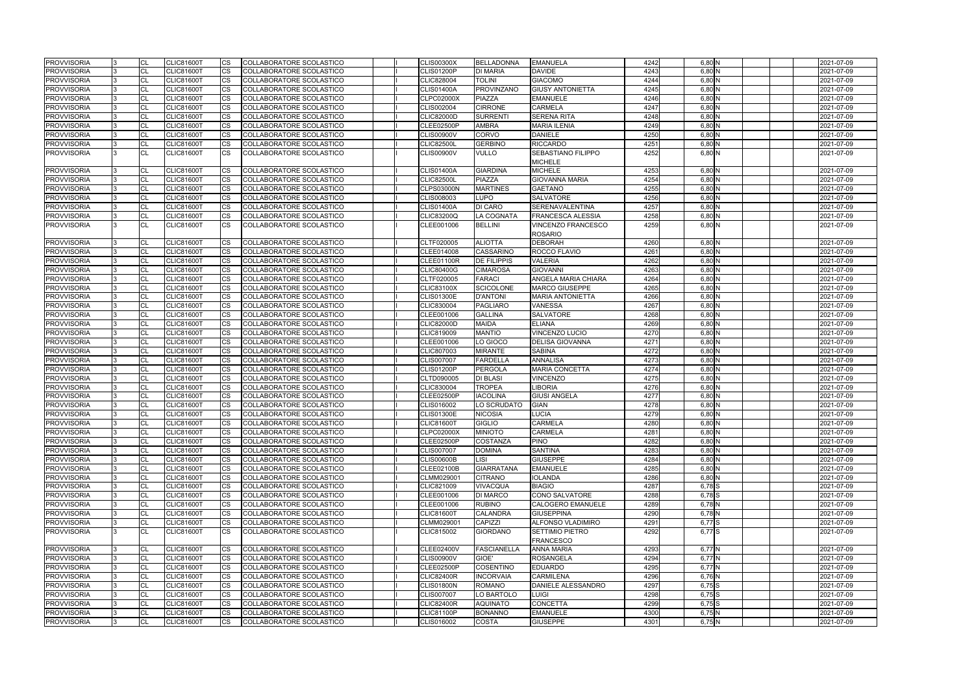| <b>PROVVISORIA</b>                       | <b>CL</b> | <b>CLIC81600T</b>                      | <b>CS</b>              | COLLABORATORE SCOLASTICO                             |  | <b>CLIS00300X</b>                      | <b>BELLADONNA</b>                 | <b>EMANUELA</b>                         | 4242         | 6,80 N             | 2021-07-09               |
|------------------------------------------|-----------|----------------------------------------|------------------------|------------------------------------------------------|--|----------------------------------------|-----------------------------------|-----------------------------------------|--------------|--------------------|--------------------------|
| <b>PROVVISORIA</b>                       | CL        | <b>CLIC81600T</b>                      | <b>CS</b>              | COLLABORATORE SCOLASTICO                             |  | <b>CLIS01200P</b>                      | <b>DI MARIA</b>                   | <b>DAVIDE</b>                           | 4243         | $6,80$ N           | 2021-07-09               |
| <b>PROVVISORIA</b>                       | CL        | <b>CLIC81600T</b>                      | <b>CS</b>              | COLLABORATORE SCOLASTICO                             |  | <b>CLIC828004</b>                      | <b>TOLINI</b>                     | <b>GIACOMO</b>                          | 4244         | $6,80$ N           | 2021-07-09               |
| <b>PROVVISORIA</b>                       | CL        | <b>CLIC81600T</b>                      | CS                     | COLLABORATORE SCOLASTICO                             |  | <b>CLIS01400A</b>                      | PROVINZANO                        | <b>GIUSY ANTONIETTA</b>                 | 4245         | $6,80$ N           | 2021-07-09               |
| <b>PROVVISORIA</b>                       | CL        | <b>CLIC81600T</b>                      | CS                     | COLLABORATORE SCOLASTICO                             |  | <b>CLPC02000X</b>                      | PIAZZA                            | <b>EMANUELE</b>                         | 4246         | 6,80 N             | 2021-07-09               |
| <b>PROVVISORIA</b>                       | CL        | <b>CLIC81600T</b>                      | <b>CS</b>              | COLLABORATORE SCOLASTICO                             |  | CLIS002004                             | <b>CIRRONE</b>                    | CARMELA                                 | 4247         | 6,80 N             | 2021-07-09               |
| <b>PROVVISORIA</b>                       | CL        | <b>CLIC81600T</b>                      | <b>CS</b>              | COLLABORATORE SCOLASTICO                             |  | <b>CLIC82000D</b>                      | <b>SURRENTI</b>                   | <b>SERENA RITA</b>                      | 4248         | 6,80 N             | 2021-07-09               |
| <b>PROVVISORIA</b>                       | CL        | <b>CLIC81600T</b>                      | <b>CS</b>              | COLLABORATORE SCOLASTICO                             |  | <b>CLEE02500P</b>                      | <b>AMBRA</b>                      | <b>MARIA ILENIA</b>                     | 4249         | 6,80 N             | 2021-07-09               |
| <b>PROVVISORIA</b>                       | CL        | <b>CLIC81600T</b>                      | <b>CS</b>              | COLLABORATORE SCOLASTICO                             |  | <b>CLIS00900V</b>                      | <b>CORVO</b>                      | <b>DANIELE</b>                          | 4250         | $6,80$ N           | 2021-07-09               |
| <b>PROVVISORIA</b>                       | CL        | <b>CLIC81600T</b>                      | CS                     | COLLABORATORE SCOLASTICO                             |  | <b>CLIC82500L</b>                      | <b>GERBINO</b>                    | <b>RICCARDO</b>                         | 4251         | $6,80$ N           | 2021-07-09               |
| <b>PROVVISORIA</b>                       | <b>CL</b> | <b>CLIC81600T</b>                      | CS                     | COLLABORATORE SCOLASTICO                             |  | <b>CLIS00900V</b>                      | <b>VULLO</b>                      | SEBASTIANO FILIPPO<br><b>MICHELE</b>    | 4252         | 6,80 N             | 2021-07-09               |
| <b>PROVVISORIA</b>                       | CL        | <b>CLIC81600T</b>                      | <b>CS</b>              | <b>COLLABORATORE SCOLASTICO</b>                      |  | <b>CLIS01400A</b>                      | <b>GIARDINA</b>                   | <b>MICHELE</b>                          | 4253         | 6,80 N             | 2021-07-09               |
| <b>PROVVISORIA</b>                       | CL        | <b>CLIC81600T</b>                      | <b>CS</b>              | COLLABORATORE SCOLASTICO                             |  | <b>CLIC82500L</b>                      | PIAZZA                            | <b>GIOVANNA MARIA</b>                   | 4254         | 6,80 N             | 2021-07-09               |
| <b>PROVVISORIA</b>                       | <b>CL</b> | <b>CLIC81600T</b>                      | <b>CS</b>              | COLLABORATORE SCOLASTICO                             |  | <b>CLPS03000N</b>                      | <b>MARTINES</b>                   | <b>GAETANO</b>                          | 4255         | 6,80 N             | 2021-07-09               |
| <b>PROVVISORIA</b>                       | CL        | <b>CLIC81600T</b>                      | <b>CS</b>              | COLLABORATORE SCOLASTICO                             |  | CLIS008003                             | <b>LUPO</b>                       | <b>SALVATORE</b>                        | 4256         | 6,80 N             | 2021-07-09               |
| <b>PROVVISORIA</b>                       | <b>CL</b> | <b>CLIC81600T</b>                      | CS                     | COLLABORATORE SCOLASTICO                             |  | <b>CLIS01400A</b>                      | <b>DI CARO</b>                    | SERENAVALENTINA                         | 4257         | $6,80$ N           | 2021-07-09               |
| <b>PROVVISORIA</b>                       | <b>CL</b> | <b>CLIC81600T</b>                      | $\overline{\text{cs}}$ | COLLABORATORE SCOLASTICO                             |  | <b>CLIC83200Q</b>                      | <b>LA COGNATA</b>                 | <b>FRANCESCA ALESSIA</b>                | 4258         | $6,80$ N           | 2021-07-09               |
| <b>PROVVISORIA</b>                       | <b>CL</b> | <b>CLIC81600T</b>                      | <b>CS</b>              | <b>COLLABORATORE SCOLASTICO</b>                      |  | CLEE001006                             | <b>BELLINI</b>                    | <b>VINCENZO FRANCESCO</b>               | 4259         | 6,80 N             | 2021-07-09               |
|                                          |           |                                        |                        |                                                      |  |                                        |                                   | <b>ROSARIO</b>                          |              |                    |                          |
| <b>PROVVISORIA</b>                       | CL        | <b>CLIC81600T</b>                      | <b>CS</b>              | COLLABORATORE SCOLASTICO                             |  | CLTF020005                             | <b>ALIOTTA</b>                    | <b>DEBORAH</b>                          | 4260         | 6,80 N             | 2021-07-09               |
| <b>PROVVISORIA</b>                       | CL        | <b>CLIC81600T</b>                      | <b>CS</b>              | <b>COLLABORATORE SCOLASTICO</b>                      |  | CLEE014008                             | <b>CASSARINO</b>                  | ROCCO FLAVIO                            | 4261         | 6,80 N             | 2021-07-09               |
| <b>PROVVISORIA</b>                       | CL        | <b>CLIC81600T</b>                      | <b>CS</b>              | COLLABORATORE SCOLASTICO                             |  | <b>CLEE01100R</b>                      | <b>DE FILIPPIS</b>                | <b>VALERIA</b>                          | 4262         | $6,80$ N           | 2021-07-09               |
| <b>PROVVISORIA</b>                       | <b>CL</b> | <b>CLIC81600T</b>                      | $\overline{\text{cs}}$ | COLLABORATORE SCOLASTICO                             |  | <b>CLIC80400G</b>                      | <b>CIMAROSA</b>                   | <b>GIOVANNI</b>                         | 4263         | $6,80$ N           | 2021-07-09               |
| <b>PROVVISORIA</b>                       | <b>CL</b> | <b>CLIC81600T</b>                      | <b>CS</b>              | COLLABORATORE SCOLASTICO                             |  | CLTF020005                             | <b>FARACI</b>                     | ANGELA MARIA CHIARA                     | 4264         | 6,80 N             | 2021-07-09               |
| <b>PROVVISORIA</b>                       | <b>CL</b> | <b>CLIC81600T</b>                      | <b>ICS</b>             | COLLABORATORE SCOLASTICO                             |  | <b>CLIC83100X</b>                      | <b>SCICOLONE</b>                  | <b>MARCO GIUSEPPE</b>                   | 4265         | $6,80$ N           | 2021-07-09               |
| <b>PROVVISORIA</b>                       | CL        | <b>CLIC81600T</b>                      | <b>CS</b>              | COLLABORATORE SCOLASTICO                             |  | <b>CLIS01300E</b>                      | <b>D'ANTONI</b>                   | <b>MARIA ANTONIETTA</b>                 | 4266         | $6,80$ N           | 2021-07-09               |
| <b>PROVVISORIA</b>                       | CL        | <b>CLIC81600T</b>                      | CS                     |                                                      |  |                                        | <b>PAGLIARO</b>                   | <b>VANESSA</b>                          | 4267         | 6,80 N             | 2021-07-09               |
| <b>PROVVISORIA</b>                       | CL        | <b>CLIC81600T</b>                      | <b>CS</b>              | COLLABORATORE SCOLASTICO<br>COLLABORATORE SCOLASTICO |  | CLIC830004<br>CLEE001006               | <b>GALLINA</b>                    | SALVATORE                               | 4268         | 6,80 N             | 2021-07-09               |
|                                          |           | <b>CLIC81600T</b>                      | <b>CS</b>              |                                                      |  |                                        | <b>MAIDA</b>                      | <b>ELIANA</b>                           | 4269         | $6,80$ N           |                          |
| <b>PROVVISORIA</b>                       | CL        | <b>CLIC81600T</b>                      | <b>CS</b>              | COLLABORATORE SCOLASTICO                             |  | <b>CLIC82000D</b>                      | <b>MANTIO</b>                     |                                         | 4270         | 6,80 N             | 2021-07-09               |
| <b>PROVVISORIA</b>                       | CL        |                                        |                        | COLLABORATORE SCOLASTICO                             |  | CLIC819009                             |                                   | VINCENZO LUCIO                          |              |                    | 2021-07-09               |
| <b>PROVVISORIA</b><br><b>PROVVISORIA</b> | <b>CL</b> | <b>CLIC81600T</b><br><b>CLIC81600T</b> | <b>CS</b><br><b>CS</b> | COLLABORATORE SCOLASTICO                             |  | CLEE001006                             | LO GIOCO<br><b>MIRANTE</b>        | <b>DELISA GIOVANNA</b><br><b>SABINA</b> | 4271<br>4272 | 6,80 N<br>$6,80$ N | 2021-07-09               |
|                                          | CL<br>CL  |                                        | CS                     | COLLABORATORE SCOLASTICO                             |  | CLIC807003                             | <b>FARDELLA</b>                   | <b>ANNALISA</b>                         | 4273         | $6,80$ N           | 2021-07-09               |
| <b>PROVVISORIA</b><br><b>PROVVISORIA</b> |           | <b>CLIC81600T</b><br><b>CLIC81600T</b> |                        | COLLABORATORE SCOLASTICO                             |  | <b>CLIS007007</b><br><b>CLIS01200P</b> |                                   | <b>MARIA CONCETTA</b>                   | 4274         | $6,80$ N           | 2021-07-09               |
|                                          | <b>CL</b> |                                        | CS<br><b>CS</b>        | COLLABORATORE SCOLASTICO<br>COLLABORATORE SCOLASTICO |  |                                        | <b>PERGOLA</b><br><b>DI BLASI</b> | <b>VINCENZO</b>                         | 4275         | $6,80$ N           | 2021-07-09<br>2021-07-09 |
| <b>PROVVISORIA</b>                       | CL        | <b>CLIC81600T</b>                      |                        |                                                      |  | CLTD090005                             |                                   |                                         |              |                    |                          |
| <b>PROVVISORIA</b>                       | <b>CL</b> | <b>CLIC81600T</b>                      | <b>CS</b>              | COLLABORATORE SCOLASTICO                             |  | CLIC830004                             | <b>TROPEA</b>                     | LIBORIA                                 | 4276         | 6,80 N             | 2021-07-09               |
| <b>PROVVISORIA</b>                       | <b>CL</b> | <b>CLIC81600T</b>                      | <b>CS</b>              | COLLABORATORE SCOLASTICO                             |  | <b>CLEE02500P</b>                      | <b>IACOLINA</b>                   | <b>GIUSI ANGELA</b>                     | 4277         | $6,80$ N           | 2021-07-09               |
| <b>PROVVISORIA</b>                       | CL        | <b>CLIC81600T</b>                      | <b>CS</b>              | COLLABORATORE SCOLASTICO                             |  | CLIS016002                             | LO SCRUDATO                       | <b>GIAN</b>                             | 4278         | 6,80 N             | 2021-07-09               |
| <b>PROVVISORIA</b>                       | CL        | <b>CLIC81600T</b>                      | <b>CS</b>              | COLLABORATORE SCOLASTICO                             |  | <b>CLIS01300E</b>                      | <b>NICOSIA</b>                    | <b>LUCIA</b>                            | 4279         | 6,80 N             | 2021-07-09               |
| <b>PROVVISORIA</b>                       | <b>CL</b> | <b>CLIC81600T</b>                      | <b>CS</b>              | COLLABORATORE SCOLASTICO                             |  | <b>CLIC81600T</b>                      | <b>GIGLIO</b>                     | <b>CARMELA</b>                          | 4280         | $6,80$ N           | 2021-07-09               |
| <b>PROVVISORIA</b>                       | <b>CL</b> | <b>CLIC81600T</b>                      | <b>CS</b>              | COLLABORATORE SCOLASTICO                             |  | <b>CLPC02000X</b>                      | <b>MINIOTO</b>                    | <b>CARMELA</b>                          | 4281         | 6,80 N             | 2021-07-09               |
| <b>PROVVISORIA</b>                       | <b>CL</b> | <b>CLIC81600T</b>                      | CS                     | COLLABORATORE SCOLASTICO                             |  | <b>CLEE02500P</b>                      | <b>COSTANZA</b>                   | <b>PINO</b>                             | 4282         | 6,80 N             | 2021-07-09               |
| <b>PROVVISORIA</b>                       | <b>CL</b> | <b>CLIC81600T</b>                      | <b>CS</b>              | COLLABORATORE SCOLASTICO                             |  | <b>CLIS007007</b>                      | <b>DOMINA</b>                     | <b>SANTINA</b>                          | 4283         | $6,80$ N           | 2021-07-09               |
| <b>PROVVISORIA</b>                       | <b>CL</b> | <b>CLIC81600T</b>                      | <b>CS</b>              | COLLABORATORE SCOLASTICO                             |  | <b>CLIS00600B</b>                      | <b>LISI</b>                       | <b>GIUSEPPE</b>                         | 4284         | 6,80 N             | 2021-07-09               |
| <b>PROVVISORIA</b>                       | <b>CL</b> | <b>CLIC81600T</b>                      | CS                     | COLLABORATORE SCOLASTICO                             |  | <b>CLEE02100B</b>                      | <b>GIARRATANA</b>                 | <b>EMANUELE</b>                         | 4285         | $6,80$ N           | 2021-07-09               |
| <b>PROVVISORIA</b>                       | CL        | <b>CLIC81600T</b>                      | <b>CS</b>              | COLLABORATORE SCOLASTICO                             |  | CLMM029001                             | <b>CITRANO</b>                    | <b>IOLANDA</b>                          | 4286         | 6,80 N             | 2021-07-09               |
| <b>PROVVISORIA</b>                       | CL        | <b>CLIC81600T</b>                      | <b>CS</b>              | COLLABORATORE SCOLASTICO                             |  | CLIC821009                             | <b>VIVACQUA</b>                   | <b>BIAGIO</b>                           | 4287         | 6,78 S             | 2021-07-09               |
| <b>PROVVISORIA</b>                       | <b>CL</b> | <b>CLIC81600T</b>                      | CS                     | COLLABORATORE SCOLASTICO                             |  | CLEE001006                             | <b>DI MARCO</b>                   | <b>CONO SALVATORE</b>                   | 4288         | 6,78S              | 2021-07-09               |
| <b>PROVVISORIA</b>                       | CL        | <b>CLIC81600T</b>                      | <b>CS</b>              | COLLABORATORE SCOLASTICO                             |  | CLEE001006                             | <b>RUBINO</b>                     | <b>CALOGERO EMANUELE</b>                | 4289         | 6,78 N             | 2021-07-09               |
| <b>PROVVISORIA</b>                       | <b>CL</b> | <b>CLIC81600T</b>                      | CS.                    | COLLABORATORE SCOLASTICO                             |  | <b>CLIC81600T</b>                      | <b>CALANDRA</b>                   | <b>GIUSEPPINA</b>                       | 4290         | 6,78 N             | 2021-07-09               |
| <b>PROVVISORIA</b>                       | <b>CL</b> | <b>CLIC81600T</b>                      | <b>CS</b>              | COLLABORATORE SCOLASTICO                             |  | CLMM029001                             | CAPIZZI                           | ALFONSO VLADIMIRO                       | 4291         | 6,77 S             | 2021-07-09               |
| <b>PROVVISORIA</b>                       | <b>CL</b> | <b>CLIC81600T</b>                      | CS                     | COLLABORATORE SCOLASTICO                             |  | CLIC815002                             | <b>GIORDANO</b>                   | SETTIMIO PIETRO<br><b>FRANCESCO</b>     | 4292         | $6,77$ $S$         | 2021-07-09               |
| <b>PROVVISORIA</b>                       | <b>CL</b> | <b>CLIC81600T</b>                      | CS                     | COLLABORATORE SCOLASTICO                             |  | <b>CLEE02400V</b>                      | <b>FASCIANELLA</b>                | <b>ANNA MARIA</b>                       | 4293         | 6,77 N             | 2021-07-09               |
| <b>PROVVISORIA</b>                       | <b>CL</b> | <b>CLIC81600T</b>                      | <b>CS</b>              | COLLABORATORE SCOLASTICO                             |  | <b>CLIS00900V</b>                      | GIOE'                             | <b>ROSANGELA</b>                        | 4294         | 6,77 N             | 2021-07-09               |
| <b>PROVVISORIA</b>                       | <b>CL</b> | <b>CLIC81600T</b>                      | <b>CS</b>              | COLLABORATORE SCOLASTICO                             |  | <b>CLEE02500P</b>                      | <b>COSENTINO</b>                  | <b>EDUARDO</b>                          | 4295         | 6,77 N             | 2021-07-09               |
| <b>PROVVISORIA</b>                       | CL        | <b>CLIC81600T</b>                      | <b>CS</b>              | COLLABORATORE SCOLASTICO                             |  | <b>CLIC82400R</b>                      | <b>INCORVAIA</b>                  | <b>CARMILENA</b>                        | 4296         | 6,76 N             | 2021-07-09               |
| <b>PROVVISORIA</b>                       | CL        | <b>CLIC81600T</b>                      | <b>CS</b>              | COLLABORATORE SCOLASTICO                             |  | <b>CLIS01800N</b>                      | <b>ROMANO</b>                     | DANIELE ALESSANDRO                      | 4297         | $6,75$ S           | 2021-07-09               |
| <b>PROVVISORIA</b>                       | <b>CL</b> | <b>CLIC81600T</b>                      | <b>CS</b>              | COLLABORATORE SCOLASTICO                             |  | <b>CLIS007007</b>                      | LO BARTOLO                        | LUIGI                                   | 4298         | 6,75 S             | 2021-07-09               |
| <b>PROVVISORIA</b>                       | <b>CL</b> | <b>CLIC81600T</b>                      | CS                     | COLLABORATORE SCOLASTICO                             |  | <b>CLIC82400R</b>                      | <b>AQUINATO</b>                   | <b>CONCETTA</b>                         | 4299         | $6,75$ S           | 2021-07-09               |
| <b>PROVVISORIA</b>                       | <b>CL</b> | <b>CLIC81600T</b>                      | <b>CS</b>              | COLLABORATORE SCOLASTICO                             |  | <b>CLIC81100P</b>                      | <b>BONANNO</b>                    | <b>EMANUELE</b>                         | 4300         | $6,75$ N           | 2021-07-09               |
| <b>PROVVISORIA</b>                       | <b>CL</b> | <b>CLIC81600T</b>                      | <b>CS</b>              | COLLABORATORE SCOLASTICO                             |  | CLIS016002                             | <b>COSTA</b>                      | <b>GIUSEPPE</b>                         | 4301         | $6,75$ N           | 2021-07-09               |
|                                          |           |                                        |                        |                                                      |  |                                        |                                   |                                         |              |                    |                          |

| 4242 | $6,80$ <sub>N</sub> |  |  | 2021-07-09 |
|------|---------------------|--|--|------------|
| 4243 | 6,80 N              |  |  | 2021-07-09 |
|      |                     |  |  |            |
| 4244 | 6,80 N              |  |  | 2021-07-09 |
| 4245 | $6,80$ N            |  |  | 2021-07-09 |
| 4246 | 6,80 N              |  |  | 2021-07-09 |
| 4247 | 6,80 N              |  |  | 2021-07-09 |
| 4248 | 6,80 N              |  |  | 2021-07-09 |
|      |                     |  |  |            |
| 4249 | 6,80 N              |  |  | 2021-07-09 |
| 4250 | 6,80 N              |  |  | 2021-07-09 |
| 4251 | $6,80$ <sub>N</sub> |  |  | 2021-07-09 |
| 4252 | $6,80$ N            |  |  | 2021-07-09 |
|      |                     |  |  |            |
|      |                     |  |  |            |
| 4253 | 6,80 N              |  |  | 2021-07-09 |
| 4254 | 6,80 N              |  |  | 2021-07-09 |
| 4255 | 6,80 N              |  |  | 2021-07-09 |
| 4256 | $6,80$ N            |  |  | 2021-07-09 |
| 4257 | $6,80\,N$           |  |  | 2021-07-09 |
|      |                     |  |  |            |
| 4258 | 6,80 N              |  |  | 2021-07-09 |
| 4259 | 6.80 N              |  |  | 2021-07-09 |
|      |                     |  |  |            |
| 4260 | 6,80 N              |  |  | 2021-07-09 |
| 4261 | 6,80 N              |  |  | 2021-07-09 |
| 4262 | $6,80$ N            |  |  | 2021-07-09 |
|      |                     |  |  |            |
| 4263 | 6,80 N              |  |  | 2021-07-09 |
| 4264 | 6,80 N              |  |  | 2021-07-09 |
| 4265 | 6,80 N              |  |  | 2021-07-09 |
| 4266 | 6,80 N              |  |  | 2021-07-09 |
| 4267 | 6,80 N              |  |  | 2021-07-09 |
|      |                     |  |  |            |
| 4268 | 6,80 N              |  |  | 2021-07-09 |
| 4269 | 6,80 N              |  |  | 2021-07-09 |
| 4270 | $6,80$ N            |  |  | 2021-07-09 |
| 4271 | 6,80 N              |  |  | 2021-07-09 |
| 4272 | 6,80 N              |  |  | 2021-07-09 |
|      |                     |  |  |            |
| 4273 | 6,80 N              |  |  | 2021-07-09 |
| 4274 | $6,80$ N            |  |  | 2021-07-09 |
| 4275 | 6,80 N              |  |  | 2021-07-09 |
| 4276 | 6,80 N              |  |  | 2021-07-09 |
| 4277 | 6,80 N              |  |  | 2021-07-09 |
|      |                     |  |  |            |
| 4278 | 6,80 N              |  |  | 2021-07-09 |
| 4279 | $6.80\text{N}$      |  |  | 2021-07-09 |
| 4280 | 6,80 N              |  |  | 2021-07-09 |
| 4281 | 6,80 N              |  |  | 2021-07-09 |
| 4282 | 6,80 N              |  |  | 2021-07-09 |
| 4283 | 6,80 N              |  |  | 2021-07-09 |
|      |                     |  |  |            |
| 4284 | 6,80 N              |  |  | 2021-07-09 |
| 4285 | 6,80 N              |  |  | 2021-07-09 |
| 4286 | $6,80$ N            |  |  | 2021-07-09 |
| 4287 | 6,78 S              |  |  | 2021-07-09 |
| 4288 | 6,78 S              |  |  | 2021-07-09 |
|      |                     |  |  |            |
| 4289 | 6,78 N              |  |  | 2021-07-09 |
| 4290 | 6,78 N              |  |  | 2021-07-09 |
| 4291 | 6,77 S              |  |  | 2021-07-09 |
| 4292 | 6,77 S              |  |  | 2021-07-09 |
|      |                     |  |  |            |
| 4293 | 6,77 N              |  |  | 2021-07-09 |
|      |                     |  |  |            |
| 4294 | 6,77 N              |  |  | 2021-07-09 |
| 4295 | 6,77 N              |  |  | 2021-07-09 |
| 4296 | 6,76 N              |  |  | 2021-07-09 |
| 4297 | $6,75$ S            |  |  | 2021-07-09 |
| 4298 | 6,75 S              |  |  | 2021-07-09 |
|      |                     |  |  |            |
| 4299 | 6,75 S              |  |  | 2021-07-09 |
| 4300 | 6,75 N              |  |  | 2021-07-09 |
| 4301 | 6,75 N              |  |  | 2021-07-09 |
|      |                     |  |  |            |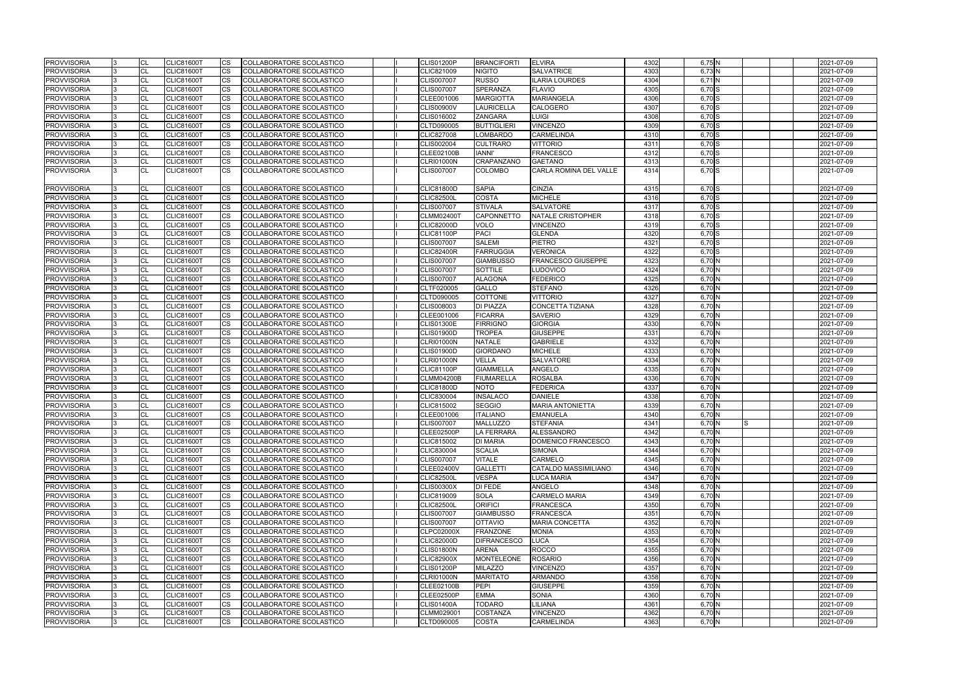| <b>PROVVISORIA</b> | 13  | <b>CL</b> | <b>CLIC81600T</b> | CS        | COLLABORATORE SCOLASTICO        |  | <b>CLIS01200P</b> | <b>BRANCIFORTI</b> | <b>ELVIRA</b>           | 4302 | 6,75 N   |     | 2021-07-09 |
|--------------------|-----|-----------|-------------------|-----------|---------------------------------|--|-------------------|--------------------|-------------------------|------|----------|-----|------------|
| <b>PROVVISORIA</b> |     | <b>CL</b> | <b>CLIC81600T</b> | <b>CS</b> | <b>COLLABORATORE SCOLASTICO</b> |  | CLIC821009        | <b>NIGITO</b>      | <b>SALVATRICE</b>       | 4303 | 6,73N    |     | 2021-07-09 |
| <b>PROVVISORIA</b> |     | <b>CL</b> | <b>CLIC81600T</b> | CS        | COLLABORATORE SCOLASTICO        |  | <b>CLIS007007</b> | <b>RUSSO</b>       | ILARIA LOURDES          | 4304 | 6,71 N   |     | 2021-07-09 |
| <b>PROVVISORIA</b> |     | <b>CL</b> | <b>CLIC81600T</b> | CS        | COLLABORATORE SCOLASTICO        |  | <b>CLIS007007</b> | <b>SPERANZA</b>    | <b>FLAVIO</b>           | 4305 | 6,70S    |     | 2021-07-09 |
| <b>PROVVISORIA</b> |     | <b>CL</b> | <b>CLIC81600T</b> | СS        | COLLABORATORE SCOLASTICO        |  | CLEE001006        | <b>MARGIOTTA</b>   | <b>MARIANGELA</b>       | 4306 | 6,70 S   |     | 2021-07-09 |
| <b>PROVVISORIA</b> |     | CL        | CLIC81600T        | CS        | COLLABORATORE SCOLASTICO        |  | <b>CLIS00900V</b> | <b>LAURICELLA</b>  | CALOGERO                | 4307 | $6,70$ S |     | 2021-07-09 |
| PROVVISORIA        |     | <b>CL</b> | <b>CLIC81600T</b> | CS        | COLLABORATORE SCOLASTICO        |  | <b>CLIS016002</b> | <b>ZANGARA</b>     | LUIGI                   | 4308 | 6,70 S   |     | 2021-07-09 |
| <b>PROVVISORIA</b> |     | <b>CL</b> | <b>CLIC81600T</b> | CS        | COLLABORATORE SCOLASTICO        |  | CLTD090005        | <b>BUTTIGLIERI</b> | <b>VINCENZO</b>         | 4309 | 6,70 S   |     | 2021-07-09 |
| <b>PROVVISORIA</b> |     | <b>CL</b> | <b>CLIC81600T</b> | CS        | COLLABORATORE SCOLASTICO        |  | <b>CLIC827008</b> | <b>LOMBARDO</b>    | CARMELINDA              | 4310 | $6,70$ S |     | 2021-07-09 |
| <b>PROVVISORIA</b> |     | <b>CL</b> | CLIC81600T        | CS.       | COLLABORATORE SCOLASTICO        |  | CLIS002004        | <b>CULTRARO</b>    | <b>VITTORIO</b>         | 4311 | $6,70$ S |     | 2021-07-09 |
| <b>PROVVISORIA</b> |     | <b>CL</b> | <b>CLIC81600T</b> | СS        | COLLABORATORE SCOLASTICO        |  | <b>CLEE02100B</b> | <b>IANNI'</b>      | FRANCESCO               | 4312 | $6,70$ S |     | 2021-07-09 |
| <b>PROVVISORIA</b> | 13  | <b>CL</b> | <b>CLIC81600T</b> | <b>CS</b> | COLLABORATORE SCOLASTICO        |  | <b>CLRI01000N</b> | CRAPANZANO         | <b>GAETANO</b>          | 4313 | 6,70S    |     | 2021-07-09 |
| <b>PROVVISORIA</b> |     | <b>CL</b> | <b>CLIC81600T</b> | <b>CS</b> | COLLABORATORE SCOLASTICO        |  | <b>CLIS007007</b> | <b>COLOMBO</b>     | CARLA ROMINA DEL VALLE  | 4314 | 6,70 S   |     | 2021-07-09 |
| <b>PROVVISORIA</b> |     | <b>CL</b> | <b>CLIC81600T</b> | CS        | COLLABORATORE SCOLASTICO        |  | <b>CLIC81800D</b> | <b>SAPIA</b>       | <b>CINZIA</b>           | 4315 | 6,70 S   |     | 2021-07-09 |
| <b>PROVVISORIA</b> |     | <b>CL</b> | <b>CLIC81600T</b> | CS        | COLLABORATORE SCOLASTICO        |  | <b>CLIC82500L</b> | <b>COSTA</b>       | <b>MICHELE</b>          | 4316 | 6,70 S   |     | 2021-07-09 |
| <b>PROVVISORIA</b> |     | <b>CL</b> | <b>CLIC81600T</b> | СS        | COLLABORATORE SCOLASTICO        |  | CLIS007007        | <b>STIVALA</b>     | <b>SALVATORE</b>        | 4317 | $6,70$ S |     | 2021-07-09 |
| <b>PROVVISORIA</b> |     | <b>CL</b> | <b>CLIC81600T</b> | CS        | COLLABORATORE SCOLASTICO        |  | <b>CLMM02400T</b> | <b>CAPONNETTO</b>  | NATALE CRISTOPHER       | 4318 | $6,70$ S |     | 2021-07-09 |
| <b>PROVVISORIA</b> |     | <b>CL</b> | <b>CLIC81600T</b> | <b>CS</b> | COLLABORATORE SCOLASTICO        |  | <b>CLIC82000D</b> | <b>VOLO</b>        | <b>VINCENZO</b>         | 4319 | 6,70 S   |     | 2021-07-09 |
| <b>PROVVISORIA</b> |     | <b>CL</b> | <b>CLIC81600T</b> | CS        | COLLABORATORE SCOLASTICO        |  | <b>CLIC81100P</b> | <b>PACI</b>        | <b>GLENDA</b>           | 4320 | 6,70 S   |     | 2021-07-09 |
| <b>PROVVISORIA</b> |     | <b>CL</b> | <b>CLIC81600T</b> | CS        | COLLABORATORE SCOLASTICO        |  | <b>CLIS007007</b> | <b>SALEMI</b>      | <b>PIETRO</b>           | 4321 | $6,70$ S |     | 2021-07-09 |
| <b>PROVVISORIA</b> |     | <b>CL</b> | <b>CLIC81600T</b> | <b>CS</b> | COLLABORATORE SCOLASTICO        |  | <b>CLIC82400R</b> | <b>FARRUGGIA</b>   | <b>VERONICA</b>         | 4322 | 6,70 S   |     | 2021-07-09 |
| <b>PROVVISORIA</b> |     | <b>CL</b> | <b>CLIC81600T</b> | СS        | COLLABORATORE SCOLASTICO        |  | <b>CLIS007007</b> | <b>GIAMBUSSO</b>   | FRANCESCO GIUSEPPE      | 4323 | 6,70 N   |     | 2021-07-09 |
| <b>PROVVISORIA</b> |     | <b>CL</b> | <b>CLIC81600T</b> | CS        | COLLABORATORE SCOLASTICO        |  | <b>CLIS007007</b> | <b>SOTTILE</b>     | LUDOVICO                | 4324 | 6,70 N   |     | 2021-07-09 |
| <b>PROVVISORIA</b> |     | <b>CL</b> | <b>CLIC81600T</b> | CS.       | COLLABORATORE SCOLASTICO        |  | <b>CLIS007007</b> | <b>ALAGONA</b>     | <b>FEDERICO</b>         | 4325 | 6,70 N   |     | 2021-07-09 |
| <b>PROVVISORIA</b> |     | <b>CL</b> | <b>CLIC81600T</b> | CS        | COLLABORATORE SCOLASTICO        |  | CLTF020005        | <b>GALLO</b>       | <b>STEFANO</b>          | 4326 | 6,70 N   |     | 2021-07-09 |
| <b>PROVVISORIA</b> |     | <b>CL</b> | <b>CLIC81600T</b> | CS        | COLLABORATORE SCOLASTICO        |  | CLTD090005        | COTTONE            | <b>VITTORIO</b>         | 4327 | 6,70 N   |     | 2021-07-09 |
| <b>PROVVISORIA</b> |     | <b>CL</b> | <b>CLIC81600T</b> | CS.       | COLLABORATORE SCOLASTICO        |  | CLIS008003        | DI PIAZZA          | CONCETTA TIZIANA        | 4328 | 6,70 N   |     | 2021-07-09 |
| <b>PROVVISORIA</b> |     | <b>CL</b> | <b>CLIC81600T</b> | CS        | COLLABORATORE SCOLASTICO        |  | CLEE001006        | <b>FICARRA</b>     | <b>SAVERIO</b>          | 4329 | 6,70N    |     | 2021-07-09 |
| <b>PROVVISORIA</b> |     | <b>CL</b> | <b>CLIC81600T</b> | СS        | COLLABORATORE SCOLASTICO        |  | <b>CLIS01300E</b> | <b>FIRRIGNO</b>    | <b>GIORGIA</b>          | 4330 | 6,70 N   |     | 2021-07-09 |
| <b>PROVVISORIA</b> |     | <b>CL</b> | <b>CLIC81600T</b> | CS.       | COLLABORATORE SCOLASTICO        |  | <b>CLIS01900D</b> | <b>TROPEA</b>      | <b>GIUSEPPE</b>         | 4331 | 6,70 N   |     | 2021-07-09 |
| <b>PROVVISORIA</b> |     | <b>CL</b> | <b>CLIC81600T</b> | <b>CS</b> | COLLABORATORE SCOLASTICO        |  | <b>CLRI01000N</b> | <b>NATALE</b>      | <b>GABRIELE</b>         | 4332 | 6,70 N   |     | 2021-07-09 |
| <b>PROVVISORIA</b> |     | <b>CL</b> | <b>CLIC81600T</b> | CS        | COLLABORATORE SCOLASTICO        |  | <b>CLIS01900D</b> | <b>GIORDANO</b>    | <b>MICHELE</b>          | 4333 | 6,70 N   |     | 2021-07-09 |
| <b>PROVVISORIA</b> |     | <b>CL</b> | CLIC81600T        | CS        | COLLABORATORE SCOLASTICO        |  | <b>CLRI01000N</b> | <b>VELLA</b>       | <b>SALVATORE</b>        | 4334 | 6,70 N   |     | 2021-07-09 |
| PROVVISORIA        |     | <b>CL</b> | <b>CLIC81600T</b> | CS.       | COLLABORATORE SCOLASTICO        |  | <b>CLIC81100P</b> | <b>GIAMMELLA</b>   | ANGELO                  | 4335 | 6,70 N   |     | 2021-07-09 |
| <b>PROVVISORIA</b> |     | <b>CL</b> | <b>CLIC81600T</b> | СS        | COLLABORATORE SCOLASTICO        |  | <b>CLMM04200B</b> | <b>FIUMARELLA</b>  | <b>ROSALBA</b>          | 4336 | 6,70 N   |     | 2021-07-09 |
| <b>PROVVISORIA</b> |     | <b>CL</b> | <b>CLIC81600T</b> | CS        | COLLABORATORE SCOLASTICO        |  | <b>CLIC81800D</b> | <b>NOTO</b>        | <b>FEDERICA</b>         | 4337 | 6,70 N   |     | 2021-07-09 |
| <b>PROVVISORIA</b> |     | <b>CL</b> | <b>CLIC81600T</b> | CS        | COLLABORATORE SCOLASTICO        |  | CLIC830004        | <b>INSALACO</b>    | <b>DANIELE</b>          | 4338 | 6,70 N   |     | 2021-07-09 |
| <b>PROVVISORIA</b> |     | <b>CL</b> | <b>CLIC81600T</b> | CS        | COLLABORATORE SCOLASTICO        |  | <b>CLIC815002</b> | <b>SEGGIO</b>      | <b>MARIA ANTONIETTA</b> | 4339 | 6,70 N   |     | 2021-07-09 |
| <b>PROVVISORIA</b> | 13  | <b>CL</b> | <b>CLIC81600T</b> | <b>CS</b> | COLLABORATORE SCOLASTICO        |  | CLEE001006        | <b>ITALIANO</b>    | EMANUELA                | 4340 | 6,70 N   |     | 2021-07-09 |
| <b>PROVVISORIA</b> | l3. | <b>CI</b> | <b>CLIC81600T</b> | <b>CS</b> | <b>COLLABORATORE SCOLASTICO</b> |  | <b>CLIS007007</b> | <b>MALLUZZO</b>    | <b>STEFANIA</b>         | 4341 | 6,70 N   | IS. | 2021-07-09 |
| <b>PROVVISORIA</b> |     | <b>CL</b> | <b>CLIC81600T</b> | СS        | COLLABORATORE SCOLASTICO        |  | <b>CLEE02500P</b> | <b>LA FERRARA</b>  | <b>ALESSANDRO</b>       | 4342 | 6,70 N   |     | 2021-07-09 |
| <b>PROVVISORIA</b> |     | <b>CL</b> | <b>CLIC81600T</b> | CS        | COLLABORATORE SCOLASTICO        |  | CLIC815002        | DI MARIA           | DOMENICO FRANCESCO      | 4343 | $6,70$ N |     | 2021-07-09 |
| <b>PROVVISORIA</b> |     | <b>CL</b> | <b>CLIC81600T</b> | <b>CS</b> | COLLABORATORE SCOLASTICO        |  | CLIC830004        | <b>SCALIA</b>      | <b>SIMONA</b>           | 4344 | 6,70 N   |     | 2021-07-09 |
| <b>PROVVISORIA</b> |     | <b>CL</b> | <b>CLIC81600T</b> | СS        | COLLABORATORE SCOLASTICO        |  | <b>CLIS007007</b> | <b>VITALE</b>      | CARMELO                 | 4345 | 6,70 N   |     | 2021-07-09 |
| <b>PROVVISORIA</b> |     | <b>CL</b> | <b>CLIC81600T</b> | CS        | COLLABORATORE SCOLASTICO        |  | CLEE02400V        | <b>GALLETTI</b>    | CATALDO MASSIMILIANO    | 4346 | 6,70 N   |     | 2021-07-09 |
| <b>PROVVISORIA</b> |     | <b>CL</b> | <b>CLIC81600T</b> | CS        | COLLABORATORE SCOLASTICO        |  | <b>CLIC82500L</b> | <b>VESPA</b>       | <b>LUCA MARIA</b>       | 4347 | 6,70 N   |     | 2021-07-09 |
| <b>PROVVISORIA</b> |     | <b>CL</b> | <b>CLIC81600T</b> | СS        | COLLABORATORE SCOLASTICO        |  | <b>CLIS00300X</b> | DI FEDE            | ANGELO                  | 4348 | 6,70 N   |     | 2021-07-09 |
| <b>PROVVISORIA</b> |     | <b>CL</b> | <b>CLIC81600T</b> | CS        | COLLABORATORE SCOLASTICO        |  | <b>CLIC819009</b> | <b>SOLA</b>        | CARMELO MARIA           | 4349 | 6,70 N   |     | 2021-07-09 |
| <b>PROVVISORIA</b> |     | <b>CL</b> | <b>CLIC81600T</b> | CS        | COLLABORATORE SCOLASTICO        |  | <b>CLIC82500L</b> | <b>ORIFICI</b>     | <b>FRANCESCA</b>        | 4350 | $6,70$ N |     | 2021-07-09 |
| <b>PROVVISORIA</b> |     | <b>CL</b> | <b>CLIC81600T</b> | CS        | COLLABORATORE SCOLASTICO        |  | <b>CLIS007007</b> | <b>GIAMBUSSO</b>   | <b>FRANCESCA</b>        | 4351 | 6,70 N   |     | 2021-07-09 |
| <b>PROVVISORIA</b> |     | <b>CL</b> | <b>CLIC81600T</b> | CS        | COLLABORATORE SCOLASTICO        |  | <b>CLIS007007</b> | <b>OTTAVIO</b>     | MARIA CONCETTA          | 4352 | 6,70 N   |     | 2021-07-09 |
| <b>PROVVISORIA</b> |     | <b>CL</b> | <b>CLIC81600T</b> | CS.       | COLLABORATORE SCOLASTICO        |  | <b>CLPC02000X</b> | FRANZONE           | MONIA                   | 4353 | 6,70 N   |     | 2021-07-09 |
| <b>PROVVISORIA</b> |     | <b>CL</b> | <b>CLIC81600T</b> | <b>CS</b> | COLLABORATORE SCOLASTICO        |  | <b>CLIC82000D</b> | <b>DIFRANCESCO</b> | <b>LUCA</b>             | 4354 | 6,70N    |     | 2021-07-09 |
| <b>PROVVISORIA</b> |     | <b>CL</b> | <b>CLIC81600T</b> | CS        | COLLABORATORE SCOLASTICO        |  | <b>CLIS01800N</b> | <b>ARENA</b>       | <b>ROCCO</b>            | 4355 | 6,70 N   |     | 2021-07-09 |
| <b>PROVVISORIA</b> |     | <b>CL</b> | <b>CLIC81600T</b> | CS        | COLLABORATORE SCOLASTICO        |  | <b>CLIC82900X</b> | <b>MONTELEONE</b>  | <b>ROSARIO</b>          | 4356 | 6,70 N   |     | 2021-07-09 |
| <b>PROVVISORIA</b> |     | <b>CL</b> | <b>CLIC81600T</b> | CS        | COLLABORATORE SCOLASTICO        |  | <b>CLIS01200P</b> | <b>MILAZZO</b>     | <b>VINCENZO</b>         | 4357 | $6,70$ N |     | 2021-07-09 |
| <b>PROVVISORIA</b> |     | <b>CL</b> | <b>CLIC81600T</b> | CS        | COLLABORATORE SCOLASTICO        |  | <b>CLRI01000N</b> | <b>MARITATO</b>    | <b>ARMANDO</b>          | 4358 | 6,70 N   |     | 2021-07-09 |
| <b>PROVVISORIA</b> |     | <b>CL</b> | <b>CLIC81600T</b> | CS        | COLLABORATORE SCOLASTICO        |  | <b>CLEE02100B</b> | PEPI               | <b>GIUSEPPE</b>         | 4359 | 6,70 N   |     | 2021-07-09 |
| PROVVISORIA        |     | <b>CL</b> | <b>CLIC81600T</b> | CS        | COLLABORATORE SCOLASTICO        |  | <b>CLEE02500P</b> | <b>EMMA</b>        | <b>SONIA</b>            | 4360 | 6,70 N   |     | 2021-07-09 |
| <b>PROVVISORIA</b> |     |           | <b>CLIC81600T</b> |           | COLLABORATORE SCOLASTICO        |  | <b>CLIS01400A</b> | <b>TODARO</b>      | LILIANA                 | 4361 | 6,70 N   |     | 2021-07-09 |
|                    |     | <b>CL</b> |                   | СS        |                                 |  |                   |                    |                         |      |          |     |            |
| <b>PROVVISORIA</b> |     | <b>CL</b> | <b>CLIC81600T</b> | CS        | COLLABORATORE SCOLASTICO        |  | CLMM029001        | COSTANZA           | <b>VINCENZO</b>         | 4362 | 6,70 N   |     | 2021-07-09 |
| <b>PROVVISORIA</b> |     | <b>CL</b> | <b>CLIC81600T</b> | CS        | COLLABORATORE SCOLASTICO        |  | CLTD090005        | <b>COSTA</b>       | CARMELINDA              | 4363 | 6,70 N   |     | 2021-07-09 |

|              |  | 2021-07-09 |
|--------------|--|------------|
|              |  | 2021-07-09 |
|              |  | 2021-07-09 |
|              |  | 2021-07-09 |
|              |  | 2021-07-09 |
|              |  | 2021-07-09 |
|              |  | 2021-07-09 |
|              |  | 2021-07-09 |
|              |  |            |
|              |  | 2021-07-09 |
|              |  | 2021-07-09 |
|              |  | 2021-07-09 |
|              |  | 2021-07-09 |
|              |  | 2021-07-09 |
|              |  | 2021-07-09 |
|              |  | 2021-07-09 |
|              |  | 2021-07-09 |
|              |  | 2021-07-09 |
|              |  | 2021-07-09 |
|              |  | 2021-07-09 |
|              |  | 2021-07-09 |
|              |  | 2021-07-09 |
|              |  |            |
|              |  | 2021-07-09 |
|              |  | 2021-07-09 |
|              |  | 2021-07-09 |
|              |  | 2021-07-09 |
|              |  | 2021-07-09 |
|              |  | 2021-07-09 |
|              |  | 2021-07-09 |
|              |  | 2021-07-09 |
|              |  | 2021-07-09 |
|              |  | 2021-07-09 |
|              |  | 2021-07-09 |
|              |  | 2021-07-09 |
|              |  | 2021-07-09 |
|              |  | 2021-07-09 |
|              |  | 2021-07-09 |
|              |  | 2021-07-09 |
|              |  | 2021-07-09 |
|              |  | 2021-07-09 |
| <sub>S</sub> |  | 2021-07-09 |
|              |  | 2021-07-09 |
|              |  | 2021-07-09 |
|              |  | 2021-07-09 |
|              |  | 2021-07-09 |
|              |  | 2021-07-09 |
|              |  | 2021-07-09 |
|              |  | 2021-07-09 |
|              |  |            |
|              |  | 2021-07-09 |
|              |  | 2021-07-09 |
|              |  | 2021-07-09 |
|              |  | 2021-07-09 |
|              |  | 2021-07-09 |
|              |  | 2021-07-09 |
|              |  | 2021-07-09 |
|              |  | 2021-07-09 |
|              |  | 2021-07-09 |
|              |  | 2021-07-09 |
|              |  | 2021-07-09 |
|              |  | 2021-07-09 |
|              |  | 2021-07-09 |
|              |  | 2021-07-09 |
|              |  | 2021-07-09 |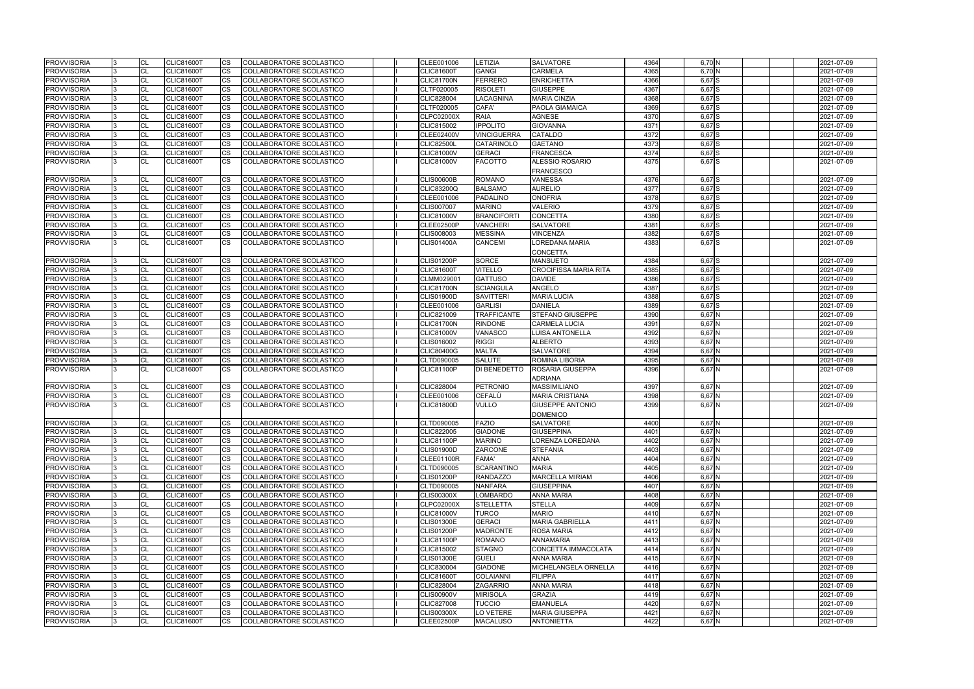| 4364 | $6,70$ N          |  |  | 2021-07-09 |
|------|-------------------|--|--|------------|
|      |                   |  |  |            |
| 4365 | 6,70 N            |  |  | 2021-07-09 |
| 4366 | 6,67 S            |  |  | 2021-07-09 |
| 4367 | 6,67 S            |  |  | 2021-07-09 |
| 4368 | 6,67 S            |  |  | 2021-07-09 |
| 4369 | 6,67 S            |  |  | 2021-07-09 |
| 4370 | 6,67 S            |  |  | 2021-07-09 |
| 4371 | 6,67 S            |  |  | 2021-07-09 |
|      |                   |  |  |            |
| 4372 | 6,67 S            |  |  | 2021-07-09 |
| 4373 | 6,67S             |  |  | 2021-07-09 |
| 4374 | $6,67$ S          |  |  | 2021-07-09 |
| 4375 | 6,67 S            |  |  | 2021-07-09 |
|      |                   |  |  |            |
| 4376 | 6,67 S            |  |  | 2021-07-09 |
| 4377 | 6,67 S            |  |  | 2021-07-09 |
| 4378 | 6,67 S            |  |  | 2021-07-09 |
| 4379 | 6,67 S            |  |  | 2021-07-09 |
| 4380 | 6,67 S            |  |  | 2021-07-09 |
|      | 6,67 S            |  |  |            |
| 4381 |                   |  |  | 2021-07-09 |
| 4382 | 6,67 S            |  |  | 2021-07-09 |
| 4383 | 6.67 <sup>S</sup> |  |  | 2021-07-09 |
| 4384 | 6,67 S            |  |  | 2021-07-09 |
|      |                   |  |  |            |
| 4385 | 6,67 S            |  |  | 2021-07-09 |
| 4386 | 6,67 S            |  |  | 2021-07-09 |
| 4387 | 6,67 S            |  |  | 2021-07-09 |
| 4388 | 6,67 S            |  |  | 2021-07-09 |
| 4389 | 6,67 S            |  |  | 2021-07-09 |
| 4390 | 6,67 N            |  |  | 2021-07-09 |
| 4391 | 6,67 N            |  |  | 2021-07-09 |
| 4392 | 6,67 N            |  |  | 2021-07-09 |
| 4393 | 6,67 N            |  |  |            |
|      |                   |  |  | 2021-07-09 |
| 4394 | 6,67 N            |  |  | 2021-07-09 |
| 4395 | 6,67 N            |  |  | 2021-07-09 |
| 4396 | 6,67 N            |  |  | 2021-07-09 |
| 4397 | 6,67 N            |  |  | 2021-07-09 |
| 4398 | 6,67 N            |  |  | 2021-07-09 |
| 4399 | 6,67 N            |  |  | 2021-07-09 |
|      |                   |  |  |            |
| 4400 | 6.67 <sup>N</sup> |  |  | 2021-07-09 |
| 4401 | 6,67 N            |  |  | 2021-07-09 |
|      |                   |  |  |            |
| 4402 | 6,67 N            |  |  | 2021-07-09 |
| 4403 | 6,67 N            |  |  | 2021-07-09 |
| 4404 | $6,67$ N          |  |  | 2021-07-09 |
| 4405 | 6,67 N            |  |  | 2021-07-09 |
| 4406 | 6,67 N            |  |  | 2021-07-09 |
| 4407 | 6,67 N            |  |  | 2021-07-09 |
| 4408 | 6,67 N            |  |  | 2021-07-09 |
| 4409 | 6,67 N            |  |  | 2021-07-09 |
| 4410 | $6,67$ N          |  |  | 2021-07-09 |
|      | 6,67 N            |  |  |            |
| 4411 |                   |  |  | 2021-07-09 |
| 4412 | 6,67 N            |  |  | 2021-07-09 |
| 4413 | 6,67 N            |  |  | 2021-07-09 |
| 4414 | 6,67 N            |  |  | 2021-07-09 |
| 4415 | 6,67 N            |  |  | 2021-07-09 |
| 4416 | $6,67$ N          |  |  | 2021-07-09 |
| 4417 | 6,67 N            |  |  | 2021-07-09 |
| 4418 | $6,67$ N          |  |  | 2021-07-09 |
| 4419 | 6,67 N            |  |  | 2021-07-09 |
|      |                   |  |  |            |
| 4420 | 6,67 N            |  |  | 2021-07-09 |
| 4421 | 6,67 N            |  |  | 2021-07-09 |
| 4422 | 6,67 N            |  |  | 2021-07-09 |

| <b>PROVVISORIA</b> |     | <b>CL</b> | <b>CLIC81600T</b> | CS        | COLLABORATORE SCOLASTICO        |  | CLEE001006        | LETIZIA             | SALVATORE                    | 4364 | 6,70 N   | 2021-07-09 |
|--------------------|-----|-----------|-------------------|-----------|---------------------------------|--|-------------------|---------------------|------------------------------|------|----------|------------|
| <b>PROVVISORIA</b> |     | <b>CL</b> | <b>CLIC81600T</b> | <b>CS</b> | <b>COLLABORATORE SCOLASTICO</b> |  | <b>CLIC81600T</b> | <b>GANGI</b>        | CARMELA                      | 4365 | 6,70 N   | 2021-07-09 |
| <b>PROVVISORIA</b> |     | <b>CL</b> | <b>CLIC81600T</b> | СS        | COLLABORATORE SCOLASTICO        |  | <b>CLIC81700N</b> | <b>FERRERO</b>      | <b>ENRICHETTA</b>            | 4366 | 6,67 S   | 2021-07-09 |
| <b>PROVVISORIA</b> |     | <b>CL</b> | <b>CLIC81600T</b> | СS        | COLLABORATORE SCOLASTICO        |  | CLTF020005        | <b>RISOLETI</b>     | <b>GIUSEPPE</b>              | 4367 | 6,67 S   | 2021-07-09 |
| <b>PROVVISORIA</b> |     | <b>CL</b> | <b>CLIC81600T</b> | СS        | COLLABORATORE SCOLASTICO        |  | <b>CLIC828004</b> | <b>LACAGNINA</b>    | <b>MARIA CINZIA</b>          | 4368 | 6,67 S   | 2021-07-09 |
| <b>PROVVISORIA</b> |     | CL        | CLIC81600T        | CS        | COLLABORATORE SCOLASTICO        |  | CLTF020005        | CAFA'               | PAOLA GIAMAICA               | 4369 | 6,67 S   | 2021-07-09 |
| <b>PROVVISORIA</b> |     | <b>CL</b> | <b>CLIC81600T</b> | CS        | COLLABORATORE SCOLASTICO        |  | <b>CLPC02000X</b> | <b>RAIA</b>         | <b>AGNESE</b>                | 4370 | 6,67 S   | 2021-07-09 |
| <b>PROVVISORIA</b> |     | <b>CL</b> | <b>CLIC81600T</b> | CS        | COLLABORATORE SCOLASTICO        |  | CLIC815002        | <b>IPPOLITO</b>     | <b>GIOVANNA</b>              | 4371 | 6,67 S   | 2021-07-09 |
| <b>PROVVISORIA</b> |     | <b>CL</b> | <b>CLIC81600T</b> | CS.       | COLLABORATORE SCOLASTICO        |  | CLEE02400V        | <b>VINCIGUERRA</b>  | <b>CATALDO</b>               | 4372 | 6,67 S   | 2021-07-09 |
| <b>PROVVISORIA</b> |     | <b>CL</b> | <b>CLIC81600T</b> | CS        | COLLABORATORE SCOLASTICO        |  | <b>CLIC82500L</b> | <b>CATARINOLO</b>   | <b>GAETANO</b>               | 4373 | 6,67 S   | 2021-07-09 |
| <b>PROVVISORIA</b> |     | <b>CL</b> | <b>CLIC81600T</b> | СS        | COLLABORATORE SCOLASTICO        |  | <b>CLIC81000V</b> | <b>GERACI</b>       | <b>FRANCESCA</b>             | 4374 | 6,67 S   | 2021-07-09 |
| <b>PROVVISORIA</b> | I3. | <b>CL</b> | <b>CLIC81600T</b> | CS        | COLLABORATORE SCOLASTICO        |  | <b>CLIC81000V</b> | <b>FACOTTO</b>      | ALESSIO ROSARIO              | 4375 | 6,67 S   | 2021-07-09 |
|                    |     |           |                   |           |                                 |  |                   |                     | <b>FRANCESCO</b>             |      |          |            |
| <b>PROVVISORIA</b> |     | <b>CL</b> | <b>CLIC81600T</b> | <b>CS</b> | COLLABORATORE SCOLASTICO        |  | <b>CLIS00600B</b> | <b>ROMANO</b>       | <b>VANESSA</b>               | 4376 | 6,67 S   | 2021-07-09 |
| <b>PROVVISORIA</b> |     | <b>CL</b> | <b>CLIC81600T</b> | CS.       | COLLABORATORE SCOLASTICO        |  | <b>CLIC83200Q</b> | <b>BALSAMO</b>      | <b>AURELIO</b>               | 4377 | 6,67 S   | 2021-07-09 |
| <b>PROVVISORIA</b> |     | <b>CL</b> | <b>CLIC81600T</b> | CS        | COLLABORATORE SCOLASTICO        |  | CLEE001006        | <b>PADALINO</b>     | <b>ONOFRIA</b>               | 4378 | 6,67 S   | 2021-07-09 |
| <b>PROVVISORIA</b> |     | <b>CL</b> | <b>CLIC81600T</b> | CS        | COLLABORATORE SCOLASTICO        |  | <b>CLIS007007</b> | <b>MARINO</b>       | <b>VALERIO</b>               | 4379 | 6,67 S   | 2021-07-09 |
| <b>PROVVISORIA</b> |     | <b>CL</b> | CLIC81600T        | CS        | COLLABORATORE SCOLASTICO        |  | <b>CLIC81000V</b> | <b>BRANCIFORTI</b>  | <b>CONCETTA</b>              | 4380 | 6,67 S   | 2021-07-09 |
| <b>PROVVISORIA</b> |     | <b>CL</b> | <b>CLIC81600T</b> | <b>CS</b> | COLLABORATORE SCOLASTICO        |  | <b>CLEE02500P</b> | <b>VANCHERI</b>     | SALVATORE                    | 4381 | 6,67 S   | 2021-07-09 |
| <b>PROVVISORIA</b> |     | <b>CL</b> | <b>CLIC81600T</b> | CS        | COLLABORATORE SCOLASTICO        |  | CLIS008003        | <b>MESSINA</b>      | <b>VINCENZA</b>              | 4382 | 6,67 S   | 2021-07-09 |
| <b>PROVVISORIA</b> | 13. | <b>CL</b> | <b>CLIC81600T</b> | CS        | COLLABORATORE SCOLASTICO        |  | <b>CLIS01400A</b> | <b>CANCEMI</b>      | LOREDANA MARIA               | 4383 | 6,67 S   | 2021-07-09 |
|                    |     |           |                   |           |                                 |  |                   |                     | <b>CONCETTA</b>              |      |          |            |
| <b>PROVVISORIA</b> |     | <b>CL</b> | CLIC81600T        | CS        | COLLABORATORE SCOLASTICO        |  | <b>CLIS01200P</b> | <b>SORCE</b>        | MANSUETO                     | 4384 | 6,67 S   | 2021-07-09 |
| <b>PROVVISORIA</b> |     | <b>CL</b> | CLIC81600T        | CS        | COLLABORATORE SCOLASTICO        |  | <b>CLIC81600T</b> | <b>VITELLO</b>      | <b>CROCIFISSA MARIA RITA</b> | 4385 | 6,67 S   | 2021-07-09 |
| <b>PROVVISORIA</b> |     | <b>CL</b> | <b>CLIC81600T</b> | CS        | COLLABORATORE SCOLASTICO        |  | CLMM029001        | <b>GATTUSO</b>      | <b>DAVIDE</b>                | 4386 | 6,67 S   | 2021-07-09 |
| <b>PROVVISORIA</b> |     | <b>CL</b> | <b>CLIC81600T</b> | CS        | COLLABORATORE SCOLASTICO        |  | <b>CLIC81700N</b> | <b>SCIANGULA</b>    | <b>ANGELO</b>                | 4387 | 6,67 S   | 2021-07-09 |
| <b>PROVVISORIA</b> |     | <b>CL</b> | CLIC81600T        | CS        | COLLABORATORE SCOLASTICO        |  | <b>CLIS01900D</b> | <b>SAVITTERI</b>    | MARIA LUCIA                  | 4388 | 6,67 S   | 2021-07-09 |
| PROVVISORIA        |     | <b>CL</b> | <b>CLIC81600T</b> | CS        | COLLABORATORE SCOLASTICO        |  | CLEE001006        | <b>GARLISI</b>      | <b>DANIELA</b>               | 4389 | 6,67 S   | 2021-07-09 |
| <b>PROVVISORIA</b> |     | <b>CL</b> | <b>CLIC81600T</b> | СS        | COLLABORATORE SCOLASTICO        |  | CLIC821009        | <b>TRAFFICANTE</b>  | STEFANO GIUSEPPE             | 4390 | 6,67N    | 2021-07-09 |
| <b>PROVVISORIA</b> |     | <b>CL</b> | CLIC81600T        | CS        | COLLABORATORE SCOLASTICO        |  | <b>CLIC81700N</b> | <b>RINDONE</b>      | <b>CARMELA LUCIA</b>         | 4391 | 6,67N    | 2021-07-09 |
| <b>PROVVISORIA</b> |     | <b>CL</b> | <b>CLIC81600T</b> | <b>CS</b> | COLLABORATORE SCOLASTICO        |  | <b>CLIC81000V</b> | VANASCO             | LUISA ANTONELLA              | 4392 | 6,67N    | 2021-07-09 |
| <b>PROVVISORIA</b> |     | <b>CL</b> | <b>CLIC81600T</b> | CS        | COLLABORATORE SCOLASTICO        |  | CLIS016002        | <b>RIGGI</b>        | <b>ALBERTO</b>               | 4393 | 6,67N    | 2021-07-09 |
| <b>PROVVISORIA</b> |     | <b>CL</b> | <b>CLIC81600T</b> | CS        | COLLABORATORE SCOLASTICO        |  | <b>CLIC80400G</b> | <b>MALTA</b>        | SALVATORE                    | 4394 | 6,67N    | 2021-07-09 |
| <b>PROVVISORIA</b> |     | <b>CL</b> | <b>CLIC81600T</b> | CS        | COLLABORATORE SCOLASTICO        |  | CLTD090005        | <b>SALUTE</b>       | ROMINA LIBORIA               | 4395 | 6,67 N   | 2021-07-09 |
| <b>PROVVISORIA</b> | 13  | <b>CL</b> | <b>CLIC81600T</b> | CS        | COLLABORATORE SCOLASTICO        |  | <b>CLIC81100P</b> | <b>DI BENEDETTO</b> | ROSARIA GIUSEPPA<br>ADRIANA  | 4396 | 6,67 N   | 2021-07-09 |
| <b>PROVVISORIA</b> |     | <b>CL</b> | <b>CLIC81600T</b> | CS        | COLLABORATORE SCOLASTICO        |  | <b>CLIC828004</b> | <b>PETRONIO</b>     | <b>MASSIMILIANO</b>          | 4397 | 6,67 N   | 2021-07-09 |
| <b>PROVVISORIA</b> |     | <b>CL</b> | <b>CLIC81600T</b> | CS        | COLLABORATORE SCOLASTICO        |  | CLEE001006        | <b>CEFALÙ</b>       | <b>MARIA CRISTIANA</b>       | 4398 | 6,67N    | 2021-07-09 |
| <b>PROVVISORIA</b> | IЗ  | <b>CL</b> | <b>CLIC81600T</b> | <b>CS</b> | COLLABORATORE SCOLASTICO        |  | <b>CLIC81800D</b> | <b>VULLO</b>        | GIUSEPPE ANTONIO             | 4399 | $6,67$ N | 2021-07-09 |
|                    |     |           |                   |           |                                 |  |                   |                     | DOMENICO                     |      |          |            |
| <b>PROVVISORIA</b> |     | <b>CL</b> | <b>CLIC81600T</b> | CS.       | COLLABORATORE SCOLASTICO        |  | CLTD090005        | <b>IFAZIO</b>       | <b>SALVATORE</b>             | 4400 | 6,67 N   | 2021-07-09 |
| <b>PROVVISORIA</b> |     | <b>CL</b> | <b>CLIC81600T</b> | CS        | COLLABORATORE SCOLASTICO        |  | <b>CLIC822005</b> | <b>GIADONE</b>      | <b>GIUSEPPINA</b>            | 4401 | 6,67N    | 2021-07-09 |
| <b>PROVVISORIA</b> |     | <b>CL</b> | <b>CLIC81600T</b> | CS        | COLLABORATORE SCOLASTICO        |  | <b>CLIC81100P</b> | <b>MARINO</b>       | LORENZA LOREDANA             | 4402 | $6,67$ N | 2021-07-09 |
| <b>PROVVISORIA</b> |     | <b>CL</b> | <b>CLIC81600T</b> | CS        | COLLABORATORE SCOLASTICO        |  | <b>CLIS01900D</b> | ZARCONE             | <b>STEFANIA</b>              | 4403 | 6,67 N   | 2021-07-09 |
| <b>PROVVISORIA</b> |     | <b>CL</b> | <b>CLIC81600T</b> | CS        | COLLABORATORE SCOLASTICO        |  | <b>CLEE01100R</b> | <b>FAMA'</b>        | ANNA                         | 4404 | 6,67N    | 2021-07-09 |
| <b>PROVVISORIA</b> |     | <b>CL</b> | <b>CLIC81600T</b> | CS        | COLLABORATORE SCOLASTICO        |  | CLTD090005        | <b>SCARANTINO</b>   | MARIA                        | 4405 | 6,67N    | 2021-07-09 |
| <b>PROVVISORIA</b> |     | <b>CL</b> | <b>CLIC81600T</b> | СS        | COLLABORATORE SCOLASTICO        |  | <b>CLIS01200P</b> | <b>RANDAZZO</b>     | MARCELLA MIRIAM              | 4406 | 6,67 N   | 2021-07-09 |
| <b>PROVVISORIA</b> |     | <b>CL</b> | <b>CLIC81600T</b> | CS        | COLLABORATORE SCOLASTICO        |  | CLTD090005        | <b>NANFARA</b>      | <b>GIUSEPPINA</b>            | 4407 | $6,67$ N | 2021-07-09 |
| <b>PROVVISORIA</b> |     | CL        | <b>CLIC81600T</b> | CS        | COLLABORATORE SCOLASTICO        |  | <b>CLIS00300X</b> | <b>LOMBARDO</b>     | ANNA MARIA                   | 4408 | $6,67$ N | 2021-07-09 |
| <b>PROVVISORIA</b> |     | <b>CL</b> | <b>CLIC81600T</b> | CS        | COLLABORATORE SCOLASTICO        |  | <b>CLPC02000X</b> | <b>STELLETTA</b>    | STELLA                       | 4409 | 6,67 N   | 2021-07-09 |
| <b>PROVVISORIA</b> |     | <b>CL</b> | <b>CLIC81600T</b> | CS        | COLLABORATORE SCOLASTICO        |  | <b>CLIC81000V</b> | <b>TURCO</b>        | <b>MARIO</b>                 | 4410 | 6,67N    | 2021-07-09 |
| <b>PROVVISORIA</b> |     | <b>CL</b> | <b>CLIC81600T</b> | CS        | COLLABORATORE SCOLASTICO        |  | <b>CLIS01300E</b> | <b>GERACI</b>       | <b>MARIA GABRIELLA</b>       | 4411 | $6,67$ N | 2021-07-09 |
| <b>PROVVISORIA</b> |     | <b>CL</b> | <b>CLIC81600T</b> | CS        | COLLABORATORE SCOLASTICO        |  | <b>CLIS01200P</b> | <b>MADRONTE</b>     | ROSA MARIA                   | 4412 | 6,67 N   | 2021-07-09 |
| <b>PROVVISORIA</b> |     | <b>CL</b> | <b>CLIC81600T</b> | CS        | COLLABORATORE SCOLASTICO        |  | <b>CLIC81100P</b> | <b>ROMANO</b>       | ANNAMARIA                    | 4413 | 6,67N    | 2021-07-09 |
| <b>PROVVISORIA</b> |     | <b>CL</b> | <b>CLIC81600T</b> | СS        | COLLABORATORE SCOLASTICO        |  | CLIC815002        | <b>STAGNO</b>       | CONCETTA IMMACOLATA          | 4414 | 6,67 N   | 2021-07-09 |
| <b>PROVVISORIA</b> |     | <b>CL</b> | <b>CLIC81600T</b> | CS        | COLLABORATORE SCOLASTICO        |  | <b>CLIS01300E</b> | <b>GUELI</b>        | <b>ANNA MARIA</b>            | 4415 | 6,67 N   | 2021-07-09 |
| <b>PROVVISORIA</b> |     | <b>CL</b> | <b>CLIC81600T</b> | CS        | COLLABORATORE SCOLASTICO        |  | CLIC830004        | <b>GIADONE</b>      | MICHELANGELA ORNELLA         | 4416 | 6,67 N   | 2021-07-09 |
| <b>PROVVISORIA</b> |     | <b>CL</b> | <b>CLIC81600T</b> | CS        | COLLABORATORE SCOLASTICO        |  | <b>CLIC81600T</b> | <b>COLAIANNI</b>    | FILIPPA                      | 4417 | $6,67$ N | 2021-07-09 |
| <b>PROVVISORIA</b> |     | <b>CL</b> | <b>CLIC81600T</b> | CS        | COLLABORATORE SCOLASTICO        |  | <b>CLIC828004</b> | ZAGARRIO            | ANNA MARIA                   | 4418 | 6,67N    | 2021-07-09 |
| <b>PROVVISORIA</b> |     | <b>CL</b> | <b>CLIC81600T</b> | СS        | COLLABORATORE SCOLASTICO        |  | <b>CLIS00900V</b> | <b>MIRISOLA</b>     | GRAZIA                       | 4419 | 6,67N    | 2021-07-09 |
| <b>PROVVISORIA</b> |     | <b>CL</b> | <b>CLIC81600T</b> | CS        | COLLABORATORE SCOLASTICO        |  | <b>CLIC827008</b> | <b>TUCCIO</b>       | <b>EMANUELA</b>              | 4420 | $6,67$ N | 2021-07-09 |
| <b>PROVVISORIA</b> |     | <b>CL</b> | <b>CLIC81600T</b> | <b>CS</b> | COLLABORATORE SCOLASTICO        |  | <b>CLIS00300X</b> | LO VETERE           | MARIA GIUSEPPA               | 4421 | 6,67 N   | 2021-07-09 |
| <b>PROVVISORIA</b> |     | <b>CL</b> | <b>CLIC81600T</b> | CS        | COLLABORATORE SCOLASTICO        |  | <b>CLEE02500P</b> | <b>MACALUSO</b>     | <b>ANTONIETTA</b>            | 4422 | 6,67 N   | 2021-07-09 |
|                    |     |           |                   |           |                                 |  |                   |                     |                              |      |          |            |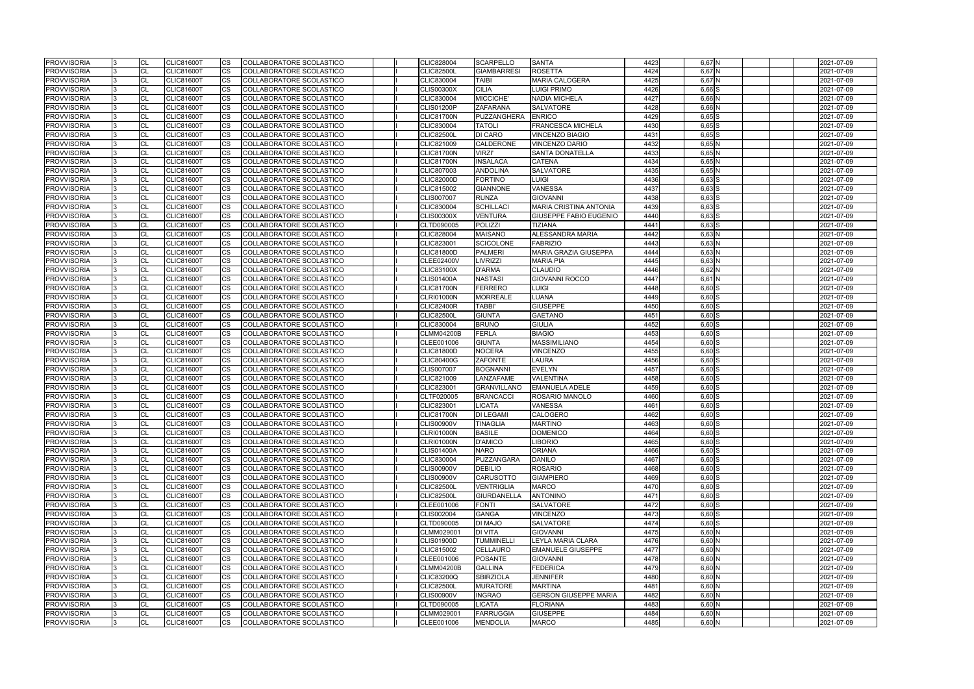| <b>PROVVISORIA</b>                       | CL                     | <b>CLIC81600T</b>                      | <b>CS</b>              | COLLABORATORE SCOLASTICO                             |  | CLIC828004        | <b>SCARPELLO</b>   | <b>SANTA</b>                        | 4423         | 6,67 N               | 2021-07-09 |
|------------------------------------------|------------------------|----------------------------------------|------------------------|------------------------------------------------------|--|-------------------|--------------------|-------------------------------------|--------------|----------------------|------------|
| <b>PROVVISORIA</b>                       | CL                     | <b>CLIC81600T</b>                      | <b>CS</b>              | <b>COLLABORATORE SCOLASTICO</b>                      |  | <b>CLIC82500L</b> | <b>GIAMBARRESI</b> | <b>ROSETTA</b>                      | 4424         | $6,67$ N             | 2021-07-09 |
| <b>PROVVISORIA</b>                       | <b>CL</b>              | <b>CLIC81600T</b>                      | <b>CS</b>              | COLLABORATORE SCOLASTICO                             |  | CLIC830004        | <b>TAIBI</b>       | <b>MARIA CALOGERA</b>               | 4425         | $6,67$ N             | 2021-07-09 |
| <b>PROVVISORIA</b>                       | CL                     | <b>CLIC81600T</b>                      | CS                     | COLLABORATORE SCOLASTICO                             |  | <b>CLIS00300X</b> | <b>CILIA</b>       | <b>LUIGI PRIMO</b>                  | 4426         | $6,66$ S             | 2021-07-09 |
| <b>PROVVISORIA</b>                       | CL                     | <b>CLIC81600T</b>                      | CS                     | COLLABORATORE SCOLASTICO                             |  | CLIC830004        | MICCICHE'          | <b>NADIA MICHELA</b>                | 4427         | 6,66 N               | 2021-07-09 |
| <b>PROVVISORIA</b>                       | CL                     | <b>CLIC81600T</b>                      | <b>CS</b>              | COLLABORATORE SCOLASTICO                             |  | <b>CLIS01200P</b> | <b>ZAFARANA</b>    | <b>SALVATORE</b>                    | 4428         | 6,66 N               | 2021-07-09 |
| <b>PROVVISORIA</b>                       | CL                     | <b>CLIC81600T</b>                      | <b>CS</b>              | COLLABORATORE SCOLASTICO                             |  | <b>CLIC81700N</b> | PUZZANGHERA        | <b>ENRICO</b>                       | 4429         | $6,65$ $S$           | 2021-07-09 |
| <b>PROVVISORIA</b>                       | CL                     | <b>CLIC81600T</b>                      | <b>CS</b>              | COLLABORATORE SCOLASTICO                             |  | CLIC830004        | <b>TATOLI</b>      | <b>FRANCESCA MICHELA</b>            | 4430         | $6,65$ $S$           | 2021-07-09 |
| <b>PROVVISORIA</b>                       | CL                     | <b>CLIC81600T</b>                      | <b>CS</b>              | COLLABORATORE SCOLASTICO                             |  | <b>CLIC82500L</b> | <b>DI CARO</b>     | <b>VINCENZO BIAGIO</b>              | 4431         | 6,65 S               | 2021-07-09 |
| <b>PROVVISORIA</b>                       | CL                     | <b>CLIC81600T</b>                      | CS                     | COLLABORATORE SCOLASTICO                             |  | CLIC821009        | CALDERONE          | <b>VINCENZO DARIO</b>               | 4432         | $6,65$ N             | 2021-07-09 |
| <b>PROVVISORIA</b>                       | CL                     | CLIC81600T                             | CS                     | COLLABORATORE SCOLASTICO                             |  | <b>CLIC81700N</b> | <b>VIRZI'</b>      | SANTA DONATELLA                     | 4433         | $6,65$ N             | 2021-07-09 |
| <b>PROVVISORIA</b>                       | <b>CL</b>              | <b>CLIC81600T</b>                      | <b>CS</b>              | COLLABORATORE SCOLASTICO                             |  | <b>CLIC81700N</b> | <b>INSALACA</b>    | <b>CATENA</b>                       | 4434         | 6,65N                | 2021-07-09 |
| <b>PROVVISORIA</b>                       | CL                     | <b>CLIC81600T</b>                      | <b>CS</b>              | COLLABORATORE SCOLASTICO                             |  | CLIC807003        | <b>ANDOLINA</b>    | <b>SALVATORE</b>                    | 4435         | 6,65 N               | 2021-07-09 |
| <b>PROVVISORIA</b>                       | CL                     | <b>CLIC81600T</b>                      | <b>CS</b>              | COLLABORATORE SCOLASTICO                             |  | <b>CLIC82000D</b> | <b>FORTINO</b>     | <b>LUIGI</b>                        | 4436         | $6,63$ $S$           | 2021-07-09 |
| <b>PROVVISORIA</b>                       | CL                     | <b>CLIC81600T</b>                      | <b>CS</b>              | COLLABORATORE SCOLASTICO                             |  | CLIC815002        | <b>GIANNONE</b>    | VANESSA                             | 4437         | $6,63$ S             | 2021-07-09 |
| <b>PROVVISORIA</b>                       | CL                     | <b>CLIC81600T</b>                      | CS                     | COLLABORATORE SCOLASTICO                             |  | <b>CLIS007007</b> | <b>RUNZA</b>       | <b>GIOVANNI</b>                     | 4438         | $6,63$ $S$           | 2021-07-09 |
| <b>PROVVISORIA</b>                       | <b>CL</b>              | <b>CLIC81600T</b>                      | CS                     | COLLABORATORE SCOLASTICO                             |  | CLIC830004        | <b>SCHILLACI</b>   | <b>MARIA CRISTINA ANTONIA</b>       | 4439         | $6,63$ $S$           | 2021-07-09 |
| <b>PROVVISORIA</b>                       | CL                     | <b>CLIC81600T</b>                      | <b>CS</b>              | COLLABORATORE SCOLASTICO                             |  | <b>CLIS00300X</b> | <b>VENTURA</b>     | <b>GIUSEPPE FABIO EUGENIO</b>       | 4440         | 6,63 S               | 2021-07-09 |
| <b>PROVVISORIA</b>                       | CL                     | <b>CLIC81600T</b>                      | <b>CS</b>              | COLLABORATORE SCOLASTICO                             |  | CLTD090005        | POLIZZI            | <b>TIZIANA</b>                      | 4441         | 6,63 S               | 2021-07-09 |
| <b>PROVVISORIA</b>                       | <b>CL</b>              | <b>CLIC81600T</b>                      | <b>CS</b>              | COLLABORATORE SCOLASTICO                             |  | <b>CLIC828004</b> | <b>MAISANO</b>     | ALESSANDRA MARIA                    | 4442         | 6,63N                | 2021-07-09 |
| <b>PROVVISORIA</b>                       | CL                     | <b>CLIC81600T</b>                      | <b>CS</b>              | COLLABORATORE SCOLASTICO                             |  | CLIC823001        | <b>SCICOLONE</b>   | <b>FABRIZIO</b>                     | 4443         | 6,63 N               | 2021-07-09 |
| <b>PROVVISORIA</b>                       | <b>CL</b>              | <b>CLIC81600T</b>                      | CS                     | COLLABORATORE SCOLASTICO                             |  | <b>CLIC81800D</b> | <b>PALMERI</b>     | <b>MARIA GRAZIA GIUSEPPA</b>        | 4444         | $6,63$ N             | 2021-07-09 |
| <b>PROVVISORIA</b>                       | <b>CL</b>              | <b>CLIC81600T</b>                      | CS                     | COLLABORATORE SCOLASTICO                             |  | CLEE02400V        | <b>LIVRIZZI</b>    | <b>MARIA PIA</b>                    | 4445         | $6,63$ N             | 2021-07-09 |
| <b>PROVVISORIA</b>                       | CL                     | <b>CLIC81600T</b>                      | <b>CS</b>              | COLLABORATORE SCOLASTICO                             |  | <b>CLIC83100X</b> | <b>D'ARMA</b>      | <b>CLAUDIO</b>                      | 4446         | $6,62$ N             | 2021-07-09 |
| <b>PROVVISORIA</b>                       | CL                     | <b>CLIC81600T</b>                      | CS                     | COLLABORATORE SCOLASTICO                             |  | <b>CLIS01400A</b> | <b>NASTASI</b>     | <b>GIOVANNI ROCCO</b>               | 4447         | 6,61 N               | 2021-07-09 |
| <b>PROVVISORIA</b>                       | <b>CL</b>              | <b>CLIC81600T</b>                      | <b>CS</b>              | COLLABORATORE SCOLASTICO                             |  | <b>CLIC81700N</b> | <b>FERRERO</b>     | <b>LUIGI</b>                        | 4448         | $6,60$ S             | 2021-07-09 |
| <b>PROVVISORIA</b>                       | CL                     | <b>CLIC81600T</b>                      | <b>CS</b>              | COLLABORATORE SCOLASTICO                             |  | <b>CLRI01000N</b> | <b>MORREALE</b>    | LUANA                               | 4449         | $6,60$ S             | 2021-07-09 |
| <b>PROVVISORIA</b>                       | CL                     | <b>CLIC81600T</b>                      | <b>CS</b>              | COLLABORATORE SCOLASTICO                             |  | <b>CLIC82400R</b> | <b>TABBI</b>       | <b>GIUSEPPE</b>                     | 4450         | 6,60 S               | 2021-07-09 |
| <b>PROVVISORIA</b>                       | <b>CL</b>              | <b>CLIC81600T</b>                      | CS                     | COLLABORATORE SCOLASTICO                             |  | <b>CLIC82500L</b> | <b>GIUNTA</b>      | <b>GAETANO</b>                      | 4451         | $6,60$ S             | 2021-07-09 |
| <b>PROVVISORIA</b>                       | CL                     | CLIC81600T                             | CS                     | COLLABORATORE SCOLASTICO                             |  | CLIC830004        | <b>BRUNO</b>       | <b>GIULIA</b>                       | 4452         | $6,60$ S             | 2021-07-09 |
| <b>PROVVISORIA</b>                       | CL                     | <b>CLIC81600T</b>                      | <b>CS</b>              | COLLABORATORE SCOLASTICO                             |  | <b>CLMM04200B</b> | <b>FERLA</b>       | <b>BIAGIO</b>                       | 4453         | 6,60 S               | 2021-07-09 |
| <b>PROVVISORIA</b>                       | CL                     | <b>CLIC81600T</b>                      | <b>CS</b>              | COLLABORATORE SCOLASTICO                             |  | CLEE001006        | <b>GIUNTA</b>      | <b>MASSIMILIANO</b>                 | 4454         | 6,60 S               | 2021-07-09 |
| <b>PROVVISORIA</b>                       | CL                     | <b>CLIC81600T</b>                      | <b>CS</b>              | COLLABORATORE SCOLASTICO                             |  | <b>CLIC81800D</b> | <b>NOCERA</b>      | <b>VINCENZO</b>                     | 4455         | $6,60$ S             | 2021-07-09 |
| <b>PROVVISORIA</b>                       | CL                     | <b>CLIC81600T</b>                      | <b>CS</b>              | COLLABORATORE SCOLASTICO                             |  | <b>CLIC80400G</b> | <b>ZAFONTE</b>     | <b>LAURA</b>                        | 4456         | 6,60 S               | 2021-07-09 |
| <b>PROVVISORIA</b>                       | CL                     | <b>CLIC81600T</b>                      | CS                     | COLLABORATORE SCOLASTICO                             |  | <b>CLIS007007</b> | <b>BOGNANNI</b>    | <b>EVELYN</b>                       | 4457         | 6,60 S               | 2021-07-09 |
| <b>PROVVISORIA</b>                       | CL                     | <b>CLIC81600T</b>                      | <b>CS</b>              | COLLABORATORE SCOLASTICO                             |  | CLIC821009        | LANZAFAME          | VALENTINA                           | 4458         | $6,60$ S             | 2021-07-09 |
| <b>PROVVISORIA</b>                       | CL                     | <b>CLIC81600T</b>                      | <b>CS</b>              | COLLABORATORE SCOLASTICO                             |  | <b>CLIC823001</b> | <b>GRANVILLANO</b> | <b>EMANUELA ADELE</b>               | 4459         | 6,60S                | 2021-07-09 |
| <b>PROVVISORIA</b>                       | CL                     | <b>CLIC81600T</b>                      | <b>CS</b>              | COLLABORATORE SCOLASTICO                             |  | CLTF020005        | <b>BRANCACCI</b>   | ROSARIO MANOLO                      | 4460         | 6,60 S               | 2021-07-09 |
| <b>PROVVISORIA</b>                       | CL                     | <b>CLIC81600T</b>                      | <b>CS</b>              | COLLABORATORE SCOLASTICO                             |  | CLIC823001        | <b>LICATA</b>      | <b>VANESSA</b>                      | 4461         | $6,60$ S             | 2021-07-09 |
| <b>PROVVISORIA</b>                       | CL                     | <b>CLIC81600T</b>                      | <b>CS</b>              | COLLABORATORE SCOLASTICO                             |  | <b>CLIC81700N</b> | <b>DI LEGAMI</b>   | <b>CALOGERO</b>                     | 4462         | 6,60 S               | 2021-07-09 |
| <b>PROVVISORIA</b>                       | <b>CL</b>              | <b>CLIC81600T</b>                      | <b>CS</b>              | COLLABORATORE SCOLASTICO                             |  | <b>CLIS00900V</b> | <b>TINAGLIA</b>    | <b>MARTINO</b>                      | 4463         | $6.60$ S             | 2021-07-09 |
| <b>PROVVISORIA</b>                       | <b>CL</b>              | <b>CLIC81600T</b>                      | <b>CS</b>              | COLLABORATORE SCOLASTICO                             |  | <b>CLRI01000N</b> | <b>BASILE</b>      | <b>DOMENICO</b>                     | 4464         | 6,60 S               | 2021-07-09 |
| <b>PROVVISORIA</b>                       | <b>CL</b>              | <b>CLIC81600T</b>                      | CS                     | COLLABORATORE SCOLASTICO                             |  | <b>CLRI01000N</b> | <b>D'AMICO</b>     | LIBORIO                             | 4465         | 6,60 S               | 2021-07-09 |
| <b>PROVVISORIA</b>                       | CL                     | <b>CLIC81600T</b>                      | <b>CS</b>              | COLLABORATORE SCOLASTICO                             |  | <b>CLIS01400A</b> | <b>NARO</b>        | <b>ORIANA</b>                       | 4466         | 6,60 S               | 2021-07-09 |
| <b>PROVVISORIA</b>                       | <b>CL</b>              | <b>CLIC81600T</b>                      | <b>CS</b>              | COLLABORATORE SCOLASTICO                             |  | CLIC830004        | PUZZANGARA         | <b>DANILO</b>                       | 4467         | $6,60$ S             | 2021-07-09 |
| <b>PROVVISORIA</b>                       | CL                     | <b>CLIC81600T</b>                      | <b>CS</b>              | COLLABORATORE SCOLASTICO                             |  | <b>CLIS00900V</b> | <b>DEBILIO</b>     | <b>ROSARIO</b>                      | 4468         | $6,60$ S             | 2021-07-09 |
| <b>PROVVISORIA</b>                       |                        |                                        |                        | COLLABORATORE SCOLASTICO                             |  | <b>CLIS00900V</b> | <b>CARUSOTTO</b>   |                                     |              | 6,60 S               | 2021-07-09 |
| <b>PROVVISORIA</b>                       | <b>CL</b><br><b>CL</b> | <b>CLIC81600T</b><br><b>CLIC81600T</b> | CS<br><b>CS</b>        | COLLABORATORE SCOLASTICO                             |  | <b>CLIC82500L</b> | <b>VENTRIGLIA</b>  | <b>GIAMPIERO</b><br><b>MARCO</b>    | 4469<br>4470 | 6,60 S               | 2021-07-09 |
| <b>PROVVISORIA</b>                       | <b>CL</b>              | <b>CLIC81600T</b>                      | <b>CS</b>              | COLLABORATORE SCOLASTICO                             |  | <b>CLIC82500L</b> | <b>GIURDANELLA</b> | <b>ANTONINO</b>                     | 4471         | $6,60$ S             | 2021-07-09 |
|                                          |                        |                                        |                        |                                                      |  | CLEE001006        |                    |                                     | 4472         |                      |            |
| <b>PROVVISORIA</b><br><b>PROVVISORIA</b> | <b>CL</b>              | <b>CLIC81600T</b>                      | CS                     | COLLABORATORE SCOLASTICO<br>COLLABORATORE SCOLASTICO |  |                   | <b>FONTI</b>       | <b>SALVATORE</b><br><b>VINCENZO</b> |              | 6,60 S               | 2021-07-09 |
|                                          | <b>CL</b>              | <b>CLIC81600T</b><br><b>CLIC81600T</b> | CS                     |                                                      |  | CLIS002004        | <b>GANGA</b>       |                                     | 4473         | 6,60 S               | 2021-07-09 |
| <b>PROVVISORIA</b>                       | <b>CL</b>              |                                        | <b>CS</b><br><b>CS</b> | COLLABORATORE SCOLASTICO                             |  | CLTD090005        | <b>DI MAJO</b>     | <b>SALVATORE</b>                    | 4474         | $6,60$ S<br>$6,60$ N | 2021-07-09 |
| <b>PROVVISORIA</b>                       | CL                     | <b>CLIC81600T</b>                      |                        | COLLABORATORE SCOLASTICO                             |  | CLMM029001        | DI VITA            | <b>GIOVANNI</b>                     | 4475         |                      | 2021-07-09 |
| <b>PROVVISORIA</b>                       | CL                     | <b>CLIC81600T</b>                      | <b>CS</b>              | COLLABORATORE SCOLASTICO                             |  | <b>CLIS01900D</b> | <b>TUMMINELLI</b>  | LEYLA MARIA CLARA                   | 4476         | 6,60 N               | 2021-07-09 |
| <b>PROVVISORIA</b>                       | CL                     | <b>CLIC81600T</b>                      | <b>CS</b>              | COLLABORATORE SCOLASTICO                             |  | CLIC815002        | <b>CELLAURO</b>    | <b>EMANUELE GIUSEPPE</b>            | 4477         | 6,60 N               | 2021-07-09 |
| <b>PROVVISORIA</b>                       | <b>CL</b>              | <b>CLIC81600T</b>                      | CS                     | COLLABORATORE SCOLASTICO                             |  | CLEE001006        | <b>POSANTE</b>     | <b>GIOVANNI</b>                     | 4478         | 6,60 N               | 2021-07-09 |
| <b>PROVVISORIA</b>                       | CL                     | <b>CLIC81600T</b>                      | <b>CS</b>              | COLLABORATORE SCOLASTICO                             |  | <b>CLMM04200B</b> | <b>GALLINA</b>     | <b>FEDERICA</b>                     | 4479         | $6,60$ N             | 2021-07-09 |
| <b>PROVVISORIA</b>                       | <b>CL</b>              | <b>CLIC81600T</b>                      | <b>CS</b>              | COLLABORATORE SCOLASTICO                             |  | CLIC83200Q        | <b>SBIRZIOLA</b>   | <b>JENNIFER</b>                     | 4480         | 6,60 N               | 2021-07-09 |
| <b>PROVVISORIA</b>                       | CL                     | <b>CLIC81600T</b>                      | <b>CS</b>              | COLLABORATORE SCOLASTICO                             |  | <b>CLIC82500L</b> | <b>MURATORE</b>    | <b>MARTINA</b>                      | 4481         | 6,60N                | 2021-07-09 |
| <b>PROVVISORIA</b>                       | CL                     | <b>CLIC81600T</b>                      | <b>CS</b>              | COLLABORATORE SCOLASTICO                             |  | <b>CLIS00900V</b> | <b>INGRAO</b>      | <b>GERSON GIUSEPPE MARIA</b>        | 4482         | 6,60 N               | 2021-07-09 |
| <b>PROVVISORIA</b>                       | CL                     | <b>CLIC81600T</b>                      | <b>CS</b>              | COLLABORATORE SCOLASTICO                             |  | CLTD090005        | <b>LICATA</b>      | <b>FLORIANA</b>                     | 4483         | 6,60 N               | 2021-07-09 |
| <b>PROVVISORIA</b>                       | <b>CL</b>              | <b>CLIC81600T</b>                      | <b>CS</b>              | COLLABORATORE SCOLASTICO                             |  | CLMM029001        | <b>FARRUGGIA</b>   | <b>GIUSEPPE</b>                     | 4484         | $6,60$ N             | 2021-07-09 |
| <b>PROVVISORIA</b>                       | <b>CL</b>              | <b>CLIC81600T</b>                      | <b>CS</b>              | COLLABORATORE SCOLASTICO                             |  | CLEE001006        | <b>MENDOLIA</b>    | <b>MARCO</b>                        | 4485         | 6,60 N               | 2021-07-09 |

|  |  | 2021-07-09               |
|--|--|--------------------------|
|  |  | 2021-07-09               |
|  |  | 2021-07-09               |
|  |  | 2021-07-09               |
|  |  | 2021-07-09               |
|  |  | 2021-07-09               |
|  |  | 2021-07-09               |
|  |  | 2021-07-09               |
|  |  | 2021-07-09               |
|  |  | 2021-07-09               |
|  |  | 2021-07-09               |
|  |  | 2021-07-09               |
|  |  | 2021-07-09               |
|  |  | 2021-07-09               |
|  |  | 2021-07-09               |
|  |  | 2021-07-09               |
|  |  | 2021-07-09               |
|  |  | 2021-07-09               |
|  |  | 2021-07-09               |
|  |  | 2021-07-09               |
|  |  | 2021-07-09               |
|  |  | 2021-07-09               |
|  |  | 2021-07-09               |
|  |  | 2021-07-09               |
|  |  | 2021-07-09               |
|  |  | 2021-07-09               |
|  |  | 2021-07-09               |
|  |  | 2021-07-09               |
|  |  | 2021-07-09               |
|  |  | 2021-07-09               |
|  |  | 2021-07-09               |
|  |  | 2021-07-09               |
|  |  | 2021-07-09               |
|  |  | 2021-07-09<br>2021-07-09 |
|  |  | 2021-07-09               |
|  |  | 2021-07-09               |
|  |  | 2021-07-09               |
|  |  | 2021-07-09               |
|  |  | 2021-07-09               |
|  |  | 2021-07-09               |
|  |  | 2021-07-09               |
|  |  | 2021-07-09               |
|  |  | 2021-07-09               |
|  |  | 2021-07-09               |
|  |  | 2021-07-09               |
|  |  | 2021-07-09               |
|  |  | 2021-07-09               |
|  |  | 2021-07-09               |
|  |  | 2021-07-09               |
|  |  | 2021-07-09               |
|  |  | 2021-07-09               |
|  |  | 2021-07-09               |
|  |  | 2021-07-09               |
|  |  | 2021-07-09               |
|  |  | 2021-07-09               |
|  |  | 2021-07-09               |
|  |  | 2021-07-09               |
|  |  | 2021-07-09               |
|  |  | 2021-07-09               |
|  |  | 2021-07-09               |
|  |  | 2021-07-09               |
|  |  | 2021-07-09               |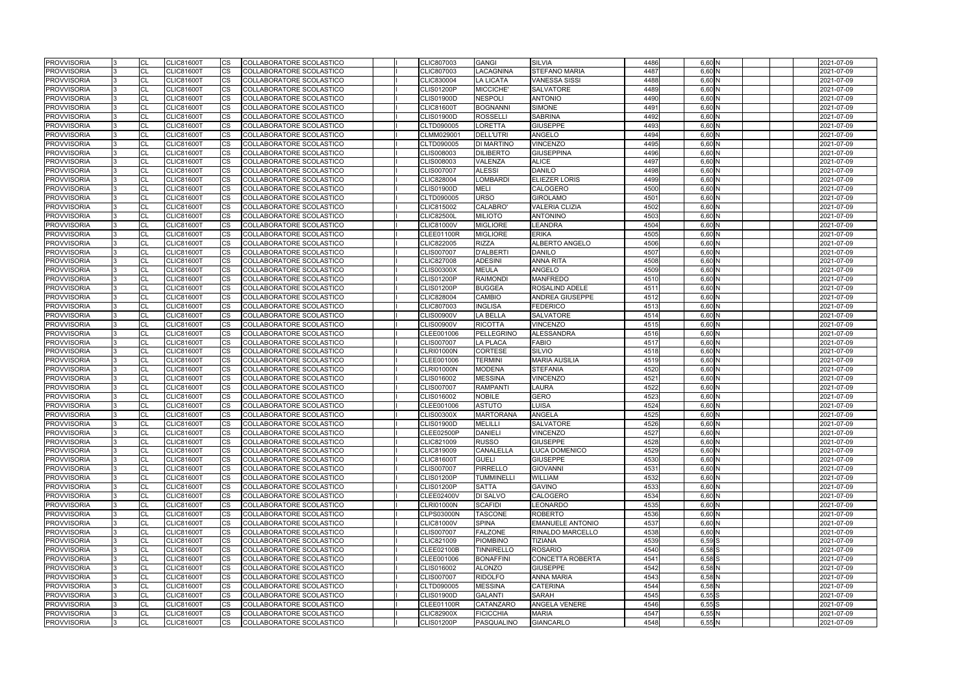| <b>PROVVISORIA</b> | <b>CL</b>      | <b>CLIC81600T</b> | <b>CS</b> | COLLABORATORE SCOLASTICO        |  | CLIC807003        | <b>GANGI</b>      | <b>SILVIA</b>           | 4486 | 6,60 N     | 2021-07-09 |
|--------------------|----------------|-------------------|-----------|---------------------------------|--|-------------------|-------------------|-------------------------|------|------------|------------|
| <b>PROVVISORIA</b> | <b>CL</b>      | <b>CLIC81600T</b> | <b>CS</b> | COLLABORATORE SCOLASTICO        |  | CLIC807003        | LACAGNINA         | <b>STEFANO MARIA</b>    | 4487 | 6,60 N     | 2021-07-09 |
| <b>PROVVISORIA</b> | CL             | <b>CLIC81600T</b> | CS.       | COLLABORATORE SCOLASTICO        |  | CLIC830004        | <b>LA LICATA</b>  | VANESSA SISSI           | 4488 | 6,60 N     | 2021-07-09 |
| <b>PROVVISORIA</b> | <b>CL</b>      | <b>CLIC81600T</b> | CS        | COLLABORATORE SCOLASTICO        |  | <b>CLIS01200P</b> | MICCICHE'         | <b>SALVATORE</b>        | 4489 | 6,60 N     | 2021-07-09 |
| <b>PROVVISORIA</b> | <b>CL</b>      | <b>CLIC81600T</b> | CS        | COLLABORATORE SCOLASTICO        |  | <b>CLIS01900D</b> | <b>NESPOLI</b>    | ANTONIO                 | 4490 | 6,60 N     | 2021-07-09 |
| <b>PROVVISORIA</b> | CL             | <b>CLIC81600T</b> | CS        | COLLABORATORE SCOLASTICO        |  | <b>CLIC81600T</b> | <b>BOGNANNI</b>   | SIMONE                  | 4491 | 6,60 N     | 2021-07-09 |
| <b>PROVVISORIA</b> | <b>CL</b>      | <b>CLIC81600T</b> | CS        | COLLABORATORE SCOLASTICO        |  | <b>CLIS01900D</b> | <b>ROSSELLI</b>   | <b>SABRINA</b>          | 4492 | 6,60 N     | 2021-07-09 |
| <b>PROVVISORIA</b> | CL             | <b>CLIC81600T</b> | <b>CS</b> | COLLABORATORE SCOLASTICO        |  | CLTD090005        | <b>LORETTA</b>    | <b>GIUSEPPE</b>         | 4493 | 6,60 N     | 2021-07-09 |
| <b>PROVVISORIA</b> | CL             | <b>CLIC81600T</b> | CS.       | COLLABORATORE SCOLASTICO        |  | CLMM029001        | <b>DELL'UTRI</b>  | ANGELO                  | 4494 | 6,60 N     | 2021-07-09 |
| <b>PROVVISORIA</b> | <b>CL</b>      | <b>CLIC81600T</b> | CS        | COLLABORATORE SCOLASTICO        |  | CLTD090005        | <b>DI MARTINO</b> | <b>VINCENZO</b>         | 4495 | 6,60 N     | 2021-07-09 |
| <b>PROVVISORIA</b> | CL             | <b>CLIC81600T</b> | CS        | COLLABORATORE SCOLASTICO        |  | CLIS008003        | <b>DILIBERTO</b>  | <b>GIUSEPPINA</b>       | 4496 | 6,60 N     | 2021-07-09 |
| <b>PROVVISORIA</b> | <b>CL</b>      | <b>CLIC81600T</b> | CS        | COLLABORATORE SCOLASTICO        |  | CLIS008003        | <b>VALENZA</b>    | <b>ALICE</b>            | 4497 | 6,60 N     | 2021-07-09 |
| <b>PROVVISORIA</b> | <b>CL</b>      | <b>CLIC81600T</b> | <b>CS</b> | COLLABORATORE SCOLASTICO        |  | <b>CLIS007007</b> | <b>ALESSI</b>     | <b>DANILO</b>           | 4498 | 6,60 N     | 2021-07-09 |
| <b>PROVVISORIA</b> | <b>CL</b>      | <b>CLIC81600T</b> | <b>CS</b> | COLLABORATORE SCOLASTICO        |  | <b>CLIC828004</b> | <b>LOMBARDI</b>   | <b>ELIEZER LORIS</b>    | 4499 | 6,60 N     | 2021-07-09 |
| <b>PROVVISORIA</b> | <b>CL</b>      | <b>CLIC81600T</b> | <b>CS</b> | COLLABORATORE SCOLASTICO        |  | <b>CLIS01900D</b> | <b>MELI</b>       | <b>CALOGERO</b>         | 4500 | 6,60 N     | 2021-07-09 |
| <b>PROVVISORIA</b> | <b>CL</b>      | <b>CLIC81600T</b> | CS        | COLLABORATORE SCOLASTICO        |  | CLTD090005        | <b>URSO</b>       | <b>GIROLAMO</b>         | 4501 | 6,60 N     | 2021-07-09 |
| <b>PROVVISORIA</b> | CL             | <b>CLIC81600T</b> | CS        | COLLABORATORE SCOLASTICO        |  | CLIC815002        | CALABRO'          | VALERIA CLIZIA          | 4502 | 6,60 N     | 2021-07-09 |
| <b>PROVVISORIA</b> | <b>CL</b>      | <b>CLIC81600T</b> | CS        | COLLABORATORE SCOLASTICO        |  | <b>CLIC82500L</b> | <b>MILIOTO</b>    | <b>ANTONINO</b>         | 4503 | 6,60 N     | 2021-07-09 |
| <b>PROVVISORIA</b> | <b>CL</b>      | <b>CLIC81600T</b> | CS        | COLLABORATORE SCOLASTICO        |  | <b>CLIC81000V</b> | <b>MIGLIORE</b>   | <b>LEANDRA</b>          | 4504 | 6,60 N     | 2021-07-09 |
| <b>PROVVISORIA</b> | CL             | <b>CLIC81600T</b> | <b>CS</b> | COLLABORATORE SCOLASTICO        |  | CLEE01100R        | <b>MIGLIORE</b>   | ERIKA                   | 4505 | 6,60 N     | 2021-07-09 |
| <b>PROVVISORIA</b> | <b>CL</b>      | <b>CLIC81600T</b> | CS        | COLLABORATORE SCOLASTICO        |  | <b>CLIC822005</b> | <b>RIZZA</b>      | ALBERTO ANGELO          | 4506 | 6,60 N     | 2021-07-09 |
| <b>PROVVISORIA</b> | <b>CL</b>      | <b>CLIC81600T</b> | CS        | <b>COLLABORATORE SCOLASTICO</b> |  | <b>CLIS007007</b> | <b>D'ALBERTI</b>  | <b>DANILO</b>           | 4507 | $6,60$ N   | 2021-07-09 |
| <b>PROVVISORIA</b> | <b>CL</b>      | <b>CLIC81600T</b> | CS        | COLLABORATORE SCOLASTICO        |  | <b>CLIC827008</b> | <b>ADESINI</b>    | ANNA RITA               | 4508 | 6,60 N     | 2021-07-09 |
| <b>PROVVISORIA</b> | <b>CL</b>      | <b>CLIC81600T</b> | CS        | COLLABORATORE SCOLASTICO        |  | <b>CLIS00300X</b> | <b>MEULA</b>      | ANGELO                  | 4509 | 6,60 N     | 2021-07-09 |
| <b>PROVVISORIA</b> | CL             | <b>CLIC81600T</b> | СS        | COLLABORATORE SCOLASTICO        |  | <b>CLIS01200P</b> | <b>RAIMONDI</b>   | <b>MANFREDO</b>         | 4510 | 6,60 N     | 2021-07-09 |
| <b>PROVVISORIA</b> | <b>CL</b>      | <b>CLIC81600T</b> | <b>CS</b> | COLLABORATORE SCOLASTICO        |  | <b>CLIS01200P</b> | <b>BUGGEA</b>     | ROSALIND ADELE          | 4511 | 6,60 N     | 2021-07-09 |
| <b>PROVVISORIA</b> | <b>CL</b>      | <b>CLIC81600T</b> | <b>CS</b> | COLLABORATORE SCOLASTICO        |  | <b>CLIC828004</b> | <b>CAMBIO</b>     | ANDREA GIUSEPPE         | 4512 | 6,60 N     | 2021-07-09 |
| <b>PROVVISORIA</b> | <b>CL</b>      | <b>CLIC81600T</b> | CS.       | COLLABORATORE SCOLASTICO        |  | CLIC807003        | <b>INGLISA</b>    | <b>FEDERICO</b>         | 4513 | 6,60 N     | 2021-07-09 |
| <b>PROVVISORIA</b> | <b>CL</b>      | <b>CLIC81600T</b> | CS        | COLLABORATORE SCOLASTICO        |  | <b>CLIS00900V</b> | <b>LA BELLA</b>   | <b>SALVATORE</b>        | 4514 | $6,60$ N   | 2021-07-09 |
| <b>PROVVISORIA</b> | <b>CL</b>      | <b>CLIC81600T</b> | CS        | COLLABORATORE SCOLASTICO        |  | <b>CLIS00900V</b> | <b>RICOTTA</b>    | <b>VINCENZO</b>         | 4515 | 6,60 N     | 2021-07-09 |
| <b>PROVVISORIA</b> | CL             | <b>CLIC81600T</b> | CS        | COLLABORATORE SCOLASTICO        |  | CLEE001006        | PELLEGRINO        | <b>ALESSANDRA</b>       | 4516 | 6,60 N     | 2021-07-09 |
| <b>PROVVISORIA</b> | CL             | <b>CLIC81600T</b> | <b>CS</b> | COLLABORATORE SCOLASTICO        |  | <b>CLIS007007</b> | <b>LA PLACA</b>   | <b>FABIO</b>            | 4517 | 6,60 N     | 2021-07-09 |
| <b>PROVVISORIA</b> | CL             | <b>CLIC81600T</b> | <b>CS</b> | COLLABORATORE SCOLASTICO        |  | <b>CLRI01000N</b> | <b>CORTESE</b>    | <b>SILVIO</b>           | 4518 | 6,60 N     | 2021-07-09 |
| <b>PROVVISORIA</b> | CL             | <b>CLIC81600T</b> | CS        | COLLABORATORE SCOLASTICO        |  | CLEE001006        | <b>TERMINI</b>    | <b>MARIA AUSILIA</b>    | 4519 | 6,60 N     | 2021-07-09 |
| <b>PROVVISORIA</b> | <b>CL</b>      | <b>CLIC81600T</b> | CS        | COLLABORATORE SCOLASTICO        |  | <b>CLRI01000N</b> | <b>MODENA</b>     | <b>STEFANIA</b>         | 4520 | 6,60 N     | 2021-07-09 |
| <b>PROVVISORIA</b> | <b>CL</b>      | <b>CLIC81600T</b> | CS        | COLLABORATORE SCOLASTICO        |  | CLIS016002        | <b>MESSINA</b>    | <b>VINCENZO</b>         | 4521 | 6,60 N     | 2021-07-09 |
| <b>PROVVISORIA</b> | <b>CL</b>      | <b>CLIC81600T</b> | CS        | COLLABORATORE SCOLASTICO        |  | <b>CLIS007007</b> | <b>RAMPANTI</b>   | LAURA                   | 4522 | $6,60$ N   | 2021-07-09 |
| <b>PROVVISORIA</b> | <b>CL</b>      | <b>CLIC81600T</b> | CS        | COLLABORATORE SCOLASTICO        |  | CLIS016002        | <b>NOBILE</b>     | <b>GERO</b>             | 4523 | 6,60 N     | 2021-07-09 |
| <b>PROVVISORIA</b> | CL             | <b>CLIC81600T</b> | <b>CS</b> | COLLABORATORE SCOLASTICO        |  | CLEE001006        | <b>ASTUTO</b>     | LUISA                   | 4524 | 6,60 N     | 2021-07-09 |
| <b>PROVVISORIA</b> | <b>CL</b>      | <b>CLIC81600T</b> | CS        | COLLABORATORE SCOLASTICO        |  | <b>CLIS00300X</b> | <b>MARTORANA</b>  | <b>ANGELA</b>           | 4525 | 6,60 N     | 2021-07-09 |
| <b>PROVVISORIA</b> | $\overline{C}$ | <b>CLIC81600T</b> | <b>CS</b> | COLLABORATORE SCOLASTICO        |  | <b>CLIS01900D</b> | MELILLI           | <b>SALVATORE</b>        | 4526 | 6.60 N     | 2021-07-09 |
| <b>PROVVISORIA</b> | <b>CL</b>      | <b>CLIC81600T</b> | CS        | <b>COLLABORATORE SCOLASTICO</b> |  | <b>CLEE02500P</b> | <b>DANIELI</b>    | VINCENZO                | 4527 | 6,60 N     | 2021-07-09 |
| <b>PROVVISORIA</b> | CL             | <b>CLIC81600T</b> | <b>CS</b> | COLLABORATORE SCOLASTICO        |  | CLIC821009        | <b>RUSSO</b>      | <b>GIUSEPPE</b>         | 4528 | 6,60N      | 2021-07-09 |
| <b>PROVVISORIA</b> | <b>CL</b>      | <b>CLIC81600T</b> | <b>CS</b> | <b>COLLABORATORE SCOLASTICO</b> |  | <b>CLIC819009</b> | CANALELLA         | LUCA DOMENICO           | 4529 | 6,60 N     | 2021-07-09 |
| <b>PROVVISORIA</b> | <b>CL</b>      | <b>CLIC81600T</b> | <b>CS</b> | COLLABORATORE SCOLASTICO        |  | <b>CLIC81600T</b> | <b>GUELI</b>      | <b>GIUSEPPE</b>         | 4530 | 6,60N      | 2021-07-09 |
| <b>PROVVISORIA</b> | <b>CL</b>      | <b>CLIC81600T</b> | CS.       | COLLABORATORE SCOLASTICO        |  | <b>CLIS007007</b> | <b>PIRRELLO</b>   | <b>GIOVANNI</b>         | 4531 | 6,60 N     | 2021-07-09 |
| <b>PROVVISORIA</b> | <b>CL</b>      | <b>CLIC81600T</b> | CS        | COLLABORATORE SCOLASTICO        |  | <b>CLIS01200P</b> | <b>TUMMINELLI</b> | <b>WILLIAM</b>          | 4532 | 6,60 N     | 2021-07-09 |
| <b>PROVVISORIA</b> | CL             | <b>CLIC81600T</b> | CS        | COLLABORATORE SCOLASTICO        |  | <b>CLIS01200P</b> | <b>SATTA</b>      | <b>GAVINO</b>           | 4533 | 6,60 N     | 2021-07-09 |
| <b>PROVVISORIA</b> | <b>CL</b>      | <b>CLIC81600T</b> | CS        | COLLABORATORE SCOLASTICO        |  | CLEE02400V        | <b>DI SALVO</b>   | <b>CALOGERO</b>         | 4534 | 6,60 N     | 2021-07-09 |
| <b>PROVVISORIA</b> | CL             | <b>CLIC81600T</b> | CS        | COLLABORATORE SCOLASTICO        |  | <b>CLRI01000N</b> | <b>SCAFIDI</b>    | LEONARDO                | 4535 | 6,60 N     | 2021-07-09 |
| <b>PROVVISORIA</b> | CL             | <b>CLIC81600T</b> | <b>CS</b> | COLLABORATORE SCOLASTICO        |  | <b>CLPS03000N</b> | <b>TASCONE</b>    | <b>ROBERTO</b>          | 4536 | 6,60 N     | 2021-07-09 |
| <b>PROVVISORIA</b> | <b>CL</b>      | <b>CLIC81600T</b> | CS        | COLLABORATORE SCOLASTICO        |  | <b>CLIC81000V</b> | <b>SPINA</b>      | <b>EMANUELE ANTONIO</b> | 4537 | 6,60 N     | 2021-07-09 |
| <b>PROVVISORIA</b> | CL             | <b>CLIC81600T</b> | CS        | COLLABORATORE SCOLASTICO        |  | <b>CLIS007007</b> | <b>FALZONE</b>    | RINALDO MARCELLO        | 4538 | $6,60$ N   | 2021-07-09 |
| <b>PROVVISORIA</b> | <b>CL</b>      | <b>CLIC81600T</b> | CS        | COLLABORATORE SCOLASTICO        |  | CLIC821009        | <b>PIOMBINO</b>   | TIZIANA                 | 4539 | $6,59$ S   | 2021-07-09 |
| <b>PROVVISORIA</b> | CL             | <b>CLIC81600T</b> | CS        | COLLABORATORE SCOLASTICO        |  | <b>CLEE02100B</b> | <b>TINNIRELLO</b> | <b>ROSARIO</b>          | 4540 | $6,58$ $S$ | 2021-07-09 |
| <b>PROVVISORIA</b> | CL             | <b>CLIC81600T</b> | CS        | COLLABORATORE SCOLASTICO        |  | CLEE001006        | <b>BONAFFINI</b>  | <b>CONCETTA ROBERTA</b> | 4541 | $6,58$ S   | 2021-07-09 |
| <b>PROVVISORIA</b> | CL             | <b>CLIC81600T</b> | <b>CS</b> | COLLABORATORE SCOLASTICO        |  | CLIS016002        | <b>ALONZO</b>     | <b>GIUSEPPE</b>         | 4542 | 6,58 N     | 2021-07-09 |
| <b>PROVVISORIA</b> | CL             | <b>CLIC81600T</b> | CS.       | COLLABORATORE SCOLASTICO        |  | <b>CLIS007007</b> | <b>RIDOLFO</b>    | <b>ANNA MARIA</b>       | 4543 | $6,58$ N   | 2021-07-09 |
| <b>PROVVISORIA</b> | <b>CL</b>      | <b>CLIC81600T</b> | <b>CS</b> | COLLABORATORE SCOLASTICO        |  | CLTD090005        | <b>MESSINA</b>    | <b>CATERINA</b>         | 4544 | $6,58$ N   | 2021-07-09 |
| <b>PROVVISORIA</b> | <b>CL</b>      | <b>CLIC81600T</b> | CS        | COLLABORATORE SCOLASTICO        |  | <b>CLIS01900D</b> | <b>GALANTI</b>    | SARAH                   | 4545 | $6,55$ S   | 2021-07-09 |
| <b>PROVVISORIA</b> | CL             | CLIC81600T        | CS        | COLLABORATORE SCOLASTICO        |  | CLEE01100R        | <b>CATANZARO</b>  | ANGELA VENERE           | 4546 | $6,55$ $S$ | 2021-07-09 |
| <b>PROVVISORIA</b> | <b>CL</b>      | <b>CLIC81600T</b> | <b>CS</b> | COLLABORATORE SCOLASTICO        |  | <b>CLIC82900X</b> | <b>FICICCHIA</b>  | <b>MARIA</b>            | 4547 | 6,55N      | 2021-07-09 |
| <b>PROVVISORIA</b> | <b>CL</b>      | <b>CLIC81600T</b> | <b>CS</b> | COLLABORATORE SCOLASTICO        |  | <b>CLIS01200P</b> | PASQUALINO        | <b>GIANCARLO</b>        | 4548 | 6,55N      | 2021-07-09 |
|                    |                |                   |           |                                 |  |                   |                   |                         |      |            |            |

|  |  | 2021-07-09               |
|--|--|--------------------------|
|  |  | 2021-07-09               |
|  |  | 2021-07-09               |
|  |  | 2021-07-09               |
|  |  | 2021-07-09               |
|  |  | 2021-07-09               |
|  |  | 2021-07-09               |
|  |  | 2021-07-09               |
|  |  | 2021-07-09               |
|  |  | 2021-07-09               |
|  |  | 2021-07-09               |
|  |  | 2021-07-09               |
|  |  | 2021-07-09               |
|  |  | 2021-07-09               |
|  |  | 2021-07-09               |
|  |  | 2021-07-09               |
|  |  | 2021-07-09               |
|  |  | 2021-07-09               |
|  |  | 2021-07-09               |
|  |  | 2021-07-09               |
|  |  | 2021-07-09               |
|  |  | 2021-07-09               |
|  |  | 2021-07-09               |
|  |  | 2021-07-09               |
|  |  | 2021-07-09               |
|  |  | 2021-07-09               |
|  |  | 2021-07-09<br>2021-07-09 |
|  |  | 2021-07-09               |
|  |  | 2021-07-09               |
|  |  | 2021-07-09               |
|  |  | 2021-07-09               |
|  |  | 2021-07-09               |
|  |  | 2021-07-09               |
|  |  | 2021-07-09               |
|  |  | 2021-07-09               |
|  |  | 2021-07-09               |
|  |  | 2021-07-09               |
|  |  | 2021-07-09               |
|  |  | 2021-07-09               |
|  |  | 2021-07-09               |
|  |  | 2021-07-09               |
|  |  | 2021-07-09               |
|  |  | 2021-07-09               |
|  |  | 2021-07-09               |
|  |  | 2021-07-09               |
|  |  | 2021-07-09               |
|  |  | 2021-07-09               |
|  |  | 2021-07-09               |
|  |  | 2021-07-09               |
|  |  | 2021-07-09               |
|  |  | 2021-07-09               |
|  |  | 2021-07-09               |
|  |  | 2021-07-09               |
|  |  | 2021-07-09               |
|  |  | 2021-07-09               |
|  |  | 2021-07-09               |
|  |  | 2021-07-09<br>2021-07-09 |
|  |  | 2021-07-09               |
|  |  | 2021-07-09               |
|  |  | 2021-07-09               |
|  |  | 2021-07-09               |
|  |  |                          |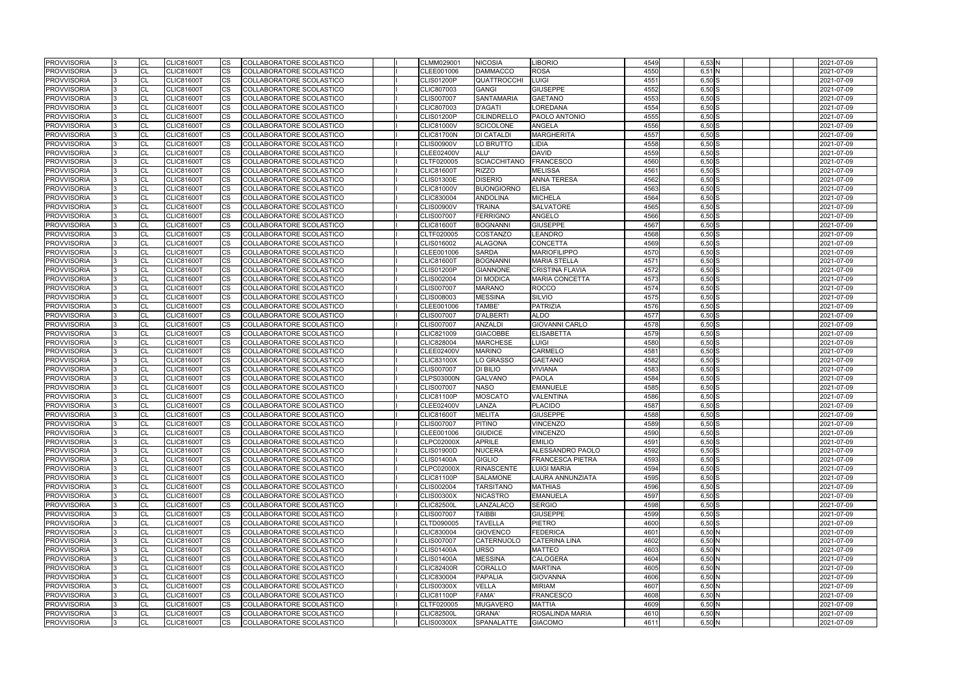| <b>PROVVISORIA</b> | CL        | <b>CLIC81600T</b> | CS.       | COLLABORATORE SCOLASTICO        |  | CLMM029001        | <b>NICOSIA</b>      | LIBORIO               | 4549 | 6,53 N     | 2021-07-09 |
|--------------------|-----------|-------------------|-----------|---------------------------------|--|-------------------|---------------------|-----------------------|------|------------|------------|
| <b>PROVVISORIA</b> | <b>CL</b> | <b>CLIC81600T</b> | CS        | COLLABORATORE SCOLASTICO        |  | CLEE001006        | <b>DAMMACCO</b>     | <b>ROSA</b>           | 4550 | 6,51N      | 2021-07-09 |
| <b>PROVVISORIA</b> | <b>CL</b> | <b>CLIC81600T</b> | <b>CS</b> | <b>COLLABORATORE SCOLASTICO</b> |  | <b>CLIS01200P</b> | <b>QUATTROCCHI</b>  | <b>LUIGI</b>          | 4551 | $6,50$ S   | 2021-07-09 |
| <b>PROVVISORIA</b> | <b>CL</b> | <b>CLIC81600T</b> | CS        | COLLABORATORE SCOLASTICO        |  | CLIC807003        | <b>GANGI</b>        | <b>GIUSEPPE</b>       | 4552 | $6,50$ S   | 2021-07-09 |
| <b>PROVVISORIA</b> | <b>CL</b> | <b>CLIC81600T</b> | CS        | COLLABORATORE SCOLASTICO        |  | <b>CLIS007007</b> | <b>SANTAMARIA</b>   | <b>GAETANO</b>        | 4553 | $6,50$ S   | 2021-07-09 |
| <b>PROVVISORIA</b> | <b>CL</b> | <b>CLIC81600T</b> | CS        | COLLABORATORE SCOLASTICO        |  | CLIC807003        | <b>D'AGATI</b>      | LOREDANA              | 4554 | $6,50$ S   | 2021-07-09 |
| <b>PROVVISORIA</b> | <b>CL</b> | <b>CLIC81600T</b> | CS        | COLLABORATORE SCOLASTICO        |  | <b>CLIS01200P</b> | <b>CILINDRELLO</b>  | PAOLO ANTONIO         | 4555 | 6,50 S     | 2021-07-09 |
| <b>PROVVISORIA</b> | CL        | <b>CLIC81600T</b> | <b>CS</b> | COLLABORATORE SCOLASTICO        |  | <b>CLIC81000V</b> | <b>SCICOLONE</b>    | ANGELA                | 4556 | $6,50$ S   | 2021-07-09 |
| <b>PROVVISORIA</b> | <b>CL</b> | <b>CLIC81600T</b> | CS        | COLLABORATORE SCOLASTICO        |  | <b>CLIC81700N</b> | <b>DI CATALDI</b>   | <b>MARGHERITA</b>     | 4557 | $6,50$ S   | 2021-07-09 |
| <b>PROVVISORIA</b> | <b>CL</b> | <b>CLIC81600T</b> | CS        | <b>COLLABORATORE SCOLASTICO</b> |  | <b>CLIS00900V</b> | LO BRUTTO           | LIDIA                 | 4558 | $6,50$ $S$ | 2021-07-09 |
| <b>PROVVISORIA</b> | CL        | <b>CLIC81600T</b> | CS.       | COLLABORATORE SCOLASTICO        |  | <b>CLEE02400V</b> | ALU'                | <b>DAVID</b>          | 4559 | $6,50$ S   | 2021-07-09 |
| <b>PROVVISORIA</b> | CL        | <b>CLIC81600T</b> | CS        | COLLABORATORE SCOLASTICO        |  | CLTF020005        | <b>SCIACCHITANO</b> | <b>FRANCESCO</b>      | 4560 | $6,50$ S   | 2021-07-09 |
| <b>PROVVISORIA</b> | <b>CL</b> | <b>CLIC81600T</b> | CS        | <b>COLLABORATORE SCOLASTICO</b> |  | <b>CLIC81600T</b> | <b>RIZZO</b>        | MELISSA               | 4561 | $6,50$ S   | 2021-07-09 |
| <b>PROVVISORIA</b> | <b>CL</b> | <b>CLIC81600T</b> | <b>CS</b> | COLLABORATORE SCOLASTICO        |  | <b>CLIS01300E</b> | <b>DISERIO</b>      | <b>ANNA TERESA</b>    | 4562 | $6,50$ S   | 2021-07-09 |
| <b>PROVVISORIA</b> | <b>CL</b> | <b>CLIC81600T</b> | CS        | COLLABORATORE SCOLASTICO        |  | <b>CLIC81000V</b> | <b>BUONGIORNO</b>   | <b>ELISA</b>          | 4563 | $6,50$ S   | 2021-07-09 |
| <b>PROVVISORIA</b> | <b>CL</b> | <b>CLIC81600T</b> | CS        | COLLABORATORE SCOLASTICO        |  | CLIC830004        | <b>ANDOLINA</b>     | <b>MICHELA</b>        | 4564 | $6,50$ S   | 2021-07-09 |
| <b>PROVVISORIA</b> | <b>CL</b> | <b>CLIC81600T</b> | CS        | COLLABORATORE SCOLASTICO        |  | <b>CLIS00900V</b> | <b>TRAINA</b>       | <b>SALVATORE</b>      | 4565 | $6,50$ S   | 2021-07-09 |
| <b>PROVVISORIA</b> | <b>CL</b> | <b>CLIC81600T</b> | CS        | COLLABORATORE SCOLASTICO        |  | <b>CLIS007007</b> | <b>FERRIGNO</b>     | ANGELO                | 4566 | $6,50$ S   | 2021-07-09 |
| <b>PROVVISORIA</b> | CL        | <b>CLIC81600T</b> | CS        | COLLABORATORE SCOLASTICO        |  | <b>CLIC81600T</b> | <b>BOGNANNI</b>     | <b>GIUSEPPE</b>       | 4567 | $6,50$ S   | 2021-07-09 |
| <b>PROVVISORIA</b> | <b>CL</b> | <b>CLIC81600T</b> | <b>CS</b> | COLLABORATORE SCOLASTICO        |  | CLTF020005        | <b>COSTANZO</b>     | <b>LEANDRO</b>        | 4568 | $6,50$ S   | 2021-07-09 |
| <b>PROVVISORIA</b> | <b>CL</b> | <b>CLIC81600T</b> | CS        | COLLABORATORE SCOLASTICO        |  | CLIS016002        | <b>ALAGONA</b>      | <b>CONCETTA</b>       | 4569 | $6,50$ S   | 2021-07-09 |
| <b>PROVVISORIA</b> | CL        | <b>CLIC81600T</b> | CS        | COLLABORATORE SCOLASTICO        |  | CLEE001006        | <b>SARDA</b>        | <b>MARIOFILIPPO</b>   | 4570 | $6,50$ S   | 2021-07-09 |
| <b>PROVVISORIA</b> | <b>CL</b> | <b>CLIC81600T</b> | CS        | COLLABORATORE SCOLASTICO        |  | <b>CLIC81600T</b> | <b>BOGNANNI</b>     | <b>MARIA STELLA</b>   | 4571 | $6,50$ S   | 2021-07-09 |
| <b>PROVVISORIA</b> | <b>CL</b> | <b>CLIC81600T</b> | CS        | COLLABORATORE SCOLASTICO        |  | <b>CLIS01200P</b> | <b>GIANNONE</b>     | CRISTINA FLAVIA       | 4572 | $6,50$ S   | 2021-07-09 |
| <b>PROVVISORIA</b> | CL        | <b>CLIC81600T</b> | CS        | COLLABORATORE SCOLASTICO        |  | CLIS002004        | <b>DI MODICA</b>    | <b>MARIA CONCETTA</b> | 4573 | $6,50$ S   | 2021-07-09 |
| <b>PROVVISORIA</b> | <b>CL</b> | <b>CLIC81600T</b> | <b>CS</b> | <b>COLLABORATORE SCOLASTICO</b> |  | <b>CLIS007007</b> | <b>MARANO</b>       | <b>ROCCO</b>          | 4574 | $6,50$ S   | 2021-07-09 |
| <b>PROVVISORIA</b> | <b>CL</b> | <b>CLIC81600T</b> | CS        | COLLABORATORE SCOLASTICO        |  | CLIS008003        | <b>MESSINA</b>      | <b>SILVIO</b>         | 4575 | $6,50$ $S$ | 2021-07-09 |
| <b>PROVVISORIA</b> | <b>CL</b> | <b>CLIC81600T</b> | CS        | COLLABORATORE SCOLASTICO        |  | CLEE001006        | TAMBE'              | <b>PATRIZIA</b>       | 4576 | $6,50$ S   | 2021-07-09 |
| <b>PROVVISORIA</b> | <b>CL</b> | <b>CLIC81600T</b> | CS        | COLLABORATORE SCOLASTICO        |  | <b>CLIS007007</b> | <b>D'ALBERTI</b>    | <b>ALDO</b>           | 4577 | $6,50$ S   | 2021-07-09 |
| <b>PROVVISORIA</b> | CL        | <b>CLIC81600T</b> | CS        | COLLABORATORE SCOLASTICO        |  | <b>CLIS007007</b> | <b>ANZALDI</b>      | GIOVANNI CARLO        | 4578 | $6,50$ S   | 2021-07-09 |
| <b>PROVVISORIA</b> | <b>CL</b> | <b>CLIC81600T</b> | CS        | COLLABORATORE SCOLASTICO        |  | CLIC821009        | <b>GIACOBBE</b>     | <b>ELISABETTA</b>     | 4579 | $6,50$ S   | 2021-07-09 |
| <b>PROVVISORIA</b> | <b>CL</b> | <b>CLIC81600T</b> | CS        | COLLABORATORE SCOLASTICO        |  | <b>CLIC828004</b> | <b>MARCHESE</b>     | LUIGI                 | 4580 | 6,50 S     | 2021-07-09 |
| <b>PROVVISORIA</b> | CL        | <b>CLIC81600T</b> | <b>CS</b> | COLLABORATORE SCOLASTICO        |  | <b>CLEE02400V</b> | <b>MARINO</b>       | CARMELO               | 4581 | $6,50$ S   | 2021-07-09 |
| <b>PROVVISORIA</b> | <b>CL</b> | <b>CLIC81600T</b> | CS        | COLLABORATORE SCOLASTICO        |  | <b>CLIC83100X</b> | LO GRASSO           | <b>GAETANO</b>        | 4582 | $6,50$ $S$ | 2021-07-09 |
| <b>PROVVISORIA</b> | <b>CL</b> | <b>CLIC81600T</b> | CS        | COLLABORATORE SCOLASTICO        |  | <b>CLIS007007</b> | <b>DI BILIO</b>     | <b>VIVIANA</b>        | 4583 | $6,50$ $S$ | 2021-07-09 |
| <b>PROVVISORIA</b> | <b>CL</b> | <b>CLIC81600T</b> | CS        | COLLABORATORE SCOLASTICO        |  | <b>CLPS03000N</b> | <b>GALVANO</b>      | <b>PAOLA</b>          | 4584 | $6,50$ S   | 2021-07-09 |
| <b>PROVVISORIA</b> | CL        | <b>CLIC81600T</b> | CS        | COLLABORATORE SCOLASTICO        |  | <b>CLIS007007</b> | <b>NASO</b>         | <b>EMANUELE</b>       | 4585 | $6,50$ S   | 2021-07-09 |
| <b>PROVVISORIA</b> | <b>CL</b> | <b>CLIC81600T</b> | CS        | <b>COLLABORATORE SCOLASTICO</b> |  | <b>CLIC81100P</b> | <b>MOSCATO</b>      | VALENTINA             | 4586 | $6,50$ S   | 2021-07-09 |
| <b>PROVVISORIA</b> | <b>CL</b> | <b>CLIC81600T</b> | <b>CS</b> | COLLABORATORE SCOLASTICO        |  | <b>CLEE02400V</b> | LANZA               | <b>PLACIDO</b>        | 4587 | $6,50$ S   | 2021-07-09 |
| <b>PROVVISORIA</b> | <b>CL</b> | <b>CLIC81600T</b> | CS        | COLLABORATORE SCOLASTICO        |  | <b>CLIC81600T</b> | <b>MELITA</b>       | <b>GIUSEPPE</b>       | 4588 | $6,50$ S   | 2021-07-09 |
| <b>PROVVISORIA</b> | <b>CL</b> | <b>CLIC81600T</b> | <b>CS</b> | COLLABORATORE SCOLASTICO        |  | CLIS007007        | <b>PITINO</b>       | <b>VINCENZO</b>       | 4589 | $6,50$ $S$ | 2021-07-09 |
| <b>PROVVISORIA</b> | <b>CL</b> | <b>CLIC81600T</b> | CS        | COLLABORATORE SCOLASTICO        |  | CLEE001006        | <b>GIUDICE</b>      | <b>VINCENZO</b>       | 4590 | 6,50 S     | 2021-07-09 |
| <b>PROVVISORIA</b> | CL        | <b>CLIC81600T</b> | CS        | COLLABORATORE SCOLASTICO        |  | <b>CLPC02000X</b> | APRILE              | EMILIO                | 4591 | 6,50 S     | 2021-07-09 |
| <b>PROVVISORIA</b> | СL        | <b>CLIC81600T</b> | <b>CS</b> | COLLABORATORE SCOLASTICO        |  | <b>CLIS01900D</b> | <b>NUCERA</b>       | ALESSANDRO PAOLO      | 4592 | $6,50$ S   | 2021-07-09 |
| <b>PROVVISORIA</b> | <b>CL</b> | <b>CLIC81600T</b> | <b>CS</b> | COLLABORATORE SCOLASTICO        |  | <b>CLIS01400A</b> | <b>GIGLIO</b>       | FRANCESCA PIETRA      | 4593 | $6,50$ S   | 2021-07-09 |
| <b>PROVVISORIA</b> | CL        | <b>CLIC81600T</b> | CS.       | COLLABORATORE SCOLASTICO        |  | <b>CLPC02000X</b> | <b>RINASCENTE</b>   | <b>LUIGI MARIA</b>    | 4594 | $6,50$ S   | 2021-07-09 |
| <b>PROVVISORIA</b> | CL        | <b>CLIC81600T</b> | CS.       | COLLABORATORE SCOLASTICO        |  | <b>CLIC81100P</b> | SALAMONE            | LAURA ANNUNZIATA      | 4595 | $6,50$ S   | 2021-07-09 |
| <b>PROVVISORIA</b> | <b>CL</b> | <b>CLIC81600T</b> | CS        | COLLABORATORE SCOLASTICO        |  | <b>CLIS002004</b> | <b>TARSITANO</b>    | MATHIAS               | 4596 | $6,50$ S   | 2021-07-09 |
| <b>PROVVISORIA</b> | CL        | <b>CLIC81600T</b> | CS        | COLLABORATORE SCOLASTICO        |  | <b>CLIS00300X</b> | <b>NICASTRO</b>     | <b>EMANUELA</b>       | 4597 | $6,50$ S   | 2021-07-09 |
| <b>PROVVISORIA</b> | CL        | <b>CLIC81600T</b> | CS        | COLLABORATORE SCOLASTICO        |  | <b>CLIC82500L</b> | LANZALACO           | SERGIO                | 4598 | $6,50$ S   | 2021-07-09 |
| <b>PROVVISORIA</b> | CL        | <b>CLIC81600T</b> | <b>CS</b> | COLLABORATORE SCOLASTICO        |  | <b>CLIS007007</b> | <b>TAIBBI</b>       | <b>GIUSEPPE</b>       | 4599 | 6,50 S     | 2021-07-09 |
| <b>PROVVISORIA</b> | CL        | <b>CLIC81600T</b> | <b>CS</b> | COLLABORATORE SCOLASTICO        |  | CLTD090005        | <b>TAVELLA</b>      | PIETRO                | 4600 | $6,50$ S   | 2021-07-09 |
| <b>PROVVISORIA</b> | CL        | <b>CLIC81600T</b> | <b>CS</b> | COLLABORATORE SCOLASTICO        |  | CLIC830004        | <b>GIOVENCO</b>     | <b>FEDERICA</b>       | 4601 | 6,50 N     | 2021-07-09 |
| <b>PROVVISORIA</b> | <b>CL</b> | <b>CLIC81600T</b> | CS        | COLLABORATORE SCOLASTICO        |  | <b>CLIS007007</b> | CATERNUOLO          | <b>CATERINA LINA</b>  | 4602 | 6,50 N     | 2021-07-09 |
| <b>PROVVISORIA</b> | CL        | <b>CLIC81600T</b> | CS        | COLLABORATORE SCOLASTICO        |  | <b>CLIS01400A</b> | <b>URSO</b>         | MATTEO                | 4603 | 6,50N      | 2021-07-09 |
| <b>PROVVISORIA</b> | <b>CL</b> | <b>CLIC81600T</b> | CS        | COLLABORATORE SCOLASTICO        |  | <b>CLIS01400A</b> | <b>MESSINA</b>      | <b>CALOGERA</b>       | 4604 | 6,50 N     | 2021-07-09 |
| <b>PROVVISORIA</b> | <b>CL</b> | <b>CLIC81600T</b> | CS        | COLLABORATORE SCOLASTICO        |  | <b>CLIC82400R</b> | <b>CORALLO</b>      | <b>MARTINA</b>        | 4605 | 6,50N      | 2021-07-09 |
| <b>PROVVISORIA</b> | CL        | <b>CLIC81600T</b> | <b>CS</b> | COLLABORATORE SCOLASTICO        |  | CLIC830004        | <b>PAPALIA</b>      | <b>GIOVANNA</b>       | 4606 | 6,50N      | 2021-07-09 |
| <b>PROVVISORIA</b> | <b>CL</b> | <b>CLIC81600T</b> | CS.       | COLLABORATORE SCOLASTICO        |  | <b>CLIS00300X</b> | <b>VELLA</b>        | <b>MIRIAM</b>         | 4607 | 6,50N      | 2021-07-09 |
| <b>PROVVISORIA</b> | <b>CL</b> | <b>CLIC81600T</b> | CS        | COLLABORATORE SCOLASTICO        |  | <b>CLIC81100P</b> | <b>FAMA'</b>        | <b>FRANCESCO</b>      | 4608 | $6,50$ N   | 2021-07-09 |
| <b>PROVVISORIA</b> | <b>CL</b> | <b>CLIC81600T</b> | CS        | COLLABORATORE SCOLASTICO        |  | CLTF020005        | <b>MUGAVERO</b>     | MATTIA                | 4609 | 6,50N      | 2021-07-09 |
| <b>PROVVISORIA</b> | <b>CL</b> | <b>CLIC81600T</b> | CS        | COLLABORATORE SCOLASTICO        |  | <b>CLIC82500L</b> | <b>GRANA'</b>       | ROSALINDA MARIA       | 4610 | 6,50 N     | 2021-07-09 |
| <b>PROVVISORIA</b> | <b>CL</b> | CLIC81600T        | CS        | COLLABORATORE SCOLASTICO        |  | <b>CLIS00300X</b> | SPANALATTE          | <b>GIACOMO</b>        | 4611 | $6,50$ N   | 2021-07-09 |
|                    |           |                   |           |                                 |  |                   |                     |                       |      |            |            |

|  |  | 2021-07-09 |
|--|--|------------|
|  |  | 2021-07-09 |
|  |  | 2021-07-09 |
|  |  | 2021-07-09 |
|  |  | 2021-07-09 |
|  |  | 2021-07-09 |
|  |  | 2021-07-09 |
|  |  | 2021-07-09 |
|  |  | 2021-07-09 |
|  |  | 2021-07-09 |
|  |  | 2021-07-09 |
|  |  | 2021-07-09 |
|  |  | 2021-07-09 |
|  |  | 2021-07-09 |
|  |  | 2021-07-09 |
|  |  | 2021-07-09 |
|  |  | 2021-07-09 |
|  |  | 2021-07-09 |
|  |  | 2021-07-09 |
|  |  | 2021-07-09 |
|  |  | 2021-07-09 |
|  |  | 2021-07-09 |
|  |  | 2021-07-09 |
|  |  | 2021-07-09 |
|  |  | 2021-07-09 |
|  |  | 2021-07-09 |
|  |  | 2021-07-09 |
|  |  | 2021-07-09 |
|  |  | 2021-07-09 |
|  |  | 2021-07-09 |
|  |  | 2021-07-09 |
|  |  | 2021-07-09 |
|  |  | 2021-07-09 |
|  |  | 2021-07-09 |
|  |  | 2021-07-09 |
|  |  | 2021-07-09 |
|  |  | 2021-07-09 |
|  |  | 2021-07-09 |
|  |  | 2021-07-09 |
|  |  | 2021-07-09 |
|  |  | 2021-07-09 |
|  |  | 2021-07-09 |
|  |  | 2021-07-09 |
|  |  | 2021-07-09 |
|  |  | 2021-07-09 |
|  |  | 2021-07-09 |
|  |  | 2021-07-09 |
|  |  | 2021-07-09 |
|  |  | 2021-07-09 |
|  |  |            |
|  |  | 2021-07-09 |
|  |  | 2021-07-09 |
|  |  | 2021-07-09 |
|  |  | 2021-07-09 |
|  |  | 2021-07-09 |
|  |  | 2021-07-09 |
|  |  | 2021-07-09 |
|  |  | 2021-07-09 |
|  |  | 2021-07-09 |
|  |  | 2021-07-09 |
|  |  | 2021-07-09 |
|  |  | 2021-07-09 |
|  |  | 2021-07-09 |
|  |  | 2021-07-09 |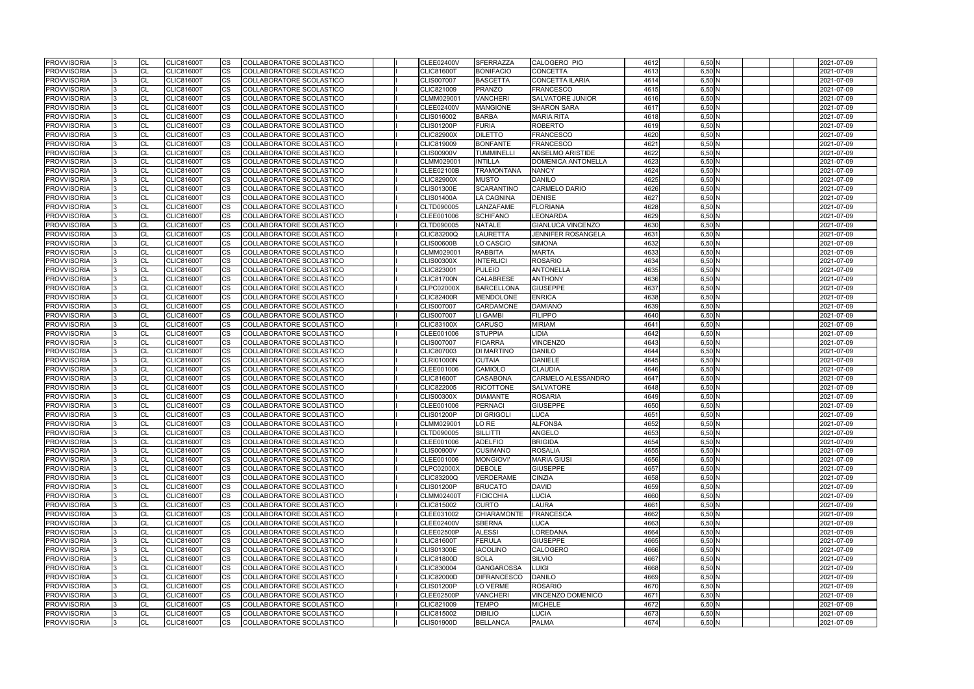| <b>PROVVISORIA</b> | CL        | <b>CLIC81600T</b>                      | <b>CS</b>              | COLLABORATORE SCOLASTICO        |  | <b>CLEE02400V</b>               | <b>SFERRAZZA</b>                 | CALOGERO PIO                     | 4612         | 6,50 N          | 2021-07-09 |
|--------------------|-----------|----------------------------------------|------------------------|---------------------------------|--|---------------------------------|----------------------------------|----------------------------------|--------------|-----------------|------------|
| <b>PROVVISORIA</b> | CL        | <b>CLIC81600T</b>                      | <b>CS</b>              | <b>COLLABORATORE SCOLASTICO</b> |  | <b>CLIC81600T</b>               | <b>BONIFACIO</b>                 | <b>CONCETTA</b>                  | 4613         | 6,50N           | 2021-07-09 |
| <b>PROVVISORIA</b> | CL        | <b>CLIC81600T</b>                      | <b>CS</b>              | COLLABORATORE SCOLASTICO        |  | <b>CLIS007007</b>               | <b>BASCETTA</b>                  | <b>CONCETTA ILARIA</b>           | 4614         | 6,50N           | 2021-07-09 |
| <b>PROVVISORIA</b> | CL        | <b>CLIC81600T</b>                      | CS                     | COLLABORATORE SCOLASTICO        |  | CLIC821009                      | <b>PRANZO</b>                    | <b>FRANCESCO</b>                 | 4615         | 6,50N           | 2021-07-09 |
| <b>PROVVISORIA</b> | CL        | <b>CLIC81600T</b>                      | CS                     | COLLABORATORE SCOLASTICO        |  | CLMM029001                      | <b>VANCHERI</b>                  | SALVATORE JUNIOR                 | 4616         | 6,50 N          | 2021-07-09 |
| <b>PROVVISORIA</b> | CL        | <b>CLIC81600T</b>                      | <b>CS</b>              | COLLABORATORE SCOLASTICO        |  | CLEE02400V                      | <b>MANGIONE</b>                  | <b>SHARON SARA</b>               | 4617         | 6,50 N          | 2021-07-09 |
| <b>PROVVISORIA</b> | CL        | <b>CLIC81600T</b>                      | <b>CS</b>              | COLLABORATORE SCOLASTICO        |  | CLIS016002                      | <b>BARBA</b>                     | <b>MARIA RITA</b>                | 4618         | 6,50 N          | 2021-07-09 |
| <b>PROVVISORIA</b> | CL        | <b>CLIC81600T</b>                      | <b>CS</b>              | COLLABORATORE SCOLASTICO        |  | <b>CLIS01200P</b>               | <b>FURIA</b>                     | <b>ROBERTO</b>                   | 4619         | 6,50 N          | 2021-07-09 |
| <b>PROVVISORIA</b> | CL        | <b>CLIC81600T</b>                      | <b>CS</b>              | COLLABORATORE SCOLASTICO        |  | <b>CLIC82900X</b>               | <b>DILETTO</b>                   | <b>FRANCESCO</b>                 | 4620         | 6,50N           | 2021-07-09 |
| <b>PROVVISORIA</b> | CL        | <b>CLIC81600T</b>                      | CS                     | COLLABORATORE SCOLASTICO        |  | CLIC819009                      | <b>BONFANTE</b>                  | <b>FRANCESCO</b>                 | 4621         | 6,50N           | 2021-07-09 |
| <b>PROVVISORIA</b> | CL        | CLIC81600T                             | CS                     | COLLABORATORE SCOLASTICO        |  | <b>CLIS00900V</b>               | <b>TUMMINELLI</b>                | <b>ANSELMO ARISTIDE</b>          | 4622         | 6,50N           | 2021-07-09 |
| <b>PROVVISORIA</b> | <b>CL</b> | <b>CLIC81600T</b>                      | <b>CS</b>              | COLLABORATORE SCOLASTICO        |  | CLMM029001                      | <b>INTILLA</b>                   | <b>DOMENICA ANTONELLA</b>        | 4623         | 6,50N           | 2021-07-09 |
| <b>PROVVISORIA</b> | CL        | <b>CLIC81600T</b>                      | <b>CS</b>              | COLLABORATORE SCOLASTICO        |  | <b>CLEE02100B</b>               | <b>TRAMONTANA</b>                | <b>NANCY</b>                     | 4624         | 6,50N           | 2021-07-09 |
| <b>PROVVISORIA</b> | CL        | <b>CLIC81600T</b>                      | <b>CS</b>              | COLLABORATORE SCOLASTICO        |  | <b>CLIC82900X</b>               | <b>MUSTO</b>                     | <b>DANILO</b>                    | 4625         | 6,50 N          | 2021-07-09 |
| <b>PROVVISORIA</b> | CL        | <b>CLIC81600T</b>                      | <b>CS</b>              | COLLABORATORE SCOLASTICO        |  | <b>CLIS01300E</b>               | <b>SCARANTINO</b>                | <b>CARMELO DARIO</b>             | 4626         | 6,50N           | 2021-07-09 |
| <b>PROVVISORIA</b> | CL        | <b>CLIC81600T</b>                      | CS                     | COLLABORATORE SCOLASTICO        |  | <b>CLIS01400A</b>               | <b>LA CAGNINA</b>                | <b>DENISE</b>                    | 4627         | 6,50 N          | 2021-07-09 |
| <b>PROVVISORIA</b> | <b>CL</b> | <b>CLIC81600T</b>                      | CS                     | COLLABORATORE SCOLASTICO        |  | CLTD090005                      | LANZAFAME                        | <b>FLORIANA</b>                  | 4628         | 6,50N           | 2021-07-09 |
| <b>PROVVISORIA</b> | CL        | <b>CLIC81600T</b>                      | <b>CS</b>              | COLLABORATORE SCOLASTICO        |  | CLEE001006                      | <b>SCHIFANO</b>                  | LEONARDA                         | 4629         | 6,50N           | 2021-07-09 |
| <b>PROVVISORIA</b> | CL        | <b>CLIC81600T</b>                      | <b>CS</b>              | COLLABORATORE SCOLASTICO        |  | CLTD090005                      | <b>NATALE</b>                    | <b>GIANLUCA VINCENZO</b>         | 4630         | 6,50 N          | 2021-07-09 |
| <b>PROVVISORIA</b> | <b>CL</b> | <b>CLIC81600T</b>                      | <b>CS</b>              | COLLABORATORE SCOLASTICO        |  | <b>CLIC83200Q</b>               | <b>LAURETTA</b>                  | JENNIFER ROSANGELA               | 4631         | 6,50N           | 2021-07-09 |
| <b>PROVVISORIA</b> | CL        | <b>CLIC81600T</b>                      | <b>CS</b>              | COLLABORATORE SCOLASTICO        |  | <b>CLIS00600B</b>               | LO CASCIO                        | <b>SIMONA</b>                    | 4632         | 6,50 N          | 2021-07-09 |
| <b>PROVVISORIA</b> | <b>CL</b> | <b>CLIC81600T</b>                      | CS                     | COLLABORATORE SCOLASTICO        |  | CLMM029001                      | <b>RABBITA</b>                   | <b>MARTA</b>                     | 4633         | $6,50$ N        | 2021-07-09 |
| <b>PROVVISORIA</b> | <b>CL</b> | <b>CLIC81600T</b>                      | CS                     | COLLABORATORE SCOLASTICO        |  | <b>CLIS00300X</b>               | <b>INTERLICI</b>                 | <b>ROSARIO</b>                   | 4634         | 6,50N           | 2021-07-09 |
| <b>PROVVISORIA</b> | CL        | <b>CLIC81600T</b>                      | <b>CS</b>              | COLLABORATORE SCOLASTICO        |  | CLIC823001                      | <b>PULEIO</b>                    | <b>ANTONELLA</b>                 | 4635         | 6,50N           | 2021-07-09 |
| <b>PROVVISORIA</b> | CL        | <b>CLIC81600T</b>                      | CS                     | COLLABORATORE SCOLASTICO        |  | CLIC81700N                      | <b>CALABRESE</b>                 | <b>ANTHONY</b>                   | 4636         | 6,50N           | 2021-07-09 |
| <b>PROVVISORIA</b> | <b>CL</b> | <b>CLIC81600T</b>                      | $\overline{\text{cs}}$ | COLLABORATORE SCOLASTICO        |  | <b>CLPC02000X</b>               | <b>BARCELLONA</b>                | <b>GIUSEPPE</b>                  | 4637         | 6,50N           | 2021-07-09 |
| <b>PROVVISORIA</b> | CL        | <b>CLIC81600T</b>                      | <b>CS</b>              | COLLABORATORE SCOLASTICO        |  | <b>CLIC82400R</b>               | <b>MENDOLONE</b>                 | <b>ENRICA</b>                    | 4638         | 6,50 N          | 2021-07-09 |
| <b>PROVVISORIA</b> | CL        | <b>CLIC81600T</b>                      | <b>CS</b>              | COLLABORATORE SCOLASTICO        |  | <b>CLIS007007</b>               | <b>CARDAMONE</b>                 | <b>DAMIANO</b>                   | 4639         | 6,50N           | 2021-07-09 |
| <b>PROVVISORIA</b> | <b>CL</b> | <b>CLIC81600T</b>                      | CS                     | COLLABORATORE SCOLASTICO        |  | <b>CLIS007007</b>               | LI GAMBI                         | <b>FILIPPO</b>                   | 4640         | 6,50N           | 2021-07-09 |
| <b>PROVVISORIA</b> | CL        |                                        |                        |                                 |  |                                 | <b>CARUSO</b>                    | <b>MIRIAM</b>                    | 4641         | 6,50 N          |            |
|                    | CL        | CLIC81600T                             | CS<br><b>CS</b>        | COLLABORATORE SCOLASTICO        |  | <b>CLIC83100X</b>               |                                  | LIDIA                            | 4642         | 6,50N           | 2021-07-09 |
| <b>PROVVISORIA</b> |           | <b>CLIC81600T</b><br><b>CLIC81600T</b> | <b>CS</b>              | COLLABORATORE SCOLASTICO        |  | CLEE001006<br><b>CLIS007007</b> | <b>STUPPIA</b><br><b>FICARRA</b> | <b>VINCENZO</b>                  | 4643         | 6,50 N          | 2021-07-09 |
| <b>PROVVISORIA</b> | CL        |                                        |                        | COLLABORATORE SCOLASTICO        |  |                                 | DI MARTINO                       | <b>DANILO</b>                    | 4644         | 6,50 N          | 2021-07-09 |
| <b>PROVVISORIA</b> | CL        | <b>CLIC81600T</b>                      | <b>CS</b>              | COLLABORATORE SCOLASTICO        |  | CLIC807003                      |                                  |                                  |              |                 | 2021-07-09 |
| <b>PROVVISORIA</b> | CL        | <b>CLIC81600T</b><br><b>CLIC81600T</b> | <b>CS</b>              | COLLABORATORE SCOLASTICO        |  | <b>CLRI01000N</b><br>CLEE001006 | <b>CUTAIA</b><br><b>CAMIOLO</b>  | <b>DANIELE</b><br><b>CLAUDIA</b> | 4645<br>4646 | 6,50 N<br>6,50N | 2021-07-09 |
| <b>PROVVISORIA</b> | CL        |                                        | CS                     | COLLABORATORE SCOLASTICO        |  |                                 |                                  | <b>CARMELO ALESSANDRO</b>        |              |                 | 2021-07-09 |
| <b>PROVVISORIA</b> | CL        | <b>CLIC81600T</b>                      | <b>CS</b>              | COLLABORATORE SCOLASTICO        |  | <b>CLIC81600T</b>               | <b>CASABONA</b>                  |                                  | 4647<br>4648 | 6,50 N<br>6,50N | 2021-07-09 |
| <b>PROVVISORIA</b> | CL        | <b>CLIC81600T</b>                      | <b>CS</b>              | COLLABORATORE SCOLASTICO        |  | <b>CLIC822005</b>               | <b>RICOTTONE</b>                 | <b>SALVATORE</b>                 |              |                 | 2021-07-09 |
| <b>PROVVISORIA</b> | CL        | <b>CLIC81600T</b>                      | <b>CS</b>              | COLLABORATORE SCOLASTICO        |  | <b>CLIS00300X</b>               | <b>DIAMANTE</b>                  | <b>ROSARIA</b>                   | 4649         | 6,50 N          | 2021-07-09 |
| <b>PROVVISORIA</b> | CL        | <b>CLIC81600T</b>                      | <b>CS</b>              | COLLABORATORE SCOLASTICO        |  | CLEE001006                      | <b>PERNACI</b>                   | <b>GIUSEPPE</b>                  | 4650         | 6,50 N          | 2021-07-09 |
| <b>PROVVISORIA</b> | CL        | <b>CLIC81600T</b>                      | <b>CS</b>              | COLLABORATORE SCOLASTICO        |  | <b>CLIS01200P</b>               | <b>DI GRIGOLI</b>                | <b>LUCA</b>                      | 4651         | 6,50 N          | 2021-07-09 |
| <b>PROVVISORIA</b> | <b>CL</b> | <b>CLIC81600T</b>                      | <b>CS</b>              | COLLABORATORE SCOLASTICO        |  | CLMM029001                      | LO RE                            | <b>ALFONSA</b>                   | 4652         | 6.50N           | 2021-07-09 |
| <b>PROVVISORIA</b> | <b>CL</b> | <b>CLIC81600T</b>                      | <b>CS</b>              | COLLABORATORE SCOLASTICO        |  | CLTD090005                      | SILLITTI                         | ANGELO                           | 4653         | 6,50 N          | 2021-07-09 |
| <b>PROVVISORIA</b> | <b>CL</b> | <b>CLIC81600T</b>                      | <b>CS</b>              | <b>COLLABORATORE SCOLASTICO</b> |  | CLEE001006                      | <b>ADELFIO</b>                   | <b>BRIGIDA</b>                   | 4654         | $6,50$ N        | 2021-07-09 |
| <b>PROVVISORIA</b> | CL        | <b>CLIC81600T</b>                      | <b>CS</b>              | COLLABORATORE SCOLASTICO        |  | <b>CLIS00900V</b>               | <b>CUSIMANO</b>                  | <b>ROSALIA</b>                   | 4655         | $6,50$ N        | 2021-07-09 |
| <b>PROVVISORIA</b> | <b>CL</b> | <b>CLIC81600T</b>                      | <b>CS</b>              | COLLABORATORE SCOLASTICO        |  | CLEE001006                      | <b>MONGIOVI'</b>                 | <b>MARIA GIUSI</b>               | 4656         | $6,50$ N        | 2021-07-09 |
| <b>PROVVISORIA</b> | CL        | <b>CLIC81600T</b>                      | <b>CS</b>              | COLLABORATORE SCOLASTICO        |  | <b>CLPC02000X</b>               | <b>DEBOLE</b>                    | <b>GIUSEPPE</b>                  | 4657         | 6,50N           | 2021-07-09 |
| <b>PROVVISORIA</b> | <b>CL</b> | <b>CLIC81600T</b>                      | <b>CS</b>              | COLLABORATORE SCOLASTICO        |  | <b>CLIC83200Q</b>               | <b>VERDERAME</b>                 | <b>CINZIA</b>                    | 4658         | 6,50 N          | 2021-07-09 |
| <b>PROVVISORIA</b> | <b>CL</b> | <b>CLIC81600T</b>                      | <b>CS</b>              | COLLABORATORE SCOLASTICO        |  | <b>CLIS01200P</b>               | <b>BRUCATO</b>                   | <b>DAVID</b>                     | 4659         | 6,50N           | 2021-07-09 |
| <b>PROVVISORIA</b> | <b>CL</b> | <b>CLIC81600T</b>                      | <b>CS</b>              | COLLABORATORE SCOLASTICO        |  | <b>CLMM02400T</b>               | <b>FICICCHIA</b>                 | LUCIA                            | 4660         | 6,50 N          | 2021-07-09 |
| <b>PROVVISORIA</b> | <b>CL</b> | <b>CLIC81600T</b>                      | <b>CS</b>              | COLLABORATORE SCOLASTICO        |  | CLIC815002                      | <b>CURTO</b>                     | LAURA                            | 4661         | $6,50$ N        | 2021-07-09 |
| <b>PROVVISORIA</b> | <b>CL</b> | <b>CLIC81600T</b>                      | <b>CS</b>              | COLLABORATORE SCOLASTICO        |  | CLEE031002                      | <b>CHIARAMONTE</b>               | <b>FRANCESCA</b>                 | 4662         | $6,50$ N        | 2021-07-09 |
| <b>PROVVISORIA</b> | <b>CL</b> | <b>CLIC81600T</b>                      | <b>CS</b>              | COLLABORATORE SCOLASTICO        |  | <b>CLEE02400V</b>               | <b>SBERNA</b>                    | <b>LUCA</b>                      | 4663         | 6,50 N          | 2021-07-09 |
| <b>PROVVISORIA</b> | CL        | <b>CLIC81600T</b>                      | <b>CS</b>              | COLLABORATORE SCOLASTICO        |  | <b>CLEE02500P</b>               | <b>ALESSI</b>                    | LOREDANA                         | 4664         | 6,50N           | 2021-07-09 |
| <b>PROVVISORIA</b> | CL        | <b>CLIC81600T</b>                      | <b>CS</b>              | COLLABORATORE SCOLASTICO        |  | <b>CLIC81600T</b>               | <b>FERULA</b>                    | <b>GIUSEPPE</b>                  | 4665         | 6,50 N          | 2021-07-09 |
| <b>PROVVISORIA</b> | CL        | <b>CLIC81600T</b>                      | <b>CS</b>              | COLLABORATORE SCOLASTICO        |  | <b>CLIS01300E</b>               | <b>IACOLINO</b>                  | <b>CALOGERO</b>                  | 4666         | 6,50 N          | 2021-07-09 |
| <b>PROVVISORIA</b> | <b>CL</b> | <b>CLIC81600T</b>                      | <b>CS</b>              | COLLABORATORE SCOLASTICO        |  | <b>CLIC81800D</b>               | <b>SOLA</b>                      | <b>SILVIO</b>                    | 4667         | $6,50$ N        | 2021-07-09 |
| <b>PROVVISORIA</b> | <b>CL</b> | <b>CLIC81600T</b>                      | <b>CS</b>              | COLLABORATORE SCOLASTICO        |  | CLIC830004                      | <b>GANGAROSSA</b>                | <b>LUIGI</b>                     | 4668         | $6,50$ N        | 2021-07-09 |
| <b>PROVVISORIA</b> | <b>CL</b> | <b>CLIC81600T</b>                      | <b>CS</b>              | COLLABORATORE SCOLASTICO        |  | <b>CLIC82000D</b>               | <b>DIFRANCESCO</b>               | DANILO                           | 4669         | 6,50 N          | 2021-07-09 |
| <b>PROVVISORIA</b> | CL        | <b>CLIC81600T</b>                      | <b>CS</b>              | COLLABORATORE SCOLASTICO        |  | <b>CLIS01200P</b>               | LO VERME                         | <b>ROSARIO</b>                   | 4670         | 6,50N           | 2021-07-09 |
| <b>PROVVISORIA</b> | CL        | <b>CLIC81600T</b>                      | <b>CS</b>              | COLLABORATORE SCOLASTICO        |  | <b>CLEE02500P</b>               | <b>VANCHERI</b>                  | <b>VINCENZO DOMENICO</b>         | 4671         | 6,50 N          | 2021-07-09 |
| <b>PROVVISORIA</b> | CL        | <b>CLIC81600T</b>                      | <b>CS</b>              | COLLABORATORE SCOLASTICO        |  | CLIC821009                      | TEMPO                            | <b>MICHELE</b>                   | 4672         | 6,50N           | 2021-07-09 |
| <b>PROVVISORIA</b> | <b>CL</b> | <b>CLIC81600T</b>                      | <b>CS</b>              | COLLABORATORE SCOLASTICO        |  | CLIC815002                      | <b>DIBILIO</b>                   | <b>LUCIA</b>                     | 4673         | $6,50$ N        | 2021-07-09 |
| <b>PROVVISORIA</b> | <b>CL</b> | <b>CLIC81600T</b>                      | <b>CS</b>              | COLLABORATORE SCOLASTICO        |  | <b>CLIS01900D</b>               | <b>BELLANCA</b>                  | <b>PALMA</b>                     | 4674         | $6,50$ N        | 2021-07-09 |
|                    |           |                                        |                        |                                 |  |                                 |                                  |                                  |              |                 |            |

|  |  | 2021-07-09               |
|--|--|--------------------------|
|  |  | 2021-07-09               |
|  |  | 2021-07-09               |
|  |  | 2021-07-09               |
|  |  | 2021-07-09               |
|  |  | 2021-07-09               |
|  |  | 2021-07-09               |
|  |  | 2021-07-09               |
|  |  | 2021-07-09               |
|  |  | 2021-07-09               |
|  |  | 2021-07-09               |
|  |  | 2021-07-09               |
|  |  | 2021-07-09               |
|  |  | 2021-07-09               |
|  |  | 2021-07-09               |
|  |  | 2021-07-09               |
|  |  | 2021-07-09               |
|  |  | 2021-07-09               |
|  |  | 2021-07-09               |
|  |  | 2021-07-09               |
|  |  | 2021-07-09               |
|  |  | 2021-07-09               |
|  |  | 2021-07-09               |
|  |  | 2021-07-09               |
|  |  | 2021-07-09               |
|  |  | 2021-07-09               |
|  |  | 2021-07-09               |
|  |  | 2021-07-09<br>2021-07-09 |
|  |  | 2021-07-09               |
|  |  | 2021-07-09               |
|  |  | 2021-07-09               |
|  |  | 2021-07-09               |
|  |  | 2021-07-09               |
|  |  | 2021-07-09               |
|  |  | 2021-07-09               |
|  |  | 2021-07-09               |
|  |  | 2021-07-09               |
|  |  | 2021-07-09               |
|  |  | 2021-07-09               |
|  |  | 2021-07-09               |
|  |  | 2021-07-09               |
|  |  | 2021-07-09               |
|  |  | 2021-07-09               |
|  |  | 2021-07-09               |
|  |  | 2021-07-09               |
|  |  | 2021-07-09               |
|  |  | 2021-07-09               |
|  |  | 2021-07-09               |
|  |  | 2021-07-09               |
|  |  | 2021-07-09               |
|  |  | 2021-07-09               |
|  |  | 2021-07-09               |
|  |  | 2021-07-09               |
|  |  | 2021-07-09               |
|  |  | 2021-07-09               |
|  |  | 2021-07-09               |
|  |  | 2021-07-09               |
|  |  | 2021-07-09               |
|  |  | 2021-07-09               |
|  |  | 2021-07-09               |
|  |  | 2021-07-09               |
|  |  | 2021-07-09               |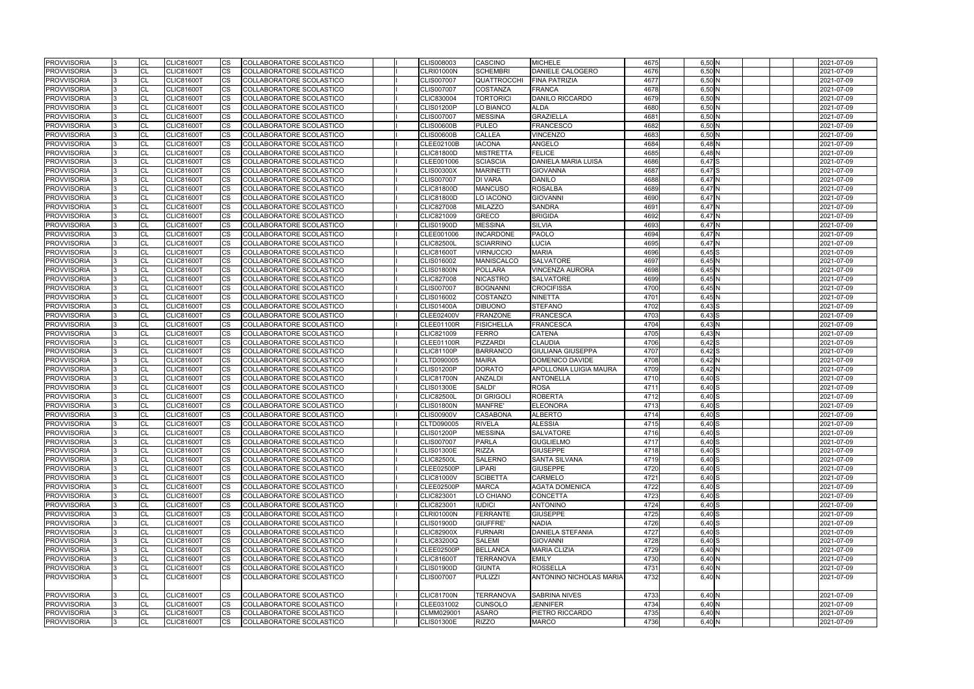| <b>PROVVISORIA</b> | CL        | <b>CLIC81600T</b> | <b>CS</b>              | COLLABORATORE SCOLASTICO        |  | CLIS008003        | <b>CASCINO</b>     | <b>MICHELE</b>                 | 4675 | 6,50 N   | 2021-07-09 |
|--------------------|-----------|-------------------|------------------------|---------------------------------|--|-------------------|--------------------|--------------------------------|------|----------|------------|
| <b>PROVVISORIA</b> | CL        | <b>CLIC81600T</b> | <b>CS</b>              | COLLABORATORE SCOLASTICO        |  | <b>CLRI01000N</b> | <b>SCHEMBRI</b>    | <b>DANIELE CALOGERO</b>        | 4676 | 6,50N    | 2021-07-09 |
| <b>PROVVISORIA</b> | <b>CL</b> | <b>CLIC81600T</b> | <b>CS</b>              | COLLABORATORE SCOLASTICO        |  | <b>CLIS007007</b> | <b>QUATTROCCHI</b> | <b>FINA PATRIZIA</b>           | 4677 | 6,50N    | 2021-07-09 |
| <b>PROVVISORIA</b> | CL        | <b>CLIC81600T</b> | CS                     | COLLABORATORE SCOLASTICO        |  | <b>CLIS007007</b> | <b>COSTANZA</b>    | <b>FRANCA</b>                  | 4678 | 6,50N    | 2021-07-09 |
| <b>PROVVISORIA</b> | CL        | CLIC81600T        | CS                     | COLLABORATORE SCOLASTICO        |  | CLIC830004        | <b>TORTORICI</b>   | <b>DANILO RICCARDO</b>         | 4679 | 6,50 N   | 2021-07-09 |
| <b>PROVVISORIA</b> | CL        | <b>CLIC81600T</b> | <b>CS</b>              | COLLABORATORE SCOLASTICO        |  | <b>CLIS01200P</b> | LO BIANCO          | <b>ALDA</b>                    | 4680 | 6,50 N   | 2021-07-09 |
| <b>PROVVISORIA</b> | CL        | <b>CLIC81600T</b> | <b>CS</b>              | COLLABORATORE SCOLASTICO        |  | <b>CLIS007007</b> | <b>MESSINA</b>     | <b>GRAZIELLA</b>               | 4681 | 6,50 N   | 2021-07-09 |
| <b>PROVVISORIA</b> | CL        | <b>CLIC81600T</b> | <b>CS</b>              | COLLABORATORE SCOLASTICO        |  | <b>CLIS00600B</b> | <b>PULEO</b>       | <b>FRANCESCO</b>               | 4682 | 6,50 N   | 2021-07-09 |
| <b>PROVVISORIA</b> | CL        | <b>CLIC81600T</b> | <b>CS</b>              | COLLABORATORE SCOLASTICO        |  | <b>CLIS00600B</b> | <b>CALLEA</b>      | <b>VINCENZO</b>                | 4683 | 6,50N    | 2021-07-09 |
| <b>PROVVISORIA</b> | CL        | <b>CLIC81600T</b> | CS                     | COLLABORATORE SCOLASTICO        |  | <b>CLEE02100B</b> | <b>IACONA</b>      | <b>ANGELO</b>                  | 4684 | 6,48 N   | 2021-07-09 |
| <b>PROVVISORIA</b> | CL        | <b>CLIC81600T</b> | CS                     | COLLABORATORE SCOLASTICO        |  | <b>CLIC81800D</b> | <b>MISTRETTA</b>   | <b>FELICE</b>                  | 4685 | 6,48 N   | 2021-07-09 |
| <b>PROVVISORIA</b> | <b>CL</b> | <b>CLIC81600T</b> | <b>CS</b>              | COLLABORATORE SCOLASTICO        |  | CLEE001006        | <b>SCIASCIA</b>    | <b>DANIELA MARIA LUISA</b>     | 4686 | 6,47 S   | 2021-07-09 |
| <b>PROVVISORIA</b> | CL        | <b>CLIC81600T</b> | <b>CS</b>              | COLLABORATORE SCOLASTICO        |  | <b>CLIS00300X</b> | <b>MARINETTI</b>   | <b>GIOVANNA</b>                | 4687 | 6,47 S   | 2021-07-09 |
| <b>PROVVISORIA</b> | CL        | <b>CLIC81600T</b> | <b>CS</b>              | COLLABORATORE SCOLASTICO        |  | <b>CLIS007007</b> | <b>DI VARA</b>     | <b>DANILO</b>                  | 4688 | 6,47 N   | 2021-07-09 |
| <b>PROVVISORIA</b> | CL        | <b>CLIC81600T</b> | <b>CS</b>              | COLLABORATORE SCOLASTICO        |  | <b>CLIC81800D</b> | <b>MANCUSO</b>     | <b>ROSALBA</b>                 | 4689 | 6,47 N   | 2021-07-09 |
| <b>PROVVISORIA</b> | CL        | <b>CLIC81600T</b> | CS                     | COLLABORATORE SCOLASTICO        |  | <b>CLIC81800D</b> | LO IACONO          | <b>GIOVANNI</b>                | 4690 | 6,47 N   | 2021-07-09 |
| <b>PROVVISORIA</b> | <b>CL</b> | <b>CLIC81600T</b> | CS                     | COLLABORATORE SCOLASTICO        |  | <b>CLIC827008</b> | <b>MILAZZO</b>     | SANDRA                         | 4691 | 6,47 N   | 2021-07-09 |
| <b>PROVVISORIA</b> | CL        | <b>CLIC81600T</b> | <b>CS</b>              | COLLABORATORE SCOLASTICO        |  | CLIC821009        | <b>GRECO</b>       | <b>BRIGIDA</b>                 | 4692 | 6,47 N   | 2021-07-09 |
| <b>PROVVISORIA</b> | CL        | <b>CLIC81600T</b> | <b>CS</b>              | COLLABORATORE SCOLASTICO        |  | <b>CLIS01900D</b> | <b>MESSINA</b>     | <b>SILVIA</b>                  | 4693 | 6,47 N   | 2021-07-09 |
| <b>PROVVISORIA</b> | <b>CL</b> | <b>CLIC81600T</b> | <b>CS</b>              | COLLABORATORE SCOLASTICO        |  | CLEE001006        | <b>INCARDONE</b>   | <b>PAOLO</b>                   | 4694 | 6,47 N   | 2021-07-09 |
| <b>PROVVISORIA</b> | CL        | <b>CLIC81600T</b> | <b>CS</b>              | COLLABORATORE SCOLASTICO        |  | <b>CLIC82500L</b> | <b>SCIARRINO</b>   | <b>LUCIA</b>                   | 4695 | 6,47 N   | 2021-07-09 |
| <b>PROVVISORIA</b> | <b>CL</b> | <b>CLIC81600T</b> | CS                     | COLLABORATORE SCOLASTICO        |  | <b>CLIC81600T</b> | <b>VIRNUCCIO</b>   | <b>MARIA</b>                   | 4696 | $6,45$ S | 2021-07-09 |
| <b>PROVVISORIA</b> | <b>CL</b> | <b>CLIC81600T</b> | CS                     | COLLABORATORE SCOLASTICO        |  | CLIS016002        | <b>MANISCALCO</b>  | <b>SALVATORE</b>               | 4697 | 6,45 N   | 2021-07-09 |
| <b>PROVVISORIA</b> | CL        | <b>CLIC81600T</b> | <b>CS</b>              | COLLABORATORE SCOLASTICO        |  | <b>CLIS01800N</b> | <b>POLLARA</b>     | <b>VINCENZA AURORA</b>         | 4698 | 6,45 N   | 2021-07-09 |
| <b>PROVVISORIA</b> | CL        | <b>CLIC81600T</b> | CS                     | COLLABORATORE SCOLASTICO        |  | CLIC827008        | <b>NICASTRO</b>    | SALVATORE                      | 4699 | $6,45$ N | 2021-07-09 |
| <b>PROVVISORIA</b> | <b>CL</b> | <b>CLIC81600T</b> | $\overline{\text{cs}}$ | COLLABORATORE SCOLASTICO        |  | <b>CLIS007007</b> | <b>BOGNANNI</b>    | <b>CROCIFISSA</b>              | 4700 | 6,45 N   | 2021-07-09 |
| <b>PROVVISORIA</b> | CL        | <b>CLIC81600T</b> | <b>CS</b>              | COLLABORATORE SCOLASTICO        |  | CLIS016002        | <b>COSTANZO</b>    | <b>NINETTA</b>                 | 4701 | 6,45 N   | 2021-07-09 |
| <b>PROVVISORIA</b> | CL        | <b>CLIC81600T</b> | <b>CS</b>              | COLLABORATORE SCOLASTICO        |  | <b>CLIS01400A</b> | <b>DIBUONO</b>     | <b>STEFANO</b>                 | 4702 | 6,43 S   | 2021-07-09 |
| <b>PROVVISORIA</b> | <b>CL</b> | <b>CLIC81600T</b> | CS                     | COLLABORATORE SCOLASTICO        |  | <b>CLEE02400V</b> | <b>FRANZONE</b>    | <b>FRANCESCA</b>               | 4703 | 6,43 S   | 2021-07-09 |
| <b>PROVVISORIA</b> | CL        | CLIC81600T        | CS                     | COLLABORATORE SCOLASTICO        |  | <b>CLEE01100R</b> | <b>FISICHELLA</b>  | <b>FRANCESCA</b>               | 4704 | 6,43 N   | 2021-07-09 |
| <b>PROVVISORIA</b> | CL        | <b>CLIC81600T</b> | <b>CS</b>              | COLLABORATORE SCOLASTICO        |  | CLIC821009        | <b>FERRO</b>       | CATENA                         | 4705 | 6,43 N   | 2021-07-09 |
| <b>PROVVISORIA</b> | CL        | <b>CLIC81600T</b> | <b>CS</b>              | COLLABORATORE SCOLASTICO        |  | <b>CLEE01100R</b> | <b>PIZZARDI</b>    | <b>CLAUDIA</b>                 | 4706 | 6,42 S   | 2021-07-09 |
| <b>PROVVISORIA</b> | CL        | <b>CLIC81600T</b> | <b>CS</b>              | COLLABORATORE SCOLASTICO        |  | <b>CLIC81100P</b> | <b>BARRANCO</b>    | <b>GIULIANA GIUSEPPA</b>       | 4707 | $6,42$ S | 2021-07-09 |
| <b>PROVVISORIA</b> | CL        | <b>CLIC81600T</b> | <b>CS</b>              | COLLABORATORE SCOLASTICO        |  | CLTD090005        | <b>MAIRA</b>       | DOMENICO DAVIDE                | 4708 | 6,42 N   | 2021-07-09 |
| <b>PROVVISORIA</b> | CL        | <b>CLIC81600T</b> | CS                     | COLLABORATORE SCOLASTICO        |  | <b>CLIS01200P</b> | <b>DORATO</b>      | APOLLONIA LUIGIA MAURA         | 4709 | 6,42 N   | 2021-07-09 |
| <b>PROVVISORIA</b> | CL        | <b>CLIC81600T</b> | <b>CS</b>              | COLLABORATORE SCOLASTICO        |  | <b>CLIC81700N</b> | <b>ANZALDI</b>     | <b>ANTONELLA</b>               | 4710 | $6,40$ S | 2021-07-09 |
| <b>PROVVISORIA</b> | CL        | <b>CLIC81600T</b> | <b>CS</b>              | COLLABORATORE SCOLASTICO        |  | <b>CLIS01300E</b> | <b>SALDI'</b>      | <b>ROSA</b>                    | 4711 | 6,40S    | 2021-07-09 |
| <b>PROVVISORIA</b> | CL        | <b>CLIC81600T</b> | <b>CS</b>              | COLLABORATORE SCOLASTICO        |  | <b>CLIC82500L</b> | <b>DI GRIGOLI</b>  | <b>ROBERTA</b>                 | 4712 | 6,40 S   | 2021-07-09 |
| <b>PROVVISORIA</b> | CL        | <b>CLIC81600T</b> | <b>CS</b>              | COLLABORATORE SCOLASTICO        |  | <b>CLIS01800N</b> | MANFRE'            | <b>ELEONORA</b>                | 4713 | $6,40$ S | 2021-07-09 |
| <b>PROVVISORIA</b> | CL        | <b>CLIC81600T</b> | <b>CS</b>              | COLLABORATORE SCOLASTICO        |  | <b>CLIS00900V</b> | <b>CASABONA</b>    | <b>ALBERTO</b>                 | 4714 | 6,40 S   | 2021-07-09 |
| <b>PROVVISORIA</b> | <b>CL</b> | <b>CLIC81600T</b> | <b>CS</b>              | COLLABORATORE SCOLASTICO        |  | CLTD090005        | <b>RIVELA</b>      | <b>ALESSIA</b>                 | 4715 | $6.40$ S | 2021-07-09 |
| <b>PROVVISORIA</b> | <b>CL</b> | <b>CLIC81600T</b> | <b>CS</b>              | COLLABORATORE SCOLASTICO        |  | <b>CLIS01200P</b> | <b>MESSINA</b>     | <b>SALVATORE</b>               | 4716 | 6,40 S   | 2021-07-09 |
| <b>PROVVISORIA</b> | <b>CL</b> | <b>CLIC81600T</b> | <b>CS</b>              | <b>COLLABORATORE SCOLASTICO</b> |  | <b>CLIS007007</b> | <b>PARLA</b>       | <b>GUGLIELMO</b>               | 4717 | $6,40$ S | 2021-07-09 |
| <b>PROVVISORIA</b> | CL        | <b>CLIC81600T</b> | <b>CS</b>              | COLLABORATORE SCOLASTICO        |  | <b>CLIS01300E</b> | <b>RIZZA</b>       | <b>GIUSEPPE</b>                | 4718 | 6,40S    | 2021-07-09 |
| <b>PROVVISORIA</b> | <b>CL</b> | <b>CLIC81600T</b> | <b>CS</b>              | COLLABORATORE SCOLASTICO        |  | <b>CLIC82500L</b> | <b>SALERNO</b>     | <b>SANTA SILVANA</b>           | 4719 | $6,40$ S | 2021-07-09 |
| <b>PROVVISORIA</b> | CL        | <b>CLIC81600T</b> | <b>CS</b>              | COLLABORATORE SCOLASTICO        |  | CLEE02500P        | <b>LIPARI</b>      | <b>GIUSEPPE</b>                | 4720 | 6,40 S   | 2021-07-09 |
| <b>PROVVISORIA</b> | <b>CL</b> | <b>CLIC81600T</b> | <b>CS</b>              | COLLABORATORE SCOLASTICO        |  | <b>CLIC81000V</b> | <b>SCIBETTA</b>    | <b>CARMELO</b>                 | 4721 | $6,40$ S | 2021-07-09 |
| <b>PROVVISORIA</b> | <b>CL</b> | <b>CLIC81600T</b> | <b>CS</b>              | COLLABORATORE SCOLASTICO        |  | <b>CLEE02500P</b> | <b>MARCA</b>       | <b>AGATA DOMENICA</b>          | 4722 | 6,40 S   | 2021-07-09 |
| <b>PROVVISORIA</b> | <b>CL</b> | <b>CLIC81600T</b> | <b>CS</b>              | COLLABORATORE SCOLASTICO        |  | CLIC823001        | LO CHIANO          | <b>CONCETTA</b>                | 4723 | 6,40 S   | 2021-07-09 |
| <b>PROVVISORIA</b> | <b>CL</b> | <b>CLIC81600T</b> | <b>CS</b>              | COLLABORATORE SCOLASTICO        |  | CLIC823001        | <b>IUDICI</b>      | <b>ANTONINO</b>                | 4724 | 6,40 S   | 2021-07-09 |
| <b>PROVVISORIA</b> | <b>CL</b> | <b>CLIC81600T</b> | <b>CS</b>              | COLLABORATORE SCOLASTICO        |  | <b>CLRI01000N</b> | <b>FERRANTE</b>    | <b>GIUSEPPE</b>                | 4725 | 6,40 S   | 2021-07-09 |
| <b>PROVVISORIA</b> | CL        | <b>CLIC81600T</b> | <b>CS</b>              | COLLABORATORE SCOLASTICO        |  | <b>CLIS01900D</b> | <b>GIUFFRE'</b>    | <b>NADIA</b>                   | 4726 | $6,40$ S | 2021-07-09 |
| <b>PROVVISORIA</b> | CL        | <b>CLIC81600T</b> | <b>CS</b>              | COLLABORATORE SCOLASTICO        |  | <b>CLIC82900X</b> | <b>FURNARI</b>     | <b>DANIELA STEFANIA</b>        | 4727 | 6,40 S   | 2021-07-09 |
| <b>PROVVISORIA</b> | CL        | <b>CLIC81600T</b> | <b>CS</b>              | COLLABORATORE SCOLASTICO        |  | <b>CLIC83200Q</b> | <b>SALEMI</b>      | <b>GIOVANNI</b>                | 4728 | 6,40 S   | 2021-07-09 |
| <b>PROVVISORIA</b> | <b>CL</b> | <b>CLIC81600T</b> | <b>CS</b>              | COLLABORATORE SCOLASTICO        |  | <b>CLEE02500P</b> | <b>BELLANCA</b>    | <b>MARIA CLIZIA</b>            | 4729 | 6,40 N   | 2021-07-09 |
| <b>PROVVISORIA</b> | <b>CL</b> | <b>CLIC81600T</b> | <b>CS</b>              | COLLABORATORE SCOLASTICO        |  | <b>CLIC81600T</b> | <b>TERRANOVA</b>   | <b>EMILY</b>                   | 4730 | $6,40$ N | 2021-07-09 |
| <b>PROVVISORIA</b> | <b>CL</b> | <b>CLIC81600T</b> | <b>CS</b>              | COLLABORATORE SCOLASTICO        |  | <b>CLIS01900D</b> | <b>GIUNTA</b>      | <b>ROSSELLA</b>                | 4731 | 6,40 N   | 2021-07-09 |
| <b>PROVVISORIA</b> | CL        | CLIC81600T        | CS.                    | COLLABORATORE SCOLASTICO        |  | <b>CLIS007007</b> | <b>PULIZZI</b>     | <b>ANTONINO NICHOLAS MARIA</b> | 4732 | 6,40 N   | 2021-07-09 |
| <b>PROVVISORIA</b> | CL        | <b>CLIC81600T</b> | CS                     | COLLABORATORE SCOLASTICO        |  | <b>CLIC81700N</b> | <b>TERRANOVA</b>   | <b>SABRINA NIVES</b>           | 4733 | 6,40 N   | 2021-07-09 |
| <b>PROVVISORIA</b> | <b>CL</b> | <b>CLIC81600T</b> | <b>CS</b>              | COLLABORATORE SCOLASTICO        |  | CLEE031002        | <b>CUNSOLO</b>     | JENNIFER                       | 4734 | 6,40 N   | 2021-07-09 |
| <b>PROVVISORIA</b> | <b>CL</b> | <b>CLIC81600T</b> | <b>CS</b>              | COLLABORATORE SCOLASTICO        |  | CLMM029001        | <b>ASARO</b>       | PIETRO RICCARDO                | 4735 | 6,40 N   | 2021-07-09 |
| <b>PROVVISORIA</b> | <b>CL</b> | <b>CLIC81600T</b> | <b>CS</b>              | COLLABORATORE SCOLASTICO        |  | <b>CLIS01300E</b> | <b>RIZZO</b>       | <b>MARCO</b>                   | 4736 | 6,40 N   | 2021-07-09 |

|  |  | 2021-07-09 |
|--|--|------------|
|  |  | 2021-07-09 |
|  |  | 2021-07-09 |
|  |  | 2021-07-09 |
|  |  | 2021-07-09 |
|  |  | 2021-07-09 |
|  |  | 2021-07-09 |
|  |  | 2021-07-09 |
|  |  | 2021-07-09 |
|  |  | 2021-07-09 |
|  |  | 2021-07-09 |
|  |  | 2021-07-09 |
|  |  | 2021-07-09 |
|  |  | 2021-07-09 |
|  |  | 2021-07-09 |
|  |  | 2021-07-09 |
|  |  | 2021-07-09 |
|  |  | 2021-07-09 |
|  |  | 2021-07-09 |
|  |  | 2021-07-09 |
|  |  | 2021-07-09 |
|  |  | 2021-07-09 |
|  |  | 2021-07-09 |
|  |  | 2021-07-09 |
|  |  | 2021-07-09 |
|  |  | 2021-07-09 |
|  |  | 2021-07-09 |
|  |  | 2021-07-09 |
|  |  | 2021-07-09 |
|  |  | 2021-07-09 |
|  |  | 2021-07-09 |
|  |  | 2021-07-09 |
|  |  | 2021-07-09 |
|  |  | 2021-07-09 |
|  |  | 2021-07-09 |
|  |  | 2021-07-09 |
|  |  | 2021-07-09 |
|  |  | 2021-07-09 |
|  |  | 2021-07-09 |
|  |  | 2021-07-09 |
|  |  | 2021-07-09 |
|  |  | 2021-07-09 |
|  |  | 2021-07-09 |
|  |  | 2021-07-09 |
|  |  | 2021-07-09 |
|  |  | 2021-07-09 |
|  |  | 2021-07-09 |
|  |  | 2021-07-09 |
|  |  | 2021-07-09 |
|  |  |            |
|  |  | 2021-07-09 |
|  |  | 2021-07-09 |
|  |  | 2021-07-09 |
|  |  | 2021-07-09 |
|  |  | 2021-07-09 |
|  |  | 2021-07-09 |
|  |  | 2021-07-09 |
|  |  | 2021-07-09 |
|  |  | 2021-07-09 |
|  |  |            |
|  |  | 2021-07-09 |
|  |  | 2021-07-09 |
|  |  | 2021-07-09 |
|  |  | 2021-07-09 |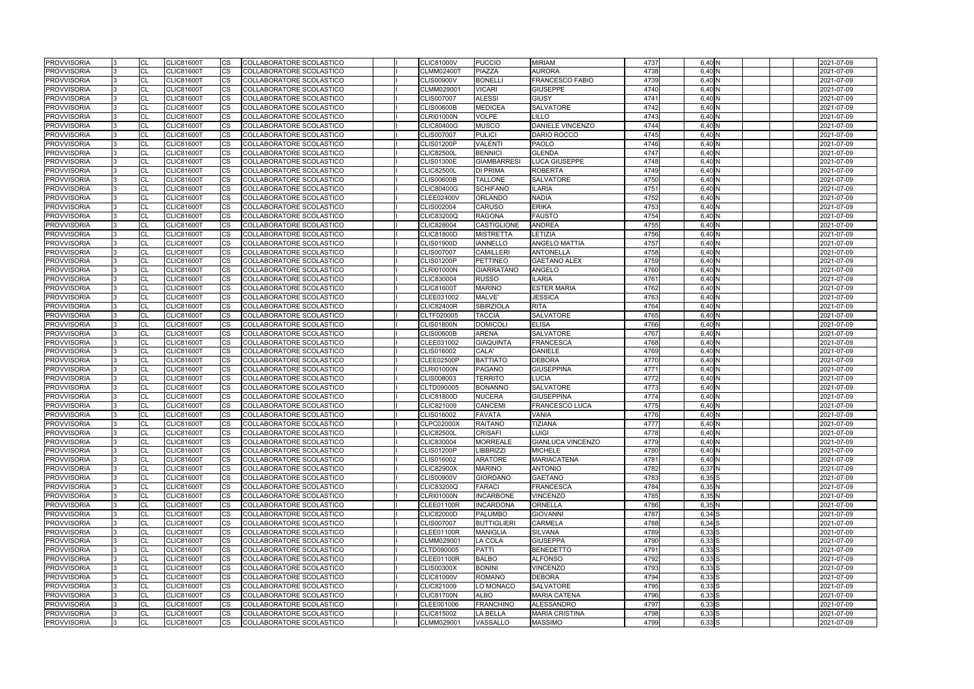| <b>PROVVISORIA</b>                       | <b>CL</b>      | <b>CLIC81600T</b>               | <b>CS</b> | COLLABORATORE SCOLASTICO        |  | <b>CLIC81000V</b> | <b>PUCCIO</b>                  | <b>MIRIAM</b>          | 4737         | 6,40 N     | 2021-07-09 |
|------------------------------------------|----------------|---------------------------------|-----------|---------------------------------|--|-------------------|--------------------------------|------------------------|--------------|------------|------------|
| <b>PROVVISORIA</b>                       | <b>CL</b>      | <b>CLIC81600T</b>               | <b>CS</b> | COLLABORATORE SCOLASTICO        |  | <b>CLMM02400T</b> | <b>PIAZZA</b>                  | <b>AURORA</b>          | 4738         | 6,40 N     | 2021-07-09 |
| <b>PROVVISORIA</b>                       | CL             | <b>CLIC81600T</b>               | CS        | COLLABORATORE SCOLASTICO        |  | <b>CLIS00900V</b> | <b>BONELLI</b>                 | <b>FRANCESCO FABIO</b> | 4739         | 6,40 N     | 2021-07-09 |
| <b>PROVVISORIA</b>                       | <b>CL</b>      | <b>CLIC81600T</b>               | CS        | COLLABORATORE SCOLASTICO        |  | CLMM029001        | <b>VICARI</b>                  | <b>GIUSEPPE</b>        | 4740         | 6,40 N     | 2021-07-09 |
| <b>PROVVISORIA</b>                       | <b>CL</b>      | <b>CLIC81600T</b>               | CS        | COLLABORATORE SCOLASTICO        |  | <b>CLIS007007</b> | <b>ALESSI</b>                  | <b>GIUSY</b>           | 4741         | 6,40 N     | 2021-07-09 |
| <b>PROVVISORIA</b>                       | CL             | <b>CLIC81600T</b>               | CS        | COLLABORATORE SCOLASTICO        |  | <b>CLIS00600B</b> | <b>MEDICEA</b>                 | SALVATORE              | 4742         | 6,40 N     | 2021-07-09 |
| <b>PROVVISORIA</b>                       | <b>CL</b>      | <b>CLIC81600T</b>               | CS        | <b>COLLABORATORE SCOLASTICO</b> |  | <b>CLRI01000N</b> | <b>VOLPE</b>                   | LILLO                  | 4743         | 6,40 N     | 2021-07-09 |
| <b>PROVVISORIA</b>                       | CL             | <b>CLIC81600T</b>               | CS        | COLLABORATORE SCOLASTICO        |  | <b>CLIC80400G</b> | <b>MUSCO</b>                   | DANIELE VINCENZO       | 4744         | 6,40 N     | 2021-07-09 |
| <b>PROVVISORIA</b>                       | CL             | <b>CLIC81600T</b>               | CS.       | COLLABORATORE SCOLASTICO        |  | <b>CLIS007007</b> | <b>PULICI</b>                  | DARIO ROCCO            | 4745         | 6,40 N     | 2021-07-09 |
| <b>PROVVISORIA</b>                       | <b>CL</b>      | <b>CLIC81600T</b>               | CS        | COLLABORATORE SCOLASTICO        |  | <b>CLIS01200P</b> | <b>VALENTI</b>                 | <b>PAOLO</b>           | 4746         | 6,40 N     | 2021-07-09 |
| <b>PROVVISORIA</b>                       | CL             | <b>CLIC81600T</b>               | CS        | COLLABORATORE SCOLASTICO        |  | <b>CLIC82500L</b> | <b>BENNICI</b>                 | <b>GLENDA</b>          | 4747         | $6,40$ N   | 2021-07-09 |
| <b>PROVVISORIA</b>                       | <b>CL</b>      | <b>CLIC81600T</b>               | CS        | COLLABORATORE SCOLASTICO        |  | <b>CLIS01300E</b> | <b>GIAMBARRESI</b>             | <b>LUCA GIUSEPPE</b>   | 4748         | 6,40 N     | 2021-07-09 |
| <b>PROVVISORIA</b>                       | <b>CL</b>      | <b>CLIC81600T</b>               | <b>CS</b> | COLLABORATORE SCOLASTICO        |  | <b>CLIC82500L</b> | <b>DI PRIMA</b>                | <b>ROBERTA</b>         | 4749         | 6,40 N     | 2021-07-09 |
| <b>PROVVISORIA</b>                       | <b>CL</b>      | <b>CLIC81600T</b>               | <b>CS</b> | COLLABORATORE SCOLASTICO        |  | <b>CLIS00600B</b> | <b>TALLONE</b>                 | <b>SALVATORE</b>       | 4750         | 6,40 N     | 2021-07-09 |
| <b>PROVVISORIA</b>                       | <b>CL</b>      | <b>CLIC81600T</b>               | CS        | COLLABORATORE SCOLASTICO        |  | <b>CLIC80400G</b> | <b>SCHIFANO</b>                | <b>ILARIA</b>          | 4751         | 6,40 N     | 2021-07-09 |
| <b>PROVVISORIA</b>                       | <b>CL</b>      | <b>CLIC81600T</b>               | CS        | COLLABORATORE SCOLASTICO        |  | <b>CLEE02400V</b> | <b>ORLANDO</b>                 | <b>NADIA</b>           | 4752         | 6,40 N     | 2021-07-09 |
| <b>PROVVISORIA</b>                       | CL             | <b>CLIC81600T</b>               | CS        | COLLABORATORE SCOLASTICO        |  | CLIS002004        | <b>CARUSO</b>                  | <b>ERIKA</b>           | 4753         | 6,40 N     | 2021-07-09 |
| <b>PROVVISORIA</b>                       | <b>CL</b>      | <b>CLIC81600T</b>               | CS        | COLLABORATORE SCOLASTICO        |  | <b>CLIC83200Q</b> | <b>RAGONA</b>                  | <b>FAUSTO</b>          | 4754         | 6,40 N     | 2021-07-09 |
| <b>PROVVISORIA</b>                       | <b>CL</b>      | <b>CLIC81600T</b>               | CS        | COLLABORATORE SCOLASTICO        |  | <b>CLIC828004</b> | <b>CASTIGLIONE</b>             | <b>ANDREA</b>          | 4755         | 6,40 N     | 2021-07-09 |
| <b>PROVVISORIA</b>                       | CL             | <b>CLIC81600T</b>               | <b>CS</b> | COLLABORATORE SCOLASTICO        |  | <b>CLIC81800D</b> | <b>MISTRETTA</b>               | LETIZIA                | 4756         | 6,40 N     | 2021-07-09 |
| <b>PROVVISORIA</b>                       | <b>CL</b>      | <b>CLIC81600T</b>               | CS        | COLLABORATORE SCOLASTICO        |  | <b>CLIS01900D</b> | <b>IANNELLO</b>                | <b>ANGELO MATTIA</b>   | 4757         | 6,40 N     | 2021-07-09 |
| <b>PROVVISORIA</b>                       | <b>CL</b>      | <b>CLIC81600T</b>               | CS        | COLLABORATORE SCOLASTICO        |  | <b>CLIS007007</b> | <b>CAMILLERI</b>               | <b>ANTONELLA</b>       | 4758         | 6,40 N     | 2021-07-09 |
| <b>PROVVISORIA</b>                       | <b>CL</b>      | <b>CLIC81600T</b>               | CS        | COLLABORATORE SCOLASTICO        |  | <b>CLIS01200P</b> | <b>PETTINEO</b>                | <b>GAETANO ALEX</b>    | 4759         | 6,40 N     | 2021-07-09 |
| <b>PROVVISORIA</b>                       | <b>CL</b>      | <b>CLIC81600T</b>               | CS        | COLLABORATORE SCOLASTICO        |  | <b>CLRI01000N</b> | <b>GIARRATANO</b>              | <b>ANGELO</b>          | 4760         | 6,40 N     | 2021-07-09 |
| <b>PROVVISORIA</b>                       | CL             | <b>CLIC81600T</b>               | СS        | COLLABORATORE SCOLASTICO        |  | CLIC830004        | <b>RUSSO</b>                   | <b>ILARIA</b>          | 4761         | 6,40 N     | 2021-07-09 |
| <b>PROVVISORIA</b>                       | <b>CL</b>      | <b>CLIC81600T</b>               | <b>CS</b> | COLLABORATORE SCOLASTICO        |  | <b>CLIC81600T</b> | <b>MARINO</b>                  | <b>ESTER MARIA</b>     | 4762         | 6,40 N     | 2021-07-09 |
| <b>PROVVISORIA</b>                       | <b>CL</b>      | <b>CLIC81600T</b>               | CS        | COLLABORATORE SCOLASTICO        |  | CLEE031002        | MALVE'                         | <b>JESSICA</b>         | 4763         | 6,40 N     | 2021-07-09 |
| <b>PROVVISORIA</b>                       | <b>CL</b>      | <b>CLIC81600T</b>               | CS        | COLLABORATORE SCOLASTICO        |  | <b>CLIC82400R</b> | <b>SBIRZIOLA</b>               | <b>RITA</b>            | 4764         | 6,40 N     | 2021-07-09 |
| <b>PROVVISORIA</b>                       | <b>CL</b>      | <b>CLIC81600T</b>               | CS        | COLLABORATORE SCOLASTICO        |  | CLTF020005        | <b>TACCIA</b>                  | <b>SALVATORE</b>       | 4765         | 6,40 N     | 2021-07-09 |
| <b>PROVVISORIA</b>                       | <b>CL</b>      | <b>CLIC81600T</b>               | CS        | COLLABORATORE SCOLASTICO        |  | <b>CLIS01800N</b> | <b>DOMICOLI</b>                | <b>ELISA</b>           | 4766         | 6,40 N     | 2021-07-09 |
| <b>PROVVISORIA</b>                       | CL             | <b>CLIC81600T</b>               | CS        | COLLABORATORE SCOLASTICO        |  | <b>CLIS00600B</b> | <b>ARENA</b>                   | SALVATORE              | 4767         | 6,40 N     | 2021-07-09 |
| <b>PROVVISORIA</b>                       | <b>CL</b>      | <b>CLIC81600T</b>               | <b>CS</b> | COLLABORATORE SCOLASTICO        |  | CLEE031002        | <b>GIAQUINTA</b>               | <b>FRANCESCA</b>       | 4768         | 6,40 N     | 2021-07-09 |
| <b>PROVVISORIA</b>                       | CL             | <b>CLIC81600T</b>               | <b>CS</b> | COLLABORATORE SCOLASTICO        |  | CLIS016002        | CALA'                          | <b>DANIELE</b>         | 4769         | 6,40 N     | 2021-07-09 |
| <b>PROVVISORIA</b>                       | CL             | <b>CLIC81600T</b>               | CS        | COLLABORATORE SCOLASTICO        |  | <b>CLEE02500P</b> | <b>BATTIATO</b>                | <b>DEBORA</b>          | 4770         | 6,40 N     | 2021-07-09 |
| <b>PROVVISORIA</b>                       | <b>CL</b>      | <b>CLIC81600T</b>               | CS        | COLLABORATORE SCOLASTICO        |  | <b>CLRI01000N</b> | <b>PAGANO</b>                  | <b>GIUSEPPINA</b>      | 4771         | 6,40 N     | 2021-07-09 |
| <b>PROVVISORIA</b>                       | <b>CL</b>      | <b>CLIC81600T</b>               | CS        | COLLABORATORE SCOLASTICO        |  | CLIS008003        | <b>TERRITO</b>                 | LUCIA                  | 4772         | 6,40 N     | 2021-07-09 |
| <b>PROVVISORIA</b>                       | <b>CL</b>      | <b>CLIC81600T</b>               | CS        | COLLABORATORE SCOLASTICO        |  | CLTD090005        | <b>BONANNO</b>                 | <b>SALVATORE</b>       | 4773         | 6,40 N     | 2021-07-09 |
| <b>PROVVISORIA</b>                       | <b>CL</b>      | <b>CLIC81600T</b>               | CS        | COLLABORATORE SCOLASTICO        |  | <b>CLIC81800D</b> | <b>NUCERA</b>                  | <b>GIUSEPPINA</b>      | 4774         | 6,40 N     | 2021-07-09 |
| <b>PROVVISORIA</b>                       | CL             | <b>CLIC81600T</b>               | <b>CS</b> | COLLABORATORE SCOLASTICO        |  | CLIC821009        | <b>CANCEMI</b>                 | FRANCESCO LUCA         | 4775         | 6,40 N     | 2021-07-09 |
| <b>PROVVISORIA</b>                       | <b>CL</b>      | <b>CLIC81600T</b>               | CS        | COLLABORATORE SCOLASTICO        |  | CLIS016002        | <b>FAVATA</b>                  | VANIA                  | 4776         | 6,40 N     | 2021-07-09 |
| <b>PROVVISORIA</b>                       | $\overline{C}$ | <b>CLIC81600T</b>               | <b>CS</b> | COLLABORATORE SCOLASTICO        |  | <b>CLPC02000X</b> | <b>RAITANO</b>                 | <b>TIZIANA</b>         | 4777         | 6.40N      | 2021-07-09 |
| <b>PROVVISORIA</b>                       | <b>CL</b>      | <b>CLIC81600T</b>               | CS        | <b>COLLABORATORE SCOLASTICO</b> |  | <b>CLIC82500L</b> | <b>CRISAFI</b>                 | LUIGI                  | 4778         | 6,40 N     | 2021-07-09 |
| <b>PROVVISORIA</b>                       | CL             | <b>CLIC81600T</b>               | <b>CS</b> | COLLABORATORE SCOLASTICO        |  | CLIC830004        | <b>MORREALE</b>                | GIANLUCA VINCENZO      | 4779         | 6,40 N     | 2021-07-09 |
| <b>PROVVISORIA</b>                       | <b>CL</b>      | <b>CLIC81600T</b>               | <b>CS</b> | <b>COLLABORATORE SCOLASTICO</b> |  | <b>CLIS01200P</b> | <b>LIBBRIZZI</b>               | MICHELE                | 4780         | 6,40 N     | 2021-07-09 |
| <b>PROVVISORIA</b>                       | <b>CL</b>      | <b>CLIC81600T</b>               | <b>CS</b> | COLLABORATORE SCOLASTICO        |  | CLIS016002        | <b>ARATORE</b>                 | <b>MARIACATENA</b>     | 4781         | 6,40 N     | 2021-07-09 |
| <b>PROVVISORIA</b>                       | <b>CL</b>      | <b>CLIC81600T</b>               | CS.       | COLLABORATORE SCOLASTICO        |  | <b>CLIC82900X</b> | <b>MARINO</b>                  | <b>ANTONIO</b>         | 4782         | $6,37$ N   | 2021-07-09 |
| <b>PROVVISORIA</b>                       | <b>CL</b>      | <b>CLIC81600T</b>               | CS        | COLLABORATORE SCOLASTICO        |  | <b>CLIS00900V</b> | <b>GIORDANO</b>                | <b>GAETANO</b>         | 4783         | $6,35$ $S$ | 2021-07-09 |
| <b>PROVVISORIA</b>                       | CL             | <b>CLIC81600T</b>               | CS        | COLLABORATORE SCOLASTICO        |  | <b>CLIC83200Q</b> | <b>FARACI</b>                  | <b>FRANCESCA</b>       | 4784         | 6,35 N     | 2021-07-09 |
| <b>PROVVISORIA</b>                       | <b>CL</b>      | <b>CLIC81600T</b>               | CS.       | COLLABORATORE SCOLASTICO        |  | <b>CLRI01000N</b> | <b>INCARBONE</b>               | <b>VINCENZO</b>        | 4785         | 6,35 N     | 2021-07-09 |
| <b>PROVVISORIA</b>                       | CL             | <b>CLIC81600T</b>               | CS        | COLLABORATORE SCOLASTICO        |  | CLEE01100R        | <b>INCARDONA</b>               | ORNELLA                | 4786         | 6,35N      | 2021-07-09 |
| <b>PROVVISORIA</b>                       | CL             | <b>CLIC81600T</b>               | <b>CS</b> | COLLABORATORE SCOLASTICO        |  | <b>CLIC82000D</b> | <b>PALUMBO</b>                 | <b>GIOVANNI</b>        | 4787         | $6,34$ S   | 2021-07-09 |
| <b>PROVVISORIA</b>                       | <b>CL</b>      | <b>CLIC81600T</b>               | CS.       | COLLABORATORE SCOLASTICO        |  | <b>CLIS007007</b> | <b>BUTTIGLIERI</b>             | <b>CARMELA</b>         | 4788         | $6,34$ S   | 2021-07-09 |
| <b>PROVVISORIA</b>                       | CL             | <b>CLIC81600T</b>               | CS        | COLLABORATORE SCOLASTICO        |  | CLEE01100R        | <b>MANIGLIA</b>                | <b>SILVANA</b>         | 4789         | 6,33 S     | 2021-07-09 |
| <b>PROVVISORIA</b>                       | <b>CL</b>      | <b>CLIC81600T</b>               | CS        | COLLABORATORE SCOLASTICO        |  | CLMM029001        | <b>LA COLA</b>                 | <b>GIUSEPPA</b>        | 4790         | 6,33 S     | 2021-07-09 |
| <b>PROVVISORIA</b>                       | CL             | <b>CLIC81600T</b>               | CS        | COLLABORATORE SCOLASTICO        |  | CLTD090005        | <b>PATTI</b>                   | <b>BENEDETTO</b>       | 4791         | $6,33$ $S$ | 2021-07-09 |
| <b>PROVVISORIA</b>                       | CL             | <b>CLIC81600T</b>               | CS        | COLLABORATORE SCOLASTICO        |  | CLEE01100R        | <b>BALBO</b>                   | <b>ALFONSO</b>         | 4792         | $6,33$ S   | 2021-07-09 |
|                                          |                |                                 | <b>CS</b> |                                 |  |                   |                                | <b>VINCENZO</b>        |              |            |            |
| <b>PROVVISORIA</b><br><b>PROVVISORIA</b> | CL             | CLIC81600T<br><b>CLIC81600T</b> |           | COLLABORATORE SCOLASTICO        |  | <b>CLIS00300X</b> | <b>BONINI</b><br><b>ROMANO</b> | <b>DEBORA</b>          | 4793<br>4794 | 6,33 S     | 2021-07-09 |
|                                          | CL             |                                 | CS.       | COLLABORATORE SCOLASTICO        |  | <b>CLIC81000V</b> |                                |                        |              | 6,33 S     | 2021-07-09 |
| <b>PROVVISORIA</b>                       | <b>CL</b>      | <b>CLIC81600T</b>               | <b>CS</b> | COLLABORATORE SCOLASTICO        |  | CLIC821009        | LO MONACO                      | <b>SALVATORE</b>       | 4795         | $6,33$ S   | 2021-07-09 |
| <b>PROVVISORIA</b>                       | <b>CL</b>      | <b>CLIC81600T</b>               | CS        | COLLABORATORE SCOLASTICO        |  | <b>CLIC81700N</b> | <b>ALBO</b>                    | MARIA CATENA           | 4796         | 6,33 S     | 2021-07-09 |
| <b>PROVVISORIA</b>                       | CL             | CLIC81600T                      | CS        | COLLABORATORE SCOLASTICO        |  | CLEE001006        | <b>FRANCHINO</b>               | ALESSANDRO             | 4797         | 6,33 S     | 2021-07-09 |
| <b>PROVVISORIA</b>                       | <b>CL</b>      | <b>CLIC81600T</b>               | <b>CS</b> | COLLABORATORE SCOLASTICO        |  | CLIC815002        | <b>LA BELLA</b>                | <b>MARIA CRISTINA</b>  | 4798         | 6,33S      | 2021-07-09 |
| <b>PROVVISORIA</b>                       | <b>CL</b>      | <b>CLIC81600T</b>               | <b>CS</b> | COLLABORATORE SCOLASTICO        |  | CLMM029001        | VASSALLO                       | <b>MASSIMO</b>         | 4799         | $6,33$ S   | 2021-07-09 |

|  |  | 2021-07-09               |
|--|--|--------------------------|
|  |  | 2021-07-09               |
|  |  | 2021-07-09               |
|  |  | 2021-07-09               |
|  |  | 2021-07-09               |
|  |  | 2021-07-09               |
|  |  | 2021-07-09               |
|  |  | 2021-07-09               |
|  |  | 2021-07-09               |
|  |  | 2021-07-09               |
|  |  | 2021-07-09               |
|  |  | 2021-07-09               |
|  |  | 2021-07-09               |
|  |  | 2021-07-09               |
|  |  | 2021-07-09               |
|  |  | 2021-07-09               |
|  |  | 2021-07-09               |
|  |  | 2021-07-09               |
|  |  | 2021-07-09               |
|  |  | 2021-07-09               |
|  |  | 2021-07-09               |
|  |  | 2021-07-09               |
|  |  | 2021-07-09               |
|  |  | 2021-07-09               |
|  |  | 2021-07-09               |
|  |  | 2021-07-09               |
|  |  | 2021-07-09               |
|  |  | 2021-07-09<br>2021-07-09 |
|  |  | 2021-07-09               |
|  |  | 2021-07-09               |
|  |  | 2021-07-09               |
|  |  | 2021-07-09               |
|  |  | 2021-07-09               |
|  |  | 2021-07-09               |
|  |  | 2021-07-09               |
|  |  | 2021-07-09               |
|  |  | 2021-07-09               |
|  |  | 2021-07-09               |
|  |  | 2021-07-09               |
|  |  | 2021-07-09               |
|  |  | 2021-07-09               |
|  |  | 2021-07-09               |
|  |  | 2021-07-09               |
|  |  | 2021-07-09               |
|  |  | 2021-07-09               |
|  |  | 2021-07-09               |
|  |  | 2021-07-09               |
|  |  | 2021-07-09               |
|  |  | 2021-07-09               |
|  |  | 2021-07-09               |
|  |  | 2021-07-09               |
|  |  | 2021-07-09               |
|  |  | 2021-07-09               |
|  |  | 2021-07-09               |
|  |  | 2021-07-09               |
|  |  | 2021-07-09               |
|  |  | 2021-07-09               |
|  |  | 2021-07-09               |
|  |  | 2021-07-09               |
|  |  | 2021-07-09               |
|  |  | 2021-07-09               |
|  |  | 2021-07-09               |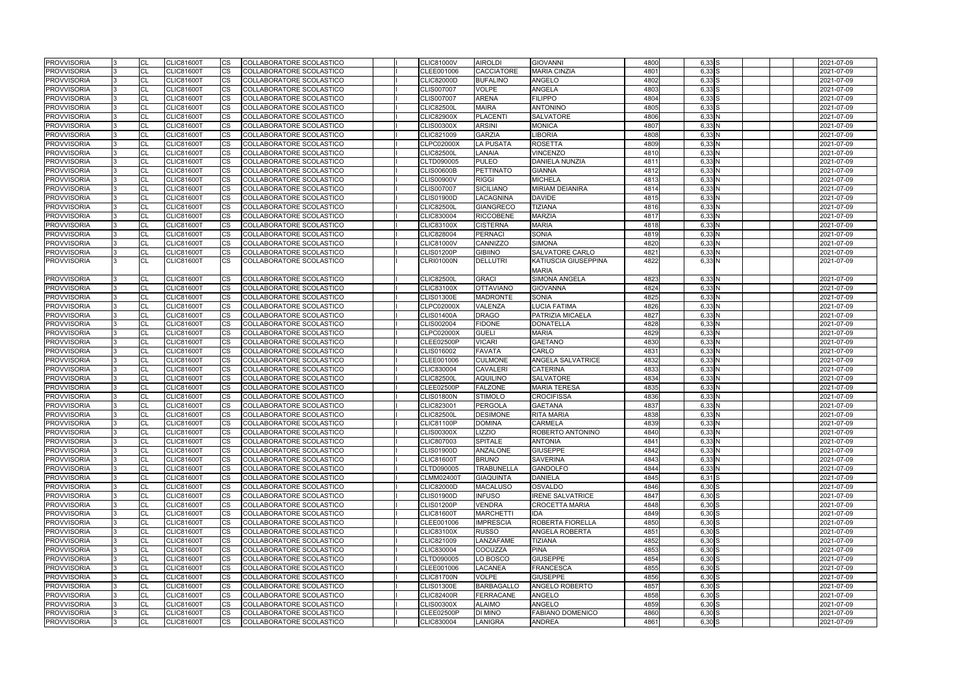| 4800 | 6,33 S                    |  |  | 2021-07-09 |
|------|---------------------------|--|--|------------|
| 4801 | $6,33$ $S$                |  |  | 2021-07-09 |
| 4802 | 6,33 S                    |  |  | 2021-07-09 |
| 4803 | $6,33$ $S$                |  |  | 2021-07-09 |
|      |                           |  |  |            |
| 4804 | 6,33 S                    |  |  | 2021-07-09 |
| 4805 | 6,33 S                    |  |  | 2021-07-09 |
| 4806 | 6,33 N                    |  |  | 2021-07-09 |
| 4807 | 6,33 N                    |  |  | 2021-07-09 |
|      |                           |  |  |            |
| 4808 | 6,33 N                    |  |  | 2021-07-09 |
| 4809 | 6,33 N                    |  |  | 2021-07-09 |
| 4810 | $6,33$ N                  |  |  | 2021-07-09 |
|      |                           |  |  |            |
| 4811 | 6,33 N                    |  |  | 2021-07-09 |
| 4812 | 6,33 N                    |  |  | 2021-07-09 |
| 4813 | $6,33$ N                  |  |  | 2021-07-09 |
| 4814 | 6,33 N                    |  |  | 2021-07-09 |
|      |                           |  |  |            |
| 4815 | 6,33N                     |  |  | 2021-07-09 |
| 4816 | $6,33$ N                  |  |  | 2021-07-09 |
| 4817 | 6,33 N                    |  |  | 2021-07-09 |
| 4818 | 6,33 N                    |  |  | 2021-07-09 |
|      |                           |  |  |            |
| 4819 | 6,33 N                    |  |  | 2021-07-09 |
| 4820 | 6,33 N                    |  |  | 2021-07-09 |
| 4821 | 6,33 N                    |  |  | 2021-07-09 |
| 4822 | 6,33 N                    |  |  | 2021-07-09 |
|      |                           |  |  |            |
|      |                           |  |  |            |
| 4823 | 6,33 N                    |  |  | 2021-07-09 |
| 4824 | 6,33 N                    |  |  | 2021-07-09 |
| 4825 | 6,33 N                    |  |  | 2021-07-09 |
|      |                           |  |  |            |
| 4826 | 6,33 N                    |  |  | 2021-07-09 |
| 4827 | 6,33 N                    |  |  | 2021-07-09 |
| 4828 | 6,33 N                    |  |  | 2021-07-09 |
| 4829 | 6,33 N                    |  |  | 2021-07-09 |
| 4830 | 6,33 N                    |  |  | 2021-07-09 |
|      |                           |  |  |            |
| 4831 | 6,33 N                    |  |  | 2021-07-09 |
| 4832 | 6,33 N                    |  |  | 2021-07-09 |
| 4833 | 6,33 N                    |  |  | 2021-07-09 |
| 4834 | 6,33 N                    |  |  | 2021-07-09 |
| 4835 | 6,33 N                    |  |  | 2021-07-09 |
|      |                           |  |  |            |
| 4836 | 6,33 N                    |  |  | 2021-07-09 |
| 4837 | $6.33$ N                  |  |  | 2021-07-09 |
| 4838 | 6,33 N                    |  |  | 2021-07-09 |
| 4839 | $6,33$ N                  |  |  | 2021-07-09 |
|      |                           |  |  |            |
| 4840 | 6,33 N                    |  |  | 2021-07-09 |
| 4841 | $6,33$ N                  |  |  | 2021-07-09 |
| 4842 | 6,33 N                    |  |  | 2021-07-09 |
| 4843 | $6.33$ N                  |  |  | 2021-07-09 |
|      |                           |  |  |            |
| 4844 | 6,33 N                    |  |  | 2021-07-09 |
| 4845 | $6,31\overline{\text{S}}$ |  |  | 2021-07-09 |
| 4846 | 6,30 S                    |  |  | 2021-07-09 |
| 4847 | 6,30 S                    |  |  | 2021-07-09 |
|      |                           |  |  |            |
| 4848 | 6,30 S                    |  |  | 2021-07-09 |
| 4849 | 6,30 S                    |  |  | 2021-07-09 |
| 4850 | $6,30$ S                  |  |  | 2021-07-09 |
| 4851 | 6,30 S                    |  |  | 2021-07-09 |
| 4852 | $6,30$ S                  |  |  | 2021-07-09 |
|      |                           |  |  |            |
| 4853 | 6,30 S                    |  |  | 2021-07-09 |
| 4854 | 6,30 S                    |  |  | 2021-07-09 |
| 4855 | 6,30 S                    |  |  | 2021-07-09 |
| 4856 | $6,30$ $S$                |  |  | 2021-07-09 |
|      |                           |  |  |            |
| 4857 | 6,30 S                    |  |  | 2021-07-09 |
| 4858 | 6,30 S                    |  |  | 2021-07-09 |
| 4859 | 6,30 S                    |  |  | 2021-07-09 |
| 4860 | 6,30 S                    |  |  | 2021-07-09 |
|      |                           |  |  |            |
| 4861 | 6,30 S                    |  |  | 2021-07-09 |

| <b>PROVVISORIA</b> |     | CL        | <b>CLIC81600T</b> | CS        | COLLABORATORE SCOLASTICO        |  | <b>CLIC81000V</b> | <b>AIROLDI</b>    | GIOVANNI                | 4800 | 6,33 S     | 2021-07-09 |
|--------------------|-----|-----------|-------------------|-----------|---------------------------------|--|-------------------|-------------------|-------------------------|------|------------|------------|
| <b>PROVVISORIA</b> |     | <b>CL</b> | <b>CLIC81600T</b> | <b>CS</b> | COLLABORATORE SCOLASTICO        |  | CLEE001006        | <b>CACCIATORE</b> | <b>MARIA CINZIA</b>     | 4801 | $6,33$ $S$ | 2021-07-09 |
| <b>PROVVISORIA</b> |     | <b>CL</b> | <b>CLIC81600T</b> | CS.       | COLLABORATORE SCOLASTICO        |  | <b>CLIC82000D</b> | <b>BUFALINO</b>   | ANGELO                  | 4802 | $6,33$ $S$ | 2021-07-09 |
| <b>PROVVISORIA</b> |     | <b>CL</b> | <b>CLIC81600T</b> | СS        | COLLABORATORE SCOLASTICO        |  | <b>CLIS007007</b> | <b>VOLPE</b>      | ANGELA                  | 4803 | 6,33 S     | 2021-07-09 |
| <b>PROVVISORIA</b> |     | <b>CL</b> | <b>CLIC81600T</b> | CS.       | COLLABORATORE SCOLASTICO        |  | <b>CLIS007007</b> | <b>ARENA</b>      | <b>FILIPPO</b>          | 4804 | $6,33$ $S$ | 2021-07-09 |
| <b>PROVVISORIA</b> |     | <b>CL</b> | <b>CLIC81600T</b> | CS        | COLLABORATORE SCOLASTICO        |  | <b>CLIC82500L</b> | <b>MAIRA</b>      | <b>ANTONINO</b>         | 4805 | $6,33$ $S$ | 2021-07-09 |
| <b>PROVVISORIA</b> |     | <b>CL</b> | <b>CLIC81600T</b> | CS        | COLLABORATORE SCOLASTICO        |  | <b>CLIC82900X</b> | PLACENTI          | <b>SALVATORE</b>        | 4806 | 6,33 N     | 2021-07-09 |
| <b>PROVVISORIA</b> |     | <b>CL</b> | <b>CLIC81600T</b> | CS        | COLLABORATORE SCOLASTICO        |  | <b>CLIS00300X</b> | <b>ARSINI</b>     | <b>MONICA</b>           | 4807 | 6,33N      | 2021-07-09 |
| <b>PROVVISORIA</b> |     | <b>CL</b> | <b>CLIC81600T</b> | CS.       | <b>COLLABORATORE SCOLASTICO</b> |  | CLIC821009        | <b>GARZIA</b>     | LIBORIA                 | 4808 | 6,33N      | 2021-07-09 |
| <b>PROVVISORIA</b> |     | <b>CL</b> | <b>CLIC81600T</b> | CS        | COLLABORATORE SCOLASTICO        |  | <b>CLPC02000X</b> | <b>LA PUSATA</b>  | <b>ROSETTA</b>          | 4809 | 6,33N      | 2021-07-09 |
| <b>PROVVISORIA</b> |     | <b>CL</b> | <b>CLIC81600T</b> | СS        | COLLABORATORE SCOLASTICO        |  | <b>CLIC82500L</b> | <b>LANAIA</b>     | <b>VINCENZO</b>         | 4810 | 6,33N      | 2021-07-09 |
| <b>PROVVISORIA</b> |     | <b>CL</b> | <b>CLIC81600T</b> | СS        | COLLABORATORE SCOLASTICO        |  | CLTD090005        | <b>PULEO</b>      | DANIELA NUNZIA          | 4811 | 6,33 N     | 2021-07-09 |
| <b>PROVVISORIA</b> |     | <b>CL</b> | CLIC81600T        | CS        | COLLABORATORE SCOLASTICO        |  | <b>CLIS00600B</b> | PETTINATO         | <b>GIANNA</b>           | 4812 | 6,33N      | 2021-07-09 |
| PROVVISORIA        |     | <b>CL</b> | <b>CLIC81600T</b> | CS        | COLLABORATORE SCOLASTICO        |  | <b>CLIS00900V</b> | <b>RIGGI</b>      | <b>MICHELA</b>          | 4813 | 6,33 N     | 2021-07-09 |
| <b>PROVVISORIA</b> |     | <b>CL</b> | <b>CLIC81600T</b> | CS        | COLLABORATORE SCOLASTICO        |  | <b>CLIS007007</b> | <b>SICILIANO</b>  | MIRIAM DEIANIRA         | 4814 | 6,33N      | 2021-07-09 |
| PROVVISORIA        |     | <b>CL</b> | <b>CLIC81600T</b> | CS        | COLLABORATORE SCOLASTICO        |  | <b>CLIS01900D</b> | LACAGNINA         | <b>DAVIDE</b>           | 4815 | 6,33 N     | 2021-07-09 |
| <b>PROVVISORIA</b> |     | <b>CL</b> | <b>CLIC81600T</b> | СS        | COLLABORATORE SCOLASTICO        |  | <b>CLIC82500L</b> | <b>GIANGRECO</b>  | TIZIANA                 | 4816 | 6,33 N     | 2021-07-09 |
| <b>PROVVISORIA</b> |     | <b>CL</b> | <b>CLIC81600T</b> | CS        | COLLABORATORE SCOLASTICO        |  | CLIC830004        | <b>RICCOBENE</b>  | MARZIA                  | 4817 | 6,33 N     | 2021-07-09 |
| <b>PROVVISORIA</b> |     | <b>CL</b> | <b>CLIC81600T</b> | <b>CS</b> | COLLABORATORE SCOLASTICO        |  | <b>CLIC83100X</b> | <b>CISTERNA</b>   | <b>MARIA</b>            | 4818 | 6,33 N     | 2021-07-09 |
| <b>PROVVISORIA</b> |     | <b>CL</b> | <b>CLIC81600T</b> | CS        | COLLABORATORE SCOLASTICO        |  | <b>CLIC828004</b> | <b>PERNACI</b>    | SONIA                   | 4819 | 6,33 N     | 2021-07-09 |
| <b>PROVVISORIA</b> |     | <b>CL</b> | <b>CLIC81600T</b> | CS        | COLLABORATORE SCOLASTICO        |  | <b>CLIC81000V</b> | CANNIZZO          | <b>SIMONA</b>           | 4820 | 6,33N      | 2021-07-09 |
| <b>PROVVISORIA</b> |     | <b>CL</b> | <b>CLIC81600T</b> | CS        | COLLABORATORE SCOLASTICO        |  | <b>CLIS01200P</b> | <b>GIBIINO</b>    | <b>SALVATORE CARLO</b>  | 4821 | 6,33 N     | 2021-07-09 |
| <b>PROVVISORIA</b> | I3. | <b>CL</b> | <b>CLIC81600T</b> | СS        | COLLABORATORE SCOLASTICO        |  | <b>CLRI01000N</b> | <b>DELLUTRI</b>   | KATIUSCIA GIUSEPPINA    | 4822 | 6,33 N     | 2021-07-09 |
|                    |     |           |                   |           |                                 |  |                   |                   | MARIA                   |      |            |            |
| <b>PROVVISORIA</b> |     | CL        | <b>CLIC81600T</b> | CS        | COLLABORATORE SCOLASTICO        |  | <b>CLIC82500L</b> | <b>GRACI</b>      | SIMONA ANGELA           | 4823 | 6,33 N     | 2021-07-09 |
| <b>PROVVISORIA</b> |     | <b>CL</b> | <b>CLIC81600T</b> | CS        | COLLABORATORE SCOLASTICO        |  | <b>CLIC83100X</b> | <b>OTTAVIANO</b>  | GIOVANNA                | 4824 | 6,33 N     | 2021-07-09 |
| <b>PROVVISORIA</b> |     | <b>CL</b> | <b>CLIC81600T</b> | <b>CS</b> | COLLABORATORE SCOLASTICO        |  | <b>CLIS01300E</b> | <b>MADRONTE</b>   | <b>SONIA</b>            | 4825 | 6,33N      | 2021-07-09 |
| <b>PROVVISORIA</b> |     | <b>CL</b> | <b>CLIC81600T</b> | CS        | COLLABORATORE SCOLASTICO        |  | <b>CLPC02000X</b> | VALENZA           | <b>LUCIA FATIMA</b>     | 4826 | 6,33 N     | 2021-07-09 |
| <b>PROVVISORIA</b> |     | <b>CL</b> | <b>CLIC81600T</b> | СS        | COLLABORATORE SCOLASTICO        |  | <b>CLIS01400A</b> | <b>DRAGO</b>      | PATRIZIA MICAELA        | 4827 | 6,33 N     | 2021-07-09 |
| <b>PROVVISORIA</b> | 13. | <b>CL</b> | <b>CLIC81600T</b> | CS        | COLLABORATORE SCOLASTICO        |  | CLIS002004        | <b>FIDONE</b>     | <b>DONATELLA</b>        | 4828 | 6,33N      | 2021-07-09 |
| <b>PROVVISORIA</b> |     | <b>CL</b> | <b>CLIC81600T</b> | CS        | COLLABORATORE SCOLASTICO        |  | <b>CLPC02000X</b> | <b>GUELI</b>      | <b>MARIA</b>            | 4829 | 6,33 N     | 2021-07-09 |
| <b>PROVVISORIA</b> |     | <b>CL</b> | <b>CLIC81600T</b> | CS        | COLLABORATORE SCOLASTICO        |  | <b>CLEE02500P</b> | <b>VICARI</b>     | <b>GAETANO</b>          | 4830 | 6,33 N     | 2021-07-09 |
| PROVVISORIA        |     | <b>CL</b> | <b>CLIC81600T</b> | CS        | COLLABORATORE SCOLASTICO        |  | CLIS016002        | <b>FAVATA</b>     | CARLO                   | 4831 | 6,33N      | 2021-07-09 |
| <b>PROVVISORIA</b> |     | <b>CL</b> | <b>CLIC81600T</b> | CS.       | COLLABORATORE SCOLASTICO        |  | CLEE001006        | <b>CULMONE</b>    | ANGELA SALVATRICE       | 4832 | 6,33N      | 2021-07-09 |
| <b>PROVVISORIA</b> |     | <b>CL</b> | <b>CLIC81600T</b> | CS        | COLLABORATORE SCOLASTICO        |  | CLIC830004        | <b>CAVALERI</b>   | <b>CATERINA</b>         | 4833 | 6,33 N     | 2021-07-09 |
| <b>PROVVISORIA</b> |     | <b>CL</b> | <b>CLIC81600T</b> | СS        | COLLABORATORE SCOLASTICO        |  | <b>CLIC82500L</b> | <b>AQUILINO</b>   | <b>SALVATORE</b>        | 4834 | 6,33N      | 2021-07-09 |
| <b>PROVVISORIA</b> |     | <b>CL</b> | <b>CLIC81600T</b> | CS.       | COLLABORATORE SCOLASTICO        |  | <b>CLEE02500P</b> | <b>FALZONE</b>    | <b>MARIA TERESA</b>     | 4835 | 6,33N      | 2021-07-09 |
| <b>PROVVISORIA</b> |     | <b>CL</b> | <b>CLIC81600T</b> | CS        | COLLABORATORE SCOLASTICO        |  | <b>CLIS01800N</b> | <b>STIMOLO</b>    | <b>CROCIFISSA</b>       | 4836 | 6,33N      | 2021-07-09 |
| <b>PROVVISORIA</b> |     | <b>CL</b> | <b>CLIC81600T</b> | CS        | COLLABORATORE SCOLASTICO        |  | CLIC823001        | <b>PERGOLA</b>    | <b>GAETANA</b>          | 4837 | 6,33 N     | 2021-07-09 |
| PROVVISORIA        |     | <b>CL</b> | <b>CLIC81600T</b> | CS.       | COLLABORATORE SCOLASTICO        |  | <b>CLIC82500L</b> | <b>DESIMONE</b>   | <b>RITA MARIA</b>       | 4838 | 6,33 N     | 2021-07-09 |
| <b>PROVVISORIA</b> | Iз  | <b>CL</b> | <b>CLIC81600T</b> | <b>CS</b> | COLLABORATORE SCOLASTICO        |  | <b>CLIC81100P</b> | <b>DOMINA</b>     | <b>CARMELA</b>          | 4839 | 6,33N      | 2021-07-09 |
| <b>PROVVISORIA</b> |     | <b>CL</b> | <b>CLIC81600T</b> | CS        | COLLABORATORE SCOLASTICO        |  | <b>CLIS00300X</b> | LIZZIO            | ROBERTO ANTONINO        | 4840 | 6,33 N     | 2021-07-09 |
| <b>PROVVISORIA</b> |     | <b>CL</b> | <b>CLIC81600T</b> | CS        | COLLABORATORE SCOLASTICO        |  | CLIC807003        | <b>SPITALE</b>    | ANTONIA                 | 4841 | 6,33 N     | 2021-07-09 |
| PROVVISORIA        |     | <b>CL</b> | <b>CLIC81600T</b> | <b>CS</b> | COLLABORATORE SCOLASTICO        |  | <b>CLIS01900D</b> | <b>ANZALONE</b>   | <b>GIUSEPPE</b>         | 4842 | 6,33N      | 2021-07-09 |
| <b>PROVVISORIA</b> |     | <b>CL</b> | <b>CLIC81600T</b> | CS        | COLLABORATORE SCOLASTICO        |  | <b>CLIC81600T</b> | <b>BRUNO</b>      | <b>SAVERINA</b>         | 4843 | 6,33N      | 2021-07-09 |
| <b>PROVVISORIA</b> |     | <b>CL</b> | <b>CLIC81600T</b> | CS        | COLLABORATORE SCOLASTICO        |  | CLTD090005        | <b>TRABUNELLA</b> | <b>GANDOLFO</b>         | 4844 | 6,33N      | 2021-07-09 |
| <b>PROVVISORIA</b> |     | <b>CL</b> | <b>CLIC81600T</b> | CS        | COLLABORATORE SCOLASTICO        |  | <b>CLMM02400T</b> | <b>GIAQUINTA</b>  | <b>DANIELA</b>          | 4845 | 6,31 S     | 2021-07-09 |
| <b>PROVVISORIA</b> |     | <b>CL</b> | <b>CLIC81600T</b> | СS        | COLLABORATORE SCOLASTICO        |  | <b>CLIC82000D</b> | <b>MACALUSO</b>   | OSVALDO                 | 4846 | $6,30$ S   | 2021-07-09 |
| <b>PROVVISORIA</b> |     | <b>CL</b> | <b>CLIC81600T</b> | CS        | COLLABORATORE SCOLASTICO        |  | <b>CLIS01900D</b> | <b>INFUSO</b>     | <b>IRENE SALVATRICE</b> | 4847 | 6,30S      | 2021-07-09 |
| <b>PROVVISORIA</b> |     | CL        | <b>CLIC81600T</b> | CS        | COLLABORATORE SCOLASTICO        |  | <b>CLIS01200P</b> | <b>VENDRA</b>     | <b>CROCETTA MARIA</b>   | 4848 | 6,30 S     | 2021-07-09 |
| <b>PROVVISORIA</b> |     | <b>CL</b> | <b>CLIC81600T</b> | CS        | COLLABORATORE SCOLASTICO        |  | <b>CLIC81600T</b> | <b>MARCHETTI</b>  | <b>IDA</b>              | 4849 | $6,30$ S   | 2021-07-09 |
| <b>PROVVISORIA</b> |     | <b>CL</b> | <b>CLIC81600T</b> | <b>CS</b> | COLLABORATORE SCOLASTICO        |  | CLEE001006        | <b>IMPRESCIA</b>  | ROBERTA FIORELLA        | 4850 | $6,30$ S   | 2021-07-09 |
| <b>PROVVISORIA</b> |     | <b>CL</b> | <b>CLIC81600T</b> | CS        | COLLABORATORE SCOLASTICO        |  | <b>CLIC83100X</b> | <b>RUSSO</b>      | ANGELA ROBERTA          | 4851 | $6,30$ S   | 2021-07-09 |
| <b>PROVVISORIA</b> |     | <b>CL</b> | <b>CLIC81600T</b> | СS        | COLLABORATORE SCOLASTICO        |  | CLIC821009        | LANZAFAME         | TIZIANA                 | 4852 | 6,30 S     | 2021-07-09 |
| <b>PROVVISORIA</b> |     | <b>CL</b> | <b>CLIC81600T</b> | CS        | COLLABORATORE SCOLASTICO        |  | CLIC830004        | COCUZZA           | PINA                    | 4853 | 6,30S      | 2021-07-09 |
| <b>PROVVISORIA</b> |     | CL        | <b>CLIC81600T</b> | CS        | COLLABORATORE SCOLASTICO        |  | CLTD090005        | LO BOSCO          | <b>GIUSEPPE</b>         | 4854 | $6,30$ S   | 2021-07-09 |
| <b>PROVVISORIA</b> |     | <b>CL</b> | <b>CLIC81600T</b> | CS        | COLLABORATORE SCOLASTICO        |  | CLEE001006        | <b>LACANEA</b>    | FRANCESCA               | 4855 | 6,30 S     | 2021-07-09 |
| <b>PROVVISORIA</b> |     | <b>CL</b> | <b>CLIC81600T</b> | CS        | COLLABORATORE SCOLASTICO        |  | <b>CLIC81700N</b> | <b>VOLPE</b>      | <b>GIUSEPPE</b>         | 4856 | $6,30$ S   | 2021-07-09 |
| <b>PROVVISORIA</b> |     | <b>CL</b> | <b>CLIC81600T</b> | CS        | COLLABORATORE SCOLASTICO        |  | <b>CLIS01300E</b> | <b>BARBAGALLO</b> | ANGELO ROBERTO          | 4857 | $6,30$ S   | 2021-07-09 |
| <b>PROVVISORIA</b> |     | <b>CL</b> | <b>CLIC81600T</b> | CS        | COLLABORATORE SCOLASTICO        |  | <b>CLIC82400R</b> | FERRACANE         | ANGELO                  | 4858 | 6,30 S     | 2021-07-09 |
| <b>PROVVISORIA</b> |     | <b>CL</b> | <b>CLIC81600T</b> | CS        | COLLABORATORE SCOLASTICO        |  | <b>CLIS00300X</b> | <b>ALAIMO</b>     | ANGELO                  | 4859 | $6,30$ S   | 2021-07-09 |
| <b>PROVVISORIA</b> |     | <b>CL</b> | <b>CLIC81600T</b> | CS        | COLLABORATORE SCOLASTICO        |  | <b>CLEE02500P</b> | <b>DI MINO</b>    | FABIANO DOMENICO        | 4860 | 6,30 S     | 2021-07-09 |
| <b>PROVVISORIA</b> |     | <b>CL</b> | <b>CLIC81600T</b> | CS        | COLLABORATORE SCOLASTICO        |  | CLIC830004        | LANIGRA           | <b>ANDREA</b>           | 4861 | 6,30 S     | 2021-07-09 |
|                    |     |           |                   |           |                                 |  |                   |                   |                         |      |            |            |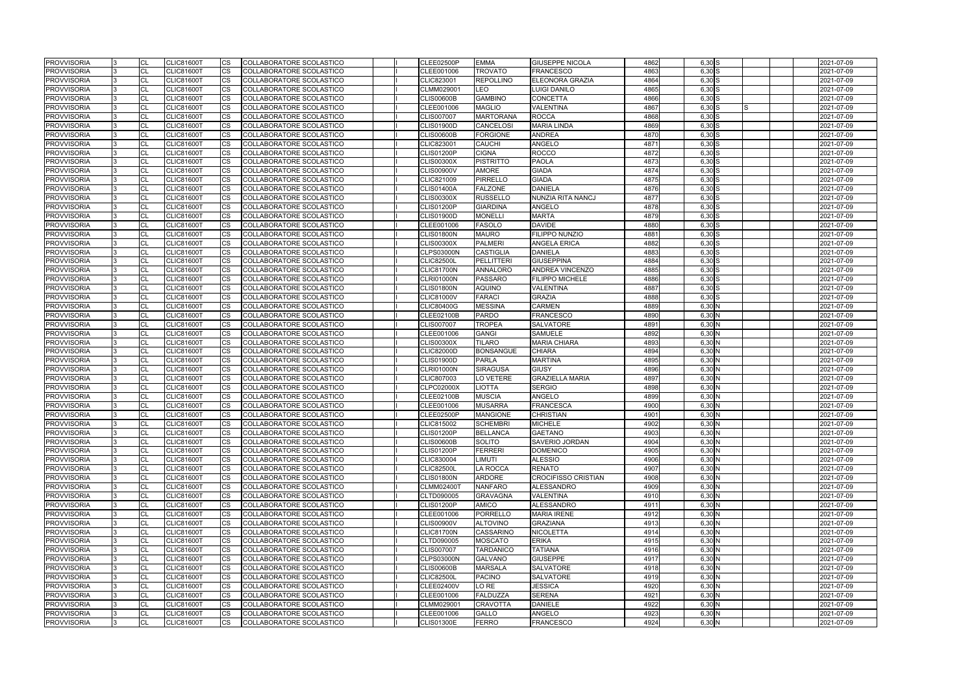| <b>PROVVISORIA</b> | <b>CL</b>      | <b>CLIC81600T</b> | <b>CS</b>              | COLLABORATORE SCOLASTICO        |  | <b>CLEE02500P</b> | <b>EMMA</b>       | <b>GIUSEPPE NICOLA</b>     | 4862 | 6,30 S   |  | 2021-07-09 |
|--------------------|----------------|-------------------|------------------------|---------------------------------|--|-------------------|-------------------|----------------------------|------|----------|--|------------|
| <b>PROVVISORIA</b> | <b>CL</b>      | <b>CLIC81600T</b> | <b>CS</b>              | COLLABORATORE SCOLASTICO        |  | CLEE001006        | <b>TROVATO</b>    | <b>FRANCESCO</b>           | 4863 | $6,30$ S |  | 2021-07-09 |
| <b>PROVVISORIA</b> | <b>CL</b>      | <b>CLIC81600T</b> | CS                     | COLLABORATORE SCOLASTICO        |  | CLIC823001        | <b>REPOLLINO</b>  | <b>ELEONORA GRAZIA</b>     | 4864 | 6,30 S   |  | 2021-07-09 |
| <b>PROVVISORIA</b> | <b>CL</b>      | <b>CLIC81600T</b> | CS                     | COLLABORATORE SCOLASTICO        |  | CLMM029001        | <b>LEO</b>        | LUIGI DANILO               | 4865 | $6,30$ S |  | 2021-07-09 |
| <b>PROVVISORIA</b> | <b>CL</b>      | <b>CLIC81600T</b> | CS                     | COLLABORATORE SCOLASTICO        |  | <b>CLIS00600B</b> | <b>GAMBINO</b>    | CONCETTA                   | 4866 | $6,30$ S |  | 2021-07-09 |
| <b>PROVVISORIA</b> | CL             | <b>CLIC81600T</b> | CS                     | COLLABORATORE SCOLASTICO        |  | CLEE001006        | <b>MAGLIO</b>     | VALENTINA                  | 4867 | 6,30 S   |  | 2021-07-09 |
| <b>PROVVISORIA</b> | <b>CL</b>      | <b>CLIC81600T</b> | CS                     | COLLABORATORE SCOLASTICO        |  | <b>CLIS007007</b> | <b>MARTORANA</b>  | <b>ROCCA</b>               | 4868 | $6,30$ S |  | 2021-07-09 |
| <b>PROVVISORIA</b> | CL             | <b>CLIC81600T</b> | <b>CS</b>              | COLLABORATORE SCOLASTICO        |  | <b>CLIS01900D</b> | <b>CANCELOSI</b>  | <b>MARIA LINDA</b>         | 4869 | $6,30$ S |  | 2021-07-09 |
| <b>PROVVISORIA</b> | CL             | <b>CLIC81600T</b> | CS                     | COLLABORATORE SCOLASTICO        |  | <b>CLIS00600B</b> | <b>FORGIONE</b>   | ANDREA                     | 4870 | 6,30 S   |  | 2021-07-09 |
| <b>PROVVISORIA</b> | <b>CL</b>      | <b>CLIC81600T</b> | CS                     | COLLABORATORE SCOLASTICO        |  | CLIC823001        | <b>CAUCHI</b>     | <b>ANGELO</b>              | 4871 | $6,30$ S |  | 2021-07-09 |
| <b>PROVVISORIA</b> | CL             | <b>CLIC81600T</b> | CS                     | COLLABORATORE SCOLASTICO        |  | <b>CLIS01200P</b> | <b>CIGNA</b>      | <b>ROCCO</b>               | 4872 | $6,30$ S |  | 2021-07-09 |
| <b>PROVVISORIA</b> | <b>CL</b>      | <b>CLIC81600T</b> | CS                     | COLLABORATORE SCOLASTICO        |  | <b>CLIS00300X</b> | <b>PISTRITTO</b>  | <b>PAOLA</b>               | 4873 | $6,30$ S |  | 2021-07-09 |
| <b>PROVVISORIA</b> | <b>CL</b>      | <b>CLIC81600T</b> | <b>CS</b>              | COLLABORATORE SCOLASTICO        |  | <b>CLIS00900V</b> | <b>AMORE</b>      | <b>GIADA</b>               | 4874 | 6,30 S   |  | 2021-07-09 |
| <b>PROVVISORIA</b> | <b>CL</b>      | <b>CLIC81600T</b> | <b>CS</b>              | COLLABORATORE SCOLASTICO        |  | CLIC821009        | <b>PIRRELLO</b>   | <b>GIADA</b>               | 4875 | $6,30$ S |  | 2021-07-09 |
| <b>PROVVISORIA</b> | <b>CL</b>      | <b>CLIC81600T</b> | <b>CS</b>              | COLLABORATORE SCOLASTICO        |  | <b>CLIS01400A</b> | <b>FALZONE</b>    | <b>DANIELA</b>             | 4876 | $6,30$ S |  | 2021-07-09 |
| <b>PROVVISORIA</b> | <b>CL</b>      | <b>CLIC81600T</b> | CS                     | COLLABORATORE SCOLASTICO        |  | <b>CLIS00300X</b> | <b>RUSSELLO</b>   | <b>NUNZIA RITA NANCJ</b>   | 4877 | $6,30$ S |  | 2021-07-09 |
| <b>PROVVISORIA</b> | CL             | <b>CLIC81600T</b> | CS                     | COLLABORATORE SCOLASTICO        |  | <b>CLIS01200P</b> | <b>GIARDINA</b>   | ANGELO                     | 4878 | $6,30$ S |  | 2021-07-09 |
| <b>PROVVISORIA</b> | <b>CL</b>      | <b>CLIC81600T</b> | CS                     | COLLABORATORE SCOLASTICO        |  | <b>CLIS01900D</b> | <b>MONELLI</b>    | <b>MARTA</b>               | 4879 | $6,30$ S |  | 2021-07-09 |
| <b>PROVVISORIA</b> | <b>CL</b>      | <b>CLIC81600T</b> | CS                     | COLLABORATORE SCOLASTICO        |  | CLEE001006        | <b>FASOLO</b>     | <b>DAVIDE</b>              | 4880 | 6,30 S   |  | 2021-07-09 |
| <b>PROVVISORIA</b> | CL             | <b>CLIC81600T</b> | <b>CS</b>              | COLLABORATORE SCOLASTICO        |  | <b>CLIS01800N</b> | <b>MAURO</b>      | FILIPPO NUNZIO             | 4881 | $6,30$ S |  | 2021-07-09 |
| <b>PROVVISORIA</b> | <b>CL</b>      | <b>CLIC81600T</b> | CS                     | COLLABORATORE SCOLASTICO        |  | <b>CLIS00300X</b> | <b>PALMERI</b>    | <b>ANGELA ERICA</b>        | 4882 | $6,30$ S |  | 2021-07-09 |
| <b>PROVVISORIA</b> | <b>CL</b>      | <b>CLIC81600T</b> | CS                     | COLLABORATORE SCOLASTICO        |  | <b>CLPS03000N</b> | <b>CASTIGLIA</b>  | <b>DANIELA</b>             | 4883 | $6,30$ S |  | 2021-07-09 |
| <b>PROVVISORIA</b> | <b>CL</b>      | <b>CLIC81600T</b> | CS                     | COLLABORATORE SCOLASTICO        |  | <b>CLIC82500L</b> | <b>PELLITTERI</b> | <b>GIUSEPPINA</b>          | 4884 | $6,30$ S |  | 2021-07-09 |
| <b>PROVVISORIA</b> | <b>CL</b>      | <b>CLIC81600T</b> | CS                     | COLLABORATORE SCOLASTICO        |  | <b>CLIC81700N</b> | <b>ANNALORO</b>   | <b>ANDREA VINCENZO</b>     | 4885 | $6,30$ S |  | 2021-07-09 |
| <b>PROVVISORIA</b> | CL             | <b>CLIC81600T</b> | СS                     | COLLABORATORE SCOLASTICO        |  | <b>CLRI01000N</b> | <b>PASSARO</b>    | <b>FILIPPO MICHELE</b>     | 4886 | $6,30$ S |  | 2021-07-09 |
| <b>PROVVISORIA</b> | <b>CL</b>      | <b>CLIC81600T</b> | <b>CS</b>              | COLLABORATORE SCOLASTICO        |  | <b>CLIS01800N</b> | <b>AQUINO</b>     | <b>VALENTINA</b>           | 4887 | $6,30$ S |  | 2021-07-09 |
| <b>PROVVISORIA</b> | <b>CL</b>      | <b>CLIC81600T</b> | <b>CS</b>              | COLLABORATORE SCOLASTICO        |  | <b>CLIC81000V</b> | <b>FARACI</b>     | <b>GRAZIA</b>              | 4888 | $6,30$ S |  | 2021-07-09 |
| <b>PROVVISORIA</b> | <b>CL</b>      | <b>CLIC81600T</b> | CS                     | COLLABORATORE SCOLASTICO        |  | <b>CLIC80400G</b> | <b>MESSINA</b>    | <b>CARMEN</b>              | 4889 | 6,30 N   |  | 2021-07-09 |
| <b>PROVVISORIA</b> | <b>CL</b>      | <b>CLIC81600T</b> | CS                     | COLLABORATORE SCOLASTICO        |  | <b>CLEE02100B</b> | <b>PARDO</b>      | FRANCESCO                  | 4890 | 6,30 N   |  | 2021-07-09 |
|                    | <b>CL</b>      |                   | CS                     |                                 |  |                   | <b>TROPEA</b>     | <b>SALVATORE</b>           | 4891 | 6,30 N   |  | 2021-07-09 |
| <b>PROVVISORIA</b> |                | <b>CLIC81600T</b> |                        | COLLABORATORE SCOLASTICO        |  | <b>CLIS007007</b> | <b>GANGI</b>      |                            | 4892 |          |  |            |
| <b>PROVVISORIA</b> | CL             | <b>CLIC81600T</b> | CS                     | COLLABORATORE SCOLASTICO        |  | CLEE001006        |                   | SAMUELE                    |      | 6,30 N   |  | 2021-07-09 |
| <b>PROVVISORIA</b> | <b>CL</b>      | <b>CLIC81600T</b> | <b>CS</b>              | COLLABORATORE SCOLASTICO        |  | <b>CLIS00300X</b> | <b>TILARO</b>     | <b>MARIA CHIARA</b>        | 4893 | 6,30 N   |  | 2021-07-09 |
| <b>PROVVISORIA</b> | CL             | <b>CLIC81600T</b> | <b>CS</b>              | <b>COLLABORATORE SCOLASTICO</b> |  | <b>CLIC82000D</b> | <b>BONSANGUE</b>  | <b>CHIARA</b>              | 4894 | 6,30 N   |  | 2021-07-09 |
| <b>PROVVISORIA</b> | <b>CL</b>      | <b>CLIC81600T</b> | CS                     | COLLABORATORE SCOLASTICO        |  | <b>CLIS01900D</b> | <b>PARLA</b>      | <b>MARTINA</b>             | 4895 | 6,30 N   |  | 2021-07-09 |
| <b>PROVVISORIA</b> | <b>CL</b>      | <b>CLIC81600T</b> | CS                     | COLLABORATORE SCOLASTICO        |  | <b>CLRI01000N</b> | <b>SIRAGUSA</b>   | <b>GIUSY</b>               | 4896 | 6,30 N   |  | 2021-07-09 |
| <b>PROVVISORIA</b> | <b>CL</b>      | <b>CLIC81600T</b> | CS                     | COLLABORATORE SCOLASTICO        |  | CLIC807003        | LO VETERE         | <b>GRAZIELLA MARIA</b>     | 4897 | 6,30 N   |  | 2021-07-09 |
| <b>PROVVISORIA</b> | <b>CL</b>      | <b>CLIC81600T</b> | CS                     | COLLABORATORE SCOLASTICO        |  | <b>CLPC02000X</b> | <b>LIOTTA</b>     | <b>SERGIO</b>              | 4898 | $6,30$ N |  | 2021-07-09 |
| <b>PROVVISORIA</b> | <b>CL</b>      | <b>CLIC81600T</b> | CS                     | COLLABORATORE SCOLASTICO        |  | <b>CLEE02100B</b> | <b>MUSCIA</b>     | ANGELO                     | 4899 | 6,30 N   |  | 2021-07-09 |
| <b>PROVVISORIA</b> | CL             | <b>CLIC81600T</b> | <b>CS</b>              | COLLABORATORE SCOLASTICO        |  | CLEE001006        | <b>MUSARRA</b>    | <b>FRANCESCA</b>           | 4900 | 6,30 N   |  | 2021-07-09 |
| <b>PROVVISORIA</b> | <b>CL</b>      | CLIC81600T        | CS                     | COLLABORATORE SCOLASTICO        |  | <b>CLEE02500P</b> | <b>MANGIONE</b>   | <b>CHRISTIAN</b>           | 4901 | $6,30$ N |  | 2021-07-09 |
| <b>PROVVISORIA</b> | $\overline{C}$ | <b>CLIC81600T</b> | <b>CS</b>              | COLLABORATORE SCOLASTICO        |  | CLIC815002        | <b>SCHEMBRI</b>   | <b>MICHELE</b>             | 4902 | 6.30 N   |  | 2021-07-09 |
| <b>PROVVISORIA</b> | <b>CL</b>      | <b>CLIC81600T</b> | CS                     | <b>COLLABORATORE SCOLASTICO</b> |  | <b>CLIS01200P</b> | <b>BELLANCA</b>   | <b>GAETANO</b>             | 4903 | 6,30 N   |  | 2021-07-09 |
| <b>PROVVISORIA</b> | CL             | <b>CLIC81600T</b> | <b>CS</b>              | COLLABORATORE SCOLASTICO        |  | <b>CLIS00600B</b> | <b>SOLITO</b>     | SAVERIO JORDAN             | 4904 | $6,30$ N |  | 2021-07-09 |
| <b>PROVVISORIA</b> | <b>CL</b>      | <b>CLIC81600T</b> | $\overline{\text{cs}}$ | COLLABORATORE SCOLASTICO        |  | <b>CLIS01200P</b> | FERRERI           | <b>DOMENICO</b>            | 4905 | $6,30$ N |  | 2021-07-09 |
| <b>PROVVISORIA</b> | <b>CL</b>      | <b>CLIC81600T</b> | <b>CS</b>              | COLLABORATORE SCOLASTICO        |  | CLIC830004        | LIMUTI            | <b>ALESSIO</b>             | 4906 | 6,30 N   |  | 2021-07-09 |
| <b>PROVVISORIA</b> | <b>CL</b>      | <b>CLIC81600T</b> | CS.                    | COLLABORATORE SCOLASTICO        |  | <b>CLIC82500L</b> | <b>LA ROCCA</b>   | <b>RENATO</b>              | 4907 | 6,30 N   |  | 2021-07-09 |
| <b>PROVVISORIA</b> | <b>CL</b>      | <b>CLIC81600T</b> | CS                     | COLLABORATORE SCOLASTICO        |  | CLIS01800N        | <b>ARDORE</b>     | <b>CROCIFISSO CRISTIAN</b> | 4908 | 6,30 N   |  | 2021-07-09 |
| <b>PROVVISORIA</b> | CL             | <b>CLIC81600T</b> | CS                     | COLLABORATORE SCOLASTICO        |  | <b>CLMM02400T</b> | <b>NANFARO</b>    | <b>ALESSANDRO</b>          | 4909 | 6,30 N   |  | 2021-07-09 |
| <b>PROVVISORIA</b> | <b>CL</b>      | <b>CLIC81600T</b> | CS                     | COLLABORATORE SCOLASTICO        |  | CLTD090005        | <b>GRAVAGNA</b>   | VALENTINA                  | 4910 | 6,30 N   |  | 2021-07-09 |
| <b>PROVVISORIA</b> | CL             | <b>CLIC81600T</b> | CS                     | COLLABORATORE SCOLASTICO        |  | <b>CLIS01200P</b> | AMICO             | <b>ALESSANDRO</b>          | 4911 | 6,30 N   |  | 2021-07-09 |
| <b>PROVVISORIA</b> | CL             | <b>CLIC81600T</b> | <b>CS</b>              | COLLABORATORE SCOLASTICO        |  | CLEE001006        | <b>PORRELLO</b>   | <b>MARIA IRENE</b>         | 4912 | 6,30 N   |  | 2021-07-09 |
| <b>PROVVISORIA</b> | <b>CL</b>      | <b>CLIC81600T</b> | CS                     | COLLABORATORE SCOLASTICO        |  | <b>CLIS00900V</b> | <b>ALTOVINO</b>   | <b>GRAZIANA</b>            | 4913 | 6,30 N   |  | 2021-07-09 |
| <b>PROVVISORIA</b> | CL             | <b>CLIC81600T</b> | <b>CS</b>              | COLLABORATORE SCOLASTICO        |  | <b>CLIC81700N</b> | <b>CASSARINO</b>  | <b>NICOLETTA</b>           | 4914 | 6,30 N   |  | 2021-07-09 |
| <b>PROVVISORIA</b> | <b>CL</b>      | <b>CLIC81600T</b> | CS                     | COLLABORATORE SCOLASTICO        |  | CLTD090005        | <b>MOSCATO</b>    | <b>ERIKA</b>               | 4915 | 6,30 N   |  | 2021-07-09 |
| <b>PROVVISORIA</b> | CL             | <b>CLIC81600T</b> | CS                     | COLLABORATORE SCOLASTICO        |  | <b>CLIS007007</b> | <b>TARDANICO</b>  | TATIANA                    | 4916 | $6,30$ N |  | 2021-07-09 |
| <b>PROVVISORIA</b> | CL             | <b>CLIC81600T</b> | CS                     | COLLABORATORE SCOLASTICO        |  | <b>CLPS03000N</b> | <b>GALVANO</b>    | <b>GIUSEPPE</b>            | 4917 | 6,30 N   |  | 2021-07-09 |
| <b>PROVVISORIA</b> | CL             | <b>CLIC81600T</b> | <b>CS</b>              | COLLABORATORE SCOLASTICO        |  | <b>CLIS00600B</b> | <b>MARSALA</b>    | SALVATORE                  | 4918 | 6,30 N   |  | 2021-07-09 |
| <b>PROVVISORIA</b> | CL             | <b>CLIC81600T</b> | CS.                    | COLLABORATORE SCOLASTICO        |  | <b>CLIC82500L</b> | <b>PACINO</b>     | <b>SALVATORE</b>           | 4919 | 6,30 N   |  | 2021-07-09 |
| <b>PROVVISORIA</b> | <b>CL</b>      | <b>CLIC81600T</b> | <b>CS</b>              | COLLABORATORE SCOLASTICO        |  | <b>CLEE02400V</b> | LO RE             | <b>JESSICA</b>             | 4920 | $6,30$ N |  | 2021-07-09 |
| <b>PROVVISORIA</b> | <b>CL</b>      | <b>CLIC81600T</b> | CS                     | COLLABORATORE SCOLASTICO        |  | CLEE001006        | FALDUZZA          | SERENA                     | 4921 | 6,30 N   |  | 2021-07-09 |
| <b>PROVVISORIA</b> | CL             | CLIC81600T        | CS                     | COLLABORATORE SCOLASTICO        |  | CLMM029001        | <b>CRAVOTTA</b>   | <b>DANIELE</b>             | 4922 | 6,30 N   |  | 2021-07-09 |
| <b>PROVVISORIA</b> | <b>CL</b>      | <b>CLIC81600T</b> | <b>CS</b>              | COLLABORATORE SCOLASTICO        |  | CLEE001006        | <b>GALLO</b>      | ANGELO                     | 4923 | $6,30$ N |  | 2021-07-09 |
| <b>PROVVISORIA</b> | <b>CL</b>      | <b>CLIC81600T</b> | <b>CS</b>              | COLLABORATORE SCOLASTICO        |  | <b>CLIS01300E</b> | <b>FERRO</b>      | <b>FRANCESCO</b>           | 4924 | 6,30 N   |  | 2021-07-09 |
|                    |                |                   |                        |                                 |  |                   |                   |                            |      |          |  |            |

|   |  | 2021-07-09               |
|---|--|--------------------------|
|   |  | 2021-07-09               |
|   |  | 2021-07-09               |
|   |  | 2021-07-09               |
|   |  | 2021-07-09               |
| S |  | 2021-07-09               |
|   |  | 2021-07-09               |
|   |  | 2021-07-09               |
|   |  | 2021-07-09               |
|   |  | 2021-07-09               |
|   |  | 2021-07-09               |
|   |  | 2021-07-09               |
|   |  | 2021-07-09               |
|   |  | 2021-07-09               |
|   |  | 2021-07-09               |
|   |  | 2021-07-09               |
|   |  | 2021-07-09               |
|   |  | 2021-07-09               |
|   |  | 2021-07-09               |
|   |  | 2021-07-09               |
|   |  | 2021-07-09               |
|   |  | 2021-07-09               |
|   |  | 2021-07-09               |
|   |  | 2021-07-09               |
|   |  | 2021-07-09               |
|   |  | 2021-07-09               |
|   |  | 2021-07-09               |
|   |  | 2021-07-09               |
|   |  | 2021-07-09               |
|   |  | 2021-07-09               |
|   |  | 2021-07-09               |
|   |  | 2021-07-09               |
|   |  | 2021-07-09               |
|   |  | 2021-07-09               |
|   |  | 2021-07-09               |
|   |  | 2021-07-09               |
|   |  | 2021-07-09               |
|   |  | 2021-07-09               |
|   |  | 2021-07-09               |
|   |  | 2021-07-09               |
|   |  | 2021-07-09               |
|   |  | 2021-07-09               |
|   |  | 2021-07-09               |
|   |  | 2021-07-09               |
|   |  | 2021-07-09               |
|   |  | 2021-07-09<br>2021-07-09 |
|   |  | 2021-07-09               |
|   |  | 2021-07-09               |
|   |  |                          |
|   |  | 2021-07-09<br>2021-07-09 |
|   |  | 2021-07-09               |
|   |  | 2021-07-09               |
|   |  | 2021-07-09               |
|   |  | 2021-07-09               |
|   |  | 2021-07-09               |
|   |  | 2021-07-09               |
|   |  | 2021-07-09               |
|   |  | 2021-07-09               |
|   |  | 2021-07-09               |
|   |  | 2021-07-09               |
|   |  | 2021-07-09               |
|   |  |                          |
|   |  | 2021-07-09               |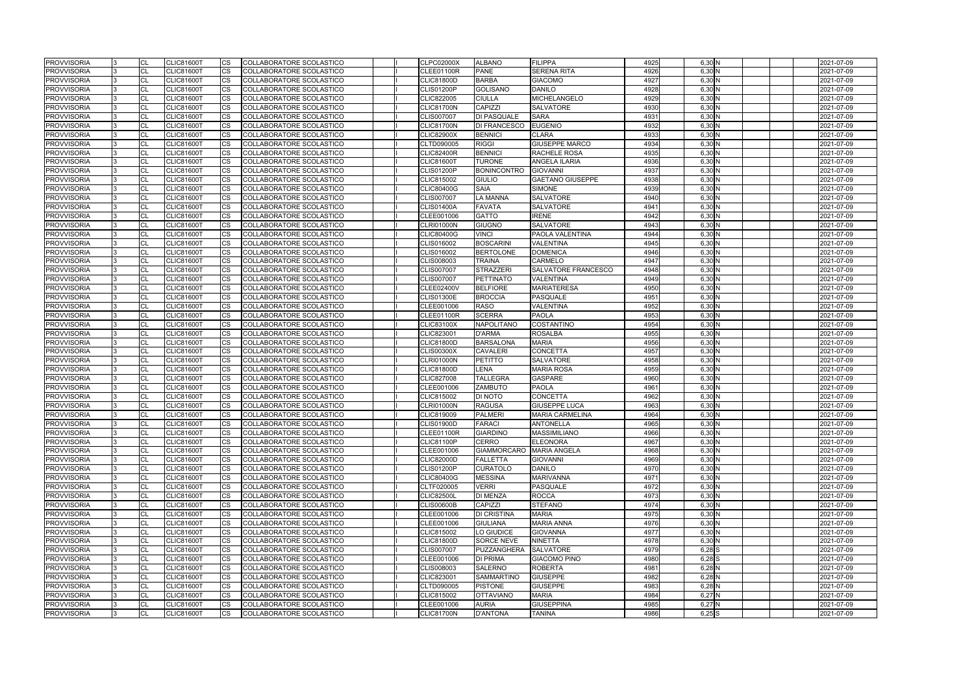| <b>PROVVISORIA</b>                       | <b>CL</b>       | <b>CLIC81600T</b>                      | <b>CS</b> | COLLABORATORE SCOLASTICO                             |  | <b>CLPC02000X</b>               | <b>ALBANO</b>                    | <b>FILIPPA</b>                      | 4925         | 6,30 N           | 2021-07-09               |
|------------------------------------------|-----------------|----------------------------------------|-----------|------------------------------------------------------|--|---------------------------------|----------------------------------|-------------------------------------|--------------|------------------|--------------------------|
| <b>PROVVISORIA</b>                       | <b>CL</b>       | <b>CLIC81600T</b>                      | <b>CS</b> | COLLABORATORE SCOLASTICO                             |  | <b>CLEE01100R</b>               | <b>PANE</b>                      | <b>SERENA RITA</b>                  | 4926         | 6,30 N           | 2021-07-09               |
| <b>PROVVISORIA</b>                       | CL              | <b>CLIC81600T</b>                      | CS.       | COLLABORATORE SCOLASTICO                             |  | <b>CLIC81800D</b>               | <b>BARBA</b>                     | <b>GIACOMO</b>                      | 4927         | 6,30 N           | 2021-07-09               |
| <b>PROVVISORIA</b>                       | <b>CL</b>       | <b>CLIC81600T</b>                      | CS        | COLLABORATORE SCOLASTICO                             |  | <b>CLIS01200P</b>               | <b>GOLISANO</b>                  | <b>DANILO</b>                       | 4928         | $6,30$ N         | 2021-07-09               |
| <b>PROVVISORIA</b>                       | <b>CL</b>       | <b>CLIC81600T</b>                      | CS        | COLLABORATORE SCOLASTICO                             |  | CLIC822005                      | <b>CIULLA</b>                    | MICHELANGELO                        | 4929         | 6,30 N           | 2021-07-09               |
| <b>PROVVISORIA</b>                       | CL              | <b>CLIC81600T</b>                      | CS        | COLLABORATORE SCOLASTICO                             |  | <b>CLIC81700N</b>               | <b>CAPIZZI</b>                   | <b>SALVATORE</b>                    | 4930         | 6,30 N           | 2021-07-09               |
| <b>PROVVISORIA</b>                       | <b>CL</b>       | <b>CLIC81600T</b>                      | CS        | COLLABORATORE SCOLASTICO                             |  | <b>CLIS007007</b>               | <b>DI PASQUALE</b>               | <b>SARA</b>                         | 4931         | 6,30 N           | 2021-07-09               |
| <b>PROVVISORIA</b>                       | CL              | <b>CLIC81600T</b>                      | CS        | COLLABORATORE SCOLASTICO                             |  | <b>CLIC81700N</b>               | DI FRANCESCO                     | <b>EUGENIO</b>                      | 4932         | 6,30 N           | 2021-07-09               |
| <b>PROVVISORIA</b>                       | CL              | <b>CLIC81600T</b>                      | CS.       | COLLABORATORE SCOLASTICO                             |  | <b>CLIC82900X</b>               | <b>BENNICI</b>                   | <b>CLARA</b>                        | 4933         | 6,30 N           | 2021-07-09               |
| <b>PROVVISORIA</b>                       | <b>CL</b>       | <b>CLIC81600T</b>                      | CS        | COLLABORATORE SCOLASTICO                             |  | <b>CLTD090005</b>               | <b>RIGGI</b>                     | <b>GIUSEPPE MARCO</b>               | 4934         | $6,30$ N         | 2021-07-09               |
| <b>PROVVISORIA</b>                       | CL              | <b>CLIC81600T</b>                      | CS        | COLLABORATORE SCOLASTICO                             |  | <b>CLIC82400R</b>               | <b>BENNICI</b>                   | RACHELE ROSA                        | 4935         | 6,30 N           | 2021-07-09               |
| <b>PROVVISORIA</b>                       | <b>CL</b>       | <b>CLIC81600T</b>                      | CS        | COLLABORATORE SCOLASTICO                             |  | <b>CLIC81600T</b>               | <b>TURONE</b>                    | ANGELA ILARIA                       | 4936         | 6,30 N           | 2021-07-09               |
| <b>PROVVISORIA</b>                       | <b>CL</b>       | <b>CLIC81600T</b>                      | <b>CS</b> | COLLABORATORE SCOLASTICO                             |  | <b>CLIS01200P</b>               | <b>BONINCONTRO</b>               | <b>GIOVANNI</b>                     | 4937         | 6,30 N           | 2021-07-09               |
| <b>PROVVISORIA</b>                       | <b>CL</b>       | <b>CLIC81600T</b>                      | <b>CS</b> | COLLABORATORE SCOLASTICO                             |  | CLIC815002                      | <b>GIULIO</b>                    | <b>GAETANO GIUSEPPE</b>             | 4938         | 6,30 N           | 2021-07-09               |
| <b>PROVVISORIA</b>                       | <b>CL</b>       | <b>CLIC81600T</b>                      | CS        | COLLABORATORE SCOLASTICO                             |  | <b>CLIC80400G</b>               | <b>SAIA</b>                      | <b>SIMONE</b>                       | 4939         | $6,30$ N         | 2021-07-09               |
| <b>PROVVISORIA</b>                       | <b>CL</b>       | <b>CLIC81600T</b>                      | CS        | COLLABORATORE SCOLASTICO                             |  | <b>CLIS007007</b>               | <b>LA MANNA</b>                  | <b>SALVATORE</b>                    | 4940         | 6,30 N           | 2021-07-09               |
| <b>PROVVISORIA</b>                       | CL              | <b>CLIC81600T</b>                      | CS        | COLLABORATORE SCOLASTICO                             |  | <b>CLIS01400A</b>               | <b>FAVATA</b>                    | <b>SALVATORE</b>                    | 4941         | 6,30 N           | 2021-07-09               |
| <b>PROVVISORIA</b>                       | <b>CL</b>       | <b>CLIC81600T</b>                      | CS        | COLLABORATORE SCOLASTICO                             |  | CLEE001006                      | <b>GATTO</b>                     | <b>IRENE</b>                        | 4942         | 6,30N            | 2021-07-09               |
| <b>PROVVISORIA</b>                       | <b>CL</b>       | <b>CLIC81600T</b><br><b>CLIC81600T</b> | CS        | COLLABORATORE SCOLASTICO                             |  | <b>CLRI01000N</b>               | <b>GIUGNO</b>                    | <b>SALVATORE</b>                    | 4943         | 6,30 N           | 2021-07-09               |
| <b>PROVVISORIA</b><br><b>PROVVISORIA</b> | CL<br><b>CL</b> | <b>CLIC81600T</b>                      | <b>CS</b> | COLLABORATORE SCOLASTICO                             |  | <b>CLIC80400G</b>               | <b>VINCI</b><br><b>BOSCARINI</b> | PAOLA VALENTINA<br><b>VALENTINA</b> | 4944<br>4945 | 6,30 N<br>6,30 N | 2021-07-09               |
| <b>PROVVISORIA</b>                       | <b>CL</b>       | <b>CLIC81600T</b>                      | CS<br>CS  | COLLABORATORE SCOLASTICO<br>COLLABORATORE SCOLASTICO |  | CLIS016002<br>CLIS016002        | <b>BERTOLONE</b>                 | <b>DOMENICA</b>                     | 4946         | $6,30$ N         | 2021-07-09<br>2021-07-09 |
| <b>PROVVISORIA</b>                       | <b>CL</b>       | <b>CLIC81600T</b>                      | CS        | COLLABORATORE SCOLASTICO                             |  | CLIS008003                      | <b>TRAINA</b>                    | <b>CARMELO</b>                      | 4947         | 6,30 N           | 2021-07-09               |
| <b>PROVVISORIA</b>                       | <b>CL</b>       | <b>CLIC81600T</b>                      | CS        | COLLABORATORE SCOLASTICO                             |  | <b>CLIS007007</b>               | <b>STRAZZERI</b>                 | SALVATORE FRANCESCO                 | 4948         | $6,30$ N         | 2021-07-09               |
| <b>PROVVISORIA</b>                       | CL              | <b>CLIC81600T</b>                      | СS        | COLLABORATORE SCOLASTICO                             |  | <b>CLIS007007</b>               | <b>PETTINATO</b>                 | VALENTINA                           | 4949         | 6,30 N           | 2021-07-09               |
| <b>PROVVISORIA</b>                       | <b>CL</b>       | <b>CLIC81600T</b>                      | <b>CS</b> | COLLABORATORE SCOLASTICO                             |  | CLEE02400V                      | <b>BELFIORE</b>                  | <b>MARIATERESA</b>                  | 4950         | $6,30$ N         | 2021-07-09               |
| <b>PROVVISORIA</b>                       | <b>CL</b>       | <b>CLIC81600T</b>                      | CS        | COLLABORATORE SCOLASTICO                             |  | <b>CLIS01300E</b>               | <b>BROCCIA</b>                   | PASQUALE                            | 4951         | 6,30 N           | 2021-07-09               |
| <b>PROVVISORIA</b>                       | <b>CL</b>       | <b>CLIC81600T</b>                      | CS.       | COLLABORATORE SCOLASTICO                             |  | CLEE001006                      | <b>RASO</b>                      | VALENTINA                           | 4952         | 6,30 N           | 2021-07-09               |
| <b>PROVVISORIA</b>                       | <b>CL</b>       | <b>CLIC81600T</b>                      | CS        | COLLABORATORE SCOLASTICO                             |  | <b>CLEE01100R</b>               | <b>SCERRA</b>                    | <b>PAOLA</b>                        | 4953         | 6,30N            | 2021-07-09               |
| <b>PROVVISORIA</b>                       | <b>CL</b>       | <b>CLIC81600T</b>                      | CS        | COLLABORATORE SCOLASTICO                             |  | <b>CLIC83100X</b>               | <b>NAPOLITANO</b>                | <b>COSTANTINO</b>                   | 4954         | 6,30 N           | 2021-07-09               |
| <b>PROVVISORIA</b>                       | CL              | <b>CLIC81600T</b>                      | CS        | COLLABORATORE SCOLASTICO                             |  | CLIC823001                      | <b>D'ARMA</b>                    | <b>ROSALBA</b>                      | 4955         | 6,30 N           | 2021-07-09               |
| <b>PROVVISORIA</b>                       | <b>CL</b>       | <b>CLIC81600T</b>                      | <b>CS</b> | COLLABORATORE SCOLASTICO                             |  | <b>CLIC81800D</b>               | <b>BARSALONA</b>                 | <b>MARIA</b>                        | 4956         | 6,30 N           | 2021-07-09               |
| <b>PROVVISORIA</b>                       | CL              | <b>CLIC81600T</b>                      | <b>CS</b> | COLLABORATORE SCOLASTICO                             |  | <b>CLIS00300X</b>               | <b>CAVALERI</b>                  | <b>CONCETTA</b>                     | 4957         | $6,30$ N         | 2021-07-09               |
| <b>PROVVISORIA</b>                       | CL              | <b>CLIC81600T</b>                      | CS        | COLLABORATORE SCOLASTICO                             |  | <b>CLRI01000N</b>               | PETITTO                          | <b>SALVATORE</b>                    | 4958         | 6,30 N           | 2021-07-09               |
| <b>PROVVISORIA</b>                       | <b>CL</b>       | <b>CLIC81600T</b>                      | CS        | COLLABORATORE SCOLASTICO                             |  | <b>CLIC81800D</b>               | <b>LENA</b>                      | <b>MARIA ROSA</b>                   | 4959         | 6,30 N           | 2021-07-09               |
| <b>PROVVISORIA</b>                       | <b>CL</b>       | <b>CLIC81600T</b>                      | CS        | COLLABORATORE SCOLASTICO                             |  | CLIC827008                      | <b>TALLEGRA</b>                  | <b>GASPARE</b>                      | 4960         | 6,30 N           | 2021-07-09               |
| <b>PROVVISORIA</b>                       | <b>CL</b>       | <b>CLIC81600T</b>                      | CS        | COLLABORATORE SCOLASTICO                             |  | CLEE001006                      | <b>ZAMBUTO</b>                   | PAOLA                               | 4961         | $6,30$ N         | 2021-07-09               |
| <b>PROVVISORIA</b>                       | <b>CL</b>       | <b>CLIC81600T</b>                      | CS        | COLLABORATORE SCOLASTICO                             |  | CLIC815002                      | <b>DI NOTO</b>                   | <b>CONCETTA</b>                     | 4962         | 6,30 N           | 2021-07-09               |
| <b>PROVVISORIA</b>                       | CL              | <b>CLIC81600T</b>                      | <b>CS</b> | COLLABORATORE SCOLASTICO                             |  | <b>CLRI01000N</b>               | <b>RAGUSA</b>                    | <b>GIUSEPPE LUCA</b>                | 4963         | 6,30 N           | 2021-07-09               |
| <b>PROVVISORIA</b>                       | <b>CL</b>       | CLIC81600T                             | CS        | COLLABORATORE SCOLASTICO                             |  | CLIC819009                      | <b>PALMERI</b>                   | <b>MARIA CARMELINA</b>              | 4964         | 6,30 N           | 2021-07-09               |
| <b>PROVVISORIA</b>                       | $\overline{C}$  | <b>CLIC81600T</b>                      | <b>CS</b> | COLLABORATORE SCOLASTICO                             |  | <b>CLIS01900D</b>               | <b>FARACI</b>                    | <b>ANTONELLA</b>                    | 4965         | 6.30 N           | 2021-07-09               |
| <b>PROVVISORIA</b>                       | <b>CL</b>       | <b>CLIC81600T</b>                      | CS        | <b>COLLABORATORE SCOLASTICO</b>                      |  | CLEE01100R                      | <b>GIARDINO</b>                  | <b>MASSIMILIANO</b>                 | 4966         | 6,30 N           | 2021-07-09               |
| <b>PROVVISORIA</b>                       | CL              | <b>CLIC81600T</b>                      | <b>CS</b> | COLLABORATORE SCOLASTICO                             |  | <b>CLIC81100P</b>               | <b>CERRO</b>                     | <b>ELEONORA</b>                     | 4967         | $6,30$ N         | 2021-07-09               |
| <b>PROVVISORIA</b>                       | <b>CL</b>       | <b>CLIC81600T</b>                      | <b>CS</b> | <b>COLLABORATORE SCOLASTICO</b>                      |  | CLEE001006                      | GIAMMORCARO MARIA ANGELA         |                                     | 4968         | $6,30$ N         | 2021-07-09               |
| <b>PROVVISORIA</b>                       | <b>CL</b>       | <b>CLIC81600T</b>                      | <b>CS</b> | COLLABORATORE SCOLASTICO                             |  | <b>CLIC82000D</b>               | <b>FALLETTA</b>                  | <b>GIOVANNI</b>                     | 4969         | 6,30 N           | 2021-07-09               |
| <b>PROVVISORIA</b>                       | <b>CL</b>       | <b>CLIC81600T</b>                      | CS.       | COLLABORATORE SCOLASTICO                             |  | <b>CLIS01200P</b>               | <b>CURATOLO</b>                  | <b>DANILO</b>                       | 4970         | $6,30$ N         | 2021-07-09               |
| <b>PROVVISORIA</b>                       | <b>CL</b>       | <b>CLIC81600T</b>                      | CS        | COLLABORATORE SCOLASTICO                             |  | <b>CLIC80400G</b>               | <b>MESSINA</b>                   | <b>MARIVANNA</b>                    | 4971         | 6,30 N           | 2021-07-09               |
| <b>PROVVISORIA</b>                       | CL              | <b>CLIC81600T</b>                      | CS        | COLLABORATORE SCOLASTICO                             |  | CLTF020005                      | <b>VERRI</b>                     | <b>PASQUALE</b>                     | 4972         | 6,30 N           | 2021-07-09               |
| <b>PROVVISORIA</b>                       | <b>CL</b>       | <b>CLIC81600T</b>                      | CS        | COLLABORATORE SCOLASTICO                             |  | <b>CLIC82500L</b>               | <b>DI MENZA</b>                  | <b>ROCCA</b>                        | 4973         | 6,30 N           | 2021-07-09               |
| <b>PROVVISORIA</b>                       | CL              | <b>CLIC81600T</b>                      | CS        | COLLABORATORE SCOLASTICO                             |  | <b>CLIS00600B</b>               | <b>CAPIZZI</b>                   | <b>STEFANO</b>                      | 4974         | 6,30 N           | 2021-07-09               |
| <b>PROVVISORIA</b>                       | CL              | <b>CLIC81600T</b>                      | <b>CS</b> | COLLABORATORE SCOLASTICO                             |  | CLEE001006                      | <b>DI CRISTINA</b>               | <b>MARIA</b>                        | 4975         | 6,30 N           | 2021-07-09               |
| <b>PROVVISORIA</b>                       | <b>CL</b>       | <b>CLIC81600T</b>                      | CS.       | COLLABORATORE SCOLASTICO                             |  | CLEE001006                      | <b>GIULIANA</b>                  | <b>MARIA ANNA</b>                   | 4976         | 6,30 N           | 2021-07-09               |
| <b>PROVVISORIA</b><br><b>PROVVISORIA</b> | CL<br><b>CL</b> | <b>CLIC81600T</b><br><b>CLIC81600T</b> | CS<br>CS  | COLLABORATORE SCOLASTICO<br>COLLABORATORE SCOLASTICO |  | CLIC815002<br><b>CLIC81800D</b> | LO GIUDICE<br><b>SORCE NEVE</b>  | <b>GIOVANNA</b><br><b>NINETTA</b>   | 4977<br>4978 | 6,30 N<br>6,30 N | 2021-07-09<br>2021-07-09 |
| <b>PROVVISORIA</b>                       | CL              | <b>CLIC81600T</b>                      | CS        | COLLABORATORE SCOLASTICO                             |  | <b>CLIS007007</b>               | PUZZANGHERA                      | <b>SALVATORE</b>                    | 4979         | $6,28$ $S$       | 2021-07-09               |
| <b>PROVVISORIA</b>                       | CL              | <b>CLIC81600T</b>                      | CS        | COLLABORATORE SCOLASTICO                             |  | CLEE001006                      | <b>DI PRIMA</b>                  | <b>GIACOMO PINO</b>                 | 4980         | $6,28$ S         | 2021-07-09               |
| <b>PROVVISORIA</b>                       | CL              | CLIC81600T                             | <b>CS</b> | COLLABORATORE SCOLASTICO                             |  | CLIS008003                      | <b>SALERNO</b>                   | <b>ROBERTA</b>                      | 4981         | $6,28$ N         | 2021-07-09               |
| <b>PROVVISORIA</b>                       | CL              | <b>CLIC81600T</b>                      | CS.       | COLLABORATORE SCOLASTICO                             |  | CLIC823001                      | <b>SAMMARTINO</b>                | <b>GIUSEPPE</b>                     | 4982         | 6,28 N           | 2021-07-09               |
| <b>PROVVISORIA</b>                       | <b>CL</b>       | <b>CLIC81600T</b>                      | <b>CS</b> | COLLABORATORE SCOLASTICO                             |  | CLTD090005                      | <b>PISTONE</b>                   | <b>GIUSEPPE</b>                     | 4983         | $6,28$ N         | 2021-07-09               |
| <b>PROVVISORIA</b>                       | <b>CL</b>       | <b>CLIC81600T</b>                      | CS        | COLLABORATORE SCOLASTICO                             |  | CLIC815002                      | <b>OTTAVIANO</b>                 | <b>MARIA</b>                        | 4984         | $6,27$ N         | 2021-07-09               |
| <b>PROVVISORIA</b>                       | <b>CL</b>       | <b>CLIC81600T</b>                      | CS        | COLLABORATORE SCOLASTICO                             |  | CLEE001006                      | <b>AURIA</b>                     | <b>GIUSEPPINA</b>                   | 4985         | 6,27 N           | 2021-07-09               |
| <b>PROVVISORIA</b>                       | <b>CL</b>       | CLIC81600T                             | CS.       | COLLABORATORE SCOLASTICO                             |  | <b>CLIC81700N</b>               | <b>D'ANTONA</b>                  | TANINA                              | 4986         | 6,25S            | 2021-07-09               |
|                                          |                 |                                        |           |                                                      |  |                                 |                                  |                                     |              |                  |                          |

|  |  | 2021-07-09               |
|--|--|--------------------------|
|  |  | 2021-07-09               |
|  |  | 2021-07-09               |
|  |  | 2021-07-09               |
|  |  | 2021-07-09               |
|  |  | 2021-07-09               |
|  |  | 2021-07-09               |
|  |  | 2021-07-09               |
|  |  | 2021-07-09               |
|  |  | 2021-07-09               |
|  |  | 2021-07-09               |
|  |  | 2021-07-09               |
|  |  | 2021-07-09               |
|  |  |                          |
|  |  | 2021-07-09<br>2021-07-09 |
|  |  |                          |
|  |  | 2021-07-09               |
|  |  | 2021-07-09               |
|  |  | 2021-07-09               |
|  |  | 2021-07-09               |
|  |  | 2021-07-09               |
|  |  | 2021-07-09               |
|  |  | 2021-07-09               |
|  |  | 2021-07-09               |
|  |  | 2021-07-09               |
|  |  | 2021-07-09               |
|  |  | 2021-07-09               |
|  |  | 2021-07-09               |
|  |  | 2021-07-09               |
|  |  | 2021-07-09               |
|  |  | 2021-07-09               |
|  |  | 2021-07-09               |
|  |  | 2021-07-09               |
|  |  | 2021-07-09               |
|  |  | 2021-07-09               |
|  |  | 2021-07-09               |
|  |  | 2021-07-09               |
|  |  | 2021-07-09               |
|  |  | 2021-07-09               |
|  |  | 2021-07-09               |
|  |  | 2021-07-09               |
|  |  | 2021-07-09               |
|  |  | 2021-07-09               |
|  |  | 2021-07-09               |
|  |  | 2021-07-09               |
|  |  | 2021-07-09               |
|  |  | 2021-07-09               |
|  |  | 2021-07-09               |
|  |  | 2021-07-09               |
|  |  | 2021-07-09               |
|  |  | 2021-07-09               |
|  |  | 2021-07-09               |
|  |  | 2021-07-09               |
|  |  | 2021-07-09               |
|  |  | 2021-07-09               |
|  |  | 2021-07-09               |
|  |  | 2021-07-09               |
|  |  | 2021-07-09               |
|  |  | 2021-07-09               |
|  |  | 2021-07-09               |
|  |  |                          |
|  |  | 2021-07-09               |
|  |  | 2021-07-09               |
|  |  | 2021-07-09               |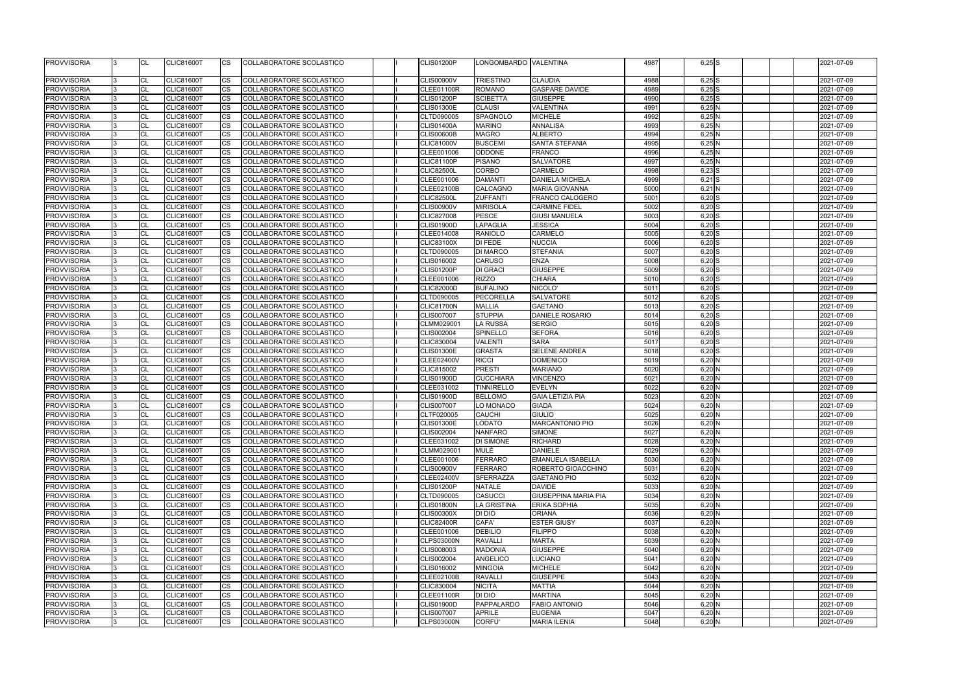| <b>PROVVISORIA</b>                       |     | ICL                     | <b>CLIC81600T</b>                      | ICS.                   | <b>ICOLLABORATORE SCOLASTICO</b>                     |  | <b>CLIS01200P</b>               | LONGOMBARDO VALENTINA                 |                                   | 4987         | $6,25$ S           |  | 2021-07-09               |
|------------------------------------------|-----|-------------------------|----------------------------------------|------------------------|------------------------------------------------------|--|---------------------------------|---------------------------------------|-----------------------------------|--------------|--------------------|--|--------------------------|
| <b>PROVVISORIA</b>                       |     | <b>ICL</b>              | <b>CLIC81600T</b>                      | ICS.                   | COLLABORATORE SCOLASTICO                             |  | <b>CLIS00900V</b>               | <b>TRIESTINO</b>                      | <b>CLAUDIA</b>                    | 4988         | $6,25$ S           |  | 2021-07-09               |
| <b>PROVVISORIA</b>                       |     | <b>CL</b>               | <b>CLIC81600T</b>                      | <b>ICS</b>             | COLLABORATORE SCOLASTICO                             |  | <b>CLEE01100R</b>               | ROMANO                                | <b>GASPARE DAVIDE</b>             | 4989         | $6,25$ S           |  | 2021-07-09               |
| <b>PROVVISORIA</b>                       |     | CL                      | <b>CLIC81600T</b>                      | <b>CS</b>              | COLLABORATORE SCOLASTICO                             |  | <b>CLIS01200P</b>               | <b>SCIBETTA</b>                       | <b>GIUSEPPE</b>                   | 4990         | $6,25$ S           |  | 2021-07-09               |
| <b>PROVVISORIA</b>                       |     | <b>CL</b>               | <b>CLIC81600T</b>                      | <b>CS</b>              | <b>COLLABORATORE SCOLASTICO</b>                      |  | <b>CLIS01300E</b>               | <b>CLAUSI</b>                         | <b>VALENTINA</b>                  | 4991         | 6,25N              |  | 2021-07-09               |
| <b>PROVVISORIA</b>                       |     | <b>CL</b>               | <b>CLIC81600T</b>                      | <b>CS</b>              | COLLABORATORE SCOLASTICO                             |  | CLTD090005                      | <b>SPAGNOLO</b>                       | <b>MICHELE</b>                    | 4992         | 6,25N              |  | 2021-07-09               |
| <b>PROVVISORIA</b>                       |     | CL                      | <b>CLIC81600T</b>                      | <b>CS</b>              | COLLABORATORE SCOLASTICO                             |  | <b>CLIS01400A</b>               | <b>MARINO</b>                         | <b>ANNALISA</b>                   | 4993         | 6,25N              |  | 2021-07-09               |
| <b>PROVVISORIA</b>                       |     | CL                      | <b>CLIC81600T</b>                      | <b>ICS</b>             | COLLABORATORE SCOLASTICO                             |  | <b>CLIS00600B</b>               | <b>MAGRO</b>                          | <b>ALBERTO</b>                    | 4994         | 6,25N              |  | 2021-07-09               |
| <b>PROVVISORIA</b>                       |     | <b>CL</b>               | <b>CLIC81600T</b>                      | <b>ICS</b>             | COLLABORATORE SCOLASTICO                             |  | <b>CLIC81000V</b>               | <b>BUSCEMI</b>                        | SANTA STEFANIA                    | 4995         | 6,25N              |  | 2021-07-09               |
| <b>PROVVISORIA</b>                       |     | <b>CL</b>               | <b>CLIC81600T</b>                      | <b>CS</b>              | COLLABORATORE SCOLASTICO                             |  | CLEE001006                      | ODDONE                                | <b>FRANCO</b>                     | 4996         | $6,25$ N           |  | 2021-07-09               |
| <b>PROVVISORIA</b>                       |     | CL                      | <b>CLIC81600T</b>                      | <b>CS</b>              | COLLABORATORE SCOLASTICO                             |  | <b>CLIC81100P</b>               | <b>PISANO</b>                         | <b>SALVATORE</b>                  | 4997         | 6,25N              |  | 2021-07-09               |
| <b>PROVVISORIA</b>                       |     | <b>CL</b>               | <b>CLIC81600T</b>                      | <b>CS</b>              | COLLABORATORE SCOLASTICO                             |  | <b>CLIC82500L</b>               | <b>CORBO</b>                          | <b>CARMELO</b>                    | 4998         | $6,23$ S           |  | 2021-07-09               |
| <b>PROVVISORIA</b>                       |     | <b>CL</b>               | <b>CLIC81600T</b>                      | <b>CS</b>              | COLLABORATORE SCOLASTICO                             |  | CLEE001006                      | <b>DAMANTI</b>                        | <b>DANIELA MICHELA</b>            | 4999         | 6,21S              |  | 2021-07-09               |
| <b>PROVVISORIA</b>                       |     | <b>CL</b>               | <b>CLIC81600T</b>                      | <b>CS</b>              | COLLABORATORE SCOLASTICO                             |  | <b>CLEE02100B</b>               | <b>CALCAGNO</b>                       | <b>MARIA GIOVANNA</b>             | 5000         | 6,21 N             |  | 2021-07-09               |
| <b>PROVVISORIA</b>                       |     | <b>CL</b>               | <b>CLIC81600T</b>                      | <b>CS</b>              | COLLABORATORE SCOLASTICO                             |  | <b>CLIC82500L</b>               | <b>ZUFFANTI</b>                       | <b>FRANCO CALOGERO</b>            | 5001         | $6,20$ S           |  | 2021-07-09               |
| <b>PROVVISORIA</b>                       |     | CL                      | <b>CLIC81600T</b>                      | <b>CS</b>              | COLLABORATORE SCOLASTICO                             |  | <b>CLIS00900V</b>               | <b>MIRISOLA</b>                       | <b>CARMINE FIDEL</b>              | 5002         | 6,20S              |  | 2021-07-09               |
| <b>PROVVISORIA</b>                       |     | <b>CL</b>               | <b>CLIC81600T</b>                      | <b>CS</b>              | COLLABORATORE SCOLASTICO                             |  | <b>CLIC827008</b>               | <b>PESCE</b>                          | <b>GIUSI MANUELA</b>              | 5003         | $6,20$ S           |  | 2021-07-09               |
| <b>PROVVISORIA</b>                       |     | <b>ICL</b>              | <b>CLIC81600T</b>                      | <b>CS</b>              | COLLABORATORE SCOLASTICO                             |  | <b>CLIS01900D</b>               | <b>LAPAGLIA</b>                       | <b>JESSICA</b>                    | 5004         | $6,20$ S           |  | 2021-07-09               |
| <b>PROVVISORIA</b>                       |     | <b>CL</b>               | <b>CLIC81600T</b>                      | <b>CS</b>              | COLLABORATORE SCOLASTICO                             |  | CLEE014008                      | <b>RANIOLO</b>                        | <b>CARMELO</b>                    | 5005         | $6,20$ S           |  | 2021-07-09               |
| <b>PROVVISORIA</b>                       |     | <b>CL</b>               | <b>CLIC81600T</b>                      | <b>CS</b>              | COLLABORATORE SCOLASTICO                             |  | <b>CLIC83100X</b>               | <b>DI FEDE</b>                        | <b>NUCCIA</b>                     | 5006         | $6,20$ S           |  | 2021-07-09               |
| <b>PROVVISORIA</b>                       |     | <b>CL</b>               | <b>CLIC81600T</b>                      | <b>CS</b>              | COLLABORATORE SCOLASTICO                             |  | CLTD090005                      | <b>DI MARCO</b>                       | <b>STEFANIA</b>                   | 5007         | $6,20$ S           |  | 2021-07-09               |
| <b>PROVVISORIA</b>                       |     | <b>CL</b>               | <b>CLIC81600T</b>                      | <b>ICS</b>             | COLLABORATORE SCOLASTICO                             |  | CLIS016002                      | <b>CARUSO</b>                         | <b>ENZA</b>                       | 5008         | $6,20$ S           |  | 2021-07-09               |
| <b>PROVVISORIA</b>                       |     | <b>CL</b>               | <b>CLIC81600T</b>                      | <b>CS</b>              | COLLABORATORE SCOLASTICO                             |  | <b>CLIS01200P</b>               | <b>DI GRACI</b>                       | <b>GIUSEPPE</b>                   | 5009         | $6,20$ S           |  | 2021-07-09               |
| <b>PROVVISORIA</b>                       |     | <b>CL</b>               | <b>CLIC81600T</b>                      | <b>CS</b>              | COLLABORATORE SCOLASTICO                             |  | CLEE001006                      | <b>RIZZO</b>                          | <b>CHIARA</b>                     | 5010         | $6,20$ S           |  | 2021-07-09               |
| <b>PROVVISORIA</b>                       |     | <b>CL</b>               | <b>CLIC81600T</b>                      | <b>CS</b>              | <b>COLLABORATORE SCOLASTICO</b>                      |  | <b>CLIC82000D</b>               | <b>BUFALINO</b>                       | NICOLO'                           | 5011         | $6,20$ S           |  | 2021-07-09               |
| <b>PROVVISORIA</b>                       |     | <b>CL</b>               | <b>CLIC81600T</b>                      | <b>CS</b>              | COLLABORATORE SCOLASTICO                             |  | CLTD090005                      | PECORELLA                             | <b>SALVATORE</b>                  | 5012         | $6,20$ S           |  | 2021-07-09               |
| <b>PROVVISORIA</b>                       |     | <b>CL</b>               | <b>CLIC81600T</b>                      | <b>ICS</b>             | COLLABORATORE SCOLASTICO                             |  | <b>CLIC81700N</b>               | <b>MALLIA</b>                         | <b>GAETANO</b>                    | 5013         | $6,20$ S           |  | 2021-07-09               |
| <b>PROVVISORIA</b>                       |     | <b>CL</b>               | <b>CLIC81600T</b>                      | <b>ICS</b>             | COLLABORATORE SCOLASTICO                             |  | CLIS007007                      | <b>STUPPIA</b>                        | <b>DANIELE ROSARIO</b>            | 5014         | $6,20$ S           |  | 2021-07-09               |
| <b>PROVVISORIA</b>                       |     | CL                      | <b>CLIC81600T</b>                      | <b>CS</b>              | COLLABORATORE SCOLASTICO                             |  | CLMM029001                      | <b>LA RUSSA</b>                       | <b>SERGIO</b>                     | 5015         | $6,20$ S           |  | 2021-07-09               |
| <b>PROVVISORIA</b>                       |     | <b>CL</b>               | <b>CLIC81600T</b>                      | <b>CS</b>              | COLLABORATORE SCOLASTICO                             |  | CLIS002004                      | SPINELLO                              | <b>SEFORA</b>                     | 5016         | 6,20 S             |  | 2021-07-09               |
| <b>PROVVISORIA</b>                       |     | <b>CL</b>               | <b>CLIC81600T</b>                      | <b>CS</b>              | COLLABORATORE SCOLASTICO                             |  | CLIC830004                      | <b>VALENTI</b>                        | <b>SARA</b>                       | 5017         | $6,20$ S           |  | 2021-07-09               |
| <b>PROVVISORIA</b>                       |     | CL                      | <b>CLIC81600T</b>                      | <b>CS</b>              | COLLABORATORE SCOLASTICO                             |  | <b>CLIS01300E</b>               | <b>GRASTA</b>                         | <b>SELENE ANDREA</b>              | 5018         | $6,20$ S           |  | 2021-07-09               |
| <b>PROVVISORIA</b>                       |     | CL                      | <b>CLIC81600T</b>                      | <b>ICS</b>             | COLLABORATORE SCOLASTICO                             |  | <b>CLEE02400V</b>               | <b>RICCI</b>                          | <b>DOMENICO</b>                   | 5019         | 6,20 N             |  | 2021-07-09               |
| <b>PROVVISORIA</b>                       |     | <b>CL</b>               | <b>CLIC81600T</b>                      | <b>CS</b>              | COLLABORATORE SCOLASTICO                             |  | CLIC815002<br><b>CLIS01900D</b> | <b>PRESTI</b>                         | <b>MARIANO</b><br><b>VINCENZO</b> | 5020<br>5021 | 6,20 N<br>$6,20$ N |  | 2021-07-09               |
| <b>PROVVISORIA</b><br><b>PROVVISORIA</b> |     | <b>CL</b><br><b>ICL</b> | <b>CLIC81600T</b><br><b>CLIC81600T</b> | <b>CS</b><br><b>CS</b> | COLLABORATORE SCOLASTICO<br>COLLABORATORE SCOLASTICO |  | CLEE031002                      | <b>CUCCHIARA</b><br><b>TINNIRELLO</b> | <b>EVELYN</b>                     | 5022         | $6,20$ N           |  | 2021-07-09<br>2021-07-09 |
| <b>PROVVISORIA</b>                       |     | <b>ICL</b>              | <b>CLIC81600T</b>                      | <b>CS</b>              | COLLABORATORE SCOLASTICO                             |  | <b>CLIS01900D</b>               | <b>BELLOMO</b>                        | <b>GAIA LETIZIA PIA</b>           | 5023         | 6,20 N             |  | 2021-07-09               |
| <b>PROVVISORIA</b>                       |     | <b>CL</b>               | <b>CLIC81600T</b>                      | <b>CS</b>              | COLLABORATORE SCOLASTICO                             |  | <b>CLIS007007</b>               | LO MONACO                             | <b>GIADA</b>                      | 5024         | $6,20$ N           |  | 2021-07-09               |
| <b>PROVVISORIA</b>                       |     | <b>CL</b>               | <b>CLIC81600T</b>                      | <b>CS</b>              | COLLABORATORE SCOLASTICO                             |  | CLTF020005                      | <b>CAUCHI</b>                         | <b>GIULIO</b>                     | 5025         | 6,20 N             |  | 2021-07-09               |
| <b>PROVVISORIA</b>                       | 13. | <b>ICL</b>              | <b>CLIC81600T</b>                      | <b>CS</b>              | COLLABORATORE SCOLASTICO                             |  | <b>CLIS01300E</b>               | <b>LODATO</b>                         | <b>MARCANTONIO PIO</b>            | 5026         | 6.20N              |  | 2021-07-09               |
| <b>PROVVISORIA</b>                       |     | <b>CL</b>               | <b>CLIC81600T</b>                      | <b>CS</b>              | COLLABORATORE SCOLASTICO                             |  | <b>CLIS002004</b>               | <b>NANFARO</b>                        | <b>SIMONE</b>                     | 5027         | 6,20 N             |  | 2021-07-09               |
| <b>PROVVISORIA</b>                       |     | <b>ICL</b>              | <b>CLIC81600T</b>                      | <b>CS</b>              | COLLABORATORE SCOLASTICO                             |  | CLEE031002                      | DI SIMONE                             | <b>RICHARD</b>                    | 5028         | $6,20$ N           |  | 2021-07-09               |
| <b>PROVVISORIA</b>                       |     | <b>CL</b>               | <b>CLIC81600T</b>                      | <b>CS</b>              | COLLABORATORE SCOLASTICO                             |  | CLMM029001                      | MULÈ                                  | <b>DANIELE</b>                    | 5029         | $6,20$ N           |  | 2021-07-09               |
| <b>PROVVISORIA</b>                       |     | <b>CL</b>               | <b>CLIC81600T</b>                      | <b>CS</b>              | COLLABORATORE SCOLASTICO                             |  | CLEE001006                      | <b>FERRARO</b>                        | <b>EMANUELA ISABELLA</b>          | 5030         | $6,20$ N           |  | 2021-07-09               |
| <b>PROVVISORIA</b>                       |     | CL                      | <b>CLIC81600T</b>                      | <b>CS</b>              | COLLABORATORE SCOLASTICO                             |  | <b>CLIS00900V</b>               | <b>FERRARO</b>                        | ROBERTO GIOACCHINO                | 5031         | 6,20 N             |  | 2021-07-09               |
| <b>PROVVISORIA</b>                       |     | <b>CL</b>               | <b>CLIC81600T</b>                      | <b>CS</b>              | COLLABORATORE SCOLASTICO                             |  | <b>CLEE02400V</b>               | <b>SFERRAZZA</b>                      | <b>GAETANO PIO</b>                | 5032         | $6,20$ N           |  | 2021-07-09               |
| <b>PROVVISORIA</b>                       |     | <b>CL</b>               | <b>CLIC81600T</b>                      | <b>CS</b>              | COLLABORATORE SCOLASTICO                             |  | <b>CLIS01200P</b>               | <b>NATALE</b>                         | <b>DAVIDE</b>                     | 5033         | $6,20$ N           |  | 2021-07-09               |
| <b>PROVVISORIA</b>                       |     | <b>ICL</b>              | <b>CLIC81600T</b>                      | <b>CS</b>              | COLLABORATORE SCOLASTICO                             |  | CLTD090005                      | <b>CASUCCI</b>                        | <b>GIUSEPPINA MARIA PIA</b>       | 5034         | $6,20$ N           |  | 2021-07-09               |
| <b>PROVVISORIA</b>                       |     | <b>ICL</b>              | <b>CLIC81600T</b>                      | <b>CS</b>              | COLLABORATORE SCOLASTICO                             |  | <b>CLIS01800N</b>               | <b>LA GRISTINA</b>                    | <b>ERIKA SOPHIA</b>               | 5035         | $6,20$ N           |  | 2021-07-09               |
| <b>PROVVISORIA</b>                       |     | <b>CL</b>               | <b>CLIC81600T</b>                      | <b>CS</b>              | COLLABORATORE SCOLASTICO                             |  | <b>CLIS00300X</b>               | DI DIO                                | <b>ORIANA</b>                     | 5036         | 6,20 N             |  | 2021-07-09               |
| <b>PROVVISORIA</b>                       |     | <b>ICL</b>              | <b>CLIC81600T</b>                      | <b>CS</b>              | COLLABORATORE SCOLASTICO                             |  | <b>CLIC82400R</b>               | CAFA'                                 | <b>ESTER GIUSY</b>                | 5037         | 6,20 N             |  | 2021-07-09               |
| <b>PROVVISORIA</b>                       |     | <b>CL</b>               | <b>CLIC81600T</b>                      | <b>CS</b>              | COLLABORATORE SCOLASTICO                             |  | CLEE001006                      | <b>DEBILIO</b>                        | <b>FILIPPO</b>                    | 5038         | 6,20 N             |  | 2021-07-09               |
| <b>PROVVISORIA</b>                       |     | <b>CL</b>               | <b>CLIC81600T</b>                      | <b>CS</b>              | COLLABORATORE SCOLASTICO                             |  | <b>CLPS03000N</b>               | <b>RAVALLI</b>                        | <b>MARTA</b>                      | 5039         | $6,20$ N           |  | 2021-07-09               |
| <b>PROVVISORIA</b>                       |     | <b>ICL</b>              | <b>CLIC81600T</b>                      | <b>CS</b>              | COLLABORATORE SCOLASTICO                             |  | CLIS008003                      | <b>MADONIA</b>                        | <b>GIUSEPPE</b>                   | 5040         | 6,20 N             |  | 2021-07-09               |
| <b>PROVVISORIA</b>                       |     | <b>ICL</b>              | <b>CLIC81600T</b>                      | <b>CS</b>              | COLLABORATORE SCOLASTICO                             |  | <b>CLIS002004</b>               | <b>ANGELICO</b>                       | <b>LUCIANO</b>                    | 5041         | $6,20$ N           |  | 2021-07-09               |
| <b>PROVVISORIA</b>                       |     | CL                      | <b>CLIC81600T</b>                      | <b>CS</b>              | COLLABORATORE SCOLASTICO                             |  | CLIS016002                      | <b>MINGOIA</b>                        | <b>MICHELE</b>                    | 5042         | $6,20$ N           |  | 2021-07-09               |
| <b>PROVVISORIA</b>                       |     | <b>ICL</b>              | <b>CLIC81600T</b>                      | <b>CS</b>              | COLLABORATORE SCOLASTICO                             |  | <b>CLEE02100B</b>               | <b>RAVALLI</b>                        | <b>GIUSEPPE</b>                   | 5043         | $6,20$ N           |  | 2021-07-09               |
| <b>PROVVISORIA</b>                       |     | <b>CL</b>               | <b>CLIC81600T</b>                      | <b>CS</b>              | COLLABORATORE SCOLASTICO                             |  | CLIC830004                      | <b>NICITA</b>                         | <b>MATTIA</b>                     | 5044         | 6,20 N             |  | 2021-07-09               |
| <b>PROVVISORIA</b>                       |     | <b>CL</b>               | <b>CLIC81600T</b>                      | <b>CS</b>              | COLLABORATORE SCOLASTICO                             |  | CLEE01100R                      | DI DIO                                | <b>MARTINA</b>                    | 5045         | 6,20 N             |  | 2021-07-09               |
| <b>PROVVISORIA</b>                       |     | <b>ICL</b>              | <b>CLIC81600T</b>                      | <b>CS</b>              | COLLABORATORE SCOLASTICO                             |  | <b>CLIS01900D</b>               | PAPPALARDO                            | <b>FABIO ANTONIO</b>              | 5046         | $6,20$ N           |  | 2021-07-09               |
| <b>PROVVISORIA</b>                       |     | <b>ICL</b>              | <b>CLIC81600T</b>                      | <b>CS</b>              | COLLABORATORE SCOLASTICO                             |  | <b>CLIS007007</b>               | <b>APRILE</b>                         | <b>EUGENIA</b>                    | 5047         | $6,20$ N           |  | 2021-07-09               |
| <b>PROVVISORIA</b>                       |     | <b>ICL</b>              | <b>CLIC81600T</b>                      | <b>CS</b>              | COLLABORATORE SCOLASTICO                             |  | <b>CLPS03000N</b>               | <b>CORFU'</b>                         | <b>MARIA ILENIA</b>               | 5048         | 6,20 N             |  | 2021-07-09               |

|  |  | 2021-07-09 |
|--|--|------------|
|  |  |            |
|  |  | 2021-07-09 |
|  |  | 2021-07-09 |
|  |  | 2021-07-09 |
|  |  | 2021-07-09 |
|  |  | 2021-07-09 |
|  |  |            |
|  |  | 2021-07-09 |
|  |  | 2021-07-09 |
|  |  | 2021-07-09 |
|  |  | 2021-07-09 |
|  |  | 2021-07-09 |
|  |  | 2021-07-09 |
|  |  | 2021-07-09 |
|  |  | 2021-07-09 |
|  |  | 2021-07-09 |
|  |  | 2021-07-09 |
|  |  |            |
|  |  | 2021-07-09 |
|  |  | 2021-07-09 |
|  |  | 2021-07-09 |
|  |  | 2021-07-09 |
|  |  | 2021-07-09 |
|  |  | 2021-07-09 |
|  |  | 2021-07-09 |
|  |  | 2021-07-09 |
|  |  | 2021-07-09 |
|  |  | 2021-07-09 |
|  |  |            |
|  |  | 2021-07-09 |
|  |  | 2021-07-09 |
|  |  | 2021-07-09 |
|  |  | 2021-07-09 |
|  |  | 2021-07-09 |
|  |  | 2021-07-09 |
|  |  | 2021-07-09 |
|  |  | 2021-07-09 |
|  |  | 2021-07-09 |
|  |  | 2021-07-09 |
|  |  | 2021-07-09 |
|  |  | 2021-07-09 |
|  |  | 2021-07-09 |
|  |  | 2021-07-09 |
|  |  | 2021-07-09 |
|  |  |            |
|  |  | 2021-07-09 |
|  |  | 2021-07-09 |
|  |  | 2021-07-09 |
|  |  | 2021-07-09 |
|  |  | 2021-07-09 |
|  |  | 2021-07-09 |
|  |  | 2021-07-09 |
|  |  | 2021-07-09 |
|  |  | 2021-07-09 |
|  |  | 2021-07-09 |
|  |  | 2021-07-09 |
|  |  |            |
|  |  | 2021-07-09 |
|  |  | 2021-07-09 |
|  |  | 2021-07-09 |
|  |  | 2021-07-09 |
|  |  | 2021-07-09 |
|  |  | 2021-07-09 |
|  |  | 2021-07-09 |
|  |  | 2021-07-09 |
|  |  | 2021-07-09 |
|  |  | 2021-07-09 |
|  |  |            |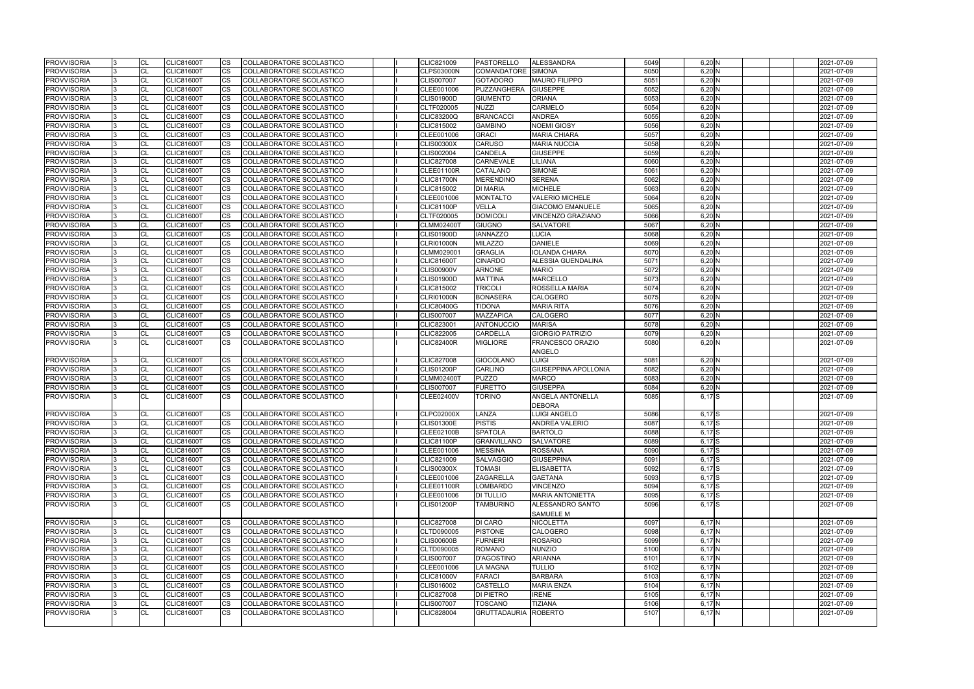| <b>PROVVISORIA</b> | <b>CL</b> | <b>CLIC81600T</b> | <b>CS</b>              | COLLABORATORE SCOLASTICO        |  | CLIC821009        | <b>PASTORELLO</b>           | <b>ALESSANDRA</b>                    | 5049 | 6,20 N     | 2021-07-09 |
|--------------------|-----------|-------------------|------------------------|---------------------------------|--|-------------------|-----------------------------|--------------------------------------|------|------------|------------|
| <b>PROVVISORIA</b> | CL        | <b>CLIC81600T</b> | <b>CS</b>              | <b>COLLABORATORE SCOLASTICO</b> |  | <b>CLPS03000N</b> | <b>COMANDATORE SIMONA</b>   |                                      | 5050 | $6,20$ N   | 2021-07-09 |
| <b>PROVVISORIA</b> | CL        | <b>CLIC81600T</b> | <b>CS</b>              | COLLABORATORE SCOLASTICO        |  | <b>CLIS007007</b> | <b>GOTADORO</b>             | <b>MAURO FILIPPO</b>                 | 5051 | $6,20$ N   | 2021-07-09 |
| <b>PROVVISORIA</b> | CL        | <b>CLIC81600T</b> | CS                     | COLLABORATORE SCOLASTICO        |  | CLEE001006        | PUZZANGHERA                 | <b>GIUSEPPE</b>                      | 5052 | $6,20$ N   | 2021-07-09 |
| <b>PROVVISORIA</b> | CL        | <b>CLIC81600T</b> | CS                     | COLLABORATORE SCOLASTICO        |  | <b>CLIS01900D</b> | <b>GIUMENTO</b>             | <b>ORIANA</b>                        | 5053 | 6,20 N     | 2021-07-09 |
| <b>PROVVISORIA</b> | CL        | <b>CLIC81600T</b> | <b>CS</b>              | COLLABORATORE SCOLASTICO        |  | CLTF020005        | <b>NUZZI</b>                | CARMELO                              | 5054 | $6,20$ N   | 2021-07-09 |
| <b>PROVVISORIA</b> | CL        | <b>CLIC81600T</b> | <b>CS</b>              | COLLABORATORE SCOLASTICO        |  | <b>CLIC83200Q</b> | <b>BRANCACCI</b>            | <b>ANDREA</b>                        | 5055 | $6,20$ N   | 2021-07-09 |
| <b>PROVVISORIA</b> | CL        | <b>CLIC81600T</b> | <b>CS</b>              | COLLABORATORE SCOLASTICO        |  | CLIC815002        | <b>GAMBINO</b>              | <b>NOEMI GIOSY</b>                   | 5056 | $6,20$ N   | 2021-07-09 |
| <b>PROVVISORIA</b> | CL        | <b>CLIC81600T</b> | <b>CS</b>              | <b>COLLABORATORE SCOLASTICO</b> |  | CLEE001006        | <b>GRACI</b>                | <b>MARIA CHIARA</b>                  | 5057 | $6,20$ N   | 2021-07-09 |
| <b>PROVVISORIA</b> | CL        | <b>CLIC81600T</b> | CS                     | COLLABORATORE SCOLASTICO        |  | <b>CLIS00300X</b> | <b>CARUSO</b>               | <b>MARIA NUCCIA</b>                  | 5058 | $6,20$ N   | 2021-07-09 |
| <b>PROVVISORIA</b> | CL        | <b>CLIC81600T</b> | CS                     | COLLABORATORE SCOLASTICO        |  | CLIS002004        | <b>CANDELA</b>              | <b>GIUSEPPE</b>                      | 5059 | $6,20$ N   | 2021-07-09 |
| <b>PROVVISORIA</b> | <b>CL</b> | <b>CLIC81600T</b> | <b>CS</b>              | COLLABORATORE SCOLASTICO        |  | <b>CLIC827008</b> | <b>CARNEVALE</b>            | LILIANA                              | 5060 | $6,20$ N   | 2021-07-09 |
| <b>PROVVISORIA</b> | <b>CL</b> | <b>CLIC81600T</b> | <b>CS</b>              | COLLABORATORE SCOLASTICO        |  | <b>CLEE01100R</b> | <b>CATALANO</b>             | <b>SIMONE</b>                        | 5061 | $6,20$ N   | 2021-07-09 |
| <b>PROVVISORIA</b> | CL        | <b>CLIC81600T</b> | <b>CS</b>              | COLLABORATORE SCOLASTICO        |  | <b>CLIC81700N</b> | <b>MERENDINO</b>            | <b>SERENA</b>                        | 5062 | $6,20$ N   | 2021-07-09 |
| <b>PROVVISORIA</b> | CL        | <b>CLIC81600T</b> | <b>CS</b>              | COLLABORATORE SCOLASTICO        |  | CLIC815002        | <b>DI MARIA</b>             | <b>MICHELE</b>                       | 5063 | $6,20$ N   | 2021-07-09 |
| <b>PROVVISORIA</b> | CL        | <b>CLIC81600T</b> | CS                     | COLLABORATORE SCOLASTICO        |  | CLEE001006        | <b>MONTALTO</b>             | <b>VALERIO MICHELE</b>               | 5064 | 6,20 N     | 2021-07-09 |
| <b>PROVVISORIA</b> | <b>CL</b> | <b>CLIC81600T</b> | CS                     | COLLABORATORE SCOLASTICO        |  | <b>CLIC81100P</b> | <b>VELLA</b>                | <b>GIACOMO EMANUELE</b>              | 5065 | 6,20 N     | 2021-07-09 |
| <b>PROVVISORIA</b> | CL        | <b>CLIC81600T</b> | <b>CS</b>              | COLLABORATORE SCOLASTICO        |  | CLTF020005        | <b>DOMICOLI</b>             | VINCENZO GRAZIANO                    | 5066 | 6,20N      | 2021-07-09 |
| <b>PROVVISORIA</b> | CL        | <b>CLIC81600T</b> | <b>CS</b>              | COLLABORATORE SCOLASTICO        |  | <b>CLMM02400T</b> | <b>GIUGNO</b>               | <b>SALVATORE</b>                     | 5067 | 6,20 N     | 2021-07-09 |
| <b>PROVVISORIA</b> | <b>CL</b> | <b>CLIC81600T</b> | <b>CS</b>              | COLLABORATORE SCOLASTICO        |  | <b>CLIS01900D</b> | <b>IANNAZZO</b>             | <b>LUCIA</b>                         | 5068 | $6,20$ N   | 2021-07-09 |
| <b>PROVVISORIA</b> | CL        | <b>CLIC81600T</b> | <b>CS</b>              | COLLABORATORE SCOLASTICO        |  | <b>CLRI01000N</b> | <b>MILAZZO</b>              | <b>DANIELE</b>                       | 5069 | 6,20 N     | 2021-07-09 |
| <b>PROVVISORIA</b> | CL        | <b>CLIC81600T</b> | CS                     | COLLABORATORE SCOLASTICO        |  | CLMM029001        | <b>GRAGLIA</b>              | <b>IOLANDA CHIARA</b>                | 5070 | $6,20$ N   | 2021-07-09 |
| <b>PROVVISORIA</b> | <b>CL</b> | <b>CLIC81600T</b> | CS                     | COLLABORATORE SCOLASTICO        |  | <b>CLIC81600T</b> | <b>CINARDO</b>              | ALESSIA GUENDALINA                   | 5071 | $6,20$ N   | 2021-07-09 |
| <b>PROVVISORIA</b> | CL        | <b>CLIC81600T</b> | <b>CS</b>              | COLLABORATORE SCOLASTICO        |  | <b>CLIS00900V</b> | <b>ARNONE</b>               | <b>MARIO</b>                         | 5072 | $6,20$ N   | 2021-07-09 |
| <b>PROVVISORIA</b> | CL        | <b>CLIC81600T</b> | CS                     | COLLABORATORE SCOLASTICO        |  | CLIS01900D        | <b>MATTINA</b>              | <b>MARCELLO</b>                      | 5073 | $6,20$ N   | 2021-07-09 |
| <b>PROVVISORIA</b> | <b>CL</b> | <b>CLIC81600T</b> | $\overline{\text{cs}}$ | COLLABORATORE SCOLASTICO        |  | CLIC815002        | <b>TRICOLI</b>              | ROSSELLA MARIA                       | 5074 | $6,20$ N   | 2021-07-09 |
| <b>PROVVISORIA</b> | CL        | <b>CLIC81600T</b> | <b>CS</b>              | COLLABORATORE SCOLASTICO        |  | <b>CLRI01000N</b> | <b>BONASERA</b>             | <b>CALOGERO</b>                      | 5075 | 6,20 N     | 2021-07-09 |
| <b>PROVVISORIA</b> | CL        | <b>CLIC81600T</b> | <b>CS</b>              | COLLABORATORE SCOLASTICO        |  | <b>CLIC80400G</b> | <b>TIDONA</b>               | <b>MARIA RITA</b>                    | 5076 | $6,20$ N   | 2021-07-09 |
| <b>PROVVISORIA</b> | <b>CL</b> | <b>CLIC81600T</b> | CS                     | COLLABORATORE SCOLASTICO        |  | <b>CLIS007007</b> | <b>MAZZAPICA</b>            | <b>CALOGERO</b>                      | 5077 | $6,20$ N   | 2021-07-09 |
| <b>PROVVISORIA</b> | CL        | CLIC81600T        | CS                     | COLLABORATORE SCOLASTICO        |  | CLIC823001        | <b>ANTONUCCIO</b>           | <b>MARISA</b>                        | 5078 | 6,20 N     | 2021-07-09 |
| <b>PROVVISORIA</b> | CL        | <b>CLIC81600T</b> | <b>CS</b>              | <b>COLLABORATORE SCOLASTICO</b> |  | CLIC822005        | CARDELLA                    | <b>GIORGIO PATRIZIO</b>              | 5079 | 6,20 N     | 2021-07-09 |
| <b>PROVVISORIA</b> | <b>CL</b> | <b>CLIC81600T</b> | <b>CS</b>              | COLLABORATORE SCOLASTICO        |  | <b>CLIC82400R</b> | <b>MIGLIORE</b>             | FRANCESCO ORAZIO                     | 5080 | 6,20 N     | 2021-07-09 |
|                    |           |                   |                        |                                 |  |                   |                             | ANGELO                               |      |            |            |
| <b>PROVVISORIA</b> | CL        | <b>CLIC81600T</b> | <b>CS</b>              | COLLABORATORE SCOLASTICO        |  | CLIC827008        | <b>GIOCOLANO</b>            | <b>LUIGI</b>                         | 5081 | $6,20$ N   | 2021-07-09 |
| <b>PROVVISORIA</b> | CL        | <b>CLIC81600T</b> | CS                     | COLLABORATORE SCOLASTICO        |  | <b>CLIS01200P</b> | <b>CARLINO</b>              | <b>GIUSEPPINA APOLLONIA</b>          | 5082 | $6,20$ N   | 2021-07-09 |
| <b>PROVVISORIA</b> | CL        | <b>CLIC81600T</b> | <b>CS</b>              | <b>COLLABORATORE SCOLASTICO</b> |  | <b>CLMM02400T</b> | <b>PUZZO</b>                | <b>MARCO</b>                         | 5083 | $6,20$ N   | 2021-07-09 |
| <b>PROVVISORIA</b> | CL        | <b>CLIC81600T</b> | <b>CS</b>              | COLLABORATORE SCOLASTICO        |  | <b>CLIS007007</b> | <b>FURETTO</b>              | <b>GIUSEPPA</b>                      | 5084 | $6,20$ N   | 2021-07-09 |
| <b>PROVVISORIA</b> | <b>CL</b> | <b>CLIC81600T</b> | <b>CS</b>              | COLLABORATORE SCOLASTICO        |  | <b>CLEE02400V</b> | <b>TORINO</b>               | ANGELA ANTONELLA<br><b>DEBORA</b>    | 5085 | $6,17$ $S$ | 2021-07-09 |
| <b>PROVVISORIA</b> | CL        | <b>CLIC81600T</b> | CS                     | COLLABORATORE SCOLASTICO        |  | <b>CLPC02000X</b> | LANZA                       | <b>LUIGI ANGELO</b>                  | 5086 | 6,17 S     | 2021-07-09 |
| <b>PROVVISORIA</b> | <b>CL</b> | <b>CLIC81600T</b> | <b>CS</b>              | COLLABORATORE SCOLASTICO        |  | <b>CLIS01300E</b> | <b>PISTIS</b>               | <b>ANDREA VALERIO</b>                | 5087 | $6,17$ S   | 2021-07-09 |
| <b>PROVVISORIA</b> | <b>CL</b> | <b>CLIC81600T</b> | <b>CS</b>              | COLLABORATORE SCOLASTICO        |  | <b>CLEE02100B</b> | <b>SPATOLA</b>              | <b>BARTOLO</b>                       | 5088 | 6,17S      | 2021-07-09 |
| <b>PROVVISORIA</b> | <b>CL</b> | <b>CLIC81600T</b> | <b>CS</b>              | COLLABORATORE SCOLASTICO        |  | <b>CLIC81100P</b> | <b>GRANVILLANO</b>          | <b>SALVATORE</b>                     | 5089 | 6,17S      | 2021-07-09 |
| <b>PROVVISORIA</b> | <b>CL</b> | <b>CLIC81600T</b> | <b>CS</b>              | COLLABORATORE SCOLASTICO        |  | CLEE001006        | <b>MESSINA</b>              | <b>ROSSANA</b>                       | 5090 | $6,17$ S   | 2021-07-09 |
| <b>PROVVISORIA</b> | <b>CL</b> | <b>CLIC81600T</b> | <b>CS</b>              | COLLABORATORE SCOLASTICO        |  | CLIC821009        | <b>SALVAGGIO</b>            | <b>GIUSEPPINA</b>                    | 5091 | 6,17S      | 2021-07-09 |
| <b>PROVVISORIA</b> | <b>CL</b> | <b>CLIC81600T</b> | <b>CS</b>              | COLLABORATORE SCOLASTICO        |  | <b>CLIS00300X</b> | <b>TOMASI</b>               | <b>ELISABETTA</b>                    | 5092 | 6,17S      | 2021-07-09 |
| <b>PROVVISORIA</b> | CL        | <b>CLIC81600T</b> | <b>CS</b>              | COLLABORATORE SCOLASTICO        |  | CLEE001006        | <b>ZAGARELLA</b>            | <b>GAETANA</b>                       | 5093 | 6,17S      | 2021-07-09 |
| <b>PROVVISORIA</b> | CL        | <b>CLIC81600T</b> | <b>CS</b>              | COLLABORATORE SCOLASTICO        |  | <b>CLEE01100R</b> | LOMBARDO                    | <b>VINCENZO</b>                      | 5094 | 6,17S      | 2021-07-09 |
| <b>PROVVISORIA</b> | <b>CL</b> | <b>CLIC81600T</b> | <b>CS</b>              | COLLABORATORE SCOLASTICO        |  | CLEE001006        | <b>DI TULLIO</b>            | <b>MARIA ANTONIETTA</b>              | 5095 | 6,17S      | 2021-07-09 |
| <b>PROVVISORIA</b> | CL        | <b>CLIC81600T</b> | <b>CS</b>              | COLLABORATORE SCOLASTICO        |  | <b>CLIS01200P</b> | TAMBURINO                   | ALESSANDRO SANTO<br><b>SAMUELE M</b> | 5096 | $6,17$ S   | 2021-07-09 |
| <b>PROVVISORIA</b> | CL        | <b>CLIC81600T</b> | <b>CS</b>              | COLLABORATORE SCOLASTICO        |  | <b>CLIC827008</b> | DI CARO                     | <b>NICOLETTA</b>                     | 5097 | 6,17N      | 2021-07-09 |
| <b>PROVVISORIA</b> | CL        | <b>CLIC81600T</b> | <b>CS</b>              | COLLABORATORE SCOLASTICO        |  | CLTD090005        | <b>PISTONE</b>              | <b>CALOGERO</b>                      | 5098 | $6,17$ N   | 2021-07-09 |
| <b>PROVVISORIA</b> | <b>CL</b> | <b>CLIC81600T</b> | <b>CS</b>              | COLLABORATORE SCOLASTICO        |  | <b>CLIS00600B</b> | <b>FURNERI</b>              | <b>ROSARIO</b>                       | 5099 | $6,17$ N   | 2021-07-09 |
| <b>PROVVISORIA</b> | <b>CL</b> | <b>CLIC81600T</b> | <b>CS</b>              | COLLABORATORE SCOLASTICO        |  | CLTD090005        | <b>ROMANO</b>               | <b>NUNZIO</b>                        | 5100 | $6,17$ N   | 2021-07-09 |
| <b>PROVVISORIA</b> | CL        | <b>CLIC81600T</b> | <b>CS</b>              | COLLABORATORE SCOLASTICO        |  | <b>CLIS007007</b> | <b>D'AGOSTINO</b>           | <b>ARIANNA</b>                       | 5101 | $6,17$ N   | 2021-07-09 |
| <b>PROVVISORIA</b> | <b>CL</b> | <b>CLIC81600T</b> | CS.                    | COLLABORATORE SCOLASTICO        |  | CLEE001006        | <b>LA MAGNA</b>             | <b>TULLIO</b>                        | 5102 | 6,17N      | 2021-07-09 |
| <b>PROVVISORIA</b> | CL        | <b>CLIC81600T</b> | <b>CS</b>              | COLLABORATORE SCOLASTICO        |  | <b>CLIC81000V</b> | <b>FARACI</b>               | <b>BARBARA</b>                       | 5103 | 6,17N      | 2021-07-09 |
| <b>PROVVISORIA</b> | CL        | <b>CLIC81600T</b> | <b>CS</b>              | COLLABORATORE SCOLASTICO        |  | CLIS016002        | <b>CASTELLO</b>             | <b>MARIA ENZA</b>                    | 5104 | $6,17$ N   | 2021-07-09 |
| <b>PROVVISORIA</b> | <b>CL</b> | <b>CLIC81600T</b> | <b>CS</b>              | COLLABORATORE SCOLASTICO        |  | <b>CLIC827008</b> | <b>DI PIETRO</b>            | <b>IRENE</b>                         | 5105 | $6,17$ N   | 2021-07-09 |
| <b>PROVVISORIA</b> | <b>CL</b> | <b>CLIC81600T</b> | <b>CS</b>              | COLLABORATORE SCOLASTICO        |  | <b>CLIS007007</b> | <b>TOSCANO</b>              | <b>TIZIANA</b>                       | 5106 | $6,17$ N   | 2021-07-09 |
| <b>PROVVISORIA</b> | <b>CL</b> | <b>CLIC81600T</b> | CS.                    | COLLABORATORE SCOLASTICO        |  | <b>CLIC828004</b> | <b>GRUTTADAURIA ROBERTO</b> |                                      | 5107 | $6,17$ N   | 2021-07-09 |
|                    |           |                   |                        |                                 |  |                   |                             |                                      |      |            |            |

| 5049                                 | $6,20$ <sub>N</sub>         |     |  | 2021-07-09 |
|--------------------------------------|-----------------------------|-----|--|------------|
| 5050                                 | $6,20$ N                    |     |  | 2021-07-09 |
| 5051                                 | 6,20 N                      |     |  | 2021-07-09 |
| 5052                                 | $6,20$ N                    |     |  | 2021-07-09 |
| 5053                                 | 6,20 N                      |     |  | 2021-07-09 |
| 5054                                 | 6,20 N                      |     |  | 2021-07-09 |
| 5055                                 | 6,20 N                      |     |  | 2021-07-09 |
| 5056                                 | $6,20\overline{\mathsf{N}}$ |     |  | 2021-07-09 |
| 5057                                 | 6,20 N                      |     |  | 2021-07-09 |
| 5058                                 | $6,20$ N                    |     |  | 2021-07-09 |
| 5059                                 | $6,20$ N                    |     |  | 2021-07-09 |
| 5060                                 | 6,20 N                      |     |  | 2021-07-09 |
| 5061                                 | 6,20 N                      |     |  | 2021-07-09 |
| 5062                                 | $6,20$ N                    |     |  | 2021-07-09 |
| 5063                                 | 6,20 N                      |     |  | 2021-07-09 |
| 5064                                 | 6,20 N                      |     |  | 2021-07-09 |
| 5065                                 | $6,20$ N                    |     |  | 2021-07-09 |
| 5066                                 | $6,20$ N                    |     |  | 2021-07-09 |
| 5067                                 | 6,20 N                      |     |  | 2021-07-09 |
| 5068                                 | 6,20 N                      |     |  | 2021-07-09 |
| 5069                                 | $6,20$ N                    |     |  | 2021-07-09 |
| 5070                                 | 6,20 N                      |     |  | 2021-07-09 |
| 5071                                 | $6,20$ N                    |     |  | 2021-07-09 |
| 5072                                 | $6,20$ N                    |     |  | 2021-07-09 |
| 5073                                 | 6,20 N                      |     |  | 2021-07-09 |
| 5074                                 | 6,20 N                      |     |  | 2021-07-09 |
| 5075                                 | 6,20 N                      |     |  | 2021-07-09 |
| 5076                                 | 6,20 N                      |     |  | 2021-07-09 |
| 5077                                 | $6,20$ N                    |     |  | 2021-07-09 |
| 5078                                 | 6,20 N                      |     |  | 2021-07-09 |
| 5079                                 | 6,20 N                      |     |  | 2021-07-09 |
| 5080                                 | 6,20 N                      |     |  | 2021-07-09 |
|                                      |                             |     |  |            |
|                                      |                             |     |  |            |
|                                      |                             |     |  |            |
|                                      | 6,20 N                      |     |  | 2021-07-09 |
| 5081<br>5082                         | $6,20$ N                    |     |  | 2021-07-09 |
| 5083                                 | 6,20 N                      |     |  | 2021-07-09 |
| 5084                                 | 6,20 N                      |     |  | 2021-07-09 |
| 5085                                 | $6,17$ $S$                  |     |  | 2021-07-09 |
|                                      |                             |     |  |            |
| 5086                                 | $6,17$ $S$                  |     |  | 2021-07-09 |
| 5087                                 | $6,17$ S                    |     |  | 2021-07-09 |
| 5088                                 | $6,17$ S                    |     |  | 2021-07-09 |
| 5089                                 | $6,17$ $S$                  |     |  | 2021-07-09 |
|                                      | 6,17S                       |     |  | 2021-07-09 |
|                                      | $6,17$ S                    |     |  | 2021-07-09 |
|                                      | $6,17$ S                    |     |  | 2021-07-09 |
|                                      | $6,17$ S                    |     |  | 2021-07-09 |
| 5090<br>5091<br>5092<br>5093<br>5094 | 6,17 <sub>S</sub>           |     |  | 2021-07-09 |
|                                      | 6,17 <sup>S</sup>           |     |  | 2021-07-09 |
| 5095<br>5096                         | 6,17                        | lS. |  | 2021-07-09 |
|                                      |                             |     |  |            |
|                                      | $6,17$ N                    |     |  | 2021-07-09 |
|                                      | 6,17 <sup>N</sup>           |     |  | 2021-07-09 |
|                                      | 6,17 <sub>N</sub>           |     |  | 2021-07-09 |
| 5097<br>5098<br>5099<br>5100         | 6,17N                       |     |  | 2021-07-09 |
|                                      | 6,17N                       |     |  | 2021-07-09 |
|                                      | 6,17N                       |     |  | 2021-07-09 |
|                                      | 6,17 <sub>N</sub>           |     |  | 2021-07-09 |
|                                      | $6,17$ N                    |     |  | 2021-07-09 |
| 5101<br>5102<br>5103<br>5104<br>5105 | 6,17 <sub>N</sub>           |     |  | 2021-07-09 |
| 5106                                 | 6,17 N                      |     |  | 2021-07-09 |
| 5107                                 | 6,17 N                      |     |  | 2021-07-09 |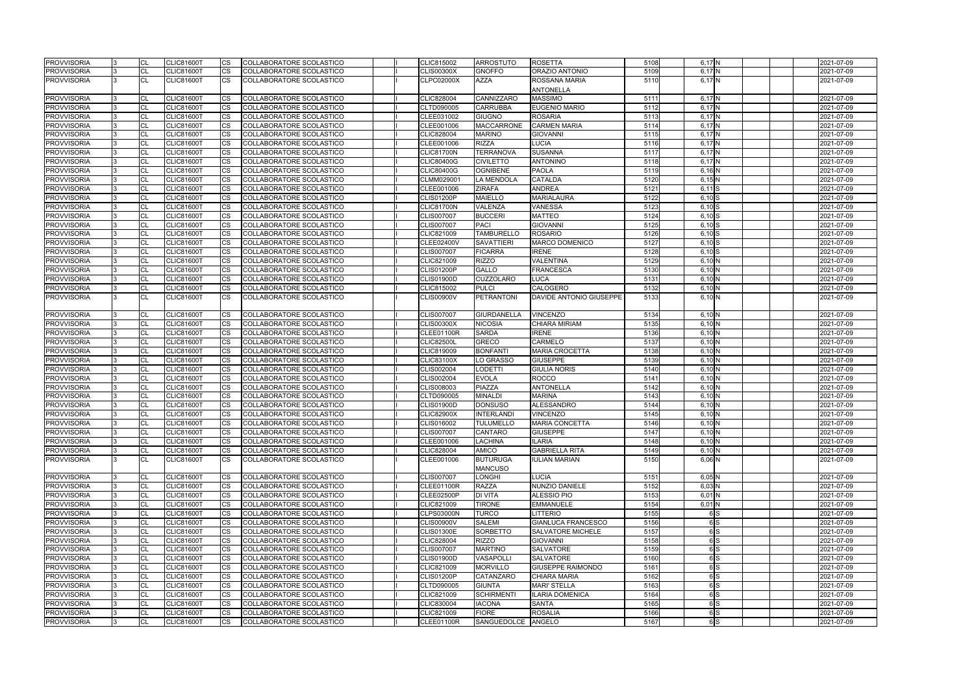| 5108 | $6,17$ <sub>N</sub> |    |  | 2021-07-09 |
|------|---------------------|----|--|------------|
| 5109 | $6,17$ <sub>N</sub> |    |  | 2021-07-09 |
| 5110 | $6,17$ N            |    |  | 2021-07-09 |
|      |                     |    |  |            |
| 5111 | 6,17N               |    |  | 2021-07-09 |
| 5112 | 6.17 N              |    |  | 2021-07-09 |
| 5113 | 6,17N               |    |  | 2021-07-09 |
| 5114 | 6,17N               |    |  | 2021-07-09 |
| 5115 | $6,17$ <sub>N</sub> |    |  | 2021-07-09 |
| 5116 | $6,17$ N            |    |  | 2021-07-09 |
| 5117 | 6,17 <sub>N</sub>   |    |  | 2021-07-09 |
| 5118 | 6,17 <sub>N</sub>   |    |  | 2021-07-09 |
| 5119 | $6,16$ N            |    |  | 2021-07-09 |
| 5120 | $6,15 \overline{N}$ |    |  | 2021-07-09 |
| 5121 | $6,11$ S            |    |  | 2021-07-09 |
| 5122 | $6,10$ $S$          |    |  | 2021-07-09 |
| 5123 | $6,10$ S            |    |  | 2021-07-09 |
| 5124 | 6,10S               |    |  | 2021-07-09 |
| 5125 | $6,10$ S            |    |  | 2021-07-09 |
| 5126 | $6,10$ S            |    |  | 2021-07-09 |
| 5127 | $6,10$ $S$          |    |  | 2021-07-09 |
| 5128 | $6,10$ S            |    |  | 2021-07-09 |
| 5129 | $6,10$ N            |    |  | 2021-07-09 |
| 5130 | 6,10 <sub>N</sub>   |    |  | 2021-07-09 |
| 5131 | 6,10 <sub>N</sub>   |    |  | 2021-07-09 |
| 5132 | $6,10$ N            |    |  | 2021-07-09 |
| 5133 | 6,10 N              |    |  | 2021-07-09 |
|      |                     |    |  |            |
| 5134 | 6,10 N              |    |  | 2021-07-09 |
| 5135 | 6,10 <sub>N</sub>   |    |  | 2021-07-09 |
| 5136 | 6,10 N              |    |  | 2021-07-09 |
| 5137 | 6,10 <sub>N</sub>   |    |  | 2021-07-09 |
| 5138 | 6,10 <sub>N</sub>   |    |  | 2021-07-09 |
| 5139 | $6,10 \overline{N}$ |    |  | 2021-07-09 |
| 5140 | $6,10$ N            |    |  | 2021-07-09 |
| 5141 | 6,10 <sub>N</sub>   |    |  | 2021-07-09 |
| 5142 | 6,10 <sub>N</sub>   |    |  | 2021-07-09 |
| 5143 | 6,10 <sub>N</sub>   |    |  | 2021-07-09 |
| 5144 | $6,10$ N            |    |  | 2021-07-09 |
| 5145 | 6,10 <sub>N</sub>   |    |  | 2021-07-09 |
| 5146 | $6,10$ <sub>N</sub> |    |  | 2021-07-09 |
| 5147 | 6,10 N              |    |  | 2021-07-09 |
| 5148 | 6,10 N              |    |  | 2021-07-09 |
| 5149 | 6,10 N              |    |  | 2021-07-09 |
| 5150 | 6,06 N              |    |  | 2021-07-09 |
|      |                     |    |  |            |
| 5151 | 6,05 N              |    |  | 2021-07-09 |
| 5152 | 6,03 N              |    |  | 2021-07-09 |
| 5153 | 6,01 N              |    |  | 2021-07-09 |
| 5154 | 6,01N               |    |  | 2021-07-09 |
| 5155 | 6                   | S  |  | 2021-07-09 |
| 5156 |                     | 6S |  | 2021-07-09 |
| 5157 |                     | 6S |  | 2021-07-09 |
| 5158 |                     | 6S |  | 2021-07-09 |
| 5159 | 6                   | c) |  | 2021-07-09 |
| 5160 | 6                   | S) |  | 2021-07-09 |
| 5161 | 6                   | S  |  | 2021-07-09 |
| 5162 | 6                   | ls |  | 2021-07-09 |
| 5163 | 6                   | S  |  | 2021-07-09 |
| 5164 | 6                   | ls |  | 2021-07-09 |
| 5165 | 6                   | S  |  | 2021-07-09 |
| 5166 | 6                   | S  |  | 2021-07-09 |
| 5167 | $\overline{6}$      | ls |  | 2021-07-09 |

| <b>PROVVISORIA</b> | <b>CL</b> | <b>CLIC81600T</b> | <b>CS</b>              | COLLABORATORE SCOLASTICO        |  | CLIC815002                             | <b>ARROSTUTO</b>                    | <b>ROSETTA</b>                               | 5108         | 6,17 N   | 2021-07-09               |
|--------------------|-----------|-------------------|------------------------|---------------------------------|--|----------------------------------------|-------------------------------------|----------------------------------------------|--------------|----------|--------------------------|
| <b>PROVVISORIA</b> | CL        | <b>CLIC81600T</b> | <b>CS</b>              | COLLABORATORE SCOLASTICO        |  | <b>CLIS00300X</b>                      | <b>GNOFFO</b>                       | ORAZIO ANTONIO                               | 5109         | 6,17N    | 2021-07-09               |
| <b>PROVVISORIA</b> | <b>CL</b> | <b>CLIC81600T</b> | <b>CS</b>              | COLLABORATORE SCOLASTICO        |  | <b>CLPC02000X</b>                      | <b>AZZA</b>                         | ROSSANA MARIA                                | 5110         | $6,17$ N | 2021-07-09               |
|                    |           |                   |                        |                                 |  |                                        |                                     | <b>ANTONELLA</b>                             |              |          |                          |
| <b>PROVVISORIA</b> | CL        | <b>CLIC81600T</b> | <b>CS</b>              | COLLABORATORE SCOLASTICO        |  | CLIC828004                             | CANNIZZARO                          | <b>MASSIMO</b>                               | 5111         | $6,17$ N | 2021-07-09               |
| <b>PROVVISORIA</b> | CL        | <b>CLIC81600T</b> | <b>CS</b>              | <b>COLLABORATORE SCOLASTICO</b> |  | CLTD090005                             | <b>CARRUBBA</b>                     | <b>EUGENIO MARIO</b>                         | 5112         | 6,17N    | 2021-07-09               |
| <b>PROVVISORIA</b> | CL        | <b>CLIC81600T</b> | $\overline{\text{cs}}$ | COLLABORATORE SCOLASTICO        |  | CLEE031002                             | <b>GIUGNO</b>                       | <b>ROSARIA</b>                               | 5113         | 6,17N    | 2021-07-09               |
| <b>PROVVISORIA</b> | CL        | <b>CLIC81600T</b> | <b>CS</b>              | COLLABORATORE SCOLASTICO        |  | CLEE001006                             | <b>MACCARRONE</b>                   | <b>CARMEN MARIA</b>                          | 5114         | 6,17N    | 2021-07-09               |
| <b>PROVVISORIA</b> | CL        | <b>CLIC81600T</b> | <b>CS</b>              | COLLABORATORE SCOLASTICO        |  | CLIC828004                             | <b>MARINO</b>                       | <b>GIOVANNI</b>                              | 5115         | 6,17 N   | 2021-07-09               |
| <b>PROVVISORIA</b> | <b>CL</b> | <b>CLIC81600T</b> | CS                     | COLLABORATORE SCOLASTICO        |  | CLEE001006                             | <b>RIZZA</b>                        | <b>LUCIA</b>                                 | 5116         | 6,17N    | 2021-07-09               |
| <b>PROVVISORIA</b> | CL        | CLIC81600T        | <b>CS</b>              | COLLABORATORE SCOLASTICO        |  | <b>CLIC81700N</b>                      | <b>TERRANOVA</b>                    | <b>SUSANNA</b>                               | 5117         | 6,17N    | 2021-07-09               |
| <b>PROVVISORIA</b> | <b>CL</b> | <b>CLIC81600T</b> | <b>CS</b>              | COLLABORATORE SCOLASTICO        |  | <b>CLIC80400G</b>                      | <b>CIVILETTO</b>                    | <b>ANTONINO</b>                              | 5118         | $6,17$ N | 2021-07-09               |
| <b>PROVVISORIA</b> | CL        | <b>CLIC81600T</b> | <b>CS</b>              | COLLABORATORE SCOLASTICO        |  | <b>CLIC80400G</b>                      | <b>OGNIBENE</b>                     | <b>PAOLA</b>                                 | 5119         | 6,16N    | 2021-07-09               |
| <b>PROVVISORIA</b> | CL        | <b>CLIC81600T</b> | <b>CS</b>              | COLLABORATORE SCOLASTICO        |  | CLMM029001                             | <b>LA MENDOLA</b>                   | <b>CATALDA</b>                               | 5120         | 6,15N    | 2021-07-09               |
| <b>PROVVISORIA</b> | <b>CL</b> | <b>CLIC81600T</b> | <b>CS</b>              | COLLABORATORE SCOLASTICO        |  | CLEE001006                             | <b>ZIRAFA</b>                       | <b>ANDREA</b>                                | 5121         | $6,11$ S | 2021-07-09               |
| <b>PROVVISORIA</b> | CL        | <b>CLIC81600T</b> | <b>CS</b>              | COLLABORATORE SCOLASTICO        |  | <b>CLIS01200P</b>                      | <b>MAIELLO</b>                      | <b>MARIALAURA</b>                            | 5122         | 6,10S    | 2021-07-09               |
| <b>PROVVISORIA</b> | CL        | <b>CLIC81600T</b> | CS                     | COLLABORATORE SCOLASTICO        |  | <b>CLIC81700N</b>                      | VALENZA                             | VANESSA                                      | 5123         | 6,10S    | 2021-07-09               |
| <b>PROVVISORIA</b> | <b>CL</b> | <b>CLIC81600T</b> | $\overline{\text{cs}}$ | COLLABORATORE SCOLASTICO        |  | <b>CLIS007007</b>                      | <b>BUCCERI</b>                      | <b>MATTEO</b>                                | 5124         | 6,10S    | 2021-07-09               |
| <b>PROVVISORIA</b> | CL        | <b>CLIC81600T</b> | <b>CS</b>              | COLLABORATORE SCOLASTICO        |  | <b>CLIS007007</b>                      | <b>PACI</b>                         | <b>GIOVANNI</b>                              | 5125         | 6,10S    | 2021-07-09               |
| <b>PROVVISORIA</b> | CL        | <b>CLIC81600T</b> | <b>CS</b>              | COLLABORATORE SCOLASTICO        |  | CLIC821009                             | <b>TAMBURELLO</b>                   | <b>ROSARIO</b>                               | 5126         | $6,10$ S | 2021-07-09               |
| <b>PROVVISORIA</b> | CL        | <b>CLIC81600T</b> | $\overline{\text{cs}}$ | COLLABORATORE SCOLASTICO        |  | <b>CLEE02400V</b>                      | <b>SAVATTIERI</b>                   | MARCO DOMENICO                               | 5127         | 6,10S    | 2021-07-09               |
| <b>PROVVISORIA</b> | CL        | <b>CLIC81600T</b> | CS                     | COLLABORATORE SCOLASTICO        |  | <b>CLIS007007</b>                      | <b>FICARRA</b>                      | <b>IRENE</b>                                 | 5128         | 6,10S    | 2021-07-09               |
| <b>PROVVISORIA</b> | CL        | <b>CLIC81600T</b> | CS                     | COLLABORATORE SCOLASTICO        |  | CLIC821009                             | <b>RIZZO</b>                        | <b>VALENTINA</b>                             | 5129         | $6,10$ N | 2021-07-09               |
| <b>PROVVISORIA</b> | CL        | <b>CLIC81600T</b> | <b>CS</b>              | COLLABORATORE SCOLASTICO        |  | <b>CLIS01200P</b>                      | <b>GALLO</b>                        | <b>FRANCESCA</b>                             | 5130         | 6,10 N   | 2021-07-09               |
| <b>PROVVISORIA</b> | CL        | <b>CLIC81600T</b> | CS                     | COLLABORATORE SCOLASTICO        |  | <b>CLIS01900D</b>                      | <b>CUZZOLARO</b>                    | <b>LUCA</b>                                  | 5131         | 6,10 N   | 2021-07-09               |
| <b>PROVVISORIA</b> | <b>CL</b> | <b>CLIC81600T</b> | <b>ICS</b>             | COLLABORATORE SCOLASTICO        |  | <b>CLIC815002</b>                      | <b>PULCI</b>                        | CALOGERO                                     | 5132         | 6,10 N   | 2021-07-09               |
| <b>PROVVISORIA</b> | <b>CL</b> | <b>CLIC81600T</b> | <b>CS</b>              | COLLABORATORE SCOLASTICO        |  | <b>CLIS00900V</b>                      | <b>PETRANTONI</b>                   | DAVIDE ANTONIO GIUSEPPE                      | 5133         | $6,10$ N | 2021-07-09               |
|                    |           |                   |                        |                                 |  |                                        |                                     |                                              |              |          |                          |
| <b>PROVVISORIA</b> | CL        | <b>CLIC81600T</b> | <b>CS</b>              | COLLABORATORE SCOLASTICO        |  | <b>CLIS007007</b>                      | <b>GIURDANELLA</b>                  | <b>VINCENZO</b>                              | 5134         | 6,10 N   | 2021-07-09               |
| <b>PROVVISORIA</b> | CL        | <b>CLIC81600T</b> | <b>CS</b>              | COLLABORATORE SCOLASTICO        |  | <b>CLIS00300X</b>                      | <b>NICOSIA</b>                      | CHIARA MIRIAM                                | 5135         | 6,10 N   | 2021-07-09               |
| <b>PROVVISORIA</b> | CL        | <b>CLIC81600T</b> | <b>CS</b>              | COLLABORATORE SCOLASTICO        |  | CLEE01100R                             | <b>SARDA</b>                        | <b>IRENE</b>                                 | 5136         | 6,10 N   | 2021-07-09               |
| <b>PROVVISORIA</b> | <b>CL</b> | <b>CLIC81600T</b> | <b>CS</b>              | COLLABORATORE SCOLASTICO        |  | <b>CLIC82500L</b>                      | <b>GRECO</b>                        | <b>CARMELO</b>                               | 5137         | 6,10 N   | 2021-07-09               |
| <b>PROVVISORIA</b> | CL        | <b>CLIC81600T</b> | <b>CS</b>              | COLLABORATORE SCOLASTICO        |  | CLIC819009                             | <b>BONFANTI</b>                     | <b>MARIA CROCETTA</b>                        | 5138         | 6,10 N   | 2021-07-09               |
| <b>PROVVISORIA</b> | CL        | <b>CLIC81600T</b> | CS                     | COLLABORATORE SCOLASTICO        |  | <b>CLIC83100X</b>                      | LO GRASSO                           | <b>GIUSEPPE</b>                              | 5139         | 6,10N    | 2021-07-09               |
| <b>PROVVISORIA</b> | <b>CL</b> | <b>CLIC81600T</b> | CS                     | COLLABORATORE SCOLASTICO        |  | CLIS002004                             | <b>LODETTI</b>                      | <b>GIULIA NORIS</b>                          | 5140         | 6,10N    | 2021-07-09               |
| <b>PROVVISORIA</b> | CL        | <b>CLIC81600T</b> | <b>CS</b>              | COLLABORATORE SCOLASTICO        |  | CLIS002004                             | <b>EVOLA</b>                        | <b>ROCCO</b>                                 | 5141         | 6,10 N   | 2021-07-09               |
| <b>PROVVISORIA</b> | <b>CL</b> | <b>CLIC81600T</b> | <b>CS</b>              | COLLABORATORE SCOLASTICO        |  | CLIS008003                             | PIAZZA                              | <b>ANTONELLA</b>                             | 5142         | 6,10 N   | 2021-07-09               |
| <b>PROVVISORIA</b> | <b>CL</b> | <b>CLIC81600T</b> | <b>CS</b>              | COLLABORATORE SCOLASTICO        |  | CLTD090005                             | <b>MINALDI</b>                      | <b>MARINA</b>                                | 5143         | 6,10 N   | 2021-07-09               |
| <b>PROVVISORIA</b> | CL        | <b>CLIC81600T</b> | <b>CS</b>              | COLLABORATORE SCOLASTICO        |  | <b>CLIS01900D</b>                      | <b>DONSUSO</b>                      | <b>ALESSANDRO</b>                            | 5144         | 6,10 N   | 2021-07-09               |
| <b>PROVVISORIA</b> | CL        | <b>CLIC81600T</b> | CS                     | COLLABORATORE SCOLASTICO        |  | <b>CLIC82900X</b>                      | <b>INTERLANDI</b>                   | <b>VINCENZO</b>                              | 5145         | 6,10 N   | 2021-07-09               |
| <b>PROVVISORIA</b> | <b>CL</b> | <b>CLIC81600T</b> | $\overline{\text{cs}}$ | COLLABORATORE SCOLASTICO        |  | CLIS016002                             | <b>TULUMELLO</b>                    | <b>MARIA CONCETTA</b>                        | 5146         | 6,10 N   | 2021-07-09               |
| <b>PROVVISORIA</b> | <b>CL</b> | <b>CLIC81600T</b> | <b>CS</b>              | COLLABORATORE SCOLASTICO        |  | <b>CLIS007007</b>                      | <b>CANTARO</b>                      | <b>GIUSEPPE</b>                              | 5147         | $6,10$ N | 2021-07-09               |
| <b>PROVVISORIA</b> | <b>CL</b> | <b>CLIC81600T</b> | <b>CS</b>              | COLLABORATORE SCOLASTICO        |  | CLEE001006                             | <b>LACHINA</b>                      | <b>ILARIA</b>                                | 5148         | 6,10 N   | 2021-07-09               |
| <b>PROVVISORIA</b> | <b>CL</b> | <b>CLIC81600T</b> | <b>CS</b>              | COLLABORATORE SCOLASTICO        |  | <b>CLIC828004</b>                      | <b>AMICO</b>                        | <b>GABRIELLA RITA</b>                        | 5149         | 6,10 N   | 2021-07-09               |
| <b>PROVVISORIA</b> | CL        | <b>CLIC81600T</b> | CS.                    | COLLABORATORE SCOLASTICO        |  | CLEE001006                             | <b>BUTURUGA</b>                     | <b>IULIAN MARIAN</b>                         | 5150         | 6,06N    | 2021-07-09               |
|                    |           |                   |                        |                                 |  |                                        | <b>MANCUSO</b>                      |                                              |              |          |                          |
| <b>PROVVISORIA</b> | CL        | <b>CLIC81600T</b> | CS                     | COLLABORATORE SCOLASTICO        |  | <b>CLIS007007</b>                      | <b>LONGHI</b>                       | <b>LUCIA</b>                                 | 5151         | 6,05N    | 2021-07-09               |
| <b>PROVVISORIA</b> | <b>CL</b> | <b>CLIC81600T</b> | <b>CS</b>              | COLLABORATORE SCOLASTICO        |  | CLEE01100R                             | <b>RAZZA</b>                        | NUNZIO DANIELE                               | 5152         | 6,03 N   | 2021-07-09               |
| <b>PROVVISORIA</b> | <b>CL</b> | <b>CLIC81600T</b> | <b>CS</b>              | COLLABORATORE SCOLASTICO        |  | <b>CLEE02500P</b>                      | <b>DI VITA</b>                      | <b>ALESSIO PIO</b>                           | 5153         | 6,01 N   | 2021-07-09               |
| <b>PROVVISORIA</b> | CL        | <b>CLIC81600T</b> | <b>CS</b>              | COLLABORATORE SCOLASTICO        |  | CLIC821009                             | <b>TIRONE</b>                       | <b>EMMANUELE</b>                             | 5154         | 6,01 N   | 2021-07-09               |
| <b>PROVVISORIA</b> | CL        | <b>CLIC81600T</b> | <b>CS</b>              | COLLABORATORE SCOLASTICO        |  | <b>CLPS03000N</b>                      | <b>TURCO</b>                        | <b>LITTERIO</b>                              | 5155         | 6S       | 2021-07-09               |
| <b>PROVVISORIA</b> | CL        | <b>CLIC81600T</b> | <b>CS</b>              | COLLABORATORE SCOLASTICO        |  | <b>CLIS00900V</b>                      | <b>SALEMI</b>                       | <b>GIANLUCA FRANCESCO</b>                    | 5156         | 6S       | 2021-07-09               |
| <b>PROVVISORIA</b> | CL        | <b>CLIC81600T</b> | <b>CS</b>              | COLLABORATORE SCOLASTICO        |  | <b>CLIS01300E</b>                      | SORBETTO                            | <b>SALVATORE MICHELE</b>                     | 5157         | 6S       | 2021-07-09               |
|                    |           |                   |                        |                                 |  |                                        |                                     |                                              |              |          |                          |
| <b>PROVVISORIA</b> | CL        | <b>CLIC81600T</b> | <b>CS</b>              | COLLABORATORE SCOLASTICO        |  | <b>CLIC828004</b><br><b>CLIS007007</b> | <b>RIZZO</b><br><b>MARTINO</b>      | <b>GIOVANNI</b>                              | 5158<br>5159 | 6S<br>6S | 2021-07-09<br>2021-07-09 |
| <b>PROVVISORIA</b> | <b>CL</b> | <b>CLIC81600T</b> | <b>CS</b>              | COLLABORATORE SCOLASTICO        |  |                                        |                                     | SALVATORE                                    |              |          |                          |
| <b>PROVVISORIA</b> | CL        | <b>CLIC81600T</b> | <b>CS</b>              | COLLABORATORE SCOLASTICO        |  | <b>CLIS01900D</b>                      | <b>VASAPOLLI</b><br><b>MORVILLO</b> | <b>SALVATORE</b><br><b>GIUSEPPE RAIMONDO</b> | 5160         | 6S<br>6S | 2021-07-09               |
| <b>PROVVISORIA</b> | <b>CL</b> | <b>CLIC81600T</b> | CS.                    | COLLABORATORE SCOLASTICO        |  | CLIC821009                             |                                     |                                              | 5161         | 6S       | 2021-07-09               |
| <b>PROVVISORIA</b> | CL        | <b>CLIC81600T</b> | <b>CS</b>              | COLLABORATORE SCOLASTICO        |  | <b>CLIS01200P</b>                      | CATANZARO                           | <b>CHIARA MARIA</b>                          | 5162         |          | 2021-07-09               |
| <b>PROVVISORIA</b> | CL        | <b>CLIC81600T</b> | <b>CS</b>              | COLLABORATORE SCOLASTICO        |  | CLTD090005                             | <b>GIUNTA</b>                       | <b>MARI' STELLA</b>                          | 5163         | 6S       | 2021-07-09               |
| <b>PROVVISORIA</b> | <b>CL</b> | <b>CLIC81600T</b> | <b>CS</b>              | COLLABORATORE SCOLASTICO        |  | CLIC821009                             | <b>SCHIRMENTI</b>                   | <b>ILARIA DOMENICA</b>                       | 5164         | 6S       | 2021-07-09               |
| <b>PROVVISORIA</b> | <b>CL</b> | <b>CLIC81600T</b> | CS                     | COLLABORATORE SCOLASTICO        |  | CLIC830004                             | <b>IACONA</b>                       | SANTA                                        | 5165         | 6S       | 2021-07-09               |
| <b>PROVVISORIA</b> | CL        | <b>CLIC81600T</b> | <b>CS</b>              | COLLABORATORE SCOLASTICO        |  | CLIC821009                             | <b>FIORE</b>                        | <b>ROSALIA</b>                               | 5166         | 6S       | 2021-07-09               |
| <b>PROVVISORIA</b> | <b>CL</b> | <b>CLIC81600T</b> | <b>CS</b>              | COLLABORATORE SCOLASTICO        |  | <b>CLEE01100R</b>                      | SANGUEDOLCE ANGELO                  |                                              | 5167         | 6S       | 2021-07-09               |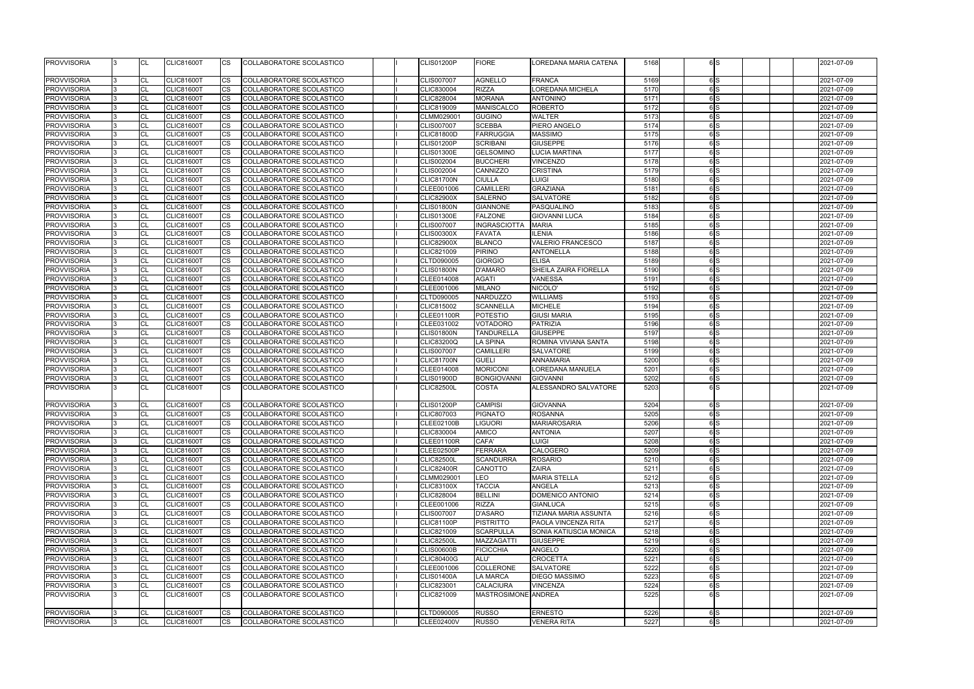| <b>PROVVISORIA</b> |    | ICL        | <b>CLIC81600T</b> | ICS.       | <b>ICOLLABORATORE SCOLASTICO</b> | <b>CLIS01200P</b> | <b>FIORE</b>        | LOREDANA MARIA CATENA        | 5168 | 6S | 2021-07-09 |
|--------------------|----|------------|-------------------|------------|----------------------------------|-------------------|---------------------|------------------------------|------|----|------------|
| <b>PROVVISORIA</b> |    | <b>ICL</b> | <b>CLIC81600T</b> | ICS.       | COLLABORATORE SCOLASTICO         | <b>CLIS007007</b> | <b>AGNELLO</b>      | <b>FRANCA</b>                | 5169 | 6S | 2021-07-09 |
| <b>PROVVISORIA</b> |    | <b>CL</b>  | <b>CLIC81600T</b> | <b>ICS</b> | COLLABORATORE SCOLASTICO         | CLIC830004        | <b>RIZZA</b>        | LOREDANA MICHELA             | 5170 | 6S | 2021-07-09 |
| <b>PROVVISORIA</b> |    | CL         | <b>CLIC81600T</b> | <b>CS</b>  | COLLABORATORE SCOLASTICO         | <b>CLIC828004</b> | <b>MORANA</b>       | <b>ANTONINO</b>              | 5171 | 6S | 2021-07-09 |
| <b>PROVVISORIA</b> |    | <b>CL</b>  | <b>CLIC81600T</b> | <b>CS</b>  | COLLABORATORE SCOLASTICO         | <b>CLIC819009</b> | <b>MANISCALCO</b>   | <b>ROBERTO</b>               | 5172 | 6S | 2021-07-09 |
| <b>PROVVISORIA</b> |    | <b>CL</b>  | <b>CLIC81600T</b> | <b>CS</b>  | <b>COLLABORATORE SCOLASTICO</b>  | CLMM029001        | <b>GUGINO</b>       | <b>WALTER</b>                | 5173 | 6S | 2021-07-09 |
| <b>PROVVISORIA</b> |    | CL         | <b>CLIC81600T</b> | <b>CS</b>  | COLLABORATORE SCOLASTICO         | <b>CLIS007007</b> | <b>SCEBBA</b>       | PIERO ANGELO                 | 5174 | 6S | 2021-07-09 |
| <b>PROVVISORIA</b> |    | CL         | <b>CLIC81600T</b> | <b>ICS</b> | COLLABORATORE SCOLASTICO         | <b>CLIC81800D</b> | <b>FARRUGGIA</b>    | <b>MASSIMO</b>               | 5175 | 6S | 2021-07-09 |
| <b>PROVVISORIA</b> |    | <b>CL</b>  | <b>CLIC81600T</b> | <b>ICS</b> | COLLABORATORE SCOLASTICO         | <b>CLIS01200P</b> | <b>SCRIBANI</b>     | <b>GIUSEPPE</b>              | 5176 | 6S | 2021-07-09 |
| <b>PROVVISORIA</b> |    | <b>CL</b>  | <b>CLIC81600T</b> | <b>CS</b>  | COLLABORATORE SCOLASTICO         | <b>CLIS01300E</b> | <b>GELSOMINO</b>    | <b>LUCIA MARTINA</b>         | 5177 | 6S | 2021-07-09 |
| <b>PROVVISORIA</b> |    | <b>CL</b>  | <b>CLIC81600T</b> | <b>CS</b>  | COLLABORATORE SCOLASTICO         | CLIS002004        | <b>BUCCHERI</b>     | <b>VINCENZO</b>              | 5178 | 6S | 2021-07-09 |
| <b>PROVVISORIA</b> |    | <b>CL</b>  | <b>CLIC81600T</b> | <b>CS</b>  | COLLABORATORE SCOLASTICO         | CLIS002004        | CANNIZZO            | <b>CRISTINA</b>              | 5179 | 6S | 2021-07-09 |
| <b>PROVVISORIA</b> |    | <b>CL</b>  | <b>CLIC81600T</b> | <b>CS</b>  | COLLABORATORE SCOLASTICO         | <b>CLIC81700N</b> | <b>CIULLA</b>       | LUIGI                        | 5180 | 6S | 2021-07-09 |
| <b>PROVVISORIA</b> |    | <b>CL</b>  | <b>CLIC81600T</b> | <b>CS</b>  | COLLABORATORE SCOLASTICO         | CLEE001006        | <b>CAMILLERI</b>    | <b>GRAZIANA</b>              | 5181 | 6S | 2021-07-09 |
| <b>PROVVISORIA</b> |    | CL         | <b>CLIC81600T</b> | <b>CS</b>  | COLLABORATORE SCOLASTICO         | <b>CLIC82900X</b> | <b>SALERNO</b>      | <b>SALVATORE</b>             | 5182 | 6S | 2021-07-09 |
| <b>PROVVISORIA</b> |    | CL         | <b>CLIC81600T</b> | <b>CS</b>  | COLLABORATORE SCOLASTICO         | <b>CLIS01800N</b> | <b>GIANNONE</b>     | PASQUALINO                   | 5183 | 6S | 2021-07-09 |
| <b>PROVVISORIA</b> |    | <b>CL</b>  | <b>CLIC81600T</b> | <b>CS</b>  | COLLABORATORE SCOLASTICO         | <b>CLIS01300E</b> | <b>FALZONE</b>      | <b>GIOVANNI LUCA</b>         | 5184 | 6S | 2021-07-09 |
| <b>PROVVISORIA</b> |    | <b>ICL</b> | <b>CLIC81600T</b> | <b>CS</b>  | <b>COLLABORATORE SCOLASTICO</b>  | CLIS007007        | <b>INGRASCIOTTA</b> | <b>MARIA</b>                 | 5185 | 6S | 2021-07-09 |
| <b>PROVVISORIA</b> |    | <b>CL</b>  | <b>CLIC81600T</b> | <b>CS</b>  | COLLABORATORE SCOLASTICO         | <b>CLIS00300X</b> | <b>FAVATA</b>       | <b>ILENIA</b>                | 5186 | 6S | 2021-07-09 |
| <b>PROVVISORIA</b> |    | <b>CL</b>  | <b>CLIC81600T</b> | <b>CS</b>  | COLLABORATORE SCOLASTICO         | <b>CLIC82900X</b> | <b>BLANCO</b>       | <b>VALERIO FRANCESCO</b>     | 5187 | 6S | 2021-07-09 |
| <b>PROVVISORIA</b> |    | <b>CL</b>  | <b>CLIC81600T</b> | <b>CS</b>  | COLLABORATORE SCOLASTICO         | CLIC821009        | <b>PIRINO</b>       | <b>ANTONELLA</b>             | 5188 | 6S | 2021-07-09 |
| <b>PROVVISORIA</b> |    | <b>CL</b>  | <b>CLIC81600T</b> | <b>ICS</b> | COLLABORATORE SCOLASTICO         | CLTD090005        | <b>GIORGIO</b>      | <b>ELISA</b>                 | 5189 | 6S | 2021-07-09 |
| <b>PROVVISORIA</b> |    | <b>CL</b>  | <b>CLIC81600T</b> | <b>CS</b>  | COLLABORATORE SCOLASTICO         | <b>CLIS01800N</b> | <b>D'AMARO</b>      | <b>SHEILA ZAIRA FIORELLA</b> | 5190 | 6S | 2021-07-09 |
| <b>PROVVISORIA</b> |    | <b>CL</b>  | <b>CLIC81600T</b> | <b>CS</b>  | COLLABORATORE SCOLASTICO         | CLEE014008        | <b>AGATI</b>        | <b>VANESSA</b>               | 5191 | 6S | 2021-07-09 |
| <b>PROVVISORIA</b> |    | <b>CL</b>  | <b>CLIC81600T</b> | <b>CS</b>  | COLLABORATORE SCOLASTICO         | CLEE001006        | <b>MILANO</b>       | NICOLO'                      | 5192 | 6S | 2021-07-09 |
| <b>PROVVISORIA</b> |    | CL         | <b>CLIC81600T</b> | <b>CS</b>  | COLLABORATORE SCOLASTICO         | CLTD090005        | <b>NARDUZZO</b>     | <b>WILLIAMS</b>              | 5193 | 6S | 2021-07-09 |
| <b>PROVVISORIA</b> |    | <b>CL</b>  | <b>CLIC81600T</b> | <b>ICS</b> | COLLABORATORE SCOLASTICO         | <b>CLIC815002</b> | <b>SCANNELLA</b>    | <b>MICHELE</b>               | 5194 | 6S | 2021-07-09 |
| <b>PROVVISORIA</b> |    | <b>CL</b>  | <b>CLIC81600T</b> | <b>ICS</b> | COLLABORATORE SCOLASTICO         | <b>CLEE01100R</b> | <b>POTESTIO</b>     | <b>GIUSI MARIA</b>           | 5195 | 6S | 2021-07-09 |
| <b>PROVVISORIA</b> |    | CL         | <b>CLIC81600T</b> | <b>CS</b>  | COLLABORATORE SCOLASTICO         | CLEE031002        | <b>VOTADORO</b>     | <b>PATRIZIA</b>              | 5196 | 6S | 2021-07-09 |
| <b>PROVVISORIA</b> |    | <b>CL</b>  | <b>CLIC81600T</b> | <b>CS</b>  | COLLABORATORE SCOLASTICO         | <b>CLIS01800N</b> | <b>TANDURELLA</b>   | <b>GIUSEPPE</b>              | 5197 | 6S | 2021-07-09 |
| <b>PROVVISORIA</b> |    | <b>CL</b>  | <b>CLIC81600T</b> | <b>CS</b>  | COLLABORATORE SCOLASTICO         | <b>CLIC83200Q</b> | <b>LA SPINA</b>     | ROMINA VIVIANA SANTA         | 5198 | 6S | 2021-07-09 |
| <b>PROVVISORIA</b> |    | CL         | <b>CLIC81600T</b> | <b>CS</b>  | COLLABORATORE SCOLASTICO         | <b>CLIS007007</b> | <b>CAMILLERI</b>    | <b>SALVATORE</b>             | 5199 | 6S | 2021-07-09 |
| <b>PROVVISORIA</b> |    | CL         | <b>CLIC81600T</b> | <b>ICS</b> | COLLABORATORE SCOLASTICO         | <b>CLIC81700N</b> | <b>GUELI</b>        | <b>ANNAMARIA</b>             | 5200 | 6S | 2021-07-09 |
| <b>PROVVISORIA</b> |    | <b>CL</b>  | <b>CLIC81600T</b> | <b>CS</b>  | COLLABORATORE SCOLASTICO         | CLEE014008        | <b>MORICONI</b>     | <b>LOREDANA MANUELA</b>      | 5201 | 6S | 2021-07-09 |
| <b>PROVVISORIA</b> |    | <b>CL</b>  | <b>CLIC81600T</b> | <b>CS</b>  | COLLABORATORE SCOLASTICO         | <b>CLIS01900D</b> | <b>BONGIOVANNI</b>  | <b>GIOVANNI</b>              | 5202 | 6S | 2021-07-09 |
| <b>PROVVISORIA</b> |    | <b>ICL</b> | <b>CLIC81600T</b> | <b>CS</b>  | <b>COLLABORATORE SCOLASTICO</b>  | <b>CLIC82500L</b> | <b>COSTA</b>        | ALESSANDRO SALVATORE         | 5203 | 6S | 2021-07-09 |
|                    |    |            |                   |            |                                  |                   |                     |                              |      |    |            |
| <b>PROVVISORIA</b> |    | <b>ICL</b> | <b>CLIC81600T</b> | <b>ICS</b> | COLLABORATORE SCOLASTICO         | <b>CLIS01200P</b> | <b>CAMPISI</b>      | <b>GIOVANNA</b>              | 5204 | 6S | 2021-07-09 |
| <b>PROVVISORIA</b> |    | CL         | CLIC81600T        | <b>ICS</b> | <b>COLLABORATORE SCOLASTICO</b>  | CLIC807003        | <b>PIGNATO</b>      | <b>ROSANNA</b>               | 5205 | 6S | 2021-07-09 |
| <b>PROVVISORIA</b> | 13 | <b>ICL</b> | <b>CLIC81600T</b> | <b>CS</b>  | COLLABORATORE SCOLASTICO         | <b>CLEE02100B</b> | <b>LIGUORI</b>      | <b>MARIAROSARIA</b>          | 5206 | 6S | 2021-07-09 |
| <b>PROVVISORIA</b> |    | <b>CL</b>  | <b>CLIC81600T</b> | <b>CS</b>  | <b>COLLABORATORE SCOLASTICO</b>  | CLIC830004        | <b>AMICO</b>        | <b>ANTONIA</b>               | 5207 | 6S | 2021-07-09 |
| <b>PROVVISORIA</b> |    | <b>ICL</b> | <b>CLIC81600T</b> | <b>CS</b>  | COLLABORATORE SCOLASTICO         | <b>CLEE01100R</b> | CAFA'               | <b>LUIGI</b>                 | 5208 | 6S | 2021-07-09 |
| <b>PROVVISORIA</b> |    | <b>ICL</b> | <b>CLIC81600T</b> | <b>CS</b>  | COLLABORATORE SCOLASTICO         | <b>CLEE02500P</b> | <b>FERRARA</b>      | <b>CALOGERO</b>              | 5209 | 6S | 2021-07-09 |
| <b>PROVVISORIA</b> |    | <b>CL</b>  | <b>CLIC81600T</b> | <b>CS</b>  | COLLABORATORE SCOLASTICO         | <b>CLIC82500L</b> | <b>SCANDURRA</b>    | <b>ROSARIO</b>               | 5210 | 6S | 2021-07-09 |
| <b>PROVVISORIA</b> |    | <b>CL</b>  | <b>CLIC81600T</b> | <b>CS</b>  | COLLABORATORE SCOLASTICO         | <b>CLIC82400R</b> | <b>CANOTTO</b>      | ZAIRA                        | 5211 | 6S | 2021-07-09 |
| <b>PROVVISORIA</b> |    | <b>ICL</b> | <b>CLIC81600T</b> | <b>CS</b>  | COLLABORATORE SCOLASTICO         | CLMM029001        | LEO                 | <b>MARIA STELLA</b>          | 5212 | 6S | 2021-07-09 |
| <b>PROVVISORIA</b> |    | <b>CL</b>  | <b>CLIC81600T</b> | <b>CS</b>  | COLLABORATORE SCOLASTICO         | <b>CLIC83100X</b> | <b>TACCIA</b>       | <b>ANGELA</b>                | 5213 | 6S | 2021-07-09 |
| <b>PROVVISORIA</b> |    | <b>ICL</b> | <b>CLIC81600T</b> | <b>CS</b>  | COLLABORATORE SCOLASTICO         | CLIC828004        | <b>BELLINI</b>      | DOMENICO ANTONIO             | 5214 | 6S | 2021-07-09 |
| <b>PROVVISORIA</b> |    | <b>ICL</b> | <b>CLIC81600T</b> | <b>CS</b>  | COLLABORATORE SCOLASTICO         | CLEE001006        | <b>RIZZA</b>        | <b>GIANLUCA</b>              | 5215 | 6S | 2021-07-09 |
| <b>PROVVISORIA</b> |    | <b>CL</b>  | <b>CLIC81600T</b> | <b>CS</b>  | COLLABORATORE SCOLASTICO         | <b>CLIS007007</b> | <b>D'ASARO</b>      | <b>TIZIANA MARIA ASSUNTA</b> | 5216 | 6S | 2021-07-09 |
| <b>PROVVISORIA</b> |    | <b>CL</b>  | <b>CLIC81600T</b> | <b>CS</b>  | COLLABORATORE SCOLASTICO         | <b>CLIC81100P</b> | <b>PISTRITTO</b>    | <b>PAOLA VINCENZA RITA</b>   | 5217 | 6S | 2021-07-09 |
| <b>PROVVISORIA</b> |    | <b>CL</b>  | <b>CLIC81600T</b> | <b>CS</b>  | COLLABORATORE SCOLASTICO         | CLIC821009        | <b>SCARPULLA</b>    | SONIA KATIUSCIA MONICA       | 5218 | 6S | 2021-07-09 |
| <b>PROVVISORIA</b> |    | CL         | <b>CLIC81600T</b> | <b>CS</b>  | COLLABORATORE SCOLASTICO         | <b>CLIC82500L</b> | <b>MAZZAGATTI</b>   | <b>GIUSEPPE</b>              | 5219 | 6S | 2021-07-09 |
| <b>PROVVISORIA</b> |    | <b>ICL</b> | <b>CLIC81600T</b> | <b>CS</b>  | COLLABORATORE SCOLASTICO         | <b>CLIS00600B</b> | <b>FICICCHIA</b>    | ANGELO                       | 5220 | 6S | 2021-07-09 |
| <b>PROVVISORIA</b> |    | <b>ICL</b> | <b>CLIC81600T</b> | <b>CS</b>  | COLLABORATORE SCOLASTICO         | <b>CLIC80400G</b> | ALU'                | <b>CROCETTA</b>              | 5221 | 6S | 2021-07-09 |
| <b>PROVVISORIA</b> |    | <b>ICL</b> | <b>CLIC81600T</b> | <b>CS</b>  | COLLABORATORE SCOLASTICO         | CLEE001006        | <b>COLLERONE</b>    | <b>SALVATORE</b>             | 5222 | 6S | 2021-07-09 |
| <b>PROVVISORIA</b> |    | <b>ICL</b> | <b>CLIC81600T</b> | <b>CS</b>  | COLLABORATORE SCOLASTICO         | <b>CLIS01400A</b> | <b>LA MARCA</b>     | <b>DIEGO MASSIMO</b>         | 5223 | 6S | 2021-07-09 |
| <b>PROVVISORIA</b> |    | <b>CL</b>  | <b>CLIC81600T</b> | <b>CS</b>  | COLLABORATORE SCOLASTICO         | CLIC823001        | <b>CALACIURA</b>    | <b>VINCENZA</b>              | 5224 | 6S | 2021-07-09 |
| <b>PROVVISORIA</b> |    | <b>ICL</b> | <b>CLIC81600T</b> | CS.        | COLLABORATORE SCOLASTICO         | CLIC821009        | MASTROSIMONE ANDREA |                              | 5225 | 6S | 2021-07-09 |
| <b>PROVVISORIA</b> |    | <b>CL</b>  | <b>CLIC81600T</b> | <b>CS</b>  | COLLABORATORE SCOLASTICO         | CLTD090005        | <b>RUSSO</b>        | <b>ERNESTO</b>               | 5226 | 6S | 2021-07-09 |
| <b>PROVVISORIA</b> |    | <b>ICL</b> | <b>CLIC81600T</b> | <b>CS</b>  | COLLABORATORE SCOLASTICO         | <b>CLEE02400V</b> | <b>RUSSO</b>        | <b>VENERA RITA</b>           | 5227 | 6S | 2021-07-09 |
|                    |    |            |                   |            |                                  |                   |                     |                              |      |    |            |

|  |  | 2021-07-09 |
|--|--|------------|
|  |  |            |
|  |  |            |
|  |  | 2021-07-09 |
|  |  | 2021-07-09 |
|  |  | 2021-07-09 |
|  |  | 2021-07-09 |
|  |  | 2021-07-09 |
|  |  | 2021-07-09 |
|  |  |            |
|  |  | 2021-07-09 |
|  |  | 2021-07-09 |
|  |  | 2021-07-09 |
|  |  | 2021-07-09 |
|  |  | 2021-07-09 |
|  |  | 2021-07-09 |
|  |  |            |
|  |  | 2021-07-09 |
|  |  | 2021-07-09 |
|  |  | 2021-07-09 |
|  |  | 2021-07-09 |
|  |  | 2021-07-09 |
|  |  | 2021-07-09 |
|  |  | 2021-07-09 |
|  |  |            |
|  |  | 2021-07-09 |
|  |  | 2021-07-09 |
|  |  | 2021-07-09 |
|  |  | 2021-07-09 |
|  |  | 2021-07-09 |
|  |  | 2021-07-09 |
|  |  | 2021-07-09 |
|  |  |            |
|  |  | 2021-07-09 |
|  |  | 2021-07-09 |
|  |  | 2021-07-09 |
|  |  | 2021-07-09 |
|  |  | 2021-07-09 |
|  |  | 2021-07-09 |
|  |  | 2021-07-09 |
|  |  | 2021-07-09 |
|  |  |            |
|  |  | 2021-07-09 |
|  |  |            |
|  |  | 2021-07-09 |
|  |  | 2021-07-09 |
|  |  | 2021-07-09 |
|  |  | 2021-07-09 |
|  |  | 2021-07-09 |
|  |  | 2021-07-09 |
|  |  |            |
|  |  | 2021-07-09 |
|  |  | 2021-07-09 |
|  |  | 2021-07-09 |
|  |  | 2021-07-09 |
|  |  | 2021-07-09 |
|  |  | 2021-07-09 |
|  |  | 2021-07-09 |
|  |  | 2021-07-09 |
|  |  |            |
|  |  | 2021-07-09 |
|  |  | 2021-07-09 |
|  |  | 2021-07-09 |
|  |  | 2021-07-09 |
|  |  | 2021-07-09 |
|  |  | 2021-07-09 |
|  |  | 2021-07-09 |
|  |  | 2021-07-09 |
|  |  |            |
|  |  |            |
|  |  | 2021-07-09 |
|  |  | 2021-07-09 |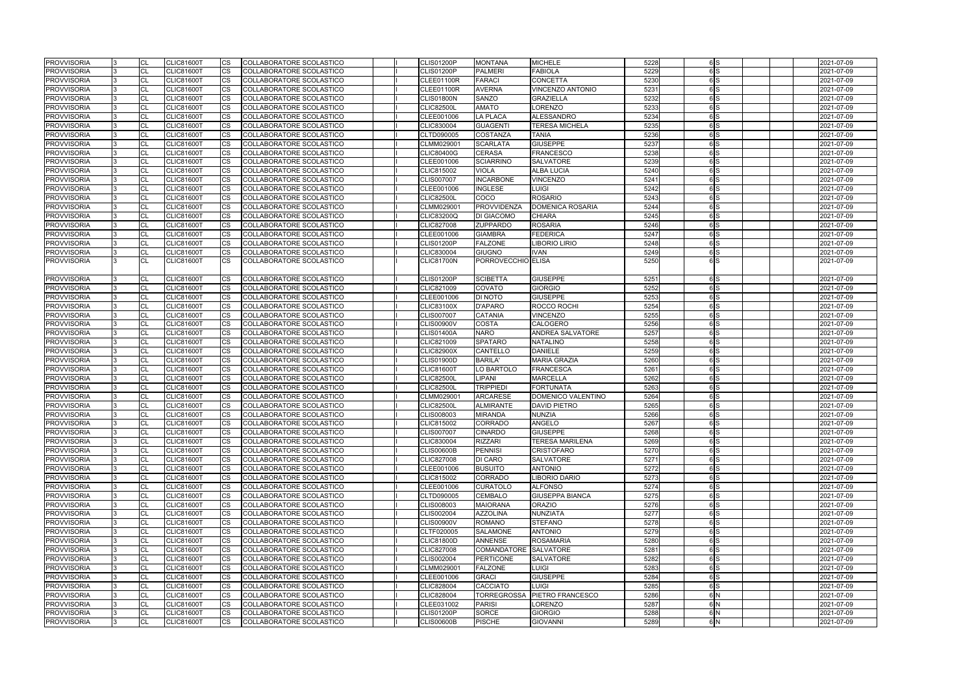| <b>PROVVISORIA</b> |     | <b>CL</b> | <b>CLIC81600T</b> | CS        | COLLABORATORE SCOLASTICO |  | <b>CLIS01200P</b> | <b>MONTANA</b>        | MICHELE                 | 5228 | 6 <sub>S</sub>  | 2021-07-09 |
|--------------------|-----|-----------|-------------------|-----------|--------------------------|--|-------------------|-----------------------|-------------------------|------|-----------------|------------|
| <b>PROVVISORIA</b> |     | <b>CL</b> | <b>CLIC81600T</b> | <b>CS</b> | COLLABORATORE SCOLASTICO |  | <b>CLIS01200P</b> | <b>PALMERI</b>        | <b>FABIOLA</b>          | 5229 | $\overline{6}$  | 2021-07-09 |
| <b>PROVVISORIA</b> |     | <b>CL</b> | <b>CLIC81600T</b> | CS.       | COLLABORATORE SCOLASTICO |  | <b>CLEE01100R</b> | <b>FARACI</b>         | <b>CONCETTA</b>         | 5230 | 6S              | 2021-07-09 |
| <b>PROVVISORIA</b> |     | <b>CL</b> | <b>CLIC81600T</b> | СS        | COLLABORATORE SCOLASTICO |  | CLEE01100R        | <b>AVERNA</b>         | VINCENZO ANTONIO        | 5231 | 6 <sub>S</sub>  | 2021-07-09 |
| <b>PROVVISORIA</b> |     | <b>CL</b> | <b>CLIC81600T</b> | СS        | COLLABORATORE SCOLASTICO |  | <b>CLIS01800N</b> | SANZO                 | <b>GRAZIELLA</b>        | 5232 | 6S              | 2021-07-09 |
| <b>PROVVISORIA</b> |     | CL        | <b>CLIC81600T</b> | CS        | COLLABORATORE SCOLASTICO |  | <b>CLIC82500L</b> | <b>AMATO</b>          | <b>LORENZO</b>          | 5233 | 6S              | 2021-07-09 |
| <b>PROVVISORIA</b> |     | <b>CL</b> | <b>CLIC81600T</b> | CS        | COLLABORATORE SCOLASTICO |  | CLEE001006        | <b>LA PLACA</b>       | <b>ALESSANDRO</b>       | 5234 | 6S              | 2021-07-09 |
| <b>PROVVISORIA</b> |     | <b>CL</b> | <b>CLIC81600T</b> | CS        | COLLABORATORE SCOLASTICO |  | CLIC830004        | <b>GUAGENTI</b>       | <b>TERESA MICHELA</b>   | 5235 | 6 <sub>IS</sub> | 2021-07-09 |
| <b>PROVVISORIA</b> |     | <b>CL</b> | <b>CLIC81600T</b> | CS.       | COLLABORATORE SCOLASTICO |  | CLTD090005        | <b>COSTANZA</b>       | TANIA                   | 5236 | 6 <sub>IS</sub> | 2021-07-09 |
| <b>PROVVISORIA</b> |     | <b>CL</b> | <b>CLIC81600T</b> | CS        | COLLABORATORE SCOLASTICO |  | CLMM029001        | <b>SCARLATA</b>       | <b>GIUSEPPE</b>         | 5237 | 6S              | 2021-07-09 |
| <b>PROVVISORIA</b> |     | <b>CL</b> | <b>CLIC81600T</b> | СS        | COLLABORATORE SCOLASTICO |  | <b>CLIC80400G</b> | <b>CERASA</b>         | <b>FRANCESCO</b>        | 5238 | 6S              | 2021-07-09 |
| <b>PROVVISORIA</b> |     | <b>CL</b> | <b>CLIC81600T</b> | CS        | COLLABORATORE SCOLASTICO |  | CLEE001006        | <b>SCIARRINO</b>      | SALVATORE               | 5239 | 6S              | 2021-07-09 |
| <b>PROVVISORIA</b> |     | <b>CL</b> | CLIC81600T        | CS        | COLLABORATORE SCOLASTICO |  | CLIC815002        | <b>VIOLA</b>          | <b>ALBA LUCIA</b>       | 5240 | 6S              | 2021-07-09 |
| <b>PROVVISORIA</b> |     | <b>CL</b> | <b>CLIC81600T</b> | CS        | COLLABORATORE SCOLASTICO |  | <b>CLIS007007</b> | <b>INCARBONE</b>      | <b>VINCENZO</b>         | 5241 | 6 <sub>IS</sub> | 2021-07-09 |
| <b>PROVVISORIA</b> |     | <b>CL</b> | <b>CLIC81600T</b> | CS        | COLLABORATORE SCOLASTICO |  | CLEE001006        | <b>INGLESE</b>        | LUIGI                   | 5242 | 6 <sub>S</sub>  | 2021-07-09 |
| PROVVISORIA        |     | <b>CL</b> | <b>CLIC81600T</b> | CS        | COLLABORATORE SCOLASTICO |  | <b>CLIC82500L</b> | COCO                  | <b>ROSARIO</b>          | 5243 | 6S              | 2021-07-09 |
| <b>PROVVISORIA</b> |     | <b>CL</b> | <b>CLIC81600T</b> | СS        | COLLABORATORE SCOLASTICO |  | CLMM029001        | PROVVIDENZA           | <b>DOMENICA ROSARIA</b> | 5244 | 6 <sub>IS</sub> | 2021-07-09 |
| <b>PROVVISORIA</b> |     | <b>CL</b> | <b>CLIC81600T</b> | CS        | COLLABORATORE SCOLASTICO |  | <b>CLIC83200Q</b> | <b>DI GIACOMO</b>     | <b>CHIARA</b>           | 5245 | 6S              | 2021-07-09 |
| <b>PROVVISORIA</b> |     | <b>CL</b> | <b>CLIC81600T</b> | <b>CS</b> | COLLABORATORE SCOLASTICO |  | <b>CLIC827008</b> | <b>ZUPPARDO</b>       | <b>ROSARIA</b>          | 5246 | 6S              | 2021-07-09 |
| <b>PROVVISORIA</b> |     | <b>CL</b> | <b>CLIC81600T</b> | CS        | COLLABORATORE SCOLASTICO |  | CLEE001006        | <b>GIAMBRA</b>        | <b>FEDERICA</b>         | 5247 | 6 <sub>IS</sub> | 2021-07-09 |
| <b>PROVVISORIA</b> |     | <b>CL</b> | <b>CLIC81600T</b> | CS        | COLLABORATORE SCOLASTICO |  | <b>CLIS01200P</b> | <b>FALZONE</b>        | LIBORIO LIRIO           | 5248 | 6S              | 2021-07-09 |
| <b>PROVVISORIA</b> |     | <b>CL</b> | <b>CLIC81600T</b> | CS        | COLLABORATORE SCOLASTICO |  | CLIC830004        | <b>GIUGNO</b>         | IVAN.                   | 5249 | 6S              | 2021-07-09 |
| <b>PROVVISORIA</b> | I3. | <b>CL</b> | <b>CLIC81600T</b> | СS        | COLLABORATORE SCOLASTICO |  | <b>CLIC81700N</b> | PORROVECCHIO ELISA    |                         | 5250 | 6S              | 2021-07-09 |
|                    |     |           |                   |           |                          |  |                   |                       |                         |      |                 |            |
| <b>PROVVISORIA</b> |     | <b>CL</b> | <b>CLIC81600T</b> | CS        | COLLABORATORE SCOLASTICO |  | <b>CLIS01200P</b> | <b>SCIBETTA</b>       | <b>GIUSEPPE</b>         | 5251 | 6S              | 2021-07-09 |
| <b>PROVVISORIA</b> |     | <b>CL</b> | <b>CLIC81600T</b> | CS        | COLLABORATORE SCOLASTICO |  | CLIC821009        | <b>COVATO</b>         | <b>GIORGIO</b>          | 5252 | 6 <sub>S</sub>  | 2021-07-09 |
| <b>PROVVISORIA</b> |     | <b>CL</b> | <b>CLIC81600T</b> | <b>CS</b> | COLLABORATORE SCOLASTICO |  | CLEE001006        | <b>DI NOTO</b>        | <b>GIUSEPPE</b>         | 5253 | 6 <sub>IS</sub> | 2021-07-09 |
| <b>PROVVISORIA</b> |     | <b>CL</b> | <b>CLIC81600T</b> | CS        | COLLABORATORE SCOLASTICO |  | <b>CLIC83100X</b> | <b>D'APARO</b>        | ROCCO ROCHI             | 5254 | 6S              | 2021-07-09 |
| <b>PROVVISORIA</b> |     | <b>CL</b> | <b>CLIC81600T</b> | СS        | COLLABORATORE SCOLASTICO |  | <b>CLIS007007</b> | <b>CATANIA</b>        | VINCENZO                | 5255 | 6 <sub>S</sub>  | 2021-07-09 |
| <b>PROVVISORIA</b> |     | <b>CL</b> | <b>CLIC81600T</b> | CS        | COLLABORATORE SCOLASTICO |  | <b>CLIS00900V</b> | <b>COSTA</b>          | CALOGERO                | 5256 | 6S              | 2021-07-09 |
| <b>PROVVISORIA</b> |     | <b>CL</b> | <b>CLIC81600T</b> | CS        | COLLABORATORE SCOLASTICO |  | <b>CLIS01400A</b> | <b>NARO</b>           | ANDREA SALVATORE        | 5257 | 6S              | 2021-07-09 |
| <b>PROVVISORIA</b> |     | <b>CL</b> | <b>CLIC81600T</b> | CS        | COLLABORATORE SCOLASTICO |  | CLIC821009        | <b>SPATARO</b>        | NATALINO                | 5258 | 6 <sub>S</sub>  | 2021-07-09 |
| PROVVISORIA        |     | <b>CL</b> | <b>CLIC81600T</b> | CS        | COLLABORATORE SCOLASTICO |  | <b>CLIC82900X</b> | <b>CANTELLO</b>       | <b>DANIELE</b>          | 5259 | 6S              | 2021-07-09 |
| <b>PROVVISORIA</b> |     | <b>CL</b> | <b>CLIC81600T</b> | CS.       | COLLABORATORE SCOLASTICO |  | <b>CLIS01900D</b> | <b>BARILA'</b>        | <b>MARIA GRAZIA</b>     | 5260 | 6 <sub>IS</sub> | 2021-07-09 |
| <b>PROVVISORIA</b> |     | <b>CL</b> | <b>CLIC81600T</b> | CS        | COLLABORATORE SCOLASTICO |  | <b>CLIC81600T</b> | LO BARTOLO            | <b>FRANCESCA</b>        | 5261 | 6 <sub>S</sub>  | 2021-07-09 |
| <b>PROVVISORIA</b> |     | <b>CL</b> | <b>CLIC81600T</b> | CS        | COLLABORATORE SCOLASTICO |  | <b>CLIC82500L</b> | <b>LIPANI</b>         | <b>MARCELLA</b>         | 5262 | 6S              | 2021-07-09 |
| <b>PROVVISORIA</b> |     | <b>CL</b> | CLIC81600T        | CS.       | COLLABORATORE SCOLASTICO |  | <b>CLIC82500L</b> | <b>TRIPPIEDI</b>      | <b>FORTUNATA</b>        | 5263 | 6S              | 2021-07-09 |
| <b>PROVVISORIA</b> |     | <b>CL</b> | <b>CLIC81600T</b> | CS        | COLLABORATORE SCOLASTICO |  | CLMM029001        | <b>ARCARESE</b>       | DOMENICO VALENTINO      | 5264 | 6S              | 2021-07-09 |
| <b>PROVVISORIA</b> |     | <b>CL</b> | <b>CLIC81600T</b> | CS        | COLLABORATORE SCOLASTICO |  | <b>CLIC82500L</b> | <b>ALMIRANTE</b>      | <b>DAVID PIETRO</b>     | 5265 | 6 <sub>IS</sub> | 2021-07-09 |
| <b>PROVVISORIA</b> |     | <b>CL</b> | <b>CLIC81600T</b> | CS.       | COLLABORATORE SCOLASTICO |  | CLIS008003        | <b>MIRANDA</b>        | NUNZIA                  | 5266 | 6 <sub>IS</sub> | 2021-07-09 |
| <b>PROVVISORIA</b> |     | <b>CL</b> | <b>CLIC81600T</b> | <b>CS</b> | COLLABORATORE SCOLASTICO |  | CLIC815002        | <b>CORRADO</b>        | ANGELO                  | 5267 | 6S              | 2021-07-09 |
| <b>PROVVISORIA</b> |     | <b>CL</b> | <b>CLIC81600T</b> | CS        | COLLABORATORE SCOLASTICO |  | <b>CLIS007007</b> | <b>CINARDO</b>        | <b>GIUSEPPE</b>         | 5268 | 6S              | 2021-07-09 |
| <b>PROVVISORIA</b> |     | <b>CL</b> | <b>CLIC81600T</b> | CS        | COLLABORATORE SCOLASTICO |  | CLIC830004        | <b>RIZZARI</b>        | <b>TERESA MARILENA</b>  | 5269 | 6S              | 2021-07-09 |
| <b>PROVVISORIA</b> |     | <b>CL</b> | <b>CLIC81600T</b> | <b>CS</b> | COLLABORATORE SCOLASTICO |  | <b>CLIS00600B</b> | <b>PENNISI</b>        | <b>CRISTOFARO</b>       | 5270 | 6S              | 2021-07-09 |
| <b>PROVVISORIA</b> |     | <b>CL</b> | <b>CLIC81600T</b> | CS        | COLLABORATORE SCOLASTICO |  | <b>CLIC827008</b> | <b>DI CARO</b>        | <b>SALVATORE</b>        | 5271 | 6 <sub>IS</sub> | 2021-07-09 |
| <b>PROVVISORIA</b> |     | <b>CL</b> | <b>CLIC81600T</b> | CS        | COLLABORATORE SCOLASTICO |  | CLEE001006        | <b>BUSUITO</b>        | ANTONIO                 | 5272 | 6S              | 2021-07-09 |
| <b>PROVVISORIA</b> |     | <b>CL</b> | <b>CLIC81600T</b> | CS        | COLLABORATORE SCOLASTICO |  | CLIC815002        | <b>CORRADO</b>        | LIBORIO DARIO           | 5273 | 6S              | 2021-07-09 |
| <b>PROVVISORIA</b> |     | <b>CL</b> | <b>CLIC81600T</b> | СS        | COLLABORATORE SCOLASTICO |  | CLEE001006        | <b>CURATOLO</b>       | ALFONSO                 | 5274 | 6 <sub>IS</sub> | 2021-07-09 |
| <b>PROVVISORIA</b> |     | <b>CL</b> | <b>CLIC81600T</b> | CS        | COLLABORATORE SCOLASTICO |  | CLTD090005        | <b>CEMBALO</b>        | <b>GIUSEPPA BIANCA</b>  | 5275 | 6S              | 2021-07-09 |
| <b>PROVVISORIA</b> |     | <b>CL</b> | <b>CLIC81600T</b> | CS        | COLLABORATORE SCOLASTICO |  | CLIS008003        | <b>MAIORANA</b>       | <b>ORAZIO</b>           | 5276 | 6S              | 2021-07-09 |
| <b>PROVVISORIA</b> |     | CL        | <b>CLIC81600T</b> | CS        | COLLABORATORE SCOLASTICO |  | <b>CLIS002004</b> | <b>AZZOLINA</b>       | NUNZIATA                | 5277 | 6 <sub>S</sub>  | 2021-07-09 |
| <b>PROVVISORIA</b> |     | <b>CL</b> | <b>CLIC81600T</b> | CS        | COLLABORATORE SCOLASTICO |  | <b>CLIS00900V</b> | <b>ROMANO</b>         | <b>STEFANO</b>          | 5278 | 6 <sub>IS</sub> | 2021-07-09 |
| <b>PROVVISORIA</b> |     | <b>CL</b> | CLIC81600T        | CS        | COLLABORATORE SCOLASTICO |  | CLTF020005        | SALAMONE              | <b>ANTONIO</b>          | 5279 | 6S              | 2021-07-09 |
| <b>PROVVISORIA</b> |     | <b>CL</b> | <b>CLIC81600T</b> | СS        | COLLABORATORE SCOLASTICO |  | <b>CLIC81800D</b> | <b>ANNENSE</b>        | ROSAMARIA               | 5280 | 6S              | 2021-07-09 |
| <b>PROVVISORIA</b> |     | <b>CL</b> | <b>CLIC81600T</b> | CS        | COLLABORATORE SCOLASTICO |  | <b>CLIC827008</b> | COMANDATORE SALVATORE |                         | 5281 | 6S              | 2021-07-09 |
| <b>PROVVISORIA</b> |     | CL        | <b>CLIC81600T</b> | CS        | COLLABORATORE SCOLASTICO |  | CLIS002004        | <b>PERTICONE</b>      | SALVATORE               | 5282 | 6S              | 2021-07-09 |
| <b>PROVVISORIA</b> |     | <b>CL</b> | <b>CLIC81600T</b> | CS        | COLLABORATORE SCOLASTICO |  | CLMM029001        | <b>FALZONE</b>        | LUIGI                   | 5283 | 6S              | 2021-07-09 |
| <b>PROVVISORIA</b> |     | <b>CL</b> | <b>CLIC81600T</b> | CS        | COLLABORATORE SCOLASTICO |  | CLEE001006        | <b>GRACI</b>          | <b>GIUSEPPE</b>         | 5284 | 6S              | 2021-07-09 |
| <b>PROVVISORIA</b> |     | <b>CL</b> | <b>CLIC81600T</b> | CS        | COLLABORATORE SCOLASTICO |  | <b>CLIC828004</b> | <b>CACCIATO</b>       | LUIGI                   | 5285 | 6S              | 2021-07-09 |
| <b>PROVVISORIA</b> |     | <b>CL</b> | <b>CLIC81600T</b> | CS        | COLLABORATORE SCOLASTICO |  | <b>CLIC828004</b> | <b>TORREGROSSA</b>    | PIETRO FRANCESCO        | 5286 | 6 N             | 2021-07-09 |
| <b>PROVVISORIA</b> |     | <b>CL</b> | <b>CLIC81600T</b> | CS        | COLLABORATORE SCOLASTICO |  | CLEE031002        | <b>PARISI</b>         | _ORENZO                 | 5287 | 6 <sub>N</sub>  | 2021-07-09 |
| <b>PROVVISORIA</b> |     | <b>CL</b> | <b>CLIC81600T</b> | СS        | COLLABORATORE SCOLASTICO |  | CLIS01200P        | <b>SORCE</b>          | <b>GIORGIO</b>          | 5288 | 6 N             | 2021-07-09 |
| <b>PROVVISORIA</b> |     | <b>CL</b> | <b>CLIC81600T</b> | CS        | COLLABORATORE SCOLASTICO |  | <b>CLIS00600B</b> | <b>PISCHE</b>         | <b>GIOVANNI</b>         | 5289 | 6N              | 2021-07-09 |
|                    |     |           |                   |           |                          |  |                   |                       |                         |      |                 |            |

|  |  | 2021-07-09 |
|--|--|------------|
|  |  | 2021-07-09 |
|  |  | 2021-07-09 |
|  |  | 2021-07-09 |
|  |  |            |
|  |  | 2021-07-09 |
|  |  | 2021-07-09 |
|  |  | 2021-07-09 |
|  |  | 2021-07-09 |
|  |  | 2021-07-09 |
|  |  | 2021-07-09 |
|  |  | 2021-07-09 |
|  |  | 2021-07-09 |
|  |  | 2021-07-09 |
|  |  | 2021-07-09 |
|  |  | 2021-07-09 |
|  |  | 2021-07-09 |
|  |  | 2021-07-09 |
|  |  | 2021-07-09 |
|  |  | 2021-07-09 |
|  |  | 2021-07-09 |
|  |  |            |
|  |  | 2021-07-09 |
|  |  | 2021-07-09 |
|  |  | 2021-07-09 |
|  |  | 2021-07-09 |
|  |  | 2021-07-09 |
|  |  | 2021-07-09 |
|  |  | 2021-07-09 |
|  |  | 2021-07-09 |
|  |  | 2021-07-09 |
|  |  | 2021-07-09 |
|  |  | 2021-07-09 |
|  |  | 2021-07-09 |
|  |  | 2021-07-09 |
|  |  | 2021-07-09 |
|  |  |            |
|  |  | 2021-07-09 |
|  |  | 2021-07-09 |
|  |  | 2021-07-09 |
|  |  | 2021-07-09 |
|  |  | 2021-07-09 |
|  |  | 2021-07-09 |
|  |  | 2021-07-09 |
|  |  | 2021-07-09 |
|  |  | 2021-07-09 |
|  |  | 2021-07-09 |
|  |  | 2021-07-09 |
|  |  | 2021-07-09 |
|  |  | 2021-07-09 |
|  |  | 2021-07-09 |
|  |  | 2021-07-09 |
|  |  | 2021-07-09 |
|  |  | 2021-07-09 |
|  |  | 2021-07-09 |
|  |  | 2021-07-09 |
|  |  | 2021-07-09 |
|  |  | 2021-07-09 |
|  |  | 2021-07-09 |
|  |  | 2021-07-09 |
|  |  | 2021-07-09 |
|  |  | 2021-07-09 |
|  |  |            |
|  |  | 2021-07-09 |
|  |  | 2021-07-09 |
|  |  | 2021-07-09 |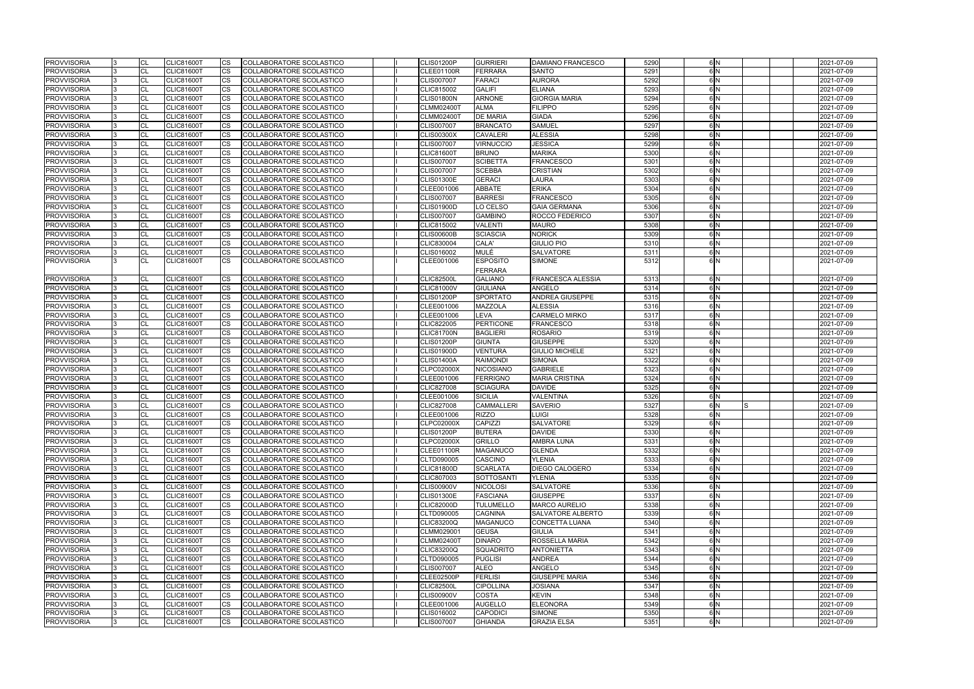| <b>PROVVISORIA</b> |   | CL        | <b>CLIC81600T</b> | ICS                    | COLLABORATORE SCOLASTICO |  | CLIS01200P        | <b>GURRIERI</b>   | DAMIANO FRANCESCO        | 5290 | 6 N            |    | 2021-07-09 |
|--------------------|---|-----------|-------------------|------------------------|--------------------------|--|-------------------|-------------------|--------------------------|------|----------------|----|------------|
| <b>PROVVISORIA</b> |   | <b>CL</b> | <b>CLIC81600T</b> | <b>ICS</b>             | COLLABORATORE SCOLASTICO |  | <b>CLEE01100R</b> | FERRARA           | SANTO                    | 5291 | 6N             |    | 2021-07-09 |
| <b>PROVVISORIA</b> |   | CL        | <b>CLIC81600T</b> | <b>CS</b>              | COLLABORATORE SCOLASTICO |  | CLIS007007        | <b>FARACI</b>     | <b>AURORA</b>            | 5292 | 6 <sub>N</sub> |    | 2021-07-09 |
| <b>PROVVISORIA</b> |   | CL        | <b>CLIC81600T</b> | <b>CS</b>              | COLLABORATORE SCOLASTICO |  | CLIC815002        | <b>GALIFI</b>     | ELIANA                   | 5293 | 6N             |    | 2021-07-09 |
| <b>PROVVISORIA</b> |   | <b>CL</b> | <b>CLIC81600T</b> | <b>CS</b>              | COLLABORATORE SCOLASTICO |  | <b>CLIS01800N</b> | <b>ARNONE</b>     | <b>GIORGIA MARIA</b>     | 5294 | 6N             |    | 2021-07-09 |
| <b>PROVVISORIA</b> |   | <b>CL</b> | <b>CLIC81600T</b> | <b>CS</b>              | COLLABORATORE SCOLASTICO |  | <b>CLMM02400T</b> | <b>ALMA</b>       | <b>FILIPPO</b>           | 5295 | 6N             |    | 2021-07-09 |
| <b>PROVVISORIA</b> |   | CL        | <b>CLIC81600T</b> | <b>CS</b>              | COLLABORATORE SCOLASTICO |  | <b>CLMM02400T</b> | <b>DE MARIA</b>   | <b>GIADA</b>             | 5296 | 6N             |    | 2021-07-09 |
| <b>PROVVISORIA</b> |   | CL        | <b>CLIC81600T</b> | <b>ICS</b>             | COLLABORATORE SCOLASTICO |  | CLIS007007        | <b>BRANCATO</b>   | <b>SAMUEL</b>            | 5297 | 6N             |    | 2021-07-09 |
| <b>PROVVISORIA</b> |   | CL        | <b>CLIC81600T</b> | <b>CS</b>              | COLLABORATORE SCOLASTICO |  | <b>CLIS00300X</b> | <b>CAVALERI</b>   | <b>ALESSIA</b>           | 5298 | 6N             |    | 2021-07-09 |
| <b>PROVVISORIA</b> |   | CL        | <b>CLIC81600T</b> | <b>CS</b>              | COLLABORATORE SCOLASTICO |  | CLIS007007        | <b>VIRNUCCIO</b>  | <b>JESSICA</b>           | 5299 | 6N             |    | 2021-07-09 |
| <b>PROVVISORIA</b> |   | CL        | <b>CLIC81600T</b> | <b>ICS</b>             | COLLABORATORE SCOLASTICO |  | <b>CLIC81600T</b> | <b>BRUNO</b>      | <b>MARIKA</b>            | 5300 | 6N             |    | 2021-07-09 |
| <b>PROVVISORIA</b> |   | CL        | <b>CLIC81600T</b> | <b>CS</b>              | COLLABORATORE SCOLASTICO |  | CLIS007007        | <b>SCIBETTA</b>   | <b>FRANCESCO</b>         | 5301 | 6N             |    | 2021-07-09 |
| <b>PROVVISORIA</b> |   | <b>CL</b> | <b>CLIC81600T</b> | <b>CS</b>              | COLLABORATORE SCOLASTICO |  | CLIS007007        | <b>SCEBBA</b>     | <b>CRISTIAN</b>          | 5302 | 6N             |    | 2021-07-09 |
| <b>PROVVISORIA</b> |   | <b>CL</b> | <b>CLIC81600T</b> | <b>ICS</b>             | COLLABORATORE SCOLASTICO |  | <b>CLIS01300E</b> | <b>GERACI</b>     | LAURA                    | 5303 | 6N             |    | 2021-07-09 |
| <b>PROVVISORIA</b> |   | CL        | <b>CLIC81600T</b> | <b>ICS</b>             | COLLABORATORE SCOLASTICO |  | CLEE001006        | ABBATE            | <b>ERIKA</b>             | 5304 | 6N             |    | 2021-07-09 |
| <b>PROVVISORIA</b> |   | <b>CL</b> | <b>CLIC81600T</b> | <b>CS</b>              | COLLABORATORE SCOLASTICO |  | CLIS007007        | <b>BARRESI</b>    | <b>FRANCESCO</b>         | 5305 | 6N             |    | 2021-07-09 |
| <b>PROVVISORIA</b> |   | CL        | <b>CLIC81600T</b> | <b>CS</b>              | COLLABORATORE SCOLASTICO |  | <b>CLIS01900D</b> | LO CELSO          | <b>GAIA GERMANA</b>      | 5306 | 6N             |    | 2021-07-09 |
| <b>PROVVISORIA</b> |   | CL        | <b>CLIC81600T</b> | <b>CS</b>              | COLLABORATORE SCOLASTICO |  | CLIS007007        | <b>GAMBINO</b>    | ROCCO FEDERICO           | 5307 | 6N             |    | 2021-07-09 |
| <b>PROVVISORIA</b> |   | <b>CL</b> | <b>CLIC81600T</b> | <b>ICS</b>             | COLLABORATORE SCOLASTICO |  | CLIC815002        | <b>VALENTI</b>    | <b>MAURO</b>             | 5308 | 6 N            |    | 2021-07-09 |
| <b>PROVVISORIA</b> |   | CL        | <b>CLIC81600T</b> | <b>CS</b>              | COLLABORATORE SCOLASTICO |  | <b>CLIS00600B</b> | <b>SCIASCIA</b>   | <b>NORICK</b>            | 5309 | 6N             |    | 2021-07-09 |
| <b>PROVVISORIA</b> | 3 | <b>CL</b> | <b>CLIC81600T</b> | <b>ICS</b>             | COLLABORATORE SCOLASTICO |  | CLIC830004        | CALA'             | <b>GIULIO PIO</b>        | 5310 | 6N             |    | 2021-07-09 |
| <b>PROVVISORIA</b> |   | CL        | <b>CLIC81600T</b> | <b>CS</b>              | COLLABORATORE SCOLASTICO |  | CLIS016002        | MULÉ              | <b>SALVATORE</b>         | 5311 | 6N             |    | 2021-07-09 |
| <b>PROVVISORIA</b> | 3 | CL        | <b>CLIC81600T</b> | <b>CS</b>              | COLLABORATORE SCOLASTICO |  | CLEE001006        | <b>ESPOSITO</b>   | SIMONE                   | 5312 | 6N             |    | 2021-07-09 |
|                    |   |           |                   |                        |                          |  |                   | <b>FERRARA</b>    |                          |      |                |    |            |
| <b>PROVVISORIA</b> |   | CL        | <b>CLIC81600T</b> | <b>ICS</b>             | COLLABORATORE SCOLASTICO |  | <b>CLIC82500L</b> | <b>GALIANO</b>    | <b>FRANCESCA ALESSIA</b> | 5313 | 6 N            |    | 2021-07-09 |
| <b>PROVVISORIA</b> |   | <b>CL</b> | <b>CLIC81600T</b> | <b>ICS</b>             | COLLABORATORE SCOLASTICO |  | <b>CLIC81000V</b> | <b>GIULIANA</b>   | ANGELO                   | 5314 | 6N             |    | 2021-07-09 |
| <b>PROVVISORIA</b> |   | <b>CL</b> | <b>CLIC81600T</b> | <b>ICS</b>             | COLLABORATORE SCOLASTICO |  | <b>CLIS01200P</b> | <b>SPORTATO</b>   | ANDREA GIUSEPPE          | 5315 | 6N             |    | 2021-07-09 |
| <b>PROVVISORIA</b> |   | CL        | <b>CLIC81600T</b> | <b>CS</b>              | COLLABORATORE SCOLASTICO |  | CLEE001006        | <b>MAZZOLA</b>    | <b>ALESSIA</b>           | 5316 | 6 <sub>N</sub> |    | 2021-07-09 |
| <b>PROVVISORIA</b> |   | CL        | <b>CLIC81600T</b> | <b>CS</b>              | COLLABORATORE SCOLASTICO |  | CLEE001006        | <b>LEVA</b>       | <b>CARMELO MIRKO</b>     | 5317 | 6N             |    | 2021-07-09 |
| <b>PROVVISORIA</b> |   | <b>CL</b> | <b>CLIC81600T</b> | <b>CS</b>              | COLLABORATORE SCOLASTICO |  | CLIC822005        | <b>PERTICONE</b>  | <b>FRANCESCO</b>         | 5318 | 6N             |    | 2021-07-09 |
| <b>PROVVISORIA</b> |   | CL        | <b>CLIC81600T</b> | <b>ICS</b>             | COLLABORATORE SCOLASTICO |  | <b>CLIC81700N</b> | <b>BAGLIERI</b>   | <b>ROSARIO</b>           | 5319 | 6N             |    | 2021-07-09 |
| <b>PROVVISORIA</b> |   | <b>CL</b> | CLIC81600T        | <b>CS</b>              | COLLABORATORE SCOLASTICO |  | <b>CLIS01200P</b> | <b>GIUNTA</b>     | <b>GIUSEPPE</b>          | 5320 | 6 <sub>N</sub> |    | 2021-07-09 |
| <b>PROVVISORIA</b> |   | <b>CL</b> | <b>CLIC81600T</b> | <b>CS</b>              | COLLABORATORE SCOLASTICO |  | <b>CLIS01900D</b> | <b>VENTURA</b>    | <b>GIULIO MICHELE</b>    | 5321 | 6N             |    | 2021-07-09 |
| <b>PROVVISORIA</b> |   | <b>CL</b> | <b>CLIC81600T</b> | <b>CS</b>              | COLLABORATORE SCOLASTICO |  | <b>CLIS01400A</b> | <b>RAIMONDI</b>   | <b>SIMONA</b>            | 5322 | 6 <sub>N</sub> |    | 2021-07-09 |
| <b>PROVVISORIA</b> |   | CL        | <b>CLIC81600T</b> | <b>CS</b>              | COLLABORATORE SCOLASTICO |  | <b>CLPC02000X</b> | <b>NICOSIANO</b>  | <b>GABRIELE</b>          | 5323 | 6N             |    | 2021-07-09 |
| <b>PROVVISORIA</b> |   | CL        | <b>CLIC81600T</b> | <b>CS</b>              | COLLABORATORE SCOLASTICO |  | CLEE001006        | <b>FERRIGNO</b>   | <b>MARIA CRISTINA</b>    | 5324 | 6N             |    | 2021-07-09 |
| <b>PROVVISORIA</b> |   | <b>CL</b> | <b>CLIC81600T</b> | <b>CS</b>              | COLLABORATORE SCOLASTICO |  | CLIC827008        | <b>SCIAGURA</b>   | <b>DAVIDE</b>            | 5325 | 6N             |    | 2021-07-09 |
| <b>PROVVISORIA</b> |   | <b>CL</b> | <b>CLIC81600T</b> | <b>CS</b>              | COLLABORATORE SCOLASTICO |  | CLEE001006        | <b>SICILIA</b>    | VALENTINA                | 5326 | 6N             |    | 2021-07-09 |
| <b>PROVVISORIA</b> |   | CL        | <b>CLIC81600T</b> | <b>CS</b>              | COLLABORATORE SCOLASTICO |  | CLIC827008        | <b>CAMMALLERI</b> | <b>SAVERIO</b>           | 5327 | 6N             | S. | 2021-07-09 |
| <b>PROVVISORIA</b> |   | <b>CL</b> | <b>CLIC81600T</b> | <b>CS</b>              | COLLABORATORE SCOLASTICO |  | CLEE001006        | <b>RIZZO</b>      | <b>LUIGI</b>             | 5328 | 6N             |    | 2021-07-09 |
| <b>PROVVISORIA</b> |   | <b>CL</b> | <b>CLIC81600T</b> | $\overline{\text{cs}}$ | COLLABORATORE SCOLASTICO |  | <b>CLPC02000X</b> | CAPIZZI           | SALVATORE                | 5329 | 6N             |    | 2021-07-09 |
| <b>PROVVISORIA</b> |   | <b>CL</b> | <b>CLIC81600T</b> | <b>CS</b>              | COLLABORATORE SCOLASTICO |  | <b>CLIS01200P</b> | <b>BUTERA</b>     | <b>DAVIDE</b>            | 5330 | 6N             |    | 2021-07-09 |
| <b>PROVVISORIA</b> |   | <b>CL</b> | <b>CLIC81600T</b> | <b>CS</b>              | COLLABORATORE SCOLASTICO |  | <b>CLPC02000X</b> | <b>GRILLO</b>     | AMBRA LUNA               | 5331 | 6 N            |    | 2021-07-09 |
| <b>PROVVISORIA</b> |   | CL        | <b>CLIC81600T</b> | <b>ICS</b>             | COLLABORATORE SCOLASTICO |  | <b>CLEE01100R</b> | <b>MAGANUCO</b>   | <b>GLENDA</b>            | 5332 | 6N             |    | 2021-07-09 |
| <b>PROVVISORIA</b> |   | CL        | <b>CLIC81600T</b> | <b>CS</b>              | COLLABORATORE SCOLASTICO |  | CLTD090005        | <b>CASCINO</b>    | <b>YLENIA</b>            | 5333 | 6N             |    | 2021-07-09 |
| <b>PROVVISORIA</b> |   | CL        | <b>CLIC81600T</b> | ICS.                   | COLLABORATORE SCOLASTICO |  | <b>CLIC81800D</b> | <b>SCARLATA</b>   | <b>DIEGO CALOGERO</b>    | 5334 | 6N             |    | 2021-07-09 |
| <b>PROVVISORIA</b> |   | CL        | <b>CLIC81600T</b> | CS.                    | COLLABORATORE SCOLASTICO |  | CLIC807003        | SOTTOSANTI        | <b>YLENIA</b>            | 5335 | 6 N            |    | 2021-07-09 |
| <b>PROVVISORIA</b> |   | <b>CL</b> | <b>CLIC81600T</b> | <b>CS</b>              | COLLABORATORE SCOLASTICO |  | <b>CLIS00900V</b> | <b>NICOLOSI</b>   | SALVATORE                | 5336 | 6 N            |    | 2021-07-09 |
| <b>PROVVISORIA</b> |   | <b>CL</b> | <b>CLIC81600T</b> | <b>CS</b>              | COLLABORATORE SCOLASTICO |  | <b>CLIS01300E</b> | <b>FASCIANA</b>   | <b>GIUSEPPE</b>          | 5337 | 6N             |    | 2021-07-09 |
| <b>PROVVISORIA</b> |   | CL        | <b>CLIC81600T</b> | ICS.                   | COLLABORATORE SCOLASTICO |  | <b>CLIC82000D</b> | <b>TULUMELLO</b>  | MARCO AURELIO            | 5338 | 6 N            |    | 2021-07-09 |
| <b>PROVVISORIA</b> |   | <b>CL</b> | <b>CLIC81600T</b> | ICS.                   | COLLABORATORE SCOLASTICO |  | CLTD090005        | <b>CAGNINA</b>    | <b>SALVATORE ALBERTO</b> | 5339 | 6N             |    | 2021-07-09 |
| <b>PROVVISORIA</b> |   | CL        | <b>CLIC81600T</b> | ICS.                   | COLLABORATORE SCOLASTICO |  | <b>CLIC83200Q</b> | <b>MAGANUCO</b>   | <b>CONCETTA LUANA</b>    | 5340 | 6N             |    | 2021-07-09 |
| <b>PROVVISORIA</b> |   | <b>CL</b> | <b>CLIC81600T</b> | <b>CS</b>              | COLLABORATORE SCOLASTICO |  | CLMM029001        | <b>GEUSA</b>      | <b>GIULIA</b>            | 5341 | 6N             |    | 2021-07-09 |
| <b>PROVVISORIA</b> |   | <b>CL</b> | <b>CLIC81600T</b> | <b>CS</b>              | COLLABORATORE SCOLASTICO |  | <b>CLMM02400T</b> | <b>DINARO</b>     | ROSSELLA MARIA           | 5342 | 6 N            |    | 2021-07-09 |
| <b>PROVVISORIA</b> |   | <b>CL</b> | <b>CLIC81600T</b> | <b>CS</b>              | COLLABORATORE SCOLASTICO |  | <b>CLIC83200Q</b> | <b>SQUADRITO</b>  | <b>ANTONIETTA</b>        | 5343 | 6N             |    | 2021-07-09 |
| <b>PROVVISORIA</b> |   | <b>CL</b> | <b>CLIC81600T</b> | <b>CS</b>              | COLLABORATORE SCOLASTICO |  | CLTD090005        | <b>PUGLISI</b>    | <b>ANDREA</b>            | 5344 | 6 N            |    | 2021-07-09 |
| <b>PROVVISORIA</b> |   | <b>CL</b> | <b>CLIC81600T</b> | <b>CS</b>              | COLLABORATORE SCOLASTICO |  | <b>CLIS007007</b> | <b>ALEO</b>       | <b>ANGELO</b>            | 5345 | 6N             |    | 2021-07-09 |
| <b>PROVVISORIA</b> |   | CL        | <b>CLIC81600T</b> | ICS.                   | COLLABORATORE SCOLASTICO |  | <b>CLEE02500P</b> | <b>FERLISI</b>    | <b>GIUSEPPE MARIA</b>    | 5346 | 6N             |    | 2021-07-09 |
| <b>PROVVISORIA</b> |   | <b>CL</b> | <b>CLIC81600T</b> | <b>CS</b>              | COLLABORATORE SCOLASTICO |  | <b>CLIC82500L</b> | <b>CIPOLLINA</b>  | JOSIANA                  | 5347 | 6N             |    | 2021-07-09 |
| <b>PROVVISORIA</b> |   | <b>CL</b> | <b>CLIC81600T</b> | <b>CS</b>              | COLLABORATORE SCOLASTICO |  | <b>CLIS00900V</b> | <b>COSTA</b>      | <b>KEVIN</b>             | 5348 | 6N             |    | 2021-07-09 |
| <b>PROVVISORIA</b> |   | CL        | <b>CLIC81600T</b> | <b>CS</b>              | COLLABORATORE SCOLASTICO |  | CLEE001006        | <b>AUGELLO</b>    | <b>ELEONORA</b>          | 5349 | 6 N            |    | 2021-07-09 |
| <b>PROVVISORIA</b> |   | <b>CL</b> | <b>CLIC81600T</b> | <b>CS</b>              | COLLABORATORE SCOLASTICO |  | CLIS016002        | <b>CAPODICI</b>   | <b>SIMONE</b>            | 5350 | 6 N            |    | 2021-07-09 |
| <b>PROVVISORIA</b> |   | <b>CL</b> | <b>CLIC81600T</b> | ICS.                   | COLLABORATORE SCOLASTICO |  | <b>CLIS007007</b> | <b>GHIANDA</b>    | <b>GRAZIA ELSA</b>       | 5351 | 6N             |    | 2021-07-09 |
|                    |   |           |                   |                        |                          |  |                   |                   |                          |      |                |    |            |

|   |  | 2021-07-09 |
|---|--|------------|
|   |  | 2021-07-09 |
|   |  | 2021-07-09 |
|   |  |            |
|   |  | 2021-07-09 |
|   |  | 2021-07-09 |
|   |  | 2021-07-09 |
|   |  |            |
|   |  | 2021-07-09 |
|   |  | 2021-07-09 |
|   |  | 2021-07-09 |
|   |  | 2021-07-09 |
|   |  |            |
|   |  | 2021-07-09 |
|   |  | 2021-07-09 |
|   |  | 2021-07-09 |
|   |  |            |
|   |  | 2021-07-09 |
|   |  | 2021-07-09 |
|   |  | 2021-07-09 |
|   |  | 2021-07-09 |
|   |  |            |
|   |  | 2021-07-09 |
|   |  | 2021-07-09 |
|   |  | 2021-07-09 |
|   |  |            |
|   |  | 2021-07-09 |
|   |  | 2021-07-09 |
|   |  | 2021-07-09 |
|   |  |            |
|   |  |            |
|   |  | 2021-07-09 |
|   |  | 2021-07-09 |
|   |  | 2021-07-09 |
|   |  |            |
|   |  | 2021-07-09 |
|   |  | 2021-07-09 |
|   |  | 2021-07-09 |
|   |  | 2021-07-09 |
|   |  |            |
|   |  | 2021-07-09 |
|   |  | 2021-07-09 |
|   |  | 2021-07-09 |
|   |  |            |
|   |  | 2021-07-09 |
|   |  | 2021-07-09 |
|   |  | 2021-07-09 |
|   |  | 2021-07-09 |
|   |  |            |
| S |  | 2021-07-09 |
|   |  | 2021-07-09 |
|   |  | 2021-07-09 |
|   |  |            |
|   |  | 2021-07-09 |
|   |  | 2021-07-09 |
|   |  | 2021-07-09 |
|   |  | 2021-07-09 |
|   |  |            |
|   |  | 2021-07-09 |
|   |  | 2021-07-09 |
|   |  | 2021-07-09 |
|   |  | 2021-07-09 |
|   |  |            |
|   |  | 2021-07-09 |
|   |  | 2021-07-09 |
|   |  | 2021-07-09 |
|   |  |            |
|   |  | 2021-07-09 |
|   |  | 2021-07-09 |
|   |  | 2021-07-09 |
|   |  | 2021-07-09 |
|   |  |            |
|   |  | 2021-07-09 |
|   |  | 2021-07-09 |
|   |  | 2021-07-09 |
|   |  |            |
|   |  | 2021-07-09 |
|   |  | 2021-07-09 |
|   |  | 2021-07-09 |
|   |  | 2021-07-09 |
|   |  |            |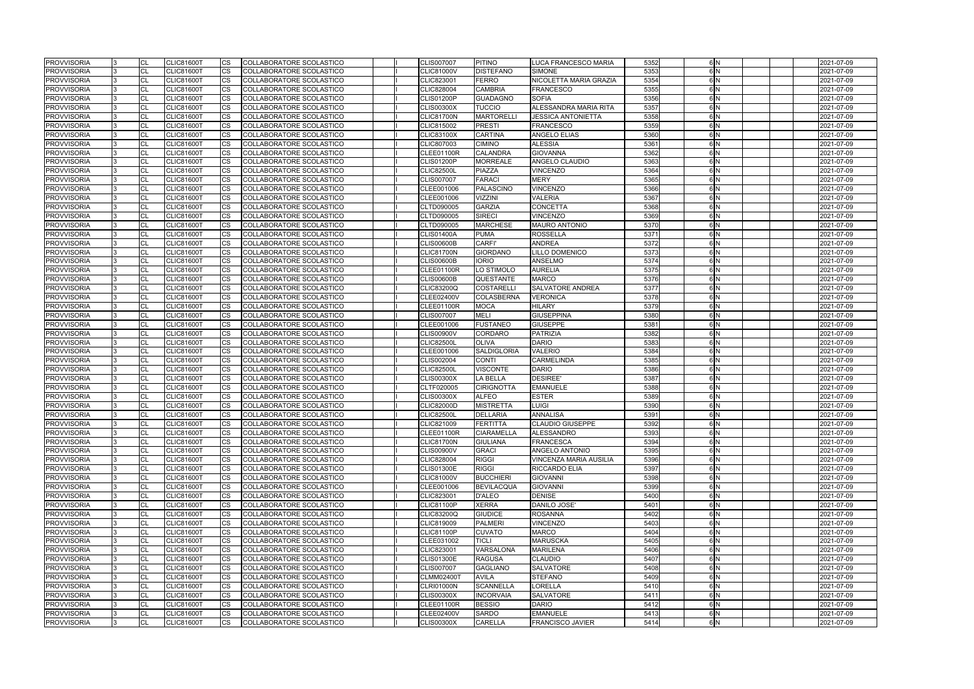| <b>PROVVISORIA</b> | 13  | <b>CL</b>              | <b>CLIC81600T</b> | CS        | COLLABORATORE SCOLASTICO        |  | <b>CLIS007007</b> | PITINO             | LUCA FRANCESCO MARIA      | 5352 | 6 N            | 2021-07-09 |
|--------------------|-----|------------------------|-------------------|-----------|---------------------------------|--|-------------------|--------------------|---------------------------|------|----------------|------------|
| <b>PROVVISORIA</b> |     | <b>CL</b>              | <b>CLIC81600T</b> | <b>CS</b> | COLLABORATORE SCOLASTICO        |  | <b>CLIC81000V</b> | <b>DISTEFANO</b>   | <b>SIMONE</b>             | 5353 | 6N             | 2021-07-09 |
| <b>PROVVISORIA</b> |     | <b>CL</b>              | <b>CLIC81600T</b> | CS        | COLLABORATORE SCOLASTICO        |  | CLIC823001        | <b>FERRO</b>       | NICOLETTA MARIA GRAZIA    | 5354 | 6N             | 2021-07-09 |
| <b>PROVVISORIA</b> |     | <b>CL</b>              | <b>CLIC81600T</b> | CS        | COLLABORATORE SCOLASTICO        |  | <b>CLIC828004</b> | <b>CAMBRIA</b>     | <b>FRANCESCO</b>          | 5355 | 6N             | 2021-07-09 |
| <b>PROVVISORIA</b> |     | <b>CL</b>              | <b>CLIC81600T</b> | СS        | COLLABORATORE SCOLASTICO        |  | CLIS01200P        | <b>GUADAGNO</b>    | SOFIA                     | 5356 | 6N             | 2021-07-09 |
| <b>PROVVISORIA</b> |     | CL                     | <b>CLIC81600T</b> | CS        | COLLABORATORE SCOLASTICO        |  | <b>CLIS00300X</b> | <b>TUCCIO</b>      | ALESSANDRA MARIA RITA     | 5357 | 6 <sub>N</sub> | 2021-07-09 |
| PROVVISORIA        |     | <b>CL</b>              | <b>CLIC81600T</b> | CS        | COLLABORATORE SCOLASTICO        |  | <b>CLIC81700N</b> | <b>MARTORELLI</b>  | <b>JESSICA ANTONIETTA</b> | 5358 | 6N             | 2021-07-09 |
| <b>PROVVISORIA</b> |     | <b>CL</b>              | <b>CLIC81600T</b> | CS        | COLLABORATORE SCOLASTICO        |  | CLIC815002        | <b>PRESTI</b>      | <b>FRANCESCO</b>          | 5359 | 6 <sub>N</sub> | 2021-07-09 |
| <b>PROVVISORIA</b> |     | CL                     | <b>CLIC81600T</b> | CS        | COLLABORATORE SCOLASTICO        |  | <b>CLIC83100X</b> | <b>CARTINA</b>     | ANGELO ELIAS              | 5360 | 6N             | 2021-07-09 |
| <b>PROVVISORIA</b> |     | <b>CL</b>              | <b>CLIC81600T</b> | CS.       | COLLABORATORE SCOLASTICO        |  | CLIC807003        | <b>CIMINO</b>      | <b>ALESSIA</b>            | 5361 | 6 <sub>N</sub> | 2021-07-09 |
| <b>PROVVISORIA</b> |     | <b>CL</b>              | <b>CLIC81600T</b> | СS        | COLLABORATORE SCOLASTICO        |  | <b>CLEE01100R</b> | <b>CALANDRA</b>    | <b>GIOVANNA</b>           | 5362 | 6 <sub>N</sub> | 2021-07-09 |
| <b>PROVVISORIA</b> |     | <b>CL</b>              | <b>CLIC81600T</b> | CS        | COLLABORATORE SCOLASTICO        |  | CLIS01200P        | <b>MORREALE</b>    | ANGELO CLAUDIO            | 5363 | 6N             | 2021-07-09 |
| <b>PROVVISORIA</b> |     | <b>CL</b>              | <b>CLIC81600T</b> | CS        | COLLABORATORE SCOLASTICO        |  | <b>CLIC82500L</b> | PIAZZA             | <b>VINCENZO</b>           | 5364 | 6 <sub>N</sub> | 2021-07-09 |
| PROVVISORIA        |     | <b>CL</b>              | <b>CLIC81600T</b> | CS        | COLLABORATORE SCOLASTICO        |  | <b>CLIS007007</b> | <b>FARACI</b>      | <b>MERY</b>               | 5365 | 6N             | 2021-07-09 |
| <b>PROVVISORIA</b> |     | <b>CL</b>              | <b>CLIC81600T</b> | <b>CS</b> | COLLABORATORE SCOLASTICO        |  | CLEE001006        | PALASCINO          | <b>VINCENZO</b>           | 5366 | 6N             | 2021-07-09 |
| <b>PROVVISORIA</b> |     | <b>CL</b>              | <b>CLIC81600T</b> | CS.       | COLLABORATORE SCOLASTICO        |  | CLEE001006        | <b>VIZZINI</b>     | <b>VALERIA</b>            | 5367 | 6N             | 2021-07-09 |
| <b>PROVVISORIA</b> |     | <b>CL</b>              | <b>CLIC81600T</b> | СS        | COLLABORATORE SCOLASTICO        |  | CLTD090005        | <b>GARZIA</b>      | CONCETTA                  | 5368 | 6 <sub>N</sub> | 2021-07-09 |
| <b>PROVVISORIA</b> |     | <b>CL</b>              | <b>CLIC81600T</b> | CS        | COLLABORATORE SCOLASTICO        |  | CLTD090005        | <b>SIRECI</b>      | <b>VINCENZO</b>           | 5369 | 6N             | 2021-07-09 |
| <b>PROVVISORIA</b> |     | <b>CL</b>              | <b>CLIC81600T</b> | CS        | COLLABORATORE SCOLASTICO        |  | CLTD090005        | <b>MARCHESE</b>    | <b>MAURO ANTONIO</b>      | 5370 | 6N             | 2021-07-09 |
| <b>PROVVISORIA</b> |     | <b>CL</b>              | <b>CLIC81600T</b> | CS        | COLLABORATORE SCOLASTICO        |  | <b>CLIS01400A</b> | <b>PUMA</b>        | <b>ROSSELLA</b>           | 5371 | 6 <sub>N</sub> | 2021-07-09 |
| <b>PROVVISORIA</b> |     | <b>CL</b>              | <b>CLIC81600T</b> | CS        | COLLABORATORE SCOLASTICO        |  | <b>CLIS00600B</b> | <b>CARFI'</b>      | ANDREA                    | 5372 | 6N             | 2021-07-09 |
| <b>PROVVISORIA</b> |     | <b>CL</b>              | <b>CLIC81600T</b> | CS.       | <b>COLLABORATORE SCOLASTICO</b> |  | <b>CLIC81700N</b> | <b>GIORDANO</b>    | <b>LILLO DOMENICO</b>     | 5373 | 6N             | 2021-07-09 |
| <b>PROVVISORIA</b> |     | <b>CL</b>              | <b>CLIC81600T</b> | CS        | COLLABORATORE SCOLASTICO        |  | <b>CLIS00600B</b> | <b>IORIO</b>       | ANSELMO                   | 5374 | 6N             | 2021-07-09 |
| <b>PROVVISORIA</b> |     | <b>CL</b>              | <b>CLIC81600T</b> | CS        | COLLABORATORE SCOLASTICO        |  | <b>CLEE01100R</b> | LO STIMOLO         | <b>AURELIA</b>            | 5375 | 6N             | 2021-07-09 |
| <b>PROVVISORIA</b> |     | <b>CL</b>              | <b>CLIC81600T</b> | СS        | COLLABORATORE SCOLASTICO        |  | <b>CLIS00600B</b> | <b>QUESTANTE</b>   | <b>MARCO</b>              | 5376 | 6N             | 2021-07-09 |
| <b>PROVVISORIA</b> |     | <b>CL</b>              | <b>CLIC81600T</b> | CS        | COLLABORATORE SCOLASTICO        |  | CLIC83200Q        | <b>COSTARELLI</b>  | <b>SALVATORE ANDREA</b>   | 5377 | 6 N            | 2021-07-09 |
| <b>PROVVISORIA</b> |     | <b>CL</b>              | <b>CLIC81600T</b> | CS        | COLLABORATORE SCOLASTICO        |  | <b>CLEE02400V</b> | <b>COLASBERNA</b>  | <b>VERONICA</b>           | 5378 | 6N             | 2021-07-09 |
| <b>PROVVISORIA</b> |     | <b>CL</b>              | <b>CLIC81600T</b> | CS        | COLLABORATORE SCOLASTICO        |  | CLEE01100R        | <b>MOCA</b>        | <b>HILARY</b>             | 5379 | 6N             | 2021-07-09 |
| <b>PROVVISORIA</b> |     | <b>CL</b>              | <b>CLIC81600T</b> | CS        | COLLABORATORE SCOLASTICO        |  | <b>CLIS007007</b> | <b>MELI</b>        | <b>GIUSEPPINA</b>         | 5380 | 6N             | 2021-07-09 |
| <b>PROVVISORIA</b> |     | <b>CL</b>              | <b>CLIC81600T</b> | СS        | COLLABORATORE SCOLASTICO        |  | CLEE001006        | <b>FUSTANEO</b>    | <b>GIUSEPPE</b>           | 5381 | 6N             | 2021-07-09 |
| <b>PROVVISORIA</b> |     | <b>CL</b>              | CLIC81600T        | CS        | COLLABORATORE SCOLASTICO        |  | <b>CLIS00900V</b> | <b>CORDARO</b>     | PATRIZIA                  | 5382 | 6N             | 2021-07-09 |
| <b>PROVVISORIA</b> |     | CL                     | <b>CLIC81600T</b> | CS        | COLLABORATORE SCOLASTICO        |  | <b>CLIC82500L</b> | <b>OLIVA</b>       | <b>DARIO</b>              | 5383 | 6 N            | 2021-07-09 |
| <b>PROVVISORIA</b> |     | CL                     | <b>CLIC81600T</b> | CS        | COLLABORATORE SCOLASTICO        |  | CLEE001006        | <b>SALDIGLORIA</b> | <b>VALERIO</b>            | 5384 | 6 <sub>N</sub> | 2021-07-09 |
| <b>PROVVISORIA</b> |     | <b>CL</b>              | <b>CLIC81600T</b> | CS        | COLLABORATORE SCOLASTICO        |  | CLIS002004        | <b>CONTI</b>       | CARMELINDA                | 5385 | 6N             | 2021-07-09 |
| <b>PROVVISORIA</b> |     | <b>CL</b>              | <b>CLIC81600T</b> | CS        | COLLABORATORE SCOLASTICO        |  | <b>CLIC82500L</b> | <b>VISCONTE</b>    | <b>DARIO</b>              | 5386 | 6 <sub>N</sub> | 2021-07-09 |
| <b>PROVVISORIA</b> |     | <b>CL</b>              | <b>CLIC81600T</b> | СS        | COLLABORATORE SCOLASTICO        |  | <b>CLIS00300X</b> | <b>LA BELLA</b>    | <b>DESIREE'</b>           | 5387 | 6N             | 2021-07-09 |
| <b>PROVVISORIA</b> |     | <b>CL</b>              | <b>CLIC81600T</b> | CS        | COLLABORATORE SCOLASTICO        |  | CLTF020005        | <b>CIRIGNOTTA</b>  | <b>EMANUELE</b>           | 5388 | 6N             | 2021-07-09 |
| <b>PROVVISORIA</b> |     | <b>CL</b>              | CLIC81600T        | CS        | COLLABORATORE SCOLASTICO        |  | <b>CLIS00300X</b> | <b>ALFEO</b>       | <b>ESTER</b>              | 5389 | 6N             | 2021-07-09 |
| <b>PROVVISORIA</b> |     | CL                     | <b>CLIC81600T</b> | CS        | COLLABORATORE SCOLASTICO        |  | <b>CLIC82000D</b> | <b>MISTRETTA</b>   | LUIGI                     | 5390 | 6 <sub>N</sub> | 2021-07-09 |
| <b>PROVVISORIA</b> | 13. | <b>CL</b>              | <b>CLIC81600T</b> | <b>CS</b> | <b>COLLABORATORE SCOLASTICO</b> |  | <b>CLIC82500L</b> | <b>DELLARIA</b>    | ANNALISA                  | 5391 | 6N             | 2021-07-09 |
| <b>PROVVISORIA</b> |     | $\overline{C}$         | CLIC81600T        | <b>CS</b> | COLLABORATORE SCOLASTICO        |  | CLIC821009        | <b>FERTITTA</b>    | <b>CLAUDIO GIUSEPPE</b>   | 5392 | 6N             | 2021-07-09 |
| <b>PROVVISORIA</b> |     | <b>CL</b>              | <b>CLIC81600T</b> | CS        | COLLABORATORE SCOLASTICO        |  | CLEE01100R        | <b>CIARAMELLA</b>  | ALESSANDRO                | 5393 | 6 <sub>N</sub> | 2021-07-09 |
| <b>PROVVISORIA</b> |     | <b>CL</b>              | <b>CLIC81600T</b> | CS        | COLLABORATORE SCOLASTICO        |  | CLIC81700N        | <b>GIULIANA</b>    | <b>FRANCESCA</b>          | 5394 | 6 N            | 2021-07-09 |
| <b>PROVVISORIA</b> |     | <b>CL</b>              | <b>CLIC81600T</b> | <b>CS</b> | COLLABORATORE SCOLASTICO        |  | <b>CLIS00900V</b> | <b>GRACI</b>       | ANGELO ANTONIO            | 5395 | 6 N            | 2021-07-09 |
| <b>PROVVISORIA</b> |     | <b>CL</b>              | <b>CLIC81600T</b> | CS        | COLLABORATORE SCOLASTICO        |  | CLIC828004        | <b>RIGGI</b>       | VINCENZA MARIA AUSILIA    | 5396 | 6 N            | 2021-07-09 |
| <b>PROVVISORIA</b> |     | <b>CL</b>              | <b>CLIC81600T</b> | CS        | COLLABORATORE SCOLASTICO        |  | <b>CLIS01300E</b> | <b>RIGGI</b>       | RICCARDO ELIA             | 5397 | 6N             | 2021-07-09 |
| <b>PROVVISORIA</b> |     | <b>CL</b>              | <b>CLIC81600T</b> | CS        | COLLABORATORE SCOLASTICO        |  | <b>CLIC81000V</b> | <b>BUCCHIERI</b>   | GIOVANNI                  | 5398 | 6N             | 2021-07-09 |
| <b>PROVVISORIA</b> |     | <b>CL</b>              | <b>CLIC81600T</b> | CS        | COLLABORATORE SCOLASTICO        |  | CLEE001006        | <b>BEVILACQUA</b>  | <b>GIOVANNI</b>           | 5399 | 6 <sub>N</sub> | 2021-07-09 |
| <b>PROVVISORIA</b> |     | <b>CL</b>              | <b>CLIC81600T</b> | CS        | COLLABORATORE SCOLASTICO        |  | CLIC823001        | <b>D'ALEO</b>      | <b>DENISE</b>             | 5400 | 6 <sub>N</sub> | 2021-07-09 |
| <b>PROVVISORIA</b> |     | <b>CL</b>              | <b>CLIC81600T</b> | CS        | COLLABORATORE SCOLASTICO        |  | <b>CLIC81100P</b> | <b>XERRA</b>       | DANILO JOSE'              | 5401 | 6 N            | 2021-07-09 |
| <b>PROVVISORIA</b> |     | CL                     | <b>CLIC81600T</b> | CS        | COLLABORATORE SCOLASTICO        |  | CLIC83200Q        | <b>GIUDICE</b>     | <b>ROSANNA</b>            | 5402 | 6 N            | 2021-07-09 |
| <b>PROVVISORIA</b> |     | <b>CL</b>              | <b>CLIC81600T</b> | CS        | COLLABORATORE SCOLASTICO        |  | <b>CLIC819009</b> | <b>PALMERI</b>     | <b>VINCENZO</b>           | 5403 | 6N             | 2021-07-09 |
| <b>PROVVISORIA</b> |     | <b>CL</b>              | <b>CLIC81600T</b> | CS        | COLLABORATORE SCOLASTICO        |  | <b>CLIC81100P</b> | <b>CUVATO</b>      | MARCO                     | 5404 | 6 <sub>N</sub> | 2021-07-09 |
| PROVVISORIA        |     | <b>CL</b>              | <b>CLIC81600T</b> | <b>CS</b> | COLLABORATORE SCOLASTICO        |  | CLEE031002        | <b>TICLI</b>       | <b>MARUSCKA</b>           | 5405 | 6 N            | 2021-07-09 |
| <b>PROVVISORIA</b> |     | <b>CL</b>              | <b>CLIC81600T</b> | CS        | COLLABORATORE SCOLASTICO        |  | CLIC823001        | VARSALONA          | MARILENA                  | 5406 | 6 N            | 2021-07-09 |
| <b>PROVVISORIA</b> |     | <b>CL</b>              | <b>CLIC81600T</b> | CS        | COLLABORATORE SCOLASTICO        |  | <b>CLIS01300E</b> | <b>RAGUSA</b>      | <b>CLAUDIO</b>            | 5407 | 6 N            | 2021-07-09 |
| <b>PROVVISORIA</b> |     | CL                     | <b>CLIC81600T</b> | CS        | COLLABORATORE SCOLASTICO        |  | <b>CLIS007007</b> | <b>GAGLIANO</b>    | SALVATORE                 | 5408 | 6 N            | 2021-07-09 |
| <b>PROVVISORIA</b> |     | CL                     | <b>CLIC81600T</b> | CS        | COLLABORATORE SCOLASTICO        |  | <b>CLMM02400T</b> | <b>AVILA</b>       | STEFANO                   | 5409 | 6 <sub>N</sub> | 2021-07-09 |
| <b>PROVVISORIA</b> |     | <b>CL</b>              | <b>CLIC81600T</b> | CS        | COLLABORATORE SCOLASTICO        |  | <b>CLRI01000N</b> | <b>SCANNELLA</b>   | LORELLA                   | 5410 | 6N             | 2021-07-09 |
| <b>PROVVISORIA</b> |     | <b>CL</b>              | <b>CLIC81600T</b> | CS        | COLLABORATORE SCOLASTICO        |  | <b>CLIS00300X</b> | <b>INCORVAIA</b>   | <b>SALVATORE</b>          | 5411 | 6 <sub>N</sub> | 2021-07-09 |
| <b>PROVVISORIA</b> |     |                        | <b>CLIC81600T</b> |           | COLLABORATORE SCOLASTICO        |  | CLEE01100R        | <b>BESSIO</b>      | DARIO                     | 5412 | 6 N            | 2021-07-09 |
| <b>PROVVISORIA</b> |     | <b>CL</b><br><b>CL</b> | <b>CLIC81600T</b> | CS        | COLLABORATORE SCOLASTICO        |  | <b>CLEE02400V</b> | SARDO              | <b>EMANUELE</b>           | 5413 | 6 N            | 2021-07-09 |
|                    |     |                        |                   | CS        |                                 |  |                   |                    | FRANCISCO JAVIER          | 5414 | 6 N            |            |
| <b>PROVVISORIA</b> |     | <b>CL</b>              | <b>CLIC81600T</b> | CS        | COLLABORATORE SCOLASTICO        |  | <b>CLIS00300X</b> | <b>CARELLA</b>     |                           |      |                | 2021-07-09 |

|  |  | 2021-07-09               |
|--|--|--------------------------|
|  |  | 2021-07-09               |
|  |  | 2021-07-09               |
|  |  | 2021-07-09               |
|  |  | 2021-07-09               |
|  |  | 2021-07-09               |
|  |  | 2021-07-09               |
|  |  | 2021-07-09               |
|  |  | 2021-07-09               |
|  |  | 2021-07-09               |
|  |  | 2021-07-09               |
|  |  | 2021-07-09               |
|  |  | 2021-07-09               |
|  |  | 2021-07-09               |
|  |  | 2021-07-09               |
|  |  | 2021-07-09               |
|  |  | 2021-07-09               |
|  |  | 2021-07-09               |
|  |  | 2021-07-09               |
|  |  | 2021-07-09               |
|  |  | 2021-07-09               |
|  |  | 2021-07-09               |
|  |  | 2021-07-09               |
|  |  | 2021-07-09               |
|  |  | 2021-07-09               |
|  |  | 2021-07-09               |
|  |  | 2021-07-09               |
|  |  | 2021-07-09               |
|  |  | 2021-07-09               |
|  |  | 2021-07-09               |
|  |  | 2021-07-09               |
|  |  | 2021-07-09               |
|  |  | 2021-07-09               |
|  |  | 2021-07-09               |
|  |  | 2021-07-09               |
|  |  | 2021-07-09               |
|  |  | 2021-07-09               |
|  |  | 2021-07-09               |
|  |  | 2021-07-09               |
|  |  | 2021-07-09               |
|  |  | 2021-07-09               |
|  |  | 2021-07-09               |
|  |  | 2021-07-09               |
|  |  | 2021-07-09               |
|  |  | 2021-07-09               |
|  |  | 2021-07-09               |
|  |  | 2021-07-09               |
|  |  | 2021-07-09               |
|  |  | 2021-07-09               |
|  |  | 2021-07-09               |
|  |  | 2021-07-09               |
|  |  | 2021-07-09               |
|  |  | 2021-07-09               |
|  |  |                          |
|  |  | 2021-07-09<br>2021-07-09 |
|  |  |                          |
|  |  | 2021-07-09               |
|  |  | 2021-07-09               |
|  |  | 2021-07-09               |
|  |  | 2021-07-09               |
|  |  | 2021-07-09               |
|  |  | 2021-07-09               |
|  |  | 2021-07-09               |
|  |  | 2021-07-09               |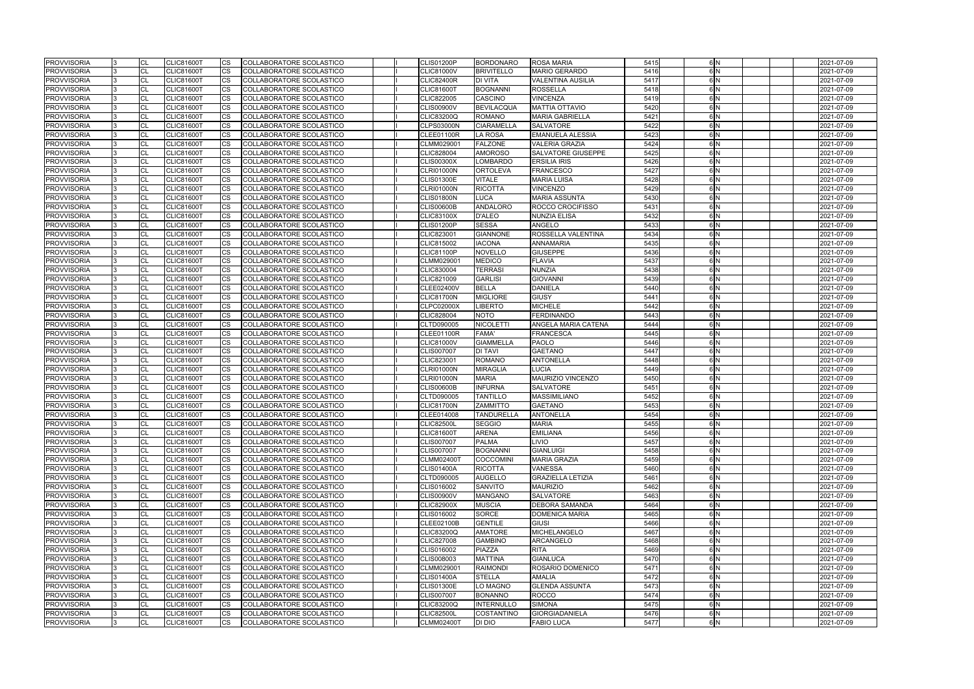| <b>PROVVISORIA</b> | ıз  | <b>CL</b>      | <b>CLIC81600T</b> | CS        | COLLABORATORE SCOLASTICO        |  | <b>CLIS01200P</b> | <b>BORDONARO</b>  | <b>ROSA MARIA</b>        | 5415 | 6 N            | 2021-07-09 |
|--------------------|-----|----------------|-------------------|-----------|---------------------------------|--|-------------------|-------------------|--------------------------|------|----------------|------------|
| <b>PROVVISORIA</b> |     | <b>CL</b>      | <b>CLIC81600T</b> | CS        | COLLABORATORE SCOLASTICO        |  | <b>CLIC81000V</b> | <b>BRIVITELLO</b> | <b>MARIO GERARDO</b>     | 5416 | 6N             | 2021-07-09 |
| <b>PROVVISORIA</b> |     | <b>CL</b>      | <b>CLIC81600T</b> | CS        | COLLABORATORE SCOLASTICO        |  | <b>CLIC82400R</b> | <b>DI VITA</b>    | VALENTINA AUSILIA        | 5417 | 6N             | 2021-07-09 |
| <b>PROVVISORIA</b> |     | <b>CL</b>      | <b>CLIC81600T</b> | CS        | <b>COLLABORATORE SCOLASTICO</b> |  | <b>CLIC81600T</b> | <b>BOGNANNI</b>   | <b>ROSSELLA</b>          | 5418 | 6N             | 2021-07-09 |
| <b>PROVVISORIA</b> |     | <b>CL</b>      | <b>CLIC81600T</b> | СS        | COLLABORATORE SCOLASTICO        |  | <b>CLIC822005</b> | <b>CASCINO</b>    | <b>VINCENZA</b>          | 5419 | 6N             | 2021-07-09 |
| <b>PROVVISORIA</b> |     | CL             | CLIC81600T        | CS        | COLLABORATORE SCOLASTICO        |  | <b>CLIS00900V</b> | <b>BEVILACQUA</b> | MATTIA OTTAVIO           | 5420 | 6 <sub>N</sub> | 2021-07-09 |
| PROVVISORIA        |     | <b>CL</b>      | <b>CLIC81600T</b> | CS        | COLLABORATORE SCOLASTICO        |  | <b>CLIC83200Q</b> | <b>ROMANO</b>     | <b>MARIA GABRIELLA</b>   | 5421 | 6N             | 2021-07-09 |
| <b>PROVVISORIA</b> |     | CL             | <b>CLIC81600T</b> | CS        | COLLABORATORE SCOLASTICO        |  | <b>CLPS03000N</b> | <b>CIARAMELLA</b> | <b>SALVATORE</b>         | 5422 | 6 <sub>N</sub> | 2021-07-09 |
| <b>PROVVISORIA</b> |     | CL             | CLIC81600T        | CS        | COLLABORATORE SCOLASTICO        |  | CLEE01100R        | <b>LA ROSA</b>    | <b>EMANUELA ALESSIA</b>  | 5423 | 6N             | 2021-07-09 |
| <b>PROVVISORIA</b> |     | <b>CL</b>      | <b>CLIC81600T</b> | CS        | COLLABORATORE SCOLASTICO        |  | CLMM029001        | <b>FALZONE</b>    | <b>VALERIA GRAZIA</b>    | 5424 | 6 <sub>N</sub> | 2021-07-09 |
| <b>PROVVISORIA</b> |     | CL             | <b>CLIC81600T</b> | СS        | COLLABORATORE SCOLASTICO        |  | <b>CLIC828004</b> | <b>AMOROSO</b>    | SALVATORE GIUSEPPE       | 5425 | 6 <sub>N</sub> | 2021-07-09 |
| <b>PROVVISORIA</b> |     | <b>CL</b>      | CLIC81600T        | CS        | COLLABORATORE SCOLASTICO        |  | <b>CLIS00300X</b> | <b>LOMBARDO</b>   | ERSILIA IRIS             | 5426 | 6N             | 2021-07-09 |
| <b>PROVVISORIA</b> |     | <b>CL</b>      | <b>CLIC81600T</b> | CS        | COLLABORATORE SCOLASTICO        |  | <b>CLRI01000N</b> | <b>ORTOLEVA</b>   | <b>FRANCESCO</b>         | 5427 | 6 N            | 2021-07-09 |
| PROVVISORIA        |     | <b>CL</b>      | <b>CLIC81600T</b> | CS        | COLLABORATORE SCOLASTICO        |  | <b>CLIS01300E</b> | <b>VITALE</b>     | <b>MARIA LUISA</b>       | 5428 | 6N             | 2021-07-09 |
| <b>PROVVISORIA</b> |     | <b>CL</b>      | <b>CLIC81600T</b> | <b>CS</b> | COLLABORATORE SCOLASTICO        |  | <b>CLRI01000N</b> | <b>RICOTTA</b>    | <b>VINCENZO</b>          | 5429 | 6N             | 2021-07-09 |
| <b>PROVVISORIA</b> |     | <b>CL</b>      | <b>CLIC81600T</b> | CS.       | COLLABORATORE SCOLASTICO        |  | <b>CLIS01800N</b> | <b>LUCA</b>       | <b>MARIA ASSUNTA</b>     | 5430 | 6N             | 2021-07-09 |
| <b>PROVVISORIA</b> |     | <b>CL</b>      | <b>CLIC81600T</b> | СS        | COLLABORATORE SCOLASTICO        |  | <b>CLIS00600B</b> | <b>ANDALORO</b>   | ROCCO CROCIFISSO         | 5431 | 6 <sub>N</sub> | 2021-07-09 |
| <b>PROVVISORIA</b> |     | <b>CL</b>      | <b>CLIC81600T</b> | CS        | COLLABORATORE SCOLASTICO        |  | <b>CLIC83100X</b> | <b>D'ALEO</b>     | NUNZIA ELISA             | 5432 | 6N             | 2021-07-09 |
| <b>PROVVISORIA</b> |     | <b>CL</b>      | <b>CLIC81600T</b> | CS        | COLLABORATORE SCOLASTICO        |  | <b>CLIS01200P</b> | <b>SESSA</b>      | ANGELO                   | 5433 | 6N             | 2021-07-09 |
| <b>PROVVISORIA</b> |     | <b>CL</b>      | <b>CLIC81600T</b> | CS        | COLLABORATORE SCOLASTICO        |  | CLIC823001        | <b>GIANNONE</b>   | ROSSELLA VALENTINA       | 5434 | 6 <sub>N</sub> | 2021-07-09 |
| <b>PROVVISORIA</b> |     | <b>CL</b>      | <b>CLIC81600T</b> | CS        | COLLABORATORE SCOLASTICO        |  | CLIC815002        | <b>IACONA</b>     | <b>ANNAMARIA</b>         | 5435 | 6N             | 2021-07-09 |
| <b>PROVVISORIA</b> |     | <b>CL</b>      | <b>CLIC81600T</b> | CS.       | COLLABORATORE SCOLASTICO        |  | <b>CLIC81100P</b> | <b>NOVELLO</b>    | <b>GIUSEPPE</b>          | 5436 | 6 <sub>N</sub> | 2021-07-09 |
| <b>PROVVISORIA</b> |     | CL             | <b>CLIC81600T</b> | CS        | COLLABORATORE SCOLASTICO        |  | CLMM029001        | <b>MEDICO</b>     | FLAVIA                   | 5437 | 6 <sub>N</sub> | 2021-07-09 |
| <b>PROVVISORIA</b> |     | <b>CL</b>      | <b>CLIC81600T</b> | CS        | COLLABORATORE SCOLASTICO        |  | CLIC830004        | <b>TERRASI</b>    | <b>NUNZIA</b>            | 5438 | 6 <sub>N</sub> | 2021-07-09 |
| <b>PROVVISORIA</b> |     | <b>CL</b>      | <b>CLIC81600T</b> | СS        | COLLABORATORE SCOLASTICO        |  | CLIC821009        | <b>GARLISI</b>    | <b>GIOVANNI</b>          | 5439 | 6N             | 2021-07-09 |
| <b>PROVVISORIA</b> |     | <b>CL</b>      | <b>CLIC81600T</b> | CS        | COLLABORATORE SCOLASTICO        |  | CLEE02400V        | <b>BELLA</b>      | <b>DANIELA</b>           | 5440 | 6 N            | 2021-07-09 |
| <b>PROVVISORIA</b> |     | <b>CL</b>      | <b>CLIC81600T</b> | CS        | COLLABORATORE SCOLASTICO        |  | <b>CLIC81700N</b> | <b>MIGLIORE</b>   | <b>GIUSY</b>             | 5441 | 6N             | 2021-07-09 |
| <b>PROVVISORIA</b> |     | <b>CL</b>      | CLIC81600T        | CS        | COLLABORATORE SCOLASTICO        |  | <b>CLPC02000X</b> | <b>LIBERTO</b>    | MICHELE                  | 5442 | 6N             | 2021-07-09 |
| <b>PROVVISORIA</b> |     | <b>CL</b>      | <b>CLIC81600T</b> | CS        | COLLABORATORE SCOLASTICO        |  | <b>CLIC828004</b> | <b>NOTO</b>       | <b>FERDINANDO</b>        | 5443 | 6N             | 2021-07-09 |
| <b>PROVVISORIA</b> |     | <b>CL</b>      | <b>CLIC81600T</b> | СS        | COLLABORATORE SCOLASTICO        |  | CLTD090005        | <b>NICOLETTI</b>  | ANGELA MARIA CATENA      | 5444 | 6N             | 2021-07-09 |
| <b>PROVVISORIA</b> |     | <b>CL</b>      | <b>CLIC81600T</b> | CS        | COLLABORATORE SCOLASTICO        |  | CLEE01100R        | <b>FAMA'</b>      | FRANCESCA                | 5445 | 6 <sub>N</sub> | 2021-07-09 |
| <b>PROVVISORIA</b> |     | CL             | <b>CLIC81600T</b> | CS        | COLLABORATORE SCOLASTICO        |  | <b>CLIC81000V</b> | <b>GIAMMELLA</b>  | <b>PAOLO</b>             | 5446 | 6 N            | 2021-07-09 |
| <b>PROVVISORIA</b> |     | CL             | <b>CLIC81600T</b> | CS        | COLLABORATORE SCOLASTICO        |  | <b>CLIS007007</b> | <b>DI TAVI</b>    | <b>GAETANO</b>           | 5447 | 6 <sub>N</sub> | 2021-07-09 |
| <b>PROVVISORIA</b> |     | <b>CL</b>      | <b>CLIC81600T</b> | CS        | COLLABORATORE SCOLASTICO        |  | CLIC823001        | <b>ROMANO</b>     | <b>ANTONELLA</b>         | 5448 | 6N             | 2021-07-09 |
| <b>PROVVISORIA</b> |     | <b>CL</b>      | <b>CLIC81600T</b> | CS        | COLLABORATORE SCOLASTICO        |  | <b>CLRI01000N</b> | <b>MIRAGLIA</b>   | LUCIA                    | 5449 | 6 <sub>N</sub> | 2021-07-09 |
| <b>PROVVISORIA</b> |     | <b>CL</b>      | <b>CLIC81600T</b> | СS        | COLLABORATORE SCOLASTICO        |  | CLRI01000N        | <b>MARIA</b>      | <b>MAURIZIO VINCENZO</b> | 5450 | 6N             | 2021-07-09 |
| <b>PROVVISORIA</b> |     | <b>CL</b>      | <b>CLIC81600T</b> | CS        | COLLABORATORE SCOLASTICO        |  | <b>CLIS00600B</b> | <b>INFURNA</b>    | <b>SALVATORE</b>         | 5451 | 6N             | 2021-07-09 |
| <b>PROVVISORIA</b> |     | CL             | <b>CLIC81600T</b> | CS        | COLLABORATORE SCOLASTICO        |  | CLTD090005        | <b>TANTILLO</b>   | <b>MASSIMILIANO</b>      | 5452 | 6 N            | 2021-07-09 |
| <b>PROVVISORIA</b> |     | CL             | <b>CLIC81600T</b> | CS        | COLLABORATORE SCOLASTICO        |  | CLIC81700N        | <b>ZAMMITTO</b>   | GAETANO                  | 5453 | 6 <sub>N</sub> | 2021-07-09 |
| <b>PROVVISORIA</b> | 13. | <b>CL</b>      | <b>CLIC81600T</b> | CS.       | COLLABORATORE SCOLASTICO        |  | CLEE014008        | <b>TANDURELLA</b> | <b>ANTONELLA</b>         | 5454 | 6N             | 2021-07-09 |
| <b>PROVVISORIA</b> |     | $\overline{C}$ | CLIC81600T        | <b>CS</b> | <b>COLLABORATORE SCOLASTICO</b> |  | <b>CLIC82500L</b> | <b>SEGGIO</b>     | <b>MARIA</b>             | 5455 | 6N             | 2021-07-09 |
| <b>PROVVISORIA</b> |     | <b>CL</b>      | <b>CLIC81600T</b> | CS        | COLLABORATORE SCOLASTICO        |  | <b>CLIC81600T</b> | <b>ARENA</b>      | EMILIANA                 | 5456 | 6 N            | 2021-07-09 |
| <b>PROVVISORIA</b> |     | <b>CL</b>      | <b>CLIC81600T</b> | CS        | COLLABORATORE SCOLASTICO        |  | <b>CLIS007007</b> | <b>PALMA</b>      | LIVIO                    | 5457 | 6 N            | 2021-07-09 |
| <b>PROVVISORIA</b> |     | <b>CL</b>      | <b>CLIC81600T</b> | <b>CS</b> | COLLABORATORE SCOLASTICO        |  | <b>CLIS007007</b> | <b>BOGNANNI</b>   | GIANLUIGI                | 5458 | 6 N            | 2021-07-09 |
| <b>PROVVISORIA</b> |     | <b>CL</b>      | <b>CLIC81600T</b> | CS        | COLLABORATORE SCOLASTICO        |  | <b>CLMM02400T</b> | <b>COCCOMINI</b>  | <b>MARIA GRAZIA</b>      | 5459 | 6 N            | 2021-07-09 |
| <b>PROVVISORIA</b> |     | <b>CL</b>      | <b>CLIC81600T</b> | CS        | COLLABORATORE SCOLASTICO        |  | <b>CLIS01400A</b> | <b>RICOTTA</b>    | <b>VANESSA</b>           | 5460 | 6N             | 2021-07-09 |
| <b>PROVVISORIA</b> |     | <b>CL</b>      | <b>CLIC81600T</b> | CS        | COLLABORATORE SCOLASTICO        |  | CLTD090005        | <b>AUGELLO</b>    | <b>GRAZIELLA LETIZIA</b> | 5461 | 6N             | 2021-07-09 |
| <b>PROVVISORIA</b> |     | <b>CL</b>      | <b>CLIC81600T</b> | CS        | COLLABORATORE SCOLASTICO        |  | CLIS016002        | <b>SANVITO</b>    | <b>MAURIZIO</b>          | 5462 | 6 N            | 2021-07-09 |
| <b>PROVVISORIA</b> |     | <b>CL</b>      | <b>CLIC81600T</b> | CS        | COLLABORATORE SCOLASTICO        |  | <b>CLIS00900V</b> | <b>MANGANO</b>    | <b>SALVATORE</b>         | 5463 | 6 N            | 2021-07-09 |
| <b>PROVVISORIA</b> |     | <b>CL</b>      | <b>CLIC81600T</b> | CS        | COLLABORATORE SCOLASTICO        |  | <b>CLIC82900X</b> | <b>MUSCIA</b>     | <b>DEBORA SAMANDA</b>    | 5464 | 6 N            | 2021-07-09 |
| <b>PROVVISORIA</b> |     | CL             | <b>CLIC81600T</b> | CS        | COLLABORATORE SCOLASTICO        |  | CLIS016002        | SORCE             | DOMENICA MARIA           | 5465 | 6 N            | 2021-07-09 |
| <b>PROVVISORIA</b> |     | <b>CL</b>      | <b>CLIC81600T</b> | CS        | COLLABORATORE SCOLASTICO        |  | CLEE02100B        | <b>GENTILE</b>    | giusi                    | 5466 | 6N             | 2021-07-09 |
| <b>PROVVISORIA</b> |     | <b>CL</b>      | <b>CLIC81600T</b> | CS        | COLLABORATORE SCOLASTICO        |  | <b>CLIC83200Q</b> | <b>AMATORE</b>    | MICHELANGELO             | 5467 | 6 <sub>N</sub> | 2021-07-09 |
| PROVVISORIA        |     | <b>CL</b>      | <b>CLIC81600T</b> | <b>CS</b> | COLLABORATORE SCOLASTICO        |  | <b>CLIC827008</b> | <b>GAMBINO</b>    | ARCANGELO                | 5468 | 6 N            | 2021-07-09 |
| <b>PROVVISORIA</b> |     | <b>CL</b>      | <b>CLIC81600T</b> | CS        | COLLABORATORE SCOLASTICO        |  | CLIS016002        | PIAZZA            | RITA                     | 5469 | 6 N            | 2021-07-09 |
| <b>PROVVISORIA</b> |     | <b>CL</b>      | <b>CLIC81600T</b> | CS        | COLLABORATORE SCOLASTICO        |  | CLIS008003        | <b>MATTINA</b>    | <b>GIANLUCA</b>          | 5470 | 6 N            | 2021-07-09 |
| <b>PROVVISORIA</b> |     | CL             | <b>CLIC81600T</b> | CS        | COLLABORATORE SCOLASTICO        |  | CLMM029001        | <b>RAIMONDI</b>   | ROSARIO DOMENICO         | 5471 | 6 N            | 2021-07-09 |
| <b>PROVVISORIA</b> |     | CL             | <b>CLIC81600T</b> | CS        | COLLABORATORE SCOLASTICO        |  | <b>CLIS01400A</b> | <b>STELLA</b>     | AMALIA                   | 5472 | 6 <sub>N</sub> | 2021-07-09 |
| <b>PROVVISORIA</b> |     | <b>CL</b>      | <b>CLIC81600T</b> | CS        | COLLABORATORE SCOLASTICO        |  | <b>CLIS01300E</b> | <b>LO MAGNO</b>   | <b>GLENDA ASSUNTA</b>    | 5473 | 6N             | 2021-07-09 |
| <b>PROVVISORIA</b> |     | <b>CL</b>      | <b>CLIC81600T</b> | CS        | COLLABORATORE SCOLASTICO        |  | <b>CLIS007007</b> | <b>BONANNO</b>    | <b>ROCCO</b>             | 5474 | 6 <sub>N</sub> | 2021-07-09 |
| <b>PROVVISORIA</b> |     | <b>CL</b>      | <b>CLIC81600T</b> | CS        | COLLABORATORE SCOLASTICO        |  | <b>CLIC83200Q</b> | <b>INTERNULLO</b> | SIMONA                   | 5475 | 6 N            | 2021-07-09 |
| <b>PROVVISORIA</b> |     | <b>CL</b>      | <b>CLIC81600T</b> | CS        | COLLABORATORE SCOLASTICO        |  | <b>CLIC82500L</b> | <b>COSTANTINO</b> | <b>GIORGIADANIELA</b>    | 5476 | 6N             | 2021-07-09 |
| <b>PROVVISORIA</b> |     | <b>CL</b>      | <b>CLIC81600T</b> | CS        | COLLABORATORE SCOLASTICO        |  | <b>CLMM02400T</b> | <b>DI DIO</b>     | FABIO LUCA               | 5477 | 6 N            |            |
|                    |     |                |                   |           |                                 |  |                   |                   |                          |      |                | 2021-07-09 |

|  |  | 2021-07-09               |
|--|--|--------------------------|
|  |  | 2021-07-09               |
|  |  | 2021-07-09               |
|  |  | 2021-07-09               |
|  |  | 2021-07-09               |
|  |  | 2021-07-09               |
|  |  | 2021-07-09               |
|  |  | 2021-07-09               |
|  |  | 2021-07-09               |
|  |  | 2021-07-09               |
|  |  | 2021-07-09               |
|  |  | 2021-07-09               |
|  |  | 2021-07-09               |
|  |  | 2021-07-09               |
|  |  | 2021-07-09               |
|  |  | 2021-07-09               |
|  |  | 2021-07-09               |
|  |  | 2021-07-09               |
|  |  | 2021-07-09               |
|  |  | 2021-07-09               |
|  |  | 2021-07-09               |
|  |  | 2021-07-09               |
|  |  | 2021-07-09               |
|  |  | 2021-07-09               |
|  |  | 2021-07-09               |
|  |  | 2021-07-09               |
|  |  | 2021-07-09               |
|  |  | 2021-07-09               |
|  |  | 2021-07-09               |
|  |  | 2021-07-09               |
|  |  | 2021-07-09               |
|  |  | 2021-07-09               |
|  |  | 2021-07-09               |
|  |  | 2021-07-09               |
|  |  | 2021-07-09               |
|  |  | 2021-07-09               |
|  |  | 2021-07-09               |
|  |  | 2021-07-09               |
|  |  | 2021-07-09               |
|  |  | 2021-07-09               |
|  |  | 2021-07-09               |
|  |  | 2021-07-09               |
|  |  | 2021-07-09               |
|  |  | 2021-07-09               |
|  |  | 2021-07-09               |
|  |  | 2021-07-09               |
|  |  | 2021-07-09               |
|  |  | 2021-07-09               |
|  |  | 2021-07-09               |
|  |  | 2021-07-09               |
|  |  | 2021-07-09               |
|  |  | 2021-07-09               |
|  |  | 2021-07-09               |
|  |  |                          |
|  |  | 2021-07-09<br>2021-07-09 |
|  |  |                          |
|  |  | 2021-07-09               |
|  |  | 2021-07-09               |
|  |  | 2021-07-09               |
|  |  | 2021-07-09               |
|  |  | 2021-07-09               |
|  |  | 2021-07-09               |
|  |  | 2021-07-09               |
|  |  | 2021-07-09               |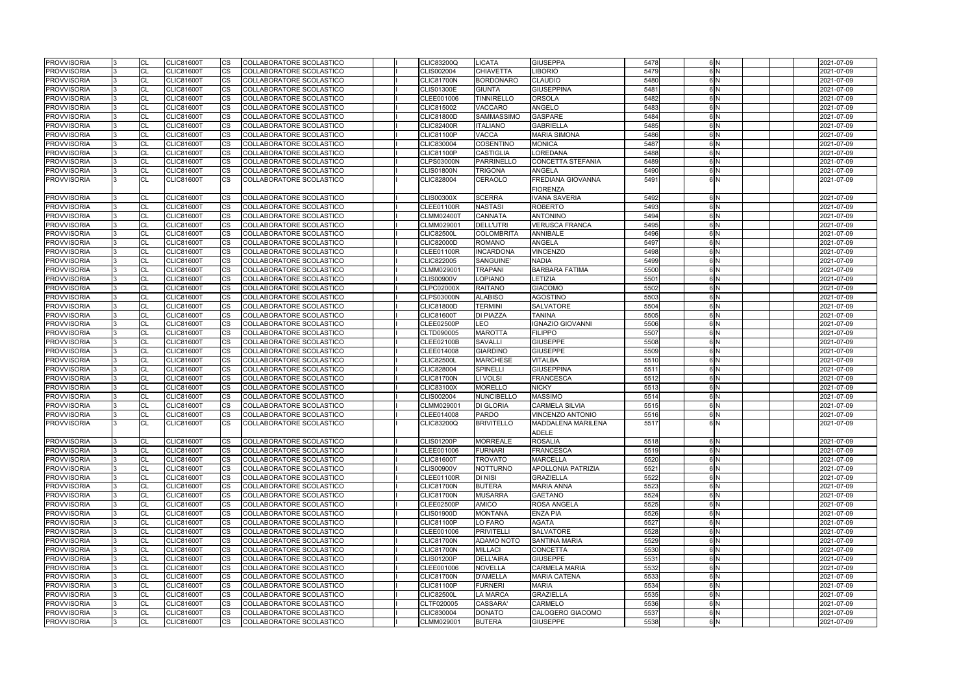| 5478 |   | 6N             |  | 2021-07-09 |
|------|---|----------------|--|------------|
| 5479 |   | 6N             |  | 2021-07-09 |
| 5480 |   | 6N             |  | 2021-07-09 |
| 5481 | 6 | N              |  | 2021-07-09 |
| 5482 | 6 | $\mathsf{N}$   |  | 2021-07-09 |
| 5483 | 6 | N              |  | 2021-07-09 |
| 5484 |   | 6N             |  | 2021-07-09 |
| 5485 | 6 | N              |  | 2021-07-09 |
| 5486 |   | 6N             |  | 2021-07-09 |
| 5487 | 6 | N              |  | 2021-07-09 |
| 5488 | 6 | $\mathsf{N}$   |  | 2021-07-09 |
| 5489 |   | 6 <sup>N</sup> |  | 2021-07-09 |
| 5490 |   | 6N             |  | 2021-07-09 |
| 5491 |   | 6N             |  | 2021-07-09 |
| 5492 |   | 6N             |  | 2021-07-09 |
| 5493 | 6 | N              |  | 2021-07-09 |
| 5494 |   | 6 N            |  | 2021-07-09 |
| 5495 |   | 6N             |  | 2021-07-09 |
| 5496 | 6 | N              |  | 2021-07-09 |
| 5497 |   | 6N             |  | 2021-07-09 |
| 5498 |   | 6N             |  | 2021-07-09 |
| 5499 | 6 | N              |  | 2021-07-09 |
| 5500 | 6 | N              |  | 2021-07-09 |
| 5501 |   | 6N             |  | 2021-07-09 |
| 5502 | 6 | N              |  | 2021-07-09 |
| 5503 |   | 6N             |  | 2021-07-09 |
| 5504 |   | 6N             |  | 2021-07-09 |
| 5505 | 6 | N              |  | 2021-07-09 |
| 5506 | 6 | N              |  | 2021-07-09 |
| 5507 | 6 | N              |  | 2021-07-09 |
| 5508 |   | 6N             |  | 2021-07-09 |
| 5509 |   | 6N             |  | 2021-07-09 |
| 5510 |   | 6N             |  | 2021-07-09 |
| 5511 |   | 6N             |  | 2021-07-09 |
| 5512 | 6 | $\mathsf{N}$   |  | 2021-07-09 |
| 5513 | 6 | N              |  | 2021-07-09 |
| 5514 |   | 6N             |  | 2021-07-09 |
| 5515 | 6 | N              |  | 2021-07-09 |
| 5516 |   | 6N             |  | 2021-07-09 |
| 5517 |   | 6N             |  | 2021-07-09 |
|      |   |                |  |            |
| 5518 |   | 6 N            |  | 2021-07-09 |
| 5519 |   | 6N             |  | 2021-07-09 |
| 5520 | 6 | N              |  | 2021-07-09 |
| 5521 |   | 6 N            |  | 2021-07-09 |
| 5522 | 6 | N              |  | 2021-07-09 |
| 5523 | 6 | N              |  | 2021-07-09 |
| 5524 | 6 | N              |  | 2021-07-09 |
| 5525 |   | 6N             |  | 2021-07-09 |
| 5526 | 6 | N              |  | 2021-07-09 |
| 5527 |   | 6N             |  | 2021-07-09 |
| 5528 |   | 6N             |  | 2021-07-09 |
| 5529 | 6 | N              |  | 2021-07-09 |
| 5530 | 6 | N              |  | 2021-07-09 |
| 5531 | 6 | N              |  | 2021-07-09 |
| 5532 |   | 6N             |  | 2021-07-09 |
| 5533 |   | 6N             |  | 2021-07-09 |
| 5534 |   | 6N             |  | 2021-07-09 |
| 5535 | 6 | N              |  | 2021-07-09 |
| 5536 | 6 | N              |  | 2021-07-09 |
| 5537 | 6 | N              |  | 2021-07-09 |
| 5538 | 6 | N              |  | 2021-07-09 |

| <b>PROVVISORIA</b> |    | <b>CL</b> | <b>CLIC81600T</b> | CS        | COLLABORATORE SCOLASTICO |  | <b>CLIC83200Q</b> | <b>LICATA</b>     | GIUSEPPA                  | 5478 | 6 N            | 2021-07-09 |
|--------------------|----|-----------|-------------------|-----------|--------------------------|--|-------------------|-------------------|---------------------------|------|----------------|------------|
| <b>PROVVISORIA</b> |    | <b>CL</b> | <b>CLIC81600T</b> | <b>CS</b> | COLLABORATORE SCOLASTICO |  | CLIS002004        | <b>CHIAVETTA</b>  | <b>LIBORIO</b>            | 5479 | 6N             | 2021-07-09 |
| <b>PROVVISORIA</b> |    | <b>CL</b> | <b>CLIC81600T</b> | CS.       | COLLABORATORE SCOLASTICO |  | <b>CLIC81700N</b> | <b>BORDONARO</b>  | <b>CLAUDIO</b>            | 5480 | 6 <sub>N</sub> | 2021-07-09 |
| <b>PROVVISORIA</b> |    | <b>CL</b> | <b>CLIC81600T</b> | СS        | COLLABORATORE SCOLASTICO |  | <b>CLIS01300E</b> | <b>GIUNTA</b>     | GIUSEPPINA                | 5481 | 6 <sub>N</sub> | 2021-07-09 |
| <b>PROVVISORIA</b> |    | <b>CL</b> | <b>CLIC81600T</b> | СS        | COLLABORATORE SCOLASTICO |  | CLEE001006        | <b>TINNIRELLO</b> | ORSOLA                    | 5482 | 6N             | 2021-07-09 |
| <b>PROVVISORIA</b> |    | CL        | <b>CLIC81600T</b> | CS        | COLLABORATORE SCOLASTICO |  | CLIC815002        | <b>VACCARO</b>    | <b>ANGELO</b>             | 5483 | 6 N            | 2021-07-09 |
| <b>PROVVISORIA</b> |    | <b>CL</b> | <b>CLIC81600T</b> | CS        | COLLABORATORE SCOLASTICO |  | <b>CLIC81800D</b> | SAMMASSIMO        | <b>GASPARE</b>            | 5484 | 6 N            | 2021-07-09 |
| <b>PROVVISORIA</b> |    | <b>CL</b> | <b>CLIC81600T</b> | CS        | COLLABORATORE SCOLASTICO |  | <b>CLIC82400R</b> | <b>ITALIANO</b>   | <b>GABRIELLA</b>          | 5485 | 6N             | 2021-07-09 |
| <b>PROVVISORIA</b> |    | <b>CL</b> | <b>CLIC81600T</b> | CS.       | COLLABORATORE SCOLASTICO |  | <b>CLIC81100P</b> | <b>VACCA</b>      | <b>MARIA SIMONA</b>       | 5486 | 6N             | 2021-07-09 |
| <b>PROVVISORIA</b> |    | <b>CL</b> | <b>CLIC81600T</b> | CS        | COLLABORATORE SCOLASTICO |  | CLIC830004        | <b>COSENTINO</b>  | <b>MONICA</b>             | 5487 | 6N             | 2021-07-09 |
| <b>PROVVISORIA</b> |    | <b>CL</b> | <b>CLIC81600T</b> | СS        | COLLABORATORE SCOLASTICO |  | <b>CLIC81100P</b> | <b>CASTIGLIA</b>  | LOREDANA                  | 5488 | 6N             | 2021-07-09 |
| <b>PROVVISORIA</b> |    | <b>CL</b> | <b>CLIC81600T</b> | CS        | COLLABORATORE SCOLASTICO |  | <b>CLPS03000N</b> | <b>PARRINELLO</b> | <b>CONCETTA STEFANIA</b>  | 5489 | 6 N            | 2021-07-09 |
| <b>PROVVISORIA</b> |    | <b>CL</b> | CLIC81600T        | <b>CS</b> | COLLABORATORE SCOLASTICO |  | <b>CLIS01800N</b> | <b>TRIGONA</b>    | <b>ANGELA</b>             | 5490 | 6 N            | 2021-07-09 |
| <b>PROVVISORIA</b> | IЗ | <b>CL</b> | <b>CLIC81600T</b> | CS        | COLLABORATORE SCOLASTICO |  | <b>CLIC828004</b> | <b>CERAOLO</b>    | FREDIANA GIOVANNA         | 5491 | 6N             | 2021-07-09 |
|                    |    |           |                   |           |                          |  |                   |                   | <b>FIORENZA</b>           |      |                |            |
| <b>PROVVISORIA</b> |    |           | <b>CLIC81600T</b> | CS        | COLLABORATORE SCOLASTICO |  | <b>CLIS00300X</b> | <b>SCERRA</b>     | <b>IVANA SAVERIA</b>      | 5492 | 6 <sub>N</sub> | 2021-07-09 |
| <b>PROVVISORIA</b> |    | <b>CL</b> | <b>CLIC81600T</b> | CS        | COLLABORATORE SCOLASTICO |  | <b>CLEE01100R</b> | <b>NASTASI</b>    | <b>ROBERTO</b>            | 5493 | 6N             | 2021-07-09 |
| <b>PROVVISORIA</b> |    | <b>CL</b> | <b>CLIC81600T</b> | CS        | COLLABORATORE SCOLASTICO |  | <b>CLMM02400T</b> | <b>CANNATA</b>    | ANTONINO                  | 5494 | 6N             | 2021-07-09 |
| <b>PROVVISORIA</b> |    | <b>CL</b> | <b>CLIC81600T</b> | <b>CS</b> | COLLABORATORE SCOLASTICO |  | CLMM029001        | <b>DELL'UTRI</b>  | <b>VERUSCA FRANCA</b>     | 5495 | 6N             | 2021-07-09 |
| <b>PROVVISORIA</b> |    | <b>CL</b> | <b>CLIC81600T</b> | СS        | COLLABORATORE SCOLASTICO |  | <b>CLIC82500L</b> | <b>COLOMBRITA</b> | <b>ANNIBALE</b>           | 5496 | 6N             | 2021-07-09 |
| <b>PROVVISORIA</b> |    | <b>CL</b> | <b>CLIC81600T</b> | CS        | COLLABORATORE SCOLASTICO |  | <b>CLIC82000D</b> | <b>ROMANO</b>     | ANGELA                    | 5497 | 6N             | 2021-07-09 |
| PROVVISORIA        |    | <b>CL</b> | <b>CLIC81600T</b> | CS.       | COLLABORATORE SCOLASTICO |  | <b>CLEE01100R</b> | <b>INCARDONA</b>  | <b>VINCENZO</b>           | 5498 | 6N             | 2021-07-09 |
| <b>PROVVISORIA</b> |    | CL        | <b>CLIC81600T</b> | СS        | COLLABORATORE SCOLASTICO |  | <b>CLIC822005</b> | SANGUINE'         | NADIA                     | 5499 | 6N             | 2021-07-09 |
| <b>PROVVISORIA</b> |    | <b>CL</b> | <b>CLIC81600T</b> | CS        | COLLABORATORE SCOLASTICO |  | CLMM029001        | <b>TRAPANI</b>    | <b>BARBARA FATIMA</b>     | 5500 | 6 N            | 2021-07-09 |
| <b>PROVVISORIA</b> |    | CL        | <b>CLIC81600T</b> | CS        | COLLABORATORE SCOLASTICO |  | <b>CLIS00900V</b> | <b>LOPIANO</b>    | LETIZIA                   | 5501 | 6 N            | 2021-07-09 |
| <b>PROVVISORIA</b> |    | CL        | <b>CLIC81600T</b> | CS        | COLLABORATORE SCOLASTICO |  | <b>CLPC02000X</b> | <b>RAITANO</b>    | <b>GIACOMO</b>            | 5502 | 6 <sub>N</sub> | 2021-07-09 |
| <b>PROVVISORIA</b> |    | <b>CL</b> | <b>CLIC81600T</b> | <b>CS</b> | COLLABORATORE SCOLASTICO |  | <b>CLPS03000N</b> | <b>ALABISO</b>    | <b>AGOSTINO</b>           | 5503 | 6N             | 2021-07-09 |
| <b>PROVVISORIA</b> |    | <b>CL</b> | <b>CLIC81600T</b> | CS        | COLLABORATORE SCOLASTICO |  | <b>CLIC81800D</b> | <b>TERMINI</b>    | SALVATORE                 | 5504 | 6 <sub>N</sub> | 2021-07-09 |
| <b>PROVVISORIA</b> |    | <b>CL</b> | <b>CLIC81600T</b> | СS        | COLLABORATORE SCOLASTICO |  | <b>CLIC81600T</b> | DI PIAZZA         | TANINA                    | 5505 | 6N             | 2021-07-09 |
| <b>PROVVISORIA</b> |    | <b>CL</b> | <b>CLIC81600T</b> | CS        | COLLABORATORE SCOLASTICO |  | <b>CLEE02500P</b> | LEO               | <b>IGNAZIO GIOVANNI</b>   | 5506 | 6 N            | 2021-07-09 |
| <b>PROVVISORIA</b> |    | <b>CL</b> | <b>CLIC81600T</b> | CS        | COLLABORATORE SCOLASTICO |  | CLTD090005        | <b>MAROTTA</b>    | <b>FILIPPO</b>            | 5507 | 6N             | 2021-07-09 |
| <b>PROVVISORIA</b> |    | CL        | <b>CLIC81600T</b> | CS        | COLLABORATORE SCOLASTICO |  | <b>CLEE02100B</b> | <b>SAVALLI</b>    | <b>GIUSEPPE</b>           | 5508 | 6 <sub>N</sub> | 2021-07-09 |
| PROVVISORIA        |    | <b>CL</b> | <b>CLIC81600T</b> | CS        | COLLABORATORE SCOLASTICO |  | CLEE014008        | <b>GIARDINO</b>   | <b>GIUSEPPE</b>           | 5509 | 6N             | 2021-07-09 |
| <b>PROVVISORIA</b> |    | <b>CL</b> | <b>CLIC81600T</b> | CS.       | COLLABORATORE SCOLASTICO |  | <b>CLIC82500L</b> | <b>MARCHESE</b>   | <b>VITALBA</b>            | 5510 | 6N             | 2021-07-09 |
| <b>PROVVISORIA</b> |    | <b>CL</b> | <b>CLIC81600T</b> | CS        | COLLABORATORE SCOLASTICO |  | <b>CLIC828004</b> | <b>SPINELLI</b>   | <b>GIUSEPPINA</b>         | 5511 | 6 <sub>N</sub> | 2021-07-09 |
| <b>PROVVISORIA</b> |    | <b>CL</b> | <b>CLIC81600T</b> | CS        | COLLABORATORE SCOLASTICO |  | <b>CLIC81700N</b> | LI VOLSI          | FRANCESCA                 | 5512 | 6N             | 2021-07-09 |
| <b>PROVVISORIA</b> |    | <b>CL</b> | <b>CLIC81600T</b> | CS.       | COLLABORATORE SCOLASTICO |  | <b>CLIC83100X</b> | <b>MORELLO</b>    | <b>NICKY</b>              | 5513 | 6 N            | 2021-07-09 |
| <b>PROVVISORIA</b> |    | <b>CL</b> | <b>CLIC81600T</b> | CS        | COLLABORATORE SCOLASTICO |  | CLIS002004        | <b>NUNCIBELLO</b> | <b>MASSIMO</b>            | 5514 | 6N             | 2021-07-09 |
| <b>PROVVISORIA</b> |    | <b>CL</b> | <b>CLIC81600T</b> | CS        | COLLABORATORE SCOLASTICO |  | CLMM029001        | <b>DI GLORIA</b>  | CARMELA SILVIA            | 5515 | 6N             | 2021-07-09 |
| PROVVISORIA        |    | <b>CL</b> | <b>CLIC81600T</b> | CS.       | COLLABORATORE SCOLASTICO |  | CLEE014008        | <b>PARDO</b>      | VINCENZO ANTONIO          | 5516 | 6N             | 2021-07-09 |
| <b>PROVVISORIA</b> | Iз | <b>CL</b> | <b>CLIC81600T</b> | <b>CS</b> | COLLABORATORE SCOLASTICO |  | <b>CLIC83200Q</b> | <b>BRIVITELLO</b> | MADDALENA MARILENA        | 5517 | 6N             | 2021-07-09 |
|                    |    |           |                   |           |                          |  |                   |                   | <b>ADELE</b>              |      |                |            |
| <b>PROVVISORIA</b> |    | CL        | <b>CLIC81600T</b> | CS        | COLLABORATORE SCOLASTICO |  | <b>CLIS01200P</b> | <b>MORREALE</b>   | <b>ROSALIA</b>            | 5518 | 6 N            | 2021-07-09 |
| <b>PROVVISORIA</b> |    | <b>CL</b> | <b>CLIC81600T</b> | CS        | COLLABORATORE SCOLASTICO |  | CLEE001006        | <b>FURNARI</b>    | <b>FRANCESCA</b>          | 5519 | 6N             | 2021-07-09 |
| <b>PROVVISORIA</b> |    | <b>CL</b> | <b>CLIC81600T</b> | CS        | COLLABORATORE SCOLASTICO |  | <b>CLIC81600T</b> | <b>TROVATO</b>    | <b>MARCELLA</b>           | 5520 | 6 <sub>N</sub> | 2021-07-09 |
| <b>PROVVISORIA</b> |    | <b>CL</b> | <b>CLIC81600T</b> | CS        | COLLABORATORE SCOLASTICO |  | <b>CLIS00900V</b> | <b>NOTTURNO</b>   | <b>APOLLONIA PATRIZIA</b> | 5521 | 6N             | 2021-07-09 |
| <b>PROVVISORIA</b> |    | <b>CL</b> | <b>CLIC81600T</b> | CS        | COLLABORATORE SCOLASTICO |  | CLEE01100R        | <b>DI NISI</b>    | <b>GRAZIELLA</b>          | 5522 | 6 N            | 2021-07-09 |
| <b>PROVVISORIA</b> |    | <b>CL</b> | <b>CLIC81600T</b> | СS        | COLLABORATORE SCOLASTICO |  | CLIC81700N        | <b>BUTERA</b>     | MARIA ANNA                | 5523 | 6N             | 2021-07-09 |
| <b>PROVVISORIA</b> |    | <b>CL</b> | <b>CLIC81600T</b> | CS        | COLLABORATORE SCOLASTICO |  | <b>CLIC81700N</b> | <b>MUSARRA</b>    | GAETANO                   | 5524 | 6 N            | 2021-07-09 |
| <b>PROVVISORIA</b> |    | <b>CL</b> | CLIC81600T        | <b>CS</b> | COLLABORATORE SCOLASTICO |  | CLEE02500P        | <b>AMICO</b>      | ROSA ANGELA               | 5525 | 6 N            | 2021-07-09 |
| <b>PROVVISORIA</b> |    | CL        | <b>CLIC81600T</b> | CS.       | COLLABORATORE SCOLASTICO |  | <b>CLIS01900D</b> | <b>MONTANA</b>    | ENZA PIA                  | 5526 | 6 <sub>N</sub> | 2021-07-09 |
| <b>PROVVISORIA</b> |    | <b>CL</b> | CLIC81600T        | CS        | COLLABORATORE SCOLASTICO |  | <b>CLIC81100P</b> | LO FARO           | <b>AGATA</b>              | 5527 | 6N             | 2021-07-09 |
| <b>PROVVISORIA</b> |    | <b>CL</b> | <b>CLIC81600T</b> | CS        | COLLABORATORE SCOLASTICO |  | CLEE001006        | <b>PRIVITELLI</b> | <b>SALVATORE</b>          | 5528 | 6 <sub>N</sub> | 2021-07-09 |
| <b>PROVVISORIA</b> |    | <b>CL</b> | <b>CLIC81600T</b> | СS        | COLLABORATORE SCOLASTICO |  | <b>CLIC81700N</b> | <b>ADAMO NOTO</b> | SANTINA MARIA             | 5529 | 6 <sub>N</sub> | 2021-07-09 |
| <b>PROVVISORIA</b> |    | <b>CL</b> | <b>CLIC81600T</b> | CS        | COLLABORATORE SCOLASTICO |  | <b>CLIC81700N</b> | <b>MILLACI</b>    | CONCETTA                  | 5530 | 6N             | 2021-07-09 |
| <b>PROVVISORIA</b> |    | <b>CL</b> | <b>CLIC81600T</b> | CS        | COLLABORATORE SCOLASTICO |  | <b>CLIS01200P</b> | <b>DELL'AIRA</b>  | <b>GIUSEPPE</b>           | 5531 | 6 N            | 2021-07-09 |
| <b>PROVVISORIA</b> |    | <b>CL</b> | <b>CLIC81600T</b> | CS        | COLLABORATORE SCOLASTICO |  | CLEE001006        | <b>NOVELLA</b>    | CARMELA MARIA             | 5532 | 6N             | 2021-07-09 |
| <b>PROVVISORIA</b> |    | <b>CL</b> | <b>CLIC81600T</b> | CS        | COLLABORATORE SCOLASTICO |  | <b>CLIC81700N</b> | <b>D'AMELLA</b>   | <b>MARIA CATENA</b>       | 5533 | 6 N            | 2021-07-09 |
| <b>PROVVISORIA</b> |    | <b>CL</b> | <b>CLIC81600T</b> | CS        | COLLABORATORE SCOLASTICO |  | <b>CLIC81100P</b> | <b>FURNERI</b>    | MARIA                     | 5534 | 6N             | 2021-07-09 |
| <b>PROVVISORIA</b> |    | <b>CL</b> | <b>CLIC81600T</b> | СS        | COLLABORATORE SCOLASTICO |  | <b>CLIC82500L</b> | <b>LA MARCA</b>   | GRAZIELLA                 | 5535 | 6 N            | 2021-07-09 |
| <b>PROVVISORIA</b> |    | <b>CL</b> | <b>CLIC81600T</b> | CS        | COLLABORATORE SCOLASTICO |  | CLTF020005        | <b>CASSARA'</b>   | CARMELO                   | 5536 | 6N             | 2021-07-09 |
| <b>PROVVISORIA</b> |    | <b>CL</b> | <b>CLIC81600T</b> | CS        | COLLABORATORE SCOLASTICO |  | CLIC830004        | <b>DONATO</b>     | CALOGERO GIACOMO          | 5537 | 6 N            | 2021-07-09 |
|                    |    |           |                   |           |                          |  |                   |                   |                           |      | 6N             |            |
| <b>PROVVISORIA</b> |    | <b>CL</b> | <b>CLIC81600T</b> | CS        | COLLABORATORE SCOLASTICO |  | CLMM029001        | <b>BUTERA</b>     | <b>GIUSEPPE</b>           | 5538 |                | 2021-07-09 |